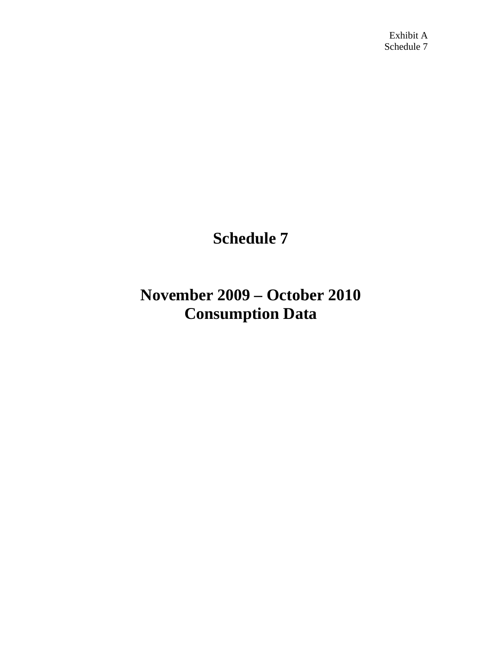## **Schedule 7**

## **November 2009 – October 2010 Consumption Data**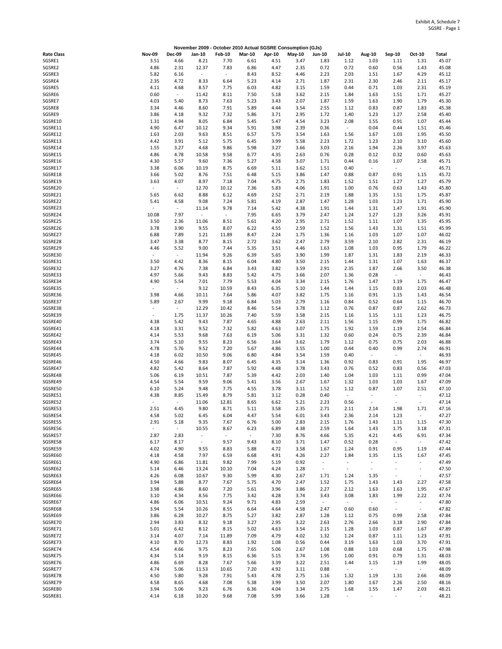|                    |                          |                                  | November 2009 - October 2010 Actual SGSRE Consumption (GJs) |                                  |                          |              |              |                          |                                  |                               |                                       |                                    |                |
|--------------------|--------------------------|----------------------------------|-------------------------------------------------------------|----------------------------------|--------------------------|--------------|--------------|--------------------------|----------------------------------|-------------------------------|---------------------------------------|------------------------------------|----------------|
| <b>Rate Class</b>  | <b>Nov-09</b>            | <b>Dec-09</b>                    | Jan-10                                                      | <b>Feb-10</b>                    | <b>Mar-10</b>            | Apr-10       | $May-10$     | <b>Jun-10</b>            | <b>Jul-10</b>                    | Aug-10                        | Sep-10                                | Oct-10                             | Total          |
| SGSRE1             | 3.51                     | 4.66                             | 8.21                                                        | 7.70                             | 6.61                     | 4.51         | 3.47         | 1.83                     | 1.12                             | 1.03                          | 1.11                                  | 1.31                               | 45.07          |
| SGSRE2             | 4.86                     | 2.31                             | 12.37                                                       | 7.83                             | 6.86                     | 4.47         | 2.35         | 0.72                     | 0.72                             | 0.60                          | 0.56                                  | 1.43                               | 45.08          |
| SGSRE3             | 5.82                     | 6.16<br>4.72                     | $\overline{\phantom{a}}$                                    | $\overline{\phantom{a}}$         | 8.43                     | 8.52         | 4.46         | 2.23                     | 2.03                             | 1.51                          | 1.67                                  | 4.29                               | 45.12          |
| SGSRE4<br>SGSRE5   | 2.35<br>4.11             | 4.68                             | 8.33<br>8.57                                                | 6.64<br>7.75                     | 5.23<br>6.03             | 4.14<br>4.82 | 2.71<br>3.15 | 1.87<br>1.59             | 2.31<br>0.44                     | 2.30<br>0.71                  | 2.46<br>1.03                          | 2.11<br>2.31                       | 45.17<br>45.19 |
| SGSRE6             | 0.60                     | $\overline{\phantom{a}}$         | 11.42                                                       | 8.11                             | 7.50                     | 5.18         | 3.62         | 2.15                     | 1.84                             | 1.63                          | 1.51                                  | 1.71                               | 45.27          |
| SGSRE7             | 4.03                     | 5.40                             | 8.73                                                        | 7.63                             | 5.23                     | 3.43         | 2.07         | 1.87                     | 1.59                             | 1.63                          | 1.90                                  | 1.79                               | 45.30          |
| SGSRE8             | 3.34                     | 4.46                             | 8.60                                                        | 7.91                             | 5.89                     | 4.44         | 3.54         | 2.55                     | 1.12                             | 0.83                          | 0.87                                  | 1.83                               | 45.38          |
| SGSRE9             | 3.86                     | 4.18                             | 9.32                                                        | 7.32                             | 5.86                     | 3.71         | 2.95         | 1.72                     | 1.40                             | 1.23                          | 1.27                                  | 2.58                               | 45.40          |
| SGSRE10            | 1.31                     | 4.94                             | 8.05                                                        | 6.84                             | 5.45                     | 5.47         | 4.54         | 3.23                     | 2.08                             | 1.55                          | 0.91                                  | 1.07                               | 45.44          |
| SGSRE11            | 4.90                     | 6.47                             | 10.12                                                       | 9.34                             | 5.91                     | 3.98         | 2.39         | 0.36                     | $\overline{\phantom{a}}$         | 0.04                          | 0.44                                  | 1.51                               | 45.46          |
| SGSRE12            | 1.63                     | 2.03                             | 9.63                                                        | 8.51                             | 6.57                     | 5.75         | 3.54         | 1.63                     | 1.56                             | 1.67                          | 1.03                                  | 1.95                               | 45.50          |
| SGSRE13<br>SGSRE14 | 4.42                     | 3.91<br>3.27                     | 5.12<br>4.68                                                | 5.75<br>9.86                     | 6.45                     | 3.99<br>3.27 | 5.58<br>3.66 | 2.23<br>3.03             | 1.72                             | 1.23                          | 2.10<br>2.26                          | 3.10<br>3.97                       | 45.60<br>45.63 |
| SGSRE15            | 1.55<br>4.86             | 4.78                             | 10.58                                                       | 9.58                             | 5.98<br>6.77             | 4.35         | 2.63         | 0.76                     | 2.16<br>0.28                     | 1.94<br>0.12                  | 0.32                                  | 0.60                               | 45.63          |
| SGSRE16            | 4.30                     | 5.57                             | 9.60                                                        | 7.36                             | 5.27                     | 4.58         | 3.07         | 1.71                     | 0.44                             | 0.16                          | 1.07                                  | 2.58                               | 45.71          |
| SGSRE17            | 3.38                     | 6.06                             | 10.19                                                       | 8.75                             | 6.69                     | 5.11         | 3.62         | 1.51                     | 0.40                             | $\overline{\phantom{a}}$      | $\overline{\phantom{a}}$              | $\overline{\phantom{a}}$           | 45.71          |
| SGSRE18            | 3.66                     | 5.02                             | 8.76                                                        | 7.51                             | 6.48                     | 5.15         | 3.86         | 1.47                     | 0.88                             | 0.87                          | 0.91                                  | 1.15                               | 45.72          |
| SGSRE19            | 3.63                     | 4.07                             | 8.97                                                        | 7.18                             | 7.04                     | 4.75         | 2.75         | 1.83                     | 1.52                             | 1.51                          | 1.27                                  | 1.27                               | 45.79          |
| SGSRE20            | $\overline{\phantom{a}}$ | $\overline{\phantom{a}}$         | 12.70                                                       | 10.12                            | 7.36                     | 5.83         | 4.06         | 1.91                     | 1.00                             | 0.76                          | 0.63                                  | 1.43                               | 45.80          |
| SGSRE21            | 5.65                     | 6.62                             | 8.88                                                        | 6.12                             | 4.69                     | 2.52         | 2.71         | 2.19                     | 1.88                             | 1.35                          | 1.51                                  | 1.75                               | 45.87          |
| SGSRE22            | 5.41                     | 4.58                             | 9.08                                                        | 7.24                             | 5.81                     | 4.19         | 2.87         | 1.47                     | 1.28                             | 1.03                          | 1.23                                  | 1.71                               | 45.90          |
| SGSRE23<br>SGSRE24 | 10.08                    | $\sim$<br>7.97                   | 11.14<br>$\overline{\phantom{a}}$                           | 9.78<br>$\overline{\phantom{a}}$ | 7.14<br>7.95             | 5.42<br>6.65 | 4.38<br>3.79 | 1.91<br>2.47             | 1.44<br>1.24                     | 1.31<br>1.27                  | 1.47<br>1.23                          | 1.91<br>3.26                       | 45.90<br>45.91 |
| SGSRE25            | 3.50                     | 2.36                             | 11.06                                                       | 8.51                             | 5.61                     | 4.20         | 2.95         | 2.71                     | 1.52                             | 1.11                          | 1.07                                  | 1.35                               | 45.95          |
| SGSRE26            | 3.78                     | 3.90                             | 9.55                                                        | 8.07                             | 6.22                     | 4.55         | 2.59         | 1.52                     | 1.56                             | 1.43                          | 1.31                                  | 1.51                               | 45.99          |
| SGSRE27            | 6.88                     | 7.89                             | 1.21                                                        | 11.89                            | 8.47                     | 2.24         | 1.75         | 1.36                     | 1.16                             | 1.03                          | 1.07                                  | 1.07                               | 46.02          |
| SGSRE28            | 3.47                     | 3.38                             | 8.77                                                        | 8.15                             | 2.72                     | 3.62         | 2.47         | 2.79                     | 3.59                             | 2.10                          | 2.82                                  | 2.31                               | 46.19          |
| SGSRE29            | 4.46                     | 5.52                             | 9.00                                                        | 7.44                             | 5.35                     | 3.51         | 4.46         | 1.63                     | 1.08                             | 1.03                          | 0.95                                  | 1.79                               | 46.22          |
| SGSRE30            | ÷,                       | $\overline{\phantom{a}}$         | 11.94                                                       | 9.26                             | 6.39                     | 5.65         | 3.90         | 1.99                     | 1.87                             | 1.31                          | 1.83                                  | 2.19                               | 46.33          |
| SGSRE31            | 3.50                     | 4.42                             | 8.36                                                        | 8.15                             | 6.04                     | 4.80         | 3.50         | 2.15                     | 1.44                             | 1.31                          | 1.07                                  | 1.63                               | 46.37          |
| SGSRE32            | 3.27                     | 4.76                             | 7.38                                                        | 6.84                             | 3.43                     | 3.82         | 3.59         | 2.91                     | 2.35                             | 1.87                          | 2.66                                  | 3.50                               | 46.38          |
| SGSRE33<br>SGSRE34 | 4.97<br>4.90             | 5.66<br>5.54                     | 9.43<br>7.01                                                | 8.83<br>7.79                     | 5.42<br>5.53             | 4.75<br>4.04 | 3.66<br>3.34 | 2.07<br>2.15             | 1.36<br>1.76                     | 0.28<br>1.47                  | $\overline{\phantom{a}}$<br>1.19      | $\overline{\phantom{a}}$<br>1.75   | 46.43<br>46.47 |
| SGSRE35            | $\overline{\phantom{a}}$ | $\overline{\phantom{a}}$         | 9.12                                                        | 10.59                            | 8.43                     | 6.35         | 5.10         | 1.44                     | 1.44                             | 1.15                          | 0.83                                  | 2.03                               | 46.48          |
| SGSRE36            | 3.98                     | 4.66                             | 10.11                                                       | 7.64                             | 5.86                     | 4.07         | 3.82         | 1.75                     | 1.16                             | 0.91                          | 1.15                                  | 1.43                               | 46.54          |
| SGSRE37            | 5.89                     | 2.67                             | 9.99                                                        | 9.18                             | 6.84                     | 5.03         | 2.79         | 1.16                     | 0.84                             | 0.52                          | 0.64                                  | 1.15                               | 46.70          |
| SGSRE38            | $\blacksquare$           | $\overline{\phantom{a}}$         | 12.29                                                       | 10.42                            | 8.46                     | 5.54         | 3.78         | 1.12                     | 0.76                             | 0.87                          | 0.87                                  | 2.62                               | 46.73          |
| SGSRE39            | ä,                       | 1.75                             | 11.37                                                       | 10.26                            | 7.40                     | 5.59         | 3.58         | 2.15                     | 1.16                             | 1.15                          | 1.11                                  | 1.23                               | 46.75          |
| SGSRE40            | 4.38                     | 5.42                             | 9.43                                                        | 7.87                             | 4.65                     | 4.88         | 2.63         | 2.11                     | 1.56                             | 1.15                          | 0.99                                  | 1.75                               | 46.82          |
| SGSRE41            | 4.18                     | 3.31                             | 9.52                                                        | 7.32                             | 5.82                     | 4.63         | 3.07         | 1.75                     | 1.92                             | 1.59                          | 1.19                                  | 2.54                               | 46.84          |
| SGSRE42<br>SGSRE43 | 4.14<br>3.74             | 5.53<br>5.10                     | 9.68                                                        | 7.63<br>8.23                     | 6.19                     | 5.06<br>3.64 | 3.31<br>3.62 | 1.32<br>1.79             | 0.60                             | 0.24                          | 0.75<br>0.75                          | 2.39<br>2.03                       | 46.84<br>46.88 |
| SGSRE44            | 4.78                     | 5.76                             | 9.55<br>9.52                                                | 7.20                             | 6.56<br>5.67             | 4.86         | 3.55         | 1.00                     | 1.12<br>0.44                     | 0.75<br>0.40                  | 0.99                                  | 2.74                               | 46.91          |
| SGSRE45            | 4.18                     | 6.02                             | 10.50                                                       | 9.06                             | 6.80                     | 4.84         | 3.54         | 1.59                     | 0.40                             | $\overline{\phantom{a}}$      | $\overline{\phantom{a}}$              | $\overline{\phantom{a}}$           | 46.93          |
| SGSRE46            | 4.50                     | 4.66                             | 9.83                                                        | 8.07                             | 6.45                     | 4.35         | 3.14         | 1.36                     | 0.92                             | 0.83                          | 0.91                                  | 1.95                               | 46.97          |
| SGSRE47            | 4.82                     | 5.42                             | 8.64                                                        | 7.87                             | 5.92                     | 4.48         | 3.78         | 3.43                     | 0.76                             | 0.52                          | 0.83                                  | 0.56                               | 47.03          |
| SGSRE48            | 5.06                     | 6.19                             | 10.51                                                       | 7.87                             | 5.39                     | 4.42         | 2.03         | 1.40                     | 1.04                             | 1.03                          | 1.11                                  | 0.99                               | 47.04          |
| SGSRE49            | 4.54                     | 5.54                             | 9.59                                                        | 9.06                             | 5.41                     | 3.56         | 2.67         | 1.67                     | 1.32                             | 1.03                          | 1.03                                  | 1.67                               | 47.09          |
| SGSRE50            | 6.10                     | 5.24                             | 9.48                                                        | 7.75                             | 4.55                     | 3.78         | 3.11         | 1.52                     | 1.12                             | 0.87                          | 1.07                                  | 2.51                               | 47.10          |
| SGSRE51<br>SGSRE52 | 4.38<br>$\sim$           | 8.85<br>$\overline{\phantom{a}}$ | 15.49<br>11.06                                              | 8.79<br>12.81                    | 5.81<br>8.65             | 3.12<br>6.62 | 0.28<br>5.21 | 0.40<br>2.23             | $\overline{\phantom{a}}$<br>0.56 | ٠<br>$\overline{\phantom{a}}$ | $\bar{a}$<br>$\overline{\phantom{a}}$ | $\sim$<br>$\overline{\phantom{a}}$ | 47.12<br>47.14 |
| SGSRE53            | 2.51                     | 4.45                             | 9.80                                                        | 8.71                             | 5.11                     | 3.58         | 2.35         | 2.71                     | 2.11                             | 2.14                          | 1.98                                  | 1.71                               | 47.16          |
| SGSRE54            | 4.58                     | 5.02                             | 6.45                                                        | 6.04                             | 4.47                     | 5.54         | 6.01         | 3.43                     | 2.36                             | 2.14                          | 1.23                                  | $\overline{\phantom{a}}$           | 47.27          |
| SGSRE55            | 2.91                     | 5.18                             | 9.35                                                        | 7.67                             | 6.76                     | 5.00         | 2.83         | 2.15                     | 1.76                             | 1.43                          | 1.11                                  | 1.15                               | 47.30          |
| SGSRE56            |                          | $\overline{\phantom{a}}$         | 10.55                                                       | 8.67                             | 6.23                     | 6.89         | 4.38         | 2.59                     | 1.64                             | 1.43                          | 1.75                                  | 3.18                               | 47.31          |
| SGSRE57            | 2.87                     | 2.83                             | $\overline{\phantom{a}}$                                    | $\overline{\phantom{a}}$         | $\overline{\phantom{a}}$ | 7.30         | 8.76         | 4.66                     | 5.35                             | 4.21                          | 4.45                                  | 6.91                               | 47.34          |
| SGSRE58            | 6.17                     | 8.17                             | $\overline{\phantom{a}}$                                    | 9.57                             | 9.43                     | 8.10         | 3.71         | 1.47                     | 0.52                             | 0.28                          | $\overline{\phantom{a}}$              | $\overline{\phantom{a}}$           | 47.42          |
| SGSRE59<br>SGSRE60 | 4.02<br>4.18             | 4.90<br>4.58                     | 9.55<br>7.97                                                | 8.83<br>6.59                     | 5.88<br>6.68             | 4.72<br>4.91 | 3.58<br>4.26 | 1.67<br>2.27             | 1.24<br>1.84                     | 0.91<br>1.35                  | 0.95<br>1.15                          | 1.19<br>1.67                       | 47.44<br>47.45 |
| SGSRE61            | 4.90                     | 6.86                             | 11.81                                                       | 9.82                             | 7.99                     | 5.19         | 0.92         | $\overline{\phantom{a}}$ | $\overline{\phantom{a}}$         | $\overline{\phantom{a}}$      | $\overline{\phantom{a}}$              | $\overline{\phantom{a}}$           | 47.49          |
| SGSRE62            | 5.14                     | 6.46                             | 13.24                                                       | 10.10                            | 7.04                     | 4.24         | 1.28         | $\overline{\phantom{a}}$ | $\overline{\phantom{a}}$         | $\overline{\phantom{a}}$      | $\overline{\phantom{a}}$              | $\overline{\phantom{a}}$           | 47.50          |
| SGSRE63            | 4.26                     | 6.08                             | 10.67                                                       | 9.30                             | 5.99                     | 4.30         | 2.67         | 1.71                     | 1.24                             | 1.35                          | $\blacksquare$                        | $\overline{\phantom{a}}$           | 47.57          |
| SGSRE64            | 3.94                     | 5.88                             | 8.77                                                        | 7.67                             | 5.75                     | 4.70         | 2.47         | 1.52                     | 1.75                             | 1.43                          | 1.43                                  | 2.27                               | 47.58          |
| SGSRE65            | 3.98                     | 4.86                             | 8.60                                                        | 7.20                             | 5.61                     | 3.96         | 3.86         | 2.27                     | 2.12                             | 1.63                          | 1.63                                  | 1.95                               | 47.67          |
| SGSRE66            | 3.10                     | 4.34                             | 8.56                                                        | 7.75                             | 3.42                     | 4.28         | 3.74         | 3.43                     | 3.08                             | 1.83                          | 1.99                                  | 2.22                               | 47.74          |
| SGSRE67            | 4.86                     | 6.06                             | 10.51                                                       | 9.24                             | 9.71                     | 4.83         | 2.59         | $\overline{\phantom{a}}$ | $\overline{\phantom{a}}$         | $\overline{\phantom{a}}$      | $\blacksquare$                        | $\overline{\phantom{a}}$           | 47.80          |
| SGSRE68            | 3.94                     | 5.54                             | 10.26                                                       | 8.55                             | 6.64                     | 4.64         | 4.58         | 2.47                     | 0.60                             | 0.60                          | $\overline{\phantom{a}}$              | $\sim$                             | 47.82          |
| SGSRE69<br>SGSRE70 | 3.86<br>2.94             | 6.28<br>3.83                     | 10.27<br>8.32                                               | 8.75<br>9.18                     | 5.27<br>3.27             | 3.82<br>2.95 | 2.87<br>3.22 | 1.28<br>2.63             | 1.12<br>2.76                     | 0.75<br>2.66                  | 0.99<br>3.18                          | 2.58<br>2.90                       | 47.84<br>47.84 |
| SGSRE71            | 5.01                     | 6.42                             | 8.12                                                        | 8.15                             | 5.02                     | 4.63         | 3.54         | 2.15                     | 1.28                             | 1.03                          | 0.87                                  | 1.67                               | 47.89          |
| SGSRE72            | 3.14                     | 4.07                             | 7.14                                                        | 11.89                            | 7.09                     | 4.79         | 4.02         | 1.32                     | 1.24                             | 0.87                          | 1.11                                  | 1.23                               | 47.91          |
| SGSRE73            | 4.10                     | 8.70                             | 12.73                                                       | 8.83                             | 1.92                     | 1.08         | 0.56         | 0.44                     | 3.19                             | 1.63                          | 1.03                                  | 3.70                               | 47.91          |
| SGSRE74            | 4.54                     | 4.66                             | 9.75                                                        | 8.23                             | 7.65                     | 5.06         | 2.67         | 1.08                     | 0.88                             | 1.03                          | 0.68                                  | 1.75                               | 47.98          |
| SGSRE75            | 4.34                     | 5.14                             | 9.19                                                        | 8.15                             | 6.36                     | 5.15         | 3.74         | 1.95                     | 1.00                             | 0.91                          | 0.79                                  | 1.31                               | 48.03          |
| SGSRE76            | 4.86                     | 6.69                             | 8.28                                                        | 7.67                             | 5.66                     | 3.39         | 3.22         | 2.51                     | 1.44                             | 1.15                          | 1.19                                  | 1.99                               | 48.05          |
| SGSRE77            | 4.74                     | 5.06                             | 11.53                                                       | 10.65                            | 7.20                     | 4.92         | 3.11         | 0.88                     | $\overline{\phantom{a}}$         | $\sim$                        | $\sim$                                | $\sim$                             | 48.09          |
| SGSRE78<br>SGSRE79 | 4.50<br>4.58             | 5.80<br>8.65                     | 9.28<br>4.68                                                | 7.91<br>7.08                     | 5.43<br>5.38             | 4.78<br>3.99 | 2.75<br>3.50 | 1.16<br>2.07             | 1.32<br>1.80                     | 1.19<br>1.67                  | 1.31<br>2.26                          | 2.66<br>2.50                       | 48.09<br>48.16 |
| SGSRE80            | 3.94                     | 5.06                             | 9.23                                                        | 6.76                             | 6.36                     | 4.04         | 3.34         | 2.75                     | 1.68                             | 1.55                          | 1.47                                  | 2.03                               | 48.21          |
| SGSRE81            | 4.14                     | 6.18                             | 10.20                                                       | 9.68                             | 7.08                     | 5.99         | 3.66         | 1.28                     | $\overline{\phantom{a}}$         | $\overline{\phantom{a}}$      |                                       |                                    | 48.21          |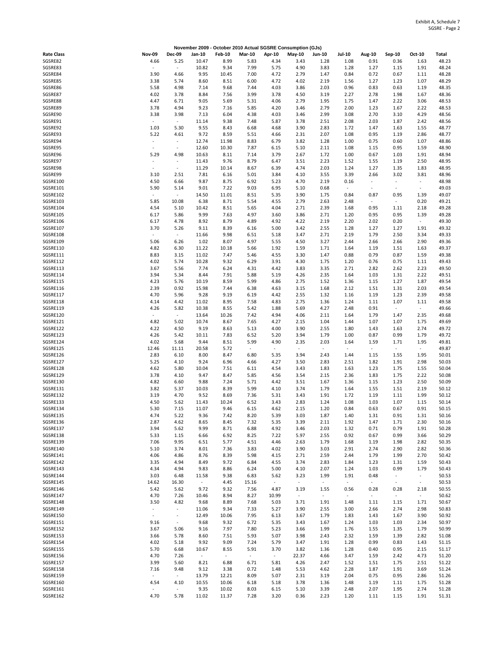|                      |                                  |                                  |                 |                          |                          |                                  | November 2009 - October 2010 Actual SGSRE Consumption (GJs) |                                  |                                  |                          |                                  |                                  |                |
|----------------------|----------------------------------|----------------------------------|-----------------|--------------------------|--------------------------|----------------------------------|-------------------------------------------------------------|----------------------------------|----------------------------------|--------------------------|----------------------------------|----------------------------------|----------------|
| <b>Rate Class</b>    | <b>Nov-09</b>                    | <b>Dec-09</b>                    | Jan-10          | <b>Feb-10</b>            | <b>Mar-10</b>            | Apr-10                           | <b>May-10</b>                                               | <b>Jun-10</b>                    | <b>Jul-10</b>                    | Aug-10                   | Sep-10                           | Oct-10                           | Total          |
| SGSRE82              | 4.66                             | 5.25                             | 10.47           | 8.99                     | 5.83                     | 4.34                             | 3.43                                                        | 1.28                             | 1.08                             | 0.91                     | 0.36                             | 1.63                             | 48.23          |
| SGSRE83              |                                  | $\overline{\phantom{a}}$         | 10.82           | 9.34                     | 7.99                     | 5.75                             | 4.90                                                        | 3.83                             | 1.28                             | 1.27                     | 1.15                             | 1.91                             | 48.24          |
| SGSRE84              | 3.90                             | 4.66                             | 9.95            | 10.45                    | 7.00                     | 4.72                             | 2.79                                                        | 1.47                             | 0.84                             | 0.72                     | 0.67                             | 1.11                             | 48.28          |
| SGSRE85<br>SGSRE86   | 3.38<br>5.58                     | 5.74<br>4.98                     | 8.60<br>7.14    | 8.51<br>9.68             | 6.00<br>7.44             | 4.72<br>4.03                     | 4.02<br>3.86                                                | 2.19<br>2.03                     | 1.56<br>0.96                     | 1.27<br>0.83             | 1.23<br>0.63                     | 1.07<br>1.19                     | 48.29<br>48.35 |
| SGSRE87              | 4.02                             | 3.78                             | 8.84            | 7.56                     | 3.99                     | 3.78                             | 4.50                                                        | 3.19                             | 2.27                             | 2.78                     | 1.98                             | 1.67                             | 48.36          |
| SGSRE88              | 4.47                             | 6.71                             | 9.05            | 5.69                     | 5.31                     | 4.06                             | 2.79                                                        | 1.95                             | 1.75                             | 1.47                     | 2.22                             | 3.06                             | 48.53          |
| SGSRE89              | 3.78                             | 4.94                             | 9.23            | 7.16                     | 5.85                     | 4.20                             | 3.46                                                        | 2.79                             | 2.00                             | 1.23                     | 1.67                             | 2.22                             | 48.53          |
| SGSRE90              | 3.38                             | 3.98                             | 7.13            | 6.04                     | 4.38                     | 4.03                             | 3.46                                                        | 2.99                             | 3.08                             | 2.70                     | 3.10                             | 4.29                             | 48.56          |
| SGSRE91              | $\overline{\phantom{a}}$         | $\overline{\phantom{a}}$         | 11.14           | 9.38                     | 7.48                     | 5.87                             | 3.78                                                        | 2.51                             | 2.08                             | 2.03                     | 1.87                             | 2.42                             | 48.56          |
| SGSRE92              | 1.03                             | 5.30                             | 9.55            | 8.43                     | 6.68                     | 4.68                             | 3.90                                                        | 2.83                             | 1.72                             | 1.47                     | 1.63                             | 1.55                             | 48.77          |
| SGSRE93<br>SGSRE94   | 5.22<br>$\overline{\phantom{a}}$ | 4.61<br>$\overline{\phantom{a}}$ | 9.72<br>12.74   | 8.59<br>11.98            | 5.51<br>8.83             | 4.66<br>6.79                     | 2.31<br>3.82                                                | 2.07<br>1.28                     | 1.08<br>1.00                     | 0.95<br>0.75             | 1.19<br>0.60                     | 2.86<br>1.07                     | 48.77<br>48.86 |
| SGSRE95              | $\sim$                           | $\omega$                         | 12.60           | 10.30                    | 7.87                     | 6.15                             | 5.10                                                        | 2.11                             | 1.08                             | 1.15                     | 0.95                             | 1.59                             | 48.90          |
| SGSRE96              | 5.29                             | 4.98                             | 10.63           | 8.11                     | 7.14                     | 3.79                             | 2.67                                                        | 1.72                             | 1.00                             | 0.67                     | 1.03                             | 1.91                             | 48.94          |
| SGSRE97              |                                  | $\overline{\phantom{a}}$         | 11.43           | 9.76                     | 8.79                     | 6.47                             | 3.51                                                        | 2.23                             | 1.52                             | 1.55                     | 1.19                             | 2.50                             | 48.95          |
| SGSRE98              | $\sim$                           | $\overline{\phantom{a}}$         | 11.29           | 10.14                    | 8.67                     | 6.39                             | 4.74                                                        | 2.03                             | 1.24                             | 1.27                     | 1.35                             | 1.83                             | 48.95          |
| SGSRE99              | 3.10                             | 2.51                             | 7.81            | 6.16                     | 5.01                     | 3.84                             | 4.10                                                        | 3.55                             | 3.39                             | 2.66                     | 3.02                             | 3.81                             | 48.96          |
| SGSRE100             | 4.50                             | 6.66                             | 9.87            | 8.75                     | 6.92                     | 5.23                             | 4.70                                                        | 2.19                             | 0.16                             | $\overline{\phantom{a}}$ | $\overline{\phantom{a}}$         | $\overline{\phantom{a}}$         | 48.98          |
| SGSRE101<br>SGSRE102 | 5.90<br>$\overline{\phantom{a}}$ | 5.14<br>$\overline{\phantom{a}}$ | 9.01<br>14.50   | 7.22<br>11.01            | 9.03<br>8.51             | 6.95<br>5.35                     | 5.10<br>3.90                                                | 0.68<br>1.75                     | $\overline{\phantom{a}}$<br>0.84 | 0.87                     | 0.95                             | $\overline{\phantom{a}}$<br>1.39 | 49.03<br>49.07 |
| SGSRE103             | 5.85                             | 10.08                            | 6.38            | 8.71                     | 5.54                     | 4.55                             | 2.79                                                        | 2.63                             | 2.48                             | $\overline{\phantom{a}}$ | $\overline{\phantom{a}}$         | 0.20                             | 49.21          |
| SGSRE104             | 4.54                             | 5.10                             | 10.42           | 8.51                     | 5.65                     | 4.04                             | 2.71                                                        | 2.39                             | 1.68                             | 0.95                     | 1.11                             | 2.18                             | 49.28          |
| SGSRE105             | 6.17                             | 5.86                             | 9.99            | 7.63                     | 4.97                     | 3.60                             | 3.86                                                        | 2.71                             | 1.20                             | 0.95                     | 0.95                             | 1.39                             | 49.28          |
| SGSRE106             | 6.17                             | 4.78                             | 8.92            | 8.79                     | 4.89                     | 4.92                             | 4.22                                                        | 2.19                             | 2.20                             | 2.02                     | 0.20                             | $\overline{\phantom{a}}$         | 49.30          |
| SGSRE107             | 3.70                             | 5.26                             | 9.11            | 8.39                     | 6.16                     | 5.00                             | 3.42                                                        | 2.55                             | 1.28                             | 1.27                     | 1.27                             | 1.91                             | 49.32          |
| SGSRE108             | $\overline{\phantom{a}}$         | $\overline{\phantom{a}}$         | 11.66           | 9.98                     | 6.51                     | 5.18                             | 3.47                                                        | 2.71                             | 2.19                             | 1.79                     | 2.50                             | 3.34                             | 49.33          |
| SGSRE109             | 5.06                             | 6.26                             | 1.02            | 8.07                     | 4.97                     | 5.55                             | 4.50                                                        | 3.27                             | 2.44                             | 2.66                     | 2.66                             | 2.90                             | 49.36          |
| SGSRE110<br>SGSRE111 | 4.82<br>8.83                     | 6.30<br>3.15                     | 11.22<br>11.02  | 10.18<br>7.47            | 5.66<br>5.46             | 1.92<br>4.55                     | 1.59<br>3.30                                                | 1.71<br>1.47                     | 1.64<br>0.88                     | 1.19<br>0.79             | 1.51<br>0.87                     | 1.63<br>1.59                     | 49.37<br>49.38 |
| SGSRE112             | 4.02                             | 5.74                             | 10.28           | 9.32                     | 6.29                     | 3.91                             | 4.30                                                        | 1.75                             | 1.20                             | 0.76                     | 0.75                             | 1.11                             | 49.43          |
| SGSRE113             | 3.67                             | 5.56                             | 7.74            | 6.24                     | 4.31                     | 4.42                             | 3.83                                                        | 3.35                             | 2.71                             | 2.82                     | 2.62                             | 2.23                             | 49.50          |
| SGSRE114             | 3.94                             | 5.34                             | 8.44            | 7.91                     | 5.88                     | 5.19                             | 4.26                                                        | 2.35                             | 1.64                             | 1.03                     | 1.31                             | 2.22                             | 49.51          |
| SGSRE115             | 4.23                             | 5.76                             | 10.19           | 8.59                     | 5.99                     | 4.86                             | 2.75                                                        | 1.52                             | 1.36                             | 1.15                     | 1.27                             | 1.87                             | 49.54          |
| SGSRE116             | 2.39                             | 0.92                             | 15.98           | 7.44                     | 6.38                     | 4.63                             | 3.15                                                        | 1.68                             | 2.12                             | 1.51                     | 1.31                             | 2.03                             | 49.54          |
| SGSRE117             | 4.70                             | 5.96                             | 9.28            | 9.19                     | 6.19                     | 4.42                             | 2.55                                                        | 1.32                             | 1.16                             | 1.19                     | 1.23                             | 2.39                             | 49.58          |
| SGSRE118             | 4.14                             | 4.42                             | 11.02           | 8.95                     | 7.58                     | 4.83                             | 2.75                                                        | 1.36                             | 1.24                             | 1.11                     | 1.07                             | 1.11                             | 49.58          |
| SGSRE119<br>SGSRE120 | 4.26                             | 5.82<br>$\overline{\phantom{a}}$ | 10.38<br>13.64  | 8.55<br>10.26            | 5.42<br>7.42             | 1.88<br>4.94                     | 5.69<br>4.06                                                | 4.27<br>2.11                     | 2.48<br>1.64                     | 0.91<br>1.79             | $\overline{\phantom{a}}$<br>1.47 | $\overline{\phantom{a}}$<br>2.35 | 49.66<br>49.68 |
| SGSRE121             | 4.82                             | 5.02                             | 10.74           | 8.67                     | 7.65                     | 4.27                             | 2.15                                                        | 1.04                             | 1.44                             | 1.07                     | 1.07                             | 1.75                             | 49.69          |
| SGSRE122             | 4.22                             | 4.50                             | 9.19            | 8.63                     | 5.13                     | 4.00                             | 3.90                                                        | 2.55                             | 1.80                             | 1.43                     | 1.63                             | 2.74                             | 49.72          |
| SGSRE123             | 4.26                             | 5.42                             | 10.11           | 7.83                     | 6.52                     | 5.20                             | 3.94                                                        | 1.79                             | 1.00                             | 0.87                     | 0.99                             | 1.79                             | 49.72          |
| SGSRE124             | 4.02                             | 5.68                             | 9.44            | 8.51                     | 5.99                     | 4.90                             | 2.35                                                        | 2.03                             | 1.64                             | 1.59                     | 1.71                             | 1.95                             | 49.81          |
| SGSRE125             | 12.46                            | 11.11                            | 20.58           | 5.72                     | $\overline{\phantom{a}}$ | $\overline{\phantom{a}}$         | $\overline{\phantom{a}}$                                    | $\overline{\phantom{a}}$         | $\overline{\phantom{a}}$         | $\overline{\phantom{a}}$ | $\overline{\phantom{a}}$         | $\overline{\phantom{a}}$         | 49.87          |
| SGSRE126             | 2.83                             | 6.10                             | 8.00            | 8.47                     | 6.80                     | 5.35                             | 3.94                                                        | 2.43                             | 1.44                             | 1.15                     | 1.55                             | 1.95                             | 50.01          |
| SGSRE127<br>SGSRE128 | 5.25<br>4.62                     | 4.10                             | 9.24            | 6.96                     | 4.66                     | 4.27                             | 3.50                                                        | 2.83                             | 2.51                             | 1.82                     | 1.91                             | 2.98                             | 50.03<br>50.04 |
| SGSRE129             | 3.78                             | 5.80<br>4.10                     | 10.04<br>9.47   | 7.51<br>8.47             | 6.11<br>5.85             | 4.54<br>4.56                     | 3.43<br>3.54                                                | 1.83<br>2.15                     | 1.63<br>2.36                     | 1.23<br>1.83             | 1.75<br>1.75                     | 1.55<br>2.22                     | 50.08          |
| SGSRE130             | 4.82                             | 6.60                             | 9.88            | 7.24                     | 5.71                     | 4.42                             | 3.51                                                        | 1.67                             | 1.36                             | 1.15                     | 1.23                             | 2.50                             | 50.09          |
| SGSRE131             | 3.82                             | 5.37                             | 10.03           | 8.39                     | 5.99                     | 4.10                             | 3.74                                                        | 1.79                             | 1.64                             | 1.55                     | 1.51                             | 2.19                             | 50.12          |
| SGSRE132             | 3.19                             | 4.70                             | 9.52            | 8.69                     | 7.36                     | 5.31                             | 3.43                                                        | 1.91                             | 1.72                             | 1.19                     | 1.11                             | 1.99                             | 50.12          |
| SGSRE133             | 4.50                             | 5.62                             | 11.43           | 10.24                    | 6.52                     | 3.43                             | 2.83                                                        | 1.24                             | 1.08                             | 1.03                     | 1.07                             | 1.15                             | 50.14          |
| SGSRE134             | 5.30                             | 7.15                             | 11.07           | 9.46                     | 6.15                     | 4.62                             | 2.15                                                        | 1.20                             | 0.84                             | 0.63                     | 0.67                             | 0.91                             | 50.15          |
| SGSRE135<br>SGSRE136 | 4.74                             | 5.22<br>4.62                     | 9.36<br>8.65    | 7.42                     | 8.20<br>7.32             | 5.39<br>5.35                     | 3.03<br>3.39                                                | 1.87<br>2.11                     | 1.40<br>1.92                     | 1.31<br>1.47             | 0.91<br>1.71                     | 1.31                             | 50.16          |
| SGSRE137             | 2.87<br>3.94                     | 5.62                             | 9.99            | 8.45<br>8.71             | 6.88                     | 4.92                             | 3.46                                                        | 2.03                             | 1.32                             | 0.71                     | 0.79                             | 2.30<br>1.91                     | 50.16<br>50.28 |
| SGSRE138             | 5.33                             | 1.15                             | 6.66            | 6.92                     | 8.25                     | 7.22                             | 5.97                                                        | 2.55                             | 0.92                             | 0.67                     | 0.99                             | 3.66                             | 50.29          |
| SGSRE139             | 7.06                             | 9.95                             | 6.51            | 5.77                     | 4.51                     | 4.46                             | 2.63                                                        | 1.79                             | 1.68                             | 1.19                     | 1.98                             | 2.82                             | 50.35          |
| SGSRE140             | 5.10                             | 3.74                             | 8.01            | 7.36                     | 3.83                     | 4.02                             | 3.90                                                        | 3.03                             | 2.91                             | 2.74                     | 2.90                             | 2.82                             | 50.36          |
| SGSRE141             | 4.06                             | 4.86                             | 8.76            | 8.39                     | 5.98                     | 4.15                             | 2.71                                                        | 2.59                             | 2.44                             | 1.79                     | 1.99                             | 2.70                             | 50.42          |
| SGSRE142             | 3.35                             | 4.94                             | 8.49            | 9.72                     | 6.84                     | 4.55                             | 3.74                                                        | 2.83                             | 1.84                             | 1.23                     | 1.31                             | 1.59                             | 50.43          |
| SGSRE143             | 4.34<br>3.03                     | 4.94                             | 9.83            | 8.86                     | 6.24                     | 5.00                             | 4.10                                                        | 2.07                             | 1.24                             | 1.03                     | 0.99<br>$\overline{\phantom{a}}$ | 1.79<br>$\overline{\phantom{a}}$ | 50.43          |
| SGSRE144<br>SGSRE145 | 14.62                            | 6.48<br>16.30                    | 11.58<br>$\sim$ | 9.38<br>4.45             | 6.83<br>15.16            | 5.62<br>$\overline{\phantom{a}}$ | 3.23<br>$\overline{\phantom{a}}$                            | 1.99<br>$\overline{\phantom{a}}$ | 1.91<br>$\sim$                   | 0.48<br>$\sim$           | $\overline{\phantom{a}}$         | $\sim$                           | 50.53<br>50.53 |
| SGSRE146             | 5.42                             | 5.62                             | 9.72            | 9.32                     | 7.56                     | 4.87                             | 3.19                                                        | 1.55                             | 0.56                             | 0.28                     | 0.28                             | 2.18                             | 50.55          |
| SGSRE147             | 4.70                             | 7.26                             | 10.46           | 8.94                     | 8.27                     | 10.99                            | $\overline{\phantom{a}}$                                    | $\overline{\phantom{a}}$         | $\overline{\phantom{a}}$         | $\sim$                   | $\overline{\phantom{a}}$         | $\overline{\phantom{a}}$         | 50.62          |
| SGSRE148             | 3.50                             | 4.82                             | 9.68            | 8.89                     | 7.68                     | 5.03                             | 3.71                                                        | 1.91                             | 1.48                             | 1.11                     | 1.15                             | 1.71                             | 50.67          |
| SGSRE149             | $\overline{\phantom{a}}$         | $\overline{\phantom{a}}$         | 11.06           | 9.34                     | 7.33                     | 5.27                             | 3.90                                                        | 2.55                             | 3.00                             | 2.66                     | 2.74                             | 2.98                             | 50.83          |
| SGSRE150             | $\overline{\phantom{a}}$         | $\overline{\phantom{a}}$         | 12.49           | 10.06                    | 7.95                     | 6.13                             | 3.67                                                        | 1.79                             | 1.83                             | 1.43                     | 1.67                             | 3.90                             | 50.92          |
| SGSRE151             | 9.16                             | $\overline{\phantom{a}}$         | 9.68            | 9.32                     | 6.72                     | 5.35                             | 3.43                                                        | 1.67                             | 1.24                             | 1.03                     | 1.03                             | 2.34                             | 50.97          |
| SGSRE152<br>SGSRE153 | 3.67<br>3.66                     | 5.06<br>5.78                     | 9.16<br>8.60    | 7.97                     | 7.80<br>5.93             | 5.23<br>5.07                     | 3.66<br>3.98                                                | 1.99<br>2.43                     | 1.76                             | 1.55<br>1.59             | 1.35<br>1.39                     | 1.79<br>2.82                     | 50.99<br>51.08 |
| SGSRE154             | 4.02                             | 5.18                             | 9.92            | 7.51<br>9.09             | 7.24                     | 5.79                             | 3.47                                                        | 1.91                             | 2.32<br>1.28                     | 0.99                     | 0.83                             | 1.43                             | 51.15          |
| SGSRE155             | 5.70                             | 6.68                             | 10.67           | 8.55                     | 5.91                     | 3.70                             | 3.82                                                        | 1.36                             | 1.28                             | 0.40                     | 0.95                             | 2.15                             | 51.17          |
| SGSRE156             | 4.70                             | 7.26                             | $\sim$          | $\overline{\phantom{a}}$ | $\sim$                   | $\sim$                           | 22.37                                                       | 4.66                             | 3.47                             | 1.59                     | 2.42                             | 4.73                             | 51.20          |
| SGSRE157             | 3.99                             | 5.60                             | 8.21            | 6.88                     | 6.71                     | 5.81                             | 4.26                                                        | 2.47                             | 1.52                             | 1.51                     | 1.75                             | 2.51                             | 51.22          |
| SGSRE158             | 7.16                             | 9.48                             | 9.12            | 3.38                     | 0.72                     | 1.48                             | 5.53                                                        | 4.62                             | 2.28                             | 1.87                     | 1.91                             | 3.69                             | 51.24          |
| SGSRE159             | $\overline{\phantom{a}}$         | $\overline{\phantom{a}}$         | 13.79           | 12.21                    | 8.09                     | 5.07                             | 2.31                                                        | 3.19                             | 2.04                             | 0.75                     | 0.95                             | 2.86                             | 51.26          |
| SGSRE160             | 4.54                             | 4.10                             | 10.55           | 10.06                    | 6.18                     | 5.18                             | 3.78                                                        | 1.36                             | 1.48                             | 1.19                     | 1.11                             | 1.75                             | 51.28          |
| SGSRE161<br>SGSRE162 | $\overline{\phantom{a}}$<br>4.70 | $\overline{\phantom{a}}$<br>5.78 | 9.35<br>11.02   | 10.02<br>11.37           | 8.03<br>7.28             | 6.15<br>3.20                     | 5.10<br>0.36                                                | 3.39<br>2.23                     | 2.48<br>1.20                     | 2.07<br>1.11             | 1.95<br>1.15                     | 2.74<br>1.91                     | 51.28<br>51.31 |
|                      |                                  |                                  |                 |                          |                          |                                  |                                                             |                                  |                                  |                          |                                  |                                  |                |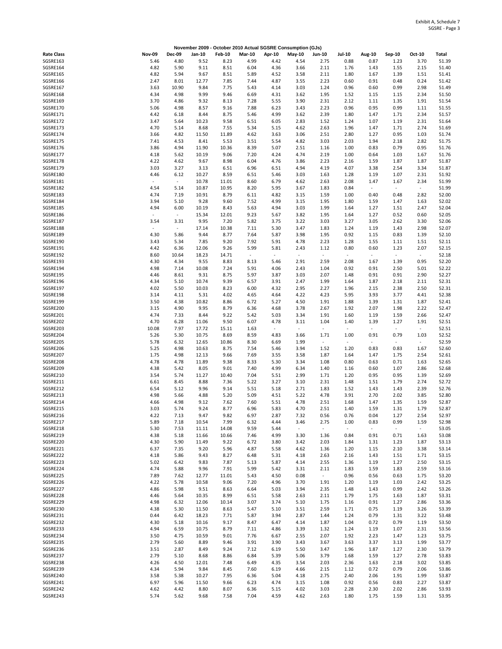|                      |                                  |                                  |                |               |               |                          | November 2009 - October 2010 Actual SGSRE Consumption (GJs) |                                  |                                  |                                  |                                  |                                  |                |
|----------------------|----------------------------------|----------------------------------|----------------|---------------|---------------|--------------------------|-------------------------------------------------------------|----------------------------------|----------------------------------|----------------------------------|----------------------------------|----------------------------------|----------------|
| <b>Rate Class</b>    | <b>Nov-09</b>                    | <b>Dec-09</b>                    | Jan-10         | <b>Feb-10</b> | <b>Mar-10</b> | Apr-10                   | <b>May-10</b>                                               | Jun-10                           | <b>Jul-10</b>                    | Aug-10                           | Sep-10                           | Oct-10                           | Total          |
| SGSRE163             | 5.46                             | 4.80                             | 9.52           | 8.23          | 4.99          | 4.42                     | 4.54                                                        | 2.75                             | 0.88                             | 0.87                             | 1.23                             | 3.70                             | 51.39          |
| SGSRE164             | 4.82                             | 5.90                             | 9.11           | 8.51          | 6.04          | 4.36                     | 3.66                                                        | 2.11                             | 1.76                             | 1.43                             | 1.55                             | 2.15                             | 51.40          |
| SGSRE165<br>SGSRE166 | 4.82<br>2.47                     | 5.94<br>8.01                     | 9.67<br>12.77  | 8.51<br>7.85  | 5.89<br>7.44  | 4.52<br>4.87             | 3.58<br>3.55                                                | 2.11<br>2.23                     | 1.80<br>0.60                     | 1.67<br>0.91                     | 1.39<br>0.48                     | 1.51<br>0.24                     | 51.41<br>51.42 |
| SGSRE167             | 3.63                             | 10.90                            | 9.84           | 7.75          | 5.43          | 4.14                     | 3.03                                                        | 1.24                             | 0.96                             | 0.60                             | 0.99                             | 2.98                             | 51.49          |
| SGSRE168             | 4.34                             | 4.98                             | 9.99           | 9.46          | 6.69          | 4.31                     | 3.62                                                        | 1.95                             | 1.52                             | 1.15                             | 1.15                             | 2.34                             | 51.50          |
| SGSRE169             | 3.70                             | 4.86                             | 9.32           | 8.13          | 7.28          | 5.55                     | 3.90                                                        | 2.31                             | 2.12                             | 1.11                             | 1.35                             | 1.91                             | 51.54          |
| SGSRE170             | 5.06                             | 4.98                             | 8.57           | 9.16          | 7.88          | 6.23                     | 3.43                                                        | 2.23                             | 0.96                             | 0.95                             | 0.99                             | 1.11                             | 51.55          |
| SGSRE171             | 4.42                             | 6.18                             | 8.44           | 8.75          | 5.46          | 4.99                     | 3.62                                                        | 2.39                             | 1.80                             | 1.47                             | 1.71                             | 2.34                             | 51.57          |
| SGSRE172             | 3.47                             | 5.64                             | 10.23          | 9.58          | 6.51          | 6.05                     | 2.83                                                        | 1.52                             | 1.24                             | 1.07                             | 1.19                             | 2.31                             | 51.64          |
| SGSRE173<br>SGSRE174 | 4.70<br>3.66                     | 5.14<br>4.82                     | 8.68<br>11.50  | 7.55<br>11.89 | 5.34<br>4.62  | 5.15<br>3.63             | 4.62<br>3.06                                                | 2.63<br>2.51                     | 1.96<br>2.80                     | 1.47<br>1.27                     | 1.71<br>0.95                     | 2.74<br>1.03                     | 51.69<br>51.74 |
| SGSRE175             | 7.41                             | 4.53                             | 8.41           | 5.53          | 3.51          | 5.54                     | 4.82                                                        | 3.03                             | 2.03                             | 1.94                             | 2.18                             | 2.82                             | 51.75          |
| SGSRE176             | 3.86                             | 4.94                             | 11.90          | 10.36         | 8.39          | 5.07                     | 2.51                                                        | 1.16                             | 1.00                             | 0.83                             | 0.79                             | 0.95                             | 51.76          |
| SGSRE177             | 4.18                             | 5.62                             | 10.19          | 9.06          | 7.20          | 4.24                     | 4.74                                                        | 2.19                             | 1.00                             | 0.64                             | 1.03                             | 1.67                             | 51.76          |
| SGSRE178             | 4.22                             | 4.62                             | 9.67           | 8.98          | 6.04          | 4.76                     | 3.86                                                        | 2.23                             | 2.16                             | 1.59                             | 1.87                             | 1.87                             | 51.87          |
| SGSRE179             | 3.03                             | 3.27                             | 3.13           | 6.51          | 6.96          | 6.51                     | 4.94                                                        | 4.19                             | 4.07                             | 3.38                             | 2.54                             | 3.34                             | 51.87          |
| SGSRE180<br>SGSRE181 | 4.46<br>$\overline{\phantom{a}}$ | 6.12<br>$\overline{\phantom{a}}$ | 10.27<br>10.78 | 8.59<br>11.01 | 6.51<br>8.60  | 5.46<br>6.79             | 3.03<br>4.62                                                | 1.63<br>2.63                     | 1.28<br>2.08                     | 1.19<br>1.47                     | 1.07<br>1.67                     | 2.31<br>2.34                     | 51.92<br>51.99 |
| SGSRE182             | 4.54                             | 5.14                             | 10.87          | 10.95         | 8.20          | 5.95                     | 3.67                                                        | 1.83                             | 0.84                             | $\overline{\phantom{a}}$         | $\overline{\phantom{a}}$         | $\sim$                           | 51.99          |
| SGSRE183             | 4.74                             | 7.19                             | 10.91          | 8.79          | 6.11          | 4.82                     | 3.15                                                        | 1.59                             | 1.00                             | 0.40                             | 0.48                             | 2.82                             | 52.00          |
| SGSRE184             | 3.94                             | 5.10                             | 9.28           | 9.60          | 7.52          | 4.99                     | 3.15                                                        | 1.95                             | 1.80                             | 1.59                             | 1.47                             | 1.63                             | 52.02          |
| SGSRE185             | 4.94                             | 6.00                             | 10.19          | 8.43          | 5.63          | 4.94                     | 3.03                                                        | 1.99                             | 1.64                             | 1.27                             | 1.51                             | 2.47                             | 52.04          |
| SGSRE186             | $\overline{\phantom{a}}$         | $\overline{\phantom{a}}$         | 15.34          | 12.01         | 9.23          | 5.67                     | 3.82                                                        | 1.95                             | 1.64                             | 1.27                             | 0.52                             | 0.60                             | 52.05          |
| SGSRE187<br>SGSRE188 | 3.54<br>$\overline{\phantom{a}}$ | 3.31<br>$\overline{\phantom{a}}$ | 9.95<br>17.14  | 7.20<br>10.38 | 5.82<br>7.11  | 3.75<br>5.30             | 3.22<br>3.47                                                | 3.03<br>1.83                     | 3.27<br>1.24                     | 3.05<br>1.19                     | 2.62<br>1.43                     | 3.30<br>2.98                     | 52.06<br>52.07 |
| SGSRE189             | 4.30                             | 5.86                             | 9.44           | 8.77          | 7.64          | 5.87                     | 3.98                                                        | 1.95                             | 0.92                             | 1.15                             | 0.83                             | 1.39                             | 52.10          |
| SGSRE190             | 3.43                             | 5.34                             | 7.85           | 9.20          | 7.92          | 5.91                     | 4.78                                                        | 2.23                             | 1.28                             | 1.55                             | 1.11                             | 1.51                             | 52.11          |
| SGSRE191             | 4.42                             | 6.36                             | 12.06          | 9.26          | 5.99          | 5.81                     | 2.43                                                        | 1.12                             | 0.80                             | 0.60                             | 1.23                             | 2.07                             | 52.15          |
| SGSRE192             | 8.60                             | 10.64                            | 18.23          | 14.71         | $\sim$        | $\overline{\phantom{a}}$ | $\overline{\phantom{a}}$                                    | $\overline{\phantom{a}}$         | $\overline{\phantom{a}}$         | $\omega$                         | $\overline{\phantom{a}}$         | $\overline{\phantom{a}}$         | 52.18          |
| SGSRE193             | 4.30                             | 4.34                             | 9.55           | 8.83          | 8.13          | 5.46                     | 2.91                                                        | 2.59                             | 2.08                             | 1.67                             | 1.39                             | 0.95                             | 52.20          |
| SGSRE194             | 4.98                             | 7.14                             | 10.08          | 7.24          | 5.91          | 4.06                     | 2.43                                                        | 1.04                             | 0.92                             | 0.91                             | 2.50                             | 5.01                             | 52.22          |
| SGSRE195<br>SGSRE196 | 4.46<br>4.34                     | 8.61<br>5.10                     | 9.31<br>10.74  | 8.75<br>9.39  | 5.97<br>6.57  | 3.87<br>3.91             | 3.03<br>2.47                                                | 2.07<br>1.99                     | 1.48<br>1.64                     | 0.91<br>1.87                     | 0.91<br>2.18                     | 2.90<br>2.11                     | 52.27<br>52.31 |
| SGSRE197             | 4.02                             | 5.50                             | 10.03          | 8.23          | 6.00          | 4.32                     | 2.95                                                        | 2.27                             | 1.96                             | 2.15                             | 2.38                             | 2.50                             | 52.31          |
| SGSRE198             | 3.14                             | 4.11                             | 5.31           | 4.02          | 4.65          | 4.64                     | 4.22                                                        | 4.23                             | 5.95                             | 3.93                             | 3.77                             | 4.41                             | 52.38          |
| SGSRE199             | 3.50                             | 4.38                             | 10.82          | 8.86          | 6.72          | 5.27                     | 4.50                                                        | 1.91                             | 1.88                             | 1.39                             | 1.31                             | 1.87                             | 52.41          |
| SGSRE200             | 3.15                             | 4.90                             | 9.95           | 8.79          | 6.36          | 4.68                     | 3.78                                                        | 2.67                             | 1.92                             | 2.07                             | 1.98                             | 2.22                             | 52.47          |
| SGSRE201             | 4.74                             | 7.33                             | 8.44           | 9.22          | 5.42          | 5.03                     | 3.34                                                        | 1.91                             | 1.60                             | 1.19                             | 1.59                             | 2.66                             | 52.47          |
| SGSRE202<br>SGSRE203 | 4.70<br>10.08                    | 6.28<br>7.97                     | 11.06<br>17.72 | 9.50<br>15.11 | 6.07<br>1.63  | 4.78<br>$\sim$           | 3.11<br>$\overline{\phantom{a}}$                            | 1.04<br>$\overline{\phantom{a}}$ | 1.40<br>$\overline{\phantom{a}}$ | 1.39<br>$\overline{\phantom{a}}$ | 1.27<br>$\overline{\phantom{a}}$ | 1.91<br>$\overline{\phantom{a}}$ | 52.51<br>52.51 |
| SGSRE204             | 5.26                             | 5.30                             | 10.75          | 8.69          | 8.59          | 4.83                     | 3.66                                                        | 1.71                             | 1.00                             | 0.91                             | 0.79                             | 1.03                             | 52.52          |
| SGSRE205             | 5.78                             | 6.32                             | 12.65          | 10.86         | 8.30          | 6.69                     | 1.99                                                        | $\overline{\phantom{a}}$         | ÷                                | $\overline{\phantom{a}}$         | $\overline{\phantom{a}}$         | $\sim$                           | 52.59          |
| SGSRE206             | 5.25                             | 4.98                             | 10.63          | 8.75          | 7.54          | 5.46                     | 3.94                                                        | 1.52                             | 1.20                             | 0.83                             | 0.83                             | 1.67                             | 52.60          |
| SGSRE207             | 1.75                             | 4.98                             | 12.13          | 9.66          | 7.69          | 3.55                     | 3.58                                                        | 1.87                             | 1.64                             | 1.47                             | 1.75                             | 2.54                             | 52.61          |
| SGSRE208             | 4.78                             | 4.78                             | 11.89          | 9.38          | 8.33          | 5.30                     | 3.34                                                        | 1.08                             | 0.80                             | 0.63                             | 0.71                             | 1.63                             | 52.65          |
| SGSRE209<br>SGSRE210 | 4.38<br>3.54                     | 5.42<br>5.74                     | 8.05<br>11.27  | 9.01<br>10.40 | 7.40<br>7.04  | 4.99<br>5.51             | 6.34<br>2.99                                                | 1.40<br>1.71                     | 1.16<br>1.20                     | 0.60<br>0.95                     | 1.07<br>0.95                     | 2.86<br>1.39                     | 52.68<br>52.69 |
| SGSRE211             | 6.61                             | 8.45                             | 8.88           | 7.36          | 5.22          | 3.27                     | 3.10                                                        | 2.31                             | 1.48                             | 1.51                             | 1.79                             | 2.74                             | 52.72          |
| SGSRE212             | 6.54                             | 5.12                             | 9.96           | 9.14          | 5.51          | 5.18                     | 2.71                                                        | 1.83                             | 1.52                             | 1.43                             | 1.43                             | 2.39                             | 52.76          |
| SGSRE213             | 4.98                             | 5.66                             | 4.88           | 5.20          | 5.09          | 4.51                     | 5.22                                                        | 4.78                             | 3.91                             | 2.70                             | 2.02                             | 3.85                             | 52.80          |
| SGSRE214             | 4.66                             | 4.98                             | 9.12           | 7.62          | 7.60          | 5.51                     | 4.78                                                        | 2.51                             | 1.68                             | 1.47                             | 1.35                             | 1.59                             | 52.87          |
| SGSRE215             | 3.03                             | 5.74                             | 9.24           | 8.77          | 6.96          | 5.83                     | 4.70                                                        | 2.51                             | 1.40                             | 1.59                             | 1.31                             | 1.79                             | 52.87          |
| SGSRE216<br>SGSRE217 | 4.22<br>5.89                     | 7.13<br>7.18                     | 9.47<br>10.54  | 9.82<br>7.99  | 6.97<br>6.32  | 2.87<br>4.44             | 7.32<br>3.46                                                | 0.56<br>2.75                     | 0.76<br>1.00                     | 0.04<br>0.83                     | 1.27<br>0.99                     | 2.54<br>1.59                     | 52.97<br>52.98 |
| SGSRE218             | 5.30                             | 7.53                             | 11.11          | 14.08         | 9.59          | 5.44                     |                                                             | $\overline{\phantom{a}}$         |                                  | $\overline{\phantom{a}}$         | $\overline{\phantom{a}}$         | $\sim$                           | 53.05          |
| SGSRE219             | 4.38                             | 5.18                             | 11.66          | 10.66         | 7.46          | 4.99                     | 3.30                                                        | 1.36                             | 0.84                             | 0.91                             | 0.71                             | 1.63                             | 53.08          |
| SGSRE220             | 4.30                             | 5.90                             | 11.49          | 9.22          | 6.72          | 3.80                     | 3.42                                                        | 2.03                             | 1.84                             | 1.31                             | 1.23                             | 1.87                             | 53.13          |
| SGSRE221             | 6.37                             | 7.35                             | 9.20           | 5.96          | 4.87          | 5.58                     | 4.62                                                        | 1.36                             | 1.20                             | 1.15                             | 2.10                             | 3.38                             | 53.14          |
| SGSRE222             | 4.18                             | 5.86                             | 9.43           | 8.27          | 6.48          | 5.31                     | 4.18                                                        | 2.63                             | 2.16                             | 1.43                             | 1.51                             | 1.71                             | 53.15          |
| SGSRE223<br>SGSRE224 | 5.02<br>4.74                     | 6.42<br>5.88                     | 9.83<br>9.96   | 7.87<br>7.91  | 5.13<br>5.99  | 5.87<br>5.42             | 4.14<br>3.31                                                | 2.55<br>2.11                     | 1.36<br>1.83                     | 1.19<br>1.59                     | 1.27<br>1.83                     | 2.50<br>2.59                     | 53.15<br>53.16 |
| SGSRE225             | 7.89                             | 7.62                             | 12.77          | 11.01         | 5.43          | 4.50                     | 0.08                                                        | $\overline{\phantom{a}}$         | 0.96                             | 0.56                             | 0.63                             | 1.75                             | 53.20          |
| SGSRE226             | 4.22                             | 5.78                             | 10.58          | 9.06          | 7.20          | 4.96                     | 3.70                                                        | 1.91                             | 1.20                             | 1.19                             | 1.03                             | 2.42                             | 53.25          |
| SGSRE227             | 4.86                             | 5.98                             | 9.51           | 8.63          | 6.64          | 5.03                     | 3.94                                                        | 2.35                             | 1.48                             | 1.43                             | 0.99                             | 2.42                             | 53.26          |
| SGSRE228             | 4.46                             | 5.64                             | 10.35          | 8.99          | 6.51          | 5.58                     | 2.63                                                        | 2.11                             | 1.79                             | 1.75                             | 1.63                             | 1.87                             | 53.31          |
| SGSRE229             | 4.98                             | 6.32                             | 12.06          | 10.14         | 3.07          | 3.74                     | 5.10                                                        | 1.75                             | 1.16                             | 0.91                             | 1.27                             | 2.86                             | 53.36          |
| SGSRE230<br>SGSRE231 | 4.38<br>0.44                     | 5.30<br>6.42                     | 11.50<br>18.23 | 8.63<br>7.71  | 5.47<br>5.87  | 5.10<br>3.94             | 3.51<br>2.87                                                | 2.59<br>1.44                     | 1.71                             | 0.75<br>0.79                     | 1.19<br>1.31                     | 3.26<br>3.22                     | 53.39          |
| SGSRE232             | 4.30                             | 5.18                             | 10.16          | 9.17          | 8.47          | 6.47                     | 4.14                                                        | 1.87                             | 1.24<br>1.04                     | 0.72                             | 0.79                             | 1.19                             | 53.48<br>53.50 |
| SGSRE233             | 4.94                             | 6.59                             | 10.75          | 8.79          | 7.11          | 4.86                     | 3.39                                                        | 1.32                             | 1.24                             | 1.19                             | 1.07                             | 2.31                             | 53.56          |
| SGSRE234             | 3.50                             | 4.75                             | 10.59          | 9.01          | 7.76          | 6.67                     | 2.55                                                        | 2.07                             | 1.92                             | 2.23                             | 1.47                             | 1.23                             | 53.75          |
| SGSRE235             | 2.79                             | 5.60                             | 8.89           | 9.46          | 3.91          | 3.90                     | 3.43                                                        | 3.67                             | 3.63                             | 3.37                             | 3.13                             | 1.99                             | 53.77          |
| SGSRE236             | 3.51                             | 2.87                             | 8.49           | 9.24          | 7.12          | 6.19                     | 5.50                                                        | 3.47                             | 1.96                             | 1.87                             | 1.27                             | 2.30                             | 53.79          |
| SGSRE237<br>SGSRE238 | 2.79<br>4.26                     | 5.10<br>4.50                     | 8.68<br>12.01  | 8.86<br>7.48  | 6.84<br>6.49  | 5.39<br>4.35             | 5.06<br>3.54                                                | 3.79<br>2.03                     | 1.68                             | 1.59<br>1.63                     | 1.27<br>2.18                     | 2.78<br>3.02                     | 53.83<br>53.85 |
| SGSRE239             | 4.34                             | 5.94                             | 9.84           | 8.45          | 7.60          | 6.19                     | 4.66                                                        | 2.15                             | 2.36<br>1.12                     | 0.72                             | 0.79                             | 2.06                             | 53.86          |
| SGSRE240             | 3.58                             | 5.38                             | 10.27          | 7.95          | 6.36          | 5.04                     | 4.18                                                        | 2.75                             | 2.40                             | 2.06                             | 1.91                             | 1.99                             | 53.87          |
| SGSRE241             | 6.97                             | 5.96                             | 11.50          | 9.66          | 6.23          | 4.74                     | 3.15                                                        | 1.08                             | 0.92                             | 0.56                             | 0.83                             | 2.27                             | 53.87          |
| SGSRE242             | 4.62                             | 4.42                             | 8.80           | 8.07          | 6.36          | 5.15                     | 4.02                                                        | 3.03                             | 2.28                             | 2.30                             | 2.02                             | 2.86                             | 53.93          |
| SGSRE243             | 5.74                             | 5.62                             | 9.68           | 7.58          | 7.04          | 4.59                     | 4.62                                                        | 2.63                             | 1.80                             | 1.75                             | 1.59                             | 1.31                             | 53.95          |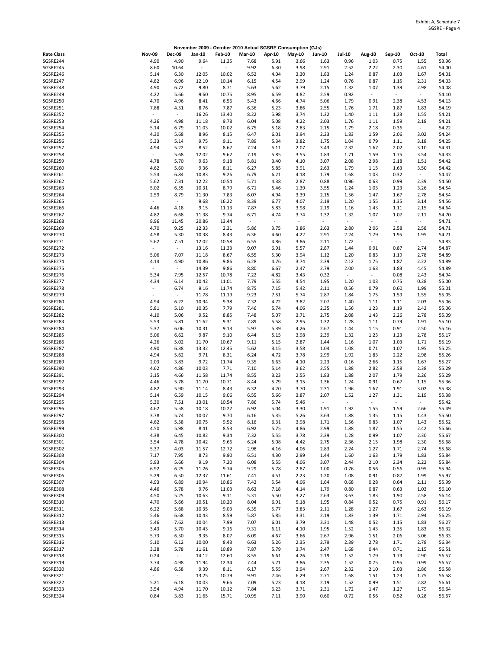|                      |                                  |                                  | November 2009 - October 2010 Actual SGSRE Consumption (GJs) |                          |                          |              |              |                          |                          |                          |                          |                          |                |
|----------------------|----------------------------------|----------------------------------|-------------------------------------------------------------|--------------------------|--------------------------|--------------|--------------|--------------------------|--------------------------|--------------------------|--------------------------|--------------------------|----------------|
| <b>Rate Class</b>    | <b>Nov-09</b>                    | <b>Dec-09</b>                    | Jan-10                                                      | <b>Feb-10</b>            | <b>Mar-10</b>            | Apr-10       | May-10       | <b>Jun-10</b>            | <b>Jul-10</b>            | Aug-10                   | Sep-10                   | Oct-10                   | Total          |
| SGSRE244             | 4.90                             | 4.90                             | 9.64                                                        | 11.35                    | 7.68                     | 5.91         | 3.66         | 1.63                     | 0.96                     | 1.03                     | 0.75                     | 1.55                     | 53.96          |
| SGSRE245             | 8.60                             | 10.64                            | $\blacksquare$                                              | $\overline{\phantom{a}}$ | 9.92                     | 6.30         | 3.98         | 2.91                     | 2.52                     | 2.22                     | 2.30                     | 4.61                     | 54.00          |
| SGSRE246             | 5.14                             | 6.30                             | 12.05                                                       | 10.02                    | 6.52                     | 4.04         | 3.30         | 1.83                     | 1.24                     | 0.87                     | 1.03                     | 1.67                     | 54.01          |
| SGSRE247<br>SGSRE248 | 4.82<br>4.90                     | 6.96<br>6.72                     | 12.10<br>9.80                                               | 10.14<br>8.71            | 6.15<br>5.63             | 4.54<br>5.62 | 2.99<br>3.79 | 1.24<br>2.15             | 0.76<br>1.32             | 0.87<br>1.07             | 1.15<br>1.39             | 2.31<br>2.98             | 54.03<br>54.08 |
| SGSRE249             | 4.22                             | 5.66                             | 9.60                                                        | 10.75                    | 8.95                     | 6.59         | 4.82         | 2.59                     | 0.92                     | $\overline{\phantom{a}}$ | $\overline{\phantom{a}}$ | $\sim$                   | 54.10          |
| SGSRE250             | 4.70                             | 4.96                             | 8.41                                                        | 6.56                     | 5.43                     | 4.66         | 4.74         | 5.06                     | 1.79                     | 0.91                     | 2.38                     | 4.53                     | 54.13          |
| SGSRE251             | 7.88                             | 4.51                             | 8.76                                                        | 7.87                     | 6.36                     | 5.23         | 3.86         | 2.55                     | 1.76                     | 1.71                     | 1.87                     | 1.83                     | 54.19          |
| SGSRE252             | $\overline{\phantom{a}}$         | $\overline{\phantom{a}}$         | 16.26                                                       | 13.40                    | 8.22                     | 5.98         | 3.74         | 1.32                     | 1.40                     | 1.11                     | 1.23                     | 1.55                     | 54.21          |
| SGSRE253             | 4.26                             | 4.98                             | 11.18                                                       | 9.78                     | 6.04                     | 5.08         | 4.22         | 2.03                     | 1.76                     | 1.11                     | 1.59                     | 2.18                     | 54.21          |
| SGSRE254             | 5.14                             | 6.79                             | 11.03                                                       | 10.02                    | 6.75                     | 5.18         | 2.83         | 2.15                     | 1.79                     | 2.18                     | 0.36                     | $\sim$                   | 54.22          |
| SGSRE255<br>SGSRE256 | 4.30<br>5.33                     | 5.68<br>5.14                     | 8.96<br>9.75                                                | 8.15<br>9.11             | 6.47                     | 6.01<br>5.34 | 3.94<br>3.82 | 2.23<br>1.75             | 1.83                     | 1.59<br>0.79             | 2.06<br>1.11             | 3.02                     | 54.24<br>54.25 |
| SGSRE257             | 4.94                             | 5.22                             | 8.52                                                        | 8.67                     | 7.89<br>7.24             | 5.11         | 2.07         | 3.43                     | 1.04<br>2.32             | 1.67                     | 2.02                     | 3.18<br>3.10             | 54.31          |
| SGSRE258             | $\overline{\phantom{a}}$         | 5.68                             | 12.02                                                       | 9.62                     | 7.19                     | 5.85         | 3.55         | 1.83                     | 1.71                     | 1.59                     | 1.75                     | 3.54                     | 54.33          |
| SGSRE259             | 4.78                             | 5.70                             | 9.63                                                        | 9.18                     | 5.81                     | 3.40         | 4.10         | 3.07                     | 2.08                     | 2.98                     | 2.18                     | 1.51                     | 54.42          |
| SGSRE260             | 4.62                             | 5.60                             | 9.36                                                        | 8.11                     | 6.27                     | 5.85         | 3.91         | 2.63                     | 1.79                     | 1.15                     | 1.63                     | 3.50                     | 54.42          |
| SGSRE261             | 5.54                             | 6.84                             | 10.83                                                       | 9.26                     | 6.79                     | 6.21         | 4.18         | 1.79                     | 1.68                     | 1.03                     | 0.32                     | $\sim$                   | 54.47          |
| SGSRE262             | 5.62                             | 7.31                             | 12.22                                                       | 10.54                    | 5.71                     | 4.38         | 2.87         | 0.88                     | 0.96                     | 0.63                     | 0.99                     | 2.39                     | 54.50          |
| SGSRE263             | 5.02                             | 6.55                             | 10.31                                                       | 8.79                     | 6.71                     | 5.46         | 1.39         | 3.55                     | 1.24                     | 1.03                     | 1.23                     | 3.26                     | 54.54          |
| SGSRE264<br>SGSRE265 | 2.59<br>$\overline{\phantom{a}}$ | 8.79<br>$\overline{\phantom{a}}$ | 11.30<br>9.68                                               | 7.83<br>16.22            | 6.07<br>8.39             | 4.94<br>6.77 | 3.39<br>4.07 | 2.15<br>2.19             | 1.56<br>1.20             | 1.47<br>1.55             | 1.67<br>1.35             | 2.78<br>3.14             | 54.54<br>54.56 |
| SGSRE266             | 4.46                             | 4.18                             | 9.15                                                        | 11.13                    | 7.87                     | 5.83         | 3.98         | 2.19                     | 1.16                     | 1.43                     | 1.11                     | 2.15                     | 54.64          |
| SGSRE267             | 4.82                             | 6.68                             | 11.38                                                       | 9.74                     | 6.71                     | 4.74         | 3.74         | 1.32                     | 1.32                     | 1.07                     | 1.07                     | 2.11                     | 54.70          |
| SGSRE268             | 8.96                             | 11.45                            | 20.86                                                       | 13.44                    | $\overline{\phantom{a}}$ | $\sim$       | ÷            | $\overline{\phantom{a}}$ | $\overline{\phantom{a}}$ | $\overline{\phantom{a}}$ | $\overline{\phantom{a}}$ | $\overline{\phantom{a}}$ | 54.71          |
| SGSRE269             | 4.70                             | 9.25                             | 12.33                                                       | 2.31                     | 5.86                     | 3.75         | 3.86         | 2.63                     | 2.80                     | 2.06                     | 2.58                     | 2.58                     | 54.71          |
| SGSRE270             | 4.58                             | 5.30                             | 10.38                                                       | 8.43                     | 6.36                     | 4.60         | 4.22         | 2.91                     | 2.24                     | 1.79                     | 1.95                     | 1.95                     | 54.71          |
| SGSRE271             | 5.62                             | 7.51                             | 12.02                                                       | 10.58                    | 6.55                     | 4.86         | 3.86         | 2.11                     | 1.72                     | $\overline{\phantom{a}}$ | $\blacksquare$           | $\overline{\phantom{a}}$ | 54.83          |
| SGSRE272             | $\overline{\phantom{a}}$         | $\overline{\phantom{a}}$         | 13.16                                                       | 11.33                    | 9.07                     | 6.91         | 5.57         | 2.87                     | 1.44                     | 0.91                     | 0.87                     | 2.74                     | 54.87          |
| SGSRE273<br>SGSRE274 | 5.06<br>4.14                     | 7.07<br>4.90                     | 11.18<br>10.86                                              | 8.67<br>9.86             | 6.55                     | 5.30<br>4.76 | 3.94<br>3.74 | 1.12<br>2.39             | 1.20<br>2.12             | 0.83<br>1.75             | 1.19<br>1.87             | 2.78<br>2.22             | 54.89<br>54.89 |
| SGSRE275             | $\overline{\phantom{a}}$         | $\sim$                           | 14.39                                                       | 9.86                     | 6.28<br>8.80             | 6.67         | 2.47         | 2.79                     | 2.00                     | 1.63                     | 1.83                     | 4.45                     | 54.89          |
| SGSRE276             | 5.34                             | 7.95                             | 12.57                                                       | 10.78                    | 7.22                     | 4.82         | 3.43         | 0.32                     | $\overline{\phantom{a}}$ | $\sim$                   | 0.08                     | 2.43                     | 54.94          |
| SGSRE277             | 4.34                             | 6.14                             | 10.42                                                       | 11.01                    | 7.79                     | 5.55         | 4.54         | 1.95                     | 1.20                     | 1.03                     | 0.75                     | 0.28                     | 55.00          |
| SGSRE278             | $\overline{\phantom{m}}$         | 6.74                             | 9.16                                                        | 11.74                    | 8.75                     | 7.15         | 5.42         | 2.11                     | 0.56                     | 0.79                     | 0.60                     | 1.99                     | 55.01          |
| SGSRE279             | $\bar{a}$                        | $\overline{\phantom{a}}$         | 11.78                                                       | 11.19                    | 9.23                     | 7.51         | 5.74         | 2.87                     | 1.84                     | 1.75                     | 1.59                     | 1.55                     | 55.05          |
| SGSRE280             | 4.94                             | 6.22                             | 10.94                                                       | 9.38                     | 7.32                     | 4.72         | 3.82         | 2.07                     | 1.40                     | 1.11                     | 1.11                     | 2.03                     | 55.06          |
| SGSRE281             | 5.81                             | 5.10                             | 10.35                                                       | 7.79                     | 7.46                     | 5.74         | 4.06         | 2.35                     | 1.56                     | 1.23                     | 1.19                     | 2.42                     | 55.06          |
| SGSRE282<br>SGSRE283 | 4.10<br>5.53                     | 5.06<br>5.81                     | 9.52<br>11.62                                               | 8.85<br>9.31             | 7.48<br>7.89             | 5.07<br>5.58 | 3.71<br>2.95 | 2.75<br>1.32             | 2.08<br>1.28             | 1.43<br>1.11             | 2.26<br>0.79             | 2.78<br>1.91             | 55.09<br>55.10 |
| SGSRE284             | 5.37                             | 6.06                             | 10.31                                                       | 9.13                     | 5.97                     | 5.39         | 4.26         | 2.67                     | 1.44                     | 1.15                     | 0.91                     | 2.50                     | 55.16          |
| SGSRE285             | 5.06                             | 6.62                             | 9.87                                                        | 9.10                     | 6.44                     | 5.15         | 3.98         | 2.39                     | 1.32                     | 1.23                     | 1.23                     | 2.78                     | 55.17          |
| SGSRE286             | 4.26                             | 5.02                             | 11.70                                                       | 10.67                    | 9.11                     | 5.15         | 2.87         | 1.44                     | 1.16                     | 1.07                     | 1.03                     | 1.71                     | 55.19          |
| SGSRE287             | 4.90                             | 6.38                             | 13.32                                                       | 12.45                    | 5.62                     | 3.15         | 3.58         | 1.04                     | 1.08                     | 0.71                     | 1.07                     | 1.95                     | 55.25          |
| SGSRE288             | 4.94                             | 5.62                             | 9.71                                                        | 8.31                     | 6.24                     | 4.72         | 3.78         | 2.99                     | 1.92                     | 1.83                     | 2.22                     | 2.98                     | 55.26          |
| SGSRE289             | 2.03                             | 3.83                             | 9.72                                                        | 11.74                    | 9.35                     | 6.63         | 4.10         | 2.23                     | 0.16                     | 2.66                     | 1.15                     | 1.67                     | 55.27          |
| SGSRE290             | 4.62                             | 4.86                             | 10.03                                                       | 7.71                     | 7.10                     | 5.14         | 3.62         | 2.55                     | 1.88                     | 2.82                     | 2.58                     | 2.38                     | 55.29          |
| SGSRE291<br>SGSRE292 | 3.15<br>4.46                     | 4.66<br>5.78                     | 11.58<br>11.70                                              | 11.74<br>10.71           | 8.55<br>8.44             | 3.23<br>5.79 | 2.55<br>3.15 | 1.83<br>1.36             | 1.88<br>1.24             | 2.07<br>0.91             | 1.79<br>0.67             | 2.26<br>1.15             | 55.29<br>55.36 |
| SGSRE293             | 4.82                             | 5.90                             | 11.14                                                       | 8.43                     | 6.32                     | 4.20         | 3.70         | 2.31                     | 1.96                     | 1.67                     | 1.91                     | 3.02                     | 55.38          |
| SGSRE294             | 5.14                             | 6.59                             | 10.15                                                       | 9.06                     | 6.55                     | 5.66         | 3.87         | 2.07                     | 1.52                     | 1.27                     | 1.31                     | 2.19                     | 55.38          |
| SGSRE295             | 5.30                             | 7.51                             | 13.01                                                       | 10.54                    | 7.86                     | 5.74         | 5.46         | $\overline{\phantom{a}}$ | $\sim$                   | $\overline{\phantom{a}}$ | $\overline{\phantom{a}}$ | $\overline{\phantom{a}}$ | 55.42          |
| SGSRE296             | 4.62                             | 5.58                             | 10.18                                                       | 10.22                    | 6.92                     | 5.04         | 3.30         | 1.91                     | 1.92                     | 1.55                     | 1.59                     | 2.66                     | 55.49          |
| SGSRE297             | 3.78                             | 5.74                             | 10.07                                                       | 9.70                     | 6.16                     | 5.35         | 5.26         | 3.63                     | 1.88                     | 1.35                     | 1.15                     | 1.43                     | 55.50          |
| SGSRE298<br>SGSRE299 | 4.62                             | 5.58                             | 10.75                                                       | 9.52                     | 8.16                     | 6.31         | 3.98         | 1.71                     | 1.56                     | 0.83                     | 1.07                     | 1.43                     | 55.52          |
| SGSRE300             | 4.50<br>4.38                     | 5.98<br>6.45                     | 8.41<br>10.82                                               | 8.53<br>9.34             | 6.92<br>7.32             | 5.75<br>5.55 | 4.86<br>3.78 | 2.99<br>2.39             | 1.88<br>1.28             | 1.87<br>0.99             | 1.55<br>1.07             | 2.42<br>2.30             | 55.66<br>55.67 |
| SGSRE301             | 3.54                             | 4.78                             | 10.42                                                       | 9.66                     | 6.24                     | 5.08         | 4.42         | 2.75                     | 2.36                     | 2.15                     | 1.98                     | 2.30                     | 55.68          |
| SGSRE302             | 5.37                             | 4.03                             | 11.57                                                       | 12.72                    | 2.98                     | 4.16         | 4.06         | 2.83                     | 2.24                     | 1.27                     | 1.71                     | 2.74                     | 55.68          |
| SGSRE303             | 7.17                             | 7.95                             | 8.73                                                        | 9.90                     | 6.51                     | 4.30         | 2.99         | 1.44                     | 1.60                     | 1.63                     | 1.79                     | 1.83                     | 55.84          |
| SGSRE304             | 5.93                             | 5.66                             | 9.19                                                        | 7.20                     | 6.08                     | 5.55         | 4.06         | 3.07                     | 2.44                     | 2.10                     | 2.34                     | 2.22                     | 55.84          |
| SGSRE305             | 6.92                             | 6.25                             | 11.26                                                       | 9.74                     | 9.29                     | 5.78         | 2.87         | 1.00                     | 0.76                     | 0.56                     | 0.56                     | 0.95                     | 55.94          |
| SGSRE306             | 5.29                             | 6.50                             | 12.37                                                       | 11.61                    | 7.41                     | 4.51         | 2.23         | 1.20                     | 1.08                     | 0.91                     | 0.87                     | 1.99                     | 55.97          |
| SGSRE307<br>SGSRE308 | 4.93<br>4.46                     | 6.89<br>5.78                     | 10.94<br>9.76                                               | 10.86<br>11.03           | 7.42<br>8.63             | 5.54<br>7.18 | 4.06<br>4.14 | 1.64<br>1.79             | 0.68<br>0.80             | 0.28<br>0.87             | 0.64<br>0.63             | 2.11<br>1.03             | 55.99<br>56.10 |
| SGSRE309             | 4.50                             | 5.25                             | 10.63                                                       | 9.11                     | 5.31                     | 5.50         | 3.27         | 2.63                     | 3.63                     | 1.83                     | 1.90                     | 2.58                     | 56.14          |
| SGSRE310             | 4.70                             | 5.66                             | 10.51                                                       | 10.20                    | 8.04                     | 6.91         | 5.18         | 1.95                     | 0.84                     | 0.52                     | 0.75                     | 0.91                     | 56.17          |
| SGSRE311             | 6.22                             | 5.68                             | 10.35                                                       | 9.03                     | 6.35                     | 5.77         | 3.83         | 2.11                     | 1.28                     | 1.27                     | 1.67                     | 2.63                     | 56.19          |
| SGSRE312             | 5.46                             | 6.68                             | 10.43                                                       | 8.59                     | 5.87                     | 5.85         | 3.31         | 2.19                     | 1.83                     | 1.39                     | 1.71                     | 2.94                     | 56.25          |
| SGSRE313             | 5.46                             | 7.62                             | 10.04                                                       | 7.99                     | 7.07                     | 6.01         | 3.79         | 3.31                     | 1.48                     | 0.52                     | 1.15                     | 1.83                     | 56.27          |
| SGSRE314             | 3.43                             | 5.70                             | 10.43                                                       | 9.16                     | 9.31                     | 6.11         | 4.10         | 1.95                     | 1.52                     | 1.43                     | 1.35                     | 1.83                     | 56.32          |
| SGSRE315             | 5.73                             | 6.50                             | 9.35                                                        | 8.07                     | 6.09                     | 4.67         | 3.66         | 2.67                     | 2.96                     | 1.51                     | 2.06                     | 3.06                     | 56.33          |
| SGSRE316<br>SGSRE317 | 5.10<br>3.38                     | 6.12<br>5.78                     | 10.00<br>11.61                                              | 8.43<br>10.89            | 6.63<br>7.87             | 5.26<br>5.79 | 2.35<br>3.74 | 2.79<br>2.47             | 2.39<br>1.68             | 2.78<br>0.44             | 1.71<br>0.71             | 2.78<br>2.15             | 56.34<br>56.51 |
| SGSRE318             | 0.24                             | $\sim$                           | 14.12                                                       | 12.60                    | 8.55                     | 6.61         | 4.26         | 2.19                     | 1.52                     | 1.79                     | 1.79                     | 2.90                     | 56.57          |
| SGSRE319             | 3.74                             | 4.98                             | 11.94                                                       | 12.34                    | 7.44                     | 5.71         | 3.86         | 2.35                     | 1.52                     | 0.75                     | 0.95                     | 0.99                     | 56.57          |
| SGSRE320             | 4.86                             | 6.58                             | 9.39                                                        | 8.11                     | 6.17                     | 5.55         | 3.94         | 2.67                     | 2.32                     | 2.10                     | 2.03                     | 2.86                     | 56.58          |
| SGSRE321             |                                  | $\overline{\phantom{a}}$         | 13.25                                                       | 10.79                    | 9.91                     | 7.46         | 6.29         | 2.71                     | 1.68                     | 1.51                     | 1.23                     | 1.75                     | 56.58          |
| SGSRE322             | 5.21                             | 6.18                             | 10.03                                                       | 9.66                     | 7.09                     | 5.23         | 4.18         | 2.19                     | 1.52                     | 0.99                     | 1.51                     | 2.82                     | 56.61          |
| SGSRE323             | 3.54                             | 4.94                             | 11.70                                                       | 10.12                    | 7.84                     | 6.23         | 3.71         | 2.31                     | 1.72                     | 1.47                     | 1.27                     | 1.79                     | 56.64          |
| SGSRE324             | 0.84                             | 3.83                             | 11.65                                                       | 15.71                    | 10.95                    | 7.11         | 3.90         | 0.60                     | 0.72                     | 0.56                     | 0.52                     | 0.28                     | 56.67          |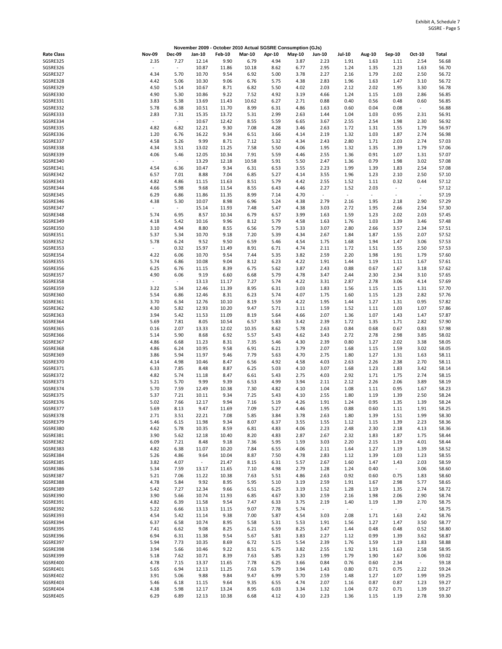|                   |                          |                          |        |               |               |        | November 2009 - October 2010 Actual SGSRE Consumption (GJs) |                          |                          |        |                          |                          |              |
|-------------------|--------------------------|--------------------------|--------|---------------|---------------|--------|-------------------------------------------------------------|--------------------------|--------------------------|--------|--------------------------|--------------------------|--------------|
| <b>Rate Class</b> | <b>Nov-09</b>            | <b>Dec-09</b>            | Jan-10 | <b>Feb-10</b> | <b>Mar-10</b> | Apr-10 | May-10                                                      | <b>Jun-10</b>            | <b>Jul-10</b>            | Aug-10 | Sep-10                   | Oct-10                   | <b>Total</b> |
| SGSRE325          | 2.35                     | 7.27                     | 12.14  | 9.90          | 6.79          | 4.94   | 3.87                                                        | 2.23                     | 1.91                     | 1.63   | 1.11                     | 2.54                     | 56.68        |
| SGSRE326          | $\blacksquare$           | $\overline{\phantom{a}}$ | 10.87  | 11.86         | 10.18         | 8.62   | 6.77                                                        | 2.95                     | 1.24                     | 1.35   | 1.23                     | 1.63                     | 56.70        |
| SGSRE327          | 4.34                     | 5.70                     | 10.70  | 9.54          | 6.92          | 5.00   | 3.78                                                        | 2.27                     | 2.16                     | 1.79   | 2.02                     | 2.50                     | 56.72        |
|                   |                          |                          |        |               |               |        |                                                             |                          |                          |        |                          |                          |              |
| SGSRE328          | 4.42                     | 5.06                     | 10.30  | 9.06          | 6.76          | 5.75   | 4.38                                                        | 2.83                     | 1.96                     | 1.63   | 1.47                     | 3.10                     | 56.72        |
| SGSRE329          | 4.50                     | 5.14                     | 10.67  | 8.71          | 6.82          | 5.50   | 4.02                                                        | 2.03                     | 2.12                     | 2.02   | 1.95                     | 3.30                     | 56.78        |
| SGSRE330          | 4.90                     | 5.30                     | 10.86  | 9.22          | 7.52          | 4.92   | 3.19                                                        | 4.66                     | 1.24                     | 1.15   | 1.03                     | 2.86                     | 56.85        |
| SGSRE331          | 3.83                     | 5.38                     | 13.69  | 11.43         | 10.62         | 6.27   | 2.71                                                        | 0.88                     | 0.40                     | 0.56   | 0.48                     | 0.60                     | 56.85        |
| SGSRE332          | 5.78                     | 6.38                     | 10.51  | 11.70         | 8.99          | 6.31   | 4.86                                                        | 1.63                     | 0.60                     | 0.04   | 0.08                     | $\overline{\phantom{a}}$ | 56.88        |
| SGSRE333          | 2.83                     | 7.31                     | 15.35  | 13.72         | 5.31          | 2.99   | 2.63                                                        | 1.44                     | 1.04                     | 1.03   | 0.95                     | 2.31                     | 56.91        |
|                   |                          |                          |        |               |               |        |                                                             |                          |                          |        |                          |                          |              |
| SGSRE334          | $\overline{\phantom{a}}$ | $\overline{\phantom{a}}$ | 10.67  | 12.42         | 8.55          | 5.59   | 6.65                                                        | 3.67                     | 2.55                     | 2.54   | 1.98                     | 2.30                     | 56.92        |
| SGSRE335          | 4.82                     | 6.82                     | 12.21  | 9.30          | 7.08          | 4.28   | 3.46                                                        | 2.63                     | 1.72                     | 1.31   | 1.55                     | 1.79                     | 56.97        |
| SGSRE336          | 1.20                     | 6.76                     | 16.22  | 9.34          | 6.51          | 3.66   | 4.14                                                        | 2.19                     | 1.32                     | 1.03   | 1.87                     | 2.74                     | 56.98        |
| SGSRE337          | 4.58                     | 5.26                     | 9.99   | 8.71          | 7.12          | 5.32   | 4.34                                                        | 2.43                     | 2.80                     | 1.71   | 2.03                     | 2.74                     | 57.03        |
| SGSRE338          | 4.34                     | 3.51                     | 13.02  | 11.25         | 7.58          | 5.50   | 4.06                                                        | 1.95                     | 1.32                     | 1.35   | 1.39                     | 1.79                     | 57.06        |
| SGSRE339          | 4.06                     | 5.46                     | 12.05  | 10.34         | 7.91          | 5.59   | 4.46                                                        | 2.55                     | 1.36                     | 0.91   | 1.07                     | 1.31                     | 57.07        |
|                   |                          |                          |        |               |               |        |                                                             |                          |                          |        |                          |                          |              |
| SGSRE340          | $\bar{a}$                | $\overline{\phantom{a}}$ | 13.29  | 12.18         | 10.58         | 5.91   | 5.50                                                        | 2.47                     | 1.36                     | 0.79   | 1.98                     | 3.02                     | 57.08        |
| SGSRE341          | 4.54                     | 6.36                     | 10.47  | 9.34          | 6.31          | 6.53   | 3.55                                                        | 2.23                     | 1.99                     | 1.39   | 1.83                     | 2.54                     | 57.08        |
| SGSRE342          | 6.57                     | 7.01                     | 8.88   | 7.04          | 6.85          | 5.27   | 4.14                                                        | 3.55                     | 1.96                     | 1.23   | 2.10                     | 2.50                     | 57.10        |
| SGSRE343          | 4.82                     | 4.86                     | 11.15  | 11.63         | 8.51          | 5.79   | 4.42                                                        | 2.55                     | 1.52                     | 1.11   | 0.32                     | 0.44                     | 57.12        |
| SGSRE344          | 4.66                     | 5.98                     | 9.68   | 11.54         | 8.55          | 6.43   | 4.46                                                        | 2.27                     | 1.52                     | 2.03   | $\overline{\phantom{a}}$ | $\sim$                   | 57.12        |
| SGSRE345          | 6.29                     | 6.86                     | 11.86  | 11.35         | 8.99          | 7.14   | 4.70                                                        | $\overline{\phantom{a}}$ | $\overline{\phantom{a}}$ | $\sim$ | $\sim$                   | $\overline{\phantom{a}}$ | 57.19        |
| SGSRE346          |                          |                          | 10.07  |               |               |        | 4.38                                                        | 2.79                     |                          |        |                          | 2.90                     | 57.29        |
|                   | 4.38                     | 5.30                     |        | 8.98          | 6.96          | 5.24   |                                                             |                          | 2.16                     | 1.95   | 2.18                     |                          |              |
| SGSRE347          | $\overline{\phantom{a}}$ | $\overline{\phantom{a}}$ | 15.14  | 11.93         | 7.48          | 5.47   | 4.38                                                        | 3.03                     | 2.72                     | 1.95   | 2.66                     | 2.54                     | 57.30        |
| SGSRE348          | 5.74                     | 6.95                     | 8.57   | 10.34         | 6.79          | 6.57   | 3.99                                                        | 1.63                     | 1.59                     | 1.23   | 2.02                     | 2.03                     | 57.45        |
| SGSRE349          | 4.18                     | 5.42                     | 10.16  | 9.96          | 8.12          | 5.79   | 4.58                                                        | 1.63                     | 1.76                     | 1.03   | 1.39                     | 3.46                     | 57.48        |
| SGSRE350          | 3.10                     | 4.94                     | 8.80   | 8.55          | 6.56          | 5.79   | 5.33                                                        | 3.07                     | 2.80                     | 2.66   | 3.57                     | 2.34                     | 57.51        |
| SGSRE351          | 5.37                     | 5.34                     | 10.70  | 9.18          | 7.20          | 5.39   | 4.34                                                        | 2.67                     | 1.84                     | 1.87   | 1.55                     | 2.07                     | 57.52        |
|                   |                          |                          |        |               |               |        |                                                             |                          |                          |        |                          |                          |              |
| SGSRE352          | 5.78                     | 6.24                     | 9.52   | 9.50          | 6.59          | 5.46   | 4.54                                                        | 1.75                     | 1.68                     | 1.94   | 1.47                     | 3.06                     | 57.53        |
| SGSRE353          | $\overline{\phantom{a}}$ | 0.32                     | 15.97  | 11.49         | 8.91          | 6.71   | 4.74                                                        | 2.11                     | 1.72                     | 1.51   | 1.55                     | 2.50                     | 57.53        |
| SGSRE354          | 4.22                     | 6.06                     | 10.70  | 9.54          | 7.44          | 5.35   | 3.82                                                        | 2.59                     | 2.20                     | 1.98   | 1.91                     | 1.79                     | 57.60        |
| SGSRE355          | 5.74                     | 6.86                     | 10.08  | 9.04          | 8.12          | 6.23   | 4.22                                                        | 1.91                     | 1.44                     | 1.19   | 1.11                     | 1.67                     | 57.61        |
| SGSRE356          | 6.25                     | 6.76                     | 11.15  | 8.39          | 6.75          | 5.62   | 3.87                                                        | 2.43                     | 0.88                     | 0.67   | 1.67                     | 3.18                     | 57.62        |
| SGSRE357          | 4.90                     | 6.06                     | 9.19   | 6.60          | 6.68          | 5.79   | 4.78                                                        | 3.47                     | 2.44                     | 2.30   | 2.34                     | 3.10                     | 57.65        |
| SGSRE358          | $\overline{\phantom{a}}$ | $\overline{\phantom{a}}$ | 13.13  | 11.17         | 7.27          | 5.74   | 4.22                                                        | 3.31                     | 2.87                     | 2.78   | 3.06                     | 4.14                     | 57.69        |
|                   |                          |                          |        |               |               |        |                                                             |                          |                          |        |                          |                          |              |
| SGSRE359          | 3.22                     | 5.34                     | 12.46  | 11.39         | 8.95          | 6.31   | 3.03                                                        | 1.83                     | 1.56                     | 1.15   | 1.15                     | 1.31                     | 57.70        |
| SGSRE360          | 5.54                     | 6.86                     | 12.46  | 8.31          | 6.23          | 5.74   | 4.07                                                        | 1.75                     | 1.60                     | 1.15   | 1.23                     | 2.82                     | 57.76        |
| SGSRE361          | 3.70                     | 6.34                     | 12.76  | 10.10         | 8.19          | 5.59   | 4.22                                                        | 1.95                     | 1.44                     | 1.27   | 1.31                     | 0.95                     | 57.82        |
| SGSRE362          | 4.30                     | 5.82                     | 12.93  | 10.20         | 9.47          | 5.71   | 3.11                                                        | 1.59                     | 1.52                     | 1.11   | 1.03                     | 1.07                     | 57.86        |
| SGSRE363          | 3.94                     | 5.42                     | 11.53  | 11.09         | 8.19          | 5.64   | 4.66                                                        | 2.07                     | 1.36                     | 1.07   | 1.43                     | 1.47                     | 57.87        |
| SGSRE364          | 5.69                     | 7.81                     | 8.05   | 10.54         | 6.57          | 5.83   | 3.42                                                        | 2.39                     | 1.72                     | 1.35   | 1.71                     | 2.82                     | 57.90        |
|                   |                          |                          |        |               |               |        |                                                             |                          |                          |        |                          |                          |              |
| SGSRE365          | 0.16                     | 2.07                     | 13.33  | 12.02         | 10.35         | 8.62   | 5.78                                                        | 2.63                     | 0.84                     | 0.68   | 0.67                     | 0.83                     | 57.98        |
| SGSRE366          | 5.14                     | 5.90                     | 8.68   | 6.92          | 5.57          | 5.43   | 4.62                                                        | 3.43                     | 2.72                     | 2.78   | 2.98                     | 3.85                     | 58.02        |
| SGSRE367          | 4.86                     | 6.68                     | 11.23  | 8.31          | 7.35          | 5.46   | 4.30                                                        | 2.39                     | 0.80                     | 1.27   | 2.02                     | 3.38                     | 58.05        |
| SGSRE368          | 4.86                     | 6.24                     | 10.95  | 9.58          | 6.91          | 6.21   | 3.79                                                        | 2.07                     | 1.68                     | 1.15   | 1.59                     | 3.02                     | 58.05        |
| SGSRE369          | 3.86                     | 5.94                     | 11.97  | 9.46          | 7.79          | 5.63   | 4.70                                                        | 2.75                     | 1.80                     | 1.27   | 1.31                     | 1.63                     | 58.11        |
| SGSRE370          | 4.14                     | 4.98                     | 10.46  | 8.47          | 6.56          | 4.92   | 4.58                                                        | 4.03                     | 2.63                     | 2.26   | 2.38                     | 2.70                     | 58.11        |
|                   |                          |                          |        |               |               |        |                                                             |                          |                          |        |                          |                          |              |
| SGSRE371          | 6.33                     | 7.85                     | 8.48   | 8.87          | 6.25          | 5.03   | 4.10                                                        | 3.07                     | 1.68                     | 1.23   | 1.83                     | 3.42                     | 58.14        |
| SGSRE372          | 4.82                     | 5.74                     | 11.18  | 8.47          | 6.61          | 5.43   | 2.75                                                        | 4.03                     | 2.92                     | 1.71   | 1.75                     | 2.74                     | 58.15        |
| SGSRE373          | 5.21                     | 5.70                     | 9.99   | 9.39          | 6.53          | 4.99   | 3.94                                                        | 2.11                     | 2.12                     | 2.26   | 2.06                     | 3.89                     | 58.19        |
| SGSRE374          | 5.70                     | 7.59                     | 12.49  | 10.38         | 7.30          | 4.82   | 4.10                                                        | 1.04                     | 1.08                     | 1.11   | 0.95                     | 1.67                     | 58.23        |
| SGSRE375          | 5.37                     | 7.21                     | 10.11  | 9.34          | 7.25          | 5.43   | 4.10                                                        | 2.55                     | 1.80                     | 1.19   | 1.39                     | 2.50                     | 58.24        |
| SGSRE376          | 5.02                     | 7.66                     | 12.17  | 9.94          | 7.16          | 5.19   | 4.26                                                        | 1.91                     | 1.24                     | 0.95   | 1.35                     | 1.39                     | 58.24        |
| SGSRE377          | 5.69                     | 8.13                     | 9.47   | 11.69         | 7.09          | 5.27   | 4.46                                                        | 1.95                     | 0.88                     | 0.60   |                          | 1.91                     | 58.25        |
|                   |                          |                          |        |               |               |        |                                                             |                          |                          |        | 1.11                     |                          |              |
| SGSRE378          | 2.71                     | 3.51                     | 22.21  | 7.08          | 5.85          | 3.84   | 3.78                                                        | 2.63                     | 1.80                     | 1.39   | 1.51                     | 1.99                     | 58.30        |
| SGSRE379          | 5.46                     | 6.15                     | 11.98  | 9.34          | 8.07          | 6.37   | 3.55                                                        | 1.55                     | 1.12                     | 1.15   | 1.39                     | 2.23                     | 58.36        |
| SGSRE380          | 4.62                     | 5.78                     | 10.35  | 8.59          | 6.81          | 4.83   | 4.06                                                        | 2.23                     | 2.48                     | 2.30   | 2.18                     | 4.13                     | 58.36        |
| SGSRE381          | 3.90                     | 5.62                     | 12.18  | 10.40         | 8.20          | 4.83   | 2.87                                                        | 2.67                     | 2.32                     | 1.83   | 1.87                     | 1.75                     | 58.44        |
| SGSRE382          | 6.09                     | 7.21                     | 8.48   | 9.18          | 7.36          | 5.95   | 1.59                                                        | 3.03                     | 2.20                     | 2.15   | 1.19                     | 4.01                     | 58.44        |
| SGSRE383          | 4.82                     | 6.38                     | 11.07  | 10.20         | 7.84          | 6.55   | 4.06                                                        | 2.11                     | 1.64                     | 1.27   | 1.19                     | 1.39                     | 58.52        |
| SGSRE384          | 5.26                     | 4.86                     | 9.64   | 10.04         | 8.87          | 7.50   | 4.78                                                        | 2.83                     | 1.12                     | 1.39   | 1.03                     | 1.23                     | 58.55        |
| SGSRE385          |                          |                          |        |               |               |        |                                                             |                          |                          |        |                          |                          |              |
|                   | 3.82                     | 4.07                     | $\sim$ | 21.47         | 8.15          | 6.31   | 5.57                                                        | 2.67                     | 1.60                     | 1.47   | 1.43                     | 2.03                     | 58.59        |
| SGSRE386          | 5.34                     | 7.59                     | 13.17  | 11.65         | 7.10          | 4.98   | 2.79                                                        | 1.28                     | 1.24                     | 0.40   | $\sim$                   | 3.06                     | 58.60        |
| SGSRE387          | 5.21                     | 7.06                     | 11.22  | 10.38         | 7.63          | 5.51   | 4.86                                                        | 2.63                     | 0.92                     | 0.60   | 0.75                     | 1.83                     | 58.60        |
| SGSRE388          | 4.78                     | 5.84                     | 9.92   | 8.95          | 5.95          | 5.10   | 3.19                                                        | 2.59                     | 1.91                     | 1.67   | 2.98                     | 5.77                     | 58.65        |
| SGSRE389          | 5.42                     | 7.27                     | 12.34  | 9.66          | 6.51          | 6.25   | 3.19                                                        | 1.52                     | 1.28                     | 1.19   | 1.35                     | 2.74                     | 58.72        |
| SGSRE390          | 3.90                     | 5.66                     | 10.74  | 11.93         | 6.85          | 4.67   | 3.30                                                        | 2.59                     | 2.16                     | 1.98   | 2.06                     | 2.90                     | 58.74        |
| SGSRE391          | 4.82                     | 6.39                     | 11.58  | 9.54          | 7.47          | 6.33   | 3.75                                                        | 2.19                     | 1.40                     | 1.19   | 1.39                     | 2.70                     | 58.75        |
|                   |                          |                          |        |               |               |        |                                                             |                          |                          |        |                          |                          |              |
| SGSRE392          | 5.22                     | 6.66                     | 13.13  | 11.15         | 9.07          | 7.78   | 5.74                                                        | $\sim$                   | $\overline{\phantom{a}}$ | $\sim$ | $\sim$                   | $\sim$                   | 58.75        |
| SGSRE393          | 4.54                     | 5.42                     | 11.14  | 9.38          | 7.00          | 5.87   | 4.54                                                        | 3.03                     | 2.08                     | 1.71   | 1.63                     | 2.42                     | 58.76        |
| SGSRE394          | 6.37                     | 6.58                     | 10.74  | 8.95          | 5.58          | 5.31   | 5.53                                                        | 1.91                     | 1.56                     | 1.27   | 1.47                     | 3.50                     | 58.77        |
| SGSRE395          | 7.41                     | 6.62                     | 9.08   | 8.25          | 6.21          | 6.59   | 8.25                                                        | 3.47                     | 1.44                     | 0.48   | 0.48                     | 0.52                     | 58.80        |
| SGSRE396          | 6.94                     | 6.31                     | 11.38  | 9.54          | 5.67          | 5.81   | 3.83                                                        | 2.27                     | 1.12                     | 0.99   | 1.39                     | 3.62                     | 58.87        |
| SGSRE397          | 5.94                     | 7.73                     | 10.35  | 8.69          | 6.72          | 5.15   | 5.54                                                        | 2.39                     | 1.76                     | 1.59   | 1.19                     | 1.83                     | 58.88        |
|                   |                          |                          |        |               |               |        |                                                             |                          |                          |        |                          |                          |              |
| SGSRE398          | 3.94                     | 5.66                     | 10.46  | 9.22          | 8.51          | 6.75   | 3.82                                                        | 2.55                     | 1.92                     | 1.91   | 1.63                     | 2.58                     | 58.95        |
| SGSRE399          | 5.18                     | 7.62                     | 10.71  | 8.39          | 7.63          | 5.85   | 3.23                                                        | 1.99                     | 1.79                     | 1.90   | 1.67                     | 3.06                     | 59.02        |
| SGSRE400          | 4.78                     | 7.15                     | 13.37  | 11.65         | 7.78          | 6.25   | 3.66                                                        | 0.84                     | 0.76                     | 0.60   | 2.34                     | $\sim$                   | 59.18        |
| SGSRE401          | 5.65                     | 6.94                     | 12.13  | 11.25         | 7.63          | 5.79   | 3.94                                                        | 1.43                     | 0.80                     | 0.71   | 0.75                     | 2.22                     | 59.24        |
| SGSRE402          | 3.91                     | 5.06                     | 9.88   | 9.84          | 9.47          | 6.99   | 5.70                                                        | 2.59                     | 1.48                     | 1.27   | 1.07                     | 1.99                     | 59.25        |
| SGSRE403          | 5.46                     | 6.18                     | 11.15  | 9.64          | 9.35          | 6.55   | 4.74                                                        | 2.07                     | 1.16                     | 0.87   | 0.87                     | 1.23                     | 59.27        |
|                   |                          |                          |        |               |               |        |                                                             |                          |                          |        |                          |                          |              |
| SGSRE404          | 4.38                     | 5.98                     | 12.17  | 13.24         | 8.95          | 6.03   | 3.34                                                        | 1.32                     | 1.04                     | 0.72   | 0.71                     | 1.39                     | 59.27        |
| SGSRE405          | 6.29                     | 6.89                     | 12.13  | 10.38         | 6.68          | 4.12   | 4.10                                                        | 2.23                     | 1.36                     | 1.15   | 1.19                     | 2.78                     | 59.30        |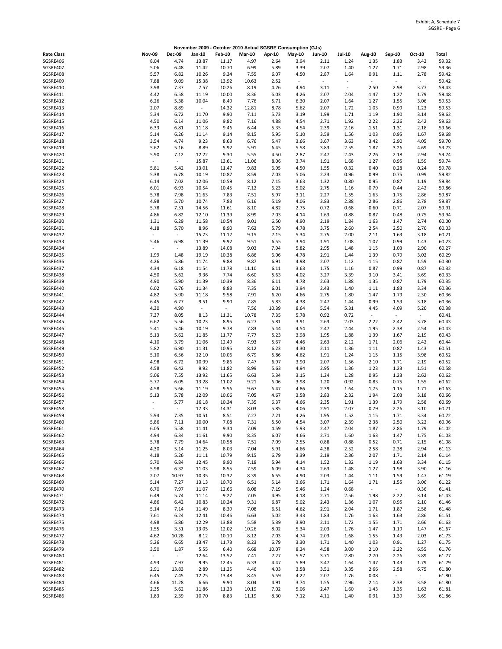|                      |                                  |                                  |                                  |                                   |               |               | November 2009 - October 2010 Actual SGSRE Consumption (GJs) |                                  |                          |                                  |                                  |                                  |                |
|----------------------|----------------------------------|----------------------------------|----------------------------------|-----------------------------------|---------------|---------------|-------------------------------------------------------------|----------------------------------|--------------------------|----------------------------------|----------------------------------|----------------------------------|----------------|
| <b>Rate Class</b>    | <b>Nov-09</b>                    | <b>Dec-09</b>                    | Jan-10                           | <b>Feb-10</b>                     | <b>Mar-10</b> | Apr-10        | <b>May-10</b>                                               | Jun-10                           | <b>Jul-10</b>            | Aug-10                           | Sep-10                           | Oct-10                           | Total          |
| SGSRE406             | 8.04                             | 4.74                             | 13.87                            | 11.17                             | 4.97          | 2.64          | 3.94                                                        | 2.11                             | 1.24                     | 1.35                             | 1.83                             | 3.42                             | 59.32          |
| SGSRE407             | 5.06                             | 6.48                             | 11.42                            | 10.70                             | 6.99          | 5.89          | 3.39                                                        | 2.07                             | 1.40                     | 1.27                             | 1.71                             | 2.98                             | 59.36          |
| SGSRE408<br>SGSRE409 | 5.57<br>7.88                     | 6.82<br>9.09                     | 10.26<br>15.38                   | 9.34<br>13.92                     | 7.55<br>10.63 | 6.07<br>2.52  | 4.50<br>$\overline{\phantom{a}}$                            | 2.87<br>$\overline{\phantom{a}}$ | 1.64<br>$\sim$           | 0.91<br>$\overline{\phantom{a}}$ | 1.11<br>$\overline{\phantom{a}}$ | 2.78<br>$\sim$                   | 59.42<br>59.42 |
| SGSRE410             | 3.98                             | 7.37                             | 7.57                             | 10.26                             | 8.19          | 4.76          | 4.94                                                        | 3.11                             | $\overline{\phantom{a}}$ | 2.50                             | 2.98                             | 3.77                             | 59.43          |
| SGSRE411             | 4.42                             | 6.58                             | 11.19                            | 10.00                             | 8.36          | 6.03          | 4.26                                                        | 2.07                             | 2.04                     | 1.47                             | 1.27                             | 1.79                             | 59.48          |
| SGSRE412             | 6.26                             | 5.38                             | 10.04                            | 8.49                              | 7.76          | 5.71          | 6.30                                                        | 2.07                             | 1.64                     | 1.27                             | 1.55                             | 3.06                             | 59.53          |
| SGSRE413             | 2.07                             | 8.89                             | $\overline{\phantom{a}}$         | 14.32                             | 12.81         | 8.78          | 5.62                                                        | 2.07                             | 1.72                     | 1.03                             | 0.99                             | 1.23                             | 59.53          |
| SGSRE414             | 5.34                             | 6.72                             | 11.70                            | 9.90                              | 7.11          | 5.73          | 3.19                                                        | 1.99                             | 1.71                     | 1.19                             | 1.90                             | 3.14                             | 59.62          |
| SGSRE415<br>SGSRE416 | 4.50<br>6.33                     | 6.14<br>6.81                     | 11.06<br>11.18                   | 9.82<br>9.46                      | 7.16<br>6.44  | 4.88<br>5.35  | 4.54<br>4.54                                                | 2.71<br>2.39                     | 1.92<br>2.16             | 2.22<br>1.51                     | 2.26<br>1.31                     | 2.42<br>2.18                     | 59.63<br>59.66 |
| SGSRE417             | 5.14                             | 6.26                             | 11.14                            | 9.14                              | 8.15          | 5.95          | 5.10                                                        | 3.59                             | 1.56                     | 1.03                             | 0.95                             | 1.67                             | 59.68          |
| SGSRE418             | 3.54                             | 4.74                             | 9.23                             | 8.63                              | 6.76          | 5.47          | 3.66                                                        | 3.67                             | 3.63                     | 3.42                             | 2.90                             | 4.05                             | 59.70          |
| SGSRE419             | 5.62                             | 5.16                             | 8.89                             | 5.92                              | 5.91          | 6.45          | 5.58                                                        | 3.83                             | 2.55                     | 1.87                             | 3.26                             | 4.69                             | 59.73          |
| SGSRE420             | 5.90                             | 7.12                             | 12.22                            | 9.30                              | 5.55          | 4.50          | 2.87                                                        | 2.47                             | 2.43                     | 2.26                             | 2.18                             | 2.94                             | 59.74          |
| SGSRE421<br>SGSRE422 | $\sim$                           | $\overline{\phantom{a}}$<br>5.42 | 15.87<br>13.01                   | 13.61                             | 11.06<br>9.83 | 8.06<br>6.95  | 3.74<br>4.50                                                | 1.91                             | 1.68<br>0.32             | 1.27                             | 0.95<br>0.28                     | 1.59<br>0.24                     | 59.74<br>59.78 |
| SGSRE423             | 5.81<br>5.38                     | 6.78                             | 10.19                            | 11.47<br>10.87                    | 8.59          | 7.03          | 5.06                                                        | 1.55<br>2.23                     | 0.96                     | 0.40<br>0.99                     | 0.75                             | 0.99                             | 59.82          |
| SGSRE424             | 6.14                             | 7.02                             | 12.06                            | 10.59                             | 8.12          | 7.15          | 3.63                                                        | 1.32                             | 0.80                     | 0.95                             | 0.87                             | 1.19                             | 59.84          |
| SGSRE425             | 6.01                             | 6.93                             | 10.54                            | 10.45                             | 7.12          | 6.23          | 5.02                                                        | 2.75                             | 1.16                     | 0.79                             | 0.44                             | 2.42                             | 59.86          |
| SGSRE426             | 5.78                             | 7.98                             | 11.63                            | 7.83                              | 7.51          | 5.97          | 3.11                                                        | 2.27                             | 1.55                     | 1.63                             | 1.75                             | 2.86                             | 59.87          |
| SGSRE427             | 4.98                             | 5.70                             | 10.74                            | 7.83                              | 6.16          | 5.19          | 4.06                                                        | 3.83                             | 2.88                     | 2.86                             | 2.86                             | 2.78                             | 59.87          |
| SGSRE428             | 5.78                             | 7.51                             | 14.56                            | 11.61                             | 8.10          | 4.82          | 2.75                                                        | 0.72                             | 0.68                     | 0.60                             | 0.71                             | 2.07                             | 59.91          |
| SGSRE429<br>SGSRE430 | 4.86<br>1.31                     | 6.82<br>6.29                     | 12.10<br>11.58                   | 11.39<br>10.54                    | 8.99<br>9.01  | 7.03<br>6.50  | 4.14<br>4.90                                                | 1.63<br>2.19                     | 0.88<br>1.84             | 0.87<br>1.63                     | 0.48<br>1.47                     | 0.75<br>2.74                     | 59.94<br>60.00 |
| SGSRE431             | 4.18                             | 5.70                             | 8.96                             | 8.90                              | 7.63          | 5.79          | 4.78                                                        | 3.75                             | 2.60                     | 2.54                             | 2.50                             | 2.70                             | 60.03          |
| SGSRE432             | $\overline{\phantom{a}}$         | $\overline{\phantom{a}}$         | 15.73                            | 11.17                             | 9.15          | 7.15          | 5.34                                                        | 2.75                             | 2.00                     | 2.11                             | 1.63                             | 3.18                             | 60.21          |
| SGSRE433             | 5.46                             | 6.98                             | 11.39                            | 9.92                              | 9.51          | 6.55          | 3.94                                                        | 1.91                             | 1.08                     | 1.07                             | 0.99                             | 1.43                             | 60.23          |
| SGSRE434             | $\sim$                           | $\overline{\phantom{a}}$         | 13.89                            | 14.08                             | 9.03          | 7.94          | 5.82                                                        | 2.95                             | 1.48                     | 1.15                             | 1.03                             | 2.90                             | 60.27          |
| SGSRE435             | 1.99                             | 1.48                             | 19.19                            | 10.38                             | 6.86          | 6.06          | 4.78                                                        | 2.91                             | 1.44                     | 1.39                             | 0.79                             | 3.02                             | 60.29          |
| SGSRE436<br>SGSRE437 | 4.26<br>4.34                     | 5.86<br>6.18                     | 11.74<br>11.54                   | 9.88<br>11.78                     | 9.87<br>11.10 | 6.91<br>6.11  | 4.98<br>3.63                                                | 2.07<br>1.75                     | 1.12<br>1.16             | 1.15<br>0.87                     | 0.87<br>0.99                     | 1.59<br>0.87                     | 60.30<br>60.32 |
| SGSRE438             | 4.50                             | 5.62                             | 9.36                             | 7.74                              | 6.60          | 5.63          | 4.02                                                        | 3.27                             | 3.39                     | 3.10                             | 3.41                             | 3.69                             | 60.33          |
| SGSRE439             | 4.90                             | 5.90                             | 11.39                            | 10.39                             | 8.36          | 6.11          | 4.78                                                        | 2.63                             | 1.88                     | 1.35                             | 0.87                             | 1.79                             | 60.35          |
| SGSRE440             | 6.02                             | 6.76                             | 11.34                            | 8.83                              | 7.35          | 6.01          | 3.94                                                        | 2.43                             | 1.40                     | 1.11                             | 1.83                             | 3.34                             | 60.36          |
| SGSRE441             | 4.82                             | 5.90                             | 11.18                            | 9.58                              | 7.91          | 6.20          | 4.66                                                        | 2.75                             | 1.80                     | 1.47                             | 1.79                             | 2.30                             | 60.36          |
| SGSRE442             | 6.45                             | 6.77                             | 9.51                             | 9.90                              | 7.85          | 5.83          | 4.38                                                        | 2.47                             | 1.44                     | 0.99                             | 1.59                             | 3.18                             | 60.36          |
| SGSRE443<br>SGSRE444 | 4.30<br>7.37                     | 4.90<br>8.05                     | $\overline{\phantom{a}}$<br>8.13 | $\overline{\phantom{a}}$<br>11.31 | 7.56<br>10.78 | 10.39<br>7.35 | 8.64<br>5.78                                                | 5.54<br>0.92                     | 5.31<br>0.72             | 4.45<br>$\overline{\phantom{a}}$ | 4.09<br>$\sim$                   | 5.20<br>$\overline{\phantom{a}}$ | 60.38<br>60.41 |
| SGSRE445             | 6.62                             | 5.56                             | 10.23                            | 8.95                              | 6.27          | 5.81          | 3.91                                                        | 2.63                             | 2.03                     | 2.22                             | 2.42                             | 3.78                             | 60.43          |
| SGSRE446             | 5.41                             | 5.46                             | 10.19                            | 9.78                              | 7.83          | 5.44          | 4.54                                                        | 2.47                             | 2.44                     | 1.95                             | 2.38                             | 2.54                             | 60.43          |
| SGSRE447             | 5.13                             | 5.62                             | 11.85                            | 11.77                             | 7.77          | 5.23          | 3.98                                                        | 1.95                             | 1.88                     | 1.39                             | 1.67                             | 2.19                             | 60.43          |
| SGSRE448             | 4.10                             | 3.79                             | 11.06                            | 12.49                             | 7.93          | 5.67          | 4.46                                                        | 2.63                             | 2.12                     | 1.71                             | 2.06                             | 2.42                             | 60.44          |
| SGSRE449             | 5.82                             | 6.90                             | 11.31                            | 10.95                             | 8.12          | 6.23          | 4.30                                                        | 2.11                             | 1.36                     | 1.11                             | 0.87                             | 1.43                             | 60.51          |
| SGSRE450<br>SGSRE451 | 5.10<br>4.98                     | 6.56<br>6.72                     | 12.10<br>10.99                   | 10.06<br>9.86                     | 6.79<br>7.47  | 5.86<br>6.97  | 4.62<br>3.90                                                | 1.91<br>2.07                     | 1.24<br>1.56             | 1.15<br>2.10                     | 1.15<br>1.71                     | 3.98<br>2.19                     | 60.52<br>60.52 |
| SGSRE452             | 4.58                             | 6.42                             | 9.92                             | 11.82                             | 8.99          | 5.63          | 4.94                                                        | 2.95                             | 1.36                     | 1.23                             | 1.23                             | 1.51                             | 60.58          |
| SGSRE453             | 5.06                             | 7.55                             | 13.92                            | 11.65                             | 6.63          | 5.34          | 3.15                                                        | 1.24                             | 1.28                     | 0.95                             | 1.23                             | 2.62                             | 60.62          |
| SGSRE454             | 5.77                             | 6.05                             | 13.28                            | 11.02                             | 9.21          | 6.06          | 3.98                                                        | 1.20                             | 0.92                     | 0.83                             | 0.75                             | 1.55                             | 60.62          |
| SGSRE455             | 4.58                             | 5.66                             | 11.19                            | 9.56                              | 9.67          | 6.47          | 4.86                                                        | 2.39                             | 1.64                     | 1.75                             | 1.15                             | 1.71                             | 60.63          |
| SGSRE456<br>SGSRE457 | 5.13<br>$\overline{\phantom{a}}$ | 5.78<br>5.77                     | 12.09<br>16.18                   | 10.06<br>10.34                    | 7.05<br>7.35  | 4.67<br>6.37  | 3.58<br>4.66                                                | 2.83<br>2.35                     | 2.32<br>1.91             | 1.94<br>1.39                     | 2.03<br>1.79                     | 3.18<br>2.58                     | 60.66<br>60.69 |
| SGSRE458             |                                  |                                  | 17.33                            | 14.31                             | 8.03          | 5.85          | 4.06                                                        | 2.91                             | 2.07                     | 0.79                             | 2.26                             | 3.10                             | 60.71          |
| SGSRE459             | 5.94                             | 7.35                             | 10.51                            | 8.51                              | 7.27          | 7.21          | 4.26                                                        | 1.95                             | 1.52                     | 1.15                             | 1.71                             | 3.34                             | 60.72          |
| SGSRE460             | 5.86                             | 7.11                             | 10.00                            | 7.08                              | 7.31          | 5.50          | 4.54                                                        | 3.07                             | 2.39                     | 2.38                             | 2.50                             | 3.22                             | 60.96          |
| SGSRE461             | 6.05                             | 5.58                             | 11.41                            | 9.34                              | 7.09          | 4.59          | 5.93                                                        | 2.47                             | 2.04                     | 1.87                             | 2.86                             | 1.79                             | 61.02          |
| SGSRE462             | 4.94                             | 6.34                             | 11.61                            | 9.90                              | 8.35          | 6.07          | 4.66                                                        | 2.71                             | 1.60                     | 1.63                             | 1.47                             | 1.75                             | 61.03          |
| SGSRE463<br>SGSRE464 | 5.78<br>4.30                     | 7.79<br>5.14                     | 14.64<br>11.25                   | 10.58<br>8.03                     | 7.51<br>7.04  | 7.09<br>5.91  | 2.55<br>4.66                                                | 0.88<br>4.38                     | 0.88<br>2.52             | 0.52<br>2.58                     | 0.71<br>2.38                     | 2.15<br>2.94                     | 61.08<br>61.13 |
| SGSRE465             | 4.18                             | 5.26                             | 11.11                            | 10.79                             | 9.15          | 6.79          | 3.39                                                        | 2.19                             | 2.36                     | 2.07                             | 1.71                             | 2.14                             | 61.14          |
| SGSRE466             | 5.70                             | 6.84                             | 12.45                            | 9.90                              | 7.18          | 5.94          | 4.14                                                        | 1.52                             | 1.32                     | 1.19                             | 1.63                             | 3.34                             | 61.15          |
| SGSRE467             | 5.98                             | 6.32                             | 11.03                            | 8.55                              | 7.59          | 6.09          | 4.34                                                        | 2.63                             | 1.48                     | 1.27                             | 1.98                             | 3.90                             | 61.16          |
| SGSRE468             | 2.07                             | 10.97                            | 10.35                            | 10.32                             | 8.39          | 6.55          | 4.90                                                        | 2.03                             | 1.44                     | 1.11                             | 1.59                             | 1.47                             | 61.19          |
| SGSRE469             | 5.14                             | 7.27                             | 13.13                            | 10.70                             | 6.51          | 5.14          | 3.66                                                        | 1.71                             | 1.64                     | 1.71                             | 1.55<br>$\sim$                   | 3.06                             | 61.22          |
| SGSRE470<br>SGSRE471 | 6.70<br>6.49                     | 7.97<br>5.74                     | 11.07<br>11.14                   | 12.66<br>9.27                     | 8.08<br>7.05  | 7.19<br>4.95  | 5.46<br>4.18                                                | 1.24<br>2.71                     | 0.68<br>2.56             | $\sim$<br>1.98                   | 2.22                             | 0.36<br>3.14                     | 61.41<br>61.43 |
| SGSRE472             | 4.86                             | 6.42                             | 10.83                            | 10.24                             | 9.31          | 6.87          | 5.02                                                        | 2.43                             | 1.36                     | 1.07                             | 0.95                             | 2.10                             | 61.46          |
| SGSRE473             | 5.14                             | 7.14                             | 11.49                            | 8.39                              | 7.08          | 6.51          | 4.62                                                        | 2.91                             | 2.04                     | 1.71                             | 1.87                             | 2.58                             | 61.48          |
| SGSRE474             | 7.61                             | 6.24                             | 12.41                            | 10.46                             | 6.63          | 5.02          | 3.43                                                        | 1.83                             | 1.76                     | 1.63                             | 1.63                             | 2.86                             | 61.51          |
| SGSRE475             | 4.98                             | 5.86                             | 12.29                            | 13.88                             | 5.58          | 5.39          | 3.90                                                        | 2.11                             | 1.72                     | 1.55                             | 1.71                             | 2.66                             | 61.63          |
| SGSRE476             | 1.55                             | 3.51                             | 13.05                            | 12.02                             | 10.26         | 8.02          | 5.34                                                        | 2.03                             | 1.76                     | 1.47                             | 1.19                             | 1.47                             | 61.67          |
| SGSRE477<br>SGSRE478 | 4.62<br>5.26                     | 10.28<br>6.65                    | 8.12<br>13.47                    | 10.10<br>11.73                    | 8.12<br>8.23  | 7.03<br>6.79  | 4.74<br>3.30                                                | 2.03<br>1.71                     | 1.68<br>1.40             | 1.55<br>1.03                     | 1.43<br>0.91                     | 2.03<br>1.27                     | 61.73<br>61.75 |
| SGSRE479             | 3.50                             | 1.87                             | 5.55                             | 6.40                              | 6.68          | 10.07         | 8.24                                                        | 4.58                             | 3.00                     | 2.10                             | 3.22                             | 6.55                             | 61.76          |
| SGSRE480             |                                  | $\sim$                           | 12.64                            | 13.52                             | 7.41          | 7.27          | 5.57                                                        | 3.71                             | 2.80                     | 2.70                             | 2.26                             | 3.89                             | 61.77          |
| SGSRE481             | 4.93                             | 7.97                             | 9.95                             | 12.45                             | 6.33          | 4.47          | 5.89                                                        | 3.47                             | 1.64                     | 1.47                             | 1.43                             | 1.79                             | 61.79          |
| SGSRE482             | 2.91                             | 13.83                            | 2.89                             | 11.25                             | 4.46          | 4.03          | 3.58                                                        | 3.51                             | 3.35                     | 2.66                             | 2.58                             | 6.75                             | 61.80          |
| SGSRE483             | 6.45                             | 7.45                             | 12.25                            | 13.48                             | 8.45          | 5.59          | 4.22                                                        | 2.07                             | 1.76                     | 0.08                             | $\overline{\phantom{a}}$         | $\overline{\phantom{a}}$         | 61.80          |
| SGSRE484<br>SGSRE485 | 4.66<br>2.35                     | 11.28<br>5.62                    | 6.66<br>11.86                    | 9.90<br>11.23                     | 8.04<br>10.19 | 4.91<br>7.02  | 3.74<br>5.06                                                | 1.55<br>2.47                     | 2.96<br>1.60             | 2.14<br>1.43                     | 2.38<br>1.35                     | 3.58<br>1.63                     | 61.80<br>61.81 |
| SGSRE486             | 1.83                             | 2.39                             | 10.70                            | 8.83                              | 11.19         | 8.30          | 7.12                                                        | 4.11                             | 1.40                     | 0.91                             | 1.39                             | 3.69                             | 61.86          |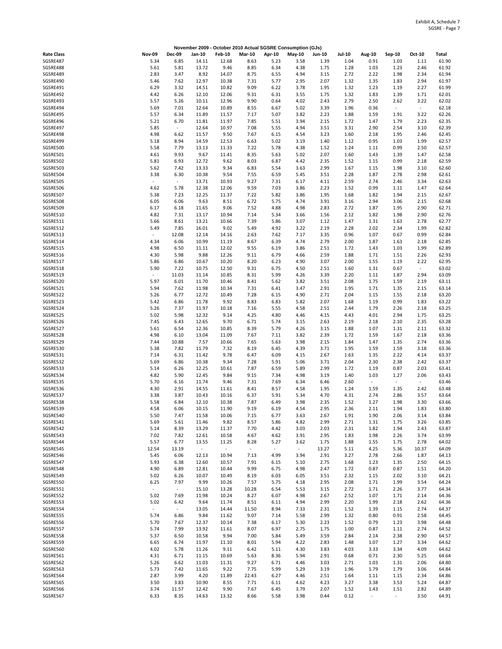|                      |                                  |                                  |                |                |               |              | November 2009 - October 2010 Actual SGSRE Consumption (GJs) |               |               |                          |                          |                                  |                |
|----------------------|----------------------------------|----------------------------------|----------------|----------------|---------------|--------------|-------------------------------------------------------------|---------------|---------------|--------------------------|--------------------------|----------------------------------|----------------|
| <b>Rate Class</b>    | <b>Nov-09</b>                    | <b>Dec-09</b>                    | Jan-10         | <b>Feb-10</b>  | <b>Mar-10</b> | Apr-10       | <b>May-10</b>                                               | <b>Jun-10</b> | <b>Jul-10</b> | Aug-10                   | Sep-10                   | Oct-10                           | Total          |
| SGSRE487             | 5.34                             | 6.85                             | 14.11          | 12.68          | 8.63          | 5.23         | 3.58                                                        | 1.39          | 1.04          | 0.91                     | 1.03                     | 1.11                             | 61.90          |
| SGSRE488             | 5.61                             | 5.81                             | 13.72          | 9.46           | 8.85          | 6.34         | 4.38                                                        | 1.75          | 1.28          | 1.03                     | 1.23                     | 2.46                             | 61.92          |
| SGSRE489<br>SGSRE490 | 2.83<br>5.46                     | 3.47<br>7.62                     | 8.92<br>12.97  | 14.07<br>10.38 | 8.75<br>7.31  | 6.55<br>5.77 | 4.94<br>2.95                                                | 3.15<br>2.07  | 2.72<br>1.32  | 2.22<br>1.35             | 1.98<br>1.83             | 2.34<br>2.94                     | 61.94<br>61.97 |
| SGSRE491             | 6.29                             | 3.32                             | 14.51          | 10.82          | 9.09          | 6.22         | 3.78                                                        | 1.95          | 1.32          | 1.23                     | 1.19                     | 2.27                             | 61.99          |
| SGSRE492             | 4.42                             | 6.26                             | 12.10          | 12.06          | 9.31          | 6.31         | 3.55                                                        | 1.75          | 1.32          | 1.83                     | 1.39                     | 1.71                             | 62.01          |
| SGSRE493             | 5.57                             | 5.26                             | 10.11          | 12.96          | 9.90          | 0.64         | 4.02                                                        | 2.43          | 2.79          | 2.50                     | 2.62                     | 3.22                             | 62.02          |
| SGSRE494             | 5.69                             | 7.01                             | 12.64          | 10.89          | 8.55          | 6.67         | 5.02                                                        | 3.39          | 1.96          | 0.36                     | $\overline{\phantom{a}}$ | $\overline{\phantom{a}}$         | 62.18          |
| SGSRE495             | 5.57                             | 6.34                             | 11.89          | 11.57          | 7.17          | 5.07         | 3.82                                                        | 2.23          | 1.88          | 1.59                     | 1.91                     | 3.22                             | 62.26          |
| SGSRE496             | 5.21                             | 6.70                             | 11.81          | 11.97          | 7.85          | 5.51         | 3.94                                                        | 2.15          | 1.72          | 1.47                     | 1.79                     | 2.23                             | 62.35          |
| SGSRE497<br>SGSRE498 | 5.85<br>4.98                     | $\sim$<br>6.62                   | 12.64<br>11.57 | 10.97<br>9.50  | 7.08<br>7.67  | 5.55<br>6.15 | 4.94<br>4.54                                                | 3.51<br>3.23  | 3.31<br>1.60  | 2.90<br>2.18             | 2.54<br>1.95             | 3.10<br>2.46                     | 62.39<br>62.45 |
| SGSRE499             | 5.18                             | 8.94                             | 14.59          | 12.53          | 6.63          | 5.02         | 3.19                                                        | 1.40          | 1.12          | 0.95                     | 1.03                     | 1.99                             | 62.57          |
| SGSRE500             | 5.58                             | 7.79                             | 13.13          | 11.33          | 7.22          | 5.78         | 4.38                                                        | 1.52          | 1.24          | 1.11                     | 0.99                     | 2.50                             | 62.57          |
| SGSRE501             | 4.61                             | 9.93                             | 9.67           | 11.41          | 8.35          | 5.63         | 5.02                                                        | 2.07          | 1.60          | 1.43                     | 1.39                     | 1.47                             | 62.58          |
| SGSRE502             | 5.81                             | 6.93                             | 12.72          | 9.62           | 8.03          | 6.87         | 4.42                                                        | 2.35          | 1.52          | 1.15                     | 0.99                     | 2.18                             | 62.59          |
| SGSRE503             | 5.62                             | 7.42                             | 13.33          | 9.34           | 6.83          | 5.54         | 3.63                                                        | 2.99          | 1.67          | 1.15                     | 1.98                     | 3.10                             | 62.60          |
| SGSRE504<br>SGSRE505 | 3.38<br>$\overline{\phantom{a}}$ | 6.30<br>$\overline{\phantom{a}}$ | 10.38<br>13.71 | 9.54<br>10.93  | 7.55<br>9.27  | 6.59<br>7.31 | 5.45<br>6.17                                                | 3.51          | 2.28<br>2.59  | 1.87<br>2.74             | 2.78                     | 2.98<br>3.34                     | 62.61<br>62.63 |
| SGSRE506             | 4.62                             | 5.78                             | 12.38          | 12.06          | 9.59          | 7.03         | 3.86                                                        | 4.11<br>2.23  | 1.52          | 0.99                     | 2.46<br>1.11             | 1.47                             | 62.64          |
| SGSRE507             | 5.38                             | 7.23                             | 12.25          | 11.37          | 7.22          | 5.82         | 3.86                                                        | 1.95          | 1.68          | 1.82                     | 1.94                     | 2.15                             | 62.67          |
| SGSRE508             | 6.05                             | 6.06                             | 9.63           | 8.51           | 6.72          | 5.75         | 4.74                                                        | 3.91          | 3.16          | 2.94                     | 3.06                     | 2.15                             | 62.68          |
| SGSRE509             | 6.17                             | 6.18                             | 11.65          | 9.06           | 7.52          | 4.88         | 4.98                                                        | 2.83          | 2.72          | 1.87                     | 1.95                     | 2.90                             | 62.71          |
| SGSRE510             | 4.82                             | 7.31                             | 13.17          | 10.94          | 7.14          | 5.34         | 3.66                                                        | 1.56          | 2.12          | 1.82                     | 1.98                     | 2.90                             | 62.76          |
| SGSRE511             | 5.66                             | 8.61                             | 13.21          | 10.66          | 7.39          | 5.86         | 3.07                                                        | 1.12          | 1.47          | 1.31                     | 1.63                     | 2.78                             | 62.77          |
| SGSRE512<br>SGSRE513 | 5.49<br>$\overline{\phantom{a}}$ | 7.85                             | 16.01          | 9.02           | 5.49          | 4.92         | 3.22                                                        | 2.19          | 2.28          | 2.02                     | 2.34                     | 1.99                             | 62.82          |
| SGSRE514             | 4.34                             | 12.08<br>6.06                    | 12.14<br>10.99 | 14.16<br>11.19 | 2.63<br>8.67  | 7.62<br>6.39 | 7.17<br>4.74                                                | 3.35<br>2.79  | 0.96<br>2.00  | 1.07<br>1.87             | 0.67<br>1.63             | 0.99<br>2.18                     | 62.84<br>62.85 |
| SGSRE515             | 4.98                             | 6.50                             | 11.11          | 12.02          | 9.55          | 6.19         | 3.86                                                        | 2.51          | 1.72          | 1.43                     | 1.03                     | 1.99                             | 62.89          |
| SGSRE516             | 4.30                             | 5.98                             | 9.88           | 12.26          | 9.11          | 6.79         | 4.66                                                        | 2.59          | 1.88          | 1.71                     | 1.51                     | 2.26                             | 62.93          |
| SGSRE517             | 5.86                             | 6.86                             | 10.67          | 10.20          | 8.20          | 6.23         | 4.90                                                        | 3.07          | 2.00          | 1.55                     | 1.19                     | 2.22                             | 62.95          |
| SGSRE518             | 5.90                             | 7.22                             | 10.75          | 12.50          | 9.31          | 6.75         | 4.50                                                        | 2.51          | 1.60          | 1.31                     | 0.67                     | $\overline{\phantom{a}}$         | 63.02          |
| SGSRE519             | $\overline{\phantom{a}}$         | 11.03                            | 11.14          | 10.85          | 8.31          | 5.99         | 4.26                                                        | 3.39          | 2.20          | 1.11                     | 1.87                     | 2.94                             | 63.09          |
| SGSRE520<br>SGSRE521 | 5.97<br>5.94                     | 6.01<br>7.62                     | 11.70<br>11.98 | 10.46<br>10.34 | 8.41<br>7.31  | 5.62<br>6.41 | 3.82<br>3.47                                                | 3.51<br>2.91  | 2.08<br>1.95  | 1.75<br>1.71             | 1.59<br>1.35             | 2.19<br>2.15                     | 63.11          |
| SGSRE522             | 5.26                             | 6.77                             | 12.72          | 10.49          | 7.28          | 6.15         | 4.90                                                        | 2.71          | 2.04          | 1.15                     | 1.55                     | 2.18                             | 63.14<br>63.20 |
| SGSRE523             | 5.42                             | 6.86                             | 11.78          | 9.92           | 8.83          | 6.83         | 5.82                                                        | 2.07          | 1.68          | 1.19                     | 0.99                     | 1.83                             | 63.22          |
| SGSRE524             | 5.26                             | 7.37                             | 11.97          | 10.18          | 7.16          | 5.55         | 4.58                                                        | 2.51          | 2.44          | 1.79                     | 2.26                     | 2.18                             | 63.25          |
| SGSRE525             | 5.02                             | 5.98                             | 12.32          | 9.14           | 4.25          | 4.80         | 4.46                                                        | 4.15          | 4.43          | 4.01                     | 2.94                     | 1.75                             | 63.25          |
| SGSRE526             | 7.45                             | 6.43                             | 12.65          | 9.70           | 6.71          | 5.74         | 3.15                                                        | 2.63          | 2.19          | 2.18                     | 2.10                     | 2.35                             | 63.28          |
| SGSRE527             | 5.61                             | 6.54                             | 12.36          | 10.85          | 8.39          | 5.79         | 4.26                                                        | 3.15          | 1.88          | 1.07                     | 1.31                     | 2.11                             | 63.32          |
| SGSRE528<br>SGSRE529 | 4.98<br>7.44                     | 6.10<br>10.88                    | 13.04<br>7.57  | 11.09<br>10.66 | 7.67<br>7.65  | 7.11<br>5.63 | 3.82<br>3.98                                                | 2.39<br>2.15  | 1.72<br>1.84  | 1.59<br>1.47             | 1.67<br>1.35             | 2.18<br>2.74                     | 63.36<br>63.36 |
| SGSRE530             | 5.38                             | 7.82                             | 11.79          | 7.32           | 8.19          | 6.45         | 4.39                                                        | 3.71          | 1.95          | 1.59                     | 1.59                     | 3.18                             | 63.36          |
| SGSRE531             | 7.14                             | 6.31                             | 11.42          | 9.78           | 6.47          | 6.09         | 4.15                                                        | 2.67          | 1.63          | 1.35                     | 2.22                     | 4.14                             | 63.37          |
| SGSRE532             | 5.69                             | 6.86                             | 10.38          | 9.34           | 7.28          | 5.91         | 5.06                                                        | 3.71          | 2.04          | 2.30                     | 2.38                     | 2.42                             | 63.37          |
| SGSRE533             | 5.14                             | 6.26                             | 12.25          | 10.61          | 7.87          | 6.59         | 5.89                                                        | 2.99          | 1.72          | 1.19                     | 0.87                     | 2.03                             | 63.41          |
| SGSRE534             | 4.82                             | 5.90                             | 12.45          | 9.84           | 9.15          | 7.34         | 4.98                                                        | 3.19          | 1.40          | 1.03                     | 1.27                     | 2.06                             | 63.43          |
| SGSRE535             | 5.70                             | 6.16<br>2.91                     | 11.74          | 9.46           | 7.31          | 7.69         | 6.34<br>4.58                                                | 6.46          | 2.60          | $\sim$                   | $\overline{\phantom{a}}$ | $\overline{\phantom{a}}$<br>2.42 | 63.46          |
| SGSRE536<br>SGSRE537 | 4.30<br>3.38                     | 3.87                             | 14.55<br>10.43 | 11.61<br>10.16 | 8.41<br>6.37  | 8.57<br>5.91 | 5.34                                                        | 1.95<br>4.70  | 1.24<br>4.31  | 1.59<br>2.74             | 1.35<br>2.86             | 3.57                             | 63.48<br>63.64 |
| SGSRE538             | 5.58                             | 6.84                             | 12.10          | 10.38          | 7.87          | 6.49         | 3.98                                                        | 2.35          | 1.52          | 1.27                     | 1.98                     | 3.30                             | 63.66          |
| SGSRE539             | 4.58                             | 6.06                             | 10.15          | 11.90          | 9.19          | 6.19         | 4.54                                                        | 2.95          | 2.36          | 2.11                     | 1.94                     | 1.83                             | 63.80          |
| SGSRE540             | 5.50                             | 7.47                             | 11.58          | 10.06          | 7.15          | 6.77         | 3.63                                                        | 2.67          | 1.91          | 1.90                     | 2.06                     | 3.14                             | 63.84          |
| SGSRE541             | 5.69                             | 5.61                             | 11.46          | 9.82           | 8.57          | 5.86         | 4.82                                                        | 2.99          | 2.71          | 1.31                     | 1.75                     | 3.26                             | 63.85          |
| SGSRE542             | 5.14                             | 8.39                             | 13.29          | 11.37          | 7.70          | 4.42         | 3.03                                                        | 2.03          | 2.31          | 1.82                     | 1.94                     | 2.43                             | 63.87          |
| SGSRE543<br>SGSRE544 | 7.02<br>5.57                     | 7.82<br>6.77                     | 12.61<br>13.55 | 10.58<br>11.25 | 4.67<br>8.28  | 4.62<br>5.27 | 3.91<br>3.62                                                | 2.95<br>1.75  | 1.83<br>1.88  | 1.98<br>1.55             | 2.26<br>1.75             | 3.74<br>2.78                     | 63.99<br>64.02 |
| SGSRE545             | 12.54                            | 13.19                            | $\sim$         | $\sim$         | $\sim$        | $\sim$       | $\overline{\phantom{a}}$                                    | 13.27         | 5.11          | 4.25                     | 5.36                     | 10.37                            | 64.09          |
| SGSRE546             | 5.45                             | 6.06                             | 12.13          | 10.94          | 7.13          | 4.99         | 3.94                                                        | 2.91          | 3.27          | 2.78                     | 2.66                     | 1.87                             | 64.13          |
| SGSRE547             | 5.93                             | 6.38                             | 12.60          | 10.57          | 7.91          | 6.15         | 5.10                                                        | 2.75          | 1.68          | 1.23                     | 1.35                     | 2.50                             | 64.15          |
| SGSRE548             | 4.90                             | 6.89                             | 12.81          | 10.44          | 9.99          | 6.75         | 4.98                                                        | 2.47          | 1.72          | 0.87                     | 0.87                     | 1.51                             | 64.20          |
| SGSRE549             | 5.02                             | 6.26                             | 10.07          | 10.49          | 8.19          | 6.03         | 6.05                                                        | 3.51          | 2.32          | 1.15                     | 2.02                     | 3.10                             | 64.21          |
| SGSRE550             | 6.25                             | 7.97                             | 9.99           | 10.26          | 7.57          | 5.75         | 4.18                                                        | 2.95          | 2.08          | 1.71                     | 1.99                     | 3.54                             | 64.24          |
| SGSRE551<br>SGSRE552 | $\overline{\phantom{a}}$<br>5.02 | $\sim$<br>7.69                   | 15.10<br>11.98 | 13.28<br>10.24 | 10.28<br>8.27 | 6.54<br>6.07 | 5.53<br>4.98                                                | 3.15<br>2.67  | 2.72<br>2.52  | 1.71<br>1.07             | 2.26<br>1.71             | 3.77<br>2.14                     | 64.34<br>64.36 |
| SGSRE553             | 5.02                             | 6.42                             | 9.64           | 11.74          | 8.51          | 6.11         | 4.94                                                        | 2.99          | 2.20          | 1.99                     | 2.18                     | 2.62                             | 64.36          |
| SGSRE554             | $\sim$                           | $\sim$                           | 13.05          | 14.44          | 11.50         | 8.94         | 7.33                                                        | 2.31          | 1.52          | 1.39                     | 1.15                     | 2.74                             | 64.37          |
| SGSRE555             | 5.74                             | 6.86                             | 9.84           | 11.62          | 9.07          | 7.14         | 5.58                                                        | 2.99          | 1.32          | 0.80                     | 0.91                     | 2.58                             | 64.45          |
| SGSRE556             | 5.70                             | 7.67                             | 12.37          | 10.14          | 7.38          | 6.17         | 5.30                                                        | 2.23          | 1.52          | 0.79                     | 1.23                     | 3.98                             | 64.48          |
| SGSRE557             | 5.74                             | 7.99                             | 13.92          | 11.61          | 8.07          | 6.97         | 2.75                                                        | 1.75          | 1.00          | 0.87                     | 1.11                     | 2.74                             | 64.52          |
| SGSRE558             | 5.37                             | 6.50                             | 10.58          | 9.94           | 7.00          | 5.84         | 5.49                                                        | 3.59          | 2.84          | 2.14                     | 2.38                     | 2.90                             | 64.57          |
| SGSRE559<br>SGSRE560 | 6.65<br>4.02                     | 6.74<br>5.78                     | 11.97          | 11.10<br>9.11  | 8.01          | 5.94<br>5.11 | 4.22<br>4.30                                                | 2.83<br>3.83  | 1.48<br>4.03  | 1.07                     | 1.27<br>3.34             | 3.34<br>4.09                     | 64.62<br>64.62 |
| SGSRE561             | 4.31                             | 6.71                             | 11.26<br>11.15 | 10.69          | 6.42<br>5.63  | 8.36         | 5.94                                                        | 2.91          | 0.68          | 3.33<br>0.71             | 2.30                     | 5.25                             | 64.64          |
| SGSRE562             | 5.26                             | 6.62                             | 11.03          | 11.31          | 9.27          | 6.71         | 4.46                                                        | 3.03          | 2.71          | 1.03                     | 1.31                     | 2.06                             | 64.80          |
| SGSRE563             | 5.73                             | 7.42                             | 11.65          | 9.22           | 7.75          | 5.99         | 5.29                                                        | 3.19          | 1.96          | 1.79                     | 1.79                     | 3.06                             | 64.84          |
| SGSRE564             | 2.87                             | 3.99                             | 4.20           | 11.89          | 22.43         | 6.27         | 4.46                                                        | 2.51          | 1.64          | 1.11                     | 1.15                     | 2.34                             | 64.86          |
| SGSRE565             | 3.50                             | 3.83                             | 10.90          | 8.55           | 7.71          | 6.11         | 4.62                                                        | 4.23          | 3.27          | 3.38                     | 3.53                     | 5.24                             | 64.87          |
| SGSRE566             | 3.74                             | 11.57                            | 12.42          | 9.90           | 7.67          | 6.45         | 3.79                                                        | 2.07          | 1.52          | 1.43                     | 1.51                     | 2.82                             | 64.89          |
| SGSRE567             | 6.33                             | 8.35                             | 14.63          | 13.32          | 8.66          | 5.58         | 3.98                                                        | 0.44          | 0.12          | $\overline{\phantom{a}}$ | $\overline{\phantom{a}}$ | 3.50                             | 64.91          |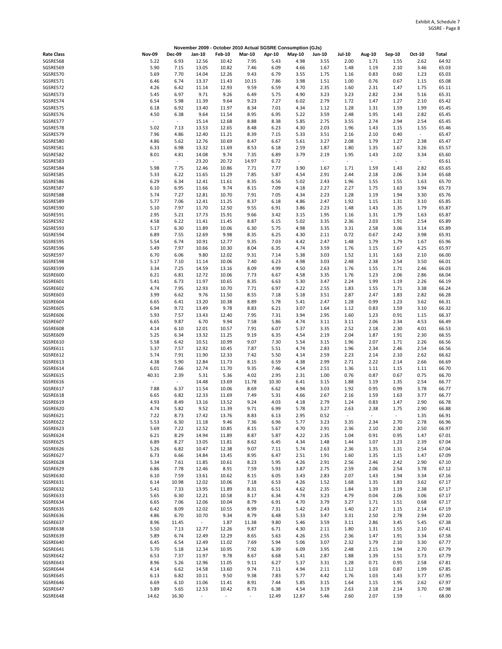|                      |                                  |                                  |                                   |                |                          |              | November 2009 - October 2010 Actual SGSRE Consumption (GJs) |                                  |                                  |                          |                                  |                                  |                |
|----------------------|----------------------------------|----------------------------------|-----------------------------------|----------------|--------------------------|--------------|-------------------------------------------------------------|----------------------------------|----------------------------------|--------------------------|----------------------------------|----------------------------------|----------------|
| <b>Rate Class</b>    | <b>Nov-09</b>                    | <b>Dec-09</b>                    | Jan-10                            | <b>Feb-10</b>  | <b>Mar-10</b>            | Apr-10       | <b>May-10</b>                                               | <b>Jun-10</b>                    | <b>Jul-10</b>                    | Aug-10                   | Sep-10                           | Oct-10                           | Total          |
| SGSRE568             | 5.22                             | 6.93                             | 12.56                             | 10.42          | 7.95                     | 5.43         | 4.98                                                        | 3.55                             | 2.00                             | 1.71                     | 1.55                             | 2.62                             | 64.92          |
| SGSRE569<br>SGSRE570 | 5.90                             | 7.15                             | 13.05                             | 10.82          | 7.46                     | 6.09         | 4.66                                                        | 1.67                             | 1.48                             | 1.19                     | 2.10                             | 3.46                             | 65.03<br>65.03 |
| SGSRE571             | 5.69<br>6.46                     | 7.70<br>6.74                     | 14.04<br>13.37                    | 12.26<br>11.43 | 9.43<br>10.15            | 6.79<br>7.86 | 3.55<br>3.98                                                | 1.75<br>1.51                     | 1.16<br>1.00                     | 0.83<br>0.76             | 0.60<br>0.67                     | 1.23<br>1.15                     | 65.08          |
| SGSRE572             | 4.26                             | 6.42                             | 11.14                             | 12.93          | 9.59                     | 6.59         | 4.70                                                        | 2.35                             | 1.60                             | 2.31                     | 1.47                             | 1.75                             | 65.11          |
| SGSRE573             | 5.45                             | 6.97                             | 9.71                              | 9.26           | 6.49                     | 5.75         | 4.90                                                        | 3.23                             | 3.23                             | 2.82                     | 2.34                             | 5.16                             | 65.31          |
| SGSRE574             | 6.54                             | 5.98                             | 11.39                             | 9.64           | 9.23                     | 7.27         | 6.02                                                        | 2.79                             | 1.72                             | 1.47                     | 1.27                             | 2.10                             | 65.42          |
| SGSRE575             | 6.18                             | 6.92                             | 13.40                             | 11.97          | 8.34                     | 7.01         | 4.34                                                        | 1.12                             | 1.28                             | 1.31                     | 1.59                             | 1.99                             | 65.45          |
| SGSRE576<br>SGSRE577 | 4.50<br>$\overline{\phantom{a}}$ | 6.38<br>$\overline{\phantom{a}}$ | 9.64<br>15.14                     | 11.54<br>12.68 | 8.95<br>8.88             | 6.95<br>8.38 | 5.22<br>5.85                                                | 3.59<br>2.75                     | 2.48<br>3.55                     | 1.95<br>2.74             | 1.43<br>2.94                     | 2.82<br>2.54                     | 65.45<br>65.45 |
| SGSRE578             | 5.02                             | 7.13                             | 13.53                             | 12.65          | 8.48                     | 6.23         | 4.30                                                        | 2.03                             | 1.96                             | 1.43                     | 1.15                             | 1.55                             | 65.46          |
| SGSRE579             | 7.96                             | 4.86                             | 12.40                             | 11.21          | 8.39                     | 7.15         | 5.33                                                        | 3.51                             | 2.16                             | 2.10                     | 0.40                             | $\sim$                           | 65.47          |
| SGSRE580             | 4.86                             | 5.62                             | 12.76                             | 10.69          | 8.47                     | 6.67         | 5.61                                                        | 3.27                             | 2.08                             | 1.79                     | 1.27                             | 2.38                             | 65.47          |
| SGSRE581             | 6.33                             | 6.98                             | 13.32                             | 11.69          | 8.53                     | 6.18         | 2.59                                                        | 1.87                             | 1.80                             | 1.35                     | 1.67                             | 3.26                             | 65.57          |
| SGSRE582<br>SGSRE583 | 8.01<br>$\sim$                   | 4.81<br>$\overline{\phantom{a}}$ | 14.08<br>23.20                    | 9.74<br>20.72  | 7.35<br>14.97            | 6.89<br>6.72 | 3.79<br>$\overline{\phantom{a}}$                            | 2.19<br>$\overline{\phantom{a}}$ | 1.95<br>$\overline{\phantom{a}}$ | 1.43<br>$\omega$         | 2.02<br>$\overline{\phantom{a}}$ | 3.34<br>$\overline{\phantom{a}}$ | 65.60<br>65.61 |
| SGSRE584             | 5.98                             | 7.75                             | 12.46                             | 10.86          | 7.71                     | 7.77         | 3.90                                                        | 1.67                             | 1.71                             | 1.59                     | 1.43                             | 2.82                             | 65.65          |
| SGSRE585             | 5.33                             | 6.22                             | 11.65                             | 11.29          | 7.85                     | 5.87         | 4.54                                                        | 2.91                             | 2.44                             | 2.18                     | 2.06                             | 3.34                             | 65.68          |
| SGSRE586             | 6.29                             | 6.34                             | 12.41                             | 11.61          | 8.35                     | 6.56         | 5.02                                                        | 2.43                             | 1.96                             | 1.55                     | 1.55                             | 1.63                             | 65.70          |
| SGSRE587             | 6.10                             | 6.95                             | 11.66                             | 9.74           | 8.15                     | 7.09         | 4.18                                                        | 2.27                             | 2.27                             | 1.75                     | 1.63                             | 3.94                             | 65.73          |
| SGSRE588<br>SGSRE589 | 5.74<br>5.77                     | 7.27<br>7.06                     | 12.81<br>12.41                    | 10.70<br>11.25 | 7.91<br>8.37             | 7.05<br>6.18 | 4.34<br>4.86                                                | 2.23<br>2.47                     | 1.28<br>1.92                     | 1.19<br>1.15             | 1.94<br>1.31                     | 3.30<br>3.10                     | 65.76<br>65.85 |
| SGSRE590             | 5.10                             | 7.97                             | 11.70                             | 12.50          | 9.55                     | 6.91         | 3.86                                                        | 2.23                             | 1.48                             | 1.43                     | 1.35                             | 1.79                             | 65.87          |
| SGSRE591             | 2.95                             | 5.21                             | 17.73                             | 15.91          | 9.66                     | 3.42         | 3.15                                                        | 1.95                             | 1.16                             | 1.31                     | 1.79                             | 1.63                             | 65.87          |
| SGSRE592             | 4.58                             | 6.22                             | 11.41                             | 11.45          | 8.87                     | 6.15         | 5.02                                                        | 3.35                             | 2.36                             | 2.03                     | 1.91                             | 2.54                             | 65.89          |
| SGSRE593             | 5.17                             | 6.30                             | 11.89                             | 10.06          | 6.30                     | 5.75         | 4.98                                                        | 3.35                             | 3.31                             | 2.58                     | 3.06                             | 3.14                             | 65.89          |
| SGSRE594             | 6.89                             | 7.55                             | 12.69                             | 9.98           | 8.35                     | 6.25         | 4.30                                                        | 2.11                             | 0.72                             | 0.67                     | 2.42                             | 3.98                             | 65.91          |
| SGSRE595<br>SGSRE596 | 5.54<br>5.49                     | 6.74<br>7.97                     | 10.91<br>10.66                    | 12.77<br>10.30 | 9.35<br>8.04             | 7.03<br>6.35 | 4.42<br>4.74                                                | 2.47<br>3.59                     | 1.48<br>1.76                     | 1.79<br>1.15             | 1.79<br>1.67                     | 1.67<br>4.25                     | 65.96<br>65.97 |
| SGSRE597             | 6.70                             | 6.06                             | 9.80                              | 12.02          | 9.31                     | 7.14         | 5.38                                                        | 3.03                             | 1.52                             | 1.31                     | 1.63                             | 2.10                             | 66.00          |
| SGSRE598             | 5.17                             | 7.10                             | 11.14                             | 10.06          | 7.40                     | 6.23         | 4.98                                                        | 3.03                             | 2.48                             | 2.38                     | 2.54                             | 3.50                             | 66.01          |
| SGSRE599             | 3.34                             | 7.25                             | 14.59                             | 13.16          | 8.09                     | 4.99         | 4.50                                                        | 2.63                             | 1.76                             | 1.55                     | 1.71                             | 2.46                             | 66.03          |
| SGSRE600             | 6.21                             | 6.81                             | 12.72                             | 10.06          | 7.73                     | 6.67         | 4.58                                                        | 3.35                             | 1.76                             | 1.23                     | 2.06                             | 2.86                             | 66.04          |
| SGSRE601<br>SGSRE602 | 5.41<br>4.74                     | 6.73<br>7.95                     | 11.97<br>12.93                    | 10.65<br>10.70 | 8.35<br>7.71             | 6.63<br>6.97 | 5.30<br>4.22                                                | 3.47<br>2.55                     | 2.24<br>1.83                     | 1.99<br>1.55             | 1.19<br>1.71                     | 2.26<br>3.38                     | 66.19<br>66.24 |
| SGSRE603             | 3.99                             | 6.62                             | 9.76                              | 11.50          | 8.55                     | 7.18         | 5.18                                                        | 3.51                             | 2.87                             | 2.47                     | 1.83                             | 2.82                             | 66.28          |
| SGSRE604             | 6.65                             | 6.41                             | 13.20                             | 10.38          | 8.89                     | 5.78         | 5.41                                                        | 2.47                             | 1.28                             | 0.99                     | 1.23                             | 3.62                             | 66.31          |
| SGSRE605             | 6.94                             | 9.72                             | 13.49                             | 9.78           | 8.83                     | 6.21         | 3.07                                                        | 1.64                             | 1.12                             | 0.83                     | 1.59                             | 3.10                             | 66.32          |
| SGSRE606             | 5.93                             | 7.57                             | 13.43                             | 12.40          | 7.95                     | 7.31         | 3.94                                                        | 2.95                             | 1.60                             | 1.23                     | 0.91                             | 1.15                             | 66.37          |
| SGSRE607<br>SGSRE608 | 6.65<br>4.14                     | 9.87<br>6.10                     | 6.70<br>12.01                     | 9.94<br>10.57  | 7.58<br>7.91             | 5.86<br>6.07 | 4.74<br>5.37                                                | 3.11<br>3.35                     | 3.11<br>2.52                     | 2.06<br>2.18             | 2.34<br>2.30                     | 4.53<br>4.01                     | 66.49<br>66.53 |
| SGSRE609             | 5.25                             | 6.34                             | 13.32                             | 11.25          | 9.19                     | 6.35         | 4.54                                                        | 2.19                             | 2.04                             | 1.87                     | 1.91                             | 2.30                             | 66.55          |
| SGSRE610             | 5.58                             | 6.42                             | 10.51                             | 10.99          | 9.07                     | 7.30         | 5.54                                                        | 3.15                             | 1.96                             | 2.07                     | 1.71                             | 2.26                             | 66.56          |
| SGSRE611             | 5.37                             | 7.57                             | 12.92                             | 10.45          | 7.87                     | 5.51         | 4.74                                                        | 2.83                             | 1.96                             | 2.34                     | 2.46                             | 2.54                             | 66.56          |
| SGSRE612             | 5.74                             | 7.91                             | 11.90                             | 12.33          | 7.42                     | 5.50         | 4.14                                                        | 2.59                             | 2.23                             | 2.14                     | 2.10                             | 2.62                             | 66.62          |
| SGSRE613<br>SGSRE614 | 4.38<br>6.01                     | 5.90<br>7.66                     | 12.84<br>12.74                    | 11.73<br>11.70 | 8.15<br>9.35             | 6.59<br>7.46 | 4.38<br>4.54                                                | 2.99<br>2.51                     | 2.71<br>1.36                     | 2.22<br>1.11             | 2.14<br>1.15                     | 2.66<br>1.11                     | 66.69<br>66.70 |
| SGSRE615             | 40.31                            | 2.39                             | 5.31                              | 5.36           | 4.02                     | 2.95         | 2.31                                                        | 1.00                             | 0.76                             | 0.87                     | 0.67                             | 0.75                             | 66.70          |
| SGSRE616             | $\overline{\phantom{a}}$         | $\overline{\phantom{a}}$         | 14.48                             | 13.69          | 11.78                    | 10.30        | 6.41                                                        | 3.15                             | 1.88                             | 1.19                     | 1.35                             | 2.54                             | 66.77          |
| SGSRE617             | 7.88                             | 6.37                             | 11.54                             | 10.06          | 8.69                     | 6.62         | 4.94                                                        | 3.03                             | 1.92                             | 0.95                     | 0.99                             | 3.78                             | 66.77          |
| SGSRE618             | 6.65                             | 6.82                             | 12.33                             | 11.69          | 7.49                     | 5.31         | 4.66                                                        | 2.67                             | 2.16                             | 1.59                     | 1.63                             | 3.77                             | 66.77          |
| SGSRE619<br>SGSRE620 | 4.93<br>4.74                     | 8.49<br>5.82                     | 13.16<br>9.52                     | 13.52<br>11.39 | 9.24<br>9.71             | 4.03<br>6.99 | 4.18<br>5.78                                                | 2.79<br>3.27                     | 1.24<br>2.63                     | 0.83<br>2.38             | 1.47<br>1.75                     | 2.90<br>2.90                     | 66.78<br>66.88 |
| SGSRE621             | 7.22                             | 8.73                             | 17.42                             | 13.76          | 8.83                     | 6.13         | 2.95                                                        | 0.52                             | $\overline{\phantom{a}}$         | $\overline{\phantom{a}}$ | $\overline{\phantom{a}}$         | 1.35                             | 66.91          |
| SGSRE622             | 5.53                             | 6.30                             | 11.18                             | 9.46           | 7.36                     | 6.96         | 5.77                                                        | 3.23                             | 3.35                             | 2.34                     | 2.70                             | 2.78                             | 66.96          |
| SGSRE623             | 5.69                             | 7.22                             | 12.52                             | 10.85          | 8.15                     | 5.67         | 4.70                                                        | 2.91                             | 2.36                             | 2.10                     | 2.30                             | 2.50                             | 66.97          |
| SGSRE624             | 6.21                             | 8.29                             | 14.94                             | 11.89          | 8.87                     | 5.87         | 4.22                                                        | 2.35                             | 1.04                             | 0.91                     | 0.95                             | 1.47                             | 67.01          |
| SGSRE625<br>SGSRE626 | 6.89<br>5.26                     | 8.27<br>6.82                     | 13.05<br>10.47                    | 11.81<br>12.38 | 8.62<br>9.07             | 6.45<br>7.11 | 4.34<br>5.74                                                | 1.48<br>2.63                     | 1.44<br>2.36                     | 1.07<br>1.35             | 1.23<br>1.31                     | 2.39<br>2.54                     | 67.04<br>67.04 |
| SGSRE627             | 6.73                             | 6.66                             | 14.84                             | 13.45          | 8.95                     | 6.47         | 2.51                                                        | 1.91                             | 1.60                             | 1.35                     | 1.15                             | 1.47                             | 67.09          |
| SGSRE628             | 5.34                             | 7.61                             | 11.85                             | 10.61          | 8.23                     | 5.95         | 4.26                                                        | 2.91                             | 2.56                             | 2.46                     | 2.42                             | 2.90                             | 67.10          |
| SGSRE629             | 6.86                             | 7.78                             | 12.46                             | 8.91           | 7.59                     | 5.93         | 3.87                                                        | 2.75                             | 2.59                             | 2.06                     | 2.54                             | 3.78                             | 67.12          |
| SGSRE630             | 6.10                             | 7.59                             | 13.61                             | 10.62          | 8.15                     | 6.05         | 3.43                                                        | 2.83                             | 2.07                             | 1.43                     | 1.94                             | 3.34                             | 67.16          |
| SGSRE631<br>SGSRE632 | 6.14<br>5.41                     | 10.98<br>7.33                    | 12.02<br>13.95                    | 10.06<br>11.89 | 7.18<br>8.31             | 6.53<br>6.51 | 4.26<br>4.62                                                | 1.52<br>2.35                     | 1.68<br>1.84                     | 1.35<br>1.39             | 1.83<br>1.19                     | 3.62<br>2.38                     | 67.17<br>67.17 |
| SGSRE633             | 5.65                             | 6.30                             | 12.21                             | 10.58          | 8.17                     | 6.34         | 4.74                                                        | 3.23                             | 4.79                             | 0.04                     | 2.06                             | 3.06                             | 67.17          |
| SGSRE634             | 6.65                             | 7.06                             | 12.06                             | 10.04          | 8.79                     | 6.91         | 4.70                                                        | 3.79                             | 3.27                             | 1.71                     | 1.51                             | 0.68                             | 67.17          |
| SGSRE635             | 6.42                             | 8.09                             | 12.02                             | 10.55          | 8.99                     | 7.31         | 5.42                                                        | 2.43                             | 1.40                             | 1.27                     | 1.15                             | 2.14                             | 67.19          |
| SGSRE636             | 4.86                             | 6.70                             | 10.70                             | 9.34           | 8.79                     | 6.48         | 5.33                                                        | 3.47                             | 3.31                             | 2.50                     | 2.78                             | 2.94                             | 67.20          |
| SGSRE637<br>SGSRE638 | 8.96<br>5.50                     | 11.45<br>7.13                    | $\overline{\phantom{a}}$<br>12.77 | 1.87<br>12.26  | 11.38<br>9.87            | 9.80<br>6.71 | 5.46<br>4.30                                                | 3.59<br>2.11                     | 3.11<br>1.80                     | 2.86<br>1.31             | 3.45<br>1.55                     | 5.45<br>2.10                     | 67.38<br>67.41 |
| SGSRE639             | 5.89                             | 6.74                             | 12.49                             | 12.29          | 8.65                     | 5.63         | 4.26                                                        | 2.55                             | 2.36                             | 1.47                     | 1.91                             | 3.34                             | 67.58          |
| SGSRE640             | 6.45                             | 6.54                             | 12.49                             | 11.02          | 7.69                     | 5.94         | 5.06                                                        | 3.07                             | 2.32                             | 1.79                     | 2.10                             | 3.30                             | 67.77          |
| SGSRE641             | 5.70                             | 5.18                             | 12.34                             | 10.95          | 7.92                     | 6.39         | 6.09                                                        | 3.95                             | 2.48                             | 2.15                     | 1.94                             | 2.70                             | 67.79          |
| SGSRE642             | 6.53                             | 7.37                             | 11.97                             | 9.78           | 8.67                     | 6.68         | 5.41                                                        | 2.87                             | 1.88                             | 1.39                     | 1.51                             | 3.73                             | 67.79          |
| SGSRE643             | 8.96                             | 5.26                             | 12.96                             | 11.05          | 9.11                     | 6.27         | 5.37                                                        | 3.31                             | 1.28                             | 0.71                     | 0.95                             | 2.58                             | 67.81          |
| SGSRE644<br>SGSRE645 | 4.14<br>6.13                     | 6.62<br>6.82                     | 14.58<br>10.11                    | 13.60<br>9.50  | 9.74<br>9.38             | 7.11<br>7.83 | 4.94<br>5.77                                                | 2.11<br>4.42                     | 1.12<br>1.76                     | 1.03<br>1.03             | 0.87<br>1.43                     | 1.99<br>3.77                     | 67.85<br>67.95 |
| SGSRE646             | 6.69                             | 6.10                             | 11.06                             | 11.41          | 8.91                     | 7.44         | 5.85                                                        | 3.15                             | 1.64                             | 1.15                     | 1.95                             | 2.62                             | 67.97          |
| SGSRE647             | 5.89                             | 5.65                             | 12.53                             | 10.42          | 8.73                     | 6.38         | 4.54                                                        | 3.19                             | 2.63                             | 2.18                     | 2.14                             | 3.70                             | 67.98          |
| SGSRE648             | 14.62                            | 16.30                            |                                   |                | $\overline{\phantom{a}}$ | 12.49        | 12.87                                                       | 5.46                             | 2.60                             | 2.07                     | 1.59                             |                                  | 68.00          |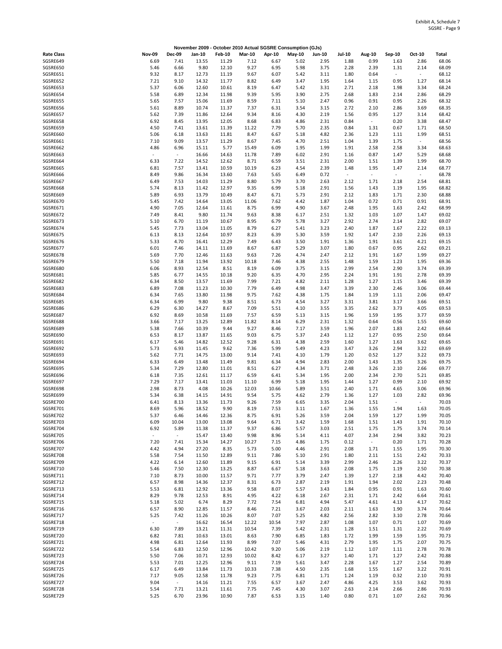|                      |                          |                          | November 2009 - October 2010 Actual SGSRE Consumption (GJs) |                |               |               |              |               |                                  |                |                |                                  |                |
|----------------------|--------------------------|--------------------------|-------------------------------------------------------------|----------------|---------------|---------------|--------------|---------------|----------------------------------|----------------|----------------|----------------------------------|----------------|
| <b>Rate Class</b>    | <b>Nov-09</b>            | <b>Dec-09</b>            | Jan-10                                                      | <b>Feb-10</b>  | <b>Mar-10</b> | Apr-10        | May-10       | <b>Jun-10</b> | <b>Jul-10</b>                    | <b>Aug-10</b>  | Sep-10         | Oct-10                           | Total          |
| SGSRE649             | 6.69                     | 7.41                     | 13.55                                                       | 11.29          | 7.12          | 6.67          | 5.02         | 2.95          | 1.88                             | 0.99           | 1.63           | 2.86                             | 68.06          |
| SGSRE650<br>SGSRE651 | 5.46<br>9.32             | 6.66<br>8.17             | 9.80<br>12.73                                               | 12.10<br>11.19 | 9.27<br>9.67  | 6.95<br>6.07  | 5.98<br>5.42 | 3.75<br>3.11  | 2.28<br>1.80                     | 2.39<br>0.64   | 1.31<br>÷,     | 2.14<br>$\overline{\phantom{a}}$ | 68.09<br>68.12 |
| SGSRE652             | 7.21                     | 9.10                     | 14.32                                                       | 11.77          | 8.82          | 6.49          | 3.47         | 1.95          | 1.64                             | 1.15           | 0.95           | 1.27                             | 68.14          |
| SGSRE653             | 5.37                     | 6.06                     | 12.60                                                       | 10.61          | 8.19          | 6.47          | 5.42         | 3.31          | 2.71                             | 2.18           | 1.98           | 3.34                             | 68.24          |
| SGSRE654             | 5.58                     | 6.89                     | 12.34                                                       | 11.98          | 9.39          | 5.95          | 3.90         | 2.75          | 2.68                             | 1.83           | 2.14           | 2.86                             | 68.29          |
| SGSRE655<br>SGSRE656 | 5.65<br>5.61             | 7.57<br>8.89             | 15.06<br>10.74                                              | 11.69<br>11.37 | 8.59<br>7.37  | 7.11<br>6.31  | 5.10<br>3.54 | 2.47<br>3.15  | 0.96<br>2.72                     | 0.91<br>2.10   | 0.95<br>2.86   | 2.26<br>3.69                     | 68.32<br>68.35 |
| SGSRE657             | 5.62                     | 7.39                     | 11.86                                                       | 12.64          | 9.34          | 8.16          | 4.30         | 2.19          | 1.56                             | 0.95           | 1.27           | 3.14                             | 68.42          |
| SGSRE658             | 6.92                     | 8.45                     | 13.95                                                       | 12.05          | 8.68          | 6.83          | 4.86         | 2.31          | 0.84                             | $\sim$         | 0.20           | 3.38                             | 68.47          |
| SGSRE659             | 4.50                     | 7.41                     | 13.61                                                       | 11.39          | 11.22         | 7.79          | 5.70         | 2.35          | 0.84                             | 1.31           | 0.67           | 1.71                             | 68.50          |
| SGSRE660<br>SGSRE661 | 5.06<br>7.10             | 6.18<br>9.09             | 13.63<br>13.57                                              | 11.81<br>11.29 | 8.47<br>8.67  | 6.67<br>7.45  | 5.18<br>4.70 | 4.82<br>2.51  | 2.36<br>1.04                     | 1.23<br>1.39   | 1.11<br>1.75   | 1.99<br>$\overline{\phantom{a}}$ | 68.51<br>68.56 |
| SGSRE662             | 4.86                     | 6.96                     | 15.11                                                       | 5.77           | 15.49         | 6.09          | 1.95         | 1.99          | 1.91                             | 2.58           | 2.58           | 3.34                             | 68.63          |
| SGSRE663             | $\overline{\phantom{a}}$ | $\overline{\phantom{a}}$ | 16.66                                                       | 14.63          | 11.78         | 7.89          | 6.02         | 2.91          | 1.16                             | 0.87           | 1.47           | 5.29                             | 68.68          |
| SGSRE664             | 6.33                     | 7.22                     | 14.52                                                       | 12.62          | 8.71          | 6.59          | 3.51         | 2.31          | 2.00                             | 1.51           | 1.39           | 1.99                             | 68.70          |
| SGSRE665<br>SGSRE666 | 6.81<br>8.49             | 7.57<br>9.86             | 13.41<br>16.34                                              | 10.59<br>13.60 | 10.19<br>7.63 | 6.23<br>5.65  | 4.54<br>6.49 | 2.39<br>0.72  | 1.48<br>$\overline{\phantom{a}}$ | 1.95<br>$\sim$ | 1.47<br>$\sim$ | 2.14<br>$\sim$                   | 68.77<br>68.78 |
| SGSRE667             | 6.49                     | 7.53                     | 14.03                                                       | 11.29          | 8.80          | 5.79          | 3.70         | 2.63          | 2.12                             | 1.71           | 2.18           | 2.54                             | 68.81          |
| SGSRE668             | 5.74                     | 8.13                     | 11.42                                                       | 12.97          | 9.35          | 6.99          | 5.18         | 2.91          | 1.56                             | 1.43           | 1.19           | 1.95                             | 68.82          |
| SGSRE669             | 5.89                     | 6.93                     | 13.79                                                       | 10.49          | 8.47          | 6.71          | 5.73         | 2.91          | 2.12                             | 1.83           | 1.71           | 2.30                             | 68.88          |
| SGSRE670             | 5.45                     | 7.42                     | 14.64                                                       | 13.05          | 11.06         | 7.62          | 4.42         | 1.87          | 1.04                             | 0.72           | 0.71           | 0.91                             | 68.91          |
| SGSRE671<br>SGSRE672 | 4.90<br>7.49             | 7.05<br>8.41             | 12.64<br>9.80                                               | 11.61<br>11.74 | 8.75<br>9.63  | 6.99<br>8.38  | 4.90<br>6.17 | 3.67<br>2.51  | 2.48<br>1.32                     | 1.95<br>1.03   | 1.63<br>1.07   | 2.42<br>1.47                     | 68.99<br>69.02 |
| SGSRE673             | 5.10                     | 6.70                     | 11.19                                                       | 10.67          | 8.95          | 6.79          | 5.78         | 3.27          | 2.92                             | 2.74           | 2.14           | 2.82                             | 69.07          |
| SGSRE674             | 5.45                     | 7.73                     | 13.04                                                       | 11.05          | 8.79          | 6.27          | 5.41         | 3.23          | 2.40                             | 1.87           | 1.67           | 2.22                             | 69.13          |
| SGSRE675             | 6.13                     | 8.13                     | 12.64                                                       | 10.97          | 8.23          | 6.39          | 5.30         | 3.59          | 1.92                             | 1.47           | 2.10           | 2.26                             | 69.13          |
| SGSRE676<br>SGSRE677 | 5.33<br>6.01             | 4.70<br>7.46             | 16.41<br>14.11                                              | 12.29<br>11.69 | 7.49<br>8.67  | 6.43<br>6.87  | 3.50<br>5.29 | 1.91<br>3.07  | 1.36<br>1.80                     | 1.91<br>0.67   | 3.61<br>0.95   | 4.21<br>2.62                     | 69.15<br>69.21 |
| SGSRE678             | 5.69                     | 7.70                     | 12.46                                                       | 11.63          | 9.63          | 7.26          | 4.74         | 2.47          | 2.12                             | 1.91           | 1.67           | 1.99                             | 69.27          |
| SGSRE679             | 5.50                     | 7.18                     | 11.94                                                       | 13.92          | 10.18         | 7.46          | 4.38         | 2.55          | 1.48                             | 1.59           | 1.23           | 1.95                             | 69.36          |
| SGSRE680             | 6.06                     | 8.93                     | 12.54                                                       | 8.51           | 8.19          | 6.09          | 3.75         | 3.15          | 2.99                             | 2.54           | 2.90           | 3.74                             | 69.39          |
| SGSRE681             | 5.85                     | 6.77                     | 14.55                                                       | 10.18          | 9.20          | 6.35          | 4.70         | 2.95          | 2.24                             | 1.91           | 1.91           | 2.78                             | 69.39          |
| SGSRE682<br>SGSRE683 | 6.34<br>6.89             | 8.50<br>7.08             | 13.57<br>11.23                                              | 11.69<br>10.30 | 7.99<br>7.79  | 7.21<br>6.49  | 4.82<br>4.98 | 2.11<br>3.47  | 1.28<br>3.39                     | 1.27<br>2.30   | 1.15<br>2.46   | 3.46<br>3.06                     | 69.39<br>69.44 |
| SGSRE684             | 6.34                     | 7.65                     | 13.80                                                       | 11.98          | 9.75          | 7.62          | 4.38         | 1.75          | 1.84                             | 1.19           | 1.11           | 2.06                             | 69.47          |
| SGSRE685             | 6.34                     | 6.99                     | 9.80                                                        | 9.38           | 8.51          | 6.73          | 4.54         | 3.27          | 3.31                             | 3.81           | 3.17           | 3.66                             | 69.51          |
| SGSRE686             | 6.29                     | 6.30                     | 14.27                                                       | 8.67           | 7.09          | 5.51          | 4.10         | 3.55          | 3.35                             | 2.62           | 3.73           | 4.05                             | 69.53          |
| SGSRE687<br>SGSRE688 | 6.92<br>3.66             | 8.69<br>7.17             | 10.58<br>13.25                                              | 11.69<br>12.89 | 7.57<br>11.82 | 6.59<br>8.14  | 5.13<br>6.29 | 3.15<br>2.31  | 1.96<br>1.32                     | 1.59<br>0.64   | 1.95<br>0.56   | 3.77<br>1.55                     | 69.59<br>69.60 |
| SGSRE689             | 5.38                     | 7.66                     | 10.39                                                       | 9.44           | 9.27          | 8.46          | 7.17         | 3.59          | 1.96                             | 2.07           | 1.83           | 2.42                             | 69.64          |
| SGSRE690             | 6.53                     | 8.17                     | 13.87                                                       | 11.65          | 9.03          | 6.75          | 5.37         | 2.43          | 1.12                             | 1.27           | 0.95           | 2.50                             | 69.64          |
| SGSRE691             | 6.17                     | 5.46                     | 14.82                                                       | 12.52          | 9.28          | 6.31          | 4.38         | 2.59          | 1.60                             | 1.27           | 1.63           | 3.62                             | 69.65          |
| SGSRE692<br>SGSRE693 | 5.73                     | 6.93                     | 11.45                                                       | 9.62           | 7.36          | 5.99<br>7.41  | 5.49         | 4.23          | 3.47                             | 3.26           | 2.94           | 3.22                             | 69.69          |
| SGSRE694             | 5.62<br>6.33             | 7.71<br>6.49             | 14.75<br>13.48                                              | 13.00<br>11.49 | 9.14<br>9.81  | 6.34          | 4.10<br>4.94 | 1.79<br>2.83  | 1.20<br>2.00                     | 0.52<br>1.43   | 1.27<br>1.35   | 3.22<br>3.26                     | 69.73<br>69.75 |
| SGSRE695             | 5.34                     | 7.29                     | 12.80                                                       | 11.01          | 8.51          | 6.27          | 4.34         | 3.71          | 2.48                             | 3.26           | 2.10           | 2.66                             | 69.77          |
| SGSRE696             | 6.18                     | 7.35                     | 12.61                                                       | 11.17          | 6.59          | 6.41          | 5.34         | 1.95          | 2.00                             | 2.34           | 2.70           | 5.21                             | 69.85          |
| SGSRE697             | 7.29                     | 7.17                     | 13.41                                                       | 11.03          | 11.10         | 6.99          | 5.18         | 1.95          | 1.44                             | 1.27           | 0.99           | 2.10                             | 69.92          |
| SGSRE698<br>SGSRE699 | 2.98<br>5.34             | 8.73<br>6.38             | 4.08<br>14.15                                               | 10.26<br>14.91 | 12.03<br>9.54 | 10.66<br>5.75 | 5.89<br>4.62 | 3.51<br>2.79  | 2.40<br>1.36                     | 1.71<br>1.27   | 4.65<br>1.03   | 3.06<br>2.82                     | 69.96<br>69.96 |
| SGSRE700             | 6.41                     | 8.13                     | 13.36                                                       | 11.73          | 9.26          | 7.59          | 6.65         | 3.35          | 2.04                             | 1.51           | $\sim$         | $\overline{\phantom{a}}$         | 70.03          |
| SGSRE701             | 8.69                     | 5.96                     | 18.52                                                       | 9.90           | 8.19          | 7.53          | 3.11         | 1.67          | 1.36                             | 1.55           | 1.94           | 1.63                             | 70.05          |
| SGSRE702             | 5.37                     | 6.46                     | 14.46                                                       | 12.36          | 8.75          | 6.91          | 5.26         | 3.59          | 2.04                             | 1.59           | 1.27           | 1.99                             | 70.05          |
| SGSRE703<br>SGSRE704 | 6.09<br>6.92             | 10.04<br>5.89            | 13.00<br>11.38                                              | 13.08<br>11.37 | 9.64<br>9.37  | 6.71<br>6.86  | 3.42<br>5.57 | 1.59<br>3.03  | 1.68<br>2.51                     | 1.51<br>1.75   | 1.43<br>1.75   | 1.91<br>3.74                     | 70.10<br>70.14 |
| SGSRE705             | $\sim$                   | $\omega$                 | 15.47                                                       | 13.40          | 9.98          | 8.96          | 5.14         | 4.11          | 4.07                             | 2.34           | 2.94           | 3.82                             | 70.23          |
| SGSRE706             | 7.20                     | 7.41                     | 15.34                                                       | 14.27          | 10.27         | 7.15          | 4.86         | 1.75          | 0.12                             | $\sim$         | 0.20           | 1.71                             | 70.28          |
| SGSRE707             | 4.42                     | 4.94                     | 27.20                                                       | 8.35           | 5.73          | 5.00          | 4.46         | 2.91          | 2.08                             | 1.71           | 1.55           | 1.95                             | 70.30          |
| SGSRE708<br>SGSRE709 | 5.58<br>4.22             | 7.54<br>6.14             | 11.50<br>12.60                                              | 12.89<br>11.89 | 9.11<br>9.15  | 7.86<br>6.91  | 5.10<br>5.14 | 2.91<br>3.39  | 1.80<br>2.99                     | 2.11<br>2.46   | 1.51<br>2.26   | 2.42<br>3.22                     | 70.33<br>70.37 |
| SGSRE710             | 5.46                     | 7.50                     | 12.30                                                       | 13.25          | 8.87          | 6.67          | 5.18         | 3.63          | 2.08                             | 1.75           | 1.19           | 2.50                             | 70.38          |
| SGSRE711             | 7.10                     | 8.73                     | 10.00                                                       | 11.57          | 9.71          | 7.77          | 3.79         | 2.47          | 1.39                             | 1.27           | 2.18           | 4.42                             | 70.40          |
| SGSRE712             | 6.57                     | 8.98                     | 14.36                                                       | 12.37          | 8.31          | 6.73          | 2.87         | 2.19          | 1.91                             | 1.94           | 2.02           | 2.23                             | 70.48          |
| SGSRE713<br>SGSRE714 | 5.53<br>8.29             | 6.81<br>9.78             | 12.92<br>12.53                                              | 13.36<br>8.91  | 9.58<br>4.95  | 8.07<br>4.22  | 5.57<br>6.18 | 3.43<br>2.67  | 1.84<br>2.31                     | 0.95<br>1.71   | 0.91<br>2.42   | 1.63<br>6.64                     | 70.60<br>70.61 |
| SGSRE715             | 5.18                     | 5.02                     | 6.74                                                        | 8.29           | 7.72          | 7.54          | 6.81         | 4.94          | 5.47                             | 4.61           | 4.13           | 4.17                             | 70.62          |
| SGSRE716             | 6.57                     | 8.90                     | 12.85                                                       | 11.57          | 8.46          | 7.21          | 3.67         | 2.03          | 2.11                             | 1.63           | 1.90           | 3.74                             | 70.64          |
| SGSRE717             | 5.25                     | 7.42                     | 11.26                                                       | 10.26          | 8.07          | 7.07          | 5.25         | 4.82          | 2.56                             | 2.82           | 3.10           | 2.78                             | 70.66          |
| SGSRE718             | $\sim$                   | $\overline{\phantom{a}}$ | 16.62                                                       | 16.54          | 12.22         | 10.54         | 7.97         | 2.87          | 1.08                             | 1.07           | 0.71           | 1.07                             | 70.69          |
| SGSRE719<br>SGSRE720 | 6.30<br>6.82             | 7.89<br>7.81             | 13.21<br>10.63                                              | 11.31<br>13.01 | 10.54<br>8.63 | 7.39<br>7.90  | 5.42<br>6.85 | 2.31<br>1.83  | 1.28<br>1.72                     | 1.51<br>1.99   | 1.31<br>1.59   | 2.22<br>1.95                     | 70.69<br>70.73 |
| SGSRE721             | 4.98                     | 6.81                     | 12.64                                                       | 11.93          | 8.99          | 7.07          | 5.46         | 4.31          | 2.79                             | 1.95           | 1.75           | 2.07                             | 70.75          |
| SGSRE722             | 5.54                     | 6.83                     | 12.50                                                       | 12.96          | 10.42         | 9.20          | 5.06         | 2.19          | 1.12                             | 1.07           | 1.11           | 2.78                             | 70.78          |
| SGSRE723             | 5.50                     | 7.06                     | 10.71                                                       | 12.93          | 10.02         | 8.42          | 6.17         | 3.27          | 1.40                             | 1.71           | 1.27           | 2.42                             | 70.88          |
| SGSRE724             | 5.53                     | 7.01                     | 12.25                                                       | 12.96          | 9.11          | 7.19          | 5.61         | 3.47          | 2.28                             | 1.67           | 1.27           | 2.54                             | 70.89          |
| SGSRE725<br>SGSRE726 | 6.17<br>7.17             | 6.49<br>9.05             | 13.84<br>12.58                                              | 11.73<br>11.78 | 10.33<br>9.23 | 7.38<br>7.75  | 4.50<br>6.81 | 2.35<br>1.71  | 1.68<br>1.24                     | 1.55<br>1.19   | 1.67<br>0.32   | 3.22<br>2.10                     | 70.91<br>70.93 |
| SGSRE727             | 9.04                     | $\sim$                   | 14.16                                                       | 11.21          | 7.55          | 6.57          | 3.67         | 2.47          | 4.86                             | 4.25           | 3.53           | 3.62                             | 70.93          |
| SGSRE728             | 5.54                     | 7.71                     | 13.21                                                       | 11.61          | 7.75          | 7.45          | 4.30         | 3.07          | 2.63                             | 2.14           | 2.66           | 2.86                             | 70.93          |
| SGSRE729             | 5.25                     | 6.70                     | 23.96                                                       | 10.90          | 7.87          | 6.53          | 3.15         | 1.40          | 0.80                             | 0.71           | 1.07           | 2.62                             | 70.96          |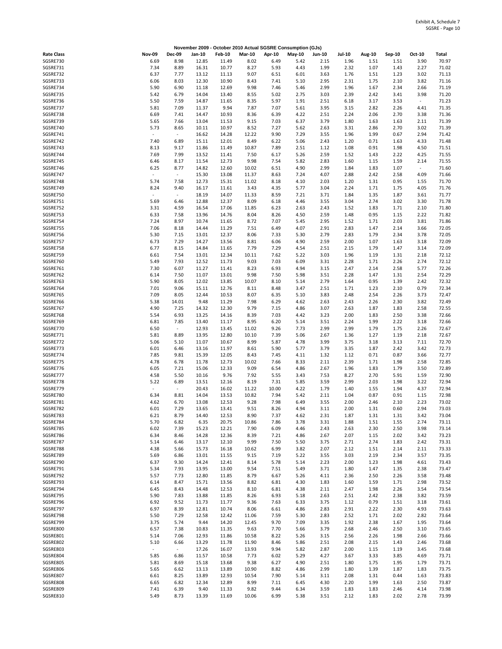|                   |                          |                          |        |               |               |        | November 2009 - October 2010 Actual SGSRE Consumption (GJs) |               |               |        |        |        |              |
|-------------------|--------------------------|--------------------------|--------|---------------|---------------|--------|-------------------------------------------------------------|---------------|---------------|--------|--------|--------|--------------|
| <b>Rate Class</b> | <b>Nov-09</b>            | <b>Dec-09</b>            | Jan-10 | <b>Feb-10</b> | <b>Mar-10</b> | Apr-10 | <b>May-10</b>                                               | <b>Jun-10</b> | <b>Jul-10</b> | Aug-10 | Sep-10 | Oct-10 | <b>Total</b> |
| SGSRE730          | 6.69                     | 8.98                     | 12.85  | 11.49         | 8.02          | 6.49   | 5.42                                                        | 2.15          | 1.96          | 1.51   | 1.51   | 3.90   | 70.97        |
| SGSRE731          | 7.34                     | 8.89                     | 16.31  | 10.77         | 8.27          | 5.93   | 4.43                                                        | 1.99          | 2.32          | 1.07   | 1.43   | 2.27   | 71.02        |
| SGSRE732          | 6.37                     | 7.77                     | 13.12  | 11.13         | 9.07          | 6.51   | 6.01                                                        | 3.63          | 1.76          | 1.51   | 1.23   | 3.02   | 71.13        |
| SGSRE733          | 6.06                     | 8.03                     | 12.30  | 10.90         | 8.43          | 7.41   | 5.10                                                        | 2.95          | 2.31          | 1.75   | 2.10   | 3.82   | 71.16        |
| SGSRE734          | 5.90                     | 6.90                     | 11.18  | 12.69         | 9.98          | 7.46   | 5.46                                                        | 2.99          | 1.96          | 1.67   | 2.34   | 2.66   | 71.19        |
|                   |                          |                          |        |               |               |        |                                                             |               |               |        |        |        |              |
| SGSRE735          | 5.42                     | 6.79                     | 14.04  | 13.40         | 8.55          | 5.02   | 2.75                                                        | 3.03          | 2.39          | 2.42   | 3.41   | 3.98   | 71.20        |
| SGSRE736          | 5.50                     | 7.59                     | 14.87  | 11.65         | 8.35          | 5.97   | 1.91                                                        | 2.51          | 6.18          | 3.17   | 3.53   | $\sim$ | 71.23        |
| SGSRE737          | 5.81                     | 7.09                     | 11.37  | 9.94          | 7.87          | 7.07   | 5.61                                                        | 3.95          | 3.15          | 2.82   | 2.26   | 4.41   | 71.35        |
| SGSRE738          | 6.69                     | 7.41                     | 14.47  | 10.93         | 8.36          | 6.39   | 4.22                                                        | 2.51          | 2.24          | 2.06   | 2.70   | 3.38   | 71.36        |
| SGSRE739          | 5.65                     | 7.66                     | 13.04  | 11.53         | 9.15          | 7.03   | 6.37                                                        | 3.79          | 1.80          | 1.63   | 1.63   | 2.11   | 71.39        |
| SGSRE740          | 5.73                     | 8.65                     | 10.11  | 10.97         | 8.52          | 7.27   | 5.62                                                        | 2.63          | 3.31          | 2.86   | 2.70   | 3.02   | 71.39        |
| SGSRE741          | $\overline{\phantom{a}}$ | $\sim$                   | 16.62  | 14.28         | 12.22         | 9.90   | 7.29                                                        | 3.55          | 1.96          | 1.99   | 0.67   | 2.94   | 71.42        |
| SGSRE742          | 7.40                     |                          |        |               |               | 6.22   | 5.06                                                        | 2.43          |               |        |        | 4.33   | 71.48        |
|                   |                          | 6.89                     | 15.11  | 12.01         | 8.49          |        |                                                             |               | 1.20          | 0.71   | 1.63   |        |              |
| SGSRE743          | 8.13                     | 9.17                     | 11.86  | 11.49         | 10.87         | 7.89   | 2.51                                                        | 1.12          | 1.08          | 0.91   | 1.98   | 4.50   | 71.51        |
| SGSRE744          | 7.69                     | 7.99                     | 13.52  | 11.41         | 7.50          | 6.17   | 5.26                                                        | 2.59          | 1.52          | 1.43   | 2.22   | 4.25   | 71.55        |
| SGSRE745          | 6.46                     | 8.17                     | 11.54  | 12.73         | 9.98          | 7.54   | 5.82                                                        | 2.83          | 1.60          | 1.15   | 1.59   | 2.14   | 71.55        |
| SGSRE746          | 6.25                     | 8.77                     | 14.82  | 12.60         | 10.02         | 6.51   | 4.90                                                        | 2.99          | 1.84          | 1.83   | 1.07   | $\sim$ | 71.60        |
| SGSRE747          | $\overline{\phantom{a}}$ | $\sim$                   | 15.30  | 13.08         | 11.37         | 8.63   | 7.24                                                        | 4.07          | 2.88          | 2.42   | 2.58   | 4.09   | 71.66        |
| SGSRE748          | 5.74                     | 7.58                     | 12.73  | 15.31         | 11.02         | 8.18   | 4.10                                                        | 2.03          | 1.20          | 1.31   | 0.95   | 1.55   | 71.70        |
| SGSRE749          | 8.24                     | 9.40                     | 16.17  | 11.61         | 3.43          | 4.35   | 5.77                                                        | 3.04          | 2.24          | 1.71   | 1.75   | 4.05   | 71.76        |
|                   | $\overline{\phantom{a}}$ | $\overline{\phantom{a}}$ |        |               |               |        |                                                             |               |               |        |        |        |              |
| SGSRE750          |                          |                          | 18.19  | 14.07         | 11.33         | 8.59   | 7.21                                                        | 3.71          | 1.84          | 1.35   | 1.87   | 3.61   | 71.77        |
| SGSRE751          | 5.69                     | 6.46                     | 12.88  | 12.37         | 8.09          | 6.18   | 4.46                                                        | 3.55          | 3.04          | 2.74   | 3.02   | 3.30   | 71.78        |
| SGSRE752          | 3.31                     | 4.59                     | 16.54  | 17.06         | 11.85         | 6.23   | 2.63                                                        | 2.43          | 1.52          | 1.83   | 1.71   | 2.10   | 71.80        |
| SGSRE753          | 6.33                     | 7.58                     | 13.96  | 14.76         | 8.04          | 8.26   | 4.50                                                        | 2.59          | 1.48          | 0.95   | 1.15   | 2.22   | 71.82        |
| SGSRE754          | 7.24                     | 8.97                     | 10.74  | 11.65         | 8.72          | 7.07   | 5.45                                                        | 2.95          | 1.52          | 1.71   | 2.03   | 3.81   | 71.86        |
| SGSRE755          | 7.06                     | 8.18                     | 14.44  | 11.29         | 7.51          | 6.49   | 4.07                                                        | 2.91          | 2.83          | 1.47   | 2.14   | 3.66   | 72.05        |
| SGSRE756          | 5.30                     | 7.15                     | 13.01  | 12.37         | 8.06          | 7.33   | 5.30                                                        | 2.79          | 2.83          | 1.79   | 2.34   | 3.78   | 72.05        |
|                   |                          | 7.29                     |        |               |               |        | 4.90                                                        |               |               |        |        |        | 72.09        |
| SGSRE757          | 6.73                     |                          | 14.27  | 13.56         | 8.81          | 6.06   |                                                             | 2.59          | 2.00          | 1.07   | 1.63   | 3.18   |              |
| SGSRE758          | 6.77                     | 8.15                     | 14.84  | 11.65         | 7.79          | 7.29   | 4.54                                                        | 2.51          | 2.15          | 1.79   | 1.47   | 3.14   | 72.09        |
| SGSRE759          | 6.61                     | 7.54                     | 13.01  | 12.34         | 10.11         | 7.62   | 5.22                                                        | 3.03          | 1.96          | 1.19   | 1.31   | 2.18   | 72.12        |
| SGSRE760          | 5.49                     | 7.93                     | 12.52  | 11.73         | 9.03          | 7.03   | 6.09                                                        | 3.31          | 2.28          | 1.71   | 2.26   | 2.74   | 72.12        |
| SGSRE761          | 7.30                     | 6.07                     | 11.27  | 11.41         | 8.23          | 6.93   | 4.94                                                        | 3.15          | 2.47          | 2.14   | 2.58   | 5.77   | 72.26        |
| SGSRE762          | 6.14                     | 7.50                     | 11.07  | 13.01         | 9.98          | 7.50   | 5.98                                                        | 3.51          | 2.28          | 1.47   | 1.31   | 2.54   | 72.29        |
| SGSRE763          | 5.90                     | 8.05                     | 12.02  | 13.85         | 10.07         | 8.10   | 5.14                                                        | 2.79          | 1.64          | 0.95   | 1.39   | 2.42   | 72.32        |
| SGSRE764          | 7.01                     | 9.06                     | 15.11  | 12.76         | 8.11          | 8.48   | 3.47                                                        | 2.51          | 1.71          | 1.23   | 2.10   | 0.79   | 72.34        |
|                   |                          |                          |        |               |               |        |                                                             |               |               |        |        |        |              |
| SGSRE765          | 7.09                     | 8.05                     | 12.44  | 10.53         | 8.07          | 6.35   | 5.10                                                        | 3.83          | 2.48          | 2.54   | 2.26   | 3.73   | 72.47        |
| SGSRE766          | 5.38                     | 14.01                    | 9.48   | 11.29         | 7.98          | 6.29   | 4.62                                                        | 2.63          | 2.43          | 2.26   | 2.30   | 3.82   | 72.49        |
| SGSRE767          | 4.90                     | 7.25                     | 14.32  | 12.30         | 9.79          | 7.15   | 4.86                                                        | 3.07          | 2.63          | 1.87   | 1.83   | 2.58   | 72.55        |
| SGSRE768          | 5.54                     | 6.93                     | 13.25  | 14.16         | 8.39          | 7.03   | 4.42                                                        | 3.23          | 2.00          | 1.83   | 2.50   | 3.38   | 72.66        |
| SGSRE769          | 6.81                     | 7.85                     | 13.40  | 11.17         | 8.95          | 6.20   | 5.14                                                        | 3.51          | 2.24          | 1.99   | 2.22   | 3.18   | 72.66        |
| SGSRE770          | 6.50                     | $\overline{\phantom{a}}$ | 12.93  | 13.45         | 11.02         | 9.26   | 7.73                                                        | 2.99          | 2.99          | 1.79   | 1.75   | 2.26   | 72.67        |
| SGSRE771          | 5.81                     | 8.89                     | 13.95  | 12.80         | 10.10         | 7.39   | 5.06                                                        | 2.67          | 1.36          | 1.27   | 1.19   | 2.18   | 72.67        |
| SGSRE772          |                          | 5.10                     | 11.07  | 10.67         |               | 5.87   | 4.78                                                        | 3.99          | 3.75          |        | 3.13   | 7.11   |              |
|                   | 5.06                     |                          |        |               | 8.99          |        |                                                             |               |               | 3.18   |        |        | 72.70        |
| SGSRE773          | 6.01                     | 6.46                     | 13.16  | 11.97         | 8.61          | 5.90   | 5.77                                                        | 3.79          | 3.35          | 1.87   | 2.42   | 3.42   | 72.73        |
| SGSRE774          | 7.85                     | 9.81                     | 15.39  | 12.05         | 8.43          | 7.45   | 4.11                                                        | 1.32          | 1.12          | 0.71   | 0.87   | 3.66   | 72.77        |
| SGSRE775          | 4.78                     | 6.78                     | 11.78  | 12.73         | 10.02         | 7.66   | 8.33                                                        | 2.11          | 2.39          | 1.71   | 1.98   | 2.58   | 72.85        |
| SGSRE776          | 6.05                     | 7.21                     | 15.06  | 12.33         | 9.09          | 6.54   | 4.86                                                        | 2.67          | 1.96          | 1.83   | 1.79   | 3.50   | 72.89        |
| SGSRE777          | 4.58                     | 5.50                     | 10.16  | 9.76          | 7.92          | 5.55   | 3.43                                                        | 7.53          | 8.27          | 2.70   | 5.91   | 1.59   | 72.90        |
| SGSRE778          | 5.22                     | 6.89                     | 13.51  | 12.16         | 8.19          | 7.31   | 5.85                                                        | 3.59          | 2.99          | 2.03   | 1.98   | 3.22   | 72.94        |
| SGSRE779          |                          | $\overline{\phantom{a}}$ | 20.43  | 16.02         | 11.22         | 10.00  | 4.22                                                        | 1.79          | 1.40          | 1.55   | 1.94   | 4.37   | 72.94        |
| SGSRE780          | 6.34                     | 8.81                     | 14.04  | 13.53         | 10.82         | 7.94   | 5.42                                                        | 2.11          | 1.04          | 0.87   | 0.91   | 1.15   | 72.98        |
|                   |                          |                          |        |               |               |        |                                                             |               |               |        |        |        |              |
| SGSRE781          | 4.62                     | 6.70                     | 13.08  | 12.53         | 9.28          | 7.98   | 6.49                                                        | 3.55          | 2.00          | 2.46   | 2.10   | 2.23   | 73.02        |
| SGSRE782          | 6.01                     | 7.29                     | 13.65  | 13.41         | 9.51          | 8.26   | 4.94                                                        | 3.11          | 2.00          | 1.31   | 0.60   | 2.94   | 73.03        |
| SGSRE783          | 6.21                     | 8.79                     | 14.40  | 12.53         | 8.90          | 7.37   | 4.62                                                        | 2.31          | 1.87          | 1.31   | 1.31   | 3.42   | 73.04        |
| SGSRE784          | 5.70                     | 6.82                     | 6.35   | 20.75         | 10.86         | 7.86   | 3.78                                                        | 3.31          | 1.88          | 1.51   | 1.55   | 2.74   | 73.11        |
| SGSRE785          | 6.02                     | 7.39                     | 15.23  | 12.21         | 7.90          | 6.09   | 4.46                                                        | 2.43          | 2.63          | 2.30   | 2.50   | 3.98   | 73.14        |
| SGSRE786          | 6.34                     | 8.46                     | 14.28  | 12.36         | 8.39          | 7.21   | 4.86                                                        | 2.67          | 2.07          | 1.15   | 2.02   | 3.42   | 73.23        |
| SGSRE787          | 5.14                     | 6.46                     | 13.17  | 12.10         | 9.99          | 7.50   | 5.50                                                        | 3.75          | 2.71          | 2.74   | 1.83   | 2.42   | 73.31        |
| SGSRE788          | 4.38                     | 5.66                     | 15.73  | 16.18         | 10.62         | 6.99   | 3.82                                                        | 2.07          | 2.12          | 1.51   | 2.14   | 2.11   | 73.33        |
|                   |                          |                          |        |               |               |        |                                                             |               |               |        |        |        |              |
| SGSRE789          | 5.69                     | 6.86                     | 13.01  | 11.55         | 9.15          | 7.19   | 5.22                                                        | 3.55          | 3.03          | 2.19   | 2.34   | 3.57   | 73.35        |
| SGSRE790          | 6.37                     | 9.30                     | 14.24  | 12.41         | 8.14          | 5.78   | 5.14                                                        | 2.23          | 2.00          | 1.23   | 1.98   | 4.61   | 73.43        |
| SGSRE791          | 5.34                     | 7.93                     | 13.95  | 13.00         | 9.54          | 7.51   | 5.49                                                        | 3.71          | 1.80          | 1.47   | 1.35   | 2.38   | 73.47        |
| SGSRE792          | 5.57                     | 7.73                     | 12.80  | 11.85         | 8.79          | 6.67   | 5.26                                                        | 4.11          | 2.36          | 2.50   | 2.26   | 3.58   | 73.48        |
| SGSRE793          | 6.14                     | 8.47                     | 15.71  | 13.56         | 8.82          | 6.81   | 4.30                                                        | 1.83          | 1.60          | 1.59   | 1.71   | 2.98   | 73.52        |
| SGSRE794          | 6.45                     | 8.43                     | 14.48  | 12.53         | 8.10          | 6.81   | 4.38                                                        | 2.11          | 2.47          | 1.98   | 2.26   | 3.54   | 73.54        |
| SGSRE795          | 5.90                     | 7.83                     | 13.88  | 11.85         | 8.26          | 6.93   | 5.18                                                        | 2.63          | 2.51          | 2.42   | 2.38   | 3.82   | 73.59        |
| SGSRE796          | 6.92                     | 9.52                     | 11.73  | 11.77         | 9.36          | 7.63   | 6.33                                                        | 3.75          | 1.12          | 0.79   | 1.51   | 3.18   | 73.61        |
|                   |                          |                          |        |               |               |        |                                                             |               |               |        |        |        |              |
| SGSRE797          | 6.97                     | 8.39                     | 12.81  | 10.74         | 8.06          | 6.61   | 4.86                                                        | 2.83          | 2.91          | 2.22   | 2.30   | 4.93   | 73.63        |
| SGSRE798          | 5.50                     | 7.29                     | 12.58  | 12.42         | 11.06         | 7.59   | 5.30                                                        | 2.83          | 2.52          | 1.71   | 2.02   | 2.82   | 73.64        |
| SGSRE799          | 3.75                     | 5.74                     | 9.44   | 14.20         | 12.45         | 9.70   | 7.09                                                        | 3.35          | 1.92          | 2.38   | 1.67   | 1.95   | 73.64        |
| SGSRE800          | 6.57                     | 7.38                     | 10.83  | 11.35         | 9.63          | 7.70   | 5.66                                                        | 3.79          | 2.68          | 2.46   | 2.50   | 3.10   | 73.65        |
| SGSRE801          | 5.14                     | 7.06                     | 12.93  | 11.86         | 10.58         | 8.22   | 5.26                                                        | 3.15          | 2.56          | 2.26   | 1.98   | 2.66   | 73.66        |
| SGSRE802          | 5.10                     | 6.66                     | 13.29  | 11.78         | 11.90         | 8.46   | 5.86                                                        | 2.51          | 2.08          | 2.15   | 1.43   | 2.46   | 73.68        |
| SGSRE803          | $\overline{\phantom{a}}$ | $\overline{\phantom{a}}$ | 17.26  | 16.07         | 13.93         | 9.94   | 5.82                                                        | 2.87          | 2.00          | 1.15   | 1.19   | 3.45   | 73.68        |
| SGSRE804          | 5.85                     | 6.86                     | 11.57  |               | 7.73          | 6.02   | 5.29                                                        | 4.27          |               | 3.33   | 3.85   | 4.69   | 73.71        |
|                   |                          |                          |        | 10.58         |               |        |                                                             |               | 3.67          |        |        |        |              |
| SGSRE805          | 5.81                     | 8.69                     | 15.18  | 13.68         | 9.38          | 6.27   | 4.90                                                        | 2.51          | 1.80          | 1.75   | 1.95   | 1.79   | 73.71        |
| SGSRE806          | 5.65                     | 6.62                     | 13.13  | 13.89         | 10.90         | 8.82   | 4.86                                                        | 2.99          | 1.80          | 1.39   | 1.87   | 1.83   | 73.75        |
| SGSRE807          | 6.61                     | 8.25                     | 13.89  | 12.93         | 10.54         | 7.90   | 5.14                                                        | 3.11          | 2.08          | 1.31   | 0.44   | 1.63   | 73.83        |
| SGSRE808          | 6.65                     | 6.82                     | 12.34  | 12.89         | 8.99          | 7.11   | 6.45                                                        | 4.30          | 2.20          | 1.99   | 1.63   | 2.50   | 73.87        |
| SGSRE809          | 7.41                     | 6.39                     | 9.40   | 11.33         | 9.82          | 9.44   | 6.34                                                        | 3.59          | 1.83          | 1.83   | 2.46   | 4.14   | 73.98        |
| SGSRE810          | 5.49                     | 8.73                     | 13.39  | 11.69         | 10.06         | 6.99   | 5.38                                                        | 3.51          | 2.12          | 1.83   | 2.02   | 2.78   | 73.99        |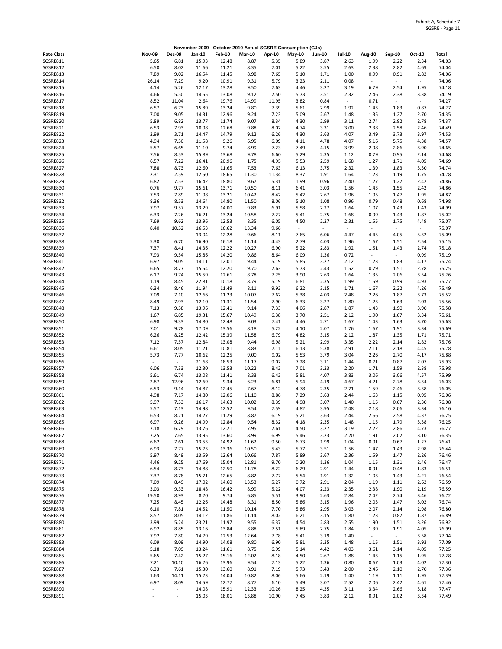|                      |                          |                                  |                |                |                |               | November 2009 - October 2010 Actual SGSRE Consumption (GJs) |                          |               |                                  |                                  |                          |                |
|----------------------|--------------------------|----------------------------------|----------------|----------------|----------------|---------------|-------------------------------------------------------------|--------------------------|---------------|----------------------------------|----------------------------------|--------------------------|----------------|
| <b>Rate Class</b>    | <b>Nov-09</b>            | <b>Dec-09</b>                    | Jan-10         | <b>Feb-10</b>  | <b>Mar-10</b>  | Apr-10        | <b>May-10</b>                                               | Jun-10                   | <b>Jul-10</b> | Aug-10                           | Sep-10                           | Oct-10                   | Total          |
| SGSRE811             | 5.65                     | 6.81                             | 15.93          | 12.48          | 8.87           | 5.35          | 5.89                                                        | 3.87                     | 2.63          | 1.99                             | 2.22                             | 2.34                     | 74.03          |
| SGSRE812             | 6.50                     | 8.02                             | 11.66          | 11.21          | 8.35           | 7.01          | 5.22                                                        | 3.55                     | 2.63          | 2.38                             | 2.82                             | 4.69                     | 74.04          |
| SGSRE813<br>SGSRE814 | 7.89<br>26.14            | 9.02<br>7.29                     | 16.54<br>9.20  | 11.45<br>10.91 | 8.98<br>9.31   | 7.65<br>5.79  | 5.10<br>3.23                                                | 1.71<br>2.11             | 1.00<br>0.08  | 0.99<br>$\overline{\phantom{a}}$ | 0.91<br>$\overline{\phantom{a}}$ | 2.82<br>$\sim$           | 74.06<br>74.06 |
| SGSRE815             | 4.14                     | 5.26                             | 12.17          | 13.28          | 9.50           | 7.63          | 4.46                                                        | 3.27                     | 3.19          | 6.79                             | 2.54                             | 1.95                     | 74.18          |
| SGSRE816             | 4.66                     | 5.50                             | 14.55          | 13.08          | 9.12           | 7.50          | 5.73                                                        | 3.51                     | 2.32          | 2.46                             | 2.38                             | 3.38                     | 74.19          |
| SGSRE817             | 8.52                     | 11.04                            | 2.64           | 19.76          | 14.99          | 11.95         | 3.82                                                        | 0.84                     | $\omega$      | 0.71                             | $\overline{\phantom{a}}$         | $\overline{\phantom{a}}$ | 74.27          |
| SGSRE818             | 6.57                     | 6.73                             | 15.89          | 13.24          | 9.80           | 7.39          | 5.61                                                        | 2.99                     | 1.92          | 1.43                             | 1.83                             | 0.87                     | 74.27          |
| SGSRE819<br>SGSRE820 | 7.00<br>5.89             | 9.05<br>6.82                     | 14.31<br>13.77 | 12.96<br>11.74 | 9.24<br>9.07   | 7.23<br>8.34  | 5.09<br>4.30                                                | 2.67<br>2.99             | 1.48<br>3.11  | 1.35<br>2.74                     | 1.27<br>2.82                     | 2.70<br>2.78             | 74.35<br>74.37 |
| SGSRE821             | 6.53                     | 7.93                             | 10.98          | 12.68          | 9.88           | 8.02          | 4.74                                                        | 3.31                     | 3.00          | 2.38                             | 2.58                             | 2.46                     | 74.49          |
| SGSRE822             | 2.99                     | 3.71                             | 14.47          | 14.79          | 9.12           | 6.26          | 4.30                                                        | 3.63                     | 4.07          | 3.49                             | 3.73                             | 3.97                     | 74.53          |
| SGSRE823             | 4.94                     | 7.50                             | 11.58          | 9.26           | 6.95           | 6.09          | 4.11                                                        | 4.78                     | 4.07          | 5.16                             | 5.75                             | 4.38                     | 74.57          |
| SGSRE824             | 5.57                     | 6.65                             | 11.10          | 9.74           | 8.99           | 7.23          | 7.49                                                        | 4.15                     | 3.99          | 2.98                             | 2.86                             | 3.90                     | 74.65          |
| SGSRE825             | 7.56                     | 8.53                             | 15.89          | 13.68          | 9.78           | 6.60          | 5.29                                                        | 2.35                     | 1.12          | 0.79                             | 0.95                             | 2.14                     | 74.68          |
| SGSRE826<br>SGSRE827 | 6.57<br>7.88             | 7.22<br>8.73                     | 16.41<br>12.60 | 20.96<br>11.65 | 1.75<br>7.53   | 4.95<br>7.63  | 5.53<br>6.13                                                | 2.59<br>3.75             | 1.68<br>2.32  | 1.27<br>1.39                     | 1.71<br>1.83                     | 4.05<br>3.30             | 74.69<br>74.74 |
| SGSRE828             | 2.31                     | 2.59                             | 12.50          | 18.65          | 11.30          | 11.34         | 8.37                                                        | 1.91                     | 1.64          | 1.23                             | 1.19                             | 1.75                     | 74.78          |
| SGSRE829             | 6.82                     | 7.53                             | 16.42          | 18.80          | 9.67           | 5.31          | 1.99                                                        | 0.96                     | 2.40          | 1.27                             | 1.27                             | 2.42                     | 74.86          |
| SGSRE830             | 0.76                     | 9.77                             | 15.61          | 13.71          | 10.50          | 8.11          | 6.41                                                        | 3.03                     | 1.56          | 1.43                             | 1.55                             | 2.42                     | 74.86          |
| SGSRE831             | 7.53                     | 7.89                             | 11.98          | 13.21          | 10.42          | 8.42          | 5.42                                                        | 2.67                     | 1.96          | 1.95                             | 1.47                             | 1.95                     | 74.87          |
| SGSRE832<br>SGSRE833 | 8.36<br>7.97             | 8.53<br>9.57                     | 14.64<br>13.29 | 14.80<br>14.00 | 11.50<br>9.83  | 8.06<br>6.91  | 5.10<br>5.58                                                | 1.08<br>2.27             | 0.96<br>1.64  | 0.79<br>1.07                     | 0.48<br>1.43                     | 0.68<br>1.43             | 74.98<br>74.99 |
| SGSRE834             | 6.33                     | 7.26                             | 16.21          | 13.24          | 10.58          | 7.27          | 5.41                                                        | 2.75                     | 1.68          | 0.99                             | 1.43                             | 1.87                     | 75.02          |
| SGSRE835             | 7.69                     | 9.62                             | 13.96          | 12.53          | 8.35           | 6.05          | 4.50                                                        | 2.27                     | 2.31          | 1.55                             | 1.75                             | 4.49                     | 75.07          |
| SGSRE836             | 8.40                     | 10.52                            | 16.53          | 16.62          | 13.34          | 9.66          | $\overline{\phantom{a}}$                                    | $\overline{\phantom{a}}$ | $\sim$        | $\overline{\phantom{a}}$         | $\overline{\phantom{a}}$         | $\sim$                   | 75.07          |
| SGSRE837             | $\overline{\phantom{a}}$ | $\overline{\phantom{a}}$         | 13.04          | 12.28          | 9.66           | 8.11          | 7.65                                                        | 6.06                     | 4.47          | 4.45                             | 4.05                             | 5.32                     | 75.09          |
| SGSRE838<br>SGSRE839 | 5.30<br>7.37             | 6.70<br>8.41                     | 16.90<br>14.36 | 16.18<br>12.22 | 11.14<br>10.27 | 4.43<br>6.90  | 2.79<br>5.22                                                | 4.03<br>2.83             | 1.96<br>1.92  | 1.67<br>1.51                     | 1.51<br>1.43                     | 2.54<br>2.74             | 75.15<br>75.18 |
| SGSRE840             | 7.93                     | 9.54                             | 15.86          | 14.20          | 9.86           | 8.64          | 6.09                                                        | 1.36                     | 0.72          | $\sim$                           | $\overline{\phantom{a}}$         | 0.99                     | 75.19          |
| SGSRE841             | 6.97                     | 9.05                             | 14.11          | 12.01          | 9.44           | 5.19          | 5.85                                                        | 3.27                     | 2.12          | 1.23                             | 1.83                             | 4.17                     | 75.24          |
| SGSRE842             | 6.65                     | 8.77                             | 15.54          | 12.20          | 9.70           | 7.63          | 5.73                                                        | 2.43                     | 1.52          | 0.79                             | 1.51                             | 2.78                     | 75.25          |
| SGSRE843             | 6.17                     | 9.74                             | 15.59          | 12.61          | 8.78           | 7.25          | 3.90                                                        | 2.63                     | 1.64          | 1.35                             | 2.06                             | 3.54                     | 75.26          |
| SGSRE844             | 1.19                     | 8.45                             | 22.81          | 10.18          | 8.79           | 5.19          | 6.81                                                        | 2.35                     | 1.99          | 1.59                             | 0.99                             | 4.93                     | 75.27          |
| SGSRE845<br>SGSRE846 | 6.34<br>7.09             | 8.46<br>7.10                     | 11.94<br>12.66 | 11.49<br>11.23 | 8.11<br>10.07  | 9.92<br>7.62  | 6.22<br>5.38                                                | 3.15<br>4.03             | 1.71<br>2.48  | 1.67<br>2.26                     | 2.22<br>1.87                     | 4.26<br>3.73             | 75.49<br>75.52 |
| SGSRE847             | 8.49                     | 7.93                             | 12.10          | 11.31          | 11.54          | 7.90          | 6.33                                                        | 3.27                     | 1.80          | 1.23                             | 1.63                             | 2.03                     | 75.56          |
| SGSRE848             | 7.13                     | 9.58                             | 13.96          | 12.41          | 9.14           | 7.33          | 4.06                                                        | 2.87                     | 1.87          | 1.43                             | 1.90                             | 3.90                     | 75.58          |
| SGSRE849             | 1.67                     | 6.85                             | 19.31          | 15.67          | 10.49          | 6.38          | 3.70                                                        | 2.51                     | 2.12          | 1.90                             | 1.67                             | 3.34                     | 75.61          |
| SGSRE850             | 6.98                     | 9.33                             | 14.80          | 12.48          | 9.03           | 7.41          | 4.46                                                        | 2.71                     | 1.67          | 1.43                             | 1.63                             | 3.70                     | 75.63          |
| SGSRE851<br>SGSRE852 | 7.01<br>6.26             | 9.78<br>8.25                     | 17.09<br>12.42 | 13.56<br>15.39 | 8.18<br>11.58  | 5.22<br>6.79  | 4.10<br>4.82                                                | 2.07<br>3.15             | 1.76<br>2.12  | 1.67<br>1.87                     | 1.91<br>1.35                     | 3.34<br>1.71             | 75.69<br>75.71 |
| SGSRE853             | 7.12                     | 7.57                             | 12.84          | 13.08          | 9.44           | 6.98          | 5.21                                                        | 2.99                     | 3.35          | 2.22                             | 2.14                             | 2.82                     | 75.76          |
| SGSRE854             | 6.61                     | 8.05                             | 11.21          | 10.81          | 8.83           | 7.11          | 6.13                                                        | 5.38                     | 2.91          | 2.11                             | 2.18                             | 4.45                     | 75.78          |
| SGSRE855             | 5.73                     | 7.77                             | 10.62          | 12.25          | 9.00           | 9.02          | 5.53                                                        | 3.79                     | 3.04          | 2.26                             | 2.70                             | 4.17                     | 75.88          |
| SGSRE856             | $\overline{\phantom{a}}$ | $\sim$                           | 21.68          | 18.53          | 11.17          | 9.07          | 7.28                                                        | 3.11                     | 1.44          | 0.71                             | 0.87                             | 2.07                     | 75.93          |
| SGSRE857<br>SGSRE858 | 6.06<br>5.61             | 7.33<br>6.74                     | 12.30<br>13.08 | 13.53<br>11.41 | 10.22<br>8.33  | 8.42<br>6.42  | 7.01<br>5.81                                                | 3.23<br>4.07             | 2.20<br>3.83  | 1.71<br>3.06                     | 1.59<br>3.06                     | 2.38<br>4.57             | 75.98<br>75.99 |
| SGSRE859             | 2.87                     | 12.96                            | 12.69          | 9.34           | 6.23           | 6.81          | 5.94                                                        | 4.19                     | 4.67          | 4.21                             | 2.78                             | 3.34                     | 76.03          |
| SGSRE860             | 6.53                     | 9.14                             | 14.87          | 12.45          | 7.67           | 8.12          | 4.78                                                        | 2.35                     | 2.71          | 1.59                             | 2.46                             | 3.38                     | 76.05          |
| SGSRE861             | 4.98                     | 7.17                             | 14.80          | 12.06          | 11.10          | 8.86          | 7.29                                                        | 3.63                     | 2.44          | 1.63                             | 1.15                             | 0.95                     | 76.06          |
| SGSRE862             | 5.97                     | 7.33                             | 16.17          | 14.63          | 10.02          | 8.39          | 4.98                                                        | 3.07                     | 1.40          | 1.15                             | 0.67                             | 2.30                     | 76.08          |
| SGSRE863             | 5.57                     | 7.13                             | 14.98          | 12.52          | 9.54           | 7.59          | 4.82                                                        | 3.95                     | 2.48          | 2.18                             | 2.06                             | 3.34                     | 76.16          |
| SGSRE864<br>SGSRE865 | 6.53<br>6.97             | 8.21<br>9.26                     | 14.27<br>14.99 | 11.29<br>12.84 | 8.87<br>9.54   | 6.19<br>8.32  | 5.21<br>4.18                                                | 3.63<br>2.35             | 2.44<br>1.48  | 2.66<br>1.15                     | 2.58<br>1.79                     | 4.37<br>3.38             | 76.25<br>76.25 |
| SGSRE866             | 7.18                     | 6.79                             | 13.76          | 12.21          | 7.95           | 7.61          | 4.50                                                        | 3.27                     | 3.19          | 2.22                             | 2.86                             | 4.73                     | 76.27          |
| SGSRE867             | 7.25                     | 7.65                             | 13.95          | 13.60          | 8.99           | 6.99          | 5.46                                                        | 3.23                     | 2.20          | 1.91                             | 2.02                             | 3.10                     | 76.35          |
| SGSRE868             | 6.62                     | 7.61                             | 13.53          | 14.92          | 11.62          | 9.50          | 6.73                                                        | 1.99                     | 1.04          | 0.91                             | 0.67                             | 1.27                     | 76.41          |
| SGSRE869             | 6.93                     | 7.77                             | 15.73          | 13.36          | 10.50          | 5.43          | 5.77                                                        | 3.51                     | 1.56          | 1.47                             | 1.43                             | 2.98                     | 76.44          |
| SGSRE870<br>SGSRE871 | 5.97<br>4.46             | 8.49<br>9.25                     | 13.59<br>17.69 | 12.64<br>15.04 | 10.66<br>12.81 | 7.87<br>9.70  | 5.89<br>0.20                                                | 3.67<br>1.36             | 2.36<br>1.04  | 1.59<br>1.15                     | 1.47<br>1.31                     | 2.26<br>2.46             | 76.46<br>76.47 |
| SGSRE872             | 6.54                     | 8.73                             | 14.88          | 12.50          | 11.78          | 8.22          | 6.29                                                        | 2.91                     | 1.44          | 0.91                             | 0.48                             | 1.83                     | 76.51          |
| SGSRE873             | 7.37                     | 8.78                             | 15.71          | 12.65          | 8.82           | 7.77          | 5.54                                                        | 1.91                     | 1.32          | 1.03                             | 1.43                             | 4.21                     | 76.54          |
| SGSRE874             | 7.09                     | 8.49                             | 17.02          | 14.60          | 13.53          | 5.27          | 0.72                                                        | 2.91                     | 2.04          | 1.19                             | 1.11                             | 2.62                     | 76.59          |
| SGSRE875             | 3.03                     | 9.33                             | 18.48          | 16.42          | 8.99           | 5.22          | 4.07                                                        | 2.23                     | 2.35          | 2.38                             | 1.90                             | 2.19                     | 76.59          |
| SGSRE876<br>SGSRE877 | 19.50<br>7.25            | 8.93<br>8.45                     | 8.20<br>12.26  | 9.74<br>14.48  | 6.85<br>8.31   | 5.51<br>8.50  | 3.90<br>5.86                                                | 2.63<br>3.15             | 2.84<br>1.96  | 2.42<br>2.03                     | 2.74<br>1.47                     | 3.46<br>3.02             | 76.72<br>76.74 |
| SGSRE878             | 6.10                     | 7.81                             | 14.52          | 11.50          | 10.14          | 7.70          | 5.86                                                        | 2.95                     | 3.03          | 2.07                             | 2.14                             | 2.98                     | 76.80          |
| SGSRE879             | 8.57                     | 8.05                             | 14.12          | 11.86          | 11.14          | 8.02          | 6.21                                                        | 3.15                     | 1.80          | 1.23                             | 0.87                             | 1.87                     | 76.89          |
| SGSRE880             | 3.99                     | 5.24                             | 23.21          | 11.97          | 9.55           | 6.37          | 4.54                                                        | 2.83                     | 2.55          | 1.90                             | 1.51                             | 3.26                     | 76.92          |
| SGSRE881             | 6.92                     | 8.85                             | 13.16          | 13.84          | 8.88           | 7.51          | 5.89                                                        | 2.75                     | 1.84          | 1.39                             | 1.91                             | 4.05                     | 76.99          |
| SGSRE882             | 7.92                     | 7.80                             | 14.79          | 12.53          | 12.64          | 7.78          | 5.41                                                        | 3.19                     | 1.40          | $\sim$                           | $\sim$                           | 3.58                     | 77.04          |
| SGSRE883<br>SGSRE884 | 6.09<br>5.18             | 8.09<br>7.09                     | 14.90<br>13.24 | 14.08<br>11.61 | 9.80<br>8.75   | 6.90<br>6.99  | 5.81<br>5.14                                                | 3.35<br>4.42             | 1.48<br>4.03  | 1.15<br>3.61                     | 1.51<br>3.14                     | 3.93<br>4.05             | 77.09<br>77.25 |
| SGSRE885             | 5.65                     | 7.42                             | 15.27          | 15.16          | 12.02          | 8.18          | 4.50                                                        | 2.67                     | 1.88          | 1.43                             | 1.15                             | 1.95                     | 77.28          |
| SGSRE886             | 7.21                     | 10.10                            | 16.26          | 13.96          | 9.54           | 7.13          | 5.22                                                        | 1.36                     | 0.80          | 0.67                             | 1.03                             | 4.02                     | 77.30          |
| SGSRE887             | 6.33                     | 7.61                             | 15.30          | 13.60          | 8.91           | 7.19          | 5.73                                                        | 3.43                     | 2.00          | 2.46                             | 2.10                             | 2.70                     | 77.36          |
| SGSRE888             | 1.63                     | 14.11                            | 15.23          | 14.04          | 10.82          | 8.06          | 5.66                                                        | 2.19                     | 1.40          | 1.19                             | 1.11                             | 1.95                     | 77.39          |
| SGSRE889<br>SGSRE890 | 6.97<br>$\sim$           | 8.09<br>$\overline{\phantom{a}}$ | 14.59<br>14.08 | 12.77<br>15.91 | 8.77<br>12.33  | 6.10<br>10.26 | 5.49<br>8.25                                                | 3.07<br>4.35             | 2.52<br>3.11  | 2.06<br>3.34                     | 2.42<br>2.66                     | 4.61<br>3.18             | 77.46<br>77.47 |
| SGSRE891             |                          | $\blacksquare$                   | 15.03          | 18.01          | 13.88          | 10.90         | 7.45                                                        | 3.83                     | 2.12          | 0.91                             | 2.02                             | 3.34                     | 77.49          |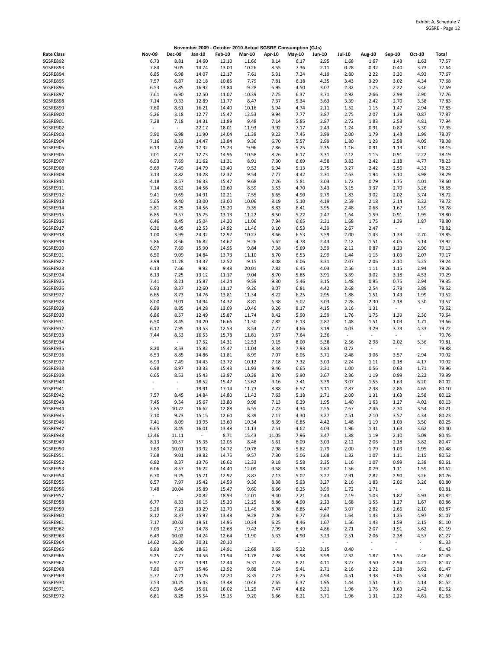|                      |                          |                                  | November 2009 - October 2010 Actual SGSRE Consumption (GJs) |                |                                   |                          |                          |               |                                  |                                  |                                  |                                  |                |
|----------------------|--------------------------|----------------------------------|-------------------------------------------------------------|----------------|-----------------------------------|--------------------------|--------------------------|---------------|----------------------------------|----------------------------------|----------------------------------|----------------------------------|----------------|
| <b>Rate Class</b>    | <b>Nov-09</b>            | <b>Dec-09</b>                    | Jan-10                                                      | <b>Feb-10</b>  | <b>Mar-10</b>                     | Apr-10                   | <b>May-10</b>            | <b>Jun-10</b> | <b>Jul-10</b>                    | Aug-10                           | <b>Sep-10</b>                    | Oct-10                           | Total          |
| SGSRE892             | 6.73                     | 8.81                             | 14.60                                                       | 12.10          | 11.66                             | 8.14                     | 6.17                     | 2.95          | 1.68                             | 1.67                             | 1.43                             | 1.63                             | 77.57          |
| SGSRE893             | 7.84                     | 9.05                             | 14.74                                                       | 13.00          | 10.26                             | 8.55                     | 7.36                     | 2.11          | 0.28                             | 0.32                             | 0.40                             | 3.73                             | 77.64          |
| SGSRE894<br>SGSRE895 | 6.85<br>7.57             | 6.98<br>6.87                     | 14.07<br>12.18                                              | 12.17<br>10.85 | 7.61<br>7.79                      | 5.31<br>7.81             | 7.24<br>6.18             | 4.19<br>4.35  | 2.80<br>3.43                     | 2.22<br>3.29                     | 3.30<br>3.02                     | 4.93<br>4.34                     | 77.67<br>77.68 |
| SGSRE896             | 6.53                     | 6.85                             | 16.92                                                       | 13.84          | 9.28                              | 6.95                     | 4.50                     | 3.07          | 2.32                             | 1.75                             | 2.22                             | 3.46                             | 77.69          |
| SGSRE897             | 7.61                     | 6.90                             | 12.50                                                       | 11.07          | 10.39                             | 7.75                     | 6.37                     | 3.71          | 2.92                             | 2.66                             | 2.98                             | 2.90                             | 77.76          |
| SGSRE898             | 7.14                     | 9.33                             | 12.89                                                       | 11.77          | 8.47                              | 7.37                     | 5.34                     | 3.63          | 3.39                             | 2.42                             | 2.70                             | 3.38                             | 77.83          |
| SGSRE899             | 7.60                     | 8.61                             | 16.21                                                       | 14.40          | 10.16                             | 6.94                     | 4.74                     | 2.11          | 1.52                             | 1.15                             | 1.47                             | 2.94                             | 77.85          |
| SGSRE900             | 5.26                     | 3.18                             | 12.77                                                       | 15.47          | 12.53                             | 9.94                     | 7.77                     | 3.87          | 2.75                             | 2.07                             | 1.39                             | 0.87                             | 77.87          |
| SGSRE901<br>SGSRE902 | 7.28<br>$\sim$           | 7.18<br>$\overline{\phantom{a}}$ | 14.31<br>22.17                                              | 11.89<br>18.01 | 9.48<br>11.93                     | 7.14<br>9.92             | 5.85<br>7.17             | 2.87<br>2.43  | 2.72<br>1.24                     | 1.83<br>0.91                     | 2.58<br>0.87                     | 4.81<br>3.30                     | 77.94<br>77.95 |
| SGSRE903             | 5.90                     | 6.98                             | 11.90                                                       | 14.04          | 11.38                             | 9.22                     | 7.45                     | 3.99          | 2.00                             | 1.79                             | 1.43                             | 1.99                             | 78.07          |
| SGSRE904             | 7.16                     | 8.33                             | 14.47                                                       | 13.84          | 9.36                              | 6.70                     | 5.57                     | 2.99          | 1.80                             | 1.23                             | 2.58                             | 4.05                             | 78.08          |
| SGSRE905             | 6.13                     | 7.69                             | 17.32                                                       | 15.23          | 9.96                              | 7.86                     | 5.25                     | 2.35          | 1.16                             | 0.91                             | 1.19                             | 3.10                             | 78.15          |
| SGSRE906             | 7.01                     | 8.77                             | 12.73                                                       | 14.96          | 10.58                             | 8.26                     | 6.17                     | 3.31          | 2.12                             | 1.15                             | 0.91                             | 2.22                             | 78.19          |
| SGSRE907             | 6.93                     | 7.69                             | 11.62                                                       | 11.31          | 8.91                              | 7.30                     | 6.69                     | 4.58          | 3.83                             | 2.42                             | 2.18                             | 4.77                             | 78.23          |
| SGSRE908<br>SGSRE909 | 5.69<br>7.13             | 7.49<br>8.82                     | 14.79<br>14.28                                              | 13.40<br>12.37 | 9.52<br>9.54                      | 6.94<br>7.77             | 5.13<br>4.42             | 2.75<br>2.31  | 3.27<br>2.63                     | 2.42<br>1.94                     | 2.50<br>3.10                     | 4.33<br>3.98                     | 78.23<br>78.29 |
| SGSRE910             | 4.18                     | 8.57                             | 16.33                                                       | 15.47          | 9.68                              | 7.26                     | 5.81                     | 3.03          | 1.72                             | 0.79                             | 1.75                             | 4.01                             | 78.60          |
| SGSRE911             | 7.14                     | 8.62                             | 14.56                                                       | 12.60          | 8.59                              | 6.53                     | 4.70                     | 3.43          | 3.15                             | 3.37                             | 2.70                             | 3.26                             | 78.65          |
| SGSRE912             | 9.41                     | 9.69                             | 14.91                                                       | 12.21          | 7.55                              | 6.65                     | 4.90                     | 2.79          | 1.83                             | 3.02                             | 2.02                             | 3.74                             | 78.72          |
| SGSRE913             | 5.65                     | 9.40                             | 13.00                                                       | 13.00          | 10.06                             | 8.19                     | 5.10                     | 4.19          | 2.59                             | 2.18                             | 2.14                             | 3.22                             | 78.72          |
| SGSRE914             | 5.81                     | 8.25                             | 14.56                                                       | 15.20          | 9.35                              | 8.83                     | 6.41                     | 3.95          | 2.48                             | 0.68                             | 1.67                             | 1.59                             | 78.78          |
| SGSRE915             | 6.85                     | 9.57                             | 15.75                                                       | 13.13          | 11.22                             | 8.50                     | 5.22                     | 2.47          | 1.64                             | 1.59                             | 0.91                             | 1.95                             | 78.80          |
| SGSRE916<br>SGSRE917 | 6.46<br>6.30             | 8.45<br>8.45                     | 15.04<br>12.53                                              | 14.20<br>14.92 | 11.06<br>11.46                    | 7.94<br>9.10             | 6.65<br>6.53             | 2.31<br>4.39  | 1.68<br>2.67                     | 1.75<br>2.47                     | 1.39<br>$\sim$                   | 1.87<br>$\sim$                   | 78.80<br>78.82 |
| SGSRE918             | 1.00                     | 3.99                             | 24.32                                                       | 12.97          | 10.27                             | 8.66                     | 6.53                     | 3.59          | 2.00                             | 1.43                             | 1.39                             | 2.70                             | 78.85          |
| SGSRE919             | 5.86                     | 8.66                             | 16.82                                                       | 14.67          | 9.26                              | 5.62                     | 4.78                     | 2.43          | 2.12                             | 1.51                             | 4.05                             | 3.14                             | 78.92          |
| SGSRE920             | 6.97                     | 7.69                             | 15.90                                                       | 14.95          | 9.84                              | 7.38                     | 5.69                     | 3.59          | 2.12                             | 0.87                             | 1.23                             | 2.90                             | 79.13          |
| SGSRE921             | 6.50                     | 9.09                             | 14.84                                                       | 13.73          | 11.10                             | 8.70                     | 6.53                     | 2.99          | 1.44                             | 1.15                             | 1.03                             | 2.07                             | 79.17          |
| SGSRE922             | 3.99                     | 11.28                            | 13.37                                                       | 12.52          | 9.15                              | 8.08                     | 6.06                     | 3.31          | 2.07                             | 2.06                             | 2.10                             | 5.25                             | 79.24          |
| SGSRE923             | 6.13                     | 7.66                             | 9.92                                                        | 9.48           | 20.01                             | 7.82                     | 6.45                     | 4.03          | 2.56                             | 1.11                             | 1.15                             | 2.94                             | 79.26          |
| SGSRE924<br>SGSRE925 | 6.13<br>7.41             | 7.25<br>8.21                     | 13.12<br>15.87                                              | 11.17<br>14.24 | 9.04<br>9.59                      | 8.70<br>9.30             | 5.85<br>5.46             | 3.91<br>3.15  | 3.39<br>1.48                     | 3.02<br>0.95                     | 3.18<br>0.75                     | 4.53<br>2.94                     | 79.29<br>79.35 |
| SGSRE926             | 6.93                     | 8.37                             | 12.60                                                       | 11.17          | 9.26                              | 8.07                     | 6.81                     | 4.42          | 2.68                             | 2.54                             | 2.78                             | 3.89                             | 79.52          |
| SGSRE927             | 6.65                     | 8.73                             | 14.76                                                       | 13.81          | 11.34                             | 8.22                     | 6.25                     | 2.95          | 1.88                             | 1.51                             | 1.43                             | 1.99                             | 79.52          |
| SGSRE928             | 8.00                     | 9.01                             | 14.94                                                       | 14.32          | 8.81                              | 6.38                     | 5.02                     | 3.03          | 2.28                             | 2.30                             | 2.18                             | 3.30                             | 79.57          |
| SGSRE929             | 6.89                     | 8.85                             | 14.28                                                       | 13.09          | 10.46                             | 9.26                     | 8.17                     | 4.15          | 3.16                             | 1.31                             | $\overline{\phantom{a}}$         | $\overline{\phantom{a}}$         | 79.62          |
| SGSRE930             | 6.86                     | 8.57                             | 12.49                                                       | 15.87          | 11.74                             | 8.42                     | 5.90                     | 2.59          | 1.76                             | 1.75                             | 1.39                             | 2.30                             | 79.64          |
| SGSRE931             | 6.50                     | 8.45                             | 14.20                                                       | 16.66          | 11.30                             | 7.82                     | 6.13                     | 2.87          | 1.48                             | 1.51                             | 1.03                             | 1.71                             | 79.66          |
| SGSRE932<br>SGSRE933 | 6.17<br>7.44             | 7.95<br>8.53                     | 13.53<br>16.53                                              | 12.53<br>15.78 | 8.54<br>11.81                     | 7.77<br>9.67             | 4.66<br>7.64             | 3.19<br>2.36  | 4.03<br>$\overline{\phantom{a}}$ | 3.29                             | 3.73<br>$\overline{\phantom{a}}$ | 4.33<br>$\overline{\phantom{a}}$ | 79.72<br>79.76 |
| SGSRE934             | $\overline{\phantom{a}}$ | $\sim$                           | 17.52                                                       | 14.31          | 12.53                             | 9.15                     | 8.00                     | 5.38          | 2.56                             | 2.98                             | 2.02                             | 5.36                             | 79.81          |
| SGSRE935             | 8.20                     | 8.53                             | 15.82                                                       | 15.47          | 11.04                             | 8.34                     | 7.93                     | 3.83          | 0.72                             | $\overline{\phantom{a}}$         | $\overline{\phantom{a}}$         | $\overline{\phantom{a}}$         | 79.88          |
| SGSRE936             | 6.53                     | 8.85                             | 14.86                                                       | 11.81          | 8.99                              | 7.07                     | 6.05                     | 3.71          | 2.48                             | 3.06                             | 3.57                             | 2.94                             | 79.92          |
| SGSRE937             | 6.93                     | 7.49                             | 14.43                                                       | 13.72          | 10.12                             | 7.18                     | 7.32                     | 3.03          | 2.24                             | 1.11                             | 2.18                             | 4.17                             | 79.92          |
| SGSRE938             | 6.98                     | 8.97                             | 13.33                                                       | 15.43          | 11.93                             | 9.46                     | 6.65                     | 3.31          | 1.00                             | 0.56                             | 0.63                             | 1.71                             | 79.96          |
| SGSRE939<br>SGSRE940 | 6.65                     | 8.53<br>$\blacksquare$           | 15.43<br>18.52                                              | 13.97          | 10.38                             | 8.70                     | 5.90<br>7.41             | 3.67<br>3.39  | 2.36<br>3.07                     | 1.19                             | 0.99                             | 2.22<br>6.20                     | 79.99<br>80.02 |
| SGSRE941             |                          | $\omega$                         | 19.91                                                       | 15.47<br>17.14 | 13.62<br>11.73                    | 9.16<br>8.88             | 6.57                     | 3.11          | 2.87                             | 1.55<br>2.38                     | 1.63<br>2.86                     | 4.65                             | 80.10          |
| SGSRE942             | 7.57                     | 8.45                             | 14.84                                                       | 14.80          | 11.42                             | 7.63                     | 5.18                     | 2.71          | 2.00                             | 1.31                             | 1.63                             | 2.58                             | 80.12          |
| SGSRE943             | 7.45                     | 9.54                             | 15.67                                                       | 13.80          | 9.98                              | 7.13                     | 6.29                     | 1.95          | 1.40                             | 1.63                             | 1.27                             | 4.02                             | 80.13          |
| SGSRE944             | 7.85                     | 10.72                            | 16.62                                                       | 12.88          | 6.55                              | 7.73                     | 4.34                     | 2.55          | 2.67                             | 2.46                             | 2.30                             | 3.54                             | 80.21          |
| SGSRE945             | 7.10                     | 9.73                             | 15.15                                                       | 12.60          | 8.39                              | 7.17                     | 4.30                     | 3.27          | 2.51                             | 2.10                             | 3.57                             | 4.34                             | 80.23          |
| SGSRE946             | 7.41                     | 8.09                             | 13.95                                                       | 13.60          | 10.34                             | 8.39                     | 6.85                     | 4.42          | 1.48                             | 1.19                             | 1.03                             | 3.50                             | 80.25          |
| SGSRE947<br>SGSRE948 | 6.65<br>12.46            | 8.45<br>11.11                    | 16.01<br>$\sim$                                             | 13.48<br>8.71  | 11.13<br>15.43                    | 7.51<br>11.05            | 4.62<br>7.96             | 4.03<br>3.47  | 1.96<br>1.88                     | 1.31<br>1.19                     | 1.63<br>2.10                     | 3.62<br>5.09                     | 80.40<br>80.45 |
| SGSRE949             | 8.13                     | 10.57                            | 15.35                                                       | 12.05          | 8.46                              | 6.61                     | 6.09                     | 3.03          | 2.12                             | 2.06                             | 2.18                             | 3.82                             | 80.47          |
| SGSRE950             | 7.69                     | 10.01                            | 13.92                                                       | 14.72          | 10.78                             | 7.98                     | 5.82                     | 2.79          | 2.00                             | 1.79                             | 1.03                             | 1.95                             | 80.48          |
| SGSRE951             | 7.68                     | 9.01                             | 19.82                                                       | 14.75          | 9.57                              | 7.30                     | 5.06                     | 1.68          | 1.32                             | 1.07                             | 1.11                             | 2.15                             | 80.52          |
| SGSRE952             | 6.82                     | 8.37                             | 13.76                                                       | 16.62          | 12.33                             | 9.18                     | 5.58                     | 2.35          | 1.16                             | 1.07                             | 0.99                             | 2.38                             | 80.61          |
| SGSRE953             | 6.06                     | 8.57                             | 16.22                                                       | 14.40          | 12.09                             | 9.58                     | 5.98                     | 2.67          | 1.56                             | 0.79                             | 1.11                             | 1.59                             | 80.62          |
| SGSRE954<br>SGSRE955 | 6.70<br>6.57             | 9.25<br>7.97                     | 15.71<br>15.42                                              | 12.92<br>14.59 | 8.87<br>9.36                      | 7.13<br>8.38             | 5.02<br>5.93             | 3.27<br>3.27  | 2.91                             | 2.82<br>1.83                     | 2.90<br>2.06                     | 3.26<br>3.26                     | 80.76<br>80.80 |
| SGSRE956             | 7.48                     | 10.04                            | 15.89                                                       | 15.47          | 9.60                              | 8.66                     | 6.25                     | 3.99          | 2.16<br>1.72                     | 1.71                             | $\sim$                           | $\sim$                           | 80.81          |
| SGSRE957             | $\overline{\phantom{a}}$ | $\sim$                           | 20.82                                                       | 18.93          | 12.01                             | 9.40                     | 7.21                     | 2.43          | 2.19                             | 1.03                             | 1.87                             | 4.93                             | 80.82          |
| SGSRE958             | 6.77                     | 8.33                             | 16.15                                                       | 15.20          | 12.25                             | 8.86                     | 4.90                     | 2.23          | 1.68                             | 1.55                             | 1.27                             | 1.67                             | 80.86          |
| SGSRE959             | 5.26                     | 7.21                             | 13.29                                                       | 12.70          | 11.46                             | 8.98                     | 6.85                     | 4.47          | 3.07                             | 2.82                             | 2.66                             | 2.10                             | 80.87          |
| SGSRE960             | 8.12                     | 8.37                             | 15.97                                                       | 13.48          | 9.28                              | 7.06                     | 6.77                     | 2.63          | 1.64                             | 1.43                             | 1.35                             | 4.97                             | 81.07          |
| SGSRE961             | 7.17                     | 10.02                            | 19.51                                                       | 14.95          | 10.34                             | 6.25                     | 4.46                     | 1.67          | 1.56                             | 1.43                             | 1.59                             | 2.15                             | 81.10          |
| SGSRE962<br>SGSRE963 | 7.09<br>6.49             | 7.57<br>10.02                    | 14.78                                                       | 12.68<br>12.64 | 9.42                              | 7.99<br>6.33             | 6.49<br>4.90             | 4.86<br>3.23  | 2.71                             | 2.07                             | 1.91<br>2.38                     | 3.62<br>4.57                     | 81.19<br>81.27 |
| SGSRE964             | 14.62                    | 16.30                            | 14.24<br>30.31                                              | 20.10          | 11.90<br>$\overline{\phantom{a}}$ | $\overline{\phantom{a}}$ | $\overline{\phantom{a}}$ | $\sim$        | 2.51<br>$\overline{\phantom{a}}$ | 2.06<br>$\overline{\phantom{a}}$ | $\bar{a}$                        | $\overline{\phantom{a}}$         | 81.33          |
| SGSRE965             | 8.83                     | 8.96                             | 18.63                                                       | 14.91          | 12.68                             | 8.65                     | 5.22                     | 3.15          | 0.40                             | $\overline{\phantom{a}}$         | $\overline{\phantom{a}}$         | $\overline{\phantom{a}}$         | 81.43          |
| SGSRE966             | 9.25                     | 7.77                             | 14.56                                                       | 11.94          | 11.78                             | 7.98                     | 5.98                     | 3.99          | 2.32                             | 1.87                             | 1.55                             | 2.46                             | 81.45          |
| SGSRE967             | 6.97                     | 7.37                             | 13.91                                                       | 12.44          | 9.31                              | 7.23                     | 6.21                     | 4.11          | 3.27                             | 3.50                             | 2.94                             | 4.21                             | 81.47          |
| SGSRE968             | 7.80                     | 8.77                             | 15.46                                                       | 13.92          | 9.88                              | 7.14                     | 5.41                     | 2.71          | 2.16                             | 2.22                             | 2.38                             | 3.62                             | 81.47          |
| SGSRE969             | 5.77                     | 7.21                             | 15.26                                                       | 12.20          | 8.35                              | 7.23                     | 6.25                     | 4.94          | 4.51                             | 3.38                             | 3.06                             | 3.34                             | 81.50          |
| SGSRE970<br>SGSRE971 | 7.53<br>6.93             | 10.25<br>8.45                    | 15.43                                                       | 13.48          | 10.46                             | 7.65<br>7.47             | 6.37                     | 1.95          | 1.44                             | 1.51                             | 1.31                             | 4.14<br>2.42                     | 81.52<br>81.62 |
| SGSRE972             | 6.81                     | 8.25                             | 15.61<br>15.54                                              | 16.02<br>15.15 | 11.25<br>9.20                     | 6.66                     | 4.82<br>6.21             | 3.31<br>3.71  | 1.96<br>1.96                     | 1.75<br>1.31                     | 1.63<br>2.22                     | 4.61                             | 81.63          |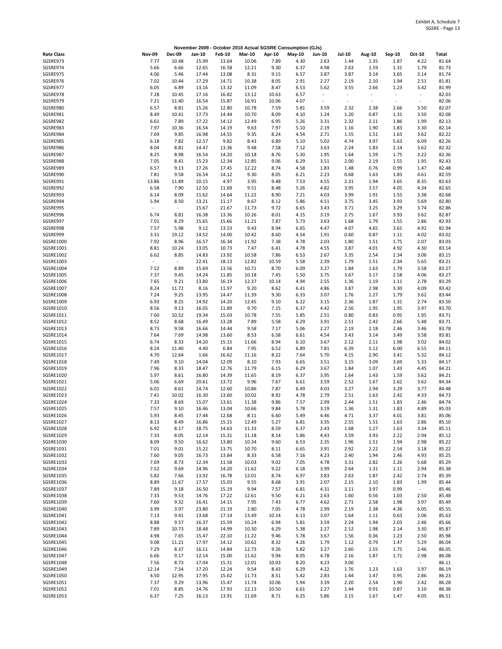|                        |                          |               | November 2009 - October 2010 Actual SGSRE Consumption (GJs) |                |                |               |               |                          |                          |                          |                          |                          |                |
|------------------------|--------------------------|---------------|-------------------------------------------------------------|----------------|----------------|---------------|---------------|--------------------------|--------------------------|--------------------------|--------------------------|--------------------------|----------------|
| <b>Rate Class</b>      | <b>Nov-09</b>            | <b>Dec-09</b> | Jan-10                                                      | <b>Feb-10</b>  | <b>Mar-10</b>  | Apr-10        | <b>May-10</b> | Jun-10                   | <b>Jul-10</b>            | Aug-10                   | Sep-10                   | Oct-10                   | Total          |
| SGSRE973               | 7.77                     | 10.48         | 15.99                                                       | 13.64          | 10.06          | 7.89          | 4.30          | 2.63                     | 1.44                     | 1.35                     | 1.87                     | 4.22                     | 81.64          |
| SGSRE974<br>SGSRE975   | 5.66<br>4.06             | 6.66<br>5.46  | 12.65<br>17.44                                              | 16.58<br>13.08 | 12.21<br>8.31  | 9.30<br>9.15  | 6.37<br>6.57  | 4.98<br>3.87             | 2.63<br>3.87             | 1.59<br>3.14             | 1.31<br>3.65             | 1.79<br>3.14             | 81.73<br>81.74 |
| SGSRE976               | 7.02                     | 10.44         | 17.29                                                       | 14.71          | 10.38          | 8.05          | 2.91          | 2.27                     | 2.19                     | 2.10                     | 1.94                     | 2.51                     | 81.81          |
| SGSRE977               | 6.05                     | 6.89          | 13.16                                                       | 13.32          | 11.09          | 8.47          | 6.53          | 5.62                     | 3.55                     | 2.66                     | 1.23                     | 3.42                     | 81.99          |
| SGSRE978               | 7.28                     | 10.45         | 17.16                                                       | 16.82          | 13.12          | 10.63         | 6.57          | $\overline{\phantom{a}}$ | $\overline{\phantom{a}}$ | $\overline{\phantom{a}}$ | $\overline{\phantom{a}}$ | $\overline{\phantom{a}}$ | 82.03          |
| SGSRE979               | 7.21                     | 11.40         | 16.54                                                       | 15.87          | 16.91          | 10.06         | 4.07          | $\sim$                   | $\sim$                   | ÷,                       | $\sim$                   | $\sim$                   | 82.06          |
| SGSRE980<br>SGSRE981   | 6.57<br>8.49             | 8.81<br>10.41 | 15.26<br>17.73                                              | 12.80<br>14.44 | 10.78<br>10.70 | 7.59<br>8.09  | 5.81<br>4.10  | 3.59<br>1.24             | 2.32<br>1.20             | 2.38<br>0.87             | 2.66<br>1.31             | 3.50<br>3.50             | 82.07<br>82.08 |
| SGSRE982               | 6.61                     | 7.89          | 17.22                                                       | 14.12          | 12.49          | 6.95          | 5.26          | 3.31                     | 2.32                     | 2.11                     | 1.86                     | 1.99                     | 82.13          |
| SGSRE983               | 7.97                     | 10.36         | 16.54                                                       | 14.19          | 9.63           | 7.97          | 5.10          | 2.19                     | 1.16                     | 1.90                     | 1.83                     | 3.30                     | 82.14          |
| SGSRE984               | 7.69                     | 9.85          | 16.98                                                       | 14.55          | 9.35           | 8.24          | 4.54          | 2.71                     | 1.55                     | 1.51                     | 1.63                     | 3.62                     | 82.22          |
| SGSRE985<br>SGSRE986   | 6.18<br>8.04             | 7.82<br>8.81  | 12.57<br>14.47                                              | 9.82<br>13.36  | 8.43<br>9.48   | 6.89<br>7.58  | 5.10<br>7.12  | 5.02<br>3.63             | 4.74<br>2.24             | 3.97<br>1.83             | 5.63<br>2.14             | 6.09<br>3.62             | 82.26<br>82.32 |
| SGSRE987               | 8.25                     | 8.98          | 16.54                                                       | 14.20          | 10.18          | 8.76          | 5.30          | 1.95                     | 1.64                     | 1.59                     | 1.75                     | 3.22                     | 82.36          |
| SGSRE988               | 7.05                     | 8.41          | 15.23                                                       | 12.34          | 12.85          | 9.06          | 6.29          | 3.51                     | 2.00                     | 2.19                     | 1.55                     | 1.95                     | 82.43          |
| SGSRE989               | 6.57                     | 9.13          | 17.26                                                       | 17.45          | 12.22          | 8.74          | 4.58          | 1.83                     | 1.48                     | 0.76                     | 0.99                     | 1.47                     | 82.48          |
| SGSRE990               | 7.81                     | 9.58          | 16.54                                                       | 14.12          | 9.30           | 8.05          | 6.21          | 2.23                     | 0.68                     | 1.63                     | 1.83                     | 4.61                     | 82.59          |
| SGSRE991<br>SGSRE992   | 13.86<br>6.58            | 11.89<br>7.90 | 10.15<br>12.50                                              | 4.97<br>11.69  | 3.95<br>9.51   | 9.48<br>8.48  | 7.53<br>5.26  | 4.55<br>4.82             | 2.31<br>3.95             | 1.94<br>3.57             | 3.65<br>4.05             | 8.35<br>4.34             | 82.63<br>82.65 |
| SGSRE993               | 6.14                     | 8.09          | 11.62                                                       | 14.64          | 11.22          | 8.90          | 7.21          | 4.03                     | 3.99                     | 1.91                     | 1.55                     | 3.38                     | 82.68          |
| SGSRE994               | 5.94                     | 8.50          | 13.21                                                       | 11.17          | 8.67           | 8.12          | 5.86          | 4.51                     | 3.75                     | 3.45                     | 3.93                     | 5.69                     | 82.80          |
| SGSRE995               | $\overline{\phantom{a}}$ | $\sim$        | 15.67                                                       | 21.67          | 11.73          | 9.72          | 6.65          | 3.43                     | 3.71                     | 3.25                     | 3.29                     | 3.74                     | 82.86          |
| SGSRE996               | 6.74                     | 8.81          | 16.38                                                       | 13.36          | 10.26          | 8.01          | 4.15          | 3.19                     | 2.75                     | 1.67                     | 3.93                     | 3.62                     | 82.87          |
| SGSRE997<br>SGSRE998   | 7.01<br>7.57             | 8.29<br>5.98  | 15.65<br>9.12                                               | 15.66<br>13.53 | 11.21<br>9.43  | 7.87<br>8.94  | 5.73<br>6.65  | 3.63<br>4.47             | 1.68<br>4.07             | 1.79<br>4.65             | 1.55<br>3.61             | 2.86<br>4.92             | 82.93<br>82.94 |
| SGSRE999               | 3.31                     | 19.12         | 14.52                                                       | 14.00          | 10.42          | 8.60          | 4.54          | 1.91                     | 0.60                     | 0.87                     | 1.11                     | 4.02                     | 83.02          |
| SGSRE1000              | 7.92                     | 8.96          | 16.57                                                       | 16.34          | 11.92          | 7.38          | 4.78          | 2.03                     | 1.80                     | 1.51                     | 1.75                     | 2.07                     | 83.03          |
| SGSRE1001              | 8.81                     | 10.24         | 13.05                                                       | 10.73          | 7.47           | 6.41          | 4.78          | 4.55                     | 3.87                     | 4.01                     | 4.92                     | 4.30                     | 83.14          |
| SGSRE1002              | 6.62                     | 8.85          | 14.83                                                       | 13.92          | 10.58          | 7.86          | 6.53          | 2.67                     | 3.35                     | 2.54                     | 2.34                     | 3.06                     | 83.15          |
| SGSRE1003<br>SGSRE1004 | 7.52                     | 8.89          | 22.41<br>15.69                                              | 18.13<br>13.56 | 12.82<br>10.71 | 10.59<br>8.70 | 5.58<br>6.09  | 2.39<br>3.27             | 1.79<br>1.84             | 1.51<br>1.63             | 2.34<br>1.79             | 5.65<br>3.58             | 83.21<br>83.27 |
| SGSRE1005              | 7.37                     | 9.45          | 14.24                                                       | 11.85          | 10.18          | 7.45          | 5.50          | 3.75                     | 3.67                     | 3.17                     | 2.58                     | 4.06                     | 83.27          |
| SGSRE1006              | 7.65                     | 9.21          | 13.80                                                       | 16.19          | 12.37          | 10.14         | 4.94          | 2.55                     | 1.36                     | 1.19                     | 1.11                     | 2.78                     | 83.29          |
| SGSRE1007              | 8.24                     | 11.72         | 8.16                                                        | 11.97          | 9.20           | 8.62          | 6.41          | 4.86                     | 3.87                     | 2.98                     | 3.30                     | 4.09                     | 83.42          |
| SGSRE1008              | 7.24                     | 9.25          | 13.95                                                       | 14.47          | 11.39          | 9.30          | 6.33          | 3.07                     | 1.76                     | 1.27                     | 1.79                     | 3.62                     | 83.44          |
| SGSRE1009<br>SGSRE1010 | 6.93<br>8.56             | 8.25<br>9.13  | 14.92<br>16.05                                              | 14.20<br>11.89 | 12.45<br>9.70  | 9.10<br>7.15  | 6.22<br>6.37  | 3.15<br>4.42             | 2.36<br>2.56             | 1.87<br>1.95             | 1.31<br>1.95             | 2.74<br>3.97             | 83.50<br>83.70 |
| SGSRE1011              | 7.60                     | 10.52         | 19.34                                                       | 15.03          | 10.78          | 7.55          | 5.85          | 2.51                     | 0.80                     | 0.83                     | 0.95                     | 1.95                     | 83.71          |
| SGSRE1012              | 8.52                     | 8.68          | 16.49                                                       | 13.28          | 7.89           | 5.58          | 6.29          | 3.91                     | 2.51                     | 2.42                     | 2.66                     | 5.48                     | 83.71          |
| SGSRE1013              | 8.73                     | 9.58          | 16.66                                                       | 14.44          | 9.58           | 7.17          | 5.06          | 2.27                     | 2.19                     | 2.18                     | 2.46                     | 3.46                     | 83.78          |
| SGSRE1014              | 7.64                     | 7.69          | 14.98                                                       | 13.60          | 8.53           | 6.58          | 6.61          | 4.54                     | 3.43                     | 3.14                     | 3.49                     | 3.58                     | 83.81          |
| SGSRE1015<br>SGSRE1016 | 6.74<br>8.24             | 8.33<br>11.40 | 14.20<br>4.40                                               | 15.15<br>6.84  | 11.66<br>7.95  | 8.94<br>6.52  | 6.10<br>6.89  | 3.67<br>7.81             | 2.12<br>6.39             | 2.11<br>5.12             | 1.98<br>6.00             | 3.02<br>6.55             | 84.02<br>84.11 |
| SGSRE1017              | 4.70                     | 12.64         | 1.66                                                        | 16.62          | 11.16          | 8.22          | 7.64          | 5.70                     | 4.15                     | 2.90                     | 3.41                     | 5.32                     | 84.12          |
| SGSRE1018              | 7.49                     | 9.10          | 14.04                                                       | 12.09          | 8.10           | 7.93          | 6.65          | 3.51                     | 3.15                     | 3.09                     | 3.69                     | 5.33                     | 84.17          |
| SGSRE1019              | 7.96                     | 8.33          | 18.47                                                       | 12.76          | 11.79          | 6.15          | 6.29          | 3.67                     | 1.84                     | 1.07                     | 1.43                     | 4.45                     | 84.21          |
| SGSRE1020<br>SGSRE1021 | 5.97<br>5.06             | 8.61<br>6.69  | 16.80                                                       | 14.39          | 11.65<br>9.96  | 8.19          | 6.37          | 3.95                     | 1.64                     | 1.43                     | 1.59<br>2.62             | 3.62                     | 84.21<br>84.34 |
| SGSRE1022              | 6.01                     | 8.61          | 20.61<br>14.74                                              | 13.72<br>12.60 | 10.86          | 7.67<br>7.87  | 6.61<br>6.49  | 3.59<br>4.03             | 2.52<br>3.27             | 1.67<br>2.94             | 3.29                     | 3.62<br>3.77             | 84.48          |
| SGSRE1023              | 7.41                     | 10.02         | 16.30                                                       | 13.60          | 10.02          | 8.92          | 4.78          | 2.79                     | 2.51                     | 1.63                     | 2.42                     | 4.33                     | 84.73          |
| SGSRE1024              | 7.33                     | 8.69          | 15.07                                                       | 13.61          | 11.38          | 9.86          | 7.57          | 2.99                     | 2.44                     | 1.51                     | 1.83                     | 2.46                     | 84.74          |
| SGSRE1025              | 7.57                     | 9.10          | 16.46                                                       | 13.04          | 10.66          | 9.84          | 5.78          | 3.19                     | 1.36                     | 1.31                     | 1.83                     | 4.89                     | 85.03          |
| SGSRE1026<br>SGSRE1027 | 5.93<br>8.13             | 8.45<br>8.49  | 17.44<br>16.86                                              | 12.68<br>15.15 | 8.11<br>12.49  | 6.60<br>5.27  | 5.49<br>6.81  | 4.46<br>3.35             | 4.71<br>2.55             | 3.37<br>1.51             | 4.01<br>1.63             | 3.81<br>2.86             | 85.06<br>85.10 |
| SGSRE1028              | 6.92                     | 8.17          | 18.75                                                       | 14.63          | 11.33          | 8.59          | 6.37          | 2.43                     | 1.68                     | 1.27                     | 1.63                     | 3.34                     | 85.11          |
| SGSRE1029              | 7.33                     | 8.05          | 12.14                                                       | 15.31          | 11.18          | 8.14          | 5.86          | 4.43                     | 3.59                     | 3.93                     | 2.22                     | 2.94                     | 85.12          |
| SGSRE1030              | 8.09                     | 9.50          | 16.62                                                       | 13.80          | 10.34          | 9.60          | 6.53          | 2.35                     | 1.96                     | 1.51                     | 1.94                     | 2.98                     | 85.22          |
| SGSRE1031              | 7.01                     | 9.01          | 15.22                                                       | 13.75          | 10.70          | 8.11          | 6.65          | 3.91                     | 2.92                     | 2.22                     | 2.54                     | 3.18                     | 85.22          |
| SGSRE1032<br>SGSRE1033 | 7.60<br>7.69             | 9.05<br>8.73  | 16.73<br>12.34                                              | 13.84<br>11.58 | 8.33<br>10.03  | 6.58<br>9.02  | 7.16<br>7.05  | 4.23<br>4.78             | 2.40<br>3.31             | 1.94<br>2.82             | 2.46<br>2.26             | 4.93<br>5.68             | 85.25<br>85.29 |
| SGSRE1034              | 7.52                     | 9.69          | 14.96                                                       | 14.20          | 11.62          | 9.22          | 6.18          | 3.99                     | 2.64                     | 1.31                     | 1.11                     | 2.94                     | 85.38          |
| SGSRE1035              | 5.82                     | 7.66          | 13.92                                                       | 16.78          | 12.01          | 8.74          | 6.97          | 3.83                     | 2.63                     | 1.87                     | 2.42                     | 2.74                     | 85.39          |
| SGSRE1036              | 8.89                     | 11.67         | 17.57                                                       | 15.03          | 9.55           | 8.68          | 3.91          | 2.07                     | 2.15                     | 2.10                     | 1.83                     | 1.99                     | 85.44          |
| SGSRE1037              | 7.89                     | 9.18          | 16.50                                                       | 15.19          | 9.94           | 7.57          | 6.81          | 4.31                     | 3.11                     | 3.97                     | 0.99                     | $\sim$                   | 85.46          |
| SGSRE1038<br>SGSRE1039 | 7.33<br>7.60             | 9.53<br>9.32  | 14.76<br>16.41                                              | 17.22<br>14.15 | 12.61<br>7.95  | 9.50<br>7.43  | 6.21<br>6.77  | 2.63<br>4.62             | 1.60<br>2.71             | 0.56<br>2.58             | 1.03<br>1.98             | 2.50<br>3.97             | 85.48<br>85.49 |
| SGSRE1040              | 3.99                     | 3.97          | 23.80                                                       | 21.19          | 2.80           | 7.05          | 4.78          | 2.99                     | 2.19                     | 2.38                     | 4.36                     | 6.05                     | 85.55          |
| SGSRE1041              | 7.13                     | 9.41          | 13.68                                                       | 17.14          | 13.49          | 10.14         | 6.13          | 3.07                     | 1.64                     | 1.11                     | 0.63                     | 2.06                     | 85.63          |
| SGSRE1042              | 8.88                     | 9.57          | 16.37                                                       | 15.59          | 10.24          | 6.94          | 5.81          | 3.59                     | 2.24                     | 1.94                     | 2.03                     | 2.46                     | 85.66          |
| SGSRE1043              | 7.89                     | 10.73         | 18.48                                                       | 14.99          | 10.30          | 6.29          | 5.38          | 2.27                     | 2.12                     | 1.98                     | 2.14                     | 3.30                     | 85.87          |
| SGSRE1044<br>SGSRE1045 | 4.98<br>9.08             | 7.65<br>11.21 | 15.47<br>17.97                                              | 22.10<br>14.12 | 11.22<br>10.62 | 9.46<br>8.32  | 5.78<br>4.26  | 3.67<br>1.79             | 1.56<br>1.12             | 0.36<br>0.79             | 1.23<br>1.47             | 2.50<br>5.29             | 85.98<br>86.04 |
| SGSRE1046              | 7.29                     | 8.37          | 16.11                                                       | 14.84          | 12.73          | 9.26          | 5.82          | 3.27                     | 2.60                     | 1.55                     | 1.75                     | 2.46                     | 86.05          |
| SGSRE1047              | 6.66                     | 9.17          | 12.14                                                       | 15.00          | 11.62          | 9.94          | 8.05          | 4.78                     | 2.16                     | 1.87                     | 1.71                     | 2.98                     | 86.08          |
| SGSRE1048              | 7.56                     | 8.73          | 17.04                                                       | 15.31          | 12.01          | 10.03         | 8.20          | 4.23                     | 3.00                     | $\sim$                   | $\sim$                   | $\sim$                   | 86.11          |
| SGSRE1049              | 12.14                    | 7.54          | 17.20                                                       | 12.24          | 9.54           | 8.43          | 6.29          | 4.22                     | 1.76                     | 1.23                     | 1.63                     | 3.97                     | 86.19          |
| SGSRE1050<br>SGSRE1051 | 4.50<br>7.37             | 12.95<br>9.29 | 17.95<br>13.96                                              | 15.62<br>15.47 | 11.73<br>11.74 | 8.51<br>10.06 | 5.42<br>5.94  | 2.83<br>3.39             | 1.44<br>2.20             | 1.47<br>2.54             | 0.95<br>1.90             | 2.86<br>2.42             | 86.23<br>86.28 |
| SGSRE1052              | 7.01                     | 8.85          | 14.76                                                       | 17.93          | 12.13          | 10.50         | 6.61          | 2.27                     | 1.44                     | 0.91                     | 0.87                     | 3.10                     | 86.38          |
| SGSRE1053              | 6.37                     | 7.25          | 16.13                                                       | 13.91          | 11.69          | 8.71          | 6.25          | 5.86                     | 3.15                     | 1.67                     | 1.47                     | 4.05                     | 86.51          |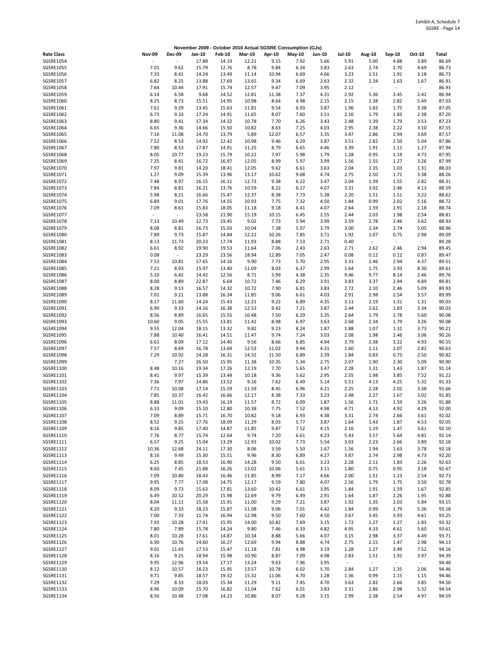|                               |                                  |                                  |                |                |                |                | November 2009 - October 2010 Actual SGSRE Consumption (GJs) |               |                |                                  |                |                                  |                |
|-------------------------------|----------------------------------|----------------------------------|----------------|----------------|----------------|----------------|-------------------------------------------------------------|---------------|----------------|----------------------------------|----------------|----------------------------------|----------------|
| <b>Rate Class</b>             | <b>Nov-09</b>                    | <b>Dec-09</b>                    | Jan-10         | <b>Feb-10</b>  | <b>Mar-10</b>  | Apr-10         | <b>May-10</b>                                               | <b>Jun-10</b> | <b>Jul-10</b>  | <b>Aug-10</b>                    | Sep-10         | Oct-10                           | <b>Total</b>   |
| SGSRE1054                     |                                  | ٠                                | 17.88          | 14.19          | 12.21          | 9.15           | 7.92                                                        | 5.66          | 5.91           | 5.00                             | 4.88           | 3.89                             | 86.69          |
| SGSRE1055<br>SGSRE1056        | 7.01<br>7.33                     | 9.62<br>8.41                     | 15.79<br>14.24 | 12.76<br>13.49 | 8.78<br>11.14  | 9.84<br>10.94  | 6.34<br>6.69                                                | 3.83<br>4.66  | 2.63<br>3.23   | 2.74<br>1.51                     | 2.70<br>1.91   | 4.69<br>3.18                     | 86.73<br>86.73 |
| SGSRE1057                     | 6.82                             | 8.25                             | 13.88          | 17.69          | 13.65          | 9.34           | 6.69                                                        | 2.63          | 2.32           | 2.34                             | 1.63           | 1.67                             | 86.91          |
| SGSRE1058                     | 7.64                             | 10.44                            | 17.91          | 15.74          | 12.57          | 9.47           | 7.09                                                        | 3.95          | 2.12           | $\sim$                           | $\omega$       | $\sim$                           | 86.93          |
| SGSRE1059<br>SGSRE1060        | 6.14                             | 6.58                             | 9.68           | 14.52          | 12.81          | 11.38          | 7.37                                                        | 4.31          | 2.92           | 5.36                             | 3.45           | 2.42                             | 86.94          |
| SGSRE1061                     | 8.25<br>7.61                     | 8.73<br>9.29                     | 15.51<br>13.45 | 14.95<br>15.63 | 10.98<br>11.81 | 8.64<br>9.54   | 4.98<br>6.93                                                | 2.15<br>3.87  | 2.15<br>1.96   | 2.38<br>1.83                     | 2.82<br>1.75   | 5.49<br>3.38                     | 87.03<br>87.05 |
| SGSRE1062                     | 6.73                             | 9.33                             | 17.24          | 14.91          | 11.65          | 8.07           | 7.60                                                        | 3.51          | 2.16           | 1.79                             | 1.83           | 2.38                             | 87.20          |
| SGSRE1063                     | 8.80                             | 9.41                             | 17.34          | 14.32          | 10.78          | 7.70           | 6.26                                                        | 3.43          | 2.48           | 1.39                             | 1.79           | 3.53                             | 87.23          |
| SGSRE1064                     | 6.65                             | 9.36                             | 14.66          | 15.50          | 10.82          | 8.63           | 7.25                                                        | 4.03          | 2.95           | 2.38                             | 2.22           | 3.10                             | 87.55          |
| SGSRE1065<br>SGSRE1066        | 7.16<br>7.52                     | 11.08<br>8.53                    | 14.70<br>14.92 | 13.79<br>12.42 | 5.89<br>10.98  | 12.07<br>9.46  | 6.57<br>6.29                                                | 3.35<br>3.87  | 3.47<br>3.51   | 2.86<br>2.82                     | 2.94<br>2.50   | 3.69<br>5.04                     | 87.57<br>87.86 |
| SGSRE1067                     | 7.80                             | 8.53                             | 17.87          | 14.91          | 11.25          | 8.79           | 6.65                                                        | 4.46          | 3.39           | 1.91                             | 1.11           | 1.27                             | 87.94          |
| SGSRE1068                     | 8.05                             | 10.77                            | 19.23          | 15.79          | 10.22          | 7.97           | 5.98                                                        | 1.79          | 1.28           | 0.95                             | 1.19           | 4.73                             | 87.95          |
| SGSRE1069                     | 7.25                             | 8.41                             | 16.72          | 16.97          | 12.05          | 8.99           | 5.97                                                        | 3.99          | 1.56           | 1.55                             | 1.27           | 3.26                             | 87.99          |
| SGSRE1070<br>SGSRE1071        | 7.97<br>1.27                     | 9.81<br>9.09                     | 14.20<br>15.39 | 18.41<br>13.96 | 12.05<br>13.17 | 9.62<br>10.62  | 6.61<br>9.68                                                | 3.63<br>4.74  | 2.04<br>2.75   | 1.35<br>2.50                     | 1.03<br>1.71   | 1.31<br>3.38                     | 88.03<br>88.26 |
| SGSRE1072                     | 7.48                             | 8.97                             | 16.15          | 16.11          | 12.73          | 9.38           | 6.22                                                        | 3.47          | 2.04           | 1.39                             | 1.55           | 2.82                             | 88.31          |
| SGSRE1073                     | 7.84                             | 8.81                             | 16.21          | 13.76          | 10.59          | 8.22           | 6.17                                                        | 4.07          | 3.31           | 3.02                             | 2.46           | 4.13                             | 88.59          |
| SGSRE1074                     | 5.98                             | 8.21                             | 16.66          | 15.47          | 12.37          | 8.38           | 7.73                                                        | 5.38          | 2.20           | 1.51                             | 1.51           | 3.22                             | 88.62          |
| SGSRE1075                     | 6.89                             | 9.01                             | 17.76          | 14.55          | 10.93          | 7.75           | 7.32                                                        | 4.50          | 1.84           | 0.99                             | 2.02           | 5.16                             | 88.72          |
| SGSRE1076<br>SGSRE1077        | 7.09<br>$\overline{\phantom{a}}$ | 8.61<br>$\overline{\phantom{a}}$ | 15.83<br>23.58 | 18.05<br>21.90 | 11.18<br>15.19 | 9.18<br>10.15  | 6.41<br>6.45                                                | 4.07<br>2.55  | 2.64<br>2.44   | 1.59<br>2.03                     | 1.91<br>1.98   | 2.18<br>2.54                     | 88.74<br>88.81 |
| SGSRE1078                     | 7.13                             | 10.49                            | 12.73          | 19.45          | 9.02           | 7.73           | 5.94                                                        | 3.99          | 3.59           | 2.78                             | 2.46           | 3.62                             | 88.93          |
| SGSRE1079                     | 8.08                             | 8.81                             | 16.73          | 15.03          | 10.04          | 7.38           | 5.97                                                        | 3.79          | 3.00           | 2.34                             | 2.74           | 5.05                             | 88.96          |
| SGSRE1080                     | 7.89                             | 9.73                             | 15.87          | 14.84          | 12.22          | 10.26          | 7.85                                                        | 3.71          | 1.92           | 1.07                             | 0.75           | 2.98                             | 89.09          |
| SGSRE1081<br>SGSRE1082        | 8.13<br>6.61                     | 11.73<br>8.92                    | 20.23<br>19.90 | 17.74<br>19.53 | 11.93<br>11.64 | 8.88<br>7.06   | 7.53<br>2.43                                                | 2.71<br>2.63  | 0.40<br>2.71   | $\overline{\phantom{a}}$<br>2.62 | $\sim$<br>2.46 | $\overline{\phantom{a}}$<br>2.94 | 89.28<br>89.45 |
| SGSRE1083                     | 0.08                             | $\overline{\phantom{a}}$         | 23.29          | 23.56          | 18.94          | 12.89          | 7.05                                                        | 2.47          | 0.08           | 0.12                             | 0.12           | 0.87                             | 89.47          |
| SGSRE1084                     | 7.53                             | 10.81                            | 17.65          | 14.16          | 9.90           | 7.73           | 5.70                                                        | 2.95          | 3.31           | 2.46                             | 2.94           | 4.37                             | 89.51          |
| SGSRE1085                     | 7.21                             | 8.93                             | 15.97          | 13.40          | 11.09          | 8.03           | 6.37                                                        | 2.99          | 1.64           | 1.75                             | 3.93           | 8.30                             | 89.61          |
| SGSRE1086                     | 5.10                             | 6.42                             | 14.42          | 12.56          | 8.71           | 5.99           | 4.38                                                        | 2.35          | 9.46           | 9.77                             | 8.14           | 2.46                             | 89.76          |
| SGSRE1087<br><b>SGSRE1088</b> | 8.00<br>8.28                     | 8.89<br>9.13                     | 22.87<br>16.57 | 6.64<br>14.32  | 10.72<br>10.72 | 7.46<br>7.90   | 6.29<br>6.81                                                | 3.91<br>3.83  | 3.83<br>2.72   | 3.37<br>2.10                     | 2.94<br>2.46   | 4.89<br>5.09                     | 89.81<br>89.93 |
| SGSRE1089                     | 7.01                             | 9.21                             | 13.88          | 16.34          | 11.85          | 9.06           | 6.61                                                        | 4.03          | 2.91           | 2.98                             | 2.54           | 3.57                             | 89.99          |
| SGSRE1090                     | 8.17                             | 11.60                            | 14.24          | 15.43          | 12.21          | 9.22           | 6.89                                                        | 4.35          | 3.11           | 2.19                             | 1.31           | 1.31                             | 90.03          |
| SGSRE1091                     | 6.90                             | 9.33                             | 14.16          | 16.38          | 12.53          | 9.42           | 7.21                                                        | 3.87          | 2.44           | 2.62                             | 1.83           | 3.34                             | 90.03          |
| SGSRE1092<br>SGSRE1093        | 8.56<br>10.60                    | 8.89<br>9.05                     | 16.65<br>15.55 | 15.55<br>13.81 | 10.48<br>11.42 | 7.50<br>8.98   | 6.29<br>6.97                                                | 3.35<br>3.63  | 2.64<br>2.68   | 1.79<br>2.34                     | 2.78<br>1.79   | 5.60<br>3.26                     | 90.08<br>90.08 |
| SGSRE1094                     | 9.55                             | 12.04                            | 18.15          | 13.32          | 9.82           | 9.23           | 8.24                                                        | 1.87          | 1.88           | 1.07                             | 1.31           | 3.73                             | 90.21          |
| SGSRE1095                     | 7.88                             | 10.40                            | 16.41          | 14.51          | 11.47          | 9.74           | 7.24                                                        | 3.03          | 2.08           | 1.98                             | 2.46           | 3.06                             | 90.26          |
| SGSRE1096                     | 6.61                             | 8.09                             | 17.12          | 14.40          | 9.56           | 8.66           | 6.85                                                        | 4.94          | 3.79           | 2.38                             | 3.22           | 4.93                             | 90.55          |
| SGSRE1097<br>SGSRE1098        | 7.57<br>7.29                     | 8.69<br>10.92                    | 16.78<br>14.28 | 13.69<br>16.31 | 12.53<br>14.32 | 11.02<br>11.50 | 9.44<br>6.89                                                | 4.31<br>3.39  | 1.60<br>1.84   | 1.11<br>0.83                     | 1.07<br>0.75   | 2.82<br>2.50                     | 90.63<br>90.82 |
| SGSRE1099                     | $\overline{\phantom{a}}$         | 7.27                             | 26.50          | 15.95          | 11.38          | 10.35          | 5.34                                                        | 2.75          | 2.07           | 1.90                             | 2.30           | 5.09                             | 90.90          |
| SGSRE1100                     | 8.48                             | 10.16                            | 19.34          | 17.26          | 12.19          | 7.70           | 5.65                                                        | 3.47          | 2.28           | 1.31                             | 1.43           | 1.87                             | 91.14          |
| SGSRE1101                     | 8.41                             | 9.97                             | 15.39          | 13.44          | 10.18          | 9.36           | 5.62                                                        | 2.95          | 2.55           | 1.98                             | 3.85           | 7.52                             | 91.22          |
| SGSRE1102<br>SGSRE1103        | 7.36<br>7.71                     | 7.97<br>10.08                    | 14.86<br>17.14 | 13.52<br>15.59 | 9.16<br>11.59  | 7.62<br>8.45   | 6.49<br>6.96                                                | 5.14<br>4.21  | 5.51<br>2.25   | 4.13<br>2.28                     | 4.25<br>2.02   | 5.32<br>3.38                     | 91.33<br>91.66 |
| SGSRE1104                     | 7.85                             | 10.37                            | 16.42          | 16.66          | 12.17          | 8.38           | 7.33                                                        | 3.23          | 2.48           | 2.27                             | 1.67           | 3.02                             | 91.85          |
| SGSRE1105                     | 8.88                             | 11.01                            | 19.43          | 16.19          | 11.57          | 8.72           | 6.09                                                        | 1.87          | 1.56           | 1.71                             | 1.59           | 3.26                             | 91.88          |
| SGSRE1106                     | 6.33                             | 9.09                             | 15.10          | 12.80          | 10.38          | 7.75           | 7.52                                                        | 4.98          | 4.71           | 4.13                             | 4.92           | 4.29                             | 92.00          |
| SGSRE1107<br>SGSRE1108        | 7.09<br>8.52                     | 8.89<br>9.25                     | 15.71<br>17.76 | 16.70<br>18.09 | 10.82<br>11.29 | 9.18<br>8.03   | 6.93<br>5.77                                                | 4.38<br>3.87  | 3.31<br>1.64   | 2.74<br>1.43                     | 2.66<br>1.87   | 3.61<br>4.53                     | 92.02<br>92.05 |
| SGSRE1109                     | 8.16                             | 9.85                             | 17.40          | 14.87          | 11.85          | 9.87           | 7.52                                                        | 4.15          | 2.16           | 1.19                             | 1.47           | 3.61                             | 92.10          |
| SGSRE1110                     | 7.76                             | 8.77                             | 15.74          | 12.64          | 9.74           | 7.20           | 6.61                                                        | 4.23          | 5.43           | 3.57                             | 5.64           | 4.81                             | 92.14          |
| SGSRE1111                     | 6.57                             | 9.25                             | 15.04          | 13.29          | 12.93          | 10.02          | 7.73                                                        | 5.54          | 3.03           | 2.23                             | 2.66           | 3.89                             | 92.18          |
| SGSRE1112<br>SGSRE1113        | 10.36<br>8.16                    | 12.68                            | 24.11          | 17.30          | 8.06<br>9.96   | 3.59           | 5.50                                                        | 1.67          | 1.56           | 1.94                             | 1.63           | 3.78<br>4.73                     | 92.18          |
| SGSRE1114                     | 6.25                             | 9.49<br>8.85                     | 15.30<br>18.53 | 15.51<br>16.90 | 14.28          | 8.30<br>9.50   | 6.89<br>6.61                                                | 4.27<br>3.23  | 3.87<br>2.28   | 2.74<br>2.11                     | 2.98<br>1.83   | 2.26                             | 92.20<br>92.63 |
| SGSRE1115                     | 8.60                             | 7.45                             | 21.88          | 16.26          | 13.02          | 10.06          | 5.61                                                        | 3.11          | 1.80           | 0.75                             | 0.95           | 3.18                             | 92.67          |
| SGSRE1116                     | 7.09                             | 10.80                            | 18.43          | 16.46          | 11.85          | 8.99           | 7.17                                                        | 4.66          | 2.00           | 1.51                             | 1.23           | 2.54                             | 92.73          |
| SGSRE1117                     | 9.95                             | 7.77                             | 17.08          | 14.75          | 12.17          | 9.59           | 7.80                                                        | 4.07          | 2.56           | 1.79                             | 1.75           | 3.50                             | 92.78          |
| SGSRE1118<br>SGSRE1119        | 8.09<br>6.49                     | 9.73<br>10.52                    | 15.63<br>20.29 | 17.81<br>15.98 | 13.60<br>12.69 | 10.42<br>9.79  | 6.61<br>6.49                                                | 3.95<br>2.91  | 1.84<br>1.64   | 1.91<br>1.87                     | 1.59<br>2.26   | 1.67<br>1.95                     | 92.85<br>92.88 |
| SGSRE1120                     | 8.04                             | 11.11                            | 15.58          | 15.91          | 11.00          | 9.29           | 7.21                                                        | 3.87          | 1.92           | 1.35                             | 2.03           | 5.84                             | 93.15          |
| SGSRE1121                     | 8.20                             | 9.33                             | 18.23          | 15.87          | 11.08          | 9.06           | 7.01                                                        | 4.42          | 1.84           | 0.99                             | 1.79           | 5.36                             | 93.18          |
| SGSRE1122                     | 7.00                             | 7.33                             | 11.74          | 16.94          | 12.98          | 9.50           | 7.60                                                        | 4.50          | 3.67           | 3.45                             | 3.93           | 4.61                             | 93.25          |
| SGSRE1123                     | 7.93                             | 10.28                            | 17.41          | 15.95          | 14.00          | 10.82          | 7.69                                                        | 3.15          | 1.72           | 1.27                             | 1.27           | 1.83                             | 93.32<br>93.61 |
| SGSRE1124<br>SGSRE1125        | 7.80<br>8.01                     | 7.89<br>10.28                    | 15.78<br>17.61 | 14.24<br>14.87 | 9.80<br>10.34  | 7.46<br>8.88   | 6.33<br>5.66                                                | 4.82<br>4.07  | 4.95<br>3.15   | 4.33<br>2.98                     | 4.61<br>3.37   | 5.60<br>4.49                     | 93.71          |
| SGSRE1126                     | 6.90                             | 10.76                            | 14.60          | 16.27          | 12.69          | 9.94           | 8.88                                                        | 4.74          | 2.75           | 2.15                             | 1.47           | 2.98                             | 94.13          |
| SGSRE1127                     | 9.01                             | 11.43                            | 17.53          | 15.47          | 11.18          | 7.81           | 4.98                                                        | 3.19          | 1.28           | 1.27                             | 3.49           | 7.52                             | 94.16          |
| SGSRE1128                     | 8.16                             | 9.25                             | 18.94          | 15.98          | 10.90          | 8.87           | 7.09                                                        | 4.98          | 2.83           | 1.51                             | 1.91           | 3.97                             | 94.39          |
| SGSRE1129<br>SGSRE1130        | 9.95<br>8.12                     | 12.96<br>10.57                   | 19.54<br>16.23 | 17.17<br>15.95 | 13.24<br>13.57 | 9.63<br>10.78  | 7.96<br>6.02                                                | 3.95<br>5.70  | $\sim$<br>2.84 | $\sim$<br>1.27                   | $\sim$<br>1.35 | $\sim$<br>2.06                   | 94.40<br>94.46 |
| SGSRE1131                     | 9.71                             | 9.85                             | 18.57          | 19.32          | 15.32          | 11.06          | 4.70                                                        | 1.28          | 1.36           | 0.99                             | 1.15           | 1.15                             | 94.46          |
| SGSRE1132                     | 7.29                             | 8.33                             | 18.03          | 15.34          | 11.29          | 9.11           | 7.45                                                        | 4.70          | 3.63           | 2.82                             | 2.66           | 3.85                             | 94.50          |
| SGSRE1133                     | 8.96                             | 10.09                            | 15.70          | 16.82          | 11.04          | 7.62           | 6.01                                                        | 3.83          | 3.31           | 2.86                             | 2.98           | 5.32                             | 94.54          |
| SGSRE1134                     | 8.56                             | 10.48                            | 17.08          | 14.23          | 10.86          | 8.07           | 9.28                                                        | 3.15          | 2.99           | 2.38                             | 2.54           | 4.97                             | 94.59          |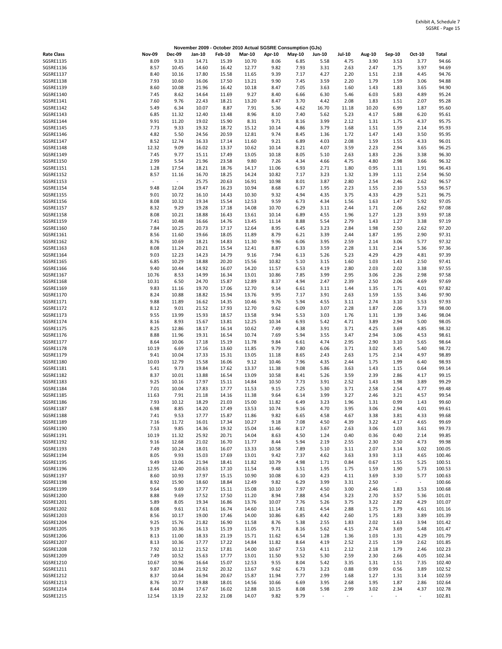|                   |                          |               |        |               |               |        | November 2009 - October 2010 Actual SGSRE Consumption (GJs) |        |               |        |                          |        |        |
|-------------------|--------------------------|---------------|--------|---------------|---------------|--------|-------------------------------------------------------------|--------|---------------|--------|--------------------------|--------|--------|
| <b>Rate Class</b> | <b>Nov-09</b>            | <b>Dec-09</b> | Jan-10 | <b>Feb-10</b> | <b>Mar-10</b> | Apr-10 | May-10                                                      | Jun-10 | <b>Jul-10</b> | Aug-10 | Sep-10                   | Oct-10 | Total  |
| <b>SGSRE1135</b>  | 8.09                     | 9.33          | 14.71  | 15.39         | 10.70         | 8.06   | 6.85                                                        | 5.58   | 4.75          | 3.90   | 3.53                     | 3.77   | 94.66  |
| SGSRE1136         | 8.57                     | 10.45         | 14.60  | 16.42         | 12.77         | 9.82   | 7.93                                                        | 3.31   | 2.63          | 2.47   | 1.75                     | 3.97   | 94.69  |
| <b>SGSRE1137</b>  | 8.40                     | 10.16         | 17.80  | 15.58         | 11.65         | 9.39   | 7.17                                                        | 4.27   | 2.20          | 1.51   | 2.18                     | 4.45   | 94.76  |
| SGSRE1138         | 7.93                     | 10.60         | 16.06  | 17.50         | 13.21         | 9.90   | 7.45                                                        | 3.59   | 2.20          | 1.79   | 1.59                     | 3.06   | 94.88  |
| SGSRE1139         | 8.60                     | 10.08         | 21.96  | 16.42         | 10.18         | 8.47   | 7.05                                                        | 3.63   | 1.60          | 1.43   | 1.83                     | 3.65   | 94.90  |
| SGSRE1140         | 7.45                     | 8.62          | 14.64  | 11.69         | 9.27          | 8.40   | 6.66                                                        | 6.30   | 5.46          | 6.03   | 5.83                     | 4.89   | 95.24  |
| SGSRE1141         | 7.60                     | 9.76          | 22.43  | 18.21         | 13.20         | 8.47   | 3.70                                                        | 4.42   | 2.08          | 1.83   | 1.51                     | 2.07   | 95.28  |
| SGSRE1142         | 5.49                     | 6.34          | 10.07  | 8.87          | 7.91          | 5.36   | 4.62                                                        | 16.70  | 11.18         | 10.20  | 6.99                     | 1.87   | 95.60  |
| SGSRE1143         | 6.85                     | 11.32         | 12.40  | 13.48         | 8.96          | 8.10   | 7.40                                                        | 5.62   | 5.23          | 4.17   | 5.88                     | 6.20   | 95.61  |
| SGSRE1144         | 9.91                     | 11.20         | 19.02  | 15.90         | 8.31          | 9.71   | 8.16                                                        | 3.99   | 2.12          | 1.31   |                          | 4.37   | 95.75  |
|                   |                          |               |        |               |               |        |                                                             |        |               |        | 1.75                     |        |        |
| SGSRE1145         | 7.73                     | 9.33          | 19.32  | 18.72         | 15.12         | 10.14  | 4.86                                                        | 3.79   | 1.68          | 1.51   | 1.59                     | 2.14   | 95.93  |
| SGSRE1146         | 4.82                     | 5.50          | 24.56  | 20.59         | 12.81         | 9.74   | 8.45                                                        | 1.36   | 1.72          | 1.47   | 1.43                     | 3.50   | 95.95  |
| SGSRE1147         | 8.52                     | 12.74         | 16.33  | 17.14         | 11.60         | 9.21   | 6.89                                                        | 4.03   | 2.08          | 1.59   | 1.55                     | 4.33   | 96.01  |
| SGSRE1148         | 12.32                    | 9.09          | 16.02  | 13.37         | 10.62         | 10.14  | 8.21                                                        | 4.07   | 3.59          | 2.23   | 2.94                     | 3.65   | 96.25  |
| SGSRE1149         | 7.45                     | 9.77          | 15.11  | 17.49         | 13.05         | 10.18  | 8.05                                                        | 5.10   | 2.63          | 1.83   | 2.26                     | 3.38   | 96.30  |
| SGSRE1150         | 2.99                     | 5.54          | 21.96  | 23.58         | 9.80          | 7.26   | 4.34                                                        | 4.66   | 4.75          | 4.80   | 2.98                     | 3.66   | 96.32  |
| SGSRE1151         | 1.28                     | 17.54         | 18.21  | 18.76         | 14.17         | 11.06  | 6.93                                                        | 2.71   | 1.80          | 0.95   | 1.11                     | 1.91   | 96.43  |
| SGSRE1152         | 8.57                     | 11.16         | 16.70  | 18.25         | 14.24         | 10.82  | 7.17                                                        | 3.23   | 1.32          | 1.39   | 1.11                     | 2.54   | 96.50  |
| SGSRE1153         | $\overline{\phantom{a}}$ | $\sim$        | 25.75  | 20.63         | 16.91         | 10.98  | 8.01                                                        | 3.87   | 2.80          | 2.54   | 2.46                     | 2.62   | 96.57  |
| SGSRE1154         | 9.48                     | 12.04         | 19.47  | 16.23         | 10.94         | 8.68   | 6.37                                                        | 1.95   | 2.23          | 1.55   | 2.10                     | 5.53   | 96.57  |
| SGSRE1155         | 9.01                     | 10.72         | 16.10  | 14.43         | 10.30         | 9.32   | 4.94                                                        | 4.35   | 3.75          | 4.33   | 4.29                     | 5.21   | 96.75  |
| SGSRE1156         | 8.08                     | 10.32         | 19.34  | 15.54         | 12.53         | 9.59   | 6.73                                                        | 4.34   | 1.56          | 1.63   | 1.47                     | 5.92   | 97.05  |
| SGSRE1157         | 8.32                     | 9.29          | 19.28  | 17.18         | 14.08         | 10.70  | 6.29                                                        | 3.11   | 2.44          | 1.71   | 2.06                     | 2.62   | 97.08  |
| SGSRE1158         | 8.08                     | 10.21         | 18.88  | 16.43         | 13.61         | 10.14  | 6.89                                                        | 4.55   | 1.96          | 1.27   | 1.23                     | 3.93   | 97.18  |
| SGSRE1159         | 7.41                     | 10.48         | 16.66  | 14.76         | 13.45         | 11.14  | 8.88                                                        | 5.54   | 2.79          | 1.43   | 1.27                     | 3.38   | 97.19  |
| SGSRE1160         | 7.84                     | 10.25         | 20.73  | 17.17         | 12.64         | 8.95   | 6.45                                                        | 3.23   | 2.84          | 1.98   | 2.50                     | 2.62   | 97.20  |
|                   |                          |               |        |               |               |        |                                                             |        |               |        |                          |        |        |
| SGSRE1161         | 8.56                     | 11.60         | 19.66  | 18.05         | 11.89         | 8.79   | 6.21                                                        | 3.39   | 2.44          | 1.87   | 1.95                     | 2.90   | 97.31  |
| SGSRE1162         | 8.76                     | 10.69         | 18.21  | 14.83         | 11.30         | 9.96   | 6.06                                                        | 3.95   | 2.59          | 2.14   | 3.06                     | 5.77   | 97.32  |
| SGSRE1163         | 8.08                     | 11.24         | 20.21  | 15.54         | 12.41         | 8.87   | 6.33                                                        | 3.59   | 2.28          | 1.31   | 2.14                     | 5.36   | 97.36  |
| SGSRE1164         | 9.03                     | 12.23         | 14.23  | 14.79         | 9.16          | 7.94   | 6.13                                                        | 5.26   | 5.23          | 4.29   | 4.29                     | 4.81   | 97.39  |
| SGSRE1165         | 6.85                     | 10.29         | 18.88  | 20.20         | 15.56         | 10.82  | 5.10                                                        | 3.15   | 1.60          | 1.03   | 1.43                     | 2.50   | 97.41  |
| SGSRE1166         | 9.40                     | 10.44         | 14.92  | 16.07         | 14.20         | 11.57  | 6.53                                                        | 4.19   | 2.80          | 2.03   | 2.02                     | 3.38   | 97.55  |
| SGSRE1167         | 10.76                    | 8.53          | 14.99  | 16.34         | 13.01         | 10.86  | 7.85                                                        | 3.99   | 2.95          | 3.06   | 2.26                     | 2.98   | 97.58  |
| SGSRE1168         | 10.31                    | 6.50          | 24.70  | 15.87         | 12.89         | 8.37   | 4.94                                                        | 2.47   | 2.39          | 2.50   | 2.06                     | 4.69   | 97.69  |
| SGSRE1169         | 9.83                     | 11.16         | 19.70  | 17.06         | 12.70         | 9.14   | 6.61                                                        | 3.11   | 1.44          | 1.35   | 1.71                     | 4.01   | 97.82  |
| SGSRE1170         | 8.24                     | 10.88         | 18.82  | 15.94         | 13.76         | 9.95   | 7.17                                                        | 3.91   | 2.63          | 1.59   | 1.55                     | 3.46   | 97.90  |
| SGSRE1171         | 9.88                     | 11.89         | 16.62  | 14.35         | 10.46         | 9.76   | 5.94                                                        | 4.55   | 3.11          | 2.74   | 3.10                     | 5.53   | 97.93  |
| SGSRE1172         | 8.12                     | 9.01          | 21.52  | 17.93         | 12.70         | 9.62   | 6.09                                                        | 3.07   | 2.28          | 1.87   | 2.06                     | 3.73   | 98.00  |
| SGSRE1173         | 9.55                     | 13.99         | 15.93  | 18.57         | 13.58         | 9.94   | 5.53                                                        | 3.03   | 1.76          | 1.31   | 1.39                     | 3.46   | 98.04  |
| SGSRE1174         | 8.16                     | 8.93          | 15.67  | 13.81         | 12.25         | 10.34  | 6.93                                                        | 5.42   | 4.71          | 3.89   | 2.94                     | 5.00   | 98.05  |
| SGSRE1175         | 8.25                     | 12.86         | 18.17  | 16.14         | 10.62         | 7.49   | 4.38                                                        | 3.91   | 3.71          | 4.25   | 3.69                     | 4.85   | 98.32  |
| SGSRE1176         | 8.88                     | 11.96         | 19.31  | 16.54         | 10.74         | 7.69   | 5.94                                                        | 3.55   | 3.47          | 2.94   | 3.06                     | 4.53   | 98.61  |
| SGSRE1177         | 8.64                     | 10.06         | 17.18  | 15.19         | 11.78         | 9.84   | 6.61                                                        | 4.74   | 2.95          | 2.90   | 3.10                     | 5.65   | 98.64  |
| <b>SGSRE1178</b>  | 10.19                    | 6.69          | 17.16  | 13.60         | 11.85         | 9.79   | 7.80                                                        | 6.06   | 3.71          | 3.02   |                          | 5.40   | 98.72  |
|                   |                          |               |        |               |               |        |                                                             |        |               |        | 3.45                     |        |        |
| SGSRE1179         | 9.41                     | 10.04         | 17.33  | 15.31         | 13.05         | 11.18  | 8.65                                                        | 2.43   | 2.63          | 1.75   | 2.14                     | 4.97   | 98.89  |
| SGSRE1180         | 10.03                    | 12.79         | 15.58  | 16.06         | 9.12          | 10.46  | 7.96                                                        | 4.35   | 2.44          | 1.75   | 1.99                     | 6.40   | 98.93  |
| SGSRE1181         | 5.41                     | 9.73          | 19.84  | 17.62         | 13.37         | 11.38  | 9.08                                                        | 5.86   | 3.63          | 1.43   | 1.15                     | 0.64   | 99.14  |
| SGSRE1182         | 8.37                     | 10.01         | 13.88  | 16.54         | 13.09         | 10.58  | 8.41                                                        | 5.26   | 3.59          | 2.39   | 2.86                     | 4.17   | 99.15  |
| SGSRE1183         | 9.25                     | 10.16         | 17.97  | 15.11         | 14.84         | 10.50  | 7.73                                                        | 3.91   | 2.52          | 1.43   | 1.98                     | 3.89   | 99.29  |
| SGSRE1184         | 7.01                     | 10.04         | 17.83  | 17.77         | 11.53         | 9.15   | 7.25                                                        | 5.30   | 3.71          | 2.58   | 2.54                     | 4.77   | 99.48  |
| <b>SGSRE1185</b>  | 11.63                    | 7.91          | 21.18  | 14.16         | 11.38         | 9.64   | 6.14                                                        | 3.99   | 3.27          | 2.46   | 3.21                     | 4.57   | 99.54  |
| SGSRE1186         | 7.93                     | 10.12         | 18.29  | 21.03         | 15.00         | 11.82  | 6.49                                                        | 3.23   | 1.96          | 1.31   | 0.99                     | 1.43   | 99.60  |
| SGSRE1187         | 6.98                     | 8.85          | 14.20  | 17.49         | 13.53         | 10.74  | 9.16                                                        | 4.70   | 3.95          | 3.06   | 2.94                     | 4.01   | 99.61  |
| SGSRE1188         | 7.41                     | 9.53          | 17.77  | 15.87         | 11.86         | 9.82   | 6.65                                                        | 4.58   | 4.67          | 3.38   | 3.81                     | 4.33   | 99.68  |
| SGSRE1189         | 7.16                     | 11.72         | 16.01  | 17.34         | 10.27         | 9.18   | 7.08                                                        | 4.50   | 4.39          | 3.22   | 4.17                     | 4.65   | 99.69  |
| SGSRE1190         | 7.53                     | 9.85          | 14.36  | 19.32         | 15.04         | 11.46  | 8.17                                                        | 3.67   | 2.63          | 3.06   | 1.03                     | 3.61   | 99.73  |
| SGSRE1191         | 10.19                    | 11.32         | 25.92  | 20.71         | 14.04         | 8.63   | 4.50                                                        | 1.24   | 0.40          | 0.36   | 0.40                     | 2.14   | 99.85  |
| SGSRE1192         | 9.16                     | 12.68         | 21.02  | 16.70         | 11.77         | 8.44   | 5.94                                                        | 2.19   | 2.55          | 2.30   | 2.50                     | 4.73   | 99.98  |
| SGSRE1193         | 7.49                     | 10.24         | 18.01  | 16.07         | 13.33         | 10.58  | 7.89                                                        | 5.10   | 3.11          | 2.07   | 3.14                     | 3.02   | 100.05 |
| SGSRE1194         | 8.05                     | 9.93          | 15.03  | 17.69         | 13.01         | 9.42   | 7.37                                                        | 4.62   | 3.63          | 3.93   | 3.13                     | 4.65   | 100.46 |
| SGSRE1195         | 9.49                     | 13.06         | 21.94  | 18.41         | 11.82         | 10.79  | 4.98                                                        | 1.71   | 0.84          | 0.67   | 1.55                     | 5.25   | 100.51 |
| SGSRE1196         | 12.95                    | 12.40         | 20.63  | 17.10         | 11.54         | 9.48   | 3.51                                                        | 1.95   | 1.75          | 1.59   | 1.90                     | 5.73   | 100.53 |
| SGSRE1197         | 8.60                     | 10.93         | 17.97  | 15.15         | 10.90         | 10.08  | 6.10                                                        | 4.23   | 4.11          | 3.69   | 3.10                     | 5.77   | 100.63 |
| SGSRE1198         | 8.92                     | 15.90         | 18.60  | 18.84         | 12.49         | 9.82   | 6.29                                                        | 3.99   | 3.31          | 2.50   | $\overline{\phantom{a}}$ | $\sim$ | 100.66 |
| SGSRE1199         | 9.64                     | 9.69          | 17.77  |               | 15.08         | 10.10  | 7.97                                                        | 4.50   | 3.00          | 2.46   |                          | 3.53   |        |
|                   |                          |               |        | 15.11         |               |        |                                                             |        |               |        | 1.83                     |        | 100.68 |
| SGSRE1200         | 8.88                     | 9.69          | 17.52  | 17.50         | 11.20         | 8.94   | 7.88                                                        | 4.54   | 3.23          | 2.70   | 3.57                     | 5.36   | 101.01 |
| SGSRE1201         | 5.89                     | 8.05          | 19.34  | 16.86         | 13.76         | 10.07  | 7.76                                                        | 5.26   | 3.75          | 3.22   | 2.82                     | 4.29   | 101.07 |
| <b>SGSRE1202</b>  | 8.08                     | 9.61          | 17.61  | 16.74         | 14.60         | 11.14  | 7.81                                                        | 4.54   | 2.88          | 1.75   | 1.79                     | 4.61   | 101.16 |
| SGSRE1203         | 8.56                     | 10.17         | 19.00  | 17.46         | 14.00         | 10.86  | 6.85                                                        | 4.42   | 2.60          | 1.75   | 1.83                     | 3.89   | 101.39 |
| SGSRE1204         | 9.25                     | 15.76         | 21.82  | 16.90         | 11.58         | 8.76   | 5.38                                                        | 2.55   | 1.83          | 2.02   | 1.63                     | 3.94   | 101.42 |
| SGSRE1205         | 9.19                     | 10.36         | 16.13  | 15.19         | 11.05         | 9.71   | 8.16                                                        | 5.62   | 4.15          | 2.74   | 3.69                     | 5.48   | 101.47 |
| SGSRE1206         | 8.13                     | 11.00         | 18.33  | 21.19         | 15.71         | 11.62  | 6.54                                                        | 1.28   | 1.36          | 1.03   | 1.31                     | 4.29   | 101.79 |
| SGSRE1207         | 8.13                     | 10.36         | 17.77  | 17.22         | 14.84         | 11.82  | 8.64                                                        | 4.19   | 2.52          | 2.15   | 1.59                     | 2.62   | 101.85 |
| <b>SGSRE1208</b>  | 7.92                     | 10.12         | 21.52  | 17.81         | 14.00         | 10.67  | 7.53                                                        | 4.11   | 2.12          | 2.18   | 1.79                     | 2.46   | 102.23 |
| SGSRE1209         | 7.49                     | 10.52         | 15.63  | 17.77         | 13.01         | 11.50  | 9.52                                                        | 5.30   | 2.59          | 2.30   | 2.66                     | 4.05   | 102.34 |
| SGSRE1210         | 10.67                    | 10.96         | 16.64  | 15.07         | 12.53         | 9.55   | 8.04                                                        | 5.42   | 3.35          | 1.31   | 1.51                     | 7.35   | 102.40 |
| SGSRE1211         | 9.87                     | 10.84         | 21.92  | 20.32         | 13.67         | 9.62   | 6.73                                                        | 3.23   | 0.88          | 0.99   | 0.56                     | 3.89   | 102.52 |
| SGSRE1212         | 8.37                     | 10.64         | 16.94  | 20.67         | 15.87         | 11.94  | 7.77                                                        | 2.99   | 1.68          | 1.27   | 1.31                     | 3.14   | 102.59 |
| SGSRE1213         | 8.76                     | 10.77         | 19.88  | 18.01         | 14.56         | 10.66  | 6.69                                                        | 3.95   | 2.68          | 1.95   | 1.87                     | 2.86   | 102.64 |
| SGSRE1214         | 8.44                     | 10.84         | 17.67  | 16.02         | 12.88         | 10.15  | 8.08                                                        | 5.98   | 2.99          | 3.02   | 2.34                     | 4.37   | 102.78 |
| SGSRE1215         | 12.54                    | 13.19         | 22.32  | 21.08         | 14.07         | 9.82   | 9.79                                                        |        |               |        |                          |        | 102.81 |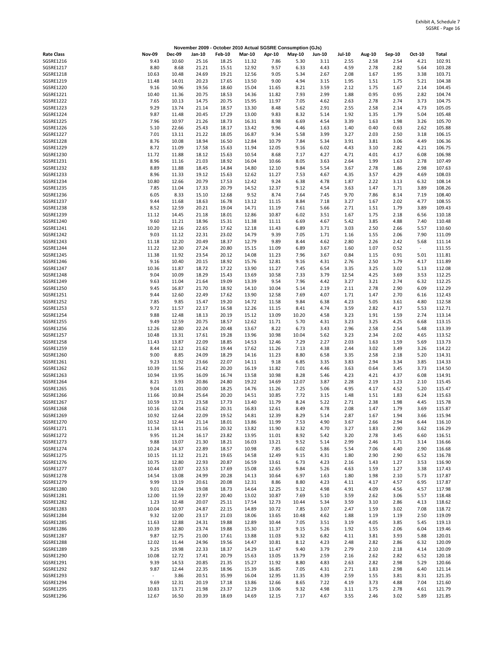|                                      |                |                | November 2009 - October 2010 Actual SGSRE Consumption (GJs) |                |                |                |               |               |               |              |              |              |                  |
|--------------------------------------|----------------|----------------|-------------------------------------------------------------|----------------|----------------|----------------|---------------|---------------|---------------|--------------|--------------|--------------|------------------|
| <b>Rate Class</b>                    | <b>Nov-09</b>  | <b>Dec-09</b>  | Jan-10                                                      | <b>Feb-10</b>  | <b>Mar-10</b>  | Apr-10         | <b>May-10</b> | <b>Jun-10</b> | <b>Jul-10</b> | Aug-10       | Sep-10       | Oct-10       | <b>Total</b>     |
| SGSRE1216                            | 9.43           | 10.60          | 25.16                                                       | 18.25          | 11.32          | 7.86           | 5.30          | 3.11          | 2.55          | 2.58         | 2.54         | 4.21         | 102.91           |
| SGSRE1217<br><b>SGSRE1218</b>        | 8.80<br>10.63  | 8.68<br>10.48  | 21.21<br>24.69                                              | 15.51<br>19.21 | 12.92<br>12.56 | 9.57<br>9.05   | 6.33<br>5.34  | 4.43<br>2.67  | 4.59<br>2.08  | 2.78<br>1.67 | 2.82<br>1.95 | 5.64<br>3.38 | 103.28<br>103.71 |
| SGSRE1219                            | 11.48          | 14.01          | 20.23                                                       | 17.65          | 13.50          | 9.00           | 4.94          | 3.15          | 1.95          | 1.51         | 1.75         | 5.21         | 104.38           |
| SGSRE1220                            | 9.16           | 10.96          | 19.56                                                       | 18.60          | 15.04          | 11.65          | 8.21          | 3.59          | 2.12          | 1.75         | 1.67         | 2.14         | 104.45           |
| SGSRE1221                            | 10.40          | 11.36          | 20.75                                                       | 18.53          | 14.36          | 11.82          | 7.93          | 2.99          | 1.88          | 0.95         | 0.95         | 2.82         | 104.74           |
| <b>SGSRE1222</b><br>SGSRE1223        | 7.65<br>9.29   | 10.13<br>13.74 | 14.75<br>21.14                                              | 20.75<br>18.57 | 15.95<br>13.30 | 11.97<br>8.48  | 7.05<br>5.62  | 4.62<br>2.91  | 2.63<br>2.55  | 2.78<br>2.58 | 2.74<br>2.14 | 3.73<br>4.73 | 104.75<br>105.05 |
| SGSRE1224                            | 9.87           | 11.48          | 20.45                                                       | 17.29          | 13.00          | 9.83           | 8.32          | 5.14          | 1.92          | 1.35         | 1.79         | 5.04         | 105.48           |
| SGSRE1225                            | 7.96           | 10.97          | 21.26                                                       | 18.73          | 16.31          | 8.98           | 6.69          | 4.54          | 3.39          | 1.63         | 1.98         | 3.26         | 105.70           |
| SGSRE1226                            | 5.10           | 22.66          | 25.43                                                       | 18.17          | 13.42          | 9.96           | 4.46          | 1.63          | 1.40          | 0.40         | 0.63         | 2.62         | 105.88           |
| SGSRE1227<br><b>SGSRE1228</b>        | 7.01<br>8.76   | 13.11<br>10.08 | 21.22<br>18.94                                              | 18.05<br>16.50 | 16.87<br>12.84 | 9.34<br>10.79  | 5.58<br>7.84  | 3.99<br>5.34  | 3.27<br>3.91  | 2.03<br>3.81 | 2.50<br>3.06 | 3.18<br>4.49 | 106.15<br>106.36 |
| SGSRE1229                            | 8.72           | 11.09          | 17.58                                                       | 15.63          | 11.94          | 12.05          | 9.16          | 6.02          | 4.43          | 3.10         | 2.82         | 4.21         | 106.75           |
| SGSRE1230                            | 11.72          | 11.88          | 18.12                                                       | 15.63          | 10.54          | 8.68           | 7.17          | 4.27          | 4.71          | 4.01         | 4.17         | 6.08         | 106.98           |
| SGSRE1231                            | 8.96           | 11.16          | 21.03                                                       | 18.92          | 16.04          | 10.66          | 8.05          | 3.63          | 2.64          | 1.99         | 1.63         | 2.78         | 107.49<br>107.63 |
| <b>SGSRE1232</b><br>SGSRE1233        | 8.89<br>8.96   | 11.88<br>11.33 | 18.45<br>19.12                                              | 14.84<br>15.63 | 14.80<br>12.62 | 12.10<br>11.27 | 9.84<br>7.53  | 5.54<br>4.67  | 3.67<br>4.35  | 2.78<br>3.57 | 1.86<br>4.29 | 2.98<br>4.69 | 108.03           |
| SGSRE1234                            | 10.80          | 12.66          | 20.79                                                       | 17.53          | 12.42          | 9.24           | 6.38          | 4.78          | 1.87          | 2.22         | 3.13         | 6.32         | 108.14           |
| SGSRE1235                            | 7.85           | 11.04          | 17.33                                                       | 20.79          | 14.52          | 12.37          | 9.12          | 4.54          | 3.63          | 1.47         | 1.71         | 3.89         | 108.26           |
| SGSRE1236                            | 6.05           | 8.33           | 15.10                                                       | 12.68          | 9.52           | 8.74           | 7.64<br>8.84  | 7.45<br>7.18  | 9.70          | 7.86         | 8.14         | 7.19<br>4.77 | 108.40           |
| <b>SGSRE1237</b><br><b>SGSRE1238</b> | 9.44<br>8.52   | 11.68<br>12.59 | 18.63<br>20.21                                              | 16.78<br>19.04 | 13.12<br>14.71 | 11.15<br>11.19 | 7.61          | 5.66          | 3.27<br>2.71  | 1.67<br>1.51 | 2.02<br>1.79 | 3.89         | 108.55<br>109.43 |
| SGSRE1239                            | 11.12          | 14.45          | 21.18                                                       | 18.01          | 12.86          | 10.87          | 6.02          | 3.51          | 1.67          | 1.75         | 2.18         | 6.56         | 110.18           |
| SGSRE1240                            | 9.60           | 11.21          | 18.96                                                       | 15.31          | 11.38          | 11.11          | 6.69          | 4.67          | 5.42          | 3.85         | 4.88         | 7.40         | 110.48           |
| SGSRE1241                            | 10.20          | 12.16          | 22.65                                                       | 17.62          | 12.18          | 11.43          | 6.89          | 3.71          | 3.03          | 2.50         | 2.66         | 5.57         | 110.60           |
| SGSRE1242<br>SGSRE1243               | 9.03<br>11.18  | 11.12<br>12.20 | 22.31<br>20.49                                              | 23.02<br>18.37 | 14.79<br>12.79 | 9.39<br>9.89   | 7.05<br>8.44  | 1.71<br>4.62  | 1.16<br>2.80  | 1.55<br>2.26 | 2.06<br>2.42 | 7.90<br>5.68 | 111.09<br>111.14 |
| SGSRE1244                            | 11.22          | 12.30          | 27.24                                                       | 20.80          | 15.15          | 11.09          | 6.89          | 3.67          | 1.60          | 1.07         | 0.52         | $\sim$       | 111.55           |
| SGSRE1245                            | 11.38          | 11.92          | 23.54                                                       | 20.12          | 14.08          | 11.23          | 7.96          | 3.67          | 0.84          | 1.15         | 0.91         | 5.01         | 111.81           |
| SGSRE1246<br><b>SGSRE1247</b>        | 9.16           | 10.40          | 20.15                                                       | 18.92          | 15.76          | 12.81          | 9.16          | 4.31          | 2.76          | 2.50         | 1.79         | 4.17         | 111.89           |
| <b>SGSRE1248</b>                     | 10.36<br>9.04  | 11.87<br>10.09 | 18.72<br>18.29                                              | 17.22<br>15.43 | 13.90<br>13.69 | 11.27<br>10.58 | 7.45<br>7.33  | 6.54<br>3.79  | 3.35<br>12.54 | 3.25<br>4.25 | 3.02<br>3.69 | 5.13<br>3.53 | 112.08<br>112.25 |
| SGSRE1249                            | 9.63           | 11.04          | 21.64                                                       | 19.09          | 13.39          | 9.54           | 7.96          | 4.42          | 3.27          | 3.21         | 2.74         | 6.32         | 112.25           |
| SGSRE1250                            | 9.45           | 16.87          | 21.70                                                       | 18.92          | 14.10          | 10.04          | 5.14          | 2.19          | 2.11          | 2.78         | 2.90         | 6.09         | 112.29           |
| SGSRE1251                            | 9.44           | 12.60<br>9.85  | 22.49                                                       | 17.62          | 13.90          | 12.58          | 7.69          | 4.07          | 1.71          | 1.47         | 2.70         | 6.16         | 112.43<br>112.58 |
| <b>SGSRE1252</b><br>SGSRE1253        | 7.85<br>9.72   | 11.57          | 15.47<br>22.17                                              | 19.20<br>16.58 | 14.72<br>12.26 | 11.58<br>11.15 | 9.84<br>8.41  | 6.38<br>4.74  | 4.23<br>3.59  | 5.05<br>2.82 | 3.61<br>4.17 | 4.80<br>5.53 | 112.71           |
| SGSRE1254                            | 9.88           | 12.48          | 18.13                                                       | 20.19          | 15.12          | 13.09          | 10.20         | 4.58          | 3.23          | 1.91         | 1.59         | 2.74         | 113.14           |
| SGSRE1255                            | 9.49           | 12.59          | 20.75                                                       | 18.57          | 12.62          | 11.71          | 5.70          | 4.31          | 3.23          | 3.25         | 4.25         | 6.68         | 113.15           |
| SGSRE1256<br><b>SGSRE1257</b>        | 12.26<br>10.48 | 12.80<br>13.31 | 22.24<br>17.61                                              | 20.48<br>19.28 | 13.67<br>13.96 | 8.22<br>10.98  | 6.73<br>10.04 | 3.43<br>5.62  | 2.96<br>3.23  | 2.58<br>2.34 | 2.54<br>2.02 | 5.48<br>4.65 | 113.39<br>113.52 |
| SGSRE1258                            | 11.43          | 13.87          | 22.09                                                       | 18.85          | 14.53          | 12.46          | 7.29          | 2.27          | 2.03          | 1.63         | 1.59         | 5.69         | 113.73           |
| SGSRE1259                            | 8.44           | 12.12          | 21.62                                                       | 19.44          | 17.62          | 11.26          | 7.13          | 4.38          | 2.44          | 3.02         | 3.49         | 3.26         | 114.22           |
| SGSRE1260                            | 9.00           | 8.85           | 24.09                                                       | 18.29          | 14.16          | 11.23          | 8.80          | 6.58          | 3.35          | 2.58         | 2.18         | 5.20         | 114.31           |
| SGSRE1261<br>SGSRE1262               | 9.23<br>10.39  | 11.92<br>11.56 | 23.66<br>21.42                                              | 22.07<br>20.20 | 14.11<br>16.19 | 9.18<br>11.82  | 6.85<br>7.01  | 3.35<br>4.46  | 3.83<br>3.63  | 2.94<br>0.64 | 3.34<br>3.45 | 3.85<br>3.73 | 114.33<br>114.50 |
| SGSRE1263                            | 10.94          | 13.95          | 16.09                                                       | 16.74          | 13.58          | 10.98          | 8.28          | 5.46          | 4.23          | 4.21         | 4.37         | 6.08         | 114.91           |
| SGSRE1264                            | 8.21           | 3.93           | 20.86                                                       | 24.80          | 19.22          | 14.69          | 12.07         | 3.87          | 2.28          | 2.19         | 1.23         | 2.10         | 115.45           |
| SGSRE1265                            | 9.04           | 11.01          | 20.00                                                       | 18.25          | 14.76          | 11.26          | 7.25          | 5.06          | 4.95          | 4.17         | 4.52         | 5.20         | 115.47           |
| SGSRE1266<br>SGSRE1267               | 11.66<br>10.59 | 10.84<br>13.71 | 25.64<br>23.58                                              | 20.20<br>17.73 | 14.51<br>13.40 | 10.85<br>11.79 | 7.72<br>8.24  | 3.15<br>5.22  | 1.48<br>2.71  | 1.51<br>2.38 | 1.83<br>1.98 | 6.24<br>4.45 | 115.63<br>115.78 |
| SGSRE1268                            | 10.16          | 12.04          | 21.62                                                       | 20.31          | 16.83          | 12.61          | 8.49          | 4.78          | 2.08          | 1.47         | 1.79         | 3.69         | 115.87           |
| SGSRE1269                            | 10.92          | 12.64          | 22.09                                                       | 19.52          | 14.81          | 12.39          | 8.29          | 5.14          | 2.87          | 1.67         | 1.94         | 3.66         | 115.94           |
| SGSRE1270                            | 10.52          | 12.44          | 21.14                                                       | 18.01          | 13.86          | 11.99          | 7.53          | 4.90          | 3.67          | 2.66         | 2.94         | 6.44         | 116.10           |
| SGSRE1271<br><b>SGSRE1272</b>        | 11.34<br>9.95  | 13.11<br>11.24 | 21.16<br>16.17                                              | 20.32<br>23.82 | 13.82<br>13.95 | 11.90<br>11.01 | 8.32<br>8.92  | 4.70<br>5.42  | 3.27<br>3.20  | 1.83<br>2.78 | 2.90<br>3.45 | 3.62<br>6.60 | 116.29<br>116.51 |
| SGSRE1273                            | 9.88           | 13.07          | 21.30                                                       | 18.21          | 16.03          | 13.21          | 9.52          | 5.14          | 2.99          | 2.46         | 1.71         | 3.14         | 116.66           |
| <b>SGSRE1274</b>                     | 10.24          | 14.37          | 22.89                                                       | 18.57          | 10.98          | 7.85           | 6.02          | 5.86          | 5.54          | 7.06         | 4.40         | 2.90         | 116.68           |
| <b>SGSRE1275</b>                     | 10.15          | 11.12          | 21.21<br>22.93                                              | 19.65<br>20.87 | 14.58          | 12.49          | 9.15<br>6.73  | 4.31<br>4.23  | 1.80          | 2.90         | 2.90         | 6.52<br>3.53 | 116.78           |
| SGSRE1276<br><b>SGSRE1277</b>        | 10.75<br>10.44 | 12.80<br>13.07 | 22.53                                                       | 17.69          | 16.59<br>15.08 | 13.61<br>12.65 | 9.84          | 5.26          | 2.16<br>4.63  | 1.43<br>1.59 | 1.27<br>1.27 | 3.38         | 116.90<br>117.43 |
| SGSRE1278                            | 14.54          | 13.08          | 24.99                                                       | 20.28          | 14.13          | 10.64          | 6.97          | 1.63          | 1.80          | 1.98         | 2.10         | 5.73         | 117.87           |
| SGSRE1279                            | 9.99           | 13.19          | 20.61                                                       | 20.08          | 12.31          | 8.86           | 8.80          | 4.23          | 4.11          | 4.17         | 4.57         | 6.95         | 117.87           |
| SGSRE1280<br>SGSRE1281               | 9.01<br>12.00  | 12.04<br>11.59 | 19.08<br>22.97                                              | 18.73<br>20.40 | 14.64<br>13.02 | 12.25<br>10.87 | 9.12<br>7.69  | 4.98<br>5.10  | 4.91<br>3.59  | 4.09<br>2.62 | 4.56<br>3.06 | 4.57<br>5.57 | 117.98<br>118.48 |
| SGSRE1282                            | 1.23           | 12.48          | 20.07                                                       | 25.11          | 17.54          | 12.73          | 10.44         | 5.34          | 3.59          | 3.10         | 2.86         | 4.13         | 118.62           |
| SGSRE1283                            | 10.04          | 10.97          | 24.87                                                       | 22.15          | 14.89          | 10.72          | 7.85          | 3.07          | 2.47          | 1.59         | 3.02         | 7.08         | 118.72           |
| SGSRE1284                            | 9.32           | 12.00          | 23.17                                                       | 21.03          | 18.06          | 13.65          | 10.48         | 4.62          | 1.88          | 1.19         | 1.19         | 2.50         | 119.09           |
| <b>SGSRE1285</b><br>SGSRE1286        | 11.63<br>10.39 | 12.88<br>12.80 | 24.31<br>23.74                                              | 19.88<br>19.88 | 12.89<br>15.30 | 10.44<br>11.37 | 7.05<br>9.15  | 3.51<br>5.26  | 3.19<br>1.92  | 4.05<br>1.55 | 3.85<br>2.06 | 5.45<br>6.04 | 119.13<br>119.46 |
| <b>SGSRE1287</b>                     | 9.87           | 12.75          | 21.00                                                       | 17.61          | 13.88          | 11.03          | 9.32          | 6.82          | 4.11          | 3.81         | 3.93         | 5.88         | 120.01           |
| <b>SGSRE1288</b>                     | 12.02          | 11.44          | 24.96                                                       | 19.56          | 14.47          | 10.81          | 8.12          | 4.23          | 2.48          | 2.82         | 2.86         | 6.32         | 120.09           |
| <b>SGSRE1289</b>                     | 9.25           | 19.98          | 22.33                                                       | 18.37          | 14.29          | 11.47          | 9.40          | 3.79          | 2.79          | 2.10         | 2.18         | 4.14         | 120.09           |
| SGSRE1290<br>SGSRE1291               | 10.08<br>9.39  | 12.72<br>14.53 | 17.41<br>20.85                                              | 20.79<br>21.35 | 15.63<br>15.27 | 13.05<br>11.92 | 13.79<br>8.80 | 2.59<br>4.83  | 2.16<br>2.63  | 2.62<br>2.82 | 2.82<br>2.98 | 6.52<br>5.29 | 120.18<br>120.66 |
| SGSRE1292                            | 9.87           | 12.44          | 22.35                                                       | 18.96          | 15.39          | 16.85          | 7.05          | 4.31          | 2.71          | 1.83         | 2.98         | 6.40         | 121.14           |
| SGSRE1293                            |                | 3.86           | 20.51                                                       | 35.99          | 16.04          | 12.95          | 11.35         | 4.39          | 2.59          | 1.55         | 3.81         | 8.31         | 121.35           |
| SGSRE1294                            | 9.69           | 12.31          | 20.19                                                       | 17.18          | 13.86          | 12.66          | 8.65          | 7.22          | 4.19          | 3.73         | 4.88         | 7.04         | 121.60           |
| SGSRE1295<br>SGSRE1296               | 10.83<br>12.67 | 13.71<br>16.50 | 21.98<br>20.39                                              | 23.37<br>18.69 | 12.29<br>14.69 | 13.06<br>12.15 | 9.32<br>7.17  | 4.98<br>4.67  | 3.11<br>3.55  | 1.75<br>2.46 | 2.78<br>3.02 | 4.61<br>5.89 | 121.79<br>121.85 |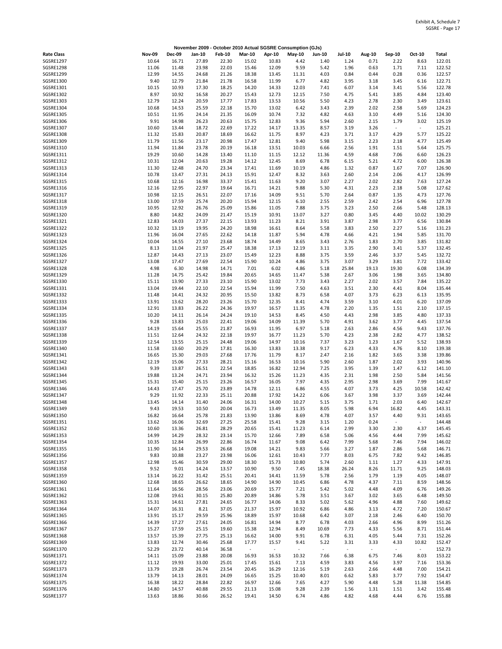|                               |                |                | November 2009 - October 2010 Actual SGSRE Consumption (GJs) |                |                          |                |                          |                          |                          |              |                          |                          |                  |
|-------------------------------|----------------|----------------|-------------------------------------------------------------|----------------|--------------------------|----------------|--------------------------|--------------------------|--------------------------|--------------|--------------------------|--------------------------|------------------|
| <b>Rate Class</b>             | <b>Nov-09</b>  | <b>Dec-09</b>  | Jan-10                                                      | <b>Feb-10</b>  | <b>Mar-10</b>            | Apr-10         | <b>May-10</b>            | <b>Jun-10</b>            | <b>Jul-10</b>            | Aug-10       | Sep-10                   | Oct-10                   | Total            |
| <b>SGSRE1297</b>              | 10.64          | 16.71          | 27.89                                                       | 22.30          | 15.02                    | 10.83          | 4.42                     | 1.40                     | 1.24                     | 0.71         | 2.22                     | 8.63                     | 122.01           |
| SGSRE1298                     | 11.06          | 11.48          | 23.98                                                       | 22.03          | 15.46                    | 12.09          | 9.59                     | 5.42                     | 1.96                     | 0.63         | 1.71                     | 7.11                     | 122.52           |
| SGSRE1299<br>SGSRE1300        | 12.99<br>9.40  | 14.55<br>12.79 | 24.68<br>21.84                                              | 21.26<br>21.78 | 18.38<br>16.58           | 13.45<br>11.99 | 11.31<br>6.77            | 4.03<br>4.82             | 0.84<br>3.95             | 0.44<br>3.18 | 0.28<br>3.45             | 0.36<br>6.16             | 122.57<br>122.71 |
| SGSRE1301                     | 10.15          | 10.93          | 17.30                                                       | 18.25          | 14.20                    | 14.33          | 12.03                    | 7.41                     | 6.07                     | 3.14         | 3.41                     | 5.56                     | 122.78           |
| SGSRE1302                     | 8.97           | 10.92          | 16.58                                                       | 20.27          | 15.43                    | 12.73          | 12.15                    | 7.50                     | 4.75                     | 5.41         | 3.85                     | 4.84                     | 123.40           |
| SGSRE1303                     | 12.79          | 12.24          | 20.59                                                       | 17.77          | 17.83                    | 13.53          | 10.56                    | 5.50                     | 4.23                     | 2.78         | 2.30                     | 3.49                     | 123.61           |
| SGSRE1304                     | 10.68          | 14.53          | 25.59                                                       | 22.18          | 15.70                    | 13.02          | 6.42                     | 3.43                     | 2.39                     | 2.02         | 2.58                     | 5.69                     | 124.23           |
| SGSRE1305<br>SGSRE1306        | 10.51<br>9.91  | 11.95<br>14.98 | 24.14<br>26.23                                              | 21.35<br>20.63 | 16.09<br>15.75           | 10.74<br>12.83 | 7.32<br>9.36             | 4.82<br>5.94             | 4.63<br>2.60             | 3.10<br>2.15 | 4.49<br>1.79             | 5.16<br>3.02             | 124.30<br>125.19 |
| SGSRE1307                     | 10.60          | 13.44          | 18.72                                                       | 22.69          | 17.22                    | 14.17          | 13.35                    | 8.57                     | 3.19                     | 3.26         | $\overline{\phantom{a}}$ | $\overline{\phantom{a}}$ | 125.21           |
| <b>SGSRE1308</b>              | 11.32          | 15.83          | 20.87                                                       | 18.69          | 16.62                    | 11.75          | 8.97                     | 4.23                     | 3.71                     | 3.17         | 4.29                     | 5.77                     | 125.22           |
| SGSRE1309                     | 11.79          | 11.56          | 23.17                                                       | 20.98          | 17.47                    | 12.81          | 9.40                     | 5.98                     | 3.15                     | 2.23         | 2.18                     | 4.77                     | 125.49           |
| SGSRE1310                     | 11.94          | 11.84          | 23.78                                                       | 20.19          | 16.18                    | 13.51          | 10.03                    | 6.66                     | 2.56                     | 1.91         | 1.51                     | 5.64                     | 125.75           |
| SGSRE1311<br>SGSRE1312        | 19.29<br>10.31 | 10.60<br>12.04 | 14.28<br>20.63                                              | 13.40<br>19.28 | 11.10<br>14.12           | 11.15<br>12.45 | 12.12<br>8.69            | 11.36<br>6.78            | 4.59<br>6.15             | 4.68<br>5.21 | 7.06<br>4.72             | 6.60<br>6.00             | 126.23<br>126.38 |
| SGSRE1313                     | 11.30          | 12.48          | 24.70                                                       | 23.34          | 17.41                    | 11.69          | 10.19                    | 4.86                     | 1.32                     | 0.87         | 1.67                     | 7.07                     | 126.90           |
| SGSRE1314                     | 10.78          | 13.47          | 27.31                                                       | 24.13          | 15.91                    | 12.47          | 8.32                     | 3.63                     | 2.60                     | 2.14         | 2.06                     | 4.17                     | 126.99           |
| SGSRE1315                     | 10.68          | 12.16          | 16.98                                                       | 33.37          | 15.41                    | 11.63          | 9.20                     | 3.07                     | 2.27                     | 2.02         | 2.82                     | 7.63                     | 127.24           |
| SGSRE1316                     | 12.16          | 12.95          | 22.97                                                       | 19.64          | 16.71                    | 14.21          | 9.88                     | 5.30                     | 4.31                     | 2.23         | 2.18                     | 5.08                     | 127.62           |
| SGSRE1317<br>SGSRE1318        | 10.98<br>13.00 | 12.15<br>17.59 | 26.51<br>25.74                                              | 22.07<br>20.20 | 17.16<br>15.94           | 14.09<br>12.15 | 9.51<br>6.10             | 5.70<br>2.55             | 2.64<br>2.59             | 0.87<br>2.42 | 1.35<br>2.54             | 4.73<br>6.96             | 127.76<br>127.78 |
| SGSRE1319                     | 10.95          | 12.92          | 26.76                                                       | 25.09          | 15.86                    | 11.05          | 7.88                     | 3.75                     | 3.23                     | 2.50         | 2.66                     | 5.48                     | 128.13           |
| SGSRE1320                     | 8.80           | 14.82          | 24.09                                                       | 21.47          | 15.19                    | 10.91          | 13.07                    | 3.27                     | 0.80                     | 3.45         | 4.40                     | 10.02                    | 130.29           |
| SGSRE1321                     | 12.83          | 14.03          | 27.37                                                       | 22.15          | 13.93                    | 11.23          | 8.21                     | 3.91                     | 3.87                     | 2.98         | 3.77                     | 6.56                     | 130.84           |
| <b>SGSRE1322</b>              | 10.32          | 13.19          | 19.95                                                       | 24.20          | 18.98                    | 16.61          | 8.64                     | 5.58                     | 3.83                     | 2.50         | 2.27                     | 5.16                     | 131.23           |
| SGSRE1323                     | 11.96          | 16.04          | 27.65                                                       | 22.62          | 14.18                    | 11.87          | 5.94                     | 4.78                     | 4.66                     | 4.21         | 1.94                     | 5.85                     | 131.70           |
| SGSRE1324<br>SGSRE1325        | 10.04<br>8.13  | 14.55<br>11.04 | 27.10<br>21.97                                              | 23.68<br>25.47 | 18.74<br>18.38           | 14.49<br>17.13 | 8.65<br>12.19            | 3.43<br>3.11             | 2.76<br>3.35             | 1.83<br>2.90 | 2.70<br>3.41             | 3.85<br>5.37             | 131.82<br>132.45 |
| SGSRE1326                     | 12.87          | 14.43          | 27.13                                                       | 23.07          | 15.49                    | 12.23          | 8.88                     | 3.75                     | 3.59                     | 2.46         | 3.37                     | 5.45                     | 132.72           |
| SGSRE1327                     | 13.08          | 17.47          | 27.69                                                       | 22.54          | 15.90                    | 10.24          | 4.86                     | 3.75                     | 3.07                     | 3.29         | 3.81                     | 7.72                     | 133.42           |
| <b>SGSRE1328</b>              | 4.98           | 6.30           | 14.98                                                       | 14.71          | 7.01                     | 6.02           | 4.86                     | 5.18                     | 25.84                    | 19.13        | 19.30                    | 6.08                     | 134.39           |
| SGSRE1329                     | 11.28          | 14.75          | 25.42                                                       | 19.84          | 20.65                    | 14.65          | 11.47                    | 5.38                     | 2.67                     | 3.06         | 1.98                     | 3.65                     | 134.80           |
| SGSRE1330<br>SGSRE1331        | 15.11<br>13.04 | 13.90<br>19.44 | 27.33<br>22.10                                              | 23.10<br>22.54 | 15.90<br>15.94           | 13.02<br>11.99 | 7.73<br>7.50             | 3.43<br>4.63             | 2.27<br>3.51             | 2.02<br>2.30 | 3.57<br>4.41             | 7.84<br>8.04             | 135.22<br>135.44 |
| SGSRE1332                     | 11.48          | 14.41          | 24.32                                                       | 20.95          | 15.50                    | 13.82          | 8.73                     | 6.58                     | 4.07                     | 3.73         | 6.23                     | 6.13                     | 135.95           |
| SGSRE1333                     | 13.91          | 13.62          | 28.20                                                       | 23.26          | 15.70                    | 12.35          | 8.41                     | 4.74                     | 3.59                     | 3.10         | 4.01                     | 6.20                     | 137.09           |
| SGSRE1334                     | 12.91          | 13.83          | 26.22                                                       | 24.36          | 19.97                    | 16.57          | 11.35                    | 4.78                     | 2.20                     | 1.35         | 1.51                     | 2.10                     | 137.15           |
| SGSRE1335                     | 10.20          | 14.11          | 26.14                                                       | 24.24          | 19.10                    | 14.53          | 8.45                     | 4.50                     | 4.43                     | 2.98         | 3.85                     | 4.80                     | 137.33           |
| SGSRE1336<br><b>SGSRE1337</b> | 9.28<br>14.19  | 13.83<br>15.64 | 25.03<br>25.55                                              | 22.41<br>21.87 | 19.06<br>16.93           | 14.09<br>11.95 | 11.39<br>6.97            | 5.70<br>5.18             | 4.91<br>2.63             | 3.62<br>2.86 | 3.77<br>4.56             | 4.45<br>9.43             | 137.54<br>137.76 |
| <b>SGSRE1338</b>              | 11.51          | 12.64          | 24.32                                                       | 22.18          | 19.97                    | 16.77          | 11.23                    | 5.70                     | 4.23                     | 2.38         | 2.82                     | 4.77                     | 138.52           |
| SGSRE1339                     | 12.54          | 13.55          | 25.15                                                       | 24.48          | 19.06                    | 14.97          | 10.16                    | 7.37                     | 3.23                     | 1.23         | 1.67                     | 5.52                     | 138.93           |
| SGSRE1340                     | 11.58          | 13.60          | 20.29                                                       | 17.81          | 16.30                    | 13.83          | 13.38                    | 9.17                     | 6.23                     | 4.33         | 4.76                     | 8.10                     | 139.38           |
| SGSRE1341                     | 16.65          | 15.30          | 29.03                                                       | 27.68          | 17.76                    | 11.79          | 8.17                     | 2.47                     | 2.16                     | 1.82         | 3.65                     | 3.38                     | 139.86           |
| SGSRE1342<br>SGSRE1343        | 12.19<br>9.39  | 15.06<br>13.87 | 27.33<br>26.51                                              | 28.21<br>22.54 | 15.16<br>18.85           | 16.53<br>16.82 | 10.16<br>12.94           | 5.90<br>7.25             | 2.60<br>3.95             | 1.87<br>1.39 | 2.02<br>1.47             | 3.93<br>6.12             | 140.96<br>141.10 |
| SGSRE1344                     | 19.88          | 13.24          | 24.71                                                       | 23.94          | 16.32                    | 15.26          | 11.23                    | 4.35                     | 2.31                     | 1.98         | 2.50                     | 5.84                     | 141.56           |
| SGSRE1345                     | 15.31          | 15.40          | 25.15                                                       | 23.26          | 16.57                    | 16.05          | 7.97                     | 4.35                     | 2.95                     | 2.98         | 3.69                     | 7.99                     | 141.67           |
| SGSRE1346                     | 14.43          | 17.47          | 25.70                                                       | 23.89          | 14.78                    | 12.11          | 6.86                     | 4.55                     | 4.07                     | 3.73         | 4.25                     | 10.58                    | 142.42           |
| SGSRE1347                     | 9.29           | 11.92          | 22.33                                                       | 25.11          | 20.88                    | 17.92          | 14.22                    | 6.06                     | 3.67                     | 3.98         | 3.37                     | 3.69                     | 142.44           |
| SGSRE1348<br>SGSRE1349        | 13.45<br>9.43  | 14.14<br>19.53 | 31.40<br>10.50                                              | 24.06<br>20.04 | 16.31<br>16.73           | 14.00<br>13.49 | 10.27<br>11.35           | 5.15<br>8.05             | 3.75<br>5.98             | 1.71<br>6.94 | 2.03<br>16.82            | 6.40<br>4.45             | 142.67<br>143.31 |
| SGSRE1350                     | 16.82          | 16.64          | 25.78                                                       | 21.83          | 13.90                    | 13.86          | 8.69                     | 4.78                     | 4.07                     | 3.57         | 4.40                     | 9.31                     | 143.65           |
| SGSRE1351                     | 13.62          | 16.06          | 32.69                                                       | 27.25          | 25.58                    | 15.41          | 9.28                     | 3.15                     | 1.20                     | 0.24         | $\overline{\phantom{a}}$ | $\omega$                 | 144.48           |
| SGSRE1352                     | 10.60          | 13.36          | 26.81                                                       | 28.29          | 20.65                    | 15.41          | 11.23                    | 6.14                     | 2.99                     | 3.30         | 2.30                     | 4.37                     | 145.45           |
| SGSRE1353                     | 14.99          | 14.29          | 28.32                                                       | 23.14          | 15.70                    | 12.66          | 7.89                     | 6.58                     | 5.06                     | 4.56         | 4.44                     | 7.99                     | 145.62           |
| SGSRE1354<br><b>SGSRE1355</b> | 10.35<br>11.90 | 12.84<br>16.14 | 26.99<br>29.53                                              | 22.86<br>26.68 | 16.74<br>19.08           | 11.67<br>14.21 | 9.08<br>9.83             | 6.42<br>5.66             | 7.99<br>3.27             | 5.68<br>1.87 | 7.46<br>2.86             | 7.94<br>5.68             | 146.02<br>146.71 |
| SGSRE1356                     | 9.83           | 10.88          | 23.27                                                       | 23.98          | 16.06                    | 12.61          | 10.43                    | 7.77                     | 8.03                     | 6.75         | 7.82                     | 9.42                     | 146.85           |
| SGSRE1357                     | 12.98          | 15.46          | 30.59                                                       | 29.00          | 18.30                    | 15.73          | 10.80                    | 5.74                     | 2.60                     | 1.11         | 1.27                     | 4.33                     | 147.91           |
| <b>SGSRE1358</b>              | 9.52           | 9.01           | 14.24                                                       | 13.57          | 10.90                    | 9.50           | 7.45                     | 18.38                    | 26.24                    | 8.26         | 11.71                    | 9.25                     | 148.03           |
| SGSRE1359                     | 13.14          | 16.22          | 31.42                                                       | 25.51          | 20.41                    | 14.41          | 11.59                    | 5.78                     | 2.56                     | 1.79         | 1.19                     | 4.05                     | 148.07           |
| SGSRE1360<br>SGSRE1361        | 12.68<br>11.64 | 18.65<br>16.56 | 26.62<br>28.56                                              | 18.65<br>23.06 | 14.90<br>20.69           | 14.90<br>15.77 | 10.45<br>7.21            | 6.86<br>5.42             | 4.78<br>5.02             | 4.37<br>4.48 | 7.11<br>4.09             | 8.59<br>6.76             | 148.56<br>149.26 |
| SGSRE1362                     | 12.08          | 19.61          | 30.15                                                       | 25.80          | 20.89                    | 14.86          | 5.78                     | 3.51                     | 3.67                     | 3.02         | 3.65                     | 6.48                     | 149.50           |
| SGSRE1363                     | 15.31          | 14.61          | 27.81                                                       | 24.65          | 16.77                    | 14.06          | 8.33                     | 5.02                     | 5.62                     | 4.96         | 4.88                     | 7.60                     | 149.62           |
| SGSRE1364                     | 14.07          | 16.31          | 8.21                                                        | 37.05          | 21.37                    | 15.97          | 10.92                    | 6.86                     | 4.86                     | 3.13         | 4.72                     | 7.20                     | 150.67           |
| SGSRE1365                     | 13.91          | 15.17          | 29.59                                                       | 25.96          | 18.89                    | 15.97          | 10.68                    | 6.42                     | 3.07                     | 2.18         | 2.46                     | 6.40                     | 150.70           |
| SGSRE1366<br>SGSRE1367        | 14.39<br>15.27 | 17.27<br>17.59 | 27.61<br>25.15                                              | 24.05<br>19.60 | 16.81<br>15.38           | 14.94<br>12.94 | 8.77<br>8.49             | 6.78<br>10.69            | 4.03<br>7.73             | 2.66<br>4.33 | 4.96<br>5.56             | 8.99<br>8.71             | 151.26<br>151.44 |
| SGSRE1368                     | 13.57          | 15.39          | 27.75                                                       | 25.13          | 16.62                    | 14.00          | 9.91                     | 6.78                     | 6.31                     | 4.05         | 5.44                     | 7.31                     | 152.26           |
| SGSRE1369                     | 13.83          | 12.74          | 30.46                                                       | 25.68          | 17.77                    | 15.57          | 9.41                     | 5.22                     | 3.31                     | 3.33         | 4.33                     | 10.82                    | 152.47           |
| SGSRE1370                     | 52.29          | 23.72          | 40.14                                                       | 36.58          | $\overline{\phantom{a}}$ | $\sim$         | $\overline{\phantom{a}}$ | $\overline{\phantom{a}}$ | $\overline{\phantom{a}}$ | $\sim$       | $\sim$                   | $\overline{\phantom{a}}$ | 152.73           |
| SGSRE1371                     | 14.11          | 15.09          | 23.88                                                       | 20.08          | 16.93                    | 16.53          | 10.32                    | 7.66                     | 6.38                     | 6.75         | 7.46                     | 8.03                     | 153.22           |
| SGSRE1372                     | 11.12          | 19.93          | 33.00                                                       | 25.01          | 17.45                    | 15.61          | 7.13                     | 4.59                     | 3.83                     | 4.56         | 3.97                     | 7.16                     | 153.36           |
| SGSRE1373<br>SGSRE1374        | 13.79<br>13.79 | 19.28<br>14.13 | 26.74<br>28.01                                              | 23.54<br>24.09 | 20.45<br>16.65           | 16.29<br>15.25 | 12.16<br>10.40           | 5.19<br>8.01             | 2.63<br>6.62             | 2.66<br>5.83 | 4.48<br>3.77             | 7.00<br>7.92             | 154.21<br>154.47 |
| SGSRE1375                     | 16.38          | 18.22          | 28.84                                                       | 22.82          | 16.97                    | 12.66          | 7.65                     | 4.27                     | 5.90                     | 4.48         | 5.28                     | 11.38                    | 154.85           |
| SGSRE1376                     | 14.80          | 14.57          | 40.88                                                       | 29.55          | 21.13                    | 15.08          | 9.28                     | 2.39                     | 1.56                     | 1.31         | 1.51                     | 3.42                     | 155.48           |
| SGSRE1377                     | 13.63          | 18.86          | 30.66                                                       | 26.52          | 19.41                    | 14.50          | 6.74                     | 4.86                     | 4.82                     | 4.68         | 4.44                     | 6.76                     | 155.88           |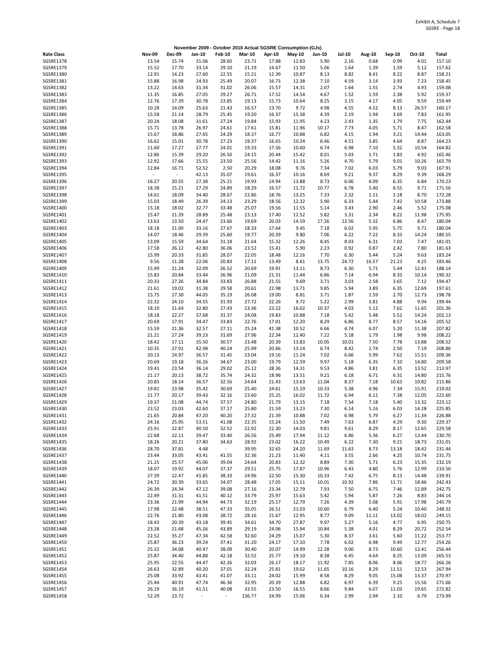|                   |                          |               |                          |               |               | November 2009 - October 2010 Actual SGSRE Consumption (GJs) |               |               |               |        |        |        |              |
|-------------------|--------------------------|---------------|--------------------------|---------------|---------------|-------------------------------------------------------------|---------------|---------------|---------------|--------|--------|--------|--------------|
| <b>Rate Class</b> | <b>Nov-09</b>            | <b>Dec-09</b> | Jan-10                   | <b>Feb-10</b> | <b>Mar-10</b> | Apr-10                                                      | <b>May-10</b> | <b>Jun-10</b> | <b>Jul-10</b> | Aug-10 | Sep-10 | Oct-10 | <b>Total</b> |
| <b>SGSRE1378</b>  | 13.54                    | 15.74         | 31.06                    | 28.60         | 23.71         | 17.88                                                       | 12.83         | 5.90          | 2.16          | 0.68   | 0.99   | 4.01   | 157.10       |
| SGSRE1379         | 15.52                    | 17.70         | 33.14                    | 29.10         | 21.19         | 14.67                                                       | 11.50         | 5.06          | 1.64          | 1.39   | 1.59   | 5.12   | 157.62       |
| SGSRE1380         | 12.91                    | 14.23         | 27.60                    | 22.55         | 15.21         | 12.39                                                       | 10.87         | 8.13          | 8.82          | 8.41   | 8.22   | 8.87   | 158.21       |
| SGSRE1381         | 15.88                    | 16.98         | 24.93                    | 25.49         | 20.07         | 16.73                                                       | 12.38         | 7.10          | 4.59          | 3.14   | 3.93   | 7.23   | 158.45       |
| <b>SGSRE1382</b>  | 13.22                    | 14.63         | 31.34                    | 31.02         | 26.06         | 15.57                                                       | 14.31         | 2.07          | 1.64          | 1.55   | 2.74   | 4.93   | 159.08       |
|                   |                          |               |                          |               |               |                                                             |               |               |               |        |        |        |              |
| SGSRE1383         | 11.35                    | 16.85         | 27.05                    | 29.27         | 26.71         | 17.52                                                       | 14.54         | 4.67          | 1.52          | 1.59   | 2.38   | 5.92   | 159.37       |
| SGSRE1384         | 12.76                    | 17.39         | 30.78                    | 23.85         | 19.13         | 15.73                                                       | 10.64         | 8.25          | 3.15          | 4.17   | 4.05   | 9.59   | 159.49       |
| <b>SGSRE1385</b>  | 10.28                    | 14.09         | 25.63                    | 21.43         | 16.57         | 13.70                                                       | 9.72          | 4.98          | 4.55          | 4.52   | 8.13   | 26.57  | 160.17       |
| SGSRE1386         | 15.58                    | 21.14         | 28.79                    | 25.45         | 19.20         | 16.37                                                       | 15.38         | 4.39          | 2.19          | 1.94   | 3.69   | 7.83   | 161.95       |
| <b>SGSRE1387</b>  | 20.24                    | 18.08         | 31.61                    | 27.24         | 19.84         | 15.93                                                       | 11.95         | 4.23          | 2.43          | 1.35   | 1.79   | 7.75   | 162.44       |
| SGSRE1388         | 15.71                    | 13.78         | 26.97                    | 24.61         | 17.61         | 15.81                                                       | 11.96         | 10.17         | 7.73          | 4.05   | 5.71   | 8.47   | 162.58       |
| SGSRE1389         | 15.67                    | 18.86         | 27.65                    | 24.29         | 18.37         | 16.77                                                       | 10.88         | 6.82          | 4.15          | 1.94   | 3.21   | 14.44  | 163.05       |
| SGSRE1390         | 16.62                    | 15.01         | 30.78                    | 27.23         | 19.37         | 16.65                                                       | 10.24         | 6.46          | 4.51          | 3.85   | 4.64   | 8.87   | 164.23       |
| SGSRE1391         | 11.60                    | 17.27         | 27.77                    | 24.01         | 19.33         | 17.56                                                       | 10.60         | 6.74          | 6.98          | 7.10   | 5.32   | 10.54  | 164.82       |
|                   |                          |               |                          |               |               |                                                             |               |               |               |        |        |        |              |
| SGSRE1392         | 12.86                    | 15.39         | 29.20                    | 26.50         | 24.15         | 20.44                                                       | 15.42         | 8.01          | 5.03          | 1.71   | 1.83   | 4.92   | 165.46       |
| SGSRE1393         | 12.92                    | 17.66         | 25.55                    | 23.50         | 25.56         | 14.42                                                       | 11.16         | 5.26          | 4.70          | 5.79   | 9.01   | 10.26  | 165.79       |
| SGSRE1394         | 12.84                    | 16.71         | 52.52                    | 2.50          | 20.29         | 18.08                                                       | 9.76          | 7.34          | 7.02          | 6.03   | 5.79   | 9.03   | 167.91       |
| <b>SGSRE1395</b>  | $\overline{\phantom{a}}$ | $\sim$        | 42.13                    | 35.07         | 19.61         | 16.37                                                       | 10.16         | 8.69          | 9.21          | 9.37   | 8.29   | 9.39   | 168.29       |
| SGSRE1396         | 16.27                    | 20.55         | 27.38                    | 25.21         | 19.93         | 14.94                                                       | 13.88         | 8.73          | 6.06          | 4.09   | 6.35   | 6.84   | 170.23       |
| SGSRE1397         | 18.38                    | 15.21         | 27.29                    | 24.89         | 18.29         | 16.57                                                       | 11.72         | 10.77         | 6.78          | 5.40   | 6.55   | 9.71   | 171.56       |
| <b>SGSRE1398</b>  | 14.61                    | 18.09         | 34.40                    | 28.67         | 22.86         | 18.76                                                       | 13.25         | 7.33          | 2.32          | 1.11   | 2.18   | 8.70   | 172.28       |
| SGSRE1399         | 15.03                    | 18.49         | 26.39                    | 24.13         | 23.29         | 18.56                                                       | 12.32         | 5.90          | 6.33          | 5.44   | 7.42   | 10.58  | 173.88       |
|                   |                          |               |                          |               |               |                                                             |               |               |               |        |        |        |              |
| SGSRE1400         | 15.18                    | 18.02         | 32.77                    | 33.48         | 25.07         | 19.56                                                       | 11.55         | 5.14          | 3.43          | 2.90   | 2.46   | 5.52   | 175.08       |
| SGSRE1401         | 15.47                    | 21.39         | 28.89                    | 25.48         | 23.13         | 17.40                                                       | 12.52         | 5.82          | 3.31          | 2.34   | 8.22   | 11.98  | 175.95       |
| SGSRE1402         | 13.63                    | 13.50         | 24.47                    | 23.66         | 19.69         | 20.03                                                       | 14.59         | 17.26         | 12.56         | 5.32   | 6.86   | 8.47   | 180.04       |
| SGSRE1403         | 18.18                    | 21.00         | 33.16                    | 27.67         | 18.33         | 17.64                                                       | 9.45          | 7.18          | 6.02          | 5.95   | 5.75   | 9.71   | 180.04       |
| SGSRE1404         | 14.07                    | 18.46         | 29.39                    | 25.60         | 19.77         | 20.39                                                       | 9.80          | 7.06          | 6.22          | 7.22   | 8.33   | 14.24  | 180.55       |
| SGSRE1405         | 13.09                    | 15.59         | 34.64                    | 31.18         | 21.64         | 15.32                                                       | 12.26         | 8.45          | 8.03          | 6.31   | 7.03   | 7.47   | 181.01       |
| SGSRE1406         | 17.58                    | 26.12         | 42.80                    | 36.06         | 23.52         | 15.41                                                       | 5.90          | 2.23          | 0.92          | 0.87   | 2.42   | 7.80   | 181.63       |
| SGSRE1407         | 15.99                    | 20.33         | 31.85                    | 28.07         | 22.05         | 18.48                                                       | 12.16         | 7.70          | 6.30          | 5.44   | 5.24   | 9.63   | 183.24       |
|                   |                          |               |                          |               |               |                                                             |               |               |               |        |        |        |              |
| SGSRE1408         | 9.56                     | 11.28         | 22.06                    | 20.83         | 17.11         | 13.49                                                       | 8.61          | 13.75         | 24.72         | 16.57  | 21.23  | 4.25   | 183.46       |
| SGSRE1409         | 15.99                    | 21.24         | 32.09                    | 26.52         | 20.69         | 19.91                                                       | 13.11         | 8.73          | 6.30          | 5.71   | 5.44   | 12.41  | 188.14       |
| SGSRE1410         | 15.83                    | 20.84         | 33.44                    | 26.96         | 21.09         | 21.31                                                       | 11.44         | 6.86          | 7.14          | 6.94   | 8.33   | 10.14  | 190.32       |
| SGSRE1411         | 20.33                    | 27.26         | 34.84                    | 33.83         | 26.88         | 21.55                                                       | 9.69          | 3.71          | 3.03          | 2.58   | 3.65   | 7.12   | 194.47       |
| SGSRE1412         | 21.61                    | 19.02         | 31.38                    | 29.58         | 20.61         | 22.98                                                       | 13.71         | 9.85          | 5.94          | 3.89   | 6.35   | 12.69  | 197.61       |
| SGSRE1413         | 15.75                    | 27.30         | 44.05                    | 35.19         | 26.08         | 19.00                                                       | 8.81          | 3.71          | 1.87          | 1.59   | 2.70   | 12.73  | 198.78       |
| SGSRE1414         | 22.32                    | 24.10         | 34.55                    | 31.93         | 27.72         | 22.26                                                       | 9.72          | 5.22          | 2.99          | 3.81   | 4.88   | 9.94   | 199.44       |
| SGSRE1415         | 18.10                    | 21.64         | 32.80                    | 27.43         | 23.36         | 23.22                                                       | 16.02         | 10.37         | 4.03          | 5.12   | 7.62   | 11.65  | 201.36       |
|                   |                          |               |                          |               |               |                                                             |               |               |               |        |        |        |              |
| SGSRE1416         | 18.18                    | 22.27         | 37.68                    | 31.37         | 24.08         | 19.83                                                       | 10.88         | 7.18          | 5.42          | 5.48   | 5.52   | 14.24  | 202.13       |
| SGSRE1417         | 20.69                    | 17.91         | 34.47                    | 33.83         | 22.76         | 17.01                                                       | 12.20         | 8.29          | 6.86          | 8.77   | 8.57   | 14.16  | 205.52       |
| SGSRE1418         | 15.59                    | 21.36         | 32.57                    | 27.11         | 25.24         | 41.38                                                       | 10.52         | 6.66          | 4.74          | 6.07   | 5.20   | 11.38  | 207.82       |
| SGSRE1419         | 21.21                    | 27.24         | 39.23                    | 31.69         | 27.96         | 22.34                                                       | 12.40         | 7.22          | 5.18          | 1.79   | 1.98   | 9.98   | 208.22       |
| SGSRE1420         | 18.42                    | 17.11         | 35.50                    | 30.57         | 23.48         | 20.39                                                       | 13.83         | 10.05         | 10.01         | 7.50   | 7.78   | 13.88  | 208.52       |
| SGSRE1421         | 10.35                    | 27.91         | 42.98                    | 40.24         | 25.99         | 20.66                                                       | 13.14         | 6.74          | 8.42          | 2.74   | 2.50   | 7.19   | 208.86       |
| SGSRE1422         | 20.13                    | 24.97         | 36.57                    | 31.45         | 23.04         | 19.16                                                       | 11.24         | 7.02          | 6.66          | 5.99   | 7.62   | 15.51  | 209.36       |
| SGSRE1423         | 20.69                    | 19.18         | 36.26                    | 34.67         | 23.00         | 19.79                                                       | 12.59         | 9.97          | 5.18          | 6.35   | 7.10   | 14.80  | 209.58       |
| SGSRE1424         |                          | 23.54         |                          |               |               |                                                             |               | 9.53          |               |        |        | 13.52  | 213.97       |
|                   | 19.41                    |               | 36.14                    | 29.02         | 25.12         | 28.36                                                       | 14.31         |               | 4.86          | 3.81   | 6.35   |        |              |
| SGSRE1425         | 21.17                    | 20.13         | 38.72                    | 35.74         | 24.32         | 18.96                                                       | 13.51         | 9.21          | 6.18          | 6.71   | 6.31   | 14.80  | 215.76       |
| SGSRE1426         | 20.85                    | 18.14         | 36.57                    | 32.56         | 24.64         | 21.43                                                       | 13.63         | 11.04         | 8.37          | 7.18   | 10.63  | 10.82  | 215.86       |
| SGSRE1427         | 19.81                    | 23.98         | 35.42                    | 30.69         | 25.40         | 24.61                                                       | 15.19         | 10.33         | 5.38          | 4.96   | 7.34   | 15.91  | 219.02       |
| <b>SGSRE1428</b>  | 21.77                    | 20.17         | 39.43                    | 32.16         | 23.60         | 25.25                                                       | 16.02         | 11.72         | 6.94          | 6.11   | 7.38   | 12.05  | 222.60       |
| SGSRE1429         | 19.37                    | 21.08         | 44.74                    | 37.57         | 24.80         | 21.79                                                       | 13.15         | 7.18          | 7.54          | 7.18   | 5.40   | 13.32  | 223.12       |
| SGSRE1430         | 23.52                    | 23.03         | 42.60                    | 37.17         | 25.80         | 21.59                                                       | 13.23         | 7.30          | 6.14          | 5.16   | 6.03   | 14.28  | 225.85       |
| SGSRE1431         | 21.65                    | 20.84         | 47.20                    | 40.20         | 27.32         | 21.39                                                       | 10.88         | 7.02          | 6.98          | 5.79   | 6.27   | 11.34  | 226.88       |
| SGSRE1432         | 24.16                    | 25.95         | 53.51                    | 41.08         | 22.35         | 15.24                                                       | 11.50         | 7.49          | 7.63          | 6.87   | 4.29   | 9.30   | 229.37       |
| SGSRE1433         |                          |               |                          |               |               |                                                             |               |               |               |        |        |        |              |
|                   | 25.91                    | 22.87         | 40.50                    | 32.52         | 22.92         | 22.30                                                       | 14.03         | 9.81          | 9.61          | 8.29   | 8.17   | 12.65  | 229.58       |
| SGSRE1434         | 22.68                    | 22.11         | 39.47                    | 33.40         | 26.56         | 25.49                                                       | 17.94         | 11.12         | 6.86          | 5.36   | 6.27   | 13.44  | 230.70       |
| SGSRE1435         | 18.26                    | 20.21         | 37.80                    | 34.63         | 28.92         | 23.02                                                       | 16.22         | 10.49         | 6.22          | 7.30   | 9.21   | 18.73  | 231.01       |
| SGSRE1436         | 28.70                    | 37.81         | 4.48                     | $\sim$        | 39.95         | 32.65                                                       | 24.20         | 11.69         | 11.63         | 8.73   | 13.18  | 18.42  | 231.44       |
| SGSRE1437         | 23.44                    | 33.05         | 43.41                    | 41.55         | 32.36         | 21.23                                                       | 11.40         | 4.11          | 3.55          | 2.66   | 4.25   | 10.74  | 231.75       |
| <b>SGSRE1438</b>  | 21.25                    | 25.57         | 45.06                    | 39.04         | 24.64         | 20.83                                                       | 12.32         | 8.89          | 7.30          | 5.71   | 6.23   | 15.35  | 232.19       |
| SGSRE1439         | 18.07                    | 19.92         | 44.07                    | 37.37         | 29.51         | 25.75                                                       | 17.87         | 10.96         | 6.43          | 4.80   | 5.76   | 12.99  | 233.50       |
| SGSRE1440         | 27.39                    | 22.47         | 41.85                    | 38.33         | 24.96         | 22.50                                                       | 15.30         | 10.33         | 7.42          | 6.75   | 8.13   | 14.48  | 239.91       |
| SGSRE1441         | 24.72                    | 30.39         | 33.65                    | 34.07         | 28.48         | 17.05                                                       | 15.11         | 10.01         | 10.92         | 7.86   | 11.71  | 18.46  | 242.43       |
| SGSRE1442         | 26.39                    | 24.34         | 47.12                    | 39.08         | 27.16         | 23.34                                                       | 12.79         | 7.93          | 7.50          | 6.75   | 7.46   | 12.89  | 242.75       |
|                   |                          |               |                          |               |               |                                                             |               |               |               |        |        |        |              |
| SGSRE1443         | 22.49                    | 31.31         | 41.51                    | 40.12         | 33.79         | 25.97                                                       | 15.63         | 5.42          | 5.94          | 5.87   | 7.26   | 8.83   | 244.14       |
| SGSRE1444         | 23.36                    | 21.99         | 44.94                    | 44.73         | 32.19         | 25.17                                                       | 12.79         | 7.26          | 4.39          | 5.08   | 5.91   | 17.98  | 245.79       |
| <b>SGSRE1445</b>  | 17.98                    | 22.48         | 38.51                    | 47.33         | 35.05         | 26.51                                                       | 21.03         | 10.60         | 6.79          | 6.40   | 5.24   | 10.40  | 248.32       |
| SGSRE1446         | 22.76                    | 21.80         | 43.08                    | 38.72         | 28.16         | 21.67                                                       | 12.95         | 8.77          | 9.09          | 11.11  | 13.02  | 18.02  | 249.15       |
| SGSRE1447         | 18.43                    | 20.39         | 43.18                    | 39.45         | 34.61         | 34.70                                                       | 27.87         | 9.97          | 5.27          | 5.16   | 4.77   | 6.95   | 250.75       |
| SGSRE1448         | 23.28                    | 21.68         | 45.26                    | 43.89         | 29.19         | 24.06                                                       | 15.94         | 10.84         | 5.38          | 4.01   | 8.29   | 20.72  | 252.54       |
| SGSRE1449         | 22.52                    | 35.27         | 47.34                    | 42.58         | 32.60         | 24.29                                                       | 15.07         | 5.30          | 8.37          | 3.61   | 5.60   | 11.22  | 253.77       |
| SGSRE1450         | 25.87                    | 36.23         | 39.24                    | 37.41         | 31.20         | 24.17                                                       | 17.10         | 7.78          | 6.02          | 6.98   | 9.49   | 12.77  | 254.26       |
| SGSRE1451         | 25.32                    | 34.08         | 40.47                    | 38.09         | 30.40         | 20.07                                                       | 14.99         |               | 9.00          |        |        | 12.41  | 256.44       |
|                   |                          |               |                          |               |               |                                                             |               | 12.28         |               | 8.73   | 10.60  |        |              |
| SGSRE1452         | 25.87                    | 34.40         | 44.88                    | 42.18         | 32.52         | 25.77                                                       | 19.10         | 8.38          | 6.45          | 4.64   | 8.25   | 13.09  | 265.53       |
| SGSRE1453         | 25.95                    | 22.55         | 44.47                    | 42.26         | 32.03         | 26.17                                                       | 18.17         | 11.92         | 7.85          | 8.06   | 8.06   | 18.77  | 266.26       |
| SGSRE1454         | 26.63                    | 32.89         | 40.20                    | 37.01         | 32.24         | 25.81                                                       | 19.02         | 11.65         | 10.16         | 8.29   | 11.51  | 12.53  | 267.94       |
| SGSRE1455         | 25.08                    | 33.92         | 43.41                    | 41.07         | 33.11         | 24.02                                                       | 15.99         | 8.58          | 8.29          | 9.05   | 15.08  | 13.37  | 270.97       |
| SGSRE1456         | 25.44                    | 40.91         | 47.74                    | 46.36         | 32.95         | 20.39                                                       | 12.88         | 6.82          | 6.97          | 6.39   | 9.25   | 15.56  | 271.66       |
| <b>SGSRE1457</b>  | 26.19                    | 36.19         | 41.51                    | 40.08         | 33.55         | 23.50                                                       | 16.55         | 8.66          | 9.84          | 6.07   | 11.03  | 19.65  | 272.82       |
| SGSRE1458         | 52.29                    | 23.72         | $\overline{\phantom{a}}$ |               | 136.77        | 24.99                                                       | 15.06         | 6.34          | 2.99          | 2.94   | 2.10   | 6.79   | 273.99       |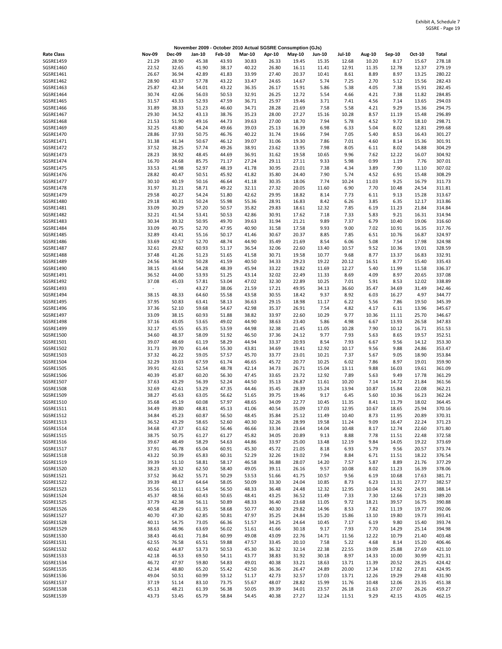|                               |                |                | November 2009 - October 2010 Actual SGSRE Consumption (GJs) |                |                |                |                |                |                |                |                |                |                  |
|-------------------------------|----------------|----------------|-------------------------------------------------------------|----------------|----------------|----------------|----------------|----------------|----------------|----------------|----------------|----------------|------------------|
| <b>Rate Class</b>             | <b>Nov-09</b>  | <b>Dec-09</b>  | Jan-10                                                      | <b>Feb-10</b>  | <b>Mar-10</b>  | Apr-10         | <b>May-10</b>  | <b>Jun-10</b>  | <b>Jul-10</b>  | Aug-10         | Sep-10         | Oct-10         | Total            |
| SGSRE1459                     | 21.29          | 28.90          | 45.38                                                       | 43.93          | 30.83          | 26.33          | 19.45          | 15.35          | 12.68          | 10.20          | 8.17           | 15.67          | 278.18           |
| SGSRE1460                     | 22.52          | 32.65          | 41.90                                                       | 38.17          | 40.22          | 26.80          | 16.11          | 11.41          | 12.91          | 11.35          | 12.78          | 12.37          | 279.19           |
| SGSRE1461<br>SGSRE1462        | 26.67<br>28.90 | 36.94<br>43.37 | 42.89<br>57.78                                              | 41.83<br>43.22 | 33.99<br>33.47 | 27.40<br>24.65 | 20.37<br>14.67 | 10.41<br>5.74  | 8.61<br>7.25   | 8.89<br>2.70   | 8.97<br>5.12   | 13.25<br>15.56 | 280.22<br>282.43 |
| SGSRE1463                     | 25.87          | 42.34          | 54.01                                                       | 43.22          | 36.35          | 26.17          | 15.91          | 5.86           | 5.38           | 4.05           | 7.38           | 15.91          | 282.45           |
| SGSRE1464                     | 30.74          | 42.06          | 56.03                                                       | 50.53          | 32.91          | 26.25          | 12.72          | 5.54           | 4.66           | 4.21           | 7.38           | 11.82          | 284.85           |
| SGSRE1465                     | 31.57          | 43.33          | 52.93                                                       | 47.59          | 36.71          | 25.97          | 19.46          | 3.71           | 7.41           | 4.56           | 7.14           | 13.65          | 294.03           |
| SGSRE1466                     | 31.89          | 38.33          | 51.23                                                       | 46.60          | 34.71          | 28.28          | 21.69          | 7.58           | 5.58           | 4.21           | 9.29           | 15.36          | 294.75           |
| SGSRE1467                     | 29.30          | 34.52          | 43.13                                                       | 38.76          | 35.23          | 28.00          | 27.27          | 15.16          | 10.28          | 8.57           | 11.19          | 15.48          | 296.89           |
| SGSRE1468<br>SGSRE1469        | 21.53          | 51.90          | 49.16                                                       | 44.73          | 39.63          | 27.00          | 18.70          | 7.94           | 5.78           | 4.52           | 9.72           | 18.10          | 298.71           |
| SGSRE1470                     | 32.25<br>28.86 | 43.80<br>37.93 | 54.24<br>50.75                                              | 49.66<br>46.76 | 39.03<br>40.22 | 25.13<br>31.74 | 16.39<br>19.66 | 6.98<br>7.94   | 6.33<br>7.05   | 5.04<br>5.40   | 8.02<br>8.53   | 12.81<br>16.43 | 299.68<br>301.27 |
| SGSRE1471                     | 31.38          | 41.34          | 50.67                                                       | 46.12          | 39.07          | 31.06          | 19.30          | 7.86           | 7.01           | 4.60           | 8.14           | 15.36          | 301.91           |
| SGSRE1472                     | 37.52          | 38.25          | 57.74                                                       | 49.26          | 38.91          | 23.62          | 13.95          | 7.98           | 8.05           | 6.11           | 8.02           | 14.88          | 304.29           |
| SGSRE1473                     | 28.23          | 38.92          | 48.45                                                       | 44.69          | 36.91          | 31.62          | 19.58          | 10.65          | 9.96           | 7.62           | 12.22          | 16.07          | 304.92           |
| SGSRE1474                     | 16.70          | 24.68          | 85.75                                                       | 71.17          | 27.24          | 29.11          | 27.11          | 9.33           | 5.98           | 0.99           | 1.19           | 7.76           | 307.01           |
| SGSRE1475                     | 33.53          | 41.98          | 52.97                                                       | 48.19          | 41.78          | 30.95          | 23.01          | 7.38           | 4.34           | 3.89           | 7.90           | 11.10          | 307.02           |
| SGSRE1476<br>SGSRE1477        | 28.82<br>30.10 | 40.47<br>40.19 | 50.51<br>50.16                                              | 45.92<br>46.64 | 41.82<br>41.18 | 35.80<br>30.35 | 24.40<br>18.06 | 7.90<br>7.74   | 5.74<br>10.24  | 4.52<br>11.03  | 6.91<br>9.25   | 15.48<br>16.79 | 308.29<br>311.73 |
| SGSRE1478                     | 31.97          | 31.21          | 58.71                                                       | 49.22          | 32.11          | 27.32          | 20.05          | 11.60          | 6.90           | 7.70           | 10.48          | 24.54          | 311.81           |
| SGSRE1479                     | 29.58          | 40.27          | 54.24                                                       | 51.80          | 42.62          | 29.95          | 18.82          | 8.14           | 7.73           | 6.11           | 9.13           | 15.28          | 313.67           |
| SGSRE1480                     | 29.18          | 40.31          | 50.24                                                       | 55.98          | 55.36          | 28.91          | 16.83          | 8.42           | 6.26           | 3.85           | 6.35           | 12.17          | 313.86           |
| SGSRE1481                     | 33.09          | 30.29          | 57.20                                                       | 50.57          | 35.82          | 29.83          | 18.61          | 12.32          | 7.85           | 6.19           | 11.23          | 21.84          | 314.84           |
| SGSRE1482                     | 32.21          | 41.54          | 53.41                                                       | 50.53          | 42.86          | 30.91          | 17.62          | 7.18           | 7.33           | 5.83           | 9.21           | 16.31          | 314.94           |
| SGSRE1483<br>SGSRE1484        | 30.34<br>33.09 | 39.32<br>40.75 | 50.95                                                       | 49.70<br>47.95 | 39.63<br>40.90 | 31.94          | 21.21<br>17.58 | 9.89<br>9.93   | 7.37<br>9.00   | 6.79<br>7.02   | 10.40<br>10.91 | 19.06<br>16.35 | 316.60<br>317.76 |
| SGSRE1485                     | 32.89          | 43.41          | 52.70<br>55.16                                              | 50.17          | 41.46          | 31.58<br>30.67 | 20.37          | 8.85           | 7.85           | 6.51           | 10.76          | 16.87          | 324.97           |
| SGSRE1486                     | 33.69          | 42.57          | 52.70                                                       | 48.74          | 44.90          | 35.49          | 21.69          | 8.54           | 6.06           | 5.08           | 7.54           | 17.98          | 324.98           |
| SGSRE1487                     | 32.61          | 29.82          | 60.93                                                       | 51.17          | 36.54          | 32.06          | 22.60          | 13.40          | 10.57          | 9.52           | 10.36          | 19.01          | 328.59           |
| SGSRE1488                     | 37.48          | 41.26          | 51.23                                                       | 51.65          | 41.58          | 30.71          | 19.58          | 10.77          | 9.68           | 8.77           | 13.37          | 16.83          | 332.91           |
| SGSRE1489                     | 24.56          | 34.92          | 50.28                                                       | 41.59          | 40.50          | 34.33          | 29.23          | 19.22          | 20.12          | 16.51          | 8.77           | 15.40          | 335.43           |
| SGSRE1490                     | 38.15          | 43.64          | 54.28                                                       | 48.39          | 45.94          | 33.22          | 19.82          | 11.69          | 12.27          | 5.40           | 11.99          | 11.58          | 336.37           |
| SGSRE1491<br>SGSRE1492        | 36.52<br>37.08 | 44.00<br>45.03 | 53.93<br>57.81                                              | 51.25<br>53.04 | 43.14<br>47.02 | 32.02<br>32.30 | 22.49<br>22.89 | 11.33<br>10.25 | 8.69<br>7.01   | 4.09<br>5.91   | 8.97<br>8.53   | 20.65<br>12.02 | 337.08<br>338.89 |
| SGSRE1493                     | $\blacksquare$ | $\sim$         | 43.27                                                       | 38.06          | 21.59          | 17.21          | 49.95          | 34.13          | 36.60          | 35.47          | 34.69          | 31.49          | 342.46           |
| SGSRE1494                     | 38.15          | 48.33          | 64.60                                                       | 55.58          | 43.58          | 30.55          | 18.42          | 9.37           | 8.92           | 6.03           | 16.27          | 4.97           | 344.77           |
| SGSRE1495                     | 37.95          | 50.83          | 63.41                                                       | 58.13          | 36.63          | 29.15          | 18.98          | 11.17          | 6.22           | 5.56           | 7.86           | 19.50          | 345.39           |
| SGSRE1496                     | 37.36          | 52.10          | 59.68                                                       | 54.67          | 42.98          | 35.37          | 26.91          | 7.54           | 4.82           | 4.17           | 6.11           | 13.96          | 345.67           |
| SGSRE1497                     | 33.09          | 38.15          | 60.93                                                       | 51.88          | 38.82          | 33.97          | 22.60          | 10.29          | 9.77           | 10.36          | 11.11          | 25.70          | 346.67           |
| SGSRE1498<br>SGSRE1499        | 37.16<br>32.17 | 43.05<br>45.55 | 53.65<br>65.35                                              | 49.02<br>53.59 | 44.90<br>44.98 | 38.63<br>32.38 | 23.40<br>21.45 | 5.86<br>11.05  | 4.98<br>10.28  | 6.67<br>7.90   | 13.93<br>10.12 | 26.58<br>16.71 | 347.83<br>351.53 |
| SGSRE1500                     | 34.60          | 48.37          | 58.09                                                       | 51.92          | 46.50          | 37.36          | 24.12          | 9.77           | 7.93           | 5.63           | 8.65           | 19.57          | 352.51           |
| SGSRE1501                     | 39.07          | 48.69          | 61.19                                                       | 58.29          | 44.94          | 33.37          | 20.93          | 8.54           | 7.93           | 6.67           | 9.56           | 14.12          | 353.30           |
| <b>SGSRE1502</b>              | 31.73          | 39.70          | 61.44                                                       | 55.30          | 43.81          | 34.69          | 19.41          | 12.92          | 10.17          | 9.56           | 9.88           | 24.86          | 353.47           |
| SGSRE1503                     | 37.32          | 46.22          | 59.05                                                       | 57.57          | 45.70          | 33.77          | 23.01          | 10.21          | 7.37           | 5.67           | 9.05           | 18.90          | 353.84           |
| SGSRE1504                     | 32.29          | 33.03          | 67.59                                                       | 61.74          | 46.65          | 45.72          | 20.77          | 10.25          | 6.02           | 7.86           | 8.97           | 19.01          | 359.90           |
| SGSRE1505<br>SGSRE1506        | 39.91<br>40.39 | 42.61<br>45.87 | 52.54<br>60.20                                              | 48.78<br>56.30 | 42.14<br>47.45 | 34.73<br>33.65 | 26.71<br>23.72 | 15.04<br>12.92 | 13.11<br>7.89  | 9.88<br>5.63   | 16.03<br>9.49  | 19.61<br>17.78 | 361.09<br>361.29 |
| SGSRE1507                     | 37.63          | 43.29          | 56.39                                                       | 52.24          | 44.50          | 35.13          | 26.87          | 11.61          | 10.20          | 7.14           | 14.72          | 21.84          | 361.56           |
| <b>SGSRE1508</b>              | 32.69          | 42.61          | 53.29                                                       | 47.35          | 44.46          | 35.45          | 28.39          | 15.24          | 13.94          | 10.87          | 15.84          | 22.08          | 362.21           |
| <b>SGSRE1509</b>              | 38.27          | 45.63          | 63.05                                                       | 56.62          | 51.65          | 39.75          | 19.46          | 9.17           | 6.45           | 5.60           | 10.36          | 16.23          | 362.24           |
| SGSRE1510                     | 35.68          | 45.19          | 60.08                                                       | 57.97          | 48.65          | 34.09          | 22.77          | 10.45          | 11.35          | 8.41           | 11.79          | 18.02          | 364.45           |
| SGSRE1511                     | 34.49          | 39.80          | 48.81                                                       | 45.13          | 41.06          | 40.54          | 35.09          | 17.03          | 12.95          | 10.67          | 18.65          | 25.94          | 370.16           |
| SGSRE1512<br>SGSRE1513        | 34.84<br>36.52 | 45.23<br>43.29 | 60.87<br>58.65                                              | 56.50<br>52.60 | 48.45<br>40.30 | 35.84<br>32.26 | 25.12<br>28.99 | 11.49<br>19.58 | 10.40<br>11.24 | 8.73<br>9.09   | 11.95<br>16.47 | 20.89<br>22.24 | 370.31<br>371.23 |
| SGSRE1514                     | 34.68          | 47.37          | 61.62                                                       | 56.46          | 46.66          | 33.34          | 23.64          | 14.04          | 10.48          | 8.17           | 12.74          | 22.60          | 371.80           |
| SGSRE1515                     | 38.75          | 50.75          | 61.27                                                       | 61.27          | 45.82          | 34.05          | 20.89          | 9.13           | 8.88           | 7.78           | 11.51          | 22.48          | 372.58           |
| SGSRE1516                     | 39.67          | 48.49          | 58.29                                                       | 54.63          | 44.86          | 33.97          | 25.00          | 13.48          | 12.19          | 9.84           | 14.05          | 19.22          | 373.69           |
| SGSRE1517                     | 37.91          | 46.78          | 65.04                                                       | 60.91          | 45.30          | 45.72          | 21.05          | 8.18           | 6.93           | 5.79           | 9.56           | 20.57          | 373.74           |
| SGSRE1518                     | 43.22          | 50.39          | 65.83                                                       | 60.31          | 52.29          | 32.26          | 19.02          | 7.94           | 8.84           | 6.71           | 11.51          | 18.22          | 376.54           |
| SGSRE1519<br><b>SGSRE1520</b> | 39.39<br>38.23 | 51.10<br>49.32 | 58.81<br>62.50                                              | 58.17<br>58.40 | 46.58<br>49.05 | 36.88<br>39.11 | 28.07<br>26.16 | 14.20<br>9.57  | 7.57<br>10.08  | 5.87<br>8.02   | 8.89<br>11.23  | 21.76<br>16.39 | 377.29<br>378.06 |
| SGSRE1521                     | 37.52          | 36.62          | 55.71                                                       | 50.29          | 53.53          | 51.66          | 41.75          | 10.57          | 9.56           | 6.19           | 10.68          | 17.63          | 381.71           |
| SGSRE1522                     | 39.39          | 48.17          | 64.64                                                       | 58.05          | 50.09          | 33.30          | 24.04          | 10.85          | 8.73           | 6.23           | 11.31          | 27.77          | 382.57           |
| <b>SGSRE1523</b>              | 35.56          | 50.11          | 61.54                                                       | 56.50          | 48.33          | 36.48          | 24.48          | 12.32          | 12.95          | 10.04          | 14.92          | 24.91          | 388.14           |
| <b>SGSRE1524</b>              | 45.37          | 48.56          | 60.43                                                       | 50.65          | 48.41          | 43.25          | 36.52          | 11.49          | 7.33           | 7.30           | 12.66          | 17.23          | 389.20           |
| SGSRE1525                     | 37.79          | 42.38          | 56.11                                                       | 50.89          | 48.33          | 36.40          | 23.68          | 11.05          | 9.72           | 18.21          | 39.57          | 16.75          | 390.88           |
| SGSRE1526<br>SGSRE1527        | 40.58          | 48.29<br>47.30 | 61.35                                                       | 58.68          | 50.77          | 40.30          | 29.82          | 14.96          | 8.53           | 7.82           | 11.19          | 19.77          | 392.06           |
| <b>SGSRE1528</b>              | 40.70<br>40.11 | 54.75          | 62.85<br>73.05                                              | 50.81<br>66.36 | 47.97<br>51.57 | 35.25<br>34.25 | 24.84<br>24.64 | 15.20<br>10.45 | 15.86<br>7.17  | 13.10<br>6.19  | 19.80<br>9.80  | 19.73<br>15.40 | 393.41<br>393.74 |
| SGSRE1529                     | 38.63          | 48.96          | 63.69                                                       | 56.02          | 51.61          | 41.66          | 30.18          | 9.17           | 7.93           | 7.70           | 14.29          | 25.14          | 394.98           |
| SGSRE1530                     | 38.43          | 46.61          | 71.84                                                       | 60.99          | 49.08          | 43.09          | 22.76          | 14.71          | 11.56          | 12.22          | 10.79          | 21.40          | 403.48           |
| SGSRE1531                     | 62.55          | 76.58          | 65.51                                                       | 59.88          | 47.57          | 33.45          | 20.10          | 7.58           | 5.22           | 4.68           | 8.14           | 15.20          | 406.46           |
| SGSRE1532                     | 40.62          | 44.87          | 53.73                                                       | 50.53          | 45.30          | 36.32          | 32.14          | 22.38          | 22.55          | 19.09          | 25.88          | 27.69          | 421.10           |
| SGSRE1533                     | 42.18          | 46.53          | 69.50                                                       | 54.11          | 43.77          | 38.83          | 31.92          | 30.18          | 8.97           | 14.33          | 10.00          | 30.99          | 421.31           |
| SGSRE1534<br>SGSRE1535        | 46.72<br>42.34 | 47.97<br>48.80 | 59.80<br>65.20                                              | 54.83<br>55.42 | 49.01<br>42.50 | 40.38<br>36.36 | 33.21<br>26.47 | 18.63<br>24.89 | 13.71<br>20.00 | 11.39<br>17.34 | 20.52<br>17.82 | 28.25<br>27.81 | 424.42<br>424.95 |
| SGSRE1536                     | 49.04          | 50.51          | 60.99                                                       | 53.12          | 51.17          | 42.73          | 32.57          | 17.03          | 13.71          | 12.26          | 19.29          | 29.48          | 431.90           |
| SGSRE1537                     | 37.19          | 51.14          | 83.10                                                       | 73.75          | 55.67          | 48.07          | 28.82          | 15.99          | 11.76          | 10.48          | 12.06          | 23.35          | 451.38           |
| SGSRE1538                     | 45.13          | 48.21          | 61.39                                                       | 56.38          | 50.05          | 39.39          | 34.01          | 23.57          | 26.18          | 21.63          | 27.07          | 26.26          | 459.27           |
| SGSRE1539                     | 43.73          | 53.45          | 65.79                                                       | 58.84          | 54.45          | 40.38          | 27.27          | 12.24          | 11.51          | 9.29           | 42.15          | 43.05          | 462.15           |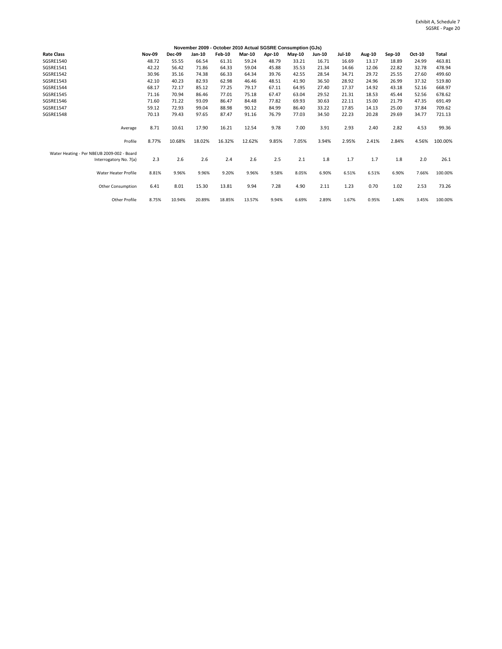|                                                                      |               |        |        |        |        |        | November 2009 - October 2010 Actual SGSRE Consumption (GJs) |               |        |        |          |        |         |
|----------------------------------------------------------------------|---------------|--------|--------|--------|--------|--------|-------------------------------------------------------------|---------------|--------|--------|----------|--------|---------|
| <b>Rate Class</b>                                                    | <b>Nov-09</b> | Dec-09 | Jan-10 | Feb-10 | Mar-10 | Apr-10 | <b>Mav-10</b>                                               | <b>Jun-10</b> | Jul-10 | Aug-10 | $Sep-10$ | Oct-10 | Total   |
| SGSRE1540                                                            | 48.72         | 55.55  | 66.54  | 61.31  | 59.24  | 48.79  | 33.21                                                       | 16.71         | 16.69  | 13.17  | 18.89    | 24.99  | 463.81  |
| SGSRE1541                                                            | 42.22         | 56.42  | 71.86  | 64.33  | 59.04  | 45.88  | 35.53                                                       | 21.34         | 14.66  | 12.06  | 22.82    | 32.78  | 478.94  |
| SGSRE1542                                                            | 30.96         | 35.16  | 74.38  | 66.33  | 64.34  | 39.76  | 42.55                                                       | 28.54         | 34.71  | 29.72  | 25.55    | 27.60  | 499.60  |
| SGSRE1543                                                            | 42.10         | 40.23  | 82.93  | 62.98  | 46.46  | 48.51  | 41.90                                                       | 36.50         | 28.92  | 24.96  | 26.99    | 37.32  | 519.80  |
| <b>SGSRE1544</b>                                                     | 68.17         | 72.17  | 85.12  | 77.25  | 79.17  | 67.11  | 64.95                                                       | 27.40         | 17.37  | 14.92  | 43.18    | 52.16  | 668.97  |
| <b>SGSRE1545</b>                                                     | 71.16         | 70.94  | 86.46  | 77.01  | 75.18  | 67.47  | 63.04                                                       | 29.52         | 21.31  | 18.53  | 45.44    | 52.56  | 678.62  |
| SGSRE1546                                                            | 71.60         | 71.22  | 93.09  | 86.47  | 84.48  | 77.82  | 69.93                                                       | 30.63         | 22.11  | 15.00  | 21.79    | 47.35  | 691.49  |
| <b>SGSRE1547</b>                                                     | 59.12         | 72.93  | 99.04  | 88.98  | 90.12  | 84.99  | 86.40                                                       | 33.22         | 17.85  | 14.13  | 25.00    | 37.84  | 709.62  |
| <b>SGSRE1548</b>                                                     | 70.13         | 79.43  | 97.65  | 87.47  | 91.16  | 76.79  | 77.03                                                       | 34.50         | 22.23  | 20.28  | 29.69    | 34.77  | 721.13  |
| Average                                                              | 8.71          | 10.61  | 17.90  | 16.21  | 12.54  | 9.78   | 7.00                                                        | 3.91          | 2.93   | 2.40   | 2.82     | 4.53   | 99.36   |
| Profile                                                              | 8.77%         | 10.68% | 18.02% | 16.32% | 12.62% | 9.85%  | 7.05%                                                       | 3.94%         | 2.95%  | 2.41%  | 2.84%    | 4.56%  | 100.00% |
| Water Heating - Per NBEUB 2009-002 - Board<br>Interrogatory No. 7(a) | 2.3           | 2.6    | 2.6    | 2.4    | 2.6    | 2.5    | 2.1                                                         | 1.8           | 1.7    | 1.7    | 1.8      | 2.0    | 26.1    |
| <b>Water Heater Profile</b>                                          | 8.81%         | 9.96%  | 9.96%  | 9.20%  | 9.96%  | 9.58%  | 8.05%                                                       | 6.90%         | 6.51%  | 6.51%  | 6.90%    | 7.66%  | 100.00% |
| Other Consumption                                                    | 6.41          | 8.01   | 15.30  | 13.81  | 9.94   | 7.28   | 4.90                                                        | 2.11          | 1.23   | 0.70   | 1.02     | 2.53   | 73.26   |
| Other Profile                                                        | 8.75%         | 10.94% | 20.89% | 18.85% | 13.57% | 9.94%  | 6.69%                                                       | 2.89%         | 1.67%  | 0.95%  | 1.40%    | 3.45%  | 100.00% |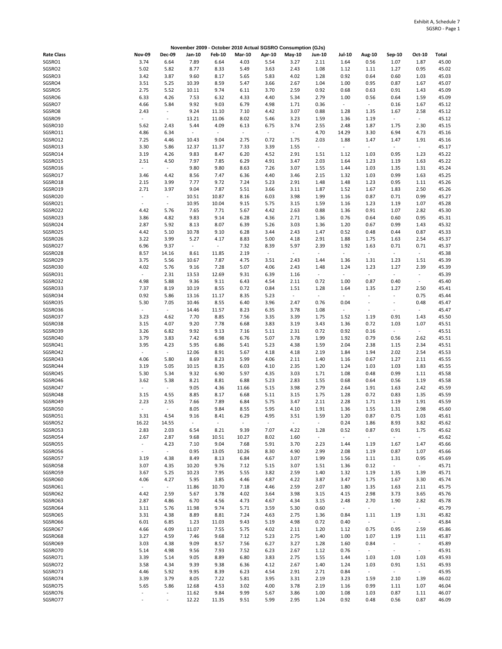|                    |                                  |                          |                          |                          |                             |                | November 2009 - October 2010 Actual SGSRO Consumption (GJs) |                          |                                  |                          |                                                   |                |                |
|--------------------|----------------------------------|--------------------------|--------------------------|--------------------------|-----------------------------|----------------|-------------------------------------------------------------|--------------------------|----------------------------------|--------------------------|---------------------------------------------------|----------------|----------------|
| <b>Rate Class</b>  | <b>Nov-09</b>                    | <b>Dec-09</b>            | Jan-10                   | <b>Feb-10</b>            | <b>Mar-10</b>               | Apr-10         | May-10                                                      | <b>Jun-10</b>            | Jul-10                           | Aug-10                   | Sep-10                                            | Oct-10         | Total          |
| SGSRO1             | 3.74                             | 6.64                     | 7.89                     | 6.64                     | 4.03                        | 5.54           | 3.27                                                        | 2.11                     | 1.64                             | 0.56                     | 1.07                                              | 1.87           | 45.00          |
| SGSRO2             | 5.02                             | 5.82                     | 8.77                     | 8.33                     | 5.49                        | 3.63           | 2.43                                                        | 1.08                     | 1.12                             | 1.11                     | 1.27                                              | 0.95           | 45.02          |
| SGSRO3             | 3.42                             | 3.87                     | 9.60                     | 8.17                     | 5.65                        | 5.83           | 4.02                                                        | 1.28                     | 0.92                             | 0.64                     | 0.60                                              | 1.03           | 45.03          |
| SGSRO4             | 3.51                             | 5.25                     | 10.39                    | 8.59                     | 5.47                        | 3.66           | 2.67                                                        | 1.04                     | 1.00                             | 0.95                     | 0.87                                              | 1.67           | 45.07          |
| SGSRO5             | 2.75                             | 5.52                     | 10.11                    | 9.74                     | 6.11                        | 3.70           | 2.59                                                        | 0.92                     | 0.68                             | 0.63                     | 0.91                                              | 1.43           | 45.09          |
| SGSRO6<br>SGSRO7   | 6.33<br>4.66                     | 4.26<br>5.84             | 7.53<br>9.92             | 6.32<br>9.03             | 4.33<br>6.79                | 4.40<br>4.98   | 5.34<br>1.71                                                | 2.79<br>0.36             | 1.00<br>$\blacksquare$           | 0.56<br>$\blacksquare$   | 0.64<br>0.16                                      | 1.59<br>1.67   | 45.09<br>45.12 |
| SGSRO8             | 2.43                             | $\omega$                 | 9.24                     | 11.10                    | 7.10                        | 4.42           | 3.07                                                        | 0.88                     | 1.28                             | 1.35                     | 1.67                                              | 2.58           | 45.12          |
| SGSRO9             |                                  | $\sim$                   | 13.21                    | 11.06                    | 8.02                        | 5.46           | 3.23                                                        | 1.59                     | 1.36                             | 1.19                     | $\omega$                                          | $\sim$         | 45.12          |
| SGSRO10            | 5.62                             | 2.43                     | 5.44                     | 4.09                     | 6.13                        | 6.75           | 3.74                                                        | 2.55                     | 2.48                             | 1.87                     | 1.75                                              | 2.30           | 45.15          |
| SGSRO11            | 4.86                             | 6.34                     | $\overline{\phantom{a}}$ | $\blacksquare$           | $\mathcal{L}_{\mathcal{A}}$ | $\blacksquare$ | $\overline{\phantom{a}}$                                    | 4.70                     | 14.29                            | 3.30                     | 6.94                                              | 4.73           | 45.16          |
| SGSRO12            | 7.25                             | 4.46                     | 10.43                    | 9.04                     | 2.75                        | 0.72           | 1.75                                                        | 2.03                     | 1.88                             | 1.47                     | 1.47                                              | 1.91           | 45.16          |
| SGSRO13            | 3.30                             | 5.86                     | 12.37                    | 11.37                    | 7.33                        | 3.39           | 1.55                                                        | $\sim$                   | $\blacksquare$                   | $\blacksquare$           | $\sim$                                            | $\sim$         | 45.17          |
| SGSRO14            | 3.19                             | 4.26                     | 9.83                     | 8.47                     | 6.20                        | 4.52           | 2.91                                                        | 1.51                     | 1.12                             | 1.03                     | 0.95                                              | 1.23           | 45.22          |
| SGSRO15            | 2.51                             | 4.50                     | 7.97                     | 7.85                     | 6.29                        | 4.91           | 3.47                                                        | 2.03                     | 1.64                             | 1.23                     | 1.19                                              | 1.63           | 45.22          |
| SGSRO16            | $\overline{\phantom{a}}$         | $\omega$                 | 9.80                     | 9.80                     | 8.63                        | 7.26           | 3.07                                                        | 1.55                     | 1.44                             | 1.03                     | 1.35                                              | 1.31           | 45.24          |
| SGSRO17            | 3.46                             | 4.42                     | 8.56                     | 7.47                     | 6.36                        | 4.40           | 3.46                                                        | 2.15                     | 1.32                             | 1.03                     | 0.99                                              | 1.63           | 45.25          |
| SGSRO18            | 2.15                             | 3.99                     | 7.77                     | 9.72                     | 7.24                        | 5.23           | 2.91                                                        | 1.48                     | 1.48                             | 1.23                     | 0.95                                              | 1.11           | 45.26          |
| SGSRO19<br>SGSRO20 | 2.71<br>$\overline{\phantom{a}}$ | 3.97<br>$\blacksquare$   | 9.04<br>10.51            | 7.87<br>10.87            | 5.51<br>8.16                | 3.66<br>6.03   | 3.11<br>3.98                                                | 1.87<br>1.99             | 1.52<br>1.16                     | 1.67<br>0.87             | 1.83<br>0.71                                      | 2.50<br>0.99   | 45.26<br>45.27 |
| SGSRO21            | $\blacksquare$                   | $\blacksquare$           | 10.95                    | 10.04                    | 9.15                        | 5.75           | 3.15                                                        | 1.59                     | 1.16                             | 1.23                     | 1.19                                              | 1.07           | 45.28          |
| SGSRO22            | 4.42                             | 5.76                     | 7.65                     | 7.71                     | 5.67                        | 4.42           | 2.63                                                        | 0.88                     | 1.36                             | 0.91                     | 1.07                                              | 2.82           | 45.30          |
| SGSRO23            | 3.86                             | 4.82                     | 9.83                     | 9.14                     | 6.28                        | 4.36           | 2.71                                                        | 1.36                     | 0.76                             | 0.64                     | 0.60                                              | 0.95           | 45.31          |
| SGSRO24            | 2.87                             | 5.92                     | 8.13                     | 8.07                     | 6.39                        | 5.26           | 3.03                                                        | 1.36                     | 1.20                             | 0.67                     | 0.99                                              | 1.43           | 45.32          |
| SGSRO25            | 4.42                             | 5.10                     | 10.78                    | 9.10                     | 6.28                        | 3.44           | 2.43                                                        | 1.47                     | 0.52                             | 0.48                     | 0.44                                              | 0.87           | 45.33          |
| SGSRO26            | 3.22                             | 3.99                     | 5.27                     | 4.17                     | 8.83                        | 5.00           | 4.18                                                        | 2.91                     | 1.88                             | 1.75                     | 1.63                                              | 2.54           | 45.37          |
| SGSRO27            | 6.96                             | 9.37                     | $\blacksquare$           | $\overline{\phantom{a}}$ | 7.32                        | 8.39           | 5.97                                                        | 2.39                     | 1.92                             | 1.63                     | 0.71                                              | 0.71           | 45.37          |
| SGSRO28            | 8.57                             | 14.16                    | 8.61                     | 11.85                    | 2.19                        | $\blacksquare$ | $\sim$                                                      | $\overline{\phantom{a}}$ | $\overline{\phantom{a}}$         | $\overline{\phantom{a}}$ | $\sim$                                            | $\sim$         | 45.38          |
| SGSRO29            | 3.75                             | 5.56                     | 10.67                    | 7.87                     | 4.75                        | 3.51           | 2.43                                                        | 1.44                     | 1.36                             | 1.31                     | 1.23                                              | 1.51           | 45.39          |
| SGSRO30            | 4.02                             | 5.76                     | 9.16                     | 7.28                     | 5.07                        | 4.06           | 2.43                                                        | 1.48                     | 1.24                             | 1.23                     | 1.27                                              | 2.39           | 45.39          |
| SGSRO31            | $\omega$                         | 2.31                     | 13.53                    | 12.69                    | 9.31                        | 6.39           | 1.16                                                        | $\sim$                   | $\Box$                           | $\blacksquare$           | ÷.                                                | $\blacksquare$ | 45.39          |
| SGSRO32            | 4.98                             | 5.88                     | 9.36                     | 9.11                     | 6.43                        | 4.54           | 2.11                                                        | 0.72                     | 1.00                             | 0.87                     | 0.40                                              | $\sim$         | 45.40          |
| SGSRO33            | 7.37                             | 8.19                     | 10.19                    | 8.55                     | 0.72                        | 0.84           | 1.51                                                        | 1.28<br>$\omega$         | 1.64<br>$\overline{\phantom{a}}$ | 1.35<br>÷,               | 1.27                                              | 2.50           | 45.41          |
| SGSRO34<br>SGSRO35 | 0.92<br>5.30                     | 5.86<br>7.05             | 13.16<br>10.46           | 11.17<br>8.55            | 8.35<br>6.40                | 5.23<br>3.96   | $\overline{\phantom{a}}$<br>2.47                            | 0.76                     | 0.04                             | $\sim$                   | $\blacksquare$<br>$\centering \label{eq:reduced}$ | 0.75<br>0.48   | 45.44<br>45.47 |
| SGSRO36            | $\sim$                           | $\blacksquare$           | 14.46                    | 11.57                    | 8.23                        | 6.35           | 3.78                                                        | 1.08                     | $\blacksquare$                   | $\overline{\phantom{a}}$ | $\overline{\phantom{a}}$                          | $\omega$       | 45.47          |
| SGSRO37            | 3.23                             | 4.62                     | 7.70                     | 8.85                     | 7.56                        | 3.35           | 3.39                                                        | 1.75                     | 1.52                             | 1.19                     | 0.91                                              | 1.43           | 45.50          |
| SGSRO38            | 3.15                             | 4.07                     | 9.20                     | 7.78                     | 6.68                        | 3.83           | 3.19                                                        | 3.43                     | 1.36                             | 0.72                     | 1.03                                              | 1.07           | 45.51          |
| SGSRO39            | 3.26                             | 6.82                     | 9.92                     | 9.13                     | 7.16                        | 5.11           | 2.31                                                        | 0.72                     | 0.92                             | 0.16                     | ÷,                                                | $\sim$         | 45.51          |
| SGSRO40            | 3.79                             | 3.83                     | 7.42                     | 6.98                     | 6.76                        | 5.07           | 3.78                                                        | 1.99                     | 1.92                             | 0.79                     | 0.56                                              | 2.62           | 45.51          |
| SGSRO41            | 3.95                             | 4.23                     | 5.95                     | 6.86                     | 5.41                        | 5.23           | 4.38                                                        | 1.59                     | 2.04                             | 2.38                     | 1.15                                              | 2.34           | 45.51          |
| SGSRO42            | $\sim$                           | $\sim$                   | 12.06                    | 8.91                     | 5.67                        | 4.18           | 4.18                                                        | 2.19                     | 1.84                             | 1.94                     | 2.02                                              | 2.54           | 45.53          |
| SGSRO43            | 4.06                             | 5.80                     | 8.69                     | 8.23                     | 5.99                        | 4.06           | 2.11                                                        | 1.40                     | 1.16                             | 0.67                     | 1.27                                              | 2.11           | 45.55          |
| SGSRO44            | 3.19                             | 5.05                     | 10.15                    | 8.35                     | 6.03                        | 4.10           | 2.35                                                        | 1.20                     | 1.24                             | 1.03                     | 1.03                                              | 1.83           | 45.55          |
| SGSRO45            | 5.30                             | 5.34                     | 9.32                     | 6.90                     | 5.97                        | 4.35           | 3.03                                                        | 1.71                     | 1.08                             | 0.48                     | 0.99                                              | 1.11           | 45.58          |
| SGSRO46            | 3.62                             | 5.38                     | 8.21                     | 8.81                     | 6.88                        | 5.23           | 2.83                                                        | 1.55                     | 0.68                             | 0.64                     | 0.56                                              | 1.19           | 45.58          |
| SGSRO47<br>SGSRO48 | $\overline{\phantom{a}}$         | $\sim$                   | 9.05<br>8.85             | 4.36<br>8.17             | 11.66<br>6.68               | 5.15<br>5.11   | 3.98<br>3.15                                                | 2.79<br>1.75             | 2.64<br>1.28                     | 1.91<br>0.72             | 1.63<br>0.83                                      | 2.42<br>1.35   | 45.59<br>45.59 |
| SGSRO49            | 3.15<br>2.23                     | 4.55<br>2.55             | 7.66                     | 7.89                     | 6.84                        | 5.75           | 3.47                                                        | 2.11                     | 2.28                             | 1.71                     | 1.19                                              | 1.91           | 45.59          |
| SGSRO50            |                                  |                          | 8.05                     | 9.84                     | 8.55                        | 5.95           | 4.10                                                        | 1.91                     | 1.36                             | 1.55                     | 1.31                                              | 2.98           | 45.60          |
| SGSRO51            | 3.31                             | 4.54                     | 9.16                     | 8.41                     | 6.29                        | 4.95           | 3.51                                                        | 1.59                     | 1.20                             | 0.87                     | 0.75                                              | 1.03           | 45.61          |
| SGSRO52            | 16.22                            | 14.55                    | $\sim$                   | $\sim$                   | $\overline{\phantom{a}}$    | $\omega$       | $\overline{\phantom{a}}$                                    | $\blacksquare$           | 0.24                             | 1.86                     | 8.93                                              | 3.82           | 45.62          |
| SGSRO53            | 2.83                             | 2.03                     | 6.54                     | 8.21                     | 9.39                        | 7.07           | 4.22                                                        | 1.28                     | 0.52                             | 0.87                     | 0.91                                              | 1.75           | 45.62          |
| SGSRO54            | 2.67                             | 2.87                     | 9.68                     | 10.51                    | 10.27                       | 8.02           | 1.60                                                        | $\sim$                   | $\omega_{\rm c}$                 | $\omega_{\rm c}$         | $\sim$                                            | $\sim$         | 45.62          |
| SGSRO55            | $\blacksquare$                   | 4.23                     | 7.10                     | 9.04                     | 7.68                        | 5.91           | 3.70                                                        | 2.23                     | 1.44                             | 1.19                     | 1.67                                              | 1.47           | 45.66          |
| SGSRO56            | $\Box$                           | $\omega$                 | 0.95                     | 13.05                    | 10.26                       | 8.30           | 4.90                                                        | 2.99                     | 2.08                             | 1.19                     | 0.87                                              | 1.07           | 45.66          |
| SGSRO57            | 3.19                             | 4.38                     | 8.49                     | 8.13                     | 6.84                        | 4.67           | 3.07                                                        | 1.99                     | 1.56                             | 1.11                     | 1.31                                              | 0.95           | 45.69          |
| SGSRO58            | 3.07                             | 4.35                     | 10.20                    | 9.76                     | 7.12                        | 5.15           | 3.07                                                        | 1.51                     | 1.36                             | 0.12                     | $\sim$                                            | $\sim$         | 45.71          |
| SGSRO59            | 3.67                             | 5.25                     | 10.23                    | 7.95                     | 5.55                        | 3.82           | 2.59                                                        | 1.40                     | 1.32                             | 1.19                     | 1.35                                              | 1.39           | 45.71          |
| SGSRO60<br>SGSRO61 | 4.06<br>$\blacksquare$           | 4.27<br>$\sim$           | 5.95<br>11.86            | 3.85<br>10.70            | 4.46<br>7.18                | 4.87<br>4.46   | 4.22<br>2.59                                                | 3.87<br>2.07             | 3.47<br>1.80                     | 1.75<br>1.35             | 1.67<br>1.63                                      | 3.30<br>2.11   | 45.74<br>45.75 |
| SGSRO62            | 4.42                             | 2.59                     | 5.67                     | 3.78                     | 4.02                        | 3.64           | 3.98                                                        | 3.15                     | 4.15                             | 2.98                     | 3.73                                              | 3.65           | 45.76          |
| SGSRO63            | 2.87                             | 4.86                     | 6.70                     | 4.56                     | 4.73                        | 4.67           | 4.34                                                        | 3.15                     | 2.48                             | 2.70                     | 1.90                                              | 2.82           | 45.78          |
| SGSRO64            | 3.11                             | 5.76                     | 11.98                    | 9.74                     | 5.71                        | 3.59           | 5.30                                                        | 0.60                     | $\blacksquare$                   | $\blacksquare$           | $\omega$                                          | $\omega$       | 45.79          |
| SGSRO65            | 3.31                             | 4.38                     | 8.89                     | 8.81                     | 7.24                        | 4.63           | 2.75                                                        | 1.36                     | 0.84                             | 1.11                     | 1.19                                              | 1.31           | 45.82          |
| SGSRO66            | 6.01                             | 6.85                     | 1.23                     | 11.03                    | 9.43                        | 5.19           | 4.98                                                        | 0.72                     | 0.40                             | $\blacksquare$           | $\sim$                                            | $\sim$         | 45.84          |
| SGSRO67            | 4.66                             | 4.09                     | 11.07                    | 7.55                     | 5.75                        | 4.02           | 2.11                                                        | 1.20                     | 1.12                             | 0.75                     | 0.95                                              | 2.59           | 45.86          |
| SGSRO68            | 3.27                             | 4.59                     | 7.46                     | 9.68                     | 7.12                        | 5.23           | 2.75                                                        | 1.40                     | 1.00                             | 1.07                     | 1.19                                              | 1.11           | 45.87          |
| SGSRO69            | 3.03                             | 4.38                     | 9.09                     | 8.57                     | 7.56                        | 6.27           | 3.27                                                        | 1.28                     | 1.60                             | 0.84                     | $\overline{\phantom{a}}$                          | $\sim$         | 45.89          |
| SGSRO70            | 5.14                             | 4.98                     | 9.56                     | 7.93                     | 7.52                        | 6.23           | 2.67                                                        | 1.12                     | 0.76                             | $\omega_{\rm c}$         | $\sim$                                            | $\sim$         | 45.91          |
| SGSRO71            | 3.39                             | 5.14                     | 9.05                     | 8.89                     | 6.80                        | 3.83           | 2.75                                                        | 1.55                     | 1.44                             | 1.03                     | 1.03                                              | 1.03           | 45.93          |
| SGSRO72            | 3.58                             | 4.34                     | 9.39                     | 9.38                     | 6.36                        | 4.12           | 2.67                                                        | 1.40                     | 1.24                             | 1.03                     | 0.91                                              | 1.51           | 45.93          |
| SGSRO73            | 4.46                             | 5.92                     | 9.95                     | 8.39                     | 6.23                        | 4.54           | 2.91                                                        | 2.71                     | 0.84                             | $\sim$                   | $\sim$                                            | $\omega$       | 45.95          |
| SGSRO74<br>SGSRO75 | 3.39                             | 3.79<br>5.86             | 8.05                     | 7.22                     | 5.81<br>3.02                | 3.95<br>4.00   | 3.31                                                        | 2.19<br>2.19             | 3.23<br>1.16                     | 1.59                     | 2.10                                              | 1.39           | 46.02<br>46.04 |
| SGSRO76            | 5.65<br>$\overline{\phantom{a}}$ | $\overline{\phantom{a}}$ | 12.68<br>11.62           | 4.53<br>9.84             | 9.99                        | 5.67           | 3.78<br>3.86                                                | 1.00                     | 1.08                             | 0.99<br>1.03             | 1.11<br>0.87                                      | 1.07<br>1.11   | 46.07          |
| SGSRO77            | $\overline{\phantom{a}}$         | $\omega$                 | 12.22                    | 11.35                    | 9.51                        | 5.99           | 2.95                                                        | 1.24                     | 0.92                             | 0.48                     | 0.56                                              | 0.87           | 46.09          |
|                    |                                  |                          |                          |                          |                             |                |                                                             |                          |                                  |                          |                                                   |                |                |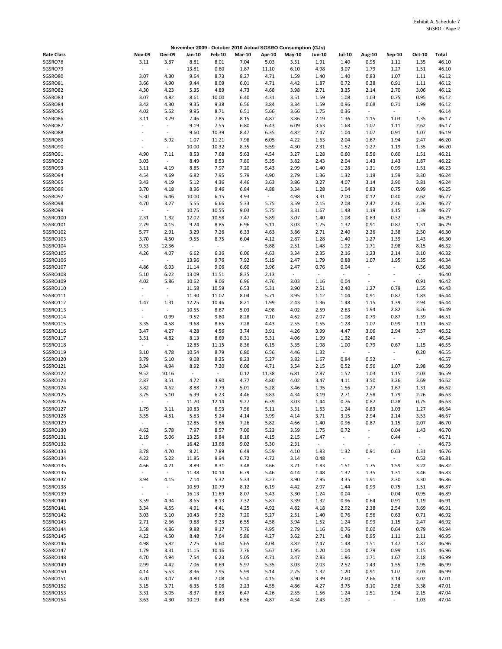|                      |                                  |                          |                          |                          |                          |                | November 2009 - October 2010 Actual SGSRO Consumption (GJs) |                          |                          |                                  |                                  |                  |                |
|----------------------|----------------------------------|--------------------------|--------------------------|--------------------------|--------------------------|----------------|-------------------------------------------------------------|--------------------------|--------------------------|----------------------------------|----------------------------------|------------------|----------------|
| <b>Rate Class</b>    | <b>Nov-09</b>                    | <b>Dec-09</b>            | Jan-10                   | <b>Feb-10</b>            | <b>Mar-10</b>            | Apr-10         | May-10                                                      | <b>Jun-10</b>            | <b>Jul-10</b>            | Aug-10                           | Sep-10                           | Oct-10           | Total          |
| SGSRO78              | 3.11                             | 3.87                     | 8.81                     | 8.01                     | 7.04                     | 5.03           | 3.51                                                        | 1.91                     | 1.40                     | 0.95                             | 1.11                             | 1.35             | 46.10          |
| SGSRO79              | $\bar{\phantom{a}}$              | $\blacksquare$           | 13.81                    | 0.60                     | 1.87                     | 11.10          | 6.10                                                        | 4.98                     | 3.07                     | 1.79                             | 1.27                             | 1.51             | 46.10          |
| SGSRO80              | 3.07                             | 4.30                     | 9.64                     | 8.73                     | 8.27                     | 4.71           | 1.59                                                        | 1.40                     | 1.40                     | 0.83                             | 1.07                             | 1.11             | 46.12          |
| SGSRO81              | 3.66                             | 4.90                     | 9.44                     | 8.09                     | 6.01                     | 4.71           | 4.42                                                        | 1.87                     | 0.72                     | 0.28                             | 0.91                             | 1.11             | 46.12          |
| SGSRO82              | 4.30                             | 4.23                     | 5.35                     | 4.89                     | 4.73                     | 4.68           | 3.98                                                        | 2.71                     | 3.35                     | 2.14                             | 2.70                             | 3.06             | 46.12          |
| SGSRO83<br>SGSRO84   | 3.07<br>3.42                     | 4.82<br>4.30             | 8.61<br>9.35             | 10.00<br>9.38            | 6.40<br>6.56             | 4.31<br>3.84   | 3.51<br>3.34                                                | 1.59<br>1.59             | 1.08<br>0.96             | 1.03<br>0.68                     | 0.75<br>0.71                     | 0.95<br>1.99     | 46.12<br>46.12 |
| SGSRO85              | 4.02                             | 5.52                     | 9.95                     | 8.71                     | 6.51                     | 5.66           | 3.66                                                        | 1.75                     | 0.36                     | $\sim$                           | $\omega$                         | $\sim$           | 46.14          |
| SGSRO86              | 3.11                             | 3.79                     | 7.46                     | 7.85                     | 8.15                     | 4.87           | 3.86                                                        | 2.19                     | 1.36                     | 1.15                             | 1.03                             | 1.35             | 46.17          |
| SGSRO87              | ÷,                               | $\overline{\phantom{a}}$ | 9.19                     | 7.55                     | 6.80                     | 6.43           | 6.09                                                        | 3.63                     | 1.68                     | 1.07                             | 1.11                             | 2.62             | 46.17          |
| SGSRO88              | $\overline{\phantom{a}}$         | $\overline{\phantom{a}}$ | 9.60                     | 10.39                    | 8.47                     | 6.35           | 4.82                                                        | 2.47                     | 1.04                     | 1.07                             | 0.91                             | 1.07             | 46.19          |
| SGSRO89              | $\blacksquare$                   | 5.92                     | 1.07                     | 11.21                    | 7.98                     | 6.05           | 4.22                                                        | 1.63                     | 2.04                     | 1.67                             | 1.94                             | 2.47             | 46.20          |
| SGSRO90              | $\overline{\phantom{a}}$         | $\blacksquare$           | 10.00                    | 10.32                    | 8.35                     | 5.59           | 4.30                                                        | 2.31                     | 1.52                     | 1.27                             | 1.19                             | 1.35             | 46.20          |
| SGSRO91              | 4.90                             | 7.11                     | 8.53                     | 7.68                     | 5.63                     | 4.54           | 3.27                                                        | 1.28                     | 0.60                     | 0.56                             | 0.60                             | 1.51             | 46.21          |
| SGSRO92              | 3.03                             | $\overline{\phantom{a}}$ | 8.49                     | 8.53                     | 7.80                     | 5.35           | 3.82                                                        | 2.43                     | 2.04                     | 1.43                             | 1.43                             | 1.87             | 46.22          |
| SGSRO93              | 3.11                             | 4.19                     | 8.85                     | 7.97                     | 7.20                     | 5.43           | 2.99                                                        | 1.40                     | 1.28                     | 1.31                             | 0.99                             | 1.51             | 46.23          |
| SGSRO94              | 4.54                             | 4.69                     | 6.82                     | 7.95                     | 5.79                     | 4.90           | 2.79                                                        | 1.36                     | 1.32                     | 1.19                             | 1.59                             | 3.30             | 46.24          |
| SGSRO95              | 3.43                             | 4.19                     | 5.12                     | 4.36                     | 4.46                     | 3.63           | 3.86                                                        | 3.27                     | 4.07                     | 3.14                             | 2.90                             | 3.81             | 46.24          |
| SGSRO96<br>SGSRO97   | 3.70<br>5.30                     | 4.18<br>6.46             | 8.96<br>10.00            | 9.46<br>6.15             | 6.84<br>4.93             | 4.88<br>$\sim$ | 3.34<br>4.98                                                | 1.28<br>3.31             | 1.04<br>2.00             | 0.83<br>0.12                     | 0.75<br>0.40                     | 0.99<br>2.62     | 46.25<br>46.27 |
| SGSRO98              | 4.70                             | 3.27                     | 5.55                     | 6.66                     | 5.33                     | 5.75           | 3.59                                                        | 2.15                     | 2.08                     | 2.47                             | 2.46                             | 2.26             | 46.27          |
| SGSRO99              | $\blacksquare$                   | $\sim$                   | 10.75                    | 10.55                    | 9.03                     | 5.75           | 3.31                                                        | 1.67                     | 1.48                     | 1.19                             | 1.15                             | 1.39             | 46.27          |
| SGSRO100             | 2.31                             | 1.32                     | 12.02                    | 10.58                    | 7.47                     | 5.89           | 3.07                                                        | 1.40                     | 1.08                     | 0.83                             | 0.32                             | $\omega$         | 46.29          |
| SGSRO101             | 2.79                             | 4.15                     | 9.24                     | 8.85                     | 6.96                     | 5.11           | 3.03                                                        | 1.75                     | 1.32                     | 0.91                             | 0.87                             | 1.31             | 46.29          |
| SGSRO102             | 5.77                             | 2.91                     | 3.29                     | 7.26                     | 6.33                     | 4.63           | 3.86                                                        | 2.71                     | 2.40                     | 2.26                             | 2.38                             | 2.50             | 46.30          |
| SGSRO103             | 3.70                             | 4.50                     | 9.55                     | 8.75                     | 6.04                     | 4.12           | 2.87                                                        | 1.28                     | 1.40                     | 1.27                             | 1.39                             | 1.43             | 46.30          |
| SGSRO104             | 9.33                             | 12.36                    | $\overline{\phantom{a}}$ | $\overline{\phantom{a}}$ | $\overline{\phantom{a}}$ | 5.88           | 2.51                                                        | 1.48                     | 1.92                     | 1.71                             | 2.98                             | 8.15             | 46.32          |
| SGSRO105             | 4.26                             | 4.07                     | 6.62                     | 6.36                     | 6.06                     | 4.63           | 3.34                                                        | 2.35                     | 2.16                     | 1.23                             | 2.14                             | 3.10             | 46.32          |
| SGSRO106             | $\sim$                           | $\omega$                 | 13.96                    | 9.76                     | 7.92                     | 5.19           | 2.47                                                        | 1.79                     | 0.88                     | 1.07                             | 1.95                             | 1.35             | 46.34          |
| SGSRO107             | 4.86                             | 6.93                     | 11.14                    | 9.06                     | 6.60                     | 3.96           | 2.47                                                        | 0.76                     | 0.04                     | $\overline{\phantom{a}}$         | $\overline{\phantom{a}}$         | 0.56             | 46.38          |
| SGSRO108             | 5.10                             | 6.22                     | 13.09                    | 11.51                    | 8.35                     | 2.13           | $\overline{\phantom{a}}$                                    | $\overline{\phantom{a}}$ | $\Box$                   | ÷,                               | $\overline{a}$                   | $\sim$           | 46.40          |
| SGSRO109<br>SGSRO110 | 4.02<br>$\overline{\phantom{a}}$ | 5.86<br>$\omega$         | 10.62<br>11.58           | 9.06<br>10.59            | 6.96<br>6.53             | 4.76<br>5.31   | 3.03<br>3.90                                                | 1.16<br>2.51             | 0.04<br>2.40             | $\overline{\phantom{a}}$<br>1.27 | $\overline{\phantom{a}}$<br>0.79 | 0.91<br>1.55     | 46.42<br>46.43 |
| SGSRO111             | $\sim$                           | $\overline{\phantom{a}}$ | 11.90                    | 11.07                    | 8.04                     | 5.71           | 3.95                                                        | 1.12                     | 1.04                     | 0.91                             | 0.87                             | 1.83             | 46.44          |
| SGSRO112             | 1.47                             | 1.31                     | 12.25                    | 10.46                    | 8.21                     | 1.99           | 2.43                                                        | 1.36                     | 1.48                     | 1.15                             | 1.39                             | 2.94             | 46.44          |
| SGSRO113             |                                  | $\overline{\phantom{a}}$ | 10.55                    | 8.67                     | 5.03                     | 4.98           | 4.02                                                        | 2.59                     | 2.63                     | 1.94                             | 2.82                             | 3.26             | 46.49          |
| SGSRO114             | ÷,                               | 0.99                     | 9.52                     | 9.80                     | 8.28                     | 7.10           | 4.62                                                        | 2.07                     | 1.08                     | 0.79                             | 0.87                             | 1.39             | 46.51          |
| SGSRO115             | 3.35                             | 4.58                     | 9.68                     | 8.65                     | 7.28                     | 4.43           | 2.55                                                        | 1.55                     | 1.28                     | 1.07                             | 0.99                             | 1.11             | 46.52          |
| SGSRO116             | 3.47                             | 4.27                     | 4.28                     | 4.56                     | 3.74                     | 3.91           | 4.26                                                        | 3.99                     | 4.47                     | 3.06                             | 2.94                             | 3.57             | 46.52          |
| SGSRO117             | 3.51                             | 4.82                     | 8.13                     | 8.69                     | 8.31                     | 5.31           | 4.06                                                        | 1.99                     | 1.32                     | 0.40                             | $\sim$                           | $\sim$           | 46.54          |
| SGSRO118             | $\sim$                           | $\omega$                 | 12.85                    | 11.15                    | 8.36                     | 6.15           | 3.35                                                        | 1.08                     | 1.00                     | 0.79                             | 0.67                             | 1.15             | 46.55          |
| SGSRO119             | 3.10                             | 4.78                     | 10.54                    | 8.79                     | 6.80                     | 6.56           | 4.46                                                        | 1.32                     | $\blacksquare$           | $\overline{\phantom{a}}$         | $\blacksquare$                   | 0.20             | 46.55          |
| SGSRO120<br>SGSRO121 | 3.79<br>3.94                     | 5.10<br>4.94             | 9.08<br>8.92             | 8.25<br>7.20             | 8.23<br>6.06             | 5.27           | 3.82                                                        | 1.67                     | 0.84                     | 0.52                             | $\overline{\phantom{a}}$         | $\omega$<br>2.98 | 46.57<br>46.59 |
| SGSRO122             | 9.52                             | 10.16                    | $\sim$                   | $\sim$                   | 0.12                     | 4.71<br>11.38  | 3.54<br>6.81                                                | 2.15<br>2.87             | 0.52<br>1.52             | 0.56<br>1.03                     | 1.07<br>1.15                     | 2.03             | 46.59          |
| SGSRO123             | 2.87                             | 3.51                     | 4.72                     | 3.90                     | 4.77                     | 4.80           | 4.02                                                        | 3.47                     | 4.11                     | 3.50                             | 3.26                             | 3.69             | 46.62          |
| SGSRO124             | 3.82                             | 4.62                     | 8.88                     | 7.79                     | 5.01                     | 5.28           | 3.46                                                        | 1.95                     | 1.56                     | 1.27                             | 1.67                             | 1.31             | 46.62          |
| SGSRO125             | 3.75                             | 5.10                     | 6.39                     | 6.23                     | 4.46                     | 3.83           | 4.34                                                        | 3.19                     | 2.71                     | 2.58                             | 1.79                             | 2.26             | 46.63          |
| SGSRO126             | $\overline{\phantom{a}}$         | $\overline{\phantom{a}}$ | 11.70                    | 12.14                    | 9.27                     | 6.39           | 3.03                                                        | 1.44                     | 0.76                     | 0.87                             | 0.28                             | 0.75             | 46.63          |
| SGSRO127             | 1.79                             | 3.11                     | 10.83                    | 8.93                     | 7.56                     | 5.11           | 3.31                                                        | 1.63                     | 1.24                     | 0.83                             | 1.03                             | 1.27             | 46.64          |
| SGSRO128             | 3.55                             | 4.51                     | 5.63                     | 5.24                     | 4.14                     | 3.99           | 4.14                                                        | 3.71                     | 3.15                     | 2.94                             | 2.14                             | 3.53             | 46.67          |
| SGSRO129             | $\overline{\phantom{a}}$         | $\omega$                 | 12.85                    | 9.66                     | 7.26                     | 5.82           | 4.66                                                        | 1.40                     | 0.96                     | 0.87                             | 1.15                             | 2.07             | 46.70          |
| SGSRO130             | 4.62                             | 5.78                     | 7.97                     | 8.57                     | 7.00                     | 5.23           | 3.59                                                        | 1.75                     | 0.72                     | $\overline{\phantom{a}}$         | 0.04                             | 1.43             | 46.70          |
| SGSRO131             | 2.19                             | 5.06                     | 13.25                    | 9.84                     | 8.16                     | 4.15           | 2.15                                                        | 1.47                     | $\sim$                   | $\overline{\phantom{a}}$         | 0.44                             | $\sim$           | 46.71          |
| SGSRO132             | $\bullet$                        | $\omega_{\rm c}$         | 16.42                    | 13.68                    | 9.02                     | 5.30           | 2.31                                                        | $\omega$                 | $\overline{\phantom{a}}$ | $\overline{\phantom{a}}$         | $\omega_{\rm c}$                 | $\sim$           | 46.73          |
| SGSRO133<br>SGSRO134 | 3.78<br>4.22                     | 4.70<br>5.22             | 8.21<br>11.85            | 7.89<br>9.94             | 6.49<br>6.72             | 5.59<br>4.72   | 4.10<br>3.14                                                | 1.83<br>0.48             | 1.32<br>÷,               | 0.91<br>$\overline{\phantom{a}}$ | 0.63<br>÷.                       | 1.31<br>0.52     | 46.76<br>46.81 |
| SGSRO135             | 4.66                             | 4.21                     | 8.89                     | 8.31                     | 3.48                     | 3.66           | 3.71                                                        | 1.83                     | 1.51                     | 1.75                             | 1.59                             | 3.22             | 46.82          |
| SGSRO136             | $\overline{\phantom{a}}$         | $\sim$                   | 11.38                    | 10.14                    | 6.79                     | 5.46           | 4.14                                                        | 1.48                     | 1.32                     | 1.35                             | 1.31                             | 3.46             | 46.83          |
| SGSRO137             | 3.94                             | 4.15                     | 7.14                     | 5.32                     | 5.33                     | 3.27           | 3.90                                                        | 2.95                     | 3.35                     | 1.91                             | 2.30                             | 3.30             | 46.86          |
| SGSRO138             |                                  | $\overline{\phantom{a}}$ | 10.59                    | 10.79                    | 8.12                     | 6.19           | 4.42                                                        | 2.07                     | 1.44                     | 0.99                             | 0.75                             | 1.51             | 46.87          |
| SGSRO139             | $\sim$                           | $\omega$                 | 16.13                    | 11.69                    | 8.07                     | 5.43           | 3.30                                                        | 1.24                     | 0.04                     | $\sim$                           | 0.04                             | 0.95             | 46.89          |
| SGSRO140             | 3.59                             | 4.94                     | 8.65                     | 8.13                     | 7.32                     | 5.87           | 3.39                                                        | 1.32                     | 0.96                     | 0.64                             | 0.91                             | 1.19             | 46.91          |
| SGSRO141             | 3.34                             | 4.55                     | 4.91                     | 4.41                     | 4.25                     | 4.92           | 4.82                                                        | 4.18                     | 2.92                     | 2.38                             | 2.54                             | 3.69             | 46.91          |
| SGSRO142             | 3.03                             | 5.10                     | 10.43                    | 9.32                     | 7.20                     | 5.27           | 2.51                                                        | 1.40                     | 0.76                     | 0.56                             | 0.63                             | 0.71             | 46.92          |
| SGSRO143             | 2.71                             | 2.66                     | 9.88                     | 9.23                     | 6.55                     | 4.58           | 3.94                                                        | 1.52                     | 1.24                     | 0.99                             | 1.15                             | 2.47             | 46.92          |
| SGSRO144             | 3.58                             | 4.86                     | 9.88                     | 9.17                     | 7.76                     | 4.95           | 2.79                                                        | 1.16                     | 0.76                     | 0.60                             | 0.64                             | 0.79             | 46.94          |
| SGSRO145<br>SGSRO146 | 4.22                             | 4.50<br>5.82             | 8.48                     | 7.64                     | 5.86                     | 4.27           | 3.62                                                        | 2.71                     | 1.48                     | 0.95                             | 1.11                             | 2.11             | 46.95<br>46.96 |
| SGSRO147             | 4.98<br>1.79                     | 3.31                     | 7.25<br>11.15            | 6.60<br>10.16            | 5.65<br>7.76             | 4.04<br>5.67   | 3.82<br>1.95                                                | 2.47<br>1.20             | 1.48<br>1.04             | 1.51<br>0.79                     | 1.47<br>0.99                     | 1.87<br>1.15     | 46.96          |
| SGSRO148             | 4.70                             | 4.94                     | 7.54                     | 6.23                     | 5.05                     | 4.71           | 3.47                                                        | 2.83                     | 1.96                     | 1.71                             | 1.67                             | 2.18             | 46.99          |
| SGSRO149             | 2.99                             | 4.42                     | 7.06                     | 8.69                     | 5.97                     | 5.35           | 3.03                                                        | 2.03                     | 2.52                     | 1.43                             | 1.55                             | 1.95             | 46.99          |
| SGSRO150             | 4.14                             | 5.53                     | 8.96                     | 7.95                     | 5.99                     | 5.14           | 2.75                                                        | 1.32                     | 1.20                     | 0.91                             | 1.07                             | 2.03             | 46.99          |
| SGSRO151             | 3.70                             | 3.07                     | 4.80                     | 7.08                     | 5.50                     | 4.15           | 3.90                                                        | 3.39                     | 2.60                     | 2.66                             | 3.14                             | 3.02             | 47.01          |
| SGSRO152             | 3.15                             | 3.71                     | 6.35                     | 5.08                     | 2.23                     | 4.55           | 4.86                                                        | 4.27                     | 3.75                     | 3.10                             | 2.58                             | 3.38             | 47.01          |
| SGSRO153             | 3.31                             | 5.05                     | 8.37                     | 8.63                     | 6.47                     | 4.26           | 2.55                                                        | 1.56                     | 1.24                     | 1.51                             | 1.94                             | 2.15             | 47.04          |
| SGSRO154             | 3.63                             | 4.30                     | 10.19                    | 8.49                     | 6.56                     | 4.87           | 4.34                                                        | 2.43                     | 1.20                     | $\overline{\phantom{a}}$         | $\blacksquare$                   | 1.03             | 47.04          |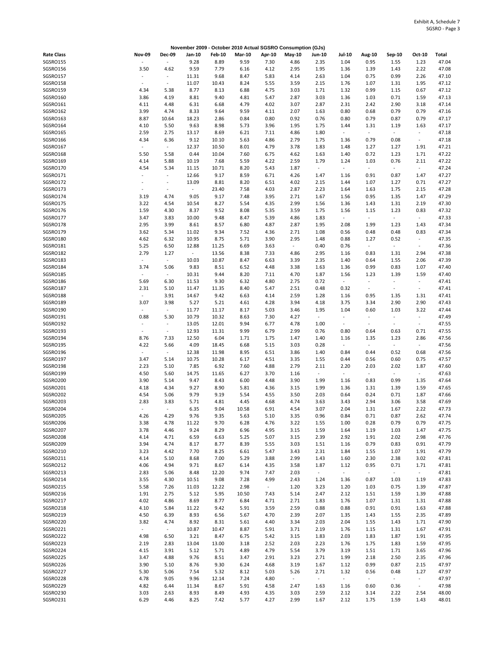|                   |                          |                          |        |               | November 2009 - October 2010 Actual SGSRO Consumption (GJs) |        |                          |                          |                          |                          |                          |                          |       |
|-------------------|--------------------------|--------------------------|--------|---------------|-------------------------------------------------------------|--------|--------------------------|--------------------------|--------------------------|--------------------------|--------------------------|--------------------------|-------|
| <b>Rate Class</b> | <b>Nov-09</b>            | <b>Dec-09</b>            | Jan-10 | <b>Feb-10</b> | <b>Mar-10</b>                                               | Apr-10 | $May-10$                 | Jun-10                   | <b>Jul-10</b>            | Aug-10                   | Sep-10                   | Oct-10                   | Total |
| SGSRO155          |                          | ÷,                       | 9.28   | 8.89          | 9.59                                                        | 7.30   | 4.86                     | 2.35                     | 1.04                     | 0.95                     | 1.55                     | 1.23                     | 47.04 |
| SGSRO156          | 3.50                     | 4.62                     | 9.59   | 7.79          | 6.16                                                        | 4.12   | 2.95                     | 1.95                     | 1.36                     | 1.39                     | 1.43                     | 2.22                     | 47.08 |
| SGSRO157          | $\blacksquare$           | $\sim$                   | 11.31  | 9.68          | 8.47                                                        | 5.83   | 4.14                     | 2.63                     | 1.04                     | 0.75                     | 0.99                     | 2.26                     | 47.10 |
| SGSRO158          | $\overline{\phantom{a}}$ | $\overline{\phantom{a}}$ | 11.07  | 10.43         | 8.24                                                        | 5.55   | 3.59                     | 2.15                     | 1.76                     | 1.07                     | 1.31                     | 1.95                     | 47.12 |
| SGSRO159          | 4.34                     | 5.38                     | 8.77   | 8.13          | 6.88                                                        | 4.75   | 3.03                     | 1.71                     | 1.32                     | 0.99                     | 1.15                     | 0.67                     | 47.12 |
| SGSRO160          | 3.86                     | 4.19                     | 8.81   | 9.40          | 4.81                                                        | 5.47   | 2.87                     | 3.03                     | 1.36                     | 1.03                     | 0.71                     | 1.59                     | 47.13 |
| SGSRO161          | 4.11                     | 4.48                     | 6.31   | 6.68          | 4.79                                                        | 4.02   | 3.07                     | 2.87                     | 2.31                     | 2.42                     | 2.90                     | 3.18                     | 47.14 |
|                   |                          |                          |        |               |                                                             |        |                          |                          |                          |                          |                          |                          |       |
| SGSRO162          | 3.99                     | 4.74                     | 8.33   | 9.64          | 9.59                                                        | 4.11   | 2.07                     | 1.63                     | 0.80                     | 0.68                     | 0.79                     | 0.79                     | 47.16 |
| SGSRO163          | 8.87                     | 10.64                    | 18.23  | 2.86          | 0.84                                                        | 0.80   | 0.92                     | 0.76                     | 0.80                     | 0.79                     | 0.87                     | 0.79                     | 47.17 |
| SGSRO164          | 4.10                     | 5.50                     | 9.63   | 8.98          | 5.73                                                        | 3.96   | 1.95                     | 1.75                     | 1.44                     | 1.31                     | 1.19                     | 1.63                     | 47.17 |
| SGSRO165          | 2.59                     | 2.75                     | 13.17  | 8.69          | 6.21                                                        | 7.11   | 4.86                     | 1.80                     | $\overline{\phantom{a}}$ | $\overline{\phantom{a}}$ | $\omega$                 | $\sim$                   | 47.18 |
| SGSRO166          | 4.34                     | 6.36                     | 9.12   | 10.10         | 5.63                                                        | 4.86   | 2.79                     | 1.75                     | 1.36                     | 0.79                     | 0.08                     | $\sim$                   | 47.18 |
| SGSRO167          | $\overline{\phantom{a}}$ | $\omega$                 | 12.37  | 10.50         | 8.01                                                        | 4.79   | 3.78                     | 1.83                     | 1.48                     | 1.27                     | 1.27                     | 1.91                     | 47.21 |
| SGSRO168          | 5.50                     | 5.58                     | 0.44   | 10.04         | 7.60                                                        | 6.75   | 4.62                     | 1.63                     | 1.40                     | 0.72                     | 1.23                     | 1.71                     | 47.22 |
| SGSRO169          | 4.14                     | 5.88                     | 10.19  | 7.68          | 5.59                                                        | 4.22   | 2.59                     | 1.79                     | 1.24                     | 1.03                     | 0.76                     | 2.11                     | 47.22 |
| SGSRO170          | 4.54                     | 5.34                     | 11.15  | 10.71         | 8.20                                                        | 5.43   | 1.87                     | $\overline{\phantom{a}}$ | $\overline{\phantom{a}}$ | $\overline{\phantom{a}}$ | $\blacksquare$           | $\sim$                   | 47.24 |
| SGSRO171          | ÷,                       | $\overline{\phantom{a}}$ | 12.66  | 9.17          | 8.59                                                        | 6.71   | 4.26                     | 1.47                     | 1.16                     | 0.91                     | 0.87                     | 1.47                     | 47.27 |
| SGSRO172          | $\blacksquare$           | $\sim$                   | 13.09  | 8.81          | 8.20                                                        | 6.51   | 4.02                     | 2.15                     | 1.44                     | 1.07                     | 1.27                     | 0.71                     | 47.27 |
| SGSRO173          | ÷,                       | $\sim$                   | $\sim$ | 23.40         | 7.58                                                        | 4.03   | 2.87                     | 2.23                     | 1.64                     | 1.63                     | 1.75                     | 2.15                     | 47.28 |
| SGSRO174          | 3.19                     | 4.74                     | 9.05   | 9.17          | 7.48                                                        | 3.95   | 2.71                     | 1.67                     | 1.56                     | 0.95                     | 1.35                     | 1.47                     | 47.29 |
|                   |                          |                          |        |               |                                                             |        |                          |                          |                          |                          |                          |                          |       |
| SGSRO175          | 3.22                     | 4.54                     | 10.54  | 8.27          | 5.54                                                        | 4.35   | 2.99                     | 1.56                     | 1.36                     | 1.43                     | 1.31                     | 2.19                     | 47.30 |
| SGSRO176          | 1.59                     | 4.30                     | 8.37   | 9.52          | 8.08                                                        | 5.35   | 3.59                     | 1.75                     | 1.56                     | 1.15                     | 1.23                     | 0.83                     | 47.32 |
| SGSRO177          | 3.47                     | 3.83                     | 10.00  | 9.48          | 8.47                                                        | 5.39   | 4.86                     | 1.83                     | $\overline{\phantom{a}}$ | $\overline{\phantom{a}}$ | $\sim$                   | $\sim$                   | 47.33 |
| SGSRO178          | 2.95                     | 3.99                     | 8.61   | 8.57          | 6.80                                                        | 4.87   | 2.87                     | 1.95                     | 2.08                     | 1.99                     | 1.23                     | 1.43                     | 47.34 |
| SGSRO179          | 3.62                     | 5.34                     | 11.02  | 9.34          | 7.52                                                        | 4.36   | 2.71                     | 1.08                     | 0.56                     | 0.48                     | 0.48                     | 0.83                     | 47.34 |
| SGSRO180          | 4.62                     | 6.32                     | 10.95  | 8.75          | 5.71                                                        | 3.90   | 2.95                     | 1.48                     | 0.88                     | 1.27                     | 0.52                     | $\sim$                   | 47.35 |
| SGSRO181          | 5.25                     | 6.50                     | 12.88  | 11.25         | 6.69                                                        | 3.63   | $\sim$                   | 0.40                     | 0.76                     | $\overline{\phantom{a}}$ | $\blacksquare$           | $\overline{\phantom{a}}$ | 47.36 |
| SGSRO182          | 2.79                     | 1.27                     | $\sim$ | 13.56         | 8.38                                                        | 7.33   | 4.86                     | 2.95                     | 1.16                     | 0.83                     | 1.31                     | 2.94                     | 47.38 |
| SGSRO183          | $\overline{\phantom{a}}$ | $\sim$                   | 10.03  | 10.87         | 8.47                                                        | 6.63   | 3.39                     | 2.35                     | 1.40                     | 0.64                     | 1.55                     | 2.06                     | 47.39 |
| SGSRO184          | 3.74                     | 5.06                     | 9.83   | 8.51          | 6.52                                                        | 4.48   | 3.38                     | 1.63                     | 1.36                     | 0.99                     | 0.83                     | 1.07                     | 47.40 |
| SGSRO185          | ÷,                       | $\sim$                   | 10.31  | 9.44          | 8.20                                                        | 7.11   | 4.70                     | 1.87                     | 1.56                     | 1.23                     | 1.39                     | 1.59                     | 47.40 |
| SGSRO186          | 5.69                     | 6.30                     | 11.53  | 9.30          | 6.32                                                        | 4.80   | 2.75                     | 0.72                     | $\overline{\phantom{a}}$ | ÷,                       | $\overline{\phantom{a}}$ | $\sim$                   | 47.41 |
|                   |                          |                          |        |               |                                                             |        |                          |                          |                          |                          |                          |                          |       |
| SGSRO187          | 2.31                     | 5.10                     | 11.47  | 11.35         | 8.40                                                        | 5.47   | 2.51                     | 0.48                     | 0.32                     | $\overline{\phantom{a}}$ | $\overline{\phantom{a}}$ | $\sim$                   | 47.41 |
| SGSRO188          | $\overline{\phantom{a}}$ | 3.91                     | 14.67  | 9.42          | 6.63                                                        | 4.14   | 2.59                     | 1.28                     | 1.16                     | 0.95                     | 1.35                     | 1.31                     | 47.41 |
| SGSRO189          | 3.07                     | 3.98                     | 5.27   | 5.21          | 4.61                                                        | 4.28   | 3.94                     | 4.18                     | 3.75                     | 3.34                     | 2.90                     | 2.90                     | 47.43 |
| SGSRO190          |                          | $\overline{\phantom{a}}$ | 11.77  | 11.17         | 8.17                                                        | 5.03   | 3.46                     | 1.95                     | 1.04                     | 0.60                     | 1.03                     | 3.22                     | 47.44 |
| SGSRO191          | 0.88                     | 5.30                     | 10.79  | 10.32         | 8.63                                                        | 7.30   | 4.27                     | $\overline{\phantom{a}}$ | $\overline{\phantom{a}}$ | $\sim$                   | $\overline{\phantom{a}}$ | $\overline{\phantom{a}}$ | 47.49 |
| SGSRO192          |                          | $\overline{\phantom{a}}$ | 13.05  | 12.01         | 9.94                                                        | 6.77   | 4.78                     | 1.00                     | $\overline{\phantom{a}}$ | $\sim$                   | $\overline{\phantom{a}}$ | $\sim$                   | 47.55 |
| SGSRO193          |                          | $\sim$                   | 12.93  | 11.31         | 9.99                                                        | 6.79   | 2.99                     | 0.76                     | 0.80                     | 0.64                     | 0.63                     | 0.71                     | 47.55 |
| SGSRO194          | 8.76                     | 7.33                     | 12.50  | 6.04          | 1.71                                                        | 1.75   | 1.47                     | 1.40                     | 1.16                     | 1.35                     | 1.23                     | 2.86                     | 47.56 |
| SGSRO195          | 4.22                     | 5.66                     | 4.09   | 18.45         | 6.68                                                        | 5.15   | 3.03                     | 0.28                     | ÷,                       | $\overline{\phantom{a}}$ | $\blacksquare$           | $\overline{\phantom{a}}$ | 47.56 |
| SGSRO196          | $\overline{\phantom{a}}$ | $\blacksquare$           | 12.38  | 11.98         | 8.95                                                        | 6.51   | 3.86                     | 1.40                     | 0.84                     | 0.44                     | 0.52                     | 0.68                     | 47.56 |
| SGSRO197          | 3.47                     | 5.14                     | 10.75  | 10.28         | 6.17                                                        | 4.51   | 3.35                     | 1.55                     | 0.44                     | 0.56                     | 0.60                     | 0.75                     | 47.57 |
| SGSRO198          | 2.23                     | 5.10                     | 7.85   | 6.92          | 7.60                                                        | 4.88   | 2.79                     | 2.11                     | 2.20                     | 2.03                     | 2.02                     | 1.87                     | 47.60 |
| SGSRO199          | 4.50                     | 5.60                     | 14.75  | 11.65         | 6.27                                                        | 3.70   |                          | $\blacksquare$           | $\blacksquare$           | $\overline{\phantom{a}}$ | $\sim$                   | $\omega$                 | 47.63 |
|                   |                          |                          |        |               |                                                             |        | 1.16                     |                          |                          |                          |                          |                          |       |
| SGSRO200          | 3.90                     | 5.14                     | 9.47   | 8.43          | 6.00                                                        | 4.48   | 3.90                     | 1.99                     | 1.16                     | 0.83                     | 0.99                     | 1.35                     | 47.64 |
| SGSRO201          | 4.18                     | 4.34                     | 9.27   | 8.90          | 5.81                                                        | 4.36   | 3.15                     | 1.99                     | 1.36                     | 1.31                     | 1.39                     | 1.59                     | 47.65 |
| SGSRO202          | 4.54                     | 5.06                     | 9.79   | 9.19          | 5.54                                                        | 4.55   | 3.50                     | 2.03                     | 0.64                     | 0.24                     | 0.71                     | 1.87                     | 47.66 |
| SGSRO203          | 2.83                     | 3.83                     | 5.71   | 4.81          | 4.45                                                        | 4.68   | 4.74                     | 3.63                     | 3.43                     | 2.94                     | 3.06                     | 3.58                     | 47.69 |
| SGSRO204          | $\overline{\phantom{a}}$ | $\overline{\phantom{a}}$ | 6.35   | 9.04          | 10.58                                                       | 6.91   | 4.54                     | 3.07                     | 2.04                     | 1.31                     | 1.67                     | 2.22                     | 47.73 |
| SGSRO205          | 4.26                     | 4.29                     | 9.76   | 9.35          | 5.63                                                        | 5.10   | 3.35                     | 0.96                     | 0.84                     | 0.71                     | 0.87                     | 2.62                     | 47.74 |
| SGSRO206          | 3.38                     | 4.78                     | 11.22  | 9.70          | 6.28                                                        | 4.76   | 3.22                     | 1.55                     | 1.00                     | 0.28                     | 0.79                     | 0.79                     | 47.75 |
| SGSRO207          | 3.78                     | 4.46                     | 9.24   | 8.29          | 6.96                                                        | 4.95   | 3.15                     | 1.59                     | 1.64                     | 1.19                     | 1.03                     | 1.47                     | 47.75 |
| SGSRO208          | 4.14                     | 4.71                     | 6.59   | 6.63          | 5.25                                                        | 5.07   | 3.15                     | 2.39                     | 2.92                     | 1.91                     | 2.02                     | 2.98                     | 47.76 |
| SGSRO209          | 3.94                     | 4.74                     | 8.17   | 8.77          | 8.39                                                        | 5.55   | 3.03                     | 1.51                     | 1.16                     | 0.79                     | 0.83                     | 0.91                     | 47.79 |
| SGSRO210          | 3.23                     | 4.42                     | 7.70   | 8.25          | 6.61                                                        | 5.47   | 3.43                     | 2.31                     | 1.84                     | 1.55                     | 1.07                     | 1.91                     | 47.79 |
| SGSRO211          | 4.14                     | 5.10                     | 8.68   | 7.00          | 5.29                                                        | 3.88   | 2.99                     | 1.43                     | 1.60                     | 2.30                     | 2.38                     | 3.02                     | 47.81 |
| SGSRO212          | 4.06                     | 4.94                     | 9.71   | 8.67          | 6.14                                                        | 4.35   | 3.58                     | 1.87                     | 1.12                     | 0.95                     | 0.71                     | 1.71                     | 47.81 |
| SGSRO213          | 2.83                     | 5.06                     | 8.48   | 12.20         | 9.74                                                        | 7.47   | 2.03                     | $\sim$                   | $\omega$                 | $\blacksquare$           | $\omega$                 | $\omega$                 | 47.81 |
| SGSRO214          | 3.55                     | 4.30                     | 10.51  | 9.08          | 7.28                                                        | 4.99   | 2.43                     | 1.24                     | 1.36                     | 0.87                     | 1.03                     | 1.19                     | 47.83 |
| SGSRO215          |                          |                          |        |               |                                                             | $\sim$ |                          |                          |                          |                          |                          |                          |       |
|                   | 5.58                     | 7.26                     | 11.03  | 12.22         | 2.98                                                        |        | 1.20                     | 3.23                     | 1.20                     | 1.03                     | 0.75                     | 1.39                     | 47.87 |
| SGSRO216          | 1.91                     | 2.75                     | 5.12   | 5.95          | 10.50                                                       | 7.43   | 5.14                     | 2.47                     | 2.12                     | 1.51                     | 1.59                     | 1.39                     | 47.88 |
| SGSRO217          | 4.02                     | 4.86                     | 8.69   | 8.77          | 6.84                                                        | 4.71   | 2.71                     | 1.83                     | 1.76                     | 1.07                     | 1.31                     | 1.31                     | 47.88 |
| SGSRO218          | 4.10                     | 5.84                     | 11.22  | 9.42          | 5.91                                                        | 3.59   | 2.59                     | 0.88                     | 0.88                     | 0.91                     | 0.91                     | 1.63                     | 47.88 |
| SGSRO219          | 4.50                     | 6.39                     | 8.93   | 6.56          | 5.67                                                        | 4.70   | 2.39                     | 2.07                     | 1.35                     | 1.43                     | 1.55                     | 2.35                     | 47.89 |
| SGSRO220          | 3.82                     | 4.74                     | 8.92   | 8.31          | 5.61                                                        | 4.40   | 3.34                     | 2.03                     | 2.04                     | 1.55                     | 1.43                     | 1.71                     | 47.90 |
| SGSRO221          | $\blacksquare$           | $\omega_{\rm c}$         | 10.87  | 10.47         | 8.87                                                        | 5.91   | 3.71                     | 2.19                     | 1.76                     | 1.15                     | 1.31                     | 1.67                     | 47.91 |
| SGSRO222          | 4.98                     | 6.50                     | 3.21   | 8.47          | 6.75                                                        | 5.42   | 3.15                     | 1.83                     | 2.03                     | 1.83                     | 1.87                     | 1.91                     | 47.95 |
| SGSRO223          | 2.19                     | 2.83                     | 13.04  | 13.00         | 3.18                                                        | 2.52   | 2.03                     | 2.23                     | 1.76                     | 1.75                     | 1.83                     | 1.59                     | 47.95 |
| SGSRO224          | 4.15                     | 3.91                     | 5.12   | 5.71          | 4.89                                                        | 4.79   | 5.54                     | 3.79                     | 3.19                     | 1.51                     | 1.71                     | 3.65                     | 47.96 |
| SGSRO225          | 3.47                     | 4.88                     | 9.76   | 8.51          | 3.47                                                        | 2.91   | 3.23                     | 2.71                     | 1.99                     | 2.18                     | 2.50                     | 2.35                     | 47.96 |
| SGSRO226          | 3.90                     | 5.10                     | 8.76   | 9.30          | 6.24                                                        | 4.68   | 3.19                     | 1.67                     | 1.12                     | 0.99                     | 0.87                     | 2.15                     | 47.97 |
| SGSRO227          | 5.30                     | 5.06                     | 7.54   |               | 8.12                                                        | 5.03   |                          | 2.71                     | 1.32                     | 0.56                     | 0.48                     | 1.27                     | 47.97 |
|                   |                          |                          |        | 5.32          |                                                             |        | 5.26                     |                          |                          |                          |                          |                          |       |
| SGSRO228          | 4.78                     | 9.05                     | 9.96   | 12.14         | 7.24                                                        | 4.80   | $\overline{\phantom{a}}$ | $\omega$                 | $\Box$                   | $\overline{\phantom{a}}$ | $\omega$                 | $\sim$                   | 47.97 |
| SGSRO229          | 4.82                     | 6.44                     | 11.34  | 8.67          | 5.91                                                        | 4.58   | 2.47                     | 1.63                     | 1.16                     | 0.60                     | 0.36                     | $\sim$                   | 47.98 |
| SGSRO230          | 3.03                     | 2.63                     | 8.93   | 8.49          | 4.93                                                        | 4.35   | 3.03                     | 2.59                     | 2.12                     | 3.14                     | 2.22                     | 2.54                     | 48.00 |
| SGSRO231          | 6.29                     | 4.46                     | 8.25   | 7.42          | 5.77                                                        | 4.27   | 2.99                     | 1.67                     | 2.12                     | 1.75                     | 1.59                     | 1.43                     | 48.01 |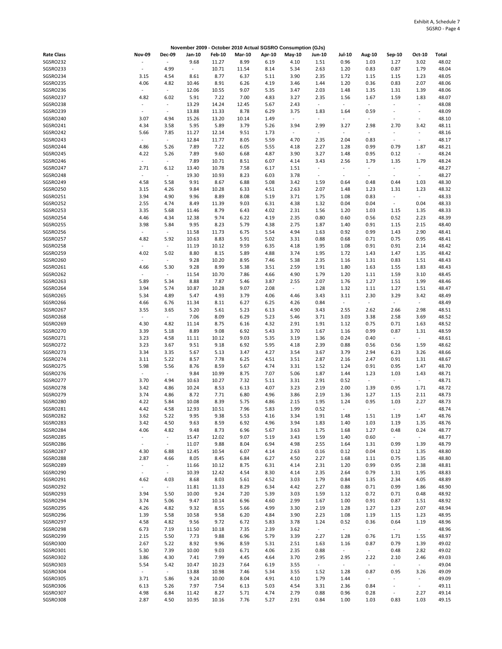|                      |                                  |                                  |                          |                |               |              | November 2009 - October 2010 Actual SGSRO Consumption (GJs) |                                            |                                            |                                  |                                            |                                         |                |
|----------------------|----------------------------------|----------------------------------|--------------------------|----------------|---------------|--------------|-------------------------------------------------------------|--------------------------------------------|--------------------------------------------|----------------------------------|--------------------------------------------|-----------------------------------------|----------------|
| <b>Rate Class</b>    | <b>Nov-09</b>                    | <b>Dec-09</b>                    | Jan-10                   | <b>Feb-10</b>  | <b>Mar-10</b> | Apr-10       | May-10                                                      | Jun-10                                     | <b>Jul-10</b>                              | Aug-10                           | Sep-10                                     | Oct-10                                  | Total          |
| SGSRO232             |                                  | $\sim$                           | 9.68                     | 11.27          | 8.99          | 6.19         | 4.10                                                        | 1.51                                       | 0.96                                       | 1.03                             | 1.27                                       | 3.02                                    | 48.02          |
| SGSRO233             | $\overline{\phantom{a}}$         | 4.99                             | $\overline{\phantom{a}}$ | 10.71          | 11.54         | 8.14         | 5.34                                                        | 2.63                                       | 1.20                                       | 0.83                             | 0.87                                       | 1.79                                    | 48.04          |
| SGSRO234             | 3.15                             | 4.54                             | 8.61                     | 8.77           | 6.37          | 5.11         | 3.90                                                        | 2.35                                       | 1.72                                       | 1.15                             | 1.15                                       | 1.23                                    | 48.05          |
| SGSRO235             | 4.06                             | 4.82                             | 10.46                    | 8.91           | 6.26          | 4.19         | 3.46                                                        | 1.44                                       | 1.20                                       | 0.36                             | 0.83                                       | 2.07                                    | 48.06          |
| SGSRO236             | $\overline{\phantom{a}}$         | $\overline{\phantom{a}}$         | 12.06                    | 10.55          | 9.07          | 5.35         | 3.47                                                        | 2.03                                       | 1.48                                       | 1.35                             | 1.31                                       | 1.39                                    | 48.06          |
| SGSRO237<br>SGSRO238 | 4.82                             | 6.02<br>$\blacksquare$           | 5.91<br>13.29            | 7.22<br>14.24  | 7.00<br>12.45 | 4.83<br>5.67 | 3.27<br>2.43                                                | 2.35<br>$\overline{\phantom{a}}$           | 1.56<br>$\overline{\phantom{a}}$           | 1.67<br>$\overline{\phantom{a}}$ | 1.59<br>$\overline{\phantom{a}}$           | 1.83<br>$\centering \label{eq:reduced}$ | 48.07<br>48.08 |
| SGSRO239             | ÷,                               | $\bar{\phantom{a}}$              | 13.88                    | 11.33          | 8.78          | 6.29         | 3.75                                                        | 1.83                                       | 1.64                                       | 0.59                             | ÷,                                         | ÷,                                      | 48.09          |
| SGSRO240             | 3.07                             | 4.94                             | 15.26                    | 13.20          | 10.14         | 1.49         | $\sim$                                                      | $\blacksquare$                             | $\overline{\phantom{a}}$                   | $\overline{\phantom{a}}$         | $\sim$                                     | $\overline{\phantom{a}}$                | 48.10          |
| SGSRO241             | 4.34                             | 3.58                             | 5.95                     | 5.89           | 3.79          | 5.26         | 3.94                                                        | 2.99                                       | 3.27                                       | 2.98                             | 2.70                                       | 3.42                                    | 48.11          |
| SGSRO242             | 5.66                             | 7.85                             | 11.27                    | 12.14          | 9.51          | 1.73         | $\overline{\phantom{a}}$                                    | $\blacksquare$                             | $\overline{\phantom{a}}$                   | $\overline{\phantom{a}}$         | $\overline{\phantom{a}}$                   | $\overline{\phantom{a}}$                | 48.16          |
| SGSRO243             | $\sim$                           | $\omega$                         | 12.84                    | 11.77          | 8.05          | 5.59         | 4.70                                                        | 2.35                                       | 2.04                                       | 0.83                             | $\blacksquare$                             | $\omega$                                | 48.17          |
| SGSRO244             | 4.86                             | 5.26                             | 7.89                     | 7.22           | 6.05          | 5.55         | 4.18                                                        | 2.27                                       | 1.28                                       | 0.99                             | 0.79                                       | 1.87                                    | 48.21          |
| SGSRO245             | 4.22                             | 5.26                             | 7.89                     | 9.60           | 6.68          | 4.87         | 3.90                                                        | 3.27                                       | 1.48                                       | 0.95                             | 0.12                                       | $\sim$                                  | 48.24          |
| SGSRO246             | $\overline{\phantom{a}}$         | $\overline{\phantom{a}}$         | 7.89                     | 10.71          | 8.51          | 6.07         | 4.14                                                        | 3.43                                       | 2.56                                       | 1.79                             | 1.35                                       | 1.79                                    | 48.24          |
| SGSRO247<br>SGSRO248 | 2.71<br>$\overline{\phantom{a}}$ | 6.12<br>$\overline{\phantom{a}}$ | 13.40<br>19.30           | 10.78<br>10.93 | 7.58<br>8.23  | 6.17<br>6.03 | 1.51<br>3.78                                                | $\blacksquare$<br>$\overline{\phantom{a}}$ | $\blacksquare$<br>$\overline{\phantom{a}}$ | ÷,<br>$\overline{\phantom{a}}$   | $\blacksquare$<br>$\overline{\phantom{a}}$ | $\sim$<br>$\sim$                        | 48.27<br>48.27 |
| SGSRO249             | 4.58                             | 5.58                             | 9.91                     | 8.67           | 6.88          | 5.08         | 3.42                                                        | 1.59                                       | 0.64                                       | 0.48                             | 0.44                                       | 1.03                                    | 48.30          |
| SGSRO250             | 3.15                             | 4.26                             | 9.84                     | 10.28          | 6.33          | 4.51         | 2.63                                                        | 2.07                                       | 1.48                                       | 1.23                             | 1.31                                       | 1.23                                    | 48.32          |
| SGSRO251             | 3.94                             | 4.90                             | 9.96                     | 8.89           | 8.08          | 5.19         | 3.71                                                        | 1.75                                       | 1.08                                       | 0.83                             | $\blacksquare$                             | $\sim$                                  | 48.33          |
| SGSRO252             | 2.55                             | 4.74                             | 8.49                     | 11.39          | 9.03          | 6.31         | 4.38                                                        | 1.32                                       | 0.04                                       | 0.04                             | $\blacksquare$                             | 0.04                                    | 48.33          |
| SGSRO253             | 3.35                             | 5.68                             | 11.46                    | 8.79           | 6.43          | 4.02         | 2.31                                                        | 1.56                                       | 1.20                                       | 1.03                             | 1.15                                       | 1.35                                    | 48.33          |
| SGSRO254             | 4.46                             | 4.34                             | 12.38                    | 9.74           | 6.22          | 4.19         | 2.35                                                        | 0.80                                       | 0.60                                       | 0.56                             | 0.52                                       | 2.23                                    | 48.39          |
| SGSRO255             | 3.98                             | 5.84                             | 9.95                     | 8.23           | 5.79          | 4.38         | 2.75                                                        | 1.87                                       | 1.40                                       | 0.91                             | 1.15                                       | 2.15                                    | 48.40          |
| SGSRO256             | $\overline{\phantom{a}}$         | $\blacksquare$                   | 11.58                    | 11.73          | 6.75          | 5.54         | 4.94                                                        | 1.63                                       | 0.92                                       | 0.99                             | 1.43                                       | 2.90                                    | 48.41          |
| SGSRO257<br>SGSRO258 | 4.82                             | 5.92<br>$\blacksquare$           | 10.63                    | 8.83           | 5.91<br>9.59  | 5.02         | 3.31                                                        | 0.88                                       | 0.68<br>1.08                               | 0.71<br>0.91                     | 0.75<br>0.91                               | 0.95                                    | 48.41<br>48.42 |
| SGSRO259             | 4.02                             | 5.02                             | 11.19<br>8.80            | 10.12<br>8.15  | 5.89          | 6.35<br>4.88 | 4.18<br>3.74                                                | 1.95<br>1.95                               | 1.72                                       | 1.43                             | 1.47                                       | 2.14<br>1.35                            | 48.42          |
| SGSRO260             | $\centering \label{eq:reduced}$  | $\overline{\phantom{a}}$         | 9.28                     | 10.20          | 8.95          | 7.46         | 5.38                                                        | 2.35                                       | 1.16                                       | 1.31                             | 0.83                                       | 1.51                                    | 48.43          |
| SGSRO261             | 4.66                             | 5.30                             | 9.28                     | 8.99           | 5.38          | 3.51         | 2.59                                                        | 1.91                                       | 1.80                                       | 1.63                             | 1.55                                       | 1.83                                    | 48.43          |
| SGSRO262             | $\centering \label{eq:reduced}$  | $\blacksquare$                   | 11.54                    | 10.70          | 7.86          | 4.66         | 4.90                                                        | 1.79                                       | 1.20                                       | 1.11                             | 1.59                                       | 3.10                                    | 48.45          |
| SGSRO263             | 5.89                             | 5.34                             | 8.88                     | 7.87           | 5.46          | 3.87         | 2.55                                                        | 2.07                                       | 1.76                                       | 1.27                             | 1.51                                       | 1.99                                    | 48.46          |
| SGSRO264             | 3.94                             | 5.74                             | 10.87                    | 10.28          | 9.07          | 2.08         | $\blacksquare$                                              | 1.28                                       | 1.32                                       | 1.11                             | 1.27                                       | 1.51                                    | 48.47          |
| SGSRO265             | 5.34                             | 4.89                             | 5.47                     | 4.93           | 3.79          | 4.06         | 4.46                                                        | 3.43                                       | 3.11                                       | 2.30                             | 3.29                                       | 3.42                                    | 48.49          |
| SGSRO266             | 4.66                             | 6.76                             | 11.34                    | 8.11           | 6.27          | 6.25         | 4.26                                                        | 0.84                                       | $\overline{\phantom{a}}$                   | $\overline{\phantom{a}}$         | $\sim$                                     | $\sim$                                  | 48.49          |
| SGSRO267<br>SGSRO268 | 3.55<br>$\sim$                   | 3.65<br>$\sim$                   | 5.20                     | 5.61           | 5.23<br>6.29  | 6.13         | 4.90                                                        | 3.43                                       | 2.55<br>3.03                               | 2.62                             | 2.66                                       | 2.98                                    | 48.51<br>48.52 |
| SGSRO269             | 4.30                             | 4.82                             | 7.06<br>11.14            | 8.09<br>8.75   | 6.16          | 5.23<br>4.32 | 5.46<br>2.91                                                | 3.71<br>1.91                               | 1.12                                       | 3.38<br>0.75                     | 2.58<br>0.71                               | 3.69<br>1.63                            | 48.52          |
| SGSRO270             | 3.39                             | 5.18                             | 8.89                     | 9.08           | 6.92          | 5.43         | 3.70                                                        | 1.67                                       | 1.16                                       | 0.99                             | 0.87                                       | 1.31                                    | 48.59          |
| SGSRO271             | 3.23                             | 4.58                             | 11.11                    | 10.12          | 9.03          | 5.35         | 3.19                                                        | 1.36                                       | 0.24                                       | 0.40                             | $\omega_{\rm c}$                           | $\sim$                                  | 48.61          |
| SGSRO272             | 3.23                             | 3.67                             | 9.51                     | 9.18           | 6.92          | 5.95         | 4.18                                                        | 2.39                                       | 0.88                                       | 0.56                             | 0.56                                       | 1.59                                    | 48.62          |
| SGSRO273             | 3.34                             | 3.35                             | 5.67                     | 5.13           | 3.47          | 4.27         | 3.54                                                        | 3.67                                       | 3.79                                       | 2.94                             | 6.23                                       | 3.26                                    | 48.66          |
| SGSRO274             | 3.11                             | 5.22                             | 8.57                     | 7.78           | 6.25          | 4.51         | 3.51                                                        | 2.87                                       | 2.16                                       | 2.47                             | 0.91                                       | 1.31                                    | 48.67          |
| SGSRO275             | 5.98                             | 5.56                             | 8.76                     | 8.59           | 5.67          | 4.74         | 3.31                                                        | 1.52                                       | 1.24                                       | 0.91                             | 0.95                                       | 1.47                                    | 48.70          |
| SGSRO276             | $\overline{\phantom{a}}$         | $\omega$                         | 9.84                     | 10.99          | 8.75          | 7.07         | 5.06                                                        | 1.87                                       | 1.44                                       | 1.23                             | 1.03                                       | 1.43                                    | 48.71          |
| SGSRO277<br>SGSRO278 | 3.70<br>3.42                     | 4.94<br>4.86                     | 10.63<br>10.24           | 10.27<br>8.53  | 7.32<br>6.13  | 5.11<br>4.07 | 3.31<br>3.23                                                | 2.91<br>2.19                               | 0.52<br>2.00                               | $\overline{\phantom{a}}$<br>1.39 | $\overline{\phantom{a}}$<br>0.95           | $\omega$<br>1.71                        | 48.71<br>48.72 |
| SGSRO279             | 3.74                             | 4.86                             | 8.72                     | 7.71           | 6.80          | 4.96         | 3.86                                                        | 2.19                                       | 1.36                                       | 1.27                             | 1.15                                       | 2.11                                    | 48.73          |
| SGSRO280             | 4.22                             | 5.84                             | 10.08                    | 8.39           | 5.75          | 4.86         | 2.15                                                        | 1.95                                       | 1.24                                       | 0.95                             | 1.03                                       | 2.27                                    | 48.73          |
| SGSRO281             | 4.42                             | 4.58                             | 12.93                    | 10.51          | 7.96          | 5.83         | 1.99                                                        | 0.52                                       |                                            |                                  |                                            |                                         | 48.74          |
| SGSRO282             | 3.62                             | 5.22                             | 9.95                     | 9.38           | 5.53          | 4.16         | 3.34                                                        | 1.91                                       | 1.48                                       | 1.51                             | 1.19                                       | 1.47                                    | 48.76          |
| SGSRO283             | 3.42                             | 4.50                             | 9.63                     | 8.59           | 6.92          | 4.96         | 3.94                                                        | 1.83                                       | 1.40                                       | 1.03                             | 1.19                                       | 1.35                                    | 48.76          |
| SGSRO284             | 4.06                             | 4.82                             | 9.48                     | 8.73           | 6.96          | 5.67         | 3.63                                                        | 1.75                                       | 1.68                                       | 1.27                             | 0.48                                       | 0.24                                    | 48.77          |
| SGSRO285             | $\blacksquare$                   | $\omega_{\rm c}$                 | 15.47                    | 12.02          | 9.07          | 5.19         | 3.43                                                        | 1.59                                       | 1.40                                       | 0.60                             | $\omega_{\rm c}$                           | $\sim$                                  | 48.77          |
| SGSRO286             | $\overline{\phantom{a}}$         | $\overline{\phantom{a}}$         | 11.07                    | 9.88           | 8.04          | 6.94         | 4.98                                                        | 2.55                                       | 1.64                                       | 1.31                             | 0.99                                       | 1.39                                    | 48.79          |
| SGSRO287<br>SGSRO288 | 4.30<br>2.87                     | 6.88<br>4.66                     | 12.45<br>8.05            | 10.54<br>8.45  | 6.07<br>6.84  | 4.14<br>6.27 | 2.63<br>4.50                                                | 0.16<br>2.27                               | 0.12<br>1.68                               | 0.04<br>1.11                     | 0.12<br>0.75                               | 1.35<br>1.35                            | 48.80<br>48.80 |
| SGSRO289             | $\blacksquare$                   | $\overline{\phantom{a}}$         | 11.66                    | 10.12          | 8.75          | 6.31         | 4.14                                                        | 2.31                                       | 1.20                                       | 0.99                             | 0.95                                       | 2.38                                    | 48.81          |
| SGSRO290             | $\overline{\phantom{a}}$         | $\overline{\phantom{a}}$         | 10.39                    | 12.42          | 4.54          | 8.30         | 4.14                                                        | 2.35                                       | 2.64                                       | 0.79                             | 1.31                                       | 1.95                                    | 48.83          |
| SGSRO291             | 4.62                             | 4.03                             | 8.68                     | 8.03           | 5.61          | 4.52         | 3.03                                                        | 1.79                                       | 0.84                                       | 1.35                             | 2.34                                       | 4.05                                    | 48.89          |
| SGSRO292             | $\overline{\phantom{a}}$         | $\sim$                           | 11.81                    | 11.33          | 8.29          | 6.34         | 4.42                                                        | 2.27                                       | 0.88                                       | 0.71                             | 0.99                                       | 1.86                                    | 48.90          |
| SGSRO293             | 3.94                             | 5.50                             | 10.00                    | 9.24           | 7.20          | 5.39         | 3.03                                                        | 1.59                                       | 1.12                                       | 0.72                             | 0.71                                       | 0.48                                    | 48.92          |
| SGSRO294             | 3.74                             | 5.06                             | 9.47                     | 10.14          | 6.96          | 4.60         | 2.99                                                        | 1.67                                       | 1.00                                       | 0.91                             | 0.87                                       | 1.51                                    | 48.92          |
| SGSRO295             | 4.26                             | 4.82                             | 9.32                     | 8.55           | 5.66          | 4.99         | 3.30                                                        | 2.19                                       | 1.28                                       | 1.27                             | 1.23                                       | 2.07                                    | 48.94          |
| SGSRO296             | 1.39                             | 5.58                             | 10.58                    | 9.58           | 6.20          | 4.84         | 3.90                                                        | 2.23                                       | 1.08                                       | 1.19                             | 1.15                                       | 1.23                                    | 48.95          |
| SGSRO297<br>SGSRO298 | 4.58                             | 4.82                             | 9.56                     | 9.72           | 6.72          | 5.83         | 3.78                                                        | 1.24<br>$\omega_{\rm{eff}}$                | 0.52<br>$\sim$                             | 0.36<br>$\sim$                   | 0.64<br>$\sim$                             | 1.19<br>$\sim$                          | 48.96          |
| SGSRO299             | 6.73<br>2.15                     | 7.19<br>5.50                     | 11.50<br>7.73            | 10.18<br>9.88  | 7.35<br>6.96  | 2.39<br>5.79 | 3.62<br>3.39                                                | 2.27                                       | 1.28                                       | 0.76                             | 1.71                                       | 1.55                                    | 48.96<br>48.97 |
| SGSRO300             | 2.67                             | 5.22                             | 8.92                     | 9.96           | 8.59          | 5.31         | 2.51                                                        | 1.63                                       | 1.16                                       | 0.87                             | 0.79                                       | 1.39                                    | 49.02          |
| SGSRO301             | 5.30                             | 7.39                             | 10.00                    | 9.03           | 6.71          | 4.06         | 2.35                                                        | 0.88                                       | $\sim$                                     | $\sim$                           | 0.48                                       | 2.82                                    | 49.02          |
| SGSRO302             | 3.86                             | 4.30                             | 7.41                     | 7.99           | 4.45          | 4.64         | 3.70                                                        | 2.95                                       | 2.95                                       | 2.22                             | 2.10                                       | 2.46                                    | 49.03          |
| SGSRO303             | 5.54                             | 5.42                             | 10.47                    | 10.23          | 7.64          | 6.19         | 3.55                                                        | $\sim$                                     | $\blacksquare$                             | $\overline{\phantom{a}}$         | $\sim$                                     | $\sim$                                  | 49.04          |
| SGSRO304             | $\sim$                           | $\omega$                         | 13.88                    | 10.98          | 7.46          | 5.34         | 3.55                                                        | 1.52                                       | 1.28                                       | 0.87                             | 0.95                                       | 3.26                                    | 49.09          |
| SGSRO305             | 3.71                             | 5.86                             | 9.24                     | 10.00          | 8.04          | 4.91         | 4.10                                                        | 1.79                                       | 1.44                                       | $\overline{\phantom{a}}$         | $\sim$                                     | $\omega$                                | 49.09          |
| SGSRO306             | 6.13                             | 5.26                             | 7.97                     | 7.54           | 6.13          | 5.03         | 4.54                                                        | 3.31                                       | 2.36                                       | 0.84                             | $\bar{\phantom{a}}$                        | $\sim$                                  | 49.11          |
| SGSRO307<br>SGSRO308 | 4.98<br>2.87                     | 6.84<br>4.50                     | 11.42<br>10.95           | 8.27<br>10.16  | 5.71<br>7.76  | 4.74<br>5.27 | 2.79<br>2.91                                                | 0.88<br>0.84                               | 0.96<br>1.00                               | 0.28<br>1.03                     | $\blacksquare$<br>0.83                     | 2.27<br>1.03                            | 49.14<br>49.15 |
|                      |                                  |                                  |                          |                |               |              |                                                             |                                            |                                            |                                  |                                            |                                         |                |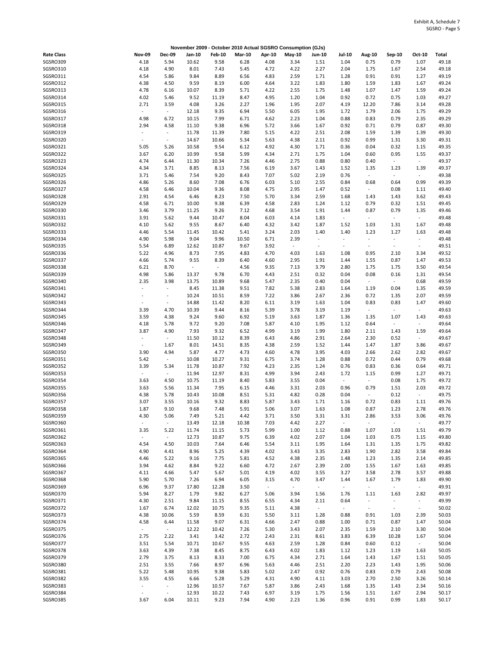| November 2009 - October 2010 Actual SGSRO Consumption (GJs) |                                         |                          |                |                          |               |              |                          |                          |                          |                                  |                          |                          |                |
|-------------------------------------------------------------|-----------------------------------------|--------------------------|----------------|--------------------------|---------------|--------------|--------------------------|--------------------------|--------------------------|----------------------------------|--------------------------|--------------------------|----------------|
| <b>Rate Class</b>                                           | <b>Nov-09</b>                           | <b>Dec-09</b>            | Jan-10         | <b>Feb-10</b>            | <b>Mar-10</b> | Apr-10       | May-10                   | Jun-10                   | <b>Jul-10</b>            | Aug-10                           | Sep-10                   | Oct-10                   | Total          |
| SGSRO309                                                    | 4.18                                    | 5.94                     | 10.62          | 9.58                     | 6.28          | 4.08         | 3.34                     | 1.51                     | 1.04                     | 0.75                             | 0.79                     | 1.07                     | 49.18          |
| SGSRO310                                                    | 4.18                                    | 4.90                     | 8.01           | 7.43                     | 5.45          | 4.72         | 4.22                     | 2.27                     | 2.04                     | 1.75                             | 1.67                     | 2.54                     | 49.18          |
| SGSRO311                                                    | 4.54                                    | 5.86                     | 9.84           | 8.89                     | 6.56          | 4.83         | 2.59                     | 1.71                     | 1.28                     | 0.91                             | 0.91                     | 1.27                     | 49.19          |
| SGSRO312                                                    | 4.38                                    | 4.50                     | 9.59           | 8.19                     | 6.00          | 4.64         | 3.22                     | 1.83                     | 1.80                     | 1.59                             | 1.83                     | 1.67                     | 49.24          |
| SGSRO313<br>SGSRO314                                        | 4.78<br>4.02                            | 6.16<br>5.46             | 10.07<br>9.52  | 8.39<br>11.19            | 5.71<br>8.47  | 4.22<br>4.95 | 2.55<br>1.20             | 1.75<br>1.04             | 1.48<br>0.92             | 1.07<br>0.72                     | 1.47<br>0.75             | 1.59<br>1.03             | 49.24<br>49.27 |
| SGSRO315                                                    | 2.71                                    | 3.59                     | 4.08           | 3.26                     | 2.27          | 1.96         | 1.95                     | 2.07                     | 4.19                     | 12.20                            | 7.86                     | 3.14                     | 49.28          |
| SGSRO316                                                    | $\blacksquare$                          | $\omega$                 | 12.18          | 9.35                     | 6.94          | 5.50         | 6.05                     | 1.95                     | 1.72                     | 1.79                             | 2.06                     | 1.75                     | 49.29          |
| SGSRO317                                                    | 4.98                                    | 6.72                     | 10.15          | 7.99                     | 6.71          | 4.62         | 2.23                     | 1.04                     | 0.88                     | 0.83                             | 0.79                     | 2.35                     | 49.29          |
| SGSRO318                                                    | 2.94                                    | 4.58                     | 11.10          | 9.38                     | 6.96          | 5.72         | 3.66                     | 1.67                     | 0.92                     | 0.71                             | 0.79                     | 0.87                     | 49.30          |
| SGSRO319                                                    | $\overline{\phantom{a}}$                | $\blacksquare$           | 11.78          | 11.39                    | 7.80          | 5.15         | 4.22                     | 2.51                     | 2.08                     | 1.59                             | 1.39                     | 1.39                     | 49.30          |
| SGSRO320                                                    | $\sim$                                  | $\overline{\phantom{a}}$ | 14.67          | 10.66                    | 5.34          | 5.63         | 4.38                     | 2.11                     | 0.92                     | 0.99                             | 1.31                     | 3.30                     | 49.31          |
| SGSRO321<br>SGSRO322                                        | 5.05                                    | 5.26                     | 10.58          | 9.54                     | 6.12<br>5.99  | 4.92         | 4.30                     | 1.71                     | 0.36                     | 0.04                             | 0.32                     | 1.15                     | 49.35<br>49.37 |
| SGSRO323                                                    | 3.67<br>4.74                            | 6.20<br>6.44             | 10.99<br>11.30 | 9.58<br>10.34            | 7.26          | 4.34<br>4.46 | 2.71<br>2.75             | 1.75<br>0.88             | 1.04<br>0.80             | 0.60<br>0.40                     | 0.95<br>$\sim$           | 1.55<br>$\sim$           | 49.37          |
| SGSRO324                                                    | 4.34                                    | 3.71                     | 8.85           | 8.13                     | 7.56          | 6.19         | 3.67                     | 1.43                     | 1.52                     | 1.35                             | 1.23                     | 1.39                     | 49.37          |
| SGSRO325                                                    | 3.71                                    | 5.46                     | 7.54           | 9.20                     | 8.43          | 7.07         | 5.02                     | 2.19                     | 0.76                     | $\overline{\phantom{a}}$         | $\blacksquare$           | $\sim$                   | 49.38          |
| SGSRO326                                                    | 4.86                                    | 5.26                     | 8.60           | 7.08                     | 6.76          | 6.03         | 5.10                     | 2.55                     | 0.84                     | 0.68                             | 0.64                     | 0.99                     | 49.39          |
| SGSRO327                                                    | 4.58                                    | 6.46                     | 10.04          | 9.36                     | 8.08          | 4.75         | 2.95                     | 1.47                     | 0.52                     | $\overline{\phantom{a}}$         | 0.08                     | 1.11                     | 49.40          |
| SGSRO328                                                    | 2.91                                    | 4.54                     | 6.46           | 8.23                     | 7.50          | 5.70         | 3.34                     | 2.59                     | 1.68                     | 1.43                             | 1.43                     | 3.62                     | 49.43          |
| SGSRO329                                                    | 4.58                                    | 6.71                     | 10.00          | 9.38                     | 6.39          | 4.58         | 2.83                     | 1.24                     | 1.12                     | 0.79                             | 0.32                     | 1.51                     | 49.45          |
| SGSRO330<br>SGSRO331                                        | 3.46<br>3.91                            | 3.79<br>5.62             | 11.25<br>9.44  | 9.26<br>10.47            | 7.12<br>8.04  | 4.68<br>6.03 | 3.54                     | 1.91<br>1.83             | 1.44<br>$\blacksquare$   | 0.87<br>$\overline{\phantom{a}}$ | 0.79<br>$\blacksquare$   | 1.35<br>$\omega$         | 49.46<br>49.48 |
| SGSRO332                                                    | 4.10                                    | 5.62                     | 9.55           | 8.67                     | 6.40          | 4.32         | 4.14<br>3.42             | 1.87                     | 1.52                     | 1.03                             | 1.31                     | 1.67                     | 49.48          |
| SGSRO333                                                    | 4.46                                    | 5.54                     | 11.45          | 10.42                    | 5.41          | 3.24         | 2.03                     | 1.40                     | 1.40                     | 1.23                             | 1.27                     | 1.63                     | 49.48          |
| SGSRO334                                                    | 4.90                                    | 5.98                     | 9.04           | 9.96                     | 10.50         | 6.71         | 2.39                     | $\overline{\phantom{a}}$ | $\overline{\phantom{a}}$ | $\sim$                           | $\overline{\phantom{a}}$ | $\overline{\phantom{a}}$ | 49.48          |
| SGSRO335                                                    | 5.54                                    | 6.89                     | 12.62          | 10.87                    | 9.67          | 3.92         | $\overline{\phantom{a}}$ | $\overline{\phantom{a}}$ | $\overline{\phantom{a}}$ | $\overline{\phantom{a}}$         | $\sim$                   | $\sim$                   | 49.51          |
| SGSRO336                                                    | 5.22                                    | 4.96                     | 8.73           | 7.95                     | 4.83          | 4.70         | 4.03                     | 1.63                     | 1.08                     | 0.95                             | 2.10                     | 3.34                     | 49.52          |
| SGSRO337                                                    | 4.66                                    | 5.74                     | 9.55           | 8.39                     | 6.40          | 4.60         | 2.95                     | 1.91                     | 1.44                     | 1.55                             | 0.87                     | 1.47                     | 49.53          |
| SGSRO338                                                    | 6.21                                    | 8.70                     | $\blacksquare$ | $\overline{\phantom{a}}$ | 4.56          | 9.35         | 7.13                     | 3.79                     | 2.80                     | 1.75                             | 1.75                     | 3.50                     | 49.54          |
| SGSRO339                                                    | 4.98                                    | 5.86                     | 13.37          | 9.78                     | 6.70          | 4.43         | 2.51                     | 0.32                     | 0.04                     | 0.08                             | 0.16<br>$\blacksquare$   | 1.31                     | 49.54          |
| SGSRO340<br>SGSRO341                                        | 2.35<br>$\sim$                          | 3.98<br>$\omega$         | 13.75<br>8.45  | 10.89<br>11.38           | 9.68<br>9.51  | 5.47<br>7.82 | 2.35<br>5.38             | 0.40<br>2.83             | 0.04<br>1.64             | $\overline{\phantom{a}}$<br>1.19 | 0.04                     | 0.68<br>1.35             | 49.59<br>49.59 |
| SGSRO342                                                    | $\overline{\phantom{a}}$                | $\overline{\phantom{a}}$ | 10.24          | 10.51                    | 8.59          | 7.22         | 3.86                     | 2.67                     | 2.36                     | 0.72                             | 1.35                     | 2.07                     | 49.59          |
| SGSRO343                                                    | $\sim$                                  | $\overline{\phantom{a}}$ | 14.88          | 11.42                    | 8.20          | 6.11         | 3.19                     | 1.63                     | 1.04                     | 0.83                             | 0.83                     | 1.47                     | 49.60          |
| SGSRO344                                                    | 3.39                                    | 4.70                     | 10.39          | 9.44                     | 8.16          | 5.39         | 3.78                     | 3.19                     | 1.19                     | $\overline{\phantom{a}}$         | $\sim$                   | $\blacksquare$           | 49.63          |
| SGSRO345                                                    | 3.59                                    | 4.38                     | 9.24           | 9.60                     | 6.92          | 5.19         | 3.63                     | 1.87                     | 1.36                     | 1.35                             | 1.07                     | 1.43                     | 49.63          |
| SGSRO346                                                    | 4.18                                    | 5.78                     | 9.72           | 9.20                     | 7.08          | 5.87         | 4.10                     | 1.95                     | 1.12                     | 0.64                             | $\omega$                 | $\blacksquare$           | 49.64          |
| SGSRO347                                                    | 3.87                                    | 4.90                     | 7.93           | 9.32                     | 6.52          | 4.99         | 3.19                     | 1.99                     | 1.80                     | 2.11                             | 1.43                     | 1.59                     | 49.64          |
| SGSRO348<br>SGSRO349                                        | $\overline{\phantom{a}}$<br>$\sim$      | $\blacksquare$<br>1.67   | 11.50<br>8.01  | 10.12                    | 8.39<br>8.35  | 6.43<br>4.38 | 4.86<br>2.59             | 2.91<br>1.52             | 2.64<br>1.44             | 2.30<br>1.47                     | 0.52<br>1.87             | $\sim$<br>3.86           | 49.67<br>49.67 |
| SGSRO350                                                    | 3.90                                    | 4.94                     | 5.87           | 14.51<br>4.77            | 4.73          | 4.60         | 4.78                     | 3.95                     | 4.03                     | 2.66                             | 2.62                     | 2.82                     | 49.67          |
| SGSRO351                                                    | 5.42                                    | $\omega$                 | 10.08          | 10.27                    | 9.31          | 6.75         | 3.74                     | 1.28                     | 0.88                     | 0.72                             | 0.44                     | 0.79                     | 49.68          |
| SGSRO352                                                    | 3.39                                    | 5.34                     | 11.78          | 10.87                    | 7.92          | 4.23         | 2.35                     | 1.24                     | 0.76                     | 0.83                             | 0.36                     | 0.64                     | 49.71          |
| SGSRO353                                                    | $\overline{\phantom{a}}$                | $\omega$                 | 11.94          | 12.97                    | 8.31          | 4.99         | 3.94                     | 2.43                     | 1.72                     | 1.15                             | 0.99                     | 1.27                     | 49.71          |
| SGSRO354                                                    | 3.63                                    | 4.50                     | 10.75          | 11.19                    | 8.40          | 5.83         | 3.55                     | 0.04                     | $\overline{\phantom{a}}$ | $\overline{\phantom{a}}$         | 0.08                     | 1.75                     | 49.72          |
| SGSRO355                                                    | 3.63                                    | 5.56                     | 11.34          | 7.95                     | 6.15          | 4.46         | 3.31                     | 2.03                     | 0.96                     | 0.79                             | 1.51                     | 2.03                     | 49.72          |
| SGSRO356<br>SGSRO357                                        | 4.38<br>3.07                            | 5.78<br>3.55             | 10.43<br>10.16 | 10.08<br>9.32            | 8.51<br>8.83  | 5.31<br>5.87 | 4.82<br>3.43             | 0.28<br>1.71             | 0.04<br>1.16             | $\overline{\phantom{a}}$<br>0.72 | 0.12<br>0.83             | $\sim$<br>1.11           | 49.75<br>49.76 |
| SGSRO358                                                    | 1.87                                    | 9.10                     | 9.68           | 7.48                     | 5.91          | 5.06         | 3.07                     | 1.63                     | 1.08                     | 0.87                             | 1.23                     | 2.78                     | 49.76          |
| SGSRO359                                                    | 4.30                                    | 5.06                     | 7.49           | 5.21                     | 4.42          | 3.71         | 3.50                     | 3.31                     | 3.31                     | 2.86                             | 3.53                     | 3.06                     | 49.76          |
| SGSRO360                                                    | $\centering \label{eq:reduced}$         | $\omega$                 | 13.49          | 12.18                    | 10.38         | 7.03         | 4.42                     | 2.27                     | $\blacksquare$           | $\overline{\phantom{a}}$         | $\blacksquare$           | $\omega$                 | 49.77          |
| SGSRO361                                                    | 3.35                                    | 5.22                     | 11.74          | 11.15                    | 5.73          | 5.99         | 1.00                     | 1.12                     | 0.88                     | 1.07                             | 1.03                     | 1.51                     | 49.79          |
| SGSRO362                                                    | $\blacksquare$                          | $\sim$                   | 12.73          | 10.87                    | 9.75          | 6.39         | 4.02                     | 2.07                     | 1.04                     | 1.03                             | 0.75                     | 1.15                     | 49.80          |
| SGSRO363                                                    | 4.54                                    | 4.50                     | 10.03          | 7.64                     | 6.46          | 5.54         | 3.11                     | 1.95                     | 1.64                     | 1.31                             | 1.35                     | 1.75                     | 49.82          |
| SGSRO364                                                    | 4.90                                    | 4.41                     | 8.96           | 5.25                     | 4.39          | 4.02         | 3.43                     | 3.35                     | 2.83                     | 1.90                             | 2.82                     | 3.58                     | 49.84          |
| SGSRO365<br>SGSRO366                                        | 4.46<br>3.94                            | 5.22<br>4.62             | 9.16<br>8.84   | 7.75<br>9.22             | 5.81<br>6.60  | 4.52<br>4.72 | 4.38<br>2.67             | 2.35<br>2.39             | 1.48<br>2.00             | 1.23<br>1.55                     | 1.35<br>1.67             | 2.14<br>1.63             | 49.85<br>49.85 |
| SGSRO367                                                    | 4.11                                    | 4.66                     | 5.47           | 5.67                     | 5.01          | 4.19         | 4.02                     | 3.55                     | 3.27                     | 3.58                             | 2.78                     | 3.57                     | 49.88          |
| SGSRO368                                                    | 5.90                                    | 5.70                     | 7.26           | 6.94                     | 6.05          | 3.15         | 4.70                     | 3.47                     | 1.44                     | 1.67                             | 1.79                     | 1.83                     | 49.90          |
| SGSRO369                                                    | 6.96                                    | 9.37                     | 17.80          | 12.28                    | 3.50          | $\sim$       | $\overline{\phantom{a}}$ | $\sim$                   | $\sim$                   | $\overline{\phantom{a}}$         | $\bullet$                | $\sim$                   | 49.91          |
| SGSRO370                                                    | 5.94                                    | 8.27                     | 1.79           | 9.82                     | 6.27          | 5.06         | 3.94                     | 1.56                     | 1.76                     | 1.11                             | 1.63                     | 2.82                     | 49.97          |
| SGSRO371                                                    | 4.30                                    | 2.51                     | 9.84           | 11.15                    | 8.55          | 6.55         | 4.34                     | 2.11                     | 0.64                     | $\overline{\phantom{a}}$         | $\blacksquare$           | $\blacksquare$           | 49.99          |
| SGSRO372                                                    | 1.67                                    | 6.74                     | 12.02          | 10.75                    | 9.35          | 5.11         | 4.38                     | $\blacksquare$           | $\blacksquare$           | $\overline{\phantom{a}}$         | $\sim$                   | $\sim$                   | 50.02          |
| SGSRO373                                                    | 4.38                                    | 10.06                    | 5.59           | 8.59                     | 6.31          | 5.50         | 3.11                     | 1.28                     | 0.88                     | 0.91                             | 1.03                     | 2.39                     | 50.03          |
| SGSRO374<br>SGSRO375                                        | 4.58<br>$\sim$                          | 6.44<br>$\sim$           | 11.58<br>12.22 | 9.07<br>10.42            | 6.31<br>7.26  | 4.66<br>5.30 | 2.47<br>3.43             | 0.88<br>2.07             | 1.00<br>2.35             | 0.71<br>1.59                     | 0.87<br>2.10             | 1.47<br>3.30             | 50.04<br>50.04 |
| SGSRO376                                                    | 2.75                                    | 2.22                     | 3.41           | 3.42                     | 2.72          | 2.43         | 2.31                     | 8.61                     | 3.83                     | 6.39                             | 10.28                    | 1.67                     | 50.04          |
| SGSRO377                                                    | 3.51                                    | 5.54                     | 10.71          | 10.67                    | 9.55          | 4.63         | 2.59                     | 1.28                     | 0.84                     | 0.60                             | 0.12                     | $\sim$                   | 50.04          |
| SGSRO378                                                    | 3.63                                    | 4.39                     | 7.38           | 8.45                     | 8.75          | 6.43         | 4.02                     | 1.83                     | 1.12                     | 1.23                             | 1.19                     | 1.63                     | 50.05          |
| SGSRO379                                                    | 2.79                                    | 3.75                     | 8.13           | 8.33                     | 7.00          | 6.75         | 4.34                     | 2.71                     | 1.64                     | 1.43                             | 1.67                     | 1.51                     | 50.05          |
| SGSRO380                                                    | 2.51                                    | 3.55                     | 7.66           | 8.97                     | 6.96          | 5.63         | 4.46                     | 2.51                     | 2.20                     | 2.23                             | 1.43                     | 1.95                     | 50.06          |
| SGSRO381                                                    | 5.22                                    | 5.48                     | 10.95          | 9.38                     | 5.83          | 5.02         | 2.47                     | 0.92                     | 0.76                     | 0.83                             | 0.79                     | 2.43                     | 50.08          |
| SGSRO382<br>SGSRO383                                        | 3.55<br>$\centering \label{eq:reduced}$ | 4.55<br>$\omega$         | 6.66           | 5.28                     | 5.29          | 4.31         | 4.90                     | 4.11                     | 3.03                     | 2.70                             | 2.50                     | 3.26                     | 50.14          |
| SGSRO384                                                    | $\overline{\phantom{a}}$                | $\overline{\phantom{a}}$ | 12.96<br>12.93 | 10.57<br>10.22           | 7.67<br>7.43  | 5.87<br>6.97 | 3.86<br>3.19             | 2.43<br>1.75             | 1.68<br>1.56             | 1.35<br>1.51                     | 1.43<br>1.67             | 2.34<br>2.94             | 50.16<br>50.17 |
| SGSRO385                                                    | 3.67                                    | 6.04                     | 10.11          | 9.23                     | 7.94          | 4.90         | 2.23                     | 1.36                     | 0.96                     | 0.91                             | 0.99                     | 1.83                     | 50.17          |
|                                                             |                                         |                          |                |                          |               |              |                          |                          |                          |                                  |                          |                          |                |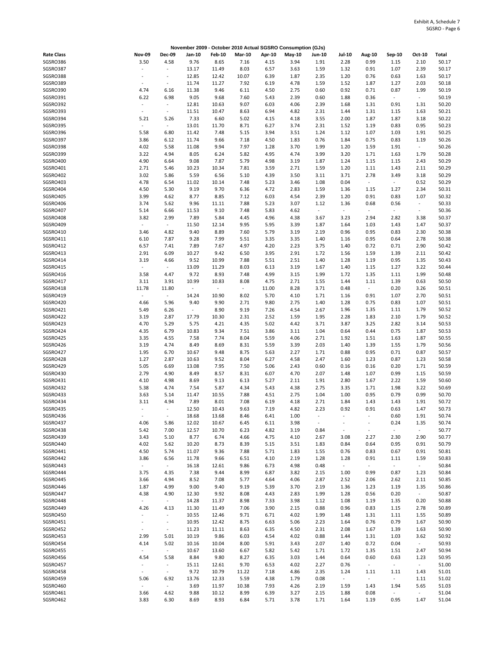| November 2009 - October 2010 Actual SGSRO Consumption (GJs) |                                           |                                            |                          |                |                  |               |              |                          |                          |                                  |                          |                        |                |
|-------------------------------------------------------------|-------------------------------------------|--------------------------------------------|--------------------------|----------------|------------------|---------------|--------------|--------------------------|--------------------------|----------------------------------|--------------------------|------------------------|----------------|
| <b>Rate Class</b>                                           | <b>Nov-09</b>                             | <b>Dec-09</b>                              | Jan-10                   | <b>Feb-10</b>  | <b>Mar-10</b>    | Apr-10        | May-10       | Jun-10                   | <b>Jul-10</b>            | Aug-10                           | Sep-10                   | Oct-10                 | Total          |
| SGSRO386                                                    | 3.50                                      | 4.58                                       | 9.76                     | 8.65           | 7.16             | 4.15          | 3.94         | 1.91                     | 2.28                     | 0.99                             | 1.15                     | 2.10                   | 50.17          |
| SGSRO387                                                    |                                           | $\overline{\phantom{a}}$                   | 13.17                    | 11.49          | 8.03             | 6.57          | 3.63         | 1.59                     | 1.32                     | 0.91                             | 1.07                     | 2.39                   | 50.17          |
| SGSRO388                                                    |                                           | $\overline{\phantom{a}}$                   | 12.85                    | 12.42          | 10.07            | 6.39          | 1.87         | 2.35                     | 1.20                     | 0.76                             | 0.63                     | 1.63                   | 50.17          |
| SGSRO389                                                    | $\sim$                                    | $\overline{\phantom{a}}$                   | 11.74                    | 11.27          | 7.92             | 6.19          | 4.78         | 1.59                     | 1.52                     | 1.87                             | 1.27                     | 2.03                   | 50.18          |
| SGSRO390<br>SGSRO391                                        | 4.74<br>6.22                              | 6.16<br>6.98                               | 11.38<br>9.05            | 9.46<br>9.68   | 6.11<br>7.60     | 4.50<br>5.43  | 2.75<br>2.39 | 0.60<br>0.60             | 0.92<br>1.88             | 0.71<br>0.36                     | 0.87<br>$\omega$         | 1.99<br>$\omega$       | 50.19<br>50.19 |
| SGSRO392                                                    | $\overline{\phantom{a}}$                  | $\blacksquare$                             | 12.81                    | 10.63          | 9.07             | 6.03          | 4.06         | 2.39                     | 1.68                     | 1.31                             | 0.91                     | 1.31                   | 50.20          |
| SGSRO393                                                    | $\sim$                                    | $\blacksquare$                             | 11.51                    | 10.47          | 8.63             | 6.94          | 4.82         | 2.31                     | 1.44                     | 1.31                             | 1.15                     | 1.63                   | 50.21          |
| SGSRO394                                                    | 5.21                                      | 5.26                                       | 7.33                     | 6.60           | 5.02             | 4.15          | 4.18         | 3.55                     | 2.00                     | 1.87                             | 1.87                     | 3.18                   | 50.22          |
| SGSRO395                                                    | $\overline{\phantom{a}}$                  | $\overline{\phantom{a}}$                   | 13.01                    | 11.70          | 8.71             | 6.27          | 3.74         | 2.31                     | 1.52                     | 1.19                             | 0.83                     | 0.95                   | 50.23          |
| SGSRO396                                                    | 5.58                                      | 6.80                                       | 11.42                    | 7.48           | 5.15             | 3.94          | 3.51         | 1.24                     | 1.12                     | 1.07                             | 1.03                     | 1.91                   | 50.25          |
| SGSRO397                                                    | 3.86                                      | 6.12                                       | 11.74                    | 9.66           | 7.18             | 4.50          | 1.83         | 0.76                     | 1.84                     | 0.75                             | 0.83                     | 1.19                   | 50.26          |
| SGSRO398<br>SGSRO399                                        | 4.02<br>3.22                              | 5.58                                       | 11.08                    | 9.94           | 7.97             | 1.28          | 3.70         | 1.99                     | 1.20                     | 1.59                             | 1.91                     | $\sim$                 | 50.26<br>50.28 |
| SGSRO400                                                    | 4.90                                      | 4.94<br>6.64                               | 8.05<br>9.08             | 6.24<br>7.87   | 5.82<br>5.79     | 4.95<br>4.98  | 4.74<br>3.19 | 3.99<br>1.87             | 3.20<br>1.24             | 1.71<br>1.15                     | 1.63<br>1.15             | 1.79<br>2.43           | 50.29          |
| SGSRO401                                                    | 2.71                                      | 5.46                                       | 10.23                    | 10.34          | 7.81             | 3.59          | 2.71         | 1.59                     | 1.20                     | 1.11                             | 1.43                     | 2.11                   | 50.29          |
| SGSRO402                                                    | 3.02                                      | 5.86                                       | 5.59                     | 6.56           | 5.10             | 4.39          | 3.50         | 3.11                     | 3.71                     | 2.78                             | 3.49                     | 3.18                   | 50.29          |
| SGSRO403                                                    | 4.78                                      | 6.54                                       | 11.02                    | 10.14          | 7.48             | 5.23          | 3.46         | 1.08                     | 0.04                     | $\overline{\phantom{a}}$         | $\sim$                   | 0.52                   | 50.29          |
| SGSRO404                                                    | 4.50                                      | 5.30                                       | 9.19                     | 9.70           | 6.36             | 4.72          | 2.83         | 1.59                     | 1.36                     | 1.15                             | 1.27                     | 2.34                   | 50.31          |
| SGSRO405                                                    | 3.99                                      | 4.62                                       | 8.77                     | 8.85           | 7.12             | 6.03          | 4.54         | 2.39                     | 1.20                     | 0.91                             | 0.83                     | 1.07                   | 50.32          |
| SGSRO406                                                    | 3.74                                      | 5.62                                       | 9.96                     | 11.11          | 7.88             | 5.23          | 3.07         | 1.12                     | 1.36                     | 0.68                             | 0.56                     | $\sim$                 | 50.33          |
| SGSRO407<br>SGSRO408                                        | 5.14<br>3.82                              | 6.66<br>2.99                               | 11.53<br>7.89            | 9.10<br>5.84   | 7.48<br>4.45     | 5.83<br>4.96  | 4.62<br>4.38 | $\Box$<br>3.67           | $\Box$<br>3.23           | $\overline{\phantom{a}}$<br>2.94 | $\sim$<br>2.82           | $\blacksquare$<br>3.38 | 50.36<br>50.37 |
| SGSRO409                                                    | $\overline{\phantom{a}}$                  | $\omega_{\rm c}$                           | 11.50                    | 12.14          | 9.95             | 5.95          | 3.39         | 1.87                     | 1.64                     | 1.03                             | 1.43                     | 1.47                   | 50.37          |
| SGSRO410                                                    | 3.46                                      | 4.82                                       | 9.40                     | 8.89           | 7.60             | 5.79          | 3.19         | 2.19                     | 0.96                     | 0.95                             | 0.83                     | 2.30                   | 50.38          |
| SGSRO411                                                    | 6.10                                      | 7.87                                       | 9.28                     | 7.99           | 5.51             | 3.35          | 3.35         | 1.40                     | 1.16                     | 0.95                             | 0.64                     | 2.78                   | 50.38          |
| SGSRO412                                                    | 6.57                                      | 7.41                                       | 7.89                     | 7.67           | 4.97             | 4.20          | 2.23         | 3.75                     | 1.40                     | 0.72                             | 0.71                     | 2.90                   | 50.42          |
| SGSRO413                                                    | 2.91                                      | 6.09                                       | 10.27                    | 9.42           | 6.50             | 3.95          | 2.91         | 1.72                     | 1.56                     | 1.59                             | 1.39                     | 2.11                   | 50.42          |
| SGSRO414                                                    | 3.19                                      | 4.66                                       | 9.52                     | 10.99          | 7.88             | 5.51          | 2.51         | 1.40                     | 1.28                     | 1.19                             | 0.95                     | 1.35                   | 50.43          |
| SGSRO415                                                    | $\blacksquare$                            | $\overline{\phantom{a}}$                   | 13.09                    | 11.29          | 8.03             | 6.13          | 3.19         | 1.67                     | 1.40                     | 1.15                             | 1.27                     | 3.22                   | 50.44          |
| SGSRO416                                                    | 3.58                                      | 4.47                                       | 9.72                     | 8.93           | 7.48             | 4.99          | 3.15         | 1.99                     | 1.72                     | 1.35                             | 1.11                     | 1.99                   | 50.48          |
| SGSRO417<br>SGSRO418                                        | 3.11<br>11.78                             | 3.91<br>11.80                              | 10.99<br>$\omega$        | 10.83<br>÷,    | 8.08<br>$\omega$ | 4.75<br>11.00 | 2.71<br>8.28 | 1.55<br>3.71             | 1.44<br>0.48             | 1.11<br>$\blacksquare$           | 1.39<br>0.20             | 0.63<br>3.26           | 50.50<br>50.51 |
| SGSRO419                                                    | $\overline{\phantom{a}}$                  | $\omega$                                   | 14.24                    | 10.90          | 8.02             | 5.70          | 4.10         | 1.71                     | 1.16                     | 0.91                             | 1.07                     | 2.70                   | 50.51          |
| SGSRO420                                                    | 4.66                                      | 5.96                                       | 9.40                     | 9.90           | 2.71             | 9.80          | 2.75         | 1.40                     | 1.28                     | 0.75                             | 0.83                     | 1.07                   | 50.51          |
| SGSRO421                                                    | 5.49                                      | 6.26                                       | $\overline{\phantom{a}}$ | 8.90           | 9.19             | 7.26          | 4.54         | 2.67                     | 1.96                     | 1.35                             | 1.11                     | 1.79                   | 50.52          |
| SGSRO422                                                    | 3.19                                      | 2.87                                       | 17.79                    | 10.30          | 2.31             | 2.52          | 1.59         | 1.95                     | 2.28                     | 1.83                             | 2.10                     | 1.79                   | 50.52          |
| SGSRO423                                                    | 4.70                                      | 5.29                                       | 5.75                     | 4.21           | 4.35             | 5.02          | 4.42         | 3.71                     | 3.87                     | 3.25                             | 2.82                     | 3.14                   | 50.53          |
| SGSRO424                                                    | 4.35                                      | 6.79                                       | 10.83                    | 9.34           | 7.51             | 3.86          | 3.11         | 1.04                     | 0.64                     | 0.44                             | 0.75                     | 1.87                   | 50.53          |
| SGSRO425<br>SGSRO426                                        | 3.35<br>3.19                              | 4.55<br>4.74                               | 7.58<br>8.49             | 7.74<br>8.69   | 8.04<br>8.31     | 5.59<br>5.59  | 4.06<br>3.39 | 2.71<br>2.03             | 1.92<br>1.40             | 1.51<br>1.39                     | 1.63<br>1.55             | 1.87<br>1.79           | 50.55<br>50.56 |
| SGSRO427                                                    | 1.95                                      | 6.70                                       | 10.67                    | 9.48           | 8.75             | 5.63          | 2.27         | 1.71                     | 0.88                     | 0.95                             | 0.71                     | 0.87                   | 50.57          |
| SGSRO428                                                    | 1.27                                      | 2.87                                       | 10.63                    | 9.52           | 8.04             | 6.27          | 4.58         | 2.47                     | 1.60                     | 1.23                             | 0.87                     | 1.23                   | 50.58          |
| SGSRO429                                                    | 5.05                                      | 6.69                                       | 13.08                    | 7.95           | 7.50             | 5.06          | 2.43         | 0.60                     | 0.16                     | 0.16                             | 0.20                     | 1.71                   | 50.59          |
| SGSRO430                                                    | 2.79                                      | 4.90                                       | 8.49                     | 8.57           | 8.31             | 6.07          | 4.70         | 2.07                     | 1.48                     | 1.07                             | 0.99                     | 1.15                   | 50.59          |
| SGSRO431                                                    | 4.10                                      | 4.98                                       | 8.69                     | 9.13           | 6.13             | 5.27          | 2.11         | 1.91                     | 2.80                     | 1.67                             | 2.22                     | 1.59                   | 50.60          |
| SGSRO432                                                    | 5.38                                      | 4.74                                       | 7.54                     | 5.87           | 4.34             | 5.43          | 4.38         | 2.75                     | 3.35                     | 1.71                             | 1.98                     | 3.22                   | 50.69          |
| SGSRO433<br>SGSRO434                                        | 3.63                                      | 5.14<br>4.94                               | 11.47                    | 10.55<br>8.01  | 7.88             | 4.51          | 2.75         | 1.04                     | 1.00                     | 0.95                             | 0.79                     | 0.99                   | 50.70<br>50.72 |
| SGSRO435                                                    | 3.11                                      |                                            | 7.89<br>12.50            | 10.43          | 7.08<br>9.63     | 6.19<br>7.19  | 4.18<br>4.82 | 2.71<br>2.23             | 1.84<br>0.92             | 1.43<br>0.91                     | 1.43<br>0.63             | 1.91<br>1.47           | 50.73          |
| SGSRO436                                                    | $\overline{\phantom{a}}$                  | $\overline{\phantom{a}}$                   | 18.68                    | 13.68          | 8.46             | 6.41          | 1.00         | $\overline{\phantom{a}}$ | $\overline{\phantom{a}}$ | $\overline{a}$                   | 0.60                     | 1.91                   | 50.74          |
| SGSRO437                                                    | 4.06                                      | 5.86                                       | 12.02                    | 10.67          | 6.45             | 6.11          | 3.98         | $\overline{\phantom{a}}$ | $\sim$                   | $\overline{\phantom{a}}$         | 0.24                     | 1.35                   | 50.74          |
| SGSRO438                                                    | 5.42                                      | 7.00                                       | 12.57                    | 10.70          | 6.23             | 4.82          | 3.19         | 0.84                     | $\overline{\phantom{a}}$ | $\sim$                           | $\sim$                   | $\sim$                 | 50.77          |
| SGSRO439                                                    | 3.43                                      | 5.10                                       | 8.77                     | 6.74           | 4.66             | 4.75          | 4.10         | 2.67                     | 3.08                     | 2.27                             | 2.30                     | 2.90                   | 50.77          |
| SGSRO440                                                    | 4.02                                      | 5.62                                       | 10.20                    | 8.73           | 8.39             | 5.15          | 3.51         | 1.83                     | 0.84                     | 0.64                             | 0.95                     | 0.91                   | 50.79          |
| SGSRO441                                                    | 4.50                                      | 5.74                                       | 11.07                    | 9.36           | 7.88             | 5.71          | 1.83         | 1.55                     | 0.76                     | 0.83                             | 0.67                     | 0.91                   | 50.81          |
| SGSRO442<br>SGSRO443                                        | 3.86<br>$\omega$                          | 6.56<br>$\sim$                             | 11.78<br>16.18           | 9.66<br>12.61  | 6.51<br>9.86     | 4.10<br>6.73  | 2.19<br>4.98 | 1.28<br>0.48             | 1.28<br>$\omega_{\rm c}$ | 0.91<br>$\blacksquare$           | 1.11<br>$\omega_{\rm c}$ | 1.59<br>$\sim$         | 50.83<br>50.84 |
| SGSRO444                                                    | 3.75                                      | 4.35                                       | 7.38                     | 9.44           | 8.99             | 6.87          | 3.82         | 2.15                     | 1.00                     | 0.99                             | 0.87                     | 1.23                   | 50.84          |
| SGSRO445                                                    | 3.66                                      | 4.94                                       | 8.52                     | 7.08           | 5.77             | 4.64          | 4.06         | 2.87                     | 2.52                     | 2.06                             | 2.62                     | 2.11                   | 50.85          |
| SGSRO446                                                    | 1.87                                      | 4.99                                       | 9.00                     | 9.40           | 9.19             | 5.39          | 3.70         | 2.19                     | 1.36                     | 1.23                             | 1.19                     | 1.35                   | 50.86          |
| SGSRO447                                                    | 4.38                                      | 4.90                                       | 12.30                    | 9.92           | 8.08             | 4.43          | 2.83         | 1.99                     | 1.28                     | 0.56                             | 0.20                     | $\sim$                 | 50.87          |
| SGSRO448                                                    | $\sim$                                    | $\omega_{\rm c}$                           | 14.28                    | 11.37          | 8.98             | 7.33          | 3.98         | 1.12                     | 1.08                     | 1.19                             | 1.35                     | 0.20                   | 50.88          |
| SGSRO449                                                    | 4.26                                      | 4.13                                       | 11.30                    | 11.49          | 7.06             | 3.90          | 2.15         | 0.88                     | 0.96                     | 0.83                             | 1.15                     | 2.78                   | 50.89          |
| SGSRO450                                                    |                                           | $\blacksquare$                             | 10.55                    | 12.46          | 9.71             | 6.71          | 4.02         | 1.99                     | 1.48                     | 1.31                             | 1.11                     | 1.55                   | 50.89          |
| SGSRO451<br>SGSRO452                                        | $\sim$<br>$\centering \label{eq:reduced}$ | $\blacksquare$<br>$\overline{\phantom{a}}$ | 10.95<br>11.23           | 12.42<br>11.11 | 8.75<br>8.63     | 6.63<br>6.35  | 5.06<br>4.50 | 2.23<br>2.31             | 1.64<br>2.08             | 0.76<br>1.67                     | 0.79<br>1.39             | 1.67<br>1.63           | 50.90<br>50.90 |
| SGSRO453                                                    | 2.99                                      | 5.01                                       | 10.19                    | 9.86           | 6.03             | 4.54          | 4.02         | 0.88                     | 1.44                     | 1.31                             | 1.03                     | 3.62                   | 50.92          |
| SGSRO454                                                    | 4.14                                      | 5.02                                       | 10.16                    | 10.04          | 8.00             | 5.91          | 3.43         | 2.07                     | 1.40                     | 0.72                             | 0.04                     | $\sim$                 | 50.93          |
| SGSRO455                                                    | $\overline{\phantom{a}}$                  | $\sim$                                     | 10.67                    | 13.60          | 6.67             | 5.82          | 5.42         | 1.71                     | 1.72                     | 1.35                             | 1.51                     | 2.47                   | 50.94          |
| SGSRO456                                                    | 4.54                                      | 5.58                                       | 8.84                     | 9.80           | 8.27             | 6.35          | 3.03         | 1.44                     | 0.64                     | 0.60                             | 0.63                     | 1.23                   | 50.95          |
| SGSRO457                                                    |                                           | $\blacksquare$                             | 15.11                    | 12.61          | 9.70             | 6.53          | 4.02         | 2.27                     | 0.76                     | $\overline{\phantom{a}}$         | $\sim$                   | $\sim$                 | 51.00          |
| SGSRO458                                                    | $\sim$                                    | $\overline{\phantom{a}}$                   | 9.72                     | 10.79          | 11.22            | 7.18          | 4.86         | 2.35                     | 1.24                     | 1.11                             | 1.11                     | 1.43                   | 51.01          |
| SGSRO459                                                    | 5.06                                      | 6.92                                       | 13.76                    | 12.33          | 5.59             | 4.38          | 1.79         | 0.08                     | $\sim$                   | $\overline{\phantom{a}}$         | $\omega_{\rm c}$         | 1.11                   | 51.02          |
| SGSRO460<br>SGSRO461                                        | 3.66                                      | $\omega$<br>4.62                           | 3.69<br>9.88             | 11.97<br>10.12 | 10.38<br>8.99    | 7.93<br>6.39  | 4.26<br>3.27 | 2.19<br>2.15             | 1.59<br>1.88             | 1.43<br>0.08                     | 1.94<br>$\sim$           | 5.65<br>$\sim$         | 51.03<br>51.04 |
| SGSRO462                                                    | 3.83                                      | 6.30                                       | 8.69                     | 8.93           | 6.84             | 5.71          | 3.78         | 1.71                     | 1.64                     | 1.19                             | 0.95                     | 1.47                   | 51.04          |
|                                                             |                                           |                                            |                          |                |                  |               |              |                          |                          |                                  |                          |                        |                |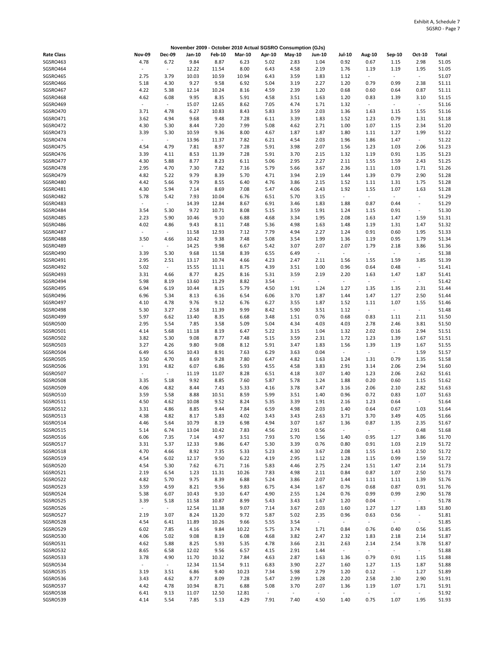|                   |                          |                          | November 2009 - October 2010 Actual SGSRO Consumption (GJs) |               |               |                          |                          |                          |                          |                          |                  |                          |                |
|-------------------|--------------------------|--------------------------|-------------------------------------------------------------|---------------|---------------|--------------------------|--------------------------|--------------------------|--------------------------|--------------------------|------------------|--------------------------|----------------|
| <b>Rate Class</b> | <b>Nov-09</b>            | <b>Dec-09</b>            | Jan-10                                                      | <b>Feb-10</b> | <b>Mar-10</b> | Apr-10                   | $May-10$                 | Jun-10                   | <b>Jul-10</b>            | Aug-10                   | Sep-10           | Oct-10                   | Total          |
| SGSRO463          | 4.78                     | 6.72                     | 9.84                                                        | 8.87          | 6.23          | 5.02                     | 2.83                     | 1.04                     | 0.92                     | 0.67                     | 1.15             | 2.98                     | 51.05          |
| SGSRO464          |                          | $\overline{\phantom{a}}$ | 12.22                                                       | 11.54         | 8.00          | 6.43                     | 4.58                     | 2.19                     | 1.76                     | 1.19                     | 1.19             | 1.95                     | 51.05          |
| SGSRO465          | 2.75                     | 3.79                     | 10.03                                                       | 10.59         | 10.94         | 6.43                     | 3.59                     | 1.83                     | 1.12                     | $\overline{\phantom{a}}$ | $\blacksquare$   | $\sim$                   | 51.07          |
| SGSRO466          | 5.18                     | 4.30                     | 9.27                                                        | 9.58          | 6.92          | 5.04                     | 3.19                     | 2.27                     | 1.20                     | 0.79                     | 0.99             | 2.38                     | 51.11          |
| SGSRO467          | 4.22                     | 5.38                     | 12.14                                                       | 10.24         | 8.16          | 4.59                     | 2.39                     | 1.20                     | 0.68                     | 0.60                     | 0.64             | 0.87                     | 51.11          |
| SGSRO468          | 4.62                     | 6.08                     | 9.95                                                        | 8.35          | 5.91          | 4.58                     | 3.51                     | 1.63                     | 1.20                     | 0.83                     | 1.39             | 3.10                     | 51.15          |
| SGSRO469          |                          | $\sim$                   | 15.07                                                       | 12.65         | 8.62          | 7.05                     | 4.74                     | 1.71                     | 1.32                     | $\overline{\phantom{a}}$ | $\blacksquare$   | $\sim$                   | 51.16          |
| SGSRO470          | 3.71                     | 4.78                     | 6.27                                                        | 10.83         | 8.43          | 5.83                     | 3.59                     | 2.03                     | 1.36                     | 1.63                     | 1.15             | 1.55                     | 51.16          |
|                   |                          |                          |                                                             |               |               |                          |                          |                          |                          |                          |                  |                          |                |
| SGSRO471          | 3.62                     | 4.94                     | 9.68                                                        | 9.48          | 7.28          | 6.11                     | 3.39                     | 1.83                     | 1.52                     | 1.23                     | 0.79             | 1.31                     | 51.18          |
| SGSRO472          | 4.30                     | 5.30                     | 8.44                                                        | 7.20          | 7.99          | 5.08                     | 4.62                     | 2.71                     | 1.00                     | 1.07                     | 1.15             | 2.34                     | 51.20          |
| SGSRO473          | 3.39                     | 5.30                     | 10.59                                                       | 9.36          | 8.00          | 4.67                     | 1.87                     | 1.87                     | 1.80                     | 1.11                     | 1.27             | 1.99                     | 51.22          |
| SGSRO474          | $\overline{\phantom{a}}$ | $\sim$                   | 13.96                                                       | 11.37         | 7.82          | 6.21                     | 4.54                     | 2.03                     | 1.96                     | 1.86                     | 1.47             | $\sim$                   | 51.22          |
| SGSRO475          | 4.54                     | 4.79                     | 7.81                                                        | 8.97          | 7.28          | 5.91                     | 3.98                     | 2.07                     | 1.56                     | 1.23                     | 1.03             | 2.06                     | 51.23          |
| SGSRO476          | 3.39                     | 4.11                     | 8.53                                                        | 11.39         | 7.28          | 5.91                     | 3.70                     | 2.15                     | 1.32                     | 1.19                     | 0.91             | 1.35                     | 51.23          |
| SGSRO477          | 4.30                     | 5.88                     | 8.77                                                        | 8.23          | 6.11          | 5.06                     | 2.95                     | 2.27                     | 2.11                     | 1.55                     | 1.59             | 2.43                     | 51.25          |
| SGSRO478          | 2.95                     | 4.70                     | 7.30                                                        | 7.82          | 7.16          | 5.79                     | 5.66                     | 3.67                     | 2.36                     | 1.11                     | 1.03             | 1.71                     | 51.26          |
| SGSRO479          | 4.82                     | 5.22                     | 9.79                                                        | 8.39          | 5.70          | 4.71                     | 3.94                     | 2.19                     | 1.44                     | 1.39                     | 0.79             | 2.90                     | 51.28          |
| SGSRO480          | 4.42                     | 5.66                     | 9.79                                                        | 8.55          | 6.40          | 4.76                     | 3.86                     | 2.15                     | 1.52                     | 1.11                     | 1.31             | 1.75                     | 51.28          |
| SGSRO481          | 4.30                     | 5.94                     | 7.14                                                        | 8.69          | 7.08          | 5.47                     | 4.06                     | 2.43                     | 1.92                     | 1.55                     | 1.07             | 1.63                     | 51.28          |
| SGSRO482          | 5.78                     | 5.42                     | 7.93                                                        | 10.04         | 6.76          | 6.51                     | 5.70                     | 3.15                     | $\omega$                 | $\overline{\phantom{a}}$ | $\blacksquare$   | $\overline{\phantom{a}}$ | 51.29          |
| SGSRO483          | $\sim$                   | $\sim$                   |                                                             | 12.84         |               | 6.91                     |                          |                          |                          | 0.87                     |                  | $\sim$                   | 51.29          |
|                   |                          |                          | 14.39                                                       |               | 8.67          |                          | 3.46                     | 1.83                     | 1.88                     |                          | 0.44             |                          |                |
| SGSRO484          | 3.54                     | 5.30                     | 9.72                                                        | 10.71         | 8.08          | 5.15                     | 3.59                     | 1.91                     | 1.24                     | 1.15                     | 0.91             | $\sim$                   | 51.30          |
| SGSRO485          | 2.23                     | 5.90                     | 10.46                                                       | 9.10          | 6.88          | 4.68                     | 3.34                     | 1.95                     | 2.08                     | 1.63                     | 1.47             | 1.59                     | 51.31          |
| SGSRO486          | 4.02                     | 4.86                     | 9.43                                                        | 8.11          | 7.48          | 5.36                     | 4.98                     | 1.63                     | 1.48                     | 1.19                     | 1.31             | 1.47                     | 51.32          |
| SGSRO487          |                          | $\sim$                   | 11.58                                                       | 12.93         | 7.12          | 7.79                     | 4.94                     | 2.27                     | 1.24                     | 0.91                     | 0.60             | 1.95                     | 51.33          |
| SGSRO488          | 3.50                     | 4.66                     | 10.42                                                       | 9.38          | 7.48          | 5.08                     | 3.54                     | 1.99                     | 1.36                     | 1.19                     | 0.95             | 1.79                     | 51.34          |
| SGSRO489          | $\sim$                   | $\sim$                   | 14.25                                                       | 9.98          | 6.67          | 5.42                     | 3.07                     | 2.07                     | 2.07                     | 1.79                     | 2.18             | 3.86                     | 51.36          |
| SGSRO490          | 3.39                     | 5.30                     | 9.68                                                        | 11.58         | 8.39          | 6.55                     | 6.49                     | $\overline{\phantom{a}}$ | $\sim$                   | $\overline{\phantom{a}}$ | $\blacksquare$   | $\sim$                   | 51.38          |
| SGSRO491          | 2.95                     | 2.51                     | 13.17                                                       | 10.74         | 4.66          | 4.23                     | 2.47                     | 2.11                     | 1.56                     | 1.55                     | 1.59             | 3.85                     | 51.39          |
| SGSRO492          | 5.02                     | $\sim$                   | 15.55                                                       | 11.11         | 8.75          | 4.39                     | 3.51                     | 1.00                     | 0.96                     | 0.64                     | 0.48             | $\sim$                   | 51.41          |
| SGSRO493          | 3.31                     | 4.66                     | 8.77                                                        | 8.25          | 8.16          | 5.31                     | 3.59                     | 2.19                     | 2.20                     | 1.63                     | 1.47             | 1.87                     | 51.41          |
| SGSRO494          | 5.98                     | 8.19                     | 13.60                                                       | 11.29         | 8.82          | 3.54                     | $\overline{\phantom{a}}$ | $\overline{\phantom{a}}$ | $\overline{\phantom{a}}$ | $\overline{\phantom{a}}$ | $\blacksquare$   | $\omega$                 | 51.42          |
|                   | 6.94                     |                          |                                                             |               | 5.79          |                          |                          |                          |                          |                          |                  |                          | 51.44          |
| SGSRO495          |                          | 6.19                     | 10.44                                                       | 8.15          |               | 4.50                     | 1.91                     | 1.24                     | 1.27                     | 1.35                     | 1.35             | 2.31                     |                |
| SGSRO496          | 6.96                     | 5.34                     | 8.13                                                        | 6.16          | 6.54          | 6.06                     | 3.70                     | 1.87                     | 1.44                     | 1.47                     | 1.27             | 2.50                     | 51.44          |
| SGSRO497          | 4.10                     | 4.78                     | 9.76                                                        | 9.12          | 6.76          | 6.27                     | 3.55                     | 1.87                     | 1.52                     | 1.11                     | 1.07             | 1.55                     | 51.46          |
| SGSRO498          | 5.30                     | 3.27                     | 2.58                                                        | 11.39         | 9.99          | 8.42                     | 5.90                     | 3.51                     | 1.12                     | $\omega$                 | $\blacksquare$   | $\sim$                   | 51.48          |
| SGSRO499          | 5.97                     | 6.62                     | 13.40                                                       | 8.35          | 6.68          | 3.48                     | 1.51                     | 0.76                     | 0.68                     | 0.83                     | 1.11             | 2.11                     | 51.50          |
| SGSRO500          | 2.95                     | 5.54                     | 7.85                                                        | 3.58          | 5.09          | 5.04                     | 4.34                     | 4.03                     | 4.03                     | 2.78                     | 2.46             | 3.81                     | 51.50          |
| SGSRO501          | 4.14                     | 5.68                     | 11.18                                                       | 8.19          | 6.47          | 5.22                     | 3.15                     | 1.04                     | 1.32                     | 2.02                     | 0.16             | 2.94                     | 51.51          |
| SGSRO502          | 3.82                     | 5.30                     | 9.08                                                        | 8.77          | 7.48          | 5.15                     | 3.59                     | 2.31                     | 1.72                     | 1.23                     | 1.39             | 1.67                     | 51.51          |
| SGSRO503          | 3.27                     | 4.26                     | 9.80                                                        | 9.08          | 8.12          | 5.91                     | 3.47                     | 1.83                     | 1.56                     | 1.39                     | 1.19             | 1.67                     | 51.55          |
| SGSRO504          | 6.49                     | 6.56                     | 10.43                                                       | 8.91          | 7.63          | 6.29                     | 3.63                     | 0.04                     | $\sim$                   | $\overline{\phantom{a}}$ | $\omega_{\rm c}$ | 1.59                     | 51.57          |
| SGSRO505          | 3.50                     | 4.70                     | 8.69                                                        | 9.28          | 7.80          | 6.47                     | 4.82                     | 1.63                     | 1.24                     | 1.31                     | 0.79             | 1.35                     | 51.58          |
| SGSRO506          | 3.91                     | 4.82                     | 6.07                                                        | 6.86          | 5.93          | 4.55                     | 4.58                     | 3.83                     | 2.91                     | 3.14                     | 2.06             | 2.94                     | 51.60          |
| SGSRO507          | $\overline{\phantom{a}}$ | $\omega$                 | 11.19                                                       | 11.07         | 8.28          | 6.51                     | 4.18                     | 3.07                     | 1.40                     | 1.23                     | 2.06             | 2.62                     | 51.61          |
|                   |                          |                          |                                                             |               |               |                          |                          |                          |                          |                          |                  |                          |                |
| SGSRO508          | 3.35                     | 5.18                     | 9.92                                                        | 8.85          | 7.60          | 5.87                     | 5.78                     | 1.24                     | 1.88                     | 0.20                     | 0.60             | 1.15                     | 51.62          |
| SGSRO509          | 4.06                     | 4.82                     | 8.44                                                        | 7.43          | 5.33          | 4.16                     | 3.78                     | 3.47                     | 3.16                     | 2.06                     | 2.10             | 2.82                     | 51.63          |
| SGSRO510          | 3.59                     | 5.58                     | 8.88                                                        | 10.51         | 8.59          | 5.99                     | 3.51                     | 1.40                     | 0.96                     | 0.72                     | 0.83             | 1.07                     | 51.63          |
| SGSRO511          | 4.50                     | 4.62                     | 10.08                                                       | 9.52          | 8.24          | 5.35                     | 3.39                     | 1.91                     | 2.16                     | 1.23                     | 0.64             | $\sim$                   | 51.64          |
| SGSRO512          | 3.31                     | 4.86                     | 8.85                                                        | 9.44          | 7.84          | 6.59                     | 4.98                     | 2.03                     | 1.40                     | 0.64                     | 0.67             | 1.03                     | 51.64          |
| SGSRO513          | 4.38                     | 4.82                     | 8.17                                                        | 5.83          | 4.02          | 3.43                     | 3.43                     | 2.63                     | 3.71                     | 3.70                     | 3.49             | 4.05                     | 51.66          |
| SGSRO514          | 4.46                     | 5.64                     | 10.79                                                       | 8.19          | 6.98          | 4.94                     | 3.07                     | 1.67                     | 1.36                     | 0.87                     | 1.35             | 2.35                     | 51.67          |
| SGSRO515          | 5.14                     | 6.74                     | 13.04                                                       | 10.42         | 7.83          | 4.56                     | 2.91                     | 0.56                     | $\sim$                   | $\sim$                   | $\sim$           | 0.48                     | 51.68          |
| SGSRO516          | 6.06                     | 7.35                     | 7.14                                                        | 4.97          | 3.51          | 7.93                     | 5.70                     | 1.56                     | 1.40                     | 0.95                     | 1.27             | 3.86                     | 51.70          |
| SGSRO517          | 3.31                     | 5.37                     | 12.33                                                       | 9.86          | 6.47          | 5.30                     | 3.39                     | 0.76                     | 0.80                     | 0.91                     | 1.03             | 2.19                     | 51.72          |
| SGSRO518          | 4.70                     | 4.66                     | 8.92                                                        | 7.35          | 5.33          | 5.23                     | 4.30                     | 3.67                     | 2.08                     | 1.55                     | 1.43             | 2.50                     | 51.72          |
| SGSRO519          | 4.54                     | 6.02                     |                                                             | 9.50          | 6.22          | 4.19                     |                          | 1.12                     | 1.28                     |                          | 0.99             |                          | 51.72          |
|                   |                          |                          | 12.17                                                       |               |               |                          | 2.95                     |                          |                          | 1.15                     |                  | 1.59                     |                |
| SGSRO520          | 4.54                     | 5.30                     | 7.62                                                        | 6.71          | 7.16          | 5.83                     | 4.46                     | 2.75                     | 2.24                     | 1.51                     | 1.47             | 2.14                     | 51.73          |
| SGSRO521          | 2.19                     | 6.54                     | 1.23                                                        | 11.31         | 10.26         | 7.83                     | 4.98                     | 2.11                     | 0.84                     | 0.87                     | 1.07             | 2.50                     | 51.73          |
| SGSRO522          | 4.82                     | 5.70                     | 9.75                                                        | 8.39          | 6.88          | 5.24                     | 3.86                     | 2.07                     | 1.44                     | 1.11                     | 1.11             | 1.39                     | 51.76          |
| SGSRO523          | 3.59                     | 4.59                     | 8.21                                                        | 9.56          | 9.83          | 6.75                     | 4.34                     | 1.67                     | 0.76                     | 0.68                     | 0.87             | 0.91                     | 51.76          |
| SGSRO524          | 5.38                     | 6.07                     | 10.43                                                       | 9.10          | 6.47          | 4.90                     | 2.55                     | 1.24                     | 0.76                     | 0.99                     | 0.99             | 2.90                     | 51.78          |
| SGSRO525          | 3.39                     | 5.18                     | 11.58                                                       | 10.87         | 8.99          | 5.43                     | 3.43                     | 1.67                     | 1.20                     | 0.04                     | $\omega_{\rm c}$ | $\sim$                   | 51.78          |
| SGSRO526          | $\overline{\phantom{a}}$ | $\sim$                   | 12.54                                                       | 11.38         | 9.07          | 7.14                     | 3.67                     | 2.03                     | 1.60                     | 1.27                     | 1.27             | 1.83                     | 51.80          |
| SGSRO527          | 2.19                     | 3.07                     | 8.24                                                        | 13.20         | 9.72          | 5.87                     | 5.02                     | 2.35                     | 0.96                     | 0.63                     | 0.56             | $\sim$                   | 51.81          |
| SGSRO528          | 4.54                     | 6.41                     | 11.89                                                       | 10.26         | 9.66          | 5.55                     | 3.54                     | $\blacksquare$           | $\overline{\phantom{a}}$ | $\overline{\phantom{a}}$ | $\sim$           | $\blacksquare$           | 51.85          |
| SGSRO529          | 6.02                     | 7.85                     | 4.16                                                        | 9.84          | 10.22         | 5.75                     | 3.74                     | 1.71                     | 0.84                     | 0.76                     | 0.40             | 0.56                     | 51.85          |
| SGSRO530          | 4.06                     | 5.02                     | 9.08                                                        | 8.19          | 6.08          | 4.68                     | 3.82                     | 2.47                     | 2.32                     | 1.83                     | 2.18             | 2.14                     | 51.87          |
| SGSRO531          | 4.62                     | 5.88                     | 8.25                                                        |               | 5.35          | 4.78                     |                          | 2.31                     | 2.63                     |                          |                  | 3.78                     |                |
|                   |                          |                          |                                                             | 5.93          |               |                          | 3.66                     |                          | $\sim$                   | 2.14                     | 2.54             |                          | 51.87<br>51.88 |
| SGSRO532          | 8.65                     | 6.58                     | 12.02                                                       | 9.56          | 6.57          | 4.15                     | 2.91                     | 1.44                     |                          | $\overline{\phantom{a}}$ | $\blacksquare$   | $\sim$                   |                |
| SGSRO533          | 3.78                     | 4.90                     | 11.70                                                       | 10.32         | 7.84          | 4.63                     | 2.87                     | 1.63                     | 1.36                     | 0.79                     | 0.91             | 1.15                     | 51.88          |
| SGSRO534          | $\overline{\phantom{a}}$ | $\sim$                   | 12.34                                                       | 11.54         | 9.11          | 6.83                     | 3.90                     | 2.27                     | 1.60                     | 1.27                     | 1.15             | 1.87                     | 51.88          |
| SGSRO535          | 3.19                     | 3.51                     | 6.86                                                        | 9.40          | 10.23         | 7.34                     | 5.98                     | 2.79                     | 1.20                     | 0.12                     | $\sim$           | 1.27                     | 51.89          |
| SGSRO536          | 3.43                     | 4.62                     | 8.77                                                        | 8.09          | 7.28          | 5.47                     | 2.99                     | 1.28                     | 2.20                     | 2.58                     | 2.30             | 2.90                     | 51.91          |
| SGSRO537          | 4.42                     | 4.78                     | 10.94                                                       | 8.71          | 6.88          | 5.08                     | 3.70                     | 2.07                     | 1.36                     | 1.19                     | 1.07             | 1.71                     | 51.91          |
| SGSRO538          | 6.41                     | 9.13                     | 11.07                                                       | 12.50         | 12.81         | $\overline{\phantom{a}}$ | $\omega$                 | $\overline{\phantom{a}}$ | $\blacksquare$           | $\sim$                   | $\omega$ .       | $\omega$ .               | 51.92          |
| SGSRO539          | 4.14                     | 5.54                     | 7.85                                                        | 5.13          | 4.29          | 7.91                     | 7.40                     | 4.50                     | 1.40                     | 0.75                     | 1.07             | 1.95                     | 51.93          |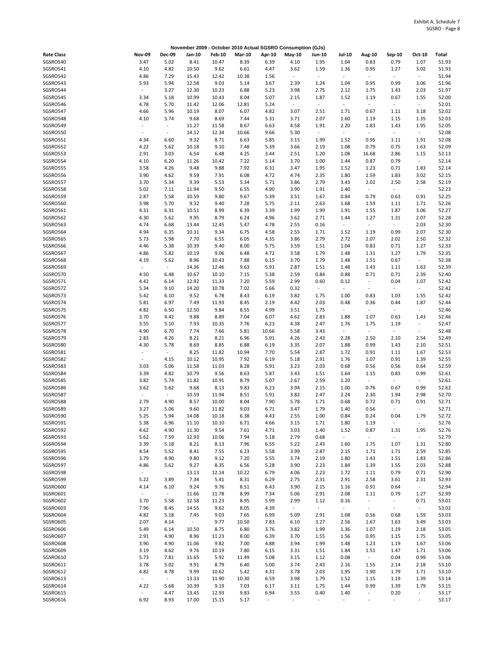|                   |                          |                          |                          |               | November 2009 - October 2010 Actual SGSRO Consumption (GJs) |                          |                          |                          |                          |                          |                          |                          |       |
|-------------------|--------------------------|--------------------------|--------------------------|---------------|-------------------------------------------------------------|--------------------------|--------------------------|--------------------------|--------------------------|--------------------------|--------------------------|--------------------------|-------|
| <b>Rate Class</b> | <b>Nov-09</b>            | <b>Dec-09</b>            | Jan-10                   | <b>Feb-10</b> | Mar-10                                                      | Apr-10                   | $May-10$                 | Jun-10                   | <b>Jul-10</b>            | Aug-10                   | Sep-10                   | Oct-10                   | Total |
| SGSRO540          | 3.47                     | 5.02                     | 8.41                     | 10.47         | 8.39                                                        | 6.39                     | 4.10                     | 1.95                     | 1.04                     | 0.83                     | 0.79                     | 1.07                     | 51.93 |
| SGSRO541          | 4.10                     | 4.82                     | 10.50                    | 9.62          | 6.61                                                        | 4.47                     | 3.62                     | 1.59                     | 1.36                     | 0.95                     | 1.27                     | 3.02                     | 51.93 |
| SGSRO542          | 4.86                     | 7.29                     | 15.43                    | 12.42         | 10.38                                                       | 1.56                     | $\overline{\phantom{a}}$ | $\overline{\phantom{a}}$ | $\overline{\phantom{a}}$ | $\sim$                   | $\blacksquare$           | $\sim$                   | 51.94 |
| SGSRO543          | 5.93                     | 5.94                     | 12.58                    | 9.03          | 5.14                                                        | 3.67                     | 2.39                     | 1.24                     | 1.04                     | 0.95                     | 0.99                     | 3.06                     | 51.96 |
| SGSRO544          | $\overline{\phantom{a}}$ | 3.27                     | 12.30                    | 10.23         | 6.88                                                        | 5.23                     | 3.98                     | 2.75                     | 2.12                     | 1.75                     | 1.43                     | 2.03                     | 51.97 |
| SGSRO545          | 3.34                     | 5.18                     | 10.99                    | 10.43         | 8.04                                                        | 5.07                     | 2.15                     | 1.87                     | 1.52                     | 1.19                     | 0.67                     | 1.55                     | 52.00 |
|                   |                          |                          |                          |               |                                                             |                          |                          |                          |                          |                          |                          |                          |       |
| SGSRO546          | 4.78                     | 5.70                     | 11.42                    | 12.06         | 12.81                                                       | 5.24                     | $\sim$                   | $\overline{\phantom{a}}$ | $\overline{\phantom{a}}$ | $\overline{\phantom{a}}$ | $\blacksquare$           | $\sim$                   | 52.01 |
| SGSRO547          | 4.66                     | 5.96                     | 10.19                    | 8.07          | 6.07                                                        | 4.82                     | 3.07                     | 2.51                     | 1.71                     | 0.67                     | 1.11                     | 3.18                     | 52.02 |
| SGSRO548          | 4.10                     | 5.74                     | 9.68                     | 8.69          | 7.44                                                        | 5.31                     | 3.71                     | 2.07                     | 1.60                     | 1.19                     | 1.15                     | 1.35                     | 52.03 |
| SGSRO549          | $\overline{\phantom{a}}$ | $\sim$                   | 11.27                    | 11.58         | 8.67                                                        | 6.63                     | 4.58                     | 1.91                     | 2.20                     | 1.83                     | 1.43                     | 1.95                     | 52.05 |
| SGSRO550          | $\sim$                   | $\blacksquare$           | 14.12                    | 12.34         | 10.66                                                       | 9.66                     | 5.30                     | $\blacksquare$           | $\overline{\phantom{a}}$ | $\sim$                   | $\sim$                   | $\sim$                   | 52.08 |
| SGSRO551          | 4.34                     | 6.60                     | 9.32                     | 8.71          | 6.63                                                        | 5.85                     | 3.15                     | 1.99                     | 1.52                     | 0.95                     | 1.11                     | 1.91                     | 52.08 |
| SGSRO552          | 4.22                     | 5.62                     | 10.18                    | 9.10          | 7.48                                                        | 5.39                     | 3.66                     | 2.19                     | 1.08                     | 0.79                     | 0.75                     | 1.63                     | 52.09 |
| SGSRO553          | 2.91                     | 3.03                     | 6.54                     | 6.48          | 4.25                                                        | 3.44                     | 2.51                     | 1.20                     | 1.08                     | 16.68                    | 2.86                     | 1.15                     | 52.13 |
| SGSRO554          | 4.10                     | 6.20                     | 11.26                    | 10.42         | 7.22                                                        | 5.14                     | 3.70                     | 1.00                     | 1.44                     | 0.87                     | 0.79                     | $\sim$                   | 52.14 |
| SGSRO555          | 3.58                     | 4.26                     | 9.48                     | 9.88          | 7.92                                                        | 6.31                     | 3.47                     | 1.95                     | 1.52                     | 1.23                     | 0.71                     | 1.83                     | 52.14 |
| SGSRO556          | 3.90                     | 4.62                     | 9.59                     | 7.91          | 6.08                                                        | 4.72                     | 4.74                     | 2.35                     | 1.80                     | 1.59                     | 1.83                     | 3.02                     | 52.15 |
| SGSRO557          | 3.70                     | 5.34                     | 9.39                     | 5.53          | 5.34                                                        | 5.71                     | 3.86                     | 2.79                     | 3.43                     | 2.02                     | 2.50                     | 2.58                     | 52.19 |
|                   |                          |                          |                          |               |                                                             |                          |                          |                          |                          | $\overline{\phantom{a}}$ | $\blacksquare$           | $\sim$                   | 52.23 |
| SGSRO558          | 5.02                     | 7.11                     | 11.94                    | 9.50          | 6.55                                                        | 4.90                     | 3.90                     | 1.91                     | 1.40                     |                          |                          |                          |       |
| SGSRO559          | 2.87                     | 5.58                     | 10.59                    | 9.80          | 9.67                                                        | 5.39                     | 3.51                     | 1.67                     | 0.84                     | 0.79                     | 0.63                     | 0.91                     | 52.25 |
| SGSRO560          | 3.98                     | 5.70                     | 9.32                     | 9.40          | 7.28                                                        | 5.75                     | 2.11                     | 2.63                     | 1.68                     | 1.59                     | 1.11                     | 1.71                     | 52.26 |
| SGSRO561          | 4.31                     | 6.31                     | 10.51                    | 8.99          | 6.39                                                        | 3.39                     | 1.99                     | 1.99                     | 1.91                     | 1.55                     | 1.87                     | 3.06                     | 52.27 |
| SGSRO562          | 4.30                     | 5.62                     | 9.95                     | 8.79          | 6.24                                                        | 4.96                     | 3.62                     | 2.71                     | 1.44                     | 1.27                     | 1.31                     | 2.07                     | 52.28 |
| SGSRO563          | 4.74                     | 6.68                     | 13.44                    | 12.45         | 5.47                                                        | 4.78                     | 2.55                     | 0.16                     | $\Box$                   | $\overline{\phantom{a}}$ | $\omega$                 | 2.03                     | 52.30 |
| SGSRO564          | 4.94                     | 6.35                     | 10.31                    | 9.34          | 6.75                                                        | 4.58                     | 2.55                     | 1.71                     | 1.52                     | 1.19                     | 0.99                     | 2.07                     | 52.30 |
| SGSRO565          | 5.73                     | 5.98                     | 7.70                     | 6.55          | 6.05                                                        | 4.35                     | 3.86                     | 2.79                     | 2.72                     | 2.07                     | 2.02                     | 2.50                     | 52.32 |
| SGSRO566          | 4.46                     | 5.38                     | 10.39                    | 9.40          | 8.00                                                        | 5.75                     | 3.59                     | 1.51                     | 1.04                     | 0.83                     | 0.71                     | 1.27                     | 52.33 |
| SGSRO567          | 4.86                     | 5.82                     | 10.19                    | 9.06          | 6.48                                                        | 4.72                     | 3.58                     | 1.79                     | 1.48                     | 1.31                     | 1.27                     | 1.79                     | 52.35 |
| SGSRO568          | 4.19                     | 5.62                     | 8.96                     | 10.43         | 7.88                                                        | 6.15                     | 3.70                     | 1.79                     | 1.48                     | 1.51                     | 0.67                     | $\sim$                   | 52.38 |
| SGSRO569          | $\blacksquare$           | $\overline{\phantom{a}}$ | 14.36                    | 12.46         | 9.63                                                        | 5.91                     | 2.87                     | 1.51                     | 1.48                     | 1.43                     | 1.11                     | 1.63                     | 52.39 |
| SGSRO570          | 4.50                     | 6.48                     | 10.67                    | 10.10         | 7.15                                                        | 5.38                     | 2.59                     | 0.84                     | 0.88                     | 0.71                     | 0.71                     | 2.39                     | 52.40 |
|                   |                          |                          |                          |               |                                                             |                          |                          |                          |                          |                          |                          |                          |       |
| SGSRO571          | 4.42                     | 6.14                     | 12.92                    | 11.33         | 7.20                                                        | 5.59                     | 2.99                     | 0.60                     | 0.12                     | $\overline{\phantom{a}}$ | 0.04                     | 1.07                     | 52.42 |
| SGSRO572          | 5.34                     | 9.10                     | 14.20                    | 10.78         | 7.02                                                        | 5.66                     | 0.32                     | $\blacksquare$           | $\blacksquare$           | $\overline{\phantom{a}}$ | $\sim$                   | $\sim$                   | 52.42 |
| SGSRO573          | 5.42                     | 6.10                     | 9.52                     | 6.78          | 8.43                                                        | 6.19                     | 3.82                     | 1.75                     | 1.00                     | 0.83                     | 1.03                     | 1.55                     | 52.42 |
| SGSRO574          | 5.81                     | 6.97                     | 7.49                     | 11.93         | 8.45                                                        | 2.19                     | 4.42                     | 2.03                     | 0.48                     | 0.36                     | 0.44                     | 1.87                     | 52.44 |
| SGSRO575          | 4.82                     | 6.50                     | 12.50                    | 9.84          | 8.55                                                        | 4.99                     | 3.51                     | 1.75                     | $\overline{\phantom{a}}$ | $\overline{\phantom{a}}$ | $\sim$                   | $\omega$                 | 52.46 |
| SGSRO576          | 3.70                     | 4.42                     | 9.88                     | 8.89          | 7.04                                                        | 6.07                     | 4.62                     | 2.83                     | 1.88                     | 1.07                     | 0.63                     | 1.43                     | 52.46 |
| SGSRO577          | 3.55                     | 5.10                     | 7.93                     | 10.35         | 7.76                                                        | 6.23                     | 4.38                     | 2.47                     | 1.76                     | 1.75                     | 1.19                     | $\blacksquare$           | 52.47 |
| SGSRO578          | 4.90                     | 6.70                     | 7.74                     | 7.66          | 5.81                                                        | 10.66                    | 5.58                     | 3.43                     | $\overline{\phantom{a}}$ | $\sim$                   | $\sim$                   | $\sim$                   | 52.48 |
| SGSRO579          | 2.83                     | 4.26                     | 8.21                     | 8.21          | 6.96                                                        | 5.91                     | 4.26                     | 2.43                     | 2.28                     | 2.50                     | 2.10                     | 2.54                     | 52.49 |
| SGSRO580          | 4.30                     | 5.78                     | 8.69                     | 8.85          | 6.88                                                        | 6.19                     | 3.35                     | 2.07                     | 1.88                     | 0.99                     | 1.43                     | 2.10                     | 52.51 |
| SGSRO581          | $\overline{\phantom{a}}$ | $\blacksquare$           | 8.25                     | 11.82         | 10.94                                                       | 7.70                     | 5.54                     | 2.87                     | 1.72                     | 0.91                     | 1.11                     | 1.67                     | 52.53 |
| SGSRO582          | $\sim$                   | 4.15                     | 10.12                    | 10.95         | 7.92                                                        | 6.19                     | 5.18                     | 2.91                     | 1.76                     | 1.07                     | 0.91                     | 1.39                     | 52.55 |
|                   |                          |                          |                          |               |                                                             |                          |                          |                          |                          |                          |                          |                          |       |
| SGSRO583          | 3.03                     | 5.06                     | 11.58                    | 11.03         | 8.28                                                        | 5.91                     | 3.23                     | 2.03                     | 0.68                     | 0.56                     | 0.56                     | 0.64                     | 52.59 |
| SGSRO584          | 3.39                     | 4.82                     | 10.79                    | 9.56          | 8.63                                                        | 5.87                     | 3.43                     | 1.51                     | 1.64                     | 1.15                     | 0.83                     | 0.99                     | 52.61 |
| SGSRO585          | 3.82                     | 5.74                     | 11.82                    | 10.91         | 8.79                                                        | 5.07                     | 2.67                     | 2.59                     | 1.20                     | $\overline{\phantom{a}}$ | $\overline{\phantom{a}}$ | $\sim$                   | 52.61 |
| SGSRO586          | 3.62                     | 5.62                     | 9.68                     | 8.13          | 9.83                                                        | 6.23                     | 3.94                     | 2.15                     | 1.00                     | 0.76                     | 0.67                     | 0.99                     | 52.62 |
| SGSRO587          |                          | $\overline{\phantom{a}}$ | 10.59                    | 11.94         | 8.51                                                        | 5.91                     | 3.82                     | 2.47                     | 2.24                     | 2.30                     | 1.94                     | 2.98                     | 52.70 |
| SGSRO588          | 2.79                     | 4.90                     | 8.57                     | 10.00         | 8.04                                                        | 7.90                     | 5.78                     | 1.71                     | 0.68                     | 0.72                     | 0.71                     | 0.91                     | 52.71 |
| SGSRO589          | 3.27                     | 5.06                     | 9.60                     | 11.82         | 9.03                                                        | 6.71                     | 3.47                     | 1.79                     | 1.40                     | 0.56                     | $\overline{\phantom{a}}$ | $\blacksquare$           | 52.71 |
| SGSRO590          | 5.25                     | 5.94                     | 14.08                    | 10.18         | 6.38                                                        | 4.43                     | 2.55                     | 1.00                     | 0.84                     | 0.24                     | 0.04                     | 1.79                     | 52.72 |
| SGSRO591          | 5.38                     | 6.96                     | 11.10                    | 10.10         | 6.71                                                        | 4.66                     | 3.15                     | 1.71                     | 1.80                     | 1.19                     | $\blacksquare$           | $\sim$                   | 52.76 |
| SGSRO592          | 4.62                     | 4.90                     | 11.30                    | 9.54          | 7.61                                                        | 4.71                     | 3.03                     | 1.40                     | 1.52                     | 0.87                     | 1.31                     | 1.95                     | 52.76 |
| SGSRO593          | 5.62                     | 7.59                     | 12.93                    | 10.06         | 7.94                                                        | 5.18                     | 2.79                     | 0.68                     | $\sim$                   | $\sim$                   | $\blacksquare$           | $\omega$                 | 52.79 |
| SGSRO594          | 3.39                     | 5.18                     | 8.21                     | 8.13          | 7.96                                                        | 6.55                     | 5.22                     | 2.43                     | 1.60                     | 1.75                     | 1.07                     | 1.31                     | 52.80 |
| SGSRO595          | 4.54                     | 5.52                     | 8.41                     | 7.55          | 6.23                                                        | 5.58                     | 3.99                     | 2.87                     | 2.15                     |                          | 1.71                     | 2.59                     | 52.85 |
| SGSRO596          | 3.79                     |                          |                          |               | 7.20                                                        |                          |                          |                          |                          | 1.71                     |                          |                          | 52.86 |
|                   |                          | 4.90                     | 9.80                     | 9.12          |                                                             | 5.55                     | 3.74                     | 2.19                     | 1.80                     | 1.43                     | 1.51                     | 1.83                     |       |
| SGSRO597          | 4.86                     | 5.62                     | 9.27                     | 8.35          | 6.56                                                        | 5.28                     | 3.90                     | 2.23                     | 1.84                     | 1.39                     | 1.55                     | 2.03                     | 52.88 |
| SGSRO598          | $\blacksquare$           | $\omega$                 | 13.13                    | 12.14         | 10.22                                                       | 6.79                     | 4.06                     | 2.23                     | 1.72                     | 1.11                     | 0.79                     | 0.71                     | 52.90 |
| SGSRO599          | 5.22                     | 3.89                     | 7.34                     | 5.41          | 8.31                                                        | 6.29                     | 2.75                     | 2.31                     | 2.91                     | 2.58                     | 3.61                     | 2.31                     | 52.93 |
| SGSRO600          | 4.14                     | 6.10                     | 9.24                     | 9.76          | 8.51                                                        | 6.43                     | 3.90                     | 2.15                     | 1.16                     | 0.91                     | 0.64                     | $\omega_{\rm c}$         | 52.94 |
| SGSRO601          | $\overline{\phantom{a}}$ | $\sim$                   | 11.66                    | 11.78         | 8.99                                                        | 7.34                     | 5.06                     | 2.91                     | 2.08                     | 1.11                     | 0.79                     | 1.27                     | 52.99 |
| SGSRO602          | 3.70                     | 5.58                     | 12.58                    | 11.23         | 8.95                                                        | 5.99                     | 2.99                     | 1.12                     | 0.16                     | $\overline{\phantom{a}}$ | $\bullet$                | 0.71                     | 53.01 |
| SGSRO603          | 7.96                     | 8.45                     | 14.55                    | 9.62          | 8.05                                                        | 4.39                     | $\sim$                   | $\omega$                 | $\blacksquare$           | $\sim$                   | $\overline{\phantom{a}}$ | $\sim$                   | 53.02 |
| SGSRO604          | 4.82                     | 5.18                     | 7.45                     | 9.03          | 7.65                                                        | 6.99                     | 5.09                     | 2.91                     | 1.08                     | 0.56                     | 0.68                     | 1.59                     | 53.03 |
| SGSRO605          | 2.07                     | 4.14                     | $\overline{\phantom{a}}$ | 9.77          | 10.50                                                       | 7.83                     | 6.10                     | 3.27                     | 2.56                     | 1.67                     | 1.63                     | 3.49                     | 53.03 |
| SGSRO606          | 5.49                     | 6.14                     | 10.50                    | 8.75          | 6.80                                                        | 3.76                     | 3.82                     | 1.99                     | 1.36                     | 1.07                     | 1.19                     | 2.18                     | 53.05 |
| SGSRO607          | 2.91                     | 4.90                     | 8.96                     |               | 8.00                                                        | 6.39                     | 3.70                     | 1.55                     | 1.56                     |                          | 1.15                     | 1.75                     | 53.05 |
|                   |                          |                          |                          | 11.23         |                                                             |                          |                          |                          |                          | 0.95                     |                          |                          |       |
| SGSRO608          | 3.90                     | 4.90                     | 11.06                    | 9.82          | 7.00                                                        | 4.88                     | 3.94                     | 1.99                     | 1.48                     | 1.23                     | 1.19                     | 1.67                     | 53.06 |
| SGSRO609          | 3.19                     | 4.62                     | 9.76                     | 10.19         | 7.80                                                        | 6.15                     | 3.31                     | 1.51                     | 1.84                     | 1.51                     | 1.47                     | 1.71                     | 53.06 |
| SGSRO610          | 5.73                     | 7.81                     | 11.65                    | 5.92          | 11.49                                                       | 5.08                     | 3.15                     | 1.12                     | 0.08                     | $\sim$                   | 0.04                     | 0.99                     | 53.06 |
| SGSRO611          | 3.78                     | 5.02                     | 9.91                     | 8.79          | 6.40                                                        | 5.00                     | 3.74                     | 2.43                     | 2.16                     | 1.55                     | 2.14                     | 2.18                     | 53.10 |
| SGSRO612          | 4.82                     | 4.78                     | 9.99                     | 10.62         | 5.42                                                        | 4.31                     | 3.78                     | 2.03                     | 1.95                     | 1.90                     | 1.79                     | 1.71                     | 53.10 |
| SGSRO613          | $\Box$                   | $\omega$                 | 13.33                    | 11.90         | 10.30                                                       | 6.59                     | 3.98                     | 1.79                     | 1.52                     | 1.15                     | 1.19                     | 1.39                     | 53.14 |
| SGSRO614          | 4.22                     | 5.68                     | 10.39                    | 9.19          | 7.03                                                        | 6.17                     | 3.11                     | 1.75                     | 1.44                     | 0.99                     | 1.39                     | 1.79                     | 53.15 |
| SGSRO615          | $\overline{\phantom{a}}$ | 4.47                     | 13.45                    | 12.93         | 9.83                                                        | 6.94                     | 3.55                     | 0.40                     | 1.40                     | $\overline{\phantom{a}}$ | 0.20                     | $\omega$                 | 53.17 |
| SGSRO616          | 6.92                     | 8.93                     | 17.00                    | 15.15         | 5.17                                                        | $\overline{\phantom{a}}$ | $\blacksquare$           | $\blacksquare$           | $\blacksquare$           | $\overline{\phantom{a}}$ | $\sim$                   | $\overline{\phantom{a}}$ | 53.17 |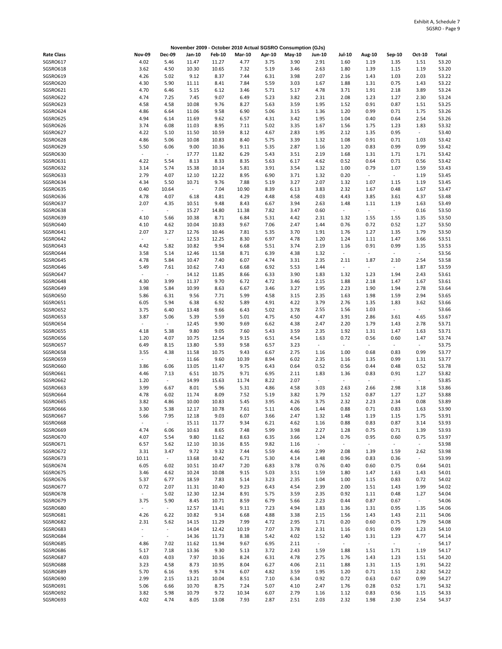|                      |                                                      |                |                |                | November 2009 - October 2010 Actual SGSRO Consumption (GJs) |              |              |                                  |                                  |                                  |                                  |                |                |
|----------------------|------------------------------------------------------|----------------|----------------|----------------|-------------------------------------------------------------|--------------|--------------|----------------------------------|----------------------------------|----------------------------------|----------------------------------|----------------|----------------|
| <b>Rate Class</b>    | <b>Nov-09</b>                                        | <b>Dec-09</b>  | Jan-10         | <b>Feb-10</b>  | <b>Mar-10</b>                                               | Apr-10       | May-10       | Jun-10                           | <b>Jul-10</b>                    | Aug-10                           | Sep-10                           | Oct-10         | Total          |
| SGSRO617             | 4.02                                                 | 5.46           | 11.47          | 11.27          | 4.77                                                        | 3.75         | 3.90         | 2.91                             | 1.60                             | 1.19                             | 1.35                             | 1.51           | 53.20          |
| SGSRO618             | 3.62                                                 | 4.50           | 10.30          | 10.65          | 7.32                                                        | 5.19         | 3.46         | 2.63                             | 1.80                             | 1.39                             | 1.15                             | 1.19           | 53.20          |
| SGSRO619             | 4.26                                                 | 5.02           | 9.12           | 8.37           | 7.44                                                        | 6.31         | 3.98         | 2.07                             | 2.16                             | 1.43                             | 1.03                             | 2.03           | 53.22          |
| SGSRO620<br>SGSRO621 | 4.30<br>4.70                                         | 5.90<br>6.46   | 11.11<br>5.15  | 8.41<br>6.12   | 7.84<br>3.46                                                | 5.59<br>5.71 | 3.03<br>5.17 | 1.67<br>4.78                     | 1.88<br>3.71                     | 1.31<br>1.91                     | 0.75<br>2.18                     | 1.43<br>3.89   | 53.22<br>53.24 |
| SGSRO622             | 4.74                                                 | 7.25           | 7.45           | 9.07           | 6.49                                                        | 5.23         | 3.82         | 2.31                             | 2.08                             | 1.23                             | 1.27                             | 2.30           | 53.24          |
| SGSRO623             | 4.58                                                 | 4.58           | 10.08          | 9.76           | 8.27                                                        | 5.63         | 3.59         | 1.95                             | 1.52                             | 0.91                             | 0.87                             | 1.51           | 53.25          |
| SGSRO624             | 4.86                                                 | 6.64           | 11.06          | 9.58           | 6.90                                                        | 5.06         | 3.15         | 1.36                             | 1.20                             | 0.99                             | 0.71                             | 1.75           | 53.26          |
| SGSRO625             | 4.94                                                 | 6.14           | 11.69          | 9.62           | 6.57                                                        | 4.31         | 3.42         | 1.95                             | 1.04                             | 0.40                             | 0.64                             | 2.54           | 53.26          |
| SGSRO626             | 3.74                                                 | 6.08           | 11.03          | 8.95           | 7.11                                                        | 5.02         | 3.35         | 1.67                             | 1.56                             | 1.75                             | 1.23                             | 1.83           | 53.32          |
| SGSRO627             | 4.22                                                 | 5.10           | 11.50          | 10.59          | 8.12                                                        | 4.67         | 2.83         | 1.95                             | 2.12                             | 1.35                             | 0.95                             | $\sim$         | 53.40          |
| SGSRO628             | 4.86                                                 | 5.06           | 10.08          | 10.83          | 8.40                                                        | 5.75         | 3.39         | 1.32                             | 1.08                             | 0.91                             | 0.71                             | 1.03           | 53.42          |
| SGSRO629<br>SGSRO630 | 5.50<br>$\sim$                                       | 6.06<br>$\sim$ | 9.00           | 10.36          | 9.11<br>6.29                                                | 5.35         | 2.87         | 1.16                             | 1.20                             | 0.83                             | 0.99                             | 0.99           | 53.42          |
| SGSRO631             | 4.22                                                 | 5.54           | 17.77<br>8.13  | 11.82<br>8.33  | 8.35                                                        | 5.43<br>5.63 | 3.51<br>6.17 | 2.19<br>4.62                     | 1.68<br>0.52                     | 1.31<br>0.64                     | 1.71<br>0.71                     | 1.71<br>0.56   | 53.42<br>53.42 |
| SGSRO632             | 3.14                                                 | 5.74           | 15.38          | 10.14          | 5.81                                                        | 3.91         | 3.54         | 1.32                             | 1.00                             | 0.79                             | 1.07                             | 1.59           | 53.43          |
| SGSRO633             | 2.79                                                 | 4.07           | 12.10          | 12.22          | 8.95                                                        | 6.90         | 3.71         | 1.32                             | 0.20                             | $\overline{\phantom{a}}$         | $\sim$                           | 1.19           | 53.45          |
| SGSRO634             | 4.34                                                 | 5.50           | 10.71          | 9.76           | 7.88                                                        | 5.19         | 3.27         | 2.07                             | 1.32                             | 1.07                             | 1.15                             | 1.19           | 53.45          |
| SGSRO635             | 0.40                                                 | 10.64          | $\sim$         | 7.04           | 10.90                                                       | 8.39         | 6.13         | 3.83                             | 2.32                             | 1.67                             | 0.48                             | 1.67           | 53.47          |
| SGSRO636             | 4.78                                                 | 4.07           | 6.18           | 4.81           | 4.29                                                        | 4.48         | 4.58         | 4.03                             | 4.43                             | 3.85                             | 3.61                             | 4.37           | 53.48          |
| SGSRO637             | 2.07                                                 | 4.35           | 10.51          | 9.48           | 8.43                                                        | 6.67         | 3.94         | 2.63                             | 1.48                             | 1.11                             | 1.19                             | 1.63           | 53.49          |
| SGSRO638             | $\omega$                                             | $\omega$       | 15.27          | 14.80          | 11.38                                                       | 7.82         | 3.47         | 0.60                             | $\blacksquare$                   | $\sim$                           | $\omega$                         | 0.16           | 53.50          |
| SGSRO639<br>SGSRO640 | 4.10<br>4.10                                         | 5.66<br>4.62   | 10.38<br>10.04 | 8.71<br>10.83  | 6.84<br>9.67                                                | 5.31<br>7.06 | 4.42<br>2.47 | 2.31<br>1.44                     | 1.32<br>0.76                     | 1.55<br>0.72                     | 1.55<br>0.52                     | 1.35<br>1.27   | 53.50<br>53.50 |
| SGSRO641             | 2.07                                                 | 3.27           | 12.76          | 10.46          | 7.81                                                        | 5.35         | 3.70         | 1.91                             | 1.76                             | 1.27                             | 1.35                             | 1.79           | 53.50          |
| SGSRO642             | $\sim$                                               | $\sim$         | 12.53          | 12.25          | 8.30                                                        | 6.97         | 4.78         | 1.20                             | 1.24                             | 1.11                             | 1.47                             | 3.66           | 53.51          |
| SGSRO643             | 4.42                                                 | 5.82           | 10.82          | 9.94           | 6.68                                                        | 5.51         | 3.74         | 2.19                             | 1.16                             | 0.91                             | 0.99                             | 1.35           | 53.53          |
| SGSRO644             | 3.58                                                 | 5.14           | 12.46          | 11.58          | 8.71                                                        | 6.39         | 4.38         | 1.32                             | $\blacksquare$                   | $\overline{a}$                   | $\Box$                           | $\sim$         | 53.56          |
| SGSRO645             | 4.78                                                 | 5.84           | 10.47          | 7.40           | 6.07                                                        | 4.74         | 3.31         | 2.35                             | 2.11                             | 1.87                             | 2.10                             | 2.54           | 53.58          |
| SGSRO646             | 5.49                                                 | 7.61           | 10.62          | 7.43           | 6.68                                                        | 6.92         | 5.53         | 1.44                             | $\blacksquare$                   | $\blacksquare$                   | $\blacksquare$                   | 1.87           | 53.59          |
| SGSRO647             |                                                      | $\sim$         | 14.12          | 11.85          | 8.66                                                        | 6.33         | 3.90         | 1.83                             | 1.32                             | 1.23                             | 1.94                             | 2.43           | 53.61          |
| SGSRO648<br>SGSRO649 | 4.30<br>3.98                                         | 3.99<br>5.84   | 11.37<br>10.99 | 9.70<br>8.63   | 6.72<br>6.67                                                | 4.72<br>3.46 | 3.46<br>3.27 | 2.15<br>1.95                     | 1.88<br>2.23                     | 2.18<br>1.90                     | 1.47<br>1.94                     | 1.67<br>2.78   | 53.61<br>53.64 |
| SGSRO650             | 5.86                                                 | 6.31           | 9.56           | 7.71           | 5.99                                                        | 4.58         | 3.15         | 2.35                             | 1.63                             | 1.98                             | 1.59                             | 2.94           | 53.65          |
| SGSRO651             | 6.05                                                 | 5.94           | 6.38           | 6.92           | 5.89                                                        | 4.91         | 4.22         | 3.79                             | 2.76                             | 1.35                             | 1.83                             | 3.62           | 53.66          |
| SGSRO652             | 3.75                                                 | 6.40           | 13.48          | 9.66           | 6.43                                                        | 5.02         | 3.78         | 2.55                             | 1.56                             | 1.03                             | $\omega_{\rm c}$                 | $\omega$       | 53.66          |
| SGSRO653             | 3.87                                                 | 5.06           | 5.39           | 5.59           | 5.01                                                        | 4.75         | 4.50         | 4.47                             | 3.91                             | 2.86                             | 3.61                             | 4.65           | 53.67          |
| SGSRO654             | $\sim$                                               | $\sim$         | 12.45          | 9.90           | 9.69                                                        | 6.62         | 4.38         | 2.47                             | 2.20                             | 1.79                             | 1.43                             | 2.78           | 53.71          |
| SGSRO655             | 4.18                                                 | 5.38           | 9.80           | 9.05           | 7.60                                                        | 5.43         | 3.59         | 2.35                             | 1.92                             | 1.31                             | 1.47                             | 1.63           | 53.71          |
| SGSRO656             | 1.20                                                 | 4.07           | 10.75          | 12.54          | 9.15                                                        | 6.51         | 4.54         | 1.63                             | 0.72                             | 0.56                             | 0.60                             | 1.47           | 53.74          |
| SGSRO657<br>SGSRO658 | 6.49<br>3.55                                         | 8.15<br>4.38   | 13.80<br>11.58 | 5.93<br>10.75  | 9.58<br>9.43                                                | 6.57<br>6.67 | 3.23<br>2.75 | $\overline{\phantom{a}}$<br>1.16 | $\overline{\phantom{a}}$<br>1.00 | $\overline{\phantom{a}}$<br>0.68 | $\overline{\phantom{a}}$<br>0.83 | $\sim$<br>0.99 | 53.75<br>53.77 |
| SGSRO659             | $\overline{\phantom{a}}$                             | $\sim$         | 11.66          | 9.60           | 10.39                                                       | 8.94         | 6.02         | 2.35                             | 1.16                             | 1.35                             | 0.99                             | 1.31           | 53.77          |
| SGSRO660             | 3.86                                                 | 6.06           | 13.05          | 11.47          | 9.75                                                        | 6.43         | 0.64         | 0.52                             | 0.56                             | 0.44                             | 0.48                             | 0.52           | 53.78          |
| SGSRO661             | 4.46                                                 | 7.13           | 6.51           | 10.75          | 9.71                                                        | 6.95         | 2.11         | 1.83                             | 1.36                             | 0.83                             | 0.91                             | 1.27           | 53.82          |
| SGSRO662             | 1.20                                                 | $\sim$         | 14.99          | 15.63          | 11.74                                                       | 8.22         | 2.07         | $\blacksquare$                   | $\blacksquare$                   | $\overline{a}$                   | $\overline{\phantom{a}}$         | $\omega$       | 53.85          |
| SGSRO663             | 3.99                                                 | 6.67           | 8.01           | 5.96           | 5.31                                                        | 4.86         | 4.58         | 3.03                             | 2.63                             | 2.66                             | 2.98                             | 3.18           | 53.86          |
| SGSRO664             | 4.78                                                 | 6.02           | 11.74          | 8.09           | 7.52                                                        | 5.19         | 3.82         | 1.79                             | 1.52                             | 0.87                             | 1.27                             | 1.27           | 53.88          |
| SGSRO665<br>SGSRO666 | 3.82<br>3.30                                         | 4.86<br>5.38   | 10.00<br>12.17 | 10.83<br>10.78 | 5.45<br>7.61                                                | 3.95<br>5.11 | 4.26<br>4.06 | 3.75<br>1.44                     | 2.32<br>0.88                     | 2.23<br>0.71                     | 2.34<br>0.83                     | 0.08<br>1.63   | 53.89<br>53.90 |
| SGSRO667             | 5.66                                                 | 7.95           | 12.18          | 9.03           | 6.07                                                        | 3.66         | 2.47         | 1.32                             | 1.48                             | 1.19                             | 1.15                             | 1.75           | 53.91          |
| SGSRO668             | $\overline{\phantom{a}}$                             | $\sim$         | 15.11          | 11.77          | 9.34                                                        | 6.21         | 4.62         | 1.16                             | 0.88                             | 0.83                             | 0.87                             | 3.14           | 53.93          |
| SGSRO669             | 4.74                                                 | 6.06           | 10.63          | 8.65           | 7.48                                                        | 5.99         | 3.98         | 2.27                             | 1.28                             | 0.75                             | 0.71                             | 1.39           | 53.93          |
| SGSRO670             | 4.07                                                 | 5.54           | 9.80           | 11.62          | 8.63                                                        | 6.35         | 3.66         | 1.24                             | 0.76                             | 0.95                             | 0.60                             | 0.75           | 53.97          |
| SGSRO671             | 6.57                                                 | 5.62           | 12.10          | 10.16          | 8.55                                                        | 9.82         | 1.16         | $\omega$                         | $\omega$                         | $\sim$                           | $\omega$                         | $\sim$         | 53.98          |
| SGSRO672             | 3.31                                                 | 3.47           | 9.72           | 9.32           | 7.44                                                        | 5.59         | 4.46         | 2.99                             | 2.08                             | 1.39                             | 1.59                             | 2.62           | 53.98          |
| SGSRO673             | 10.11                                                | $\sim$         | 13.68          | 10.42          | 6.71                                                        | 5.30         | 4.14         | 1.48                             | 0.96                             | 0.83                             | 0.36                             | $\omega$       | 53.99          |
| SGSRO674<br>SGSRO675 | 6.05                                                 | 6.02           | 10.51          | 10.47          | 7.20<br>9.15                                                | 6.83<br>5.03 | 3.78         | 0.76                             | 0.40                             | 0.60                             | 0.75                             | 0.64           | 54.01<br>54.01 |
| SGSRO676             | 3.46<br>5.37                                         | 4.62<br>6.77   | 10.24<br>18.59 | 10.08<br>7.83  | 5.14                                                        | 3.23         | 3.51<br>2.35 | 1.59<br>1.04                     | 1.80<br>1.00                     | 1.47<br>1.15                     | 1.63<br>0.83                     | 1.43<br>0.72   | 54.02          |
| SGSRO677             | 0.72                                                 | 2.07           | 11.31          | 10.40          | 9.23                                                        | 6.43         | 4.54         | 2.39                             | 2.00                             | 1.51                             | 1.43                             | 1.99           | 54.02          |
| SGSRO678             | $\blacksquare$                                       | 5.02           | 12.30          | 12.34          | 8.91                                                        | 5.75         | 3.59         | 2.35                             | 0.92                             | 1.11                             | 0.48                             | 1.27           | 54.04          |
| SGSRO679             | 3.75                                                 | 5.90           | 8.45           | 10.71          | 8.59                                                        | 6.79         | 5.66         | 2.23                             | 0.44                             | 0.87                             | 0.67                             | $\sim$         | 54.06          |
| SGSRO680             | $\sim$                                               | $\omega$       | 12.57          | 13.41          | 9.11                                                        | 7.23         | 4.94         | 1.83                             | 1.36                             | 1.31                             | 0.95                             | 1.35           | 54.06          |
| SGSRO681             | 4.26                                                 | 6.22           | 10.82          | 9.14           | 6.68                                                        | 4.88         | 3.38         | 2.15                             | 1.56                             | 1.43                             | 1.43                             | 2.11           | 54.06          |
| SGSRO682             | 2.31                                                 | 5.62           | 14.15          | 11.29          | 7.99                                                        | 4.72         | 2.95         | 1.71                             | 0.20                             | 0.60                             | 0.75                             | 1.79           | 54.08          |
| SGSRO683             | $\overline{\phantom{a}}$<br>$\overline{\phantom{a}}$ | $\sim$         | 14.04          | 12.42          | 10.19                                                       | 7.07         | 3.78         | 2.31                             | 1.16                             | 0.91                             | 0.99                             | 1.23           | 54.10          |
| SGSRO684<br>SGSRO685 | 4.86                                                 | $\sim$<br>7.02 | 14.36<br>11.62 | 11.73<br>11.94 | 8.38<br>9.67                                                | 5.42<br>6.95 | 4.02<br>2.11 | 1.52<br>$\blacksquare$           | 1.40<br>$\overline{\phantom{a}}$ | 1.31<br>$\overline{\phantom{a}}$ | 1.23<br>$\sim$                   | 4.77<br>$\sim$ | 54.14<br>54.17 |
| SGSRO686             | 5.17                                                 | 7.18           | 13.36          | 9.30           | 5.13                                                        | 3.72         | 2.43         | 1.59                             | 1.88                             | 1.51                             | 1.71                             | 1.19           | 54.17          |
| <b>SGSRO687</b>      | 4.03                                                 | 4.03           | 7.97           | 10.16          | 8.24                                                        | 6.31         | 4.78         | 2.75                             | 1.76                             | 1.43                             | 1.23                             | 1.51           | 54.20          |
| SGSRO688             | 3.23                                                 | 4.58           | 8.73           | 10.95          | 8.04                                                        | 6.27         | 4.06         | 2.11                             | 1.88                             | 1.31                             | 1.15                             | 1.91           | 54.22          |
| SGSRO689             | 5.70                                                 | 6.16           | 9.95           | 9.74           | 6.07                                                        | 4.82         | 3.59         | 1.95                             | 1.20                             | 0.71                             | 1.51                             | 2.82           | 54.22          |
| SGSRO690             | 2.99                                                 | 2.15           | 13.21          | 10.04          | 8.51                                                        | 7.10         | 6.34         | 0.92                             | 0.72                             | 0.63                             | 0.67                             | 0.99           | 54.27          |
| SGSRO691             | 5.06                                                 | 6.66           | 10.70          | 8.75           | 7.24                                                        | 5.07         | 4.10         | 2.47                             | 1.76                             | 0.28                             | 0.52                             | 1.71           | 54.32          |
| SGSRO692<br>SGSRO693 | 3.82<br>4.02                                         | 5.98<br>4.74   | 10.79<br>8.05  | 9.72<br>13.08  | 10.34<br>7.93                                               | 6.07<br>2.87 | 2.79<br>2.51 | 1.16<br>2.03                     | 1.12<br>2.32                     | 0.83<br>1.98                     | 0.56<br>2.30                     | 1.15<br>2.54   | 54.33<br>54.37 |
|                      |                                                      |                |                |                |                                                             |              |              |                                  |                                  |                                  |                                  |                |                |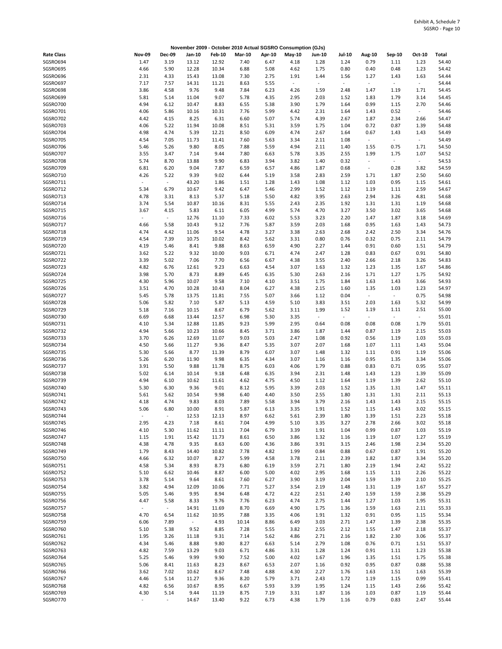| November 2009 - October 2010 Actual SGSRO Consumption (GJs) |                                  |                          |                |                |               |              |                                  |                          |                        |                                  |                        |                |                |
|-------------------------------------------------------------|----------------------------------|--------------------------|----------------|----------------|---------------|--------------|----------------------------------|--------------------------|------------------------|----------------------------------|------------------------|----------------|----------------|
| <b>Rate Class</b>                                           | <b>Nov-09</b>                    | <b>Dec-09</b>            | Jan-10         | <b>Feb-10</b>  | <b>Mar-10</b> | Apr-10       | $May-10$                         | Jun-10                   | <b>Jul-10</b>          | <b>Aug-10</b>                    | Sep-10                 | Oct-10         | Total          |
| SGSRO694                                                    | 1.47                             | 3.19                     | 13.12          | 12.92          | 7.40          | 6.47         | 4.18                             | 1.28                     | 1.24                   | 0.79                             | 1.11                   | 1.23           | 54.40          |
| SGSRO695                                                    | 4.66                             | 5.90                     | 12.28          | 10.34          | 6.88          | 5.08         | 4.62                             | 1.75                     | 0.80                   | 0.40                             | 0.48                   | 1.23           | 54.42          |
| SGSRO696<br>SGSRO697                                        | 2.31<br>7.17                     | 4.33<br>7.57             | 15.43<br>14.31 | 13.08          | 7.30<br>8.63  | 2.75<br>5.55 | 1.91<br>$\overline{\phantom{a}}$ | 1.44<br>$\omega$         | 1.56<br>$\blacksquare$ | 1.27<br>$\overline{\phantom{a}}$ | 1.43<br>$\sim$         | 1.63<br>$\sim$ | 54.44<br>54.44 |
| SGSRO698                                                    | 3.86                             | 4.58                     | 9.76           | 11.21<br>9.48  | 7.84          | 6.23         | 4.26                             | 1.59                     | 2.48                   | 1.47                             | 1.19                   | 1.71           | 54.45          |
| SGSRO699                                                    | 5.81                             | 5.14                     | 11.04          | 9.07           | 5.78          | 4.35         | 2.95                             | 2.03                     | 1.52                   | 1.83                             | 1.79                   | 3.14           | 54.45          |
| SGSRO700                                                    | 4.94                             | 6.12                     | 10.47          | 8.83           | 6.55          | 5.38         | 3.90                             | 1.79                     | 1.64                   | 0.99                             | 1.15                   | 2.70           | 54.46          |
| SGSRO701                                                    | 4.06                             | 5.86                     | 10.16          | 10.31          | 7.76          | 5.99         | 4.42                             | 2.31                     | 1.64                   | 1.43                             | 0.52                   | $\sim$         | 54.46          |
| SGSRO702                                                    | 4.42                             | 4.15                     | 8.25           | 6.31           | 6.60          | 5.07         | 5.74                             | 4.39                     | 2.67                   | 1.87                             | 2.34                   | 2.66           | 54.47          |
| SGSRO703                                                    | 4.06                             | 5.22                     | 11.94          | 10.08          | 8.51          | 5.31         | 3.59                             | 1.75                     | 1.04                   | 0.72                             | 0.87                   | 1.39           | 54.48          |
| SGSRO704<br>SGSRO705                                        | 4.98<br>4.54                     | 4.74<br>7.05             | 5.39<br>11.73  | 12.21          | 8.50<br>7.60  | 6.09<br>5.63 | 4.74<br>3.34                     | 2.67<br>2.11             | 1.64<br>1.08           | 0.67<br>$\omega$                 | 1.43<br>$\blacksquare$ | 1.43<br>$\sim$ | 54.49<br>54.49 |
| SGSRO706                                                    | 5.46                             | 5.26                     | 9.80           | 11.41<br>8.05  | 7.88          | 5.59         | 4.94                             | 2.11                     | 1.40                   | 1.55                             | 0.75                   | 1.71           | 54.50          |
| SGSRO707                                                    | 3.55                             | 3.47                     | 7.14           | 9.44           | 7.80          | 6.63         | 5.78                             | 3.35                     | 2.55                   | 1.99                             | 1.75                   | 1.07           | 54.52          |
| SGSRO708                                                    | 5.74                             | 8.70                     | 13.88          | 9.90           | 6.83          | 3.94         | 3.82                             | 1.40                     | 0.32                   | $\overline{a}$                   | $\sim$                 | $\sim$         | 54.53          |
| SGSRO709                                                    | 6.81                             | 6.20                     | 9.04           | 7.87           | 6.59          | 6.57         | 4.86                             | 1.87                     | 0.68                   | $\overline{\phantom{a}}$         | 0.28                   | 3.82           | 54.59          |
| SGSRO710                                                    | 4.26                             | 5.22                     | 9.39           | 9.02           | 6.44          | 5.19         | 3.58                             | 2.83                     | 2.59                   | 1.71                             | 1.87                   | 2.50           | 54.60          |
| SGSRO711<br>SGSRO712                                        | $\overline{\phantom{a}}$<br>5.34 | $\omega$<br>6.79         | 43.20          | 1.86<br>9.42   | 1.51<br>6.47  | 1.28         | 1.43<br>2.99                     | 1.08<br>1.52             | 1.12<br>1.12           | 1.03<br>1.19                     | 0.95                   | 1.15<br>2.59   | 54.61<br>54.67 |
| SGSRO713                                                    | 4.78                             | 3.31                     | 10.67<br>8.13  | 5.37           | 5.18          | 5.46<br>5.50 | 4.82                             | 3.95                     | 2.63                   | 2.94                             | 1.11<br>3.26           | 4.81           | 54.68          |
| SGSRO714                                                    | 3.74                             | 5.54                     | 10.87          | 10.16          | 8.31          | 5.55         | 2.43                             | 2.35                     | 1.92                   | 1.31                             | 1.31                   | 1.19           | 54.68          |
| SGSRO715                                                    | 3.67                             | 4.15                     | 5.83           | 6.11           | 6.05          | 4.99         | 5.74                             | 4.70                     | 3.27                   | 3.50                             | 3.02                   | 3.65           | 54.68          |
| SGSRO716                                                    |                                  | $\omega$                 | 12.76          | 11.10          | 7.33          | 6.02         | 5.53                             | 3.23                     | 2.20                   | 1.47                             | 1.87                   | 3.18           | 54.69          |
| SGSRO717                                                    | 4.66                             | 5.58                     | 10.43          | 9.12           | 7.76          | 5.87         | 3.59                             | 2.03                     | 1.68                   | 0.95                             | 1.63                   | 1.43           | 54.73          |
| SGSRO718                                                    | 4.74                             | 4.42                     | 11.06          | 9.54           | 4.78          | 3.27         | 3.38                             | 2.63                     | 2.68                   | 2.42                             | 2.50                   | 3.34           | 54.76          |
| SGSRO719<br>SGSRO720                                        | 4.54<br>4.19                     | 7.39<br>5.46             | 10.75<br>8.41  | 10.02<br>9.88  | 8.42<br>8.63  | 5.62<br>6.59 | 3.31<br>4.90                     | 0.80<br>2.27             | 0.76<br>1.44           | 0.32<br>0.91                     | 0.75<br>0.60           | 2.11<br>1.51   | 54.79<br>54.79 |
| SGSRO721                                                    | 3.62                             | 5.22                     | 9.32           | 10.00          | 9.03          | 6.71         | 4.74                             | 2.47                     | 1.28                   | 0.83                             | 0.67                   | 0.91           | 54.80          |
| SGSRO722                                                    | 3.39                             | 5.02                     | 7.06           | 7.70           | 6.56          | 6.67         | 4.38                             | 3.55                     | 2.40                   | 2.66                             | 2.18                   | 3.26           | 54.83          |
| SGSRO723                                                    | 4.82                             | 6.76                     | 12.61          | 9.23           | 6.63          | 4.54         | 3.07                             | 1.63                     | 1.32                   | 1.23                             | 1.35                   | 1.67           | 54.86          |
| SGSRO724                                                    | 3.98                             | 5.70                     | 8.73           | 8.89           | 6.45          | 6.35         | 5.30                             | 2.63                     | 2.16                   | 1.71                             | 1.27                   | 1.75           | 54.92          |
| SGSRO725                                                    | 4.30                             | 5.96                     | 10.07          | 9.58           | 7.10          | 4.10         | 3.51                             | 1.75                     | 1.84                   | 1.63                             | 1.43                   | 3.66           | 54.93          |
| SGSRO726<br>SGSRO727                                        | 3.51<br>5.45                     | 4.70<br>5.78             | 10.28<br>13.75 | 10.43<br>11.81 | 8.04<br>7.55  | 6.27<br>5.07 | 4.38<br>3.66                     | 2.15<br>1.12             | 1.60<br>0.04           | 1.35<br>$\blacksquare$           | 1.03<br>$\omega$       | 1.23<br>0.75   | 54.97<br>54.98 |
| SGSRO728                                                    | 5.06                             | 5.82                     | 7.10           | 5.87           | 5.13          | 4.59         | 5.10                             | 3.83                     | 3.51                   | 2.03                             | 1.63                   | 5.32           | 54.99          |
| SGSRO729                                                    | 5.18                             | 7.16                     | 10.15          | 8.67           | 6.79          | 5.62         | 3.11                             | 1.99                     | 1.52                   | 1.19                             | 1.11                   | 2.51           | 55.00          |
| SGSRO730                                                    | 6.69                             | 6.68                     | 13.44          | 12.57          | 6.98          | 5.30         | 3.35                             | $\overline{\phantom{a}}$ | $\blacksquare$         | $\sim$                           | $\sim$                 | $\sim$         | 55.01          |
| SGSRO731                                                    | 4.10                             | 5.34                     | 12.88          | 11.85          | 9.23          | 5.99         | 2.95                             | 0.64                     | 0.08                   | 0.08                             | 0.08                   | 1.79           | 55.01          |
| SGSRO732<br>SGSRO733                                        | 4.94<br>3.70                     | 5.66<br>6.26             | 10.23<br>12.69 | 10.66<br>11.07 | 8.45<br>9.03  | 3.71<br>5.03 | 3.86<br>2.47                     | 1.87<br>1.08             | 1.44<br>0.92           | 0.87<br>0.56                     | 1.19<br>1.19           | 2.15<br>1.03   | 55.03<br>55.03 |
| SGSRO734                                                    | 4.50                             | 5.66                     | 11.27          | 9.36           | 8.47          | 5.35         | 3.07                             | 2.07                     | 1.68                   | 1.07                             | 1.11                   | 1.43           | 55.04          |
| SGSRO735                                                    | 5.30                             | 5.66                     | 8.77           | 11.39          | 8.79          | 6.07         | 3.07                             | 1.48                     | 1.32                   | 1.11                             | 0.91                   | 1.19           | 55.06          |
| SGSRO736                                                    | 5.26                             | 6.20                     | 11.90          | 9.98           | 6.35          | 4.34         | 3.07                             | 1.16                     | 1.16                   | 0.95                             | 1.35                   | 3.34           | 55.06          |
| SGSRO737                                                    | 3.91                             | 5.50                     | 9.88           | 11.78          | 8.75          | 6.03         | 4.06                             | 1.79                     | 0.88                   | 0.83                             | 0.71                   | 0.95           | 55.07          |
| SGSRO738                                                    | 5.02                             | 6.14                     | 10.14          | 9.18           | 6.48          | 6.35         | 3.94                             | 2.31                     | 1.48                   | 1.43                             | 1.23                   | 1.39           | 55.09          |
| SGSRO739<br>SGSRO740                                        | 4.94<br>5.30                     | 6.10<br>6.30             | 10.62<br>9.36  | 11.61<br>9.01  | 4.62<br>8.12  | 4.75<br>5.95 | 4.50<br>3.39                     | 1.12<br>2.03             | 1.64<br>1.52           | 1.19<br>1.35                     | 1.39<br>1.31           | 2.62<br>1.47   | 55.10<br>55.11 |
| SGSRO741                                                    | 5.61                             | 5.62                     | 10.54          | 9.98           | 6.40          | 4.40         | 3.50                             | 2.55                     | 1.80                   | 1.31                             | 1.31                   | 2.11           | 55.13          |
| SGSRO742                                                    | 4.18                             | 4.74                     | 9.83           | 8.03           | 7.89          | 5.58         | 3.94                             | 3.79                     | 2.16                   | 1.43                             | 1.43                   | 2.15           | 55.15          |
| SGSRO743                                                    | 5.06                             | 6.80                     | 10.00          | 8.91           | 5.87          | 6.13         | 3.35                             | 1.91                     | 1.52                   | 1.15                             | 1.43                   | 3.02           | 55.15          |
| SGSRO744                                                    | $\overline{\phantom{a}}$         | $\overline{\phantom{a}}$ | 12.53          | 12.13          | 8.97          | 6.62         | 5.61                             | 2.39                     | 1.80                   | 1.39                             | 1.51                   | 2.23           | 55.18          |
| SGSRO745                                                    | 2.95                             | 4.23                     | 7.18           | 8.61           | 7.04          | 4.99         | 5.10                             | 3.35                     | 3.27                   | 2.78                             | 2.66                   | 3.02           | 55.18          |
| SGSRO746<br>SGSRO747                                        | 4.10<br>1.15                     | 5.30<br>1.91             | 11.62<br>15.42 | 11.11<br>11.73 | 7.04<br>8.61  | 6.79<br>6.50 | 3.39<br>3.86                     | 1.91<br>1.32             | 1.04<br>1.16           | 0.99<br>1.19                     | 0.87<br>1.07           | 1.03<br>1.27   | 55.19<br>55.19 |
| SGSRO748                                                    | 4.38                             | 4.78                     | 9.35           | 8.63           | 6.00          | 4.36         | 3.86                             | 3.91                     | 3.15                   | 2.46                             | 1.98                   | 2.34           | 55.20          |
| SGSRO749                                                    | 1.79                             | 8.43                     | 14.40          | 10.82          | 7.78          | 4.82         | 1.99                             | 0.84                     | 0.88                   | 0.67                             | 0.87                   | 1.91           | 55.20          |
| SGSRO750                                                    | 4.66                             | 6.32                     | 10.07          | 8.27           | 5.99          | 4.58         | 3.78                             | 2.11                     | 2.39                   | 1.82                             | 1.87                   | 3.34           | 55.20          |
| SGSRO751                                                    | 4.58                             | 5.34                     | 8.93           | 8.73           | 6.80          | 6.19         | 3.59                             | 2.71                     | 1.80                   | 2.19                             | 1.94                   | 2.42           | 55.22          |
| SGSRO752                                                    | 5.10                             | 6.62                     | 10.46          | 8.87           | 6.00          | 5.00         | 4.02                             | 2.95                     | 1.68                   | 1.15                             | 1.11                   | 2.26           | 55.22          |
| SGSRO753<br>SGSRO754                                        | 3.78<br>3.82                     | 5.14<br>4.94             | 9.64<br>12.09  | 8.61<br>10.06  | 7.60<br>7.71  | 6.27<br>5.27 | 3.90<br>3.54                     | 3.19<br>2.19             | 2.04<br>1.48           | 1.59<br>1.31                     | 1.39<br>1.19           | 2.10<br>1.67   | 55.25<br>55.27 |
| SGSRO755                                                    | 5.05                             | 5.46                     | 9.95           | 8.94           | 6.48          | 4.72         | 4.22                             | 2.51                     | 2.40                   | 1.59                             | 1.59                   | 2.38           | 55.29          |
| SGSRO756                                                    | 4.47                             | 5.58                     | 8.33           | 9.76           | 7.76          | 6.23         | 4.74                             | 2.75                     | 1.44                   | 1.27                             | 1.03                   | 1.95           | 55.31          |
| SGSRO757                                                    | $\blacksquare$                   | $\omega$                 | 14.91          | 11.69          | 8.70          | 6.69         | 4.90                             | 1.75                     | 1.36                   | 1.59                             | 1.63                   | 2.11           | 55.33          |
| SGSRO758                                                    | 4.70                             | 6.54                     | 11.62          | 10.95          | 7.88          | 3.35         | 4.06                             | 1.91                     | 1.32                   | 0.91                             | 0.95                   | 1.15           | 55.34          |
| SGSRO759                                                    | 6.06                             | 7.89                     | $\sim$         | 4.93           | 10.14         | 8.86         | 6.49                             | 3.03                     | 2.71                   | 1.47                             | 1.39                   | 2.38           | 55.35          |
| SGSRO760<br>SGSRO761                                        | 5.10<br>1.95                     | 5.38<br>3.26             | 9.52<br>11.18  | 8.85<br>9.31   | 7.28<br>7.14  | 5.55<br>5.62 | 3.82<br>4.86                     | 2.55<br>2.71             | 2.12<br>2.16           | 1.55<br>1.82                     | 1.47<br>2.30           | 2.18<br>3.06   | 55.37<br>55.37 |
| SGSRO762                                                    | 4.34                             | 5.46                     | 8.88           | 9.80           | 8.27          | 6.63         | 5.14                             | 2.79                     | 1.08                   | 0.76                             | 0.71                   | 1.51           | 55.37          |
| SGSRO763                                                    | 4.82                             | 7.59                     | 13.29          | 9.03           | 6.71          | 4.86         | 3.31                             | 1.28                     | 1.24                   | 0.91                             | 1.11                   | 1.23           | 55.38          |
| SGSRO764                                                    | 5.25                             | 5.46                     | 9.99           | 9.90           | 7.52          | 5.00         | 4.02                             | 1.67                     | 1.96                   | 1.35                             | 1.51                   | 1.75           | 55.38          |
| SGSRO765                                                    | 5.06                             | 8.41                     | 11.63          | 8.23           | 8.67          | 6.53         | 2.07                             | 1.16                     | 0.92                   | 0.95                             | 0.87                   | 0.88           | 55.38          |
| SGSRO766                                                    | 3.62                             | 7.02                     | 10.62          | 8.67           | 7.48          | 4.88         | 4.30                             | 2.27                     | 1.76                   | 1.63                             | 1.51                   | 1.63           | 55.39          |
| SGSRO767<br>SGSRO768                                        | 4.46<br>4.82                     | 5.14<br>6.56             | 11.27<br>10.67 | 9.36<br>8.95   | 8.20<br>6.67  | 5.79<br>5.93 | 3.71<br>3.39                     | 2.43<br>1.95             | 1.72<br>1.24           | 1.19<br>1.15                     | 1.15<br>1.43           | 0.99<br>2.66   | 55.41<br>55.42 |
| SGSRO769                                                    | 4.30                             | 5.14                     | 9.44           | 11.19          | 8.75          | 7.19         | 3.31                             | 1.87                     | 1.16                   | 1.03                             | 0.87                   | 1.19           | 55.44          |
| SGSRO770                                                    | $\overline{\phantom{a}}$         | $\blacksquare$           | 14.67          | 13.40          | 9.22          | 6.73         | 4.38                             | 1.79                     | 1.16                   | 0.79                             | 0.83                   | 2.47           | 55.44          |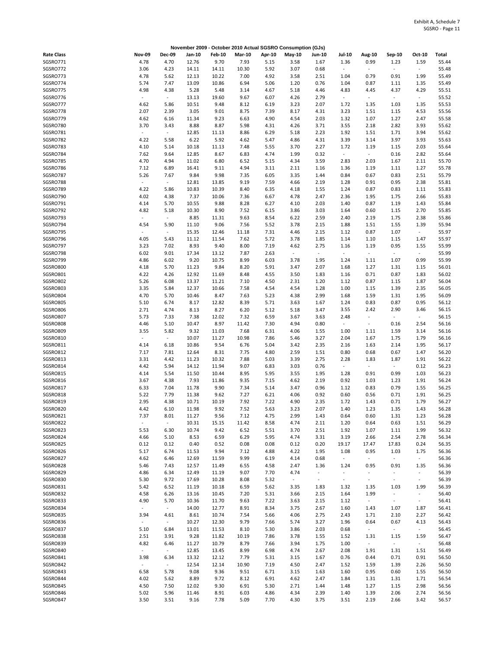|                   |                                 |                          |        |               | November 2009 - October 2010 Actual SGSRO Consumption (GJs) |        |                          |                          |                          |                          |                          |                          |       |
|-------------------|---------------------------------|--------------------------|--------|---------------|-------------------------------------------------------------|--------|--------------------------|--------------------------|--------------------------|--------------------------|--------------------------|--------------------------|-------|
| <b>Rate Class</b> | <b>Nov-09</b>                   | <b>Dec-09</b>            | Jan-10 | <b>Feb-10</b> | <b>Mar-10</b>                                               | Apr-10 | $May-10$                 | Jun-10                   | <b>Jul-10</b>            | Aug-10                   | Sep-10                   | Oct-10                   | Total |
| SGSRO771          | 4.78                            | 4.70                     | 12.76  | 9.70          | 7.93                                                        | 5.15   | 3.58                     | 1.67                     | 1.36                     | 0.99                     | 1.23                     | 1.59                     | 55.44 |
| SGSRO772          | 3.06                            | 4.23                     | 14.11  | 14.11         | 10.30                                                       | 5.92   | 3.07                     | 0.68                     | $\blacksquare$           | ÷,                       | $\sim$                   | $\sim$                   | 55.48 |
| SGSRO773          | 4.78                            | 5.62                     | 12.13  | 10.22         | 7.00                                                        | 4.92   | 3.58                     | 2.51                     | 1.04                     | 0.79                     | 0.91                     | 1.99                     | 55.49 |
| SGSRO774          | 5.74                            | 7.47                     | 13.09  | 10.86         | 6.94                                                        | 5.06   | 1.20                     | 0.76                     | 1.04                     | 0.87                     | 1.11                     | 1.35                     | 55.49 |
| SGSRO775          | 4.98                            | 4.38                     | 5.28   | 5.48          | 3.14                                                        | 4.67   | 5.18                     | 4.46                     | 4.83                     | 4.45                     | 4.37                     | 4.29                     | 55.51 |
| SGSRO776          | $\overline{\phantom{a}}$        | $\omega_{\rm c}$         |        | 19.60         | 9.67                                                        | 6.07   |                          |                          | $\sim$                   | $\overline{\phantom{a}}$ | $\omega_{\rm c}$         | $\sim$                   | 55.52 |
|                   |                                 |                          | 13.13  |               |                                                             |        | 4.26                     | 2.79                     |                          |                          |                          |                          |       |
| SGSRO777          | 4.62                            | 5.86                     | 10.51  | 9.48          | 8.12                                                        | 6.19   | 3.23                     | 2.07                     | 1.72                     | 1.35                     | 1.03                     | 1.35                     | 55.53 |
| SGSRO778          | 2.07                            | 2.39                     | 3.05   | 9.01          | 8.75                                                        | 7.39   | 8.17                     | 4.31                     | 3.23                     | 1.51                     | 1.15                     | 4.53                     | 55.56 |
| SGSRO779          | 4.62                            | 6.16                     | 11.34  | 9.23          | 6.63                                                        | 4.90   | 4.54                     | 2.03                     | 1.32                     | 1.07                     | 1.27                     | 2.47                     | 55.58 |
| SGSRO780          | 3.70                            | 3.43                     | 8.88   | 8.87          | 5.98                                                        | 4.31   | 4.26                     | 3.71                     | 3.55                     | 2.18                     | 2.82                     | 3.93                     | 55.62 |
| SGSRO781          |                                 | $\omega$                 | 12.85  | 11.13         | 8.86                                                        | 6.29   | 5.18                     | 2.23                     | 1.92                     | 1.51                     | 1.71                     | 3.94                     | 55.62 |
| SGSRO782          | 4.22                            | 5.58                     | 6.22   | 5.92          | 4.62                                                        | 5.47   | 4.86                     | 4.31                     | 3.39                     | 3.14                     | 3.97                     | 3.93                     | 55.63 |
| SGSRO783          | 4.10                            | 5.14                     | 10.18  | 11.13         | 7.48                                                        | 5.55   | 3.70                     | 2.27                     | 1.72                     | 1.19                     | 1.15                     | 2.03                     | 55.64 |
| SGSRO784          | 7.62                            | 9.64                     | 12.85  | 8.67          | 6.83                                                        | 4.74   | 1.99                     | 0.32                     | $\overline{\phantom{a}}$ | $\overline{\phantom{a}}$ | 0.16                     | 2.82                     | 55.64 |
| SGSRO785          | 4.70                            | 4.94                     | 11.02  | 6.80          | 6.52                                                        | 5.15   | 4.34                     | 3.59                     | 2.83                     | 2.03                     | 1.67                     | 2.11                     | 55.70 |
| SGSRO786          | 7.12                            | 6.89                     | 16.41  | 9.11          | 4.94                                                        | 3.11   | 2.11                     | 1.16                     | 1.36                     | 1.19                     | 1.11                     | 1.27                     | 55.78 |
| SGSRO787          | 5.26                            | 7.67                     | 9.84   | 9.98          | 7.35                                                        | 6.05   | 3.35                     | 1.44                     | 0.84                     | 0.67                     | 0.83                     | 2.51                     | 55.79 |
| SGSRO788          | $\sim$                          | $\overline{\phantom{a}}$ | 12.81  | 13.85         | 9.19                                                        | 7.59   | 4.66                     | 2.19                     | 1.28                     | 0.91                     | 0.95                     | 2.38                     | 55.81 |
| SGSRO789          | 4.22                            | 5.86                     | 10.83  |               | 8.40                                                        | 6.35   |                          | 1.55                     | 1.24                     | 0.87                     | 0.83                     | 1.11                     | 55.83 |
|                   |                                 |                          |        | 10.39         |                                                             |        | 4.18                     |                          |                          |                          |                          |                          |       |
| SGSRO790          | 4.02                            | 4.38                     | 7.37   | 10.06         | 7.36                                                        | 6.67   | 4.78                     | 2.47                     | 2.36                     | 1.95                     | 1.75                     | 2.66                     | 55.83 |
| SGSRO791          | 4.14                            | 5.70                     | 10.55  | 9.88          | 8.28                                                        | 6.27   | 4.10                     | 2.03                     | 1.40                     | 0.87                     | 1.19                     | 1.43                     | 55.84 |
| SGSRO792          | 4.82                            | 5.18                     | 10.30  | 8.90          | 7.52                                                        | 6.15   | 3.86                     | 3.03                     | 1.64                     | 0.60                     | 1.15                     | 2.70                     | 55.85 |
| SGSRO793          | $\overline{\phantom{a}}$        | $\overline{\phantom{a}}$ | 8.85   | 11.31         | 9.63                                                        | 8.54   | 6.22                     | 2.59                     | 2.40                     | 2.19                     | 1.75                     | 2.38                     | 55.86 |
| SGSRO794          | 4.54                            | 5.90                     | 11.10  | 9.06          | 7.56                                                        | 5.52   | 3.78                     | 2.15                     | 1.88                     | 1.51                     | 1.55                     | 1.39                     | 55.94 |
| SGSRO795          |                                 | $\overline{\phantom{a}}$ | 15.35  | 12.46         | 11.18                                                       | 7.31   | 4.46                     | 2.15                     | 1.12                     | 0.87                     | 1.07                     | $\omega$                 | 55.97 |
| SGSRO796          | 4.05                            | 5.43                     | 11.12  | 11.54         | 7.62                                                        | 5.72   | 3.78                     | 1.85                     | 1.14                     | 1.10                     | 1.15                     | 1.47                     | 55.97 |
| SGSRO797          | 3.23                            | 7.02                     | 8.93   | 9.40          | 8.00                                                        | 7.19   | 4.62                     | 2.75                     | 1.16                     | 1.19                     | 0.95                     | 1.55                     | 55.99 |
| SGSRO798          | 6.02                            | 9.01                     | 17.34  | 13.12         | 7.87                                                        | 2.63   | $\overline{\phantom{a}}$ | $\overline{\phantom{a}}$ | $\overline{\phantom{a}}$ | $\overline{\phantom{a}}$ | $\blacksquare$           | $\sim$                   | 55.99 |
| SGSRO799          | 4.86                            | 6.02                     | 9.20   | 10.75         | 8.99                                                        | 6.03   | 3.78                     | 1.95                     | 1.24                     | 1.11                     | 1.07                     | 0.99                     | 55.99 |
| SGSRO800          | 4.18                            | 5.70                     | 11.23  | 9.84          | 8.20                                                        | 5.91   | 3.47                     | 2.07                     | 1.68                     | 1.27                     | 1.31                     | 1.15                     | 56.01 |
| SGSRO801          | 4.22                            | 4.26                     | 12.92  | 11.69         | 8.48                                                        | 4.55   | 3.50                     | 1.83                     | 1.16                     | 0.71                     | 0.87                     | 1.83                     | 56.02 |
|                   |                                 |                          |        |               |                                                             |        |                          |                          |                          |                          |                          |                          |       |
| SGSRO802          | 5.26                            | 6.08                     | 13.37  | 11.21         | 7.10                                                        | 4.50   | 2.31                     | 1.20                     | 1.12                     | 0.87                     | 1.15                     | 1.87                     | 56.04 |
| SGSRO803          | 3.35                            | 5.84                     | 12.37  | 10.66         | 7.58                                                        | 4.54   | 4.54                     | 1.28                     | 1.00                     | 1.15                     | 1.39                     | 2.35                     | 56.05 |
| SGSRO804          | 4.70                            | 5.70                     | 10.46  | 8.47          | 7.63                                                        | 5.23   | 4.38                     | 2.99                     | 1.68                     | 1.59                     | 1.31                     | 1.95                     | 56.09 |
| SGSRO805          | 5.10                            | 6.74                     | 8.17   | 12.82         | 8.39                                                        | 5.71   | 3.63                     | 1.67                     | 1.24                     | 0.83                     | 0.87                     | 0.95                     | 56.12 |
| SGSRO806          | 2.71                            | 4.74                     | 8.13   | 8.27          | 6.20                                                        | 5.12   | 5.18                     | 3.47                     | 3.55                     | 2.42                     | 2.90                     | 3.46                     | 56.15 |
| SGSRO807          | 5.73                            | 7.33                     | 7.38   | 12.02         | 7.32                                                        | 6.59   | 3.67                     | 3.63                     | 2.48                     | $\sim$                   | $\overline{\phantom{a}}$ | $\sim$                   | 56.15 |
| SGSRO808          | 4.46                            | 5.10                     | 10.47  | 8.97          | 11.42                                                       | 7.30   | 4.94                     | 0.80                     | $\overline{\phantom{a}}$ | $\overline{\phantom{a}}$ | 0.16                     | 2.54                     | 56.16 |
| SGSRO809          | 3.55                            | 5.82                     | 9.32   | 11.03         | 7.68                                                        | 6.31   | 4.06                     | 1.55                     | 1.00                     | 1.11                     | 1.59                     | 3.14                     | 56.16 |
| SGSRO810          | $\blacksquare$                  | $\sim$                   | 10.07  | 11.27         | 10.98                                                       | 7.86   | 5.46                     | 3.27                     | 2.04                     | 1.67                     | 1.75                     | 1.79                     | 56.16 |
| SGSRO811          | 4.14                            | 6.18                     | 10.86  | 9.54          | 6.76                                                        | 5.04   | 3.42                     | 2.35                     | 2.16                     | 1.63                     | 2.14                     | 1.95                     | 56.17 |
| SGSRO812          | 7.17                            | 7.81                     | 12.64  | 8.31          | 7.75                                                        | 4.80   | 2.59                     | 1.51                     | 0.80                     | 0.68                     | 0.67                     | 1.47                     | 56.20 |
| SGSRO813          | 3.31                            | 4.42                     | 11.23  | 10.32         | 7.88                                                        | 5.03   | 3.39                     | 2.75                     | 2.28                     | 1.83                     | 1.87                     | 1.91                     | 56.22 |
| SGSRO814          | 4.42                            | 5.94                     | 14.12  | 11.94         | 9.07                                                        | 6.83   | 3.03                     | 0.76                     | $\blacksquare$           | $\overline{\phantom{a}}$ | $\sim$                   | 0.12                     | 56.23 |
| SGSRO815          | 4.14                            | 5.54                     | 11.50  | 10.44         | 8.95                                                        | 5.95   | 3.55                     | 1.95                     | 1.28                     | 0.91                     | 0.99                     | 1.03                     | 56.23 |
| SGSRO816          | 3.67                            |                          | 7.93   |               | 9.35                                                        |        |                          |                          | 0.92                     | 1.03                     |                          | 1.91                     | 56.24 |
|                   |                                 | 4.38                     |        | 11.86         |                                                             | 7.15   | 4.62                     | 2.19                     |                          |                          | 1.23                     |                          |       |
| SGSRO817          | 6.33                            | 7.04                     | 11.78  | 9.90          | 7.34                                                        | 5.14   | 3.47                     | 0.96                     | 1.12                     | 0.83                     | 0.79                     | 1.55                     | 56.25 |
| SGSRO818          | 5.22                            | 7.79                     | 11.38  | 9.62          | 7.27                                                        | 6.21   | 4.06                     | 0.92                     | 0.60                     | 0.56                     | 0.71                     | 1.91                     | 56.25 |
| SGSRO819          | 2.95                            | 4.38                     | 10.71  | 10.19         | 7.92                                                        | 7.22   | 4.90                     | 2.35                     | 1.72                     | 1.43                     | 0.71                     | 1.79                     | 56.27 |
| SGSRO820          | 4.42                            | 6.10                     | 11.98  | 9.92          | 7.52                                                        | 5.63   | 3.23                     | 2.07                     | 1.40                     | 1.23                     | 1.35                     | 1.43                     | 56.28 |
| SGSRO821          | 7.37                            | 8.01                     | 11.27  | 9.56          | 7.12                                                        | 4.75   | 2.99                     | 1.43                     | 0.64                     | 0.60                     | 1.31                     | 1.23                     | 56.28 |
| SGSRO822          | $\sim$                          | $\omega$                 | 10.31  | 15.15         | 11.42                                                       | 8.58   | 4.74                     | 2.11                     | 1.20                     | 0.64                     | 0.63                     | 1.51                     | 56.29 |
| SGSRO823          | 5.53                            | 6.30                     | 10.74  | 9.42          | 6.52                                                        | 5.51   | 3.70                     | 2.51                     | 1.92                     | 1.07                     | 1.11                     | 1.99                     | 56.32 |
| SGSRO824          | 4.66                            | 5.10                     | 8.53   | 6.59          | 6.29                                                        | 5.95   | 4.74                     | 3.31                     | 3.19                     | 2.66                     | 2.54                     | 2.78                     | 56.34 |
| SGSRO825          | 0.12                            | 0.12                     | 0.40   | 0.52          | 0.08                                                        | 0.08   | 0.12                     | 0.20                     | 19.17                    | 17.47                    | 17.83                    | 0.24                     | 56.35 |
| SGSRO826          | 5.17                            | 6.74                     | 11.53  | 9.94          | 7.12                                                        | 4.88   | 4.22                     | 1.95                     | 1.08                     | 0.95                     | 1.03                     | 1.75                     | 56.36 |
| SGSRO827          | 4.62                            | 6.46                     | 12.69  | 11.59         | 9.99                                                        | 6.19   | 4.14                     | 0.68                     | $\overline{\phantom{a}}$ | $\overline{\phantom{a}}$ | $\blacksquare$           | $\omega$                 | 56.36 |
| SGSRO828          | 5.46                            | 7.43                     | 12.57  | 11.49         | 6.55                                                        | 4.58   | 2.47                     | 1.36                     | 1.24                     | 0.95                     | 0.91                     | 1.35                     | 56.36 |
| SGSRO829          | 4.86                            | 6.34                     | 12.49  | 11.19         | 9.07                                                        | 7.70   | 4.74                     | $\blacksquare$           | $\blacksquare$           | $\overline{\phantom{a}}$ | $\overline{\phantom{a}}$ | $\sim$                   | 56.39 |
| SGSRO830          | 5.30                            | 9.72                     | 17.69  | 10.28         | 8.08                                                        | 5.32   | $\sim$                   | $\overline{\phantom{a}}$ | $\blacksquare$           | $\overline{\phantom{a}}$ | $\overline{\phantom{a}}$ | $\sim$                   | 56.39 |
| SGSRO831          | 5.42                            | 6.52                     | 11.19  |               |                                                             | 5.62   |                          | 1.83                     | 1.32                     | 1.35                     | 1.03                     | 1.99                     | 56.39 |
|                   |                                 |                          |        | 10.18         | 6.59                                                        |        | 3.35                     |                          |                          |                          |                          |                          |       |
| SGSRO832          | 4.58                            | 6.26                     | 13.16  | 10.45         | 7.20                                                        | 5.31   | 3.66                     | 2.15                     | 1.64                     | 1.99                     | $\overline{\phantom{a}}$ | $\overline{\phantom{a}}$ | 56.40 |
| SGSRO833          | 4.90                            | 5.70                     | 10.36  | 11.70         | 9.63                                                        | 7.22   | 3.63                     | 2.15                     | 1.12                     | $\blacksquare$           | $\sim$                   | $\sim$                   | 56.41 |
| SGSRO834          | $\overline{\phantom{a}}$        | $\sim$                   | 14.00  | 12.77         | 8.91                                                        | 8.34   | 3.75                     | 2.67                     | 1.60                     | 1.43                     | 1.07                     | 1.87                     | 56.41 |
| SGSRO835          | 3.94                            | 4.61                     | 8.61   | 10.74         | 7.54                                                        | 5.66   | 4.06                     | 2.75                     | 2.43                     | 1.71                     | 2.10                     | 2.27                     | 56.42 |
| SGSRO836          | $\centering \label{eq:reduced}$ | $\blacksquare$           | 10.27  | 12.30         | 9.79                                                        | 7.66   | 5.74                     | 3.27                     | 1.96                     | 0.64                     | 0.67                     | 4.13                     | 56.43 |
| SGSRO837          | 5.10                            | 6.84                     | 13.01  | 11.53         | 8.10                                                        | 5.30   | 3.86                     | 2.03                     | 0.68                     | $\overline{\phantom{a}}$ | $\omega_{\rm c}$         | $\omega_{\rm c}$         | 56.45 |
| SGSRO838          | 2.51                            | 3.91                     | 9.28   | 11.82         | 10.19                                                       | 7.86   | 3.78                     | 1.55                     | 1.52                     | 1.31                     | 1.15                     | 1.59                     | 56.47 |
| SGSRO839          | 4.82                            | 6.46                     | 11.27  | 10.79         | 8.79                                                        | 7.66   | 3.94                     | 1.75                     | 1.00                     | $\overline{\phantom{a}}$ | $\sim$                   | $\sim$                   | 56.48 |
| SGSRO840          | $\overline{\phantom{a}}$        | $\sim$                   | 12.85  | 13.45         | 8.99                                                        | 6.98   | 4.74                     | 2.67                     | 2.08                     | 1.91                     | 1.31                     | 1.51                     | 56.49 |
| SGSRO841          | 3.98                            | 6.34                     | 13.32  | 12.12         | 7.79                                                        | 5.31   | 3.15                     | 1.67                     | 0.76                     | 0.44                     | 0.71                     | 0.91                     | 56.50 |
| SGSRO842          | $\blacksquare$                  | $\sim$                   | 12.54  | 12.14         | 10.90                                                       | 7.19   | 4.50                     | 2.47                     | 1.52                     | 1.59                     | 1.39                     | 2.26                     | 56.50 |
| SGSRO843          | 6.58                            | 5.78                     | 9.08   | 9.36          | 9.51                                                        | 6.71   | 3.15                     | 1.63                     | 1.60                     | 0.95                     | 0.60                     | 1.55                     | 56.50 |
|                   |                                 |                          |        |               |                                                             |        |                          |                          |                          |                          |                          |                          |       |
| SGSRO844          | 4.02                            | 5.62                     | 8.89   | 9.72          | 8.12                                                        | 6.91   | 4.62                     | 2.47                     | 1.84                     | 1.31                     | 1.31                     | 1.71                     | 56.54 |
| SGSRO845          | 4.50                            | 7.50                     | 12.02  | 9.30          | 6.91                                                        | 5.30   | 2.71                     | 1.44                     | 1.48                     | 1.27                     | 1.15                     | 2.98                     | 56.56 |
| SGSRO846          | 5.02                            | 5.96                     | 11.46  | 8.91          | 6.03                                                        | 4.86   | 4.34                     | 2.39                     | 1.40                     | 1.39                     | 2.06                     | 2.74                     | 56.56 |
| SGSRO847          | 3.50                            | 3.51                     | 9.16   | 7.78          | 5.09                                                        | 7.70   | 4.30                     | 3.75                     | 3.51                     | 2.19                     | 2.66                     | 3.42                     | 56.57 |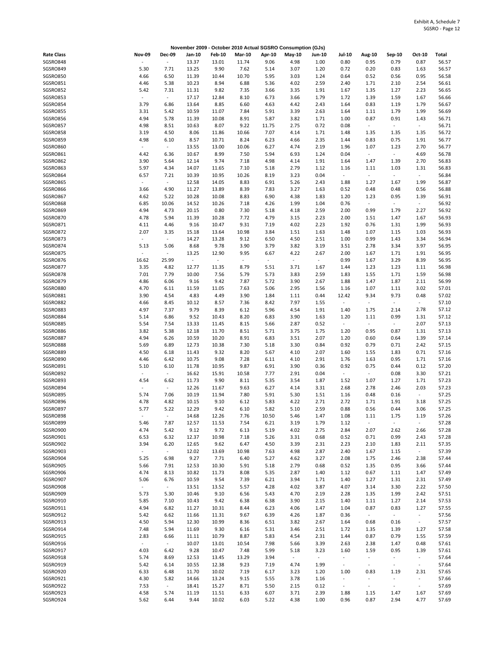|                             |                                  |                          |                                   |                         |                                  |                                  | November 2009 - October 2010 Actual SGSRO Consumption (GJs) |                |                          |                                  |                                  |                  |                |
|-----------------------------|----------------------------------|--------------------------|-----------------------------------|-------------------------|----------------------------------|----------------------------------|-------------------------------------------------------------|----------------|--------------------------|----------------------------------|----------------------------------|------------------|----------------|
| <b>Rate Class</b>           | <b>Nov-09</b>                    | <b>Dec-09</b>            | Jan-10                            | <b>Feb-10</b>           | <b>Mar-10</b>                    | Apr-10                           | May-10                                                      | <b>Jun-10</b>  | Jul-10                   | <b>Aug-10</b>                    | Sep-10                           | Oct-10           | Total          |
| SGSRO848                    |                                  | $\sim$                   | 13.37                             | 13.01                   | 11.74                            | 9.06                             | 4.98                                                        | 1.00           | 0.80                     | 0.95                             | 0.79                             | 0.87             | 56.57          |
| SGSRO849                    | 5.30                             | 7.71                     | 13.25                             | 9.90                    | 7.62                             | 5.14                             | 3.07                                                        | 1.20           | 0.72                     | 0.20                             | 0.83                             | 1.63             | 56.57          |
| SGSRO850                    | 4.66                             | 6.50                     | 11.39                             | 10.44                   | 10.70                            | 5.95                             | 3.03                                                        | 1.24           | 0.64                     | 0.52                             | 0.56                             | 0.95             | 56.58          |
| SGSRO851                    | 4.46                             | 5.38                     | 10.23                             | 8.94                    | 6.88                             | 5.36                             | 4.02                                                        | 2.59           | 2.40                     | 1.71                             | 2.10                             | 2.54             | 56.61          |
| SGSRO852<br>SGSRO853        | 5.42<br>$\overline{\phantom{a}}$ | 7.31<br>$\sim$           | 11.31<br>17.17                    | 9.82<br>12.84           | 7.35<br>8.10                     | 3.66<br>6.73                     | 3.35<br>3.66                                                | 1.91<br>1.79   | 1.67<br>1.72             | 1.35<br>1.39                     | 1.27<br>1.59                     | 2.23<br>1.67     | 56.65<br>56.66 |
| SGSRO854                    | 3.79                             | 6.86                     | 13.64                             | 8.85                    | 6.60                             | 4.63                             | 4.42                                                        | 2.43           | 1.64                     | 0.83                             | 1.19                             | 1.79             | 56.67          |
| SGSRO855                    | 3.31                             | 5.42                     | 10.59                             | 11.07                   | 7.84                             | 5.91                             | 3.39                                                        | 2.63           | 1.64                     | 1.11                             | 1.79                             | 1.99             | 56.69          |
| SGSRO856                    | 4.94                             | 5.78                     | 11.39                             | 10.08                   | 8.91                             | 5.87                             | 3.82                                                        | 1.71           | 1.00                     | 0.87                             | 0.91                             | 1.43             | 56.71          |
| SGSRO857                    | 4.98                             | 8.51                     | 10.63                             | 8.07                    | 9.22                             | 11.75                            | 2.75                                                        | 0.72           | 0.08                     | $\overline{\phantom{a}}$         | $\sim$                           | $\sim$           | 56.71          |
| SGSRO858                    | 3.19                             | 4.50                     | 8.06                              | 11.86                   | 10.66                            | 7.07                             | 4.14                                                        | 1.71           | 1.48                     | 1.35                             | 1.35                             | 1.35             | 56.72          |
| SGSRO859                    | 4.98                             | 6.10                     | 8.57                              | 10.71                   | 8.24                             | 6.23                             | 4.66                                                        | 2.35           | 1.44                     | 0.83                             | 0.75                             | 1.91             | 56.77          |
| SGSRO860<br>SGSRO861        | $\blacksquare$<br>4.42           | $\sim$<br>6.36           | 13.55<br>10.67                    | 13.00<br>8.99           | 10.06<br>7.50                    | 6.27<br>5.94                     | 4.74<br>6.93                                                | 2.19<br>1.24   | 1.96<br>0.04             | 1.07<br>$\overline{\phantom{a}}$ | 1.23<br>$\blacksquare$           | 2.70<br>4.69     | 56.77<br>56.78 |
| SGSRO862                    | 3.90                             | 5.64                     | 12.14                             | 9.74                    | 7.18                             | 4.98                             | 4.14                                                        | 1.91           | 1.64                     | 1.47                             | 1.39                             | 2.70             | 56.83          |
| SGSRO863                    | 5.97                             | 4.34                     | 14.07                             | 11.65                   | 7.10                             | 5.18                             | 2.79                                                        | 1.12           | 1.16                     | 1.11                             | 1.03                             | 1.31             | 56.83          |
| SGSRO864                    | 6.57                             | 7.21                     | 10.39                             | 10.95                   | 10.26                            | 8.19                             | 3.23                                                        | 0.04           | $\sim$                   | $\overline{\phantom{a}}$         | $\omega$                         | $\sim$           | 56.84          |
| SGSRO865                    | $\overline{\phantom{a}}$         | $\sim$                   | 12.58                             | 14.05                   | 8.83                             | 6.91                             | 5.26                                                        | 2.43           | 1.88                     | 1.27                             | 1.67                             | 1.99             | 56.87          |
| SGSRO866                    | 3.66                             | 4.90                     | 11.27                             | 13.89                   | 8.39                             | 7.83                             | 3.27                                                        | 1.63           | 0.52                     | 0.48                             | 0.48                             | 0.56             | 56.88          |
| <b>SGSRO867</b>             | 4.62                             | 5.22                     | 10.28                             | 10.08                   | 8.83                             | 6.90                             | 4.38                                                        | 1.83           | 1.20                     | 1.23                             | 0.95                             | 1.39             | 56.91          |
| SGSRO868<br>SGSRO869        | 6.85<br>4.94                     | 10.06<br>4.73            | 14.52<br>20.15                    | 10.26<br>0.80           | 7.18<br>7.30                     | 4.26<br>5.18                     | 1.99<br>4.18                                                | 1.04<br>2.59   | 0.76<br>2.00             | $\overline{\phantom{a}}$<br>0.99 | $\blacksquare$<br>1.79           | $\sim$<br>2.27   | 56.92<br>56.92 |
| SGSRO870                    | 4.78                             | 5.94                     | 11.39                             | 10.28                   | 7.72                             | 4.79                             | 3.15                                                        | 2.23           | 2.00                     | 1.51                             | 1.47                             | 1.67             | 56.93          |
| SGSRO871                    | 4.11                             | 4.46                     | 9.16                              | 10.47                   | 9.31                             | 7.19                             | 4.02                                                        | 2.23           | 1.92                     | 0.76                             | 1.31                             | 1.99             | 56.93          |
| SGSRO872                    | 2.07                             | 3.35                     | 15.18                             | 13.64                   | 10.98                            | 3.84                             | 1.51                                                        | 1.63           | 1.48                     | 1.07                             | 1.15                             | 1.03             | 56.93          |
| SGSRO873                    | $\blacksquare$                   | $\sim$                   | 14.27                             | 13.28                   | 9.12                             | 6.50                             | 4.50                                                        | 2.51           | 1.00                     | 0.99                             | 1.43                             | 3.34             | 56.94          |
| SGSRO874                    | 5.13                             | 5.06                     | 8.68                              | 9.78                    | 3.90                             | 3.79                             | 3.82                                                        | 3.19           | 3.51                     | 2.78                             | 3.34                             | 3.97             | 56.95          |
| <b>SGSRO875</b>             |                                  | $\omega$                 | 13.25                             | 12.90                   | 9.95                             | 6.67                             | 4.22                                                        | 2.67           | 2.00                     | 1.67                             | 1.71                             | 1.91             | 56.95          |
| SGSRO876<br>SGSRO877        | 16.62<br>3.35                    | 25.99<br>4.82            | $\overline{\phantom{a}}$<br>12.77 | $\blacksquare$<br>11.35 | $\overline{\phantom{a}}$<br>8.79 | $\overline{\phantom{a}}$<br>5.51 | $\overline{\phantom{a}}$<br>3.71                            | $\sim$<br>1.67 | 0.99<br>1.44             | 1.67<br>1.23                     | 3.29<br>1.23                     | 8.39<br>1.11     | 56.95<br>56.98 |
| SGSRO878                    | 7.01                             | 7.79                     | 10.00                             | 7.56                    | 5.79                             | 5.73                             | 3.83                                                        | 2.59           | 1.83                     | 1.55                             | 1.71                             | 1.59             | 56.98          |
| SGSRO879                    | 4.86                             | 6.06                     | 9.16                              | 9.42                    | 7.87                             | 5.72                             | 3.90                                                        | 2.67           | 1.88                     | 1.47                             | 1.87                             | 2.11             | 56.99          |
| SGSRO880                    | 4.70                             | 6.11                     | 11.59                             | 11.05                   | 7.63                             | 5.06                             | 2.95                                                        | 1.56           | 1.16                     | 1.07                             | 1.11                             | 3.02             | 57.01          |
| SGSRO881                    | 3.90                             | 4.54                     | 4.83                              | 4.49                    | 3.90                             | 1.84                             | 1.11                                                        | 0.44           | 12.42                    | 9.34                             | 9.73                             | 0.48             | 57.02          |
| SGSRO882                    | 4.66                             | 8.45                     | 10.12                             | 8.57                    | 7.36                             | 8.42                             | 7.97                                                        | 1.55           | $\overline{\phantom{a}}$ | $\overline{\phantom{a}}$         | $\overline{\phantom{a}}$         | $\sim$           | 57.10          |
| SGSRO883                    | 4.97                             | 7.37                     | 9.79                              | 8.39                    | 6.12                             | 5.96                             | 4.54                                                        | 1.91           | 1.40                     | 1.75                             | 2.14                             | 2.78             | 57.12          |
| SGSRO884<br>SGSRO885        | 5.14<br>5.54                     | 6.86<br>7.54             | 9.52<br>13.33                     | 10.43<br>11.45          | 8.20<br>8.15                     | 6.83<br>5.66                     | 3.90<br>2.87                                                | 1.63<br>0.52   | 1.20<br>$\sim$           | 1.11<br>$\overline{\phantom{a}}$ | 0.99<br>$\omega_{\rm c}$         | 1.31<br>2.07     | 57.12<br>57.13 |
| SGSRO886                    | 3.82                             | 5.38                     | 12.18                             | 11.70                   | 8.51                             | 5.71                             | 3.75                                                        | 1.75           | 1.20                     | 0.95                             | 0.87                             | 1.31             | 57.13          |
| SGSRO887                    | 4.94                             | 6.26                     | 10.59                             | 10.20                   | 8.91                             | 6.83                             | 3.51                                                        | 2.07           | 1.20                     | 0.60                             | 0.64                             | 1.39             | 57.14          |
| SGSRO888                    | 5.69                             | 6.89                     | 12.73                             | 10.38                   | 7.30                             | 5.18                             | 3.30                                                        | 0.84           | 0.92                     | 0.79                             | 0.71                             | 2.42             | 57.15          |
| SGSRO889                    | 4.50                             | 6.18                     | 11.43                             | 9.32                    | 8.20                             | 5.67                             | 4.10                                                        | 2.07           | 1.60                     | 1.55                             | 1.83                             | 0.71             | 57.16          |
| SGSRO890                    | 4.46                             | 6.42                     | 10.75                             | 9.08                    | 7.28                             | 6.11                             | 4.10                                                        | 2.91           | 1.76                     | 1.63                             | 0.95                             | 1.71             | 57.16          |
| <b>SGSRO891</b><br>SGSRO892 | 5.10<br>$\overline{\phantom{a}}$ | 6.10<br>$\sim$           | 11.78                             | 10.95<br>15.91          | 9.87<br>10.58                    | 6.91                             | 3.90<br>2.91                                                | 0.36           | 0.92<br>$\sim$           | 0.75                             | 0.44<br>0.08                     | 0.12<br>3.30     | 57.20<br>57.21 |
| SGSRO893                    | 4.54                             | 6.62                     | 16.62<br>11.73                    | 9.90                    | 8.11                             | 7.77<br>5.35                     | 3.54                                                        | 0.04<br>1.87   | 1.52                     | $\blacksquare$<br>1.07           | 1.27                             | 1.71             | 57.23          |
| SGSRO894                    | $\overline{\phantom{a}}$         | $\sim$                   | 12.26                             | 11.67                   | 9.63                             | 6.27                             | 4.14                                                        | 3.31           | 2.68                     | 2.78                             | 2.46                             | 2.03             | 57.23          |
| SGSRO895                    | 5.74                             | 7.06                     | 10.19                             | 11.94                   | 7.80                             | 5.91                             | 5.30                                                        | 1.51           | 1.16                     | 0.48                             | 0.16                             | $\omega$         | 57.25          |
| SGSRO896                    | 4.78                             | 4.82                     | 10.15                             | 9.10                    | 6.12                             | 5.83                             | 4.22                                                        | 2.71           | 2.72                     | 1.71                             | 1.91                             | 3.18             | 57.25          |
| SGSRO897                    | 5.77                             | 5.22                     | 12.29                             | 9.42                    | 6.10                             | 5.82                             | 5.10                                                        | 2.59           | 0.88                     | 0.56                             | 0.44                             | 3.06             | 57.25          |
| SGSRO898                    | $\overline{\phantom{a}}$         | $\overline{\phantom{a}}$ | 14.68                             | 12.26                   | 7.76                             | 10.50                            | 5.46                                                        | 1.47           | 1.08                     | 1.11                             | 1.75                             | 1.19             | 57.26          |
| SGSRO899<br>SGSRO900        | 5.46<br>4.74                     | 7.87<br>5.42             | 12.57<br>9.12                     | 11.53<br>9.72           | 7.54<br>6.13                     | 6.21<br>5.19                     | 3.19<br>4.02                                                | 1.79<br>2.75   | 1.12<br>2.84             | $\overline{\phantom{a}}$<br>2.07 | $\omega$<br>2.62                 | $\sim$<br>2.66   | 57.28<br>57.28 |
| SGSRO901                    | 6.53                             | 6.32                     | 12.37                             | 10.98                   | 7.18                             | 5.26                             | 3.31                                                        | 0.68           | 0.52                     | 0.71                             | 0.99                             | 2.43             | 57.28          |
| SGSRO902                    | 3.94                             | 6.20                     | 12.65                             | 9.62                    | 6.47                             | 4.50                             | 3.39                                                        | 2.31           | 2.23                     | 2.10                             | 1.83                             | 2.11             | 57.35          |
| SGSRO903                    | ÷.                               | $\omega_{\rm c}$         | 12.02                             | 13.69                   | 10.98                            | 7.63                             | 4.98                                                        | 2.87           | 2.40                     | 1.67                             | 1.15                             | $\omega$         | 57.39          |
| SGSRO904                    | 5.25                             | 6.98                     | 9.27                              | 7.71                    | 6.40                             | 5.27                             | 4.62                                                        | 3.27           | 2.08                     | 1.75                             | 2.46                             | 2.38             | 57.44          |
| SGSRO905                    | 5.66                             | 7.91                     | 12.53                             | 10.30                   | 5.91                             | 5.18                             | 2.79                                                        | 0.68           | 0.52                     | 1.35                             | 0.95                             | 3.66             | 57.44          |
| SGSRO906                    | 4.74                             | 8.13                     | 10.82                             | 11.73                   | 8.08                             | 5.35                             | 2.87                                                        | 1.40           | 1.12                     | 0.67                             | 1.11                             | 1.47             | 57.49          |
| SGSRO907<br>SGSRO908        | 5.06<br>$\overline{\phantom{a}}$ | 6.76<br>$\sim$           | 10.59<br>13.51                    | 9.54<br>13.52           | 7.39<br>5.57                     | 6.21<br>4.28                     | 3.94<br>4.02                                                | 1.71<br>3.87   | 1.40<br>4.07             | 1.27<br>3.14                     | 1.31<br>3.30                     | 2.31<br>2.22     | 57.49<br>57.50 |
| SGSRO909                    | 5.73                             | 5.30                     | 10.46                             | 9.10                    | 6.56                             | 5.43                             | 4.70                                                        | 2.19           | 2.28                     | 1.35                             | 1.99                             | 2.42             | 57.51          |
| SGSRO910                    | 5.85                             | 7.10                     | 10.43                             | 9.42                    | 6.38                             | 6.38                             | 3.90                                                        | 2.15           | 1.40                     | 1.11                             | 1.27                             | 2.14             | 57.53          |
| SGSRO911                    | 4.94                             | 6.82                     | 11.27                             | 10.31                   | 8.44                             | 6.23                             | 4.06                                                        | 1.47           | 1.04                     | 0.87                             | 0.83                             | 1.27             | 57.55          |
| SGSRO912                    | 5.42                             | 6.62                     | 11.66                             | 11.31                   | 9.67                             | 6.39                             | 4.26                                                        | 1.87           | 0.36                     | $\sim$                           | $\omega_{\rm c}$                 | $\omega_{\rm c}$ | 57.56          |
| SGSRO913                    | 4.50                             | 5.94                     | 12.30                             | 10.99                   | 8.36                             | 6.51                             | 3.82                                                        | 2.67           | 1.64                     | 0.68                             | 0.16                             | $\sim$           | 57.57          |
| SGSRO914<br>SGSRO915        | 7.48<br>2.83                     | 5.94<br>6.66             | 11.69                             | 9.30                    | 6.16<br>8.87                     | 5.31<br>5.83                     | 3.46                                                        | 2.51<br>2.31   | 1.72<br>1.44             | 1.35                             | 1.39<br>0.79                     | 1.27<br>1.55     | 57.58<br>57.59 |
| SGSRO916                    | $\sim$                           | $\sim$                   | 11.11<br>10.07                    | 10.79<br>13.01          | 10.54                            | 7.98                             | 4.54<br>5.66                                                | 3.39           | 2.63                     | 0.87<br>2.38                     | 1.47                             | 0.48             | 57.61          |
| SGSRO917                    | 4.03                             | 6.42                     | 9.28                              | 10.47                   | 7.48                             | 5.99                             | 5.18                                                        | 3.23           | 1.60                     | 1.59                             | 0.95                             | 1.39             | 57.61          |
| SGSRO918                    | 5.74                             | 8.69                     | 12.53                             | 13.45                   | 13.29                            | 3.94                             | $\overline{\phantom{a}}$                                    | $\blacksquare$ | $\sim$                   | $\overline{\phantom{a}}$         | $\omega$                         | $\sim$           | 57.64          |
| SGSRO919                    | 5.42                             | 6.14                     | 10.55                             | 12.38                   | 9.23                             | 7.19                             | 4.74                                                        | 1.99           | $\blacksquare$           | $\overline{\phantom{a}}$         | $\blacksquare$                   | $\sim$           | 57.64          |
| SGSRO920                    | 6.33                             | 6.48                     | 11.70                             | 10.02                   | 7.19                             | 6.17                             | 3.23                                                        | 1.20           | 1.00                     | 0.83                             | 1.19                             | 2.31             | 57.65          |
| SGSRO921                    | 4.30                             | 5.82                     | 14.66                             | 13.24                   | 9.15                             | 5.55                             | 3.78                                                        | 1.16           | $\overline{\phantom{a}}$ | ÷,                               | $\sim$                           | $\omega$         | 57.66          |
| SGSRO922<br>SGSRO923        | 7.53<br>4.58                     | $\omega$<br>5.74         | 18.41<br>11.19                    | 15.27<br>11.51          | 8.71<br>6.33                     | 5.50<br>6.07                     | 2.15<br>3.71                                                | 0.12<br>2.39   | $\blacksquare$<br>1.88   | $\overline{\phantom{a}}$<br>1.15 | $\overline{\phantom{a}}$<br>1.47 | $\omega$<br>1.67 | 57.69<br>57.69 |
| SGSRO924                    | 5.62                             | 6.44                     | 9.44                              | 10.02                   | 6.03                             | 5.22                             | 4.38                                                        | 1.00           | 0.96                     | 0.87                             | 2.94                             | 4.77             | 57.69          |
|                             |                                  |                          |                                   |                         |                                  |                                  |                                                             |                |                          |                                  |                                  |                  |                |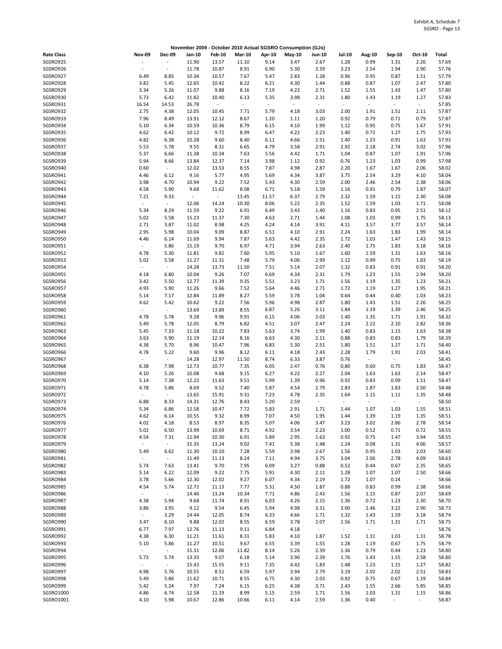|                        |                                  |                          |                  |                                   |                                  |                                  | November 2009 - October 2010 Actual SGSRO Consumption (GJs) |                                  |                          |                                  |                                  |                |                |
|------------------------|----------------------------------|--------------------------|------------------|-----------------------------------|----------------------------------|----------------------------------|-------------------------------------------------------------|----------------------------------|--------------------------|----------------------------------|----------------------------------|----------------|----------------|
| <b>Rate Class</b>      | <b>Nov-09</b>                    | <b>Dec-09</b>            | Jan-10           | <b>Feb-10</b>                     | <b>Mar-10</b>                    | Apr-10                           | $May-10$                                                    | Jun-10                           | <b>Jul-10</b>            | Aug-10                           | Sep-10                           | Oct-10         | Total          |
| SGSRO925               |                                  | $\overline{\phantom{a}}$ | 11.90            | 13.57                             | 11.10                            | 9.14                             | 3.47                                                        | 2.67                             | 1.28                     | 0.99                             | 1.31                             | 2.26           | 57.69          |
| SGSRO926               | $\sim$                           | $\overline{\phantom{a}}$ | 11.78            | 10.87                             | 8.91                             | 6.90                             | 5.30                                                        | 3.39                             | 3.23                     | 2.54                             | 1.94                             | 2.90           | 57.76          |
| SGSRO927               | 6.49                             | 8.85                     | 10.34            | 10.57                             | 7.67                             | 5.47                             | 2.83                                                        | 1.28                             | 0.96                     | 0.95                             | 0.87                             | 1.51           | 57.79          |
| SGSRO928               | 3.82                             | 5.45                     | 12.65            | 10.42                             | 8.22                             | 6.21                             | 4.30                                                        | 1.44                             | 0.88                     | 0.87                             | 1.07                             | 2.47           | 57.80          |
| SGSRO929               | 3.34                             | 5.26                     | 11.07            | 9.88                              | 8.16                             | 7.19                             | 4.22                                                        | 2.71                             | 1.52                     | 1.55                             | 1.43                             | 1.47           | 57.80          |
| SGSRO930<br>SGSRO931   | 5.73                             | 6.42<br>14.53            | 11.82<br>26.78   | 10.40<br>$\overline{\phantom{a}}$ | 6.13<br>$\overline{\phantom{a}}$ | 5.35<br>$\overline{\phantom{a}}$ | 3.98<br>$\overline{\phantom{a}}$                            | 2.31<br>$\blacksquare$           | 1.80<br>$\omega$         | 1.43<br>$\overline{\phantom{a}}$ | 1.19<br>$\omega$                 | 1.27<br>$\sim$ | 57.83<br>57.85 |
| SGSRO932               | 16.54<br>2.75                    | 4.38                     | 12.05            | 10.45                             | 7.71                             | 5.79                             | 4.18                                                        | 3.03                             | 2.00                     | 1.91                             | 1.51                             | 2.11           | 57.87          |
| SGSRO933               | 7.96                             | 8.49                     | 13.91            | 12.12                             | 8.67                             | 1.20                             | 1.11                                                        | 1.20                             | 0.92                     | 0.79                             | 0.71                             | 0.79           | 57.87          |
| SGSRO934               | 5.10                             | 6.34                     | 10.59            | 10.36                             | 8.79                             | 6.15                             | 4.10                                                        | 1.99                             | 1.12                     | 0.95                             | 0.75                             | 1.67           | 57.91          |
| SGSRO935               | 4.62                             | 6.42                     | 10.12            | 9.72                              | 8.99                             | 6.47                             | 4.22                                                        | 2.23                             | 1.40                     | 0.72                             | 1.27                             | 1.75           | 57.93          |
| SGSRO936               | 4.82                             | 6.38                     | 10.28            | 9.60                              | 8.40                             | 6.11                             | 4.66                                                        | 2.51                             | 1.40                     | 1.23                             | 0.91                             | 1.63           | 57.93          |
| SGSRO937               | 5.53                             | 5.78                     | 9.55             | 8.31                              | 6.65                             | 4.79                             | 3.58                                                        | 2.91                             | 2.92                     | 2.18                             | 2.74                             | 3.02           | 57.96          |
| SGSRO938               | 5.37                             | 6.66                     | 11.38            | 10.34                             | 7.63                             | 5.56                             | 4.42                                                        | 1.71                             | 1.04                     | 0.87                             | 1.07                             | 1.91           | 57.96          |
| SGSRO939               | 5.94                             | 8.66                     | 13.84            | 12.37                             | 7.14                             | 3.98                             | 1.12                                                        | 0.92                             | 0.76                     | 1.23                             | 1.03                             | 0.99           | 57.98          |
| SGSRO940               | 0.60                             | $\omega$                 | 12.02            | 13.53                             | 8.55                             | 7.87                             | 4.98                                                        | 2.87                             | 2.20                     | 1.67                             | 1.67                             | 2.06           | 58.02          |
| SGSRO941               | 4.46                             | 6.12                     | 9.16             | 5.77                              | 4.95                             | 5.69                             | 4.34                                                        | 3.87                             | 3.75                     | 2.54                             | 3.29                             | 4.10           | 58.04          |
| SGSRO942               | 3.98                             | 4.70                     | 10.94            | 9.22                              | 7.52                             | 5.43                             | 4.30                                                        | 2.59                             | 2.00                     | 2.46                             | 2.54                             | 2.38           | 58.06          |
| SGSRO943<br>SGSRO944   | 4.58<br>7.21                     | 5.90<br>9.33             | 9.68<br>$\omega$ | 11.62<br>$\blacksquare$           | 8.08<br>13.45                    | 6.71<br>11.57                    | 5.18<br>6.37                                                | 1.59<br>2.79                     | 1.16<br>2.32             | 0.91<br>1.59                     | 0.79<br>1.15                     | 1.87<br>2.30   | 58.07<br>58.08 |
| SGSRO945               | $\overline{\phantom{a}}$         | $\sim$                   | 12.06            | 14.24                             | 10.30                            | 8.06                             | 5.22                                                        | 2.35                             | 1.52                     | 1.59                             | 1.03                             | 1.71           | 58.08          |
| SGSRO946               | 5.34                             | 8.29                     | 11.59            | 9.22                              | 6.91                             | 6.49                             | 3.43                                                        | 1.40                             | 1.16                     | 0.83                             | 0.95                             | 2.51           | 58.12          |
| SGSRO947               | 5.02                             | 5.58                     | 15.23            | 11.37                             | 7.30                             | 4.63                             | 2.71                                                        | 1.44                             | 1.08                     | 1.03                             | 0.99                             | 1.75           | 58.13          |
| SGSRO948               | 2.71                             | 3.87                     | 11.02            | 8.98                              | 4.25                             | 4.24                             | 4.14                                                        | 3.91                             | 4.11                     | 3.57                             | 3.77                             | 3.57           | 58.14          |
| SGSRO949               | 2.95                             | 5.98                     | 10.04            | 9.09                              | 8.87                             | 6.51                             | 4.10                                                        | 2.91                             | 2.24                     | 1.63                             | 1.83                             | 1.99           | 58.14          |
| SGSRO950               | 4.46                             | 6.14                     | 11.69            | 9.94                              | 7.87                             | 5.63                             | 4.42                                                        | 2.35                             | 1.72                     | 1.03                             | 1.47                             | 1.43           | 58.15          |
| SGSRO951               | $\overline{\phantom{a}}$         | 5.86                     | 15.19            | 9.70                              | 6.97                             | 4.71                             | 3.94                                                        | 2.63                             | 2.40                     | 1.75                             | 1.83                             | 3.18           | 58.16          |
| SGSRO952               | 4.78                             | 5.30                     | 11.81            | 9.82                              | 7.60                             | 5.95                             | 5.10                                                        | 1.67                             | 1.60                     | 1.59                             | 1.31                             | 1.63           | 58.16          |
| SGSRO953               | 5.02                             | 5.58                     | 11.27            | 11.31                             | 7.48                             | 5.79                             | 4.06                                                        | 2.99                             | 1.12                     | 0.99                             | 0.75                             | 1.83           | 58.19          |
| SGSRO954               | ÷.                               | $\sim$                   | 14.28            | 13.73                             | 11.50                            | 7.51                             | 5.14                                                        | 2.07                             | 1.32                     | 0.83                             | 0.91                             | 0.91           | 58.20          |
| SGSRO955               | 4.18                             | 6.80                     | 10.04            | 9.26                              | 7.07                             | 6.69                             | 4.34                                                        | 2.31                             | 1.79                     | 1.23                             | 1.55                             | 2.94           | 58.20          |
| SGSRO956               | 3.42                             | 5.50                     | 12.77            | 11.39                             | 9.35                             | 5.51                             | 3.23                                                        | 1.71                             | 1.56                     | 1.19                             | 1.35                             | 1.23           | 58.21          |
| SGSRO957               | 4.93                             | 5.90                     | 11.26            | 9.66                              | 7.52                             | 5.64                             | 4.46                                                        | 2.71                             | 1.72                     | 1.19                             | 1.27                             | 1.95           | 58.21          |
| SGSRO958               | 5.14                             | 7.17                     | 12.84            | 11.89                             | 8.27                             | 5.59                             | 3.78                                                        | 1.04                             | 0.64                     | 0.44                             | 0.40                             | 1.03           | 58.23          |
| SGSRO959<br>SGSRO960   | 4.62<br>$\overline{\phantom{a}}$ | 5.42<br>$\omega$         | 10.62<br>13.69   | 9.22                              | 7.56<br>8.55                     | 5.96<br>6.87                     | 4.98                                                        | 2.87<br>3.11                     | 1.80<br>1.84             | 1.43<br>1.19                     | 1.51<br>1.39                     | 2.26<br>2.46   | 58.25<br>58.25 |
| SGSRO961               | 4.78                             | 5.78                     | 9.28             | 13.89<br>9.96                     | 9.91                             | 6.15                             | 5.26<br>4.06                                                | 2.03                             | 1.40                     | 1.35                             | 1.71                             | 1.91           | 58.32          |
| SGSRO962               | 5.49                             | 5.78                     | 12.05            | 8.79                              | 6.82                             | 4.51                             | 3.07                                                        | 2.47                             | 2.24                     | 2.22                             | 2.10                             | 2.82           | 58.36          |
| SGSRO963               | 5.45                             | 7.33                     | 11.18            | 10.22                             | 7.83                             | 5.63                             | 3.74                                                        | 1.99                             | 1.40                     | 0.83                             | 1.15                             | 1.63           | 58.38          |
| SGSRO964               | 3.63                             | 5.90                     | 11.19            | 12.14                             | 8.16                             | 6.63                             | 4.30                                                        | 2.11                             | 0.88                     | 0.83                             | 0.83                             | 1.79           | 58.39          |
| SGSRO965               | 4.38                             | 5.70                     | 8.96             | 10.47                             | 7.96                             | 6.83                             | 5.30                                                        | 2.51                             | 1.80                     | 1.51                             | 1.27                             | 1.71           | 58.40          |
| SGSRO966               | 4.78                             | 5.22                     | 9.60             | 9.96                              | 8.12                             | 6.11                             | 4.18                                                        | 2.43                             | 2.28                     | 1.79                             | 1.91                             | 2.03           | 58.41          |
| SGSRO967               | $\overline{\phantom{a}}$         | $\sim$                   | 14.28            | 12.97                             | 11.50                            | 8.74                             | 6.33                                                        | 3.87                             | 0.76                     | $\blacksquare$                   | $\omega_{\rm c}$                 | $\sim$         | 58.45          |
| SGSRO968               | 6.38                             | 7.98                     | 12.73            | 10.77                             | 7.35                             | 6.05                             | 2.47                                                        | 0.76                             | 0.80                     | 0.60                             | 0.75                             | 1.83           | 58.47          |
| SGSRO969               | 4.10                             | 5.26                     | 10.08            | 9.68                              | 9.15                             | 6.27                             | 4.22                                                        | 2.27                             | 2.04                     | 1.63                             | 1.63                             | 2.14           | 58.47          |
| SGSRO970               | 5.14                             | 7.38                     | 12.22            | 11.63                             | 9.51                             | 5.99                             | 1.39                                                        | 0.96                             | 0.92                     | 0.83                             | 0.99                             | 1.51           | 58.47          |
| SGSRO971               | 4.78                             | 5.86                     | 8.69             | 9.52                              | 7.40                             | 5.87                             | 4.54                                                        | 2.79                             | 2.83                     | 1.87                             | 1.83                             | 2.50           | 58.48          |
| SGSRO972               |                                  | $\sim$                   | 13.65            | 15.91                             | 9.31                             | 7.23                             | 4.78                                                        | 2.35                             | 1.64                     | 1.15                             | 1.11                             | 1.35           | 58.48          |
| SGSRO973<br>SGSRO974   | 6.88<br>5.34                     | 8.33<br>6.86             | 14.31<br>12.58   | 12.76<br>10.47                    | 8.43<br>7.72                     | 5.20<br>5.83                     | 2.59<br>2.91                                                | $\overline{\phantom{a}}$<br>1.71 | $\sim$<br>1.44           | ÷,<br>1.07                       | $\overline{\phantom{a}}$<br>1.03 | $\sim$<br>1.55 | 58.50<br>58.51 |
| SGSRO975               | 4.62                             | 6.14                     | 10.55            | 9.32                              | 8.99                             | 7.07                             | 4.50                                                        | 1.95                             | 1.44                     | 1.39                             | 1.19                             | 1.35           | 58.51          |
| SGSRO976               | 4.02                             | 4.18                     | 8.53             | 8.97                              | 8.35                             | 5.07                             | 4.06                                                        | 3.47                             | 3.23                     | 3.02                             | 2.86                             | 2.78           | 58.54          |
| SGSRO977               | 5.02                             | 6.50                     | 13.99            | 10.69                             | 8.71                             | 4.92                             | 3.54                                                        | 2.23                             | 1.00                     | 0.52                             | 0.71                             | 0.72           | 58.55          |
| SGSRO978               | 4.54                             | 7.31                     | 11.94            | 10.30                             | 6.91                             | 5.89                             | 2.95                                                        | 1.63                             | 0.92                     | 0.75                             | 1.47                             | 3.94           | 58.55          |
| SGSRO979               | $\overline{\phantom{a}}$         | $\omega$                 | 15.35            | 13.24                             | 9.02                             | 7.41                             | 5.38                                                        | 1.48                             | 1.24                     | 0.08                             | 1.31                             | 4.06           | 58.57          |
| SGSRO980               | 5.49                             | 6.62                     | 11.30            | 10.10                             | 7.28                             | 5.59                             | 3.98                                                        | 2.67                             | 1.56                     | 0.95                             | 1.03                             | 2.03           | 58.60          |
| SGSRO981               |                                  | $\omega$                 | 11.49            | 11.13                             | 8.24                             | 7.11                             | 4.94                                                        | 3.75                             | 3.04                     | 2.06                             | 2.78                             | 4.09           | 58.63          |
| SGSRO982               | 5.74                             | 7.63                     | 13.41            | 9.70                              | 7.95                             | 6.09                             | 3.27                                                        | 0.88                             | 0.52                     | 0.44                             | 0.67                             | 2.35           | 58.65          |
| SGSRO983               | 5.14                             | 6.22                     | 12.09            | 9.22                              | 7.75                             | 5.91                             | 4.30                                                        | 2.11                             | 1.28                     | 1.07                             | 1.07                             | 2.50           | 58.66          |
| SGSRO984               | 3.78                             | 5.66                     | 12.30            | 12.02                             | 9.27                             | 6.07                             | 4.34                                                        | 2.19                             | 1.72                     | 1.07                             | 0.24                             | $\omega$       | 58.66          |
| SGSRO985               | 4.54                             | 5.74                     | 12.72            | 11.13                             | 7.77                             | 5.31                             | 4.50                                                        | 1.87                             | 0.88                     | 0.83                             | 0.99                             | 2.38           | 58.66          |
| SGSRO986<br>SGSRO987   | $\overline{\phantom{a}}$<br>4.38 | $\sim$<br>5.94           | 14.46<br>9.68    | 13.24                             | 10.34<br>8.91                    | 7.71<br>6.03                     | 4.86                                                        | 2.43<br>2.15                     | 1.56<br>1.36             | 1.15<br>0.72                     | 0.87                             | 2.07<br>2.30   | 58.69<br>58.70 |
| SGSRO988               | 3.86                             | 3.95                     | 9.12             | 11.74<br>9.54                     | 6.45                             | 5.94                             | 4.26<br>4.98                                                | 3.31                             | 3.00                     | 2.46                             | 1.23<br>3.22                     | 2.90           | 58.73          |
| SGSRO989               | $\sim$                           | 3.29                     | 14.44            | 12.05                             | 8.74                             | 6.33                             | 4.66                                                        | 1.71                             | 1.32                     | 1.43                             | 1.59                             | 3.18           | 58.74          |
| SGSRO990               | 3.47                             | 6.10                     | 9.88             | 12.02                             | 8.55                             | 6.59                             | 3.78                                                        | 2.07                             | 1.56                     | 1.71                             | 1.31                             | 1.71           | 58.75          |
| SGSRO991               | 6.77                             | 7.97                     | 12.76            | 11.13                             | 9.11                             | 6.84                             | 4.18                                                        | $\sim$                           | $\overline{\phantom{a}}$ | $\overline{\phantom{a}}$         | $\sim$                           | $\sim$         | 58.76          |
| SGSRO992               | 4.38                             | 6.30                     | 11.21            | 11.61                             | 8.31                             | 5.83                             | 4.10                                                        | 1.87                             | 1.52                     | 1.31                             | 1.03                             | 1.31           | 58.78          |
| SGSRO993               | 5.10                             | 5.86                     | 11.27            | 10.51                             | 9.67                             | 6.55                             | 3.39                                                        | 1.55                             | 1.28                     | 1.19                             | 0.67                             | 1.75           | 58.79          |
| SGSRO994               | $\overline{\phantom{a}}$         | $\omega_{\rm c}$         | 15.31            | 12.06                             | 11.82                            | 8.14                             | 5.26                                                        | 2.39                             | 1.36                     | 0.79                             | 0.44                             | 1.23           | 58.80          |
| SGSRO995               | 5.73                             | 5.74                     | 13.33            | 9.07                              | 6.18                             | 5.14                             | 3.90                                                        | 2.39                             | 1.76                     | 1.43                             | 1.55                             | 2.58           | 58.80          |
| SGSRO996               | $\overline{\phantom{a}}$         | $\sim$                   | 15.43            | 15.55                             | 9.11                             | 7.35                             | 4.42                                                        | 1.83                             | 1.48                     | 1.23                             | 1.15                             | 1.27           | 58.82          |
| SGSRO997               | 4.98                             | 5.76                     | 10.55            | 8.51                              | 6.59                             | 5.97                             | 3.94                                                        | 2.79                             | 3.19                     | 2.02                             | 2.02                             | 2.51           | 58.83          |
| SGSRO998               | 5.49                             | 5.86                     | 11.62            | 10.71                             | 8.55                             | 6.75                             | 4.30                                                        | 2.03                             | 0.92                     | 0.75                             | 0.67                             | 1.19           | 58.84          |
| SGSRO999               | 5.42                             | 5.24                     | 7.97             | 7.24                              | 6.15                             | 6.25                             | 4.38                                                        | 3.71                             | 2.43                     | 1.55                             | 2.66                             | 5.85           | 58.85          |
| SGSRO1000<br>SGSRO1001 | 4.86<br>4.10                     | 6.74<br>5.98             | 12.58<br>10.67   | 11.19                             | 8.99<br>10.66                    | 5.15<br>6.11                     | 2.59                                                        | 1.71                             | 1.56                     | 1.03<br>0.40                     | 1.31<br>$\sim$                   | 1.15           | 58.86<br>58.87 |
|                        |                                  |                          |                  | 12.86                             |                                  |                                  | 4.14                                                        | 2.59                             | 1.36                     |                                  |                                  | $\sim$         |                |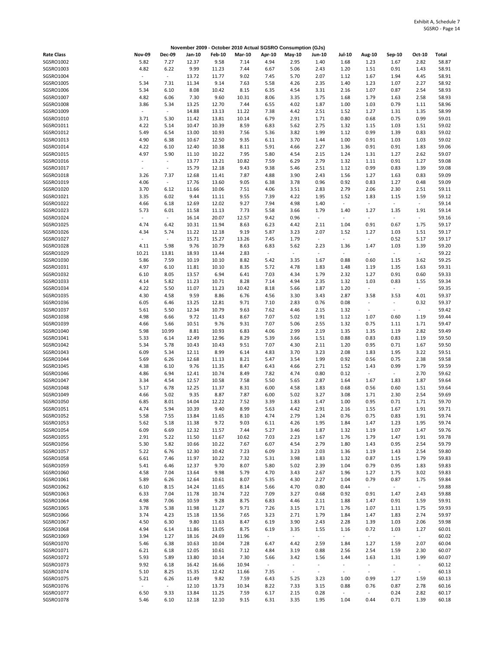| November 2009 - October 2010 Actual SGSRO Consumption (GJs) |                          |                          |                |                |               |                          |                          |                          |                                  |                          |                  |                |                |
|-------------------------------------------------------------|--------------------------|--------------------------|----------------|----------------|---------------|--------------------------|--------------------------|--------------------------|----------------------------------|--------------------------|------------------|----------------|----------------|
| <b>Rate Class</b>                                           | <b>Nov-09</b>            | <b>Dec-09</b>            | Jan-10         | <b>Feb-10</b>  | <b>Mar-10</b> | Apr-10                   | May-10                   | Jun-10                   | Jul-10                           | Aug-10                   | Sep-10           | Oct-10         | Total          |
| SGSRO1002                                                   | 5.82                     | 7.27                     | 12.37          | 9.58           | 7.14          | 4.94                     | 2.95                     | 1.40                     | 1.68                             | 1.23                     | 1.67             | 2.82           | 58.87          |
| SGSRO1003                                                   | 4.82                     | 6.22                     | 9.99           | 11.23          | 7.44          | 6.67                     | 5.06                     | 2.43                     | 1.20                             | 1.51                     | 0.91             | 1.43           | 58.91          |
| SGSRO1004                                                   | $\overline{\phantom{a}}$ | $\blacksquare$           | 13.72          | 11.77          | 9.02          | 7.45                     | 5.70                     | 2.07                     | 1.12                             | 1.67                     | 1.94             | 4.45           | 58.91          |
| SGSRO1005<br>SGSRO1006                                      | 5.34<br>5.34             | 7.31<br>6.10             | 11.34<br>8.08  | 9.14<br>10.42  | 7.63<br>8.15  | 5.58<br>6.35             | 4.26<br>4.54             | 2.35<br>3.31             | 1.40<br>2.16                     | 1.23<br>1.07             | 1.07<br>0.87     | 2.27<br>2.54   | 58.92<br>58.93 |
| SGSRO1007                                                   | 4.82                     | 6.06                     | 7.30           | 9.60           | 10.31         | 8.06                     | 3.35                     | 1.75                     | 1.68                             | 1.79                     | 1.63             | 2.58           | 58.93          |
| SGSRO1008                                                   | 3.86                     | 5.34                     | 13.25          | 12.70          | 7.44          | 6.55                     | 4.02                     | 1.87                     | 1.00                             | 1.03                     | 0.79             | 1.11           | 58.96          |
| SGSRO1009                                                   | $\overline{\phantom{a}}$ | $\sim$                   | 14.88          | 13.13          | 11.22         | 7.38                     | 4.42                     | 2.51                     | 1.52                             | 1.27                     | 1.31             | 1.35           | 58.99          |
| SGSRO1010                                                   | 3.71                     | 5.30                     | 11.42          | 13.81          | 10.14         | 6.79                     | 2.91                     | 1.71                     | 0.80                             | 0.68                     | 0.75             | 0.99           | 59.01          |
| SGSRO1011                                                   | 4.22                     | 5.14                     | 10.47          | 10.39          | 8.59          | 6.83                     | 5.62                     | 2.75                     | 1.32                             | 1.15                     | 1.03             | 1.51           | 59.02          |
| SGSRO1012                                                   | 5.49                     | 6.54                     | 13.00          | 10.93          | 7.56          | 5.36                     | 3.82                     | 1.99                     | 1.12                             | 0.99                     | 1.39             | 0.83           | 59.02          |
| SGSRO1013                                                   | 4.90                     | 6.38                     | 10.67          | 12.50          | 9.35          | 6.11                     | 3.70                     | 1.44                     | 1.00                             | 0.91                     | 1.03             | 1.03           | 59.02          |
| SGSRO1014<br>SGSRO1015                                      | 4.22<br>4.97             | 6.10<br>5.90             | 12.40<br>11.10 | 10.38<br>10.22 | 8.11<br>7.95  | 5.91<br>5.80             | 4.66<br>4.54             | 2.27<br>2.15             | 1.36<br>1.24                     | 0.91<br>1.31             | 0.91<br>1.27     | 1.83<br>2.62   | 59.06<br>59.07 |
| SGSRO1016                                                   | ÷,                       | $\sim$                   | 13.77          | 13.21          | 10.82         | 7.59                     | 6.29                     | 2.79                     | 1.32                             | 1.11                     | 0.91             | 1.27           | 59.08          |
| SGSRO1017                                                   | $\overline{\phantom{a}}$ | $\overline{\phantom{a}}$ | 15.79          | 12.18          | 9.43          | 9.38                     | 5.46                     | 2.51                     | 1.12                             | 0.99                     | 0.83             | 1.39           | 59.08          |
| SGSRO1018                                                   | 3.26                     | 7.37                     | 12.68          | 11.41          | 7.87          | 4.88                     | 3.90                     | 2.43                     | 1.56                             | 1.27                     | 1.63             | 0.83           | 59.09          |
| SGSRO1019                                                   | 4.06                     | $\blacksquare$           | 17.76          | 13.60          | 9.05          | 6.38                     | 3.78                     | 0.96                     | 0.92                             | 0.83                     | 1.27             | 0.48           | 59.09          |
| SGSRO1020                                                   | 3.70                     | 6.12                     | 11.66          | 10.06          | 7.51          | 4.06                     | 3.51                     | 2.83                     | 2.79                             | 2.06                     | 2.30             | 2.51           | 59.11          |
| SGSRO1021                                                   | 3.35                     | 6.02                     | 9.44           | 11.11          | 9.55          | 7.39                     | 4.22                     | 1.95                     | 1.52                             | 1.83                     | 1.15             | 1.59           | 59.12          |
| SGSRO1022<br>SGSRO1023                                      | 4.66                     | 6.18                     | 12.69          | 12.02          | 9.27          | 7.94                     | 4.98                     | 1.40                     | $\blacksquare$                   | $\sim$                   | $\sim$           | $\sim$         | 59.14          |
| SGSRO1024                                                   | 5.73<br>÷,               | 6.01<br>$\omega$         | 11.58<br>16.14 | 11.13<br>20.07 | 7.73<br>12.57 | 5.58<br>9.42             | 3.66<br>0.96             | 1.79<br>$\omega$         | 1.40<br>$\overline{\phantom{a}}$ | 1.27<br>$\sim$           | 1.35<br>÷,       | 1.91<br>$\sim$ | 59.14<br>59.16 |
| SGSRO1025                                                   | 4.74                     | 6.42                     | 10.31          | 11.94          | 8.63          | 6.23                     | 4.42                     | 2.11                     | 1.04                             | 0.91                     | 0.67             | 1.75           | 59.17          |
| SGSRO1026                                                   | 4.34                     | 5.74                     | 11.22          | 12.18          | 9.19          | 5.87                     | 3.23                     | 2.07                     | 1.52                             | 1.27                     | 1.03             | 1.51           | 59.17          |
| SGSRO1027                                                   | $\overline{\phantom{a}}$ | $\blacksquare$           | 15.71          | 15.27          | 13.26         | 7.45                     | 1.79                     | $\sim$                   | $\sim$                           | $\sim$                   | 0.52             | 5.17           | 59.17          |
| SGSRO1028                                                   | 4.11                     | 5.98                     | 9.76           | 10.79          | 8.63          | 6.83                     | 5.62                     | 2.23                     | 1.36                             | 1.47                     | 1.03             | 1.39           | 59.20          |
| SGSRO1029                                                   | 10.21                    | 13.81                    | 18.93          | 13.44          | 2.83          | $\overline{\phantom{a}}$ | ÷,                       | $\overline{\phantom{a}}$ | $\overline{\phantom{a}}$         | $\overline{\phantom{a}}$ | $\blacksquare$   | $\sim$         | 59.22          |
| SGSRO1030                                                   | 5.86                     | 7.59                     | 10.19          | 10.10          | 8.82          | 5.42                     | 3.35                     | 1.67                     | 0.88                             | 0.60                     | 1.15             | 3.62           | 59.25          |
| SGSRO1031                                                   | 4.97                     | 6.10                     | 11.81          | 10.10          | 8.35          | 5.72                     | 4.78                     | 1.83                     | 1.48                             | 1.19                     | 1.35             | 1.63           | 59.31          |
| SGSRO1032<br>SGSRO1033                                      | 6.10<br>4.14             | 8.05<br>5.82             | 13.57<br>11.23 | 6.94<br>10.71  | 6.41<br>8.28  | 7.03<br>7.14             | 4.34<br>4.94             | 1.79<br>2.35             | 2.32<br>1.32                     | 1.27<br>1.03             | 0.91<br>0.83     | 0.60<br>1.55   | 59.33<br>59.34 |
| SGSRO1034                                                   | 4.22                     | 5.50                     | 11.07          | 11.23          | 10.42         | 8.18                     | 5.66                     | 1.87                     | 1.20                             | $\sim$                   | $\blacksquare$   | $\sim$         | 59.35          |
| SGSRO1035                                                   | 4.30                     | 4.58                     | 9.59           | 8.86           | 6.76          | 4.56                     | 3.30                     | 3.43                     | 2.87                             | 3.58                     | 3.53             | 4.01           | 59.37          |
| SGSRO1036                                                   | 6.05                     | 6.46                     | 13.25          | 12.81          | 9.71          | 7.10                     | 2.83                     | 0.76                     | 0.08                             | $\sim$                   | $\blacksquare$   | 0.32           | 59.37          |
| SGSRO1037                                                   | 5.61                     | 5.50                     | 12.34          | 10.79          | 9.63          | 7.62                     | 4.46                     | 2.15                     | 1.32                             | $\overline{\phantom{a}}$ | $\blacksquare$   | $\sim$         | 59.42          |
| SGSRO1038                                                   | 4.98                     | 6.66                     | 9.72           | 11.43          | 8.67          | 7.07                     | 5.02                     | 1.91                     | 1.12                             | 1.07                     | 0.60             | 1.19           | 59.44          |
| SGSRO1039                                                   | 4.66                     | 5.66                     | 10.51          | 9.76           | 9.31          | 7.07                     | 5.06                     | 2.55                     | 1.32                             | 0.75                     | 1.11             | 1.71           | 59.47          |
| SGSRO1040                                                   | 5.98                     | 10.99                    | 8.81           | 10.93          | 6.83          | 4.06                     | 2.99                     | 2.19                     | 1.35                             | 1.35                     | 1.19             | 2.82           | 59.49          |
| SGSRO1041<br>SGSRO1042                                      | 5.33<br>5.34             | 6.14<br>5.78             | 12.49<br>10.43 | 12.96<br>10.43 | 8.29<br>9.51  | 5.39<br>7.07             | 3.66<br>4.30             | 1.51<br>2.11             | 0.88<br>1.20                     | 0.83<br>0.95             | 0.83<br>0.71     | 1.19<br>1.67   | 59.50<br>59.50 |
| SGSRO1043                                                   | 6.09                     | 5.34                     | 12.11          | 8.99           | 6.14          | 4.83                     | 3.70                     | 3.23                     | 2.08                             | 1.83                     | 1.95             | 3.22           | 59.51          |
| SGSRO1044                                                   | 5.69                     | 6.26                     | 12.68          | 11.13          | 8.21          | 5.47                     | 3.54                     | 1.99                     | 0.92                             | 0.56                     | 0.75             | 2.38           | 59.58          |
| SGSRO1045                                                   | 4.38                     | 6.10                     | 9.76           | 11.35          | 8.47          | 6.43                     | 4.66                     | 2.71                     | 1.52                             | 1.43                     | 0.99             | 1.79           | 59.59          |
| SGSRO1046                                                   | 4.86                     | 6.94                     | 12.41          | 10.74          | 8.49          | 7.82                     | 4.74                     | 0.80                     | 0.12                             | $\blacksquare$           | $\omega$         | 2.70           | 59.62          |
| SGSRO1047                                                   | 3.34                     | 4.54                     | 12.57          | 10.58          | 7.58          | 5.50                     | 5.65                     | 2.87                     | 1.64                             | 1.67                     | 1.83             | 1.87           | 59.64          |
| SGSRO1048                                                   | 5.17                     | 6.78                     | 12.25          | 11.37          | 8.31          | 6.00                     | 4.58                     | 1.83                     | 0.68                             | 0.56                     | 0.60             | 1.51           | 59.64          |
| SGSRO1049<br>SGSRO1050                                      | 4.66<br>6.85             | 5.02<br>8.01             | 9.35<br>14.04  | 8.87<br>12.22  | 7.87<br>7.52  | 6.00<br>3.39             | 5.02<br>1.83             | 3.27<br>1.47             | 3.08<br>1.00                     | 1.71<br>0.95             | 2.30<br>0.71     | 2.54<br>1.71   | 59.69<br>59.70 |
| SGSRO1051                                                   | 4.74                     | 5.94                     | 10.39          | 9.40           | 8.99          | 5.63                     | 4.42                     | 2.91                     | 2.16                             | 1.55                     | 1.67             | 1.91           | 59.71          |
| SGSRO1052                                                   | 5.58                     | 7.55                     | 13.84          | 11.65          | 8.10          | 4.74                     | 2.79                     | 1.24                     | 0.76                             | 0.75                     | 0.83             | 1.91           | 59.74          |
| SGSRO1053                                                   | 5.62                     | 5.18                     | 11.38          | 9.72           | 9.03          | 6.11                     | 4.26                     | 1.95                     | 1.84                             | 1.47                     | 1.23             | 1.95           | 59.74          |
| SGSRO1054                                                   | 6.09                     | 6.69                     | 12.32          | 11.57          | 7.44          | 5.27                     | 3.46                     | 1.87                     | 1.32                             | 1.19                     | 1.07             | 1.47           | 59.76          |
| SGSRO1055                                                   | 2.91                     | 5.22                     | 11.50          | 11.67          | 10.62         | 7.03                     | 2.23                     | 1.67                     | 1.76                             | 1.79                     | 1.47             | 1.91           | 59.78          |
| SGSRO1056                                                   | 5.30                     | 5.82                     | 10.66          | 10.22          | 7.67          | 6.07                     | 4.54                     | 2.79                     | 1.80                             | 1.43                     | 0.95             | 2.54           | 59.79          |
| SGSRO1057                                                   | 5.22                     | 6.76                     | 12.30          | 10.42          | 7.23          | 6.09                     | 3.23                     | 2.03                     | 1.36                             | 1.19                     | 1.43             | 2.54           | 59.80          |
| SGSRO1058<br>SGSRO1059                                      | 6.61<br>5.41             | 7.46<br>6.46             | 11.97<br>12.37 | 10.22<br>9.70  | 7.32<br>8.07  | 5.31<br>5.80             | 3.98<br>5.02             | 1.83<br>2.39             | 1.32<br>1.04                     | 0.87<br>0.79             | 1.15<br>0.95     | 1.79<br>1.83   | 59.83<br>59.83 |
| SGSRO1060                                                   | 4.58                     | 7.04                     | 13.64          | 9.98           | 5.79          | 4.70                     | 3.43                     | 2.67                     | 1.96                             | 1.27                     | 1.75             | 3.02           | 59.83          |
| SGSRO1061                                                   | 5.89                     | 6.26                     | 12.64          | 10.61          | 8.07          | 5.35                     | 4.30                     | 2.27                     | 1.04                             | 0.79                     | 0.87             | 1.75           | 59.84          |
| SGSRO1062                                                   | 6.10                     | 8.15                     | 14.24          | 11.65          | 8.14          | 5.66                     | 4.70                     | 0.80                     | 0.44                             | $\sim$                   | $\omega_{\rm c}$ | $\sim$         | 59.88          |
| SGSRO1063                                                   | 6.33                     | 7.04                     | 11.78          | 10.74          | 7.22          | 7.09                     | 3.27                     | 0.68                     | 0.92                             | 0.91                     | 1.47             | 2.43           | 59.88          |
| SGSRO1064                                                   | 4.98                     | 7.06                     | 10.59          | 9.28           | 8.75          | 6.83                     | 4.46                     | 2.11                     | 1.88                             | 1.47                     | 0.91             | 1.59           | 59.91          |
| SGSRO1065                                                   | 3.78                     | 5.38                     | 11.98          | 11.27          | 9.71          | 7.26                     | 3.15                     | 1.71                     | 1.76                             | 1.07                     | 1.11             | 1.75           | 59.93          |
| SGSRO1066                                                   | 3.74                     | 4.23                     | 15.18          | 13.56          | 7.65          | 3.23                     | 2.71                     | 1.79                     | 1.84                             | 1.47                     | 1.83             | 2.74           | 59.97          |
| SGSRO1067<br>SGSRO1068                                      | 4.50<br>4.94             | 6.30<br>6.14             | 9.80<br>11.86  | 11.63<br>13.05 | 8.47<br>8.75  | 6.19<br>6.19             | 3.90<br>3.35             | 2.43<br>1.55             | 2.28<br>1.16                     | 1.39<br>0.72             | 1.03<br>1.03     | 2.06<br>1.27   | 59.98<br>60.01 |
| SGSRO1069                                                   | 3.94                     | 1.27                     | 18.16          | 24.69          | 11.96         | $\blacksquare$           | $\overline{\phantom{a}}$ | $\sim$                   | $\sim$                           | $\blacksquare$           | $\omega_{\rm c}$ | $\sim$         | 60.02          |
| SGSRO1070                                                   | 5.46                     | 6.38                     | 10.63          | 10.04          | 7.28          | 6.47                     | 4.42                     | 2.59                     | 1.84                             | 1.27                     | 1.59             | 2.07           | 60.04          |
| SGSRO1071                                                   | 6.21                     | 6.18                     | 12.05          | 10.61          | 7.12          | 4.84                     | 3.19                     | 0.88                     | 2.56                             | 2.54                     | 1.59             | 2.30           | 60.07          |
| SGSRO1072                                                   | 5.93                     | 5.89                     | 13.80          | 10.14          | 7.30          | 5.66                     | 3.42                     | 1.56                     | 1.44                             | 1.63                     | 1.31             | 1.99           | 60.07          |
| SGSRO1073                                                   | 9.92                     | 6.18                     | 16.42          | 16.66          | 10.94         | $\sim$                   | ÷,                       | $\blacksquare$           | $\overline{\phantom{a}}$         | ÷,                       | ÷.               | $\omega$ .     | 60.12          |
| SGSRO1074                                                   | 5.10                     | 8.25                     | 15.35          | 12.42          | 11.66         | 7.35                     | $\omega$                 | $\omega$                 | $\overline{\phantom{a}}$         | $\bar{\phantom{a}}$      | $\sim$           | $\omega$       | 60.13          |
| SGSRO1075                                                   | 5.21                     | 6.26                     | 11.49          | 9.82           | 7.59          | 6.43                     | 5.25                     | 3.23                     | 1.00                             | 0.99                     | 1.27             | 1.59           | 60.13<br>60.16 |
| SGSRO1076<br>SGSRO1077                                      | $\sim$<br>6.50           | $\sim$<br>9.33           | 12.10<br>13.84 | 13.73<br>11.25 | 10.34<br>7.59 | 8.22<br>6.17             | 7.33<br>2.15             | 3.15<br>0.28             | 0.88<br>$\overline{\phantom{a}}$ | 0.76<br>$\omega$         | 0.87<br>0.24     | 2.78<br>2.82   | 60.17          |
| SGSRO1078                                                   | 5.46                     | 6.10                     | 12.18          | 12.10          | 9.15          | 6.31                     | 3.35                     | 1.95                     | 1.04                             | 0.44                     | 0.71             | 1.39           | 60.18          |
|                                                             |                          |                          |                |                |               |                          |                          |                          |                                  |                          |                  |                |                |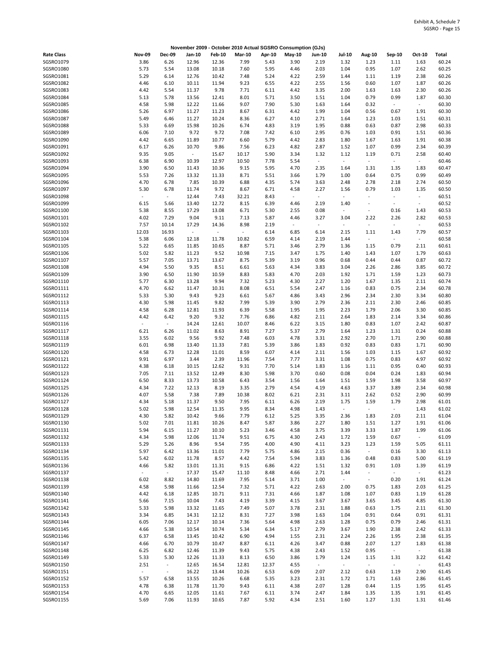| November 2009 - October 2010 Actual SGSRO Consumption (GJs) |                                  |                          |                |                          |                          |              |                                  |                          |                                  |                          |                          |                  |                |
|-------------------------------------------------------------|----------------------------------|--------------------------|----------------|--------------------------|--------------------------|--------------|----------------------------------|--------------------------|----------------------------------|--------------------------|--------------------------|------------------|----------------|
| <b>Rate Class</b>                                           | <b>Nov-09</b>                    | <b>Dec-09</b>            | Jan-10         | <b>Feb-10</b>            | <b>Mar-10</b>            | Apr-10       | May-10                           | <b>Jun-10</b>            | <b>Jul-10</b>                    | <b>Aug-10</b>            | Sep-10                   | Oct-10           | Total          |
| SGSRO1079                                                   | 3.86                             | 6.26                     | 12.96          | 12.36                    | 7.99                     | 5.43         | 3.90                             | 2.19                     | 1.32                             | 1.23                     | 1.11                     | 1.63             | 60.24          |
| SGSRO1080                                                   | 5.73                             | 5.54                     | 13.08          | 10.18                    | 7.60                     | 5.95         | 4.46                             | 2.03                     | 1.04                             | 0.95                     | 1.07                     | 2.62             | 60.25          |
| SGSRO1081                                                   | 5.29                             | 6.14                     | 12.76          | 10.42                    | 7.48                     | 5.24         | 4.22                             | 2.59                     | 1.44                             | 1.11                     | 1.19                     | 2.38             | 60.26          |
| SGSRO1082                                                   | 4.46                             | 6.10                     | 10.11          | 11.94                    | 9.23                     | 6.55         | 4.22                             | 2.55                     | 1.56                             | 0.60                     | 1.07                     | 1.87             | 60.26          |
| SGSRO1083                                                   | 4.42                             | 5.54                     | 11.37          | 9.78                     | 7.71                     | 6.11         | 4.42                             | 3.35                     | 2.00                             | 1.63                     | 1.63                     | 2.30             | 60.26          |
| SGSRO1084<br>SGSRO1085                                      | 5.13<br>4.58                     | 5.78<br>5.98             | 13.56<br>12.22 | 12.41<br>11.66           | 8.01<br>9.07             | 5.71<br>7.90 | 3.50<br>5.30                     | 1.51<br>1.63             | 1.04<br>1.64                     | 0.79<br>0.32             | 0.99<br>$\blacksquare$   | 1.87<br>$\sim$   | 60.30<br>60.30 |
| SGSRO1086                                                   | 5.26                             | 6.97                     | 11.27          | 11.23                    | 8.67                     | 6.31         | 4.42                             | 1.99                     | 1.04                             | 0.56                     | 0.67                     | 1.91             | 60.30          |
| SGSRO1087                                                   | 5.49                             | 6.46                     | 11.27          | 10.24                    | 8.36                     | 6.27         | 4.10                             | 2.71                     | 1.64                             | 1.23                     | 1.03                     | 1.51             | 60.31          |
| SGSRO1088                                                   | 5.33                             | 6.69                     | 15.98          | 10.26                    | 6.74                     | 4.83         | 3.19                             | 1.95                     | 0.88                             | 0.63                     | 0.87                     | 2.98             | 60.33          |
| SGSRO1089                                                   | 6.06                             | 7.10                     | 9.72           | 9.72                     | 7.08                     | 7.42         | 6.10                             | 2.95                     | 0.76                             | 1.03                     | 0.91                     | 1.51             | 60.36          |
| SGSRO1090                                                   | 4.42                             | 6.65                     | 11.89          | 10.77                    | 6.60                     | 5.79         | 4.42                             | 2.83                     | 1.80                             | 1.67                     | 1.63                     | 1.91             | 60.38          |
| SGSRO1091                                                   | 6.17                             | 6.26                     | 10.70          | 9.86                     | 7.56                     | 6.23         | 4.82                             | 2.87                     | 1.52                             | 1.07                     | 0.99                     | 2.34             | 60.39          |
| SGSRO1092                                                   | 9.35                             | 9.05                     | $\blacksquare$ | 15.67                    | 10.17                    | 5.90         | 3.34                             | 1.32                     | 1.12                             | 1.19                     | 0.71                     | 2.58             | 60.40          |
| SGSRO1093                                                   | 6.38                             | 6.90                     | 10.39          | 12.97                    | 10.50                    | 7.78         | 5.54                             | $\sim$                   | $\sim$                           | $\overline{\phantom{a}}$ | $\sim$                   | $\omega_{\rm c}$ | 60.46          |
| SGSRO1094                                                   | 3.90                             | 6.50                     | 11.43          | 10.36                    | 9.15                     | 5.95         | 4.70                             | 2.35                     | 1.64                             | 1.31                     | 1.35                     | 1.83             | 60.47          |
| SGSRO1095                                                   | 5.53                             | 7.26                     | 13.32          | 11.33                    | 8.71                     | 5.51         | 3.66                             | 1.79                     | 1.00                             | 0.64                     | 0.75                     | 0.99             | 60.49          |
| SGSRO1096                                                   | 4.70                             | 6.78                     | 7.85           | 10.39                    | 6.88                     | 4.35         | 5.74                             | 3.63                     | 2.48                             | 2.78                     | 2.18                     | 2.74             | 60.50          |
| SGSRO1097<br>SGSRO1098                                      | 5.30<br>$\overline{\phantom{a}}$ | 6.78<br>$\sim$           | 11.74<br>12.44 | 9.72<br>7.43             | 8.67<br>32.21            | 6.71<br>8.43 | 4.58<br>$\overline{\phantom{a}}$ | 2.27<br>$\blacksquare$   | 1.56<br>$\overline{\phantom{a}}$ | 0.79<br>$\sim$           | 1.03<br>$\sim$           | 1.35<br>$\sim$   | 60.50<br>60.51 |
| SGSRO1099                                                   | 6.15                             | 5.66                     | 13.40          | 12.72                    | 8.15                     | 6.39         | 4.46                             | 2.19                     | 1.40                             |                          | $\overline{\phantom{a}}$ | $\sim$           | 60.52          |
| SGSRO1100                                                   | 5.38                             | 8.55                     | 17.29          | 13.08                    | 6.71                     | 5.30         | 2.55                             | 0.08                     | $\overline{\phantom{a}}$         | $\bar{a}$                | 0.16                     | 1.43             | 60.53          |
| SGSRO1101                                                   | 4.02                             | 7.29                     | 9.04           | 9.11                     | 7.13                     | 5.87         | 4.46                             | 3.27                     | 3.04                             | 2.22                     | 2.26                     | 2.82             | 60.53          |
| SGSRO1102                                                   | 7.57                             | 10.14                    | 17.29          | 14.36                    | 8.98                     | 2.19         | $\overline{\phantom{a}}$         | $\overline{\phantom{a}}$ | $\overline{\phantom{a}}$         | $\sim$                   | $\sim$                   | $\sim$           | 60.53          |
| SGSRO1103                                                   | 12.03                            | 16.93                    | $\omega$       | $\overline{\phantom{a}}$ | $\overline{\phantom{a}}$ | 6.14         | 6.85                             | 6.14                     | 2.15                             | 1.11                     | 1.43                     | 7.79             | 60.57          |
| SGSRO1104                                                   | 5.38                             | 6.06                     | 12.18          | 11.78                    | 10.82                    | 6.59         | 4.14                             | 2.19                     | 1.44                             | $\sim$                   | $\overline{\phantom{a}}$ | $\sim$           | 60.58          |
| SGSRO1105                                                   | 5.22                             | 6.65                     | 11.85          | 10.65                    | 8.87                     | 5.71         | 3.46                             | 2.79                     | 1.36                             | 1.15                     | 0.79                     | 2.11             | 60.61          |
| SGSRO1106                                                   | 5.02                             | 5.82                     | 11.23          | 9.52                     | 10.98                    | 7.15         | 3.47                             | 1.75                     | 1.40                             | 1.43                     | 1.07                     | 1.79             | 60.63          |
| SGSRO1107                                                   | 5.57                             | 7.05                     | 13.71          | 13.67                    | 8.75                     | 5.39         | 3.19                             | 0.96                     | 0.68                             | 0.44                     | 0.44                     | 0.87             | 60.72          |
| SGSRO1108                                                   | 4.94                             | 5.50                     | 9.35           | 8.51                     | 6.61                     | 5.63         | 4.34                             | 3.83                     | 3.04                             | 2.26                     | 2.86                     | 3.85             | 60.72          |
| SGSRO1109                                                   | 3.90                             | 6.50                     | 11.90          | 10.59                    | 8.83                     | 5.83         | 4.70                             | 2.03                     | 1.92                             | 1.71                     | 1.59                     | 1.23             | 60.73          |
| SGSRO1110<br>SGSR01111                                      | 5.77<br>4.70                     | 6.30<br>6.62             | 13.28<br>11.47 | 9.94<br>10.31            | 7.32<br>8.08             | 5.23<br>6.51 | 4.30<br>5.54                     | 2.27<br>2.47             | 1.20<br>1.16                     | 1.67<br>0.83             | 1.35<br>0.75             | 2.11<br>2.34     | 60.74<br>60.78 |
| SGSR01112                                                   | 5.33                             | 5.30                     | 9.43           | 9.23                     | 6.61                     | 5.67         | 4.86                             | 3.43                     | 2.96                             | 2.34                     | 2.30                     | 3.34             | 60.80          |
| SGSR01113                                                   | 4.30                             | 5.98                     | 11.45          | 9.82                     | 7.99                     | 5.39         | 3.90                             | 2.79                     | 2.36                             | 2.11                     | 2.30                     | 2.46             | 60.85          |
| SGSRO1114                                                   | 4.58                             | 6.28                     | 12.81          | 11.93                    | 6.39                     | 5.58         | 1.95                             | 1.95                     | 2.23                             | 1.79                     | 2.06                     | 3.30             | 60.85          |
| SGSRO1115                                                   | 4.42                             | 6.42                     | 9.20           | 9.32                     | 7.76                     | 6.86         | 4.82                             | 2.11                     | 2.64                             | 1.83                     | 2.14                     | 3.34             | 60.86          |
| SGSRO1116                                                   | $\overline{\phantom{a}}$         | $\sim$                   | 14.24          | 12.61                    | 10.07                    | 8.46         | 6.22                             | 3.15                     | 1.80                             | 0.83                     | 1.07                     | 2.42             | 60.87          |
| SGSRO1117                                                   | 6.21                             | 6.26                     | 11.02          | 8.63                     | 8.91                     | 7.27         | 5.37                             | 2.79                     | 1.64                             | 1.23                     | 1.31                     | 0.24             | 60.88          |
| SGSR01118                                                   | 3.55                             | 6.02                     | 9.56           | 9.92                     | 7.48                     | 6.03         | 4.78                             | 3.31                     | 2.92                             | 2.70                     | 1.71                     | 2.90             | 60.88          |
| SGSRO1119                                                   | 6.01                             | 6.98                     | 13.40          | 11.33                    | 7.81                     | 5.39         | 3.86                             | 1.83                     | 0.92                             | 0.83                     | 0.83                     | 1.71             | 60.90          |
| SGSRO1120                                                   | 4.58                             | 6.73                     | 12.28          | 11.01                    | 8.59                     | 6.07         | 4.14                             | 2.11                     | 1.56                             | 1.03                     | 1.15                     | 1.67             | 60.92          |
| SGSR01121<br>SGSRO1122                                      | 9.91                             | 6.97                     | 3.44           | 2.39<br>12.62            | 11.96<br>9.31            | 7.54         | 7.77                             | 3.31                     | 1.08                             | 0.75                     | 0.83<br>0.95             | 4.97             | 60.92<br>60.93 |
| SGSRO1123                                                   | 4.38<br>7.05                     | 6.18<br>7.11             | 10.15<br>13.52 | 12.49                    | 8.30                     | 7.70<br>5.98 | 5.14<br>3.70                     | 1.83<br>0.60             | 1.16<br>0.08                     | 1.11<br>0.04             | 0.24                     | 0.40<br>1.83     | 60.94          |
| SGSRO1124                                                   | 6.50                             | 8.33                     | 13.73          | 10.58                    | 6.43                     | 3.54         | 1.56                             | 1.64                     | 1.51                             | 1.59                     | 1.98                     | 3.58             | 60.97          |
| SGSR01125                                                   | 4.34                             | 7.22                     | 12.13          | 8.19                     | 3.35                     | 2.79         | 4.54                             | 4.19                     | 4.63                             | 3.37                     | 3.89                     | 2.34             | 60.98          |
| SGSRO1126                                                   | 4.07                             | 5.58                     | 7.38           | 7.89                     | 10.38                    | 8.02         | 6.21                             | 2.31                     | 3.11                             | 2.62                     | 0.52                     | 2.90             | 60.99          |
| SGSRO1127                                                   | 4.34                             | 5.18                     | 11.37          | 9.50                     | 7.95                     | 6.11         | 6.26                             | 2.19                     | 1.75                             | 1.59                     | 1.79                     | 2.98             | 61.01          |
| SGSRO1128                                                   | 5.02                             | 5.98                     | 12.54          | 11.35                    | 9.95                     | 8.34         | 4.98                             | 1.43                     | $\overline{\phantom{a}}$         |                          |                          | 1.43             | 61.02          |
| SGSRO1129                                                   | 4.30                             | 5.82                     | 10.42          | 9.66                     | 7.79                     | 6.12         | 5.25                             | 3.35                     | 2.36                             | 1.83                     | 2.03                     | 2.11             | 61.04          |
| SGSRO1130                                                   | 5.02                             | 7.01                     | 11.81          | 10.26                    | 8.47                     | 5.87         | 3.86                             | 2.27                     | 1.80                             | 1.51                     | 1.27                     | 1.91             | 61.06          |
| SGSRO1131                                                   | 5.94                             | 6.15                     | 11.27          | 10.10                    | 5.23                     | 3.46         | 4.58                             | 3.75                     | 3.39                             | 3.33                     | 1.87                     | 1.99             | 61.06          |
| SGSRO1132                                                   | 4.34                             | 5.98                     | 12.06          | 11.74                    | 9.51                     | 6.75         | 4.30                             | 2.43                     | 1.72                             | 1.59                     | 0.67                     | $\sim$           | 61.09          |
| SGSR01133                                                   | 5.29                             | 5.26                     | 8.96           | 9.54                     | 7.95                     | 4.00         | 4.90                             | 4.11                     | 3.23                             | 1.23<br>$\omega$         | 1.59                     | 5.05             | 61.11          |
| SGSR01134<br>SGSRO1135                                      | 5.97<br>5.42                     | 6.42<br>6.02             | 13.36<br>11.78 | 11.01<br>8.57            | 7.79<br>4.42             | 5.75<br>7.54 | 4.86<br>5.94                     | 2.15<br>3.83             | 0.36<br>1.36                     | 0.48                     | 0.16<br>0.83             | 3.30<br>5.00     | 61.13<br>61.19 |
| SGSRO1136                                                   | 4.66                             | 5.82                     | 13.01          | 11.31                    | 9.15                     | 6.86         | 4.22                             | 1.51                     | 1.32                             | 0.91                     | 1.03                     | 1.39             | 61.19          |
| SGSRO1137                                                   | $\sim$                           | $\omega_{\rm c}$         | 17.37          | 15.47                    | 11.10                    | 8.48         | 4.66                             | 2.71                     | 1.44                             | $\overline{\phantom{a}}$ | $\omega$                 | $\sim$           | 61.23          |
| SGSR01138                                                   | 6.02                             | 8.82                     | 14.80          | 11.69                    | 7.95                     | 5.14         | 3.71                             | 1.00                     | $\blacksquare$                   | $\overline{\phantom{a}}$ | 0.20                     | 1.91             | 61.24          |
| SGSRO1139                                                   | 4.58                             | 5.98                     | 11.66          | 12.54                    | 7.32                     | 5.71         | 4.22                             | 2.63                     | 2.00                             | 0.75                     | 1.83                     | 2.03             | 61.25          |
| SGSRO1140                                                   | 4.42                             | 6.18                     | 12.85          | 10.71                    | 9.11                     | 7.31         | 4.66                             | 1.87                     | 1.08                             | 1.07                     | 0.83                     | 1.19             | 61.28          |
| SGSR01141                                                   | 5.66                             | 7.15                     | 10.04          | 7.43                     | 4.19                     | 3.39         | 4.15                             | 3.67                     | 3.67                             | 3.65                     | 3.45                     | 4.85             | 61.30          |
| SGSR01142                                                   | 5.33                             | 5.98                     | 13.32          | 11.65                    | 7.49                     | 5.07         | 3.78                             | 2.31                     | 1.88                             | 0.63                     | 1.75                     | 2.11             | 61.30          |
| SGSRO1143                                                   | 3.34                             | 6.85                     | 14.31          | 12.12                    | 8.31                     | 7.27         | 3.98                             | 1.63                     | 1.04                             | 0.91                     | 0.64                     | 0.91             | 61.31          |
| SGSRO1144                                                   | 6.05                             | 7.06                     | 12.17          | 10.14                    | 7.36                     | 5.64         | 4.98                             | 2.63                     | 1.28                             | 0.75                     | 0.79                     | 2.46             | 61.31          |
| SGSRO1145                                                   | 4.66                             | 5.38                     | 10.54          | 10.74                    | 5.34                     | 6.34         | 5.17                             | 2.79                     | 3.67                             | 1.90                     | 2.38                     | 2.42             | 61.33          |
| SGSR01146                                                   | 6.37                             | 6.58                     | 13.45          | 10.42                    | 6.90                     | 4.94         | 1.55                             | 2.31                     | 2.24                             | 2.26                     | 1.95                     | 2.38             | 61.35          |
| SGSRO1147<br>SGSRO1148                                      | 4.66<br>6.25                     | 6.70<br>6.82             | 10.79<br>12.46 | 10.47<br>11.39           | 8.87<br>9.43             | 6.11<br>5.75 | 4.26<br>4.38                     | 3.47<br>2.43             | 0.88<br>1.52                     | 2.07<br>0.95             | 1.27<br>$\sim$           | 1.83<br>$\sim$   | 61.38<br>61.38 |
| SGSRO1149                                                   | 5.33                             | 5.30                     | 12.26          | 11.33                    | 8.13                     | 6.50         | 3.86                             | 1.79                     | 1.24                             | 1.15                     | 1.31                     | 3.22             | 61.42          |
| SGSRO1150                                                   | 2.51                             | $\sim$                   | 12.65          | 16.54                    | 12.81                    | 12.37        | 4.55                             | $\omega_{\rm c}$         | $\sim$                           | $\sim$                   | $\sim$                   | $\omega$         | 61.43          |
| SGSRO1151                                                   | $\omega$                         | $\overline{\phantom{a}}$ | 16.22          | 13.44                    | 10.26                    | 6.53         | 6.09                             | 2.07                     | 2.12                             | 0.63                     | 1.19                     | 2.90             | 61.45          |
| SGSRO1152                                                   | 5.57                             | 6.58                     | 13.55          | 10.26                    | 6.68                     | 5.35         | 3.23                             | 2.31                     | 1.72                             | 1.71                     | 1.63                     | 2.86             | 61.45          |
| SGSRO1153                                                   | 4.78                             | 6.38                     | 11.78          | 11.70                    | 9.43                     | 6.11         | 4.38                             | 2.07                     | 1.28                             | 0.44                     | 1.15                     | 1.95             | 61.45          |
| SGSRO1154                                                   | 4.70                             | 6.65                     | 12.05          | 11.61                    | 7.67                     | 6.11         | 3.74                             | 2.47                     | 1.84                             | 1.35                     | 1.35                     | 1.91             | 61.45          |
| SGSRO1155                                                   | 5.69                             | 7.06                     | 11.93          | 10.65                    | 7.87                     | 5.92         | 4.34                             | 2.51                     | 1.60                             | 1.27                     | 1.31                     | 1.31             | 61.46          |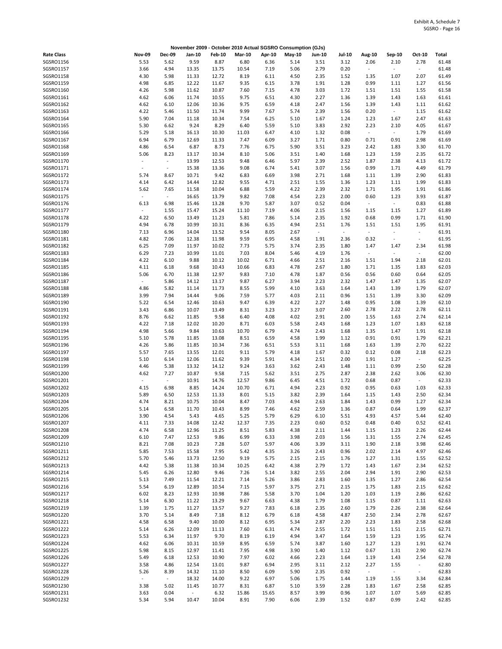|                        |                                  |                                  |                 |                |               |               | November 2009 - October 2010 Actual SGSRO Consumption (GJs) |               |                          |                                  |                          |                          |                |
|------------------------|----------------------------------|----------------------------------|-----------------|----------------|---------------|---------------|-------------------------------------------------------------|---------------|--------------------------|----------------------------------|--------------------------|--------------------------|----------------|
| <b>Rate Class</b>      | <b>Nov-09</b>                    | <b>Dec-09</b>                    | Jan-10          | <b>Feb-10</b>  | <b>Mar-10</b> | Apr-10        | May-10                                                      | <b>Jun-10</b> | Jul-10                   | Aug-10                           | Sep-10                   | Oct-10                   | Total          |
| SGSRO1156              | 5.53                             | 5.62                             | 9.59            | 8.87           | 6.80          | 6.36          | 5.14                                                        | 3.51          | 3.12                     | 2.06                             | 2.10                     | 2.78                     | 61.48          |
| SGSRO1157              | 3.66                             | 4.94                             | 13.35           | 13.75          | 10.54         | 7.19          | 5.06                                                        | 2.79          | 0.20                     | $\overline{\phantom{a}}$         | $\sim$                   | $\sim$                   | 61.48          |
| SGSRO1158              | 4.30                             | 5.98                             | 11.33           | 12.72          | 8.19          | 6.11          | 4.50                                                        | 2.35          | 1.52                     | 1.35                             | 1.07                     | 2.07                     | 61.49          |
| SGSRO1159              | 4.98                             | 6.85                             | 12.22           | 11.67          | 9.35          | 6.15          | 3.78                                                        | 1.91          | 1.28                     | 0.99                             | 1.11                     | 1.27                     | 61.56          |
| SGSRO1160              | 4.26                             | 5.98                             | 11.62           | 10.87          | 7.60          | 7.15          | 4.78                                                        | 3.03          | 1.72                     | 1.51                             | 1.51                     | 1.55                     | 61.58          |
| SGSRO1161<br>SGSR01162 | 4.62                             | 6.06<br>6.10                     | 11.74<br>12.06  | 10.55          | 9.75<br>9.75  | 6.51<br>6.59  | 4.30                                                        | 2.27<br>2.47  | 1.36                     | 1.39                             | 1.43<br>1.43             | 1.63<br>1.11             | 61.61<br>61.62 |
| SGSR01163              | 4.62<br>4.22                     | 5.46                             | 11.50           | 10.36<br>11.74 | 9.99          | 7.67          | 4.18<br>5.74                                                | 2.39          | 1.56<br>1.56             | 1.39<br>0.20                     | $\blacksquare$           | 1.15                     | 61.62          |
| SGSRO1164              | 5.90                             | 7.04                             | 11.18           | 10.34          | 7.54          | 6.25          | 5.10                                                        | 1.67          | 1.24                     | 1.23                             | 1.67                     | 2.47                     | 61.63          |
| SGSRO1165              | 5.30                             | 6.62                             | 9.24            | 8.29           | 6.40          | 5.59          | 5.10                                                        | 3.83          | 2.92                     | 2.23                             | 2.10                     | 4.05                     | 61.67          |
| SGSR01166              | 5.29                             | 5.18                             | 16.13           | 10.30          | 11.03         | 6.47          | 4.10                                                        | 1.32          | 0.08                     | $\overline{\phantom{a}}$         | $\omega$                 | 1.79                     | 61.69          |
| SGSR01167              | 6.94                             | 6.79                             | 12.69           | 11.33          | 7.47          | 6.09          | 3.27                                                        | 1.71          | 0.80                     | 0.71                             | 0.91                     | 2.98                     | 61.69          |
| SGSRO1168              | 4.86                             | 6.54                             | 6.87            | 8.73           | 7.76          | 6.75          | 5.90                                                        | 3.51          | 3.23                     | 2.42                             | 1.83                     | 3.30                     | 61.70          |
| SGSRO1169              | 5.06                             | 8.23                             | 13.17           | 10.34          | 8.10          | 5.06          | 3.51                                                        | 1.40          | 1.68                     | 1.23                             | 1.59                     | 2.35                     | 61.72          |
| SGSR01170              | $\overline{a}$                   | $\overline{\phantom{a}}$         | 13.99           | 12.53          | 9.48          | 6.46          | 5.97                                                        | 2.39          | 2.52                     | 1.87                             | 2.38                     | 4.13                     | 61.72          |
| SGSR01171              | $\sim$                           | $\overline{\phantom{a}}$         | 15.38           | 13.36          | 9.08          | 6.74          | 5.41                                                        | 3.07          | 1.56                     | 0.99                             | 1.71                     | 4.49                     | 61.79          |
| SGSRO1172              | 5.74                             | 8.67                             | 10.71           | 9.42           | 6.83          | 6.69          | 3.98                                                        | 2.71          | 1.68                     | 1.11                             | 1.39                     | 2.90                     | 61.83          |
| SGSRO1173              | 4.14                             | 6.42                             | 14.44           | 12.82          | 9.55          | 4.71          | 2.51                                                        | 1.55          | 1.36                     | 1.23                             | 1.11                     | 1.99                     | 61.83          |
| SGSRO1174              | 5.62<br>$\overline{\phantom{a}}$ | 7.65<br>$\overline{\phantom{a}}$ | 11.58           | 10.04          | 6.88<br>9.82  | 5.59          | 4.22                                                        | 2.39<br>2.23  | 2.32<br>2.00             | 1.71                             | 1.95                     | 1.91<br>3.93             | 61.86<br>61.87 |
| SGSRO1175<br>SGSRO1176 | 6.13                             | 6.98                             | 16.65<br>15.46  | 13.79<br>13.28 | 9.70          | 7.08<br>5.87  | 4.54<br>3.07                                                | 0.52          | 0.04                     | 0.60<br>$\overline{\phantom{a}}$ | 1.23<br>÷.               | 0.83                     | 61.88          |
| SGSRO1177              | $\sim$                           | 1.55                             | 15.47           | 15.24          | 11.10         | 7.19          | 4.06                                                        | 2.15          | 1.56                     | 1.15                             | 1.15                     | 1.27                     | 61.89          |
| SGSR01178              | 4.22                             | 6.50                             | 13.49           | 11.23          | 5.81          | 7.86          | 5.14                                                        | 2.35          | 1.92                     | 0.68                             | 0.99                     | 1.71                     | 61.90          |
| SGSRO1179              | 4.94                             | 6.78                             | 10.99           | 10.31          | 8.36          | 6.35          | 4.94                                                        | 2.51          | 1.76                     | 1.51                             | 1.51                     | 1.95                     | 61.91          |
| SGSRO1180              | 7.13                             | 6.96                             | 14.04           | 13.52          | 9.54          | 8.05          | 2.67                                                        | $\sim$        | $\overline{\phantom{a}}$ | $\overline{\phantom{a}}$         | $\overline{\phantom{a}}$ | $\overline{\phantom{a}}$ | 61.91          |
| SGSRO1181              | 4.82                             | 7.06                             | 12.38           | 11.98          | 9.59          | 6.95          | 4.58                                                        | 1.91          | 2.36                     | 0.32                             | $\overline{\phantom{a}}$ | $\overline{\phantom{a}}$ | 61.95          |
| SGSRO1182              | 6.25                             | 7.09                             | 11.97           | 10.02          | 7.73          | 5.75          | 3.74                                                        | 2.35          | 1.80                     | 1.47                             | 1.47                     | 2.34                     | 61.98          |
| SGSRO1183              | 6.29                             | 7.23                             | 10.99           | 11.01          | 7.03          | 8.04          | 5.46                                                        | 4.19          | 1.76                     | $\overline{\phantom{a}}$         | $\blacksquare$           | $\overline{\phantom{a}}$ | 62.00          |
| SGSRO1184              | 4.22                             | 6.10                             | 9.88            | 10.12          | 10.02         | 6.71          | 4.66                                                        | 2.51          | 2.16                     | 1.51                             | 1.94                     | 2.18                     | 62.01          |
| SGSRO1185              | 4.11                             | 6.18                             | 9.68            | 10.43          | 10.66         | 6.83          | 4.78                                                        | 2.67          | 1.80                     | 1.71                             | 1.35                     | 1.83                     | 62.03          |
| SGSRO1186              | 5.06                             | 6.70                             | 11.38           | 12.97          | 9.83          | 7.10          | 4.78                                                        | 1.87          | 0.56                     | 0.56                             | 0.60                     | 0.64                     | 62.05          |
| SGSRO1187              | $\omega$                         | 5.86                             | 14.12           | 13.17          | 9.87          | 6.27          | 3.94                                                        | 2.23          | 2.32                     | 1.47                             | 1.47                     | 1.35                     | 62.07          |
| SGSRO1188              | 4.86                             | 5.82                             | 11.14           | 11.73          | 8.55          | 5.99          | 4.10                                                        | 3.63          | 1.64                     | 1.43                             | 1.39                     | 1.79                     | 62.07          |
| SGSRO1189<br>SGSRO1190 | 3.99<br>5.22                     | 7.94<br>6.54                     | 14.44<br>12.46  | 9.06<br>10.63  | 7.59<br>9.47  | 5.77<br>6.39  | 4.03<br>4.22                                                | 2.11<br>2.27  | 0.96<br>1.48             | 1.51<br>0.95                     | 1.39<br>1.08             | 3.30<br>1.39             | 62.09<br>62.10 |
| SGSR01191              | 3.43                             | 6.86                             | 10.07           | 13.49          | 8.31          | 3.23          | 3.27                                                        | 3.07          | 2.60                     | 2.78                             | 2.22                     | 2.78                     | 62.11          |
| SGSRO1192              | 8.76                             | 6.62                             | 11.85           | 9.58           | 6.40          | 4.08          | 4.02                                                        | 2.91          | 2.00                     | 1.55                             | 1.63                     | 2.74                     | 62.14          |
| SGSRO1193              | 4.22                             | 7.18                             | 12.02           | 10.20          | 8.71          | 6.03          | 5.58                                                        | 2.43          | 1.68                     | 1.23                             | 1.07                     | 1.83                     | 62.18          |
| SGSRO1194              | 4.98                             | 5.66                             | 9.84            | 10.63          | 10.70         | 6.79          | 4.74                                                        | 2.43          | 1.68                     | 1.35                             | 1.47                     | 1.91                     | 62.18          |
| SGSRO1195              | 5.10                             | 5.78                             | 11.85           | 13.08          | 8.51          | 6.59          | 4.58                                                        | 1.99          | 1.12                     | 0.91                             | 0.91                     | 1.79                     | 62.21          |
| SGSRO1196              | 4.26                             | 5.86                             | 11.85           | 10.34          | 7.36          | 6.51          | 5.53                                                        | 3.11          | 1.68                     | 1.63                             | 1.39                     | 2.70                     | 62.22          |
| SGSRO1197              | 5.57                             | 7.65                             | 13.55           | 12.01          | 9.11          | 5.79          | 4.18                                                        | 1.67          | 0.32                     | 0.12                             | 0.08                     | 2.18                     | 62.23          |
| SGSRO1198              | 5.10                             | 6.14                             | 12.06           | 11.62          | 9.39          | 5.91          | 4.34                                                        | 2.51          | 2.00                     | 1.91                             | 1.27                     | $\sim$                   | 62.25          |
| SGSRO1199              | 4.46                             | 5.38                             | 13.32           | 14.12          | 9.24          | 3.63          | 3.62                                                        | 2.43          | 1.48                     | 1.11                             | 0.99                     | 2.50                     | 62.28          |
| SGSRO1200              | 4.62                             | 7.27                             | 10.87           | 9.58           | 7.15          | 5.62          | 3.51                                                        | 2.75          | 2.87                     | 2.38                             | 2.62                     | 3.06                     | 62.30          |
| SGSRO1201              | $\sim$                           | $\omega$                         | 10.91           | 14.76          | 12.57         | 9.86          | 6.45                                                        | 4.51          | 1.72                     | 0.68                             | 0.87                     | $\omega$                 | 62.33          |
| SGSRO1202              | 4.15                             | 6.98                             | 8.85            | 14.24          | 10.70         | 6.71          | 4.94                                                        | 2.23          | 0.92                     | 0.95                             | 0.63                     | 1.03                     | 62.33          |
| SGSRO1203<br>SGSRO1204 | 5.89<br>4.74                     | 6.50<br>8.21                     | 12.53<br>10.75  | 11.33<br>10.04 | 8.01<br>8.47  | 5.15<br>7.03  | 3.82<br>4.94                                                | 2.39<br>2.63  | 1.64<br>1.84             | 1.15<br>1.43                     | 1.43<br>0.99             | 2.50<br>1.27             | 62.34<br>62.34 |
| SGSRO1205              | 5.14                             | 6.58                             | 11.70           | 10.43          | 8.99          | 7.46          | 4.62                                                        | 2.59          | 1.36                     | 0.87                             | 0.64                     | 1.99                     | 62.37          |
| SGSRO1206              | 3.90                             | 4.54                             | 5.43            | 4.65           | 5.25          | 5.79          | 6.29                                                        | 6.10          | 5.51                     | 4.93                             | 4.57                     | 5.44                     | 62.40          |
| SGSRO1207              | 4.11                             | 7.33                             | 14.08           | 12.42          | 12.37         | 7.35          | 2.23                                                        | 0.60          | 0.52                     | 0.48                             | 0.40                     | 0.52                     | 62.41          |
| SGSRO1208              | 4.74                             | 6.58                             | 12.96           | 11.25          | 8.51          | 5.83          | 4.38                                                        | 2.11          | 1.44                     | 1.15                             | 1.23                     | 2.26                     | 62.44          |
| SGSRO1209              | 6.10                             | 7.47                             | 12.53           | 9.86           | 6.99          | 6.33          | 3.98                                                        | 2.03          | 1.56                     | 1.31                             | 1.55                     | 2.74                     | 62.45          |
| SGSR01210              | 8.21                             | 7.08                             | 10.23           | 7.28           | 5.07          | 5.97          | 4.06                                                        | 3.39          | 3.11                     | 1.90                             | 2.18                     | 3.98                     | 62.46          |
| SGSR01211              | 5.85                             | 7.53                             | 15.58           | 7.95           | 5.42          | 4.35          | 3.26                                                        | 2.43          | 0.96                     | 2.02                             | 2.14                     | 4.97                     | 62.46          |
| SGSRO1212              | 5.70                             | 5.46                             | 13.73           | 12.50          | 9.19          | 5.75          | 2.15                                                        | 2.15          | 1.76                     | 1.27                             | 1.31                     | 1.55                     | 62.52          |
| SGSRO1213              | 4.42                             | 5.38                             | 11.38           | 10.34          | 10.25         | 6.42          | 4.38                                                        | 2.79          | 1.72                     | 1.43                             | 1.67                     | 2.34                     | 62.52          |
| SGSRO1214              | 5.45                             | 6.26                             | 12.80           | 9.46           | 7.26          | 5.14          | 3.82                                                        | 2.55          | 2.04                     | 2.94                             | 1.91                     | 2.90                     | 62.53          |
| SGSRO1215              | 5.13                             | 7.49                             | 11.54           | 12.21          | 7.14          | 5.26          | 3.86                                                        | 2.83          | 1.60                     | 1.35                             | 1.27                     | 2.86                     | 62.54          |
| SGSRO1216<br>SGSRO1217 | 5.54<br>6.02                     | 6.19<br>8.23                     | 12.89<br>12.93  | 10.54<br>10.98 | 7.15<br>7.86  | 5.97<br>5.58  | 3.75<br>3.70                                                | 2.71<br>1.04  | 2.15<br>1.20             | 1.75<br>1.03                     | 1.83<br>1.19             | 2.15<br>2.86             | 62.62<br>62.62 |
| SGSRO1218              | 5.14                             | 6.30                             | 11.22           | 13.29          | 9.67          | 6.63          | 4.38                                                        | 1.79          | 1.08                     | 1.15                             | 0.87                     | 1.11                     | 62.63          |
| SGSRO1219              | 1.39                             | 1.75                             | 11.27           | 13.57          | 9.27          | 7.83          | 6.18                                                        | 2.35          | 2.60                     | 1.79                             | 2.26                     | 2.38                     | 62.64          |
| SGSRO1220              | 3.70                             | 5.14                             | 8.49            | 7.18           | 8.12          | 6.79          | 6.18                                                        | 4.58          | 4.87                     | 2.50                             | 2.34                     | 2.78                     | 62.67          |
| SGSR01221              | 4.58                             | 6.58                             | 9.40            | 10.00          | 8.12          | 6.95          | 5.34                                                        | 2.87          | 2.20                     | 2.23                             | 1.83                     | 2.58                     | 62.68          |
| SGSRO1222              | 5.14                             | 6.26                             | 12.09           | 11.13          | 7.60          | 6.31          | 4.74                                                        | 2.55          | 1.72                     | 1.51                             | 1.51                     | 2.15                     | 62.71          |
| SGSRO1223              | 5.53                             | 6.34                             | 11.97           | 9.70           | 8.19          | 6.19          | 4.94                                                        | 3.47          | 1.64                     | 1.59                             | 1.23                     | 1.95                     | 62.74          |
| SGSRO1224              | 4.62                             | 6.06                             | 10.31           | 10.59          | 8.95          | 6.59          | 5.74                                                        | 3.87          | 1.60                     | 1.27                             | 1.23                     | 1.91                     | 62.74          |
| SGSR01225              | 5.98                             | 8.15                             | 12.97           | 11.41          | 7.95          | 4.98          | 3.90                                                        | 1.40          | 1.12                     | 0.67                             | 1.31                     | 2.90                     | 62.74          |
| SGSRO1226              | 5.49                             | 6.18                             | 12.53           | 10.90          | 7.97          | 6.02          | 4.66                                                        | 2.23          | 1.64                     | 1.19                             | 1.43                     | 2.54                     | 62.78          |
| SGSRO1227              | 3.58                             | 4.86                             | 12.54           | 13.01          | 9.87          | 6.94          | 2.95                                                        | 3.11          | 2.12                     | 2.27                             | 1.55                     | $\sim$                   | 62.80          |
| SGSRO1228              | 5.26                             | 8.39                             | 14.32           | 11.10          | 8.50          | 6.09          | 5.90                                                        | 2.35          | 0.92                     | $\sim$                           | $\omega$                 | $\sim$                   | 62.83          |
| SGSRO1229              | $\sim$                           | $\sim$                           | 18.32           | 14.00          | 9.22          | 6.97          | 5.06                                                        | 1.75          | 1.44                     | 1.19                             | 1.55                     | 3.34                     | 62.84          |
| SGSRO1230<br>SGSRO1231 | 3.38<br>3.63                     | 5.02<br>0.04                     | 11.45<br>$\sim$ | 10.77<br>6.32  | 8.31<br>15.86 | 6.87<br>15.65 | 5.10<br>8.57                                                | 3.59<br>3.99  | 2.28<br>0.96             | 1.83<br>1.07                     | 1.67<br>1.07             | 2.58<br>5.69             | 62.85<br>62.85 |
| SGSRO1232              | 5.34                             | 5.94                             | 10.47           | 10.04          | 8.91          | 7.90          | 6.06                                                        | 2.39          | 1.52                     | 0.87                             | 0.99                     | 2.42                     | 62.85          |
|                        |                                  |                                  |                 |                |               |               |                                                             |               |                          |                                  |                          |                          |                |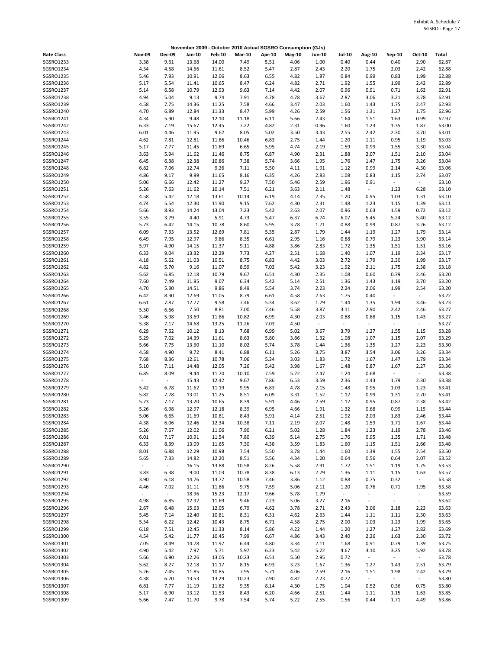|                        |                          |                |                |                |               |              | November 2009 - October 2010 Actual SGSRO Consumption (GJs) |               |                |                                                      |                                            |                          |                |
|------------------------|--------------------------|----------------|----------------|----------------|---------------|--------------|-------------------------------------------------------------|---------------|----------------|------------------------------------------------------|--------------------------------------------|--------------------------|----------------|
| <b>Rate Class</b>      | <b>Nov-09</b>            | <b>Dec-09</b>  | Jan-10         | <b>Feb-10</b>  | <b>Mar-10</b> | Apr-10       | May-10                                                      | <b>Jun-10</b> | Jul-10         | Aug-10                                               | Sep-10                                     | Oct-10                   | Total          |
| SGSRO1233              | 3.38                     | 9.61           | 13.68          | 14.00          | 7.49          | 5.51         | 4.06                                                        | 1.00          | 0.40           | 0.44                                                 | 0.40                                       | 2.90                     | 62.87          |
| SGSRO1234              | 4.34                     | 4.58           | 14.66          | 11.61          | 8.52          | 5.47         | 2.87                                                        | 2.43          | 2.20           | 1.75                                                 | 2.03                                       | 2.42                     | 62.88          |
| SGSRO1235              | 5.46                     | 7.93           | 10.91          | 12.06          | 8.63          | 6.55         | 4.82                                                        | 1.87          | 0.84           | 0.99                                                 | 0.83                                       | 1.99                     | 62.88          |
| SGSRO1236<br>SGSRO1237 | 5.17<br>5.14             | 5.54<br>6.58   | 11.41<br>10.79 | 10.65<br>12.93 | 8.47<br>9.63  | 6.24<br>7.14 | 4.82<br>4.42                                                | 2.71<br>2.07  | 1.92<br>0.96   | 1.55<br>0.91                                         | 1.99<br>0.71                               | 2.42<br>1.63             | 62.89<br>62.91 |
| SGSRO1238              | 4.94                     | 5.04           | 9.13           | 9.74           | 7.91          | 4.78         | 4.78                                                        | 3.67          | 2.87           | 3.06                                                 | 3.21                                       | 3.78                     | 62.91          |
| SGSRO1239              | 4.58                     | 7.75           | 14.36          | 11.25          | 7.58          | 4.66         | 3.47                                                        | 2.03          | 1.60           | 1.43                                                 | 1.75                                       | 2.47                     | 62.93          |
| SGSRO1240              | 4.70                     | 6.89           | 12.84          | 11.33          | 8.47          | 5.99         | 4.26                                                        | 2.59          | 1.56           | 1.31                                                 | 1.27                                       | 1.75                     | 62.96          |
| SGSRO1241              | 4.34                     | 5.90           | 9.48           | 12.10          | 11.18         | 6.11         | 5.66                                                        | 2.43          | 1.64           | 1.51                                                 | 1.63                                       | 0.99                     | 62.97          |
| SGSRO1242              | 6.33                     | 7.19           | 15.67          | 12.45          | 7.22          | 4.82         | 2.31                                                        | 0.96          | 1.60           | 1.23                                                 | 1.35                                       | 1.87                     | 63.00          |
| SGSRO1243              | 6.01                     | 4.46           | 11.95          | 9.62           | 8.05          | 5.02         | 3.50                                                        | 3.43          | 2.55           | 2.42                                                 | 2.30                                       | 3.70                     | 63.01          |
| SGSRO1244              | 4.62                     | 7.81           | 12.81          | 11.86          | 10.46         | 6.83         | 2.75                                                        | 1.44          | 1.20           | 1.11                                                 | 0.95                                       | 1.19                     | 63.03          |
| SGSRO1245              | 5.17                     | 7.77           | 11.45          | 11.69          | 6.65          | 5.95         | 4.74                                                        | 2.19          | 1.59           | 0.99                                                 | 1.55                                       | 3.30                     | 63.04          |
| SGSRO1246<br>SGSRO1247 | 3.63<br>6.45             | 5.94<br>6.38   | 11.62<br>12.38 | 11.46<br>10.86 | 8.75<br>7.38  | 6.87<br>5.74 | 4.90<br>3.66                                                | 2.31<br>1.95  | 1.88<br>1.76   | 2.07<br>1.47                                         | 1.51<br>1.75                               | 2.10<br>3.26             | 63.04<br>63.04 |
| SGSRO1248              | 6.82                     | 7.06           | 12.74          | 9.26           | 7.11          | 5.50         | 4.11                                                        | 1.91          | 1.12           | 0.99                                                 | 2.14                                       | 4.30                     | 63.06          |
| SGSRO1249              | 4.86                     | 9.17           | 9.99           | 11.65          | 8.16          | 6.35         | 4.26                                                        | 2.83          | 1.08           | 0.83                                                 | 1.15                                       | 2.74                     | 63.07          |
| SGSRO1250              | 5.06                     | 6.66           | 12.42          | 11.27          | 9.27          | 7.50         | 5.46                                                        | 2.59          | 1.96           | 0.91                                                 | $\omega_{\rm c}$                           | $\sim$                   | 63.10          |
| SGSRO1251              | 5.26                     | 7.63           | 11.62          | 10.14          | 7.51          | 6.21         | 3.63                                                        | 2.11          | 1.48           | $\overline{\phantom{a}}$                             | 1.23                                       | 6.28                     | 63.10          |
| SGSRO1252              | 4.58                     | 5.42           | 12.18          | 13.61          | 10.14         | 6.19         | 4.14                                                        | 2.35          | 1.20           | 0.95                                                 | 1.03                                       | 1.31                     | 63.10          |
| SGSRO1253              | 4.74                     | 5.54           | 12.30          | 11.90          | 9.15          | 7.62         | 4.30                                                        | 2.31          | 1.48           | 1.23                                                 | 1.15                                       | 1.39                     | 63.11          |
| SGSRO1254              | 5.66                     | 8.93           | 14.24          | 13.04          | 7.23          | 5.42         | 2.63                                                        | 2.07          | 0.96           | 0.63                                                 | 1.59                                       | 0.72                     | 63.12          |
| SGSRO1255              | 3.55                     | 3.79           | 4.40           | 5.91           | 4.73          | 5.47         | 6.37                                                        | 6.74          | 6.07           | 5.45                                                 | 5.24                                       | 5.40                     | 63.12          |
| SGSRO1256<br>SGSRO1257 | 5.73<br>6.09             | 6.42<br>7.33   | 14.15<br>13.52 | 10.78<br>12.69 | 8.60<br>7.81  | 5.95<br>5.35 | 3.78<br>2.87                                                | 1.71<br>1.79  | 0.88<br>1.44   | 0.99<br>1.19                                         | 0.87<br>1.27                               | 3.26<br>1.79             | 63.12<br>63.14 |
| SGSR01258              | 6.49                     | 7.95           | 12.97          | 9.86           | 8.35          | 6.61         | 2.95                                                        | 1.16          | 0.88           | 0.79                                                 | 1.23                                       | 3.90                     | 63.14          |
| SGSRO1259              | 5.97                     | 4.90           | 14.15          | 11.37          | 9.11          | 4.88         | 3.86                                                        | 2.83          | 1.72           | 1.35                                                 | 1.51                                       | 1.51                     | 63.16          |
| SGSRO1260              | 6.33                     | 9.04           | 13.32          | 12.29          | 7.73          | 4.27         | 2.51                                                        | 1.68          | 1.40           | 1.07                                                 | 1.19                                       | 2.34                     | 63.17          |
| SGSRO1261              | 4.18                     | 5.62           | 11.03          | 10.51          | 8.75          | 6.83         | 4.42                                                        | 3.03          | 2.72           | 1.79                                                 | 2.30                                       | 1.99                     | 63.17          |
| SGSR01262              | 4.82                     | 5.70           | 9.16           | 11.07          | 8.59          | 7.03         | 5.42                                                        | 3.23          | 1.92           | 2.11                                                 | 1.75                                       | 2.38                     | 63.18          |
| SGSRO1263              | 5.62                     | 6.85           | 12.18          | 10.79          | 9.67          | 6.51         | 4.30                                                        | 2.35          | 1.08           | 0.60                                                 | 0.79                                       | 2.46                     | 63.20          |
| SGSRO1264              | 7.60                     | 7.49           | 11.95          | 9.07           | 6.34          | 5.42         | 5.14                                                        | 2.51          | 1.36           | 1.43                                                 | 1.19                                       | 3.70                     | 63.20          |
| SGSRO1265              | 4.70                     | 5.30           | 14.51          | 9.86           | 8.49          | 5.54         | 3.74                                                        | 2.23          | 2.24           | 2.06                                                 | 1.99                                       | 2.54                     | 63.20          |
| SGSRO1266<br>SGSRO1267 | 6.42<br>6.61             | 8.30<br>7.87   | 12.69<br>12.77 | 11.05<br>9.58  | 8.79<br>7.46  | 6.61<br>5.34 | 4.58<br>3.62                                                | 2.63<br>1.79  | 1.75<br>1.44   | 0.40<br>1.35                                         | $\blacksquare$<br>1.94                     | $\omega$<br>3.46         | 63.22<br>63.23 |
| SGSRO1268              | 5.50                     | 6.66           | 7.50           | 8.81           | 7.00          | 7.46         | 5.58                                                        | 3.87          | 3.11           | 2.90                                                 | 2.42                                       | 2.46                     | 63.27          |
| SGSRO1269              | 3.46                     | 5.98           | 13.69          | 11.86          | 10.82         | 6.99         | 4.30                                                        | 2.03          | 0.88           | 0.68                                                 | 1.15                                       | 1.43                     | 63.27          |
| SGSRO1270              | 5.38                     | 7.17           | 14.68          | 13.25          | 11.26         | 7.03         | 4.50                                                        | $\sim$        | $\blacksquare$ | $\sim$                                               | $\sim$                                     | $\omega$                 | 63.27          |
| SGSRO1271              | 6.29                     | 7.62           | 10.12          | 8.13           | 7.68          | 6.99         | 5.02                                                        | 3.67          | 3.79           | 1.27                                                 | 1.55                                       | 1.15                     | 63.28          |
| SGSR01272              | 5.29                     | 7.02           | 14.39          | 11.61          | 8.63          | 5.80         | 3.86                                                        | 1.32          | 1.08           | 1.07                                                 | 1.15                                       | 2.07                     | 63.29          |
| SGSRO1273              | 5.66                     | 7.75           | 13.60          | 11.10          | 8.02          | 5.74         | 3.78                                                        | 1.44          | 1.36           | 1.35                                                 | 1.27                                       | 2.23                     | 63.30          |
| SGSRO1274              | 4.58                     | 4.90           | 9.72           | 8.41           | 6.88          | 6.11         | 5.26                                                        | 3.75          | 3.87           | 3.54                                                 | 3.06                                       | 3.26                     | 63.34          |
| SGSRO1275<br>SGSR01276 | 7.68                     | 8.36           | 12.61          | 10.78          | 7.06          | 5.34         | 3.03                                                        | 1.83          | 1.72           | 1.67                                                 | 1.47                                       | 1.79                     | 63.34          |
| SGSRO1277              | 5.10<br>6.85             | 7.11<br>8.09   | 14.48<br>9.44  | 12.05<br>11.70 | 7.26<br>10.10 | 5.42<br>7.59 | 3.98<br>5.22                                                | 1.67<br>2.47  | 1.48<br>1.24   | 0.87<br>0.68                                         | 1.67<br>$\omega$                           | 2.27<br>$\sim$           | 63.36<br>63.38 |
| SGSRO1278              | $\overline{\phantom{a}}$ | $\Box$         | 15.43          | 12.42          | 9.67          | 7.86         | 6.53                                                        | 3.59          | 2.36           | 1.43                                                 | 1.79                                       | 2.30                     | 63.38          |
| SGSRO1279              | 5.42                     | 6.78           | 11.62          | 11.19          | 9.95          | 6.83         | 4.78                                                        | 2.15          | 1.48           | 0.95                                                 | 1.03                                       | 1.23                     | 63.41          |
| SGSRO1280              | 5.82                     | 7.78           | 13.01          | 11.25          | 8.51          | 6.09         | 3.31                                                        | 1.52          | 1.12           | 0.99                                                 | 1.31                                       | 2.70                     | 63.41          |
| SGSRO1281              | 5.73                     | 7.17           | 13.20          | 10.65          | 8.39          | 5.91         | 4.46                                                        | 2.59          | 1.12           | 0.95                                                 | 0.87                                       | 2.38                     | 63.42          |
| SGSRO1282              | 5.26                     | 6.98           | 12.97          | 12.18          | 8.39          | 6.95         | 4.66                                                        | 1.91          | 1.32           | 0.68                                                 | 0.99                                       | 1.15                     | 63.44          |
| SGSRO1283              | 5.06                     | 6.65           | 11.69          | 10.81          | 8.43          | 5.91         | 4.14                                                        | 2.51          | 1.92           | 2.03                                                 | 1.83                                       | 2.46                     | 63.44          |
| SGSRO1284<br>SGSRO1285 | 4.38                     | 6.06           | 12.46          | 12.34          | 10.38         | 7.11         | 2.19                                                        | 2.07          | 1.48           | 1.59                                                 | 1.71                                       | 1.67                     | 63.44          |
| SGSRO1286              | 5.26<br>6.01             | 7.67<br>7.17   | 12.02<br>10.91 | 11.06<br>11.54 | 7.90<br>7.80  | 6.21<br>6.39 | 5.02<br>5.14                                                | 1.28<br>2.75  | 1.84<br>1.76   | 1.23<br>0.95                                         | 1.19<br>1.35                               | 2.78<br>1.71             | 63.46<br>63.48 |
| SGSRO1287              | 6.33                     | 8.39           | 13.09          | 11.65          | 7.30          | 4.38         | 3.59                                                        | 1.83          | 1.60           | 1.15                                                 | 1.51                                       | 2.66                     | 63.48          |
| SGSRO1288              | 8.01                     | 6.88           | 12.29          | 10.98          | 7.54          | 5.50         | 3.78                                                        | 1.44          | 1.60           | 1.39                                                 | 1.55                                       | 2.54                     | 63.50          |
| SGSRO1289              | 5.65                     | 7.33           | 14.82          | 12.20          | 8.51          | 5.56         | 4.34                                                        | 1.20          | 0.64           | 0.56                                                 | 0.64                                       | 2.07                     | 63.52          |
| SGSRO1290              | $\overline{\phantom{a}}$ | $\sim$         | 16.15          | 13.88          | 10.58         | 8.26         | 5.58                                                        | 2.91          | 1.72           | 1.51                                                 | 1.19                                       | 1.75                     | 63.53          |
| SGSR01291              | 3.83                     | 6.38           | 9.00           | 11.03          | 10.78         | 8.38         | 6.13                                                        | 2.79          | 1.36           | 1.11                                                 | 1.15                                       | 1.63                     | 63.57          |
| SGSRO1292              | 3.90                     | 6.18           | 14.76          | 13.77          | 10.58         | 7.46         | 3.86                                                        | 1.12          | 0.88           | 0.75                                                 | 0.32                                       | $\sim$                   | 63.58          |
| SGSRO1293              | 4.46                     | 7.02           | 11.11          | 11.86          | 9.75          | 7.59         | 5.06                                                        | 2.11          | 1.20           | 0.76                                                 | 0.71                                       | 1.95                     | 63.58          |
| SGSRO1294<br>SGSRO1295 | $\blacksquare$<br>4.98   | $\Box$<br>6.85 | 18.96<br>12.92 | 15.23          | 12.17<br>9.46 | 9.66<br>7.23 | 5.78<br>5.06                                                | 1.79<br>3.27  | ÷,<br>2.16     | $\overline{\phantom{a}}$<br>$\overline{\phantom{a}}$ | $\blacksquare$<br>$\overline{\phantom{a}}$ | $\blacksquare$<br>$\sim$ | 63.59<br>63.62 |
| SGSRO1296              | 2.67                     | 6.48           | 15.63          | 11.69<br>12.05 | 6.79          | 4.62         | 3.78                                                        | 2.71          | 2.43           | 2.06                                                 | 2.18                                       | 2.23                     | 63.63          |
| SGSRO1297              | 5.45                     | 7.14           | 12.40          | 10.81          | 8.31          | 6.31         | 4.62                                                        | 2.63          | 1.44           | 1.11                                                 | 1.11                                       | 2.30                     | 63.63          |
| SGSRO1298              | 5.54                     | 6.22           | 12.42          | 10.43          | 8.75          | 6.71         | 4.58                                                        | 2.75          | 2.00           | 1.03                                                 | 1.23                                       | 1.99                     | 63.65          |
| SGSRO1299              | 6.18                     | 7.51           | 12.45          | 11.33          | 8.14          | 5.86         | 4.22                                                        | 1.44          | 1.20           | 1.27                                                 | 1.27                                       | 2.82                     | 63.69          |
| SGSRO1300              | 4.54                     | 5.42           | 11.77          | 10.45          | 7.99          | 6.67         | 4.86                                                        | 3.43          | 2.40           | 2.26                                                 | 1.63                                       | 2.30                     | 63.72          |
| SGSRO1301              | 7.05                     | 8.49           | 14.78          | 11.97          | 6.44          | 4.80         | 3.34                                                        | 2.11          | 1.68           | 0.91                                                 | 0.79                                       | 1.39                     | 63.75          |
| SGSRO1302              | 4.90                     | 5.42           | 7.97           | 5.71           | 5.97          | 6.23         | 5.42                                                        | 5.22          | 4.67           | 3.10                                                 | 3.25                                       | 5.92                     | 63.78          |
| SGSR01303              | 5.66                     | 6.90           | 12.26          | 13.05          | 10.23         | 6.51         | 5.50                                                        | 2.95          | 0.72           | $\blacksquare$                                       | ÷.                                         | $\sim$                   | 63.78          |
| SGSRO1304<br>SGSRO1305 | 5.62<br>5.26             | 8.27<br>7.45   | 12.18<br>11.85 | 11.17<br>10.85 | 8.15<br>7.95  | 6.93<br>5.71 | 3.23<br>4.06                                                | 1.67<br>2.59  | 1.36<br>2.16   | 1.27<br>1.51                                         | 1.43<br>1.98                               | 2.51<br>2.42             | 63.79<br>63.79 |
| SGSRO1306              | 4.38                     | 6.70           | 13.53          | 13.29          | 10.23         | 7.90         | 4.82                                                        | 2.23          | 0.72           | $\overline{\phantom{a}}$                             | $\blacksquare$                             | $\sim$                   | 63.80          |
| SGSR01307              | 6.81                     | 7.77           | 11.19          | 11.82          | 9.35          | 8.14         | 4.30                                                        | 1.75          | 1.04           | 0.52                                                 | 0.36                                       | 0.75                     | 63.80          |
| SGSRO1308              | 5.17                     | 6.90           | 13.12          | 11.53          | 8.43          | 6.20         | 4.66                                                        | 2.51          | 1.44           | 1.11                                                 | 1.15                                       | 1.63                     | 63.85          |
| SGSRO1309              | 5.66                     | 7.47           | 11.70          | 9.78           | 7.54          | 5.74         | 5.22                                                        | 2.55          | 1.56           | 0.44                                                 | 1.71                                       | 4.49                     | 63.86          |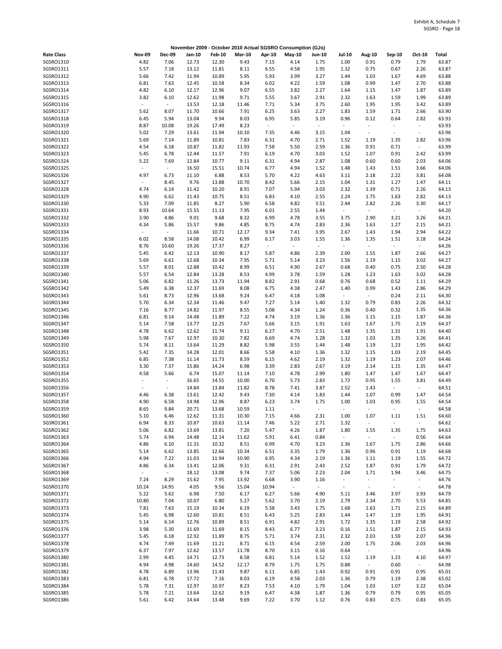|                   |                          |                          | November 2009 - October 2010 Actual SGSRO Consumption (GJs) |               |               |                          |                          |               |                          |                          |                          |                |       |
|-------------------|--------------------------|--------------------------|-------------------------------------------------------------|---------------|---------------|--------------------------|--------------------------|---------------|--------------------------|--------------------------|--------------------------|----------------|-------|
| <b>Rate Class</b> | <b>Nov-09</b>            | <b>Dec-09</b>            | Jan-10                                                      | <b>Feb-10</b> | <b>Mar-10</b> | Apr-10                   | May-10                   | <b>Jun-10</b> | <b>Jul-10</b>            | Aug-10                   | Sep-10                   | Oct-10         | Total |
| SGSRO1310         | 4.82                     | 7.06                     | 12.73                                                       | 12.30         | 9.43          | 7.15                     | 4.14                     | 1.75          | 1.00                     | 0.91                     | 0.79                     | 1.79           | 63.87 |
| SGSRO1311         | 5.57                     | 7.18                     | 13.12                                                       | 11.81         | 8.11          | 6.55                     | 4.58                     | 1.95          | 1.32                     | 0.75                     | 0.67                     | 2.26           | 63.87 |
| SGSR01312         | 5.66                     | 7.42                     | 11.94                                                       | 10.89         | 5.95          | 5.93                     | 3.99                     | 3.27          | 1.44                     | 1.03                     | 1.67                     | 4.69           | 63.88 |
| SGSRO1313         | 6.81                     | 7.63                     | 12.45                                                       | 10.58         | 8.34          | 6.02                     | 4.22                     | 1.59          | 1.08                     | 0.99                     | 1.47                     | 2.70           | 63.88 |
| SGSRO1314         | 4.82                     | 6.10                     | 12.17                                                       | 12.96         | 9.07          | 6.55                     | 3.82                     | 2.27          | 1.64                     | 1.15                     | 1.47                     | 1.87           | 63.89 |
| SGSRO1315         | 3.82                     | 6.10                     | 12.62                                                       | 11.98         | 9.71          | 5.55                     | 3.67                     | 2.91          | 2.32                     | 1.63                     | 1.59                     | 1.99           | 63.89 |
|                   |                          |                          |                                                             |               |               |                          |                          |               |                          |                          |                          |                |       |
| SGSRO1316         | $\overline{\phantom{a}}$ | $\overline{\phantom{a}}$ | 13.53                                                       | 12.18         | 11.46         | 7.71                     | 5.34                     | 3.75          | 2.60                     | 1.95                     | 1.95                     | 3.42           | 63.89 |
| SGSR01317         | 5.62                     | 8.07                     | 11.70                                                       | 10.66         | 7.91          | 6.25                     | 3.63                     | 2.27          | 1.83                     | 1.59                     | 1.71                     | 2.66           | 63.90 |
| SGSRO1318         | 6.45                     | 5.94                     | 13.04                                                       | 9.94          | 8.03          | 6.95                     | 5.85                     | 3.19          | 0.96                     | 0.12                     | 0.64                     | 2.82           | 63.93 |
| SGSRO1319         | 8.87                     | 10.08                    | 19.26                                                       | 17.49         | 8.23          | $\omega$                 | $\bar{\phantom{a}}$      | $\sim$        | $\blacksquare$           |                          | ä,                       | $\sim$         | 63.93 |
| SGSRO1320         | 5.02                     | 7.29                     | 13.61                                                       | 11.94         | 10.10         | 7.35                     | 4.46                     | 3.15          | 1.04                     | $\overline{\phantom{a}}$ | $\overline{\phantom{a}}$ | $\sim$         | 63.96 |
| SGSRO1321         | 5.69                     | 7.14                     | 11.89                                                       | 10.81         | 7.83          | 6.31                     | 4.70                     | 2.71          | 1.52                     | 1.19                     | 1.35                     | 2.82           | 63.96 |
| SGSRO1322         | 4.54                     | 6.18                     | 10.87                                                       | 11.82         | 11.93         | 7.58                     | 5.50                     | 2.59          | 1.36                     | 0.91                     | 0.71                     | $\sim$         | 63.99 |
| SGSRO1323         | 5.45                     | 6.78                     | 12.44                                                       | 11.57         | 7.91          | 6.19                     | 4.70                     | 3.03          | 1.52                     | 1.07                     | 0.91                     | 2.42           | 63.99 |
| SGSRO1324         | 5.22                     | 7.69                     | 12.84                                                       | 10.77         | 9.11          | 6.31                     | 4.94                     | 2.87          | 1.08                     | 0.60                     | 0.60                     | 2.03           | 64.06 |
| SGSRO1325         | $\overline{\phantom{a}}$ | $\overline{\phantom{a}}$ | 16.50                                                       | 15.51         | 10.74         | 6.77                     | 4.94                     | 1.52          | 1.48                     | 1.43                     | 1.51                     | 3.66           | 64.06 |
| SGSRO1326         | 4.97                     | 6.73                     | 11.10                                                       | 6.88          | 8.53          | 5.70                     | 4.22                     | 4.63          | 3.11                     | 2.18                     | 2.22                     | 3.81           | 64.08 |
| SGSRO1327         | $\sim$                   | 8.45                     | 9.76                                                        | 13.88         | 10.70         | 8.42                     | 5.66                     | 2.15          | 1.04                     | 1.31                     | 1.27                     | 1.47           | 64.11 |
|                   |                          |                          |                                                             |               |               |                          |                          |               |                          |                          |                          |                |       |
| SGSRO1328         | 4.74                     | 6.14                     | 11.42                                                       | 10.20         | 8.91          | 7.07                     | 5.94                     | 3.03          | 2.32                     | 1.39                     | 0.71                     | 2.26           | 64.13 |
| SGSRO1329         | 4.90                     | 6.62                     | 11.43                                                       | 10.75         | 8.51          | 6.83                     | 4.10                     | 2.55          | 2.24                     | 1.75                     | 1.63                     | 2.82           | 64.13 |
| SGSRO1330         | 5.33                     | 7.09                     | 11.85                                                       | 8.27          | 5.90          | 6.58                     | 4.82                     | 3.51          | 2.44                     | 2.82                     | 2.26                     | 3.30           | 64.17 |
| SGSRO1331         | 8.93                     | 10.64                    | 15.55                                                       | 11.13         | 7.95          | 6.01                     | 2.55                     | 1.44          | $\sim$                   | $\overline{\phantom{a}}$ | $\omega_{\rm c}$         | $\sim$         | 64.20 |
| SGSRO1332         | 3.90                     | 4.86                     | 9.01                                                        | 9.68          | 8.32          | 6.99                     | 4.78                     | 3.55          | 3.75                     | 2.90                     | 3.21                     | 3.26           | 64.21 |
| SGSRO1333         | 4.34                     | 5.86                     | 15.57                                                       | 9.86          | 4.85          | 8.75                     | 4.74                     | 2.83          | 2.36                     | 1.63                     | 1.27                     | 2.15           | 64.21 |
| SGSRO1334         | $\sim$                   | $\overline{\phantom{a}}$ | 11.66                                                       | 10.71         | 12.17         | 9.34                     | 7.41                     | 3.95          | 2.67                     | 1.43                     | 1.94                     | 2.94           | 64.22 |
| SGSRO1335         | 6.02                     | 8.58                     | 14.08                                                       | 10.42         | 6.99          | 6.17                     | 3.03                     | 1.55          | 1.36                     | 1.35                     | 1.51                     | 3.18           | 64.24 |
| SGSRO1336         | 8.76                     | 10.60                    | 19.26                                                       | 17.37         | 8.27          | $\overline{\phantom{a}}$ | $\overline{\phantom{a}}$ | $\omega$      | $\overline{\phantom{a}}$ | $\overline{\phantom{a}}$ | $\sim$                   | $\sim$         | 64.26 |
| SGSRO1337         | 5.45                     | 6.42                     | 12.13                                                       | 10.90         | 8.17          | 5.87                     | 4.86                     | 2.39          | 2.00                     | 1.55                     | 1.87                     | 2.66           | 64.27 |
| SGSRO1338         | 5.69                     | 6.61                     | 12.68                                                       | 10.34         | 7.95          | 5.71                     | 5.14                     | 3.23          | 1.56                     | 1.19                     | 1.15                     | 3.02           | 64.27 |
| SGSRO1339         | 5.57                     | 8.01                     | 12.88                                                       | 10.42         | 8.99          | 6.51                     | 4.90                     | 2.67          | 0.68                     | 0.40                     | 0.75                     | 2.50           | 64.28 |
|                   |                          |                          |                                                             |               |               |                          |                          |               |                          |                          |                          |                |       |
| SGSRO1340         | 5.57                     | 6.54                     | 12.84                                                       | 13.28         | 8.53          | 4.99                     | 3.78                     | 1.59          | 1.28                     | 1.23                     | 1.63                     | 3.02           | 64.28 |
| SGSRO1341         | 5.06                     | 6.82                     | 11.26                                                       | 13.73         | 11.94         | 8.82                     | 2.91                     | 0.68          | 0.76                     | 0.68                     | 0.52                     | 1.11           | 64.29 |
| SGSRO1342         | 5.49                     | 6.38                     | 12.37                                                       | 11.69         | 8.08          | 6.75                     | 4.38                     | 2.47          | 1.40                     | 0.99                     | 1.43                     | 2.86           | 64.29 |
| SGSRO1343         | 5.61                     | 8.73                     | 12.96                                                       | 13.68         | 9.24          | 6.47                     | 4.18                     | 1.08          | $\overline{\phantom{a}}$ | $\overline{\phantom{a}}$ | 0.24                     | 2.11           | 64.30 |
| SGSRO1344         | 5.70                     | 6.34                     | 12.34                                                       | 11.46         | 9.47          | 7.27                     | 5.14                     | 1.40          | 1.32                     | 0.79                     | 0.83                     | 2.26           | 64.32 |
| SGSRO1345         | 7.16                     | 8.77                     | 14.82                                                       | 11.97         | 8.55          | 5.08                     | 4.34                     | 1.24          | 0.36                     | 0.40                     | 0.32                     | 1.35           | 64.36 |
| SGSRO1346         | 6.81                     | 9.14                     | 14.48                                                       | 11.89         | 7.22          | 4.74                     | 3.19                     | 1.36          | 1.36                     | 1.15                     | 1.15                     | 1.87           | 64.36 |
| SGSRO1347         | 5.14                     | 7.58                     | 13.77                                                       | 12.25         | 7.67          | 5.66                     | 3.15                     | 1.91          | 1.63                     | 1.67                     | 1.75                     | 2.19           | 64.37 |
| SGSRO1348         | 4.78                     | 6.62                     | 12.62                                                       | 11.74         | 9.11          | 6.27                     | 4.70                     | 2.51          | 1.48                     | 1.35                     | 1.31                     | 1.91           | 64.40 |
| SGSRO1349         | 5.98                     | 7.67                     | 12.97                                                       | 10.30         | 7.82          | 6.69                     | 4.74                     | 1.28          | 1.32                     | 1.03                     | 1.35                     | 3.26           | 64.41 |
| SGSRO1350         | 5.74                     | 8.11                     | 13.64                                                       | 11.29         | 8.82          | 5.98                     | 3.55                     | 1.44          | 1.48                     | 1.19                     | 1.23                     | 1.95           | 64.42 |
| SGSRO1351         | 5.42                     | 7.35                     | 14.28                                                       | 12.01         | 8.66          | 5.58                     | 4.10                     | 1.36          | 1.32                     | 1.15                     | 1.03                     | 2.19           | 64.45 |
|                   |                          |                          |                                                             |               |               |                          |                          |               |                          |                          |                          |                |       |
| SGSRO1352         | 6.85                     | 7.38                     | 11.14                                                       | 11.73         | 8.59          | 6.15                     | 4.62                     | 2.19          | 1.32                     | 1.19                     | 1.23                     | 2.07           | 64.46 |
| SGSRO1353         | 3.30                     | 7.37                     | 15.86                                                       | 14.24         | 6.98          | 3.39                     | 2.83                     | 2.67          | 3.19                     | 2.14                     | 1.15                     | 1.35           | 64.47 |
| SGSRO1354         | 4.58                     | 5.66                     | 6.74                                                        | 15.07         | 11.14         | 7.10                     | 4.78                     | 2.99          | 1.80                     | 1.47                     | 1.47                     | 1.67           | 64.47 |
| SGSRO1355         | $\sim$                   | $\sim$                   | 16.65                                                       | 14.55         | 10.00         | 6.70                     | 5.73                     | 2.83          | 1.72                     | 0.95                     | 1.55                     | 3.81           | 64.49 |
| SGSRO1356         | $\sim$                   | $\sim$                   | 14.84                                                       | 13.84         | 11.82         | 8.78                     | 7.41                     | 3.87          | 2.52                     | 1.43                     | $\sim$                   | $\sim$         | 64.51 |
| SGSR01357         | 4.46                     | 6.38                     | 13.61                                                       | 12.42         | 9.43          | 7.30                     | 4.14                     | 1.83          | 1.44                     | 1.07                     | 0.99                     | 1.47           | 64.54 |
| SGSRO1358         | 4.90                     | 6.58                     | 14.98                                                       | 12.96         | 8.87          | 6.23                     | 3.74                     | 1.75          | 1.00                     | 1.03                     | 0.95                     | 1.55           | 64.54 |
| SGSRO1359         | 8.65                     | 9.84                     | 20.71                                                       | 13.68         | 10.59         | 1.11                     | $\overline{\phantom{a}}$ | $\sim$        | $\sim$                   | $\overline{\phantom{a}}$ | $\blacksquare$           | $\blacksquare$ | 64.58 |
| SGSRO1360         | 5.10                     | 6.46                     | 12.62                                                       | 11.31         | 10.30         | 7.15                     | 4.66                     | 2.31          | 1.00                     | 1.07                     | 1.11                     | 1.51           | 64.60 |
| SGSRO1361         | 6.94                     | 8.33                     | 10.87                                                       | 10.63         | 11.14         | 7.46                     | 5.22                     | 2.71          | 1.32                     | $\overline{\phantom{a}}$ | $\overline{\phantom{a}}$ | $\sim$         | 64.62 |
| SGSRO1362         | 5.06                     | 6.82                     | 13.69                                                       | 13.81         | 7.20          | 5.47                     | 4.26                     | 1.87          | 1.80                     | 1.55                     | 1.35                     | 1.75           | 64.63 |
| SGSRO1363         | 5.74                     | 6.94                     | 14.48                                                       | 12.14         | 11.62         | 5.91                     | 6.41                     | 0.84          | $\omega_{\rm c}$         | $\overline{\phantom{a}}$ | $\sim$                   | 0.56           | 64.64 |
|                   |                          |                          |                                                             |               |               |                          |                          |               |                          |                          |                          |                |       |
| SGSRO1364         | 4.86                     | 6.10                     | 11.31                                                       | 10.32         | 8.51          | 6.99                     | 4.70                     | 3.23          | 2.36                     | 1.67                     | 1.75                     | 2.86           | 64.66 |
| SGSRO1365         | 5.14                     | 6.62                     | 13.85                                                       | 12.66         | 10.34         | 6.51                     | 3.35                     | 1.79          | 1.36                     | 0.96                     | 0.91                     | 1.19           | 64.68 |
| SGSRO1366         | 4.94                     | 7.22                     | 11.03                                                       | 11.94         | 10.90         | 6.95                     | 4.34                     | 2.19          | 1.36                     | 1.11                     | 1.19                     | 1.55           | 64.72 |
| SGSRO1367         | 4.86                     | 6.34                     | 13.41                                                       | 12.06         | 9.31          | 6.31                     | 2.91                     | 2.43          | 2.52                     | 1.87                     | 0.91                     | 1.79           | 64.72 |
| SGSRO1368         | $\sim$                   | $\omega$                 | 18.12                                                       | 13.08         | 9.74          | 7.37                     | 5.06                     | 2.23          | 2.04                     | 1.71                     | 1.94                     | 3.46           | 64.75 |
| SGSRO1369         | 7.24                     | 8.29                     | 15.62                                                       | 7.95          | 13.92         | 6.68                     | 3.90                     | 1.16          | $\sim$                   | $\sim$                   | $\omega$                 | $\omega$       | 64.76 |
| SGSRO1370         | 10.24                    | 14.95                    | 4.05                                                        | 9.56          | 15.04         | 10.94                    | $\blacksquare$           | $\sim$        | $\blacksquare$           | $\overline{\phantom{a}}$ | $\overline{\phantom{a}}$ | $\sim$         | 64.78 |
| SGSRO1371         | 5.22                     | 5.62                     | 6.98                                                        | 7.50          | 6.17          | 6.27                     | 5.66                     | 4.90          | 5.11                     | 3.46                     | 3.97                     | 3.93           | 64.79 |
| SGSRO1372         | 10.80                    | 7.04                     | 10.07                                                       | 6.80          | 5.27          | 5.62                     | 3.70                     | 2.19          | 2.79                     | 2.34                     | 2.70                     | 5.53           | 64.85 |
| SGSRO1373         | 7.81                     | 7.63                     | 15.19                                                       | 10.34         | 6.19          | 5.38                     | 3.43                     | 1.75          | 1.68                     | 1.63                     | 1.71                     | 2.15           | 64.89 |
| SGSRO1374         | 5.45                     | 6.98                     | 12.60                                                       | 10.81         | 8.51          | 6.43                     | 5.25                     | 2.83          | 1.44                     | 1.47                     | 1.19                     | 1.95           | 64.91 |
|                   |                          |                          |                                                             |               |               |                          |                          |               |                          |                          |                          |                |       |
| SGSRO1375         | 5.14                     | 6.14                     | 12.76                                                       | 10.89         | 8.51          | 6.91                     | 4.82                     | 2.91          | 1.72                     | 1.35                     | 1.19                     | 2.58           | 64.92 |
| SGSRO1376         | 3.98                     | 5.30                     | 11.69                                                       | 11.69         | 8.15          | 8.43                     | 6.77                     | 3.23          | 0.16                     | 1.51                     | 1.87                     | 2.15           | 64.93 |
| SGSR01377         | 5.45                     | 6.18                     | 12.92                                                       | 11.89         | 8.75          | 5.71                     | 3.74                     | 2.31          | 2.32                     | 2.03                     | 1.59                     | 2.07           | 64.96 |
| SGSRO1378         | 4.74                     | 7.49                     | 11.69                                                       | 11.21         | 8.71          | 6.15                     | 4.54                     | 2.59          | 2.00                     | 1.75                     | 2.06                     | 2.03           | 64.96 |
| SGSRO1379         | 6.37                     | 7.97                     | 12.62                                                       | 13.57         | 11.78         | 8.70                     | 3.15                     | 0.16          | 0.64                     | $\overline{\phantom{a}}$ | $\omega$                 | $\sim$         | 64.96 |
| SGSRO1380         | 2.99                     | 4.45                     | 14.71                                                       | 12.73         | 8.58          | 6.81                     | 5.14                     | 1.52          | 1.52                     | 1.19                     | 1.23                     | 4.10           | 64.97 |
| SGSRO1381         | 4.94                     | 4.98                     | 14.60                                                       | 14.52         | 12.17         | 8.79                     | 1.75                     | 1.75          | 0.88                     | $\omega_{\rm c}$         | 0.60                     | $\sim$         | 64.98 |
| SGSRO1382         | 4.78                     | 6.89                     | 13.96                                                       | 11.43         | 9.87          | 6.11                     | 6.85                     | 1.43          | 0.92                     | 0.91                     | 0.91                     | 0.95           | 65.01 |
| SGSRO1383         | 6.81                     | 6.78                     | 17.72                                                       | 7.16          | 8.03          | 6.19                     | 4.58                     | 2.03          | 1.36                     | 0.79                     | 1.19                     | 2.38           | 65.02 |
| SGSRO1384         | 5.78                     | 7.31                     | 12.97                                                       | 10.97         | 8.23          | 7.53                     | 4.10                     | 1.79          | 1.04                     | 1.03                     | 1.07                     | 3.22           | 65.04 |
| SGSRO1385         | 5.78                     | 7.21                     | 13.64                                                       | 12.62         | 9.19          | 6.47                     | 4.38                     | 1.87          | 1.36                     | 0.79                     | 0.79                     | 0.95           | 65.05 |
| SGSRO1386         | 5.61                     | 6.42                     | 14.64                                                       | 13.48         | 9.69          | 7.22                     | 3.70                     | 1.12          | 0.76                     | 0.83                     | 0.75                     | 0.83           | 65.05 |
|                   |                          |                          |                                                             |               |               |                          |                          |               |                          |                          |                          |                |       |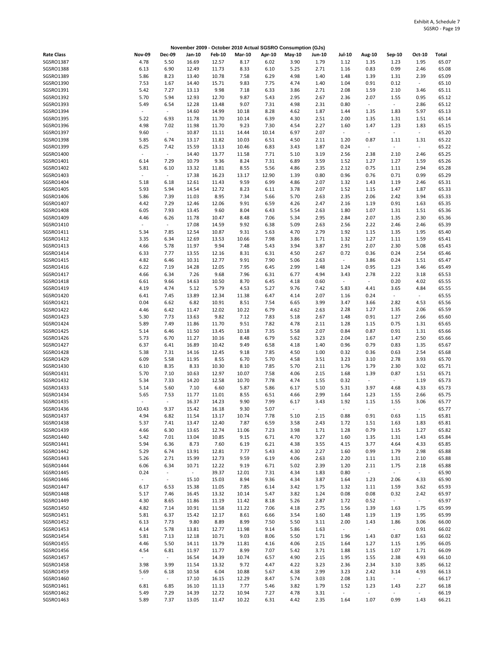|                        |                                  |                          |                |                |                |               | November 2009 - October 2010 Actual SGSRO Consumption (GJs) |               |                                  |                                  |                          |                |                |
|------------------------|----------------------------------|--------------------------|----------------|----------------|----------------|---------------|-------------------------------------------------------------|---------------|----------------------------------|----------------------------------|--------------------------|----------------|----------------|
| <b>Rate Class</b>      | <b>Nov-09</b>                    | <b>Dec-09</b>            | Jan-10         | Feb-10         | <b>Mar-10</b>  | Apr-10        | May-10                                                      | <b>Jun-10</b> | Jul-10                           | Aug-10                           | Sep-10                   | Oct-10         | Total          |
| SGSRO1387              | 4.78                             | 5.50                     | 16.69          | 12.57          | 8.17           | 6.02          | 3.90                                                        | 1.79          | 1.12                             | 1.35                             | 1.23                     | 1.95           | 65.07          |
| SGSRO1388              | 6.13                             | 6.90                     | 12.49          | 11.73          | 8.33           | 6.10          | 5.25                                                        | 2.71          | 1.16                             | 0.83                             | 0.99                     | 2.46           | 65.08          |
| SGSRO1389<br>SGSRO1390 | 5.86                             | 8.23                     | 13.40          | 10.78          | 7.58           | 6.29          | 4.98                                                        | 1.40          | 1.48                             | 1.39                             | 1.31                     | 2.39           | 65.09          |
| SGSRO1391              | 7.53<br>5.42                     | 1.67<br>7.27             | 14.40<br>13.13 | 15.71<br>9.98  | 9.83<br>7.18   | 7.75<br>6.33  | 4.74<br>3.86                                                | 1.40<br>2.71  | 1.04<br>2.08                     | 0.91<br>1.59                     | 0.12<br>2.10             | $\sim$<br>3.46 | 65.10<br>65.11 |
| SGSRO1392              | 5.70                             | 5.94                     | 12.93          | 12.70          | 9.87           | 5.43          | 2.95                                                        | 2.67          | 2.36                             | 2.07                             | 1.55                     | 0.95           | 65.12          |
| SGSRO1393              | 5.49                             | 6.54                     | 12.28          | 13.48          | 9.07           | 7.31          | 4.98                                                        | 2.31          | 0.80                             | $\overline{\phantom{a}}$         | $\blacksquare$           | 2.86           | 65.12          |
| SGSRO1394              | $\omega$                         | $\sim$                   | 14.60          | 14.99          | 10.18          | 8.28          | 4.62                                                        | 1.87          | 1.44                             | 1.35                             | 1.83                     | 5.97           | 65.13          |
| SGSRO1395              | 5.22                             | 6.93                     | 11.78          | 11.70          | 10.14          | 6.39          | 4.30                                                        | 2.51          | 2.00                             | 1.35                             | 1.31                     | 1.51           | 65.14          |
| SGSRO1396              | 4.98                             | 7.02                     | 11.98          | 11.70          | 9.23           | 7.30          | 4.54                                                        | 2.27          | 1.60                             | 1.47                             | 1.23                     | 1.83           | 65.15          |
| SGSRO1397<br>SGSRO1398 | 9.60<br>5.85                     | $\omega$<br>6.74         | 10.87<br>13.17 | 11.11<br>11.82 | 14.44<br>10.03 | 10.14<br>6.51 | 6.97<br>4.50                                                | 2.07<br>2.11  | $\overline{\phantom{a}}$<br>1.20 | $\overline{\phantom{a}}$<br>0.87 | $\blacksquare$<br>1.11   | $\sim$<br>1.31 | 65.20<br>65.22 |
| SGSRO1399              | 6.25                             | 7.42                     | 15.59          | 13.13          | 10.46          | 6.83          | 3.43                                                        | 1.87          | 0.24                             | $\blacksquare$                   | $\blacksquare$           | $\sim$         | 65.22          |
| SGSRO1400              | $\centering \label{eq:reduced}$  | $\blacksquare$           | 14.40          | 13.77          | 11.58          | 7.71          | 5.10                                                        | 3.19          | 2.56                             | 2.38                             | 2.10                     | 2.46           | 65.25          |
| SGSRO1401              | 6.14                             | 7.29                     | 10.79          | 9.36           | 8.24           | 7.31          | 6.89                                                        | 3.59          | 1.52                             | 1.27                             | 1.27                     | 1.59           | 65.26          |
| SGSRO1402              | 5.81                             | 6.10                     | 13.32          | 11.81          | 8.55           | 5.56          | 4.86                                                        | 2.35          | 2.12                             | 0.75                             | 1.11                     | 2.94           | 65.28          |
| SGSRO1403              | $\sim$                           | $\sim$                   | 17.38          | 16.23          | 13.17          | 12.90         | 1.39                                                        | 0.80          | 0.96                             | 0.76                             | 0.71                     | 0.99           | 65.29          |
| SGSRO1404<br>SGSRO1405 | 5.18<br>5.93                     | 6.18<br>5.94             | 12.61<br>14.54 | 11.43<br>12.72 | 9.59<br>8.23   | 6.99<br>6.11  | 4.86<br>3.78                                                | 2.07<br>2.07  | 1.32<br>1.52                     | 1.43<br>1.15                     | 1.19<br>1.47             | 2.46<br>1.87   | 65.31<br>65.33 |
| SGSRO1406              | 5.86                             | 7.39                     | 11.03          | 8.95           | 7.34           | 5.66          | 5.70                                                        | 2.63          | 2.35                             | 2.06                             | 2.42                     | 3.94           | 65.33          |
| SGSRO1407              | 4.42                             | 7.29                     | 12.46          | 12.06          | 9.91           | 6.59          | 4.26                                                        | 2.47          | 2.16                             | 1.19                             | 0.91                     | 1.63           | 65.35          |
| SGSRO1408              | 6.05                             | 7.93                     | 13.45          | 9.60           | 8.04           | 6.43          | 5.54                                                        | 2.63          | 1.80                             | 1.07                             | 1.31                     | 1.51           | 65.36          |
| SGSRO1409              | 4.46                             | 6.26                     | 11.78          | 10.47          | 8.48           | 7.06          | 5.34                                                        | 2.95          | 2.84                             | 2.07                             | 1.35                     | 2.30           | 65.36          |
| SGSRO1410              | $\overline{\phantom{a}}$         | $\sim$                   | 17.08          | 14.59          | 9.92           | 6.38          | 5.09                                                        | 2.63          | 2.56                             | 2.22                             | 2.46                     | 2.46           | 65.39          |
| SGSRO1411              | 5.34                             | 7.85                     | 12.54<br>12.69 | 10.87          | 9.31           | 5.63          | 4.70                                                        | 2.79          | 1.92<br>1.32                     | 1.15                             | 1.35                     | 1.95           | 65.40<br>65.41 |
| SGSRO1412<br>SGSRO1413 | 3.35<br>4.66                     | 6.34<br>5.78             | 11.97          | 13.53<br>9.94  | 10.66<br>7.48  | 7.98<br>5.43  | 3.86<br>3.94                                                | 1.71<br>3.87  | 2.91                             | 1.27<br>2.07                     | 1.11<br>2.30             | 1.59<br>5.08   | 65.43          |
| SGSRO1414              | 6.33                             | 7.77                     | 13.55          | 12.16          | 8.31           | 6.31          | 4.50                                                        | 2.67          | 0.72                             | 0.36                             | 0.24                     | 2.54           | 65.46          |
| SGSRO1415              | 4.82                             | 6.46                     | 10.31          | 12.77          | 9.91           | 7.90          | 5.06                                                        | 2.63          | $\blacksquare$                   | 3.86                             | 0.24                     | 1.51           | 65.47          |
| SGSRO1416              | 6.22                             | 7.19                     | 14.28          | 12.05          | 7.95           | 6.45          | 2.99                                                        | 1.48          | 1.24                             | 0.95                             | 1.23                     | 3.46           | 65.49          |
| SGSRO1417              | 4.66                             | 6.34                     | 7.26           | 9.68           | 7.96           | 6.31          | 6.77                                                        | 4.94          | 3.43                             | 2.78                             | 2.22                     | 3.18           | 65.53          |
| SGSRO1418              | 6.61                             | 9.66                     | 14.63          | 10.50          | 8.70           | 6.45          | 4.18                                                        | 0.60          | $\overline{\phantom{a}}$         | $\overline{\phantom{a}}$         | 0.20                     | 4.02           | 65.55          |
| SGSRO1419              | 4.19                             | 4.74                     | 5.12           | 5.79           | 4.53           | 5.27          | 9.76                                                        | 7.42          | 5.83                             | 4.41                             | 3.65<br>$\blacksquare$   | 4.84<br>$\sim$ | 65.55          |
| SGSRO1420<br>SGSRO1421 | 6.41<br>0.04                     | 7.45<br>6.62             | 13.89<br>6.82  | 12.34<br>10.91 | 11.38<br>8.51  | 6.47<br>7.54  | 4.14<br>6.65                                                | 2.07<br>3.99  | 1.16<br>3.47                     | 0.24<br>3.66                     | 2.82                     | 4.53           | 65.55<br>65.56 |
| SGSRO1422              | 4.46                             | 6.42                     | 11.47          | 12.02          | 10.22          | 6.79          | 4.62                                                        | 2.63          | 2.28                             | 1.27                             | 1.35                     | 2.06           | 65.59          |
| SGSRO1423              | 5.30                             | 7.73                     | 13.63          | 9.82           | 7.12           | 7.83          | 5.18                                                        | 2.67          | 1.48                             | 0.91                             | 1.27                     | 2.66           | 65.60          |
| SGSRO1424              | 5.89                             | 7.49                     | 11.86          | 11.70          | 9.51           | 7.82          | 4.78                                                        | 2.11          | 1.28                             | 1.15                             | 0.75                     | 1.31           | 65.65          |
| SGSRO1425              | 5.14                             | 6.46                     | 11.50          | 13.45          | 10.18          | 7.35          | 5.58                                                        | 2.07          | 0.84                             | 0.87                             | 0.91                     | 1.31           | 65.66          |
| SGSRO1426              | 5.73                             | 6.70                     | 11.27          | 10.16          | 8.48           | 6.79          | 5.62                                                        | 3.23          | 2.04                             | 1.67                             | 1.47                     | 2.50           | 65.66          |
| SGSRO1427<br>SGSRO1428 | 6.37<br>5.38                     | 6.41<br>7.31             | 16.89<br>14.16 | 10.42<br>12.45 | 9.49<br>9.18   | 6.58<br>7.85  | 4.18<br>4.50                                                | 1.40<br>1.00  | 0.96<br>0.32                     | 0.79<br>0.36                     | 0.83<br>0.63             | 1.35<br>2.54   | 65.67<br>65.68 |
| SGSRO1429              | 6.09                             | 5.58                     | 11.95          | 8.55           | 6.70           | 5.70          | 4.58                                                        | 3.51          | 3.23                             | 3.10                             | 2.78                     | 3.93           | 65.70          |
| SGSRO1430              | 6.10                             | 8.35                     | 8.33           | 10.30          | 8.10           | 7.85          | 5.70                                                        | 2.11          | 1.76                             | 1.79                             | 2.30                     | 3.02           | 65.71          |
| SGSRO1431              | 5.70                             | 7.10                     | 10.63          | 12.97          | 10.07          | 7.58          | 4.06                                                        | 2.15          | 1.68                             | 1.39                             | 0.87                     | 1.51           | 65.71          |
| SGSRO1432              | 5.34                             | 7.33                     | 14.20          | 12.58          | 10.70          | 7.78          | 4.74                                                        | 1.55          | 0.32                             | $\overline{\phantom{a}}$         | $\overline{\phantom{a}}$ | 1.19           | 65.73          |
| SGSRO1433              | 5.14                             | 5.60                     | 7.10           | 6.60           | 5.87           | 5.86          | 6.17                                                        | 5.10          | 5.31                             | 3.97                             | 4.68                     | 4.33           | 65.73          |
| SGSRO1434<br>SGSRO1435 | 5.65<br>$\overline{\phantom{a}}$ | 7.53<br>$\omega$         | 11.77<br>16.37 | 11.01<br>14.23 | 8.55<br>9.90   | 6.51<br>7.99  | 4.66<br>6.17                                                | 2.99<br>3.43  | 1.64<br>1.92                     | 1.23<br>1.15                     | 1.55<br>1.55             | 2.66<br>3.06   | 65.75<br>65.77 |
| SGSRO1436              | 10.43                            | 9.37                     | 15.42          | 16.18          | 9.30           | 5.07          |                                                             |               |                                  |                                  |                          |                | 65.77          |
| SGSRO1437              | 4.94                             | 6.82                     | 11.54          | 13.17          | 10.74          | 7.78          | 5.10                                                        | 2.15          | 0.88                             | 0.91                             | 0.63                     | 1.15           | 65.81          |
| SGSRO1438              | 5.37                             | 7.41                     | 13.47          | 12.40          | 7.87           | 6.59          | 3.58                                                        | 2.43          | 1.72                             | 1.51                             | 1.63                     | 1.83           | 65.81          |
| SGSRO1439              | 4.66                             | 6.30                     | 13.65          | 12.74          | 11.06          | 7.23          | 3.98                                                        | 1.71          | 1.28                             | 0.79                             | 1.15                     | 1.27           | 65.82          |
| SGSRO1440              | 5.42                             | 7.01                     | 13.04          | 10.85          | 9.15           | 6.71          | 4.70                                                        | 3.27          | 1.60                             | 1.35                             | 1.31                     | 1.43           | 65.84          |
| SGSRO1441<br>SGSRO1442 | 5.94<br>5.29                     | 6.36<br>6.74             | 8.73<br>13.91  | 7.60<br>12.81  | 6.19<br>7.77   | 6.21<br>5.43  | 4.38<br>4.30                                                | 3.55<br>2.27  | 4.15<br>1.60                     | 3.77<br>0.99                     | 4.64<br>1.79             | 4.33<br>2.98   | 65.85<br>65.88 |
| SGSRO1443              | 5.26                             | 2.71                     | 15.99          | 12.73          | 9.59           | 6.19          | 4.06                                                        | 2.63          | 2.20                             | 1.11                             | 1.31                     | 2.10           | 65.88          |
| SGSRO1444              | 6.06                             | 6.34                     | 10.71          | 12.22          | 9.19           | 6.71          | 5.02                                                        | 2.39          | 1.20                             | 2.11                             | 1.75                     | 2.18           | 65.88          |
| SGSRO1445              | 0.24                             | $\sim$                   | $\sim$         | 39.37          | 12.01          | 7.31          | 4.34                                                        | 1.83          | 0.80                             | $\omega_{\rm c}$                 | $\sim$                   | $\sim$         | 65.90          |
| SGSRO1446              | $\overline{\phantom{a}}$         | $\overline{\phantom{a}}$ | 15.10          | 15.03          | 8.94           | 9.36          | 4.34                                                        | 3.87          | 1.64                             | 1.23                             | 2.06                     | 4.33           | 65.90          |
| SGSRO1447              | 6.17                             | 6.53                     | 15.38          | 11.05          | 7.85           | 6.14          | 3.42                                                        | 1.75          | 1.32                             | 1.11                             | 1.59                     | 3.62           | 65.93          |
| SGSRO1448<br>SGSRO1449 | 5.17<br>4.30                     | 7.46<br>8.65             | 16.45<br>11.86 | 13.32<br>11.19 | 10.14<br>11.42 | 5.47<br>8.18  | 3.82<br>5.26                                                | 1.24<br>2.87  | 0.08<br>1.72                     | 0.08<br>0.52                     | 0.32<br>$\sim$           | 2.42<br>$\sim$ | 65.97<br>65.97 |
| SGSRO1450              | 4.82                             | 7.14                     | 10.91          | 11.58          | 11.22          | 7.06          | 4.18                                                        | 2.75          | 1.56                             | 1.39                             | 1.63                     | 1.75           | 65.99          |
| SGSRO1451              | 5.81                             | 6.37                     | 15.42          | 12.17          | 8.61           | 6.66          | 3.54                                                        | 1.60          | 1.48                             | 1.19                             | 1.19                     | 1.95           | 65.99          |
| SGSRO1452              | 6.13                             | 7.73                     | 9.80           | 8.89           | 8.99           | 7.50          | 5.50                                                        | 3.11          | 2.00                             | 1.43                             | 1.86                     | 3.06           | 66.00          |
| SGSRO1453              | 4.14                             | 5.78                     | 13.81          | 12.77          | 11.98          | 9.14          | 5.86                                                        | 1.63          | $\sim$                           | $\sim$                           | $\sim$                   | 0.91           | 66.02          |
| SGSRO1454              | 5.81                             | 7.13                     | 12.18          | 10.71          | 9.03           | 8.06          | 5.50                                                        | 1.71          | 1.96                             | 1.43                             | 0.87                     | 1.63           | 66.02          |
| SGSRO1455              | 4.46                             | 5.50                     | 14.11          | 13.79          | 11.81          | 4.16          | 4.06                                                        | 2.15          | 1.64                             | 1.27                             | 1.15                     | 1.95           | 66.05          |
| SGSRO1456<br>SGSRO1457 | 4.54<br>$\blacksquare$           | 6.81<br>$\blacksquare$   | 11.97<br>16.54 | 11.77<br>14.39 | 8.99<br>10.74  | 7.07<br>6.57  | 5.42<br>4.90                                                | 3.71<br>2.15  | 1.88<br>1.95                     | 1.15<br>1.55                     | 1.07<br>2.38             | 1.71<br>4.93   | 66.09<br>66.10 |
| SGSRO1458              | 3.98                             | 3.99                     | 11.54          | 13.32          | 9.72           | 4.47          | 4.22                                                        | 3.23          | 2.36                             | 2.34                             | 3.10                     | 3.85           | 66.12          |
| SGSRO1459              | 5.69                             | 6.18                     | 10.58          | 6.04           | 10.88          | 5.67          | 4.38                                                        | 2.99          | 3.23                             | 2.42                             | 3.14                     | 4.93           | 66.13          |
| SGSRO1460              | $\blacksquare$                   | $\sim$                   | 17.10          | 16.15          | 12.29          | 8.47          | 5.74                                                        | 3.03          | 2.08                             | 1.31                             | $\omega_{\rm c}$         | $\sim$         | 66.17          |
| SGSRO1461              | 6.81                             | 6.85                     | 16.10          | 11.13          | 7.77           | 5.46          | 3.82                                                        | 1.79          | 1.52                             | 1.23                             | 1.43                     | 2.27           | 66.18          |
| SGSRO1462              | 5.49                             | 7.29                     | 14.39          | 12.72          | 10.94          | 7.27          | 4.78                                                        | 3.31          | $\overline{\phantom{a}}$         | $\overline{\phantom{a}}$         | $\overline{\phantom{a}}$ | $\omega$       | 66.19          |
| SGSRO1463              | 5.89                             | 7.37                     | 13.05          | 11.47          | 10.22          | 6.31          | 4.42                                                        | 2.35          | 1.64                             | 1.07                             | 0.99                     | 1.43           | 66.21          |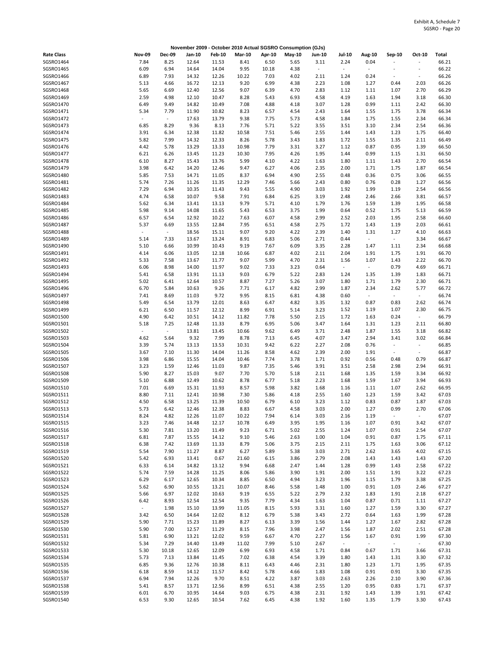|                        |                          |                          | November 2009 - October 2010 Actual SGSRO Consumption (GJs) |                |               |              |              |                          |                          |                                  |                          |                          |                |
|------------------------|--------------------------|--------------------------|-------------------------------------------------------------|----------------|---------------|--------------|--------------|--------------------------|--------------------------|----------------------------------|--------------------------|--------------------------|----------------|
| <b>Rate Class</b>      | <b>Nov-09</b>            | <b>Dec-09</b>            | Jan-10                                                      | <b>Feb-10</b>  | <b>Mar-10</b> | Apr-10       | May-10       | <b>Jun-10</b>            | <b>Jul-10</b>            | <b>Aug-10</b>                    | Sep-10                   | Oct-10                   | Total          |
| SGSRO1464              | 7.84                     | 8.25                     | 12.64                                                       | 11.53          | 8.41          | 6.50         | 5.65         | 3.11                     | 2.24                     | 0.04                             | ÷,                       | L,                       | 66.21          |
| SGSRO1465              | 6.09                     | 6.94                     | 14.64                                                       | 14.04          | 9.95          | 10.18        | 4.38         | $\overline{\phantom{a}}$ | $\overline{\phantom{a}}$ | $\overline{\phantom{a}}$         |                          | $\blacksquare$           | 66.22          |
| SGSRO1466              | 6.89                     | 7.93                     | 14.32                                                       | 12.26          | 10.22         | 7.03         | 4.02         | 2.11                     | 1.24                     | 0.24                             | $\overline{\phantom{a}}$ | $\sim$                   | 66.26          |
| SGSRO1467              | 5.13                     | 4.66                     | 16.72                                                       | 12.13          | 9.20          | 6.99         | 4.38         | 2.23                     | 1.08                     | 1.27                             | 0.44                     | 2.03                     | 66.26          |
| SGSRO1468              | 5.65                     | 6.69                     | 12.40                                                       | 12.56          | 9.07          | 6.39         | 4.70         | 2.83                     | 1.12                     | 1.11                             | 1.07                     | 2.70                     | 66.29          |
| SGSRO1469              | 2.59                     | 4.98                     | 12.10                                                       | 10.47          | 8.28          | 5.43         | 6.93         | 4.58                     | 4.19                     | 1.63                             | 1.94                     | 3.18                     | 66.30          |
| SGSRO1470              | 6.49                     | 9.49                     | 14.82                                                       | 10.49          | 7.08          | 4.88         | 4.18         | 3.07                     | 1.28                     | 0.99                             | 1.11                     | 2.42                     | 66.30          |
| SGSRO1471              | 5.34                     | 7.79                     | 11.90                                                       | 10.82          | 8.23          | 6.57         | 4.54         | 2.43                     | 1.64                     | 1.55                             | 1.75                     | 3.78                     | 66.34          |
| SGSRO1472              | $\overline{\phantom{a}}$ | $\blacksquare$           | 17.63                                                       | 13.79          | 9.38          | 7.75         | 5.73         | 4.58                     | 1.84                     | 1.75                             | 1.55                     | 2.34                     | 66.34          |
| SGSRO1473              | 6.85                     | 8.29                     | 9.36                                                        | 8.13           | 7.76          | 5.71         | 5.22         | 3.55                     | 3.51                     | 3.10                             | 2.34                     | 2.54                     | 66.36          |
| SGSRO1474              | 3.91                     | 6.34                     | 12.38                                                       | 11.82          | 10.58         | 7.51         | 5.46         | 2.55                     | 1.44                     | 1.43                             | 1.23                     | 1.75                     | 66.40          |
| SGSRO1475<br>SGSRO1476 | 5.82<br>4.42             | 7.99<br>5.78             | 14.32<br>13.29                                              | 12.33<br>13.33 | 8.26<br>10.98 | 5.78<br>7.79 | 3.43<br>3.31 | 1.83<br>3.27             | 1.72<br>1.12             | 1.55<br>0.87                     | 1.35<br>0.95             | 2.11<br>1.39             | 66.49<br>66.50 |
| SGSRO1477              | 6.21                     | 6.26                     | 13.45                                                       | 11.23          | 10.30         | 7.95         | 4.26         | 1.95                     | 1.44                     | 0.99                             | 1.15                     | 1.31                     | 66.50          |
| SGSRO1478              | 6.10                     | 8.27                     | 15.43                                                       | 13.76          | 5.99          | 4.10         | 4.22         | 1.63                     | 1.80                     | 1.11                             | 1.43                     | 2.70                     | 66.54          |
| SGSRO1479              | 3.98                     | 6.42                     | 14.20                                                       | 12.46          | 9.47          | 6.27         | 4.06         | 2.35                     | 2.00                     | 1.71                             | 1.75                     | 1.87                     | 66.54          |
| SGSRO1480              | 5.85                     | 7.53                     | 14.71                                                       | 11.05          | 8.37          | 6.94         | 4.90         | 2.55                     | 0.48                     | 0.36                             | 0.75                     | 3.06                     | 66.55          |
| SGSRO1481              | 5.74                     | 7.26                     | 11.26                                                       | 11.35          | 12.29         | 7.46         | 5.66         | 2.43                     | 0.80                     | 0.76                             | 0.28                     | 1.27                     | 66.56          |
| SGSRO1482              | 7.29                     | 6.94                     | 10.35                                                       | 11.43          | 9.43          | 5.55         | 4.90         | 3.03                     | 1.92                     | 1.99                             | 1.19                     | 2.54                     | 66.56          |
| SGSRO1483              | 4.74                     | 6.58                     | 10.07                                                       | 9.58           | 7.91          | 6.84         | 6.25         | 3.19                     | 2.48                     | 2.46                             | 2.66                     | 3.81                     | 66.57          |
| SGSRO1484              | 5.62                     | 6.34                     | 13.41                                                       | 13.13          | 9.79          | 5.71         | 4.10         | 1.79                     | 1.76                     | 1.59                             | 1.39                     | 1.95                     | 66.58          |
| SGSRO1485              | 5.98                     | 9.14                     | 14.08                                                       | 11.65          | 5.43          | 6.53         | 3.75         | 1.99                     | 0.64                     | 0.52                             | 1.75                     | 5.13                     | 66.59          |
| SGSRO1486              | 6.57                     | 6.54                     | 12.92                                                       | 10.22          | 7.63          | 6.07         | 4.58         | 2.99                     | 2.52                     | 2.03                             | 1.95                     | 2.58                     | 66.60          |
| SGSRO1487              | 5.37                     | 6.69                     | 13.55                                                       | 12.84          | 7.95          | 6.51         | 4.58         | 2.75                     | 1.72                     | 1.43                             | 1.19                     | 2.03                     | 66.61          |
| SGSRO1488              | $\blacksquare$           | $\blacksquare$           | 18.56                                                       | 15.11          | 9.07          | 9.20         | 4.22         | 2.39                     | 1.40                     | 1.31                             | 1.27                     | 4.10                     | 66.63          |
| SGSRO1489              | 5.14                     | 7.33                     | 13.67                                                       | 13.24          | 8.91          | 6.83         | 5.06         | 2.71                     | 0.44                     | $\omega$                         | $\omega$                 | 3.34                     | 66.67          |
| SGSRO1490              | 5.10                     | 6.66                     | 10.99                                                       | 10.43          | 9.19          | 7.67         | 6.09         | 3.35                     | 2.28                     | 1.47                             | 1.11                     | 2.34                     | 66.68          |
| SGSRO1491              | 4.14                     | 6.06                     | 13.05                                                       | 12.18          | 10.66         | 6.87         | 4.02         | 2.11                     | 2.04                     | 1.91                             | 1.75                     | 1.91                     | 66.70          |
| SGSRO1492              | 5.33                     | 7.58                     | 13.67                                                       | 11.77          | 9.07          | 5.99         | 4.70         | 2.31                     | 1.56                     | 1.07                             | 1.43                     | 2.22                     | 66.70          |
| SGSRO1493              | 6.06                     | 8.98                     | 14.00                                                       | 11.97          | 9.02          | 7.33         | 3.23         | 0.64                     | $\blacksquare$           | $\overline{\phantom{a}}$         | 0.79                     | 4.69                     | 66.71          |
| SGSRO1494              | 5.41                     | 6.58                     | 13.91                                                       | 11.13          | 9.03          | 6.79         | 5.22         | 2.83                     | 1.24                     | 1.35                             | 1.39                     | 1.83                     | 66.71          |
| SGSRO1495              | 5.02                     | 6.41                     | 12.64                                                       | 10.57          | 8.87          | 7.27         | 5.26         | 3.07                     | 1.80                     | 1.71                             | 1.79                     | 2.30                     | 66.71<br>66.72 |
| SGSRO1496<br>SGSRO1497 | 6.70<br>7.41             | 5.84<br>8.69             | 10.63<br>11.03                                              | 9.26<br>9.72   | 7.71<br>9.95  | 6.17<br>8.15 | 4.82<br>6.81 | 2.99<br>4.38             | 1.87<br>0.60             | 2.34<br>$\overline{\phantom{a}}$ | 2.62<br>$\sim$           | 5.77<br>$\omega_{\rm c}$ | 66.74          |
| SGSRO1498              | 5.49                     | 6.54                     | 13.79                                                       | 12.01          | 8.63          | 6.47         | 4.82         | 3.35                     | 1.32                     | 0.87                             | 0.83                     | 2.62                     | 66.74          |
| SGSRO1499              | 6.21                     | 6.50                     | 11.57                                                       | 12.12          | 8.99          | 6.91         | 5.14         | 3.23                     | 1.52                     | 1.19                             | 1.07                     | 2.30                     | 66.75          |
| SGSRO1500              | 4.90                     | 6.42                     | 10.51                                                       | 14.12          | 11.82         | 7.78         | 5.50         | 2.15                     | 1.72                     | 1.63                             | 0.24                     | $\omega$                 | 66.79          |
| SGSRO1501              | 5.18                     | 7.25                     | 12.48                                                       | 11.33          | 8.79          | 6.95         | 5.06         | 3.47                     | 1.64                     | 1.31                             | 1.23                     | 2.11                     | 66.80          |
| SGSRO1502              | $\overline{\phantom{a}}$ | $\overline{\phantom{a}}$ | 13.81                                                       | 13.45          | 10.66         | 9.62         | 6.49         | 3.71                     | 2.48                     | 1.87                             | 1.55                     | 3.18                     | 66.82          |
| SGSRO1503              | 4.62                     | 5.64                     | 9.32                                                        | 7.99           | 8.78          | 7.13         | 6.45         | 4.07                     | 3.47                     | 2.94                             | 3.41                     | 3.02                     | 66.84          |
| SGSRO1504              | 3.39                     | 5.74                     | 13.13                                                       | 13.53          | 10.31         | 9.42         | 6.22         | 2.27                     | 2.08                     | 0.76                             | $\overline{\phantom{a}}$ | $\blacksquare$           | 66.85          |
| SGSRO1505              | 3.67                     | 7.10                     | 11.30                                                       | 14.04          | 11.26         | 8.58         | 4.62         | 2.39                     | 2.00                     | 1.91                             | $\overline{\phantom{a}}$ | $\sim$                   | 66.87          |
| SGSRO1506              | 3.98                     | 6.86                     | 15.55                                                       | 14.04          | 10.46         | 7.74         | 3.78         | 1.71                     | 0.92                     | 0.56                             | 0.48                     | 0.79                     | 66.87          |
| SGSRO1507              | 3.23                     | 1.59                     | 12.46                                                       | 11.03          | 9.87          | 7.35         | 5.46         | 3.91                     | 3.51                     | 2.58                             | 2.98                     | 2.94                     | 66.91          |
| SGSRO1508              | 5.90                     | 8.27                     | 15.03                                                       | 9.07           | 7.70          | 5.70         | 5.18         | 2.11                     | 1.68                     | 1.35                             | 1.59                     | 3.34                     | 66.92          |
| SGSRO1509              | 5.10                     | 6.88                     | 12.49                                                       | 10.62          | 8.78          | 6.77         | 5.18         | 2.23                     | 1.68                     | 1.59                             | 1.67                     | 3.94                     | 66.93          |
| SGSRO1510              | 7.01                     | 6.69                     | 15.31                                                       | 11.93          | 8.57          | 5.98         | 3.82         | 1.68                     | 1.16                     | 1.11                             | 1.07                     | 2.62                     | 66.95          |
| SGSR01511              | 8.80                     | 7.11                     | 12.41                                                       | 10.98          | 7.30          | 5.86         | 4.18         | 2.55                     | 1.60                     | 1.23                             | 1.59                     | 3.42                     | 67.03          |
| SGSRO1512              | 4.50                     | 6.58                     | 13.25                                                       | 11.39          | 10.50         | 6.79         | 6.10         | 3.23                     | 1.12                     | 0.83                             | 0.87                     | 1.87                     | 67.03          |
| SGSR01513<br>SGSR01514 | 5.73<br>8.24             | 6.42<br>4.82             | 12.46<br>12.26                                              | 12.38<br>11.07 | 8.83<br>10.22 | 6.67<br>7.94 | 4.58<br>6.14 | 3.03<br>3.03             | 2.00<br>2.16             | 1.27<br>1.19                     | 0.99<br>$\Box$           | 2.70<br>$\sim$           | 67.06<br>67.07 |
| SGSR01515              | 3.23                     | 7.46                     | 14.48                                                       | 12.17          | 10.78         | 6.49         | 3.95         | 1.95                     | 1.16                     | 1.07                             | 0.91                     | 3.42                     | 67.07          |
| SGSRO1516              | 5.30                     | 7.81                     | 13.20                                                       | 11.49          | 9.23          | 6.71         | 5.02         | 2.55                     | 1.24                     | 1.07                             | 0.91                     | 2.54                     | 67.07          |
| SGSR01517              | 6.81                     | 7.87                     | 15.55                                                       | 14.12          | 9.10          | 5.46         | 2.63         | 1.00                     | 1.04                     | 0.91                             | 0.87                     | 1.75                     | 67.11          |
| SGSR01518              | 6.38                     | 7.42                     | 13.69                                                       | 11.33          | 8.79          | 5.06         | 3.75         | 2.15                     | 2.11                     | 1.75                             | 1.63                     | 3.06                     | 67.12          |
| SGSRO1519              | 5.54                     | 7.90                     | 11.27                                                       | 8.87           | 6.27          | 5.89         | 5.38         | 3.03                     | 2.71                     | 2.62                             | 3.65                     | 4.02                     | 67.15          |
| SGSRO1520              | 5.42                     | 6.93                     | 13.41                                                       | 0.67           | 21.60         | 6.15         | 3.86         | 2.79                     | 2.08                     | 1.43                             | 1.43                     | 1.43                     | 67.20          |
| SGSR01521              | 6.33                     | 6.14                     | 14.82                                                       | 13.12          | 9.94          | 6.68         | 2.47         | 1.44                     | 1.28                     | 0.99                             | 1.43                     | 2.58                     | 67.22          |
| SGSRO1522              | 5.74                     | 7.59                     | 14.28                                                       | 11.25          | 8.06          | 5.86         | 3.90         | 1.91                     | 2.00                     | 1.51                             | 1.91                     | 3.22                     | 67.23          |
| SGSR01523              | 6.29                     | 6.17                     | 12.65                                                       | 10.34          | 8.85          | 6.50         | 4.94         | 3.23                     | 1.96                     | 1.15                             | 1.79                     | 3.38                     | 67.25          |
| SGSRO1524              | 5.62                     | 6.90                     | 10.55                                                       | 13.21          | 10.07         | 8.46         | 5.58         | 1.48                     | 1.00                     | 0.91                             | 1.03                     | 2.46                     | 67.27          |
| SGSRO1525              | 5.66                     | 6.97                     | 12.02                                                       | 10.63          | 9.19          | 6.55         | 5.22         | 2.79                     | 2.32                     | 1.83                             | 1.91                     | 2.18                     | 67.27          |
| SGSR01526              | 6.42                     | 8.93                     | 12.54                                                       | 12.54          | 9.35          | 7.79         | 4.34         | 1.63                     | 1.04                     | 0.87                             | 0.71                     | 1.11                     | 67.27          |
| SGSR01527              | $\sim$                   | 1.98                     | 15.10                                                       | 13.99          | 11.05         | 8.15         | 5.93         | 3.31                     | 1.60                     | 1.27                             | 1.59                     | 3.30                     | 67.27          |
| SGSRO1528              | 3.42                     | 6.50                     | 14.64                                                       | 12.02          | 8.12          | 6.79         | 5.38         | 3.43                     | 2.72                     | 0.64                             | 1.63                     | 1.99                     | 67.28          |
| SGSRO1529<br>SGSRO1530 | 5.90<br>5.90             | 7.71<br>7.00             | 15.23                                                       | 11.89          | 8.27<br>8.15  | 6.13<br>7.96 | 3.39<br>3.98 | 1.56                     | 1.44                     | 1.27                             | 1.67<br>2.02             | 2.82<br>2.51             | 67.28<br>67.28 |
| SGSRO1531              | 5.81                     | 6.90                     | 12.57<br>13.21                                              | 11.29<br>12.02 | 9.59          | 6.67         | 4.70         | 2.47<br>2.27             | 1.56<br>1.56             | 1.87<br>1.67                     | 0.91                     | 1.99                     | 67.30          |
| SGSRO1532              | 5.34                     | 7.29                     | 14.40                                                       | 13.49          | 11.02         | 7.99         | 5.10         | 2.67                     | $\sim$                   | $\omega$                         | $\sim$                   | $\sim$                   | 67.30          |
| SGSRO1533              | 5.30                     | 10.18                    | 12.65                                                       | 12.09          | 6.99          | 6.93         | 4.58         | 1.71                     | 0.84                     | 0.67                             | 1.71                     | 3.66                     | 67.31          |
| SGSR01534              | 5.73                     | 7.13                     | 13.84                                                       | 11.45          | 7.02          | 6.38         | 4.54         | 3.39                     | 1.80                     | 1.43                             | 1.31                     | 3.30                     | 67.32          |
| SGSRO1535              | 6.85                     | 9.36                     | 12.76                                                       | 10.38          | 8.11          | 6.43         | 4.46         | 2.31                     | 1.80                     | 1.23                             | 1.71                     | 1.95                     | 67.35          |
| SGSRO1536              | 6.18                     | 8.59                     | 14.12                                                       | 11.57          | 8.42          | 5.78         | 4.66         | 1.83                     | 1.08                     | 0.91                             | 0.91                     | 3.30                     | 67.35          |
| SGSR01537              | 6.94                     | 7.94                     | 12.26                                                       | 9.70           | 8.51          | 4.22         | 3.87         | 3.03                     | 2.63                     | 2.26                             | 2.10                     | 3.90                     | 67.36          |
| SGSR01538              | 5.41                     | 8.57                     | 13.71                                                       | 12.56          | 8.99          | 6.51         | 4.38         | 2.55                     | 1.20                     | 0.95                             | 0.83                     | 1.71                     | 67.37          |
| SGSRO1539              | 6.01                     | 6.70                     | 10.95                                                       | 14.64          | 9.03          | 6.75         | 4.38         | 2.31                     | 1.92                     | 1.43                             | 1.39                     | 1.91                     | 67.42          |
| SGSRO1540              | 6.53                     | 9.30                     | 12.65                                                       | 10.54          | 7.62          | 6.45         | 4.38         | 1.92                     | 1.60                     | 1.35                             | 1.79                     | 3.30                     | 67.43          |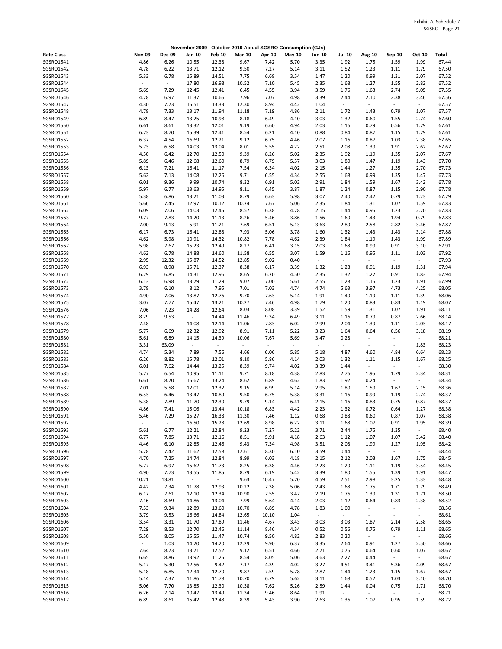|                        |                          |               |                          |                                   |               |               | November 2009 - October 2010 Actual SGSRO Consumption (GJs) |               |                          |                          |                          |                |                |
|------------------------|--------------------------|---------------|--------------------------|-----------------------------------|---------------|---------------|-------------------------------------------------------------|---------------|--------------------------|--------------------------|--------------------------|----------------|----------------|
| <b>Rate Class</b>      | <b>Nov-09</b>            | <b>Dec-09</b> | Jan-10                   | <b>Feb-10</b>                     | <b>Mar-10</b> | Apr-10        | May-10                                                      | <b>Jun-10</b> | Jul-10                   | Aug-10                   | Sep-10                   | Oct-10         | Total          |
| SGSRO1541              | 4.86                     | 6.26          | 10.55                    | 12.38                             | 9.67          | 7.42          | 5.70                                                        | 3.35          | 1.92                     | 1.75                     | 1.59                     | 1.99           | 67.44          |
| SGSRO1542              | 4.78                     | 6.22          | 13.71                    | 12.12                             | 9.50          | 7.27          | 5.14                                                        | 3.11          | 1.52                     | 1.23                     | 1.11                     | 1.79           | 67.50          |
| SGSRO1543              | 5.33                     | 6.78          | 15.89                    | 14.51                             | 7.75          | 6.68          | 3.54                                                        | 1.47          | 1.20                     | 0.99                     | 1.31                     | 2.07           | 67.52          |
| SGSRO1544              | $\overline{\phantom{a}}$ | $\sim$        | 17.80                    | 16.98                             | 10.52         | 7.10          | 5.45                                                        | 2.35          | 1.68                     | 1.27                     | 1.55                     | 2.82           | 67.52          |
| SGSRO1545              | 5.69                     | 7.29          | 12.45                    | 12.41                             | 6.45          | 4.55          | 3.94                                                        | 3.59          | 1.76                     | 1.63                     | 2.74                     | 5.05           | 67.55          |
| SGSRO1546              | 4.78                     | 6.97          | 11.37                    | 10.66                             | 7.96          | 7.07          | 4.98                                                        | 3.39          | 2.44                     | 2.10                     | 2.38                     | 3.46           | 67.56          |
| SGSRO1547              | 4.30                     | 7.73          | 15.51                    | 13.33                             | 12.30         | 8.94          | 4.42                                                        | 1.04          | $\overline{\phantom{a}}$ | $\overline{\phantom{a}}$ | $\Box$                   | $\omega$       | 67.57          |
| SGSRO1548<br>SGSRO1549 | 4.78<br>6.89             | 7.33<br>8.47  | 13.17<br>13.25           | 11.94<br>10.98                    | 11.18<br>8.18 | 7.19<br>6.49  | 4.86<br>4.10                                                | 2.11<br>3.03  | 1.72<br>1.32             | 1.43<br>0.60             | 0.79<br>1.55             | 1.07<br>2.74   | 67.57<br>67.60 |
| SGSRO1550              | 6.61                     | 8.61          | 13.32                    | 12.01                             | 9.19          | 6.60          | 4.94                                                        | 2.03          | 1.16                     | 0.79                     | 0.56                     | 1.79           | 67.61          |
| SGSRO1551              | 6.73                     | 8.70          | 15.39                    | 12.41                             | 8.54          | 6.21          | 4.10                                                        | 0.88          | 0.84                     | 0.87                     | 1.15                     | 1.79           | 67.61          |
| SGSRO1552              | 6.37                     | 4.54          | 16.69                    | 12.21                             | 9.12          | 6.75          | 4.46                                                        | 2.07          | 1.16                     | 0.87                     | 1.03                     | 2.38           | 67.65          |
| SGSRO1553              | 5.73                     | 6.58          | 14.03                    | 13.04                             | 8.01          | 5.55          | 4.22                                                        | 2.51          | 2.08                     | 1.39                     | 1.91                     | 2.62           | 67.67          |
| SGSRO1554              | 4.50                     | 6.42          | 12.70                    | 12.50                             | 9.39          | 8.26          | 5.02                                                        | 2.35          | 1.92                     | 1.19                     | 1.35                     | 2.07           | 67.67          |
| SGSRO1555              | 5.89                     | 6.46          | 12.68                    | 12.60                             | 8.79          | 6.79          | 5.57                                                        | 3.03          | 1.80                     | 1.47                     | 1.19                     | 1.43           | 67.70          |
| SGSRO1556              | 6.13                     | 7.21          | 16.41                    | 11.17                             | 7.54          | 6.34          | 4.02                                                        | 2.15          | 1.44                     | 1.27                     | 1.35                     | 2.70           | 67.73          |
| SGSRO1557              | 5.62                     | 7.13          | 14.08                    | 12.26                             | 9.71          | 6.55          | 4.34                                                        | 2.55          | 1.68                     | 0.99                     | 1.35                     | 1.47           | 67.73          |
| SGSRO1558              | 6.01                     | 9.36          | 9.99                     | 10.74                             | 8.32          | 6.91          | 5.02                                                        | 2.91          | 1.84                     | 1.59                     | 1.67                     | 3.42           | 67.78          |
| SGSRO1559              | 5.97                     | 6.77          | 13.63                    | 14.95                             | 8.11          | 6.45          | 3.87                                                        | 1.87          | 1.24                     | 0.87                     | 1.15                     | 2.90           | 67.78          |
| SGSRO1560              | 5.38                     | 6.86          | 13.21                    | 11.03                             | 8.79          | 6.63          | 5.98                                                        | 3.07          | 2.40                     | 2.42                     | 0.79                     | 1.23           | 67.79          |
| SGSRO1561<br>SGSRO1562 | 5.66<br>6.09             | 7.45<br>7.06  | 12.97<br>14.03           | 10.12<br>12.45                    | 10.74<br>8.57 | 7.67<br>6.38  | 5.06<br>4.78                                                | 2.35<br>2.15  | 1.84<br>1.44             | 1.31<br>0.95             | 1.07<br>1.23             | 1.59<br>2.70   | 67.83<br>67.83 |
| SGSRO1563              | 9.77                     | 7.83          | 14.20                    | 11.13                             | 8.26          | 5.46          | 3.86                                                        | 1.56          | 1.60                     | 1.43                     | 1.94                     | 0.79           | 67.83          |
| SGSRO1564              | 7.00                     | 9.13          | 5.91                     | 11.21                             | 7.69          | 6.51          | 5.13                                                        | 3.63          | 2.80                     | 2.58                     | 2.82                     | 3.46           | 67.87          |
| SGSRO1565              | 6.17                     | 6.73          | 16.41                    | 12.88                             | 7.93          | 5.06          | 3.78                                                        | 1.60          | 1.32                     | 1.43                     | 1.43                     | 3.14           | 67.88          |
| SGSRO1566              | 4.62                     | 5.98          | 10.91                    | 14.32                             | 10.82         | 7.78          | 4.62                                                        | 2.39          | 1.84                     | 1.19                     | 1.43                     | 1.99           | 67.89          |
| SGSRO1567              | 5.98                     | 7.67          | 15.23                    | 12.49                             | 8.27          | 6.41          | 3.15                                                        | 2.03          | 1.68                     | 0.99                     | 0.91                     | 3.10           | 67.91          |
| SGSRO1568              | 4.62                     | 6.78          | 14.88                    | 14.60                             | 11.58         | 6.55          | 3.07                                                        | 1.59          | 1.16                     | 0.95                     | 1.11                     | 1.03           | 67.92          |
| SGSRO1569              | 2.95                     | 12.32         | 15.87                    | 14.52                             | 12.85         | 9.02          | 0.40                                                        | $\sim$        | $\blacksquare$           | $\overline{\phantom{a}}$ | $\sim$                   | $\sim$         | 67.93          |
| SGSRO1570              | 6.93                     | 8.98          | 15.71                    | 12.37                             | 8.38          | 6.17          | 3.39                                                        | 1.32          | 1.28                     | 0.91                     | 1.19                     | 1.31           | 67.94          |
| SGSRO1571              | 6.29                     | 6.85          | 14.31                    | 12.96                             | 8.65          | 6.70          | 4.50                                                        | 2.35          | 1.32                     | 1.27                     | 0.91                     | 1.83           | 67.94          |
| SGSR01572              | 6.13                     | 6.98          | 13.79                    | 11.29                             | 9.07          | 7.00          | 5.61                                                        | 2.55          | 1.28                     | 1.15                     | 1.23                     | 1.91           | 67.99          |
| SGSRO1573              | 3.78                     | 6.10          | 8.12                     | 7.95                              | 7.01          | 7.03          | 4.74                                                        | 4.74          | 5.63                     | 3.97                     | 4.73                     | 4.25           | 68.05          |
| SGSRO1574<br>SGSRO1575 | 4.90<br>3.07             | 7.06<br>7.77  | 13.87<br>15.47           | 12.76<br>13.21                    | 9.70<br>10.27 | 7.63<br>7.46  | 5.14<br>4.98                                                | 1.91<br>1.79  | 1.40<br>1.20             | 1.19<br>0.83             | 1.11<br>0.83             | 1.39<br>1.19   | 68.06<br>68.07 |
| SGSRO1576              | 7.06                     | 7.23          | 14.28                    | 12.64                             | 8.03          | 8.08          | 3.39                                                        | 1.52          | 1.59                     | 1.31                     | 1.07                     | 1.91           | 68.11          |
| SGSRO1577              | 8.29                     | 9.53          | $\blacksquare$           | 14.44                             | 11.46         | 9.34          | 6.49                                                        | 3.11          | 1.16                     | 0.79                     | 0.87                     | 2.66           | 68.14          |
| SGSR01578              | 7.48                     | $\omega$      | 14.08                    | 12.14                             | 11.06         | 7.83          | 6.02                                                        | 2.99          | 2.04                     | 1.39                     | 1.11                     | 2.03           | 68.17          |
| SGSRO1579              | 5.77                     | 6.69          | 12.32                    | 12.92                             | 8.91          | 7.11          | 5.22                                                        | 3.23          | 1.64                     | 0.64                     | 0.56                     | 3.18           | 68.19          |
| SGSRO1580              | 5.61                     | 6.89          | 14.15                    | 14.39                             | 10.06         | 7.67          | 5.69                                                        | 3.47          | 0.28                     | $\sim$                   | ÷,                       | $\sim$         | 68.21          |
| SGSRO1581              | 3.31                     | 63.09         | $\overline{\phantom{a}}$ | $\blacksquare$                    | $\omega$      | $\omega$      | $\bar{\phantom{a}}$                                         | $\omega$      | $\omega$                 | $\sim$                   | $\sim$                   | 1.83           | 68.23          |
| SGSRO1582              | 4.74                     | 5.34          | 7.89                     | 7.56                              | 4.66          | 6.06          | 5.85                                                        | 5.18          | 4.87                     | 4.60                     | 4.84                     | 6.64           | 68.23          |
| SGSRO1583              | 6.26                     | 8.82          | 15.78                    | 12.01                             | 8.10          | 5.86          | 4.14                                                        | 2.03          | 1.32                     | 1.11                     | 1.15                     | 1.67           | 68.25          |
| SGSRO1584              | 6.01                     | 7.62          | 14.44                    | 13.25                             | 8.39          | 9.74          | 4.02                                                        | 3.39          | 1.44                     | $\sim$                   | $\blacksquare$           | $\sim$         | 68.30          |
| SGSRO1585              | 5.77                     | 6.54          | 10.95                    | 11.11                             | 9.71          | 8.18          | 4.38                                                        | 2.83          | 2.76                     | 1.95                     | 1.79                     | 2.34           | 68.31          |
| SGSRO1586              | 6.61<br>7.01             | 8.70          | 15.67                    | 13.24                             | 8.62          | 6.89          | 4.62                                                        | 1.83<br>2.95  | 1.92<br>1.80             | 0.24                     | $\overline{\phantom{a}}$ | $\sim$         | 68.34<br>68.36 |
| SGSRO1587<br>SGSRO1588 | 6.53                     | 5.58<br>6.46  | 12.01<br>13.47           | 12.32<br>10.89                    | 9.15<br>9.50  | 6.99<br>6.75  | 5.14<br>5.38                                                | 3.31          | 1.16                     | 1.59<br>0.99             | 1.67<br>1.19             | 2.15<br>2.74   | 68.37          |
| SGSRO1589              | 5.38                     | 7.89          | 11.70                    | 12.30                             | 9.79          | 9.14          | 6.41                                                        | 2.15          | 1.16                     | 0.83                     | 0.75                     | 0.87           | 68.37          |
| SGSRO1590              | 4.86                     | 7.41          | 15.06                    | 13.44                             | 10.18         | 6.83          | 4.42                                                        | 2.23          | 1.32                     | 0.72                     | 0.64                     | 1.27           | 68.38          |
| SGSRO1591              | 5.46                     | 7.29          | 15.27                    | 16.38                             | 11.30         | 7.46          | 1.12                                                        | 0.68          | 0.88                     | 0.60                     | 0.87                     | 1.07           | 68.38          |
| SGSRO1592              | $\overline{a}$           | $\sim$        | 16.50                    | 15.28                             | 12.69         | 8.98          | 6.22                                                        | 3.11          | 1.68                     | 1.07                     | 0.91                     | 1.95           | 68.39          |
| SGSRO1593              | 5.61                     | 6.77          | 12.21                    | 12.84                             | 9.23          | 7.27          | 5.22                                                        | 3.71          | 2.44                     | 1.75                     | 1.35                     | $\sim$         | 68.40          |
| SGSRO1594              | 6.77                     | 7.85          | 13.71                    | 12.16                             | 8.51          | 5.91          | 4.18                                                        | 2.63          | 1.12                     | 1.07                     | 1.07                     | 3.42           | 68.40          |
| SGSRO1595              | 4.46                     | 6.10          | 12.85                    | 12.46                             | 9.43          | 7.34          | 4.98                                                        | 3.51          | 2.08                     | 1.99                     | 1.27                     | 1.95           | 68.42          |
| SGSRO1596              | 5.78                     | 7.42          | 11.62                    | 12.58                             | 12.61         | 8.30          | 6.10                                                        | 3.59          | 0.44                     | $\Box$                   | $\omega$                 | $\sim$         | 68.44          |
| SGSRO1597              | 4.70                     | 7.25          | 14.74                    | 12.84                             | 8.99          | 6.03          | 4.18                                                        | 2.15          | 2.12                     | 2.03                     | 1.67                     | 1.75           | 68.45          |
| SGSRO1598              | 5.77                     | 6.97          | 15.62                    | 11.73                             | 8.25          | 6.38          | 4.46                                                        | 2.23          | 1.20                     | 1.11                     | 1.19                     | 3.54           | 68.45          |
| SGSRO1599              | 4.90                     | 7.73          | 13.55                    | 11.85                             | 8.79          | 6.19          | 5.42                                                        | 3.39          | 1.80                     | 1.55                     | 1.39                     | 1.91           | 68.47          |
| SGSRO1600<br>SGSRO1601 | 10.21<br>4.42            | 13.81<br>7.34 | $\sim$<br>11.78          | $\overline{\phantom{a}}$<br>12.93 | 9.63<br>10.22 | 10.47<br>7.38 | 5.70<br>5.06                                                | 4.59<br>2.43  | 2.51<br>1.68             | 2.98<br>1.75             | 3.25<br>1.71             | 5.33<br>1.79   | 68.48<br>68.49 |
| SGSRO1602              | 6.17                     | 7.61          | 12.10                    | 12.34                             | 10.90         | 7.55          | 3.47                                                        | 2.19          | 1.76                     | 1.39                     | 1.31                     | 1.71           | 68.50          |
| SGSRO1603              | 7.16                     | 8.69          | 14.86                    | 13.04                             | 7.99          | 5.64          | 4.14                                                        | 2.03          | 1.12                     | 0.64                     | 0.83                     | 2.38           | 68.52          |
| SGSRO1604              | 7.53                     | 9.34          | 12.89                    | 13.60                             | 10.70         | 6.89          | 4.78                                                        | 1.83          | 1.00                     | $\overline{\phantom{a}}$ | $\blacksquare$           | $\blacksquare$ | 68.56          |
| SGSRO1605              | 3.79                     | 9.53          | 16.66                    | 14.84                             | 12.65         | 10.10         | 1.04                                                        | $\omega$      | $\sim$                   | $\overline{\phantom{a}}$ | $\blacksquare$           | $\omega$       | 68.61          |
| SGSRO1606              | 3.54                     | 3.31          | 11.70                    | 17.89                             | 11.46         | 4.67          | 3.43                                                        | 3.03          | 3.03                     | 1.87                     | 2.14                     | 2.58           | 68.65          |
| SGSRO1607              | 7.29                     | 8.53          | 12.70                    | 12.46                             | 11.14         | 8.46          | 4.34                                                        | 0.52          | 0.56                     | 0.75                     | 0.79                     | 1.11           | 68.65          |
| SGSRO1608              | 5.50                     | 8.05          | 15.55                    | 11.47                             | 10.74         | 9.50          | 4.82                                                        | 2.83          | 0.20                     | $\overline{\phantom{a}}$ | $\omega$                 | $\sim$         | 68.66          |
| SGSRO1609              | $\sim$                   | 1.03          | 14.20                    | 14.20                             | 12.29         | 9.90          | 6.37                                                        | 3.35          | 2.64                     | 0.91                     | 1.27                     | 2.50           | 68.66          |
| SGSRO1610              | 7.64                     | 8.73          | 13.71                    | 12.52                             | 9.12          | 6.51          | 4.66                                                        | 2.71          | 0.76                     | 0.64                     | 0.60                     | 1.07           | 68.67          |
| SGSRO1611              | 6.65                     | 8.86          | 13.92                    | 11.25                             | 8.54          | 8.05          | 5.06                                                        | 3.63          | 2.27                     | 0.44                     | $\sim$                   | $\sim$         | 68.67          |
| SGSRO1612              | 5.17                     | 5.30          | 12.56                    | 9.42                              | 7.17          | 4.39          | 4.02                                                        | 3.27          | 4.51                     | 3.41                     | 5.36                     | 4.09           | 68.67          |
| SGSRO1613<br>SGSRO1614 | 5.18<br>5.14             | 6.85<br>7.37  | 12.34<br>11.86           | 12.70<br>11.78                    | 9.87<br>10.70 | 7.59<br>6.79  | 5.78<br>5.62                                                | 2.87<br>3.11  | 1.44<br>1.68             | 1.23<br>0.52             | 1.15<br>1.03             | 1.67<br>3.10   | 68.67<br>68.70 |
| SGSRO1615              | 5.06                     | 7.70          | 13.85                    | 12.30                             | 10.38         | 7.62          | 5.26                                                        | 2.59          | 1.44                     | 0.04                     | 0.75                     | 1.71           | 68.70          |
| SGSRO1616              | 6.26                     | 7.14          | 10.47                    | 13.49                             | 11.34         | 9.46          | 8.64                                                        | 1.91          | $\sim$                   | $\sim$                   | $\blacksquare$           | $\sim$         | 68.71          |
| SGSRO1617              | 6.89                     | 8.61          | 15.42                    | 12.48                             | 8.39          | 5.43          | 3.90                                                        | 2.63          | 1.36                     | 1.07                     | 0.95                     | 1.59           | 68.72          |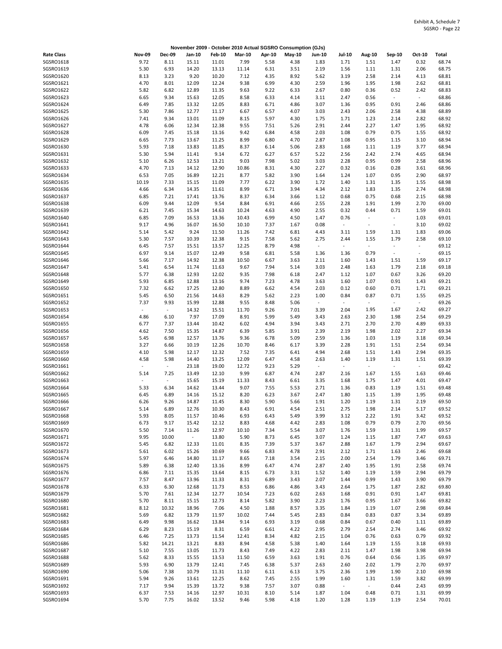|                        |               |                |                |                |               |              | November 2009 - October 2010 Actual SGSRO Consumption (GJs) |                          |                          |                          |                          |              |                |
|------------------------|---------------|----------------|----------------|----------------|---------------|--------------|-------------------------------------------------------------|--------------------------|--------------------------|--------------------------|--------------------------|--------------|----------------|
| <b>Rate Class</b>      | <b>Nov-09</b> | <b>Dec-09</b>  | Jan-10         | Feb-10         | <b>Mar-10</b> | Apr-10       | May-10                                                      | <b>Jun-10</b>            | <b>Jul-10</b>            | <b>Aug-10</b>            | Sep-10                   | Oct-10       | Total          |
| SGSRO1618              | 9.72          | 8.11           | 15.11          | 11.01          | 7.99          | 5.58         | 4.38                                                        | 1.83                     | 1.71                     | 1.51                     | 1.47                     | 0.32         | 68.74          |
| SGSRO1619              | 5.30          | 6.93           | 14.20          | 13.13          | 11.14         | 6.31         | 3.51                                                        | 2.19                     | 1.56                     | 1.11                     | 1.31                     | 2.06         | 68.75          |
| SGSRO1620              | 8.13          | 3.23           | 9.20           | 10.20          | 7.12          | 4.35         | 8.92                                                        | 5.62                     | 3.19                     | 2.58                     | 2.14                     | 4.13         | 68.81          |
| SGSRO1621              | 4.70          | 8.01           | 12.09          | 12.24          | 9.38          | 6.99         | 4.30                                                        | 2.59                     | 1.96                     | 1.95                     | 1.98                     | 2.62         | 68.81          |
| SGSRO1622              | 5.82          | 6.82           | 12.89          | 11.35          | 9.63          | 9.22         | 6.33                                                        | 2.67                     | 0.80                     | 0.36                     | 0.52                     | 2.42         | 68.83          |
| SGSRO1623              | 6.65          | 9.34           | 15.63          | 12.05          | 8.58          | 6.33         | 4.14                                                        | 3.11                     | 2.47                     | 0.56                     | $\sim$                   | $\omega$     | 68.86          |
| SGSRO1624              | 6.49          | 7.85           | 13.32          | 12.05          | 8.83          | 6.71         | 4.86                                                        | 3.07                     | 1.36                     | 0.95                     | 0.91                     | 2.46         | 68.86          |
| SGSRO1625              | 5.30          | 7.86           | 12.77          | 11.17          | 6.67          | 6.57         | 4.07                                                        | 3.03                     | 2.43                     | 2.06                     | 2.58                     | 4.38         | 68.89          |
| SGSRO1626              | 7.41          | 9.34           | 13.01          | 11.09          | 8.15          | 5.97         | 4.30                                                        | 1.75                     | 1.71                     | 1.23                     | 2.14                     | 2.82         | 68.92          |
| SGSRO1627              | 4.78          | 6.06           | 12.34          | 12.38          | 9.55          | 7.51         | 5.26                                                        | 2.91                     | 2.44                     | 2.27                     | 1.47                     | 1.95         | 68.92          |
| SGSRO1628              | 6.09          | 7.45           | 15.18          | 13.16          | 9.42          | 6.84         | 4.58                                                        | 2.03                     | 1.08                     | 0.79                     | 0.75                     | 1.55         | 68.92          |
| SGSRO1629<br>SGSRO1630 | 6.65          | 7.73           | 13.67          | 11.25          | 8.99          | 6.80         | 4.70                                                        | 2.87                     | 1.08                     | 0.95                     | 1.15                     | 3.10         | 68.94<br>68.94 |
| SGSRO1631              | 5.93<br>5.30  | 7.18<br>5.94   | 13.83<br>11.41 | 11.85<br>9.14  | 8.37<br>6.72  | 6.14<br>6.27 | 5.06<br>6.57                                                | 2.83<br>5.22             | 1.68<br>2.56             | 1.11<br>2.42             | 1.19<br>2.74             | 3.77<br>4.65 | 68.94          |
| SGSRO1632              | 5.10          | 6.26           | 12.53          | 13.21          | 9.03          | 7.98         | 5.02                                                        | 3.03                     | 2.28                     | 0.95                     | 0.99                     | 2.58         | 68.96          |
| SGSRO1633              | 4.70          | 7.13           | 14.12          | 12.90          | 10.86         | 8.31         | 4.30                                                        | 2.27                     | 0.32                     | 0.16                     | 0.28                     | 3.61         | 68.96          |
| SGSRO1634              | 6.53          | 7.05           | 16.89          | 12.21          | 8.77          | 5.82         | 3.90                                                        | 1.64                     | 1.24                     | 1.07                     | 0.95                     | 2.90         | 68.97          |
| SGSRO1635              | 10.19         | 7.33           | 15.15          | 11.09          | 7.77          | 6.22         | 3.90                                                        | 1.72                     | 1.40                     | 1.31                     | 1.35                     | 1.55         | 68.98          |
| SGSRO1636              | 4.66          | 6.34           | 14.35          | 11.61          | 8.99          | 6.71         | 3.94                                                        | 4.34                     | 2.12                     | 1.83                     | 1.35                     | 2.74         | 68.98          |
| SGSRO1637              | 6.85          | 7.21           | 17.41          | 13.76          | 8.37          | 6.34         | 3.66                                                        | 1.12                     | 0.68                     | 0.75                     | 0.68                     | 2.15         | 68.98          |
| SGSRO1638              | 6.09          | 9.44           | 12.09          | 9.54           | 8.84          | 6.91         | 4.66                                                        | 2.55                     | 2.28                     | 1.91                     | 1.99                     | 2.70         | 69.00          |
| SGSRO1639              | 6.21          | 7.45           | 15.34          | 14.63          | 10.24         | 4.63         | 4.90                                                        | 2.55                     | 0.32                     | 0.44                     | 0.71                     | 1.59         | 69.01          |
| SGSRO1640              | 6.85          | 7.09           | 16.53          | 13.36          | 10.43         | 6.99         | 4.50                                                        | 1.47                     | 0.76                     |                          | $\overline{\phantom{a}}$ | 1.03         | 69.01          |
| SGSRO1641              | 9.17          | 4.96           | 16.07          | 16.50          | 10.10         | 7.37         | 1.67                                                        | 0.08                     | $\overline{\phantom{a}}$ |                          | $\overline{\phantom{a}}$ | 3.10         | 69.02          |
| SGSRO1642              | 5.14          | 5.42           | 9.24           | 11.50          | 11.26         | 7.42         | 6.81                                                        | 4.43                     | 3.11                     | 1.59                     | 1.31                     | 1.83         | 69.06          |
| SGSRO1643              | 5.30          | 7.57           | 10.39          | 12.38          | 9.15          | 7.58         | 5.62                                                        | 2.75                     | 2.44                     | 1.55                     | 1.79                     | 2.58         | 69.10          |
| SGSRO1644              | 6.45          | 7.57           | 15.51          | 13.57          | 12.25         | 8.79         | 4.98                                                        | $\overline{\phantom{a}}$ | $\overline{\phantom{a}}$ | $\overline{\phantom{a}}$ | $\overline{\phantom{a}}$ | $\sim$       | 69.12          |
| SGSRO1645              | 6.97          | 9.14           | 15.07          | 12.49          | 9.58          | 6.81         | 5.58                                                        | 1.36                     | 1.36                     | 0.79                     | $\overline{\phantom{a}}$ | $\sim$       | 69.15          |
| SGSRO1646              | 5.66          | 7.17           | 14.92          | 12.38          | 10.50         | 6.67         | 3.63                                                        | 2.11                     | 1.60                     | 1.43                     | 1.51                     | 1.59         | 69.17          |
| SGSRO1647<br>SGSRO1648 | 5.41<br>5.77  | 6.54<br>6.38   | 11.74<br>12.93 | 11.63<br>12.02 | 9.67<br>9.35  | 7.94<br>7.98 | 5.14<br>6.18                                                | 3.03<br>2.47             | 2.48<br>1.12             | 1.63<br>1.07             | 1.79<br>0.67             | 2.18<br>3.26 | 69.18<br>69.20 |
| SGSRO1649              | 5.93          | 6.85           | 12.88          | 13.16          | 9.74          | 7.23         | 4.78                                                        | 3.63                     | 1.60                     | 1.07                     | 0.91                     | 1.43         | 69.21          |
| SGSRO1650              | 7.32          | 6.62           | 17.25          | 12.80          | 8.89          | 6.62         | 4.54                                                        | 2.03                     | 0.12                     | 0.60                     | 0.71                     | 1.71         | 69.21          |
| SGSRO1651              | 5.45          | 6.50           | 21.56          | 14.63          | 8.29          | 5.62         | 2.23                                                        | 1.00                     | 0.84                     | 0.87                     | 0.71                     | 1.55         | 69.25          |
| SGSRO1652              | 7.37          | 9.93           | 15.99          | 12.88          | 9.55          | 8.48         | 5.06                                                        | $\overline{\phantom{a}}$ | $\overline{\phantom{a}}$ | $\overline{\phantom{a}}$ | $\sim$                   | $\sim$       | 69.26          |
| SGSRO1653              | $\sim$        | $\sim$         | 14.32          | 15.51          | 11.70         | 9.26         | 7.01                                                        | 3.39                     | 2.04                     | 1.95                     | 1.67                     | 2.42         | 69.27          |
| SGSRO1654              | 4.86          | 6.10           | 7.97           | 17.09          | 8.91          | 5.99         | 5.49                                                        | 3.43                     | 2.63                     | 2.30                     | 1.98                     | 2.54         | 69.29          |
| SGSRO1655              | 6.77          | 7.37           | 13.44          | 10.42          | 6.02          | 4.94         | 3.94                                                        | 3.43                     | 2.71                     | 2.70                     | 2.70                     | 4.89         | 69.33          |
| SGSRO1656              | 4.62          | 7.50           | 15.35          | 14.87          | 6.39          | 5.85         | 3.91                                                        | 2.39                     | 2.19                     | 1.98                     | 2.02                     | 2.27         | 69.34          |
| SGSRO1657              | 5.45          | 6.98           | 12.57          | 13.76          | 9.36          | 6.78         | 5.09                                                        | 2.59                     | 1.36                     | 1.03                     | 1.19                     | 3.18         | 69.34          |
| SGSRO1658              | 3.27          | 6.66           | 10.19          | 12.26          | 10.70         | 8.46         | 6.17                                                        | 3.39                     | 2.28                     | 1.91                     | 1.51                     | 2.54         | 69.34          |
| SGSRO1659              | 4.10          | 5.98           | 12.17          | 12.32          | 7.52          | 7.35         | 6.41                                                        | 4.94                     | 2.68                     | 1.51                     | 1.43                     | 2.94         | 69.35          |
| SGSRO1660              | 4.58          | 5.98           | 14.40          | 13.25          | 12.09         | 6.47         | 4.58                                                        | 2.63                     | 1.40                     | 1.19                     | 1.31                     | 1.51         | 69.39          |
| SGSRO1661<br>SGSRO1662 | $\sim$        | $\sim$<br>7.25 | 23.18          | 19.00          | 12.72<br>9.99 | 9.23         | 5.29                                                        | $\sim$<br>2.87           | $\bar{a}$<br>2.16        | $\sim$                   | $\overline{\phantom{a}}$ | $\sim$       | 69.42<br>69.46 |
| SGSRO1663              | 5.14<br>ä,    | $\blacksquare$ | 13.49<br>15.65 | 12.10<br>15.19 | 11.33         | 6.87<br>8.43 | 4.74<br>6.61                                                | 3.35                     | 1.68                     | 1.67<br>1.75             | 1.55<br>1.47             | 1.63<br>4.01 | 69.47          |
| SGSRO1664              | 5.33          | 6.34           | 14.62          | 13.44          | 9.07          | 7.55         | 5.53                                                        | 2.71                     | 1.36                     | 0.83                     | 1.19                     | 1.51         | 69.48          |
| SGSRO1665              | 6.45          | 6.89           | 14.16          | 15.12          | 8.20          | 6.23         | 3.67                                                        | 2.47                     | 1.80                     | 1.15                     | 1.39                     | 1.95         | 69.48          |
| SGSRO1666              | 6.26          | 9.26           | 14.87          | 11.45          | 8.30          | 5.90         | 5.66                                                        | 1.91                     | 1.20                     | 1.19                     | 1.31                     | 2.19         | 69.50          |
| SGSRO1667              | 5.14          | 6.89           | 12.76          | 10.30          | 8.43          | 6.91         | 4.54                                                        | 2.51                     | 2.75                     | 1.98                     | 2.14                     | 5.17         | 69.52          |
| SGSRO1668              | 5.93          | 8.05           | 11.57          | 10.46          | 6.93          | 6.43         | 5.49                                                        | 3.99                     | 3.12                     | 2.22                     | 1.91                     | 3.42         | 69.52          |
| SGSRO1669              | 6.73          | 9.17           | 15.42          | 12.12          | 8.83          | 4.68         | 4.42                                                        | 2.83                     | 1.08                     | 0.79                     | 0.79                     | 2.70         | 69.56          |
| SGSRO1670              | 5.50          | 7.14           | 11.26          | 12.97          | 10.10         | 7.34         | 5.54                                                        | 3.07                     | 1.76                     | 1.59                     | 1.31                     | 1.99         | 69.57          |
| SGSRO1671              | 9.95          | 10.00          | $\sim$         | 13.80          | 5.90          | 8.73         | 6.45                                                        | 3.07                     | 1.24                     | 1.15                     | 1.87                     | 7.47         | 69.63          |
| SGSRO1672              | 5.45          | 6.82           | 12.33          | 11.01          | 8.35          | 7.39         | 5.37                                                        | 3.67                     | 2.88                     | 1.67                     | 1.79                     | 2.94         | 69.67          |
| SGSRO1673              | 5.61          | 6.02           | 15.26          | 10.69          | 9.66          | 6.83         | 4.78                                                        | 2.91                     | 2.12                     | 1.71                     | 1.63                     | 2.46         | 69.68          |
| SGSRO1674<br>SGSRO1675 | 5.97<br>5.89  | 6.46<br>6.38   | 14.80<br>12.40 | 11.17<br>13.16 | 8.65<br>8.99  | 7.18<br>6.47 | 3.54<br>4.74                                                | 2.15<br>2.87             | 2.00<br>2.40             | 2.54<br>1.95             | 1.79<br>1.91             | 3.46<br>2.58 | 69.71<br>69.74 |
| SGSRO1676              | 6.86          | 7.11           | 15.35          | 13.64          | 8.15          | 6.73         | 3.31                                                        | 1.52                     | 1.40                     | 1.19                     | 1.59                     | 2.94         | 69.79          |
| SGSRO1677              | 7.57          | 8.47           | 13.96          | 11.33          | 8.31          | 6.89         | 3.43                                                        | 2.07                     | 1.44                     | 0.99                     | 1.43                     | 3.90         | 69.79          |
| SGSRO1678              | 6.33          | 6.30           | 12.68          | 11.73          | 8.53          | 6.86         | 4.86                                                        | 3.43                     | 2.64                     | 1.75                     | 1.87                     | 2.82         | 69.80          |
| SGSRO1679              | 5.70          | 7.61           | 12.34          | 12.77          | 10.54         | 7.23         | 6.02                                                        | 2.63                     | 1.68                     | 0.91                     | 0.91                     | 1.47         | 69.81          |
| SGSRO1680              | 5.70          | 8.11           | 15.15          | 12.73          | 8.14          | 5.82         | 3.90                                                        | 2.23                     | 1.76                     | 0.95                     | 1.67                     | 3.66         | 69.82          |
| SGSRO1681              | 8.12          | 10.32          | 18.96          | 7.06           | 4.50          | 1.88         | 8.57                                                        | 3.35                     | 1.84                     | 1.19                     | 1.07                     | 2.98         | 69.84          |
| SGSRO1682              | 5.69          | 6.82           | 13.79          | 11.97          | 10.02         | 7.44         | 5.45                                                        | 2.83                     | 0.84                     | 0.83                     | 0.87                     | 3.34         | 69.89          |
| SGSRO1683              | 6.49          | 9.98           | 16.62          | 13.84          | 9.14          | 6.93         | 3.19                                                        | 0.68                     | 0.84                     | 0.67                     | 0.40                     | 1.11         | 69.89          |
| SGSRO1684              | 6.29          | 8.23           | 15.19          | 8.31           | 6.59          | 6.61         | 4.22                                                        | 2.95                     | 2.79                     | 2.54                     | 2.74                     | 3.46         | 69.92          |
| SGSRO1685              | 6.46          | 7.25           | 13.73          | 11.54          | 12.41         | 8.34         | 4.82                                                        | 2.15                     | 1.04                     | 0.76                     | 0.63                     | 0.79         | 69.92          |
| SGSRO1686              | 5.82          | 14.21          | 13.21          | 8.83           | 8.94          | 4.58         | 5.38                                                        | 1.40                     | 1.64                     | 1.19                     | 1.55                     | 3.18         | 69.93          |
| SGSRO1687              | 5.10          | 7.55           | 13.05          | 11.73          | 8.43          | 7.49         | 4.22                                                        | 2.83                     | 2.11                     | 1.47                     | 1.98                     | 3.98         | 69.94          |
| SGSRO1688<br>SGSRO1689 | 5.62<br>5.93  | 8.33<br>6.90   | 15.55<br>13.79 | 13.53          | 11.50         | 6.59         | 3.63                                                        | 1.91                     | 0.76<br>2.60             | 0.64                     | 0.56                     | 1.35<br>2.70 | 69.97<br>69.97 |
| SGSRO1690              | 5.06          | 7.38           | 10.79          | 12.41<br>11.31 | 7.45<br>11.10 | 6.38<br>6.11 | 5.37<br>6.13                                                | 2.63<br>3.75             | 2.36                     | 2.02<br>1.99             | 1.79<br>1.90             | 2.10         | 69.98          |
| SGSRO1691              | 5.94          | 9.26           | 13.61          | 12.25          | 8.62          | 7.45         | 2.55                                                        | 1.99                     | 1.60                     | 1.31                     | 1.59                     | 3.82         | 69.99          |
| SGSRO1692              | 7.17          | 9.94           | 15.39          | 13.72          | 9.38          | 7.57         | 3.07                                                        | 0.88                     | $\omega$                 | $\blacksquare$           | 0.44                     | 2.43         | 69.99          |
| SGSRO1693              | 6.37          | 7.53           | 14.16          | 12.97          | 10.31         | 8.10         | 5.14                                                        | 1.87                     | 1.04                     | 0.48                     | 0.71                     | 1.31         | 69.99          |
| SGSRO1694              | 5.70          | 7.75           | 16.02          | 13.52          | 9.46          | 5.98         | 4.18                                                        | 1.20                     | 1.28                     | 1.19                     | 1.19                     | 2.54         | 70.01          |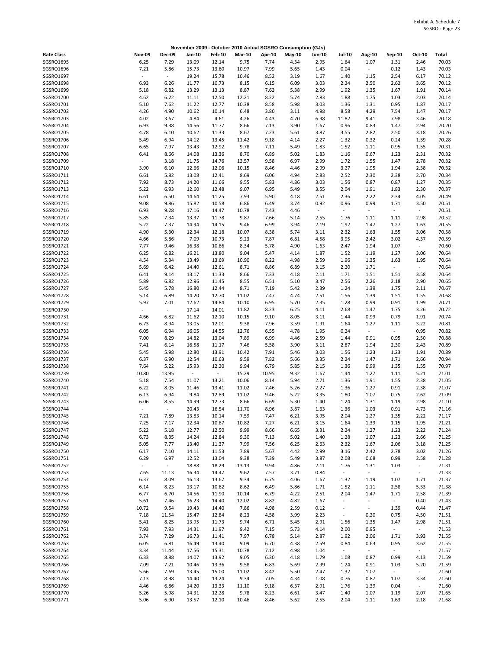|                        |                          |                |                |                          |               |              | November 2009 - October 2010 Actual SGSRO Consumption (GJs) |                        |                                 |                                  |                          |                  |                |
|------------------------|--------------------------|----------------|----------------|--------------------------|---------------|--------------|-------------------------------------------------------------|------------------------|---------------------------------|----------------------------------|--------------------------|------------------|----------------|
| <b>Rate Class</b>      | <b>Nov-09</b>            | <b>Dec-09</b>  | Jan-10         | Feb-10                   | <b>Mar-10</b> | Apr-10       | May-10                                                      | <b>Jun-10</b>          | <b>Jul-10</b>                   | <b>Aug-10</b>                    | Sep-10                   | Oct-10           | Total          |
| SGSRO1695              | 6.25                     | 7.29           | 13.09          | 12.14                    | 9.75          | 7.74         | 4.34                                                        | 2.95                   | 1.64                            | 1.07                             | 1.31                     | 2.46             | 70.03          |
| SGSRO1696              | 7.21                     | 5.86           | 15.73          | 13.60                    | 10.97         | 7.99         | 5.65                                                        | 1.43                   | 0.04                            | $\overline{\phantom{a}}$         | 0.12                     | 1.43             | 70.03          |
| SGSRO1697              | $\overline{\phantom{a}}$ | $\blacksquare$ | 19.24          | 15.78                    | 10.46         | 8.52         | 3.19                                                        | 1.67                   | 1.40                            | 1.15                             | 2.54                     | 6.17             | 70.12          |
| SGSRO1698              | 6.93                     | 6.26           | 11.77          | 10.73                    | 8.15          | 6.15         | 6.09                                                        | 3.03                   | 2.24                            | 2.50                             | 2.62                     | 3.65             | 70.12          |
| SGSRO1699<br>SGSRO1700 | 5.18<br>4.62             | 6.82<br>6.22   | 13.29<br>11.11 | 13.13<br>12.50           | 8.87<br>12.21 | 7.63<br>8.22 | 5.38<br>5.74                                                | 2.99<br>2.83           | 1.92<br>1.88                    | 1.35<br>1.75                     | 1.67<br>1.03             | 1.91<br>2.03     | 70.14<br>70.14 |
| SGSRO1701              | 5.10                     | 7.62           | 11.22          | 12.77                    | 10.38         | 8.58         | 5.98                                                        | 3.03                   | 1.36                            | 1.31                             | 0.95                     | 1.87             | 70.17          |
| SGSRO1702              | 4.26                     | 4.90           | 10.62          | 10.14                    | 6.48          | 3.80         | 3.11                                                        | 4.98                   | 8.58                            | 4.29                             | 7.54                     | 1.47             | 70.17          |
| SGSRO1703              | 4.02                     | 3.67           | 4.84           | 4.61                     | 4.26          | 4.43         | 4.70                                                        | 6.98                   | 11.82                           | 9.41                             | 7.98                     | 3.46             | 70.18          |
| SGSRO1704              | 6.93                     | 9.38           | 14.56          | 11.77                    | 8.66          | 7.13         | 3.90                                                        | 1.67                   | 0.96                            | 0.83                             | 1.47                     | 2.94             | 70.20          |
| SGSRO1705              | 4.78                     | 6.10           | 10.62          | 11.33                    | 8.67          | 7.23         | 5.61                                                        | 3.87                   | 3.55                            | 2.82                             | 2.50                     | 3.18             | 70.26          |
| SGSRO1706              | 5.49                     | 6.94           | 14.12          | 13.45                    | 11.42         | 9.18         | 4.14                                                        | 2.27                   | 1.32                            | 0.32                             | 0.24                     | 1.39             | 70.28          |
| SGSRO1707<br>SGSRO1708 | 6.65<br>6.41             | 7.97<br>8.66   | 13.43<br>14.08 | 12.92<br>13.36           | 9.78<br>8.70  | 7.11<br>6.89 | 5.49<br>5.02                                                | 1.83<br>1.83           | 1.52<br>1.16                    | 1.11<br>0.67                     | 0.95<br>1.23             | 1.55<br>2.31     | 70.31<br>70.32 |
| SGSRO1709              | $\omega$                 | 3.18           | 11.75          | 14.76                    | 13.57         | 9.58         | 6.97                                                        | 2.99                   | 1.72                            | 1.55                             | 1.47                     | 2.78             | 70.32          |
| SGSRO1710              | 3.90                     | 6.10           | 12.66          | 12.06                    | 10.15         | 8.46         | 4.46                                                        | 2.99                   | 3.27                            | 1.95                             | 1.94                     | 2.38             | 70.32          |
| SGSR01711              | 6.61                     | 5.82           | 13.08          | 12.41                    | 8.69          | 6.06         | 4.94                                                        | 2.83                   | 2.52                            | 2.30                             | 2.38                     | 2.70             | 70.34          |
| SGSRO1712              | 7.92                     | 8.73           | 14.20          | 11.66                    | 9.55          | 5.83         | 4.86                                                        | 3.03                   | 1.56                            | 0.87                             | 0.87                     | 1.27             | 70.35          |
| SGSRO1713              | 5.22                     | 6.93           | 12.60          | 12.48                    | 9.07          | 6.95         | 5.49                                                        | 3.55                   | 2.04                            | 1.91                             | 1.83                     | 2.30             | 70.37          |
| SGSRO1714              | 6.61                     | 6.50           | 14.64          | 11.25                    | 7.93          | 5.90         | 4.18                                                        | 2.51                   | 2.36                            | 2.22                             | 2.34                     | 4.05             | 70.49          |
| SGSRO1715              | 9.08                     | 9.86           | 15.82          | 10.58                    | 6.86          | 6.49         | 3.74                                                        | 0.92                   | 0.96                            | 0.99                             | 1.71                     | 3.50             | 70.51          |
| SGSR01716<br>SGSRO1717 | 6.93<br>5.85             | 9.28<br>7.34   | 17.16<br>13.37 | 14.47<br>11.78           | 10.78<br>9.87 | 7.43<br>7.66 | 4.46<br>5.14                                                | $\blacksquare$<br>2.55 | $\blacksquare$<br>1.76          | $\overline{\phantom{a}}$<br>1.11 | $\sim$<br>1.11           | $\omega$<br>2.98 | 70.51<br>70.52 |
| SGSRO1718              | 5.22                     | 7.37           | 14.94          | 14.15                    | 9.46          | 6.99         | 3.94                                                        | 2.19                   | 1.92                            | 1.47                             | 1.27                     | 1.63             | 70.55          |
| SGSRO1719              | 4.90                     | 5.30           | 12.34          | 12.18                    | 10.07         | 8.38         | 5.74                                                        | 3.11                   | 2.32                            | 1.63                             | 1.55                     | 3.06             | 70.58          |
| SGSRO1720              | 4.66                     | 5.86           | 7.09           | 10.73                    | 9.23          | 7.87         | 6.81                                                        | 4.58                   | 3.95                            | 2.42                             | 3.02                     | 4.37             | 70.59          |
| SGSRO1721              | 7.77                     | 9.46           | 16.38          | 10.86                    | 8.34          | 5.78         | 4.90                                                        | 1.63                   | 2.47                            | 1.94                             | 1.07                     | $\omega_{\rm c}$ | 70.60          |
| SGSRO1722              | 6.25                     | 6.82           | 16.21          | 13.80                    | 9.04          | 5.47         | 4.14                                                        | 1.87                   | 1.52                            | 1.19                             | 1.27                     | 3.06             | 70.64          |
| SGSRO1723              | 4.54                     | 5.34           | 13.49          | 13.69                    | 10.90         | 8.22         | 4.98                                                        | 2.59                   | 1.96                            | 1.35                             | 1.63                     | 1.95             | 70.64          |
| SGSRO1724              | 5.69                     | 6.42           | 14.40          | 12.61                    | 8.71          | 8.86         | 6.89                                                        | 3.15                   | 2.20                            | 1.71                             | $\blacksquare$           | $\sim$           | 70.64          |
| SGSRO1725<br>SGSRO1726 | 6.41<br>5.89             | 9.14<br>6.82   | 13.17<br>12.96 | 11.33<br>11.45           | 8.66<br>8.55  | 7.33<br>6.51 | 4.18<br>5.10                                                | 2.11<br>3.47           | 1.71<br>2.56                    | 1.51<br>2.26                     | 1.51<br>2.18             | 3.58<br>2.90     | 70.64<br>70.65 |
| SGSRO1727              | 5.45                     | 5.78           | 16.80          | 12.44                    | 8.71          | 7.19         | 5.42                                                        | 2.39                   | 1.24                            | 1.39                             | 1.75                     | 2.11             | 70.67          |
| SGSRO1728              | 5.14                     | 6.89           | 14.20          | 12.70                    | 11.02         | 7.47         | 4.74                                                        | 2.51                   | 1.56                            | 1.39                             | 1.51                     | 1.55             | 70.68          |
| SGSRO1729              | 5.97                     | 7.01           | 12.62          | 14.84                    | 10.10         | 6.95         | 5.70                                                        | 2.35                   | 1.28                            | 0.99                             | 0.91                     | 1.99             | 70.71          |
| SGSRO1730              | $\sim$                   | $\blacksquare$ | 17.14          | 14.01                    | 11.82         | 8.23         | 6.25                                                        | 4.11                   | 2.68                            | 1.47                             | 1.75                     | 3.26             | 70.72          |
| SGSRO1731              | 4.66                     | 6.82           | 11.62          | 12.10                    | 10.15         | 9.10         | 8.05                                                        | 3.11                   | 1.44                            | 0.99                             | 0.79                     | 1.91             | 70.74          |
| SGSRO1732              | 6.73                     | 8.94           | 13.05          | 12.01                    | 9.38          | 7.96         | 3.59                                                        | 1.91                   | 1.64                            | 1.27                             | 1.11                     | 3.22             | 70.81          |
| SGSRO1733              | 6.05                     | 6.94           | 16.05          | 14.55                    | 12.76         | 6.55         | 4.78                                                        | 1.95                   | 0.24                            | $\overline{\phantom{a}}$         | $\overline{\phantom{a}}$ | 0.95             | 70.82          |
| SGSRO1734<br>SGSRO1735 | 7.00<br>7.41             | 8.29<br>6.14   | 14.82<br>16.58 | 13.04<br>11.17           | 7.89<br>7.46  | 6.99<br>5.58 | 4.46<br>3.90                                                | 2.59<br>3.11           | 1.44<br>2.87                    | 0.91<br>1.94                     | 0.95<br>2.30             | 2.50<br>2.43     | 70.88<br>70.89 |
| SGSRO1736              | 5.45                     | 5.98           | 12.80          | 13.91                    | 10.42         | 7.91         | 5.46                                                        | 3.03                   | 1.56                            | 1.23                             | 1.23                     | 1.91             | 70.89          |
| SGSRO1737              | 6.37                     | 6.90           | 12.54          | 10.63                    | 9.59          | 7.82         | 5.66                                                        | 3.35                   | 2.24                            | 1.47                             | 1.71                     | 2.66             | 70.94          |
| SGSRO1738              | 7.64                     | 5.22           | 15.93          | 12.20                    | 9.94          | 6.79         | 5.85                                                        | 2.15                   | 1.36                            | 0.99                             | 1.35                     | 1.55             | 70.97          |
| SGSRO1739              | 10.80                    | 13.95          | $\sim$         | $\overline{\phantom{a}}$ | 15.29         | 10.95        | 9.32                                                        | 1.67                   | 1.44                            | 1.27                             | 1.11                     | 5.21             | 71.01          |
| SGSRO1740              | 5.18                     | 7.54           | 11.07          | 13.21                    | 10.06         | 8.14         | 5.94                                                        | 2.71                   | 1.36                            | 1.91                             | 1.55                     | 2.38             | 71.05          |
| SGSRO1741<br>SGSRO1742 | 6.22                     | 8.05<br>6.94   | 11.46          | 13.41<br>12.89           | 11.02         | 7.46         | 5.26                                                        | 2.27                   | 1.36                            | 1.27                             | 0.91                     | 2.38<br>2.62     | 71.07<br>71.09 |
| SGSRO1743              | 6.13<br>6.06             | 8.55           | 9.84<br>14.99  | 12.73                    | 11.02<br>8.66 | 9.46<br>6.69 | 5.22<br>5.30                                                | 3.35<br>1.40           | 1.80<br>1.24                    | 1.07<br>1.31                     | 0.75<br>1.19             | 2.98             | 71.10          |
| SGSRO1744              |                          |                | 20.43          | 16.54                    | 11.70         | 8.96         | 3.87                                                        | 1.63                   | 1.36                            | 1.03                             | 0.91                     | 4.73             | 71.16          |
| SGSRO1745              | 7.21                     | 7.89           | 13.83          | 10.14                    | 7.59          | 7.47         | 6.21                                                        | 3.95                   | 2.04                            | 1.27                             | 1.35                     | 2.22             | 71.17          |
| SGSRO1746              | 7.25                     | 7.17           | 12.34          | 10.87                    | 10.82         | 7.27         | 6.21                                                        | 3.15                   | 1.64                            | 1.39                             | 1.15                     | 1.95             | 71.21          |
| SGSRO1747              | 5.22                     | 5.18           | 12.77          | 12.50                    | 9.99          | 8.66         | 6.65                                                        | 3.31                   | 2.24                            | 1.27                             | 1.23                     | 2.22             | 71.24          |
| SGSRO1748              | 6.73                     | 8.35           | 14.24          | 12.84                    | 9.30          | 7.13         | 5.02                                                        | 1.40                   | 1.28                            | 1.07                             | 1.23                     | 2.66             | 71.25          |
| SGSRO1749              | 5.05                     | 7.77           | 13.40          | 11.37                    | 7.99          | 7.56         | 6.25                                                        | 2.63                   | 2.32                            | 1.67                             | 2.06                     | 3.18             | 71.25          |
| SGSRO1750<br>SGSRO1751 | 6.17<br>6.29             | 7.10<br>6.97   | 14.11<br>12.52 | 11.53<br>13.04           | 7.89<br>9.38  | 5.67<br>7.39 | 4.42<br>5.49                                                | 2.99<br>3.87           | 3.16<br>2.08                    | 2.42<br>0.68                     | 2.78<br>0.99             | 3.02<br>2.58     | 71.26<br>71.28 |
| SGSRO1752              | $\sim$                   | $\sim$         | 18.88          | 18.29                    | 13.13         | 9.94         | 4.86                                                        | 2.11                   | 1.76                            | 1.31                             | 1.03                     | $\sim$           | 71.31          |
| SGSRO1753              | 7.65                     | 11.13          | 16.34          | 14.47                    | 9.62          | 7.57         | 3.71                                                        | 0.84                   | $\sim$                          | $\omega$                         | $\sim$                   | $\sim$           | 71.33          |
| SGSRO1754              | 6.37                     | 8.09           | 16.13          | 13.67                    | 9.34          | 6.75         | 4.06                                                        | 1.67                   | 1.32                            | 1.19                             | 1.07                     | 1.71             | 71.37          |
| SGSRO1755              | 6.14                     | 8.23           | 13.17          | 10.62                    | 8.62          | 6.49         | 5.86                                                        | 1.71                   | 1.52                            | 1.11                             | 2.58                     | 5.33             | 71.38          |
| SGSR01756              | 6.77                     | 6.70           | 14.56          | 11.90                    | 10.14         | 6.79         | 4.22                                                        | 2.51                   | 2.04                            | 1.47                             | 1.71                     | 2.58             | 71.39          |
| SGSR01757              | 5.61                     | 7.46           | 16.23          | 14.40                    | 12.02         | 8.82         | 4.82                                                        | 1.67                   | $\blacksquare$                  | $\overline{\phantom{a}}$         | $\sim$                   | 0.40             | 71.43          |
| SGSRO1758<br>SGSRO1759 | 10.72<br>7.18            | 9.54           | 19.43<br>15.47 | 14.40                    | 7.86<br>8.23  | 4.98<br>4.58 | 2.59<br>3.99                                                | 0.12<br>2.23           | $\frac{1}{2}$<br>$\blacksquare$ | $\blacksquare$                   | 1.39                     | 0.44             | 71.47<br>71.51 |
| SGSRO1760              | 5.41                     | 11.54<br>8.25  | 13.95          | 12.84<br>11.73           | 9.74          | 6.71         | 5.45                                                        | 2.91                   | 1.56                            | 0.20<br>1.35                     | 0.75<br>1.47             | 4.50<br>2.98     | 71.51          |
| SGSRO1761              | 7.93                     | 7.93           | 14.31          | 11.97                    | 9.42          | 7.15         | 5.73                                                        | 4.14                   | 2.00                            | 0.95                             | $\sim$                   | $\sim$           | 71.53          |
| SGSRO1762              | 3.74                     | 7.29           | 16.73          | 11.41                    | 7.97          | 6.78         | 5.14                                                        | 2.87                   | 1.92                            | 2.06                             | 1.71                     | 3.93             | 71.55          |
| SGSRO1763              | 6.05                     | 6.81           | 16.49          | 13.40                    | 9.09          | 6.70         | 4.38                                                        | 2.59                   | 0.84                            | 0.63                             | 0.95                     | 3.62             | 71.55          |
| SGSRO1764              | 3.34                     | 11.44          | 17.56          | 15.31                    | 10.78         | 7.12         | 4.98                                                        | 1.04                   | $\omega$                        | $\blacksquare$                   | $\sim$                   | $\sim$           | 71.57          |
| SGSRO1765              | 6.33                     | 8.88           | 14.07          | 13.92                    | 9.05          | 6.30         | 4.18                                                        | 1.79                   | 1.08                            | 0.87                             | 0.99                     | 4.13             | 71.59          |
| SGSRO1766<br>SGSRO1767 | 7.09<br>5.66             | 7.21<br>7.69   | 10.46<br>13.45 | 13.36<br>15.00           | 9.58          | 6.83<br>8.42 | 5.69<br>5.50                                                | 2.99<br>2.47           | 1.24<br>1.32                    | 0.91<br>1.07                     | 1.03<br>$\omega$         | 5.20<br>$\sim$   | 71.59<br>71.60 |
| SGSRO1768              | 7.13                     | 8.98           | 14.40          | 13.24                    | 11.02<br>9.34 | 7.05         | 4.34                                                        | 1.08                   | 0.76                            | 0.87                             | 1.07                     | 3.34             | 71.60          |
| SGSRO1769              | 4.46                     | 6.86           | 14.20          | 13.33                    | 11.10         | 9.18         | 6.37                                                        | 2.91                   | 1.76                            | 1.39                             | 0.04                     | $\omega$         | 71.60          |
| SGSRO1770              | 5.26                     | 5.98           | 14.31          | 12.28                    | 9.78          | 8.23         | 6.61                                                        | 3.47                   | 1.40                            | 1.07                             | 1.19                     | 2.07             | 71.65          |
| SGSRO1771              | 5.06                     | 6.90           | 13.57          | 12.10                    | 10.46         | 8.46         | 5.62                                                        | 2.55                   | 2.04                            | 1.11                             | 1.63                     | 2.18             | 71.68          |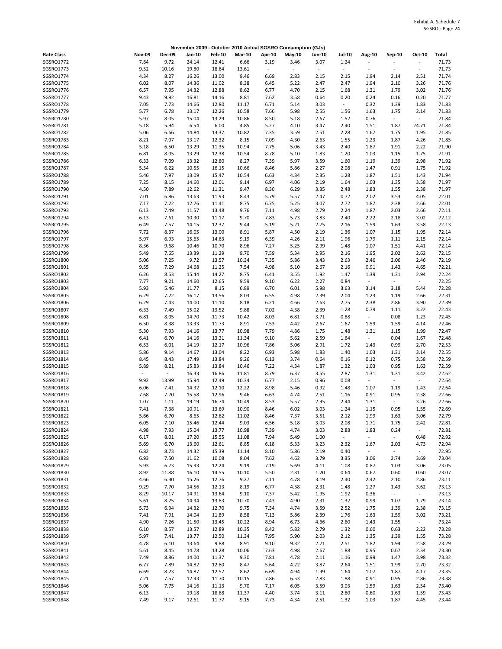|                        |                          |                          |                |                |                |                          | November 2009 - October 2010 Actual SGSRO Consumption (GJs) |               |               |                                  |                  |                          |                |
|------------------------|--------------------------|--------------------------|----------------|----------------|----------------|--------------------------|-------------------------------------------------------------|---------------|---------------|----------------------------------|------------------|--------------------------|----------------|
| <b>Rate Class</b>      | <b>Nov-09</b>            | <b>Dec-09</b>            | Jan-10         | <b>Feb-10</b>  | <b>Mar-10</b>  | Apr-10                   | $May-10$                                                    | <b>Jun-10</b> | <b>Jul-10</b> | <b>Aug-10</b>                    | Sep-10           | Oct-10                   | Total          |
| SGSRO1772              | 7.84                     | 9.72                     | 24.14          | 12.41          | 6.66           | 3.19                     | 3.46                                                        | 3.07          | 1.24          |                                  |                  | ÷,                       | 71.73          |
| SGSRO1773              | 9.52                     | 10.16                    | 19.80          | 18.64          | 13.61          | $\overline{\phantom{a}}$ | $\sim$                                                      | $\sim$        | $\omega$      | $\sim$                           | $\sim$           | $\overline{\phantom{a}}$ | 71.73          |
| SGSRO1774              | 4.34                     | 8.27                     | 16.26          | 13.00          | 9.46           | 6.69                     | 2.83                                                        | 2.15          | 2.15          | 1.94                             | 2.14             | 2.51                     | 71.74          |
| SGSRO1775              | 6.02                     | 8.07                     | 14.36          | 11.02          | 8.38           | 6.45                     | 5.22                                                        | 2.47          | 2.47          | 1.94                             | 2.10             | 3.26                     | 71.76          |
| SGSR01776              | 6.57                     | 7.95                     | 14.32          | 12.88          | 8.62           | 6.77                     | 4.70                                                        | 2.15          | 1.68          | 1.31                             | 1.79             | 3.02                     | 71.76          |
| SGSR01777              | 9.43                     | 9.92                     | 16.81          | 14.16          | 8.81           | 7.62                     | 3.58                                                        | 0.64          | 0.20          | 0.24                             | 0.16             | 0.20                     | 71.77          |
| SGSRO1778              | 7.05                     | 7.73                     | 14.66          | 12.80          | 11.17          | 6.71                     | 5.14                                                        | 3.03          | $\omega$      | 0.32                             | 1.39             | 1.83                     | 71.83          |
| SGSRO1779              | 5.77                     | 6.78                     | 13.17          | 12.26          | 10.58          | 7.66                     | 5.98                                                        | 2.55          | 1.56          | 1.63                             | 1.75             | 2.14                     | 71.83          |
| SGSRO1780              | 5.97                     | 8.05                     | 15.04          | 13.29          | 10.86          | 8.50                     | 5.18                                                        | 2.67          | 1.52          | 0.76                             | $\sim$           | $\sim$                   | 71.84          |
| SGSRO1781              | 5.18                     | 5.94                     | 6.54           | 6.00           | 4.85           | 5.27                     | 4.10                                                        | 3.47          | 2.40          | 1.51                             | 1.87             | 24.71                    | 71.84          |
| SGSRO1782              | 5.06                     | 6.66                     | 14.84          | 13.37          | 10.82          | 7.35                     | 3.59                                                        | 2.51          | 2.28          | 1.67                             | 1.75             | 1.95                     | 71.85          |
| SGSRO1783<br>SGSRO1784 | 8.21<br>5.18             | 7.07<br>6.50             | 13.17<br>13.29 | 12.32<br>11.35 | 8.15<br>10.94  | 7.09<br>7.75             | 4.30<br>5.06                                                | 2.63<br>3.43  | 1.55<br>2.40  | 1.23<br>1.87                     | 1.87<br>1.91     | 4.26<br>2.22             | 71.85<br>71.90 |
| SGSRO1785              | 6.81                     | 8.05                     | 13.29          | 12.38          | 10.54          | 8.78                     | 5.10                                                        | 1.83          | 1.20          | 1.03                             | 1.15             | 1.75                     | 71.91          |
| SGSRO1786              | 6.33                     | 7.09                     | 13.32          | 12.80          | 8.27           | 7.39                     | 5.97                                                        | 3.59          | 1.60          | 1.19                             | 1.39             | 2.98                     | 71.92          |
| SGSRO1787              | 5.54                     | 6.22                     | 10.55          | 16.15          | 10.66          | 8.46                     | 5.86                                                        | 2.27          | 2.08          | 1.47                             | 0.91             | 1.75                     | 71.92          |
| SGSRO1788              | 5.46                     | 7.97                     | 13.09          | 15.47          | 10.54          | 6.63                     | 4.34                                                        | 2.35          | 1.28          | 1.87                             | 1.51             | 1.43                     | 71.94          |
| SGSRO1789              | 7.25                     | 8.15                     | 14.60          | 12.01          | 9.14           | 6.97                     | 4.06                                                        | 2.19          | 1.64          | 1.03                             | 1.35             | 3.58                     | 71.97          |
| SGSRO1790              | 4.50                     | 7.89                     | 12.62          | 11.31          | 9.47           | 8.30                     | 6.29                                                        | 3.35          | 2.48          | 1.83                             | 1.55             | 2.38                     | 71.97          |
| SGSRO1791              | 7.01                     | 6.86                     | 13.63          | 11.93          | 8.43           | 5.79                     | 5.57                                                        | 2.47          | 0.72          | 2.02                             | 3.53             | 4.05                     | 72.01          |
| SGSRO1792              | 7.17                     | 7.22                     | 12.76          | 11.41          | 8.75           | 6.75                     | 5.25                                                        | 3.07          | 2.72          | 1.87                             | 2.38             | 2.66                     | 72.01          |
| SGSRO1793              | 6.13                     | 7.49                     | 11.57          | 13.48          | 9.76           | 7.11                     | 4.98                                                        | 2.79          | 2.24          | 1.87                             | 2.03             | 2.66                     | 72.11          |
| SGSRO1794              | 6.13                     | 7.61                     | 10.30          | 11.17          | 9.70           | 7.83                     | 5.73                                                        | 3.83          | 2.40          | 2.22                             | 2.18             | 3.02                     | 72.12          |
| SGSRO1795              | 6.49                     | 7.57                     | 14.15          | 12.37          | 9.44           | 5.19                     | 5.21                                                        | 2.75          | 2.16          | 1.59                             | 1.63             | 3.58                     | 72.13          |
| SGSRO1796              | 7.72                     | 8.37                     | 16.05          | 13.00          | 8.91           | 5.87                     | 4.50                                                        | 2.19          | 1.36          | 1.07                             | 1.15             | 1.95                     | 72.14          |
| SGSRO1797<br>SGSRO1798 | 5.97<br>8.36             | 6.93<br>9.68             | 15.65<br>10.46 | 14.63<br>10.70 | 9.19<br>8.96   | 6.39<br>7.27             | 4.26<br>5.25                                                | 2.11<br>2.99  | 1.96<br>1.48  | 1.79<br>1.07                     | 1.11<br>1.51     | 2.15<br>4.41             | 72.14<br>72.14 |
| SGSRO1799              | 5.49                     | 7.65                     | 13.39          | 11.29          | 9.70           | 7.59                     | 5.34                                                        | 2.95          | 2.16          | 1.95                             | 2.02             | 2.62                     | 72.15          |
| SGSRO1800              | 5.06                     | 7.25                     | 9.72           | 13.57          | 10.34          | 7.35                     | 5.86                                                        | 3.43          | 2.63          | 2.46                             | 2.06             | 2.46                     | 72.19          |
| SGSRO1801              | 9.55                     | 7.29                     | 14.68          | 11.25          | 7.54           | 4.98                     | 5.10                                                        | 2.67          | 2.16          | 0.91                             | 1.43             | 4.65                     | 72.21          |
| SGSRO1802              | 6.26                     | 8.53                     | 15.44          | 14.27          | 8.75           | 6.41                     | 3.55                                                        | 1.92          | 1.47          | 1.39                             | 1.31             | 2.94                     | 72.24          |
| SGSRO1803              | 7.77                     | 9.21                     | 14.60          | 12.65          | 9.59           | 9.10                     | 6.22                                                        | 2.27          | 0.84          | $\overline{\phantom{a}}$         | $\sim$           | $\omega$                 | 72.25          |
| SGSRO1804              | 5.93                     | 5.46                     | 11.77          | 8.15           | 6.89           | 6.70                     | 6.01                                                        | 5.98          | 3.63          | 3.14                             | 3.18             | 5.44                     | 72.28          |
| SGSRO1805              | 6.29                     | 7.22                     | 16.17          | 13.56          | 8.03           | 6.55                     | 4.98                                                        | 2.39          | 2.04          | 1.23                             | 1.19             | 2.66                     | 72.31          |
| SGSRO1806              | 6.29                     | 7.43                     | 14.00          | 11.10          | 8.18           | 6.21                     | 4.66                                                        | 2.63          | 2.75          | 2.38                             | 2.86             | 3.90                     | 72.39          |
| SGSRO1807              | 6.33                     | 7.49                     | 15.02          | 13.52          | 9.88           | 7.02                     | 4.38                                                        | 2.39          | 1.28          | 0.79                             | 1.11             | 3.22                     | 72.43          |
| SGSRO1808              | 6.81                     | 8.05                     | 14.70          | 11.73          | 10.42          | 8.03                     | 6.81                                                        | 3.71          | 0.88          | $\sim$                           | 0.08             | 1.23                     | 72.45          |
| SGSRO1809              | 6.50                     | 8.38                     | 13.33          | 11.73          | 8.91           | 7.53                     | 4.42                                                        | 2.67          | 1.67          | 1.59                             | 1.59             | 4.14                     | 72.46          |
| SGSRO1810              | 5.30                     | 7.93                     | 14.16          | 13.77          | 10.98          | 7.79                     | 4.86                                                        | 1.75<br>2.59  | 1.48          | 1.31<br>$\overline{\phantom{a}}$ | 1.15<br>0.04     | 1.99                     | 72.47<br>72.48 |
| SGSR01811<br>SGSRO1812 | 6.41<br>6.53             | 6.70<br>6.01             | 14.16<br>14.19 | 13.21<br>12.17 | 11.34<br>10.96 | 9.10<br>7.86             | 5.62<br>5.06                                                | 2.91          | 1.64<br>1.72  | 1.43                             | 0.99             | 1.67<br>2.70             | 72.53          |
| SGSRO1813              | 5.86                     | 9.14                     | 14.67          | 13.04          | 8.22           | 6.93                     | 5.98                                                        | 1.83          | 1.40          | 1.03                             | 1.31             | 3.14                     | 72.55          |
| SGSRO1814              | 8.45                     | 8.43                     | 17.49          | 13.84          | 9.26           | 6.13                     | 3.74                                                        | 0.64          | 0.16          | 0.12                             | 0.75             | 3.58                     | 72.59          |
| SGSRO1815              | 5.89                     | 8.21                     | 15.83          | 13.84          | 10.46          | 7.22                     | 4.34                                                        | 1.87          | 1.32          | 1.03                             | 0.95             | 1.63                     | 72.59          |
| SGSRO1816              | $\overline{\phantom{a}}$ | $\overline{\phantom{a}}$ | 16.33          | 16.86          | 11.81          | 8.79                     | 6.37                                                        | 3.55          | 2.87          | 1.31                             | 1.31             | 3.42                     | 72.62          |
| SGSRO1817              | 9.92                     | 13.99                    | 15.94          | 12.49          | 10.34          | 6.77                     | 2.15                                                        | 0.96          | 0.08          | $\overline{\phantom{a}}$         | ÷,               | $\sim$                   | 72.64          |
| SGSRO1818              | 6.06                     | 7.41                     | 14.32          | 12.10          | 12.22          | 8.98                     | 5.46                                                        | 0.92          | 1.48          | 1.07                             | 1.19             | 1.43                     | 72.64          |
| SGSRO1819              | 7.68                     | 7.70                     | 15.58          | 12.96          | 9.46           | 6.63                     | 4.74                                                        | 2.51          | 1.16          | 0.91                             | 0.95             | 2.38                     | 72.66          |
| SGSRO1820              | 1.07                     | 1.11                     | 19.19          | 16.74          | 10.49          | 8.53                     | 5.57                                                        | 2.95          | 2.44          | 1.31                             | $\omega$         | 3.26                     | 72.66          |
| SGSRO1821              | 7.41                     | 7.38                     | 10.91          | 13.69          | 10.90          | 8.46                     | 6.02                                                        | 3.03          | 1.24          | 1.15                             | 0.95             | 1.55                     | 72.69          |
| SGSRO1822              | 5.66                     | 6.70                     | 8.65           | 12.62          | 11.02          | 8.46                     | 7.37                                                        | 3.51          | 2.12          | 1.99                             | 1.63             | 3.06                     | 72.79          |
| SGSRO1823<br>SGSRO1824 | 6.05<br>4.98             | 7.10<br>7.93             | 15.46<br>15.04 | 12.44<br>13.77 | 9.03<br>10.98  | 6.56<br>7.39             | 5.18<br>4.74                                                | 3.03<br>3.03  | 2.08<br>2.88  | 1.71<br>1.83                     | 1.75<br>0.24     | 2.42<br>$\sim$           | 72.81<br>72.81 |
| SGSRO1825              | 6.17                     | 8.01                     | 17.20          | 15.55          | 11.08          | 7.94                     | 5.49                                                        | 1.00          | $\omega$      | $\blacksquare$                   | $\omega_{\rm c}$ | 0.48                     | 72.92          |
| SGSRO1826              | 5.69                     | 6.70                     | 13.60          | 12.61          | 8.85           | 6.18                     | 5.33                                                        | 3.23          | 2.32          | 1.67                             | 2.03             | 4.73                     | 72.94          |
| SGSRO1827              | 6.82                     | 8.73                     | 14.32          | 15.39          | 11.14          | 8.10                     | 5.86                                                        | 2.19          | 0.40          | $\blacksquare$                   | $\omega$         | $\omega$                 | 72.95          |
| SGSRO1828              | 6.93                     | 7.50                     | 11.62          | 10.08          | 8.04           | 7.62                     | 4.62                                                        | 3.79          | 3.35          | 3.06                             | 2.74             | 3.69                     | 73.04          |
| SGSRO1829              | 5.93                     | 6.73                     | 15.93          | 12.24          | 9.19           | 7.19                     | 5.69                                                        | 4.11          | 1.08          | 0.87                             | 1.03             | 3.06                     | 73.05          |
| SGSRO1830              | 8.92                     | 11.88                    | 16.10          | 14.55          | 10.10          | 5.50                     | 2.31                                                        | 1.20          | 0.64          | 0.67                             | 0.60             | 0.60                     | 73.07          |
| SGSRO1831              | 4.66                     | 6.30                     | 15.26          | 12.76          | 9.27           | 7.11                     | 4.78                                                        | 3.19          | 2.40          | 2.42                             | 2.10             | 2.86                     | 73.11          |
| SGSRO1832              | 9.29                     | 7.70                     | 14.56          | 12.13          | 8.19           | 6.77                     | 4.38                                                        | 2.31          | 1.48          | 1.27                             | 1.43             | 3.62                     | 73.13          |
| SGSRO1833              | 8.29                     | 10.17                    | 14.91          | 13.64          | 9.10           | 7.37                     | 5.42                                                        | 1.95          | 1.92          | 0.36                             | $\sim$           | $\sim$                   | 73.13          |
| SGSRO1834              | 5.61                     | 8.25                     | 14.94          | 13.83          | 10.70          | 7.43                     | 4.90                                                        | 2.31          | 1.32          | 0.99                             | 1.07             | 1.79                     | 73.14          |
| SGSRO1835              | 5.73                     | 6.94                     | 14.32          | 12.70          | 9.75           | 7.34                     | 4.74                                                        | 3.59          | 2.52          | 1.75                             | 1.39             | 2.38                     | 73.15          |
| SGSRO1836<br>SGSRO1837 | 7.41<br>4.90             | 7.91<br>7.26             | 14.04<br>11.50 | 11.89<br>13.45 | 8.58<br>10.22  | 7.13<br>8.94             | 5.86<br>6.73                                                | 2.39<br>4.66  | 1.76<br>2.60  | 1.63<br>1.43                     | 1.59<br>1.55     | 3.02<br>$\sim$           | 73.21<br>73.24 |
| SGSRO1838              | 6.10                     | 8.57                     | 13.57          | 12.89          | 10.35          | 8.42                     | 5.82                                                        | 2.79          | 1.32          | 0.60                             | 0.63             | 2.22                     | 73.28          |
| SGSRO1839              | 5.97                     | 7.41                     | 13.77          | 12.50          | 11.34          | 7.95                     | 5.90                                                        | 2.03          | 2.12          | 1.35                             | 1.39             | 1.55                     | 73.28          |
| SGSRO1840              | 4.78                     | 6.10                     | 13.64          | 9.88           | 8.91           | 9.10                     | 9.32                                                        | 2.71          | 2.51          | 1.82                             | 1.94             | 2.58                     | 73.29          |
| SGSRO1841              | 5.61                     | 8.45                     | 14.78          | 13.28          | 10.06          | 7.63                     | 4.98                                                        | 2.67          | 1.88          | 0.95                             | 0.67             | 2.34                     | 73.30          |
| SGSRO1842              | 7.49                     | 8.86                     | 14.00          | 11.37          | 9.30           | 7.81                     | 4.78                                                        | 2.11          | 1.16          | 0.99                             | 1.47             | 3.98                     | 73.32          |
| SGSRO1843              | 6.77                     | 7.89                     | 14.82          | 12.80          | 8.47           | 5.64                     | 4.22                                                        | 3.87          | 2.64          | 1.51                             | 1.99             | 2.70                     | 73.32          |
| SGSRO1844              | 6.69                     | 8.23                     | 14.87          | 12.57          | 8.62           | 6.69                     | 4.94                                                        | 1.99          | 1.64          | 1.07                             | 1.87             | 4.17                     | 73.35          |
| SGSRO1845              | 7.21                     | 7.57                     | 12.93          | 11.70          | 10.15          | 7.86                     | 6.53                                                        | 2.83          | 1.88          | 0.91                             | 0.95             | 2.86                     | 73.38          |
| SGSRO1846              | 5.06                     | 7.75                     | 14.16          | 11.13          | 9.70           | 7.17                     | 6.05                                                        | 3.59          | 3.03          | 1.59                             | 1.63             | 2.54                     | 73.40          |
| SGSRO1847              | 6.13                     | $\sim$                   | 19.18          | 18.88          | 11.37          | 4.40                     | 3.74                                                        | 3.11          | 2.80          | 0.60                             | 1.63             | 1.59                     | 73.43          |
| SGSRO1848              | 7.49                     | 9.17                     | 12.61          | 11.77          | 9.15           | 7.73                     | 4.34                                                        | 2.51          | 1.32          | 1.03                             | 1.87             | 4.45                     | 73.44          |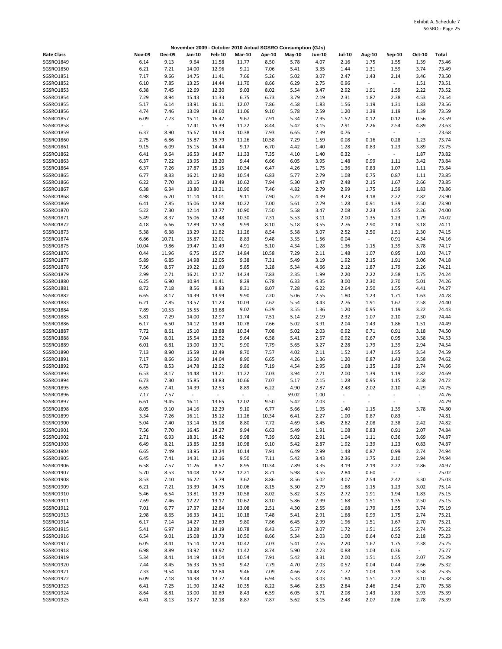|                   |                          |                          | November 2009 - October 2010 Actual SGSRO Consumption (GJs) |                          |                          |                          |        |        |                          |                          |                |                          |       |
|-------------------|--------------------------|--------------------------|-------------------------------------------------------------|--------------------------|--------------------------|--------------------------|--------|--------|--------------------------|--------------------------|----------------|--------------------------|-------|
| <b>Rate Class</b> | <b>Nov-09</b>            | <b>Dec-09</b>            | Jan-10                                                      | <b>Feb-10</b>            | <b>Mar-10</b>            | Apr-10                   | May-10 | Jun-10 | <b>Jul-10</b>            | Aug-10                   | Sep-10         | Oct-10                   | Total |
| SGSRO1849         | 6.14                     | 9.13                     | 9.64                                                        | 11.58                    | 11.77                    | 8.50                     | 5.78   | 4.07   | 2.16                     | 1.75                     | 1.55           | 1.39                     | 73.46 |
| SGSRO1850         | 6.21                     | 7.21                     | 14.00                                                       | 12.96                    | 9.21                     | 7.06                     | 5.41   | 3.35   | 1.44                     | 1.31                     | 1.59           | 3.74                     | 73.49 |
| SGSRO1851         | 7.17                     | 9.66                     | 14.75                                                       | 11.41                    | 7.66                     | 5.26                     | 5.02   | 3.07   | 2.47                     | 1.43                     | 2.14           | 3.46                     | 73.50 |
| SGSR01852         | 6.10                     | 7.85                     | 13.25                                                       | 14.44                    | 11.70                    | 8.66                     | 6.29   | 2.75   | 0.96                     | $\overline{\phantom{a}}$ | $\sim$         | 1.51                     | 73.51 |
| SGSRO1853         | 6.38                     | 7.45                     | 12.69                                                       | 12.30                    | 9.03                     | 8.02                     | 5.54   | 3.47   | 2.92                     | 1.91                     | 1.59           | 2.22                     | 73.52 |
| SGSRO1854         | 7.29                     | 8.94                     | 15.43                                                       | 11.33                    | 6.75                     | 6.73                     | 3.79   | 2.19   | 2.31                     | 1.87                     | 2.38           | 4.53                     | 73.54 |
|                   |                          |                          |                                                             |                          |                          |                          |        |        |                          |                          |                |                          |       |
| SGSRO1855         | 5.17                     | 6.14                     | 13.91                                                       | 16.11                    | 12.07                    | 7.86                     | 4.58   | 1.83   | 1.56                     | 1.19                     | 1.31           | 1.83                     | 73.56 |
| SGSRO1856         | 4.74                     | 7.46                     | 13.09                                                       | 14.60                    | 11.06                    | 9.10                     | 5.78   | 2.59   | 1.20                     | 1.39                     | 1.19           | 1.39                     | 73.59 |
| SGSRO1857         | 6.09                     | 7.73                     | 15.11                                                       | 16.47                    | 9.67                     | 7.91                     | 5.34   | 2.95   | 1.52                     | 0.12                     | 0.12           | 0.56                     | 73.59 |
| SGSRO1858         | $\overline{\phantom{a}}$ | $\overline{\phantom{a}}$ | 17.41                                                       | 15.39                    | 11.22                    | 8.44                     | 5.42   | 3.15   | 2.91                     | 2.26                     | 2.54           | 4.89                     | 73.63 |
| SGSRO1859         | 6.37                     | 8.90                     | 15.67                                                       | 14.63                    | 10.38                    | 7.93                     | 6.65   | 2.39   | 0.76                     | $\omega$                 | $\sim$         | $\sim$                   | 73.68 |
| SGSRO1860         | 2.75                     | 6.86                     | 15.87                                                       | 15.79                    | 11.26                    | 10.58                    | 7.29   | 1.59   | 0.08                     | 0.16                     | 0.28           | 1.23                     | 73.74 |
| SGSRO1861         | 9.15                     | 6.09                     | 15.15                                                       | 14.44                    | 9.17                     | 6.70                     | 4.42   | 1.40   | 1.28                     | 0.83                     | 1.23           | 3.89                     | 73.75 |
| SGSRO1862         | 6.41                     | 9.64                     | 16.53                                                       | 14.87                    | 11.33                    | 7.35                     | 4.10   | 1.40   | 0.32                     | $\sim$                   | $\sim$         | 1.87                     | 73.82 |
| SGSRO1863         | 6.37                     | 7.22                     | 13.95                                                       | 13.20                    | 9.44                     | 6.66                     | 6.05   | 3.95   | 1.48                     | 0.99                     | 1.11           | 3.42                     | 73.84 |
| SGSRO1864         | 6.37                     | 7.26                     | 17.87                                                       | 15.15                    | 10.34                    | 6.47                     | 4.26   | 1.75   | 1.36                     | 0.83                     | 1.07           | 1.11                     | 73.84 |
| SGSRO1865         | 6.77                     | 8.33                     | 16.21                                                       | 12.80                    | 10.54                    | 6.83                     | 5.77   | 2.79   | 1.08                     | 0.75                     | 0.87           | 1.11                     | 73.85 |
| SGSRO1866         | 6.22                     | 7.70                     | 10.15                                                       | 13.49                    | 10.62                    | 7.94                     | 5.30   | 3.47   | 2.48                     | 2.15                     | 1.67           | 2.66                     | 73.85 |
| SGSRO1867         | 6.38                     | 6.34                     | 13.80                                                       | 13.21                    | 10.90                    | 7.46                     | 4.82   | 2.79   | 2.99                     | 1.75                     | 1.59           | 1.83                     | 73.86 |
|                   |                          |                          |                                                             |                          |                          |                          |        |        |                          |                          |                |                          |       |
| SGSRO1868         | 4.98                     | 6.70                     | 11.14                                                       | 13.01                    | 9.11                     | 7.90                     | 5.22   | 4.39   | 3.23                     | 3.18                     | 2.22           | 2.82                     | 73.90 |
| SGSRO1869         | 6.41                     | 7.85                     | 15.06                                                       | 12.88                    | 10.22                    | 7.00                     | 5.61   | 2.79   | 1.28                     | 0.91                     | 1.39           | 2.50                     | 73.90 |
| SGSRO1870         | 5.22                     | 7.30                     | 12.14                                                       | 13.77                    | 10.90                    | 7.50                     | 5.58   | 3.47   | 2.08                     | 2.23                     | 1.55           | 2.26                     | 74.00 |
| SGSRO1871         | 5.49                     | 8.37                     | 15.06                                                       | 12.48                    | 10.30                    | 7.31                     | 5.53   | 3.11   | 2.00                     | 1.35                     | 1.23           | 1.79                     | 74.02 |
| SGSRO1872         | 4.18                     | 6.66                     | 12.89                                                       | 12.58                    | 9.99                     | 8.10                     | 5.18   | 3.55   | 2.76                     | 2.90                     | 2.14           | 3.18                     | 74.11 |
| SGSRO1873         | 5.38                     | 6.38                     | 13.29                                                       | 11.82                    | 11.26                    | 8.54                     | 5.58   | 3.07   | 2.52                     | 2.50                     | 1.51           | 2.30                     | 74.15 |
| SGSRO1874         | 6.86                     | 10.71                    | 15.87                                                       | 12.01                    | 8.83                     | 9.48                     | 3.55   | 1.56   | 0.04                     | $\overline{\phantom{a}}$ | 0.91           | 4.34                     | 74.16 |
| SGSRO1875         | 10.04                    | 9.86                     | 19.47                                                       | 11.49                    | 4.91                     | 5.10                     | 4.34   | 1.28   | 1.36                     | 1.15                     | 1.39           | 3.78                     | 74.17 |
| SGSRO1876         | 0.44                     | 11.96                    | 6.75                                                        | 15.67                    | 14.84                    | 10.58                    | 7.29   | 2.11   | 1.48                     | 1.07                     | 0.95           | 1.03                     | 74.17 |
| SGSRO1877         | 5.89                     | 6.85                     | 14.98                                                       | 12.05                    | 9.38                     | 7.31                     | 5.49   | 3.19   | 1.92                     | 2.15                     | 1.91           | 3.06                     | 74.18 |
| SGSRO1878         | 7.56                     | 8.57                     | 19.22                                                       | 11.69                    | 5.85                     | 3.28                     | 5.34   | 4.66   | 2.12                     | 1.87                     | 1.79           | 2.26                     | 74.21 |
| SGSRO1879         | 2.99                     | 2.71                     | 16.21                                                       | 17.17                    | 14.24                    | 7.83                     | 2.35   | 1.99   | 2.20                     | 2.22                     | 2.58           | 1.75                     | 74.24 |
|                   |                          |                          |                                                             |                          |                          |                          |        |        |                          |                          |                |                          |       |
| SGSRO1880         | 6.25                     | 6.90                     | 10.94                                                       | 11.41                    | 8.29                     | 6.78                     | 6.33   | 4.35   | 3.00                     | 2.30                     | 2.70           | 5.01                     | 74.26 |
| SGSRO1881         | 8.72                     | 7.18                     | 8.56                                                        | 8.83                     | 8.31                     | 8.07                     | 7.28   | 6.22   | 2.64                     | 2.50                     | 1.55           | 4.41                     | 74.27 |
| SGSRO1882         | 6.65                     | 8.17                     | 14.39                                                       | 13.99                    | 9.90                     | 7.20                     | 5.06   | 2.55   | 1.80                     | 1.23                     | 1.71           | 1.63                     | 74.28 |
| SGSRO1883         | 6.21                     | 7.85                     | 13.57                                                       | 11.23                    | 10.03                    | 7.62                     | 5.54   | 3.43   | 2.76                     | 1.91                     | 1.67           | 2.58                     | 74.40 |
| SGSRO1884         | 7.89                     | 10.53                    | 15.55                                                       | 13.68                    | 9.02                     | 6.29                     | 3.55   | 1.36   | 1.20                     | 0.95                     | 1.19           | 3.22                     | 74.43 |
| SGSRO1885         | 5.81                     | 7.29                     | 14.00                                                       | 12.97                    | 11.74                    | 7.51                     | 5.14   | 2.19   | 2.32                     | 1.07                     | 2.10           | 2.30                     | 74.44 |
| SGSRO1886         | 6.17                     | 6.50                     | 14.12                                                       | 13.49                    | 10.78                    | 7.66                     | 5.02   | 3.91   | 2.04                     | 1.43                     | 1.86           | 1.51                     | 74.49 |
| SGSRO1887         | 7.72                     | 8.61                     | 15.10                                                       | 12.88                    | 10.34                    | 7.08                     | 5.02   | 2.03   | 0.92                     | 0.71                     | 0.91           | 3.18                     | 74.50 |
| <b>SGSRO1888</b>  | 7.04                     | 8.01                     | 15.54                                                       | 13.52                    | 9.64                     | 6.58                     | 5.41   | 2.67   | 0.92                     | 0.67                     | 0.95           | 3.58                     | 74.53 |
| SGSRO1889         | 6.01                     | 6.81                     | 13.00                                                       | 13.71                    | 9.90                     | 7.79                     | 5.65   | 3.27   | 2.28                     | 1.79                     | 1.39           | 2.94                     | 74.54 |
| SGSRO1890         | 7.13                     | 8.90                     | 15.59                                                       | 12.49                    | 8.70                     | 7.57                     | 4.02   | 2.11   | 1.52                     | 1.47                     | 1.55           | 3.54                     | 74.59 |
| SGSRO1891         | 7.17                     | 8.66                     | 16.50                                                       | 14.04                    | 8.90                     | 6.65                     | 4.26   | 1.36   | 1.20                     | 0.87                     | 1.43           | 3.58                     | 74.62 |
| SGSRO1892         | 6.73                     | 8.53                     | 14.78                                                       |                          | 9.86                     | 7.19                     | 4.54   | 2.95   | 1.68                     | 1.35                     | 1.39           | 2.74                     | 74.66 |
|                   |                          |                          |                                                             | 12.92                    |                          |                          |        |        |                          |                          |                |                          |       |
| SGSRO1893         | 6.53                     | 8.17                     | 14.48                                                       | 13.21                    | 11.22                    | 7.03                     | 3.94   | 2.71   | 2.00                     | 1.39                     | 1.19           | 2.82                     | 74.69 |
| SGSRO1894         | 6.73                     | 7.30                     | 15.85                                                       | 13.83                    | 10.66                    | 7.07                     | 5.17   | 2.15   | 1.28                     | 0.95                     | 1.15           | 2.58                     | 74.72 |
| SGSRO1895         | 6.65                     | 7.41                     | 14.39                                                       | 12.53                    | 8.89                     | 6.22                     | 4.90   | 2.87   | 2.48                     | 2.02                     | 2.10           | 4.29                     | 74.75 |
| SGSRO1896         | 7.17                     | 7.57                     | $\overline{\phantom{a}}$                                    | $\overline{\phantom{a}}$ | $\overline{\phantom{a}}$ | $\overline{\phantom{a}}$ | 59.02  | 1.00   | $\overline{\phantom{a}}$ |                          | ÷,             | $\overline{\phantom{a}}$ | 74.76 |
| SGSRO1897         | 6.61                     | 9.45                     | 16.11                                                       | 13.65                    | 12.02                    | 9.50                     | 5.42   | 2.03   | $\overline{\phantom{a}}$ | $\sim$                   | $\overline{a}$ | $\overline{\phantom{a}}$ | 74.79 |
| SGSRO1898         | 8.05                     | 9.10                     | 14.16                                                       | 12.29                    | 9.10                     | 6.77                     | 5.66   | 1.95   | 1.40                     | 1.15                     | 1.39           | 3.78                     | 74.80 |
| SGSRO1899         | 3.34                     | 7.26                     | 16.11                                                       | 15.12                    | 11.26                    | 10.34                    | 6.41   | 2.27   | 1.00                     | 0.87                     | 0.83           | $\sim$                   | 74.81 |
| SGSRO1900         | 5.04                     | 7.40                     | 13.14                                                       | 15.08                    | 8.80                     | 7.72                     | 4.69   | 3.45   | 2.62                     | 2.08                     | 2.38           | 2.42                     | 74.82 |
| SGSRO1901         | 7.56                     | 7.70                     | 16.45                                                       | 14.27                    | 9.94                     | 6.63                     | 5.49   | 1.91   | 1.08                     | 0.83                     | 0.91           | 2.07                     | 74.84 |
| SGSRO1902         | 2.71                     | 6.93                     | 18.31                                                       | 15.42                    | 9.98                     | 7.39                     | 5.02   | 2.91   | 1.04                     | 1.11                     | 0.36           | 3.69                     | 74.87 |
| SGSRO1903         | 6.49                     | 8.21                     | 13.85                                                       | 12.58                    | 10.98                    | 9.10                     | 5.42   | 2.87   | 1.92                     | 1.39                     | 1.23           | 0.83                     | 74.87 |
| SGSRO1904         | 6.65                     | 7.49                     | 13.95                                                       | 13.24                    | 10.14                    | 7.91                     | 6.49   | 2.99   | 1.48                     | 0.87                     | 0.99           | 2.74                     | 74.94 |
| SGSRO1905         | 6.45                     | 7.41                     | 14.31                                                       | 12.16                    | 9.50                     | 7.11                     | 5.42   | 3.43   | 2.36                     | 1.75                     | 2.10           | 2.94                     | 74.94 |
| SGSRO1906         | 6.58                     |                          |                                                             |                          | 8.95                     | 10.34                    | 7.89   | 3.35   | 3.19                     |                          |                |                          | 74.97 |
|                   |                          | 7.57                     | 11.26                                                       | 8.57                     |                          |                          |        |        |                          | 2.19                     | 2.22           | 2.86<br>$\sim$           |       |
| SGSRO1907         | 5.70                     | 8.53                     | 14.08                                                       | 12.82                    | 12.21                    | 8.71                     | 5.98   | 3.55   | 2.84                     | 0.60                     | $\sim$         |                          | 75.02 |
| SGSRO1908         | 8.53                     | 7.10                     | 16.22                                                       | 5.79                     | 3.62                     | 8.86                     | 8.56   | 5.02   | 3.07                     | 2.54                     | 2.42           | 3.30                     | 75.03 |
| SGSRO1909         | 6.21                     | 7.21                     | 13.39                                                       | 14.75                    | 10.06                    | 8.15                     | 5.30   | 2.79   | 1.88                     | 1.15                     | 1.23           | 3.02                     | 75.14 |
| SGSRO1910         | 5.46                     | 6.54                     | 13.81                                                       | 13.29                    | 10.58                    | 8.02                     | 5.82   | 3.23   | 2.72                     | 1.91                     | 1.94           | 1.83                     | 75.15 |
| SGSR01911         | 7.69                     | 7.46                     | 12.22                                                       | 13.17                    | 10.62                    | 8.10                     | 5.86   | 2.99   | 1.68                     | 1.51                     | 1.35           | 2.50                     | 75.15 |
| SGSR01912         | 7.01                     | 6.77                     | 17.37                                                       | 12.84                    | 13.08                    | 2.51                     | 4.30   | 2.55   | 1.68                     | 1.79                     | 1.55           | 3.74                     | 75.19 |
| SGSRO1913         | 2.98                     | 8.65                     | 16.33                                                       | 14.11                    | 10.18                    | 7.48                     | 5.41   | 2.91   | 1.68                     | 0.99                     | 1.75           | 2.74                     | 75.21 |
| SGSRO1914         | 6.17                     | 7.14                     | 14.27                                                       | 12.69                    | 9.80                     | 7.86                     | 6.45   | 2.99   | 1.96                     | 1.51                     | 1.67           | 2.70                     | 75.21 |
| SGSRO1915         | 5.41                     | 6.97                     | 13.28                                                       | 14.19                    | 10.78                    | 8.43                     | 5.57   | 3.07   | 1.72                     | 1.51                     | 1.55           | 2.74                     | 75.22 |
| SGSRO1916         | 6.54                     | 9.01                     | 15.08                                                       | 13.73                    | 10.50                    | 8.66                     | 5.34   | 2.03   | 1.00                     | 0.64                     | 0.52           | 2.18                     | 75.23 |
| SGSRO1917         | 6.05                     | 8.41                     | 15.14                                                       | 12.24                    | 10.42                    | 7.03                     | 5.41   | 2.55   | 2.20                     | 1.67                     | 1.75           | 2.38                     | 75.25 |
| SGSR01918         | 6.98                     | 8.89                     | 13.92                                                       | 14.92                    | 11.42                    | 8.74                     | 5.90   | 2.23   | 0.88                     |                          | 0.36           | $\sim$                   | 75.27 |
|                   |                          |                          |                                                             |                          |                          |                          |        |        |                          | 1.03                     |                |                          |       |
| SGSRO1919         | 5.34                     | 8.41                     | 14.19                                                       | 13.04                    | 10.54                    | 7.91                     | 5.42   | 3.31   | 2.00                     | 1.51                     | 1.55           | 2.07                     | 75.29 |
| SGSRO1920         | 7.44                     | 8.45                     | 16.33                                                       | 15.50                    | 9.42                     | 7.79                     | 4.70   | 2.03   | 0.52                     | 0.04                     | 0.44           | 2.66                     | 75.32 |
| SGSRO1921         | 7.33                     | 9.54                     | 14.48                                                       | 12.84                    | 9.46                     | 7.09                     | 4.66   | 2.23   | 1.72                     | 1.03                     | 1.39           | 3.58                     | 75.35 |
| SGSRO1922         | 6.09                     | 7.18                     | 14.98                                                       | 13.72                    | 9.44                     | 6.94                     | 5.33   | 3.03   | 1.84                     | 1.51                     | 2.22           | 3.10                     | 75.38 |
| SGSRO1923         | 6.41                     | 7.25                     | 11.90                                                       | 12.42                    | 10.35                    | 8.22                     | 5.46   | 2.83   | 2.84                     | 2.46                     | 2.54           | 2.70                     | 75.38 |
| SGSRO1924         | 8.64                     | 8.81                     | 13.00                                                       | 10.89                    | 8.43                     | 6.59                     | 6.05   | 3.71   | 2.08                     | 1.43                     | 1.83           | 3.93                     | 75.39 |
| SGSRO1925         | 6.41                     | 8.13                     | 13.77                                                       | 12.18                    | 8.87                     | 7.87                     | 5.62   | 3.15   | 2.48                     | 2.07                     | 2.06           | 2.78                     | 75.39 |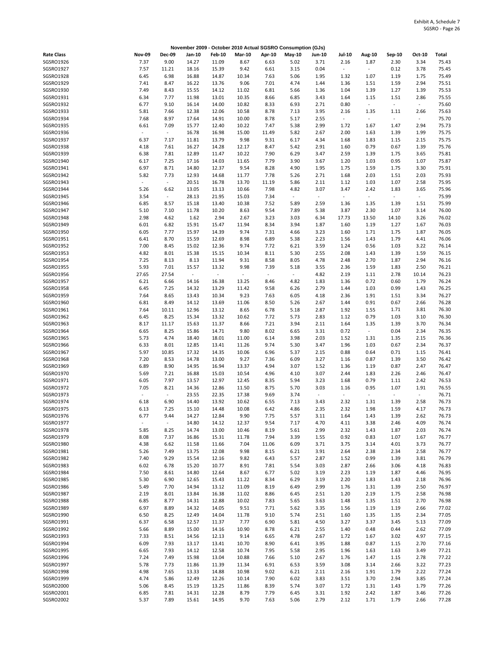|                        |                          |                  |                |                |                          |                          | November 2009 - October 2010 Actual SGSRO Consumption (GJs) |                  |                                  |                          |                  |                |                |
|------------------------|--------------------------|------------------|----------------|----------------|--------------------------|--------------------------|-------------------------------------------------------------|------------------|----------------------------------|--------------------------|------------------|----------------|----------------|
| <b>Rate Class</b>      | <b>Nov-09</b>            | <b>Dec-09</b>    | Jan-10         | Feb-10         | <b>Mar-10</b>            | Apr-10                   | May-10                                                      | <b>Jun-10</b>    | <b>Jul-10</b>                    | <b>Aug-10</b>            | Sep-10           | Oct-10         | Total          |
| SGSRO1926              | 7.37                     | 9.00             | 14.27          | 11.09          | 8.67                     | 6.63                     | 5.02                                                        | 3.71             | 2.16                             | 1.87                     | 2.30             | 3.34           | 75.43          |
| SGSRO1927              | 7.57                     | 11.21            | 18.16          | 15.39          | 9.42                     | 6.61                     | 3.15                                                        | 0.04             | $\overline{\phantom{a}}$         | $\overline{\phantom{a}}$ | 0.12             | 3.78           | 75.45          |
| SGSRO1928              | 6.45                     | 6.98             | 16.88          | 14.87          | 10.34                    | 7.63                     | 5.06                                                        | 1.95             | 1.32                             | 1.07                     | 1.19             | 1.75           | 75.49          |
| SGSRO1929              | 7.41                     | 8.47             | 16.22          | 13.76          | 9.06                     | 7.01                     | 4.74                                                        | 1.44             | 1.36                             | 1.51                     | 1.59             | 2.94           | 75.51          |
| SGSRO1930<br>SGSRO1931 | 7.49<br>6.34             | 8.43<br>7.77     | 15.55<br>11.98 | 14.12<br>13.01 | 11.02<br>10.35           | 6.81<br>8.66             | 5.66<br>6.85                                                | 1.36<br>3.43     | 1.04<br>1.64                     | 1.39<br>1.15             | 1.27<br>1.51     | 1.39<br>2.86   | 75.53<br>75.55 |
| SGSRO1932              | 6.77                     | 9.10             | 16.14          | 14.00          | 10.82                    | 8.33                     | 6.93                                                        | 2.71             | 0.80                             | $\blacksquare$           | $\sim$           | $\omega$       | 75.60          |
| SGSRO1933              | 5.81                     | 7.66             | 12.38          | 12.06          | 10.58                    | 8.78                     | 7.13                                                        | 3.95             | 2.16                             | 1.35                     | 1.11             | 2.66           | 75.63          |
| SGSRO1934              | 7.68                     | 8.97             | 17.64          | 14.91          | 10.00                    | 8.78                     | 5.17                                                        | 2.55             | $\omega$                         | $\overline{\phantom{a}}$ | $\sim$           | $\omega$       | 75.70          |
| SGSRO1935              | 6.61                     | 7.09             | 15.77          | 12.40          | 10.22                    | 7.47                     | 5.38                                                        | 2.99             | 1.72                             | 1.67                     | 1.47             | 2.94           | 75.73          |
| SGSRO1936              | $\overline{\phantom{a}}$ | $\omega$         | 16.78          | 16.98          | 15.00                    | 11.49                    | 5.82                                                        | 2.67             | 2.00                             | 1.63                     | 1.39             | 1.99           | 75.75          |
| SGSRO1937              | 6.37                     | 7.17             | 11.81          | 13.79          | 9.98                     | 9.31                     | 6.17                                                        | 4.34             | 1.68                             | 1.83<br>0.79             | 1.15             | 2.15           | 75.75<br>75.76 |
| SGSRO1938<br>SGSRO1939 | 4.18<br>6.38             | 7.61<br>7.81     | 16.27<br>12.89 | 14.28<br>11.47 | 12.17<br>10.22           | 8.47<br>7.90             | 5.42<br>6.29                                                | 2.91<br>3.47     | 1.60<br>2.59                     | 1.39                     | 0.67<br>1.75     | 1.39<br>3.65   | 75.81          |
| SGSRO1940              | 6.17                     | 7.25             | 17.16          | 14.03          | 11.65                    | 7.79                     | 3.90                                                        | 3.67             | 1.20                             | 1.03                     | 0.95             | 1.07           | 75.87          |
| SGSRO1941              | 6.97                     | 8.71             | 14.80          | 12.37          | 9.54                     | 8.28                     | 4.90                                                        | 1.95             | 1.75                             | 1.59                     | 1.75             | 3.30           | 75.91          |
| SGSRO1942              | 5.82                     | 7.73             | 12.93          | 14.68          | 11.77                    | 7.78                     | 5.26                                                        | 2.71             | 1.68                             | 2.03                     | 1.51             | 2.03           | 75.93          |
| SGSRO1943              | $\overline{\phantom{a}}$ | $\sim$           | 20.51          | 16.78          | 13.70                    | 11.19                    | 5.86                                                        | 2.11             | 1.12                             | 1.03                     | 1.07             | 2.58           | 75.95          |
| SGSRO1944              | 5.26                     | 6.62             | 13.05          | 13.13          | 10.66                    | 7.98                     | 4.82                                                        | 3.07             | 3.47                             | 2.42                     | 1.83             | 3.65           | 75.96          |
| SGSRO1945<br>SGSRO1946 | 3.54<br>6.85             | $\omega$<br>8.57 | 28.13<br>15.18 | 21.95<br>13.40 | 15.03<br>10.38           | 7.34<br>7.52             | $\sim$<br>5.89                                              | $\omega$<br>2.59 | $\overline{\phantom{a}}$<br>1.36 | $\omega$<br>1.35         | $\omega$<br>1.39 | $\sim$<br>1.51 | 75.99<br>75.99 |
| SGSRO1947              | 5.10                     | 7.10             | 11.78          | 10.20          | 8.63                     | 9.54                     | 7.89                                                        | 5.38             | 3.87                             | 2.30                     | 1.07             | 3.14           | 76.00          |
| SGSRO1948              | 2.98                     | 4.62             | 1.62           | 2.94           | 2.67                     | 3.23                     | 3.03                                                        | 6.34             | 17.73                            | 13.50                    | 14.10            | 3.26           | 76.02          |
| SGSRO1949              | 6.01                     | 6.82             | 15.91          | 15.47          | 11.94                    | 8.34                     | 3.94                                                        | 1.87             | 1.60                             | 1.19                     | 1.27             | 1.67           | 76.03          |
| SGSRO1950              | 6.05                     | 7.77             | 15.97          | 14.39          | 9.74                     | 7.31                     | 4.66                                                        | 3.23             | 1.60                             | 1.71                     | 1.75             | 1.87           | 76.05          |
| SGSRO1951              | 6.41                     | 8.70             | 15.59          | 12.69          | 8.98                     | 6.89                     | 5.38                                                        | 2.23             | 1.56                             | 1.43                     | 1.79             | 4.41           | 76.06          |
| SGSRO1952              | 7.00                     | 8.45             | 15.02          | 12.36          | 9.74                     | 7.72                     | 6.21                                                        | 3.59             | 1.24                             | 0.56                     | 1.03             | 3.22           | 76.14          |
| SGSRO1953<br>SGSRO1954 | 4.82<br>7.25             | 8.01<br>8.13     | 15.38<br>8.13  | 15.15<br>11.94 | 10.34<br>9.31            | 8.11<br>8.58             | 5.30<br>8.05                                                | 2.55<br>4.78     | 2.08<br>2.48                     | 1.43<br>2.70             | 1.39<br>1.87     | 1.59<br>2.94   | 76.15<br>76.16 |
| SGSRO1955              | 5.93                     | 7.01             | 15.57          | 13.32          | 9.98                     | 7.39                     | 5.18                                                        | 3.55             | 2.36                             | 1.59                     | 1.83             | 2.50           | 76.21          |
| SGSRO1956              | 27.65                    | 27.54            | $\omega$       | $\blacksquare$ | $\overline{\phantom{a}}$ | $\overline{\phantom{a}}$ | $\overline{\phantom{a}}$                                    | 4.82             | 2.19                             | 1.11                     | 2.78             | 10.14          | 76.23          |
| SGSRO1957              | 6.21                     | 6.66             | 14.16          | 16.38          | 13.25                    | 8.46                     | 4.82                                                        | 1.83             | 1.36                             | 0.72                     | 0.60             | 1.79           | 76.24          |
| SGSRO1958              | 6.45                     | 7.25             | 14.32          | 13.29          | 11.42                    | 9.58                     | 6.26                                                        | 2.79             | 1.44                             | 1.03                     | 0.99             | 1.43           | 76.25          |
| SGSRO1959              | 7.64                     | 8.65             | 13.43          | 10.34          | 9.23                     | 7.63                     | 6.05                                                        | 4.18             | 2.36                             | 1.91                     | 1.51             | 3.34           | 76.27          |
| SGSRO1960<br>SGSRO1961 | 6.81<br>7.64             | 8.49<br>10.11    | 14.12<br>12.96 | 13.69<br>13.12 | 11.06<br>8.65            | 8.50<br>6.78             | 5.26<br>5.18                                                | 2.67<br>2.87     | 1.44<br>1.92                     | 0.91<br>1.55             | 0.67<br>1.71     | 2.66<br>3.81   | 76.28<br>76.30 |
| SGSRO1962              | 6.45                     | 8.25             | 15.34          | 13.32          | 10.62                    | 7.72                     | 5.73                                                        | 2.83             | 1.12                             | 0.79                     | 1.03             | 3.10           | 76.30          |
| SGSRO1963              | 8.17                     | 11.17            | 15.63          | 11.37          | 8.66                     | 7.21                     | 3.94                                                        | 2.11             | 1.64                             | 1.35                     | 1.39             | 3.70           | 76.34          |
| SGSRO1964              | 6.65                     | 8.25             | 15.86          | 14.71          | 9.80                     | 8.02                     | 6.65                                                        | 3.31             | 0.72                             | $\overline{\phantom{a}}$ | 0.04             | 2.34           | 76.35          |
| SGSRO1965              | 5.73                     | 4.74             | 18.40          | 18.01          | 11.00                    | 6.14                     | 3.98                                                        | 2.03             | 1.52                             | 1.31                     | 1.35             | 2.15           | 76.36          |
| SGSRO1966              | 6.33                     | 8.01             | 12.85          | 13.41          | 11.26                    | 9.74                     | 5.30                                                        | 3.47             | 1.96                             | 1.03                     | 0.67             | 2.34           | 76.37          |
| SGSRO1967<br>SGSRO1968 | 5.97<br>7.20             | 10.85<br>8.53    | 17.32<br>14.78 | 14.35<br>13.00 | 10.06<br>9.27            | 6.96<br>7.36             | 5.37<br>6.09                                                | 2.15<br>3.27     | 0.88<br>1.16                     | 0.64<br>0.87             | 0.71<br>1.39     | 1.15<br>3.50   | 76.41<br>76.42 |
| SGSRO1969              | 6.89                     | 8.90             | 14.95          | 16.94          | 13.37                    | 4.94                     | 3.07                                                        | 1.52             | 1.36                             | 1.19                     | 0.87             | 2.47           | 76.47          |
| SGSRO1970              | 5.69                     | 7.21             | 16.88          | 15.03          | 10.54                    | 4.96                     | 4.10                                                        | 3.07             | 2.44                             | 1.83                     | 2.26             | 2.46           | 76.47          |
| SGSRO1971              | 6.05                     | 7.97             | 13.57          | 12.97          | 12.45                    | 8.35                     | 5.94                                                        | 3.23             | 1.68                             | 0.79                     | 1.11             | 2.42           | 76.53          |
| SGSRO1972              | 7.05                     | 8.21             | 14.36          | 12.86          | 11.50                    | 8.75                     | 5.70                                                        | 3.03             | 1.16                             | 0.95                     | 1.07             | 1.91           | 76.55          |
| SGSRO1973              |                          | $\omega$         | 23.55          | 22.35          | 17.38                    | 9.69                     | 3.74                                                        | $\omega$         | $\omega$                         | $\overline{\phantom{a}}$ | $\sim$           | $\omega$       | 76.71          |
| SGSRO1974              | 6.18<br>6.13             | 6.90<br>7.25     | 14.40          | 13.92          | 10.62<br>10.08           | 6.55                     | 7.13                                                        | 3.43<br>2.35     | 2.32<br>2.32                     | 1.31                     | 1.39             | 2.58           | 76.73          |
| SGSRO1975<br>SGSRO1976 | 6.77                     | 9.44             | 15.10<br>14.27 | 14.48<br>12.84 | 9.90                     | 6.42<br>7.75             | 4.86<br>5.57                                                | 3.11             | 1.64                             | 1.98<br>1.43             | 1.59<br>1.39     | 4.17<br>2.62   | 76.73<br>76.73 |
| SGSR01977              | $\overline{\phantom{a}}$ | $\omega$         | 14.80          | 14.12          | 12.37                    | 9.54                     | 7.17                                                        | 4.70             | 4.11                             | 3.38                     | 2.46             | 4.09           | 76.74          |
| SGSRO1978              | 5.85                     | 8.25             | 14.74          | 13.00          | 10.46                    | 8.19                     | 5.61                                                        | 2.99             | 2.32                             | 1.43                     | 1.87             | 2.03           | 76.74          |
| SGSRO1979              | 8.08                     | 7.37             | 16.86          | 15.31          | 11.78                    | 7.94                     | 3.39                                                        | 1.55             | 0.92                             | 0.83                     | 1.07             | 1.67           | 76.77          |
| SGSRO1980              | 4.38                     | 6.62             | 11.58          | 11.66          | 7.04                     | 11.06                    | 6.09                                                        | 3.71             | 3.75                             | 3.14                     | 4.01             | 3.73           | 76.77          |
| SGSRO1981              | 5.26                     | 7.49             | 13.75          | 12.08          | 9.98                     | 8.15                     | 6.21                                                        | 3.91             | 2.64                             | 2.38                     | 2.34             | 2.58           | 76.77          |
| SGSRO1982<br>SGSRO1983 | 7.40<br>6.02             | 9.29<br>6.78     | 15.54<br>15.20 | 12.16<br>10.77 | 9.82<br>8.91             | 6.43<br>7.81             | 5.57<br>5.54                                                | 2.87<br>3.03     | 1.52<br>2.87                     | 0.99<br>2.66             | 1.39<br>3.06     | 3.81<br>4.18   | 76.79<br>76.83 |
| SGSRO1984              | 7.50                     | 8.61             | 14.80          | 12.64          | 8.67                     | 6.77                     | 5.02                                                        | 3.19             | 2.23                             | 1.19                     | 1.87             | 4.46           | 76.95          |
| SGSRO1985              | 5.30                     | 6.90             | 12.65          | 15.43          | 11.22                    | 8.34                     | 6.29                                                        | 3.19             | 2.20                             | 1.83                     | 1.43             | 2.18           | 76.96          |
| SGSRO1986              | 5.49                     | 7.70             | 14.94          | 13.12          | 11.09                    | 8.19                     | 6.49                                                        | 2.99             | 1.76                             | 1.31                     | 1.39             | 2.50           | 76.97          |
| SGSRO1987              | 2.19                     | 8.01             | 13.84          | 16.38          | 11.02                    | 8.86                     | 6.45                                                        | 2.51             | 1.20                             | 2.19                     | 1.75             | 2.58           | 76.98          |
| SGSRO1988              | 6.85                     | 8.77             | 14.31          | 12.88          | 10.02                    | 7.83                     | 5.65                                                        | 3.63             | 1.48                             | 1.35                     | 1.51             | 2.70           | 76.98          |
| SGSRO1989<br>SGSRO1990 | 6.97<br>6.50             | 8.89<br>8.25     | 14.32<br>12.49 | 14.05<br>14.04 | 9.51<br>11.78            | 7.71<br>9.10             | 5.62<br>5.74                                                | 3.35<br>2.51     | 1.56<br>1.60                     | 1.19<br>1.35             | 1.19<br>1.35     | 2.66<br>2.34   | 77.02<br>77.05 |
| SGSRO1991              | 6.37                     | 6.58             | 12.57          | 11.37          | 7.77                     | 6.90                     | 5.81                                                        | 4.50             | 3.27                             | 3.37                     | 3.45             | 5.13           | 77.09          |
| SGSRO1992              | 5.66                     | 8.89             | 15.00          | 14.16          | 10.90                    | 8.78                     | 6.21                                                        | 2.55             | 1.40                             | 0.48                     | 0.44             | 2.62           | 77.09          |
| SGSRO1993              | 7.33                     | 8.51             | 14.56          | 12.13          | 9.14                     | 6.65                     | 4.78                                                        | 2.67             | 1.72                             | 1.67                     | 3.02             | 4.97           | 77.15          |
| SGSRO1994              | 6.09                     | 7.93             | 13.17          | 13.41          | 10.70                    | 8.90                     | 6.41                                                        | 3.95             | 1.88                             | 0.87                     | 1.15             | 2.70           | 77.16          |
| SGSRO1995              | 6.65                     | 7.93             | 14.12          | 12.58          | 10.74                    | 7.95                     | 5.58                                                        | 2.95             | 1.96                             | 1.63                     | 1.63             | 3.49           | 77.21          |
| SGSRO1996<br>SGSRO1997 | 7.24<br>5.78             | 7.49<br>7.73     | 15.98<br>11.86 | 13.04<br>11.39 | 10.88<br>11.34           | 7.66<br>6.91             | 5.10<br>6.53                                                | 2.67<br>3.59     | 1.76<br>3.08                     | 1.47<br>3.14             | 1.15<br>2.66     | 2.78<br>3.22   | 77.22<br>77.23 |
| SGSRO1998              | 4.98                     | 7.65             | 13.33          | 14.88          | 10.98                    | 9.02                     | 6.21                                                        | 2.11             | 2.16                             | 1.91                     | 1.79             | 2.22           | 77.24          |
| SGSRO1999              | 4.74                     | 5.86             | 12.49          | 12.26          | 10.14                    | 7.90                     | 6.02                                                        | 3.83             | 3.51                             | 3.70                     | 2.94             | 3.85           | 77.24          |
| SGSRO2000              | 5.06                     | 8.45             | 15.19          | 13.25          | 11.86                    | 8.39                     | 5.74                                                        | 3.07             | 1.72                             | 1.31                     | 1.43             | 1.79           | 77.26          |
| SGSRO2001              | 6.85                     | 7.81             | 14.31          | 12.28          | 8.79                     | 7.79                     | 6.45                                                        | 3.31             | 1.92                             | 2.42                     | 1.87             | 3.46           | 77.26          |
| SGSRO2002              | 5.37                     | 7.89             | 15.61          | 14.95          | 9.70                     | 7.63                     | 5.06                                                        | 2.79             | 2.12                             | 1.71                     | 1.79             | 2.66           | 77.28          |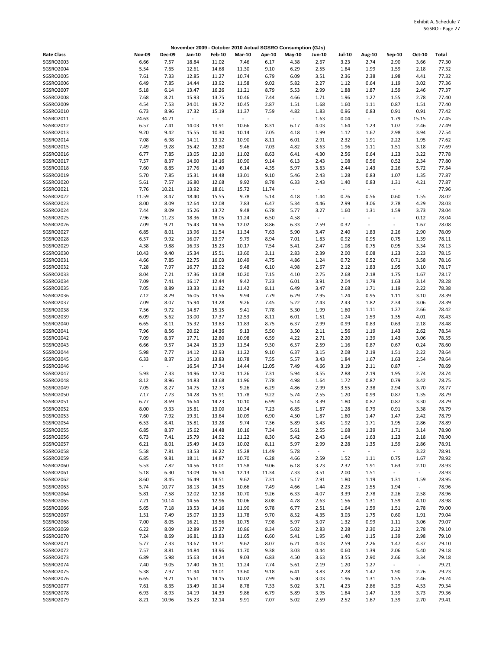|                               |               |               |                |                          |                |                     | November 2009 - October 2010 Actual SGSRO Consumption (GJs) |                                  |                                  |                              |                                                      |                  |                |
|-------------------------------|---------------|---------------|----------------|--------------------------|----------------|---------------------|-------------------------------------------------------------|----------------------------------|----------------------------------|------------------------------|------------------------------------------------------|------------------|----------------|
| <b>Rate Class</b>             | <b>Nov-09</b> | <b>Dec-09</b> | Jan-10         | <b>Feb-10</b>            | <b>Mar-10</b>  | Apr-10              | May-10                                                      | <b>Jun-10</b>                    | Jul-10                           | <b>Aug-10</b>                | Sep-10                                               | Oct-10           | Total          |
| SGSRO2003                     | 6.66          | 7.57          | 18.84          | 11.02                    | 7.46           | 6.17                | 4.38                                                        | 2.67                             | 3.23                             | 2.74                         | 2.90                                                 | 3.66             | 77.30          |
| SGSRO2004                     | 5.54          | 7.65          | 12.61          | 14.68                    | 11.30          | 9.10                | 6.29                                                        | 2.55                             | 1.84                             | 1.99                         | 1.59                                                 | 2.18             | 77.32          |
| SGSRO2005                     | 7.61          | 7.33          | 12.85          | 11.27                    | 10.74          | 6.79                | 6.09                                                        | 3.51                             | 2.36                             | 2.38                         | 1.98                                                 | 4.41             | 77.32          |
| SGSRO2006                     | 6.49          | 7.85          | 14.44          | 13.92                    | 11.58          | 9.02                | 5.82                                                        | 2.27                             | 1.12                             | 0.64                         | 1.19                                                 | 3.02             | 77.36          |
| SGSRO2007                     | 5.18          | 6.14          | 13.47          | 16.26                    | 11.21          | 8.79                | 5.53                                                        | 2.99                             | 1.88                             | 1.87                         | 1.59                                                 | 2.46             | 77.37          |
| SGSRO2008<br>SGSRO2009        | 7.68<br>4.54  | 8.21<br>7.53  | 15.93<br>24.01 | 13.75<br>19.72           | 10.46<br>10.45 | 7.44<br>2.87        | 4.66<br>1.51                                                | 1.71<br>1.68                     | 1.96<br>1.60                     | 1.27<br>1.11                 | 1.55<br>0.87                                         | 2.78<br>1.51     | 77.40<br>77.40 |
| SGSRO2010                     | 6.73          | 8.96          | 17.32          | 15.19                    | 11.37          | 7.59                | 4.82                                                        | 1.83                             | 0.96                             | 0.83                         | 0.91                                                 | 0.91             | 77.42          |
| SGSRO2011                     | 24.63         | 34.21         | $\sim$         | $\overline{\phantom{a}}$ | $\omega$       | $\bar{\phantom{a}}$ | $\overline{\phantom{a}}$                                    | 1.63                             | 0.04                             | $\blacksquare$               | 1.79                                                 | 15.15            | 77.45          |
| SGSRO2012                     | 6.57          | 7.41          | 14.03          | 13.91                    | 10.66          | 8.31                | 6.17                                                        | 4.03                             | 1.64                             | 1.23                         | 1.07                                                 | 2.46             | 77.49          |
| SGSRO2013                     | 9.20          | 9.42          | 15.55          | 10.30                    | 10.14          | 7.05                | 4.18                                                        | 1.99                             | 1.12                             | 1.67                         | 2.98                                                 | 3.94             | 77.54          |
| SGSRO2014                     | 7.08          | 6.98          | 14.11          | 13.12                    | 10.90          | 8.11                | 6.01                                                        | 2.91                             | 2.32                             | 1.91                         | 2.22                                                 | 1.95             | 77.62          |
| SGSRO2015                     | 7.49          | 9.28          | 15.42          | 12.80                    | 9.46           | 7.03                | 4.82                                                        | 3.63                             | 1.96                             | 1.11                         | 1.51                                                 | 3.18             | 77.69          |
| SGSRO2016<br>SGSRO2017        | 6.77<br>7.57  | 7.85<br>8.37  | 13.05          | 12.10                    | 11.02<br>10.90 | 8.63                | 6.41                                                        | 4.30                             | 2.56<br>1.08                     | 0.64                         | 1.23<br>0.52                                         | 3.22<br>2.34     | 77.78<br>77.80 |
| SGSRO2018                     | 7.60          | 8.85          | 14.60<br>17.76 | 14.16<br>11.49           | 6.14           | 9.14<br>4.35        | 6.13<br>5.97                                                | 2.43<br>3.83                     | 2.44                             | 0.56<br>1.43                 | 2.26                                                 | 5.72             | 77.84          |
| SGSRO2019                     | 5.70          | 7.85          | 15.31          | 14.48                    | 13.01          | 9.10                | 5.46                                                        | 2.43                             | 1.28                             | 0.83                         | 1.07                                                 | 1.35             | 77.87          |
| SGSRO2020                     | 5.61          | 7.57          | 16.80          | 12.68                    | 9.92           | 8.78                | 6.33                                                        | 2.43                             | 1.40                             | 0.83                         | 1.31                                                 | 4.21             | 77.87          |
| SGSRO2021                     | 7.76          | 10.21         | 13.92          | 18.61                    | 15.72          | 11.74               | $\sim$                                                      | $\blacksquare$                   | $\blacksquare$                   | $\sim$                       | $\blacksquare$                                       | $\sim$           | 77.96          |
| SGSRO2022                     | 11.59         | 8.47          | 18.40          | 15.55                    | 9.78           | 5.14                | 4.18                                                        | 1.44                             | 0.76                             | 0.56                         | 0.60                                                 | 1.55             | 78.02          |
| SGSRO2023                     | 8.00          | 8.09          | 12.64          | 12.08                    | 7.83           | 6.47                | 5.34                                                        | 4.46                             | 2.99                             | 3.06                         | 2.78                                                 | 4.29             | 78.03          |
| SGSRO2024<br>SGSRO2025        | 7.44          | 8.09          | 15.26          | 13.72                    | 9.48           | 6.78                | 5.77                                                        | 3.27                             | 1.60                             | 1.31<br>$\ddot{\phantom{1}}$ | 1.59                                                 | 3.73             | 78.04          |
| SGSRO2026                     | 7.96<br>7.09  | 11.23<br>9.21 | 18.36<br>15.43 | 18.05<br>14.56           | 11.24<br>12.02 | 6.50<br>8.86        | 4.58<br>6.33                                                | $\overline{\phantom{a}}$<br>2.59 | $\overline{\phantom{a}}$<br>0.32 | $\sim$                       | $\overline{\phantom{a}}$<br>$\overline{\phantom{a}}$ | 0.12<br>1.67     | 78.04<br>78.08 |
| SGSRO2027                     | 6.85          | 8.01          | 13.96          | 11.54                    | 11.34          | 7.63                | 5.90                                                        | 3.47                             | 2.40                             | 1.83                         | 2.26                                                 | 2.90             | 78.09          |
| SGSRO2028                     | 6.57          | 9.92          | 16.07          | 13.97                    | 9.79           | 8.94                | 7.01                                                        | 1.83                             | 0.92                             | 0.95                         | 0.75                                                 | 1.39             | 78.11          |
| SGSRO2029                     | 4.38          | 9.88          | 16.93          | 15.23                    | 10.17          | 7.54                | 5.41                                                        | 2.47                             | 1.08                             | 0.75                         | 0.95                                                 | 3.34             | 78.13          |
| SGSRO2030                     | 10.43         | 9.40          | 15.34          | 15.51                    | 13.60          | 3.11                | 2.83                                                        | 2.39                             | 2.00                             | 0.08                         | 1.23                                                 | 2.23             | 78.15          |
| SGSRO2031                     | 4.66          | 7.85          | 22.75          | 16.03                    | 10.49          | 4.75                | 4.86                                                        | 1.24                             | 0.72                             | 0.52                         | 0.71                                                 | 3.58             | 78.16          |
| SGSRO2032                     | 7.28          | 7.97          | 16.77          | 13.92                    | 9.48           | 6.10                | 4.98                                                        | 2.67                             | 2.12                             | 1.83                         | 1.95                                                 | 3.10             | 78.17          |
| SGSRO2033                     | 8.04          | 7.21          | 17.36          | 13.08                    | 10.20          | 7.15                | 4.10                                                        | 2.75                             | 2.68                             | 2.18                         | 1.75                                                 | 1.67             | 78.17          |
| SGSRO2034<br>SGSRO2035        | 7.09<br>7.05  | 7.41<br>8.89  | 16.17<br>13.33 | 12.44<br>11.82           | 9.42<br>11.42  | 7.23<br>8.11        | 6.01<br>6.49                                                | 3.91<br>3.47                     | 2.04<br>2.68                     | 1.79<br>1.71                 | 1.63<br>1.19                                         | 3.14<br>2.22     | 78.28<br>78.38 |
| SGSRO2036                     | 7.12          | 8.29          | 16.05          | 13.56                    | 9.94           | 7.79                | 6.29                                                        | 2.95                             | 1.24                             | 0.95                         | 1.11                                                 | 3.10             | 78.39          |
| SGSRO2037                     | 7.09          | 8.07          | 15.94          | 13.28                    | 9.26           | 7.45                | 5.22                                                        | 2.43                             | 2.43                             | 1.82                         | 2.34                                                 | 3.06             | 78.39          |
| SGSRO2038                     | 7.56          | 9.72          | 14.87          | 15.15                    | 9.41           | 7.78                | 5.30                                                        | 1.99                             | 1.60                             | 1.11                         | 1.27                                                 | 2.66             | 78.42          |
| SGSRO2039                     | 6.09          | 5.62          | 13.00          | 17.37                    | 12.53          | 8.11                | 6.01                                                        | 1.51                             | 1.24                             | 1.59                         | 1.35                                                 | 4.01             | 78.43          |
| SGSRO2040                     | 6.65          | 8.11          | 15.32          | 13.83                    | 11.83          | 8.75                | 6.37                                                        | 2.99                             | 0.99                             | 0.83                         | 0.63                                                 | 2.18             | 78.48          |
| SGSRO2041                     | 7.96          | 8.56          | 20.62          | 14.36                    | 9.13           | 5.50                | 3.50                                                        | 2.11                             | 1.56                             | 1.19                         | 1.43                                                 | 2.62             | 78.54          |
| SGSRO2042<br>SGSRO2043        | 7.09          | 8.37          | 17.71          | 12.80                    | 10.98          | 6.59                | 4.22                                                        | 2.71                             | 2.20                             | 1.39                         | 1.43                                                 | 3.06<br>0.24     | 78.55<br>78.60 |
| SGSRO2044                     | 6.66<br>5.98  | 9.57<br>7.77  | 14.24<br>14.12 | 15.19<br>12.93           | 11.54<br>11.22 | 9.30<br>9.10        | 6.57<br>6.37                                                | 2.59<br>3.15                     | 1.16<br>2.08                     | 0.87<br>2.19                 | 0.67<br>1.51                                         | 2.22             | 78.64          |
| SGSRO2045                     | 6.33          | 8.37          | 15.10          | 13.83                    | 10.78          | 7.55                | 5.57                                                        | 3.43                             | 1.84                             | 1.67                         | 1.63                                                 | 2.54             | 78.64          |
| SGSRO2046                     | $\sim$        | $\sim$        | 16.54          | 17.34                    | 14.44          | 12.05               | 7.49                                                        | 4.66                             | 3.19                             | 2.11                         | 0.87                                                 | $\sim$           | 78.69          |
| SGSRO2047                     | 5.93          | 7.33          | 14.96          | 12.70                    | 11.26          | 7.31                | 5.94                                                        | 3.55                             | 2.88                             | 2.19                         | 1.95                                                 | 2.74             | 78.74          |
| SGSRO2048                     | 8.12          | 8.96          | 14.83          | 13.68                    | 11.96          | 7.78                | 4.98                                                        | 1.64                             | 1.72                             | 0.87                         | 0.79                                                 | 3.42             | 78.75          |
| SGSRO2049                     | 7.05          | 8.27          | 14.75          | 12.73                    | 9.26           | 6.29                | 4.86                                                        | 2.99                             | 3.55                             | 2.38                         | 2.94                                                 | 3.70             | 78.77          |
| SGSRO2050                     | 7.17          | 7.73<br>8.69  | 14.28          | 15.91                    | 11.78          | 9.22<br>6.99        | 5.74                                                        | 2.55                             | 1.20<br>1.80                     | 0.99                         | 0.87<br>0.87                                         | 1.35<br>3.30     | 78.79<br>78.79 |
| SGSRO2051<br><b>SGSRO2052</b> | 6.77<br>8.00  | 9.33          | 16.64<br>15.81 | 14.23<br>13.00           | 10.10<br>10.34 | 7.23                | 5.14<br>6.85                                                | 3.39<br>1.87                     | 1.28                             | 0.87<br>0.79                 | 0.91                                                 | 3.38             | 78.79          |
| SGSRO2053                     | 7.60          | 7.92          | 19.31          | 13.64                    | 10.09          | 6.90                | 4.50                                                        | 1.87                             | 1.60                             | 1.47                         | 1.47                                                 | 2.42             | 78.79          |
| SGSRO2054                     | 6.53          | 8.41          | 15.81          | 13.28                    | 9.74           | 7.36                | 5.89                                                        | 3.43                             | 1.92                             | 1.71                         | 1.95                                                 | 2.86             | 78.89          |
| SGSRO2055                     | 6.85          | 8.37          | 15.62          | 14.48                    | 10.16          | 7.34                | 5.61                                                        | 2.55                             | 1.68                             | 1.39                         | 1.71                                                 | 3.14             | 78.90          |
| SGSRO2056                     | 6.73          | 7.41          | 15.79          | 14.92                    | 11.22          | 8.30                | 5.42                                                        | 2.43                             | 1.64                             | 1.63                         | 1.23                                                 | 2.18             | 78.90          |
| SGSRO2057                     | 6.21          | 8.01          | 15.49          | 14.03                    | 10.02          | 8.11                | 5.97                                                        | 2.99                             | 2.28                             | 1.35                         | 1.59                                                 | 2.86             | 78.91          |
| SGSRO2058                     | 5.58          | 7.81          | 13.53          | 16.22                    | 15.28          | 11.49               | 5.78                                                        | $\omega$                         | $\omega$                         | $\Box$                       | $\omega_{\rm c}$                                     | 3.22             | 78.91          |
| SGSRO2059<br>SGSRO2060        | 6.85<br>5.53  | 9.81<br>7.82  | 18.11<br>14.56 | 14.87<br>13.01           | 10.70<br>11.58 | 6.28<br>9.06        | 4.66<br>6.18                                                | 2.59<br>3.23                     | 1.52<br>2.32                     | 1.11<br>1.91                 | 0.75<br>1.63                                         | 1.67<br>2.10     | 78.92<br>78.93 |
| SGSRO2061                     | 5.18          | 6.30          | 13.09          | 16.54                    | 12.13          | 11.34               | 7.33                                                        | 3.51                             | 2.00                             | 1.51                         | $\omega_{\rm c}$                                     | $\sim$           | 78.93          |
| SGSRO2062                     | 8.60          | 8.45          | 16.49          | 14.51                    | 9.62           | 7.31                | 5.17                                                        | 2.91                             | 1.80                             | 1.19                         | 1.31                                                 | 1.59             | 78.95          |
| SGSRO2063                     | 5.74          | 10.77         | 18.13          | 14.35                    | 10.66          | 7.49                | 4.66                                                        | 1.44                             | 2.23                             | 1.55                         | 1.94                                                 | $\omega_{\rm c}$ | 78.96          |
| SGSRO2064                     | 5.81          | 7.58          | 12.02          | 12.18                    | 10.70          | 9.26                | 6.33                                                        | 4.07                             | 3.39                             | 2.78                         | 2.26                                                 | 2.58             | 78.96          |
| SGSRO2065                     | 7.21          | 10.14         | 14.56          | 12.96                    | 10.06          | 8.08                | 4.78                                                        | 2.63                             | 1.56                             | 1.31                         | 1.59                                                 | 4.10             | 78.98          |
| SGSRO2066                     | 5.65          | 7.18          | 13.53          | 14.16                    | 11.90          | 9.78                | 6.77                                                        | 2.51                             | 1.64                             | 1.59                         | 1.51                                                 | 2.78             | 79.00          |
| SGSRO2067<br>SGSRO2068        | 1.51<br>7.00  | 7.49<br>8.05  | 15.07<br>16.21 | 13.33                    | 11.78<br>10.75 | 9.70<br>7.98        | 8.52                                                        | 4.35<br>3.07                     | 3.03<br>1.32                     | 1.75                         | 0.60                                                 | 1.91<br>3.06     | 79.04<br>79.07 |
| SGSRO2069                     | 6.22          | 8.09          | 12.89          | 13.56<br>15.27           | 10.86          | 8.34                | 5.97<br>5.02                                                | 2.83                             | 2.28                             | 0.99<br>2.30                 | 1.11<br>2.22                                         | 2.78             | 79.10          |
| SGSRO2070                     | 7.24          | 8.69          | 16.81          | 13.83                    | 11.65          | 6.60                | 5.41                                                        | 1.95                             | 1.40                             | 1.15                         | 1.39                                                 | 2.98             | 79.10          |
| SGSRO2071                     | 5.77          | 7.33          | 13.67          | 13.71                    | 9.62           | 8.07                | 6.21                                                        | 4.03                             | 2.59                             | 2.26                         | 1.47                                                 | 4.37             | 79.10          |
| SGSRO2072                     | 7.57          | 8.81          | 14.84          | 13.96                    | 11.70          | 9.38                | 3.03                                                        | 0.44                             | 0.60                             | 1.39                         | 2.06                                                 | 5.40             | 79.18          |
| SGSRO2073                     | 6.89          | 5.98          | 15.63          | 14.24                    | 9.03           | 6.83                | 4.50                                                        | 3.63                             | 3.55                             | 2.90                         | 2.66                                                 | 3.34             | 79.18          |
| SGSRO2074                     | 7.40          | 9.05          | 17.40          | 16.11                    | 11.24          | 7.74                | 5.61                                                        | 2.19                             | 1.20                             | 1.27                         | $\omega_{\rm c}$                                     | $\omega$         | 79.21          |
| SGSRO2075                     | 5.38          | 7.97<br>9.21  | 11.94          | 13.01                    | 13.60          | 9.18                | 6.41                                                        | 3.83                             | 2.28                             | 1.47                         | 1.90                                                 | 2.26             | 79.23          |
| SGSRO2076<br>SGSRO2077        | 6.65<br>7.61  | 8.35          | 15.61<br>13.49 | 14.15<br>10.14           | 10.02<br>8.78  | 7.99<br>7.33        | 5.30<br>5.02                                                | 3.03<br>3.71                     | 1.96<br>4.23                     | 1.31<br>2.86                 | 1.55<br>3.29                                         | 2.46<br>4.53     | 79.24<br>79.34 |
| SGSRO2078                     | 6.93          | 8.93          | 14.19          | 14.39                    | 9.86           | 6.79                | 5.89                                                        | 3.95                             | 1.84                             | 1.47                         | 1.39                                                 | 3.73             | 79.36          |
| SGSRO2079                     | 8.21          | 10.96         | 15.23          | 12.14                    | 9.91           | 7.07                | 5.02                                                        | 2.59                             | 2.52                             | 1.67                         | 1.39                                                 | 2.70             | 79.41          |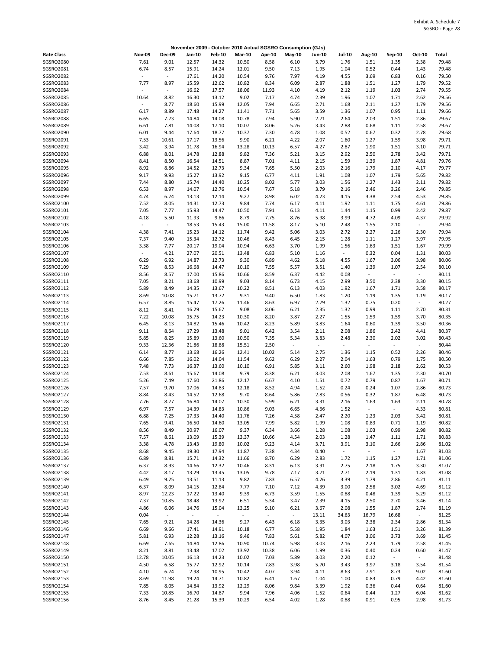|                        |                                 |                  |                  |                |                  |               | November 2009 - October 2010 Actual SGSRO Consumption (GJs) |                |                          |                                  |                          |                  |                |
|------------------------|---------------------------------|------------------|------------------|----------------|------------------|---------------|-------------------------------------------------------------|----------------|--------------------------|----------------------------------|--------------------------|------------------|----------------|
| <b>Rate Class</b>      | <b>Nov-09</b>                   | <b>Dec-09</b>    | Jan-10           | <b>Feb-10</b>  | <b>Mar-10</b>    | Apr-10        | May-10                                                      | <b>Jun-10</b>  | Jul-10                   | <b>Aug-10</b>                    | Sep-10                   | Oct-10           | Total          |
| SGSRO2080              | 7.61                            | 9.01             | 12.57            | 14.32          | 10.50            | 8.58          | 6.10                                                        | 3.79           | 1.76                     | 1.51                             | 1.35                     | 2.38             | 79.48          |
| SGSRO2081              | 6.74                            | 8.57             | 15.91            | 14.24          | 12.01            | 9.50          | 7.13                                                        | 1.95           | 1.04                     | 0.52                             | 0.44                     | 1.43             | 79.48          |
| SGSRO2082              | $\overline{\phantom{a}}$        | $\omega$         | 17.61            | 14.20          | 10.54            | 9.76          | 7.97                                                        | 4.19           | 4.55                     | 3.69                             | 6.83                     | 0.16             | 79.50          |
| SGSRO2083              | 7.77                            | 8.97<br>$\sim$   | 15.59            | 12.62          | 10.82            | 8.34          | 6.09                                                        | 2.87           | 1.88                     | 1.51                             | 1.27                     | 1.79             | 79.52          |
| SGSRO2084<br>SGSRO2085 | 10.64                           | 8.82             | 16.62<br>16.30   | 17.57<br>13.12 | 18.06<br>9.02    | 11.93<br>7.17 | 4.10<br>4.74                                                | 4.19<br>2.39   | 2.12<br>1.96             | 1.19<br>1.07                     | 1.03<br>1.71             | 2.74<br>2.62     | 79.55<br>79.56 |
| SGSRO2086              | $\centering \label{eq:reduced}$ | 8.77             | 18.60            | 15.99          | 12.05            | 7.94          | 6.65                                                        | 2.71           | 1.68                     | 2.11                             | 1.27                     | 1.79             | 79.56          |
| SGSRO2087              | 6.17                            | 8.89             | 17.48            | 14.27          | 11.41            | 7.71          | 5.65                                                        | 3.59           | 1.36                     | 1.07                             | 0.95                     | 1.11             | 79.66          |
| SGSRO2088              | 6.65                            | 7.73             | 14.84            | 14.08          | 10.78            | 7.94          | 5.90                                                        | 2.71           | 2.64                     | 2.03                             | 1.51                     | 2.86             | 79.67          |
| SGSRO2089              | 6.61                            | 7.81             | 14.08            | 17.10          | 10.07            | 8.06          | 5.26                                                        | 3.43           | 2.88                     | 0.68                             | 1.11                     | 2.58             | 79.67          |
| SGSRO2090              | 6.01                            | 9.44             | 17.64            | 18.77          | 10.37            | 7.30          | 4.78                                                        | 1.08           | 0.52                     | 0.67                             | 0.32                     | 2.78             | 79.68          |
| SGSRO2091              | 7.53                            | 10.61            | 17.17            | 13.56          | 9.90             | 6.21          | 4.22                                                        | 2.07           | 1.60                     | 1.27                             | 1.59                     | 3.98             | 79.71          |
| SGSRO2092<br>SGSRO2093 | 3.42<br>6.88                    | 3.94<br>8.01     | 11.78<br>14.78   | 16.94<br>12.88 | 13.28<br>9.82    | 10.13<br>7.36 | 6.57                                                        | 4.27<br>3.15   | 2.87<br>2.92             | 1.90<br>2.50                     | 1.51<br>2.78             | 3.10<br>3.42     | 79.71<br>79.71 |
| SGSRO2094              | 8.41                            | 8.50             | 16.54            | 14.51          | 8.87             | 7.01          | 5.21<br>4.11                                                | 2.15           | 1.59                     | 1.39                             | 1.87                     | 4.81             | 79.76          |
| SGSRO2095              | 8.92                            | 8.86             | 14.52            | 12.73          | 9.34             | 7.65          | 5.50                                                        | 2.03           | 2.16                     | 1.79                             | 2.10                     | 4.17             | 79.77          |
| SGSRO2096              | 9.17                            | 9.93             | 15.27            | 13.92          | 9.15             | 6.77          | 4.11                                                        | 1.91           | 1.08                     | 1.07                             | 1.79                     | 5.65             | 79.82          |
| SGSRO2097              | 7.44                            | 8.80             | 15.74            | 14.40          | 10.25            | 8.02          | 5.77                                                        | 3.03           | 1.56                     | 1.27                             | 1.43                     | 2.11             | 79.82          |
| SGSRO2098              | 6.53                            | 8.97             | 14.07            | 12.76          | 10.54            | 7.67          | 5.18                                                        | 3.79           | 2.16                     | 2.46                             | 3.26                     | 2.46             | 79.85          |
| SGSRO2099              | 4.74                            | 6.74             | 13.13            | 12.14          | 9.27             | 8.98          | 6.02                                                        | 4.23           | 4.15                     | 3.38                             | 2.54                     | 4.53             | 79.85          |
| SGSRO2100<br>SGSRO2101 | 7.52                            | 8.05             | 14.31            | 12.73          | 9.84             | 7.74          | 6.17                                                        | 4.11           | 1.92                     | 1.11                             | 1.75                     | 4.61             | 79.86          |
| SGSRO2102              | 7.05<br>4.18                    | 7.77<br>5.50     | 15.93<br>11.93   | 14.47<br>9.86  | 10.50<br>8.79    | 7.91<br>7.75  | 6.13<br>8.76                                                | 4.11<br>5.98   | 1.44<br>3.99             | 1.15<br>4.72                     | 0.99<br>4.09             | 2.42<br>4.37     | 79.87<br>79.92 |
| SGSRO2103              | $\overline{\phantom{a}}$        | $\omega$         | 18.53            | 15.43          | 15.00            | 11.58         | 8.17                                                        | 5.10           | 2.48                     | 1.55                             | 2.10                     | $\sim$           | 79.94          |
| SGSRO2104              | 4.38                            | 7.41             | 15.23            | 14.12          | 11.74            | 9.42          | 5.06                                                        | 3.03           | 2.72                     | 2.27                             | 2.26                     | 2.30             | 79.94          |
| SGSRO2105              | 7.37                            | 9.40             | 15.34            | 12.72          | 10.46            | 8.43          | 6.45                                                        | 2.15           | 1.28                     | 1.11                             | 1.27                     | 3.97             | 79.95          |
| SGSRO2106              | 3.38                            | 7.77             | 20.17            | 19.04          | 10.94            | 6.63          | 3.70                                                        | 1.99           | 1.56                     | 1.63                             | 1.51                     | 1.67             | 79.99          |
| SGSRO2107              | $\sim$                          | 4.21             | 27.07            | 20.51          | 13.48            | 6.83          | 5.10                                                        | 1.16           | $\omega$                 | 0.32                             | 0.04                     | 1.31             | 80.03          |
| SGSRO2108              | 6.29                            | 6.92             | 14.87            | 12.73          | 9.30             | 6.89          | 4.62                                                        | 5.18           | 4.55                     | 1.67                             | 3.06                     | 3.98             | 80.06          |
| SGSRO2109              | 7.29                            | 8.53             | 16.68            | 14.47          | 10.10            | 7.55          | 5.57                                                        | 3.51<br>4.42   | 1.40                     | 1.39<br>$\overline{\phantom{a}}$ | 1.07                     | 2.54             | 80.10          |
| SGSRO2110<br>SGSRO2111 | 8.56<br>7.05                    | 8.57<br>8.21     | 17.00<br>13.68   | 15.86<br>10.99 | 10.66<br>9.03    | 8.59<br>8.14  | 6.37<br>6.73                                                | 4.15           | 0.08<br>2.99             | 3.50                             | $\sim$<br>2.38           | $\omega$<br>3.30 | 80.11<br>80.15 |
| SGSRO2112              | 5.89                            | 8.49             | 14.35            | 13.67          | 10.22            | 8.51          | 6.13                                                        | 4.03           | 1.92                     | 1.67                             | 1.71                     | 3.58             | 80.17          |
| SGSRO2113              | 8.69                            | 10.08            | 15.71            | 13.72          | 9.31             | 9.40          | 6.50                                                        | 1.83           | 1.20                     | 1.19                             | 1.35                     | 1.19             | 80.17          |
| SGSRO2114              | 6.57                            | 8.85             | 15.47            | 17.26          | 11.46            | 8.63          | 6.97                                                        | 2.79           | 1.32                     | 0.75                             | 0.20                     | $\sim$           | 80.27          |
| SGSRO2115              | 8.12                            | 8.41             | 16.29            | 15.67          | 9.08             | 8.06          | 6.21                                                        | 2.35           | 1.32                     | 0.99                             | 1.11                     | 2.70             | 80.31          |
| SGSRO2116              | 7.22                            | 10.08            | 15.75            | 14.23          | 10.30            | 8.20          | 3.87                                                        | 2.27           | 1.55                     | 1.59                             | 1.59                     | 3.70             | 80.35          |
| SGSRO2117              | 6.45                            | 8.13             | 14.82            | 15.46          | 10.42            | 8.23          | 5.89                                                        | 3.83           | 1.64                     | 0.60                             | 1.39                     | 3.50             | 80.36          |
| SGSRO2118<br>SGSRO2119 | 9.11<br>5.85                    | 8.64<br>8.25     | 17.29<br>15.89   | 13.48<br>13.60 | 9.01<br>10.50    | 6.42<br>7.35  | 3.54<br>5.34                                                | 2.11<br>3.83   | 2.08<br>2.48             | 1.86<br>2.30                     | 2.42<br>2.02             | 4.41<br>3.02     | 80.37<br>80.43 |
| SGSRO2120              | 9.33                            | 12.36            | 21.86            | 18.88          | 15.51            | 2.50          | $\overline{\phantom{a}}$                                    | $\blacksquare$ | $\overline{\phantom{a}}$ | $\omega$                         | $\overline{\phantom{a}}$ | $\sim$           | 80.44          |
| SGSRO2121              | 6.14                            | 8.77             | 13.68            | 16.26          | 12.41            | 10.02         | 5.14                                                        | 2.75           | 1.36                     | 1.15                             | 0.52                     | 2.26             | 80.46          |
| SGSRO2122              | 6.66                            | 7.85             | 16.02            | 14.04          | 11.54            | 9.62          | 6.29                                                        | 2.27           | 2.04                     | 1.63                             | 0.79                     | 1.75             | 80.50          |
| SGSRO2123              | 7.48                            | 7.73             | 16.37            | 13.60          | 10.10            | 6.91          | 5.85                                                        | 3.11           | 2.60                     | 1.98                             | 2.18                     | 2.62             | 80.53          |
| SGSRO2124              | 7.53                            | 8.61             | 15.67            | 14.08          | 9.79             | 8.38          | 6.21                                                        | 3.03           | 2.08                     | 1.67                             | 1.35                     | 2.30             | 80.70          |
| SGSRO2125<br>SGSRO2126 | 5.26<br>7.57                    | 7.49<br>9.70     | 17.60            | 21.86          | 12.17            | 6.67          | 4.10<br>4.94                                                | 1.51           | 0.72                     | 0.79                             | 0.87                     | 1.67             | 80.71<br>80.73 |
| SGSRO2127              | 8.84                            | 8.43             | 17.06<br>14.52   | 14.83<br>12.68 | 12.18<br>9.70    | 8.52<br>8.64  | 5.86                                                        | 1.52<br>2.83   | 0.24<br>0.56             | 0.24<br>0.32                     | 1.07<br>1.87             | 2.86<br>6.48     | 80.73          |
| SGSRO2128              | 7.76                            | 8.77             | 16.84            | 14.07          | 10.30            | 5.99          | 6.21                                                        | 3.31           | 2.16                     | 1.63                             | 1.63                     | 2.11             | 80.78          |
| SGSRO2129              | 6.97                            | 7.57             | 14.39            | 14.83          | 10.86            | 9.03          | 6.65                                                        | 4.66           | 1.52                     |                                  |                          | 4.33             | 80.81          |
| SGSRO2130              | 6.88                            | 7.25             | 17.33            | 14.40          | 11.76            | 7.26          | 4.58                                                        | 2.47           | 2.20                     | 1.23                             | 2.03                     | 3.42             | 80.81          |
| SGSRO2131              | 7.65                            | 9.41             | 16.50            | 14.60          | 13.05            | 7.99          | 5.82                                                        | 1.99           | 1.08                     | 0.83                             | 0.71                     | 1.19             | 80.82          |
| SGSRO2132              | 8.56                            | 8.49             | 20.97            | 16.07          | 9.37             | 6.34          | 3.66                                                        | 1.28           | 1.08                     | 1.03                             | 0.99                     | 2.98             | 80.82          |
| SGSRO2133              | 7.57                            | 8.61             | 13.09            | 15.39          | 13.37            | 10.66         | 4.54                                                        | 2.03           | 1.28                     | 1.47                             | 1.11                     | 1.71             | 80.83          |
| SGSRO2134<br>SGSRO2135 | 3.38<br>8.68                    | 4.78<br>9.45     | 13.43<br>19.30   | 19.80<br>17.94 | 10.02<br>11.87   | 9.23<br>7.38  | 4.14<br>4.34                                                | 3.71<br>0.40   | 3.91<br>$\omega$         | 3.10<br>$\overline{\phantom{a}}$ | 2.66<br>$\omega_{\rm c}$ | 2.86<br>1.67     | 81.02<br>81.03 |
| SGSRO2136              | 6.89                            | 8.81             | 15.71            | 14.32          | 11.66            | 8.70          | 6.29                                                        | 2.83           | 1.72                     | 1.15                             | 1.27                     | 1.71             | 81.06          |
| SGSRO2137              | 6.37                            | 8.93             | 14.66            | 12.32          | 10.46            | 8.31          | 6.13                                                        | 3.91           | 2.75                     | 2.18                             | 1.75                     | 3.30             | 81.07          |
| SGSRO2138              | 4.42                            | 8.17             | 13.29            | 13.45          | 13.05            | 9.78          | 7.17                                                        | 3.71           | 2.71                     | 2.19                             | 1.31                     | 1.83             | 81.08          |
| SGSRO2139              | 6.49                            | 9.25             | 13.51            | 11.13          | 9.82             | 7.83          | 6.57                                                        | 4.26           | 3.39                     | 1.79                             | 2.86                     | 4.21             | 81.11          |
| SGSRO2140              | 6.37                            | 8.09             | 14.15            | 12.84          | 7.77             | 7.10          | 7.12                                                        | 4.39           | 3.00                     | 2.58                             | 3.02                     | 4.69             | 81.12          |
| SGSRO2141              | 8.97                            | 12.23            | 17.22            | 13.40          | 9.39             | 6.73          | 3.59                                                        | 1.55           | 0.88                     | 0.48                             | 1.39                     | 5.29             | 81.12          |
| SGSRO2142<br>SGSRO2143 | 7.37<br>4.86                    | 10.85<br>6.06    | 18.48<br>14.76   | 13.92<br>15.04 | 6.51<br>13.25    | 5.34<br>9.10  | 3.47<br>6.21                                                | 2.39<br>3.67   | 4.15<br>2.08             | 2.50<br>1.55                     | 2.70<br>1.87             | 3.46<br>2.74     | 81.14<br>81.19 |
| SGSRO2144              | 0.04                            | $\omega_{\rm c}$ | $\omega_{\rm c}$ | $\blacksquare$ | $\omega_{\rm c}$ | $\sim$        | $\sim$                                                      | 13.11          | 34.63                    | 16.79                            | 16.68                    | $\sim$           | 81.25          |
| SGSRO2145              | 7.65                            | 9.21             | 14.28            | 14.36          | 9.27             | 6.43          | 6.18                                                        | 3.35           | 3.03                     | 2.38                             | 2.34                     | 2.86             | 81.34          |
| SGSRO2146              | 6.69                            | 9.66             | 17.41            | 14.91          | 10.18            | 6.77          | 5.58                                                        | 1.95           | 1.84                     | 1.63                             | 1.51                     | 3.26             | 81.39          |
| SGSRO2147              | 5.81                            | 6.93             | 12.28            | 13.16          | 9.46             | 7.83          | 5.61                                                        | 5.82           | 4.07                     | 3.06                             | 3.73                     | 3.69             | 81.45          |
| SGSRO2148              | 6.69                            | 7.65             | 14.84            | 12.86          | 10.90            | 10.74         | 5.98                                                        | 3.03           | 2.16                     | 2.23                             | 1.79                     | 2.58             | 81.45          |
| SGSRO2149              | 8.21                            | 8.81             | 13.48            | 17.02          | 13.92            | 10.38         | 6.06                                                        | 1.99           | 0.36                     | 0.40                             | 0.24                     | 0.60             | 81.47          |
| SGSRO2150<br>SGSRO2151 | 12.78<br>4.50                   | 10.05<br>6.58    | 16.13<br>15.77   | 14.23<br>12.92 | 10.02<br>10.14   | 7.03<br>7.83  | 5.89<br>3.98                                                | 3.03<br>5.70   | 2.20<br>3.43             | 0.12<br>3.97                     | $\sim$<br>3.18           | $\sim$<br>3.54   | 81.48<br>81.54 |
| SGSRO2152              | 4.10                            | 6.74             | 2.98             | 10.95          | 10.42            | 4.07          | 3.94                                                        | 4.11           | 8.63                     | 7.91                             | 8.73                     | 9.02             | 81.60          |
| SGSRO2153              | 8.69                            | 11.98            | 19.24            | 14.71          | 10.82            | 6.41          | 1.67                                                        | 1.04           | 1.00                     | 0.83                             | 0.79                     | 4.42             | 81.60          |
| SGSRO2154              | 7.85                            | 8.05             | 14.84            | 13.92          | 12.29            | 8.06          | 9.84                                                        | 3.39           | 1.92                     | 0.36                             | 0.44                     | 0.64             | 81.60          |
| SGSRO2155              | 7.33                            | 10.85            | 16.70            | 14.87          | 9.94             | 7.96          | 4.06                                                        | 1.52           | 0.64                     | 0.44                             | 1.27                     | 6.04             | 81.62          |
| SGSRO2156              | 8.76                            | 8.45             | 21.28            | 15.39          | 10.29            | 6.54          | 4.02                                                        | 1.28           | 0.88                     | 0.91                             | 0.95                     | 2.98             | 81.73          |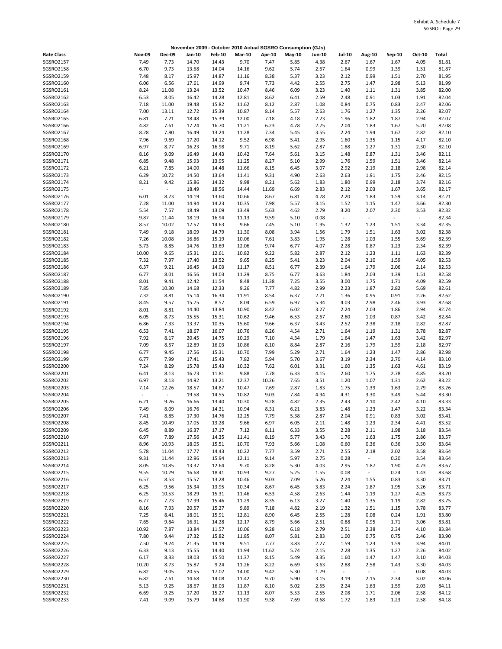|                        |               |                   |                |                |                |               | November 2009 - October 2010 Actual SGSRO Consumption (GJs) |               |                  |                  |                  |                |                |
|------------------------|---------------|-------------------|----------------|----------------|----------------|---------------|-------------------------------------------------------------|---------------|------------------|------------------|------------------|----------------|----------------|
| <b>Rate Class</b>      | <b>Nov-09</b> | <b>Dec-09</b>     | Jan-10         | <b>Feb-10</b>  | <b>Mar-10</b>  | Apr-10        | May-10                                                      | <b>Jun-10</b> | <b>Jul-10</b>    | Aug-10           | Sep-10           | Oct-10         | Total          |
| SGSRO2157              | 7.49          | 7.73              | 14.70          | 14.43          | 9.70           | 7.47          | 5.85                                                        | 4.38          | 2.67             | 1.67             | 1.67             | 4.05           | 81.81          |
| SGSRO2158              | 6.70          | 9.73              | 13.68          | 14.04          | 14.16          | 9.62          | 5.74                                                        | 2.67          | 1.64             | 0.99             | 1.39             | 1.51           | 81.87          |
| SGSRO2159              | 7.48          | 8.17              | 15.97          | 14.87          | 11.16          | 8.38          | 5.37                                                        | 3.23          | 2.12             | 0.99             | 1.51             | 2.70           | 81.95          |
| SGSRO2160              | 6.06          | 6.56              | 17.61          | 14.99          | 9.74           | 7.73          | 4.42                                                        | 2.55          | 2.75             | 1.47             | 2.98             | 5.13           | 81.99          |
| SGSRO2161<br>SGSRO2162 | 8.24<br>6.53  | 11.08<br>8.05     | 13.24<br>16.42 | 13.52<br>14.28 | 10.47<br>12.81 | 8.46<br>8.62  | 6.09<br>6.41                                                | 3.23<br>2.59  | 1.40<br>2.48     | 1.11<br>0.91     | 1.31<br>1.03     | 3.85<br>1.91   | 82.00<br>82.04 |
| SGSRO2163              | 7.18          | 11.00             | 19.48          | 15.82          | 11.62          | 8.12          | 2.87                                                        | 1.08          | 0.84             | 0.75             | 0.83             | 2.47           | 82.06          |
| SGSRO2164              | 7.00          | 13.11             | 12.72          | 15.39          | 10.87          | 8.14          | 5.57                                                        | 2.63          | 1.76             | 1.27             | 1.35             | 2.26           | 82.07          |
| SGSRO2165              | 6.81          | 7.21              | 18.48          | 15.39          | 12.00          | 7.18          | 4.18                                                        | 2.23          | 1.96             | 1.82             | 1.87             | 2.94           | 82.07          |
| SGSRO2166              | 4.82          | 7.61              | 17.24          | 16.70          | 11.21          | 6.23          | 4.78                                                        | 2.75          | 2.04             | 1.83             | 1.67             | 5.20           | 82.08          |
| SGSRO2167              | 8.28          | 7.80              | 16.49          | 13.24          | 11.28          | 7.34          | 5.45                                                        | 3.55          | 2.24             | 1.94             | 1.67             | 2.82           | 82.10          |
| SGSRO2168              | 7.96          | 9.69              | 17.20          | 14.12          | 9.52           | 6.98          | 5.41                                                        | 2.95          | 1.60             | 1.35             | 1.15             | 4.17           | 82.10          |
| SGSRO2169<br>SGSRO2170 | 6.97<br>8.16  | 8.77<br>9.09      | 16.23<br>16.49 | 16.98<br>14.43 | 9.71<br>10.42  | 8.19<br>7.64  | 5.62<br>5.61                                                | 2.87<br>3.15  | 1.88<br>1.48     | 1.27<br>0.87     | 1.31<br>1.31     | 2.30<br>3.46   | 82.10<br>82.11 |
| SGSRO2171              | 6.85          | 9.48              | 15.93          | 13.95          | 11.25          | 8.27          | 5.10                                                        | 2.99          | 1.76             | 1.59             | 1.51             | 3.46           | 82.14          |
| SGSRO2172              | 6.21          | 7.85              | 14.00          | 14.48          | 11.66          | 8.15          | 6.45                                                        | 3.07          | 2.92             | 2.19             | 2.18             | 2.98           | 82.14          |
| SGSRO2173              | 6.29          | 10.72             | 14.50          | 13.64          | 11.41          | 9.31          | 4.90                                                        | 2.63          | 2.63             | 1.91             | 1.75             | 2.46           | 82.15          |
| SGSRO2174              | 8.21          | 9.42              | 15.86          | 14.32          | 9.98           | 8.21          | 5.62                                                        | 1.83          | 1.80             | 0.99             | 2.18             | 3.74           | 82.16          |
| SGSRO2175              | $\sim$        | $\sim$            | 18.49          | 18.56          | 14.44          | 11.69         | 6.69                                                        | 2.83          | 2.12             | 2.03             | 1.67             | 3.65           | 82.17          |
| SGSRO2176              | 6.01          | 8.73              | 14.19          | 13.60          | 10.66          | 8.67          | 6.81                                                        | 4.78          | 2.20             | 1.83             | 1.59             | 3.14           | 82.21          |
| SGSRO2177              | 7.28          | 11.00             | 14.94          | 14.23          | 10.35          | 7.98          | 5.57                                                        | 3.15          | 1.52             | 1.15             | 1.47             | 3.66           | 82.30          |
| SGSRO2178<br>SGSRO2179 | 5.54<br>9.87  | 7.57<br>11.44     | 18.49<br>18.19 | 13.09<br>16.94 | 13.49<br>11.13 | 5.63<br>9.59  | 4.62<br>5.10                                                | 2.79<br>0.08  | 3.20<br>$\omega$ | 2.07<br>$\omega$ | 2.30<br>$\sim$   | 3.53<br>$\sim$ | 82.32<br>82.34 |
| SGSRO2180              | 8.57          | 10.02             | 17.57          | 14.63          | 9.66           | 7.45          | 5.10                                                        | 1.95          | 1.32             | 1.23             | 1.51             | 3.34           | 82.35          |
| SGSRO2181              | 7.49          | 9.18              | 18.09          | 14.79          | 11.30          | 8.08          | 3.94                                                        | 1.56          | 1.79             | 1.51             | 1.63             | 3.02           | 82.38          |
| SGSRO2182              | 7.26          | 10.08             | 16.86          | 15.19          | 10.06          | 7.61          | 3.83                                                        | 1.95          | 1.28             | 1.03             | 1.55             | 5.69           | 82.39          |
| SGSRO2183              | 5.73          | 8.85              | 14.76          | 13.69          | 12.06          | 9.74          | 6.77                                                        | 4.07          | 2.28             | 0.87             | 1.23             | 2.34           | 82.39          |
| SGSRO2184              | 10.00         | 9.65              | 15.31          | 12.61          | 10.82          | 9.22          | 5.82                                                        | 2.87          | 2.12             | 1.23             | 1.11             | 1.63           | 82.39          |
| SGSRO2185              | 7.32          | 7.97              | 17.40          | 13.52          | 9.65           | 8.25          | 5.41                                                        | 3.23          | 2.04             | 2.10             | 1.59             | 4.05           | 82.53          |
| SGSRO2186              | 6.37          | 9.21              | 16.45          | 14.03          | 11.17          | 8.51          | 6.77                                                        | 2.39          | 1.64             | 1.79             | 2.06             | 2.14           | 82.53          |
| SGSRO2187<br>SGSRO2188 | 6.77<br>8.01  | 8.01<br>9.41      | 16.56<br>12.42 | 14.03<br>11.54 | 11.29<br>8.48  | 8.75<br>11.38 | 6.77<br>7.25                                                | 3.63<br>3.55  | 1.84<br>3.00     | 2.03<br>1.75     | 1.39<br>1.71     | 1.51<br>4.09   | 82.58<br>82.59 |
| SGSRO2189              | 7.85          | 10.30             | 14.68          | 12.33          | 9.26           | 7.77          | 4.82                                                        | 2.99          | 2.23             | 1.87             | 2.82             | 5.69           | 82.61          |
| SGSRO2190              | 7.32          | 8.81              | 15.14          | 16.34          | 11.91          | 8.54          | 6.37                                                        | 2.71          | 1.36             | 0.95             | 0.91             | 2.26           | 82.62          |
| SGSRO2191              | 8.45          | 9.57              | 15.75          | 8.57           | 8.04           | 6.59          | 6.97                                                        | 5.34          | 4.03             | 2.98             | 2.46             | 3.93           | 82.68          |
| SGSRO2192              | 8.01          | 8.81              | 14.40          | 13.84          | 10.90          | 8.42          | 6.02                                                        | 3.27          | 2.24             | 2.03             | 1.86             | 2.94           | 82.74          |
| SGSRO2193              | 6.05          | 8.73              | 15.55          | 15.31          | 10.62          | 9.46          | 6.53                                                        | 2.67          | 2.60             | 1.03             | 0.87             | 3.42           | 82.84          |
| SGSRO2194              | 6.86          | 7.33              | 13.37          | 10.35          | 15.60          | 9.66          | 6.37                                                        | 3.43          | 2.52             | 2.38             | 2.18             | 2.82           | 82.87          |
| SGSRO2195              | 6.53          | 7.41              | 18.67          | 16.07          | 10.76          | 8.26          | 4.54                                                        | 2.71          | 1.64             | 1.19             | 1.31             | 3.78           | 82.87          |
| SGSRO2196<br>SGSRO2197 | 7.92<br>7.09  | 8.17<br>8.57      | 20.45<br>12.89 | 14.75<br>16.03 | 10.29<br>10.86 | 7.10<br>8.10  | 4.34<br>8.84                                                | 1.79<br>2.87  | 1.64<br>2.16     | 1.47<br>1.79     | 1.63<br>1.59     | 3.42<br>2.18   | 82.97<br>82.97 |
| SGSRO2198              | 6.77          | 9.45              | 17.56          | 15.31          | 10.70          | 7.99          | 5.29                                                        | 2.71          | 1.64             | 1.23             | 1.47             | 2.86           | 82.98          |
| SGSRO2199              | 6.77          | 7.99              | 17.41          | 15.43          | 7.82           | 5.94          | 5.70                                                        | 3.67          | 3.19             | 2.34             | 2.70             | 4.14           | 83.10          |
| SGSRO2200              | 7.24          | 8.29              | 15.78          | 15.43          | 10.32          | 7.62          | 6.01                                                        | 3.31          | 1.60             | 1.35             | 1.63             | 4.61           | 83.19          |
| SGSRO2201              | 6.41          | 8.13              | 16.73          | 11.81          | 9.88           | 7.78          | 6.33                                                        | 4.15          | 2.60             | 1.75             | 2.78             | 4.85           | 83.20          |
| SGSRO2202              | 6.97          | 8.13              | 14.92          | 13.21          | 12.37          | 10.26         | 7.65                                                        | 3.51          | 1.20             | 1.07             | 1.31             | 2.62           | 83.22          |
| SGSRO2203<br>SGSRO2204 | 7.14          | 12.26<br>$\omega$ | 18.57          | 14.87          | 10.47          | 7.69<br>9.03  | 2.87<br>7.84                                                | 1.83          | 1.75             | 1.39             | 1.63             | 2.79           | 83.26<br>83.30 |
| <b>SGSRO2205</b>       | 6.21          | 9.26              | 19.58<br>16.66 | 14.55<br>13.40 | 10.82<br>10.30 | 9.28          | 4.82                                                        | 4.94<br>2.35  | 4.31<br>2.43     | 3.30<br>2.10     | 3.49<br>2.42     | 5.44<br>4.10   | 83.33          |
| SGSRO2206              | 7.49          | 8.09              | 16.76          | 14.31          | 10.94          | 8.31          | 6.21                                                        | 3.83          | 1.48             | 1.23             | 1.47             | 3.22           | 83.34          |
| SGSRO2207              | 7.41          | 8.85              | 17.30          | 14.76          | 12.25          | 7.79          | 5.38                                                        | 2.87          | 2.04             | 0.91             | 0.83             | 3.02           | 83.41          |
| SGSRO2208              | 8.45          | 10.49             | 17.05          | 13.28          | 9.66           | 6.97          | 6.05                                                        | 2.11          | 1.48             | 1.23             | 2.34             | 4.41           | 83.52          |
| SGSRO2209              | 6.45          | 8.89              | 16.37          | 17.17          | 7.12           | 8.11          | 6.33                                                        | 3.55          | 2.28             | 2.11             | 1.98             | 3.18           | 83.54          |
| SGSRO2210              | 6.97          | 7.89              | 17.56          | 14.35          | 11.41          | 8.19          | 5.77                                                        | 3.43          | 1.76             | 1.63             | 1.75             | 2.86           | 83.57          |
| SGSRO2211              | 8.96          | 10.93             | 18.05          | 15.51          | 10.70          | 7.93          | 5.66                                                        | 1.08          | 0.60             | 0.36             | 0.36             | 3.50           | 83.64          |
| SGSRO2212<br>SGSRO2213 | 5.78<br>9.31  | 11.04<br>11.44    | 17.77<br>12.96 | 14.43<br>15.94 | 10.22<br>12.11 | 7.77<br>9.14  | 3.59<br>5.97                                                | 2.71<br>2.75  | 2.55<br>0.28     | 2.18<br>$\sim$   | 2.02<br>0.20     | 3.58<br>3.54   | 83.64<br>83.64 |
| SGSRO2214              | 8.05          | 10.85             | 13.37          | 12.64          | 9.70           | 8.28          | 5.30                                                        | 4.03          | 2.95             | 1.87             | 1.90             | 4.73           | 83.67          |
| SGSRO2215              | 9.55          | 10.29             | 16.68          | 18.41          | 10.93          | 9.27          | 5.25                                                        | 1.55          | 0.08             | $\omega$         | 0.24             | 1.43           | 83.68          |
| SGSRO2216              | 6.57          | 8.53              | 15.57          | 13.28          | 10.46          | 9.03          | 7.09                                                        | 5.26          | 2.24             | 1.55             | 0.83             | 3.30           | 83.71          |
| SGSRO2217              | 6.25          | 9.56              | 15.34          | 13.95          | 10.34          | 8.67          | 6.45                                                        | 3.83          | 2.24             | 1.87             | 1.95             | 3.26           | 83.71          |
| SGSRO2218              | 6.25          | 10.53             | 18.29          | 15.31          | 11.46          | 6.53          | 4.58                                                        | 2.63          | 1.44             | 1.19             | 1.27             | 4.25           | 83.73          |
| SGSRO2219              | 6.77          | 7.73              | 17.99          | 15.46          | 11.29          | 8.35          | 6.13                                                        | 3.27          | 1.40             | 1.35             | 1.19             | 2.82           | 83.75          |
| SGSRO2220<br>SGSRO2221 | 8.16<br>7.25  | 7.93<br>8.41      | 20.57<br>18.01 | 15.27<br>15.91 | 9.89<br>12.81  | 7.18<br>8.90  | 4.82<br>6.45                                                | 2.19<br>2.55  | 1.32<br>1.28     | 1.51<br>0.08     | 1.15<br>0.24     | 3.78<br>1.91   | 83.77<br>83.80 |
| SGSRO2222              | 7.65          | 9.84              | 16.31          | 14.28          | 12.17          | 8.79          | 5.66                                                        | 2.51          | 0.88             | 0.95             | 1.71             | 3.06           | 83.81          |
| SGSRO2223              | 10.92         | 7.87              | 13.84          | 11.57          | 10.06          | 9.28          | 6.18                                                        | 2.79          | 2.51             | 2.38             | 2.34             | 4.10           | 83.84          |
| SGSRO2224              | 7.80          | 9.44              | 17.32          | 15.82          | 11.85          | 8.07          | 5.81                                                        | 2.83          | 1.00             | 0.75             | 0.75             | 2.46           | 83.90          |
| SGSRO2225              | 7.50          | 9.24              | 21.35          | 14.19          | 9.51           | 7.77          | 3.83                                                        | 2.27          | 1.59             | 1.23             | 1.59             | 3.94           | 84.01          |
| SGSRO2226              | 6.33          | 9.13              | 15.55          | 14.40          | 11.94          | 11.62         | 5.74                                                        | 2.15          | 2.28             | 1.35             | 1.27             | 2.26           | 84.02          |
| SGSRO2227              | 6.17          | 8.33              | 18.03          | 15.50          | 11.37          | 8.15          | 5.49                                                        | 3.35          | 1.60             | 1.47             | 1.47             | 3.10           | 84.03          |
| SGSRO2228<br>SGSRO2229 | 10.20<br>6.82 | 8.73<br>9.05      | 15.87          | 9.24           | 11.26<br>14.00 | 8.22          | 6.69                                                        | 3.63<br>1.79  | 2.88<br>$\omega$ | 2.58<br>$\omega$ | 1.43<br>$\omega$ | 3.30<br>0.08   | 84.03<br>84.03 |
| SGSRO2230              | 6.82          | 7.61              | 20.55<br>14.68 | 17.02<br>14.08 | 11.42          | 9.42<br>9.70  | 5.30<br>5.90                                                | 3.15          | 3.19             | 2.15             | 2.34             | 3.02           | 84.06          |
| SGSRO2231              | 5.13          | 9.25              | 18.67          | 16.03          | 11.87          | 8.10          | 5.02                                                        | 2.55          | 2.24             | 1.63             | 1.59             | 2.03           | 84.11          |
| SGSRO2232              | 6.69          | 9.25              | 17.20          | 15.27          | 11.13          | 8.07          | 5.53                                                        | 2.55          | 2.08             | 1.71             | 2.06             | 2.58           | 84.12          |
| SGSRO2233              | 7.41          | 9.09              | 15.79          | 14.88          | 11.90          | 9.38          | 7.69                                                        | 0.68          | 1.72             | 1.83             | 1.23             | 2.58           | 84.18          |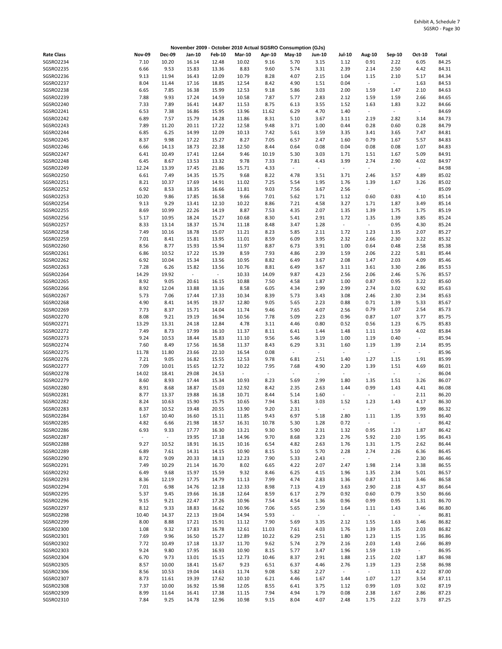|                               |               |                |                |                          |                             |                          | November 2009 - October 2010 Actual SGSRO Consumption (GJs) |                          |                                  |                        |                  |                          |                |
|-------------------------------|---------------|----------------|----------------|--------------------------|-----------------------------|--------------------------|-------------------------------------------------------------|--------------------------|----------------------------------|------------------------|------------------|--------------------------|----------------|
| <b>Rate Class</b>             | <b>Nov-09</b> | <b>Dec-09</b>  | Jan-10         | <b>Feb-10</b>            | <b>Mar-10</b>               | Apr-10                   | May-10                                                      | <b>Jun-10</b>            | <b>Jul-10</b>                    | Aug-10                 | Sep-10           | Oct-10                   | Total          |
| SGSRO2234                     | 7.10          | 10.20          | 16.14          | 12.48                    | 10.02                       | 9.16                     | 5.70                                                        | 3.15                     | 1.12                             | 0.91                   | 2.22             | 6.05                     | 84.25          |
| SGSRO2235                     | 6.66          | 9.53           | 15.83          | 13.36                    | 8.83                        | 9.60                     | 5.74                                                        | 3.31                     | 2.39                             | 2.14                   | 2.50             | 4.42                     | 84.31          |
| SGSRO2236                     | 9.13          | 11.94          | 16.43          | 12.09                    | 10.79                       | 8.28                     | 4.07                                                        | 2.15                     | 1.04                             | 1.15                   | 2.10             | 5.17                     | 84.34          |
| SGSRO2237                     | 8.04          | 11.44          | 17.16          | 18.85                    | 12.54                       | 8.42                     | 4.90                                                        | 1.51                     | 0.04                             | $\blacksquare$         | $\omega_{\rm c}$ | 1.63                     | 84.53          |
| SGSRO2238<br>SGSRO2239        | 6.65          | 7.85           | 16.38          | 15.99                    | 12.53                       | 9.18                     | 5.86                                                        | 3.03                     | 2.00                             | 1.59                   | 1.47             | 2.10                     | 84.63          |
| SGSRO2240                     | 7.88<br>7.33  | 9.93<br>7.89   | 17.24<br>16.41 | 14.59<br>14.87           | 10.58<br>11.53              | 7.87<br>8.75             | 5.77<br>6.13                                                | 2.83<br>3.55             | 2.12<br>1.52                     | 1.59<br>1.63           | 1.59<br>1.83     | 2.66<br>3.22             | 84.65<br>84.66 |
| SGSRO2241                     | 6.53          | 7.38           | 16.86          | 15.95                    | 13.96                       | 11.62                    | 6.29                                                        | 4.70                     | 1.40                             | $\omega$               | $\sim$           | $\sim$                   | 84.69          |
| SGSRO2242                     | 6.89          | 7.57           | 15.79          | 14.28                    | 11.86                       | 8.31                     | 5.10                                                        | 3.67                     | 3.11                             | 2.19                   | 2.82             | 3.14                     | 84.73          |
| SGSRO2243                     | 7.89          | 11.20          | 20.11          | 17.22                    | 12.58                       | 9.48                     | 3.71                                                        | 1.00                     | 0.44                             | 0.28                   | 0.60             | 0.28                     | 84.79          |
| SGSRO2244                     | 6.85          | 6.25           | 14.99          | 12.09                    | 10.13                       | 7.42                     | 5.61                                                        | 3.59                     | 3.35                             | 3.41                   | 3.65             | 7.47                     | 84.81          |
| SGSRO2245                     | 8.37          | 9.98           | 17.22          | 15.27                    | 8.27                        | 7.05                     | 6.57                                                        | 2.47                     | 1.60                             | 0.79                   | 1.67             | 5.57                     | 84.83          |
| SGSRO2246                     | 6.66          | 14.13          | 18.73          | 22.38                    | 12.50                       | 8.44                     | 0.64                                                        | 0.08                     | 0.04                             | 0.08                   | 0.08             | 1.07                     | 84.83          |
| SGSRO2247<br>SGSRO2248        | 6.41<br>6.45  | 10.49<br>8.67  | 17.41<br>13.53 | 12.64<br>13.32           | 9.46<br>9.78                | 10.19<br>7.33            | 5.30<br>7.81                                                | 3.03<br>4.43             | 1.71<br>3.99                     | 1.51<br>2.74           | 1.67<br>2.90     | 5.09<br>4.02             | 84.91<br>84.97 |
| SGSRO2249                     | 12.24         | 13.39          | 17.45          | 21.86                    | 15.71                       | 4.33                     | $\omega$                                                    | $\omega$                 | $\omega$                         | $\omega$               | $\omega$         | $\omega$                 | 84.98          |
| SGSRO2250                     | 6.61          | 7.49           | 14.35          | 15.75                    | 9.68                        | 8.22                     | 4.78                                                        | 3.51                     | 3.71                             | 2.46                   | 3.57             | 4.89                     | 85.02          |
| SGSRO2251                     | 8.21          | 10.37          | 17.69          | 14.91                    | 11.02                       | 7.25                     | 5.54                                                        | 1.95                     | 1.76                             | 1.39                   | 1.67             | 3.26                     | 85.02          |
| SGSRO2252                     | 6.92          | 8.53           | 18.35          | 16.66                    | 11.81                       | 9.03                     | 7.56                                                        | 3.67                     | 2.56                             | $\sim$                 | $\sim$           | $\sim$                   | 85.09          |
| SGSRO2253                     | 10.20         | 9.86           | 17.85          | 16.58                    | 9.66                        | 7.01                     | 5.62                                                        | 1.71                     | 1.12                             | 0.60                   | 0.83             | 4.10                     | 85.14          |
| SGSRO2254                     | 9.13          | 9.29           | 13.41          | 12.10                    | 10.22                       | 8.86                     | 7.21                                                        | 4.58                     | 3.27                             | 1.71                   | 1.87             | 3.49                     | 85.14          |
| SGSRO2255                     | 8.69          | 10.99          | 22.26          | 14.19                    | 8.87                        | 7.53                     | 4.35                                                        | 2.07                     | 1.35                             | 1.39                   | 1.75             | 1.75                     | 85.19          |
| SGSRO2256<br><b>SGSRO2257</b> | 5.17<br>8.33  | 10.95<br>13.14 | 18.24<br>18.37 | 15.27<br>15.74           | 10.68<br>11.18              | 8.30<br>8.48             | 5.41<br>3.47                                                | 2.91<br>1.28             | 1.72<br>$\sim$                   | 1.35<br>$\omega$       | 1.39<br>0.95     | 3.85<br>4.30             | 85.24<br>85.24 |
| SGSRO2258                     | 7.49          | 10.16          | 18.78          | 15.07                    | 11.21                       | 8.23                     | 5.85                                                        | 2.11                     | 1.72                             | 1.23                   | 1.35             | 2.07                     | 85.27          |
| SGSRO2259                     | 7.01          | 8.41           | 15.81          | 13.95                    | 11.01                       | 8.59                     | 6.09                                                        | 3.95                     | 2.32                             | 2.66                   | 2.30             | 3.22                     | 85.32          |
| SGSRO2260                     | 8.56          | 8.77           | 15.93          | 15.94                    | 11.97                       | 8.87                     | 6.73                                                        | 3.91                     | 1.00                             | 0.64                   | 0.48             | 2.58                     | 85.38          |
| SGSRO2261                     | 6.86          | 10.52          | 17.22          | 15.39                    | 8.59                        | 7.93                     | 4.86                                                        | 2.39                     | 1.59                             | 2.06                   | 2.22             | 5.81                     | 85.44          |
| SGSRO2262                     | 6.92          | 10.04          | 15.34          | 13.56                    | 10.95                       | 8.82                     | 6.49                                                        | 3.67                     | 2.08                             | 1.47                   | 2.03             | 4.09                     | 85.46          |
| SGSRO2263                     | 7.28          | 6.26           | 15.82          | 13.56                    | 10.76                       | 8.81                     | 6.49                                                        | 3.67                     | 3.11                             | 3.61                   | 3.30             | 2.86                     | 85.53          |
| SGSRO2264                     | 14.29         | 19.92          | $\omega$       | $\overline{\phantom{a}}$ | 10.33                       | 14.09                    | 9.87                                                        | 4.23                     | 2.56                             | 2.06                   | 2.46             | 5.76                     | 85.57          |
| SGSRO2265<br>SGSRO2266        | 8.92<br>8.92  | 9.05<br>12.04  | 20.61<br>13.88 | 16.15<br>13.16           | 10.88<br>8.58               | 7.50<br>6.05             | 4.58<br>4.34                                                | 1.87<br>2.99             | 1.00<br>2.99                     | 0.87<br>2.74           | 0.95<br>3.02     | 3.22<br>6.92             | 85.60<br>85.63 |
| SGSRO2267                     | 5.73          | 7.06           | 17.44          | 17.33                    | 10.34                       | 8.39                     | 5.73                                                        | 3.43                     | 3.08                             | 2.46                   | 2.30             | 2.34                     | 85.63          |
| SGSRO2268                     | 4.90          | 8.41           | 14.95          | 19.37                    | 12.80                       | 9.05                     | 5.65                                                        | 2.23                     | 0.88                             | 0.71                   | 1.39             | 5.33                     | 85.67          |
| SGSRO2269                     | 7.73          | 8.37           | 15.71          | 14.04                    | 11.74                       | 9.46                     | 7.65                                                        | 4.07                     | 2.56                             | 0.79                   | 1.07             | 2.54                     | 85.73          |
| SGSRO2270                     | 8.08          | 9.21           | 19.19          | 16.94                    | 10.56                       | 7.78                     | 5.09                                                        | 2.23                     | 0.96                             | 0.87                   | 1.07             | 3.77                     | 85.75          |
| SGSRO2271                     | 13.29         | 13.31          | 24.18          | 12.84                    | 4.78                        | 3.11                     | 4.46                                                        | 0.80                     | 0.52                             | 0.56                   | 1.23             | 6.75                     | 85.83          |
| SGSRO2272                     | 7.49          | 8.73           | 17.99          | 16.10                    | 11.37                       | 8.11                     | 6.41                                                        | 1.44                     | 1.48                             | 1.11                   | 1.59             | 4.02                     | 85.84          |
| SGSRO2273<br>SGSRO2274        | 9.24          | 10.53<br>8.49  | 18.44          | 15.83                    | 11.10                       | 9.56                     | 5.46                                                        | 3.19                     | 1.00                             | 1.19                   | 0.40             | $\sim$                   | 85.94<br>85.95 |
| SGSRO2275                     | 7.60<br>11.78 | 11.80          | 17.56<br>23.66 | 16.58<br>22.10           | 11.37<br>16.54              | 8.43<br>0.08             | 6.29<br>$\omega$                                            | 3.31<br>$\sim$           | 1.60<br>$\sim$                   | 1.19<br>$\blacksquare$ | 1.39<br>$\sim$   | 2.14<br>$\sim$           | 85.96          |
| SGSRO2276                     | 7.21          | 9.05           | 16.82          | 15.55                    | 12.53                       | 9.78                     | 6.81                                                        | 2.51                     | 1.40                             | 1.27                   | 1.15             | 1.91                     | 85.99          |
| SGSRO2277                     | 7.09          | 10.01          | 15.65          | 12.72                    | 10.22                       | 7.95                     | 7.68                                                        | 4.90                     | 2.20                             | 1.39                   | 1.51             | 4.69                     | 86.01          |
| SGSRO2278                     | 14.02         | 18.41          | 29.08          | 24.53                    | $\mathcal{L}_{\mathcal{A}}$ | $\overline{\phantom{a}}$ | $\overline{a}$                                              | $\overline{\phantom{a}}$ | $\blacksquare$                   | $\blacksquare$         | $\omega_{\rm c}$ | $\sim$                   | 86.04          |
| SGSRO2279                     | 8.60          | 8.93           | 17.44          | 15.34                    | 10.93                       | 8.23                     | 5.69                                                        | 2.99                     | 1.80                             | 1.35                   | 1.51             | 3.26                     | 86.07          |
| SGSRO2280                     | 8.91          | 8.68           | 18.87          | 15.03                    | 12.92                       | 8.42                     | 2.35                                                        | 2.63                     | 1.44                             | 0.99                   | 1.43             | 4.41                     | 86.08          |
| SGSRO2281<br><b>SGSRO2282</b> | 8.77<br>8.24  | 13.37<br>10.63 | 19.88<br>15.90 | 16.18<br>15.75           | 10.71<br>10.65              | 8.44<br>7.94             | 5.14<br>5.81                                                | 1.60<br>3.03             | $\overline{\phantom{a}}$<br>1.52 | ÷,<br>1.23             | $\Box$<br>1.43   | 2.11<br>4.17             | 86.20<br>86.30 |
| SGSRO2283                     | 8.37          | 10.52          | 19.48          | 20.55                    | 13.90                       | 9.20                     | 2.31                                                        |                          |                                  |                        |                  | 1.99                     | 86.32          |
| SGSRO2284                     | 1.67          | 10.40          | 16.60          | 15.11                    | 11.85                       | 9.43                     | 6.97                                                        | 5.18                     | 2.80                             | 1.11                   | 1.35             | 3.93                     | 86.40          |
| SGSRO2285                     | 4.82          | 6.66           | 21.98          | 18.57                    | 16.31                       | 10.78                    | 5.30                                                        | 1.28                     | 0.72                             | $\sim$                 | $\omega$         | $\omega$                 | 86.42          |
| SGSRO2286                     | 6.93          | 9.33           | 17.77          | 16.30                    | 13.21                       | 9.30                     | 5.90                                                        | 2.31                     | 1.32                             | 0.95                   | 1.23             | 1.87                     | 86.42          |
| SGSRO2287                     | $\sim$        | $\sim$         | 19.95          | 17.18                    | 14.96                       | 9.70                     | 8.68                                                        | 3.23                     | 2.76                             | 5.92                   | 2.10             | 1.95                     | 86.43          |
| SGSRO2288                     | 9.27          | 10.52          | 18.91          | 16.15                    | 10.16                       | 6.54                     | 4.82                                                        | 2.63                     | 1.76                             | 1.31                   | 1.75             | 2.62                     | 86.44          |
| SGSRO2289<br>SGSRO2290        | 6.89          | 7.61           | 14.31          | 14.15                    | 10.90                       | 8.15                     | 5.10                                                        | 5.70                     | 2.28                             | 2.74                   | 2.26             | 6.36                     | 86.45          |
| SGSRO2291                     | 8.72<br>7.49  | 9.09<br>10.29  | 20.33<br>21.14 | 18.13<br>16.70           | 12.23<br>8.02               | 7.90<br>6.65             | 5.33<br>4.22                                                | 2.43<br>2.07             | ÷,<br>2.47                       | $\blacksquare$<br>1.98 | $\sim$<br>2.14   | 2.30<br>3.38             | 86.46<br>86.55 |
| SGSRO2292                     | 6.49          | 9.68           | 15.97          | 15.59                    | 9.32                        | 8.46                     | 6.25                                                        | 4.15                     | 1.96                             | 1.35                   | 2.34             | 5.01                     | 86.57          |
| SGSRO2293                     | 8.36          | 12.19          | 17.75          | 14.79                    | 11.13                       | 7.99                     | 4.74                                                        | 2.83                     | 1.36                             | 0.87                   | 1.11             | 3.46                     | 86.58          |
| SGSRO2294                     | 7.01          | 6.98           | 14.76          | 12.18                    | 12.33                       | 8.98                     | 7.13                                                        | 4.19                     | 3.63                             | 2.90                   | 2.18             | 4.37                     | 86.64          |
| SGSRO2295                     | 5.37          | 9.45           | 19.66          | 16.18                    | 12.64                       | 8.59                     | 6.17                                                        | 2.79                     | 0.92                             | 0.60                   | 0.79             | 3.50                     | 86.66          |
| SGSRO2296                     | 9.15          | 9.21           | 22.47          | 17.26                    | 10.96                       | 7.54                     | 4.54                                                        | 1.36                     | 0.96                             | 0.99                   | 0.95             | 1.31                     | 86.70          |
| SGSRO2297                     | 8.12          | 9.33           | 18.83          | 16.62                    | 10.96                       | 7.06                     | 5.65                                                        | 2.59                     | 1.64                             | 1.11                   | 1.43             | 3.46                     | 86.80          |
| SGSRO2298<br>SGSRO2299        | 10.40<br>8.00 | 14.37<br>8.88  | 22.13<br>17.21 | 19.04                    | 14.94<br>11.12              | 5.93<br>7.90             | $\sim$                                                      | $\omega_{\rm c}$<br>3.35 | $\sim$<br>2.12                   | $\blacksquare$         | $\omega_{\rm c}$ | $\omega_{\rm c}$<br>3.46 | 86.81<br>86.82 |
| SGSRO2300                     | 1.08          | 9.32           | 17.83          | 15.91<br>16.78           | 12.61                       | 11.03                    | 5.69<br>7.61                                                | 4.03                     | 1.76                             | 1.55<br>1.39           | 1.63<br>1.35     | 2.03                     | 86.82          |
| SGSRO2301                     | 7.69          | 9.96           | 16.50          | 15.27                    | 12.89                       | 10.22                    | 6.29                                                        | 2.51                     | 1.80                             | 1.23                   | 1.15             | 1.35                     | 86.86          |
| SGSRO2302                     | 7.72          | 10.49          | 17.18          | 13.37                    | 11.70                       | 9.62                     | 5.74                                                        | 2.79                     | 2.16                             | 2.03                   | 1.43             | 2.66                     | 86.89          |
| SGSRO2303                     | 9.24          | 9.80           | 17.95          | 16.93                    | 10.90                       | 8.15                     | 5.77                                                        | 3.47                     | 1.96                             | 1.59                   | 1.19             | $\sim$                   | 86.95          |
| SGSRO2304                     | 6.70          | 9.73           | 13.01          | 15.15                    | 12.73                       | 10.46                    | 8.37                                                        | 2.91                     | 1.88                             | 2.15                   | 2.02             | 1.87                     | 86.98          |
| SGSRO2305                     | 8.57          | 10.00          | 18.41          | 15.67                    | 9.23                        | 6.51                     | 6.37                                                        | 4.46                     | 2.76                             | 1.19                   | 1.23             | 2.58                     | 86.98          |
| SGSRO2306                     | 8.56          | 10.53          | 19.04          | 14.63                    | 11.74                       | 9.08                     | 5.82                                                        | 2.27                     | $\sim$                           | $\sim$                 | 1.11             | 4.22                     | 87.00          |
| SGSRO2307<br>SGSRO2308        | 8.73<br>7.37  | 11.61<br>10.00 | 19.39<br>16.92 | 17.62<br>15.98           | 10.10<br>12.05              | 6.21<br>8.55             | 4.46<br>6.41                                                | 1.67<br>3.75             | 1.44<br>1.12                     | 1.07<br>0.99           | 1.27<br>1.03     | 3.54<br>3.02             | 87.11<br>87.19 |
| SGSRO2309                     | 8.99          | 11.64          | 16.41          | 17.38                    | 11.15                       | 7.94                     | 4.94                                                        | 1.79                     | 0.08                             | 2.38                   | 1.67             | 2.86                     | 87.23          |
| SGSRO2310                     | 7.84          | 9.25           | 14.78          | 12.96                    | 10.98                       | 9.15                     | 8.04                                                        | 4.07                     | 2.48                             | 1.75                   | 2.22             | 3.73                     | 87.25          |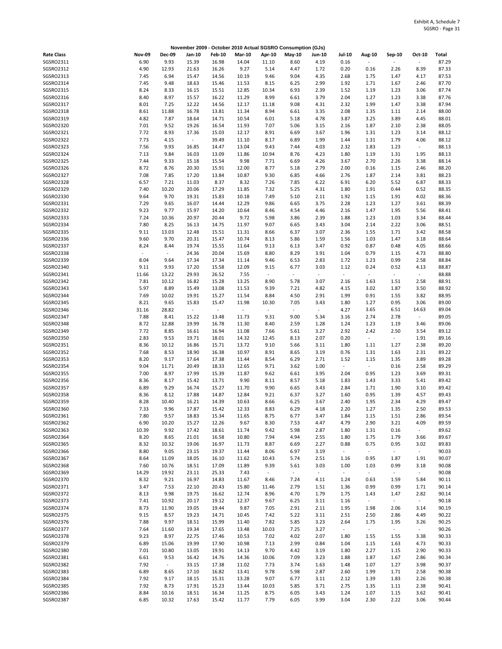|                        |                |                                 | November 2009 - October 2010 Actual SGSRO Consumption (GJs) |                          |                |                                  |                          |                  |                                  |                                  |                  |                  |                |
|------------------------|----------------|---------------------------------|-------------------------------------------------------------|--------------------------|----------------|----------------------------------|--------------------------|------------------|----------------------------------|----------------------------------|------------------|------------------|----------------|
| <b>Rate Class</b>      | <b>Nov-09</b>  | <b>Dec-09</b>                   | Jan-10                                                      | <b>Feb-10</b>            | <b>Mar-10</b>  | Apr-10                           | May-10                   | <b>Jun-10</b>    | Jul-10                           | Aug-10                           | Sep-10           | Oct-10           | Total          |
| SGSRO2311              | 6.90           | 9.93                            | 15.39                                                       | 16.98                    | 14.04          | 11.10                            | 8.60                     | 4.19             | 0.16                             |                                  |                  | $\blacksquare$   | 87.29          |
| SGSRO2312              | 4.90           | 12.93                           | 21.63                                                       | 16.26                    | 9.27           | 5.14                             | 4.47                     | 1.72             | 0.20                             | 0.16                             | 2.26             | 8.39             | 87.33          |
| SGSRO2313              | 7.45           | 6.94                            | 15.47                                                       | 14.56                    | 10.19          | 9.46                             | 9.04                     | 4.35             | 2.68                             | 1.75                             | 1.47             | 4.17             | 87.53          |
| SGSRO2314              | 7.45           | 9.48                            | 18.63                                                       | 15.46                    | 11.53          | 8.15                             | 6.25                     | 2.99             | 1.92                             | 1.71                             | 1.67             | 2.46             | 87.70          |
| SGSRO2315<br>SGSRO2316 | 8.24           | 8.33<br>8.97                    | 16.15                                                       | 15.51                    | 12.85          | 10.34<br>8.99                    | 6.93                     | 2.39             | 1.52                             | 1.19                             | 1.23             | 3.06             | 87.74<br>87.76 |
| SGSRO2317              | 8.40<br>8.01   | 7.25                            | 15.57<br>12.22                                              | 16.22<br>14.56           | 11.29<br>12.17 | 11.18                            | 6.61<br>9.08             | 3.79<br>4.31     | 2.04<br>2.32                     | 1.27<br>1.99                     | 1.23<br>1.47     | 3.38<br>3.38     | 87.94          |
| SGSRO2318              | 8.61           | 11.88                           | 16.78                                                       | 13.81                    | 11.34          | 8.94                             | 6.61                     | 3.35             | 2.08                             | 1.35                             | 1.11             | 2.14             | 88.00          |
| SGSRO2319              | 4.82           | 7.87                            | 18.64                                                       | 14.71                    | 10.54          | 6.01                             | 5.18                     | 4.78             | 3.87                             | 3.25                             | 3.89             | 4.45             | 88.01          |
| SGSRO2320              | 7.01           | 9.52                            | 19.26                                                       | 16.54                    | 11.93          | 7.07                             | 5.06                     | 3.15             | 2.16                             | 1.87                             | 2.10             | 2.38             | 88.05          |
| SGSRO2321              | 7.72           | 8.93                            | 17.36                                                       | 15.03                    | 12.17          | 8.91                             | 6.69                     | 3.67             | 1.96                             | 1.31                             | 1.23             | 3.14             | 88.12          |
| SGSRO2322              | 7.73           | 4.15                            | $\blacksquare$                                              | 39.49                    | 11.10          | 8.17                             | 6.89                     | 1.99             | 1.44                             | 1.31                             | 1.79             | 4.06             | 88.12          |
| SGSRO2323              | 7.56           | 9.93                            | 16.85                                                       | 14.47                    | 13.04          | 9.43                             | 7.44                     | 4.03             | 2.32                             | 1.83                             | 1.23             | $\sim$           | 88.13          |
| SGSRO2324              | 7.13           | 9.84                            | 16.03                                                       | 13.09                    | 11.86          | 10.94                            | 8.76                     | 4.23             | 1.80                             | 1.19                             | 1.31             | 1.95             | 88.13          |
| SGSRO2325              | 7.44           | 9.33                            | 15.18                                                       | 15.54                    | 9.98           | 7.71                             | 6.69                     | 4.26             | 3.67                             | 2.70                             | 2.26             | 3.38             | 88.14          |
| SGSRO2326              | 8.72           | 8.76                            | 20.30                                                       | 15.91                    | 12.00          | 8.77                             | 5.18                     | 2.79             | 2.00                             | 0.16                             | 1.15             | 2.46             | 88.20          |
| SGSRO2327              | 7.08           | 7.85                            | 17.20                                                       | 13.84                    | 10.87          | 9.30                             | 6.85                     | 4.66             | 2.76                             | 1.87                             | 2.14             | 3.81             | 88.23          |
| SGSRO2328<br>SGSRO2329 | 6.57<br>7.40   | 7.21<br>10.20                   | 11.03<br>20.06                                              | 8.37<br>17.29            | 8.32<br>11.85  | 7.26<br>7.32                     | 7.85<br>5.25             | 6.22<br>4.31     | 6.91<br>1.80                     | 6.20<br>1.91                     | 5.52<br>0.44     | 6.87<br>0.52     | 88.33<br>88.35 |
| SGSRO2330              | 9.64           | 9.70                            | 19.31                                                       | 15.83                    | 10.18          | 7.49                             | 5.10                     | 2.11             | 1.92                             | 1.15                             | 1.91             | 4.02             | 88.36          |
| SGSRO2331              | 7.29           | 9.65                            | 16.07                                                       | 14.44                    | 12.29          | 9.86                             | 6.65                     | 3.75             | 2.28                             | 1.23                             | 1.27             | 3.61             | 88.39          |
| SGSRO2332              | 9.23           | 9.77                            | 15.97                                                       | 14.20                    | 10.64          | 8.46                             | 4.54                     | 4.46             | 2.16                             | 1.47                             | 1.95             | 5.56             | 88.41          |
| SGSRO2333              | 7.24           | 10.36                           | 20.97                                                       | 20.44                    | 9.72           | 5.98                             | 3.86                     | 2.39             | 1.88                             | 1.23                             | 1.03             | 3.34             | 88.44          |
| SGSRO2334              | 7.80           | 8.25                            | 16.13                                                       | 14.75                    | 11.97          | 9.07                             | 6.65                     | 3.43             | 3.04                             | 2.14                             | 2.22             | 3.06             | 88.51          |
| SGSRO2335              | 9.11           | 13.03                           | 12.48                                                       | 15.51                    | 11.31          | 8.66                             | 6.37                     | 3.07             | 2.36                             | 1.55                             | 1.71             | 3.42             | 88.58          |
| SGSRO2336              | 9.60           | 9.70                            | 20.31                                                       | 15.47                    | 10.74          | 8.13                             | 5.86                     | 1.59             | 1.56                             | 1.03                             | 1.47             | 3.18             | 88.64          |
| SGSRO2337              | 8.24           | 8.44                            | 19.74                                                       | 15.55                    | 11.64          | 9.13                             | 6.13                     | 3.47             | 0.92                             | 0.87                             | 0.48             | 4.05             | 88.66          |
| SGSRO2338              | $\overline{a}$ | $\centering \label{eq:reduced}$ | 24.36                                                       | 20.04                    | 15.69          | 8.80                             | 8.29                     | 3.91             | 1.04                             | 0.79                             | 1.15             | 4.73             | 88.80          |
| SGSRO2339              | 8.04           | 9.64                            | 17.34                                                       | 17.34                    | 11.14          | 9.46                             | 6.53                     | 2.83             | 1.72                             | 1.23                             | 0.99             | 2.58             | 88.84          |
| SGSRO2340              | 9.11           | 9.93                            | 17.20                                                       | 15.58                    | 12.09          | 9.15                             | 6.77                     | 3.03             | 1.12                             | 0.24                             | 0.52             | 4.13             | 88.87          |
| SGSRO2341<br>SGSRO2342 | 11.66<br>7.81  | 13.22<br>10.12                  | 29.93<br>16.82                                              | 26.52<br>15.28           | 7.55<br>13.25  | $\overline{\phantom{a}}$<br>8.90 | $\omega$<br>5.78         | $\omega$<br>3.07 | $\overline{\phantom{a}}$<br>2.16 | $\bar{z}$<br>1.63                | $\sim$<br>1.51   | $\sim$<br>2.58   | 88.88<br>88.91 |
| SGSRO2343              | 5.97           | 8.89                            | 15.49                                                       | 13.08                    | 11.53          | 9.39                             | 7.21                     | 4.82             | 4.15                             | 3.02                             | 1.87             | 3.50             | 88.92          |
| SGSRO2344              | 7.69           | 10.02                           | 19.91                                                       | 15.27                    | 11.54          | 8.84                             | 4.50                     | 2.91             | 1.99                             | 0.91                             | 1.55             | 3.82             | 88.95          |
| SGSRO2345              | 8.21           | 9.65                            | 15.83                                                       | 15.47                    | 11.98          | 10.30                            | 7.05                     | 3.43             | 1.80                             | 1.27                             | 0.95             | 3.06             | 89.00          |
| SGSRO2346              | 31.16          | 28.82                           | $\sim$                                                      | $\overline{\phantom{a}}$ | $\sim$         | $\blacksquare$                   | $\overline{\phantom{a}}$ | $\omega$         | 4.27                             | 3.65                             | 6.51             | 14.63            | 89.04          |
| SGSRO2347              | 7.88           | 8.41                            | 15.22                                                       | 13.48                    | 11.73          | 9.31                             | 9.00                     | 5.34             | 3.16                             | 2.74                             | 2.78             | $\omega$         | 89.05          |
| SGSRO2348              | 8.72           | 12.88                           | 19.99                                                       | 16.78                    | 11.30          | 8.40                             | 2.59                     | 1.28             | 1.24                             | 1.23                             | 1.19             | 3.46             | 89.06          |
| SGSRO2349              | 7.72           | 8.85                            | 16.61                                                       | 16.94                    | 11.08          | 7.66                             | 5.61                     | 3.27             | 2.92                             | 2.42                             | 2.50             | 3.54             | 89.12          |
| SGSRO2350              | 2.83           | 9.53                            | 19.71                                                       | 18.01                    | 14.32          | 12.45                            | 8.13                     | 2.07             | 0.20                             | $\overline{\phantom{a}}$         | $\sim$           | 1.91             | 89.16          |
| SGSRO2351              | 8.36           | 10.12                           | 16.86                                                       | 15.71                    | 13.72          | 9.10                             | 5.66                     | 3.11             | 1.80                             | 1.11                             | 1.27             | 2.38             | 89.20          |
| SGSRO2352              | 7.68           | 8.53                            | 18.90                                                       | 16.38                    | 10.97          | 8.91                             | 8.65                     | 3.19             | 0.76                             | 1.31                             | 1.63             | 2.31             | 89.22          |
| SGSRO2353              | 8.20           | 9.17                            | 17.64                                                       | 17.38                    | 11.44          | 8.54                             | 6.29                     | 2.71             | 1.52                             | 1.15<br>$\overline{\phantom{a}}$ | 1.35             | 3.89             | 89.28          |
| SGSRO2354<br>SGSRO2355 | 9.04<br>7.00   | 11.71<br>8.97                   | 20.49<br>17.99                                              | 18.33<br>15.39           | 12.65<br>11.87 | 9.71<br>9.62                     | 3.62<br>6.61             | 1.00<br>3.95     | $\overline{\phantom{a}}$<br>2.04 | 0.95                             | 0.16<br>1.23     | 2.58<br>3.69     | 89.29<br>89.31 |
| SGSRO2356              | 8.36           | 8.17                            | 15.42                                                       | 13.71                    | 9.90           | 8.11                             | 8.57                     | 5.18             | 1.83                             | 1.43                             | 3.33             | 5.41             | 89.42          |
| SGSRO2357              | 6.89           | 9.29                            | 16.74                                                       | 15.27                    | 11.70          | 9.90                             | 6.65                     | 3.43             | 2.84                             | 1.71                             | 1.90             | 3.10             | 89.42          |
| SGSRO2358              | 8.36           | 8.12                            | 17.88                                                       | 14.87                    | 12.84          | 9.21                             | 6.37                     | 3.27             | 1.60                             | 0.95                             | 1.39             | 4.57             | 89.43          |
| SGSRO2359              | 8.28           | 10.40                           | 16.21                                                       | 14.39                    | 10.63          | 8.66                             | 6.25                     | 3.67             | 2.40                             | 1.95                             | 2.34             | 4.29             | 89.47          |
| SGSRO2360              | 7.33           | 9.96                            | 17.87                                                       | 15.42                    | 12.33          | 8.83                             | 6.29                     | 4.18             | 2.20                             | 1.27                             | 1.35             | 2.50             | 89.53          |
| SGSRO2361              | 7.80           | 9.57                            | 18.83                                                       | 15.34                    | 11.65          | 8.75                             | 6.77                     | 3.47             | 1.84                             | 1.15                             | 1.51             | 2.86             | 89.54          |
| SGSRO2362              | 6.90           | 10.20                           | 15.27                                                       | 12.26                    | 9.67           | 8.30                             | 7.53                     | 4.47             | 4.79                             | 2.90                             | 3.21             | 4.09             | 89.59          |
| SGSRO2363              | 10.39          | 9.92                            | 17.42                                                       | 18.61                    | 11.74          | 9.42                             | 5.98                     | 2.87             | 1.80                             | 1.31                             | 0.16             | $\omega_{\rm c}$ | 89.62          |
| SGSRO2364              | 8.20           | 8.65                            | 21.01                                                       | 16.58                    | 10.80          | 7.94                             | 4.94                     | 2.55             | 1.80                             | 1.75                             | 1.79             | 3.66             | 89.67          |
| SGSRO2365              | 8.32           | 10.32                           | 19.06                                                       | 16.97                    | 11.73          | 8.87                             | 6.69                     | 2.27             | 0.88                             | 0.75                             | 0.95             | 3.02             | 89.83          |
| SGSRO2366              | 8.80           | 9.05                            | 23.15                                                       | 19.37                    | 11.44          | 8.06                             | 6.97                     | 3.19             | $\sim$                           | $\overline{\phantom{a}}$         | $\omega_{\rm c}$ | $\sim$           | 90.03          |
| SGSRO2367<br>SGSRO2368 | 8.64<br>7.60   | 11.09<br>10.76                  | 18.05<br>18.51                                              | 16.10<br>17.09           | 11.62<br>11.89 | 10.43<br>9.39                    | 5.74<br>5.61             | 2.51<br>3.03     | 1.16<br>1.00                     | 0.95<br>1.03                     | 1.87<br>0.99     | 1.91<br>3.18     | 90.07<br>90.08 |
| SGSRO2369              | 14.29          | 19.92                           | 23.11                                                       | 25.33                    | 7.43           | $\overline{\phantom{a}}$         | $\overline{\phantom{a}}$ | $\sim$           | $\omega_{\rm c}$                 | $\overline{\phantom{a}}$         | $\omega_{\rm c}$ | $\sim$           | 90.08          |
| SGSRO2370              | 8.32           | 9.21                            | 16.97                                                       | 14.83                    | 11.67          | 8.46                             | 7.24                     | 4.11             | 1.24                             | 0.63                             | 1.59             | 5.84             | 90.11          |
| SGSRO2371              | 3.47           | 7.53                            | 22.10                                                       | 20.43                    | 15.80          | 11.46                            | 2.79                     | 1.51             | 1.36                             | 0.99                             | 0.99             | 1.71             | 90.14          |
| SGSRO2372              | 8.13           | 9.98                            | 19.75                                                       | 16.62                    | 12.74          | 8.96                             | 4.70                     | 1.79             | 1.75                             | 1.43                             | 1.47             | 2.82             | 90.14          |
| SGSRO2373              | 7.41           | 10.92                           | 20.17                                                       | 19.12                    | 12.37          | 9.67                             | 6.25                     | 3.11             | 1.16                             | $\overline{\phantom{a}}$         | $\omega_{\rm c}$ | $\sim$           | 90.18          |
| SGSRO2374              | 8.73           | 11.90                           | 19.05                                                       | 19.44                    | 9.87           | 7.05                             | 2.91                     | 2.11             | 1.95                             | 1.98                             | 2.06             | 3.14             | 90.19          |
| SGSRO2375              | 9.15           | 8.57                            | 19.23                                                       | 14.71                    | 10.45          | 7.42                             | 5.22                     | 3.11             | 2.51                             | 2.50                             | 2.86             | 4.49             | 90.22          |
| SGSRO2376              | 7.88           | 9.97                            | 18.51                                                       | 15.99                    | 11.40          | 7.82                             | 5.85                     | 3.23             | 2.64                             | 1.75                             | 1.95             | 3.26             | 90.25          |
| SGSRO2377              | 7.64           | 11.60                           | 19.34                                                       | 17.65                    | 13.48          | 10.03                            | 7.25                     | 3.27             | $\sim$                           | $\blacksquare$                   | $\sim$           | $\sim$           | 90.26          |
| SGSRO2378              | 9.23           | 8.97                            | 22.75                                                       | 17.46                    | 10.53          | 7.02                             | 4.02                     | 2.07             | 1.80                             | 1.55                             | 1.55             | 3.38             | 90.33          |
| SGSRO2379              | 6.89           | 15.06                           | 19.99                                                       | 17.90                    | 10.98          | 7.13                             | 2.99                     | 0.84             | 1.04                             | 1.15                             | 1.63             | 4.73             | 90.33          |
| SGSRO2380<br>SGSRO2381 | 7.01<br>6.61   | 10.80<br>9.53                   | 13.05<br>16.42                                              | 19.91<br>14.76           | 14.13<br>14.36 | 9.70<br>10.06                    | 4.42<br>7.09             | 3.19<br>3.23     | 1.80<br>1.88                     | 2.27<br>1.87                     | 1.15<br>1.67     | 2.90<br>2.86     | 90.33<br>90.34 |
| SGSRO2382              | 7.92           | $\sim$                          | 33.15                                                       | 17.38                    | 11.02          | 7.73                             | 3.74                     | 1.63             | 1.48                             | 1.07                             | 1.27             | 3.98             | 90.37          |
| SGSRO2383              | 6.89           | 8.65                            | 17.10                                                       | 16.82                    | 13.41          | 9.78                             | 5.98                     | 2.87             | 2.60                             | 1.99                             | 1.71             | 2.58             | 90.38          |
| SGSRO2384              | 7.92           | 9.17                            | 18.15                                                       | 15.31                    | 13.28          | 9.07                             | 6.77                     | 3.11             | 2.12                             | 1.39                             | 1.83             | 2.26             | 90.38          |
| SGSRO2385              | 7.92           | 8.73                            | 17.91                                                       | 15.23                    | 13.44          | 10.03                            | 5.85                     | 3.71             | 2.75                             | 1.35                             | 1.11             | 2.38             | 90.41          |
| SGSRO2386              | 8.84           | 10.16                           | 18.51                                                       | 16.34                    | 11.25          | 8.75                             | 6.05                     | 3.43             | 1.24                             | 1.07                             | 1.15             | 3.62             | 90.41          |
| SGSRO2387              | 6.85           | 10.32                           | 17.63                                                       | 15.42                    | 11.77          | 7.79                             | 6.05                     | 3.99             | 3.04                             | 2.30                             | 2.22             | 3.06             | 90.44          |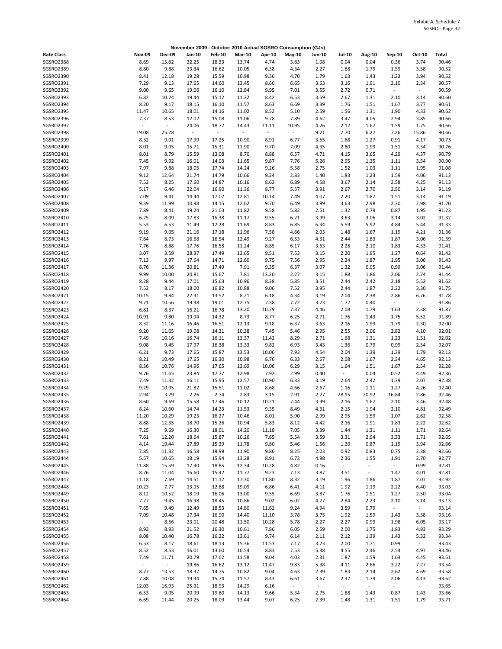|                        |                |                          |                             |                          |                |                | November 2009 - October 2010 Actual SGSRO Consumption (GJs) |                |                |                          |                |                  |                |
|------------------------|----------------|--------------------------|-----------------------------|--------------------------|----------------|----------------|-------------------------------------------------------------|----------------|----------------|--------------------------|----------------|------------------|----------------|
| <b>Rate Class</b>      | <b>Nov-09</b>  | <b>Dec-09</b>            | Jan-10                      | Feb-10                   | <b>Mar-10</b>  | Apr-10         | May-10                                                      | <b>Jun-10</b>  | Jul-10         | Aug-10                   | Sep-10         | Oct-10           | Total          |
| SGSRO2388              | 8.69           | 13.62                    | 22.25                       | 18.33                    | 13.74          | 4.74           | 3.83                                                        | 1.08           | 0.04           | 0.04                     | 0.36           | 3.74             | 90.46          |
| SGSRO2389              | 8.80           | 9.88                     | 23.34                       | 16.62                    | 10.05          | 6.38           | 4.34                                                        | 2.27           | 1.88           | 1.79                     | 1.59           | 3.58             | 90.52          |
| SGSRO2390              | 8.41           | 12.18                    | 19.28                       | 15.59                    | 10.98          | 9.36           | 4.70                                                        | 1.79           | 1.63           | 1.43                     | 1.23           | 3.94             | 90.52          |
| SGSRO2391              | 7.29           | 9.13                     | 17.65                       | 14.60                    | 13.45          | 8.66           | 6.65                                                        | 3.63           | 3.16           | 1.91                     | 2.10           | 2.34             | 90.57          |
| SGSRO2392              | 9.00           | 9.65                     | 19.06                       | 16.10                    | 12.84          | 9.95           | 7.01                                                        | 3.55           | 2.72           | 0.71                     | $\omega$       | $\sim$           | 90.59          |
| SGSRO2393<br>SGSRO2394 | 6.82<br>8.20   | 10.24<br>9.17            | 19.44<br>18.15              | 15.12<br>16.10           | 11.22<br>11.57 | 8.42<br>8.63   | 6.53<br>6.69                                                | 3.59<br>3.39   | 2.67<br>1.76   | 1.31<br>1.51             | 2.10<br>1.67   | 3.14<br>3.77     | 90.60<br>90.61 |
| SGSRO2395              | 11.47          | 10.65                    | 18.01                       | 14.16                    | 11.02          | 8.52           | 5.10                                                        | 2.59           | 1.56           | 1.31                     | 1.90           | 4.33             | 90.62          |
| SGSRO2396              | 7.37           | 8.53                     | 12.02                       | 15.08                    | 11.06          | 9.78           | 7.89                                                        | 4.62           | 3.47           | 4.05                     | 2.94           | 3.85             | 90.66          |
| SGSRO2397              | $\blacksquare$ | $\overline{\phantom{a}}$ | 24.06                       | 18.72                    | 14.43          | 11.11          | 10.95                                                       | 4.26           | 2.12           | 1.67                     | 1.59           | 1.75             | 90.66          |
| SGSRO2398              | 19.08          | 25.28                    | $\mathcal{L}_{\mathcal{A}}$ | $\overline{\phantom{a}}$ | $\omega$       | $\blacksquare$ | $\sim$                                                      | 9.21           | 7.70           | 6.27                     | 7.26           | 15.86            | 90.66          |
| SGSRO2399              | 8.32           | 9.01                     | 17.99                       | 17.25                    | 10.90          | 8.91           | 6.77                                                        | 3.55           | 1.68           | 1.27                     | 0.91           | 4.17             | 90.73          |
| SGSRO2400              | 8.01           | 9.05                     | 15.71                       | 15.31                    | 11.90          | 9.70           | 7.09                                                        | 4.35           | 2.80           | 1.99                     | 1.51           | 3.34             | 90.76          |
| SGSRO2401              | 8.01           | 8.79                     | 15.59                       | 13.08                    | 8.70           | 8.88           | 6.57                                                        | 4.71           | 4.15           | 3.65                     | 4.29           | 4.37             | 90.79          |
| SGSRO2402              | 7.45           | 9.92                     | 16.01                       | 14.03                    | 11.65          | 9.87           | 7.76                                                        | 5.26           | 2.95           | 1.35                     | 1.11           | 3.54             | 90.90          |
| SGSRO2403              | 7.97           | 9.88                     | 18.05                       | 17.74                    | 14.24          | 9.26           | 5.58                                                        | 2.75           | 1.52           | 1.03                     | 1.11           | 1.95             | 91.08          |
| SGSRO2404              | 9.12           | 12.64                    | 21.74                       | 14.79                    | 10.66          | 9.24           | 2.83                                                        | 1.40           | 1.83           | 1.23                     | 1.59           | 4.06             | 91.13          |
| SGSRO2405<br>SGSRO2406 | 7.52<br>5.17   | 8.25<br>6.46             | 17.60                       | 14.87<br>16.90           | 10.16          | 8.62           | 6.89                                                        | 4.58<br>3.91   | 3.67<br>2.67   | 2.14                     | 2.58           | 4.25             | 91.13<br>91.19 |
| SGSRO2407              | 7.09           | 9.41                     | 22.04<br>14.44              | 17.02                    | 11.36<br>12.81 | 8.77<br>10.14  | 5.57<br>7.49                                                | 4.07           | 2.20           | 2.70<br>1.87             | 2.50<br>1.51   | 3.14<br>3.14     | 91.19          |
| SGSRO2408              | 9.39           | 11.99                    | 10.98                       | 14.15                    | 12.62          | 9.70           | 6.49                                                        | 3.99           | 3.63           | 2.98                     | 2.30           | 2.98             | 91.20          |
| SGSRO2409              | 7.89           | 8.41                     | 19.24                       | 21.03                    | 11.82          | 9.58           | 5.82                                                        | 2.51           | 1.32           | 0.79                     | 0.87           | 1.95             | 91.23          |
| SGSRO2410              | 6.25           | 8.09                     | 17.83                       | 15.38                    | 11.17          | 9.55           | 6.21                                                        | 3.99           | 3.63           | 3.06                     | 3.14           | 3.02             | 91.32          |
| SGSRO2411              | 5.53           | 6.53                     | 11.49                       | 12.28                    | 11.69          | 8.83           | 6.85                                                        | 6.34           | 5.59           | 5.92                     | 4.84           | 5.44             | 91.33          |
| SGSRO2412              | 9.19           | 9.05                     | 21.16                       | 17.18                    | 11.96          | 7.58           | 4.66                                                        | 2.03           | 1.48           | 1.67                     | 1.19           | 4.21             | 91.36          |
| SGSRO2413              | 7.64           | 8.73                     | 16.68                       | 16.54                    | 12.49          | 9.27           | 6.53                                                        | 4.31           | 2.44           | 1.83                     | 1.87           | 3.06             | 91.39          |
| SGSRO2414              | 7.76           | 8.88                     | 17.76                       | 16.58                    | 11.24          | 8.85           | 6.17                                                        | 3.63           | 2.28           | 2.10                     | 1.83           | 4.33             | 91.41          |
| SGSRO2415              | 3.07           | 3.59                     | 28.37                       | 17.49                    | 12.65          | 9.51           | 7.53                                                        | 3.15           | 2.20           | 1.95                     | 1.27           | 0.64             | 91.42          |
| SGSRO2416              | 7.13           | 9.97                     | 17.64                       | 14.71                    | 12.60          | 9.75           | 7.56                                                        | 2.95           | 2.24           | 1.87                     | 1.95           | 3.06             | 91.43          |
| SGSRO2417              | 8.76           | 11.36                    | 20.81                       | 17.49                    | 7.91           | 9.35           | 6.37                                                        | 3.07           | 1.32           | 0.95                     | 0.99           | 3.06             | 91.44          |
| SGSRO2418<br>SGSRO2419 | 9.99<br>8.28   | 10.00<br>9.44            | 20.81                       | 15.67                    | 7.81<br>10.96  | 13.20<br>8.38  | 2.27<br>5.85                                                | 3.15           | 1.88           | 1.86                     | 2.06           | 2.74<br>5.52     | 91.44<br>91.62 |
| SGSRO2420              | 7.52           | 8.17                     | 17.01<br>18.00              | 15.63<br>16.82           | 10.88          | 9.06           | 7.52                                                        | 3.51<br>3.95   | 2.44<br>2.44   | 2.42<br>1.87             | 2.18<br>2.22   | 3.30             | 91.75          |
| SGSRO2421              | 10.15          | 9.84                     | 22.31                       | 13.52                    | 8.21           | 6.18           | 4.34                                                        | 3.19           | 2.04           | 2.38                     | 2.86           | 6.76             | 91.78          |
| SGSRO2422              | 9.71           | 10.56                    | 19.38                       | 19.01                    | 12.75          | 7.38           | 7.72                                                        | 3.23           | 1.72           | 0.40                     | $\blacksquare$ | $\sim$           | 91.86          |
| SGSRO2423              | 6.81           | 8.37                     | 16.21                       | 16.78                    | 13.20          | 10.79          | 7.37                                                        | 4.46           | 2.08           | 1.79                     | 1.63           | 2.38             | 91.87          |
| SGSRO2424              | 10.91          | 9.80                     | 19.94                       | 14.32                    | 8.73           | 8.77           | 6.25                                                        | 2.71           | 1.76           | 1.43                     | 1.75           | 5.52             | 91.89          |
| SGSRO2425              | 8.32           | 11.16                    | 16.46                       | 16.51                    | 12.13          | 9.18           | 6.37                                                        | 3.63           | 2.16           | 1.99                     | 1.79           | 2.30             | 92.00          |
| SGSRO2426              | 9.20           | 11.65                    | 19.08                       | 14.31                    | 10.38          | 7.45           | 5.46                                                        | 2.95           | 2.55           | 2.06                     | 2.82           | 4.10             | 92.01          |
| SGSRO2427              | 7.49           | 10.16                    | 16.74                       | 16.11                    | 13.37          | 11.42          | 8.29                                                        | 2.71           | 1.68           | 1.31                     | 1.23           | 1.51             | 92.02          |
| SGSRO2428              | 9.08           | 9.45                     | 17.97                       | 16.38                    | 13.33          | 9.82           | 6.93                                                        | 3.43           | 1.36           | 0.79                     | 0.99           | 2.54             | 92.07          |
| SGSRO2429              | 6.21           | 9.73                     | 17.65                       | 15.87                    | 13.53          | 10.06          | 7.93                                                        | 4.54           | 2.04           | 1.39                     | 1.39           | 1.79             | 92.13          |
| SGSRO2430              | 8.21           | 10.49                    | 17.65                       | 16.30                    | 10.98          | 8.76           | 6.33                                                        | 2.67           | 2.08           | 1.67                     | 2.34           | 4.65             | 92.13          |
| SGSRO2431<br>SGSRO2432 | 8.36<br>9.76   | 10.76<br>11.65           | 14.96<br>23.84              | 17.65<br>17.77           | 13.69<br>12.98 | 10.06<br>7.92  | 6.29<br>2.99                                                | 3.15<br>0.40   | 1.64<br>$\sim$ | 1.51<br>0.04             | 1.67<br>0.52   | 2.54<br>4.49     | 92.28<br>92.36 |
| SGSRO2433              | 7.49           | 11.32                    | 16.11                       | 15.95                    | 12.57          | 10.90          | 6.33                                                        | 3.19           | 2.64           | 2.42                     | 1.39           | 2.07             | 92.38          |
| SGSRO2434              | 9.29           | 10.95                    | 21.82                       | 15.51                    | 11.02          | 8.68           | 4.66                                                        | 2.67           | 1.16           | 1.11                     | 1.27           | 4.26             | 92.40          |
| SGSRO2435              | 2.94           | 3.79                     | 2.26                        | 2.74                     | 2.83           | 3.15           | 2.91                                                        | 2.27           | 28.95          | 20.92                    | 16.84          | 2.86             | 92.46          |
| SGSRO2436              | 8.60           | 9.69                     | 15.58                       | 17.46                    | 10.12          | 10.21          | 7.44                                                        | 3.99           | 2.16           | 1.67                     | 2.10           | 3.46             | 92.48          |
| SGSRO2437              | 8.24           | 10.60                    | 14.74                       | 14.23                    | 11.53          | 9.35           | 8.49                                                        | 4.31           | 2.15           | 1.94                     | 2.10           | 4.81             | 92.49          |
| SGSRO2438              | 11.20          | 10.29                    | 19.23                       | 16.27                    | 10.46          | 8.01           | 5.90                                                        | 2.99           | 2.95           | 1.59                     | 1.07           | 2.62             | 92.58          |
| SGSRO2439              | 8.88           | 12.35                    | 18.70                       | 15.26                    | 10.94          | 5.83           | 8.12                                                        | 4.42           | 2.16           | 1.91                     | 1.83           | 2.22             | 92.62          |
| SGSRO2440              | 7.25           | 9.69                     | 16.30                       | 18.01                    | 14.20          | 11.18          | 7.05                                                        | 3.39           | 1.44           | 1.31                     | 1.11           | 1.71             | 92.64          |
| SGSRO2441              | 7.61           | 12.20                    | 18.64                       | 15.87                    | 10.26          | 7.65           | 5.54                                                        | 3.59           | 3.31           | 2.94                     | 3.33           | 1.71             | 92.65          |
| SGSRO2442              | 4.14           | 19.44                    | 17.89                       | 15.39                    | 11.78          | 9.80           | 5.46                                                        | 1.56           | 1.20           | 0.87                     | 1.19           | 3.94             | 92.66          |
| SGSRO2443              | 7.85           | 11.32                    | 16.58                       | 19.99                    | 11.90          | 9.86           | 8.25                                                        | 2.03           | 0.92           | 0.83                     | 0.75           | 2.38             | 92.66          |
| SGSRO2444<br>SGSRO2445 | 5.57<br>11.88  | 10.65<br>15.59           | 18.19<br>17.90              | 15.94<br>18.85           | 13.28<br>12.34 | 8.91<br>10.28  | 6.73<br>4.82                                                | 4.98<br>0.16   | 2.36<br>$\sim$ | 1.55<br>÷,               | 1.91<br>$\sim$ | 2.70<br>0.99     | 92.77<br>92.81 |
| SGSRO2446              | 8.76           | 11.04                    | 16.60                       | 15.42                    | 11.77          | 9.23           | 7.13                                                        | 3.87           | 3.51           | $\blacksquare$           | 1.47           | 4.01             | 92.81          |
| SGSRO2447              | 11.18          | 7.69                     | 14.51                       | 11.17                    | 17.30          | 11.80          | 8.32                                                        | 3.19           | 1.96           | 1.86                     | 1.87           | 2.07             | 92.92          |
| SGSRO2448              | 10.23          | 7.77                     | 13.95                       | 12.88                    | 19.09          | 6.86           | 6.41                                                        | 4.11           | 1.92           | 1.19                     | 2.22           | 6.40             | 93.03          |
| SGSRO2449              | 8.12           | 10.52                    | 18.19                       | 16.06                    | 13.00          | 9.55           | 6.69                                                        | 3.87           | 1.76           | 1.51                     | 1.27           | 2.50             | 93.04          |
| SGSRO2450              | 7.77           | 9.45                     | 16.98                       | 18.45                    | 10.86          | 9.02           | 6.02                                                        | 4.27           | 2.84           | 2.23                     | 2.10           | 3.14             | 93.13          |
| SGSRO2451              | 7.65           | 9.49                     | 12.49                       | 18.53                    | 14.80          | 11.62          | 9.24                                                        | 4.94           | 3.59           | 0.79                     | $\sim$         | $\omega_{\rm c}$ | 93.14          |
| SGSRO2452              | 7.09           | 10.48                    | 17.34                       | 16.90                    | 14.40          | 11.10          | 3.78                                                        | 3.75           | 1.92           | 1.59                     | 1.43           | 3.38             | 93.16          |
| SGSRO2453              | $\omega$       | 8.56                     | 23.01                       | 20.48                    | 11.50          | 10.28          | 5.78                                                        | 2.27           | 2.27           | 0.99                     | 1.98           | 6.05             | 93.17          |
| SGSRO2454              | 8.92           | 8.93                     | 21.52                       | 16.30                    | 10.61          | 7.86           | 6.05                                                        | 2.59           | 2.00           | 1.75                     | 1.83           | 4.93             | 93.29          |
| SGSRO2455              | 8.08           | 10.40                    | 16.78                       | 16.22                    | 13.61          | 9.74           | 6.14                                                        | 2.11           | 2.12           | 1.39                     | 1.43           | 5.32             | 93.34          |
| SGSRO2456              | 6.53           | 8.17                     | 18.61                       | 18.13                    | 15.36          | 11.53          | 7.17                                                        | 3.23           | 2.00           | 1.71                     | 0.99           | $\sim$           | 93.43          |
| SGSRO2457              | 8.52           | 8.53                     | 16.01                       | 13.60                    | 10.54          | 8.83           | 7.53                                                        | 5.38           | 4.55           | 2.46                     | 2.54           | 4.97             | 93.46          |
| SGSRO2458<br>SGSRO2459 | 7.49<br>$\sim$ | 11.71<br>$\sim$          | 20.79<br>19.86              | 17.02<br>16.62           | 11.58<br>13.12 | 9.04<br>11.47  | 4.03<br>9.83                                                | 2.31<br>5.38   | 1.87<br>4.11   | 1.59<br>2.66             | 1.63<br>3.22   | 4.45<br>7.27     | 93.51<br>93.54 |
| SGSRO2460              | 8.77           | 13.53                    | 18.37                       | 14.75                    | 10.82          | 9.04           | 4.63                                                        | 2.39           | 1.83           | 2.14                     | 2.62           | 4.69             | 93.58          |
| SGSRO2461              | 7.88           | 10.08                    | 19.34                       | 15.74                    | 11.57          | 8.43           | 6.61                                                        | 3.67           | 2.32           | 1.79                     | 2.06           | 4.13             | 93.62          |
| SGSRO2462              | 12.03          | 16.93                    | 25.31                       | 18.93                    | 14.29          | 6.16           | $\overline{\phantom{a}}$                                    | $\blacksquare$ | $\omega$       | $\overline{\phantom{a}}$ | $\sim$         | $\sim$           | 93.65          |
| SGSRO2463              | 6.53           | 9.05                     | 20.99                       | 19.60                    | 14.13          | 9.66           | 5.34                                                        | 2.75           | 1.88           | 1.43                     | 0.87           | 1.43             | 93.66          |
| SGSRO2464              | 6.69           | 11.44                    | 20.25                       | 18.09                    | 13.44          | 9.07           | 6.25                                                        | 2.39           | 1.48           | 1.31                     | 1.51           | 1.79             | 93.71          |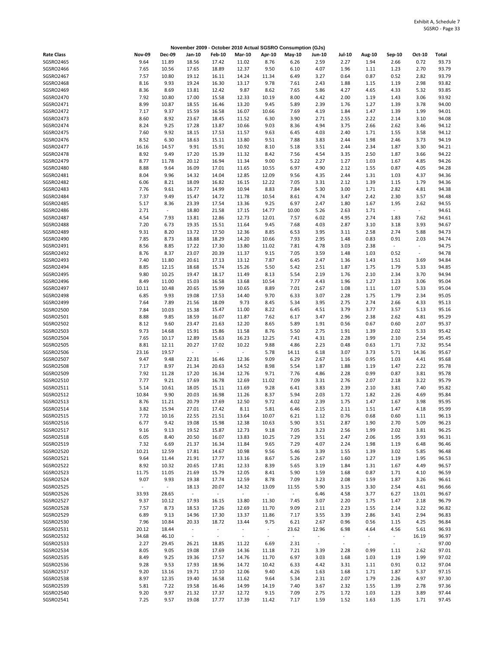|                        |                          |                |                          |                          |                |                          | November 2009 - October 2010 Actual SGSRO Consumption (GJs) |                        |                        |                                  |                  |                  |                |
|------------------------|--------------------------|----------------|--------------------------|--------------------------|----------------|--------------------------|-------------------------------------------------------------|------------------------|------------------------|----------------------------------|------------------|------------------|----------------|
| <b>Rate Class</b>      | <b>Nov-09</b>            | <b>Dec-09</b>  | Jan-10                   | <b>Feb-10</b>            | <b>Mar-10</b>  | Apr-10                   | May-10                                                      | <b>Jun-10</b>          | <b>Jul-10</b>          | <b>Aug-10</b>                    | Sep-10           | Oct-10           | Total          |
| SGSRO2465              | 9.64                     | 11.89          | 18.56                    | 17.42                    | 11.02          | 8.76                     | 6.26                                                        | 2.59                   | 2.27                   | 1.94                             | 2.66             | 0.72             | 93.73          |
| SGSRO2466              | 7.65                     | 10.56          | 17.65                    | 18.89                    | 12.37          | 9.50                     | 6.10                                                        | 4.07                   | 1.96                   | 1.11                             | 1.23             | 2.70             | 93.79          |
| SGSRO2467              | 7.57                     | 10.80          | 19.12                    | 16.11                    | 14.24          | 11.34                    | 6.49                                                        | 3.27                   | 0.64                   | 0.87                             | 0.52             | 2.82             | 93.79          |
| SGSRO2468              | 8.16                     | 9.93           | 19.24                    | 16.30                    | 13.17          | 9.78                     | 7.61                                                        | 2.43                   | 1.88                   | 1.15                             | 1.19             | 2.98             | 93.82          |
| SGSRO2469<br>SGSRO2470 | 8.36                     | 8.69           | 13.81                    | 12.42                    | 9.87           | 8.62                     | 7.65                                                        | 5.86                   | 4.27                   | 4.65                             | 4.33             | 5.32             | 93.85          |
| SGSRO2471              | 7.92<br>8.99             | 10.80<br>10.87 | 17.00<br>18.55           | 15.58<br>16.46           | 12.33<br>13.20 | 10.19<br>9.45            | 8.00<br>5.89                                                | 4.42<br>2.39           | 2.00<br>1.76           | 1.19<br>1.27                     | 1.43<br>1.39     | 3.06<br>3.78     | 93.92<br>94.00 |
| SGSRO2472              | 7.17                     | 9.37           | 15.59                    | 16.58                    | 16.07          | 10.66                    | 7.69                                                        | 4.19                   | 1.84                   | 1.47                             | 1.39             | 1.99             | 94.01          |
| SGSRO2473              | 8.60                     | 8.92           | 23.67                    | 18.45                    | 11.52          | 6.30                     | 3.90                                                        | 2.71                   | 2.55                   | 2.22                             | 2.14             | 3.10             | 94.08          |
| SGSRO2474              | 8.24                     | 9.25           | 17.28                    | 13.87                    | 10.66          | 9.03                     | 8.36                                                        | 4.94                   | 3.75                   | 2.66                             | 2.62             | 3.46             | 94.12          |
| SGSRO2475              | 7.60                     | 9.92           | 18.15                    | 17.53                    | 11.57          | 9.63                     | 6.45                                                        | 4.03                   | 2.40                   | 1.71                             | 1.55             | 3.58             | 94.12          |
| SGSRO2476              | 8.52                     | 6.30           | 18.63                    | 15.11                    | 13.80          | 9.51                     | 7.88                                                        | 3.83                   | 2.44                   | 1.98                             | 2.46             | 3.73             | 94.19          |
| SGSRO2477              | 16.16                    | 14.57          | 9.91                     | 15.91                    | 10.92          | 8.10                     | 5.18                                                        | 3.51                   | 2.44                   | 2.34                             | 1.87             | 3.30             | 94.21          |
| SGSRO2478              | 8.92                     | 9.49           | 17.20                    | 15.39                    | 11.32          | 8.42                     | 7.56                                                        | 4.54                   | 3.35                   | 2.50                             | 1.87             | 3.66             | 94.22          |
| SGSRO2479              | 8.77                     | 11.78          | 20.12                    | 16.94                    | 11.34          | 9.00                     | 5.22                                                        | 2.27                   | 1.27                   | 1.03                             | 1.67             | 4.85             | 94.26          |
| SGSRO2480<br>SGSRO2481 | 8.88<br>8.04             | 9.64<br>9.96   | 16.09<br>14.32           | 17.01<br>14.04           | 11.65<br>12.85 | 10.55<br>12.09           | 6.97<br>9.56                                                | 4.90<br>4.35           | 2.12<br>2.44           | 1.55<br>1.31                     | 0.87             | 4.05<br>4.37     | 94.28<br>94.36 |
| SGSRO2482              | 6.06                     | 8.21           | 18.09                    | 16.82                    | 16.15          | 12.22                    | 7.05                                                        | 3.31                   | 2.12                   | 1.39                             | 1.03<br>1.15     | 1.79             | 94.36          |
| SGSRO2483              | 7.76                     | 9.61           | 16.77                    | 14.99                    | 10.94          | 8.83                     | 7.84                                                        | 5.30                   | 3.00                   | 1.71                             | 2.82             | 4.81             | 94.38          |
| SGSRO2484              | 7.37                     | 9.49           | 15.47                    | 14.72                    | 11.78          | 10.54                    | 8.61                                                        | 4.74                   | 3.47                   | 2.42                             | 2.30             | 3.57             | 94.48          |
| SGSRO2485              | 5.17                     | 8.36           | 23.39                    | 17.54                    | 13.36          | 9.25                     | 6.97                                                        | 2.47                   | 1.80                   | 1.67                             | 1.95             | 2.62             | 94.55          |
| SGSRO2486              | 2.71                     | $\blacksquare$ | 18.80                    | 21.58                    | 17.15          | 14.77                    | 10.00                                                       | 5.26                   | 2.63                   | 1.71                             | $\sim$           | $\sim$           | 94.61          |
| SGSRO2487              | 4.54                     | 7.93           | 13.81                    | 12.86                    | 12.73          | 12.01                    | 7.57                                                        | 6.02                   | 4.95                   | 2.74                             | 1.83             | 7.62             | 94.61          |
| SGSRO2488              | 7.20                     | 6.73           | 19.35                    | 15.51                    | 11.64          | 9.45                     | 7.68                                                        | 4.03                   | 2.87                   | 3.10                             | 3.18             | 3.93             | 94.67          |
| SGSRO2489              | 9.31                     | 8.20           | 13.72                    | 17.50                    | 12.36          | 8.85                     | 6.53                                                        | 3.95                   | 3.11                   | 2.58                             | 2.74             | 5.88             | 94.73          |
| SGSRO2490              | 7.85                     | 8.73           | 18.88                    | 18.29                    | 14.20          | 10.66                    | 7.93                                                        | 2.95                   | 1.48                   | 0.83                             | 0.91             | 2.03             | 94.74          |
| SGSRO2491<br>SGSRO2492 | 8.56<br>8.76             | 8.85<br>8.37   | 17.22<br>23.07           | 17.30<br>20.39           | 13.80<br>11.37 | 11.02<br>9.15            | 7.81<br>7.05                                                | 4.78<br>3.59           | 3.03<br>1.48           | 2.38<br>1.03                     | $\omega$<br>0.52 | $\sim$<br>$\sim$ | 94.75<br>94.78 |
| SGSRO2493              | 7.40                     | 11.80          | 20.61                    | 17.13                    | 13.12          | 7.87                     | 6.45                                                        | 2.47                   | 1.36                   | 1.43                             | 1.51             | 3.69             | 94.84          |
| SGSRO2494              | 8.85                     | 12.15          | 18.68                    | 15.74                    | 15.26          | 5.50                     | 5.42                                                        | 2.51                   | 1.87                   | 1.75                             | 1.79             | 5.33             | 94.85          |
| SGSRO2495              | 9.80                     | 10.25          | 19.47                    | 18.17                    | 11.49          | 8.13                     | 5.54                                                        | 2.19                   | 1.76                   | 2.10                             | 2.34             | 3.70             | 94.94          |
| SGSRO2496              | 8.49                     | 11.00          | 15.03                    | 16.58                    | 13.68          | 10.54                    | 7.77                                                        | 4.43                   | 1.96                   | 1.27                             | 1.23             | 3.06             | 95.04          |
| SGSRO2497              | 10.11                    | 10.48          | 20.65                    | 15.99                    | 10.65          | 8.89                     | 7.01                                                        | 2.67                   | 1.08                   | 1.11                             | 1.07             | 5.33             | 95.04          |
| SGSRO2498              | 6.85                     | 9.93           | 19.08                    | 17.53                    | 14.40          | 9.70                     | 6.33                                                        | 3.07                   | 2.28                   | 1.75                             | 1.79             | 2.34             | 95.05          |
| SGSRO2499              | 7.64                     | 7.89           | 21.56                    | 18.09                    | 9.73           | 8.45                     | 5.34                                                        | 3.95                   | 2.75                   | 2.74                             | 2.66             | 4.33             | 95.13          |
| SGSRO2500              | 7.84                     | 10.03          | 15.38                    | 15.47                    | 11.00          | 8.22                     | 6.45                                                        | 4.51                   | 3.79                   | 3.77                             | 3.57             | 5.13             | 95.16          |
| SGSRO2501<br>SGSRO2502 | 8.88<br>8.12             | 9.85<br>9.60   | 18.59<br>23.47           | 16.07<br>21.63           | 11.87<br>12.20 | 7.62<br>8.65             | 6.17<br>5.89                                                | 3.47<br>1.91           | 2.96<br>0.56           | 2.38<br>0.67                     | 2.62<br>0.60     | 4.81<br>2.07     | 95.29<br>95.37 |
| SGSRO2503              | 9.73                     | 14.68          | 15.91                    | 15.86                    | 11.58          | 8.76                     | 5.50                                                        | 2.75                   | 1.91                   | 1.39                             | 2.02             | 5.33             | 95.42          |
| SGSRO2504              | 7.65                     | 10.17          | 12.89                    | 15.63                    | 16.23          | 12.25                    | 7.41                                                        | 4.31                   | 2.28                   | 1.99                             | 2.10             | 2.54             | 95.45          |
| <b>SGSRO2505</b>       | 8.81                     | 12.11          | 20.27                    | 17.02                    | 10.22          | 9.88                     | 4.86                                                        | 2.23                   | 0.48                   | 0.63                             | 1.71             | 7.32             | 95.54          |
| SGSRO2506              | 23.16                    | 19.57          | $\sim$                   | ÷,                       | $\sim$         | 5.78                     | 14.11                                                       | 6.18                   | 3.07                   | 3.73                             | 5.71             | 14.36            | 95.67          |
| SGSRO2507              | 9.47                     | 9.48           | 22.31                    | 16.46                    | 12.36          | 9.09                     | 6.29                                                        | 2.67                   | 1.16                   | 0.95                             | 1.03             | 4.41             | 95.68          |
| <b>SGSRO2508</b>       | 7.17                     | 8.97           | 21.34                    | 20.63                    | 14.52          | 8.98                     | 5.54                                                        | 1.87                   | 1.88                   | 1.19                             | 1.47             | 2.22             | 95.78          |
| SGSRO2509              | 7.92                     | 11.28          | 17.20                    | 16.34                    | 12.76          | 9.71                     | 7.76                                                        | 4.86                   | 2.28                   | 0.99                             | 0.87             | 3.81             | 95.78          |
| SGSRO2510              | 7.77                     | 9.21           | 17.69                    | 16.78                    | 12.69          | 11.02                    | 7.09                                                        | 3.31                   | 2.76                   | 2.07                             | 2.18             | 3.22             | 95.79          |
| SGSRO2511<br>SGSRO2512 | 5.14<br>10.84            | 10.61<br>9.90  | 18.05<br>20.03           | 15.11<br>16.98           | 11.69<br>11.26 | 9.28<br>8.37             | 6.41<br>5.94                                                | 3.83<br>2.03           | 2.39<br>1.72           | 2.10<br>1.82                     | 3.81<br>2.26     | 7.40<br>4.69     | 95.82<br>95.84 |
| SGSRO2513              | 8.76                     | 11.21          | 20.79                    | 17.69                    | 12.50          | 9.72                     | 4.02                                                        | 2.39                   | 1.75                   | 1.47                             | 1.67             | 3.98             | 95.95          |
| SGSRO2514              | 3.82                     | 15.94          | 27.01                    | 17.42                    | 8.11           | 5.81                     | 6.46                                                        | 2.15                   | 2.11                   | 1.51                             | 1.47             | 4.18             | 95.99          |
| SGSRO2515              | 7.72                     | 10.16          | 22.55                    | 21.51                    | 13.64          | 10.07                    | 6.21                                                        | 1.12                   | 0.76                   | 0.68                             | 0.60             | 1.11             | 96.13          |
| SGSRO2516              | 6.77                     | 9.42           | 19.08                    | 15.98                    | 12.38          | 10.63                    | 5.90                                                        | 3.51                   | 2.87                   | 1.90                             | 2.70             | 5.09             | 96.23          |
| SGSRO2517              | 9.16                     | 9.13           | 19.52                    | 15.87                    | 12.73          | 9.18                     | 7.05                                                        | 3.23                   | 2.56                   | 1.99                             | 2.02             | 3.81             | 96.25          |
| SGSRO2518              | 6.05                     | 8.40           | 20.50                    | 16.07                    | 13.83          | 10.25                    | 7.29                                                        | 3.51                   | 2.47                   | 2.06                             | 1.95             | 3.93             | 96.31          |
| SGSRO2519              | 7.32                     | 6.69           | 21.37                    | 16.34                    | 11.84          | 9.65                     | 7.29                                                        | 4.07                   | 2.24                   | 1.98                             | 1.19             | 6.48             | 96.46          |
| SGSRO2520              | 10.21                    | 12.59          | 17.81                    | 14.67                    | 10.98          | 9.56                     | 5.46                                                        | 3.39                   | 1.55                   | 1.39                             | 3.02             | 5.85             | 96.48          |
| SGSRO2521              | 9.64                     | 11.44          | 21.91                    | 17.77                    | 13.16          | 8.67                     | 5.26                                                        | 2.67                   | 1.60                   | 1.27                             | 1.19             | 1.95             | 96.53          |
| SGSRO2522<br>SGSRO2523 | 8.92<br>11.75            | 10.32<br>11.05 | 20.65<br>21.69           | 17.81<br>15.79           | 12.33<br>12.05 | 8.39<br>8.41             | 5.65<br>5.90                                                | 3.19<br>1.59           | 1.84<br>1.68           | 1.31<br>0.87                     | 1.67<br>1.71     | 4.49<br>4.10     | 96.57<br>96.59 |
| SGSRO2524              | 9.07                     | 9.93           | 19.38                    | 17.74                    | 12.59          | 8.78                     | 7.09                                                        | 3.23                   | 2.08                   | 1.59                             | 1.87             | 3.26             | 96.61          |
| SGSRO2525              | $\overline{\phantom{a}}$ | $\sim$         | 18.13                    | 20.07                    | 14.32          | 13.09                    | 11.55                                                       | 5.90                   | 3.15                   | 3.30                             | 2.54             | 4.61             | 96.66          |
| SGSRO2526              | 33.93                    | 28.65          | $\omega_{\rm c}$         | $\gamma$                 | $\sim$         | $\overline{\phantom{a}}$ | $\blacksquare$                                              | 6.46                   | 4.58                   | 3.77                             | 6.27             | 13.01            | 96.67          |
| SGSRO2527              | 9.37                     | 10.12          | 17.93                    | 16.15                    | 13.80          | 11.30                    | 7.45                                                        | 3.07                   | 2.20                   | 1.75                             | 1.47             | 2.18             | 96.79          |
| SGSRO2528              | 7.57                     | 8.73           | 18.53                    | 17.26                    | 12.69          | 11.70                    | 9.09                                                        | 2.11                   | 2.23                   | 1.55                             | 2.14             | 3.22             | 96.82          |
| SGSRO2529              | 6.89                     | 9.13           | 14.96                    | 17.30                    | 13.37          | 11.86                    | 7.17                                                        | 3.55                   | 3.39                   | 2.86                             | 3.41             | 2.94             | 96.83          |
| SGSRO2530              | 7.96                     | 10.84          | 20.33                    | 18.72                    | 13.44          | 9.75                     | 6.21                                                        | 2.67                   | 0.96                   | 0.56                             | 1.15             | 4.25             | 96.84          |
| SGSRO2531              | 20.12                    | 18.44          | $\overline{\phantom{a}}$ | $\overline{\phantom{a}}$ | $\sim$         | $\blacksquare$           | 23.62                                                       | 12.96                  | 6.98                   | 4.64                             | 4.56             | 5.61             | 96.93          |
| SGSRO2532              | 34.68                    | 46.10          | $\sim$                   | $\overline{\phantom{a}}$ | $\sim$         | $\overline{\phantom{a}}$ | $\blacksquare$                                              | ÷,                     | $\blacksquare$         | $\overline{\phantom{a}}$         | $\blacksquare$   | 16.19            | 96.97          |
| SGSRO2533<br>SGSRO2534 | 2.27<br>8.05             | 29.45<br>9.05  | 26.21<br>19.08           | 18.85<br>17.69           | 11.22<br>14.36 | 6.69<br>11.18            | 2.31<br>7.21                                                | $\blacksquare$<br>3.39 | $\blacksquare$<br>2.28 | $\overline{\phantom{a}}$<br>0.99 | $\sim$<br>1.11   | $\sim$<br>2.62   | 97.00<br>97.01 |
| SGSRO2535              | 8.49                     | 9.25           | 19.36                    | 17.57                    | 14.76          | 11.70                    | 6.97                                                        | 3.03                   | 1.68                   | 1.03                             | 1.19             | 1.99             | 97.02          |
| SGSRO2536              | 9.28                     | 9.53           | 17.93                    | 18.96                    | 14.72          | 10.42                    | 6.33                                                        | 4.42                   | 3.31                   | 1.11                             | 0.91             | 0.12             | 97.04          |
| SGSRO2537              | 9.20                     | 13.16          | 19.71                    | 17.10                    | 12.06          | 9.40                     | 4.26                                                        | 1.63                   | 1.68                   | 1.71                             | 1.87             | 5.37             | 97.15          |
| SGSRO2538              | 8.97                     | 12.35          | 19.40                    | 16.58                    | 11.62          | 9.64                     | 5.34                                                        | 2.31                   | 2.07                   | 1.79                             | 2.26             | 4.97             | 97.30          |
| SGSRO2539              | 5.81                     | 7.22           | 19.58                    | 16.46                    | 14.99          | 14.19                    | 7.40                                                        | 3.67                   | 2.32                   | 1.55                             | 1.39             | 2.78             | 97.36          |
| SGSRO2540              | 9.20                     | 9.97           | 21.32                    | 17.37                    | 12.72          | 9.15                     | 7.09                                                        | 2.75                   | 1.72                   | 1.03                             | 1.23             | 3.89             | 97.44          |
| SGSRO2541              | 7.25                     | 9.57           | 19.08                    | 17.77                    | 17.39          | 11.42                    | 7.17                                                        | 1.59                   | 1.52                   | 1.63                             | 1.35             | 1.71             | 97.45          |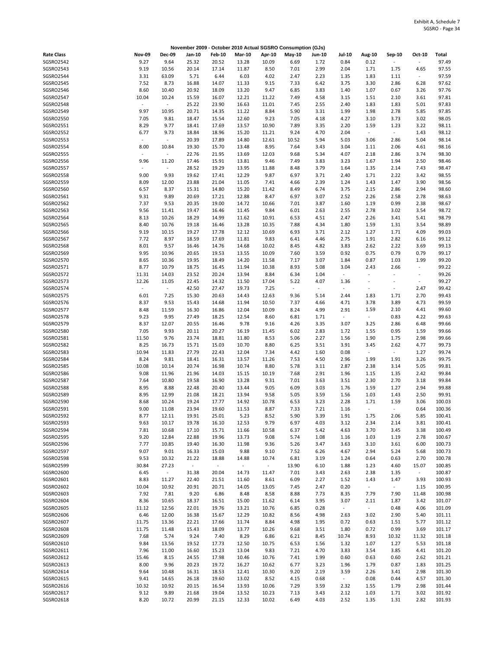|                               |                |                          |                |                          |                |                | November 2009 - October 2010 Actual SGSRO Consumption (GJs) |                          |                                  |                                  |                             |                                  |                  |
|-------------------------------|----------------|--------------------------|----------------|--------------------------|----------------|----------------|-------------------------------------------------------------|--------------------------|----------------------------------|----------------------------------|-----------------------------|----------------------------------|------------------|
| <b>Rate Class</b>             | <b>Nov-09</b>  | Dec-09                   | Jan-10         | <b>Feb-10</b>            | <b>Mar-10</b>  | Apr-10         | May-10                                                      | <b>Jun-10</b>            | <b>Jul-10</b>                    | Aug-10                           | Sep-10                      | Oct-10                           | Total            |
| SGSRO2542                     | 9.27           | 9.64                     | 25.32          | 20.52                    | 13.28          | 10.09          | 6.69                                                        | 1.72                     | 0.84                             | 0.12                             | ÷,                          | $\overline{\phantom{a}}$         | 97.49            |
| SGSRO2543                     | 9.19           | 10.56                    | 20.14          | 17.14                    | 11.87          | 8.50           | 7.01                                                        | 2.99                     | 2.04                             | 1.71                             | 1.75                        | 4.65                             | 97.55            |
| SGSRO2544                     | 3.31           | 63.09                    | 5.71           | 6.44                     | 6.03           | 4.02           | 2.47                                                        | 2.23                     | 1.35                             | 1.83                             | 1.11                        | $\blacksquare$                   | 97.59            |
| SGSRO2545<br>SGSRO2546        | 7.52<br>8.60   | 8.73<br>10.40            | 16.88<br>20.92 | 14.07<br>18.09           | 11.33<br>13.20 | 9.15<br>9.47   | 7.33<br>6.85                                                | 6.42<br>3.83             | 3.75<br>1.40                     | 3.30<br>1.07                     | 2.86<br>0.67                | 6.28<br>3.26                     | 97.62<br>97.76   |
| SGSRO2547                     | 10.04          | 10.24                    | 15.59          | 16.07                    | 12.21          | 11.22          | 7.49                                                        | 4.58                     | 3.15                             | 1.51                             | 2.10                        | 3.61                             | 97.81            |
| SGSRO2548                     | $\blacksquare$ | $\omega$                 | 25.22          | 23.90                    | 16.63          | 11.01          | 7.45                                                        | 2.55                     | 2.40                             | 1.83                             | 1.83                        | 5.01                             | 97.83            |
| SGSRO2549                     | 9.97           | 10.95                    | 20.71          | 14.35                    | 11.22          | 8.84           | 5.90                                                        | 3.31                     | 1.99                             | 1.98                             | 2.78                        | 5.85                             | 97.85            |
| SGSRO2550                     | 7.05           | 9.81                     | 18.47          | 15.54                    | 12.60          | 9.23           | 7.05                                                        | 4.18                     | 4.27                             | 3.10                             | 3.73                        | 3.02                             | 98.05            |
| SGSRO2551                     | 8.29           | 9.77                     | 18.41          | 17.69                    | 13.57          | 10.90          | 7.89                                                        | 3.35                     | 2.20                             | 1.59                             | 1.23                        | 3.22                             | 98.11            |
| SGSRO2552                     | 6.77           | 9.73                     | 18.84          | 18.96                    | 15.20          | 11.21          | 9.24                                                        | 4.70                     | 2.04                             | $\overline{\phantom{a}}$         | $\omega$                    | 1.43                             | 98.12            |
| SGSRO2553                     | 8.00           | $\blacksquare$<br>10.84  | 20.39          | 17.89                    | 14.80          | 12.61<br>8.95  | 10.52                                                       | 5.94                     | 5.03                             | 3.06                             | 2.86                        | 5.04<br>4.61                     | 98.14<br>98.16   |
| SGSRO2554<br><b>SGSRO2555</b> | $\sim$         | $\overline{\phantom{a}}$ | 19.30<br>22.76 | 15.70<br>21.95           | 13.48<br>13.69 | 12.03          | 7.64<br>9.68                                                | 3.43<br>5.34             | 3.04<br>4.07                     | 1.11<br>2.18                     | 2.06<br>2.86                | 3.74                             | 98.30            |
| SGSRO2556                     | 9.96           | 11.20                    | 17.46          | 15.91                    | 13.81          | 9.46           | 7.49                                                        | 3.83                     | 3.23                             | 1.67                             | 1.94                        | 2.50                             | 98.46            |
| <b>SGSRO2557</b>              |                | $\Box$                   | 28.52          | 19.29                    | 13.95          | 11.88          | 8.48                                                        | 3.79                     | 1.64                             | 1.35                             | 2.14                        | 7.43                             | 98.47            |
| <b>SGSRO2558</b>              | 9.00           | 9.93                     | 19.62          | 17.41                    | 12.29          | 9.87           | 6.97                                                        | 3.71                     | 2.40                             | 1.71                             | 2.22                        | 3.42                             | 98.55            |
| SGSRO2559                     | 8.09           | 12.00                    | 23.88          | 21.04                    | 11.05          | 7.41           | 4.66                                                        | 2.39                     | 1.24                             | 1.43                             | 1.47                        | 3.90                             | 98.56            |
| SGSRO2560                     | 6.57           | 8.37                     | 15.31          | 14.80                    | 15.20          | 11.42          | 8.49                                                        | 6.74                     | 3.75                             | 2.15                             | 2.86                        | 2.94                             | 98.60            |
| SGSRO2561<br>SGSRO2562        | 9.31           | 9.89                     | 20.69          | 17.21                    | 12.88          | 8.47           | 6.97                                                        | 3.07                     | 2.52                             | 2.26                             | 2.58                        | 2.78                             | 98.63            |
| SGSRO2563                     | 7.37<br>9.56   | 9.53<br>11.41            | 20.35<br>19.47 | 19.00<br>16.46           | 14.72<br>11.45 | 10.66<br>9.84  | 7.01<br>6.01                                                | 3.87<br>2.63             | 1.60<br>2.55                     | 1.19<br>2.78                     | 0.99<br>3.02                | 2.38<br>3.54                     | 98.67<br>98.72   |
| SGSRO2564                     | 8.13           | 10.26                    | 18.29          | 14.99                    | 11.62          | 10.91          | 6.53                                                        | 4.51                     | 2.47                             | 2.26                             | 3.41                        | 5.41                             | 98.79            |
| <b>SGSRO2565</b>              | 8.40           | 10.76                    | 19.18          | 16.46                    | 13.28          | 10.35          | 7.88                                                        | 4.34                     | 1.80                             | 1.59                             | 1.31                        | 3.54                             | 98.89            |
| SGSRO2566                     | 9.19           | 10.15                    | 19.27          | 17.78                    | 12.12          | 10.69          | 6.93                                                        | 3.71                     | 2.12                             | 1.27                             | 1.71                        | 4.09                             | 99.03            |
| SGSRO2567                     | 7.72           | 8.97                     | 18.59          | 17.69                    | 11.81          | 9.83           | 6.41                                                        | 4.46                     | 2.75                             | 1.91                             | 2.82                        | 6.16                             | 99.12            |
| SGSRO2568                     | 8.01           | 9.57                     | 16.46          | 14.76                    | 14.68          | 10.02          | 8.45                                                        | 4.82                     | 3.83                             | 2.62                             | 2.22                        | 3.69                             | 99.13            |
| SGSRO2569                     | 9.95           | 10.96                    | 20.65          | 19.53                    | 13.55          | 10.09          | 7.60                                                        | 3.59                     | 0.92                             | 0.75                             | 0.79                        | 0.79                             | 99.17            |
| SGSRO2570<br>SGSRO2571        | 8.65<br>8.77   | 10.36<br>10.79           | 19.95<br>18.75 | 18.49<br>16.45           | 14.20<br>11.94 | 11.58<br>10.38 | 7.17<br>8.93                                                | 3.07<br>5.08             | 1.84<br>3.04                     | 0.87<br>2.43                     | 1.03<br>2.66                | 1.99<br>$\overline{\phantom{a}}$ | 99.20<br>99.22   |
| SGSRO2572                     | 11.31          | 14.03                    | 23.52          | 20.24                    | 13.94          | 8.84           | 6.34                                                        | 1.04                     | $\overline{\phantom{a}}$         | ÷,                               | $\bar{\phantom{a}}$         | $\blacksquare$                   | 99.26            |
| SGSRO2573                     | 12.26          | 11.05                    | 22.45          | 14.32                    | 11.50          | 17.04          | 5.22                                                        | 4.07                     | 1.36                             | $\sim$                           | ÷,                          | $\overline{\phantom{a}}$         | 99.27            |
| SGSRO2574                     | $\blacksquare$ | $\overline{\phantom{a}}$ | 42.50          | 27.47                    | 19.73          | 7.25           | $\overline{\phantom{a}}$                                    | $\overline{\phantom{a}}$ | $\overline{\phantom{a}}$         | $\sim$                           | $\blacksquare$              | 2.47                             | 99.42            |
| <b>SGSRO2575</b>              | 6.01           | 7.25                     | 15.30          | 20.63                    | 14.43          | 12.63          | 9.36                                                        | 5.14                     | 2.44                             | 1.83                             | 1.71                        | 2.70                             | 99.43            |
| SGSRO2576                     | 8.37           | 9.53                     | 15.43          | 14.68                    | 11.94          | 10.50          | 7.37                                                        | 4.66                     | 4.71                             | 3.78                             | 3.89                        | 4.73                             | 99.59            |
| SGSRO2577                     | 8.48           | 11.59                    | 16.30          | 16.86                    | 12.04          | 10.09          | 8.24                                                        | 4.99                     | 2.91                             | 1.59                             | 2.10                        | 4.41                             | 99.60            |
| SGSRO2578<br>SGSRO2579        | 9.23<br>8.37   | 9.95<br>12.07            | 27.49<br>20.55 | 18.25<br>16.46           | 12.54<br>9.78  | 8.60<br>9.16   | 6.81<br>4.26                                                | 1.71<br>3.35             | $\overline{\phantom{a}}$<br>3.07 | $\overline{\phantom{a}}$<br>3.25 | 0.83<br>2.86                | 4.22<br>6.48                     | 99.63<br>99.66   |
| SGSRO2580                     | 7.05           | 9.93                     | 20.11          | 20.27                    | 16.19          | 11.45          | 6.02                                                        | 2.83                     | 1.72                             | 1.55                             | 0.95                        | 1.59                             | 99.66            |
| SGSRO2581                     | 11.50          | 9.76                     | 23.74          | 18.81                    | 11.80          | 8.53           | 5.06                                                        | 2.27                     | 1.56                             | 1.90                             | 1.75                        | 2.98                             | 99.66            |
| <b>SGSRO2582</b>              | 8.25           | 16.73                    | 15.71          | 15.03                    | 10.70          | 8.80           | 6.25                                                        | 3.51                     | 3.91                             | 3.45                             | 2.62                        | 4.77                             | 99.73            |
| SGSRO2583                     | 10.94          | 11.83                    | 27.79          | 22.43                    | 12.04          | 7.34           | 4.42                                                        | 1.60                     | 0.08                             | $\sim$                           | $\sim$                      | 1.27                             | 99.74            |
| SGSRO2584                     | 8.24           | 9.81                     | 18.41          | 16.31                    | 13.57          | 11.26          | 7.53                                                        | 4.50                     | 2.96                             | 1.99                             | 1.91                        | 3.26                             | 99.75            |
| <b>SGSRO2585</b><br>SGSRO2586 | 10.08          | 10.14<br>11.96           | 20.74          | 16.98                    | 10.74<br>15.15 | 8.80           | 5.78                                                        | 3.11                     | 2.87                             | 2.38                             | 3.14                        | 5.05<br>2.42                     | 99.81<br>99.84   |
| <b>SGSRO2587</b>              | 9.08<br>7.64   | 10.80                    | 21.96<br>19.58 | 14.03<br>16.90           | 13.28          | 10.19<br>9.31  | 7.68<br>7.01                                                | 2.91<br>3.63             | 1.96<br>3.51                     | 1.15<br>2.30                     | 1.35<br>2.70                | 3.18                             | 99.84            |
| SGSRO2588                     | 8.95           | 8.88                     | 22.48          | 20.40                    | 13.44          | 9.05           | 6.09                                                        | 3.03                     | 1.76                             | 1.59                             | 1.27                        | 2.94                             | 99.88            |
| SGSRO2589                     | 8.95           | 12.99                    | 21.08          | 18.21                    | 13.94          | 9.58           | 5.05                                                        | 3.59                     | 1.56                             | 1.03                             | 1.43                        | 2.50                             | 99.91            |
| <b>SGSRO2590</b>              | 8.68           | 10.24                    | 19.24          | 17.77                    | 14.92          | 10.78          | 6.53                                                        | 3.23                     | 2.28                             | 1.71                             | 1.59                        | 3.06                             | 100.03           |
| SGSRO2591                     | 9.00           | 11.08                    | 23.94          | 19.60                    | 11.53          | 8.87           | 7.33                                                        | 7.21                     | 1.16                             |                                  |                             | 0.64                             | 100.36           |
| SGSRO2592                     | 8.77           | 12.11                    | 19.91          | 25.01                    | 5.23           | 8.52           | 5.90                                                        | 3.39                     | 1.91                             | 1.75                             | 2.06                        | 5.85                             | 100.41           |
| SGSRO2593<br>SGSRO2594        | 9.63<br>7.81   | 10.17<br>10.68           | 19.78<br>17.10 | 16.10<br>15.71           | 12.53<br>11.66 | 9.79<br>10.58  | 6.97<br>6.37                                                | 4.03<br>5.42             | 3.12<br>4.63                     | 2.34<br>3.70                     | 2.14<br>3.45                | 3.81<br>3.38                     | 100.41<br>100.49 |
| SGSRO2595                     | 9.20           | 12.84                    | 22.88          | 19.96                    | 13.73          | 9.08           | 5.74                                                        | 1.08                     | 1.16                             | 1.03                             | 1.19                        | 2.78                             | 100.67           |
| SGSRO2596                     | 7.77           | 10.85                    | 19.40          | 16.30                    | 11.98          | 9.36           | 5.26                                                        | 3.47                     | 3.63                             | 3.10                             | 3.61                        | 6.00                             | 100.73           |
| SGSRO2597                     | 9.07           | 9.01                     | 16.33          | 15.03                    | 9.88           | 9.10           | 7.52                                                        | 6.26                     | 4.67                             | 2.94                             | 5.24                        | 5.68                             | 100.73           |
| SGSRO2598                     | 9.53           | 10.32                    | 21.22          | 18.88                    | 14.88          | 10.74          | 6.81                                                        | 3.19                     | 1.24                             | 0.64                             | 0.63                        | 2.70                             | 100.78           |
| SGSRO2599                     | 30.84          | 27.23                    | $\sim$         | $\overline{\phantom{a}}$ | $\sim$         | $\sim$         | 13.90                                                       | 6.10                     | 1.88                             | 1.23                             | 4.60                        | 15.07                            | 100.85           |
| SGSRO2600                     | 6.45           | $\omega$                 | 31.38          | 20.04                    | 14.73          | 11.47          | 7.01                                                        | 3.43                     | 2.63                             | 2.38                             | 1.35                        | $\sim$                           | 100.87           |
| SGSRO2601<br>SGSRO2602        | 8.83<br>10.04  | 11.27<br>10.92           | 22.40<br>20.91 | 21.51<br>20.71           | 11.60<br>14.05 | 8.61<br>13.05  | 6.09<br>7.45                                                | 2.27<br>2.47             | 1.52<br>0.20                     | 1.43<br>$\omega$                 | 1.47<br>$\omega_{\rm{eff}}$ | 3.93<br>1.15                     | 100.93<br>100.95 |
| SGSRO2603                     | 7.92           | 7.81                     | 9.20           | 6.86                     | 8.48           | 8.58           | 8.88                                                        | 7.73                     | 8.35                             | 7.79                             | 7.90                        | 11.48                            | 100.98           |
| SGSRO2604                     | 8.36           | 10.65                    | 18.37          | 16.51                    | 15.00          | 11.62          | 6.14                                                        | 3.95                     | 3.07                             | 2.11                             | 1.87                        | 3.42                             | 101.07           |
| SGSRO2605                     | 11.12          | 12.56                    | 22.01          | 19.76                    | 13.21          | 10.76          | 6.85                                                        | 0.28                     | $\sim$                           | $\omega_{\rm c}$                 | 0.48                        | 4.06                             | 101.09           |
| SGSRO2606                     | 6.46           | 12.00                    | 16.38          | 15.67                    | 12.29          | 10.82          | 8.56                                                        | 4.98                     | 2.63                             | 3.02                             | 2.90                        | 5.40                             | 101.11           |
| SGSRO2607                     | 11.75          | 13.36                    | 22.21          | 17.66                    | 11.74          | 8.84           | 4.98                                                        | 1.95                     | 0.72                             | 0.63                             | 1.51                        | 5.77                             | 101.12           |
| SGSRO2608                     | 11.75          | 11.48                    | 15.43          | 18.09                    | 13.77          | 10.26          | 9.68                                                        | 3.51                     | 1.80                             | 0.72                             | 0.99                        | 3.69                             | 101.17           |
| SGSRO2609<br>SGSRO2610        | 7.68<br>9.84   | 5.74<br>13.56            | 9.24<br>19.52  | 7.40<br>17.73            | 8.29<br>12.50  | 6.86<br>10.75  | 6.21<br>6.53                                                | 8.45<br>1.56             | 10.74<br>1.32                    | 8.93<br>1.07                     | 10.32<br>1.27               | 11.32<br>5.53                    | 101.18<br>101.18 |
| SGSRO2611                     | 7.96           | 11.00                    | 16.60          | 15.23                    | 13.04          | 9.83           | 7.21                                                        | 4.70                     | 3.83                             | 3.54                             | 3.85                        | 4.41                             | 101.20           |
| SGSRO2612                     | 15.46          | 8.15                     | 24.55          | 17.98                    | 10.46          | 10.76          | 7.41                                                        | 1.99                     | 0.60                             | 0.63                             | 0.60                        | 2.62                             | 101.21           |
| SGSRO2613                     | 8.00           | 9.96                     | 20.23          | 19.72                    | 16.27          | 10.62          | 6.77                                                        | 3.23                     | 1.96                             | 1.79                             | 0.87                        | 1.83                             | 101.25           |
| SGSRO2614                     | 9.64           | 10.48                    | 16.31          | 18.53                    | 12.41          | 10.30          | 9.20                                                        | 2.19                     | 3.59                             | 2.26                             | 3.41                        | 2.98                             | 101.30           |
| SGSRO2615                     | 9.41           | 14.65                    | 26.18          | 19.60                    | 13.02          | 8.52           | 4.15                                                        | 0.68                     | $\sim$                           | 0.08                             | 0.44                        | 4.57                             | 101.30           |
| SGSRO2616<br>SGSRO2617        | 10.32          | 10.92                    | 20.15          | 16.54                    | 13.93<br>13.52 | 10.06          | 7.29                                                        | 3.59                     | 2.32                             | 1.55                             | 1.79                        | 2.98<br>3.02                     | 101.44           |
| SGSRO2618                     | 9.12<br>8.20   | 9.89<br>10.72            | 21.68<br>20.99 | 19.04<br>21.15           | 12.33          | 10.23<br>10.02 | 7.13<br>6.49                                                | 3.43<br>4.03             | 2.12<br>2.52                     | 1.03<br>1.35                     | 1.71<br>1.31                | 2.82                             | 101.92<br>101.93 |
|                               |                |                          |                |                          |                |                |                                                             |                          |                                  |                                  |                             |                                  |                  |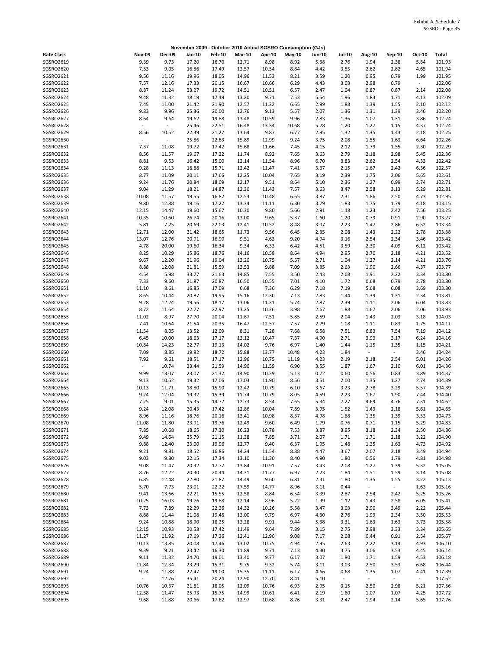|                               |                          |                          |                |                |                |                | November 2009 - October 2010 Actual SGSRO Consumption (GJs) |               |                |                        |                          |                |                  |
|-------------------------------|--------------------------|--------------------------|----------------|----------------|----------------|----------------|-------------------------------------------------------------|---------------|----------------|------------------------|--------------------------|----------------|------------------|
| <b>Rate Class</b>             | <b>Nov-09</b>            | <b>Dec-09</b>            | Jan-10         | <b>Feb-10</b>  | <b>Mar-10</b>  | Apr-10         | May-10                                                      | <b>Jun-10</b> | <b>Jul-10</b>  | <b>Aug-10</b>          | Sep-10                   | Oct-10         | Total            |
| SGSRO2619                     | 9.39                     | 9.73                     | 17.20          | 16.70          | 12.71          | 8.98           | 8.92                                                        | 5.38          | 2.76           | 1.94                   | 2.38                     | 5.84           | 101.93           |
| SGSRO2620                     | 7.53                     | 9.05                     | 16.86          | 17.49          | 13.57          | 10.54          | 8.84                                                        | 4.42          | 3.55           | 2.62                   | 2.82                     | 4.65           | 101.94           |
| SGSRO2621<br>SGSRO2622        | 9.56                     | 11.16                    | 19.96          | 18.05          | 14.96          | 11.53          | 8.21                                                        | 3.59          | 1.20           | 0.95                   | 0.79                     | 1.99<br>$\sim$ | 101.95<br>102.06 |
| SGSRO2623                     | 7.57<br>8.87             | 12.16<br>11.24           | 17.33<br>23.27 | 20.15<br>19.72 | 16.67<br>14.51 | 10.66<br>10.51 | 6.29<br>6.57                                                | 4.43<br>2.47  | 3.03<br>1.04   | 2.98<br>0.87           | 0.79<br>0.87             | 2.14           | 102.08           |
| SGSRO2624                     | 9.48                     | 11.32                    | 18.19          | 17.49          | 13.20          | 9.71           | 7.53                                                        | 5.54          | 1.96           | 1.83                   | 1.71                     | 4.13           | 102.09           |
| SGSRO2625                     | 7.45                     | 11.00                    | 21.42          | 21.90          | 12.57          | 11.22          | 6.65                                                        | 2.99          | 1.88           | 1.39                   | 1.55                     | 2.10           | 102.12           |
| SGSRO2626                     | 9.83                     | 9.96                     | 25.36          | 20.00          | 12.76          | 9.13           | 5.57                                                        | 2.07          | 1.36           | 1.31                   | 1.39                     | 3.46           | 102.20           |
| SGSRO2627                     | 8.64                     | 9.64                     | 19.62          | 19.88          | 13.48          | 10.59          | 9.96                                                        | 2.83          | 1.36           | 1.07                   | 1.31                     | 3.86           | 102.24           |
| SGSRO2628                     | $\overline{\phantom{a}}$ | $\overline{\phantom{a}}$ | 25.46          | 22.51          | 16.48          | 13.34          | 10.68                                                       | 5.78          | 1.20           | 1.27                   | 1.15                     | 4.37           | 102.24           |
| SGSRO2629<br>SGSRO2630        | 8.56<br>$\sim$           | 10.52<br>$\omega$        | 22.39<br>25.86 | 21.27<br>22.63 | 13.64<br>15.89 | 9.87<br>12.99  | 6.77<br>9.24                                                | 2.95<br>3.75  | 1.32<br>2.08   | 1.35<br>1.55           | 1.43<br>1.63             | 2.18<br>6.64   | 102.25<br>102.26 |
| SGSRO2631                     | 7.37                     | 11.08                    | 19.72          | 17.42          | 15.68          | 11.66          | 7.45                                                        | 4.15          | 2.12           | 1.79                   | 1.55                     | 2.30           | 102.29           |
| SGSRO2632                     | 8.56                     | 11.57                    | 19.67          | 17.22          | 11.74          | 8.92           | 7.65                                                        | 3.63          | 2.79           | 2.18                   | 2.98                     | 5.45           | 102.36           |
| SGSRO2633                     | 8.81                     | 9.53                     | 16.42          | 15.00          | 12.14          | 11.54          | 8.96                                                        | 6.70          | 3.83           | 2.62                   | 2.54                     | 4.33           | 102.42           |
| SGSRO2634                     | 9.28                     | 11.13                    | 18.88          | 15.71          | 12.42          | 11.47          | 7.41                                                        | 3.67          | 2.15           | 1.67                   | 2.42                     | 6.36           | 102.57           |
| SGSRO2635                     | 8.77                     | 11.09                    | 20.11          | 17.66          | 12.25          | 10.04          | 7.65                                                        | 3.19          | 2.39           | 1.75                   | 2.06                     | 5.65           | 102.61           |
| SGSRO2636<br>SGSRO2637        | 9.24<br>9.04             | 11.76<br>11.29           | 20.84<br>18.21 | 18.09<br>14.87 | 12.17<br>12.30 | 9.51<br>11.43  | 8.64<br>7.57                                                | 5.10<br>3.63  | 2.36<br>3.47   | 1.27<br>2.58           | 0.99<br>3.13             | 2.74<br>5.29   | 102.71<br>102.81 |
| SGSRO2638                     | 10.08                    | 11.57                    | 19.55          | 16.82          | 12.53          | 10.48          | 6.65                                                        | 3.87          | 2.31           | 1.86                   | 2.50                     | 4.73           | 102.95           |
| SGSRO2639                     | 9.80                     | 12.88                    | 19.16          | 17.22          | 13.34          | 11.11          | 6.30                                                        | 3.79          | 1.83           | 1.75                   | 1.79                     | 4.18           | 103.15           |
| SGSRO2640                     | 12.15                    | 14.47                    | 19.60          | 15.67          | 10.30          | 9.80           | 5.66                                                        | 2.91          | 1.48           | 1.23                   | 2.42                     | 7.56           | 103.25           |
| SGSRO2641                     | 10.35                    | 10.60                    | 26.74          | 20.16          | 13.00          | 9.65           | 5.37                                                        | 1.60          | 1.20           | 0.79                   | 0.91                     | 2.90           | 103.27           |
| SGSRO2642                     | 5.81                     | 7.25                     | 20.69          | 22.03          | 12.41          | 10.52          | 8.48                                                        | 3.07          | 2.23           | 1.47                   | 2.86                     | 6.52           | 103.34           |
| SGSRO2643                     | 12.71                    | 12.00                    | 21.42          | 18.65          | 11.73          | 9.56           | 6.45                                                        | 2.35          | 2.08           | 1.43                   | 2.22                     | 2.78           | 103.38           |
| SGSRO2644                     | 13.07                    | 12.76                    | 20.91          | 16.90          | 9.51           | 4.63           | 9.20                                                        | 4.94          | 3.16           | 2.54                   | 2.34                     | 3.46           | 103.42           |
| SGSRO2645<br>SGSRO2646        | 4.78<br>8.25             | 20.00<br>10.29           | 19.60<br>15.86 | 16.34<br>18.76 | 9.34<br>14.16  | 6.33<br>10.58  | 6.42<br>8.64                                                | 4.51<br>4.94  | 3.59<br>2.95   | 2.30<br>2.70           | 4.09<br>2.18             | 6.12<br>4.21   | 103.42<br>103.52 |
| SGSRO2647                     | 9.67                     | 12.20                    | 21.96          | 19.04          | 13.20          | 10.75          | 5.57                                                        | 2.71          | 1.04           | 1.27                   | 2.14                     | 4.21           | 103.76           |
| SGSRO2648                     | 8.88                     | 12.08                    | 21.81          | 15.59          | 13.53          | 9.88           | 7.09                                                        | 3.35          | 2.63           | 1.90                   | 2.66                     | 4.37           | 103.77           |
| SGSRO2649                     | 4.54                     | 5.98                     | 33.77          | 21.63          | 14.85          | 7.55           | 3.50                                                        | 2.43          | 2.08           | 1.91                   | 2.22                     | 3.34           | 103.80           |
| SGSRO2650                     | 7.33                     | 9.60                     | 21.87          | 20.87          | 16.50          | 10.55          | 7.01                                                        | 4.10          | 1.72           | 0.68                   | 0.79                     | 2.78           | 103.80           |
| SGSRO2651                     | 11.10                    | 8.61                     | 16.85          | 17.09          | 6.68           | 7.36           | 6.29                                                        | 7.18          | 7.19           | 5.68                   | 6.08                     | 3.69           | 103.80           |
| SGSRO2652                     | 8.65                     | 10.44                    | 20.87          | 19.95          | 15.16          | 12.30          | 7.13                                                        | 2.83          | 1.44           | 1.39                   | 1.31                     | 2.34           | 103.81           |
| SGSRO2653<br>SGSRO2654        | 9.28<br>8.72             | 12.24<br>11.64           | 19.56<br>22.77 | 18.17<br>22.97 | 13.06<br>13.25 | 11.31<br>10.26 | 5.74<br>3.98                                                | 2.87<br>2.67  | 2.39<br>1.88   | 1.11<br>1.67           | 2.06<br>2.06             | 6.04<br>2.06   | 103.83<br>103.93 |
| SGSRO2655                     | 11.02                    | 8.97                     | 27.70          | 20.04          | 11.67          | 7.51           | 5.85                                                        | 2.59          | 2.04           | 1.43                   | 2.03                     | 3.18           | 104.03           |
| SGSRO2656                     | 7.41                     | 10.64                    | 21.54          | 20.35          | 16.47          | 12.57          | 7.57                                                        | 2.79          | 1.08           | 1.11                   | 0.83                     | 1.75           | 104.11           |
| SGSRO2657                     | 11.54                    | 8.05                     | 13.52          | 12.09          | 8.31           | 7.28           | 7.68                                                        | 6.58          | 7.51           | 6.83                   | 7.54                     | 7.19           | 104.12           |
| SGSRO2658                     | 6.45                     | 10.00                    | 18.63          | 17.17          | 13.12          | 10.47          | 7.37                                                        | 4.90          | 2.71           | 3.93                   | 3.17                     | 6.24           | 104.16           |
| SGSRO2659                     | 10.84                    | 14.23                    | 22.77          | 19.13          | 14.02          | 9.76           | 6.97                                                        | 1.40          | 1.44           | 1.15                   | 1.35                     | 1.15           | 104.21           |
| SGSRO2660<br>SGSRO2661        | 7.09<br>7.92             | 8.85<br>9.61             | 19.92          | 18.72          | 15.88          | 13.77<br>10.75 | 10.48                                                       | 4.23          | 1.84<br>2.19   | $\blacksquare$         | $\sim$                   | 3.46<br>5.01   | 104.24<br>104.26 |
| SGSRO2662                     | $\sim$                   | 10.74                    | 18.51<br>23.44 | 17.17<br>21.59 | 12.96<br>14.90 | 11.59          | 11.19<br>6.90                                               | 4.23<br>3.55  | 1.87           | 2.18<br>1.67           | 2.54<br>2.10             | 6.01           | 104.36           |
| SGSRO2663                     | 9.99                     | 13.07                    | 23.07          | 21.32          | 14.90          | 10.29          | 5.13                                                        | 0.72          | 0.60           | 0.56                   | 0.83                     | 3.89           | 104.37           |
| SGSRO2664                     | 9.13                     | 10.52                    | 19.32          | 17.06          | 17.03          | 11.90          | 8.56                                                        | 3.51          | 2.00           | 1.35                   | 1.27                     | 2.74           | 104.39           |
| SGSRO2665                     | 10.13                    | 11.71                    | 18.80          | 15.90          | 12.42          | 10.79          | 6.10                                                        | 3.67          | 3.23           | 2.78                   | 3.29                     | 5.57           | 104.39           |
| SGSRO2666                     | 9.24                     | 12.04                    | 19.32          | 15.39          | 11.74          | 10.79          | 8.05                                                        | 4.59          | 2.23           | 1.67                   | 1.90                     | 7.44           | 104.40           |
| SGSRO2667                     | 7.25                     | 9.01                     | 15.35          | 14.72          | 12.73          | 8.54           | 7.65                                                        | 5.34          | 7.27           | 4.69                   | 4.76                     | 7.31           | 104.62           |
| <b>SGSRO2668</b><br>SGSRO2669 | 9.24<br>8.96             | 12.08<br>11.16           | 20.43<br>18.76 | 17.42<br>20.16 | 12.86<br>13.41 | 10.04<br>10.98 | 7.89<br>8.37                                                | 3.95<br>4.98  | 1.52<br>1.68   | 1.43<br>1.35           | 2.18<br>1.39             | 5.61<br>3.53   | 104.65<br>104.73 |
| SGSRO2670                     | 11.08                    | 11.80                    | 23.91          | 19.76          | 12.49          | 9.60           | 6.49                                                        | 1.79          | 0.76           | 0.71                   | 1.15                     | 5.29           | 104.83           |
| SGSRO2671                     | 7.85                     | 10.68                    | 18.65          | 17.30          | 16.23          | 10.78          | 7.53                                                        | 3.87          | 3.95           | 3.18                   | 2.34                     | 2.50           | 104.86           |
| SGSRO2672                     | 9.49                     | 14.64                    | 25.79          | 21.15          | 11.38          | 7.85           | 3.71                                                        | 2.07          | 1.71           | 1.71                   | 2.18                     | 3.22           | 104.90           |
| SGSRO2673                     | 9.88                     | 12.40                    | 23.00          | 19.96          | 12.77          | 9.40           | 6.37                                                        | 1.95          | 1.48           | 1.35                   | 1.63                     | 4.73           | 104.92           |
| SGSRO2674                     | 9.21                     | 9.81                     | 18.52          | 16.86          | 14.24          | 11.54          | 8.88                                                        | 4.47          | 3.67           | 2.07                   | 2.18                     | 3.49           | 104.94           |
| SGSRO2675<br>SGSRO2676        | 9.03<br>9.08             | 9.80<br>11.47            | 22.15<br>20.92 | 17.34<br>17.77 | 13.10<br>13.84 | 11.30<br>10.91 | 8.40<br>7.57                                                | 4.90<br>3.43  | 1.80<br>2.08   | 0.56<br>1.27           | 1.79<br>1.39             | 4.81<br>5.32   | 104.98<br>105.05 |
| SGSRO2677                     | 8.76                     | 12.22                    | 20.30          | 20.44          | 14.31          | 11.77          | 6.97                                                        | 2.23          | 1.84           | 1.51                   | 1.59                     | 3.14           | 105.08           |
| SGSRO2678                     | 6.85                     | 12.48                    | 22.80          | 21.87          | 14.49          | 9.60           | 6.81                                                        | 2.31          | 1.80           | 1.35                   | 1.55                     | 3.22           | 105.13           |
| SGSRO2679                     | 5.70                     | 7.73                     | 23.01          | 22.22          | 17.59          | 14.77          | 8.96                                                        | 3.11          | 0.44           | $\blacksquare$         | $\omega_{\rm c}$         | 1.63           | 105.16           |
| SGSRO2680                     | 9.41                     | 13.66                    | 22.21          | 15.55          | 12.58          | 8.84           | 6.54                                                        | 3.39          | 2.87           | 2.54                   | 2.42                     | 5.25           | 105.26           |
| SGSRO2681                     | 10.25                    | 16.03                    | 19.76          | 19.88          | 12.14          | 8.96           | 5.22                                                        | 1.99          | 1.12           | 1.43                   | 2.58                     | 6.05           | 105.41           |
| SGSRO2682                     | 7.73                     | 7.89                     | 22.29          | 22.26          | 14.32          | 10.26          | 5.58                                                        | 3.47          | 3.03           | 2.90                   | 3.49                     | 2.22           | 105.44           |
| SGSRO2683<br>SGSRO2684        | 8.88<br>9.24             | 11.44<br>10.88           | 21.08<br>18.90 | 19.48<br>18.25 | 13.00<br>13.28 | 9.79<br>9.91   | 6.97<br>9.44                                                | 4.30<br>5.38  | 2.76<br>3.31   | 1.99<br>1.63           | 2.34<br>1.63             | 3.50<br>3.73   | 105.53<br>105.58 |
| SGSRO2685                     | 12.15                    | 10.93                    | 20.58          | 17.42          | 11.49          | 9.64           | 7.89                                                        | 3.15          | 2.75           | 2.98                   | 3.33                     | 3.34           | 105.65           |
| SGSRO2686                     | 11.27                    | 11.92                    | 17.69          | 17.26          | 12.41          | 12.90          | 9.08                                                        | 7.17          | 2.08           | 0.44                   | 0.91                     | 2.54           | 105.67           |
| SGSRO2687                     | 10.13                    | 13.85                    | 20.08          | 17.46          | 13.02          | 10.75          | 4.94                                                        | 2.95          | 2.63           | 2.22                   | 3.14                     | 4.93           | 106.10           |
| SGSRO2688                     | 9.39                     | 9.21                     | 23.42          | 16.30          | 11.89          | 9.71           | 7.13                                                        | 4.30          | 3.75           | 3.06                   | 3.53                     | 4.45           | 106.14           |
| SGSRO2689                     | 9.11                     | 11.32                    | 24.70          | 19.01          | 13.40          | 9.77           | 6.17                                                        | 3.07          | 1.80           | 1.71                   | 1.59                     | 4.53           | 106.18           |
| SGSRO2690                     | 11.84                    | 12.34                    | 23.29          | 15.31          | 9.75           | 9.32           | 5.74                                                        | 3.11          | 3.03           | 2.50                   | 3.53                     | 6.68           | 106.44           |
| SGSRO2691<br>SGSRO2692        | 9.24<br>$\sim$           | 11.88<br>12.76           | 22.47<br>35.41 | 19.00<br>20.24 | 15.35<br>12.90 | 11.11<br>12.70 | 6.17<br>8.41                                                | 4.66<br>5.10  | 0.68<br>$\sim$ | 1.35<br>$\blacksquare$ | 1.07<br>$\omega_{\rm c}$ | 4.41<br>$\sim$ | 107.39<br>107.52 |
| SGSRO2693                     | 10.76                    | 10.37                    | 21.81          | 18.05          | 12.09          | 10.76          | 6.93                                                        | 2.95          | 3.15           | 2.50                   | 2.98                     | 5.21           | 107.56           |
| SGSRO2694                     | 12.38                    | 11.47                    | 25.93          | 15.75          | 14.99          | 10.61          | 6.41                                                        | 2.19          | 1.60           | 1.07                   | 1.07                     | 4.25           | 107.72           |
| SGSRO2695                     | 9.68                     | 11.88                    | 20.66          | 17.62          | 12.97          | 10.68          | 8.76                                                        | 3.31          | 2.47           | 1.94                   | 2.14                     | 5.65           | 107.76           |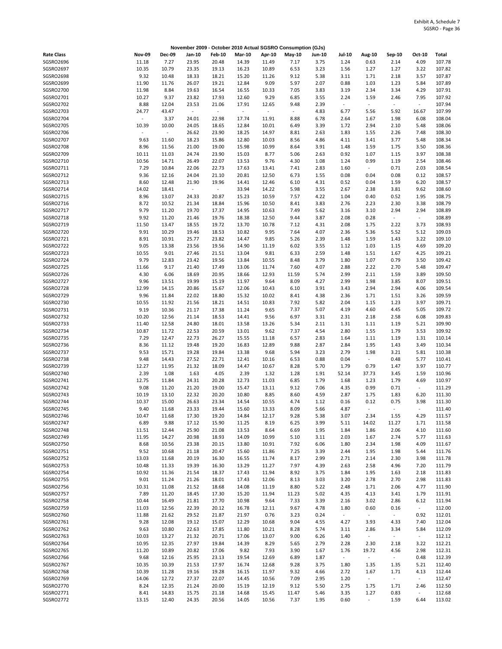|                        |                        |                 |                 |                 |                |                     | November 2009 - October 2010 Actual SGSRO Consumption (GJs) |               |                          |                                  |                          |                          |                  |
|------------------------|------------------------|-----------------|-----------------|-----------------|----------------|---------------------|-------------------------------------------------------------|---------------|--------------------------|----------------------------------|--------------------------|--------------------------|------------------|
| <b>Rate Class</b>      | <b>Nov-09</b>          | <b>Dec-09</b>   | Jan-10          | <b>Feb-10</b>   | <b>Mar-10</b>  | Apr-10              | May-10                                                      | <b>Jun-10</b> | Jul-10                   | <b>Aug-10</b>                    | Sep-10                   | Oct-10                   | Total            |
| SGSRO2696              | 11.18                  | 7.27            | 23.95           | 20.48           | 14.39          | 11.49               | 7.17                                                        | 3.75          | 1.24                     | 0.63                             | 2.14                     | 4.09                     | 107.78           |
| SGSRO2697              | 10.35                  | 10.79           | 23.35           | 19.13           | 16.23          | 10.89               | 6.53                                                        | 3.23          | 1.56                     | 1.27                             | 1.27                     | 3.22                     | 107.82           |
| SGSRO2698              | 9.32                   | 10.48           | 18.33           | 18.21           | 15.20          | 11.26               | 9.12                                                        | 5.38          | 3.11                     | 1.71                             | 2.18                     | 3.57                     | 107.87           |
| SGSRO2699<br>SGSRO2700 | 11.90<br>11.98         | 11.76<br>8.84   | 26.07<br>19.63  | 19.21<br>16.54  | 12.84<br>16.55 | 9.09<br>10.33       | 5.97<br>7.05                                                | 2.07<br>3.83  | 0.88<br>3.19             | 1.03<br>2.34                     | 1.23<br>3.34             | 5.84<br>4.29             | 107.89<br>107.91 |
| SGSRO2701              | 10.27                  | 9.37            | 23.82           | 17.93           | 12.60          | 9.29                | 6.85                                                        | 3.55          | 2.24                     | 1.59                             | 2.46                     | 7.95                     | 107.92           |
| SGSRO2702              | 8.88                   | 12.04           | 23.53           | 21.06           | 17.91          | 12.65               | 9.48                                                        | 2.39          | $\overline{\phantom{a}}$ | $\overline{\phantom{a}}$         | $\blacksquare$           | $\overline{\phantom{a}}$ | 107.94           |
| SGSRO2703              | 24.77                  | 43.47           | $\sim$          | $\bar{z}$       | $\sim$         | $\bar{\phantom{a}}$ | $\omega$                                                    | 4.83          | 6.77                     | 5.56                             | 5.92                     | 16.67                    | 107.99           |
| SGSRO2704              |                        | 3.37            | 24.01           | 22.98           | 17.74          | 11.91               | 8.88                                                        | 6.78          | 2.64                     | 1.67                             | 1.98                     | 6.08                     | 108.04           |
| SGSRO2705              | 10.39                  | 10.00           | 24.05           | 18.65           | 12.84          | 10.01               | 6.49                                                        | 3.39          | 1.72                     | 2.94                             | 2.10                     | 5.48                     | 108.06           |
| SGSRO2706<br>SGSRO2707 | $\blacksquare$<br>9.63 | $\sim$<br>11.60 | 26.62<br>18.23  | 23.90<br>15.86  | 18.25<br>12.80 | 14.97<br>10.03      | 8.81<br>8.56                                                | 2.63<br>4.86  | 1.83<br>4.11             | 1.55<br>3.41                     | 2.26<br>3.77             | 7.48<br>5.48             | 108.30<br>108.34 |
| SGSRO2708              | 8.96                   | 11.56           | 21.00           | 19.00           | 15.98          | 10.99               | 8.64                                                        | 3.91          | 1.48                     | 1.59                             | 1.75                     | 3.50                     | 108.36           |
| SGSRO2709              | 10.11                  | 11.03           | 24.74           | 23.90           | 15.03          | 8.77                | 5.06                                                        | 2.63          | 0.92                     | 1.07                             | 1.15                     | 3.97                     | 108.38           |
| SGSRO2710              | 10.56                  | 14.71           | 26.49           | 22.07           | 13.53          | 9.76                | 4.30                                                        | 1.08          | 1.24                     | 0.99                             | 1.19                     | 2.54                     | 108.46           |
| SGSRO2711              | 7.29                   | 10.84           | 22.06           | 22.73           | 17.63          | 13.41               | 7.41                                                        | 2.83          | 1.60                     | $\overline{\phantom{a}}$         | 0.71                     | 2.03                     | 108.54           |
| SGSRO2712              | 9.36                   | 12.16           | 24.04           | 21.10           | 20.81          | 12.50               | 6.73                                                        | 1.55          | 0.08                     | 0.04                             | 0.08                     | 0.12                     | 108.57           |
| SGSRO2713<br>SGSRO2714 | 8.60<br>14.02          | 12.48<br>18.41  | 21.90<br>$\sim$ | 19.96<br>$\sim$ | 14.41<br>33.94 | 12.46<br>14.22      | 6.10<br>5.98                                                | 4.31<br>3.55  | 0.52<br>2.67             | 0.04<br>2.38                     | 1.59<br>3.81             | 6.20<br>9.62             | 108.57<br>108.60 |
| SGSRO2715              | 8.96                   | 13.07           | 24.33           | 20.87           | 15.23          | 10.59               | 7.57                                                        | 4.22          | 1.04                     | 0.40                             | 0.52                     | 1.95                     | 108.75           |
| SGSRO2716              | 8.72                   | 10.52           | 21.34           | 18.84           | 15.96          | 10.50               | 8.41                                                        | 3.83          | 2.76                     | 2.23                             | 2.30                     | 3.38                     | 108.79           |
| SGSRO2717              | 9.79                   | 11.20           | 19.70           | 17.37           | 14.95          | 10.63               | 7.49                                                        | 5.62          | 3.16                     | 3.10                             | 2.94                     | 2.94                     | 108.89           |
| SGSRO2718              | 9.92                   | 11.20           | 21.46           | 19.76           | 18.38          | 12.50               | 9.44                                                        | 3.87          | 2.08                     | 0.28                             | $\blacksquare$           | $\sim$                   | 108.89           |
| SGSRO2719              | 11.50                  | 13.47           | 18.55           | 19.72           | 13.70          | 10.78               | 7.12                                                        | 4.31          | 2.08                     | 1.75                             | 2.22                     | 3.73                     | 108.93           |
| SGSRO2720              | 9.91                   | 10.29           | 19.46           | 18.53           | 10.82          | 9.95                | 7.64                                                        | 4.07          | 2.36                     | 5.36                             | 5.52                     | 5.12                     | 109.03           |
| SGSRO2721              | 8.91                   | 10.91           | 25.77           | 23.82           | 14.47          | 9.85                | 5.26                                                        | 2.39          | 1.48                     | 1.59                             | 1.43                     | 3.22                     | 109.10           |
| SGSRO2722<br>SGSRO2723 | 9.05<br>10.55          | 13.38<br>9.01   | 23.56<br>27.46  | 19.56<br>21.51  | 14.90<br>13.04 | 11.19<br>9.81       | 6.02<br>6.33                                                | 3.55<br>2.59  | 1.12<br>1.48             | 1.03<br>1.51                     | 1.15<br>1.67             | 4.69<br>4.25             | 109.20<br>109.21 |
| SGSRO2724              | 9.79                   | 12.83           | 23.42           | 19.56           | 13.84          | 10.55               | 8.48                                                        | 3.79          | 1.80                     | 1.07                             | 0.79                     | 3.50                     | 109.42           |
| SGSRO2725              | 11.66                  | 9.17            | 21.40           | 17.49           | 13.06          | 11.74               | 7.60                                                        | 4.07          | 2.88                     | 2.22                             | 2.70                     | 5.48                     | 109.47           |
| SGSRO2726              | 4.30                   | 6.06            | 18.69           | 20.95           | 18.66          | 12.93               | 11.59                                                       | 5.74          | 2.99                     | 2.11                             | 1.59                     | 3.89                     | 109.50           |
| SGSRO2727              | 9.96                   | 13.51           | 19.99           | 15.19           | 11.97          | 9.64                | 8.09                                                        | 4.27          | 2.99                     | 1.98                             | 3.85                     | 8.07                     | 109.51           |
| SGSRO2728              | 12.99                  | 14.15           | 20.86           | 15.67           | 12.06          | 10.43               | 6.10                                                        | 3.91          | 3.43                     | 2.94                             | 2.94                     | 4.06                     | 109.54           |
| SGSRO2729              | 9.96                   | 11.84           | 22.02           | 18.80           | 15.32          | 10.02               | 8.41                                                        | 4.38          | 2.36                     | 1.71                             | 1.51                     | 3.26                     | 109.59           |
| SGSRO2730<br>SGSRO2731 | 10.55<br>9.19          | 11.92<br>10.36  | 21.56<br>21.17  | 18.21<br>17.38  | 14.51<br>11.24 | 10.83<br>9.65       | 7.92<br>7.37                                                | 5.82<br>5.07  | 2.04<br>4.19             | 1.15<br>4.60                     | 1.23<br>4.45             | 3.97<br>5.05             | 109.71<br>109.72 |
| SGSRO2732              | 10.20                  | 12.56           | 21.14           | 18.53           | 14.41          | 9.56                | 6.97                                                        | 3.31          | 2.31                     | 2.18                             | 2.58                     | 6.08                     | 109.83           |
| SGSRO2733              | 11.40                  | 12.58           | 24.80           | 18.01           | 13.58          | 13.26               | 5.34                                                        | 2.11          | 1.31                     | 1.11                             | 1.19                     | 5.21                     | 109.90           |
| SGSRO2734              | 10.87                  | 11.72           | 22.53           | 20.59           | 13.01          | 9.62                | 7.37                                                        | 4.54          | 2.80                     | 1.55                             | 1.79                     | 3.53                     | 109.92           |
| SGSRO2735              | 7.29                   | 12.47           | 22.73           | 26.27           | 15.55          | 11.18               | 6.57                                                        | 2.83          | 1.64                     | 1.11                             | 1.19                     | 1.31                     | 110.14           |
| SGSRO2736              | 8.36                   | 11.12           | 19.48           | 19.20           | 16.83          | 12.89               | 9.88                                                        | 2.87          | 2.84                     | 1.95                             | 1.43                     | 3.49                     | 110.34           |
| SGSRO2737              | 9.53                   | 15.71           | 19.28           | 19.84           | 13.38          | 9.68                | 5.94                                                        | 3.23          | 2.79                     | 1.98                             | 3.21                     | 5.81                     | 110.38           |
| SGSRO2738<br>SGSRO2739 | 9.48<br>12.27          | 14.43<br>11.95  | 27.52<br>21.32  | 22.71<br>18.09  | 12.41<br>14.47 | 10.16<br>10.67      | 6.53<br>8.28                                                | 0.88<br>5.70  | 0.04<br>1.79             | $\overline{\phantom{a}}$<br>0.79 | 0.48<br>1.47             | 5.77<br>3.97             | 110.41<br>110.77 |
| SGSRO2740              | 2.39                   | 1.08            | 1.63            | 4.05            | 2.39           | 1.32                | 1.28                                                        | 1.91          | 52.14                    | 37.73                            | 3.45                     | 1.59                     | 110.96           |
| SGSRO2741              | 12.75                  | 11.84           | 24.31           | 20.28           | 12.73          | 11.03               | 6.85                                                        | 1.79          | 1.68                     | 1.23                             | 1.79                     | 4.69                     | 110.97           |
| SGSRO2742              | 9.08                   | 11.20           | 21.20           | 19.00           | 15.47          | 13.11               | 9.12                                                        | 7.06          | 4.35                     | 0.99                             | 0.71                     | $\blacksquare$           | 111.29           |
| SGSRO2743              | 10.19                  | 13.10           | 22.32           | 20.20           | 10.80          | 8.85                | 8.60                                                        | 4.59          | 2.87                     | 1.75                             | 1.83                     | 6.20                     | 111.30           |
| SGSRO2744              | 10.37                  | 15.00           | 26.63           | 23.34           | 14.54          | 10.55               | 4.74                                                        | 1.12          | 0.16                     | 0.12                             | 0.75                     | 3.98                     | 111.30           |
| SGSRO2745<br>SGSRO2746 | 9.40<br>10.47          | 11.68<br>11.68  | 23.33<br>17.30  | 19.44<br>19.20  | 15.60<br>14.84 | 13.33<br>12.17      | 8.09<br>9.28                                                | 5.66<br>5.38  | 4.87<br>3.07             | 2.34                             | 1.55                     | 4.29                     | 111.40<br>111.57 |
| SGSRO2747              | 6.89                   | 9.88            | 17.12           | 15.90           | 11.25          | 8.19                | 6.25                                                        | 3.99          | 5.11                     | 14.02                            | 11.27                    | 1.71                     | 111.58           |
| SGSRO2748              | 11.51                  | 12.44           | 25.90           | 21.08           | 13.53          | 8.64                | 6.69                                                        | 1.95          | 1.84                     | 1.86                             | 2.06                     | 4.10                     | 111.60           |
| SGSRO2749              | 11.95                  | 14.27           | 20.98           | 18.93           | 14.09          | 10.99               | 5.10                                                        | 3.11          | 2.03                     | 1.67                             | 2.74                     | 5.77                     | 111.63           |
| SGSRO2750              | 8.68                   | 10.56           | 23.38           | 20.15           | 13.80          | 10.91               | 7.92                                                        | 6.06          | 1.80                     | 2.34                             | 1.98                     | 4.09                     | 111.67           |
| SGSRO2751              | 9.52                   | 10.68           | 21.18           | 20.47           | 15.60          | 11.86               | 7.25                                                        | 3.39          | 2.44                     | 1.95                             | 1.98                     | 5.44                     | 111.76           |
| SGSRO2752<br>SGSRO2753 | 13.03<br>10.48         | 11.68<br>11.33  | 20.19<br>19.39  | 16.30<br>16.30  | 16.55<br>13.29 | 11.74<br>11.27      | 8.17<br>7.97                                                | 2.99<br>4.39  | 2.71<br>2.63             | 2.14<br>2.58                     | 2.30<br>4.96             | 3.98<br>7.20             | 111.78<br>111.79 |
| SGSRO2754              | 10.92                  | 11.36           | 21.54           | 18.37           | 17.43          | 11.94               | 8.92                                                        | 3.75          | 1.84                     | 1.95                             | 1.63                     | 2.18                     | 111.83           |
| SGSRO2755              | 9.01                   | 11.24           | 21.26           | 18.01           | 17.43          | 12.06               | 8.13                                                        | 3.03          | 3.20                     | 2.78                             | 2.70                     | 2.98                     | 111.83           |
| SGSRO2756              | 10.31                  | 11.08           | 21.52           | 18.68           | 14.08          | 11.19               | 8.80                                                        | 5.22          | 2.48                     | 1.71                             | 2.06                     | 4.77                     | 111.90           |
| <b>SGSRO2757</b>       | 7.89                   | 11.20           | 18.45           | 17.30           | 15.20          | 11.94               | 11.23                                                       | 5.02          | 4.35                     | 4.13                             | 3.41                     | 1.79                     | 111.91           |
| SGSRO2758              | 10.44                  | 16.49           | 21.81           | 17.70           | 10.98          | 9.64                | 7.33                                                        | 3.39          | 2.16                     | 3.02                             | 2.86                     | 6.12                     | 111.94           |
| SGSRO2759              | 11.03                  | 12.56           | 22.39           | 20.12           | 16.78          | 12.11               | 9.67                                                        | 4.78          | 1.80                     | 0.60                             | 0.16                     | $\sim$                   | 112.00           |
| SGSRO2760<br>SGSRO2761 | 11.88<br>9.28          | 21.62<br>12.08  | 29.52<br>19.12  | 21.87<br>15.07  | 21.97<br>12.29 | 0.76<br>10.68       | 3.23<br>9.04                                                | 0.24<br>4.55  | $\omega_{\rm c}$<br>4.27 | $\overline{\phantom{a}}$<br>3.93 | $\omega_{\rm c}$<br>4.33 | 0.92<br>7.40             | 112.01<br>112.04 |
| SGSRO2762              | 9.63                   | 10.80           | 22.63           | 17.85           | 11.80          | 10.21               | 8.28                                                        | 5.74          | 3.11                     | 2.86                             | 3.34                     | 5.84                     | 112.09           |
| SGSRO2763              | 10.03                  | 13.27           | 21.32           | 20.71           | 17.06          | 13.07               | 9.00                                                        | 6.26          | 1.40                     | $\blacksquare$                   | $\sim$                   | $\sim$                   | 112.12           |
| SGSRO2764              | 10.95                  | 12.35           | 27.97           | 19.84           | 14.39          | 8.29                | 5.65                                                        | 2.79          | 2.28                     | 2.30                             | 2.18                     | 3.22                     | 112.21           |
| SGSRO2765              | 11.20                  | 10.89           | 20.82           | 17.06           | 9.82           | 7.93                | 3.90                                                        | 1.67          | 1.76                     | 19.72                            | 4.56                     | 2.98                     | 112.31           |
| SGSRO2766              | 9.68                   | 12.16           | 25.95           | 23.13           | 19.54          | 12.69               | 6.89                                                        | 1.87          | $\blacksquare$           | $\blacksquare$                   | $\omega$                 | 0.48                     | 112.39           |
| SGSRO2767              | 10.35                  | 10.39           | 21.53           | 17.97           | 16.74          | 12.68               | 9.28                                                        | 3.75          | 1.80                     | 1.35                             | 1.35                     | 5.21                     | 112.40           |
| SGSRO2768<br>SGSRO2769 | 10.39<br>14.06         | 11.28<br>12.72  | 19.16<br>27.37  | 19.28<br>22.07  | 16.15<br>14.45 | 11.97<br>10.56      | 9.32<br>7.09                                                | 4.66<br>2.95  | 2.72<br>1.20             | 1.67<br>$\blacksquare$           | 1.71<br>$\omega_{\rm c}$ | 4.13<br>$\omega$         | 112.44<br>112.47 |
| SGSRO2770              | 8.24                   | 12.35           | 21.24           | 20.00           | 15.19          | 12.19               | 9.12                                                        | 5.50          | 2.75                     | 1.75                             | 1.71                     | 2.46                     | 112.50           |
| SGSRO2771              | 8.41                   | 14.83           | 15.75           | 21.18           | 14.68          | 15.45               | 11.47                                                       | 5.46          | 3.35                     | 1.27                             | 0.83                     | $\sim$                   | 112.68           |
| SGSRO2772              | 13.15                  | 12.40           | 24.35           | 20.56           | 14.05          | 10.56               | 7.37                                                        | 1.95          | 0.60                     | $\sim$                           | 1.59                     | 6.44                     | 113.02           |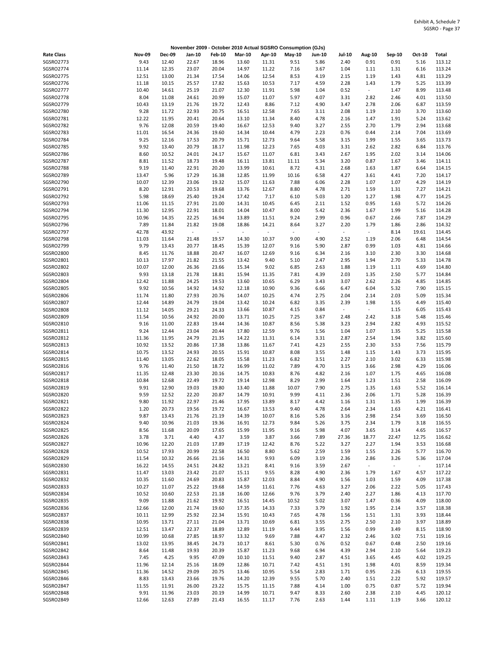|                               |                |                |                             |                          |                |                | November 2009 - October 2010 Actual SGSRO Consumption (GJs) |                          |                          |                          |              |              |                  |
|-------------------------------|----------------|----------------|-----------------------------|--------------------------|----------------|----------------|-------------------------------------------------------------|--------------------------|--------------------------|--------------------------|--------------|--------------|------------------|
| <b>Rate Class</b>             | <b>Nov-09</b>  | <b>Dec-09</b>  | Jan-10                      | <b>Feb-10</b>            | <b>Mar-10</b>  | Apr-10         | May-10                                                      | Jun-10                   | <b>Jul-10</b>            | <b>Aug-10</b>            | Sep-10       | Oct-10       | Total            |
| SGSRO2773                     | 9.43           | 12.40          | 22.67                       | 18.96                    | 13.60          | 11.31          | 9.51                                                        | 5.86                     | 2.40                     | 0.91                     | 0.91         | 5.16         | 113.12           |
| SGSRO2774                     | 11.14          | 12.35          | 23.07                       | 20.04                    | 14.97          | 11.22          | 7.16                                                        | 3.67                     | 1.04                     | 1.11                     | 1.31         | 6.16         | 113.24           |
| SGSRO2775                     | 12.51          | 13.00          | 21.34                       | 17.54                    | 14.06          | 12.54          | 8.53                                                        | 4.19                     | 2.15                     | 1.19                     | 1.43         | 4.81         | 113.29           |
| SGSRO2776                     | 11.18          | 10.15          | 25.57                       | 17.82                    | 15.63          | 10.53          | 7.17                                                        | 4.59                     | 2.28                     | 1.43                     | 1.79         | 5.25         | 113.39           |
| SGSRO2777                     | 10.40<br>8.04  | 14.61<br>11.08 | 25.19                       | 21.07<br>20.99           | 12.30          | 11.91<br>11.07 | 5.98                                                        | 1.04                     | 0.52                     | $\overline{\phantom{a}}$ | 1.47         | 8.99         | 113.48<br>113.50 |
| SGSRO2778<br>SGSRO2779        | 10.43          | 13.19          | 24.61<br>21.76              | 19.72                    | 15.07<br>12.43 | 8.86           | 5.97<br>7.12                                                | 4.07<br>4.90             | 3.31<br>3.47             | 2.82<br>2.78             | 2.46<br>2.06 | 4.01<br>6.87 | 113.59           |
| SGSRO2780                     | 9.28           | 11.72          | 22.93                       | 20.75                    | 16.51          | 12.58          | 7.65                                                        | 3.11                     | 2.08                     | 1.19                     | 2.10         | 3.70         | 113.60           |
| SGSRO2781                     | 12.22          | 11.95          | 20.41                       | 20.64                    | 13.10          | 11.34          | 8.40                                                        | 4.78                     | 2.16                     | 1.47                     | 1.91         | 5.24         | 113.62           |
| SGSRO2782                     | 9.76           | 12.08          | 20.59                       | 19.40                    | 16.67          | 12.53          | 9.40                                                        | 3.27                     | 2.55                     | 2.70                     | 1.79         | 2.94         | 113.68           |
| SGSRO2783                     | 11.01          | 16.54          | 24.36                       | 19.60                    | 14.34          | 10.44          | 4.79                                                        | 2.23                     | 0.76                     | 0.44                     | 2.14         | 7.04         | 113.69           |
| SGSRO2784                     | 9.25           | 12.16          | 17.53                       | 20.79                    | 15.71          | 12.73          | 9.64                                                        | 5.58                     | 3.15                     | 1.99                     | 1.55         | 3.65         | 113.73           |
| SGSRO2785                     | 9.92           | 13.40          | 20.79                       | 18.17                    | 11.98          | 12.23          | 7.65                                                        | 4.03                     | 3.31                     | 2.62                     | 2.82         | 6.84         | 113.76           |
| SGSRO2786                     | 8.60           | 10.52          | 24.01                       | 24.17                    | 15.67          | 11.07          | 6.81                                                        | 3.43                     | 2.67                     | 1.95                     | 2.02         | 3.14         | 114.06           |
| SGSRO2787                     | 8.81           | 11.52          | 18.73                       | 19.48                    | 16.11          | 13.81          | 11.11                                                       | 5.34                     | 3.20                     | 0.87                     | 1.67         | 3.46         | 114.11           |
| <b>SGSRO2788</b>              | 9.19           | 11.40          | 22.91                       | 20.20                    | 13.99          | 10.61          | 8.72                                                        | 4.31                     | 2.68                     | 1.63                     | 1.87         | 6.64         | 114.15           |
| SGSRO2789                     | 13.47          | 5.96           | 17.29                       | 16.38                    | 12.85          | 11.99          | 10.16                                                       | 6.58                     | 4.27                     | 3.61                     | 4.41         | 7.20         | 114.17           |
| SGSRO2790<br>SGSRO2791        | 10.07<br>8.20  | 12.39<br>12.91 | 23.06<br>20.53              | 19.32<br>19.68           | 15.07<br>13.76 | 11.63<br>12.67 | 7.88<br>8.80                                                | 6.06<br>4.78             | 2.28<br>2.71             | 1.07<br>1.59             | 1.07<br>1.31 | 4.29<br>7.27 | 114.19<br>114.21 |
| SGSRO2792                     | 5.98           | 18.69          | 25.40                       | 19.24                    | 17.42          | 7.17           | 6.10                                                        | 5.03                     | 1.20                     | 1.27                     | 1.98         | 4.77         | 114.25           |
| SGSRO2793                     | 11.06          | 11.15          | 27.91                       | 21.00                    | 14.31          | 10.45          | 6.45                                                        | 2.11                     | 1.52                     | 0.95                     | 1.63         | 5.72         | 114.26           |
| SGSRO2794                     | 11.30          | 12.95          | 22.91                       | 18.01                    | 14.04          | 10.47          | 8.00                                                        | 5.42                     | 2.36                     | 1.67                     | 1.99         | 5.16         | 114.28           |
| <b>SGSRO2795</b>              | 10.96          | 14.35          | 22.25                       | 16.94                    | 13.89          | 11.51          | 9.24                                                        | 2.99                     | 0.96                     | 0.67                     | 2.66         | 7.87         | 114.29           |
| SGSRO2796                     | 7.89           | 11.84          | 21.82                       | 19.08                    | 18.86          | 14.21          | 8.64                                                        | 3.27                     | 2.20                     | 1.79                     | 1.86         | 2.86         | 114.32           |
| SGSRO2797                     | 42.78          | 43.92          | $\mathcal{L}_{\mathcal{A}}$ | $\overline{\phantom{a}}$ | $\omega$       | $\blacksquare$ | $\sim$                                                      | $\overline{\phantom{a}}$ | $\overline{\phantom{a}}$ | $\overline{\phantom{a}}$ | 8.14         | 19.61        | 114.45           |
| <b>SGSRO2798</b>              | 11.03          | 11.64          | 21.48                       | 19.57                    | 14.30          | 10.37          | 9.00                                                        | 4.90                     | 2.52                     | 1.19                     | 2.06         | 6.48         | 114.54           |
| SGSRO2799                     | 9.79           | 13.43          | 20.77                       | 18.45                    | 15.39          | 12.07          | 9.16                                                        | 5.90                     | 2.87                     | 0.99                     | 1.03         | 4.81         | 114.66           |
| SGSRO2800                     | 8.45           | 11.76          | 18.88                       | 20.47                    | 16.07          | 12.69          | 9.16                                                        | 6.34                     | 2.16                     | 3.10                     | 2.30         | 3.30         | 114.68           |
| SGSRO2801                     | 10.13          | 17.97          | 21.82                       | 21.55                    | 13.42          | 9.40           | 5.10                                                        | 2.47                     | 2.95                     | 1.94                     | 2.70         | 5.33         | 114.78           |
| SGSRO2802                     | 10.07          | 12.00          | 26.36                       | 23.66                    | 15.34          | 9.02           | 6.85                                                        | 2.63                     | 1.88                     | 1.19                     | 1.11         | 4.69         | 114.80           |
| SGSRO2803<br>SGSRO2804        | 9.93<br>12.42  | 13.18<br>11.88 | 21.78<br>24.25              | 18.81<br>19.53           | 15.94<br>13.60 | 11.35<br>10.65 | 7.81<br>6.29                                                | 4.39<br>3.43             | 2.03<br>3.07             | 1.35<br>2.62             | 2.50<br>2.26 | 5.77<br>4.85 | 114.84           |
| SGSRO2805                     | 9.92           | 10.56          | 14.92                       | 14.92                    | 12.18          | 10.90          | 9.36                                                        | 6.66                     | 6.47                     | 6.04                     | 5.32         | 7.90         | 114.85<br>115.15 |
| SGSRO2806                     | 11.74          | 11.80          | 27.93                       | 20.76                    | 14.07          | 10.25          | 4.74                                                        | 2.75                     | 2.04                     | 2.14                     | 2.03         | 5.09         | 115.34           |
| SGSRO2807                     | 12.44          | 14.89          | 24.79                       | 19.04                    | 13.42          | 10.24          | 6.82                                                        | 3.35                     | 2.39                     | 1.98                     | 1.55         | 4.49         | 115.40           |
| <b>SGSRO2808</b>              | 11.12          | 14.05          | 29.21                       | 24.33                    | 13.66          | 10.87          | 4.15                                                        | 0.84                     | $\blacksquare$           | $\sim$                   | 1.15         | 6.05         | 115.43           |
| SGSRO2809                     | 11.54          | 10.56          | 24.92                       | 20.00                    | 13.71          | 10.25          | 7.25                                                        | 3.67                     | 2.48                     | 2.42                     | 3.18         | 5.48         | 115.46           |
| SGSRO2810                     | 9.16           | 11.00          | 22.83                       | 19.44                    | 14.36          | 10.87          | 8.56                                                        | 5.38                     | 3.23                     | 2.94                     | 2.82         | 4.93         | 115.52           |
| SGSRO2811                     | 9.24           | 12.44          | 23.04                       | 20.44                    | 17.80          | 12.59          | 9.76                                                        | 1.56                     | 1.04                     | 1.07                     | 1.35         | 5.25         | 115.58           |
| SGSRO2812                     | 11.36          | 11.95          | 24.79                       | 21.35                    | 14.22          | 11.31          | 6.14                                                        | 3.31                     | 2.87                     | 2.54                     | 1.94         | 3.82         | 115.60           |
| SGSRO2813                     | 10.92          | 13.52          | 20.86                       | 17.38                    | 13.86          | 11.67          | 7.41                                                        | 4.23                     | 2.55                     | 2.30                     | 3.53         | 7.56         | 115.79           |
| SGSRO2814                     | 10.75          | 13.52          | 24.93                       | 20.55                    | 15.91          | 10.87          | 8.08                                                        | 3.55                     | 1.48                     | 1.15                     | 1.43         | 3.73         | 115.95           |
| SGSRO2815                     | 11.40          | 13.05          | 22.62                       | 18.05                    | 15.58          | 11.23          | 6.82                                                        | 3.51                     | 2.27                     | 2.10                     | 3.02         | 6.33         | 115.98           |
| SGSRO2816<br>SGSRO2817        | 9.76<br>11.35  | 11.40<br>12.48 | 21.50<br>23.30              | 18.72<br>20.16           | 16.99<br>14.75 | 11.02<br>10.83 | 7.89<br>8.76                                                | 4.70<br>4.82             | 3.15<br>2.16             | 3.66<br>1.07             | 2.98<br>1.75 | 4.29<br>4.65 | 116.06<br>116.08 |
| SGSRO2818                     | 10.84          | 12.68          | 22.49                       | 19.72                    | 19.14          | 12.98          | 8.29                                                        | 2.99                     | 1.64                     | 1.23                     | 1.51         | 2.58         | 116.09           |
| SGSRO2819                     | 9.91           | 12.90          | 19.03                       | 19.80                    | 13.40          | 11.88          | 10.07                                                       | 7.90                     | 2.75                     | 1.35                     | 1.63         | 5.52         | 116.14           |
| SGSRO2820                     | 9.59           | 12.52          | 22.20                       | 20.87                    | 14.79          | 10.91          | 9.99                                                        | 4.11                     | 2.36                     | 2.06                     | 1.71         | 5.28         | 116.39           |
| SGSRO2821                     | 9.80           | 11.92          | 22.97                       | 21.46                    | 17.95          | 13.89          | 8.17                                                        | 4.42                     | 1.16                     | 1.31                     | 1.35         | 1.99         | 116.39           |
| <b>SGSRO2822</b>              | 1.20           | 20.73          | 19.56                       | 19.72                    | 16.67          | 13.53          | 9.40                                                        | 4.78                     | 2.64                     | 2.34                     | 1.63         | 4.21         | 116.41           |
| SGSRO2823                     | 9.87           | 13.43          | 21.76                       | 21.19                    | 14.39          | 10.07          | 8.16                                                        | 5.26                     | 3.16                     | 2.98                     | 2.54         | 3.69         | 116.50           |
| SGSRO2824                     | 9.40           | 10.96          | 21.03                       | 19.36                    | 16.91          | 12.73          | 9.84                                                        | 5.26                     | 3.75                     | 2.34                     | 1.79         | 3.18         | 116.55           |
| SGSRO2825                     | 8.56           | 11.68          | 20.09                       | 17.65                    | 15.99          | 11.95          | 9.16                                                        | 5.98                     | 4.07                     | 3.65                     | 3.14         | 4.65         | 116.57           |
| SGSRO2826                     | 3.78           | 3.71           | 4.40                        | 4.37                     | 3.59           | 3.87           | 3.66                                                        | 7.89                     | 27.36                    | 18.77                    | 22.47        | 12.75        | 116.62           |
| <b>SGSRO2827</b><br>SGSRO2828 | 10.96<br>10.52 | 12.20<br>17.93 | 21.03                       | 17.89                    | 17.19          | 12.42<br>8.80  | 8.76                                                        | 5.22<br>2.59             | 3.27<br>1.59             | 2.27                     | 1.94         | 3.53<br>5.77 | 116.68           |
| SGSRO2829                     | 11.54          | 10.32          | 20.99<br>26.66              | 22.58<br>21.16           | 16.50<br>14.31 | 9.93           | 5.62<br>6.09                                                | 3.19                     | 2.36                     | 1.55<br>2.86             | 2.26<br>3.26 | 5.36         | 116.70<br>117.04 |
| SGSRO2830                     | 16.22          | 14.55          | 24.51                       | 24.82                    | 13.21          | 8.41           | 9.16                                                        | 3.59                     | 2.67                     | $\overline{\phantom{a}}$ | $\sim$       | $\sim$       | 117.14           |
| SGSRO2831                     | 11.47          | 13.03          | 23.42                       | 21.07                    | 15.11          | 9.55           | 8.28                                                        | 4.90                     | 2.36                     | 1.79                     | 1.67         | 4.57         | 117.22           |
| SGSRO2832                     | 10.35          | 11.60          | 24.69                       | 20.83                    | 15.87          | 12.03          | 8.84                                                        | 4.90                     | 1.56                     | 1.03                     | 1.59         | 4.09         | 117.38           |
| SGSRO2833                     | 10.27          | 11.07          | 25.22                       | 19.68                    | 14.59          | 11.61          | 7.76                                                        | 4.63                     | 3.27                     | 2.06                     | 2.22         | 5.05         | 117.43           |
| SGSRO2834                     | 10.52          | 10.60          | 22.53                       | 21.18                    | 16.00          | 12.66          | 9.76                                                        | 3.79                     | 2.40                     | 2.27                     | 1.86         | 4.13         | 117.70           |
| SGSRO2835                     | 9.09           | 11.88          | 21.62                       | 19.92                    | 16.51          | 14.45          | 10.52                                                       | 5.02                     | 3.07                     | 1.47                     | 0.36         | 4.09         | 118.00           |
| SGSRO2836                     | 12.66          | 12.00          | 21.74                       | 19.60                    | 17.35          | 14.33          | 7.33                                                        | 3.79                     | 1.92                     | 1.95                     | 2.14         | 3.57         | 118.38           |
| SGSRO2837                     | 10.11          | 12.99          | 25.92                       | 22.34                    | 15.91          | 10.43          | 7.65                                                        | 4.78                     | 1.56                     | 1.51                     | 1.31         | 3.93         | 118.44           |
| SGSRO2838                     | 10.95          | 13.71          | 27.11                       | 21.04                    | 13.71          | 10.69          | 6.81                                                        | 3.55                     | 2.75                     | 2.50                     | 2.10         | 3.97         | 118.89           |
| SGSRO2839                     | 12.51          | 13.47          | 22.37                       | 18.89                    | 12.89          | 11.19          | 9.44                                                        | 3.95                     | 1.56                     | 0.99                     | 3.49         | 8.15         | 118.90           |
| SGSRO2840<br>SGSRO2841        | 10.99<br>13.02 | 10.68<br>13.95 | 27.85<br>38.45              | 18.97<br>24.73           | 13.32<br>10.17 | 9.69<br>8.61   | 7.88                                                        | 4.47<br>0.76             | 2.32<br>0.52             | 2.46<br>0.67             | 3.02<br>0.48 | 7.51<br>2.50 | 119.16<br>119.16 |
| SGSRO2842                     | 8.64           | 11.48          | 19.93                       | 20.39                    | 15.87          | 11.23          | 5.30<br>9.68                                                | 6.94                     | 4.39                     | 2.94                     | 2.10         | 5.64         | 119.23           |
| SGSRO2843                     | 7.45           | 4.25           | 9.95                        | 47.09                    | 10.10          | 11.51          | 9.40                                                        | 2.87                     | 4.51                     | 3.65                     | 4.45         | 4.02         | 119.25           |
| SGSRO2844                     | 11.96          | 12.14          | 25.16                       | 18.09                    | 12.86          | 10.71          | 7.42                                                        | 4.51                     | 1.91                     | 1.98                     | 4.01         | 8.59         | 119.34           |
| SGSRO2845                     | 11.36          | 14.52          | 29.09                       | 20.75                    | 13.46          | 10.95          | 5.54                                                        | 2.83                     | 1.71                     | 0.95                     | 2.26         | 6.13         | 119.55           |
| SGSRO2846                     | 8.83           | 13.43          | 23.66                       | 19.76                    | 14.20          | 12.39          | 9.55                                                        | 5.70                     | 2.40                     | 1.51                     | 2.22         | 5.92         | 119.57           |
| SGSRO2847                     | 11.55          | 11.91          | 26.00                       | 23.22                    | 15.75          | 11.15          | 7.88                                                        | 4.14                     | 1.00                     | 0.75                     | 0.87         | 5.72         | 119.94           |
| SGSRO2848                     | 9.91           | 11.96          | 23.03                       | 20.19                    | 14.99          | 10.71          | 9.47                                                        | 8.33                     | 2.60                     | 2.38                     | 2.10         | 4.45         | 120.12           |
| SGSRO2849                     | 12.66          | 12.63          | 27.89                       | 21.43                    | 16.55          | 11.17          | 7.76                                                        | 2.63                     | 1.44                     | 1.11                     | 1.19         | 3.66         | 120.12           |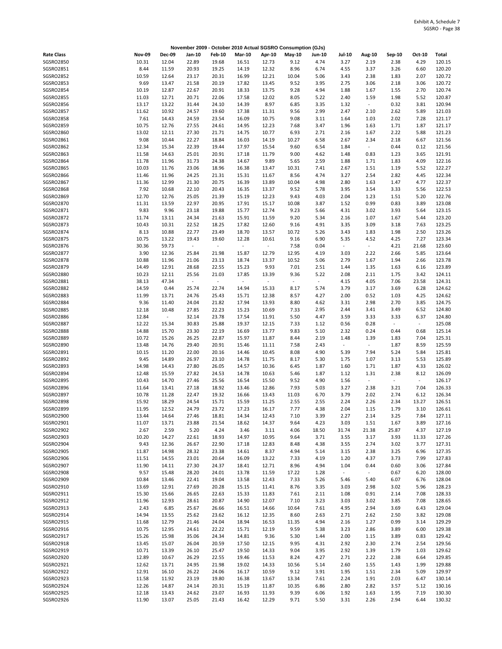|                               |                |                          |                |                          |                |                | November 2009 - October 2010 Actual SGSRO Consumption (GJs) |              |                          |                          |              |               |                  |
|-------------------------------|----------------|--------------------------|----------------|--------------------------|----------------|----------------|-------------------------------------------------------------|--------------|--------------------------|--------------------------|--------------|---------------|------------------|
| <b>Rate Class</b>             | <b>Nov-09</b>  | <b>Dec-09</b>            | Jan-10         | <b>Feb-10</b>            | <b>Mar-10</b>  | Apr-10         | May-10                                                      | Jun-10       | <b>Jul-10</b>            | <b>Aug-10</b>            | Sep-10       | Oct-10        | Total            |
| SGSRO2850                     | 10.31          | 12.04                    | 22.89          | 19.68                    | 16.51          | 12.73          | 9.12                                                        | 4.74         | 3.27                     | 2.19                     | 2.38         | 4.29          | 120.15           |
| SGSRO2851                     | 8.44           | 11.59                    | 20.93          | 19.25                    | 14.19          | 12.32          | 8.96                                                        | 6.74         | 4.55                     | 3.37                     | 3.26         | 6.60          | 120.20           |
| SGSRO2852                     | 10.59          | 12.64                    | 23.17          | 20.31                    | 16.99          | 12.21          | 10.04                                                       | 5.06         | 3.43                     | 2.38                     | 1.83         | 2.07          | 120.72           |
| SGSRO2853                     | 9.69           | 13.47                    | 21.58          | 20.19                    | 17.82          | 13.45          | 9.52                                                        | 3.95         | 2.75                     | 3.06                     | 2.18         | 3.06          | 120.72           |
| SGSRO2854<br><b>SGSRO2855</b> | 10.19<br>11.03 | 12.87<br>12.71           | 22.67<br>20.71 | 20.91                    | 18.33<br>17.58 | 13.75<br>12.02 | 9.28<br>8.05                                                | 4.94<br>5.22 | 1.88<br>2.40             | 1.67<br>1.59             | 1.55<br>1.98 | 2.70<br>5.52  | 120.74<br>120.87 |
| SGSRO2856                     | 13.17          | 13.22                    | 31.44          | 22.06<br>24.10           | 14.39          | 8.97           | 6.85                                                        | 3.35         | 1.32                     | $\overline{\phantom{a}}$ | 0.32         | 3.81          | 120.94           |
| <b>SGSRO2857</b>              | 11.62          | 10.92                    | 24.57          | 19.60                    | 17.38          | 11.31          | 9.56                                                        | 2.99         | 2.47                     | 2.10                     | 2.62         | 5.89          | 121.03           |
| <b>SGSRO2858</b>              | 7.61           | 14.43                    | 24.59          | 23.54                    | 16.09          | 10.75          | 9.08                                                        | 3.11         | 1.64                     | 1.03                     | 2.02         | 7.28          | 121.17           |
| SGSRO2859                     | 10.75          | 12.76                    | 27.55          | 24.61                    | 14.95          | 12.23          | 7.68                                                        | 3.47         | 1.96                     | 1.63                     | 1.71         | 1.87          | 121.17           |
| SGSRO2860                     | 13.02          | 12.11                    | 27.30          | 21.71                    | 14.75          | 10.77          | 6.93                                                        | 2.71         | 2.16                     | 1.67                     | 2.22         | 5.88          | 121.23           |
| SGSRO2861                     | 9.08           | 10.44                    | 22.27          | 18.84                    | 16.03          | 14.19          | 10.27                                                       | 6.58         | 2.67                     | 2.34                     | 2.18         | 6.67          | 121.56           |
| SGSRO2862                     | 12.34          | 15.34                    | 22.39          | 19.44                    | 17.97          | 15.54          | 9.60                                                        | 6.54         | 1.84                     | $\overline{\phantom{a}}$ | 0.44         | 0.12          | 121.56           |
| SGSRO2863                     | 11.58          | 14.63                    | 25.01          | 20.91                    | 17.18          | 11.79          | 9.00                                                        | 4.62         | 1.48                     | 0.83                     | 1.23         | 3.65          | 121.91           |
| SGSRO2864                     | 11.78          | 11.96                    | 31.73          | 24.38                    | 14.67          | 9.89           | 5.65                                                        | 2.59         | 1.88                     | 1.71                     | 1.83         | 4.09          | 122.16           |
| SGSRO2865                     | 10.03          | 11.76                    | 23.06          | 18.96                    | 16.38          | 13.47          | 10.31                                                       | 7.41         | 2.67                     | 1.51                     | 1.19         | 5.52          | 122.27           |
| SGSRO2866                     | 11.46          | 11.96                    | 24.25          | 21.31                    | 15.31          | 11.67          | 8.56                                                        | 4.74         | 3.27                     | 2.54                     | 2.82         | 4.45          | 122.34           |
| SGSRO2867                     | 11.36          | 12.99                    | 21.30          | 20.75                    | 16.39          | 13.89          | 10.04                                                       | 4.98         | 2.80                     | 1.63                     | 1.47         | 4.77          | 122.37           |
| <b>SGSRO2868</b><br>SGSRO2869 | 7.92<br>12.70  | 10.68<br>12.76           | 22.10<br>25.05 | 20.43<br>21.39           | 16.35<br>15.19 | 13.37<br>12.23 | 9.52<br>9.43                                                | 5.78<br>4.03 | 3.95<br>2.04             | 3.54<br>1.23             | 3.33<br>1.51 | 5.56<br>5.20  | 122.53<br>122.76 |
| SGSRO2870                     | 11.31          | 13.59                    | 22.97          | 20.95                    | 17.91          | 15.17          | 10.08                                                       | 3.87         | 1.52                     | 0.99                     | 0.83         | 3.89          | 123.08           |
| SGSRO2871                     | 9.83           | 9.96                     | 23.18          | 19.88                    | 15.77          | 12.74          | 9.23                                                        | 5.66         | 4.31                     | 3.02                     | 3.93         | 5.64          | 123.15           |
| SGSRO2872                     | 11.74          | 13.11                    | 24.34          | 21.63                    | 15.91          | 11.59          | 9.20                                                        | 5.34         | 2.16                     | 1.07                     | 1.67         | 5.44          | 123.20           |
| SGSRO2873                     | 10.43          | 10.31                    | 22.52          | 18.25                    | 17.82          | 12.60          | 9.16                                                        | 4.91         | 3.35                     | 3.09                     | 3.18         | 7.63          | 123.25           |
| SGSRO2874                     | 8.13           | 10.88                    | 22.77          | 23.49                    | 18.70          | 13.57          | 10.72                                                       | 5.26         | 3.43                     | 1.83                     | 1.98         | 2.50          | 123.26           |
| <b>SGSRO2875</b>              | 10.75          | 13.22                    | 19.43          | 19.60                    | 12.28          | 10.61          | 9.16                                                        | 6.90         | 5.35                     | 4.52                     | 4.25         | 7.27          | 123.34           |
| SGSRO2876                     | 30.36          | 59.73                    | $\omega$       | $\overline{\phantom{a}}$ | $\omega$       | $\blacksquare$ | 7.58                                                        | 0.04         | $\overline{\phantom{a}}$ | $\blacksquare$           | 4.21         | 21.68         | 123.60           |
| <b>SGSRO2877</b>              | 3.90           | 12.36                    | 25.84          | 21.98                    | 15.87          | 12.79          | 12.95                                                       | 4.19         | 3.03                     | 2.22                     | 2.66         | 5.85          | 123.64           |
| <b>SGSRO2878</b>              | 10.88          | 11.96                    | 21.06          | 23.13                    | 18.74          | 13.37          | 10.52                                                       | 5.06         | 2.79                     | 1.67                     | 1.94         | 2.66          | 123.78           |
| SGSRO2879                     | 14.49          | 12.91                    | 28.68          | 22.55                    | 15.23          | 9.93           | 7.01                                                        | 2.51         | 1.44                     | 1.35                     | 1.63         | 6.16          | 123.89           |
| <b>SGSRO2880</b>              | 10.23          | 12.11                    | 25.56          | 21.03                    | 17.85          | 13.39          | 9.36                                                        | 5.22         | 2.08                     | 2.11                     | 1.75         | 3.42          | 124.11           |
| SGSRO2881                     | 38.13          | 47.34                    | $\omega$       | $\overline{\phantom{a}}$ | $\sim$         | $\sim$         | ÷,                                                          | $\omega$     | 4.15                     | 4.05                     | 7.06         | 23.58         | 124.31           |
| <b>SGSRO2882</b>              | 14.59          | 0.44                     | 25.74          | 22.74                    | 14.94          | 15.33          | 8.17                                                        | 5.74         | 3.79                     | 3.17                     | 3.69         | 6.28          | 124.62           |
| SGSRO2883<br>SGSRO2884        | 11.99<br>9.36  | 13.71<br>11.40           | 24.76          | 25.43                    | 15.71          | 12.38<br>13.93 | 8.57<br>8.80                                                | 4.27         | 2.00<br>3.31             | 0.52<br>2.98             | 1.03<br>2.70 | 4.25<br>3.85  | 124.62<br>124.75 |
| <b>SGSRO2885</b>              | 12.18          | 10.48                    | 24.04<br>27.85 | 21.82<br>22.23           | 17.94<br>15.23 | 10.69          | 7.33                                                        | 4.62<br>2.95 | 2.44                     | 3.41                     | 3.49         | 6.52          | 124.80           |
| SGSRO2886                     | 12.84          | $\overline{\phantom{a}}$ | 32.14          | 23.78                    | 17.54          | 11.91          | 5.50                                                        | 4.47         | 3.59                     | 3.33                     | 3.33         | 6.37          | 124.80           |
| <b>SGSRO2887</b>              | 12.22          | 15.34                    | 30.83          | 25.88                    | 19.37          | 12.15          | 7.33                                                        | 1.12         | 0.56                     | 0.28                     | ÷.           | $\sim$        | 125.08           |
| <b>SGSRO2888</b>              | 14.88          | 15.70                    | 23.30          | 22.19                    | 16.69          | 13.77          | 9.83                                                        | 5.10         | 2.32                     | 0.24                     | 0.44         | 0.68          | 125.14           |
| SGSRO2889                     | 10.72          | 15.26                    | 26.25          | 22.87                    | 15.97          | 11.87          | 8.44                                                        | 2.19         | 1.48                     | 1.39                     | 1.83         | 7.04          | 125.31           |
| SGSRO2890                     | 13.48          | 14.76                    | 29.40          | 20.91                    | 15.46          | 11.11          | 7.58                                                        | 2.43         | $\overline{\phantom{a}}$ | $\overline{\phantom{a}}$ | 1.87         | 8.59          | 125.59           |
| SGSRO2891                     | 10.15          | 11.20                    | 22.00          | 20.16                    | 14.46          | 10.45          | 8.08                                                        | 4.90         | 5.39                     | 7.94                     | 5.24         | 5.84          | 125.81           |
| SGSRO2892                     | 9.45           | 14.89                    | 26.97          | 23.10                    | 14.78          | 11.75          | 8.17                                                        | 5.30         | 1.75                     | 1.07                     | 3.13         | 5.53          | 125.89           |
| SGSRO2893                     | 14.98          | 14.43                    | 27.80          | 26.05                    | 14.57          | 10.36          | 6.45                                                        | 1.87         | 1.60                     | 1.71                     | 1.87         | 4.33          | 126.02           |
| SGSRO2894                     | 12.48          | 15.59                    | 27.82          | 24.53                    | 14.78          | 10.63          | 5.46                                                        | 1.87         | 1.12                     | 1.31                     | 2.38         | 8.12          | 126.09           |
| <b>SGSRO2895</b>              | 10.43          | 14.70                    | 27.46          | 25.56                    | 16.54          | 15.50          | 9.52                                                        | 4.90         | 1.56                     | $\overline{\phantom{a}}$ | $\Box$       | $\sim$        | 126.17           |
| SGSRO2896                     | 11.64          | 13.41                    | 27.18          | 18.92                    | 13.46          | 12.86          | 7.93                                                        | 5.03         | 3.27                     | 2.38                     | 3.21         | 7.04          | 126.33           |
| SGSRO2897                     | 10.78          | 11.28                    | 22.47          | 19.32                    | 16.66          | 13.43          | 11.03                                                       | 6.70         | 3.79                     | 2.02                     | 2.74         | 6.12          | 126.34           |
| <b>SGSRO2898</b><br>SGSRO2899 | 15.92<br>11.95 | 18.29<br>12.52           | 24.54<br>24.79 | 15.71<br>23.72           | 15.59<br>17.23 | 11.25<br>16.17 | 2.55<br>7.77                                                | 2.55<br>4.38 | 2.24<br>2.04             | 2.26<br>1.15             | 2.34<br>1.79 | 13.27<br>3.10 | 126.51<br>126.61 |
| SGSRO2900                     | 13.44          | 14.64                    | 27.46          | 18.81                    | 14.34          | 12.43          | 7.10                                                        | 3.39         | 2.27                     | 2.14                     | 3.25         | 7.84          | 127.11           |
| SGSRO2901                     | 11.07          | 13.71                    | 23.88          | 21.54                    | 18.62          | 14.37          | 9.64                                                        | 4.23         | 3.03                     | 1.51                     | 1.67         | 3.89          | 127.16           |
| SGSRO2902                     | 2.67           | 2.59                     | 5.20           | 4.24                     | 3.46           | 3.11           | 4.06                                                        | 18.50        | 31.74                    | 21.38                    | 25.87        | 4.37          | 127.19           |
| SGSRO2903                     | 10.20          | 14.27                    | 22.61          | 18.93                    | 14.97          | 10.95          | 9.64                                                        | 3.71         | 3.55                     | 3.17                     | 3.93         | 11.33         | 127.26           |
| SGSRO2904                     | 9.43           | 12.36                    | 26.67          | 22.90                    | 17.18          | 12.83          | 8.48                                                        | 4.38         | 3.55                     | 2.74                     | 3.02         | 3.77          | 127.31           |
| SGSRO2905                     | 11.87          | 14.98                    | 28.32          | 23.38                    | 14.61          | 8.37           | 4.94                                                        | 5.14         | 3.15                     | 2.38                     | 3.25         | 6.96          | 127.35           |
| SGSRO2906                     | 11.51          | 14.55                    | 23.01          | 20.64                    | 16.09          | 13.22          | 7.33                                                        | 4.19         | 1.20                     | 4.37                     | 3.73         | 7.99          | 127.83           |
| SGSRO2907                     | 11.90          | 14.11                    | 27.30          | 24.37                    | 18.41          | 12.71          | 8.96                                                        | 4.94         | 1.04                     | 0.44                     | 0.60         | 3.06          | 127.84           |
| SGSRO2908                     | 9.57           | 15.48                    | 28.20          | 24.01                    | 13.78          | 11.59          | 17.22                                                       | 1.28         | $\omega_{\rm c}$         | $\blacksquare$           | 0.67         | 6.20          | 128.00           |
| SGSRO2909                     | 10.84          | 13.46                    | 22.41          | 19.04                    | 13.58          | 12.43          | 7.33                                                        | 5.26         | 5.46                     | 5.40                     | 6.07         | 6.76          | 128.04           |
| SGSRO2910                     | 13.69          | 12.91                    | 27.69          | 20.28                    | 15.15          | 11.41          | 8.76                                                        | 3.35         | 3.03                     | 2.98                     | 3.02         | 5.96          | 128.23           |
| SGSRO2911                     | 15.30          | 15.66                    | 26.65          | 22.63                    | 15.33          | 11.83          | 7.61                                                        | 2.11         | 1.08                     | 0.91                     | 2.14         | 7.08          | 128.33           |
| SGSRO2912<br>SGSRO2913        | 11.96<br>2.43  | 12.93<br>6.85            | 28.61<br>25.67 | 20.87                    | 14.90<br>16.51 | 12.07<br>14.66 | 7.10<br>10.64                                               | 3.23<br>7.61 | 3.03<br>4.95             | 3.02                     | 3.85<br>3.69 | 7.08<br>6.43  | 128.65<br>129.04 |
| SGSRO2914                     | 14.94          | 13.55                    | 25.62          | 26.66<br>23.62           | 16.12          | 12.35          | 8.60                                                        | 2.63         | 2.71                     | 2.94<br>2.62             | 2.50         | 3.82          | 129.08           |
| SGSRO2915                     | 11.68          | 12.79                    | 21.46          | 24.04                    | 18.94          | 16.53          | 11.35                                                       | 4.94         | 2.16                     | 1.27                     | 0.99         | 3.14          | 129.29           |
| SGSRO2916                     | 10.75          | 12.95                    | 24.61          | 22.22                    | 15.71          | 12.19          | 9.59                                                        | 5.38         | 3.23                     | 2.86                     | 3.89         | 6.00          | 129.38           |
| SGSRO2917                     | 15.26          | 15.98                    | 35.06          | 24.34                    | 14.81          | 9.36           | 5.30                                                        | 1.44         | 2.00                     | 1.15                     | 3.89         | 0.83          | 129.42           |
| SGSRO2918                     | 13.45          | 15.07                    | 26.04          | 20.59                    | 17.50          | 12.15          | 9.95                                                        | 4.31         | 2.92                     | 2.30                     | 2.74         | 2.54          | 129.56           |
| SGSRO2919                     | 10.71          | 13.39                    | 26.10          | 25.47                    | 19.50          | 14.33          | 9.04                                                        | 3.95         | 2.92                     | 1.39                     | 1.79         | 1.03          | 129.62           |
| SGSRO2920                     | 12.89          | 10.67                    | 26.29          | 22.55                    | 19.46          | 11.53          | 8.24                                                        | 4.27         | 2.71                     | 2.22                     | 2.38         | 6.64          | 129.85           |
| SGSRO2921                     | 12.62          | 13.71                    | 24.95          | 21.98                    | 19.02          | 14.33          | 10.56                                                       | 5.14         | 2.60                     | 1.55                     | 1.43         | 1.99          | 129.88           |
| SGSRO2922                     | 12.91          | 16.10                    | 26.22          | 24.06                    | 16.17          | 10.59          | 9.12                                                        | 3.91         | 1.95                     | 1.51                     | 2.34         | 5.09          | 129.97           |
| SGSRO2923                     | 11.58          | 11.92                    | 23.19          | 19.80                    | 16.38          | 13.67          | 13.34                                                       | 7.61         | 2.24                     | 1.91                     | 2.03         | 6.47          | 130.14           |
| SGSRO2924                     | 12.26          | 14.87                    | 24.14          | 20.31                    | 15.19          | 11.87          | 10.35                                                       | 6.86         | 2.80                     | 2.82                     | 3.57         | 5.12          | 130.16           |
| SGSRO2925                     | 12.18          | 13.43                    | 24.62          | 23.07                    | 16.93          | 11.93          | 9.39                                                        | 6.06         | 1.92                     | 1.63                     | 1.95         | 7.19          | 130.30           |
| SGSRO2926                     | 11.90          | 13.07                    | 25.05          | 21.43                    | 16.42          | 12.29          | 9.71                                                        | 5.50         | 3.31                     | 2.26                     | 2.94         | 6.44          | 130.32           |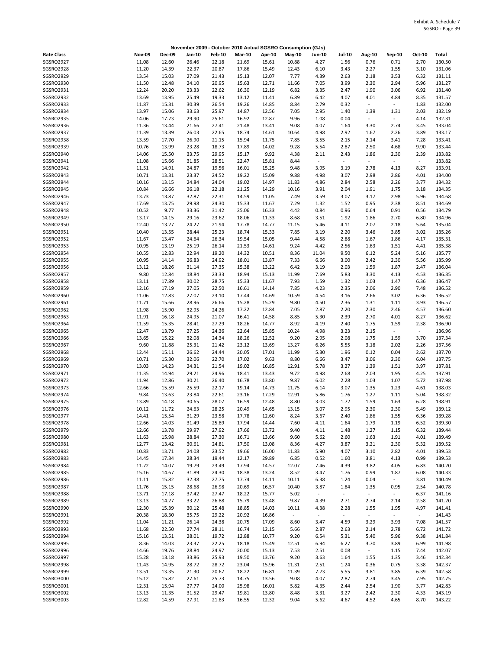|                               |                |                |                |                |                |                | November 2009 - October 2010 Actual SGSRO Consumption (GJs) |                                     |                  |                          |                          |              |                  |
|-------------------------------|----------------|----------------|----------------|----------------|----------------|----------------|-------------------------------------------------------------|-------------------------------------|------------------|--------------------------|--------------------------|--------------|------------------|
| <b>Rate Class</b>             | <b>Nov-09</b>  | <b>Dec-09</b>  | Jan-10         | <b>Feb-10</b>  | <b>Mar-10</b>  | Apr-10         | May-10                                                      | Jun-10                              | <b>Jul-10</b>    | <b>Aug-10</b>            | Sep-10                   | Oct-10       | Total            |
| SGSRO2927                     | 11.08          | 12.60          | 26.46          | 22.18          | 21.69          | 15.61          | 10.88                                                       | 4.27                                | 1.56             | 0.76                     | 0.71                     | 2.70         | 130.50           |
| SGSRO2928                     | 11.20          | 14.39          | 22.37          | 20.87          | 17.86          | 15.49          | 12.43                                                       | 6.10                                | 3.43             | 2.27                     | 1.55                     | 3.10         | 131.06           |
| SGSRO2929<br>SGSRO2930        | 13.54          | 15.03          | 27.09          | 21.43          | 15.13          | 12.07          | 7.77                                                        | 4.39                                | 2.63             | 2.18                     | 3.53                     | 6.32         | 131.11           |
| SGSRO2931                     | 11.50<br>12.24 | 12.48<br>20.20 | 24.10<br>23.33 | 20.95<br>22.62 | 15.63<br>16.30 | 12.71<br>12.19 | 11.66<br>6.82                                               | 7.05<br>3.35                        | 3.99<br>2.47     | 2.30<br>1.90             | 2.94<br>3.06             | 5.96<br>6.92 | 131.27<br>131.40 |
| SGSRO2932                     | 13.69          | 13.95          | 25.49          | 19.33          | 13.12          | 11.41          | 6.89                                                        | 6.42                                | 4.07             | 4.01                     | 4.84                     | 8.35         | 131.57           |
| SGSRO2933                     | 11.87          | 15.31          | 30.39          | 26.54          | 19.26          | 14.85          | 8.84                                                        | 2.79                                | 0.32             | $\overline{\phantom{a}}$ | $\blacksquare$           | 1.83         | 132.00           |
| SGSRO2934                     | 13.97          | 15.06          | 33.63          | 25.97          | 14.87          | 12.56          | 7.05                                                        | 2.95                                | 1.40             | 1.39                     | 1.31                     | 2.03         | 132.19           |
| SGSRO2935                     | 14.06          | 17.73          | 29.90          | 25.61          | 16.92          | 12.87          | 9.96                                                        | 1.08                                | 0.04             | $\overline{\phantom{a}}$ | $\sim$                   | 4.14         | 132.31           |
| SGSRO2936                     | 11.36          | 13.44          | 21.66          | 27.41          | 21.48          | 13.41          | 9.08                                                        | 4.07                                | 1.64             | 3.30                     | 2.74                     | 3.45         | 133.04           |
| SGSRO2937<br><b>SGSRO2938</b> | 11.39<br>13.59 | 13.39<br>17.70 | 26.03<br>26.90 | 22.65<br>21.15 | 18.74<br>15.94 | 14.61<br>11.75 | 10.64<br>7.85                                               | 4.98<br>3.55                        | 2.92<br>2.15     | 1.67<br>2.14             | 2.26<br>3.41             | 3.89<br>7.28 | 133.17<br>133.41 |
| SGSRO2939                     | 10.76          | 13.99          | 23.28          | 18.73          | 17.89          | 14.02          | 9.28                                                        | 5.54                                | 2.87             | 2.50                     | 4.68                     | 9.90         | 133.44           |
| SGSRO2940                     | 14.06          | 15.50          | 33.75          | 29.95          | 15.17          | 9.92           | 4.38                                                        | 2.11                                | 2.43             | 1.86                     | 2.30                     | 2.39         | 133.82           |
| SGSRO2941                     | 11.08          | 15.66          | 31.85          | 28.51          | 22.47          | 15.81          | 8.44                                                        | $\sim$                              | $\blacksquare$   | $\overline{\phantom{a}}$ | $\sim$                   | $\sim$       | 133.82           |
| SGSRO2942                     | 11.51          | 14.91          | 24.87          | 19.56          | 16.01          | 15.25          | 9.48                                                        | 3.95                                | 3.19             | 2.78                     | 4.13                     | 8.27         | 133.91           |
| SGSRO2943                     | 10.71          | 13.31          | 23.37          | 24.52          | 19.22          | 15.09          | 9.88                                                        | 4.98                                | 3.07             | 2.98                     | 2.86                     | 4.01         | 134.00           |
| SGSRO2944<br>SGSRO2945        | 10.16<br>10.84 | 13.15<br>16.66 | 24.84<br>26.18 | 24.04<br>22.18 | 19.02<br>21.25 | 14.97<br>14.29 | 11.83<br>10.16                                              | 4.86<br>3.91                        | 2.84<br>2.04     | 2.58<br>1.91             | 2.26<br>1.75             | 3.77<br>3.18 | 134.32<br>134.35 |
| SGSRO2946                     | 13.73          | 13.87          | 32.87          | 22.31          | 14.59          | 11.05          | 7.49                                                        | 3.59                                | 3.07             | 3.17                     | 2.98                     | 5.96         | 134.68           |
| SGSRO2947                     | 17.69          | 13.75          | 29.98          | 24.30          | 15.33          | 11.67          | 7.29                                                        | 1.32                                | 1.52             | 0.95                     | 2.38                     | 8.51         | 134.69           |
| SGSRO2948                     | 10.52          | 9.77           | 33.36          | 31.42          | 25.06          | 16.33          | 4.42                                                        | 0.84                                | 0.96             | 0.64                     | 0.91                     | 0.56         | 134.79           |
| SGSRO2949                     | 13.17          | 14.15          | 29.16          | 23.62          | 18.06          | 11.33          | 8.68                                                        | 3.51                                | 1.92             | 1.86                     | 2.70                     | 6.80         | 134.96           |
| SGSRO2950                     | 12.40          | 13.27          | 24.27          | 21.94          | 17.78          | 14.77          | 11.15                                                       | 5.46                                | 4.11             | 2.07                     | 2.18                     | 5.64         | 135.04           |
| SGSRO2951                     | 10.40          | 13.55          | 28.44          | 25.23          | 18.74          | 15.33          | 7.85                                                        | 3.19                                | 2.20             | 3.46                     | 3.85                     | 3.02         | 135.26           |
| SGSRO2952                     | 11.67          | 13.47          | 24.64          | 26.34          | 19.54          | 15.05          | 9.44                                                        | 4.58                                | 2.88             | 1.67                     | 1.86                     | 4.17         | 135.31           |
| SGSRO2953<br>SGSRO2954        | 10.95          | 13.19<br>12.83 | 25.19<br>22.94 | 26.14<br>19.20 | 21.53          | 14.61          | 9.24<br>8.36                                                | 4.42                                | 2.56<br>9.50     | 1.63                     | 1.51                     | 4.41         | 135.38<br>135.77 |
| SGSRO2955                     | 10.55<br>10.95 | 14.14          | 26.83          | 24.92          | 14.32<br>18.01 | 10.51<br>13.87 | 7.33                                                        | 11.04<br>6.66                       | 3.00             | 6.12<br>2.42             | 5.24<br>2.30             | 5.16<br>5.56 | 135.99           |
| SGSRO2956                     | 13.12          | 18.26          | 31.14          | 27.35          | 15.38          | 13.22          | 6.42                                                        | 3.19                                | 2.03             | 1.59                     | 1.87                     | 2.47         | 136.04           |
| SGSRO2957                     | 9.80           | 12.84          | 18.84          | 23.33          | 18.94          | 15.13          | 11.99                                                       | 7.69                                | 5.83             | 3.30                     | 4.13                     | 4.53         | 136.35           |
| SGSRO2958                     | 13.11          | 17.89          | 30.02          | 28.75          | 15.33          | 11.67          | 7.93                                                        | 1.59                                | 1.32             | 1.03                     | 1.47                     | 6.36         | 136.47           |
| SGSRO2959                     | 12.16          | 17.19          | 27.05          | 22.50          | 16.61          | 14.14          | 7.85                                                        | 4.23                                | 2.35             | 2.06                     | 2.90                     | 7.48         | 136.52           |
| SGSRO2960                     | 11.06          | 12.83          | 27.07          | 23.10          | 17.44          | 14.69          | 10.59                                                       | 4.54                                | 3.16             | 2.66                     | 3.02                     | 6.36         | 136.52           |
| SGSRO2961                     | 11.71          | 15.66          | 28.96          | 26.66          | 15.28          | 15.29          | 9.80                                                        | 4.50                                | 2.36             | 1.31                     | 1.11                     | 3.93         | 136.57           |
| SGSRO2962<br>SGSRO2963        | 11.98<br>11.91 | 15.90<br>16.18 | 32.95<br>24.95 | 24.26<br>21.07 | 17.22<br>16.41 | 12.84<br>14.58 | 7.05<br>8.85                                                | 2.87<br>5.30                        | 2.20<br>2.39     | 2.30<br>2.70             | 2.46<br>4.01             | 4.57<br>8.27 | 136.60<br>136.62 |
| SGSRO2964                     | 11.59          | 15.35          | 28.41          | 27.29          | 18.26          | 14.77          | 8.92                                                        | 4.19                                | 2.40             | 1.75                     | 1.59                     | 2.38         | 136.90           |
| SGSRO2965                     | 12.47          | 13.79          | 27.25          | 24.36          | 22.64          | 15.85          | 10.24                                                       | 4.98                                | 3.23             | 2.15                     | $\blacksquare$           | $\sim$       | 136.96           |
| SGSRO2966                     | 13.65          | 15.22          | 32.08          | 24.34          | 18.26          | 12.52          | 9.20                                                        | 2.95                                | 2.08             | 1.75                     | 1.59                     | 3.70         | 137.34           |
| SGSRO2967                     | 9.60           | 11.88          | 25.31          | 21.42          | 23.12          | 13.69          | 13.27                                                       | 6.26                                | 5.55             | 3.18                     | 2.02                     | 2.26         | 137.56           |
| SGSRO2968                     | 12.44          | 15.11          | 26.62          | 24.44          | 20.05          | 17.01          | 11.99                                                       | 5.30                                | 1.96             | 0.12                     | 0.04                     | 2.62         | 137.70           |
| SGSRO2969                     | 10.71          | 15.30          | 32.06          | 22.70          | 17.02          | 9.63           | 8.80                                                        | 6.66                                | 3.47             | 3.06                     | 2.30                     | 6.04         | 137.75           |
| SGSRO2970<br>SGSRO2971        | 13.03<br>11.35 | 14.23<br>14.94 | 24.31<br>29.21 | 21.54<br>24.96 | 19.02          | 16.85          | 12.91<br>9.72                                               | 5.78<br>4.98                        | 3.27             | 1.39                     | 1.51                     | 3.97<br>4.25 | 137.81<br>137.91 |
| SGSRO2972                     | 11.94          | 12.86          | 30.21          | 26.40          | 18.41<br>16.78 | 13.43<br>13.80 | 9.87                                                        | 6.02                                | 2.68<br>2.28     | 2.03<br>1.03             | 1.95<br>1.07             | 5.72         | 137.98           |
| SGSRO2973                     | 12.66          | 15.59          | 25.59          | 22.17          | 19.14          | 14.73          | 11.75                                                       | 6.14                                | 3.07             | 1.35                     | 1.23                     | 4.61         | 138.03           |
| SGSRO2974                     | 9.84           | 13.63          | 23.84          | 22.61          | 23.16          | 17.29          | 12.91                                                       | 5.86                                | 1.76             | 1.27                     | 1.11                     | 5.04         | 138.32           |
| <b>SGSRO2975</b>              | 13.89          | 14.18          | 30.65          | 28.07          | 16.59          | 12.48          | 8.80                                                        | 3.03                                | 1.72             | 1.59                     | 1.63                     | 6.28         | 138.91           |
| SGSRO2976                     | 10.12          | 11.72          | 24.63          | 28.25          | 20.49          | 14.65          | 13.15                                                       | 3.07                                | 2.95             | 2.30                     | 2.30                     | 5.49         | 139.12           |
| SGSRO2977                     | 14.41          | 15.54          | 31.29          | 23.58          | 17.78          | 12.60          | 8.24                                                        | 3.67                                | 2.40             | 1.86                     | 1.55                     | 6.36         | 139.28           |
| SGSRO2978                     | 12.66          | 14.03          | 31.49          | 25.89          | 17.94          | 14.44          | 7.60                                                        | 4.11                                | 1.64             | 1.79                     | 1.19                     | 6.52         | 139.30           |
| SGSRO2979<br>SGSRO2980        | 12.66<br>11.63 | 13.78<br>15.98 | 29.97<br>28.84 | 27.92<br>27.30 | 17.66<br>16.71 | 13.72<br>13.66 | 9.40<br>9.60                                                | 4.11<br>5.62                        | 1.48<br>2.60     | 1.27<br>1.63             | 1.15<br>1.91             | 6.32<br>4.01 | 139.44<br>139.49 |
| SGSRO2981                     | 12.77          | 13.42          | 30.61          | 24.81          | 17.50          | 13.08          | 8.36                                                        | 4.27                                | 3.87             | 3.21                     | 2.30                     | 5.32         | 139.52           |
| SGSRO2982                     | 10.83          | 13.71          | 24.08          | 23.52          | 19.66          | 16.00          | 11.83                                                       | 5.90                                | 4.07             | 3.10                     | 2.82                     | 4.01         | 139.53           |
| SGSRO2983                     | 14.45          | 17.34          | 28.34          | 19.44          | 12.17          | 29.89          | 6.85                                                        | 0.52                                | 1.60             | 3.81                     | 4.13                     | 0.99         | 139.53           |
| SGSRO2984                     | 11.72          | 14.07          | 19.79          | 23.49          | 17.94          | 14.57          | 12.07                                                       | 7.46                                | 4.39             | 3.82                     | 4.05                     | 6.83         | 140.20           |
| SGSRO2985                     | 15.16          | 14.67          | 31.89          | 24.30          | 18.38          | 13.24          | 8.52                                                        | 3.47                                | 1.76             | 0.99                     | 1.87                     | 6.08         | 140.33           |
| SGSRO2986                     | 11.11          | 15.82          | 32.38          | 27.75          | 17.74          | 14.11          | 10.11                                                       | 6.38                                | 1.24             | 0.04                     | $\sim$                   | 3.81         | 140.49           |
| SGSRO2987<br><b>SGSRO2988</b> | 11.76          | 15.15<br>17.18 | 28.68          | 26.98<br>27.47 | 20.69          | 16.57          | 10.40                                                       | 3.87<br>$\mathcal{L}_{\mathcal{A}}$ | 1.84<br>$\omega$ | 1.35<br>$\sim$           | 0.95<br>$\omega_{\rm c}$ | 2.54<br>6.37 | 140.78           |
| SGSRO2989                     | 13.71<br>13.13 | 14.27          | 37.42<br>33.22 | 26.88          | 18.22<br>15.79 | 15.77<br>13.48 | 5.02<br>9.87                                                | 4.39                                | 2.71             | 2.74                     | 2.14                     | 2.58         | 141.16<br>141.20 |
| SGSRO2990                     | 12.30          | 15.39          | 30.12          | 25.48          | 18.85          | 14.03          | 10.11                                                       | 4.38                                | 2.28             | 1.55                     | 1.95                     | 4.97         | 141.41           |
| SGSRO2991                     | 20.38          | 18.30          | 35.75          | 29.22          | 20.92          | 16.86          | $\blacksquare$                                              | $\omega$                            | $\blacksquare$   | $\omega$                 | $\omega_{\rm c}$         | $\sim$       | 141.43           |
| SGSRO2992                     | 11.04          | 11.21          | 26.14          | 24.38          | 20.75          | 17.09          | 8.60                                                        | 3.47                                | 4.59             | 3.29                     | 3.93                     | 7.08         | 141.57           |
| SGSRO2993                     | 11.68          | 22.50          | 27.74          | 28.11          | 16.74          | 12.15          | 5.66                                                        | 2.87                                | 2.63             | 2.14                     | 2.78                     | 6.72         | 141.72           |
| SGSRO2994                     | 15.16          | 13.51          | 28.01          | 19.72          | 12.88          | 10.77          | 9.20                                                        | 6.54                                | 5.31             | 5.40                     | 5.96                     | 9.38         | 141.84           |
| SGSRO2995                     | 8.36           | 14.03          | 23.37          | 22.25          | 18.18          | 15.49          | 12.51                                                       | 6.94                                | 6.27             | 3.70                     | 3.89                     | 6.99         | 141.98           |
| SGSRO2996<br>SGSRO2997        | 14.66          | 19.76          | 28.84          | 24.97          | 20.00          | 15.13          | 7.53                                                        | 2.51                                | 0.08             | $\omega_{\rm c}$         | 1.15                     | 7.44         | 142.07           |
| SGSRO2998                     | 15.28<br>11.43 | 13.18<br>14.95 | 33.86<br>28.72 | 25.93<br>28.72 | 19.50<br>23.04 | 13.76<br>15.96 | 9.20<br>11.31                                               | 3.63<br>2.51                        | 1.64<br>1.24     | 1.55<br>0.36             | 1.35<br>0.75             | 3.46<br>3.38 | 142.34<br>142.37 |
| SGSRO2999                     | 13.51          | 13.35          | 21.30          | 20.67          | 18.22          | 16.81          | 11.39                                                       | 7.73                                | 5.55             | 3.81                     | 3.85                     | 6.39         | 142.58           |
| SGSRO3000                     | 15.12          | 15.82          | 27.61          | 25.73          | 14.75          | 13.56          | 9.08                                                        | 4.07                                | 2.87             | 2.74                     | 3.45                     | 7.95         | 142.75           |
| SGSRO3001                     | 12.31          | 15.94          | 27.77          | 24.00          | 25.98          | 16.01          | 5.82                                                        | 4.35                                | 2.44             | 2.54                     | 1.90                     | 3.77         | 142.83           |
| SGSRO3002                     | 13.13          | 11.35          | 31.52          | 29.47          | 19.81          | 13.80          | 8.48                                                        | 3.31                                | 3.27             | 2.42                     | 2.30                     | 4.33         | 143.19           |
| SGSRO3003                     | 12.82          | 14.59          | 27.91          | 21.83          | 16.55          | 12.32          | 9.04                                                        | 5.62                                | 4.67             | 4.52                     | 4.65                     | 8.70         | 143.22           |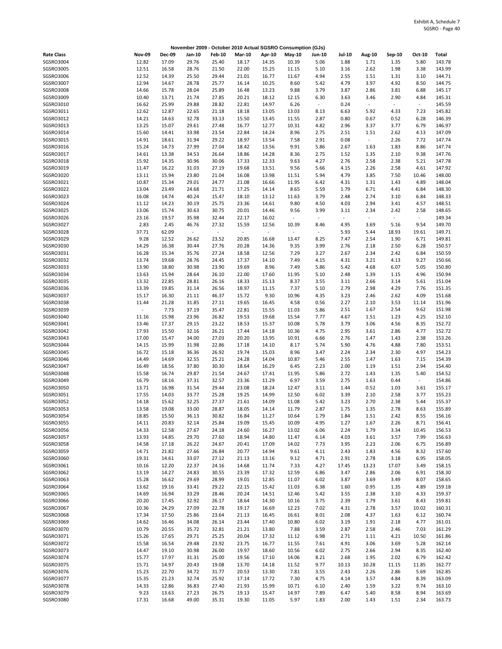|                        |                |                |                             |                |                |                | November 2009 - October 2010 Actual SGSRO Consumption (GJs) |                          |                          |                          |                |                          |                  |
|------------------------|----------------|----------------|-----------------------------|----------------|----------------|----------------|-------------------------------------------------------------|--------------------------|--------------------------|--------------------------|----------------|--------------------------|------------------|
| <b>Rate Class</b>      | <b>Nov-09</b>  | <b>Dec-09</b>  | Jan-10                      | <b>Feb-10</b>  | <b>Mar-10</b>  | Apr-10         | May-10                                                      | Jun-10                   | Jul-10                   | Aug-10                   | Sep-10         | Oct-10                   | Total            |
| SGSRO3004              | 12.82          | 17.09          | 29.76                       | 25.40          | 18.17          | 14.35          | 10.39                                                       | 5.06                     | 1.88                     | 1.71                     | 1.35           | 5.80                     | 143.78           |
| SGSRO3005              | 12.51          | 16.58          | 28.76                       | 21.50          | 22.00          | 15.25          | 11.15                                                       | 5.10                     | 3.16                     | 2.62                     | 1.98           | 3.38                     | 143.99           |
| SGSRO3006              | 12.52          | 14.39          | 25.50                       | 29.44          | 21.01          | 16.77          | 11.67                                                       | 4.94                     | 2.55                     | 1.51                     | 1.31           | 3.10                     | 144.71           |
| SGSRO3007<br>SGSRO3008 | 12.94<br>14.66 | 14.67<br>15.78 | 28.78<br>28.04              | 25.77<br>25.89 | 16.14<br>16.48 | 10.25<br>13.23 | 8.60<br>9.88                                                | 5.42<br>3.79             | 4.79<br>3.87             | 3.97<br>2.86             | 4.92<br>3.81   | 8.50<br>6.88             | 144.75<br>145.17 |
| SGSRO3009              | 10.40          | 13.71          | 21.74                       | 27.85          | 20.21          | 18.12          | 12.15                                                       | 6.30                     | 3.63                     | 3.46                     | 2.90           | 4.84                     | 145.31           |
| SGSRO3010              | 16.62          | 25.99          | 29.88                       | 28.82          | 22.81          | 14.97          | 6.26                                                        | $\omega$                 | 0.24                     | $\overline{\phantom{a}}$ | $\blacksquare$ | $\sim$                   | 145.59           |
| SGSRO3011              | 12.62          | 12.87          | 22.65                       | 21.18          | 18.18          | 13.05          | 13.03                                                       | 8.13                     | 6.63                     | 5.92                     | 4.33           | 7.23                     | 145.82           |
| SGSRO3012              | 14.21          | 14.63          | 32.78                       | 33.13          | 15.50          | 13.45          | 11.55                                                       | 2.87                     | 0.80                     | 0.67                     | 0.52           | 6.28                     | 146.39           |
| SGSRO3013              | 13.25          | 15.07          | 29.61                       | 27.48          | 16.77          | 12.77          | 10.31                                                       | 4.82                     | 2.96                     | 3.37                     | 3.77           | 6.79                     | 146.97           |
| SGSRO3014              | 15.60          | 14.41          | 33.98                       | 23.54          | 22.84          | 14.24          | 8.96                                                        | 2.75                     | 2.51                     | 1.51                     | 2.62           | 4.13                     | 147.09           |
| SGSRO3015              | 14.91          | 18.61          | 31.94                       | 29.22          | 18.97          | 13.54          | 7.58                                                        | 2.91                     | 0.08                     | $\overline{\phantom{a}}$ | 2.26           | 7.72                     | 147.74           |
| SGSRO3016              | 15.24          | 14.73          | 27.99                       | 27.04          | 18.42          | 13.56          | 9.91                                                        | 5.86                     | 2.67                     | 1.63                     | 1.83           | 8.86                     | 147.74           |
| SGSRO3017              | 14.61          | 13.38          | 34.53                       | 26.64          | 18.86          | 14.28          | 8.36                                                        | 2.75                     | 1.52                     | 1.35                     | 2.10           | 9.38                     | 147.76           |
| SGSRO3018<br>SGSRO3019 | 15.92<br>11.47 | 14.35<br>16.22 | 30.96<br>31.03              | 30.06<br>27.19 | 17.33<br>19.68 | 12.33<br>13.51 | 9.63<br>9.56                                                | 4.27<br>5.66             | 2.76<br>4.15             | 2.58<br>2.26             | 2.38<br>2.58   | 5.21<br>4.61             | 147.78<br>147.92 |
| SGSRO3020              | 13.11          | 15.94          | 23.80                       | 21.04          | 16.08          | 13.98          | 11.51                                                       | 5.94                     | 4.79                     | 3.85                     | 7.50           | 10.46                    | 148.00           |
| SGSRO3021              | 10.87          | 15.34          | 29.01                       | 24.77          | 21.08          | 16.66          | 11.95                                                       | 6.42                     | 4.31                     | 1.31                     | 1.43           | 4.89                     | 148.04           |
| SGSR03022              | 13.04          | 23.49          | 24.68                       | 21.71          | 17.25          | 14.14          | 8.65                                                        | 5.59                     | 1.79                     | 6.71                     | 4.41           | 6.84                     | 148.30           |
| SGSRO3023              | 16.08          | 14.74          | 40.24                       | 15.47          | 18.10          | 13.12          | 11.63                                                       | 3.79                     | 2.48                     | 2.74                     | 3.10           | 6.84                     | 148.33           |
| SGSRO3024              | 11.12          | 14.23          | 30.19                       | 25.75          | 23.36          | 14.61          | 9.80                                                        | 4.50                     | 4.03                     | 2.94                     | 3.41           | 4.57                     | 148.51           |
| SGSRO3025              | 13.06          | 15.74          | 30.63                       | 30.75          | 20.01          | 14.46          | 9.56                                                        | 3.99                     | 3.11                     | 2.34                     | 2.42           | 2.58                     | 148.65           |
| SGSRO3026              | 23.16          | 19.57          | 35.98                       | 32.44          | 22.17          | 16.02          | ÷,                                                          | $\omega$                 | $\overline{\phantom{a}}$ | $\bar{z}$                | $\blacksquare$ | $\overline{\phantom{a}}$ | 149.34           |
| SGSRO3027              | 2.83           | 2.45           | 46.76                       | 27.32          | 15.59          | 12.56          | 10.39                                                       | 8.46                     | 4.95                     | 3.69                     | 5.16           | 9.54                     | 149.70           |
| SGSRO3028              | 37.71          | 62.09          | $\mathcal{L}_{\mathcal{A}}$ | $\overline{a}$ | $\omega$       | $\sim$         | $\sim$                                                      | $\overline{\phantom{a}}$ | 5.93                     | 5.44                     | 18.93          | 19.61                    | 149.71           |
| SGSRO3029<br>SGSRO3030 | 9.28<br>14.29  | 12.52<br>16.38 | 26.62<br>30.44              | 23.52<br>27.76 | 20.85<br>20.28 | 16.68<br>14.36 | 13.47<br>9.35                                               | 8.25<br>3.99             | 7.47<br>2.76             | 2.54<br>2.18             | 1.90<br>2.50   | 6.71<br>6.28             | 149.81<br>150.57 |
| SGSRO3031              | 16.28          | 15.34          | 35.76                       | 27.24          | 18.58          | 12.56          | 7.29                                                        | 3.27                     | 2.67                     | 2.34                     | 2.42           | 6.84                     | 150.59           |
| SGSRO3032              | 13.74          | 19.68          | 28.76                       | 24.45          | 17.37          | 14.10          | 7.49                                                        | 4.15                     | 4.31                     | 3.21                     | 4.13           | 9.27                     | 150.66           |
| SGSRO3033              | 13.90          | 18.80          | 30.98                       | 23.90          | 19.69          | 8.96           | 7.49                                                        | 5.86                     | 5.42                     | 4.68                     | 6.07           | 5.05                     | 150.80           |
| SGSRO3034              | 13.63          | 15.94          | 28.64                       | 26.10          | 22.00          | 17.60          | 11.95                                                       | 5.10                     | 2.48                     | 1.39                     | 1.15           | 4.96                     | 150.94           |
| SGSRO3035              | 13.32          | 22.85          | 28.81                       | 26.16          | 18.33          | 15.13          | 8.37                                                        | 3.55                     | 3.11                     | 2.66                     | 3.14           | 5.61                     | 151.04           |
| SGSRO3036              | 13.39          | 19.85          | 31.14                       | 26.56          | 18.97          | 11.15          | 7.37                                                        | 5.10                     | 2.79                     | 2.98                     | 4.29           | 7.76                     | 151.35           |
| SGSRO3037              | 15.17          | 16.30          | 21.11                       | 46.37          | 15.72          | 9.30           | 10.96                                                       | 4.35                     | 3.23                     | 2.46                     | 2.62           | 4.09                     | 151.68           |
| SGSRO3038              | 11.44          | 21.28          | 31.85                       | 27.11          | 19.65          | 16.45          | 4.58                                                        | 0.56                     | 2.27                     | 2.10                     | 3.53           | 11.14                    | 151.96           |
| SGSRO3039              | $\blacksquare$ | 7.73           | 37.19                       | 35.47          | 22.81          | 15.55          | 11.03                                                       | 5.86                     | 2.51                     | 1.67                     | 2.54           | 9.62                     | 151.98           |
| SGSRO3040<br>SGSRO3041 | 11.16<br>13.46 | 15.98<br>17.37 | 23.96<br>29.15              | 26.82<br>23.22 | 19.53<br>18.53 | 19.68<br>15.37 | 15.54<br>10.08                                              | 7.77<br>5.78             | 4.67<br>3.79             | 1.51<br>3.06             | 1.23<br>4.56   | 4.25<br>8.35             | 152.10<br>152.72 |
| SGSRO3042              | 17.93          | 15.50          | 32.16                       | 26.21          | 17.44          | 14.18          | 10.36                                                       | 4.75                     | 2.95                     | 3.61                     | 2.86           | 4.77                     | 152.72           |
| SGSRO3043              | 17.00          | 15.47          | 34.00                       | 27.03          | 20.20          | 13.95          | 10.91                                                       | 6.66                     | 2.76                     | 1.47                     | 1.43           | 2.38                     | 153.26           |
| SGSRO3044              | 14.15          | 15.99          | 31.98                       | 22.86          | 17.18          | 14.10          | 8.17                                                        | 5.74                     | 5.90                     | 4.76                     | 4.88           | 7.80                     | 153.51           |
| SGSRO3045              | 16.72          | 15.18          | 36.36                       | 26.92          | 19.74          | 15.03          | 8.96                                                        | 3.47                     | 2.24                     | 2.34                     | 2.30           | 4.97                     | 154.23           |
| SGSRO3046              | 14.49          | 14.69          | 32.55                       | 25.21          | 24.28          | 14.04          | 10.87                                                       | 5.46                     | 2.55                     | 1.47                     | 1.63           | 7.15                     | 154.39           |
| SGSRO3047              | 16.49          | 18.56          | 37.80                       | 30.30          | 18.64          | 16.29          | 6.45                                                        | 2.23                     | 2.00                     | 1.19                     | 1.51           | 2.94                     | 154.40           |
| SGSRO3048              | 15.58          | 16.74          | 29.87                       | 21.54          | 24.67          | 17.41          | 11.95                                                       | 5.86                     | 2.72                     | 1.43                     | 1.35           | 5.40                     | 154.52           |
| SGSRO3049              | 16.79          | 18.16          | 37.31                       | 32.57          | 23.36          | 11.29          | 6.97                                                        | 3.59                     | 2.75                     | 1.63                     | 0.44           | $\sim$                   | 154.86           |
| SGSRO3050<br>SGSRO3051 | 13.71<br>17.55 | 16.98<br>14.03 | 31.54<br>33.77              | 29.44<br>25.28 | 23.08<br>19.25 | 18.24<br>14.99 | 12.47<br>12.50                                              | 3.11<br>6.02             | 1.44<br>3.39             | 0.52<br>2.10             | 1.03<br>2.58   | 3.61<br>3.77             | 155.17<br>155.23 |
| SGSRO3052              | 14.18          | 15.62          | 32.25                       | 27.37          | 21.61          | 14.09          | 11.08                                                       | 5.42                     | 3.23                     | 2.70                     | 2.38           | 5.44                     | 155.37           |
| SGSRO3053              | 13.58          | 19.08          | 33.00                       | 28.87          | 18.05          | 14.14          | 11.79                                                       | 2.87                     | 1.75                     | 1.35                     | 2.78           | 8.63                     | 155.89           |
| SGSRO3054              | 18.85          | 15.50          | 36.13                       | 30.82          | 16.84          | 11.27          | 10.64                                                       | 1.79                     | 1.84                     | 1.51                     | 2.42           | 8.55                     | 156.16           |
| SGSR03055              | 14.11          | 20.83          | 32.14                       | 25.84          | 19.09          | 15.45          | 10.09                                                       | 4.95                     | 1.27                     | 1.67                     | 2.26           | 8.71                     | 156.41           |
| SGSRO3056              | 14.33          | 12.58          | 27.67                       | 24.18          | 24.60          | 16.27          | 13.02                                                       | 6.06                     | 2.24                     | 1.79                     | 3.34           | 10.45                    | 156.53           |
| SGSR03057              | 13.93          | 14.85          | 29.70                       | 27.60          | 18.94          | 14.80          | 11.47                                                       | 6.14                     | 4.03                     | 3.61                     | 3.57           | 7.99                     | 156.63           |
| SGSRO3058              | 14.58          | 17.18          | 26.22                       | 24.67          | 20.41          | 17.09          | 14.02                                                       | 7.73                     | 3.95                     | 2.23                     | 2.06           | 6.75                     | 156.89           |
| SGSRO3059              | 14.71          | 21.82          | 27.66                       | 26.84          | 20.77          | 14.94          | 9.61                                                        | 4.11                     | 2.43                     | 1.83                     | 4.56           | 8.32                     | 157.60           |
| SGSRO3060              | 19.31          | 14.61          | 33.07                       | 27.12          | 21.13          | 13.16          | 9.12                                                        | 4.71                     | 2.91                     | 2.78                     | 3.18           | 6.95                     | 158.05           |
| SGSRO3061<br>SGSR03062 | 10.16          | 12.20<br>14.27 | 22.37                       | 24.16<br>30.55 | 14.68          | 11.74<br>17.32 | 7.33                                                        | 4.27                     | 17.45<br>3.47            | 13.23<br>2.86            | 17.07<br>2.06  | 3.49<br>6.91             | 158.15           |
| SGSRO3063              | 13.19<br>15.28 | 16.62          | 24.83<br>29.69              | 28.99          | 23.39<br>19.01 | 12.85          | 12.59<br>11.07                                              | 6.86<br>6.02             | 3.87                     | 3.69                     | 3.49           | 8.07                     | 158.30<br>158.65 |
| SGSRO3064              | 13.62          | 19.16          | 33.41                       | 29.22          | 22.15          | 15.42          | 11.03                                                       | 6.38                     | 1.60                     | 0.95                     | 1.35           | 4.89                     | 159.18           |
| SGSRO3065              | 14.69          | 16.94          | 33.29                       | 28.46          | 20.24          | 14.51          | 12.46                                                       | 5.42                     | 3.55                     | 2.38                     | 3.10           | 4.33                     | 159.37           |
| SGSR03066              | 20.20          | 17.45          | 32.92                       | 26.17          | 18.64          | 14.30          | 10.16                                                       | 3.75                     | 2.39                     | 1.79                     | 3.61           | 8.43                     | 159.81           |
| SGSRO3067              | 10.36          | 24.29          | 27.09                       | 22.78          | 19.17          | 16.69          | 12.23                                                       | 7.02                     | 4.31                     | 2.78                     | 3.57           | 10.02                    | 160.31           |
| SGSRO3068              | 17.34          | 17.50          | 25.86                       | 23.64          | 21.13          | 16.45          | 16.61                                                       | 8.01                     | 2.08                     | 4.37                     | 1.63           | 6.12                     | 160.74           |
| SGSRO3069              | 14.62          | 16.46          | 34.08                       | 26.14          | 23.44          | 17.40          | 10.80                                                       | 6.02                     | 3.19                     | 1.91                     | 2.18           | 4.77                     | 161.01           |
| SGSR03070              | 10.79          | 20.55          | 35.72                       | 32.81          | 21.21          | 13.80          | 7.88                                                        | 3.59                     | 2.87                     | 2.58                     | 2.46           | 7.03                     | 161.29           |
| SGSRO3071              | 15.26          | 17.65          | 29.71                       | 25.25          | 20.04          | 17.32          | 11.12                                                       | 6.98                     | 2.71                     | 1.11                     | 4.21           | 10.50                    | 161.86           |
| SGSRO3072              | 15.58          | 16.54          | 29.48                       | 23.92          | 23.75          | 16.77          | 11.55                                                       | 7.61                     | 4.91                     | 3.06                     | 3.69           | 5.28                     | 162.14           |
| SGSR03073<br>SGSR03074 | 14.47<br>15.77 | 19.10<br>17.97 | 30.98<br>31.31              | 26.00<br>25.00 | 19.97<br>19.56 | 18.60<br>17.10 | 10.56<br>14.06                                              | 6.02<br>8.21             | 2.75<br>2.68             | 2.66<br>1.95             | 2.94<br>2.02   | 8.35<br>6.79             | 162.40<br>162.42 |
| SGSRO3075              | 15.71          | 14.97          | 20.43                       | 19.08          | 13.70          | 14.18          | 11.52                                                       | 9.77                     | 10.13                    | 10.28                    | 11.15          | 11.85                    | 162.77           |
| SGSRO3076              | 15.23          | 22.70          | 34.72                       | 31.77          | 20.53          | 13.30          | 7.81                                                        | 3.55                     | 2.43                     | 2.26                     | 2.86           | 5.69                     | 162.85           |
| SGSR03077              | 15.35          | 21.23          | 32.74                       | 25.92          | 17.14          | 17.72          | 7.30                                                        | 4.75                     | 4.14                     | 3.57                     | 4.84           | 8.39                     | 163.09           |
| SGSR03078              | 14.33          | 12.86          | 36.83                       | 27.40          | 21.93          | 15.99          | 10.71                                                       | 6.10                     | 2.40                     | 1.59                     | 3.22           | 9.74                     | 163.10           |
| SGSRO3079              | 9.23           | 13.63          | 27.23                       | 26.75          | 19.13          | 15.47          | 14.97                                                       | 7.89                     | 6.47                     | 5.40                     | 8.58           | 8.94                     | 163.69           |
| SGSRO3080              | 17.31          | 16.68          | 49.00                       | 35.31          | 19.30          | 11.05          | 5.97                                                        | 1.83                     | 2.00                     | 1.43                     | 1.51           | 2.34                     | 163.73           |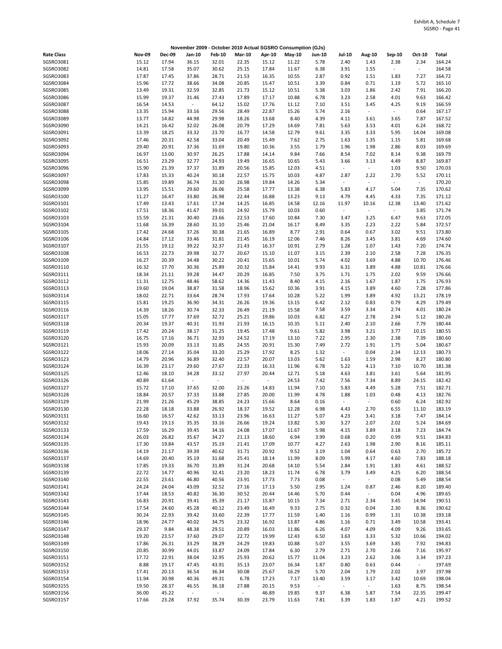|                   |                |        | November 2009 - October 2010 Actual SGSRO Consumption (GJs) |                          |               |                          |        |               |                          |                          |                          |          |        |
|-------------------|----------------|--------|-------------------------------------------------------------|--------------------------|---------------|--------------------------|--------|---------------|--------------------------|--------------------------|--------------------------|----------|--------|
| <b>Rate Class</b> | <b>Nov-09</b>  | Dec-09 | Jan-10                                                      | <b>Feb-10</b>            | <b>Mar-10</b> | Apr-10                   | May-10 | <b>Jun-10</b> | Jul-10                   | Aug-10                   | Sep-10                   | Oct-10   | Total  |
| SGSRO3081         | 15.12          | 17.94  | 36.15                                                       | 32.01                    | 22.35         | 15.12                    | 11.22  | 5.78          | 2.40                     | 1.43                     | 2.38                     | 2.34     | 164.24 |
| SGSRO3082         | 14.81          | 17.58  | 35.07                                                       | 30.62                    | 25.15         | 17.84                    | 11.67  | 6.38          | 3.91                     | 1.55                     | $\blacksquare$           | $\sim$   | 164.58 |
| SGSRO3083         | 17.87          | 17.45  | 37.86                                                       | 28.71                    | 21.53         | 16.35                    | 10.55  | 2.87          | 0.92                     | 1.51                     | 1.83                     | 7.27     | 164.72 |
| SGSRO3084         | 15.96          | 17.72  | 38.66                                                       | 34.08                    | 20.85         | 15.47                    | 10.51  | 3.39          | 0.84                     | 0.71                     | 1.19                     | 5.72     | 165.10 |
| SGSRO3085         | 13.49          | 19.31  | 32.59                                                       | 32.85                    | 21.73         | 15.12                    | 10.51  | 5.38          | 3.03                     | 1.86                     | 2.42                     | 7.91     | 166.20 |
| SGSRO3086         | 15.99          | 19.37  | 31.46                                                       | 27.43                    | 17.89         | 17.17                    | 10.88  | 6.78          | 3.23                     | 2.58                     | 4.01                     | 9.63     | 166.42 |
| SGSRO3087         | 16.54          | 14.53  | $\omega$                                                    | 64.12                    | 15.02         | 17.76                    | 11.12  | 7.10          | 3.51                     | 3.45                     | 4.25                     | 9.19     | 166.59 |
| <b>SGSRO3088</b>  | 13.35          | 15.94  | 33.16                                                       | 29.56                    | 28.49         | 22.87                    | 15.26  | 5.74          | 2.16                     | $\overline{\phantom{a}}$ | $\blacksquare$           | 0.64     | 167.17 |
| SGSRO3089         | 13.77          | 14.82  | 44.98                                                       | 29.98                    | 18.26         | 13.68                    | 8.40   | 4.39          | 4.11                     | 3.61                     | 3.65                     | 7.87     | 167.52 |
| SGSRO3090         | 14.21          | 16.42  | 32.02                                                       | 26.08                    | 20.79         | 17.29                    | 14.69  | 7.81          | 5.63                     | 3.53                     | 4.01                     | 6.24     | 168.72 |
| SGSRO3091         | 13.39          | 18.25  | 33.32                                                       | 23.70                    | 16.77         | 14.58                    | 12.79  | 9.61          | 3.35                     | 3.33                     | 5.95                     | 14.04    | 169.08 |
| SGSRO3092         | 17.46          | 20.31  | 42.58                                                       | 33.04                    | 20.49         | 15.49                    | 7.62   | 2.75          | 1.63                     | 1.35                     | 1.15                     | 5.81     | 169.68 |
| SGSRO3093         | 29.40          | 20.91  | 37.36                                                       | 31.69                    | 19.80         | 10.36                    | 3.55   | 1.79          | 1.96                     | 1.98                     | 2.86                     | 8.03     | 169.69 |
| SGSRO3094         | 16.97          | 13.00  | 30.97                                                       | 26.25                    | 17.88         | 14.14                    | 9.84   | 7.66          | 8.54                     | 7.02                     | 8.14                     | 9.38     | 169.79 |
| SGSRO3095         | 16.51          | 23.29  | 32.77                                                       | 24.93                    | 19.49         | 16.65                    | 10.65  | 5.43          | 3.66                     | 3.13                     | 4.49                     | 8.87     | 169.87 |
| SGSRO3096         | 15.90          | 21.39  | 37.37                                                       | 31.89                    | 20.56         | 15.85                    | 12.03  | 4.51          | $\overline{\phantom{a}}$ | $\blacksquare$           | 1.03                     | 9.50     | 170.03 |
| SGSRO3097         | 17.83          | 15.33  | 40.24                                                       | 30.18                    | 22.57         | 15.75                    | 10.03  | 4.87          | 2.87                     | 2.22                     | 2.70                     | 5.52     | 170.11 |
| SGSRO3098         | 15.85          | 19.89  | 36.74                                                       |                          | 26.98         | 19.84                    | 14.26  | 5.34          | $\overline{\phantom{a}}$ | $\bar{z}$                | $\sim$                   | $\omega$ | 170.20 |
| SGSRO3099         | 13.95          | 15.51  | 29.60                                                       | 31.30<br>26.06           | 25.58         | 17.77                    | 13.38  | 6.38          | 5.83                     | 4.17                     | 5.04                     | 7.35     | 170.62 |
| SGSRO3100         |                | 16.47  | 33.80                                                       | 26.98                    | 22.44         | 16.88                    | 13.23  | 9.13          | 4.79                     | 4.45                     | 4.33                     | 7.35     | 171.12 |
| SGSRO3101         | 11.27<br>17.49 | 13.43  | 17.61                                                       | 17.34                    | 14.25         | 16.85                    | 14.58  | 12.16         | 11.97                    | 10.16                    | 12.38                    | 13.40    | 171.62 |
| SGSRO3102         | 17.51          | 18.36  | 41.67                                                       | 39.01                    | 24.92         | 15.79                    | 10.03  | 0.60          | $\overline{\phantom{a}}$ | $\overline{\phantom{a}}$ | $\overline{\phantom{a}}$ | 3.85     | 171.74 |
| SGSRO3103         | 15.59          | 21.31  | 30.40                                                       | 23.66                    | 22.53         | 17.60                    | 10.84  | 7.30          | 3.47                     | 3.25                     | 6.47                     | 9.63     | 172.05 |
| SGSRO3104         |                | 16.39  |                                                             |                          |               |                          |        |               |                          |                          |                          |          | 172.57 |
|                   | 11.68          |        | 28.60                                                       | 31.10                    | 25.46         | 21.04                    | 16.17  | 8.49          | 3.35                     | 2.23                     | 2.22                     | 5.84     |        |
| SGSRO3105         | 17.42          | 24.68  | 37.26                                                       | 30.38                    | 21.65         | 16.89                    | 8.77   | 2.91          | 0.64                     | 0.67                     | 3.02                     | 9.51     | 173.80 |
| SGSRO3106         | 14.84          | 17.12  | 33.46                                                       | 31.81                    | 21.45         | 16.19                    | 12.06  | 7.46          | 8.26                     | 3.45                     | 3.81                     | 4.69     | 174.60 |
| SGSRO3107         | 21.55          | 19.12  | 39.22                                                       | 32.37                    | 21.43         | 16.37                    | 10.91  | 2.79          | 1.28                     | 1.07                     | 1.43                     | 7.20     | 174.74 |
| SGSRO3108         | 16.53          | 22.73  | 39.98                                                       | 32.77                    | 20.67         | 15.10                    | 11.07  | 3.15          | 2.39                     | 2.10                     | 2.58                     | 7.28     | 176.35 |
| SGSRO3109         | 16.27          | 20.39  | 34.48                                                       | 30.22                    | 20.41         | 15.65                    | 10.01  | 5.74          | 4.02                     | 3.69                     | 4.88                     | 10.70    | 176.46 |
| SGSRO3110         | 16.32          | 17.70  | 30.36                                                       | 25.89                    | 20.32         | 15.84                    | 14.41  | 9.93          | 6.31                     | 3.89                     | 4.88                     | 10.81    | 176.66 |
| SGSR03111         | 18.34          | 21.11  | 39.28                                                       | 34.47                    | 20.29         | 16.85                    | 7.50   | 3.75          | 1.71                     | 1.75                     | 2.02                     | 9.59     | 176.66 |
| SGSR03112         | 11.31          | 12.75  | 48.46                                                       | 58.62                    | 14.36         | 11.43                    | 8.40   | 4.15          | 2.16                     | 1.67                     | 1.87                     | 1.75     | 176.93 |
| SGSRO3113         | 19.60          | 19.04  | 38.87                                                       | 31.58                    | 18.96         | 15.62                    | 10.36  | 3.91          | 4.15                     | 3.89                     | 4.60                     | 7.28     | 177.86 |
| SGSRO3114         | 18.02          | 22.71  | 33.64                                                       | 28.74                    | 17.93         | 17.64                    | 10.28  | 5.22          | 1.99                     | 3.89                     | 4.92                     | 13.21    | 178.19 |
| SGSR03115         | 15.81          | 19.25  | 36.90                                                       | 34.31                    | 26.26         | 19.36                    | 13.15  | 6.42          | 2.12                     | 0.83                     | 0.79                     | 4.29     | 179.49 |
| SGSR03116         | 14.39          | 18.26  | 30.74                                                       | 32.33                    | 26.49         | 21.19                    | 15.58  | 7.58          | 3.59                     | 3.34                     | 2.74                     | 4.01     | 180.24 |
| SGSRO3117         | 15.05          | 17.77  | 37.69                                                       | 32.72                    | 25.21         | 19.86                    | 10.03  | 6.82          | 4.27                     | 2.78                     | 2.94                     | 5.12     | 180.26 |
| SGSRO3118         | 20.34          | 19.37  | 40.31                                                       | 31.93                    | 21.93         | 16.15                    | 10.35  | 5.11          | 2.40                     | 2.10                     | 2.66                     | 7.79     | 180.44 |
| SGSRO3119         | 17.42          | 20.24  | 38.17                                                       | 31.25                    | 19.45         | 17.48                    | 9.61   | 5.82          | 3.98                     | 3.21                     | 3.77                     | 10.15    | 180.55 |
| SGSRO3120         | 16.75          | 17.16  | 36.71                                                       | 32.93                    | 24.52         | 17.19                    | 13.10  | 7.22          | 2.95                     | 2.30                     | 2.38                     | 7.39     | 180.60 |
| SGSRO3121         | 15.93          | 20.09  | 33.13                                                       | 31.85                    | 24.55         | 20.91                    | 15.30  | 7.49          | 2.72                     | 1.91                     | 1.75                     | 5.04     | 180.67 |
| SGSR03122         | 18.06          | 27.14  | 35.04                                                       | 33.20                    | 25.29         | 17.92                    | 8.25   | 1.32          | $\overline{\phantom{a}}$ | 0.04                     | 2.34                     | 12.13    | 180.73 |
| SGSRO3123         | 14.79          | 20.96  | 36.89                                                       | 32.40                    | 22.57         | 20.07                    | 13.03  | 5.62          | 1.63                     | 1.59                     | 2.98                     | 8.27     | 180.80 |
| SGSRO3124         | 16.39          | 23.17  | 29.60                                                       | 27.67                    | 22.33         | 16.33                    | 11.96  | 6.78          | 5.22                     | 4.13                     | 7.10                     | 10.70    | 181.38 |
| SGSRO3125         | 12.46          | 18.10  | 34.28                                                       | 33.12                    | 27.97         | 20.44                    | 12.71  | 5.18          | 4.63                     | 3.81                     | 3.61                     | 5.64     | 181.95 |
| SGSRO3126         | 40.89          | 61.64  | $\mathcal{L}_{\mathcal{A}}$                                 | $\overline{\phantom{a}}$ | $\sim$        | $\overline{\phantom{a}}$ | 24.53  | 7.42          | 7.56                     | 7.34                     | 8.89                     | 24.15    | 182.42 |
| SGSR03127         | 15.72          | 17.10  | 37.65                                                       | 32.00                    | 23.26         | 14.83                    | 11.94  | 7.10          | 5.83                     | 4.49                     | 5.28                     | 7.51     | 182.71 |
| SGSRO3128         | 18.84          | 20.57  | 37.33                                                       | 33.88                    | 27.85         | 20.00                    | 11.99  | 4.78          | 1.88                     | 1.03                     | 0.48                     | 4.13     | 182.76 |
| SGSRO3129         | 21.99          | 21.26  | 45.29                                                       | 38.85                    | 24.23         | 15.66                    | 8.64   | 0.16          | $\overline{\phantom{a}}$ | $\overline{\phantom{a}}$ | 0.60                     | 6.24     | 182.92 |
| SGSRO3130         | 22.28          | 18.18  | 33.88                                                       | 26.92                    | 18.37         | 19.52                    | 12.28  | 6.98          | 4.43                     | 2.70                     | 6.55                     | 11.10    | 183.19 |
| SGSR03131         | 16.60          | 16.57  | 42.62                                                       | 33.13                    | 23.96         | 16.63                    | 11.27  | 5.07          | 4.23                     | 3.41                     | 3.18                     | 7.47     | 184.14 |
| SGSRO3132         | 19.43          | 19.13  | 35.35                                                       | 33.16                    | 26.66         | 19.24                    | 13.82  | 5.30          | 3.27                     | 2.07                     | 2.02                     | 5.24     | 184.69 |
| SGSRO3133         | 17.59          | 16.29  | 39.45                                                       | 34.16                    | 24.08         | 17.07                    | 11.67  | 5.98          | 4.15                     | 3.89                     | 3.18                     | 7.23     | 184.74 |
| SGSR03134         | 26.03          | 26.82  | 35.67                                                       | 34.27                    | 21.13         | 18.60                    | 6.94   | 3.99          | 0.68                     | 0.20                     | 0.99                     | 9.51     | 184.83 |
| SGSR03135         | 17.30          | 19.84  | 43.57                                                       | 35.19                    | 21.41         | 17.09                    | 10.77  | 4.27          | 2.63                     | 1.98                     | 2.90                     | 8.16     | 185.11 |
| SGSR03136         | 14.19          | 21.17  | 39.39                                                       | 40.62                    | 31.71         | 20.92                    | 9.52   | 3.19          | 1.04                     | 0.64                     | 0.63                     | 2.70     | 185.72 |
| SGSRO3137         | 14.69          | 20.40  | 35.19                                                       | 31.68                    | 25.41         | 18.14                    | 11.99  | 8.09          | 5.99                     | 4.17                     | 4.60                     | 7.83     | 188.18 |
| SGSRO3138         | 17.85          | 19.33  | 36.70                                                       | 31.89                    | 31.24         | 20.68                    | 14.10  | 5.54          | 2.84                     | 1.91                     | 1.83                     | 4.61     | 188.52 |
| SGSR03139         | 22.72          | 14.77  | 40.96                                                       | 32.41                    | 23.20         | 18.23                    | 11.74  | 6.78          | 3.79                     | 3.49                     | 4.25                     | 6.20     | 188.54 |
| SGSR03140         | 22.55          | 23.61  | 46.80                                                       | 40.56                    | 23.91         | 17.73                    | 7.73   | 0.08          | $\overline{\phantom{a}}$ | $\omega$                 | 0.08                     | 5.49     | 188.54 |
| SGSRO3141         | 24.24          | 24.04  | 43.09                                                       | 32.52                    | 27.16         | 17.13                    | 5.50   | 2.95          | 1.24                     | 0.87                     | 2.46                     | 8.20     | 189.40 |
| SGSRO3142         | 17.44          | 18.53  | 40.82                                                       | 36.30                    | 30.52         | 20.44                    | 14.46  | 5.70          | 0.44                     | $\overline{\phantom{a}}$ | 0.04                     | 4.96     | 189.65 |
| SGSR03143         | 16.83          | 20.91  | 39.41                                                       | 35.39                    | 21.17         | 15.87                    | 10.15  | 7.34          | 2.71                     | 2.34                     | 3.45                     | 14.94    | 190.51 |
| SGSR03144         | 17.54          | 24.60  | 45.28                                                       | 40.12                    | 23.49         | 16.49                    | 9.33   | 2.75          | 0.32                     | 0.04                     | 2.30                     | 8.36     | 190.62 |
| SGSRO3145         | 30.24          | 22.93  | 39.42                                                       | 33.60                    | 22.39         | 17.77                    | 11.59  | 1.40          | 1.16                     | 0.99                     | 1.31                     | 10.38    | 193.18 |
| SGSR03146         | 18.96          | 24.77  | 40.02                                                       | 34.75                    | 23.32         | 16.92                    | 13.87  | 4.86          | 1.16                     | 0.71                     | 3.49                     | 10.58    | 193.41 |
| SGSR03147         | 29.37          | 9.84   | 48.38                                                       | 29.51                    | 20.89         | 16.03                    | 11.86  | 6.26          | 4.07                     | 4.09                     | 4.09                     | 9.26     | 193.65 |
| SGSRO3148         | 19.20          | 23.57  | 37.60                                                       | 29.07                    | 22.72         | 19.99                    | 12.43  | 6.50          | 3.63                     | 3.33                     | 5.32                     | 10.66    | 194.02 |
| SGSRO3149         | 17.86          | 26.31  | 33.29                                                       | 38.29                    | 24.29         | 19.83                    | 10.88  | 5.07          | 3.55                     | 3.69                     | 3.85                     | 7.92     | 194.83 |
| SGSR03150         | 20.85          | 30.99  | 44.01                                                       | 33.87                    | 24.09         | 17.84                    | 6.30   | 2.79          | 2.71                     | 2.70                     | 2.66                     | 7.16     | 195.97 |
| SGSR03151         | 17.72          | 22.91  | 38.04                                                       | 32.95                    | 25.93         | 20.62                    | 15.77  | 11.04         | 3.23                     | 2.62                     | 3.06                     | 3.34     | 197.23 |
| SGSRO3152         | 8.88           | 19.17  | 47.45                                                       | 43.91                    | 35.13         | 23.07                    | 16.34  | 1.87          | 0.80                     | 0.63                     | 0.44                     | $\sim$   | 197.69 |
| SGSRO3153         | 17.41          | 20.13  | 36.54                                                       | 36.34                    | 30.08         | 25.67                    | 16.29  | 5.70          | 2.04                     | 1.79                     | 2.02                     | 3.97     | 197.98 |
| SGSR03154         | 11.94          | 30.98  | 40.36                                                       | 49.31                    | 6.78          | 17.23                    | 7.17   | 13.40         | 3.59                     | 3.17                     | 3.42                     | 10.69    | 198.04 |
| SGSR03155         | 19.50          | 28.37  | 46.55                                                       | 36.18                    | 27.88         | 20.15                    | 9.53   | $\sim$        | $\omega$                 | $\blacksquare$           | 1.63                     | 8.75     | 198.54 |
| SGSRO3156         | 36.00          | 45.22  | $\omega$                                                    | $\overline{\phantom{a}}$ | $\omega$      | 46.89                    | 19.85  | 9.37          | 6.38                     | 5.87                     | 7.54                     | 22.35    | 199.47 |
| SGSR03157         | 17.66          | 23.28  | 37.92                                                       | 35.74                    | 30.39         | 23.79                    | 11.63  | 7.81          | 3.39                     | 1.83                     | 1.87                     | 4.21     | 199.52 |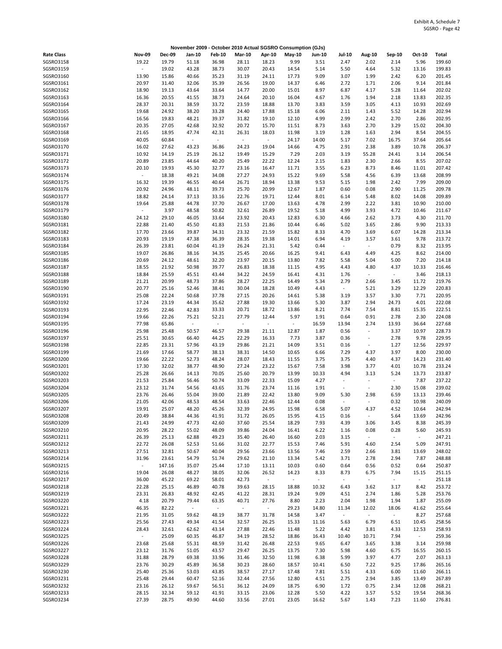|                        |                          |                |                          |                                   |                          |                          | November 2009 - October 2010 Actual SGSRO Consumption (GJs) |                |                                  |                          |                  |                |                  |
|------------------------|--------------------------|----------------|--------------------------|-----------------------------------|--------------------------|--------------------------|-------------------------------------------------------------|----------------|----------------------------------|--------------------------|------------------|----------------|------------------|
| <b>Rate Class</b>      | <b>Nov-09</b>            | <b>Dec-09</b>  | Jan-10                   | <b>Feb-10</b>                     | <b>Mar-10</b>            | Apr-10                   | May-10                                                      | Jun-10         | Jul-10                           | <b>Aug-10</b>            | Sep-10           | Oct-10         | Total            |
| SGSRO3158              | 19.22                    | 19.79          | 51.18                    | 36.98                             | 28.11                    | 18.23                    | 9.99                                                        | 3.51           | 2.47                             | 2.02                     | 2.14             | 5.96           | 199.60           |
| SGSRO3159              | $\overline{\phantom{a}}$ | 19.02          | 43.28                    | 38.73                             | 30.07                    | 20.43                    | 14.54                                                       | 5.14           | 5.50                             | 4.64                     | 5.32             | 13.16          | 199.83           |
| SGSRO3160              | 13.90                    | 15.86          | 40.66                    | 35.23                             | 31.19                    | 24.11                    | 17.73                                                       | 9.09           | 3.07                             | 1.99                     | 2.42             | 6.20           | 201.45           |
| SGSRO3161              | 20.97                    | 31.40          | 32.06                    | 35.39                             | 26.56                    | 19.00                    | 14.37                                                       | 6.46           | 2.72                             | 1.71                     | 2.06             | 9.14           | 201.84           |
| SGSRO3162<br>SGSRO3163 | 18.90<br>16.36           | 19.13<br>20.55 | 43.64<br>41.55           | 33.64<br>38.73                    | 14.77<br>24.64           | 20.00<br>20.10           | 15.01<br>16.04                                              | 8.97<br>4.67   | 6.87<br>1.76                     | 4.17<br>1.94             | 5.28<br>2.18     | 11.64<br>13.83 | 202.02<br>202.35 |
| SGSRO3164              | 28.37                    | 20.31          | 38.59                    | 33.72                             | 23.59                    | 18.88                    | 13.70                                                       | 3.83           | 3.59                             | 3.05                     | 4.13             | 10.93          | 202.69           |
| SGSRO3165              | 19.68                    | 24.92          | 38.20                    | 33.28                             | 24.40                    | 17.88                    | 15.18                                                       | 6.06           | 2.11                             | 1.43                     | 5.52             | 14.28          | 202.94           |
| SGSRO3166              | 16.56                    | 19.83          | 48.21                    | 39.37                             | 31.82                    | 19.10                    | 12.10                                                       | 4.99           | 2.99                             | 2.42                     | 2.70             | 2.86           | 202.95           |
| SGSRO3167              | 20.35                    | 27.05          | 42.68                    | 32.92                             | 20.72                    | 15.70                    | 11.51                                                       | 8.73           | 3.63                             | 2.70                     | 3.29             | 15.02          | 204.30           |
| SGSRO3168              | 21.65                    | 18.95          | 47.74                    | 42.31                             | 26.31                    | 18.03                    | 11.98                                                       | 3.19           | 1.28                             | 1.63                     | 2.94             | 8.54           | 204.55           |
| SGSRO3169              | 40.05                    | 60.84          | $\overline{\phantom{a}}$ | $\overline{\phantom{a}}$          | $\overline{\phantom{a}}$ | $\blacksquare$           | 24.17                                                       | 14.00          | 5.17                             | 7.02                     | 16.75            | 37.64          | 205.64           |
| SGSRO3170              | 16.02                    | 27.62          | 43.23                    | 36.86                             | 24.23                    | 19.04                    | 14.66                                                       | 4.75           | 2.91                             | 2.38                     | 3.89             | 10.78          | 206.37           |
| SGSRO3171              | 10.92                    | 14.19          | 25.19                    | 26.12                             | 19.49                    | 15.29                    | 7.29                                                        | 2.03           | 3.19                             | 55.28                    | 24.41            | 3.14           | 206.54           |
| SGSR03172              | 20.89                    | 23.85          | 44.64                    | 40.20                             | 25.49                    | 22.22                    | 12.24                                                       | 2.15           | 1.83                             | 2.30                     | 2.66             | 8.55           | 207.02           |
| SGSR03173              | 20.10                    | 19.93          | 45.30                    | 32.77                             | 23.16                    | 16.47                    | 11.71                                                       | 3.55           | 6.23                             | 8.73                     | 8.46             | 11.01          | 207.42           |
| SGSRO3174              | $\blacksquare$           | 18.38          | 49.21                    | 34.08                             | 27.27                    | 24.93                    | 15.22                                                       | 9.69           | 5.58                             | 4.56                     | 6.39             | 13.68          | 208.99           |
| SGSRO3175              | 16.32                    | 19.39          | 46.55                    | 40.64                             | 26.71                    | 18.94                    | 13.38                                                       | 9.53           | 5.15                             | 1.98                     | 2.42             | 7.99           | 209.00           |
| SGSR03176              | 20.92                    | 24.96          | 48.11                    | 39.73                             | 25.70                    | 20.99                    | 12.67                                                       | 1.87           | 0.60                             | 0.08                     | 2.90             | 11.25          | 209.78           |
| SGSR03177<br>SGSRO3178 | 18.82<br>19.64           | 24.14<br>25.88 | 37.13<br>44.78           | 33.16<br>37.70                    | 22.76<br>26.67           | 19.71<br>17.00           | 12.44<br>13.63                                              | 8.01<br>4.78   | 6.14<br>2.99                     | 5.48<br>2.22             | 8.02<br>3.81     | 14.08<br>10.90 | 209.89<br>210.00 |
| SGSRO3179              | $\overline{\phantom{a}}$ | 3.97           | 48.58                    | 50.82                             | 32.61                    | 26.89                    | 19.52                                                       | 5.18           | 4.99                             | 3.93                     | 4.72             | 10.46          | 211.67           |
| SGSRO3180              | 24.12                    | 29.10          | 46.05                    | 33.64                             | 23.92                    | 20.43                    | 12.83                                                       | 6.30           | 4.66                             | 2.62                     | 3.73             | 4.30           | 211.70           |
| SGSRO3181              | 22.88                    | 21.40          | 45.50                    | 41.83                             | 21.53                    | 21.86                    | 10.44                                                       | 6.46           | 5.02                             | 3.65                     | 2.86             | 9.90           | 213.33           |
| SGSRO3182              | 17.70                    | 23.66          | 39.87                    | 34.31                             | 23.32                    | 21.59                    | 15.82                                                       | 8.33           | 4.70                             | 3.69                     | 6.07             | 14.28          | 213.34           |
| SGSRO3183              | 20.93                    | 19.19          | 47.38                    | 36.39                             | 28.35                    | 19.38                    | 14.01                                                       | 6.94           | 4.19                             | 3.57                     | 3.61             | 9.78           | 213.72           |
| SGSRO3184              | 26.39                    | 23.81          | 60.04                    | 41.19                             | 26.24                    | 21.31                    | 5.42                                                        | 0.44           | $\overline{\phantom{a}}$         | $\overline{\phantom{a}}$ | 0.79             | 8.32           | 213.95           |
| SGSRO3185              | 19.07                    | 26.86          | 38.16                    | 34.35                             | 25.45                    | 20.66                    | 16.25                                                       | 9.41           | 6.43                             | 4.49                     | 4.25             | 8.62           | 214.00           |
| SGSRO3186              | 20.69                    | 24.12          | 48.61                    | 32.20                             | 23.97                    | 20.15                    | 13.80                                                       | 7.82           | 5.58                             | 5.04                     | 5.00             | 7.20           | 214.18           |
| SGSRO3187              | 18.55                    | 21.92          | 50.98                    | 39.77                             | 26.83                    | 18.38                    | 11.15                                                       | 4.95           | 4.43                             | 4.80                     | 4.37             | 10.33          | 216.46           |
| SGSRO3188              | 18.84                    | 25.59          | 45.51                    | 43.44                             | 34.22                    | 24.59                    | 16.41                                                       | 4.31           | 1.76                             | $\bar{z}$                | $\blacksquare$   | 3.46           | 218.13           |
| SGSRO3189              | 21.21                    | 20.99          | 48.73                    | 37.86                             | 28.27                    | 22.25                    | 14.49                                                       | 5.34           | 2.79                             | 2.66                     | 3.45             | 11.72          | 219.76           |
| SGSRO3190              | 20.77                    | 25.16          | 52.46                    | 38.41                             | 30.04                    | 18.28                    | 10.49                                                       | 4.43           | $\overline{\phantom{a}}$         | 5.21                     | 3.29             | 12.29          | 220.83           |
| SGSRO3191              | 25.08                    | 22.24          | 50.68                    | 37.78                             | 27.15                    | 20.26                    | 14.61                                                       | 5.38           | 3.19                             | 3.57                     | 3.30             | 7.71           | 220.95           |
| SGSR03192<br>SGSRO3193 | 17.24                    | 23.19          | 44.34                    | 35.62                             | 27.88                    | 19.30                    | 13.66                                                       | 5.30           | 3.87<br>7.74                     | 2.94                     | 24.73            | 4.01           | 222.08<br>222.51 |
| SGSRO3194              | 22.95<br>19.66           | 22.46<br>22.26 | 42.83<br>75.21           | 33.33<br>52.21                    | 20.71<br>27.79           | 18.72<br>12.44           | 13.86<br>5.97                                               | 8.21<br>1.91   | 0.64                             | 7.54<br>0.91             | 8.81<br>2.78     | 15.35<br>2.30  | 224.08           |
| SGSRO3195              | 77.98                    | 65.86          | $\sim$                   | $\frac{1}{2}$                     | $\omega$                 | $\overline{\phantom{a}}$ | $\blacksquare$                                              | 16.59          | 13.94                            | 2.74                     | 13.93            | 36.64          | 227.68           |
| SGSRO3196              | 25.98                    | 25.48          | 50.57                    | 46.57                             | 29.38                    | 21.11                    | 12.87                                                       | 1.87           | 0.56                             | ÷,                       | 3.37             | 10.97          | 228.73           |
| SGSRO3197              | 25.51                    | 30.65          | 66.40                    | 44.25                             | 22.29                    | 16.33                    | 7.73                                                        | 3.87           | 0.36                             |                          | 2.78             | 9.78           | 229.95           |
| SGSRO3198              | 22.85                    | 23.31          | 57.96                    | 43.19                             | 29.86                    | 21.21                    | 14.09                                                       | 3.51           | 0.16                             | $\overline{\phantom{a}}$ | 1.27             | 12.56          | 229.97           |
| SGSRO3199              | 21.69                    | 17.66          | 58.77                    | 38.13                             | 38.31                    | 14.50                    | 10.65                                                       | 6.66           | 7.29                             | 4.37                     | 3.97             | 8.00           | 230.00           |
| SGSRO3200              | 19.66                    | 22.22          | 52.73                    | 48.24                             | 28.07                    | 18.43                    | 11.55                                                       | 3.75           | 3.75                             | 4.40                     | 4.37             | 14.23          | 231.40           |
| SGSRO3201              | 17.30                    | 32.02          | 38.77                    | 48.90                             | 27.24                    | 23.22                    | 15.67                                                       | 7.58           | 3.98                             | 3.77                     | 4.01             | 10.78          | 233.24           |
| SGSRO3202              | 25.28                    | 26.66          | 14.13                    | 70.05                             | 25.60                    | 20.79                    | 13.99                                                       | 10.33          | 4.94                             | 3.13                     | 5.24             | 13.73          | 233.87           |
| SGSRO3203              | 21.53                    | 25.84          | 56.46                    | 50.74                             | 33.09                    | 22.33                    | 15.09                                                       | 4.27           | $\overline{\phantom{a}}$         | $\ddot{\phantom{1}}$     | ÷,               | 7.87           | 237.22           |
| SGSRO3204              | 23.12                    | 31.74          | 54.56                    | 43.65                             | 31.76                    | 23.74                    | 11.16                                                       | 1.91           | $\overline{\phantom{a}}$         | ÷,                       | 2.30             | 15.08          | 239.02           |
| SGSRO3205              | 23.76                    | 26.46          | 55.04                    | 39.00                             | 21.89                    | 22.42                    | 13.80                                                       | 9.09           | 5.30                             | 2.98<br>$\sim$           | 6.59             | 13.13          | 239.46           |
| SGSRO3206<br>SGSRO3207 | 21.05<br>19.91           | 42.06<br>25.07 | 48.53<br>48.20           | 48.54<br>45.26                    | 33.63<br>32.39           | 22.46<br>24.95           | 12.44<br>15.98                                              | 0.08<br>6.58   | $\overline{\phantom{a}}$<br>5.07 | 4.37                     | 0.32<br>4.52     | 10.98<br>10.64 | 240.09<br>242.94 |
| SGSRO3208              | 20.49                    | 38.84          | 44.36                    | 41.91                             | 31.72                    | 26.05                    | 15.95                                                       | 4.15           | 0.16                             | $\overline{\phantom{a}}$ | 5.64             | 13.69          | 242.96           |
| SGSRO3209              | 21.43                    | 24.99          | 47.73                    | 42.60                             | 37.60                    | 25.54                    | 18.29                                                       | 7.93           | 4.39                             | 3.06                     | 3.45             | 8.38           | 245.39           |
| SGSRO3210              | 20.95                    | 28.22          | 55.02                    | 48.09                             | 39.86                    | 24.04                    | 16.41                                                       | 6.22           | 1.16                             | 0.08                     | 0.28             | 5.60           | 245.93           |
| SGSR03211              | 26.39                    | 25.13          | 62.88                    | 49.23                             | 35.40                    | 26.40                    | 16.60                                                       | 2.03           | 3.15                             | $\overline{\phantom{a}}$ | $\omega_{\rm c}$ | $\omega$       | 247.21           |
| SGSR03212              | 22.72                    | 26.08          | 52.53                    | 51.66                             | 31.02                    | 22.77                    | 15.53                                                       | 7.46           | 5.91                             | 4.60                     | 2.54             | 5.09           | 247.91           |
| SGSRO3213              | 27.51                    | 32.81          | 50.67                    | 40.04                             | 29.56                    | 23.66                    | 13.56                                                       | 7.46           | 2.59                             | 2.66                     | 3.81             | 13.69          | 248.02           |
| SGSRO3214              | 31.96                    | 23.61          | 54.79                    | 51.74                             | 29.62                    | 21.10                    | 13.34                                                       | 5.42           | 3.71                             | 2.78                     | 2.94             | 7.87           | 248.88           |
| SGSR03215              | $\blacksquare$           | 147.16         | 35.07                    | 25.44                             | 17.10                    | 13.11                    | 10.03                                                       | 0.60           | 0.64                             | 0.56                     | 0.52             | 0.64           | 250.87           |
| SGSR03216              | 19.04                    | 26.08          | 48.27                    | 38.05                             | 32.06                    | 26.52                    | 14.23                                                       | 8.33           | 8.73                             | 6.75                     | 7.94             | 15.15          | 251.15           |
| SGSR03217              | 36.00                    | 45.22          | 69.22                    | 58.01                             | 42.73                    | $\overline{\phantom{a}}$ | $\blacksquare$                                              | $\blacksquare$ | $\overline{\phantom{a}}$         | $\blacksquare$           | $\blacksquare$   | $\sim$         | 251.18           |
| SGSRO3218              | 22.28                    | 25.15          | 46.89                    | 40.78                             | 39.63                    | 28.15                    | 18.88                                                       | 10.32          | 6.43                             | 3.62                     | 3.17             | 8.42           | 253.72           |
| SGSRO3219<br>SGSRO3220 | 23.31                    | 26.83          | 48.92                    | 42.45                             | 41.22                    | 28.31                    | 19.24                                                       | 9.09           | 4.51<br>2.04                     | 2.74                     | 1.86             | 5.28           | 253.76           |
| SGSR03221              | 4.18<br>46.35            | 20.79<br>82.22 | 79.44<br>$\sim$          | 63.35<br>$\overline{\phantom{a}}$ | 40.71<br>$\sim$          | 27.76<br>$\sim$          | 8.80<br>29.23                                               | 2.23<br>14.80  | 11.34                            | 1.98<br>12.02            | 1.94<br>18.06    | 1.87<br>41.62  | 255.09<br>255.64 |
| SGSRO3222              | 21.95                    | 31.05          | 59.62                    | 48.19                             | 38.77                    | 31.78                    | 14.58                                                       | 3.47           | $\omega_{\rm c}$                 | $\sim$                   | $\omega$         | 8.27           | 257.68           |
| SGSRO3223              | 25.56                    | 27.43          | 49.34                    | 41.54                             | 32.57                    | 26.25                    | 15.33                                                       | 11.16          | 5.63                             | 6.79                     | 6.51             | 10.45          | 258.56           |
| SGSRO3224              | 28.43                    | 32.61          | 62.62                    | 43.14                             | 27.88                    | 22.46                    | 11.48                                                       | 5.22           | 4.42                             | 3.81                     | 4.33             | 12.53          | 258.93           |
| SGSR03225              | ÷,                       | 25.09          | 60.35                    | 46.87                             | 34.19                    | 28.52                    | 18.86                                                       | 16.43          | 10.40                            | 10.71                    | 7.94             | $\sim$         | 259.36           |
| SGSRO3226              | 23.68                    | 25.68          | 55.31                    | 48.59                             | 31.42                    | 26.48                    | 22.53                                                       | 9.65           | 6.47                             | 3.65                     | 3.38             | 3.14           | 259.98           |
| SGSR03227              | 23.12                    | 31.76          | 51.05                    | 43.57                             | 29.47                    | 26.25                    | 13.75                                                       | 7.30           | 5.98                             | 4.60                     | 6.75             | 16.55          | 260.15           |
| SGSR03228              | 31.88                    | 28.79          | 69.38                    | 33.96                             | 31.46                    | 32.50                    | 11.98                                                       | 6.38           | 5.99                             | 3.97                     | 4.77             | 2.07           | 263.13           |
| SGSRO3229              | 23.76                    | 30.29          | 45.89                    | 36.58                             | 30.23                    | 28.60                    | 18.57                                                       | 10.41          | 6.50                             | 7.22                     | 9.25             | 17.86          | 265.16           |
| SGSRO3230              | 25.40                    | 25.36          | 53.03                    | 43.85                             | 38.57                    | 27.17                    | 17.48                                                       | 7.81           | 5.51                             | 4.33                     | 6.00             | 11.60          | 266.11           |
| SGSR03231              | 25.48                    | 29.44          | 60.47                    | 52.16                             | 32.44                    | 27.56                    | 12.80                                                       | 4.51           | 2.75                             | 2.94                     | 3.85             | 13.49          | 267.89           |
| SGSR03232              | 23.16                    | 26.12          | 59.67                    | 56.51                             | 36.12                    | 24.09                    | 18.75                                                       | 6.90           | 1.72                             | 0.75                     | 2.34             | 12.08          | 268.21           |
| SGSR03233<br>SGSRO3234 | 28.15                    | 32.34          | 59.12<br>49.90           | 41.91                             | 33.15                    | 23.06                    | 12.28                                                       | 5.50           | 4.22                             | 3.57                     | 5.52             | 19.54          | 268.36           |
|                        | 27.39                    | 28.75          |                          | 44.60                             | 33.56                    | 27.01                    | 23.05                                                       | 16.62          | 5.67                             | 1.43                     | 7.23             | 11.60          | 276.81           |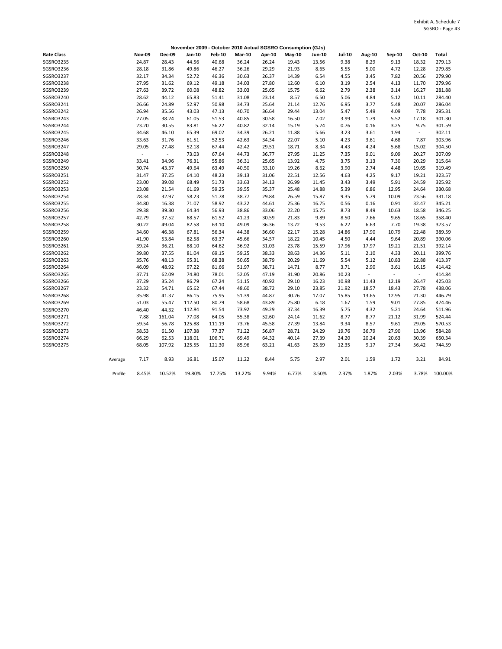|                   |         |               |               |        |               |               |        | November 2009 - October 2010 Actual SGSRO Consumption (GJs) |               |               |                |                |          |         |
|-------------------|---------|---------------|---------------|--------|---------------|---------------|--------|-------------------------------------------------------------|---------------|---------------|----------------|----------------|----------|---------|
| <b>Rate Class</b> |         | <b>Nov-09</b> | <b>Dec-09</b> | Jan-10 | <b>Feb-10</b> | <b>Mar-10</b> | Apr-10 | $May-10$                                                    | <b>Jun-10</b> | <b>Jul-10</b> | Aug-10         | Sep-10         | Oct-10   | Total   |
| SGSRO3235         |         | 24.87         | 28.43         | 44.56  | 40.68         | 36.24         | 26.24  | 19.43                                                       | 13.56         | 9.38          | 8.29           | 9.13           | 18.32    | 279.13  |
| SGSRO3236         |         | 28.18         | 31.86         | 49.86  | 46.27         | 36.26         | 29.29  | 21.93                                                       | 8.65          | 5.55          | 5.00           | 4.72           | 12.28    | 279.85  |
| SGSRO3237         |         | 32.17         | 34.34         | 52.72  | 46.36         | 30.63         | 26.37  | 14.39                                                       | 6.54          | 4.55          | 3.45           | 7.82           | 20.56    | 279.90  |
| SGSRO3238         |         | 27.95         | 31.62         | 69.12  | 49.18         | 34.03         | 27.80  | 12.60                                                       | 6.10          | 3.19          | 2.54           | 4.13           | 11.70    | 279.96  |
| SGSRO3239         |         | 27.63         | 39.72         | 60.08  | 48.82         | 33.03         | 25.65  | 15.75                                                       | 6.62          | 2.79          | 2.38           | 3.14           | 16.27    | 281.88  |
| SGSRO3240         |         | 28.62         | 44.12         | 65.83  | 51.41         | 31.08         | 23.14  | 8.57                                                        | 6.50          | 5.06          | 4.84           | 5.12           | 10.11    | 284.40  |
| SGSRO3241         |         | 26.66         | 24.89         | 52.97  | 50.98         | 34.73         | 25.64  | 21.14                                                       | 12.76         | 6.95          | 3.77           | 5.48           | 20.07    | 286.04  |
| SGSRO3242         |         | 26.94         | 35.56         | 43.03  | 47.13         | 40.70         | 36.64  | 29.44                                                       | 13.04         | 5.47          | 5.49           | 4.09           | 7.78     | 295.31  |
| SGSRO3243         |         | 27.05         | 38.24         | 61.05  | 51.53         | 40.85         | 30.58  | 16.50                                                       | 7.02          | 3.99          | 1.79           | 5.52           | 17.18    | 301.30  |
| SGSRO3244         |         | 23.20         | 30.55         | 83.81  | 56.22         | 40.82         | 32.14  | 15.19                                                       | 5.74          | 0.76          | 0.16           | 3.25           | 9.75     | 301.59  |
| SGSRO3245         |         | 34.68         | 46.10         | 65.39  | 69.02         | 34.39         | 26.21  | 11.88                                                       | 5.66          | 3.23          | 3.61           | 1.94           | $\omega$ | 302.11  |
| SGSRO3246         |         | 33.63         | 31.76         | 61.51  | 52.53         | 42.63         | 34.34  | 22.07                                                       | 5.10          | 4.23          | 3.61           | 4.68           | 7.87     | 303.96  |
| SGSRO3247         |         | 29.05         | 27.48         | 52.18  | 67.44         | 42.42         | 29.51  | 18.71                                                       | 8.34          | 4.43          | 4.24           | 5.68           | 15.02    | 304.50  |
| SGSRO3248         |         | ÷,            | $\omega$      | 73.03  | 67.64         | 44.73         | 36.77  | 27.95                                                       | 11.25         | 7.35          | 9.01           | 9.09           | 20.27    | 307.09  |
| SGSRO3249         |         | 33.41         | 34.96         | 76.31  | 55.86         | 36.31         | 25.65  | 13.92                                                       | 4.75          | 3.75          | 3.13           | 7.30           | 20.29    | 315.64  |
| SGSRO3250         |         | 30.74         | 43.37         | 49.64  | 63.49         | 40.50         | 33.10  | 19.26                                                       | 8.62          | 3.90          | 2.74           | 4.48           | 19.65    | 319.49  |
| SGSRO3251         |         | 31.47         | 37.25         | 64.10  | 48.23         | 39.13         | 31.06  | 22.51                                                       | 12.56         | 4.63          | 4.25           | 9.17           | 19.21    | 323.57  |
| SGSRO3252         |         | 23.00         | 39.08         | 68.49  | 51.73         | 33.63         | 34.13  | 26.99                                                       | 11.45         | 3.43          | 3.49           | 5.91           | 24.59    | 325.92  |
| SGSRO3253         |         | 23.08         | 21.54         | 61.69  | 59.25         | 39.55         | 35.37  | 25.48                                                       | 14.88         | 5.39          | 6.86           | 12.95          | 24.64    | 330.68  |
| SGSRO3254         |         | 28.34         | 32.97         | 58.23  | 51.78         | 38.77         | 29.84  | 26.59                                                       | 15.87         | 9.35          | 5.79           | 10.09          | 23.56    | 331.18  |
| SGSRO3255         |         | 34.80         | 16.38         | 71.07  | 58.92         | 43.22         | 44.61  | 25.36                                                       | 16.75         | 0.56          | 0.16           | 0.91           | 32.47    | 345.21  |
| SGSRO3256         |         | 29.38         | 39.30         | 64.34  | 56.93         | 38.86         | 33.06  | 22.20                                                       | 15.75         | 8.73          | 8.49           | 10.63          | 18.58    | 346.25  |
| SGSRO3257         |         | 42.79         | 37.52         | 68.57  | 61.52         | 41.23         | 30.59  | 21.83                                                       | 9.89          | 8.50          | 7.66           | 9.65           | 18.65    | 358.40  |
| SGSRO3258         |         | 30.22         | 49.04         | 82.58  | 63.10         | 49.09         | 36.36  | 13.72                                                       | 9.53          | 6.22          | 6.63           | 7.70           | 19.38    | 373.57  |
| SGSRO3259         |         | 34.60         | 46.38         | 67.81  | 56.34         | 44.38         | 36.60  | 22.17                                                       | 15.28         | 14.86         | 17.90          | 10.79          | 22.48    | 389.59  |
| SGSRO3260         |         | 41.90         | 53.84         | 82.58  | 63.37         | 45.66         | 34.57  | 18.22                                                       | 10.45         | 4.50          | 4.44           | 9.64           | 20.89    | 390.06  |
| SGSRO3261         |         | 39.24         | 36.21         | 68.10  | 64.62         | 36.92         | 31.03  | 23.78                                                       | 15.59         | 17.96         | 17.97          | 19.21          | 21.51    | 392.14  |
| SGSRO3262         |         | 39.80         | 37.55         | 81.04  | 69.15         | 59.25         | 38.33  | 28.63                                                       | 14.36         | 5.11          | 2.10           | 4.33           | 20.11    | 399.76  |
| SGSRO3263         |         | 35.76         | 48.13         | 95.31  | 68.38         | 50.65         | 38.79  | 20.29                                                       | 11.69         | 5.54          | 5.12           | 10.83          | 22.88    | 413.37  |
| SGSRO3264         |         | 46.09         | 48.92         | 97.22  | 81.66         | 51.97         | 38.71  | 14.71                                                       | 8.77          | 3.71          | 2.90           | 3.61           | 16.15    | 414.42  |
| SGSRO3265         |         | 37.71         | 62.09         | 74.80  | 78.01         | 52.05         | 47.19  | 31.90                                                       | 20.86         | 10.23         | $\blacksquare$ | $\blacksquare$ | $\omega$ | 414.84  |
| SGSRO3266         |         | 37.29         | 35.24         | 86.79  | 67.24         | 51.15         | 40.92  | 29.10                                                       | 16.23         | 10.98         | 11.43          | 12.19          | 26.47    | 425.03  |
| SGSRO3267         |         | 23.32         | 54.71         | 65.62  | 67.44         | 48.60         | 38.72  | 29.10                                                       | 23.85         | 21.92         | 18.57          | 18.43          | 27.78    | 438.06  |
| SGSRO3268         |         | 35.98         | 41.37         | 86.15  | 75.95         | 51.39         | 44.87  | 30.26                                                       | 17.07         | 15.85         | 13.65          | 12.95          | 21.30    | 446.79  |
| SGSRO3269         |         | 51.03         | 55.47         | 112.50 | 80.79         | 58.68         | 43.89  | 25.80                                                       | 6.18          | 1.67          | 1.59           | 9.01           | 27.85    | 474.46  |
| SGSRO3270         |         | 46.40         | 44.32         | 112.84 | 91.54         | 73.92         | 49.29  | 37.34                                                       | 16.39         | 5.75          | 4.32           | 5.21           | 24.64    | 511.96  |
| SGSRO3271         |         | 7.88          | 161.04        | 77.08  | 64.05         | 55.38         | 52.60  | 24.14                                                       | 11.62         | 8.77          | 8.77           | 21.12          | 31.99    | 524.44  |
| SGSRO3272         |         | 59.54         | 56.78         | 125.88 | 111.19        | 73.76         | 45.58  | 27.39                                                       | 13.84         | 9.34          | 8.57           | 9.61           | 29.05    | 570.53  |
| SGSRO3273         |         | 58.53         | 61.50         | 107.38 | 77.37         | 71.22         | 56.87  | 28.71                                                       | 24.29         | 19.76         | 36.79          | 27.90          | 13.96    | 584.28  |
| SGSRO3274         |         | 66.29         | 62.53         | 118.01 | 106.71        | 69.49         | 64.32  | 40.14                                                       | 27.39         | 24.20         | 20.24          | 20.63          | 30.39    | 650.34  |
| SGSRO3275         |         | 68.05         | 107.92        | 125.55 | 121.30        | 85.96         | 63.21  | 41.63                                                       | 25.69         | 12.35         | 9.17           | 27.34          | 56.42    | 744.59  |
|                   | Average | 7.17          | 8.93          | 16.81  | 15.07         | 11.22         | 8.44   | 5.75                                                        | 2.97          | 2.01          | 1.59           | 1.72           | 3.21     | 84.91   |
|                   | Profile | 8.45%         | 10.52%        | 19.80% | 17.75%        | 13.22%        | 9.94%  | 6.77%                                                       | 3.50%         | 2.37%         | 1.87%          | 2.03%          | 3.78%    | 100.00% |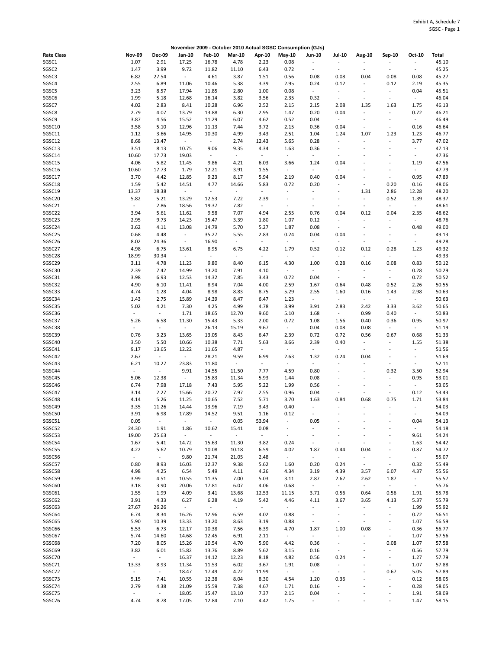|                   |                          |                | November 2009 - October 2010 Actual SGSC Consumption (GJs) |                |                |                     |                          |                          |                          |                          |                              |                          |       |
|-------------------|--------------------------|----------------|------------------------------------------------------------|----------------|----------------|---------------------|--------------------------|--------------------------|--------------------------|--------------------------|------------------------------|--------------------------|-------|
| <b>Rate Class</b> | <b>Nov-09</b>            | <b>Dec-09</b>  | Jan-10                                                     | <b>Feb-10</b>  | <b>Mar-10</b>  | Apr-10              | May-10                   | <b>Jun-10</b>            | Jul-10                   | Aug-10                   | Sep-10                       | Oct-10                   | Total |
| SGSC1             | 1.07                     | 2.91           | 17.25                                                      | 16.78          | 4.78           | 2.23                | 0.08                     |                          | ÷,                       |                          |                              | ÷,                       | 45.10 |
| SGSC2             | 1.47                     | 3.99           | 9.72                                                       | 11.82          | 11.10          | 6.43                | 0.72                     | $\sim$                   | $\sim$                   | ÷,                       | $\overline{\phantom{a}}$     | ÷.                       | 45.25 |
|                   |                          |                |                                                            |                |                |                     |                          |                          |                          |                          |                              |                          |       |
| SGSC3             | 6.82                     | 27.54          | $\sim$                                                     | 4.61           | 3.87           | 1.51                | 0.56                     | 0.08                     | 0.08                     | 0.04                     | 0.08                         | 0.08                     | 45.27 |
| SGSC4             | 2.55                     | 6.89           | 11.06                                                      | 10.46          | 5.38           | 3.39                | 2.95                     | 0.24                     | 0.12                     | $\bar{\phantom{a}}$      | 0.12                         | 2.19                     | 45.35 |
| SGSC5             | 3.23                     | 8.57           | 17.94                                                      | 11.85          | 2.80           | 1.00                | 0.08                     | $\overline{\phantom{a}}$ | $\overline{\phantom{a}}$ | $\overline{a}$           |                              | 0.04                     | 45.51 |
| SGSC6             | 1.99                     | 5.18           | 12.68                                                      | 16.14          | 3.82           | 3.56                | 2.35                     | 0.32                     | $\overline{\phantom{a}}$ | $\blacksquare$           | $\blacksquare$               | $\sim$                   | 46.04 |
| SGSC7             | 4.02                     | 2.83           | 8.41                                                       | 10.28          | 6.96           | 2.52                | 2.15                     | 2.15                     | 2.08                     | 1.35                     | 1.63                         | 1.75                     | 46.13 |
| SGSC8             | 2.79                     | 4.07           | 13.79                                                      | 13.88          | 6.30           | 2.95                | 1.47                     | 0.20                     | 0.04                     | $\blacksquare$           | $\overline{a}$               | 0.72                     | 46.21 |
|                   |                          |                |                                                            |                |                |                     |                          |                          |                          |                          |                              |                          |       |
| SGSC9             | 3.87                     | 4.56           | 15.52                                                      | 11.29          | 6.07           | 4.62                | 0.52                     | 0.04                     | $\omega$                 | $\overline{\phantom{a}}$ | $\overline{\phantom{a}}$     | $\sim$                   | 46.49 |
| SGSC10            | 3.58                     | 5.10           | 12.96                                                      | 11.13          | 7.44           | 3.72                | 2.15                     | 0.36                     | 0.04                     | $\bar{\phantom{a}}$      | $\blacksquare$               | 0.16                     | 46.64 |
| SGSC11            | 1.12                     | 3.66           | 14.95                                                      | 10.30          | 4.99           | 3.43                | 2.51                     | 1.04                     | 1.24                     | 1.07                     | 1.23                         | 1.23                     | 46.77 |
| SGSC12            | 8.68                     | 13.47          | $\overline{\phantom{a}}$                                   | $\omega$       | 2.74           | 12.43               | 5.65                     | 0.28                     | $\overline{\phantom{a}}$ | $\bar{\phantom{a}}$      | ÷                            | 3.77                     | 47.02 |
| SGSC13            | 3.51                     | 8.13           | 10.75                                                      | 9.06           | 9.35           | 4.34                | 1.63                     | 0.36                     | ÷,                       |                          |                              | $\blacksquare$           | 47.13 |
|                   |                          |                |                                                            |                |                |                     |                          |                          |                          |                          |                              |                          |       |
| SGSC14            | 10.60                    | 17.73          | 19.03                                                      | $\blacksquare$ | $\blacksquare$ | $\sim$              | $\sim$                   | $\overline{\phantom{a}}$ | $\overline{\phantom{a}}$ |                          |                              | $\overline{\phantom{a}}$ | 47.36 |
| SGSC15            | 4.06                     | 5.82           | 11.45                                                      | 9.86           | 4.21           | 6.03                | 3.66                     | 1.24                     | 0.04                     |                          |                              | 1.19                     | 47.56 |
| SGSC16            | 10.60                    | 17.73          | 1.79                                                       | 12.21          | 3.91           | 1.55                | $\sim$                   | $\overline{\phantom{a}}$ | $\bar{z}$                |                          |                              | $\omega$                 | 47.79 |
| SGSC17            | 3.70                     | 4.42           | 12.85                                                      | 9.23           | 8.17           | 5.94                | 2.19                     | 0.40                     | 0.04                     |                          | ÷                            | 0.95                     | 47.89 |
| SGSC18            | 1.59                     | 5.42           | 14.51                                                      | 4.77           | 14.66          | 5.83                | 0.72                     | 0.20                     | L.                       | ÷                        | 0.20                         | 0.16                     | 48.06 |
|                   |                          |                |                                                            |                |                |                     | $\sim$                   |                          |                          |                          |                              |                          |       |
| SGSC19            | 13.37                    | 18.38          | $\blacksquare$                                             | $\blacksquare$ | $\mathbb{Z}^2$ | $\bar{\phantom{a}}$ |                          |                          | ÷,                       | 1.31                     | 2.86                         | 12.28                    | 48.20 |
| SGSC20            | 5.82                     | 5.21           | 13.29                                                      | 12.53          | 7.22           | 2.39                | $\sim$                   | $\overline{a}$           | $\overline{a}$           | $\blacksquare$           | 0.52                         | 1.39                     | 48.37 |
| SGSC21            | $\Box$                   | 2.86           | 18.56                                                      | 19.37          | 7.82           | $\omega$            | $\sim$                   | $\overline{\phantom{a}}$ | $\tilde{\phantom{a}}$    | $\blacksquare$           | $\sim$                       | $\omega$                 | 48.61 |
| SGSC22            | 3.94                     | 5.61           | 11.62                                                      | 9.58           | 7.07           | 4.94                | 2.55                     | 0.76                     | 0.04                     | 0.12                     | 0.04                         | 2.35                     | 48.62 |
| SGSC23            | 2.95                     | 9.73           | 14.23                                                      | 15.47          | 3.39           | 1.80                | 1.07                     | 0.12                     | $\overline{\phantom{a}}$ | $\blacksquare$           |                              | $\blacksquare$           | 48.76 |
|                   |                          |                |                                                            |                |                |                     |                          |                          | $\sim$                   |                          |                              |                          |       |
| SGSC24            | 3.62                     | 4.11           | 13.08                                                      | 14.79          | 5.70           | 5.27                | 1.87                     | 0.08                     |                          |                          | $\overline{\phantom{a}}$     | 0.48                     | 49.00 |
| SGSC25            | 0.68                     | 4.48           | $\overline{\phantom{a}}$                                   | 35.27          | 5.55           | 2.83                | 0.24                     | 0.04                     | 0.04                     | ÷                        | ÷                            | $\blacksquare$           | 49.13 |
| SGSC26            | 8.02                     | 24.36          | $\blacksquare$                                             | 16.90          | $\blacksquare$ | $\sim$              | $\blacksquare$           | $\overline{\phantom{a}}$ | $\blacksquare$           | $\overline{a}$           | $\ddot{\phantom{1}}$         | ÷,                       | 49.28 |
| SGSC27            | 4.98                     | 6.75           | 13.61                                                      | 8.95           | 6.75           | 4.22                | 1.79                     | 0.52                     | 0.12                     | 0.12                     | 0.28                         | 1.23                     | 49.32 |
| SGSC28            | 18.99                    | 30.34          | $\blacksquare$                                             | $\omega$       | $\blacksquare$ | $\blacksquare$      | $\blacksquare$           | $\overline{\phantom{a}}$ | $\omega$                 | $\blacksquare$           | ÷,                           | $\sim$                   | 49.33 |
| SGSC29            | 3.11                     |                |                                                            | 9.80           |                |                     |                          |                          | 0.28                     |                          |                              |                          |       |
|                   |                          | 4.78           | 11.23                                                      |                | 8.40           | 6.15                | 4.30                     | 1.00                     |                          | 0.16                     | 0.08                         | 0.83                     | 50.12 |
| SGSC30            | 2.39                     | 7.42           | 14.99                                                      | 13.20          | 7.91           | 4.10                | $\blacksquare$           | $\blacksquare$           | $\overline{\phantom{a}}$ | $\blacksquare$           | $\overline{\phantom{a}}$     | 0.28                     | 50.29 |
| SGSC31            | 3.98                     | 6.93           | 12.53                                                      | 14.32          | 7.85           | 3.43                | 0.72                     | 0.04                     | $\overline{\phantom{a}}$ | $\overline{\phantom{a}}$ | $\overline{\phantom{a}}$     | 0.72                     | 50.52 |
| SGSC32            | 4.90                     | 6.10           | 11.41                                                      | 8.94           | 7.04           | 4.00                | 2.59                     | 1.67                     | 0.64                     | 0.48                     | 0.52                         | 2.26                     | 50.55 |
| SGSC33            | 4.74                     | 1.28           | 4.04                                                       | 8.98           | 8.83           | 8.75                | 5.29                     | 2.55                     | 1.60                     | 0.16                     | 1.43                         | 2.98                     | 50.63 |
| SGSC34            | 1.43                     | 2.75           | 15.89                                                      | 14.39          |                | 6.47                | 1.23                     | $\overline{\phantom{a}}$ | $\omega$                 | $\omega_{\rm c}$         | $\blacksquare$               | $\sim$                   | 50.63 |
|                   |                          |                |                                                            |                | 8.47           |                     |                          |                          |                          |                          |                              |                          |       |
| SGSC35            | 5.02                     | 4.21           | 7.30                                                       | 4.25           | 4.99           | 4.78                | 3.99                     | 3.91                     | 2.83                     | 2.42                     | 3.33                         | 3.62                     | 50.65 |
| SGSC36            | $\blacksquare$           | $\sim$         | 1.71                                                       | 18.65          | 12.70          | 9.60                | 5.10                     | 1.68                     | $\sim$                   | 0.99                     | 0.40                         | $\sim$                   | 50.83 |
| SGSC37            | 5.26                     | 6.58           | 11.30                                                      | 15.43          | 5.33           | 2.00                | 0.72                     | 1.08                     | 1.56                     | 0.40                     | 0.36                         | 0.95                     | 50.97 |
| SGSC38            | ÷,                       | $\omega$       | $\overline{\phantom{a}}$                                   | 26.13          | 15.19          | 9.67                | $\omega$                 | 0.04                     | 0.08                     | 0.08                     | ÷                            | $\omega$                 | 51.19 |
| SGSC39            | 0.76                     | 3.23           | 13.65                                                      | 13.05          |                |                     | 2.39                     |                          | 0.72                     | 0.56                     |                              |                          |       |
|                   |                          |                |                                                            |                | 8.43           | 6.47                |                          | 0.72                     |                          |                          | 0.67                         | 0.68                     | 51.33 |
| SGSC40            | 3.50                     | 5.50           | 10.66                                                      | 10.38          | 7.71           | 5.63                | 3.66                     | 2.39                     | 0.40                     | $\blacksquare$           |                              | 1.55                     | 51.38 |
| SGSC41            | 9.17                     | 13.65          | 12.22                                                      | 11.65          | 4.87           | $\omega$            | $\omega$                 | $\omega$                 | $\omega$                 | $\omega$                 |                              | $\omega$                 | 51.56 |
| SGSC42            | 2.67                     | $\sim$         | $\overline{\phantom{a}}$                                   | 28.21          | 9.59           | 6.99                | 2.63                     | 1.32                     | 0.24                     | 0.04                     |                              | $\blacksquare$           | 51.69 |
| SGSC43            | 6.21                     | 10.27          | 23.83                                                      | 11.80          | $\mathbb{Z}^2$ | $\blacksquare$      | $\blacksquare$           | $\overline{\phantom{a}}$ | ÷,                       | $\bar{\phantom{a}}$      | $\overline{a}$               | $\overline{\phantom{a}}$ | 52.11 |
| SGSC44            | $\overline{\phantom{a}}$ | $\sim$         | 9.91                                                       | 14.55          |                |                     |                          |                          |                          | ÷,                       | 0.32                         |                          | 52.94 |
|                   |                          |                |                                                            |                | 11.50          | 7.77                | 4.59                     | 0.80                     |                          |                          |                              | 3.50                     |       |
| SGSC45            | 5.06                     | 12.38          | $\overline{\phantom{a}}$                                   | 15.83          | 11.34          | 5.93                | 1.44                     | 0.08                     | ÷,                       | $\sim$                   |                              | 0.95                     | 53.01 |
| SGSC46            | 6.74                     | 7.98           | 17.18                                                      | 7.43           | 5.95           | 5.22                | 1.99                     | 0.56                     | ä,                       | $\ddot{\phantom{1}}$     | $\overline{\phantom{a}}$     | $\sim$                   | 53.05 |
| SGSC47            | 3.14                     | 2.27           | 15.66                                                      | 20.72          | 7.97           | 2.55                | 0.96                     | 0.04                     | ÷,                       | $\sim$                   | $\blacksquare$               | 0.12                     | 53.43 |
| SGSC48            | 4.14                     | 5.26           | 11.25                                                      | 10.65          | 7.52           | 5.71                | 3.70                     | 1.63                     | 0.84                     | 0.68                     | 0.75                         | 1.71                     | 53.84 |
| SGSC49            | 3.35                     | 11.26          | 14.44                                                      | 13.96          | 7.19           | 3.43                | 0.40                     | $\blacksquare$           | $\blacksquare$           | $\bar{\phantom{a}}$      | ÷                            | $\blacksquare$           | 54.03 |
|                   |                          |                |                                                            |                |                |                     |                          |                          |                          |                          |                              |                          |       |
| SGSC50            | 3.91                     | 6.98           | 17.89                                                      | 14.52          | 9.51           | 1.16                | 0.12                     |                          |                          |                          |                              |                          | 54.09 |
| SGSC51            | 0.05                     | $\blacksquare$ | $\blacksquare$                                             | $\Box$         | 0.05           | 53.94               | $\blacksquare$           | 0.05                     |                          |                          |                              | 0.04                     | 54.13 |
| SGSC52            | 24.30                    | 1.91           | 1.86                                                       | 10.62          | 15.41          | 0.08                | $\sim$                   | ÷,                       |                          |                          |                              | $\sim$                   | 54.18 |
| SGSC53            | 19.00                    | 25.63          | $\sim$                                                     | $\sim$         | $\sim$         | $\sim$              | $\overline{\phantom{a}}$ |                          |                          |                          |                              | 9.61                     | 54.24 |
| SGSC54            | 1.67                     | 5.41           | 14.72                                                      | 15.63          | 11.30          | 3.82                | 0.24                     | $\overline{\phantom{a}}$ | $\overline{\phantom{a}}$ | $\blacksquare$           |                              | 1.63                     | 54.42 |
|                   |                          |                |                                                            |                |                |                     |                          |                          |                          |                          |                              |                          |       |
| SGSC55            | 4.22                     | 5.62           | 10.79                                                      | 10.08          | 10.18          | 6.59                | 4.02                     | 1.87                     | 0.44                     | 0.04                     |                              | 0.87                     | 54.72 |
| SGSC56            | $\Box$                   | $\sim$         | 9.80                                                       | 21.74          | 21.05          | 2.48                | $\omega$                 | $\overline{\phantom{a}}$ | $\overline{\phantom{a}}$ | $\blacksquare$           | ÷,                           | $\sim$                   | 55.07 |
| SGSC57            | 0.80                     | 8.93           | 16.03                                                      | 12.37          | 9.38           | 5.62                | 1.60                     | 0.20                     | 0.24                     | $\blacksquare$           | $\overline{\phantom{a}}$     | 0.32                     | 55.49 |
| SGSC58            | 4.98                     | 4.25           | 6.54                                                       | 5.49           | 4.11           | 4.26                | 4.34                     | 3.19                     | 4.39                     | 3.57                     | 6.07                         | 4.37                     | 55.56 |
| SGSC59            | 3.99                     | 4.51           | 10.55                                                      | 11.35          | 7.00           | 5.03                | 3.11                     | 2.87                     | 2.67                     | 2.62                     | 1.87                         | $\blacksquare$           | 55.57 |
| SGSC60            | 3.18                     | 3.90           | 20.06                                                      | 17.81          | 6.07           | 4.06                | 0.68                     | $\sim$                   | $\sim$                   | $\omega$                 | $\sim$                       | $\sim$                   | 55.76 |
|                   |                          |                |                                                            |                |                |                     |                          |                          |                          |                          |                              |                          |       |
| SGSC61            | 1.55                     | 1.99           | 4.09                                                       | 3.41           | 13.68          | 12.53               | 11.15                    | 3.71                     | 0.56                     | 0.64                     | 0.56                         | 1.91                     | 55.78 |
| SGSC62            | 3.91                     | 4.33           | 6.27                                                       | 6.28           | 4.19           | 5.42                | 4.46                     | 4.11                     | 3.67                     | 3.65                     | 4.13                         | 5.37                     | 55.79 |
| SGSC63            | 27.67                    | 26.26          | $\blacksquare$                                             | $\omega$       | $\blacksquare$ | $\omega$            | $\omega$                 | ÷,                       | $\blacksquare$           | $\blacksquare$           | $\blacksquare$               | 1.99                     | 55.92 |
| SGSC64            | 6.74                     | 8.34           | 16.26                                                      | 12.96          | 6.59           | 4.02                | 0.88                     | $\overline{\phantom{m}}$ | $\overline{\phantom{a}}$ | ÷                        | $\qquad \qquad \blacksquare$ | 0.72                     | 56.51 |
| SGSC65            | 5.90                     | 10.39          | 13.33                                                      | 13.20          | 8.63           | 3.19                | 0.88                     | $\overline{\phantom{a}}$ | $\Box$                   | $\bar{\phantom{a}}$      |                              | 1.07                     | 56.59 |
|                   |                          |                |                                                            |                |                |                     |                          |                          |                          |                          |                              |                          |       |
| SGSC66            | 5.53                     | 6.73           | 12.17                                                      | 10.38          | 7.56           | 6.39                | 4.70                     | 1.87                     | 1.00                     | 0.08                     |                              | 0.36                     | 56.77 |
| SGSC67            | 5.74                     | 14.60          | 14.68                                                      | 12.45          | 6.91           | 2.11                | $\omega$                 | $\blacksquare$           | $\blacksquare$           | $\blacksquare$           | $\overline{\phantom{a}}$     | 1.07                     | 57.56 |
| SGSC68            | 7.20                     | 8.05           | 15.26                                                      | 10.54          | 4.70           | 5.90                | 4.42                     | 0.36                     | $\overline{a}$           | ÷                        | 0.08                         | 1.07                     | 57.58 |
| SGSC69            | 3.82                     | 6.01           | 15.82                                                      | 13.76          | 8.89           | 5.62                | 3.15                     | 0.16                     | $\overline{\phantom{a}}$ | $\overline{\phantom{a}}$ | ÷                            | 0.56                     | 57.79 |
| SGSC70            | $\blacksquare$           | $\sim$         | 16.37                                                      | 14.12          | 12.23          | 8.18                | 4.82                     | 0.56                     | 0.24                     |                          | $\qquad \qquad \blacksquare$ | 1.27                     | 57.79 |
|                   |                          |                |                                                            |                |                |                     |                          |                          |                          |                          |                              |                          |       |
| SGSC71            | 13.33                    | 8.93           | 11.34                                                      | 11.53          | 6.02           | 3.67                | 1.91                     | 0.08                     | $\overline{a}$           | $\overline{\phantom{a}}$ | $\blacksquare$               | 1.07                     | 57.88 |
| SGSC72            | ÷,                       | $\omega$       | 18.47                                                      | 17.49          | 4.22           | 11.99               | $\omega_{\rm c}$         | $\blacksquare$           | ÷,                       |                          | 0.67                         | 5.05                     | 57.89 |
| SGSC73            | 5.15                     | 7.41           | 10.55                                                      | 12.38          | 8.04           | 8.30                | 4.54                     | 1.20                     | 0.36                     | ÷                        | ÷                            | 0.12                     | 58.05 |
| SGSC74            | 2.79                     | 4.38           | 21.09                                                      | 15.59          | 7.38           | 4.67                | 1.71                     | 0.16                     | ÷,                       |                          | ÷                            | 0.28                     | 58.05 |
| SGSC75            | $\Box$                   | $\sim$         | 18.05                                                      | 15.47          | 13.10          | 7.37                | 2.15                     | 0.04                     |                          |                          |                              | 1.91                     | 58.09 |
|                   |                          |                |                                                            |                |                |                     |                          |                          |                          |                          |                              |                          |       |
| SGSC76            | 4.74                     | 8.78           | 17.05                                                      | 12.84          | 7.10           | 4.42                | 1.75                     | ÷                        |                          |                          |                              | 1.47                     | 58.15 |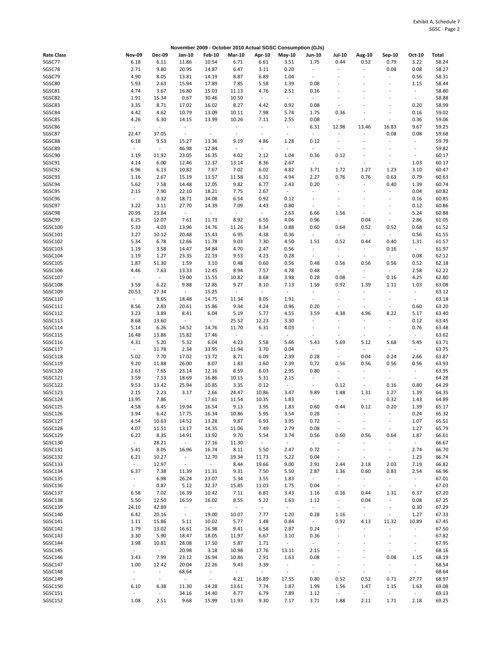|                   |                  |                          |                          | November 2009 - October 2010 Actual SGSC Consumption (GJs) |                          |                          |                          |                          |                          |                          |                              |                          |       |
|-------------------|------------------|--------------------------|--------------------------|------------------------------------------------------------|--------------------------|--------------------------|--------------------------|--------------------------|--------------------------|--------------------------|------------------------------|--------------------------|-------|
| <b>Rate Class</b> | <b>Nov-09</b>    | <b>Dec-09</b>            | Jan-10                   | <b>Feb-10</b>                                              | <b>Mar-10</b>            | Apr-10                   | May-10                   | Jun-10                   | <b>Jul-10</b>            | Aug-10                   | Sep-10                       | Oct-10                   | Total |
| SGSC77            | 6.18             | 6.11                     | 11.86                    | 10.54                                                      | 6.71                     | 6.61                     | 3.51                     | 1.75                     | 0.44                     | 0.52                     | 0.79                         | 3.22                     | 58.24 |
| SGSC78            | 2.71             | 9.80                     | 20.95                    | 14.87                                                      | 6.47                     | 3.11                     | 0.20                     | $\overline{\phantom{a}}$ | $\overline{\phantom{a}}$ | $\bar{\phantom{a}}$      | 0.08                         | 0.08                     | 58.27 |
| SGSC79            | 4.90             | 8.05                     | 13.81                    | 14.19                                                      | 8.87                     | 6.89                     | 1.04                     | $\sim$                   |                          | ÷,                       | ÷.                           | 0.56                     | 58.31 |
| SGSC80            | 5.93             | 2.63                     | 15.94                    | 17.89                                                      | 7.85                     | 5.58                     | 1.39                     | 0.08                     |                          |                          | ÷                            | 1.15                     | 58.44 |
| SGSC81            | 4.74             | 3.67                     |                          | 15.03                                                      |                          | 4.76                     | 2.51                     |                          |                          |                          |                              | $\sim$                   | 58.80 |
|                   |                  |                          | 16.80                    |                                                            | 11.13                    |                          |                          | 0.16                     | L.                       |                          |                              |                          |       |
| SGSC82            | 1.91             | 15.34                    | 0.67                     | 30.46                                                      | 10.50                    | $\omega$                 | $\omega$                 | $\overline{\phantom{a}}$ |                          |                          |                              | $\overline{\phantom{a}}$ | 58.88 |
| SGSC83            | 3.35             | 8.71                     | 17.02                    | 16.02                                                      | 8.27                     | 4.42                     | 0.92                     | 0.08                     |                          |                          |                              | 0.20                     | 58.99 |
| SGSC84            | 4.42             | 4.62                     | 10.79                    | 13.09                                                      | 10.11                    | 7.98                     | 5.74                     | 1.75                     | 0.36                     |                          | $\overline{\phantom{a}}$     | 0.16                     | 59.02 |
| SGSC85            | 4.26             | 6.30                     | 14.15                    | 13.99                                                      | 10.26                    | 7.11                     | 2.55                     | 0.08                     | ÷,                       |                          | ÷,                           | 0.36                     | 59.06 |
| SGSC86            | $\Box$           | $\blacksquare$           | $\overline{\phantom{a}}$ | $\Box$                                                     | $\overline{\phantom{a}}$ | $\blacksquare$           | $\sim$                   | 6.31                     | 12.98                    | 13.46                    | 16.83                        | 9.67                     | 59.25 |
| SGSC87            | 22.47            | 37.05                    | $\overline{\phantom{a}}$ | $\overline{\phantom{a}}$                                   | $\blacksquare$           | $\overline{\phantom{a}}$ | $\overline{\phantom{a}}$ | $\overline{\phantom{a}}$ |                          | ÷,                       | 0.08                         | 0.08                     | 59.68 |
| SGSC88            | 6.18             | 9.53                     | 15.27                    | 13.36                                                      | 9.19                     | 4.86                     | 1.28                     | 0.12                     | L,                       | $\ddot{\phantom{1}}$     | $\overline{\phantom{a}}$     | $\overline{\phantom{a}}$ | 59.79 |
| SGSC89            | $\Box$           | $\omega$                 | 46.98                    | 12.84                                                      | $\blacksquare$           | $\omega$                 | $\Box$                   | $\overline{\phantom{a}}$ | $\overline{a}$           |                          | ÷                            | $\overline{\phantom{a}}$ | 59.82 |
| SGSC90            | 1.19             | 11.92                    | 23.05                    | 16.35                                                      | 4.02                     | 2.12                     | 1.04                     | 0.36                     | 0.12                     |                          |                              | $\overline{\phantom{a}}$ | 60.17 |
| SGSC91            | 4.14             | 6.00                     | 12.46                    | 12.37                                                      | 13.14                    | 8.36                     | 2.67                     | $\blacksquare$           | $\omega$                 | ÷,                       | ä,                           | 1.03                     | 60.17 |
|                   |                  |                          |                          |                                                            |                          |                          |                          |                          |                          |                          |                              |                          |       |
| SGSC92            | 6.96             | 6.13                     | 10.82                    | 7.67                                                       | 7.02                     | 6.02                     | 4.82                     | 3.71                     | 1.72                     | 1.27                     | 1.23                         | 3.10                     | 60.47 |
| SGSC93            | 1.16             | 2.67                     | 15.19                    | 13.57                                                      | 11.58                    | 6.31                     | 4.94                     | 2.27                     | 0.76                     | 0.76                     | 0.63                         | 0.79                     | 60.63 |
| SGSC94            | 5.62             | 7.58                     | 14.48                    | 12.05                                                      | 9.82                     | 6.77                     | 2.43                     | 0.20                     | $\overline{\phantom{a}}$ | $\sim$                   | 0.40                         | 1.39                     | 60.74 |
| SGSC95            | 2.15             | 7.90                     | 22.10                    | 18.21                                                      | 7.75                     | 2.67                     | $\sim$                   |                          | $\overline{a}$           | $\overline{\phantom{a}}$ |                              | 0.04                     | 60.82 |
| SGSC96            | $\blacksquare$   | 0.32                     | 18.71                    | 34.08                                                      | 6.54                     | 0.92                     | 0.12                     | $\tilde{\phantom{a}}$    | ä,                       |                          | ä,                           | 0.16                     | 60.85 |
| SGSC97            | 3.22             | 3.11                     | 27.70                    | 14.39                                                      | 7.09                     | 4.43                     | 0.80                     | $\overline{\phantom{a}}$ | $\overline{a}$           | $\overline{\phantom{a}}$ | ÷,                           | 0.12                     | 60.86 |
| SGSC98            | 20.95            | 23.84                    | $\blacksquare$           | $\omega$                                                   | $\overline{\phantom{a}}$ | $\sim$                   | 2.63                     | 6.66                     | 1.56                     | ÷,                       | $\overline{a}$               | 5.24                     | 60.88 |
| SGSC99            | 6.25             | 12.07                    | 7.61                     | 11.73                                                      | 8.92                     | 6.55                     | 4.06                     | 0.96                     | $\sim$                   | 0.04                     | $\blacksquare$               | 2.86                     | 61.05 |
| SGSC100           | 5.33             | 4.03                     | 13.96                    | 14.76                                                      | 11.26                    | 8.34                     | 0.88                     | 0.60                     | 0.64                     | 0.52                     | 0.52                         | 0.68                     | 61.52 |
| SGSC101           | 3.27             | 10.12                    | 20.48                    | 15.43                                                      | 6.95                     | 4.38                     | 0.36                     | $\overline{\phantom{a}}$ | $\blacksquare$           | ÷                        | $\overline{\phantom{a}}$     | 0.56                     | 61.55 |
|                   |                  |                          |                          |                                                            |                          |                          |                          |                          |                          |                          |                              |                          |       |
| SGSC102           | 5.34             | 6.78                     | 12.66                    | 11.78                                                      | 9.03                     | 7.30                     | 4.50                     | 1.51                     | 0.52                     | 0.44                     | 0.40                         | 1.31                     | 61.57 |
| SGSC103           | 1.19             | 3.58                     | 14.47                    | 34.84                                                      | 4.70                     | 2.47                     | 0.56                     | $\overline{\phantom{a}}$ | $\overline{\phantom{a}}$ | $\blacksquare$           | 0.16                         | $\sim$                   | 61.97 |
| SGSC104           | 1.19             | 1.27                     | 23.35                    | 22.19                                                      | 9.53                     | 4.23                     | 0.28                     | $\omega$                 | $\omega$                 | $\bar{\phantom{a}}$      | $\blacksquare$               | 0.08                     | 62.12 |
| SGSC105           | 1.87             | 51.30                    | 1.59                     | 3.10                                                       | 0.48                     | 0.60                     | 0.56                     | 0.48                     | 0.56                     | 0.56                     | 0.56                         | 0.52                     | 62.18 |
| SGSC106           | 4.46             | 7.63                     | 13.33                    | 12.45                                                      | 8.94                     | 7.57                     | 4.78                     | 0.48                     | $\omega$                 | $\bar{\phantom{a}}$      | $\blacksquare$               | 2.58                     | 62.22 |
| SGSC107           | $\blacksquare$   | $\overline{\phantom{a}}$ | 19.00                    | 15.55                                                      | 10.82                    | 8.68                     | 3.98                     | 0.28                     | 0.08                     | $\overline{\phantom{a}}$ | 0.16                         | 4.25                     | 62.80 |
| SGSC108           | 3.59             | 6.22                     | 9.88                     | 12.85                                                      | 9.27                     | 8.10                     | 7.13                     | 1.59                     | 0.92                     | 1.39                     | 1.11                         | 1.03                     | 63.08 |
| SGSC109           | 20.53            | 27.34                    | $\sim$                   | 15.25                                                      | $\sim$                   | $\sim$                   | $\overline{\phantom{a}}$ | $\overline{\phantom{a}}$ | $\sim$                   | $\sim$                   | ÷.                           | $\overline{\phantom{a}}$ | 63.12 |
| SGSC110           | $\omega_{\rm c}$ | 8.65                     | 18.48                    | 14.75                                                      | 11.34                    | 8.05                     | 1.91                     | $\overline{\phantom{a}}$ | $\overline{\phantom{a}}$ | $\sim$                   | $\qquad \qquad \blacksquare$ | $\sim$                   | 63.18 |
| SGSC111           | 8.56             | 2.83                     | 20.61                    | 15.86                                                      | 9.34                     | 4.24                     | 0.96                     | 0.20                     | ÷,                       | $\bar{\phantom{a}}$      | $\sim$                       | 0.60                     | 63.20 |
| SGSC112           | 3.23             | 3.89                     | 8.41                     | 6.04                                                       | 5.19                     | 5.77                     | 4.55                     | 3.59                     | 4.38                     | 4.96                     |                              | 5.17                     | 63.40 |
|                   |                  |                          |                          |                                                            |                          |                          |                          | ä,                       | ÷,                       | $\sim$                   | 8.22                         |                          |       |
| SGSC113           | 8.68             | 13.60                    | $\overline{\phantom{a}}$ | $\omega$                                                   | 25.52                    | 12.23                    | 3.30                     |                          |                          |                          | ÷,                           | 0.12                     | 63.45 |
| SGSC114           | 5.14             | 6.26                     | 14.52                    | 14.76                                                      | 11.70                    | 6.31                     | 4.03                     | $\overline{a}$           | -                        | $\ddot{\phantom{1}}$     | $\blacksquare$               | 0.76                     | 63.48 |
| SGSC115           | 16.48            | 13.86                    | 15.82                    | 17.46                                                      | $\blacksquare$           | $\omega$                 | $\sim$                   | $\overline{a}$           | L,                       | $\sim$                   | $\overline{\phantom{a}}$     | $\sim$                   | 63.62 |
| SGSC116           | 4.31             | 5.20                     | 5.32                     | 6.04                                                       | 4.23                     | 5.58                     | 5.66                     | 5.43                     | 5.69                     | 5.12                     | 5.68                         | 5.45                     | 63.71 |
| SGSC117           | $\omega$         | 11.78                    | 2.34                     | 33.95                                                      | 11.94                    | 3.70                     | 0.04                     | $\blacksquare$           | $\overline{\phantom{a}}$ | $\bar{\phantom{a}}$      | $\blacksquare$               | $\sim$                   | 63.75 |
| SGSC118           | 5.02             | 7.70                     | 17.02                    | 13.72                                                      | 8.71                     | 6.09                     | 2.39                     | 0.28                     | $\omega$                 | 0.04                     | 0.24                         | 2.66                     | 63.87 |
| <b>SGSC119</b>    | 9.20             | 11.88                    | 26.00                    | 8.07                                                       | 1.83                     | 1.60                     | 2.39                     | 0.72                     | 0.56                     | 0.56                     | 0.56                         | 0.56                     | 63.93 |
| SGSC120           | 2.63             | 7.65                     | 23.14                    | 12.16                                                      | 8.59                     | 6.03                     | 2.95                     | 0.80                     | $\overline{\phantom{a}}$ | $\sim$                   | $\overline{a}$               | $\overline{\phantom{a}}$ | 63.95 |
| SGSC121           | 3.59             | 7.53                     | 18.69                    | 16.86                                                      | 10.15                    | 5.31                     | 2.15                     | $\overline{\phantom{a}}$ | $\overline{\phantom{a}}$ | $\overline{\phantom{a}}$ | $\sim$                       | $\sim$                   | 64.28 |
| SGSC122           | 9.53             | 13.42                    | 25.94                    | 10.85                                                      | 3.35                     | 0.12                     | $\sim$                   | $\overline{\phantom{a}}$ | 0.12                     | $\overline{\phantom{a}}$ | 0.16                         | 0.80                     | 64.29 |
|                   |                  |                          |                          |                                                            |                          |                          |                          |                          |                          |                          |                              |                          |       |
| SGSC123           | 2.15             | 2.23                     | 3.17                     | 2.66                                                       | 24.47                    | 10.86                    | 3.47                     | 9.89                     | 1.48                     | 1.31                     | 1.27                         | 1.39                     | 64.35 |
| SGSC124           | 13.95            | 7.86                     | $\overline{\phantom{a}}$ | 17.61                                                      | 11.54                    | 10.35                    | 1.83                     | $\overline{\phantom{a}}$ | $\overline{\phantom{a}}$ | $\blacksquare$           | 0.32                         | 1.43                     | 64.89 |
| SGSC125           | 4.58             | 6.45                     | 19.94                    | 16.54                                                      | 9.13                     | 3.95                     | 1.83                     | 0.60                     | 0.44                     | 0.12                     | 0.20                         | 1.39                     | 65.17 |
| SGSC126           | 3.94             | 6.42                     | 17.75                    | 16.34                                                      | 10.86                    | 5.95                     | 3.54                     | 0.28                     |                          |                          |                              | 0.24                     | 65.32 |
| SGSC127           | 4.54             | 10.63                    | 14.52                    | 13.28                                                      | 9.87                     | 6.93                     | 3.95                     | 0.72                     | -                        |                          | $\frac{1}{2}$                | 1.07                     | 65.51 |
| SGSC128           | 4.07             | 11.51                    | 13.17                    | 14.35                                                      | 11.06                    | 7.49                     | 2.79                     | 0.08                     | ÷,                       | $\blacksquare$           | $\blacksquare$               | 1.27                     | 65.79 |
| SGSC129           | 6.22             | 8.35                     | 14.91                    | 13.92                                                      | 9.70                     | 5.54                     | 3.74                     | 0.56                     | 0.60                     | 0.56                     | 0.64                         | 1.87                     | 66.61 |
| SGSC130           | $\omega_{\rm c}$ | 28.21                    | $\sim$                   | 27.16                                                      | 11.30                    | $\sim$                   | $\sim$                   | $\omega_{\rm c}$         | $\blacksquare$           | $\bar{\phantom{a}}$      | ÷,                           | $\sim$                   | 66.67 |
| SGSC131           | 5.41             | 8.05                     | 16.96                    | 16.74                                                      | 8.11                     | 5.50                     | 2.47                     | 0.72                     | $\overline{\phantom{a}}$ | $\blacksquare$           | $\overline{\phantom{a}}$     | 2.74                     | 66.70 |
| SGSC132           | 6.21             | 10.27                    | $\overline{\phantom{a}}$ | 12.70                                                      | 19.34                    | 11.73                    | 5.22                     | 0.04                     | $\overline{\phantom{a}}$ | $\blacksquare$           | $\blacksquare$               | 1.23                     | 66.74 |
|                   | $\omega_{\rm c}$ |                          |                          | $\omega$                                                   |                          |                          |                          |                          |                          |                          |                              |                          |       |
| SGSC133           |                  | 12.97                    | $\blacksquare$           |                                                            | 8.44                     | 19.66                    | 9.00                     | 2.91                     | 2.44                     | 2.18                     | 2.03                         | 7.19                     | 66.82 |
| SGSC134           | 6.37             | 7.38                     | 11.39                    | 11.31                                                      | 9.31                     | 7.50                     | 5.50                     | 2.87                     | 1.36                     | 0.60                     | 0.83                         | 2.54                     | 66.96 |
| SGSC135           | $\omega_{\rm c}$ | 6.98                     | 26.24                    | 23.07                                                      | 5.34                     | 3.55                     | 1.83                     | $\sim$                   | $\omega$                 | $\omega$                 | ÷.                           | $\sim$                   | 67.01 |
| SGSC136           | $\omega_{\rm c}$ | 0.87                     | 5.12                     | 32.37                                                      | 15.85                    | 11.03                    | 1.75                     | 0.04                     | $\sim$                   | $\omega_{\rm c}$         | $\blacksquare$               | $\sim$                   | 67.03 |
| SGSC137           | 6.58             | 7.02                     | 16.39                    | 10.42                                                      | 7.11                     | 6.81                     | 3.43                     | 1.16                     | 0.16                     | 0.44                     | 1.31                         | 6.37                     | 67.20 |
| SGSC138           | 5.50             | 12.50                    | 16.59                    | 16.02                                                      | 8.55                     | 5.22                     | 1.63                     | 1.12                     | $\sim$                   | 0.04                     | ÷                            | 0.08                     | 67.25 |
| SGSC139           | 24.10            | 42.89                    | $\blacksquare$           | $\sim$                                                     | $\sim$                   | $\omega$                 | $\omega$                 | $\omega$                 | $\sim$                   | ÷                        | $\overline{\phantom{a}}$     | 0.30                     | 67.29 |
| SGSC140           | 6.42             | 20.16                    | $\sim$                   | 19.00                                                      | 10.07                    | 7.77                     | 1.20                     | 0.28                     | 1.16                     | $\blacksquare$           | $\overline{\phantom{a}}$     | 1.27                     | 67.33 |
| SGSC141           | 1.11             | 15.86                    | 5.11                     | 10.02                                                      | 5.77                     | 1.48                     | 0.84                     | $\sim$                   | 0.92                     | 4.13                     | 11.32                        | 10.89                    | 67.45 |
| SGSC142           | 1.79             | 13.02                    | 16.61                    | 16.98                                                      | 9.41                     | 6.58                     | 2.87                     | 0.24                     | $\blacksquare$           | $\bar{\phantom{a}}$      | ÷.                           | ÷.                       | 67.50 |
|                   |                  |                          |                          |                                                            |                          |                          |                          |                          |                          | $\ddot{\phantom{1}}$     |                              |                          |       |
| SGSC143           | 3.30             | 5.90                     | 18.47                    | 18.05                                                      | 11.97                    | 6.67                     | 3.10                     | 0.36                     |                          |                          |                              | $\overline{\phantom{a}}$ | 67.82 |
| SGSC144           | 3.98             | 10.81                    | 28.08                    | 17.50                                                      | 5.87                     | 1.71                     | $\sim$                   | $\blacksquare$           |                          | $\overline{a}$           | $\overline{a}$               | $\Box$                   | 67.95 |
| SGSC145           | $\omega$         | $\sim$                   | 20.98                    | 3.18                                                       | 10.98                    | 17.76                    | 13.11                    | 2.15                     | ä,                       | $\sim$                   | ÷                            | $\overline{\phantom{a}}$ | 68.16 |
| SGSC146           | 3.43             | 7.99                     | 23.12                    | 16.94                                                      | 10.86                    | 2.91                     | 1.63                     | 0.08                     |                          | $\sim$                   | 0.08                         | 1.15                     | 68.19 |
| SGSC147           | 1.00             | 12.42                    | 20.04                    | 22.26                                                      | 9.43                     | 3.39                     | $\sim$                   | $\overline{\phantom{a}}$ | $\overline{a}$           | $\blacksquare$           | $\blacksquare$               | $\blacksquare$           | 68.54 |
| SGSC148           | $\sim$           | $\blacksquare$           | 68.64                    | $\blacksquare$                                             | $\blacksquare$           | $\sim$                   | $\blacksquare$           | $\sim$                   | $\overline{\phantom{a}}$ | $\blacksquare$           | ٠                            | $\sim$                   | 68.64 |
| SGSC149           | $\sim$           | $\sim$                   | $\omega_{\rm c}$         | $\sim$                                                     | 4.21                     | 16.89                    | 17.55                    | 0.80                     | 0.52                     | 0.52                     | 0.71                         | 27.77                    | 68.97 |
| SGSC150           | 6.10             | 6.38                     | 11.30                    | 14.28                                                      | 13.61                    | 7.74                     | 1.87                     | 1.99                     | 1.56                     | 1.47                     | 1.15                         | 1.63                     | 69.08 |
| SGSC151           | ÷                | $\overline{\phantom{a}}$ | 34.16                    | 14.40                                                      | 4.77                     | 6.79                     | 7.89                     | 1.12                     | $\omega$                 | $\sim$                   | $\sim$                       | $\sim$                   | 69.13 |
| SGSC152           | 1.08             | 2.51                     | 9.68                     | 15.99                                                      | 11.93                    | 9.30                     | 7.17                     | 3.71                     | 1.88                     | 2.11                     | 1.71                         | 2.18                     | 69.25 |
|                   |                  |                          |                          |                                                            |                          |                          |                          |                          |                          |                          |                              |                          |       |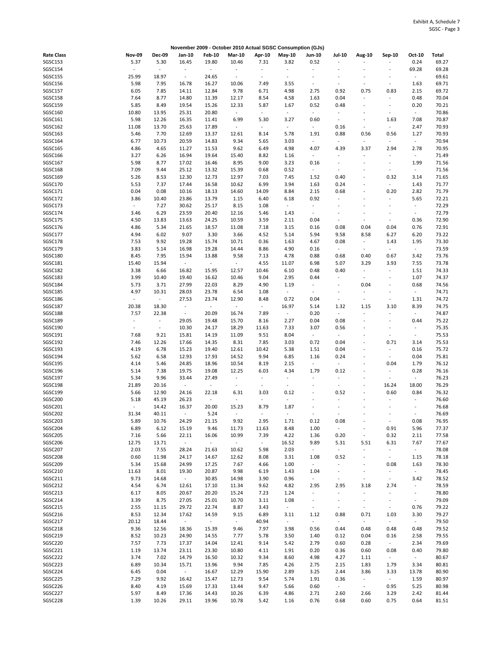|                   |                |                          |                          |                          |                          |                          | November 2009 - October 2010 Actual SGSC Consumption (GJs) |                          |                          |                          |                              |                          |       |
|-------------------|----------------|--------------------------|--------------------------|--------------------------|--------------------------|--------------------------|------------------------------------------------------------|--------------------------|--------------------------|--------------------------|------------------------------|--------------------------|-------|
| <b>Rate Class</b> | <b>Nov-09</b>  | <b>Dec-09</b>            | Jan-10                   | <b>Feb-10</b>            | <b>Mar-10</b>            | Apr-10                   | May-10                                                     | <b>Jun-10</b>            | Jul-10                   | Aug-10                   | Sep-10                       | Oct-10                   | Total |
| SGSC153           | 5.37           | 5.30                     | 16.45                    | 19.80                    | 10.46                    | 7.31                     | 3.82                                                       | 0.52                     | $\ddot{\phantom{a}}$     |                          |                              | 0.24                     | 69.27 |
| SGSC154           | $\omega$       | $\blacksquare$           | $\Box$                   | $\blacksquare$           | $\blacksquare$           | $\overline{\phantom{a}}$ | $\blacksquare$                                             | $\overline{\phantom{a}}$ | $\overline{a}$           |                          | $\overline{a}$               | 69.28                    | 69.28 |
|                   |                |                          |                          |                          |                          |                          |                                                            |                          |                          |                          |                              |                          |       |
| <b>SGSC155</b>    | 25.99          | 18.97                    | $\sim$                   | 24.65                    | $\blacksquare$           | $\omega$                 | $\bar{z}$                                                  |                          |                          |                          |                              | $\sim$                   | 69.61 |
| SGSC156           | 5.98           | 7.95                     | 16.78                    | 16.27                    | 10.06                    | 7.49                     | 3.55                                                       | $\overline{\phantom{a}}$ | ÷,                       | ÷,                       | ÷                            | 1.63                     | 69.71 |
| SGSC157           | 6.05           | 7.85                     | 14.11                    | 12.84                    | 9.78                     | 6.71                     | 4.98                                                       | 2.75                     | 0.92                     | 0.75                     | 0.83                         | 2.15                     | 69.72 |
| SGSC158           | 7.64           | 8.77                     | 14.80                    | 11.39                    | 12.17                    | 8.54                     | 4.58                                                       | 1.63                     | 0.04                     | $\overline{\phantom{a}}$ | $\overline{a}$               | 0.48                     | 70.04 |
| SGSC159           | 5.85           | 8.49                     | 19.54                    | 15.26                    | 12.33                    | 5.87                     | 1.67                                                       | 0.52                     | 0.48                     | $\sim$                   | $\overline{\phantom{a}}$     | 0.20                     | 70.21 |
| SGSC160           | 10.80          |                          | 25.31                    | 20.80                    | $\overline{\phantom{a}}$ | $\sim$                   | $\sim$                                                     | $\overline{\phantom{a}}$ | $\overline{\phantom{a}}$ | $\sim$                   | $\sim$                       | $\sim$                   |       |
|                   |                | 13.95                    |                          |                          |                          |                          |                                                            |                          |                          |                          |                              |                          | 70.86 |
| SGSC161           | 5.98           | 12.26                    | 16.35                    | 11.41                    | 6.99                     | 5.30                     | 3.27                                                       | 0.60                     | $\blacksquare$           | $\sim$                   | 1.63                         | 7.08                     | 70.87 |
| SGSC162           | 11.08          | 13.70                    | 25.63                    | 17.89                    | $\overline{\phantom{a}}$ | $\omega$                 | $\omega$                                                   | $\overline{\phantom{a}}$ | 0.16                     | $\omega$                 | $\bar{\phantom{a}}$          | 2.47                     | 70.93 |
| SGSC163           | 5.46           | 7.70                     | 12.69                    | 13.37                    | 12.61                    | 8.14                     | 5.78                                                       | 1.91                     | 0.88                     | 0.56                     | 0.56                         | 1.27                     | 70.93 |
| SGSC164           | 6.77           | 10.73                    | 20.59                    | 14.83                    | 9.34                     | 5.65                     | 3.03                                                       | $\overline{\phantom{a}}$ | $\blacksquare$           | $\omega$                 | $\blacksquare$               | $\omega$                 | 70.94 |
| SGSC165           | 4.86           | 4.65                     | 11.27                    | 11.53                    | 9.62                     | 6.49                     | 4.98                                                       | 4.07                     | 4.39                     | 3.37                     | 2.94                         | 2.78                     | 70.95 |
|                   |                |                          |                          |                          |                          |                          |                                                            |                          |                          |                          |                              |                          |       |
| SGSC166           | 3.27           | 6.26                     | 16.94                    | 19.64                    | 15.40                    | 8.82                     | 1.16                                                       | $\overline{\phantom{a}}$ | $\overline{\phantom{a}}$ | $\omega$                 | $\ddot{\phantom{1}}$         | $\omega$                 | 71.49 |
| SGSC167           | 5.98           | 8.77                     | 17.02                    | 16.46                    | 8.95                     | 9.00                     | 3.23                                                       | 0.16                     | $\frac{1}{2}$            | ÷,                       | ÷,                           | 1.99                     | 71.56 |
| SGSC168           | 7.09           | 9.44                     | 25.12                    | 13.32                    | 15.39                    | 0.68                     | 0.52                                                       | $\sim$                   | ÷,                       | ä,                       | ÷,                           | $\omega_{\rm c}$         | 71.56 |
| SGSC169           | 5.26           | 8.53                     | 12.30                    | 12.73                    | 12.97                    | 7.03                     | 7.45                                                       | 1.52                     | 0.40                     | ÷,                       | 0.32                         | 3.14                     | 71.65 |
| SGSC170           | 5.53           | 7.37                     | 17.44                    | 16.58                    | 10.62                    | 6.99                     | 3.94                                                       | 1.63                     | 0.24                     | $\ddot{\phantom{1}}$     | ÷,                           | 1.43                     | 71.77 |
|                   |                |                          |                          |                          |                          |                          |                                                            |                          |                          |                          |                              |                          |       |
| SGSC171           | 0.04           | 0.08                     | 10.16                    | 18.13                    | 14.60                    | 14.09                    | 8.84                                                       | 2.15                     | 0.68                     | $\sim$                   | 0.20                         | 2.82                     | 71.79 |
| SGSC172           | 3.86           | 10.40                    | 23.86                    | 13.79                    | 1.15                     | 6.40                     | 6.18                                                       | 0.92                     | $\overline{\phantom{a}}$ | ÷                        | $\sim$                       | 5.65                     | 72.21 |
| SGSC173           | $\omega$       | 7.27                     | 30.62                    | 25.17                    | 8.15                     | 1.08                     | $\sim$                                                     | $\overline{\phantom{a}}$ | $\overline{\phantom{a}}$ | $\overline{a}$           | $\overline{\phantom{a}}$     | $\blacksquare$           | 72.29 |
| SGSC174           | 3.46           | 6.29                     | 23.59                    | 20.40                    | 12.16                    | 5.46                     | 1.43                                                       | $\overline{\phantom{a}}$ | $\overline{a}$           | ÷,                       | $\overline{\phantom{a}}$     | $\blacksquare$           | 72.79 |
| SGSC175           | 4.50           | 13.83                    | 13.63                    | 24.25                    | 10.59                    | 3.59                     | 2.11                                                       | 0.04                     | $\blacksquare$           | $\ddot{\phantom{a}}$     | $\blacksquare$               | 0.36                     | 72.90 |
|                   |                |                          |                          |                          |                          |                          |                                                            |                          |                          |                          |                              |                          |       |
| SGSC176           | 4.86           | 5.34                     | 21.65                    | 18.57                    | 11.08                    | 7.18                     | 3.15                                                       | 0.16                     | 0.08                     | 0.04                     | 0.04                         | 0.76                     | 72.91 |
| SGSC177           | 4.94           | 6.02                     | 9.07                     | 3.30                     | 3.66                     | 4.52                     | 5.14                                                       | 5.94                     | 9.58                     | 8.58                     | 6.27                         | 6.20                     | 73.22 |
| SGSC178           | 7.53           | 9.92                     | 19.28                    | 15.74                    | 10.71                    | 0.36                     | 1.63                                                       | 4.67                     | 0.08                     | $\sim$                   | 1.43                         | 1.95                     | 73.30 |
| SGSC179           | 3.83           | 5.14                     | 16.98                    | 19.28                    | 14.44                    | 8.86                     | 4.90                                                       | 0.16                     | $\sim$                   | $\omega$                 | $\omega$                     | $\omega_{\rm c}$         | 73.59 |
| SGSC180           | 8.45           | 7.95                     | 15.94                    | 13.88                    | 9.58                     | 7.13                     | 4.78                                                       | 0.88                     | 0.68                     | 0.40                     | 0.67                         | 3.42                     | 73.76 |
|                   |                |                          |                          |                          |                          |                          |                                                            |                          |                          |                          |                              |                          |       |
| SGSC181           | 15.40          | 15.94                    | $\sim$                   | $\omega$                 | $\sim$                   | 4.55                     | 11.07                                                      | 6.98                     | 5.07                     | 3.29                     | 3.93                         | 7.55                     | 73.78 |
| SGSC182           | 3.38           | 6.66                     | 16.82                    | 15.95                    | 12.57                    | 10.46                    | 6.10                                                       | 0.48                     | 0.40                     | $\omega$                 |                              | 1.51                     | 74.33 |
| SGSC183           | 3.99           | 10.40                    | 19.40                    | 16.62                    | 10.46                    | 9.04                     | 2.95                                                       | 0.44                     | $\overline{\phantom{a}}$ | $\blacksquare$           | $\overline{a}$               | 1.07                     | 74.37 |
| SGSC184           | 5.73           | 3.71                     | 27.99                    | 22.03                    | 8.29                     | 4.90                     | 1.19                                                       | $\overline{\phantom{a}}$ | $\overline{\phantom{a}}$ | 0.04                     | $\overline{a}$               | 0.68                     | 74.56 |
| SGSC185           | 4.97           | 10.31                    | 28.03                    | 23.78                    | 6.54                     | 1.08                     | $\blacksquare$                                             | $\overline{\phantom{a}}$ | $\overline{a}$           | $\sim$                   |                              | $\sim$                   | 74.71 |
|                   |                |                          |                          |                          |                          |                          |                                                            |                          |                          |                          |                              |                          |       |
| SGSC186           | $\omega$       | $\omega$                 | 27.53                    | 23.74                    | 12.90                    | 8.48                     | 0.72                                                       | 0.04                     | ÷,                       | $\omega$                 | $\blacksquare$               | 1.31                     | 74.72 |
| <b>SGSC187</b>    | 20.38          | 18.30                    | $\overline{\phantom{a}}$ | $\blacksquare$           | $\omega$                 | $\sim$                   | 16.97                                                      | 5.14                     | 1.32                     | 1.15                     | 3.10                         | 8.39                     | 74.75 |
| SGSC188           | 7.57           | 22.38                    | $\omega_{\rm c}$         | 20.09                    | 16.74                    | 7.89                     | $\omega$                                                   | 0.20                     | $\blacksquare$           | $\ddot{\phantom{a}}$     | ÷                            | $\omega$                 | 74.87 |
| SGSC189           | ÷              | $\overline{\phantom{a}}$ | 29.05                    | 19.48                    | 15.70                    | 8.16                     | 2.27                                                       | 0.04                     | 0.08                     | ÷,                       |                              | 0.44                     | 75.22 |
| SGSC190           | $\blacksquare$ | $\omega$                 | 10.30                    | 24.17                    | 18.29                    | 11.63                    | 7.33                                                       | 3.07                     | 0.56                     | $\ddot{\phantom{1}}$     | ÷                            | $\overline{\phantom{a}}$ | 75.35 |
|                   |                |                          |                          |                          |                          |                          |                                                            |                          | $\omega$                 |                          |                              | $\sim$                   |       |
| SGSC191           | 7.68           | 9.21                     | 15.81                    | 14.19                    | 11.09                    | 9.51                     | 8.04                                                       | $\overline{\phantom{a}}$ |                          |                          | $\overline{\phantom{a}}$     |                          | 75.53 |
| SGSC192           | 7.46           | 12.26                    | 17.66                    | 14.35                    | 8.31                     | 7.85                     | 3.03                                                       | 0.72                     | 0.04                     | ÷,                       | 0.71                         | 3.14                     | 75.53 |
| SGSC193           | 4.19           | 6.78                     | 15.23                    | 19.40                    | 12.61                    | 10.42                    | 5.38                                                       | 1.51                     | 0.04                     | ÷,                       |                              | 0.16                     | 75.72 |
| SGSC194           | 5.62           | 6.58                     | 12.93                    | 17.93                    | 14.52                    | 9.94                     | 6.85                                                       | 1.16                     | 0.24                     |                          | ÷                            | 0.04                     | 75.81 |
| SGSC195           | 4.14           | 5.46                     | 24.85                    | 18.96                    | 10.54                    | 8.19                     | 2.15                                                       | $\overline{\phantom{a}}$ | $\omega$                 | $\sim$                   | 0.04                         | 1.79                     | 76.12 |
| SGSC196           |                | 7.38                     |                          | 19.08                    | 12.25                    | 6.03                     | 4.34                                                       | 1.79                     | 0.12                     | ä,                       | $\overline{\phantom{a}}$     |                          | 76.16 |
|                   | 5.14           |                          | 19.75                    |                          |                          |                          |                                                            |                          |                          |                          |                              | 0.28                     |       |
| SGSC197           | 5.34           | 9.96                     | 33.44                    | 27.49                    | $\sim$                   | $\blacksquare$           | $\sim$                                                     |                          | $\overline{\phantom{a}}$ | $\overline{a}$           | $\blacksquare$               | $\blacksquare$           | 76.23 |
| SGSC198           | 21.89          | 20.16                    | $\sim$                   | $\blacksquare$           | $\sim$                   | $\overline{\phantom{a}}$ | $\overline{\phantom{a}}$                                   |                          | $\overline{\phantom{a}}$ | ä,                       | 16.24                        | 18.00                    | 76.29 |
| SGSC199           | 5.66           | 12.90                    | 24.16                    | 22.18                    | 6.31                     | 3.03                     | 0.12                                                       | $\overline{\phantom{a}}$ | 0.52                     | $\sim$                   | 0.60                         | 0.84                     | 76.32 |
| SGSC200           | 5.18           | 45.19                    | 26.23                    | $\overline{\phantom{a}}$ | $\overline{\phantom{a}}$ | $\frac{1}{2}$            | $\overline{\phantom{a}}$                                   |                          |                          |                          |                              | $\overline{a}$           | 76.60 |
|                   | $\omega$       |                          |                          | 20.00                    |                          | 8.79                     | 1.87                                                       |                          | $\blacksquare$           |                          | $\qquad \qquad \blacksquare$ | $\overline{\phantom{a}}$ | 76.68 |
| SGSC201           |                | 14.42                    | 16.37                    |                          | 15.23                    |                          |                                                            |                          |                          |                          |                              |                          |       |
| SGSC202           | 31.34          | 40.11                    |                          | 5.24                     |                          |                          |                                                            |                          |                          |                          |                              |                          | 76.69 |
| SGSC203           | 5.89           | 10.76                    | 24.29                    | 21.15                    | 9.92                     | 2.95                     | 1.71                                                       | 0.12                     | 0.08                     | $\overline{\phantom{a}}$ | $\overline{\phantom{a}}$     | 0.08                     | 76.95 |
| SGSC204           | 6.89           | 6.12                     | 15.19                    | 9.46                     | 11.73                    | 11.63                    | 8.48                                                       | 1.00                     | $\omega$                 | ÷,                       | 0.91                         | 5.96                     | 77.37 |
| SGSC205           | 7.16           | 5.66                     | 22.11                    | 16.06                    | 10.99                    | 7.39                     | 4.22                                                       | 1.36                     | 0.20                     | $\overline{\phantom{a}}$ | 0.32                         | 2.11                     | 77.58 |
| SGSC206           | 12.75          | 13.71                    | $\sim$                   | $\omega$                 | $\sim$                   | $\sim$                   | 16.52                                                      | 9.89                     | 5.31                     | 5.51                     | 6.31                         | 7.67                     | 77.67 |
|                   |                |                          |                          |                          |                          |                          |                                                            |                          |                          |                          |                              |                          |       |
| SGSC207           | 2.03           | 7.55                     | 28.24                    | 21.63                    | 10.62                    | 5.98                     | 2.03                                                       | $\sim$                   | $\sim$                   | $\blacksquare$           |                              | $\sim 10$                | 78.08 |
| SGSC208           | 0.60           | 11.98                    | 24.17                    | 14.67                    | 12.62                    | 8.08                     | 3.31                                                       | 1.08                     | 0.52                     | $\overline{\phantom{a}}$ | $\sim$                       | 1.15                     | 78.18 |
| SGSC209           | 5.34           | 15.68                    | 24.99                    | 17.25                    | 7.67                     | 4.66                     | 1.00                                                       | $\sim$                   | $\blacksquare$           | $\overline{\phantom{a}}$ | 0.08                         | 1.63                     | 78.30 |
| SGSC210           | 11.63          | 8.01                     | 19.30                    | 20.87                    | 9.98                     | 6.19                     | 1.43                                                       | 1.04                     | $\blacksquare$           | $\overline{\phantom{a}}$ | $\qquad \qquad \blacksquare$ | $\omega$                 | 78.45 |
| SGSC211           | 9.73           | 14.68                    | $\sim$                   | 30.85                    | 14.98                    | 3.90                     | 0.96                                                       | $\overline{\phantom{a}}$ | $\overline{\phantom{a}}$ | $\sim$                   | $\sim$                       | 3.42                     | 78.52 |
| SGSC212           | 4.54           | 6.74                     | 12.61                    | 17.10                    |                          | 9.62                     | 4.82                                                       | 2.95                     | 2.95                     | 3.18                     | 2.74                         | $\overline{\phantom{a}}$ | 78.59 |
|                   |                |                          |                          |                          | 11.34                    |                          |                                                            |                          |                          |                          |                              |                          |       |
| SGSC213           | 6.17           | 8.05                     | 20.67                    | 20.20                    | 15.24                    | 7.23                     | 1.24                                                       | $\overline{\phantom{a}}$ | $\blacksquare$           | $\blacksquare$           | $\overline{\phantom{a}}$     | $\blacksquare$           | 78.80 |
| SGSC214           | 3.39           | 8.75                     | 27.05                    | 25.01                    | 10.70                    | 3.11                     | 1.08                                                       | $\overline{\phantom{a}}$ | $\blacksquare$           | $\overline{\phantom{a}}$ | $\overline{\phantom{a}}$     | $\sim$                   | 79.09 |
| SGSC215           | 2.55           | 11.15                    | 29.72                    | 22.74                    | 8.87                     | 3.43                     | $\omega$                                                   | $\overline{\phantom{a}}$ | $\overline{\phantom{a}}$ | $\blacksquare$           | $\blacksquare$               | 0.76                     | 79.22 |
| SGSC216           | 8.53           | 12.34                    | 17.62                    | 14.59                    | 9.15                     | 6.89                     | 3.11                                                       | 1.12                     | 0.88                     | 0.71                     | 1.03                         | 3.30                     | 79.27 |
| SGSC217           | 20.12          | 18.44                    | $\sim$                   | $\sim$                   | $\sim$                   | 40.94                    | $\sim$                                                     | $\sim$                   | $\omega$                 | $\omega$                 | $\omega$                     | $\omega_{\rm c}$         | 79.50 |
|                   |                |                          |                          |                          |                          |                          |                                                            |                          |                          |                          |                              |                          |       |
| SGSC218           | 9.36           | 12.56                    | 18.36                    | 15.39                    | 9.46                     | 7.97                     | 3.98                                                       | 0.56                     | 0.44                     | 0.48                     | 0.48                         | 0.48                     | 79.52 |
| SGSC219           | 8.52           | 10.23                    | 24.90                    | 14.55                    | 7.77                     | 5.78                     | 3.50                                                       | 1.40                     | 0.12                     | 0.04                     | 0.16                         | 2.58                     | 79.55 |
| SGSC220           | 7.57           | 7.73                     | 17.37                    | 14.04                    | 12.41                    | 9.14                     | 5.42                                                       | 2.79                     | 0.60                     | 0.28                     | $\sim$                       | 2.34                     | 79.69 |
| SGSC221           | 1.19           | 13.74                    | 23.11                    | 23.30                    | 10.80                    | 4.11                     | 1.91                                                       | 0.20                     | 0.36                     | 0.60                     | 0.08                         | 0.40                     | 79.80 |
| SGSC222           | 3.74           | 7.02                     | 14.79                    | 16.50                    | 10.32                    | 9.34                     | 8.60                                                       | 4.98                     | 4.27                     | 1.11                     | $\sim$                       | $\sim$                   | 80.67 |
|                   |                |                          |                          |                          |                          |                          |                                                            |                          |                          |                          |                              |                          |       |
| SGSC223           | 6.89           | 10.34                    | 15.71                    | 13.96                    | 9.94                     | 7.85                     | 4.26                                                       | 2.75                     | 2.15                     | 1.83                     | 1.79                         | 3.34                     | 80.81 |
| SGSC224           | 6.45           | 0.04                     | $\omega_{\rm{eff}}$      | 16.67                    | 12.29                    | 15.90                    | 2.89                                                       | 3.25                     | 2.44                     | 3.86                     | 3.33                         | 13.78                    | 80.90 |
| SGSC225           | 7.29           | 9.92                     | 16.42                    | 15.47                    | 12.73                    | 9.54                     | 5.74                                                       | 1.91                     | 0.36                     | $\sim$                   | $\sim$                       | 1.59                     | 80.97 |
| SGSC226           | 8.40           | 4.19                     | 15.69                    | 17.33                    | 13.44                    | 9.47                     | 5.66                                                       | 0.60                     | $\sim$                   | $\sim$                   | 0.95                         | 5.25                     | 80.98 |
| SGSC227           | 5.97           | 8.49                     | 17.36                    | 14.43                    | 10.26                    | 6.39                     | 4.86                                                       | 2.71                     | 2.60                     | 2.66                     | 3.29                         | 2.42                     | 81.44 |
|                   |                |                          |                          |                          |                          |                          |                                                            |                          |                          |                          |                              |                          |       |
| SGSC228           | 1.39           | 10.26                    | 29.11                    | 19.96                    | 10.78                    | 5.42                     | 1.16                                                       | 0.76                     | 0.68                     | 0.60                     | 0.75                         | 0.64                     | 81.51 |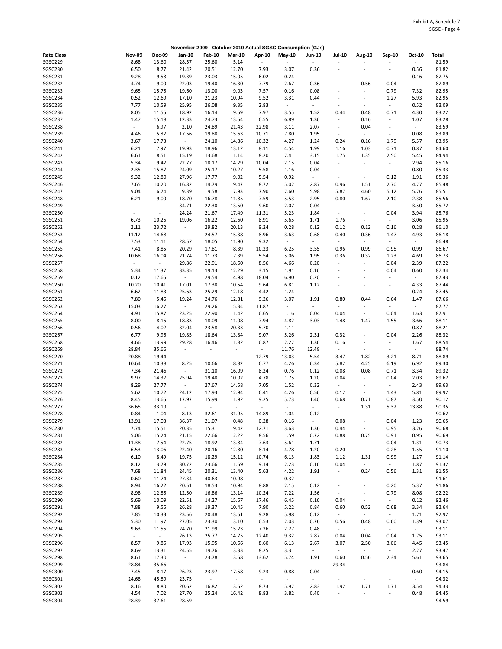|                   |                  |                          |                          |                          |                | November 2009 - October 2010 Actual SGSC Consumption (GJs) |                          |                          |                          |                          |                          |                     |       |
|-------------------|------------------|--------------------------|--------------------------|--------------------------|----------------|------------------------------------------------------------|--------------------------|--------------------------|--------------------------|--------------------------|--------------------------|---------------------|-------|
| <b>Rate Class</b> | <b>Nov-09</b>    | <b>Dec-09</b>            | Jan-10                   | <b>Feb-10</b>            | <b>Mar-10</b>  | Apr-10                                                     | $May-10$                 | <b>Jun-10</b>            | Jul-10                   | Aug-10                   | Sep-10                   | Oct-10              | Total |
| SGSC229           | 8.68             | 13.60                    | 28.57                    | 25.60                    | 5.14           | $\sim$                                                     |                          |                          |                          |                          |                          | $\overline{a}$      | 81.59 |
| <b>SGSC230</b>    | 6.50             | 8.77                     | 21.42                    | 20.51                    | 12.70          | 7.93                                                       | 3.07                     | 0.36                     | ä,                       | $\overline{a}$           |                          | 0.56                | 81.82 |
| SGSC231           | 9.28             | 9.58                     | 19.39                    | 23.03                    | 15.05          | 6.02                                                       | 0.24                     | $\sim$                   |                          | ÷,                       |                          | 0.16                | 82.75 |
| SGSC232           | 4.74             | 9.00                     | 22.03                    | 19.40                    | 16.30          | 7.79                                                       | 2.67                     | 0.36                     | ÷,                       | 0.56                     | 0.04                     | $\sim$              | 82.89 |
| SGSC233           | 9.65             |                          |                          | 13.00                    | 9.03           | 7.57                                                       |                          |                          | $\overline{a}$           | $\ddot{\phantom{a}}$     | 0.79                     |                     | 82.95 |
|                   |                  | 15.75                    | 19.60                    |                          |                |                                                            | 0.16                     | 0.08                     |                          |                          |                          | 7.32                |       |
| SGSC234           | 0.52             | 12.69                    | 17.10                    | 21.23                    | 10.94          | 9.52                                                       | 3.31                     | 0.44                     | $\overline{a}$           | $\overline{\phantom{a}}$ | 1.27                     | 5.93                | 82.95 |
| SGSC235           | 7.77             | 10.59                    | 25.95                    | 26.08                    | 9.35           | 2.83                                                       | $\sim$                   | $\overline{\phantom{a}}$ | ٠                        | $\overline{\phantom{a}}$ | $\blacksquare$           | 0.52                | 83.09 |
| SGSC236           | 8.05             | 11.55                    | 18.92                    | 16.14                    | 9.59           | 7.97                                                       | 3.55                     | 1.52                     | 0.44                     | 0.48                     | 0.71                     | 4.30                | 83.22 |
| SGSC237           | 1.47             | 15.18                    | 12.33                    | 24.73                    | 13.54          | 6.55                                                       | 6.89                     | 1.36                     | $\sim$                   | 0.16                     | $\overline{\phantom{a}}$ | 1.07                | 83.28 |
| SGSC238           | $\omega_{\rm c}$ | 6.97                     | 2.10                     | 24.89                    | 21.43          | 22.98                                                      | 3.11                     | 2.07                     | $\blacksquare$           | 0.04                     | $\overline{\phantom{a}}$ | $\sim$              | 83.59 |
| SGSC239           | 4.46             | 5.82                     | 17.56                    | 19.88                    | 15.63          | 10.71                                                      | 7.80                     | 1.95                     | $\overline{\phantom{a}}$ | $\sim$                   | $\sim$                   | 0.08                | 83.89 |
| SGSC240           | 3.67             | 17.73                    | $\sim$                   | 24.10                    | 14.86          | 10.32                                                      | 4.27                     | 1.24                     | 0.24                     | 0.16                     | 1.79                     | 5.57                | 83.95 |
| SGSC241           | 6.21             | 7.97                     | 19.93                    | 18.96                    | 13.12          | 8.11                                                       | 4.54                     | 1.99                     | 1.16                     | 1.03                     | 0.71                     | 0.87                | 84.60 |
| SGSC242           | 6.61             | 8.51                     | 15.19                    | 13.68                    | 11.14          | 8.20                                                       | 7.41                     | 3.15                     | 1.75                     | 1.35                     | 2.50                     | 5.45                | 84.94 |
| SGSC243           | 5.34             | 9.42                     | 22.77                    | 18.17                    | 14.29          | 10.04                                                      | 2.15                     | 0.04                     | $\blacksquare$           | $\omega$                 | $\blacksquare$           | 2.94                | 85.16 |
|                   |                  |                          |                          |                          |                |                                                            |                          |                          |                          | ÷,                       |                          |                     |       |
| SGSC244           | 2.35             | 15.87                    | 24.09                    | 25.17                    | 10.27          | 5.58                                                       | 1.16                     | 0.04                     | $\overline{\phantom{a}}$ |                          | $\overline{\phantom{a}}$ | 0.80                | 85.33 |
| SGSC245           | 9.32             | 12.80                    | 27.96                    | 17.77                    | 9.02           | 5.54                                                       | 0.92                     | $\overline{\phantom{a}}$ | $\overline{\phantom{a}}$ | $\blacksquare$           | 0.12                     | 1.91                | 85.36 |
| SGSC246           | 7.65             | 10.20                    | 16.82                    | 14.79                    | 9.47           | 8.72                                                       | 5.02                     | 2.87                     | 0.96                     | 1.51                     | 2.70                     | 4.77                | 85.48 |
| SGSC247           | 9.04             | 6.74                     | 9.39                     | 9.58                     | 7.93           | 7.90                                                       | 7.60                     | 5.98                     | 5.87                     | 4.60                     | 5.12                     | 5.76                | 85.51 |
| SGSC248           | 6.21             | 9.00                     | 18.70                    | 16.78                    | 11.85          | 7.59                                                       | 5.53                     | 2.95                     | 0.80                     | 1.67                     | 2.10                     | 2.38                | 85.56 |
| SGSC249           | $\sim$           | $\overline{\phantom{a}}$ | 34.71                    | 22.30                    | 13.50          | 9.60                                                       | 2.07                     | 0.04                     | $\overline{\phantom{a}}$ | $\blacksquare$           | $\blacksquare$           | 3.50                | 85.72 |
| SGSC250           | $\blacksquare$   | $\overline{\phantom{a}}$ | 24.24                    | 21.67                    | 17.49          | 11.31                                                      | 5.23                     | 1.84                     | $\overline{\phantom{a}}$ | $\omega$                 | 0.04                     | 3.94                | 85.76 |
| SGSC251           | 6.73             | 10.25                    | 19.06                    | 16.22                    | 12.60          | 8.91                                                       | 5.65                     | 1.71                     | 1.76                     | $\sim$                   | $\overline{\phantom{a}}$ | 3.06                | 85.95 |
| SGSC252           | 2.11             | 23.72                    | $\omega$                 | 29.82                    | 20.13          | 9.24                                                       | 0.28                     | 0.12                     | 0.12                     | 0.12                     | 0.16                     | 0.28                | 86.10 |
| SGSC253           | 11.12            | 14.68                    | $\blacksquare$           | 24.57                    | 15.38          | 8.96                                                       | 3.63                     | 0.68                     | 0.40                     | 0.36                     | 1.47                     | 4.93                | 86.18 |
| SGSC254           | 7.53             | 11.11                    | 28.57                    | 18.05                    | 11.90          | 9.32                                                       | $\sim$                   | $\overline{\phantom{a}}$ | $\omega$                 | $\omega$                 | $\overline{\phantom{a}}$ | $\omega$            | 86.48 |
|                   |                  |                          |                          |                          |                |                                                            |                          |                          |                          |                          |                          |                     |       |
| SGSC255           | 7.41             | 8.85                     | 20.29                    | 17.81                    | 8.39           | 10.23                                                      | 6.25                     | 3.55                     | 0.96                     | 0.99                     | 0.95                     | 0.99                | 86.67 |
| SGSC256           | 10.68            | 16.04                    | 21.74                    | 11.73                    | 7.39           | 5.54                                                       | 5.06                     | 1.95                     | 0.36                     | 0.32                     | 1.23                     | 4.69                | 86.73 |
| SGSC257           | $\omega$         | $\sim$                   | 29.86                    | 22.91                    | 18.60          | 8.56                                                       | 4.66                     | 0.20                     | $\overline{\phantom{a}}$ | $\omega$                 | 0.04                     | 2.39                | 87.22 |
| SGSC258           | 5.34             | 11.37                    | 33.35                    | 19.13                    | 12.29          | 3.15                                                       | 1.91                     | 0.16                     | $\blacksquare$           | $\ddot{\phantom{1}}$     | 0.04                     | 0.60                | 87.34 |
| SGSC259           | 0.12             | 17.65                    | $\sim$                   | 29.54                    | 14.98          | 18.04                                                      | 6.90                     | 0.20                     |                          | ÷,                       |                          | $\sim$              | 87.43 |
| SGSC260           | 10.20            | 10.41                    | 17.01                    | 17.38                    | 10.54          | 9.64                                                       | 6.81                     | 1.12                     | $\overline{\phantom{a}}$ | $\ddot{\phantom{1}}$     | $\overline{\phantom{a}}$ | 4.33                | 87.44 |
| SGSC261           | 6.62             | 11.83                    | 25.63                    | 25.29                    | 12.18          | 4.42                                                       | 1.24                     | $\overline{\phantom{a}}$ | $\overline{\phantom{a}}$ | $\sim$                   | $\overline{\phantom{a}}$ | 0.24                | 87.45 |
| SGSC262           | 7.80             | 5.46                     | 19.24                    | 24.76                    | 12.81          | 9.26                                                       | 3.07                     | 1.91                     | 0.80                     | 0.44                     | 0.64                     | 1.47                | 87.66 |
| SGSC263           | 15.03            | 16.27                    | $\blacksquare$           | 29.26                    | 15.34          | 11.87                                                      | $\omega_{\rm c}$         | $\overline{\phantom{a}}$ | $\overline{\phantom{a}}$ | $\sim$                   | $\overline{\phantom{a}}$ | $\sim$              | 87.77 |
| SGSC264           | 4.91             | 15.87                    | 23.25                    | 22.90                    | 11.42          | 6.65                                                       | 1.16                     | 0.04                     | 0.04                     | $\omega$                 | 0.04                     | 1.63                | 87.91 |
| SGSC265           | 8.00             | 8.16                     | 18.83                    | 18.09                    | 11.08          | 7.94                                                       | 4.82                     | 3.03                     | 1.48                     | 1.47                     | 1.55                     | 3.66                | 88.11 |
|                   |                  |                          |                          |                          |                |                                                            |                          |                          |                          |                          |                          |                     |       |
| SGSC266           | 0.56             | 4.02                     | 32.04                    | 23.58                    | 20.33          | 5.70                                                       | 1.11                     | $\overline{\phantom{a}}$ | $\overline{\phantom{a}}$ | $\ddot{\phantom{1}}$     | $\overline{\phantom{a}}$ | 0.87                | 88.21 |
| SGSC267           | 6.77             | 9.96                     | 19.85                    | 18.64                    | 13.84          | 9.07                                                       | 5.26                     | 2.31                     | 0.32                     | $\sim$                   | 0.04                     | 2.26                | 88.32 |
| SGSC268           | 4.66             | 13.99                    | 29.28                    | 16.46                    | 11.82          | 6.87                                                       | 2.27                     | 1.36                     | 0.16                     | $\sim$                   |                          | 1.67                | 88.54 |
| SGSC269           | 28.84            | 35.66                    | $\sim$                   | $\Box$                   | $\sim$         | $\omega_{\rm c}$                                           | 11.76                    | 12.48                    | $\omega$                 | ÷,                       | $\sim$                   | $\sim$              | 88.74 |
| SGSC270           | 20.88            | 19.44                    | $\overline{\phantom{a}}$ | $\overline{\phantom{a}}$ | $\blacksquare$ | 12.79                                                      | 13.03                    | 5.54                     | 3.47                     | 1.82                     | 3.21                     | 8.71                | 88.89 |
| SGSC271           | 10.64            | 10.38                    | 8.25                     | 10.66                    | 8.82           | 6.77                                                       | 4.26                     | 6.34                     | 5.82                     | 4.25                     | 6.19                     | 6.92                | 89.30 |
| SGSC272           | 7.34             | 21.46                    | $\overline{\phantom{a}}$ | 31.10                    | 16.09          | 8.24                                                       | 0.76                     | 0.12                     | 0.08                     | 0.08                     | 0.71                     | 3.34                | 89.32 |
| SGSC273           | 9.97             | 14.37                    | 25.94                    | 19.48                    | 10.02          | 4.78                                                       | 1.75                     | 1.20                     | 0.04                     | $\omega$                 | 0.04                     | 2.03                | 89.62 |
| SGSC274           | 8.29             | 27.77                    | $\blacksquare$           | 27.67                    | 14.58          | 7.05                                                       | 1.52                     | 0.32                     | $\sim$                   | $\sim$                   | $\sim$                   | 2.43                | 89.63 |
| SGSC275           |                  |                          |                          | 17.93                    | 12.94          |                                                            | 4.26                     |                          | 0.12                     | $\sim$                   |                          | 5.81                | 89.92 |
|                   | 5.62             | 10.72                    | 24.12                    |                          |                | 6.41                                                       |                          | 0.56                     |                          |                          | 1.43                     |                     |       |
| SGSC276           | 8.45             | 13.65                    | 17.97                    | 15.99                    | 11.92          | 9.25                                                       | 5.73                     | 1.40                     | 0.68                     | 0.71                     | 0.87                     | 3.50                | 90.12 |
| SGSC277           | 36.65            | 33.19                    | $\blacksquare$           | $\blacksquare$           | $\blacksquare$ | $\omega$                                                   | $\sim$                   | $\overline{\phantom{a}}$ | $\omega$                 | 1.31                     | 5.32                     | 13.88               | 90.35 |
| SGSC278           | 0.84             | 1.04                     | 8.13                     | 32.61                    | 31.95          | 14.89                                                      | 1.04                     | 0.12                     |                          |                          |                          |                     | 90.62 |
| SGSC279           | 13.91            | 17.03                    | 36.37                    | 21.07                    | 0.48           | 0.28                                                       | 0.16                     | $\sim$                   | 0.08                     | $\overline{\phantom{a}}$ | 0.04                     | 1.23                | 90.65 |
| <b>SGSC280</b>    | 7.74             | 15.51                    | 20.35                    | 15.31                    | 9.42           | 12.71                                                      | 3.63                     | 1.36                     | 0.44                     | $\Box$                   | 0.95                     | 3.26                | 90.68 |
| SGSC281           | 5.06             | 15.24                    | 21.15                    | 22.66                    | 12.22          | 8.56                                                       | 1.59                     | 0.72                     | 0.88                     | 0.75                     | 0.91                     | 0.95                | 90.69 |
| SGSC282           | 11.38            | 7.54                     | 22.75                    | 18.92                    | 13.84          | 7.63                                                       | 5.61                     | 1.71                     | $\sim$                   | $\sim$                   | 0.04                     | 1.31                | 90.73 |
| SGSC283           | 6.53             | 13.06                    | 22.40                    | 20.16                    | 12.80          | 8.14                                                       | 4.78                     | 1.20                     | 0.20                     | $\sim$                   | 0.28                     | 1.55                | 91.10 |
| SGSC284           | 6.10             | 8.49                     | 19.75                    | 18.29                    | 15.12          | 10.74                                                      | 6.13                     | 1.83                     | 1.12                     | 1.31                     | 0.99                     | 1.27                | 91.14 |
| SGSC285           | 8.12             | 3.79                     | 30.72                    | 23.66                    | 11.59          | 9.14                                                       | 2.23                     | 0.16                     | 0.04                     | $\sim$                   | $\sim$                   | 1.87                | 91.32 |
|                   |                  |                          |                          |                          |                |                                                            |                          |                          |                          |                          |                          |                     |       |
| SGSC286           | 7.68             | 11.84                    | 24.45                    | 20.31                    | 13.40          | 5.63                                                       | 4.22                     | 1.91                     | $\overline{\phantom{a}}$ | 0.24                     | 0.56                     | 1.31                | 91.55 |
| SGSC287           | 0.60             | 11.74                    | 27.34                    | 40.63                    | 10.98          | $\sim$                                                     | 0.32                     | $\sim$                   | $\overline{\phantom{a}}$ | $\omega$                 | $\blacksquare$           | $\sim$              | 91.61 |
| SGSC288           | 8.94             | 16.22                    | 20.51                    | 18.53                    | 10.94          | 8.88                                                       | 2.15                     | 0.12                     | $\overline{\phantom{a}}$ | $\blacksquare$           | 0.20                     | 5.37                | 91.86 |
| SGSC289           | 8.98             | 12.85                    | 12.50                    | 16.86                    | 13.14          | 10.24                                                      | 7.22                     | 1.56                     | $\blacksquare$           | $\blacksquare$           | 0.79                     | 8.08                | 92.22 |
| SGSC290           | 5.69             | 10.09                    | 22.51                    | 14.27                    | 15.67          | 17.46                                                      | 6.45                     | 0.16                     | 0.04                     | $\sim$                   | $\sim$                   | 0.12                | 92.46 |
| SGSC291           | 7.88             | 9.56                     | 26.28                    | 19.37                    | 10.45          | 7.90                                                       | 5.22                     | 0.84                     | 0.60                     | 0.52                     | 0.68                     | 3.34                | 92.64 |
| SGSC292           | 7.85             | 10.33                    | 23.56                    | 20.48                    | 13.61          | 9.28                                                       | 5.98                     | 0.12                     | $\sim$                   | $\sim$                   | $\overline{\phantom{a}}$ | 1.71                | 92.92 |
| SGSC293           | 5.30             | 11.97                    | 27.05                    | 23.30                    | 13.10          | 6.53                                                       | 2.03                     | 0.76                     | 0.56                     | 0.48                     | 0.60                     | 1.39                | 93.07 |
| SGSC294           | 9.63             | 11.55                    | 24.70                    | 21.99                    | 15.23          | 7.26                                                       | 2.27                     | 0.48                     | $\sim$                   | $\sim$                   |                          | $\omega_{\rm{eff}}$ | 93.11 |
| SGSC295           | $\omega$         | $\sim$                   |                          |                          |                |                                                            | 9.32                     |                          | 0.04                     | 0.04                     |                          |                     | 93.11 |
|                   |                  |                          | 26.13                    | 25.77                    | 14.75          | 12.40                                                      |                          | 2.87                     |                          |                          | 0.04                     | 1.75                |       |
| SGSC296           | 8.57             | 9.86                     | 17.93                    | 15.95                    | 10.66          | 8.60                                                       | 6.13                     | 2.67                     | 3.07                     | 2.50                     | 3.06                     | 4.45                | 93.45 |
| SGSC297           | 8.69             | 13.31                    | 24.55                    | 19.76                    | 13.33          | 8.25                                                       | 3.31                     | $\sim$                   | $\omega$                 | $\sim$                   | $\blacksquare$           | 2.27                | 93.47 |
| SGSC298           | 8.61             | 17.30                    | $\sim$                   | 23.78                    | 13.58          | 13.62                                                      | 5.74                     | 1.91                     | 0.60                     | 0.56                     | 2.34                     | 5.61                | 93.65 |
| SGSC299           | 28.84            | 35.66                    | $\omega$                 | $\omega$                 | $\sim$         | $\omega_{\rm c}$                                           | $\omega_{\rm c}$         | $\blacksquare$           | 29.34                    | $\blacksquare$           | $\blacksquare$           | $\sim$              | 93.84 |
| SGSC300           | 7.45             | 8.17                     | 26.23                    | 23.97                    | 17.58          | 9.23                                                       | 0.88                     | 0.04                     | $\blacksquare$           | $\blacksquare$           | $\overline{\phantom{a}}$ | 0.60                | 94.15 |
| SGSC301           | 24.68            | 45.89                    | 23.75                    | $\omega_{\rm c}$         | $\sim$         | $\sim$                                                     | $\pm$                    | $\blacksquare$           | $\sim$                   | $\sim$                   | $\overline{\phantom{a}}$ | $\omega_{\rm c}$    | 94.32 |
| SGSC302           | 8.16             | 8.80                     | 20.62                    | 16.82                    | 13.52          | 8.73                                                       | 5.97                     | 2.83                     | 1.92                     | 1.71                     | 1.71                     | 3.54                | 94.33 |
| SGSC303           | 4.54             | 7.02                     | 27.70                    | 25.24                    | 16.42          | 8.83                                                       | 3.82                     | 0.40                     | $\overline{\phantom{a}}$ | $\ddot{\phantom{a}}$     | ÷                        | 0.48                | 94.45 |
| SGSC304           | 28.39            | 37.61                    | 28.59                    | $\sim$                   | ÷.             | $\blacksquare$                                             | $\overline{\phantom{a}}$ |                          | $\blacksquare$           | $\blacksquare$           | ÷                        | ÷,                  | 94.59 |
|                   |                  |                          |                          |                          |                |                                                            |                          |                          |                          |                          |                          |                     |       |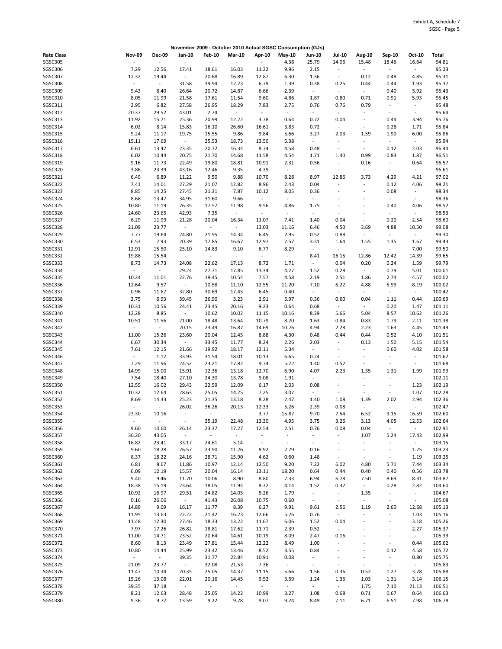|                    |                           |                          |                          |                          |                          |                      | November 2009 - October 2010 Actual SGSC Consumption (GJs) |                                  |                                                      |                             |                              |                          |                  |
|--------------------|---------------------------|--------------------------|--------------------------|--------------------------|--------------------------|----------------------|------------------------------------------------------------|----------------------------------|------------------------------------------------------|-----------------------------|------------------------------|--------------------------|------------------|
| <b>Rate Class</b>  | <b>Nov-09</b>             | <b>Dec-09</b>            | Jan-10                   | <b>Feb-10</b>            | <b>Mar-10</b>            | Apr-10               | <b>May-10</b>                                              | <b>Jun-10</b>                    | <b>Jul-10</b>                                        | Aug-10                      | Sep-10                       | Oct-10                   | <b>Total</b>     |
| <b>SGSC305</b>     |                           | $\overline{\phantom{a}}$ | $\overline{\phantom{a}}$ | $\overline{\phantom{a}}$ | $\overline{\phantom{a}}$ |                      | 4.38                                                       | 25.79                            | 14.06                                                | 15.48                       | 18.46                        | 16.64                    | 94.81            |
| SGSC306            | 7.29                      | 12.56                    | 17.41                    | 18.61                    | 16.03                    | 11.22                | 9.96                                                       | 2.15                             | $\omega$                                             | $\blacksquare$              | $\blacksquare$               | $\omega$                 | 95.23            |
| SGSC307            | 12.32                     | 19.44                    | $\overline{\phantom{a}}$ | 20.68                    | 16.89                    | 12.87                | 6.30                                                       | 1.36                             | $\overline{\phantom{a}}$                             | 0.12                        | 0.48                         | 4.85                     | 95.31            |
| <b>SGSC308</b>     | ÷                         | $\sim$                   | 31.58                    | 39.94                    | 12.23                    | 6.79                 | 1.39                                                       | 0.38                             | 0.25                                                 | 0.44                        | 0.44                         | 1.93                     | 95.37            |
| SGSC309            | 9.43                      | 8.40                     | 26.64                    | 20.72                    | 14.87                    | 6.66                 | 2.39                                                       | $\overline{\phantom{a}}$         | $\overline{\phantom{a}}$                             | $\omega$                    | 0.40                         | 5.92                     | 95.43            |
| SGSC310            | 8.05                      | 11.99                    | 21.58                    | 17.61                    | 11.54                    | 9.60                 | 4.86                                                       | 1.87                             | 0.80                                                 | 0.71                        | 0.91                         | 5.93                     | 95.45            |
| SGSC311            | 2.95                      | 6.82                     | 27.58                    | 26.95                    | 18.29                    | 7.83                 | 2.75                                                       | 0.76                             | 0.76                                                 | 0.79                        | $\overline{\phantom{a}}$     | $\overline{\phantom{a}}$ | 95.48            |
| SGSC312            | 20.37                     | 29.52                    | 43.01                    | 2.74                     | $\sim$                   | $\sim$               | $\omega$                                                   | $\sim$                           | $\omega$                                             | $\blacksquare$              | $\overline{\phantom{a}}$     | $\omega$                 | 95.64            |
| SGSC313            | 11.92                     | 15.71                    | 25.36                    | 20.99                    | 12.22                    | 3.78                 | 0.64                                                       | 0.72                             | 0.04                                                 | $\blacksquare$              | 0.44                         | 3.94                     | 95.76            |
| SGSC314<br>SGSC315 | 6.02<br>9.24              | 8.14                     | 15.83<br>19.75           | 16.10                    | 26.60<br>9.86            | 16.61<br>9.84        | 3.83                                                       | 0.72                             | $\sim$<br>2.03                                       | $\blacksquare$              | 0.28                         | 1.71                     | 95.84<br>95.86   |
| SGSC316            | 15.11                     | 11.17<br>17.69           | $\blacksquare$           | 15.55<br>25.53           | 18.73                    | 13.50                | 5.66<br>5.38                                               | 3.27<br>$\blacksquare$           | $\bar{z}$                                            | 1.59<br>$\bar{\phantom{a}}$ | 1.90<br>$\sim$               | 6.00<br>$\sim$           | 95.94            |
| SGSC317            | 6.61                      | 13.47                    | 23.35                    | 20.72                    | 16.34                    | 8.74                 | 4.58                                                       | 0.48                             | $\blacksquare$                                       | $\Box$                      | 0.12                         | 2.03                     | 96.44            |
| SGSC318            | 6.02                      | 10.44                    | 20.75                    | 21.70                    | 14.68                    | 11.58                | 4.54                                                       | 1.71                             | 1.40                                                 | 0.99                        | 0.83                         | 1.87                     | 96.51            |
| SGSC319            | 9.16                      | 11.73                    | 22.49                    | 19.80                    | 18.81                    | 10.91                | 2.31                                                       | 0.56                             | $\ddot{\phantom{a}}$                                 | 0.16                        | $\qquad \qquad \blacksquare$ | 0.64                     | 96.57            |
| SGSC320            | 3.86                      | 23.39                    | 43.16                    | 12.46                    | 9.35                     | 4.39                 | $\overline{\phantom{a}}$                                   | $\overline{\phantom{a}}$         | $\overline{a}$                                       | $\blacksquare$              | $\overline{\phantom{a}}$     | $\sim$                   | 96.61            |
| SGSC321            | 6.49                      | 6.89                     | 11.22                    | 9.50                     | 9.88                     | 10.70                | 8.28                                                       | 8.97                             | 12.86                                                | 3.73                        | 4.29                         | 4.21                     | 97.02            |
| SGSC322            | 7.41                      | 14.01                    | 27.29                    | 21.07                    | 12.82                    | 8.96                 | 2.43                                                       | 0.04                             | L.                                                   | $\bar{\phantom{a}}$         | 0.12                         | 4.06                     | 98.21            |
| SGSC323            | 8.85                      | 14.25                    | 27.45                    | 21.31                    | 7.87                     | 10.12                | 8.05                                                       | 0.36                             | ÷,                                                   | ÷                           | 0.08                         | $\overline{\phantom{a}}$ | 98.34            |
| SGSC324            | 8.68                      | 13.47                    | 34.95                    | 31.60                    | 9.66                     | ÷,                   | $\overline{\phantom{a}}$                                   | $\overline{\phantom{a}}$         |                                                      |                             | $\overline{\phantom{a}}$     | ÷.                       | 98.36            |
| SGSC325            | 10.80                     | 11.19                    | 26.35                    | 17.57                    | 11.98                    | 9.56                 | 4.86                                                       | 1.75                             | $\overline{a}$                                       | ÷                           | 0.40                         | 4.06                     | 98.52            |
| SGSC326            | 24.60                     | 23.65                    | 42.93                    | 7.35                     | $\sim$                   | $\ddot{\phantom{1}}$ | $\Box$                                                     | $\overline{\phantom{a}}$         | ÷,                                                   | $\overline{a}$              |                              | $\Box$                   | 98.53            |
| SGSC327            | 6.29                      | 11.99                    | 21.28                    | 20.04                    | 16.34                    | 11.07                | 7.41                                                       | 1.40                             | 0.04                                                 | $\blacksquare$              | 0.20                         | 2.54                     | 98.60            |
| SGSC328            | 21.09                     | 23.77                    | $\blacksquare$           | $\omega$                 | $\sim$                   | 13.03                | 11.16                                                      | 6.46                             | 4.50                                                 | 3.69                        | 4.88                         | 10.50                    | 99.08            |
| SGSC329            | 7.77                      | 19.64                    | 24.80                    | 21.95                    | 14.34                    | 6.45                 | 2.95                                                       | 0.52                             | 0.88                                                 | $\blacksquare$              | $\sim$                       | $\omega$                 | 99.30            |
| SGSC330            | 6.53                      | 7.93                     | 20.39                    | 17.85                    | 16.67                    | 12.97                | 7.57                                                       | 3.31                             | 1.64                                                 | 1.55                        | 1.35                         | 1.67                     | 99.43            |
| SGSC331            | 12.91                     | 15.50                    | 25.10                    | 14.83                    | 9.10                     | 6.77                 | 8.29                                                       | $\overline{\phantom{a}}$         | $\omega$                                             | $\omega$                    | $\overline{\phantom{a}}$     | 7.00                     | 99.50            |
| SGSC332            | 19.88                     | 15.54                    | $\blacksquare$           | $\omega$                 | $\mathbb{Z}$             | $\blacksquare$       | $\omega$                                                   | 8.41                             | 16.15                                                | 12.86                       | 12.42                        | 14.39                    | 99.65            |
| SGSC333            | 8.73                      | 14.73                    | 24.08                    | 22.62                    | 17.13                    | 8.72                 | 1.71                                                       | $\overline{\phantom{a}}$         | 0.04                                                 | 0.20                        | 0.24                         | 1.59                     | 99.79            |
| SGSC334            | $\blacksquare$            | $\sim$                   | 29.24                    | 27.71                    | 17.85                    | 13.34                | 4.27                                                       | 1.52                             | 0.28                                                 | $\blacksquare$              | 0.79                         | 5.01                     | 100.01           |
| SGSC335            | 10.24                     | 11.01                    | 22.76                    | 19.45                    | 10.54                    | 7.57                 | 4.58                                                       | 2.19                             | 2.51                                                 | 1.86                        | 2.74                         | 4.57                     | 100.02           |
| SGSC336            | 12.64                     | 9.57                     | $\sim$                   | 10.58                    | 11.10                    | 12.55                | 11.20                                                      | 7.10                             | 6.22                                                 | 4.88                        | 5.99                         | 8.19                     | 100.02           |
| SGSC337            | 0.96                      | 11.67                    | 32.80                    | 30.69                    | 17.45                    | 6.45                 | 0.40                                                       | $\blacksquare$                   | $\omega$                                             | $\blacksquare$              | $\blacksquare$               | $\sim$                   | 100.42           |
| SGSC338            | 2.75                      | 6.93                     | 39.45                    | 36.90                    | 3.23                     | 2.91                 | 5.97                                                       | 0.36                             | 0.60                                                 | 0.04                        | 1.11                         | 0.44                     | 100.69           |
| SGSC339            | 10.31                     | 10.56                    | 24.41                    | 23.45                    | 20.16                    | 9.23                 | 0.64                                                       | 0.68                             | $\omega$                                             | $\blacksquare$              | 0.20                         | 1.47                     | 101.11           |
| SGSC340            | 12.28                     | 8.85                     | $\blacksquare$           | 10.62                    | 10.02                    | 11.15                | 10.16                                                      | 8.29                             | 5.66                                                 | 5.04                        | 8.57                         | 10.62                    | 101.26           |
| SGSC341            | 10.51                     | 11.56                    | 21.00                    | 18.48                    | 13.64                    | 10.79                | 8.20                                                       | 1.63                             | 0.84                                                 | 0.83                        | 1.79                         | 2.11                     | 101.38           |
| SGSC342            | $\blacksquare$            | $\sim$                   | 20.15                    | 23.49                    | 16.87                    | 14.69                | 10.76                                                      | 4.94                             | 2.28                                                 | 2.23                        | 1.63                         | 4.45                     | 101.49           |
| SGSC343            | 11.00                     | 15.26                    | 23.60                    | 20.04                    | 12.45                    | 8.88                 | 4.30                                                       | 0.48                             | 0.44                                                 | 0.44                        | 0.52                         | 4.10                     | 101.51           |
| SGSC344<br>SGSC345 | 6.67                      | 30.34                    | $\overline{\phantom{a}}$ | 33.45                    | 11.77                    | 8.24                 | 2.26                                                       | 2.03                             | $\overline{\phantom{a}}$<br>$\overline{\phantom{a}}$ | 0.13                        | 1.50                         | 5.15<br>4.02             | 101.54           |
| SGSC346            | 7.61<br>$\sim$            | 12.15<br>1.12            | 21.66<br>33.93           | 19.92<br>31.54           | 18.17<br>18.01           | 12.11<br>10.13       | 5.34<br>6.65                                               | $\overline{\phantom{a}}$<br>0.24 | $\overline{\phantom{a}}$                             | $\blacksquare$<br>$\sim$    | 0.60<br>$\sim$               | $\overline{\phantom{a}}$ | 101.58<br>101.62 |
| SGSC347            | 7.29                      | 11.96                    | 24.52                    | 23.21                    | 17.82                    | 9.74                 | 5.22                                                       | 1.40                             | 0.52                                                 | $\blacksquare$              | $\blacksquare$               | $\omega$                 | 101.68           |
| SGSC348            | 14.99                     | 15.00                    | 15.91                    | 12.36                    | 13.18                    | 12.70                | 6.90                                                       | 4.07                             | 2.23                                                 | 1.35                        | 1.31                         | 1.99                     | 101.99           |
| SGSC349            | 7.54                      | 18.40                    | 27.10                    | 24.30                    | 13.78                    | 9.08                 | 1.91                                                       | $\blacksquare$                   | $\overline{\phantom{a}}$                             | $\bar{\phantom{a}}$         | ÷                            | $\omega$                 | 102.11           |
| SGSC350            | 12.55                     | 16.02                    | 29.43                    | 22.59                    | 12.09                    | 6.17                 | 2.03                                                       | 0.08                             | $\overline{\phantom{a}}$                             | $\overline{a}$              | $\overline{\phantom{a}}$     | 1.23                     | 102.19           |
| SGSC351            | 10.32                     | 12.64                    | 28.63                    | 25.05                    | 14.25                    | 7.25                 | 3.07                                                       | $\Box$                           | $\overline{a}$                                       | $\blacksquare$              | $\overline{\phantom{a}}$     | 1.07                     | 102.28           |
| SGSC352            | 8.69                      | 14.33                    | 25.23                    | 21.35                    | 13.18                    | 8.28                 | 2.47                                                       | 1.40                             | 1.08                                                 | 1.39                        | 2.02                         | 2.94                     | 102.36           |
| SGSC353            | ÷.                        | $\sim$                   | 26.02                    | 36.26                    | 20.13                    | 12.33                | 5.26                                                       | 2.39                             | 0.08                                                 | ÷.                          | $\sim$                       | $\sim$                   | 102.47           |
| SGSC354            | 23.30                     | 10.16                    | $\blacksquare$           | $\blacksquare$           | $\omega$                 | 3.77                 | 15.87                                                      | 9.70                             | 7.54                                                 | 6.52                        | 9.15                         | 16.59                    | 102.60           |
| SGSC355            | $\blacksquare$            | $\sim$                   | $\blacksquare$           | 35.19                    | 22.48                    | 13.30                | 4.95                                                       | 3.75                             | 3.26                                                 | 3.13                        | 4.05                         | 12.53                    | 102.64           |
| SGSC356            | 9.60                      | 10.60                    | 26.14                    | 23.37                    | 17.27                    | 12.54                | 2.51                                                       | 0.76                             | 0.08                                                 | 0.04                        | $\omega_{\rm c}$             | $\omega$                 | 102.91           |
| SGSC357            | 36.20                     | 43.05                    | $\overline{\phantom{a}}$ | $\sim$                   | $\sim$                   | $\blacksquare$       | $\sim$                                                     | $\overline{\phantom{a}}$         | $\overline{\phantom{a}}$                             | 1.07                        | 5.24                         | 17.43                    | 102.99           |
| SGSC358            | 16.82                     | 23.41                    | 33.17                    | 24.61                    | 5.14                     | $\omega$             | $\omega$                                                   | $\blacksquare$                   | $\overline{\phantom{a}}$                             | $\blacksquare$              | ÷                            | $\omega$                 | 103.15           |
| SGSC359            | 9.60                      | 18.28                    | 26.57                    | 23.90                    | 11.26                    | 8.92                 | 2.79                                                       | 0.16                             | $\overline{\phantom{a}}$                             | $\blacksquare$              | $\overline{\phantom{a}}$     | 1.75                     | 103.23           |
| SGSC360            | 8.37                      | 18.22                    | 24.16                    | 28.71                    | 15.90                    | 4.62                 | 0.60                                                       | 1.48                             | $\blacksquare$                                       | $\blacksquare$              | $\blacksquare$               | 1.19                     | 103.25           |
| SGSC361            | 6.81                      | 8.67                     | 11.86                    | 10.97                    | 12.14                    | 12.50                | 9.20                                                       | 7.22                             | 6.02                                                 | 4.80                        | 5.71                         | 7.44                     | 103.34           |
| SGSC362            | 6.09                      | 12.19                    | 15.57                    | 20.04                    | 16.14                    | 13.11                | 18.20                                                      | 0.64                             | 0.44                                                 | 0.40                        | 0.40                         | 0.56                     | 103.78           |
| SGSC363            | 9.40                      | 9.46                     | 11.70                    | 10.06                    | 8.90                     | 8.80                 | 7.33                                                       | 6.94                             | 6.78                                                 | 7.50                        | 8.69                         | 8.31                     | 103.87           |
| SGSC364            | 18.38                     | 15.19                    | 23.64                    | 18.05                    | 11.94                    | 8.32                 | 4.14                                                       | 1.52                             | 0.32                                                 | $\omega_{\rm c}$            | 0.28                         | 2.82                     | 104.60           |
| SGSC365            | 10.92                     | 16.97                    | 29.51                    | 24.82                    | 14.05                    | 5.26                 | 1.79                                                       | $\blacksquare$                   | $\omega$                                             | 1.35                        | ۰                            | $\sim$                   | 104.67           |
| SGSC366            | 0.16                      | 26.06                    | $\sim$                   | 41.43                    | 26.08                    | 10.75                | 0.60                                                       | $\blacksquare$                   | $\omega$                                             | $\sim$                      | $\sim$                       | $\omega$                 | 105.08           |
| SGSC367            | 14.89                     | 9.09                     | 16.17                    | 11.77                    | 8.39                     | 6.27                 | 9.91                                                       | 9.61                             | 2.56                                                 | 1.19                        | 2.60                         | 12.68                    | 105.13           |
| SGSC368            | 11.95                     | 13.63                    | 22.22                    | 21.42                    | 16.23                    | 12.66                | 5.26                                                       | 0.76                             | $\sim$                                               | $\bar{\phantom{a}}$         | $\blacksquare$               | 1.03                     | 105.16           |
| SGSC369            | 11.48                     | 12.30                    | 27.46                    | 18.33                    | 13.22                    | 11.67                | 6.06                                                       | 1.52                             | 0.04                                                 | $\blacksquare$              | $\blacksquare$               | 3.18                     | 105.26           |
| SGSC370            | 7.97                      | 17.26                    | 26.82                    | 18.81                    | 17.62                    | 11.71                | 2.39                                                       | 0.52                             | $\overline{\phantom{a}}$                             |                             |                              | 2.27                     | 105.37           |
| SGSC371            | 11.00                     | 14.71                    | 23.52                    | 20.64                    | 14.61                    | 10.19                | 8.09                                                       | 2.47                             | 0.16<br>$\mathcal{L}_{\mathcal{A}}$                  | $\overline{a}$              | ÷                            | $\omega$                 | 105.39           |
| SGSC372<br>SGSC373 | 8.60                      | 8.13                     | 23.49                    | 27.81<br>23.42           | 15.44                    | 12.22                | 8.49<br>3.55                                               | 1.00                             | ÷,                                                   | ÷                           | $\blacksquare$               | 0.44<br>4.58             | 105.62           |
| SGSC374            | 10.80<br>$\omega_{\rm c}$ | 14.44<br>$\omega$        | 25.99<br>39.35           | 31.77                    | 13.46<br>22.84           | 8.52<br>10.91        | 0.08                                                       | 0.84<br>$\blacksquare$           | $\blacksquare$                                       | $\blacksquare$              | 0.12<br>$\blacksquare$       | 0.80                     | 105.72<br>105.75 |
| SGSC375            | 21.09                     | 23.77                    | $\sim$                   | 32.08                    | 21.53                    | 7.36                 | $\omega_{\rm{eff}}$                                        | $\overline{\phantom{a}}$         | $\overline{\phantom{a}}$                             | $\blacksquare$              | $\blacksquare$               | $\sim$                   | 105.83           |
| SGSC376            | 11.47                     | 10.34                    | 20.35                    | 25.05                    | 14.37                    | 11.15                | 5.66                                                       | 1.56                             | 0.36                                                 | 0.52                        | 1.27                         | 3.78                     | 105.88           |
| SGSC377            | 15.26                     | 13.08                    | 22.01                    | 20.16                    | 14.45                    | 9.52                 | 3.59                                                       | 1.24                             | 1.36                                                 | 1.03                        | 1.31                         | 3.14                     | 106.15           |
| SGSC378            | 39.35                     | 37.18                    | $\omega$                 | $\omega$                 | $\omega$                 | $\omega$             | $\omega$                                                   | $\sim$                           | $\omega$                                             | 1.75                        | 7.10                         | 21.13                    | 106.51           |
| SGSC379            | 8.21                      | 12.63                    | 28.48                    | 25.05                    | 14.22                    | 10.99                | 3.27                                                       | 1.08                             | 0.68                                                 | 0.71                        | 0.67                         | 0.64                     | 106.63           |
| SGSC380            | 9.36                      | 9.72                     | 13.59                    | 9.22                     | 9.78                     | 9.07                 | 9.24                                                       | 8.49                             | 7.11                                                 | 6.71                        | 6.51                         | 7.98                     | 106.78           |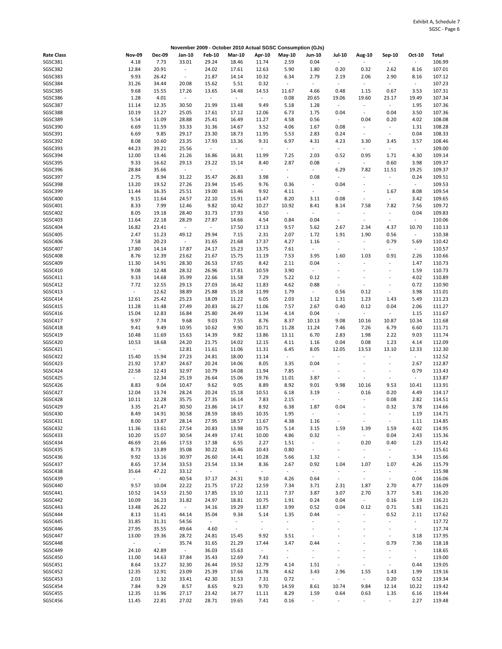|                   |                     |               | November 2009 - October 2010 Actual SGSC Consumption (GJs) |                             |                          |                |                  |                          |                          |                              |                          |                          |        |
|-------------------|---------------------|---------------|------------------------------------------------------------|-----------------------------|--------------------------|----------------|------------------|--------------------------|--------------------------|------------------------------|--------------------------|--------------------------|--------|
| <b>Rate Class</b> | <b>Nov-09</b>       | <b>Dec-09</b> | Jan-10                                                     | <b>Feb-10</b>               | <b>Mar-10</b>            | Apr-10         | May-10           | <b>Jun-10</b>            | <b>Jul-10</b>            | Aug-10                       | Sep-10                   | Oct-10                   | Total  |
| SGSC381           | 4.18                | 7.73          | 33.01                                                      | 29.24                       | 18.46                    | 11.74          | 2.59             | 0.04                     | $\blacksquare$           | ä,                           |                          | $\overline{\phantom{a}}$ | 106.99 |
| SGSC382           | 12.84               | 20.91         | $\blacksquare$                                             | 24.02                       | 17.61                    | 12.63          | 5.90             | 1.80                     | 0.20                     | 0.32                         | 2.62                     | 8.16                     | 107.01 |
| SGSC383           | 9.93                | 26.42         | $\overline{\phantom{a}}$                                   | 21.87                       | 14.14                    | 10.32          | 6.34             | 2.79                     | 2.19                     | 2.06                         | 2.90                     | 8.16                     | 107.12 |
| SGSC384           | 31.26               | 34.44         | 20.08                                                      | 15.62                       | 5.51                     | 0.32           | $\blacksquare$   | $\overline{\phantom{a}}$ | $\omega$                 | $\omega$                     | $\sim$                   | $\sim$                   | 107.23 |
| SGSC385           | 9.68                | 15.55         | 17.26                                                      | 13.65                       | 14.48                    | 14.53          | 11.67            | 4.66                     | 0.48                     | 1.15                         | 0.67                     | 3.53                     | 107.31 |
| SGSC386           | 1.28                | 4.01          | $\overline{\phantom{a}}$                                   | $\mathcal{L}_{\mathcal{A}}$ | $\blacksquare$           | $\blacksquare$ | 0.08             | 20.65                    | 19.06                    | 19.60                        | 23.17                    | 19.49                    | 107.34 |
|                   |                     |               |                                                            |                             |                          |                |                  |                          |                          | $\sim$                       |                          |                          |        |
| SGSC387           | 11.14               | 12.35         | 30.50                                                      | 21.99                       | 13.48                    | 9.49           | 5.18             | 1.28                     | $\sim$                   |                              | $\sim$                   | 1.95                     | 107.36 |
| SGSC388           | 10.19               | 13.27         | 25.05                                                      | 17.61                       | 17.12                    | 12.06          | 6.73             | 1.75                     | 0.04                     | $\blacksquare$               | 0.04                     | 3.50                     | 107.36 |
| SGSC389           | 5.54                | 11.09         | 28.88                                                      | 25.41                       | 16.49                    | 11.27          | 4.58             | 0.56                     | $\sim$                   | 0.04                         | 0.20                     | 4.02                     | 108.08 |
| SGSC390           | 6.69                | 11.59         | 33.33                                                      | 31.36                       | 14.67                    | 3.52           | 4.06             | 1.67                     | 0.08                     | $\omega$                     | $\sim$                   | 1.31                     | 108.28 |
| SGSC391           | 6.69                | 9.85          | 29.17                                                      | 23.30                       | 18.73                    | 11.95          | 5.53             | 2.83                     | 0.24                     | $\blacksquare$               | $\blacksquare$           | 0.04                     | 108.33 |
| SGSC392           | 8.08                | 10.60         | 23.35                                                      | 17.93                       | 13.36                    | 9.31           | 6.97             | 4.31                     | 4.23                     | 3.30                         | 3.45                     | 3.57                     | 108.46 |
| SGSC393           | 44.23               | 39.21         | 25.56                                                      | $\omega$                    | $\overline{\phantom{a}}$ | $\omega$       | $\Box$           | $\overline{\phantom{a}}$ | $\blacksquare$           | $\Box$                       | $\ddot{\phantom{1}}$     | $\blacksquare$           | 109.00 |
| SGSC394           | 12.00               | 13.46         | 21.26                                                      | 16.86                       | 16.81                    | 11.99          | 7.25             | 2.03                     | 0.52                     | 0.95                         | 1.71                     | 4.30                     | 109.14 |
| SGSC395           | 9.33                | 16.62         | 29.13                                                      | 23.22                       | 15.14                    | 8.40           | 2.87             | 0.08                     | $\blacksquare$           | $\omega$                     | 0.60                     | 3.98                     | 109.37 |
| SGSC396           | 28.84               | 35.66         | $\sim$                                                     | $\mathbb{Z}$                | $\sim$                   | $\omega$       | $\omega$         | $\omega$                 | 6.29                     | 7.82                         | 11.51                    | 19.25                    | 109.37 |
| SGSC397           | 2.75                | 8.94          | 31.22                                                      | 35.47                       | 26.83                    | 3.98           | $\blacksquare$   | 0.08                     | $\overline{\phantom{a}}$ | $\frac{1}{2}$                | ÷                        | 0.24                     | 109.51 |
| SGSC398           | 13.20               | 19.52         |                                                            | 23.94                       | 15.45                    | 9.76           | 0.36             | $\overline{\phantom{a}}$ | 0.04                     | ÷,                           | $\sim$                   | $\sim$                   | 109.53 |
|                   |                     |               | 27.26                                                      |                             |                          |                |                  |                          |                          |                              |                          |                          |        |
| SGSC399           | 11.44               | 16.35         | 25.51                                                      | 19.00                       | 13.46                    | 9.92           | 4.11             | $\overline{\phantom{a}}$ | $\blacksquare$           | ÷                            | 1.67                     | 8.08                     | 109.54 |
| SGSC400           | 9.15                | 11.64         | 24.57                                                      | 22.10                       | 15.91                    | 11.47          | 8.20             | 3.11                     | 0.08                     | $\overline{\phantom{a}}$     | $\sim$                   | 3.42                     | 109.65 |
| SGSC401           | 8.33                | 7.99          | 12.46                                                      | 9.82                        | 10.42                    | 10.27          | 10.92            | 8.41                     | 8.14                     | 7.58                         | 7.82                     | 7.56                     | 109.72 |
| SGSC402           | 8.05                | 19.18         | 28.40                                                      | 31.73                       | 17.93                    | 4.50           | $\sim$           | $\sim$                   | $\blacksquare$           | $\overline{\phantom{a}}$     | $\sim$                   | 0.04                     | 109.83 |
| SGSC403           | 11.64               | 22.18         | 28.29                                                      | 27.87                       | 14.66                    | 4.54           | 0.84             | 0.04                     | $\sim$                   | $\omega$                     | $\sim$                   | $\sim$                   | 110.06 |
| SGSC404           | 16.82               | 23.41         | $\blacksquare$                                             | $\omega$                    | 17.50                    | 17.13          | 9.57             | 5.62                     | 2.67                     | 2.34                         | 4.37                     | 10.70                    | 110.13 |
| <b>SGSC405</b>    | 2.47                | 11.23         | 49.12                                                      | 29.94                       | 7.15                     | 2.31           | 2.07             | 1.72                     | 1.91                     | 1.90                         | 0.56                     | $\overline{\phantom{a}}$ | 110.38 |
| SGSC406           | 7.58                | 20.23         | $\overline{\phantom{a}}$                                   | 31.65                       | 21.68                    | 17.37          | 4.27             | 1.16                     | $\overline{\phantom{a}}$ | $\omega$                     | 0.79                     | 5.69                     | 110.42 |
| SGSC407           | 17.80               | 14.14         | 17.87                                                      | 24.17                       | 15.23                    | 13.75          | 7.61             | $\blacksquare$           | $\overline{\phantom{a}}$ | $\blacksquare$               | $\omega$                 | $\omega$                 | 110.57 |
| SGSC408           | 8.76                | 12.39         | 23.62                                                      | 21.67                       | 15.75                    | 11.19          | 7.53             | 3.95                     | 1.60                     | 1.03                         | 0.91                     | 2.26                     | 110.66 |
| SGSC409           | 11.30               | 14.91         | 28.30                                                      | 26.53                       | 17.65                    | 8.42           | 2.11             | 0.04                     |                          | ÷                            |                          | 1.47                     | 110.73 |
|                   |                     |               |                                                            |                             |                          |                |                  |                          |                          |                              |                          |                          |        |
| SGSC410           | 9.08                | 12.48         | 28.32                                                      | 26.96                       | 17.81                    | 10.59          | 3.90             | $\blacksquare$           | ÷,                       | ÷,                           | ÷,                       | 1.59                     | 110.73 |
| SGSC411           | 9.33                | 14.68         | 35.99                                                      | 22.66                       | 11.58                    | 7.29           | 5.22             | 0.12                     |                          | $\overline{a}$               |                          | 4.02                     | 110.89 |
| SGSC412           | 7.72                | 12.55         | 29.13                                                      | 27.03                       | 16.42                    | 11.83          | 4.62             | 0.88                     | $\overline{\phantom{a}}$ | $\qquad \qquad \blacksquare$ | ÷,                       | 0.72                     | 110.90 |
| SGSC413           | $\omega$            | 12.62         | 38.89                                                      | 25.88                       | 15.18                    | 11.99          | 1.79             | $\sim$                   | 0.56                     | 0.12                         | $\overline{\phantom{a}}$ | 3.98                     | 111.01 |
| SGSC414           | 12.61               | 25.42         | 25.23                                                      | 18.09                       | 11.22                    | 6.05           | 2.03             | $1.12\,$                 | 1.31                     | 1.23                         | 1.43                     | 5.49                     | 111.23 |
| SGSC415           | 11.28               | 11.48         | 27.49                                                      | 20.83                       | 16.27                    | 11.06          | 7.57             | 2.67                     | 0.40                     | 0.12                         | 0.04                     | 2.06                     | 111.27 |
| SGSC416           | 15.04               | 12.83         | 16.84                                                      | 25.80                       | 24.49                    | 11.34          | 4.14             | 0.04                     | $\sim$                   | $\sim$                       | $\sim$                   | 1.15                     | 111.67 |
| SGSC417           | 9.97                | 7.74          | 9.68                                                       | 9.03                        | 7.55                     | 8.76           | 8.37             | 10.13                    | 9.08                     | 10.16                        | 10.87                    | 10.34                    | 111.68 |
| SGSC418           | 9.41                | 9.49          | 10.95                                                      | 10.62                       | 9.90                     | 10.71          | 11.28            | 11.24                    | 7.46                     | 7.26                         | 6.79                     | 6.60                     | 111.71 |
| SGSC419           | 10.48               | 11.69         | 15.63                                                      | 14.39                       | 9.82                     | 13.86          | 13.11            | 6.70                     | 2.83                     | 1.98                         | 2.22                     | 9.03                     | 111.74 |
| SGSC420           | 10.53               | 18.68         | 24.20                                                      | 21.75                       | 14.02                    | 12.15          | 4.11             | 1.16                     | 0.04                     | 0.08                         | 1.23                     | 4.14                     | 112.09 |
| SGSC421           | $\omega$            | $\omega$      |                                                            | 11.61                       |                          |                |                  |                          | 12.05                    |                              |                          | 12.33                    |        |
|                   |                     |               | 12.81                                                      |                             | 11.06                    | 11.31          | 6.45             | 8.05                     |                          | 13.53                        | 13.10                    |                          | 112.30 |
| SGSC422           | 15.40               | 15.94         | 27.23                                                      | 24.81                       | 18.00                    | 11.14          | $\blacksquare$   | $\overline{\phantom{a}}$ |                          | ÷,                           |                          | $\sim$                   | 112.52 |
| SGSC423           | 21.92               | 17.87         | 24.67                                                      | 20.24                       | 14.06                    | 8.05           | 3.35             | 0.04                     | $\blacksquare$           | $\overline{a}$               | $\overline{a}$           | 2.67                     | 112.87 |
| SGSC424           | 22.58               | 12.43         | 32.97                                                      | 10.79                       | 14.08                    | 11.94          | 7.85             | $\sim$                   | $\blacksquare$           | $\ddot{\phantom{1}}$         | $\ddot{\phantom{1}}$     | 0.79                     | 113.43 |
| SGSC425           | $\omega$            | 12.34         | 25.19                                                      | 26.64                       | 15.06                    | 19.76          | 11.01            | 3.87                     | $\overline{\phantom{a}}$ | $\overline{\phantom{a}}$     | $\sim$                   | ÷,                       | 113.87 |
| SGSC426           | 8.83                | 9.04          | 10.47                                                      | 9.62                        | 9.05                     | 8.89           | 8.92             | 9.01                     | 9.98                     | 10.16                        | 9.53                     | 10.41                    | 113.91 |
| SGSC427           | 12.04               | 13.74         | 28.24                                                      | 20.24                       | 15.18                    | 10.51          | 6.18             | 3.19                     | $\blacksquare$           | 0.16                         | 0.20                     | 4.49                     | 114.17 |
| SGSC428           | 10.11               | 12.28         | 35.75                                                      | 27.35                       | 16.14                    | 7.83           | 2.15             | $\overline{\phantom{a}}$ |                          | ÷                            | 0.08                     | 2.82                     | 114.51 |
| SGSC429           | 3.35                | 21.47         | 30.50                                                      | 23.86                       | 14.17                    | 8.92           | 6.38             | 1.87                     | 0.04                     | $\blacksquare$               | 0.32                     | 3.78                     | 114.66 |
| SGSC430           | 8.49                | 14.91         | 30.58                                                      | 28.59                       | 18.65                    | 10.35          | 1.95             |                          |                          |                              |                          | 1.19                     | 114.71 |
| SGSC431           | 8.00                | 13.87         | 28.14                                                      | 27.95                       | 18.57                    | 11.67          | 4.38             | 1.16                     | $\overline{\phantom{a}}$ | $\overline{\phantom{a}}$     | $\overline{\phantom{a}}$ | 1.11                     | 114.85 |
| SGSC432           | 11.36               | 13.61         | 27.54                                                      | 20.83                       | 13.98                    | 10.75          | 5.14             | 3.15                     | 1.59                     | 1.39                         | 1.59                     | 4.02                     | 114.95 |
| SGSC433           | 10.20               | 15.07         | 30.54                                                      | 24.49                       | 17.41                    | 10.00          | 4.86             | 0.32                     | $\Box$                   | $\sim$                       | 0.04                     | 2.43                     | 115.36 |
| SGSC434           | 46.69               |               |                                                            |                             |                          |                |                  | $\blacksquare$           |                          |                              |                          | 1.23                     |        |
|                   |                     | 21.66         | 17.53                                                      | 17.38                       | 6.55                     | 2.27           | 1.51             |                          | $\overline{\phantom{a}}$ | 0.20                         | 0.40                     |                          | 115.42 |
| SGSC435           | 8.73                | 13.89         | 35.08                                                      | 30.22                       | 16.46                    | 10.43          | 0.80             | $\sim$                   | $\overline{\phantom{a}}$ | $\omega$                     | $\sim$                   | $\sim$                   | 115.61 |
| SGSC436           | 9.92                | 13.16         | 30.97                                                      | 26.60                       | 14.41                    | 10.28          | 5.66             | 1.32                     | $\overline{\phantom{a}}$ | $\sim$                       | $\sim$                   | 3.34                     | 115.66 |
| SGSC437           | 8.65                | 17.34         | 33.53                                                      | 23.54                       | 13.34                    | 8.36           | 2.67             | 0.92                     | 1.04                     | 1.07                         | 1.07                     | 4.26                     | 115.79 |
| SGSC438           | 35.64               | 47.22         | 33.12                                                      | $\sim$                      | $\sim$                   | $\sim$         | $\sim$           | $\sim$                   | $\overline{\phantom{a}}$ | $\blacksquare$               | $\overline{\phantom{a}}$ | $\sim$                   | 115.98 |
| SGSC439           | $\sim$              | $\sim$        | 40.54                                                      | 37.17                       | 24.31                    | 9.10           | 4.26             | 0.64                     | $\mathbb{Z}^{\times}$    | $\sim$                       | $\sim$                   | 0.04                     | 116.06 |
| SGSC440           | 9.57                | 10.04         | 22.22                                                      | 21.75                       | 17.22                    | 12.59          | 7.34             | 3.71                     | 2.31                     | 1.87                         | 2.70                     | 4.77                     | 116.09 |
| SGSC441           | 10.52               | 14.53         | 21.50                                                      | 17.85                       | 13.10                    | 12.11          | 7.37             | 3.87                     | 3.07                     | 2.70                         | 3.77                     | 5.81                     | 116.20 |
| SGSC442           | 10.09               | 16.23         | 31.82                                                      | 24.97                       | 18.81                    | 10.75          | 1.91             | 0.24                     | 0.04                     | $\omega_{\rm c}$             | 0.16                     | 1.19                     | 116.21 |
| SGSC443           | 13.48               | 26.22         | $\omega_{\rm{eff}}$                                        | 34.16                       | 19.29                    | 11.87          | 3.99             | 0.52                     | 0.04                     | 0.12                         | 0.71                     | 5.81                     | 116.21 |
| SGSC444           | 8.13                | 11.41         | 44.14                                                      | 35.04                       | 9.34                     | 5.14           | 1.35             | 0.44                     |                          | ÷                            | 0.52                     | 2.11                     | 117.62 |
| SGSC445           | 31.85               | 31.31         | 54.56                                                      | $\sim$                      | $\sim$                   | $\sim$         | $\omega_{\rm c}$ | $\overline{\phantom{a}}$ |                          | ÷,                           | $\blacksquare$           | $\sim$                   | 117.72 |
|                   |                     |               |                                                            |                             |                          |                |                  | $\overline{\phantom{a}}$ |                          | ÷,                           |                          |                          |        |
| SGSC446           | 27.95               | 35.55         | 49.64                                                      | 4.60                        | $\sim$                   | $\sim$         | $\omega_{\rm c}$ |                          |                          |                              | $\sim$                   | $\sim$                   | 117.74 |
| SGSC447           | 13.00               | 19.36         | 28.72                                                      | 24.81                       | 15.45                    | 9.92           | 3.51             | $\overline{\phantom{a}}$ |                          | $\overline{a}$               | $\sim$                   | 3.18                     | 117.95 |
| SGSC448           | $\omega_{\rm{eff}}$ | $\sim$        | 35.74                                                      | 31.65                       | 21.29                    | 17.44          | 3.47             | 0.44                     |                          | Ĭ.                           | 0.79                     | 7.36                     | 118.18 |
| SGSC449           | 24.10               | 42.89         | $\sim$                                                     | 36.03                       | 15.63                    | $\sim$         | $\sim$           | $\overline{\phantom{a}}$ |                          | ÷                            | $\overline{a}$           | $\blacksquare$           | 118.65 |
| SGSC450           | 11.00               | 14.63         | 37.84                                                      | 35.43                       | 12.69                    | 7.41           | $\sim$           | $\overline{\phantom{a}}$ |                          | $\qquad \qquad \blacksquare$ | $\overline{\phantom{a}}$ | $\sim$                   | 119.00 |
| SGSC451           | 8.64                | 13.27         | 32.30                                                      | 26.44                       | 19.52                    | 12.79          | 4.14             | 1.51                     | $\overline{\phantom{a}}$ | $\overline{\phantom{a}}$     | $\blacksquare$           | 0.44                     | 119.05 |
| SGSC452           | 12.35               | 12.91         | 23.09                                                      | 25.39                       | 17.66                    | 11.78          | 4.62             | 3.43                     | 2.96                     | 1.55                         | 1.43                     | 1.99                     | 119.16 |
| SGSC453           | 2.03                | 1.32          | 33.41                                                      | 42.30                       | 31.53                    | 7.31           | 0.72             | $\sim$                   | $\bar{\phantom{a}}$      | $\sim$                       | 0.20                     | 0.52                     | 119.34 |
| SGSC454           | 7.84                | 9.29          | 8.57                                                       | 8.65                        | 9.23                     | 9.70           | 14.59            | 8.61                     | 10.74                    | 9.84                         | 12.14                    | 10.22                    | 119.42 |
| SGSC455           | 12.35               | 11.96         | 27.17                                                      | 23.42                       | 14.77                    | 11.11          | 8.29             | 1.59                     | 0.64                     | 0.63                         | 1.35                     | 6.16                     | 119.44 |
| SGSC456           | 11.45               | 22.81         | 27.02                                                      | 28.71                       | 19.65                    | 7.41           | 0.16             | $\sim$                   |                          | ÷.                           | $\blacksquare$           | 2.27                     | 119.48 |
|                   |                     |               |                                                            |                             |                          |                |                  |                          |                          |                              |                          |                          |        |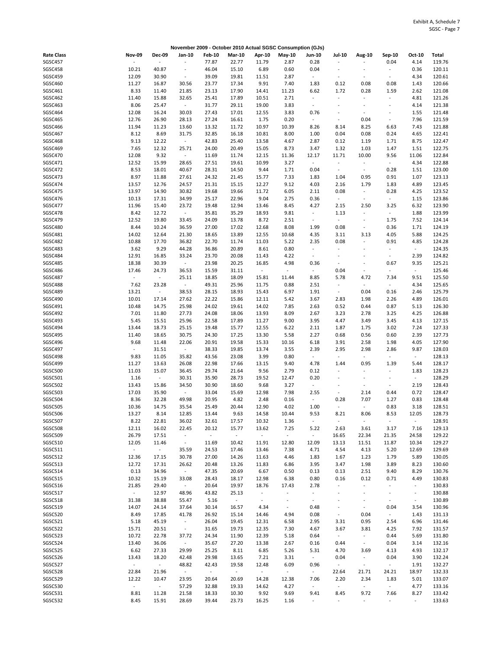|                   |                     |                |                          |               |               | November 2009 - October 2010 Actual SGSC Consumption (GJs) |                |                          |                          |                          |                              |                |        |
|-------------------|---------------------|----------------|--------------------------|---------------|---------------|------------------------------------------------------------|----------------|--------------------------|--------------------------|--------------------------|------------------------------|----------------|--------|
| <b>Rate Class</b> | <b>Nov-09</b>       | <b>Dec-09</b>  | Jan-10                   | <b>Feb-10</b> | <b>Mar-10</b> | Apr-10                                                     | May-10         | <b>Jun-10</b>            | <b>Jul-10</b>            | Aug-10                   | Sep-10                       | Oct-10         | Total  |
| SGSC457           |                     | $\overline{a}$ | ÷,                       | 77.87         | 22.77         | 11.79                                                      | 2.87           | 0.28                     | ä,                       |                          | 0.04                         | 4.14           | 119.76 |
| SGSC458           | 10.21               | 40.87          | $\overline{\phantom{a}}$ | 46.04         | 15.10         | 6.89                                                       | 0.60           | 0.04                     | $\overline{\phantom{a}}$ |                          | $\overline{\phantom{a}}$     | 0.36           | 120.11 |
|                   |                     |                |                          |               |               |                                                            |                |                          |                          |                          |                              |                |        |
| SGSC459           | 12.09               | 30.90          | $\blacksquare$           | 39.09         | 19.81         | 11.51                                                      | 2.87           | $\overline{\phantom{a}}$ | $\overline{\phantom{a}}$ | $\sim$                   | $\overline{\phantom{a}}$     | 4.34           | 120.61 |
| SGSC460           | 11.27               | 16.87          | 30.56                    | 23.77         | 17.34         | 9.91                                                       | 7.40           | 1.83                     | 0.12                     | 0.08                     | 0.08                         | 1.43           | 120.66 |
| SGSC461           | 8.33                | 11.40          | 21.85                    | 23.13         | 17.90         | 14.41                                                      | 11.23          | 6.62                     | 1.72                     | 0.28                     | 1.59                         | 2.62           | 121.08 |
| SGSC462           | 11.40               | 15.88          | 32.65                    | 25.41         | 17.89         | 10.51                                                      | 2.71           | $\overline{\phantom{a}}$ | $\blacksquare$           | $\blacksquare$           |                              | 4.81           | 121.26 |
| SGSC463           | 8.06                | 25.47          | $\sim$                   | 31.77         | 29.11         | 19.00                                                      | 3.83           | $\overline{\phantom{a}}$ | $\tilde{\phantom{a}}$    | $\sim$                   | $\sim$                       | 4.14           | 121.38 |
| SGSC464           | 12.08               | 16.24          | 30.03                    | 27.43         | 17.01         | 12.55                                                      | 3.83           | 0.76                     | $\overline{\phantom{a}}$ | $\ddot{\phantom{1}}$     | $\qquad \qquad \blacksquare$ | 1.55           | 121.48 |
|                   |                     |                |                          |               |               |                                                            |                |                          |                          |                          |                              |                |        |
| SGSC465           | 12.76               | 26.90          | 28.13                    | 27.24         | 16.61         | 1.75                                                       | 0.20           | $\sim$                   | ÷,                       | 0.04                     | $\overline{\phantom{a}}$     | 7.96           | 121.59 |
| SGSC466           | 11.94               | 11.23          | 13.60                    | 13.32         | 11.72         | 10.97                                                      | 10.39          | 8.26                     | 8.14                     | 8.25                     | 6.63                         | 7.43           | 121.88 |
| SGSC467           | 8.12                | 8.69           | 31.75                    | 32.85         | 16.18         | 10.81                                                      | 8.00           | 1.00                     | 0.04                     | 0.08                     | 0.24                         | 4.65           | 122.41 |
| SGSC468           | 9.13                | 12.22          | $\sim$                   | 42.83         | 25.40         | 13.58                                                      | 4.67           | 2.87                     | 0.12                     | 1.19                     | 1.71                         | 8.75           | 122.47 |
| SGSC469           | 7.65                | 12.32          | 25.71                    | 24.00         | 20.49         | 15.05                                                      | 8.73           | 3.47                     | 1.32                     | 1.03                     | 1.47                         | 1.51           | 122.75 |
|                   |                     |                |                          |               |               |                                                            |                |                          |                          |                          |                              |                |        |
| SGSC470           | 12.08               | 9.32           | $\sim$                   | 11.69         | 11.74         | 12.15                                                      | 11.36          | 12.17                    | 11.71                    | 10.00                    | 9.56                         | 11.06          | 122.84 |
| SGSC471           | 12.52               | 15.99          | 28.65                    | 27.51         | 19.61         | 10.99                                                      | 3.27           | $\sim$                   | $\overline{\phantom{a}}$ | $\blacksquare$           | $\blacksquare$               | 4.34           | 122.88 |
| SGSC472           | 8.53                | 18.01          | 40.67                    | 28.31         | 14.50         | 9.44                                                       | 1.71           | 0.04                     | $\omega$                 | $\blacksquare$           | 0.28                         | 1.51           | 123.00 |
| SGSC473           | 8.97                | 11.88          | 27.61                    | 24.32         | 21.45         | 15.77                                                      | 7.33           | 1.83                     | 1.04                     | 0.95                     | 0.91                         | 1.07           | 123.13 |
| SGSC474           | 13.57               | 12.76          | 24.57                    | 21.31         | 15.15         | 12.27                                                      | 9.12           | 4.03                     | 2.16                     | 1.79                     | 1.83                         | 4.89           | 123.45 |
|                   |                     |                |                          |               |               |                                                            |                |                          |                          |                          |                              |                |        |
| SGSC475           | 13.97               | 14.90          | 30.82                    | 19.68         | 19.66         | 11.72                                                      | 6.05           | 2.11                     | 0.08                     | $\omega$                 | 0.28                         | 4.25           | 123.52 |
| SGSC476           | 10.13               | 17.31          | 34.99                    | 25.17         | 22.96         | 9.04                                                       | 2.75           | 0.36                     | $\blacksquare$           | $\overline{\phantom{a}}$ | $\overline{\phantom{a}}$     | 1.15           | 123.86 |
| SGSC477           | 11.96               | 15.40          | 23.72                    | 19.48         | 12.94         | 13.46                                                      | 8.45           | 4.27                     | 2.15                     | 2.50                     | 3.25                         | 6.32           | 123.90 |
| SGSC478           | 8.42                | 12.72          | ÷.                       | 35.81         | 35.29         | 18.93                                                      | 9.81           | $\sim$                   | 1.13                     | $\omega$                 | $\sim$                       | 1.88           | 123.99 |
| SGSC479           | 12.52               | 19.80          | 33.45                    | 24.09         | 13.78         | 8.72                                                       | 2.51           | $\blacksquare$           | $\omega$                 | $\blacksquare$           | 1.75                         | 7.52           | 124.14 |
|                   |                     |                |                          |               |               |                                                            |                |                          |                          |                          |                              |                |        |
| SGSC480           | 8.44                | 10.24          | 36.59                    | 27.00         | 17.02         | 12.68                                                      | 8.08           | 1.99                     | 0.08                     | $\omega$                 | 0.36                         | 1.71           | 124.19 |
| SGSC481           | 14.02               | 12.64          | 21.30                    | 18.65         | 13.89         | 12.55                                                      | 10.68          | 4.35                     | 3.11                     | 3.13                     | 4.05                         | 5.88           | 124.25 |
| <b>SGSC482</b>    | 10.88               | 17.70          | 36.82                    | 22.70         | 11.74         | 11.03                                                      | 5.22           | 2.35                     | 0.08                     | $\blacksquare$           | 0.91                         | 4.85           | 124.28 |
| SGSC483           | 3.62                | 9.29           | 44.28                    | 36.86         | 20.89         | 8.61                                                       | 0.80           | $\overline{\phantom{a}}$ | $\overline{\phantom{a}}$ | $\sim$                   | $\overline{\phantom{a}}$     | $\omega$       | 124.35 |
| SGSC484           | 12.91               | 16.85          | 33.24                    | 23.70         | 20.08         | 11.43                                                      | 4.22           | $\overline{\phantom{a}}$ | ÷,                       |                          | $\sim$                       | 2.39           | 124.82 |
|                   |                     |                |                          |               |               |                                                            |                |                          |                          |                          |                              |                |        |
| SGSC485           | 18.38               | 30.39          | $\sim$                   | 23.98         | 20.25         | 16.85                                                      | 4.98           | 0.36                     | $\overline{\phantom{a}}$ | ÷,                       | 0.67                         | 9.35           | 125.21 |
| SGSC486           | 17.46               | 24.73          | 36.53                    | 15.59         | 31.11         | $\omega$                                                   | $\Box$         | $\overline{\phantom{a}}$ | 0.04                     | $\blacksquare$           |                              | $\omega$       | 125.46 |
| SGSC487           | $\omega$            | $\sim$         | 25.11                    | 18.85         | 18.09         | 15.81                                                      | 11.44          | 8.85                     | 5.78                     | 4.72                     | 7.34                         | 9.51           | 125.50 |
| SGSC488           | 7.62                | 23.28          | $\sim$                   | 49.31         | 25.96         | 11.75                                                      | 0.88           | 2.51                     | $\overline{\phantom{a}}$ | $\omega$                 | $\overline{\phantom{a}}$     | 4.34           | 125.65 |
| SGSC489           | 13.21               | $\sim$         | 38.53                    | 28.15         | 18.93         | 15.43                                                      | 6.97           | 1.91                     | $\blacksquare$           | 0.04                     | 0.16                         | 2.46           | 125.79 |
|                   |                     |                |                          |               |               |                                                            |                |                          |                          |                          |                              |                |        |
| SGSC490           | 10.01               | 17.14          | 27.62                    | 22.22         | 15.86         | 12.11                                                      | 5.42           | 3.67                     | 2.83                     | 1.98                     | 2.26                         | 4.89           | 126.01 |
| SGSC491           | 10.48               | 14.75          | 25.98                    | 24.02         | 19.61         | 14.02                                                      | 7.85           | 2.63                     | 0.52                     | 0.44                     | 0.87                         | 5.13           | 126.30 |
| SGSC492           | 7.01                | 11.80          | 27.73                    | 24.08         | 18.06         | 13.93                                                      | 8.09           | 2.67                     | 3.23                     | 2.78                     | 3.25                         | 4.25           | 126.88 |
| SGSC493           | 5.45                | 15.51          | 25.96                    | 22.58         | 17.89         | 11.27                                                      | 9.00           | 3.95                     | 4.47                     | 3.49                     | 3.45                         | 4.13           | 127.15 |
| SGSC494           | 13.44               | 18.73          | 25.15                    | 19.48         | 15.77         | 12.55                                                      | 6.22           | 2.11                     | 1.87                     | 1.75                     | 3.02                         | 7.24           | 127.33 |
| SGSC495           | 11.40               | 18.65          | 30.75                    | 24.30         | 17.25         | 13.30                                                      | 5.58           | 2.27                     | 0.68                     | 0.56                     | 0.60                         | 2.39           | 127.73 |
|                   |                     |                |                          |               |               |                                                            |                |                          |                          |                          |                              |                |        |
| SGSC496           | 9.68                | 11.48          | 22.06                    | 20.91         | 19.58         | 15.33                                                      | 10.16          | 6.18                     | 3.91                     | 2.58                     | 1.98                         | 4.05           | 127.90 |
| SGSC497           | $\omega$            | 31.51          | $\omega$                 | 38.33         | 19.85         | 13.74                                                      | 3.55           | 2.39                     | 2.95                     | 2.98                     | 2.86                         | 9.87           | 128.03 |
| SGSC498           | 9.83                | 11.05          | 35.82                    | 43.56         | 23.08         | 3.99                                                       | 0.80           | $\overline{\phantom{a}}$ | $\omega$                 | $\omega$                 |                              | $\sim$         | 128.13 |
| SGSC499           | 11.27               | 13.63          | 26.08                    | 22.98         | 17.66         | 13.15                                                      | 9.40           | 4.78                     | 1.44                     | 0.95                     | 1.39                         | 5.44           | 128.17 |
| SGSC500           | 11.03               | 15.07          | 36.45                    | 29.74         | 21.64         | 9.56                                                       | 2.79           | 0.12                     | $\overline{\phantom{a}}$ | $\sim$                   | ÷,                           | 1.83           | 128.23 |
|                   |                     |                |                          |               |               |                                                            |                |                          |                          |                          |                              |                |        |
| SGSC501           | 1.16                | $\sim$         | 30.31                    | 35.90         | 28.73         | 19.52                                                      | 12.47          | 0.20                     | $\overline{\phantom{a}}$ | $\overline{\phantom{a}}$ | $\overline{\phantom{a}}$     | $\sim$         | 128.29 |
| SGSC502           | 13.43               | 15.86          | 34.50                    | 30.90         | 18.60         | 9.68                                                       | 3.27           | $\overline{\phantom{a}}$ | ٠                        | $\sim$                   | $\overline{\phantom{a}}$     | 2.19           | 128.43 |
| SGSC503           | 17.03               | 35.90          | $\sim$                   | 33.04         | 15.69         | 12.98                                                      | 7.98           | 2.55                     | $\blacksquare$           | 2.14                     | 0.44                         | 0.72           | 128.47 |
| SGSC504           | 8.36                | 32.28          | 49.98                    | 20.95         | 4.82          | 2.48                                                       | 0.16           | $\overline{\phantom{a}}$ | 0.28                     | 7.07                     | 1.27                         | 0.83           | 128.48 |
| SGSC505           | 10.36               | 14.75          | 35.54                    | 25.49         | 20.44         | 12.90                                                      | 4.02           | 1.00                     | $\blacksquare$           | $\omega$                 | 0.83                         | 3.18           | 128.51 |
|                   |                     |                |                          |               |               |                                                            |                |                          |                          |                          |                              |                |        |
| SGSC506           | 13.27               | 8.14           | 12.85                    | 13.44         | 9.63          | 14.58                                                      | 10.44          | 9.53                     | 8.21                     | 8.06                     | 8.53                         | 12.05          | 128.73 |
| SGSC507           | 8.22                | 22.81          | 36.02                    | 32.61         | 17.57         | 10.32                                                      | 1.36           | $\blacksquare$           | $\overline{\phantom{a}}$ | $\blacksquare$           | ÷                            | $\sim$         | 128.91 |
| SGSC508           | 12.11               | 16.02          | 22.45                    | 20.12         | 15.77         | 13.62                                                      | 7.25           | 5.22                     | 2.63                     | 3.61                     | 3.17                         | 7.16           | 129.13 |
| SGSC509           | 26.79               | 17.51          | $\sim$                   | $\sim$        | $\sim$        | $\sim$                                                     | $\sim$         | $\sim$                   | 16.65                    | 22.34                    | 21.35                        | 24.58          | 129.22 |
| SGSC510           | 12.05               | 11.46          | $\sim$                   | 11.69         | 10.42         | 11.91                                                      | 12.80          | 12.09                    | 13.13                    | 11.51                    | 11.87                        | 10.34          | 129.27 |
|                   |                     |                |                          |               |               |                                                            |                |                          |                          |                          |                              |                |        |
| SGSC511           | $\omega_{\rm{eff}}$ | $\sim$         | 35.59                    | 24.53         | 17.46         | 13.46                                                      | 7.38           | 4.71                     | 4.54                     | 4.13                     | 5.20                         | 12.69          | 129.69 |
| SGSC512           | 12.36               | 17.15          | 30.78                    | 27.00         | 14.26         | 11.63                                                      | 4.46           | 1.83                     | 1.67                     | 1.23                     | 1.79                         | 5.89           | 130.05 |
| SGSC513           | 12.72               | 17.31          | 26.62                    | 20.48         | 13.26         | 11.83                                                      | 6.86           | 3.95                     | 3.47                     | 1.98                     | 3.89                         | 8.23           | 130.60 |
| SGSC514           | 0.13                | 34.96          | $\sim$                   | 47.35         | 20.69         | 6.67                                                       | 0.50           | 0.13                     | 0.13                     | 2.51                     | 9.40                         | 8.29           | 130.76 |
| SGSC515           | 10.32               | 15.19          | 33.08                    | 28.43         | 18.17         | 12.98                                                      | 6.38           | 0.80                     | 0.16                     | 0.12                     | 0.71                         | 4.49           | 130.83 |
|                   |                     |                |                          |               |               |                                                            |                |                          |                          | $\omega$                 |                              |                |        |
| SGSC516           | 21.85               | 29.40          | $\omega_{\rm{eff}}$      | 20.64         | 19.97         | 18.76                                                      | 17.43          | 2.78                     | $\blacksquare$           |                          | $\blacksquare$               | $\sim$         | 130.83 |
| SGSC517           | $\omega_{\rm{eff}}$ | 12.97          | 48.96                    | 43.82         | 25.13         | $\sim$                                                     | $\blacksquare$ | $\sim$                   | $\overline{\phantom{a}}$ | $\blacksquare$           | ÷                            | $\blacksquare$ | 130.88 |
| SGSC518           | 31.38               | 38.88          | 55.47                    | 5.16          | $\sim$        | $\omega$                                                   | $\blacksquare$ | $\blacksquare$           | $\blacksquare$           | $\overline{\phantom{a}}$ | $\blacksquare$               | $\omega$       | 130.89 |
| SGSC519           | 14.07               | 24.14          | 37.64                    | 30.14         | 16.57         | 4.34                                                       | $\sim$         | 0.48                     | $\blacksquare$           | $\sim$                   | 0.04                         | 3.54           | 130.96 |
| SGSC520           | 8.49                | 17.85          | 41.78                    | 26.92         | 15.14         | 14.46                                                      | 4.94           | 0.08                     | $\blacksquare$           | 0.04                     | $\sim$                       | 1.43           | 131.13 |
| SGSC521           | 5.18                |                | $\sim$                   | 26.04         |               |                                                            |                |                          |                          | 0.95                     |                              |                |        |
|                   |                     | 45.19          |                          |               | 19.45         | 12.31                                                      | 6.58           | 2.95                     | 3.31                     |                          | 2.54                         | 6.96           | 131.46 |
| SGSC522           | 15.71               | 20.51          | $\sim$                   | 31.65         | 19.73         | 12.35                                                      | 7.30           | 4.67                     | 3.67                     | 3.81                     | 4.25                         | 7.92           | 131.57 |
| SGSC523           | 10.72               | 22.78          | 37.72                    | 24.34         | 11.90         | 12.39                                                      | 5.18           | 0.64                     | $\sim$                   | $\sim$                   | 0.44                         | 5.69           | 131.80 |
| SGSC524           | 13.40               | 36.06          | $\sim$                   | 35.67         | 27.20         | 13.38                                                      | 2.67           | 0.16                     | 0.44                     | $\sim$                   | 0.04                         | 3.14           | 132.16 |
| SGSC525           | 6.62                | 27.33          | 29.99                    | 25.25         | 8.11          | 6.85                                                       | 5.26           | 5.31                     | 4.70                     | 3.69                     | 4.13                         | 4.93           | 132.17 |
| SGSC526           | 13.43               | 18.20          | 42.48                    | 29.98         | 13.65         | 7.21                                                       | 3.31           | $\sim$                   | 0.04                     | $\sim$                   | 0.04                         | 3.90           | 132.24 |
|                   |                     |                |                          |               |               |                                                            |                |                          |                          |                          |                              |                |        |
| SGSC527           | $\omega_{\rm c}$    | $\sim$         | 48.82                    | 42.43         | 19.58         | 12.48                                                      | 6.09           | 0.96                     | $\sim$                   | $\sim$                   | $\sim$                       | 1.91           | 132.27 |
| SGSC528           | 22.84               | 21.96          | $\sim$                   | $\sim$        | $\sim$        | $\omega_{\rm{eff}}$                                        | $\sim$         | $\omega$                 | 22.64                    | 21.71                    | 24.21                        | 18.97          | 132.33 |
| SGSC529           | 12.22               | 10.47          | 23.95                    | 20.64         | 20.69         | 14.28                                                      | 12.38          | 7.06                     | 2.20                     | 2.34                     | 1.83                         | 5.01           | 133.07 |
| SGSC530           | $\omega_{\rm c}$    | $\sim$         | 57.29                    | 32.88         | 19.33         | 14.62                                                      | 4.27           | $\blacksquare$           | $\omega$                 | $\omega_{\rm c}$         | $\sim$                       | 4.77           | 133.16 |
|                   |                     |                |                          |               |               |                                                            |                |                          |                          |                          |                              |                |        |
| SGSC531           | 8.81                | 11.28          | 21.58                    | 18.33         | 10.30         | 9.92                                                       | 9.69           | 9.41                     | 8.45                     | 9.72                     | 7.66                         | 8.27           | 133.42 |
| SGSC532           | 8.45                | 15.91          | 28.69                    | 39.44         | 23.73         | 16.25                                                      | 1.16           | $\blacksquare$           | $\overline{\phantom{a}}$ | $\sim$                   | ÷                            | $\sim$         | 133.63 |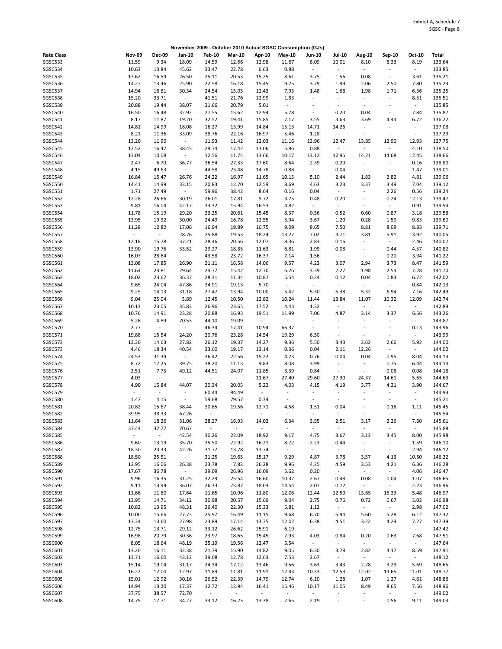|                   |                  |                          |                          |                             |               |                  | November 2009 - October 2010 Actual SGSC Consumption (GJs) |                          |                          |                          |                          |                          |        |
|-------------------|------------------|--------------------------|--------------------------|-----------------------------|---------------|------------------|------------------------------------------------------------|--------------------------|--------------------------|--------------------------|--------------------------|--------------------------|--------|
| <b>Rate Class</b> | <b>Nov-09</b>    | <b>Dec-09</b>            | Jan-10                   | <b>Feb-10</b>               | <b>Mar-10</b> | Apr-10           | $May-10$                                                   | Jun-10                   | <b>Jul-10</b>            | Aug-10                   | Sep-10                   | Oct-10                   | Total  |
| SGSC533           | 11.59            | 9.34                     | 18.09                    | 14.59                       | 12.66         | 12.98            | 11.67                                                      | 8.09                     | 10.01                    | 8.10                     | 8.33                     | 8.19                     | 133.64 |
| SGSC534           | 10.63            | 13.84                    | 45.62                    | 33.47                       | 22.78         | 6.63             | 0.88                                                       | $\blacksquare$           | $\omega$                 | $\sim$                   | $\sim$                   | $\omega$                 | 133.85 |
|                   |                  |                          |                          |                             |               |                  |                                                            |                          |                          |                          |                          |                          |        |
| SGSC535           | 13.62            | 16.59                    | 26.50                    | 25.11                       | 20.53         | 15.25            | 8.61                                                       | 3.75                     | 1.56                     | 0.08                     | $\sim$                   | 3.61                     | 135.21 |
| SGSC536           | 14.27            | 13.46                    | 25.90                    | 22.58                       | 16.18         | 15.45            | 9.25                                                       | 3.79                     | 1.99                     | 2.06                     | 2.50                     | 7.80                     | 135.23 |
| SGSC537           | 14.94            | 16.81                    | 30.34                    | 24.54                       | 15.05         | 12.43            | 7.93                                                       | 1.48                     | 1.68                     | 1.98                     | 1.71                     | 6.36                     | 135.25 |
| SGSC538           | 15.20            | 33.71                    | $\sim$                   | 41.51                       | 21.76         | 12.99            | 1.83                                                       | ÷,                       | $\overline{\phantom{a}}$ | $\omega$                 | $\sim$                   | 8.51                     | 135.51 |
| SGSC539           | 20.88            | 19.44                    | 38.07                    | 31.66                       | 20.79         | 5.01             | $\sim$                                                     | $\overline{\phantom{a}}$ | $\overline{\phantom{a}}$ | $\blacksquare$           |                          | $\sim$                   | 135.85 |
| SGSC540           | 16.50            | 16.48                    | 32.92                    | 27.55                       | 15.62         | 12.94            | 5.78                                                       | $\overline{\phantom{a}}$ | 0.20                     | 0.04                     | $\overline{\phantom{a}}$ | 7.84                     | 135.87 |
|                   |                  |                          |                          |                             |               |                  |                                                            |                          |                          |                          |                          |                          |        |
| SGSC541           | 8.17             | 11.87                    | 19.20                    | 32.52                       | 19.41         | 15.85            | 7.17                                                       | 3.55                     | 3.63                     | 3.69                     | 4.44                     | 6.72                     | 136.22 |
| SGSC542           | 14.81            | 14.99                    | 18.08                    | 16.27                       | 13.99         | 14.84            | 15.13                                                      | 14.71                    | 14.26                    | $\omega$                 |                          | $\blacksquare$           | 137.08 |
| SGSC543           | 8.21             | 11.36                    | 33.09                    | 38.76                       | 22.16         | 16.97            | 5.46                                                       | 1.28                     | $\overline{\phantom{a}}$ | $\overline{\phantom{a}}$ |                          | $\overline{\phantom{a}}$ | 137.29 |
| SGSC544           | 13.20            | 11.90                    | $\sim$                   | 11.93                       | 11.42         | 12.03            | 11.16                                                      | 13.96                    | 12.47                    | 13.85                    | 12.90                    | 12.93                    | 137.75 |
| SGSC545           | 12.52            | 16.47                    | 38.45                    | 29.74                       | 17.42         | 13.06            | 5.86                                                       | 0.88                     | $\blacksquare$           | $\bar{\phantom{a}}$      | $\overline{\phantom{a}}$ | 4.10                     | 138.50 |
|                   |                  |                          |                          |                             |               |                  |                                                            |                          |                          |                          |                          |                          |        |
| SGSC546           | 13.04            | 10.08                    | $\sim$                   | 12.56                       | 11.74         | 13.66            | 10.17                                                      | 13.12                    | 12.95                    | 14.21                    | 14.68                    | 12.45                    | 138.66 |
| SGSC547           | 2.47             | 6.70                     | 36.77                    | 36.54                       | 27.33         | 17.60            | 8.64                                                       | 2.39                     | 0.20                     | $\omega$                 |                          | 0.16                     | 138.80 |
| SGSC548           | 4.15             | 49.63                    | $\sim$                   | 44.58                       | 23.48         | 14.78            | 0.88                                                       | $\omega$                 | 0.04                     | $\omega$                 | $\sim$                   | 1.47                     | 139.01 |
| SGSC549           | 16.84            | 15.47                    | 26.76                    | 24.22                       | 16.97         | 11.65            | 10.15                                                      | 5.10                     | 2.44                     | 1.83                     | 2.82                     | 4.81                     | 139.06 |
| SGSC550           | 14.41            | 14.99                    | 33.15                    | 20.83                       | 12.70         | 12.59            | 8.69                                                       | 4.63                     | 3.23                     | 3.37                     | 3.49                     | 7.04                     | 139.12 |
|                   |                  |                          |                          |                             |               |                  |                                                            |                          |                          |                          |                          |                          |        |
| SGSC551           | 1.71             | 27.49                    | $\sim$                   | 59.96                       | 38.42         | 8.64             | 0.16                                                       | 0.04                     | $\blacksquare$           | $\omega$                 | 2.26                     | 0.56                     | 139.24 |
| SGSC552           | 12.28            | 26.66                    | 30.19                    | 26.01                       | 17.81         | 9.72             | 3.75                                                       | 0.48                     | 0.20                     | $\overline{\phantom{a}}$ | 0.24                     | 12.13                    | 139.47 |
| SGSC553           | 9.81             | 16.04                    | 42.17                    | 33.32                       | 15.94         | 16.53            | 4.82                                                       | $\overline{\phantom{a}}$ | $\blacksquare$           | $\blacksquare$           | $\overline{\phantom{a}}$ | 0.91                     | 139.54 |
| SGSC554           | 11.78            | 15.19                    | 29.20                    | 33.25                       | 20.61         | 15.45            | 8.37                                                       | 0.56                     | 0.52                     | 0.60                     | 0.87                     | 3.18                     | 139.58 |
| SGSC555           | 13.95            | 19.32                    | 30.00                    | 24.49                       | 16.78         | 12.55            | 5.94                                                       | 3.67                     | 1.20                     | 0.28                     | 1.59                     | 9.83                     | 139.60 |
|                   |                  |                          |                          |                             |               |                  |                                                            |                          |                          |                          |                          |                          |        |
| SGSC556           | 11.28            | 12.82                    | 17.06                    | 16.94                       | 19.89         | 10.75            | 9.09                                                       | 8.65                     | 7.50                     | 8.81                     | 8.09                     | 8.83                     | 139.71 |
| SGSC557           | $\pm$            | $\sim$                   | 28.76                    | 25.88                       | 19.53         | 18.24            | 13.27                                                      | 7.02                     | 3.71                     | 3.81                     | 5.91                     | 13.92                    | 140.05 |
| SGSC558           | 12.18            | 15.78                    | 37.21                    | 28.46                       | 20.56         | 12.07            | 8.36                                                       | 2.83                     | 0.16                     | $\omega$                 | $\blacksquare$           | 2.46                     | 140.07 |
| SGSC559           | 13.90            | 19.76                    | 33.52                    | 29.27                       | 18.85         | 11.63            | 6.81                                                       | 1.99                     | 0.08                     | $\overline{\phantom{a}}$ | 0.44                     | 4.57                     | 140.82 |
| SGSC560           | 16.07            | 28.64                    | $\sim$                   | 43.58                       | 23.72         | 16.37            | 7.14                                                       | 1.56                     | $\sim$                   | $\omega$                 | 0.20                     | 3.94                     | 141.22 |
|                   |                  |                          |                          |                             |               |                  |                                                            |                          |                          |                          |                          |                          |        |
| SGSC561           | 13.08            | 17.85                    | 26.90                    | 21.11                       | 16.58         | 14.06            | 9.57                                                       | 4.23                     | 3.07                     | 2.94                     | 3.73                     | 8.47                     | 141.59 |
| SGSC562           | 11.64            | 23.81                    | 29.64                    | 24.77                       | 15.42         | 12.70            | 6.26                                                       | 3.39                     | 2.27                     | 1.98                     | 2.54                     | 7.28                     | 141.70 |
| SGSC563           | 18.02            | 23.62                    | 36.37                    | 28.31                       | 11.34         | 10.87            | 5.54                                                       | 0.24                     | 0.12                     | 0.04                     | 0.83                     | 6.72                     | 142.02 |
| SGSC564           | 9.65             | 24.04                    | 47.86                    | 34.91                       | 19.13         | 5.70             | $\sim$                                                     | $\overline{\phantom{a}}$ | $\mathbb{Z}^{\times}$    | $\sim$                   | $\overline{\phantom{a}}$ | 0.84                     | 142.13 |
| SGSC565           | 9.25             | 14.13                    | 31.18                    | 27.47                       | 13.94         | 10.00            | 5.42                                                       | 5.30                     | 6.38                     | 5.32                     | 6.94                     | 7.16                     | 142.49 |
|                   |                  |                          |                          |                             |               |                  |                                                            |                          |                          |                          |                          |                          |        |
| SGSC566           | 9.04             | 25.04                    | 3.89                     | 12.45                       | 10.50         | 12.82            | 10.24                                                      | 11.44                    | 13.84                    | 11.07                    | 10.32                    | 12.09                    | 142.74 |
| SGSC567           | 10.13            | 23.05                    | 35.83                    | 26.96                       | 23.65         | 17.52            | 4.43                                                       | 1.32                     | $\blacksquare$           | $\omega$                 | $\sim$                   | $\sim$                   | 142.89 |
| SGSC568           | 10.76            | 14.91                    | 23.28                    | 20.88                       | 16.93         | 19.51            | 11.99                                                      | 7.06                     | 4.87                     | 3.14                     | 3.37                     | 6.56                     | 143.26 |
| SGSC569           | 5.26             | 4.89                     | 70.53                    | 44.10                       | 19.09         | $\omega_{\rm c}$ | $\overline{\phantom{a}}$                                   | $\ddot{\phantom{0}}$     | $\blacksquare$           | $\bar{\phantom{a}}$      |                          | $\overline{\phantom{a}}$ | 143.87 |
| SGSC570           | 2.77             | $\mathcal{L}$            | $\omega_{\rm{eff}}$      | 46.34                       | 17.41         | 10.94            | 66.37                                                      | $\overline{\phantom{a}}$ | $\blacksquare$           | $\ddot{\phantom{1}}$     | $\overline{\phantom{a}}$ | 0.13                     | 143.96 |
|                   |                  |                          |                          |                             |               |                  |                                                            |                          |                          |                          |                          |                          |        |
| SGSC571           | 19.88            | 15.54                    | 24.20                    | 20.76                       | 23.28         | 14.54            | 19.29                                                      | 6.50                     | $\overline{\phantom{a}}$ | $\blacksquare$           |                          | $\sim$                   | 143.99 |
| SGSC572           | 12.30            | 14.63                    | 27.82                    | 26.12                       | 19.37         | 14.27            | 9.36                                                       | 5.50                     | 3.43                     | 2.62                     | 2.66                     | 5.92                     | 144.00 |
| SGSC573           | 4.46             | 18.34                    | 40.54                    | 33.60                       | 19.17         | 13.14            | 0.36                                                       | 0.04                     | 2.11                     | 12.26                    | $\sim$                   | $\sim$                   | 144.02 |
| SGSC574           | 24.53            | 31.34                    | $\omega_{\rm{eff}}$      | 36.42                       | 22.56         | 15.22            | 4.23                                                       | 0.76                     | 0.04                     | 0.04                     | 0.95                     | 8.04                     | 144.13 |
| SGSC575           | 8.72             | 17.25                    | 39.75                    | 38.20                       | 11.13         | 9.83             | 8.08                                                       | 3.99                     | $\blacksquare$           | $\blacksquare$           | 0.75                     | 6.44                     | 144.14 |
| SGSC576           | 2.51             | 7.73                     |                          | 44.51                       | 24.07         |                  |                                                            | 0.84                     | $\overline{\phantom{a}}$ | $\blacksquare$           | 0.08                     |                          |        |
|                   |                  |                          | 49.12                    |                             |               | 11.85            | 3.39                                                       |                          |                          |                          |                          | 0.08                     | 144.18 |
| SGSC577           | 4.03             | $\sim$                   | $\blacksquare$           | $\mathcal{L}_{\mathcal{A}}$ | $\sim$        | 11.67            | 27.40                                                      | 29.60                    | 27.30                    | 24.37                    | 14.61                    | 5.65                     | 144.63 |
| SGSC578           | 4.90             | 15.84                    | 44.07                    | 30.34                       | 20.05         | 5.22             | 4.03                                                       | 4.15                     | 4.19                     | 3.77                     | 4.21                     | 3.90                     | 144.67 |
| SGSC579           | $\omega$         | $\overline{\phantom{a}}$ | $\blacksquare$           | 60.44                       | 84.49         | $\sim$           | $\blacksquare$                                             | $\sim$                   | $\overline{\phantom{a}}$ | $\blacksquare$           | $\overline{\phantom{a}}$ | $\blacksquare$           | 144.93 |
| SGSC580           | 1.47             | 4.15                     | $\overline{\phantom{a}}$ | 59.68                       | 79.57         | 0.34             | $\overline{\phantom{a}}$                                   | $\overline{\phantom{a}}$ | $\blacksquare$           |                          |                          | $\overline{\phantom{a}}$ | 145.21 |
| <b>SGSC581</b>    | 20.82            |                          |                          | 30.85                       |               | 12.71            |                                                            |                          | 0.04                     | ÷                        |                          |                          | 145.45 |
|                   |                  | 15.67                    | 38.44                    |                             | 19.56         |                  | 4.58                                                       | 1.51                     |                          |                          | 0.16                     | 1.11                     |        |
| SGSC582           | 39.95            | 38.33                    | 67.26                    |                             |               |                  |                                                            |                          |                          |                          |                          |                          | 145.54 |
| SGSC583           | 11.64            | 18.26                    | 31.06                    | 28.27                       | 16.93         | 14.02            | 6.34                                                       | 3.55                     | 2.51                     | 3.17                     | 2.26                     | 7.60                     | 145.61 |
| SGSC584           | 37.44            | 37.77                    | 70.67                    | $\omega$                    | $\omega$      | ÷                | $\omega$                                                   | $\blacksquare$           | $\Box$                   | $\omega$                 | $\omega$                 | $\omega$                 | 145.88 |
| SGSC585           | $\omega_{\rm c}$ | $\sim$                   | 42.54                    | 30.26                       | 22.09         | 18.92            | 9.17                                                       | 4.75                     | 3.67                     | 3.13                     | 3.45                     | 8.00                     | 145.98 |
| SGSC586           | 9.60             | 13.19                    | 35.70                    | 35.50                       | 22.92         | 16.21            | 8.72                                                       | 2.23                     | 0.44                     | $\omega$                 | $\blacksquare$           | 1.59                     | 146.10 |
|                   |                  |                          |                          |                             |               |                  |                                                            |                          |                          |                          |                          |                          |        |
| <b>SGSC587</b>    | 18.30            | 23.33                    | 42.26                    | 31.77                       | 13.78         | 13.74            | $\sim$                                                     | $\blacksquare$           | $\sim$                   | $\sim$                   | $\sim$                   | 2.94                     | 146.12 |
| <b>SGSC588</b>    | 18.50            | 25.51                    | $\sim$                   | 31.25                       | 19.65         | 15.17            | 9.29                                                       | 4.87                     | 3.78                     | 3.57                     | 4.13                     | 10.50                    | 146.22 |
| SGSC589           | 12.95            | 16.06                    | 26.38                    | 23.78                       | 7.83          | 26.28            | 9.96                                                       | 4.35                     | 4.59                     | 3.53                     | 4.21                     | 6.36                     | 146.28 |
| SGSC590           | 17.67            | 36.78                    | $\sim$                   | 39.09                       | 26.96         | 16.09            | 5.62                                                       | 0.20                     | $\sim$                   | $\omega_{\rm c}$         | $\sim$                   | 4.06                     | 146.47 |
| SGSC591           | 9.96             | 16.35                    | 31.25                    | 32.29                       | 25.54         | 16.60            | 10.32                                                      | 2.67                     | 0.48                     | 0.08                     | 0.04                     | 1.07                     | 146.65 |
|                   |                  |                          |                          |                             |               |                  |                                                            |                          |                          |                          |                          |                          |        |
| SGSC592           | 9.11             | 13.99                    | 36.07                    | 26.33                       | 23.87         | 18.03            | 14.54                                                      | 2.07                     | 0.72                     | $\sim$                   | $\blacksquare$           | 2.23                     | 146.96 |
| SGSC593           | 11.66            | 11.80                    | 17.64                    | 11.65                       | 10.96         | 11.80            | 12.06                                                      | 12.44                    | 12.50                    | 13.65                    | 15.33                    | 5.48                     | 146.97 |
| SGSC594           | 13.95            | 14.71                    | 34.12                    | 30.98                       | 20.57         | 15.69            | 9.04                                                       | 2.75                     | 0.76                     | 0.72                     | 0.67                     | 3.02                     | 146.98 |
| <b>SGSC595</b>    | 10.82            | 13.95                    | 48.31                    | 26.40                       | 22.30         | 15.33            | 5.81                                                       | 1.12                     | $\omega$                 | $\omega$                 | $\sim$                   | 2.98                     | 147.02 |
| SGSC596           | 10.00            | 15.66                    | 27.73                    | 25.97                       | 16.49         | 11.15            | 9.68                                                       | 6.70                     | 6.94                     | 5.60                     | 5.28                     | 6.12                     | 147.32 |
|                   |                  |                          |                          |                             |               |                  |                                                            |                          |                          |                          |                          |                          |        |
| SGSC597           | 13.34            | 13.60                    | 27.98                    | 23.89                       | 17.14         | 13.75            | 12.02                                                      | 6.38                     | 4.51                     | 3.22                     | 4.29                     | 7.27                     | 147.39 |
| SGSC598           | 12.75            | 13.71                    | 29.12                    | 33.12                       | 26.62         | 25.91            | 6.19                                                       | $\sim$                   | $\sim$                   | $\sim$                   | $\sim$                   | $\sim$                   | 147.42 |
| SGSC599           | 16.98            | 20.79                    | 30.36                    | 23.97                       | 18.65         | 15.45            | 7.93                                                       | 4.03                     | 0.84                     | 0.20                     | 0.63                     | 7.68                     | 147.51 |
| SGSC600           | 8.05             | 18.64                    | 48.19                    | 35.19                       | 19.56         | 12.47            | 5.54                                                       | $\blacksquare$           | $\sim$                   | $\blacksquare$           | $\sim$                   | $\sim$                   | 147.64 |
| SGSC601           | 13.20            | 16.11                    | 32.38                    | 21.79                       | 15.90         | 14.82            | 9.05                                                       | 6.30                     | 3.78                     | 2.82                     | 3.17                     | 8.59                     | 147.91 |
|                   |                  |                          |                          |                             |               |                  |                                                            |                          |                          |                          | $\sim$                   |                          |        |
| SGSC602           | 13.71            | 16.60                    | 43.12                    | 39.08                       | 12.78         | 12.63            | 7.53                                                       | 2.67                     | $\sim$                   | $\blacksquare$           |                          | $\sim$                   | 148.12 |
| SGSC603           | 15.14            | 19.04                    | 31.17                    | 24.34                       | 17.12         | 13.46            | 9.56                                                       | 3.63                     | 3.43                     | 2.78                     | 3.29                     | 5.69                     | 148.65 |
| SGSC604           | 16.22            | 12.00                    | 12.97                    | 11.89                       | 11.81         | 11.91            | 12.43                                                      | 10.33                    | 12.53                    | 12.02                    | 13.65                    | 11.01                    | 148.77 |
| SGSC605           | 15.01            | 12.92                    | 30.16                    | 26.52                       | 22.39         | 14.79            | 12.74                                                      | 6.10                     | 1.28                     | 1.07                     | 1.27                     | 4.61                     | 148.86 |
| SGSC606           | 14.94            | 13.20                    | 17.37                    | 12.72                       | 12.94         | 16.41            | 15.46                                                      | 10.17                    | 11.05                    | 8.49                     | 8.65                     | 7.56                     | 148.96 |
|                   |                  |                          |                          |                             |               |                  |                                                            |                          |                          |                          |                          |                          |        |
| SGSC607           | 37.75            | 38.57                    | 72.70                    | $\sim$                      | $\sim$        | ÷                | $\overline{\phantom{a}}$                                   | $\overline{\phantom{a}}$ | $\overline{\phantom{a}}$ | $\overline{\phantom{a}}$ |                          | $\overline{\phantom{a}}$ | 149.02 |
| SGSC608           | 14.79            | 17.71                    | 34.27                    | 33.12                       | 16.25         | 13.38            | 7.65                                                       | 2.19                     | $\blacksquare$           | $\blacksquare$           | 0.56                     | 9.11                     | 149.03 |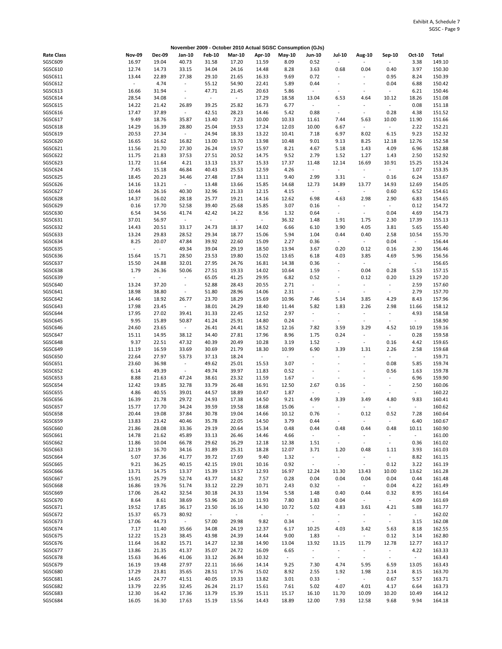|                   |               |                          |                          |               |                             |                     | November 2009 - October 2010 Actual SGSC Consumption (GJs) |                          |                          |                          |                          |                          |        |
|-------------------|---------------|--------------------------|--------------------------|---------------|-----------------------------|---------------------|------------------------------------------------------------|--------------------------|--------------------------|--------------------------|--------------------------|--------------------------|--------|
| <b>Rate Class</b> | <b>Nov-09</b> | <b>Dec-09</b>            | Jan-10                   | <b>Feb-10</b> | <b>Mar-10</b>               | Apr-10              | May-10                                                     | <b>Jun-10</b>            | <b>Jul-10</b>            | Aug-10                   | Sep-10                   | Oct-10                   | Total  |
| SGSC609           | 16.97         | 19.04                    | 40.73                    | 31.58         | 17.20                       | 11.59               | 8.09                                                       | 0.52                     | $\overline{\phantom{a}}$ | ä,                       |                          | 3.38                     | 149.10 |
| SGSC610           | 12.74         | 14.73                    | 33.15                    | 34.04         | 24.16                       | 14.48               | 8.28                                                       | 3.63                     | 0.68                     | 0.04                     | 0.40                     | 3.97                     | 150.30 |
| SGSC611           | 13.44         | 22.89                    | 27.38                    | 29.10         | 21.65                       | 16.33               | 9.69                                                       | 0.72                     | $\blacksquare$           | ÷,                       | 0.95                     | 8.24                     | 150.39 |
| SGSC612           | $\omega$      | 4.74                     | $\overline{\phantom{a}}$ | 55.12         | 54.90                       | 22.41               | 5.89                                                       | 0.44                     | $\overline{\phantom{a}}$ | ÷,                       | 0.04                     | 6.88                     | 150.42 |
| SGSC613           | 16.66         | 31.94                    | $\overline{\phantom{a}}$ | 47.71         | 21.45                       | 20.63               | 5.86                                                       | $\sim$                   | $\overline{\phantom{a}}$ | ÷                        |                          | 6.21                     | 150.46 |
| SGSC614           | 28.54         | 34.08                    | $\overline{\phantom{a}}$ | $\omega$      | $\mathcal{L}_{\mathcal{A}}$ | 17.29               | 18.58                                                      | 13.04                    | 6.53                     | 4.64                     | 10.12                    | 18.26                    | 151.08 |
| SGSC615           | 14.22         | 21.42                    | 26.89                    | 39.25         | 25.82                       | 16.73               | 6.77                                                       | $\sim$                   | $\blacksquare$           | $\sim$                   | $\sim$                   | 0.08                     | 151.18 |
|                   |               |                          |                          |               |                             |                     |                                                            |                          |                          |                          |                          |                          |        |
| SGSC616           | 17.47         | 37.89                    | $\overline{\phantom{a}}$ | 42.51         | 28.23                       | 14.46               | 5.42                                                       | 0.88                     | $\overline{\phantom{a}}$ | $\sim$                   | 0.28                     | 4.38                     | 151.52 |
| SGSC617           | 9.49          | 18.76                    | 35.87                    | 13.40         | 7.23                        | 10.00               | 10.33                                                      | 11.61                    | 7.44                     | 5.63                     | 10.00                    | 11.90                    | 151.66 |
| SGSC618           | 14.29         | 16.39                    | 28.80                    | 25.04         | 19.53                       | 17.24               | 12.03                                                      | 10.00                    | 6.67                     | $\omega$                 | $\omega$                 | 2.22                     | 152.21 |
| SGSC619           | 20.53         | 27.34                    | $\sim$                   | 24.94         | 18.33                       | 13.22               | 10.41                                                      | 7.18                     | 6.97                     | 8.02                     | 6.15                     | 9.23                     | 152.32 |
| SGSC620           | 16.65         | 16.62                    | 16.82                    | 13.00         | 13.70                       | 13.98               | 10.48                                                      | 9.01                     | 9.13                     | 8.25                     | 12.18                    | 12.76                    | 152.58 |
| SGSC621           | 11.56         | 21.70                    | 27.30                    | 26.24         | 19.57                       | 15.97               | 8.21                                                       | 4.67                     | 5.18                     | 1.43                     | 4.09                     | 6.96                     | 152.88 |
| SGSC622           | 11.75         | 21.83                    | 37.53                    | 27.51         | 20.52                       | 14.75               | 9.52                                                       | 2.79                     | 1.52                     | 1.27                     | 1.43                     | 2.50                     | 152.92 |
| SGSC623           | 11.72         | 11.64                    | 4.21                     | 13.13         | 13.37                       | 15.33               | 17.37                                                      | 11.48                    | 12.14                    | 16.69                    | 10.91                    | 15.25                    | 153.24 |
| SGSC624           | 7.45          | 15.18                    | 46.84                    | 40.43         | 25.53                       | 12.59               | 4.26                                                       | $\sim$                   | $\sim$                   | ÷,                       | $\omega$                 | 1.07                     | 153.35 |
| SGSC625           | 18.45         | 20.23                    | 34.46                    | 27.48         | 17.84                       | 13.11               | 9.40                                                       | 2.99                     | 3.31                     | $\blacksquare$           | 0.16                     | 6.24                     | 153.67 |
|                   |               |                          |                          |               |                             |                     |                                                            |                          |                          |                          |                          |                          |        |
| SGSC626           | 14.16         | 13.21                    | $\sim$                   | 13.48         | 13.66                       | 15.85               | 14.68                                                      | 12.73                    | 14.89                    | 13.77                    | 14.93                    | 12.69                    | 154.05 |
| SGSC627           | 10.44         | 26.16                    | 40.30                    | 32.96         | 21.33                       | 12.15               | 4.15                                                       | $\overline{\phantom{a}}$ | $\blacksquare$           | $\Box$                   | 0.60                     | 6.52                     | 154.61 |
| SGSC628           | 14.37         | 16.02                    | 28.18                    | 25.77         | 19.21                       | 14.16               | 12.62                                                      | 6.98                     | 4.63                     | 2.98                     | 2.90                     | 6.83                     | 154.65 |
| SGSC629           | 0.16          | 17.70                    | 52.58                    | 39.40         | 25.68                       | 15.85               | 3.07                                                       | 0.16                     | $\blacksquare$           | $\blacksquare$           | $\sim$                   | 0.12                     | 154.72 |
| SGSC630           | 6.54          | 34.56                    | 41.74                    | 42.42         | 14.22                       | 8.56                | 1.32                                                       | 0.64                     | $\overline{\phantom{a}}$ | $\omega$                 | 0.04                     | 4.69                     | 154.73 |
| SGSC631           | 37.01         | 56.97                    | $\sim$                   | $\sim$        | $\sim$                      | $\sim$              | 36.32                                                      | 1.48                     | 1.91                     | 1.75                     | 2.30                     | 17.39                    | 155.13 |
| SGSC632           | 14.43         | 20.51                    | 33.17                    | 24.73         | 18.37                       | 14.02               | 6.66                                                       | 6.10                     | 3.90                     | 4.05                     | 3.81                     | 5.65                     | 155.40 |
| SGSC633           | 13.24         | 29.83                    | 28.52                    | 29.34         | 18.77                       | 15.06               | 5.94                                                       | 1.04                     | 0.44                     | 0.40                     | 2.58                     | 10.54                    | 155.70 |
| SGSC634           | 8.25          | 20.07                    | 47.84                    | 39.92         | 22.60                       | 15.09               | 2.27                                                       | 0.36                     | $\sim$                   | $\omega$                 | 0.04                     | $\omega_{\rm c}$         | 156.44 |
| SGSC635           | $\omega$      | $\sim$                   | 49.34                    | 39.04         | 29.19                       | 18.50               | 13.94                                                      | 3.67                     | 0.20                     | 0.12                     | 0.16                     | 2.30                     | 156.46 |
|                   |               |                          |                          |               |                             |                     |                                                            |                          |                          |                          |                          |                          |        |
| SGSC636           | 15.64         | 15.71                    | 28.50                    | 23.53         | 19.80                       | 15.02               | 13.65                                                      | 6.18                     | 4.03                     | 3.85                     | 4.69                     | 5.96                     | 156.56 |
| SGSC637           | 15.50         | 24.88                    | 32.01                    | 27.95         | 24.76                       | 16.81               | 14.38                                                      | 0.36                     | $\overline{\phantom{a}}$ | $\blacksquare$           | $\sim$                   | $\sim$                   | 156.65 |
| SGSC638           | 1.79          | 26.36                    | 50.06                    | 27.51         | 19.33                       | 14.02               | 10.64                                                      | 1.59                     | $\overline{\phantom{a}}$ | 0.04                     | 0.28                     | 5.53                     | 157.15 |
| SGSC639           | $\sim$        | $\overline{\phantom{a}}$ | $\overline{\phantom{a}}$ | 65.05         | 41.25                       | 29.95               | 6.82                                                       | 0.52                     | $\overline{\phantom{a}}$ | 0.12                     | 0.20                     | 13.29                    | 157.20 |
| SGSC640           | 13.24         | 37.20                    | $\overline{\phantom{a}}$ | 52.88         | 28.43                       | 20.55               | 2.71                                                       | $\overline{\phantom{a}}$ | $\blacksquare$           | $\blacksquare$           | $\overline{\phantom{a}}$ | 2.59                     | 157.60 |
| SGSC641           | 18.98         | 38.80                    | $\overline{\phantom{a}}$ | 51.80         | 28.96                       | 14.06               | 2.31                                                       | $\sim$                   | $\blacksquare$           | $\overline{\phantom{a}}$ | $\sim$                   | 2.79                     | 157.70 |
| SGSC642           | 14.46         | 18.92                    | 26.77                    | 23.70         | 18.29                       | 15.69               | 10.96                                                      | 7.46                     | 5.14                     | 3.85                     | 4.29                     | 8.43                     | 157.96 |
| SGSC643           | 17.98         | 23.45                    | $\blacksquare$           | 38.01         | 24.29                       | 18.40               | 11.44                                                      | 5.82                     | 1.83                     | 2.26                     | 2.98                     | 11.66                    | 158.12 |
| SGSC644           | 17.95         | 27.02                    | 39.41                    | 31.33         | 22.45                       | 12.52               | 2.97                                                       | $\overline{\phantom{a}}$ | $\blacksquare$           | $\overline{\phantom{a}}$ | $\overline{\phantom{a}}$ | 4.93                     | 158.58 |
| SGSC645           | 9.95          | 15.89                    | 50.87                    | 41.24         | 25.91                       | 14.80               | 0.24                                                       | $\overline{\phantom{a}}$ | $\blacksquare$           | ÷,                       | ÷,                       | $\sim$                   | 158.90 |
|                   |               |                          |                          |               |                             |                     |                                                            |                          |                          |                          |                          |                          |        |
| SGSC646           | 24.60         | 23.65                    | $\sim$                   | 26.41         | 24.41                       | 18.52               | 12.16                                                      | 7.82                     | 3.59                     | 3.29                     | 4.52                     | 10.19                    | 159.16 |
| SGSC647           | 15.11         | 14.95                    | 38.12                    | 34.40         | 27.81                       | 17.96               | 8.96                                                       | 1.75                     | 0.24                     | $\blacksquare$           | $\blacksquare$           | 0.28                     | 159.58 |
| SGSC648           | 9.37          | 22.51                    | 47.32                    | 40.39         | 20.49                       | 10.28               | 3.19                                                       | 1.52                     | $\blacksquare$           | ÷,                       | 0.16                     | 4.42                     | 159.65 |
| SGSC649           | 11.19         | 16.59                    | 33.69                    | 30.69         | 21.79                       | 18.30               | 10.99                                                      | 6.90                     | 3.39                     | 1.31                     | 2.26                     | 2.58                     | 159.68 |
| SGSC650           | 22.64         | 27.97                    | 53.73                    | 37.13         | 18.24                       | $\sim$              | $\sim$                                                     |                          |                          | ÷,                       |                          | $\omega_{\rm{eff}}$      | 159.71 |
| SGSC651           | 23.60         | 36.98                    | $\overline{\phantom{a}}$ | 49.62         | 25.01                       | 15.53               | 3.07                                                       | $\ddot{\phantom{1}}$     | $\sim$                   | $\overline{a}$           | 0.08                     | 5.85                     | 159.74 |
| SGSC652           | 6.14          | 49.39                    | $\overline{\phantom{a}}$ | 49.74         | 39.97                       | 11.83               | 0.52                                                       |                          |                          | ä,                       | 0.56                     | 1.63                     | 159.78 |
| SGSC653           | 8.88          | 21.63                    | 47.24                    | 38.61         | 23.32                       | 11.59               | 1.67                                                       | $\sim$                   | $\overline{\phantom{a}}$ | $\overline{a}$           | $\overline{a}$           | 6.96                     | 159.90 |
| SGSC654           | 12.42         | 19.85                    | 32.78                    | 33.79         | 26.48                       | 16.91               | 12.50                                                      | 2.67                     | 0.16                     | $\sim$                   | ÷,                       | 2.50                     | 160.06 |
| SGSC655           | 4.86          | 40.55                    | 39.01                    | 44.57         | 18.89                       | 10.47               | 1.87                                                       | $\sim$                   | $\overline{\phantom{a}}$ | $\overline{\phantom{a}}$ | $\sim$                   | $\blacksquare$           | 160.22 |
| SGSC656           |               | 21.78                    |                          |               |                             |                     |                                                            |                          | 3.39                     | 3.49                     | 4.80                     | 9.83                     |        |
|                   | 16.39         |                          | 29.72                    | 24.93         | 17.38                       | 14.50               | 9.21                                                       | 4.99                     |                          |                          |                          |                          | 160.41 |
| SGSC657           | 15.77         | 17.70                    | 34.24                    | 39.59         | 19.58                       | 18.68               | 15.06                                                      | $\overline{\phantom{a}}$ | $\blacksquare$           | $\blacksquare$           |                          | $\overline{\phantom{a}}$ | 160.62 |
| SGSC658           | 20.44         | 19.08                    | 37.84                    | 30.78         | 19.04                       | 14.66               | 10.12                                                      | 0.76                     |                          | 0.12                     | 0.52                     | 7.28                     | 160.64 |
| SGSC659           | 13.83         | 23.42                    | 40.46                    | 35.78         | 22.05                       | 14.50               | 3.79                                                       | 0.44                     | $\blacksquare$           | ÷                        | $\blacksquare$           | 6.40                     | 160.67 |
| SGSC660           | 21.86         | 28.08                    | 33.36                    | 29.19         | 20.64                       | 15.34               | 0.48                                                       | 0.44                     | 0.48                     | 0.44                     | 0.48                     | 10.11                    | 160.90 |
| SGSC661           | 14.78         | 21.62                    | 45.89                    | 33.13         | 26.46                       | 14.46               | 4.66                                                       | $\omega_{\rm c}$         | $\blacksquare$           | $\overline{\phantom{a}}$ |                          | $\omega_{\rm{eff}}$      | 161.00 |
| SGSC662           | 11.86         | 10.04                    | 66.78                    | 29.62         | 16.29                       | 12.18               | 12.38                                                      | 1.51                     | $\sim$                   | $\omega$                 | $\sim$                   | 0.36                     | 161.02 |
| SGSC663           | 12.19         | 16.70                    | 34.16                    | 31.89         | 25.31                       | 18.28               | 12.07                                                      | 3.71                     | 1.20                     | 0.48                     | 1.11                     | 3.93                     | 161.03 |
| SGSC664           | 5.07          | 37.36                    | 41.77                    | 39.72         | 17.69                       | 9.40                | 1.32                                                       | $\overline{\phantom{a}}$ | $\blacksquare$           | $\blacksquare$           | $\blacksquare$           | 8.82                     | 161.15 |
| SGSC665           | 9.21          | 36.25                    | 40.15                    | 42.15         | 19.01                       | 10.16               | 0.92                                                       | $\blacksquare$           | $\sim$                   | $\sim$                   | 0.12                     | 3.22                     | 161.19 |
| SGSC666           | 13.71         | 14.75                    | 13.37                    | 15.39         |                             | 12.93               | 16.97                                                      |                          |                          | 13.43                    | 10.00                    | 13.62                    | 161.28 |
|                   |               |                          |                          |               | 13.57                       |                     |                                                            | 12.24                    | 11.30                    |                          |                          |                          |        |
| SGSC667           | 15.91         | 25.79                    | 52.74                    | 43.77         | 14.82                       | 7.57                | 0.28                                                       | 0.04                     | 0.04                     | 0.04                     | 0.04                     | 0.44                     | 161.48 |
| SGSC668           | 16.86         | 19.76                    | 51.74                    | 33.12         | 22.29                       | 10.71               | 2.43                                                       | 0.32                     | $\sim$                   | $\omega_{\rm c}$         | 0.04                     | 4.22                     | 161.49 |
| SGSC669           | 17.06         | 26.42                    | 32.54                    | 30.18         | 24.33                       | 13.94               | 5.58                                                       | 1.48                     | 0.40                     | 0.44                     | 0.32                     | 8.95                     | 161.64 |
| SGSC670           | 8.64          | 8.61                     | 38.69                    | 53.96         | 26.10                       | 11.93               | 7.80                                                       | 1.83                     | 0.04                     | $\sim$                   | $\sim$                   | 4.09                     | 161.69 |
| SGSC671           | 19.52         | 17.85                    | 36.17                    | 23.50         | 16.16                       | 14.30               | 10.72                                                      | 5.02                     | 4.83                     | 3.61                     | 4.21                     | 5.88                     | 161.77 |
| SGSC672           | 15.37         | 65.73                    | 80.92                    | $\sim$        | $\sim$                      | $\omega_{\rm{eff}}$ | $\omega_{\rm c}$                                           | $\overline{\phantom{a}}$ | $\bar{\phantom{a}}$      | $\blacksquare$           | $\sim$                   | $\sim$                   | 162.02 |
| SGSC673           | 17.06         | 44.73                    | $\sim$                   | 57.00         | 29.98                       | 9.82                | 0.34                                                       | $\sim$                   | $\blacksquare$           | $\omega$                 | $\omega_{\rm c}$         | 3.15                     | 162.08 |
| SGSC674           | 7.17          | 11.40                    | 35.66                    | 34.08         | 24.19                       | 12.37               | 6.17                                                       | 10.25                    | 4.03                     | 3.42                     | 5.63                     | 8.18                     | 162.55 |
| SGSC675           | 12.22         | 15.23                    | 38.45                    | 43.98         | 24.39                       | 14.44               | 9.00                                                       | 1.83                     | $\mathbb{Z}^{\times}$    | $\sim$                   | 0.12                     | 3.14                     | 162.80 |
| SGSC676           | 11.64         | 16.82                    | 15.71                    | 14.27         | 12.38                       | 14.90               | 13.04                                                      | 13.92                    | 13.15                    | 11.79                    | 12.78                    | 12.77                    | 163.17 |
|                   |               |                          |                          |               |                             |                     |                                                            |                          |                          |                          |                          |                          |        |
| SGSC677           | 13.86         | 21.35                    | 41.37                    | 35.07         | 24.72                       | 16.09               | 6.65                                                       | $\blacksquare$           | $\overline{\phantom{a}}$ | $\blacksquare$           | $\sim$                   | 4.22                     | 163.33 |
| SGSC678           | 15.63         | 36.46                    | 41.06                    | 33.12         | 26.84                       | 10.32               | $\sim$                                                     | $\overline{\phantom{a}}$ | $\sim$                   | $\sim$                   | $\sim$                   | $\sim$                   | 163.43 |
| SGSC679           | 16.19         | 19.48                    | 27.97                    | 22.11         | 16.66                       | 14.14               | 9.25                                                       | 7.30                     | 4.74                     | 5.95                     | 6.59                     | 13.05                    | 163.43 |
| <b>SGSC680</b>    | 17.29         | 23.81                    | 35.65                    | 28.51         | 17.76                       | 15.02               | 8.92                                                       | 2.55                     | 1.92                     | 1.98                     | 2.14                     | 8.15                     | 163.70 |
| SGSC681           | 14.65         | 24.77                    | 41.51                    | 40.05         | 19.33                       | 13.82               | 3.01                                                       | 0.33                     | $\sim$                   | $\sim$                   | 0.67                     | 5.57                     | 163.71 |
| SGSC682           | 13.79         | 22.95                    | 32.45                    | 26.24         | 21.17                       | 15.61               | 7.61                                                       | 5.02                     | 4.07                     | 4.01                     | 4.17                     | 6.64                     | 163.73 |
| SGSC683           | 12.30         | 16.42                    | 17.36                    | 13.79         | 15.39                       | 15.11               | 15.17                                                      | 16.10                    | 11.70                    | 10.09                    | 10.20                    | 10.49                    | 164.12 |
| SGSC684           | 16.05         | 16.30                    | 17.63                    | 15.19         | 13.56                       | 14.43               | 18.89                                                      | 12.00                    | 7.93                     | 12.58                    | 9.68                     | 9.94                     | 164.18 |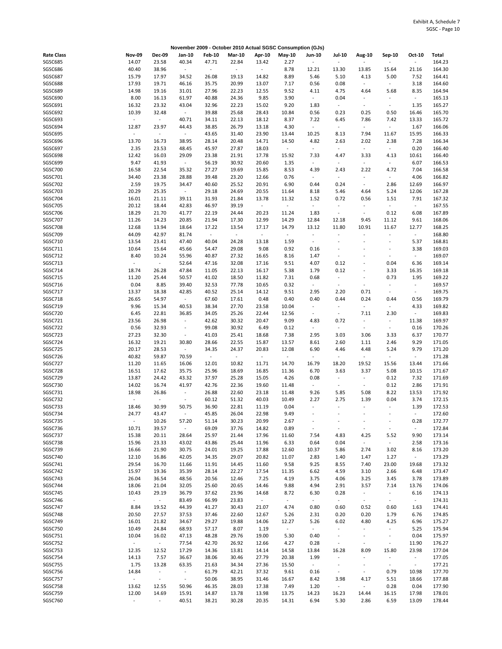|                   |                     |                          |                          |               |                |                  | November 2009 - October 2010 Actual SGSC Consumption (GJs) |                          |                             |                          |                          |                          |        |
|-------------------|---------------------|--------------------------|--------------------------|---------------|----------------|------------------|------------------------------------------------------------|--------------------------|-----------------------------|--------------------------|--------------------------|--------------------------|--------|
| <b>Rate Class</b> | <b>Nov-09</b>       | <b>Dec-09</b>            | Jan-10                   | <b>Feb-10</b> | <b>Mar-10</b>  | Apr-10           | May-10                                                     | Jun-10                   | <b>Jul-10</b>               | Aug-10                   | Sep-10                   | Oct-10                   | Total  |
| SGSC685           | 14.07               | 23.58                    | 40.34                    | 47.71         | 22.84          | 13.42            | 2.27                                                       | $\overline{\phantom{a}}$ | $\Box$                      | $\overline{\phantom{a}}$ |                          | $\blacksquare$           | 164.23 |
| SGSC686           | 40.40               | 38.96                    | $\overline{\phantom{a}}$ | $\Box$        | $\blacksquare$ | $\blacksquare$   | 8.78                                                       | 12.21                    | 13.30                       | 13.85                    | 15.64                    | 21.16                    | 164.30 |
|                   |                     |                          |                          |               |                |                  |                                                            |                          |                             |                          |                          |                          |        |
| <b>SGSC687</b>    | 15.79               | 17.97                    | 34.52                    | 26.08         | 19.13          | 14.82            | 8.89                                                       | 5.46                     | 5.10                        | 4.13                     | 5.00                     | 7.52                     | 164.41 |
| SGSC688           | 17.93               | 19.71                    | 46.16                    | 35.75         | 20.99          | 13.07            | 7.17                                                       | 0.56                     | 0.08                        | $\omega$                 | $\overline{\phantom{a}}$ | 3.18                     | 164.60 |
| SGSC689           | 14.98               | 19.16                    | 31.01                    | 27.96         | 22.23          | 12.55            | 9.52                                                       | 4.11                     | 4.75                        | 4.64                     | 5.68                     | 8.35                     | 164.94 |
| SGSC690           | 8.00                | 16.13                    | 61.97                    | 40.88         | 24.36          | 9.85             | 3.90                                                       | $\overline{\phantom{a}}$ | 0.04                        | $\overline{\phantom{a}}$ |                          | $\sim$                   | 165.13 |
| SGSC691           | 16.32               | 23.32                    | 43.04                    | 32.96         | 22.23          | 15.02            | 9.20                                                       | 1.83                     | $\sim$                      | $\overline{\phantom{a}}$ | $\blacksquare$           | 1.35                     | 165.27 |
|                   |                     |                          |                          |               |                |                  |                                                            |                          |                             |                          |                          |                          |        |
| SGSC692           | 10.39               | 32.48                    | $\sim$                   | 39.88         | 25.68          | 28.43            | 10.84                                                      | 0.56                     | 0.23                        | 0.25                     | 0.50                     | 16.46                    | 165.70 |
| SGSC693           | $\sim$              | $\omega$                 | 40.71                    | 34.11         | 22.13          | 18.12            | 8.37                                                       | 7.22                     | 6.45                        | 7.86                     | 7.42                     | 13.33                    | 165.72 |
| SGSC694           | 12.87               | 23.97                    | 44.43                    | 38.85         | 26.79          | 13.18            | 4.30                                                       | $\overline{\phantom{a}}$ | $\omega$                    | $\omega$                 | $\blacksquare$           | 1.67                     | 166.06 |
| SGSC695           | $\omega$            | $\omega$                 | $\sim$                   | 43.65         | 31.40          | 23.90            | 13.44                                                      | 10.25                    | 8.13                        | 7.94                     | 11.67                    | 15.95                    | 166.33 |
| SGSC696           | 13.70               | 16.73                    | 38.95                    | 28.14         | 20.48          | 14.71            | 14.50                                                      | 4.82                     | 2.63                        | 2.02                     | 2.38                     | 7.28                     | 166.34 |
|                   |                     |                          |                          |               |                |                  |                                                            |                          |                             |                          |                          |                          |        |
| SGSC697           | 2.35                | 23.53                    | 48.45                    | 45.97         | 27.87          | 18.03            | $\omega$                                                   | $\overline{\phantom{a}}$ | $\blacksquare$              | $\sim$                   | $\sim$                   | 0.20                     | 166.40 |
| SGSC698           | 12.42               | 16.03                    | 29.09                    | 23.38         | 21.91          | 17.78            | 15.92                                                      | 7.33                     | 4.47                        | 3.33                     | 4.13                     | 10.61                    | 166.40 |
| SGSC699           | 9.47                | 41.93                    | $\omega_{\rm c}$         | 56.19         | 30.92          | 20.60            | 1.35                                                       | $\sim$                   | $\mathcal{L}_{\mathcal{A}}$ | $\omega$                 | $\overline{\phantom{a}}$ | 6.07                     | 166.53 |
| SGSC700           | 16.58               | 22.54                    | 35.32                    | 27.27         | 19.69          | 15.85            | 8.53                                                       | 4.39                     | 2.43                        | 2.22                     | 4.72                     | 7.04                     | 166.58 |
| SGSC701           | 34.40               | 23.38                    | 28.88                    | 39.48         | 23.20          | 12.66            | 0.76                                                       | $\sim$                   | $\omega$                    | $\bar{\phantom{a}}$      | $\sim$                   | 4.06                     | 166.82 |
|                   |                     |                          |                          |               |                |                  |                                                            |                          |                             |                          |                          |                          |        |
| SGSC702           | 2.59                | 19.75                    | 34.47                    | 40.60         | 25.52          | 20.91            | 6.90                                                       | 0.44                     | 0.24                        | $\omega$                 | 2.86                     | 12.69                    | 166.97 |
| SGSC703           | 20.29               | 25.35                    | $\sim$                   | 29.18         | 24.69          | 20.55            | 11.64                                                      | 8.18                     | 5.46                        | 4.64                     | 5.24                     | 12.06                    | 167.28 |
| SGSC704           | 16.01               | 21.11                    | 39.11                    | 31.93         | 21.84          | 13.78            | 11.32                                                      | 1.52                     | 0.72                        | 0.56                     | 1.51                     | 7.91                     | 167.32 |
| <b>SGSC705</b>    | 20.12               | 18.44                    | 42.83                    | 46.97         | 39.19          | $\omega$         | $\bar{\phantom{a}}$                                        | $\overline{\phantom{a}}$ | $\overline{\phantom{a}}$    | $\blacksquare$           | ÷,                       | $\omega$                 | 167.55 |
| SGSC706           | 18.29               | 21.70                    | 41.77                    | 22.19         | 24.44          | 20.23            | 11.24                                                      | 1.83                     | $\overline{\phantom{a}}$    | $\omega$                 | 0.12                     | 6.08                     | 167.89 |
|                   |                     |                          |                          |               |                |                  |                                                            |                          |                             |                          |                          |                          |        |
| SGSC707           | 11.26               | 14.23                    | 20.85                    | 21.94         | 17.30          | 12.99            | 14.29                                                      | 12.84                    | 12.18                       | 9.45                     | 11.12                    | 9.61                     | 168.06 |
| SGSC708           | 12.68               | 13.94                    | 18.64                    | 17.22         | 13.54          | 17.17            | 14.79                                                      | 13.12                    | 11.80                       | 10.91                    | 11.67                    | 12.77                    | 168.25 |
| SGSC709           | 44.09               | 42.97                    | 81.74                    | $\sim$        | $\sim$         | $\omega_{\rm c}$ | $\omega$                                                   | $\overline{\phantom{a}}$ | $\overline{\phantom{a}}$    | $\blacksquare$           | $\overline{\phantom{a}}$ | $\sim$                   | 168.80 |
| SGSC710           | 13.54               | 23.41                    | 47.40                    | 40.04         | 24.28          | 13.18            | 1.59                                                       | $\overline{\phantom{a}}$ | ÷,                          | $\overline{\phantom{a}}$ | ÷,                       | 5.37                     | 168.81 |
| SGSC711           | 10.64               | 15.64                    | 45.66                    | 54.47         | 29.08          | 9.08             | 0.92                                                       | 0.16                     | $\overline{a}$              | $\overline{\phantom{a}}$ |                          | 3.38                     | 169.03 |
|                   |                     |                          |                          |               |                |                  |                                                            |                          |                             |                          |                          |                          |        |
| SGSC712           | 8.40                | 10.24                    | 55.96                    | 40.87         | 27.32          | 16.65            | 8.16                                                       | 1.47                     | $\sim$                      |                          |                          | $\omega$                 | 169.07 |
| SGSC713           | $\omega$            | $\sim$                   | 52.64                    | 47.16         | 32.08          | 17.16            | 9.51                                                       | 4.07                     | 0.12                        | ÷,                       | 0.04                     | 6.36                     | 169.14 |
| SGSC714           | 18.74               | 26.28                    | 47.84                    | 11.05         | 22.13          | 16.17            | 5.38                                                       | 1.79                     | 0.12                        | ÷,                       | 3.33                     | 16.35                    | 169.18 |
| <b>SGSC715</b>    | 11.20               | 25.44                    | 50.57                    | 41.02         | 18.50          | 11.82            | 7.31                                                       | 0.68                     | $\overline{\phantom{a}}$    | $\sim$                   | 0.73                     | 1.95                     | 169.22 |
| SGSC716           | 0.04                | 8.85                     | 39.40                    | 32.53         | 77.78          | 10.65            | 0.32                                                       | $\overline{\phantom{a}}$ | $\overline{\phantom{a}}$    | $\overline{\phantom{a}}$ |                          | $\blacksquare$           | 169.57 |
|                   |                     |                          |                          |               |                |                  |                                                            |                          |                             |                          |                          |                          |        |
| SGSC717           | 13.37               | 18.38                    | 42.85                    | 40.52         | 25.14          | 14.12            | 9.51                                                       | 2.95                     | 2.20                        | 0.71                     | $\overline{\phantom{a}}$ | $\overline{\phantom{a}}$ | 169.75 |
| SGSC718           | 26.65               | 54.97                    | $\sim$                   | 67.60         | 17.61          | 0.48             | 0.40                                                       | 0.40                     | 0.44                        | 0.24                     | 0.44                     | 0.56                     | 169.79 |
| SGSC719           | 9.96                | 15.34                    | 40.53                    | 38.34         | 27.70          | 23.58            | 10.04                                                      | $\sim$                   | $\sim$                      | $\omega$                 | $\sim$                   | 4.33                     | 169.82 |
| SGSC720           | 6.45                | 22.81                    | 36.85                    | 34.05         | 25.26          | 22.44            | 12.56                                                      | $\overline{\phantom{a}}$ | $\overline{\phantom{a}}$    | 7.11                     | 2.30                     | $\sim$                   | 169.83 |
| SGSC721           | 23.56               | 26.98                    | $\overline{\phantom{a}}$ | 42.62         | 30.32          | 20.47            | 9.09                                                       | 4.83                     | 0.72                        | $\omega$                 | $\sim$                   | 11.38                    | 169.97 |
|                   |                     |                          |                          |               |                |                  |                                                            |                          | $\omega$                    |                          |                          |                          |        |
| SGSC722           | 0.56                | 32.93                    | $\sim$                   | 99.08         | 30.92          | 6.49             | 0.12                                                       | $\blacksquare$           |                             | $\sim$                   | $\sim$                   | 0.16                     | 170.26 |
| SGSC723           | 27.23               | 32.30                    | $\overline{\phantom{a}}$ | 41.03         | 25.41          | 18.68            | 7.38                                                       | 2.95                     | 3.03                        | 3.06                     | 3.33                     | 6.37                     | 170.77 |
| SGSC724           | 16.32               | 19.21                    | 30.80                    | 28.66         | 22.55          | 15.87            | 13.57                                                      | 8.61                     | 2.60                        | 1.11                     | 2.46                     | 9.29                     | 171.05 |
| SGSC725           | 20.17               | 28.53                    | $\sim$                   | 34.35         | 24.37          | 20.83            | 12.08                                                      | 6.90                     | 4.46                        | 4.48                     | 5.24                     | 9.79                     | 171.20 |
| SGSC726           | 40.82               | 59.87                    | 70.59                    | $\sim$        | $\sim$         | $\omega_{\rm c}$ | $\omega$                                                   | $\omega$                 | $\overline{\phantom{a}}$    | $\omega$                 |                          | $\sim$                   | 171.28 |
| SGSC727           |                     |                          | 16.06                    | 12.01         | 10.82          |                  | 14.70                                                      | 16.79                    |                             | 19.52                    | 15.56                    | 13.44                    |        |
|                   | 11.20               | 11.65                    |                          |               |                | 11.71            |                                                            |                          | 18.20                       |                          |                          |                          | 171.66 |
| SGSC728           | 16.51               | 17.62                    | 35.75                    | 25.96         | 18.69          | 16.85            | 11.36                                                      | 6.70                     | 3.63                        | 3.37                     | 5.08                     | 10.15                    | 171.67 |
| SGSC729           | 13.87               | 24.42                    | 43.32                    | 37.97         | 25.28          | 15.05            | 4.26                                                       | 0.08                     | $\omega$                    | $\blacksquare$           | 0.12                     | 7.32                     | 171.69 |
| SGSC730           | 14.02               | 16.74                    | 41.97                    | 42.76         | 22.36          | 19.60            | 11.48                                                      | $\overline{\phantom{a}}$ | $\overline{\phantom{a}}$    | $\blacksquare$           | 0.12                     | 2.86                     | 171.91 |
| SGSC731           | 18.98               | 26.86                    | $\overline{\phantom{a}}$ | 26.88         | 22.60          | 23.18            | 11.48                                                      | 9.26                     | 5.85                        | 5.08                     | 8.22                     | 13.53                    | 171.92 |
| SGSC732           | $\blacksquare$      | $\overline{\phantom{a}}$ | $\overline{\phantom{a}}$ | 60.12         | 51.32          | 40.03            | 10.49                                                      | 2.27                     | 2.75                        | 1.39                     | 0.04                     | 3.74                     | 172.15 |
|                   |                     |                          |                          |               |                |                  |                                                            |                          |                             |                          |                          |                          |        |
| SGSC733           | 18.46               | 30.99                    | 50.75                    | 36.90         | 22.81          | 11.19            | 0.04                                                       | $\omega$                 | $\omega$                    | $\omega$                 | $\overline{\phantom{a}}$ | 1.39                     | 172.53 |
| SGSC734           | 24.77               | 43.47                    |                          | 45.85         | 26.04          | 22.98            | 9.49                                                       |                          |                             |                          |                          |                          | 172.60 |
| SGSC735           | $\omega$            | 10.26                    | 57.20                    | 51.14         | 30.23          | 20.99            | 2.67                                                       |                          | $\frac{1}{2}$               | $\overline{\phantom{a}}$ |                          | 0.28                     | 172.77 |
| SGSC736           | 10.71               | 39.57                    | $\sim$                   | 69.09         | 37.76          | 14.82            | 0.89                                                       | $\overline{\phantom{a}}$ | $\overline{a}$              | $\blacksquare$           |                          | $\sim$                   | 172.84 |
| SGSC737           | 15.38               | 20.11                    | 28.64                    | 25.97         | 21.44          | 17.96            | 11.60                                                      | 7.54                     | 4.83                        | 4.25                     | 5.52                     | 9.90                     | 173.14 |
|                   |                     |                          |                          |               |                |                  |                                                            |                          |                             |                          |                          |                          |        |
| SGSC738           | 15.96               | 23.33                    | 43.02                    | 43.86         | 25.44          | 11.96            | 6.33                                                       | 0.64                     | 0.04                        | $\omega$                 | $\omega$                 | 2.58                     | 173.16 |
| SGSC739           | 16.66               | 21.90                    | 30.75                    | 24.01         | 19.25          | 17.88            | 12.60                                                      | 10.37                    | 5.86                        | 2.74                     | 3.02                     | 8.16                     | 173.20 |
| SGSC740           | 12.10               | 16.86                    | 42.05                    | 34.35         | 29.07          | 20.82            | 11.07                                                      | 2.83                     | 1.40                        | 1.47                     | 1.27                     | $\sim$                   | 173.29 |
| SGSC741           | 29.54               | 16.70                    | 11.66                    | 11.91         | 14.45          | 11.60            | 9.58                                                       | 9.25                     | 8.55                        | 7.40                     | 23.00                    | 19.68                    | 173.32 |
| SGSC742           | 15.97               | 19.36                    | 35.39                    | 28.14         | 22.27          | 17.54            | 11.35                                                      | 6.62                     | 4.59                        | 3.10                     | 2.66                     | 6.48                     | 173.47 |
|                   |                     |                          |                          |               |                |                  |                                                            |                          |                             |                          |                          |                          |        |
| SGSC743           | 26.04               | 36.54                    | 48.56                    | 20.56         | 12.46          | 7.25             | 4.19                                                       | 3.75                     | 4.06                        | 3.25                     | 3.45                     | 3.78                     | 173.89 |
| SGSC744           | 18.06               | 21.04                    | 32.05                    | 25.60         | 20.65          | 14.46            | 9.88                                                       | 4.94                     | 2.91                        | 3.57                     | 7.14                     | 13.76                    | 174.06 |
| SGSC745           | 10.43               | 29.19                    | 36.79                    | 37.62         | 23.96          | 14.68            | 8.72                                                       | 6.30                     | 0.28                        | $\omega_{\rm c}$         | $\sim$                   | 6.16                     | 174.13 |
| SGSC746           | $\omega_{\rm c}$    | $\sim$                   | 83.49                    | 66.99         | 23.83          | $\sim$           | $\sim$                                                     | $\sim$                   | $\sim$                      | $\omega_{\rm c}$         | $\sim$                   | $\sim$                   | 174.31 |
| SGSC747           | 8.84                | 19.52                    | 44.39                    | 41.27         | 30.43          | 21.07            | 4.74                                                       | 0.80                     | 0.60                        | 0.52                     | 0.60                     | 1.63                     | 174.41 |
|                   |                     |                          |                          |               |                |                  |                                                            |                          |                             |                          |                          |                          |        |
| SGSC748           | 20.50               | 27.57                    | 37.53                    | 37.46         | 22.60          | 12.67            | 5.26                                                       | 2.31                     | 0.20                        | 0.20                     | 1.79                     | 6.76                     | 174.85 |
| SGSC749           | 16.01               | 21.82                    | 34.67                    | 29.27         | 19.88          | 14.06            | 12.27                                                      | 5.26                     | 6.02                        | 4.80                     | 4.25                     | 6.96                     | 175.27 |
| SGSC750           | 10.49               | 24.84                    | 68.93                    | 57.17         | 8.07           | 1.19             | $\sim$                                                     | $\overline{\phantom{a}}$ | $\blacksquare$              | $\blacksquare$           | ÷                        | 5.25                     | 175.94 |
| SGSC751           | 10.04               | 16.02                    | 47.13                    | 48.28         | 29.76          | 19.00            | 5.30                                                       | 0.40                     | $\overline{\phantom{a}}$    | $\bar{\phantom{a}}$      | $\blacksquare$           | 0.04                     | 175.97 |
| SGSC752           | $\omega_{\rm{eff}}$ | $\sim$                   | 77.54                    | 42.70         | 26.92          | 12.66            | 4.27                                                       | 0.28                     | $\blacksquare$              | $\overline{\phantom{a}}$ | $\overline{\phantom{a}}$ | 11.90                    | 176.27 |
|                   |                     |                          |                          |               |                |                  |                                                            |                          |                             |                          |                          |                          |        |
| SGSC753           | 12.35               | 12.52                    | 17.29                    | 14.36         | 13.81          | 14.14            | 14.58                                                      | 13.84                    | 16.28                       | 8.09                     | 15.80                    | 23.98                    | 177.04 |
| SGSC754           | 14.13               | 7.57                     | 36.67                    | 38.06         | 30.46          | 27.79            | 20.38                                                      | 1.99                     | $\overline{\phantom{a}}$    | $\blacksquare$           | $\sim$                   | $\blacksquare$           | 177.05 |
| <b>SGSC755</b>    | 1.75                | 13.28                    | 63.35                    | 21.63         | 34.34          | 27.36            | 15.50                                                      | $\sim$                   | $\overline{\phantom{a}}$    | $\overline{\phantom{a}}$ | $\blacksquare$           | $\sim$                   | 177.21 |
| SGSC756           | 14.84               | $\overline{\phantom{a}}$ | $\sim$                   | 61.79         | 42.21          | 37.32            | 9.61                                                       | 0.16                     | $\blacksquare$              | $\blacksquare$           | 0.79                     | 10.98                    | 177.70 |
| SGSC757           | $\sim$              | $\mathbb{Z}$             | $\sim$                   | 50.06         | 38.95          | 31.46            | 16.67                                                      | 8.42                     | 3.98                        | 4.17                     | 5.51                     | 18.66                    | 177.88 |
|                   |                     |                          |                          |               |                |                  |                                                            |                          |                             |                          |                          |                          |        |
| SGSC758           | 13.62               | 12.55                    | 50.96                    | 46.35         | 28.03          | 17.38            | 7.49                                                       | 1.20                     | $\sim$                      | $\omega$                 | 0.28                     | 0.04                     | 177.90 |
| SGSC759           | 12.00               | 14.69                    | 15.91                    | 14.87         | 13.78          | 13.98            | 13.75                                                      | 14.23                    | 16.23                       | 14.44                    | 16.15                    | 17.98                    | 178.01 |
| SGSC760           | $\omega$            | $\sim$                   | 40.51                    | 38.21         | 30.28          | 20.35            | 14.31                                                      | 6.94                     | 5.30                        | 2.86                     | 6.59                     | 13.09                    | 178.44 |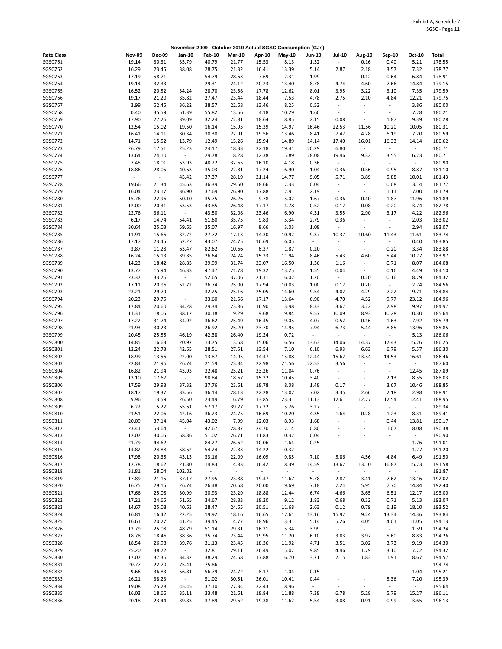|                   |               |               |                  | November 2009 - October 2010 Actual SGSC Consumption (GJs) |               |        |        |                          |                          |                      |                          |                  |        |
|-------------------|---------------|---------------|------------------|------------------------------------------------------------|---------------|--------|--------|--------------------------|--------------------------|----------------------|--------------------------|------------------|--------|
| <b>Rate Class</b> | <b>Nov-09</b> | <b>Dec-09</b> | Jan-10           | <b>Feb-10</b>                                              | <b>Mar-10</b> | Apr-10 | May-10 | Jun-10                   | <b>Jul-10</b>            | <b>Aug-10</b>        | Sep-10                   | Oct-10           | Total  |
| SGSC761           | 19.14         | 30.31         | 35.79            | 40.79                                                      | 21.77         | 15.53  | 8.13   | 1.32                     | $\omega$                 | 0.16                 | 0.40                     | 5.21             | 178.55 |
| SGSC762           | 16.29         | 23.45         | 38.08            | 28.75                                                      | 21.32         | 16.41  | 13.39  | 5.14                     | 2.87                     | 2.18                 | 3.57                     | 7.32             | 178.77 |
|                   |               |               |                  |                                                            |               |        |        |                          |                          |                      |                          |                  |        |
| SGSC763           | 17.19         | 58.71         | $\blacksquare$   | 54.79                                                      | 28.63         | 7.69   | 2.31   | 1.99                     | $\sim$                   | 0.12                 | 0.64                     | 6.84             | 178.91 |
| SGSC764           | 19.14         | 32.33         | $\sim$           | 29.31                                                      | 24.12         | 20.23  | 13.40  | 8.78                     | 4.74                     | 4.60                 | 7.66                     | 14.84            | 179.15 |
| SGSC765           | 16.52         | 20.52         | 34.24            | 28.70                                                      | 23.58         | 17.78  | 12.62  | 8.01                     | 3.95                     | 3.22                 | 3.10                     | 7.35             | 179.59 |
| SGSC766           | 19.17         | 21.20         | 35.82            | 27.47                                                      | 23.44         | 18.44  | 7.53   | 4.78                     | 2.75                     | 2.10                 | 4.84                     | 12.21            | 179.75 |
| SGSC767           | 3.99          | 52.45         | 36.22            | 38.57                                                      | 22.68         | 13.46  | 8.25   | 0.52                     | $\overline{\phantom{a}}$ | $\sim$               | $\sim$                   | 3.86             | 180.00 |
|                   |               |               |                  |                                                            |               |        |        |                          |                          |                      |                          |                  |        |
| SGSC768           | 0.40          | 35.59         | 51.39            | 55.82                                                      | 13.66         | 4.18   | 10.29  | 1.60                     | $\omega$                 | $\blacksquare$       | $\overline{\phantom{a}}$ | 7.28             | 180.21 |
| SGSC769           | 17.90         | 27.26         | 39.09            | 32.24                                                      | 22.81         | 18.64  | 8.85   | 2.15                     | 0.08                     | $\omega$             | 1.87                     | 9.39             | 180.28 |
| SGSC770           | 12.54         | 15.02         | 19.50            | 16.14                                                      | 15.95         | 15.39  | 14.97  | 16.46                    | 22.53                    | 11.56                | 10.20                    | 10.05            | 180.31 |
| SGSC771           | 16.41         | 14.11         | 30.34            | 30.30                                                      | 22.91         | 19.56  | 13.46  | 8.41                     | 7.42                     | 4.28                 | 6.19                     | 7.20             | 180.59 |
| SGSC772           | 14.71         | 15.52         | 13.79            | 12.49                                                      | 15.26         | 15.94  | 14.89  | 14.14                    | 17.40                    | 16.01                | 16.33                    | 14.14            | 180.62 |
|                   |               |               |                  |                                                            |               |        |        |                          |                          |                      |                          |                  |        |
| SGSC773           | 26.79         | 17.51         | 25.23            | 24.17                                                      | 18.33         | 22.18  | 19.41  | 20.29                    | 6.80                     | $\omega$             | $\blacksquare$           | $\omega$         | 180.71 |
| SGSC774           | 13.64         | 24.10         | $\sim$           | 29.78                                                      | 18.28         | 12.38  | 15.89  | 28.08                    | 19.46                    | 9.32                 | 3.55                     | 6.23             | 180.71 |
| SGSC775           | 7.45          | 18.01         | 53.93            | 48.22                                                      | 32.65         | 16.10  | 4.18   | 0.36                     | $\omega$                 | $\omega$             | ÷.                       | $\omega$         | 180.90 |
| SGSC776           | 18.86         | 28.05         | 40.63            | 35.03                                                      | 22.81         | 17.24  | 6.90   | 1.04                     | 0.36                     | 0.36                 | 0.95                     | 8.87             | 181.10 |
| SGSC777           | $\omega$      | $\sim$        | 45.42            | 37.37                                                      | 28.19         | 21.14  | 14.77  | 9.05                     | 5.71                     | 3.89                 | 5.88                     | 10.01            | 181.43 |
|                   |               |               |                  |                                                            |               |        |        |                          |                          |                      |                          |                  |        |
| SGSC778           | 19.66         | 21.34         | 45.63            | 36.39                                                      | 29.50         | 18.66  | 7.33   | 0.04                     | $\overline{\phantom{a}}$ | $\sim$               | 0.08                     | 3.14             | 181.77 |
| SGSC779           | 16.04         | 23.17         | 36.90            | 37.69                                                      | 26.90         | 17.88  | 12.91  | 2.19                     | $\sim$                   | $\omega$             | 1.11                     | 7.00             | 181.79 |
| SGSC780           | 15.76         | 22.96         | 50.10            | 35.75                                                      | 26.26         | 9.78   | 5.02   | 1.67                     | 0.36                     | 0.40                 | 1.87                     | 11.96            | 181.89 |
| SGSC781           | 12.00         | 20.31         | 53.53            | 43.85                                                      | 26.48         | 17.17  | 4.78   | 0.52                     | 0.12                     | 0.08                 | 0.20                     | 3.74             | 182.78 |
| SGSC782           | 22.76         | 36.11         | $\sim$           | 43.50                                                      | 32.08         | 23.46  | 6.90   | 4.31                     | 3.55                     | 2.90                 | 3.17                     | 4.22             | 182.96 |
|                   |               |               |                  |                                                            |               |        |        |                          |                          |                      |                          |                  |        |
| SGSC783           | 6.17          | 14.74         | 54.41            | 51.60                                                      | 35.75         | 9.83   | 5.34   | 2.79                     | 0.36                     | $\sim$               | ۰                        | 2.03             | 183.02 |
| SGSC784           | 30.64         | 25.03         | 59.65            | 35.07                                                      | 16.97         | 8.66   | 3.03   | 1.08                     | $\overline{\phantom{a}}$ | $\blacksquare$       | ÷                        | 2.94             | 183.07 |
| <b>SGSC785</b>    | 11.91         | 15.66         | 32.72            | 27.72                                                      | 17.13         | 14.30  | 10.92  | 9.37                     | 10.37                    | 10.60                | 11.43                    | 11.61            | 183.74 |
| SGSC786           | 17.17         | 23.45         | 52.27            | 43.07                                                      | 24.75         | 16.69  | 6.05   | $\blacksquare$           | $\overline{\phantom{a}}$ | $\bar{\phantom{a}}$  | $\sim$                   | 0.40             | 183.85 |
| SGSC787           | 3.87          | 11.28         | 63.47            | 82.62                                                      | 10.66         | 6.37   | 1.87   | 0.20                     | $\blacksquare$           | $\Box$               | 0.20                     | 3.34             | 183.88 |
|                   |               |               |                  |                                                            |               |        |        |                          |                          |                      |                          |                  |        |
| SGSC788           | 16.24         | 15.13         | 39.85            | 26.64                                                      | 24.24         | 15.23  | 11.94  | 8.46                     | 5.43                     | 4.60                 | 5.44                     | 10.77            | 183.97 |
| SGSC789           | 14.23         | 18.42         | 28.83            | 39.99                                                      | 31.74         | 23.07  | 16.50  | 1.36                     | 1.16                     | $\omega$             | 0.71                     | 8.07             | 184.08 |
| SGSC790           | 13.77         | 15.94         | 46.33            | 47.47                                                      | 21.78         | 19.32  | 13.25  | 1.55                     | 0.04                     | $\omega$             | 0.16                     | 4.49             | 184.10 |
| SGSC791           | 23.37         | 33.76         | $\sim$           | 52.65                                                      | 37.06         | 21.11  | 6.02   | 1.20                     | $\pm$ .                  | 0.20                 | 0.16                     | 8.79             | 184.32 |
| SGSC792           | 17.11         | 20.96         | 52.72            | 36.74                                                      | 25.00         | 17.94  | 10.03  | 1.00                     | 0.12                     | 0.20                 | $\sim$                   | 2.74             | 184.56 |
| SGSC793           | 23.21         | 29.79         | $\sim$           | 32.25                                                      | 25.16         | 25.05  | 14.60  | 9.54                     | 4.02                     | 4.29                 |                          | 9.71             | 184.84 |
|                   |               |               |                  |                                                            |               |        |        |                          |                          |                      | 7.22                     |                  |        |
| SGSC794           | 20.23         | 29.75         | $\mathbb{R}^d$   | 33.60                                                      | 21.56         | 17.17  | 13.64  | 6.90                     | 4.70                     | 4.52                 | 9.77                     | 23.12            | 184.96 |
| SGSC795           | 17.84         | 20.60         | 34.28            | 29.34                                                      | 23.86         | 16.90  | 13.98  | 8.33                     | 3.67                     | 3.22                 | 2.98                     | 9.97             | 184.97 |
| SGSC796           | 11.31         | 18.05         | 38.12            | 30.18                                                      | 19.29         | 9.68   | 9.84   | 9.57                     | 10.09                    | 8.93                 | 10.28                    | 10.30            | 185.64 |
| SGSC797           | 17.22         | 31.74         | 34.92            | 36.62                                                      | 25.49         | 16.45  | 9.05   | 4.07                     | 0.52                     | 0.16                 | 1.63                     | 7.92             | 185.79 |
| SGSC798           | 21.93         | 30.23         | $\sim$           | 26.92                                                      | 25.20         | 23.70  | 14.95  | 7.94                     | 6.73                     | 5.44                 | 8.85                     | 13.96            | 185.85 |
|                   |               |               |                  |                                                            |               |        |        |                          |                          |                      |                          |                  |        |
| SGSC799           | 20.45         | 25.55         | 46.19            | 42.38                                                      | 26.40         | 19.24  | 0.72   | $\overline{\phantom{a}}$ | $\overline{\phantom{a}}$ | $\blacksquare$       | $\blacksquare$           | 5.13             | 186.06 |
| <b>SGSC800</b>    | 14.85         | 16.63         | 20.97            | 13.75                                                      | 13.68         | 15.06  | 16.56  | 13.63                    | 14.06                    | 14.37                | 17.43                    | 15.26            | 186.25 |
| SGSC801           | 12.24         | 22.73         | 42.65            | 28.51                                                      | 27.51         | 13.54  | 7.10   | 6.10                     | 6.93                     | 6.63                 | 6.79                     | 5.57             | 186.30 |
| <b>SGSC802</b>    | 18.99         | 13.56         | 22.00            | 13.87                                                      | 14.95         | 14.47  | 15.88  | 12.44                    | 15.62                    | 13.54                | 14.53                    | 16.61            | 186.46 |
| SGSC803           | 22.84         | 21.96         | 26.74            | 21.59                                                      | 23.84         | 22.98  | 21.56  | 22.53                    | 3.56                     | $\bar{\phantom{a}}$  | $\sim$                   | $\omega_{\rm c}$ | 187.60 |
|                   |               |               |                  |                                                            |               |        |        |                          |                          |                      |                          |                  |        |
| <b>SGSC804</b>    | 16.82         | 21.94         | 43.93            | 32.48                                                      | 25.21         | 23.26  | 11.04  | 0.76                     | $\overline{\phantom{a}}$ | $\sim$               | $\blacksquare$           | 12.45            | 187.89 |
| <b>SGSC805</b>    | 13.10         | 17.67         | $\sim$           | 98.84                                                      | 18.67         | 15.22  | 10.45  | 3.40                     | $\sim$                   | $\blacksquare$       | 2.13                     | 8.55             | 188.03 |
| <b>SGSC806</b>    | 17.59         | 29.93         | 37.32            | 37.76                                                      | 23.61         | 18.78  | 8.08   | 1.48                     | 0.17                     | $\sim$               | 3.67                     | 10.46            | 188.85 |
| <b>SGSC807</b>    | 18.17         | 19.37         | 33.56            | 36.14                                                      | 28.13         | 22.28  | 13.07  | 7.02                     | 3.35                     | 2.66                 | 2.18                     | 2.98             | 188.91 |
| <b>SGSC808</b>    | 9.96          | 13.59         | 26.50            | 23.49                                                      | 16.79         | 13.85  | 23.31  | 11.13                    | 12.61                    | 12.77                | 12.54                    | 12.41            | 188.95 |
|                   |               |               |                  |                                                            |               |        |        |                          |                          |                      |                          |                  |        |
| <b>SGSC809</b>    | 6.22          | 5.22          | 55.61            | 57.17                                                      | 39.27         | 17.32  | 5.26   | 3.27                     | $\overline{\phantom{a}}$ | $\omega$             | $\blacksquare$           | $\blacksquare$   | 189.34 |
| SGSC810           | 21.51         | 22.06         | 42.16            | 36.23                                                      | 24.75         | 16.69  | 10.20  | 4.35                     | 1.64                     | 0.28                 | 1.23                     | 8.31             | 189.41 |
| SGSC811           | 20.09         | 37.14         | 45.04            | 43.02                                                      | 7.99          | 12.03  | 8.93   | 1.68                     | $\overline{a}$           | ÷,                   | 0.44                     | 13.81            | 190.17 |
| SGSC812           | 23.41         | 53.64         | $\omega_{\rm c}$ | 42.67                                                      | 28.87         | 24.70  | 7.14   | 0.80                     |                          | ÷,                   | 1.07                     | 8.08             | 190.38 |
| SGSC813           | 12.07         | 30.05         | 58.86            | 51.02                                                      | 26.71         | 11.83  | 0.32   | 0.04                     |                          | $\overline{a}$       | $\omega$                 | $\sim$           | 190.90 |
| SGSC814           | 21.79         | 44.62         | $\sim$           | 84.27                                                      | 26.62         | 10.06  | 1.64   | 0.25                     | $\overline{a}$           | $\ddot{\phantom{a}}$ | $\sim$                   | 1.76             | 191.01 |
|                   |               |               |                  |                                                            |               |        |        |                          |                          |                      |                          |                  |        |
| SGSC815           | 14.82         | 24.88         | 58.62            | 54.24                                                      | 22.83         | 14.22  | 0.32   | $\sim$                   | $\blacksquare$           | $\blacksquare$       | $\sim$                   | 1.27             | 191.20 |
| SGSC816           | 17.98         | 20.35         | 43.13            | 33.16                                                      | 22.09         | 16.09  | 9.85   | 7.10                     | 5.86                     | 4.56                 | 4.84                     | 6.49             | 191.50 |
| SGSC817           | 12.78         | 18.62         | 21.80            | 14.83                                                      | 14.83         | 16.42  | 18.39  | 14.59                    | 13.62                    | 13.10                | 16.87                    | 15.73            | 191.58 |
| SGSC818           | 31.81         | 58.04         | 102.02           | $\sim$                                                     | $\sim$        | $\sim$ | $\sim$ | $\omega$                 | $\sim$                   | $\omega_{\rm c}$     | $\omega_{\rm c}$         | $\omega_{\rm c}$ | 191.87 |
| SGSC819           | 17.89         | 21.15         | 37.17            | 27.95                                                      | 23.88         | 19.47  | 11.67  | 5.78                     | 2.87                     | 3.41                 | 7.62                     | 13.16            | 192.02 |
|                   |               |               |                  |                                                            |               |        |        |                          |                          |                      |                          |                  |        |
| SGSC820           | 16.75         | 29.15         | 26.74            | 26.48                                                      | 20.68         | 20.00  | 9.69   | 7.18                     | 7.24                     | 5.95                 | 7.70                     | 14.84            | 192.40 |
| SGSC821           | 17.66         | 25.08         | 30.99            | 30.93                                                      | 23.29         | 18.88  | 12.44  | 6.74                     | 4.66                     | 3.65                 | 6.51                     | 12.17            | 193.00 |
| SGSC822           | 17.21         | 24.65         | 51.65            | 34.67                                                      | 28.83         | 18.20  | 9.12   | 1.83                     | 0.68                     | 0.32                 | 0.71                     | 5.13             | 193.00 |
| <b>SGSC823</b>    | 14.67         | 25.08         | 40.63            | 28.47                                                      | 24.65         | 20.51  | 11.68  | 2.63                     | 0.12                     | 0.79                 | 6.19                     | 18.10            | 193.52 |
| SGSC824           | 16.81         | 16.42         | 22.25            | 19.92                                                      | 18.16         | 16.65  | 17.61  | 13.16                    | 15.92                    | 9.24                 | 13.34                    | 14.36            | 193.84 |
|                   |               |               |                  |                                                            |               |        |        |                          |                          | 4.05                 |                          |                  |        |
| SGSC825           | 16.61         | 20.27         | 41.25            | 39.45                                                      | 14.77         | 18.96  | 13.31  | 5.14                     | 5.26                     |                      | 4.01                     | 11.05            | 194.13 |
| SGSC826           | 12.79         | 25.08         | 48.79            | 51.14                                                      | 29.31         | 16.21  | 5.34   | 3.99                     | $\sim$                   | $\sim$               | $\sim$                   | 1.59             | 194.24 |
| SGSC827           | 18.78         | 18.46         | 38.36            | 35.74                                                      | 23.44         | 19.95  | 11.20  | 6.10                     | 3.83                     | 3.97                 | 5.60                     | 8.83             | 194.26 |
| SGSC828           | 18.54         | 26.98         | 39.76            | 31.13                                                      | 23.45         | 18.36  | 11.92  | 4.71                     | 3.51                     | 3.02                 | 3.73                     | 9.19             | 194.30 |
| <b>SGSC829</b>    | 25.20         | 38.72         | $\sim$           | 32.81                                                      | 29.11         | 26.49  | 15.07  | 9.85                     | 4.46                     | 1.79                 | 3.10                     | 7.72             | 194.32 |
|                   | 17.07         |               |                  |                                                            | 24.68         |        |        |                          |                          |                      |                          |                  |        |
| SGSC830           |               | 37.36         | 34.32            | 38.29                                                      |               | 17.88  | 6.70   | 3.71                     | 2.15                     | 1.83                 | 1.91                     | 8.67             | 194.57 |
| SGSC831           | 20.77         | 22.70         | 75.41            | 75.86                                                      | $\sim$        | $\sim$ | $\sim$ | $\overline{\phantom{a}}$ | $\blacksquare$           | $\sim$               | $\overline{\phantom{a}}$ | $\sim$           | 194.74 |
| SGSC832           | 9.66          | 36.83         | 56.81            | 56.79                                                      | 24.72         | 8.17   | 1.04   | 0.15                     | $\overline{\phantom{a}}$ | $\blacksquare$       | $\sim$                   | 1.04             | 195.21 |
| SGSC833           | 26.21         | 38.23         | $\sim$           | 51.02                                                      | 30.51         | 26.01  | 10.41  | 0.44                     | $\bar{\phantom{a}}$      | $\equiv$             | 5.36                     | 7.20             | 195.39 |
| SGSC834           | 19.08         | 25.28         | 45.45            | 37.10                                                      | 27.34         | 22.43  | 18.96  | $\sim$                   | $\overline{\phantom{a}}$ | $\blacksquare$       | ÷.                       | $\omega_{\rm c}$ | 195.64 |
|                   |               |               |                  |                                                            |               |        |        |                          |                          |                      |                          |                  |        |
| SGSC835           | 16.03         | 18.66         | 35.11            | 33.48                                                      | 21.61         | 18.84  | 11.88  | 7.38                     | 6.78                     | 5.28                 | 5.79                     | 15.27            | 196.11 |
| SGSC836           | 20.18         | 23.44         | 39.83            | 37.89                                                      | 29.62         | 19.38  | 11.62  | 5.54                     | 3.08                     | 0.91                 | 0.99                     | 3.65             | 196.13 |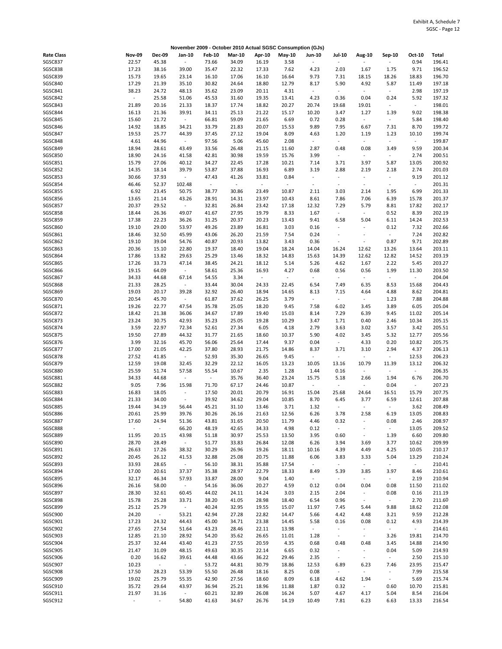|                   |                     |               |                     |                |               |         | November 2009 - October 2010 Actual SGSC Consumption (GJs) |                          |                             |                          |                          |                          |        |
|-------------------|---------------------|---------------|---------------------|----------------|---------------|---------|------------------------------------------------------------|--------------------------|-----------------------------|--------------------------|--------------------------|--------------------------|--------|
| <b>Rate Class</b> | <b>Nov-09</b>       | <b>Dec-09</b> | Jan-10              | <b>Feb-10</b>  | <b>Mar-10</b> | Apr-10  | $May-10$                                                   | <b>Jun-10</b>            | Jul-10                      | Aug-10                   | Sep-10                   | Oct-10                   | Total  |
| SGSC837           | 22.57               | 45.38         | $\sim$              | 73.66          | 34.09         | 16.19   | 3.58                                                       |                          | $\mathcal{L}_{\mathcal{A}}$ | ÷,                       |                          | 0.94                     | 196.41 |
| <b>SGSC838</b>    | 17.23               | 38.16         | 39.00               | 35.47          | 22.32         | 17.33   | 7.62                                                       | 4.23                     | 2.03                        | 1.67                     | 1.75                     | 9.71                     | 196.52 |
|                   |                     |               |                     |                |               |         |                                                            |                          |                             |                          |                          |                          |        |
| SGSC839           | 15.73               | 19.65         | 23.14               | 16.10          | 17.06         | 16.10   | 16.64                                                      | 9.73                     | 7.31                        | 18.15                    | 18.26                    | 18.83                    | 196.70 |
| SGSC840           | 17.29               | 21.39         | 35.10               | 30.82          | 24.64         | 18.80   | 12.79                                                      | 8.17                     | 5.90                        | 4.92                     | 5.87                     | 11.49                    | 197.18 |
| SGSC841           | 38.23               | 24.72         | 48.13               | 35.62          | 23.09         | 20.11   | 4.31                                                       | $\blacksquare$           | $\sim$                      | $\omega$                 | $\sim$                   | 2.98                     | 197.19 |
| SGSC842           | $\bar{\phantom{a}}$ | 25.58         | 51.06               | 45.53          | 31.60         | 19.35   | 13.41                                                      | 4.23                     | 0.36                        | 0.04                     | 0.24                     | 5.92                     | 197.32 |
| SGSC843           | 21.89               | 20.16         | 21.33               | 18.37          | 17.74         | 18.82   | 20.27                                                      | 20.74                    | 19.68                       | 19.01                    | ÷.                       | $\sim$                   | 198.01 |
|                   |                     |               |                     |                |               |         |                                                            |                          |                             |                          |                          |                          |        |
| SGSC844           | 16.13               | 21.36         | 39.91               | 34.11          | 25.13         | 21.22   | 15.17                                                      | 10.20                    | 3.47                        | 1.27                     | 1.39                     | 9.02                     | 198.38 |
| SGSC845           | 15.60               | 21.72         | $\sim$              | 66.81          | 59.09         | 21.65   | 6.69                                                       | 0.72                     | 0.28                        | $\sim$                   | $\sim$                   | 5.84                     | 198.40 |
| SGSC846           | 14.92               | 18.85         | 34.21               | 33.79          | 21.83         | 20.07   | 15.53                                                      | 9.89                     | 7.95                        | 6.67                     | 7.31                     | 8.70                     | 199.72 |
| SGSC847           | 19.53               | 25.77         | 44.39               | 37.45          | 27.12         | 19.04   | 8.09                                                       | 4.63                     | 1.20                        | 1.19                     | 1.23                     | 10.10                    | 199.74 |
| SGSC848           | 4.61                | 44.96         | $\sim$              | 97.56          | 5.06          | 45.60   | 2.08                                                       | $\overline{\phantom{a}}$ | $\omega$                    | $\omega$                 | $\overline{\phantom{a}}$ | $\omega_{\rm c}$         | 199.87 |
| <b>SGSC849</b>    |                     |               |                     |                |               |         |                                                            |                          | 0.48                        |                          |                          |                          |        |
|                   | 18.94               | 28.61         | 43.49               | 33.56          | 26.48         | 21.15   | 11.60                                                      | 2.87                     |                             | 0.08                     | 3.49                     | 9.59                     | 200.34 |
| <b>SGSC850</b>    | 18.90               | 24.16         | 41.58               | 42.81          | 30.98         | 19.59   | 15.76                                                      | 3.99                     | $\sim$                      | $\blacksquare$           | $\blacksquare$           | 2.74                     | 200.51 |
| SGSC851           | 15.79               | 27.06         | 40.12               | 34.27          | 22.45         | 17.28   | 10.21                                                      | 7.14                     | 3.71                        | 3.97                     | 5.87                     | 13.05                    | 200.92 |
| SGSC852           | 14.35               | 18.14         | 39.79               | 53.87          | 37.88         | 16.93   | 6.89                                                       | 3.19                     | 2.88                        | 2.19                     | 2.18                     | 2.74                     | 201.03 |
| SGSC853           | 30.66               | 37.93         | $\sim$              | 47.43          | 41.26         | 33.81   | 0.84                                                       | $\overline{\phantom{a}}$ | $\blacksquare$              | $\omega$                 | $\sim$                   | 9.19                     | 201.12 |
| SGSC854           | 46.46               | 52.37         | 102.48              | $\blacksquare$ | $\sim$        | $\sim$  | $\overline{\phantom{a}}$                                   | $\overline{\phantom{a}}$ | $\overline{\phantom{a}}$    | $\blacksquare$           | $\sim$                   | $\sim$                   | 201.31 |
|                   |                     |               |                     |                |               |         |                                                            |                          |                             |                          |                          |                          |        |
| <b>SGSC855</b>    | 6.92                | 23.45         | 50.75               | 38.77          | 30.86         | 23.49   | 10.87                                                      | 2.11                     | 3.03                        | 2.14                     | 1.95                     | 6.99                     | 201.33 |
| SGSC856           | 13.65               | 21.14         | 43.26               | 28.91          | 14.31         | 23.97   | 10.43                                                      | 8.61                     | 7.86                        | 7.06                     | 6.39                     | 15.78                    | 201.37 |
| SGSC857           | 20.37               | 29.52         | $\sim$              | 32.81          | 26.84         | 23.42   | 17.18                                                      | 12.32                    | 7.29                        | 5.79                     | 8.81                     | 17.82                    | 202.17 |
| <b>SGSC858</b>    | 18.44               | 26.36         | 49.07               | 41.67          | 27.95         | 19.79   | 8.33                                                       | 1.67                     | $\mathcal{L}_{\mathcal{A}}$ | $\sim$                   | 0.52                     | 8.39                     | 202.19 |
|                   |                     |               |                     |                |               |         |                                                            |                          |                             |                          |                          |                          |        |
| SGSC859           | 17.38               | 22.23         | 36.26               | 31.25          | 20.37         | 20.23   | 13.43                                                      | 9.41                     | 6.58                        | 5.04                     | 6.11                     | 14.24                    | 202.53 |
| SGSC860           | 19.10               | 29.00         | 53.97               | 49.26          | 23.89         | 16.81   | 3.03                                                       | 0.16                     | $\overline{\phantom{a}}$    | $\omega$                 | 0.12                     | 7.32                     | 202.66 |
| SGSC861           | 18.46               | 32.50         | 45.99               | 43.06          | 26.20         | 21.59   | 7.54                                                       | 0.24                     | $\overline{\phantom{a}}$    | $\ddot{\phantom{1}}$     | $\blacksquare$           | 7.24                     | 202.82 |
| SGSC862           | 19.10               | 39.04         | 54.76               | 40.87          | 20.93         | 13.82   | 3.43                                                       | 0.36                     | $\overline{\phantom{a}}$    | $\omega$                 | 0.87                     | 9.71                     | 202.89 |
|                   |                     |               |                     |                |               |         |                                                            |                          |                             |                          |                          |                          |        |
| <b>SGSC863</b>    | 20.36               | 15.10         | 22.80               | 19.37          | 18.40         | 19.04   | 18.24                                                      | 14.04                    | 16.24                       | 12.62                    | 13.26                    | 13.64                    | 203.11 |
| <b>SGSC864</b>    | 17.86               | 13.82         | 29.63               | 25.29          | 13.46         | 18.32   | 14.83                                                      | 15.63                    | 14.39                       | 12.62                    | 12.82                    | 14.52                    | 203.19 |
| <b>SGSC865</b>    | 17.26               | 33.73         | 47.14               | 38.45          | 24.21         | 18.12   | 5.14                                                       | 5.26                     | 4.62                        | 1.67                     | 2.22                     | 5.45                     | 203.27 |
| <b>SGSC866</b>    | 19.15               | 64.09         | $\sim$              | 58.61          | 25.36         | 16.93   | 4.27                                                       | 0.68                     | 0.56                        | 0.56                     | 1.99                     | 11.30                    | 203.50 |
| <b>SGSC867</b>    | 34.33               | 44.68         | 67.14               | 54.55          | 3.34          | $\pm$ . | $\overline{\phantom{a}}$                                   | $\sim$                   | $\sim$                      | $\omega$                 | $\sim$                   | $\blacksquare$           | 204.04 |
|                   |                     |               |                     |                |               |         |                                                            |                          |                             |                          |                          |                          |        |
| <b>SGSC868</b>    | 21.33               | 28.25         | $\sim$              | 33.44          | 30.04         | 24.33   | 22.45                                                      | 6.54                     | 7.49                        | 6.35                     | 8.53                     | 15.68                    | 204.43 |
| <b>SGSC869</b>    | 19.03               | 20.17         | 39.28               | 32.92          | 26.40         | 18.94   | 14.65                                                      | 8.13                     | 7.15                        | 4.64                     | 4.88                     | 8.62                     | 204.81 |
| <b>SGSC870</b>    | 20.54               | 45.70         | $\sim$              | 61.87          | 37.62         | 26.25   | 3.79                                                       | $\blacksquare$           | $\mathbb{Z}^{\times}$       | $\sim$                   | 1.23                     | 7.88                     | 204.88 |
| SGSC871           | 19.26               | 22.77         | 47.54               | 35.78          | 25.05         | 18.20   | 9.45                                                       | 7.58                     | 6.02                        | 3.45                     | 3.89                     | 6.05                     | 205.04 |
|                   |                     |               |                     |                |               |         |                                                            |                          |                             |                          |                          |                          |        |
| SGSC872           | 18.42               | 21.38         | 36.06               | 34.67          | 17.89         | 19.40   | 15.03                                                      | 8.14                     | 7.29                        | 6.39                     | 9.45                     | 11.02                    | 205.14 |
| SGSC873           | 23.24               | 30.75         | 42.93               | 35.23          | 25.05         | 19.28   | 10.29                                                      | 3.47                     | 1.71                        | 0.40                     | 2.46                     | 10.34                    | 205.15 |
| SGSC874           | 3.59                | 22.97         | 72.34               | 52.61          | 27.34         | 6.05    | 4.18                                                       | 2.79                     | 3.63                        | 3.02                     | 3.57                     | 3.42                     | 205.51 |
| <b>SGSC875</b>    | 19.50               | 27.89         | 44.32               | 31.77          | 21.65         | 18.60   | 10.37                                                      | 5.90                     | 4.02                        | 3.45                     | 5.32                     | 12.77                    | 205.56 |
| SGSC876           | 3.99                | 32.16         | 45.70               | 56.06          | 25.64         | 17.44   | 9.37                                                       | 0.04                     | $\sim$                      | 4.33                     | 0.20                     | 10.82                    | 205.75 |
|                   |                     |               |                     |                |               |         |                                                            |                          |                             |                          |                          |                          |        |
| SGSC877           | 17.00               | 21.05         | 42.25               | 37.80          | 28.93         | 21.75   | 14.86                                                      | 8.37                     | 3.71                        | 3.10                     | 2.94                     | 4.37                     | 206.13 |
| SGSC878           | 27.52               | 41.85         | $\sim$              | 52.93          | 35.30         | 26.65   | 9.45                                                       | $\overline{\phantom{a}}$ | $\overline{\phantom{a}}$    | $\omega$                 | $\sim$                   | 12.53                    | 206.23 |
| SGSC879           | 12.59               | 19.08         | 32.45               | 32.29          | 22.12         | 16.05   | 13.23                                                      | 10.05                    | 13.16                       | 10.79                    | 11.39                    | 13.12                    | 206.32 |
| <b>SGSC880</b>    | 25.59               | 51.74         | 57.58               | 55.54          | 10.67         | 2.35    | 1.28                                                       | 1.44                     | 0.16                        | $\omega$                 | $\sim$                   | $\blacksquare$           | 206.35 |
| <b>SGSC881</b>    | 34.33               | 44.68         | $\sim$              | $\omega$       | 35.76         | 36.40   | 23.24                                                      | 15.75                    | 5.18                        | 2.66                     | 1.94                     | 6.76                     | 206.70 |
|                   |                     |               |                     |                |               |         |                                                            |                          |                             |                          |                          |                          |        |
| <b>SGSC882</b>    | 9.05                | 7.96          | 15.98               | 71.70          | 67.17         | 24.46   | 10.87                                                      | $\sim$                   | $\overline{\phantom{a}}$    | $\sim$                   | 0.04                     | $\overline{\phantom{a}}$ | 207.23 |
| <b>SGSC883</b>    | 16.83               | 18.05         | $\sim$              | 17.50          | 20.01         | 20.79   | 16.91                                                      | 15.04                    | 25.68                       | 24.64                    | 16.51                    | 15.79                    | 207.75 |
| <b>SGSC884</b>    | 21.33               | 34.00         | $\sim$              | 39.92          | 34.62         | 29.04   | 10.85                                                      | 8.70                     | 6.45                        | 3.77                     | 6.59                     | 12.61                    | 207.88 |
| <b>SGSC885</b>    | 19.44               | 34.19         | 56.44               | 45.21          | 31.10         | 13.46   | 3.71                                                       | 1.32                     | $\overline{\phantom{a}}$    | $\omega$                 | $\sim$                   | 3.62                     | 208.49 |
| <b>SGSC886</b>    | 20.61               | 25.99         | 39.76               | 30.26          | 26.16         | 21.63   | 12.56                                                      | 6.26                     | 3.78                        | 2.58                     | 6.19                     | 13.05                    | 208.83 |
|                   |                     |               |                     |                |               |         |                                                            |                          |                             |                          |                          |                          |        |
| SGSC887           | 17.60               | 24.94         | 51.36               | 43.81          | 31.65         | 20.50   | 11.79                                                      | 4.46                     | 0.32                        | $\blacksquare$           | 0.08                     | 2.46                     | 208.97 |
| <b>SGSC888</b>    | $\omega$            | $\omega$      | 66.20               | 48.19          | 42.65         | 34.33   | 4.98                                                       | 0.12                     | $\omega$                    | $\overline{\phantom{a}}$ | $\omega_{\rm c}$         | 13.05                    | 209.52 |
| <b>SGSC889</b>    | 11.95               | 20.15         | 43.98               | 51.18          | 30.97         | 25.53   | 13.50                                                      | 3.95                     | 0.60                        | $\blacksquare$           | 1.39                     | 6.60                     | 209.80 |
| SGSC890           | 28.70               | 28.49         | $\omega_{\rm{eff}}$ | 51.77          | 33.83         | 26.84   | 12.08                                                      | 6.26                     | 3.94                        | 3.69                     | 3.77                     | 10.62                    | 209.99 |
| SGSC891           | 26.63               | 17.26         | 38.32               | 30.29          | 26.96         | 19.26   | 18.11                                                      | 10.16                    | 4.39                        | 4.49                     | 4.25                     | 10.05                    | 210.17 |
|                   |                     |               |                     |                |               |         |                                                            |                          |                             |                          |                          |                          |        |
| SGSC892           | 20.45               | 26.12         | 41.53               | 32.88          | 25.08         | 20.75   | 11.88                                                      | 6.06                     | 3.83                        | 3.33                     | 5.04                     | 13.29                    | 210.24 |
| SGSC893           | 33.93               | 28.65         | $\sim$              | 56.10          | 38.31         | 35.88   | 17.54                                                      | $\sim$                   | $\sim$                      | $\sim$                   | $\sim$                   | $\omega_{\rm{eff}}$      | 210.41 |
| SGSC894           | 17.00               | 20.61         | 37.37               | 35.38          | 28.97         | 22.79   | 18.33                                                      | 8.49                     | 5.39                        | 3.85                     | 3.97                     | 8.46                     | 210.61 |
| SGSC895           | 32.17               | 46.34         | 57.93               | 33.87          | 28.00         | 9.04    | 1.40                                                       | $\blacksquare$           | $\omega_{\rm c}$            | $\sim$                   | $\sim$                   | 2.19                     | 210.94 |
| SGSC896           | 26.16               | 58.00         | $\sim$              | 54.16          | 36.06         | 20.27   | 4.59                                                       | 0.12                     | 0.04                        | 0.04                     | 0.08                     | 11.50                    | 211.02 |
|                   |                     |               |                     |                |               |         |                                                            |                          |                             |                          |                          |                          |        |
| <b>SGSC897</b>    | 28.30               | 32.61         | 60.45               | 44.02          | 24.11         | 14.24   | 3.03                                                       | 2.15                     | 2.04                        | $\sim$                   | 0.08                     | 0.16                     | 211.19 |
| SGSC898           | 15.78               | 25.28         | 33.71               | 38.20          | 41.05         | 28.98   | 18.40                                                      | 6.54                     | 0.96                        | $\sim$                   | $\sim$                   | 2.70                     | 211.60 |
| SGSC899           | 25.12               | 25.79         | $\omega_{\rm c}$    | 40.24          | 32.95         | 19.55   | 15.07                                                      | 11.97                    | 7.45                        | 5.44                     | 9.88                     | 18.62                    | 212.08 |
| SGSC900           | 24.20               | $\sim$        | 53.21               | 42.94          | 27.28         | 22.82   | 14.47                                                      | 5.66                     | 4.42                        | 4.48                     | 3.21                     | 9.59                     | 212.28 |
|                   |                     |               |                     |                |               |         |                                                            |                          |                             | 0.08                     |                          | 4.93                     |        |
| SGSC901           | 17.23               | 24.32         | 44.43               | 45.00          | 34.71         | 23.38   | 14.45                                                      | 5.58                     | 0.16                        |                          | 0.12                     |                          | 214.39 |
| SGSC902           | 27.65               | 27.54         | 51.64               | 43.23          | 28.46         | 22.11   | 13.98                                                      | $\omega$                 | $\omega$                    | $\omega$                 | $\sim$                   | $\sim$                   | 214.61 |
| SGSC903           | 12.85               | 21.10         | 28.92               | 54.20          | 35.62         | 26.65   | 11.01                                                      | 1.28                     | $\sim$                      | $\omega$                 | 3.26                     | 19.81                    | 214.70 |
| SGSC904           | 25.37               | 32.44         | 43.40               | 41.23          | 27.55         | 20.59   | 4.35                                                       | 0.68                     | 0.48                        | 0.48                     | 3.45                     | 14.88                    | 214.90 |
| <b>SGSC905</b>    | 21.47               | 31.09         | 48.15               | 49.63          | 30.35         | 22.14   | 6.65                                                       | 0.32                     | $\blacksquare$              | $\blacksquare$           | 0.04                     | 5.09                     | 214.93 |
|                   |                     |               |                     |                |               |         |                                                            |                          |                             |                          |                          |                          |        |
| SGSC906           | 0.20                | 16.62         | 39.61               | 44.48          | 43.66         | 36.22   | 29.46                                                      | 2.35                     | $\sim$                      | $\sim$                   | $\sim$                   | 2.50                     | 215.10 |
| SGSC907           | 10.23               | $\omega$      | $\sim$              | 53.72          | 44.81         | 30.79   | 18.86                                                      | 12.53                    | 6.89                        | 6.23                     | 7.46                     | 23.95                    | 215.47 |
| SGSC908           | 17.50               | 28.23         | 53.39               | 55.50          | 26.48         | 18.16   | 8.25                                                       | 0.08                     | $\sim$                      | $\omega_{\rm c}$         | $\sim$                   | 7.99                     | 215.58 |
| SGSC909           | 19.02               | 25.79         | 55.35               | 42.90          | 27.56         | 18.60   | 8.09                                                       | 6.18                     | 4.62                        | 1.94                     | $\sim$                   | 5.69                     | 215.74 |
| SGSC910           | 35.72               | 29.64         | 43.97               | 36.94          | 25.21         |         |                                                            | 1.87                     | 0.32                        | $\omega_{\rm c}$         | 0.60                     | 10.70                    | 215.81 |
|                   |                     |               |                     |                |               | 18.96   | 11.88                                                      |                          |                             |                          |                          |                          |        |
| SGSC911           | 21.97               | 31.16         | $\sim$              | 60.21          | 32.89         | 26.08   | 16.24                                                      | 5.07                     | 4.67                        | 4.17                     | 5.04                     | 8.54                     | 216.04 |
| SGSC912           | $\omega$            | $\omega$      | 54.80               | 41.63          | 34.67         | 26.76   | 14.19                                                      | 10.49                    | 7.81                        | 6.23                     | 6.63                     | 13.33                    | 216.54 |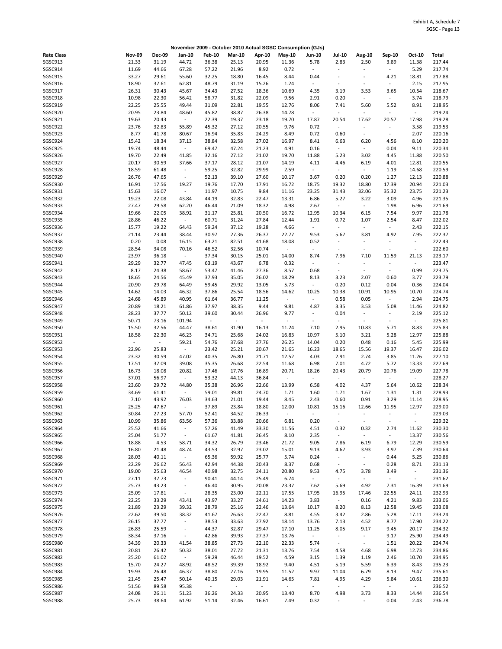|                   |                  |               |                          |                  |               |                     | November 2009 - October 2010 Actual SGSC Consumption (GJs) |                          |                             |                          |                          |                          |        |
|-------------------|------------------|---------------|--------------------------|------------------|---------------|---------------------|------------------------------------------------------------|--------------------------|-----------------------------|--------------------------|--------------------------|--------------------------|--------|
| <b>Rate Class</b> | <b>Nov-09</b>    | <b>Dec-09</b> | Jan-10                   | <b>Feb-10</b>    | <b>Mar-10</b> | Apr-10              | May-10                                                     | Jun-10                   | <b>Jul-10</b>               | Aug-10                   | Sep-10                   | Oct-10                   | Total  |
| SGSC913           | 21.33            | 31.19         | 44.72                    | 36.38            | 25.13         | 20.95               | 11.36                                                      | 5.78                     | 2.83                        | 2.50                     | 3.89                     | 11.38                    | 217.44 |
| SGSC914           | 11.69            | 44.66         | 67.28                    | 57.22            | 21.96         | 8.92                | 0.72                                                       | $\blacksquare$           | $\blacksquare$              | $\blacksquare$           | $\blacksquare$           | 5.29                     | 217.74 |
| SGSC915           | 33.27            | 29.61         | 55.60                    | 32.25            | 18.80         | 16.45               | 8.44                                                       | 0.44                     | $\overline{\phantom{a}}$    | ÷,                       | 4.21                     | 18.81                    | 217.88 |
| SGSC916           | 18.90            | 37.61         | 62.81                    | 48.79            | 31.19         | 15.26               | 1.24                                                       | $\sim$                   | $\overline{\phantom{a}}$    | $\blacksquare$           | $\blacksquare$           | 2.15                     | 217.95 |
| SGSC917           | 26.31            | 30.43         | 45.67                    | 34.43            | 27.52         | 18.36               | 10.69                                                      | 4.35                     | 3.19                        | 3.53                     | 3.65                     | 10.54                    | 218.67 |
| SGSC918           | 10.98            |               |                          | 58.77            |               | 22.09               | 9.56                                                       |                          |                             | $\Box$                   | $\sim$                   | 3.74                     |        |
|                   |                  | 22.30         | 56.42                    |                  | 31.82         |                     |                                                            | 2.91                     | 0.20                        |                          |                          |                          | 218.79 |
| SGSC919           | 22.25            | 25.55         | 49.44                    | 31.09            | 22.81         | 19.55               | 12.76                                                      | 8.06                     | 7.41                        | 5.60                     | 5.52                     | 8.91                     | 218.95 |
| SGSC920           | 20.95            | 23.84         | 48.60                    | 45.82            | 38.87         | 26.38               | 14.78                                                      | $\overline{\phantom{a}}$ | $\omega$                    | $\omega$                 | ÷,                       | $\omega$                 | 219.24 |
| SGSC921           | 19.63            | 20.43         | $\sim$                   | 22.39            | 19.37         | 23.18               | 19.70                                                      | 17.87                    | 20.54                       | 17.62                    | 20.57                    | 17.98                    | 219.28 |
| SGSC922           | 23.76            | 32.83         | 55.89                    | 45.32            | 27.12         | 20.55               | 9.76                                                       | 0.72                     | $\mathcal{L}_{\mathcal{A}}$ | $\blacksquare$           | $\overline{\phantom{a}}$ | 3.58                     | 219.53 |
| SGSC923           | 8.77             | 41.78         | 80.67                    | 16.94            | 35.83         | 24.29               | 8.49                                                       | 0.72                     | 0.60                        | $\blacksquare$           | $\blacksquare$           | 2.07                     | 220.16 |
| SGSC924           | 15.42            | 18.34         | 37.13                    | 38.84            | 32.58         | 27.02               | 16.97                                                      | 8.41                     | 6.63                        | 6.20                     | 4.56                     | 8.10                     | 220.20 |
| SGSC925           | 19.74            | 48.44         | $\blacksquare$           | 69.47            | 47.24         | 21.23               | 4.91                                                       | 0.16                     | $\omega$                    | $\omega$                 | 0.04                     | 9.11                     | 220.34 |
| SGSC926           | 19.70            | 22.49         | 41.85                    | 32.16            | 27.12         | 21.02               | 19.70                                                      | 11.88                    | 5.23                        | 3.02                     | 4.45                     | 11.88                    | 220.50 |
| SGSC927           | 20.17            | 30.59         | 37.66                    | 37.17            | 28.12         | 21.07               | 14.19                                                      | 4.11                     | 4.46                        | 6.19                     | 4.01                     | 12.81                    | 220.55 |
|                   |                  |               |                          |                  |               |                     |                                                            |                          |                             |                          |                          |                          |        |
| SGSC928           | 18.59            | 61.48         | $\overline{\phantom{a}}$ | 59.25            | 32.82         | 29.99               | 2.59                                                       | $\blacksquare$           | $\sim$                      | $\omega_{\rm c}$         | 1.19                     | 14.68                    | 220.59 |
| SGSC929           | 26.76            | 47.65         | $\omega$                 | 52.13            | 39.10         | 27.60               | 10.17                                                      | 3.67                     | 0.20                        | 0.20                     | 1.27                     | 12.13                    | 220.88 |
| SGSC930           | 16.91            | 17.56         | 19.27                    | 19.76            | 17.70         | 17.91               | 16.72                                                      | 18.75                    | 19.32                       | 18.80                    | 17.39                    | 20.94                    | 221.03 |
| SGSC931           | 15.63            | 16.07         | $\omega_{\rm c}$         | 11.97            | 10.75         | 9.84                | 11.16                                                      | 23.25                    | 31.43                       | 32.06                    | 35.32                    | 23.75                    | 221.23 |
| SGSC932           | 19.23            | 22.08         | 43.84                    | 44.19            | 32.83         | 22.47               | 13.31                                                      | 6.86                     | 5.27                        | 3.22                     | 3.09                     | 4.96                     | 221.35 |
| SGSC933           | 27.47            | 29.58         | 62.20                    | 46.44            | 21.09         | 18.32               | 4.98                                                       | 2.67                     | $\omega$                    | $\omega$                 | 1.98                     | 6.96                     | 221.69 |
| SGSC934           | 19.66            | 22.05         | 38.92                    | 31.17            | 25.81         | 20.50               | 16.72                                                      | 12.95                    | 10.34                       | 6.15                     | 7.54                     | 9.97                     | 221.78 |
| SGSC935           | 28.86            | 46.22         | $\sim$                   | 60.71            | 31.24         | 27.84               | 12.44                                                      | 1.91                     | 0.72                        | 1.07                     | 2.54                     | 8.47                     | 222.02 |
| SGSC936           | 15.77            | 19.22         | 64.43                    | 59.24            | 37.12         | 19.28               | 4.66                                                       | $\blacksquare$           | $\omega$                    | $\omega$                 | $\overline{\phantom{a}}$ | 2.43                     | 222.15 |
|                   |                  |               |                          |                  |               |                     |                                                            |                          |                             |                          |                          |                          |        |
| SGSC937           | 21.14            | 23.44         | 38.44                    | 30.97            | 27.36         | 26.37               | 22.77                                                      | 9.53                     | 5.67                        | 3.81                     | 4.92                     | 7.95                     | 222.37 |
| SGSC938           | 0.20             | 0.08          | 16.15                    | 63.21            | 82.51         | 41.68               | 18.08                                                      | 0.52                     | $\overline{\phantom{a}}$    | $\omega$                 |                          | $\blacksquare$           | 222.43 |
| SGSC939           | 28.54            | 34.08         | 70.16                    | 46.52            | 32.56         | 10.74               | $\omega$                                                   | $\overline{\phantom{a}}$ | $\overline{\phantom{a}}$    | $\sim$                   | $\overline{\phantom{a}}$ | $\blacksquare$           | 222.60 |
| SGSC940           | 23.97            | 36.18         | $\sim$                   | 37.34            | 30.15         | 25.01               | 14.00                                                      | 8.74                     | 7.96                        | 7.10                     | 11.59                    | 21.13                    | 223.17 |
| SGSC941           | 29.29            | 32.77         | 47.45                    | 63.19            | 43.67         | 6.78                | 0.32                                                       | $\omega$                 | $\overline{\phantom{a}}$    | $\blacksquare$           |                          | $\blacksquare$           | 223.47 |
| SGSC942           | 8.17             | 24.38         | 58.67                    | 53.47            | 41.46         | 27.36               | 8.57                                                       | 0.68                     | $\omega$                    | $\blacksquare$           | $\sim$                   | 0.99                     | 223.75 |
| SGSC943           | 18.65            | 24.56         | 45.49                    | 37.93            | 35.05         | 26.02               | 18.29                                                      | 8.13                     | 3.23                        | 2.07                     | 0.60                     | 3.77                     | 223.79 |
| SGSC944           | 20.90            | 29.78         | 64.49                    | 59.45            | 29.92         | 13.05               | 5.73                                                       | $\overline{\phantom{a}}$ | 0.20                        | 0.12                     | 0.04                     | 0.36                     | 224.04 |
| SGSC945           | 14.62            | 14.03         | 46.32                    | 37.86            | 25.54         | 18.56               | 14.62                                                      | 10.25                    | 10.38                       | 10.91                    | 10.95                    | 10.70                    | 224.74 |
| SGSC946           | 24.68            | 45.89         | 40.95                    | 61.64            | 36.77         | 11.25               | $\omega$                                                   | $\overline{\phantom{a}}$ | 0.58                        | 0.05                     | $\sim$                   | 2.94                     | 224.75 |
|                   |                  |               |                          |                  |               |                     |                                                            |                          |                             |                          |                          |                          |        |
| SGSC947           | 20.89            | 18.21         | 61.86                    | 37.97            | 38.35         | 9.44                | 9.81                                                       | 4.87                     | 3.35                        | 3.53                     | 5.08                     | 11.46                    | 224.82 |
| SGSC948           | 28.23            | 37.77         | 50.12                    | 39.60            | 30.44         | 26.96               | 9.77                                                       | $\overline{\phantom{a}}$ | 0.04                        | $\overline{\phantom{a}}$ |                          | 2.19                     | 225.12 |
| SGSC949           | 50.71            | 73.16         | 101.94                   | $\omega$         | $\sim$        | $\blacksquare$      | $\bar{\phantom{a}}$                                        | $\overline{\phantom{a}}$ | $\sim$                      | $\bar{\phantom{a}}$      | $\blacksquare$           | $\sim$                   | 225.81 |
| SGSC950           | 15.50            | 32.56         | 44.47                    | 38.61            | 31.90         | 16.13               | 11.24                                                      | 7.10                     | 2.95                        | 10.83                    | 5.71                     | 8.83                     | 225.83 |
| SGSC951           | 18.58            | 22.30         | 46.23                    | 34.71            | 25.68         | 24.02               | 16.83                                                      | 10.97                    | 5.10                        | 3.21                     | 5.28                     | 12.97                    | 225.88 |
| SGSC952           | $\omega_{\rm c}$ | $\sim$        | 59.21                    | 54.76            | 37.68         | 27.76               | 26.25                                                      | 14.04                    | 0.20                        | 0.48                     | 0.16                     | 5.45                     | 225.99 |
| SGSC953           | 22.96            | 25.83         | $\sim$                   | 23.42            | 25.21         | 20.67               | 21.65                                                      | 16.23                    | 18.65                       | 15.56                    | 19.37                    | 16.47                    | 226.02 |
| SGSC954           | 23.32            | 30.59         | 47.02                    | 40.35            | 26.80         | 21.71               | 12.52                                                      | 4.03                     | 2.91                        | 2.74                     | 3.85                     | 11.26                    | 227.10 |
| SGSC955           | 17.51            | 37.09         | 39.08                    | 35.35            | 26.68         | 22.54               | 11.68                                                      | 6.98                     | 7.01                        | 4.72                     | 5.72                     | 13.33                    | 227.69 |
| SGSC956           | 16.73            | 18.08         | 20.82                    | 17.46            | 17.76         | 16.89               | 20.71                                                      | 18.26                    | 20.43                       | 20.79                    | 20.76                    | 19.09                    | 227.78 |
|                   |                  |               |                          |                  |               |                     |                                                            |                          |                             | $\omega$                 |                          |                          |        |
| SGSC957           | 37.01            | 56.97         | $\sim$                   | 53.32            | 44.13         | 36.84               | $\omega$                                                   | $\blacksquare$           | $\sim$                      |                          | $\omega$                 | $\omega$                 | 228.27 |
| <b>SGSC958</b>    | 23.60            | 29.72         | 44.80                    | 35.38            | 26.96         | 22.66               | 13.99                                                      | 6.58                     | 4.02                        | 4.37                     | 5.64                     | 10.62                    | 228.34 |
| SGSC959           | 34.69            | 61.41         | $\sim$                   | 59.01            | 39.81         | 24.70               | 1.71                                                       | 1.60                     | 1.71                        | 1.67                     | 1.31                     | 1.31                     | 228.93 |
| SGSC960           | 7.10             | 43.92         | 76.03                    | 34.63            | 21.01         | 19.44               | 8.45                                                       | 2.43                     | 0.60                        | 0.91                     | 3.29                     | 11.14                    | 228.95 |
| SGSC961           | 25.25            | 47.67         | $\overline{\phantom{a}}$ | 37.89            | 23.84         | 18.80               | 12.00                                                      | 10.81                    | 15.16                       | 12.66                    | 11.95                    | 12.97                    | 229.00 |
| SGSC962           | 30.84            | 27.23         | 57.70                    | 52.41            | 34.52         | 26.33               |                                                            |                          |                             |                          |                          |                          | 229.03 |
| SGSC963           | 10.99            | 35.86         | 63.56                    | 57.36            | 33.88         | 20.66               | 6.81                                                       | 0.20                     | $\blacksquare$              | $\overline{\phantom{a}}$ |                          | $\overline{\phantom{a}}$ | 229.32 |
| SGSC964           | 25.52            | 41.66         | $\sim$                   | 57.26            | 41.49         | 33.30               | 11.56                                                      | 4.51                     | 0.32                        | 0.32                     | 2.74                     | 11.62                    | 230.30 |
| SGSC965           | 25.04            | 51.77         | $\sim$                   | 61.67            | 41.81         | 26.45               | 8.10                                                       | 2.35                     | $\sim$                      | $\omega_{\rm c}$         | $\sim$                   | 13.37                    | 230.56 |
| SGSC966           | 18.88            | 4.53          | 58.71                    | 34.32            | 26.79         | 23.46               | 21.72                                                      | 9.05                     | 7.86                        | 6.19                     | 6.79                     | 12.29                    | 230.59 |
|                   |                  |               |                          |                  |               |                     |                                                            |                          |                             |                          |                          |                          |        |
| SGSC967           | 16.80            | 21.48         | 48.74                    | 43.53            | 32.97         | 23.02               | 15.01                                                      | 9.13                     | 4.67                        | 3.93                     | 3.97                     | 7.39                     | 230.64 |
| SGSC968           | 28.03            | 40.11         | $\sim$                   | 65.36            | 59.92         | 25.77               | 5.74                                                       | 0.24                     | $\sim$                      | $\sim$                   | 0.44                     | 5.25                     | 230.86 |
| SGSC969           | 22.29            | 26.62         | 56.43                    | 42.94            | 44.38         | 20.43               | 8.37                                                       | 0.68                     | $\sim$                      | $\omega_{\rm c}$         | 0.28                     | 8.71                     | 231.13 |
| SGSC970           | 19.00            | 25.63         | 46.54                    | 40.98            | 32.75         | 24.11               | 20.80                                                      | 9.53                     | 4.75                        | 3.78                     | 3.49                     | $\sim$                   | 231.36 |
| SGSC971           | 27.11            | 37.73         | $\sim$                   | 90.41            | 44.14         | 25.49               | 6.74                                                       | $\sim$                   | $\sim$                      | $\omega_{\rm c}$         | $\omega_{\rm c}$         | $\sim$                   | 231.62 |
| SGSC972           | 25.73            | 43.23         | $\sim$                   | 46.40            | 30.95         | 20.08               | 23.37                                                      | 7.62                     | 5.69                        | 4.92                     | 7.31                     | 16.39                    | 231.69 |
| SGSC973           | 25.09            | 17.81         | $\sim$                   | 28.35            | 23.00         | 22.11               | 17.55                                                      | 17.95                    | 16.95                       | 17.46                    | 22.55                    | 24.11                    | 232.93 |
| SGSC974           | 22.25            | 33.29         | 43.41                    | 43.97            | 33.27         | 24.61               | 14.23                                                      | 3.83                     | $\omega_{\rm{eff}}$         | 0.16                     | 4.21                     | 9.83                     | 233.06 |
| SGSC975           | 21.89            | 23.29         | 39.32                    | 28.79            | 25.16         | 22.46               | 13.64                                                      | 10.17                    | 8.20                        | 8.13                     | 12.58                    | 19.45                    | 233.08 |
| SGSC976           | 22.62            | 39.50         | 38.32                    | 41.67            | 26.63         | 22.47               | 8.81                                                       | 4.55                     | 3.42                        | 2.86                     | 5.28                     | 17.11                    | 233.24 |
| SGSC977           | 26.15            | 37.77         | $\sim$                   | 38.53            | 33.63         | 27.92               | 18.14                                                      | 13.76                    | 7.13                        | 4.52                     | 8.77                     | 17.90                    | 234.22 |
|                   |                  |               |                          |                  |               |                     |                                                            |                          |                             |                          |                          |                          |        |
| SGSC978           | 26.83            | 25.59         | $\overline{\phantom{a}}$ | 44.37            | 32.87         | 29.47               | 17.10                                                      | 11.25                    | 8.05                        | 9.17                     | 9.45                     | 20.17                    | 234.32 |
| SGSC979           | 38.34            | 37.16         | $\sim$                   | 42.86            | 39.93         | 27.37               | 13.76                                                      | $\sim$                   | $\sim$                      | $\sim$                   | 9.17                     | 25.90                    | 234.49 |
| SGSC980           | 34.39            | 20.33         | 41.54                    | 38.85            | 27.73         | 22.10               | 22.33                                                      | 5.74                     | $\sim$                      | $\sim$                   | 1.51                     | 20.22                    | 234.74 |
| SGSC981           | 20.81            | 26.42         | 50.32                    | 38.01            | 27.72         | 21.31               | 13.76                                                      | 7.54                     | 4.58                        | 4.68                     | 6.98                     | 12.73                    | 234.86 |
| SGSC982           | 25.20            | 61.02         | $\sim$                   | 59.29            | 46.44         | 19.52               | 4.59                                                       | 3.15                     | 1.39                        | 1.19                     | 2.46                     | 10.70                    | 234.95 |
| SGSC983           | 15.70            | 24.27         | 48.92                    | 48.52            | 39.39         | 18.92               | 9.40                                                       | 4.51                     | 5.19                        | 5.59                     | 6.39                     | 8.43                     | 235.23 |
| SGSC984           | 19.93            | 26.48         | 46.37                    | 38.80            | 27.16         | 19.95               | 11.52                                                      | 9.97                     | 11.04                       | 6.79                     | 8.13                     | 9.47                     | 235.61 |
| SGSC985           | 21.45            | 25.47         | 50.14                    | 40.15            | 29.03         | 21.91               | 14.65                                                      | 7.81                     | 4.95                        | 4.29                     | 5.84                     | 10.61                    | 236.30 |
| SGSC986           | 51.56            | 89.58         | 95.38                    | $\omega_{\rm c}$ | $\sim$        | $\omega_{\rm{eff}}$ | $\sim$                                                     | $\sim$                   | $\omega_{\rm{eff}}$         | $\omega_{\rm c}$         | $\sim$                   | $\omega$                 | 236.52 |
| SGSC987           | 24.08            | 26.11         | 51.23                    | 36.26            | 24.33         | 20.95               | 13.40                                                      | 8.70                     | 4.98                        | 3.73                     | 8.33                     | 14.44                    | 236.54 |
|                   |                  |               |                          |                  |               |                     |                                                            |                          |                             | $\omega_{\rm c}$         |                          |                          |        |
| SGSC988           | 25.73            | 38.64         | 61.92                    | 51.14            | 32.46         | 16.61               | 7.49                                                       | 0.32                     | $\sim$                      |                          | 0.04                     | 2.43                     | 236.78 |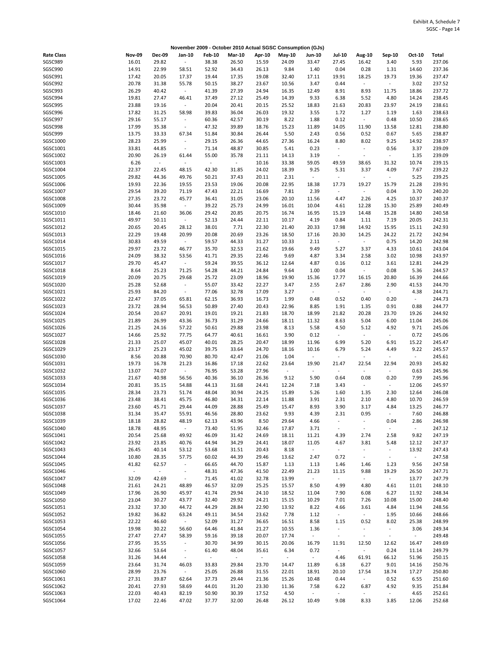|                   |                  |                             |                          |               |               |                  | November 2009 - October 2010 Actual SGSC Consumption (GJs) |                          |                          |                          |                          |                |        |
|-------------------|------------------|-----------------------------|--------------------------|---------------|---------------|------------------|------------------------------------------------------------|--------------------------|--------------------------|--------------------------|--------------------------|----------------|--------|
| <b>Rate Class</b> | <b>Nov-09</b>    | <b>Dec-09</b>               | Jan-10                   | <b>Feb-10</b> | <b>Mar-10</b> | Apr-10           | <b>May-10</b>                                              | Jun-10                   | <b>Jul-10</b>            | Aug-10                   | Sep-10                   | Oct-10         | Total  |
| SGSC989           | 16.01            | 29.82                       | $\overline{\phantom{a}}$ | 38.38         | 26.50         | 15.59            | 24.09                                                      | 33.47                    | 27.45                    | 16.42                    | 3.40                     | 5.93           | 237.06 |
| SGSC990           | 14.91            | 22.99                       | 58.51                    | 52.92         | 34.43         | 26.13            | 9.84                                                       | 1.40                     | 0.04                     | 0.28                     | 1.31                     | 14.60          | 237.36 |
|                   |                  |                             |                          |               |               |                  |                                                            |                          |                          |                          |                          |                |        |
| SGSC991           | 17.42            | 20.05                       | 17.37                    | 19.44         | 17.35         | 19.08            | 32.40                                                      | 17.11                    | 19.91                    | 18.25                    | 19.73                    | 19.36          | 237.47 |
| SGSC992           | 20.78            | 31.38                       | 55.78                    | 50.15         | 38.27         | 23.67            | 10.56                                                      | 3.47                     | 0.44                     | $\omega$                 | $\sim$                   | 3.02           | 237.52 |
| SGSC993           | 26.29            | 40.42                       | $\sim$                   | 41.39         | 27.39         | 24.94            | 16.35                                                      | 12.49                    | 8.91                     | 8.93                     | 11.75                    | 18.86          | 237.72 |
| SGSC994           | 19.81            | 27.47                       | 46.41                    | 37.49         | 27.12         | 25.49            | 14.39                                                      | 9.33                     | 6.38                     | 5.52                     | 4.80                     | 14.24          | 238.45 |
| SGSC995           | 23.88            | 19.16                       | $\overline{\phantom{a}}$ | 20.04         | 20.41         | 20.15            | 25.52                                                      | 18.83                    | 21.63                    | 20.83                    | 23.97                    | 24.19          | 238.61 |
| SGSC996           | 17.82            | 31.25                       | 58.98                    | 39.83         | 36.04         | 26.03            | 19.32                                                      | 3.55                     | 1.72                     | 1.27                     | 1.19                     |                | 238.63 |
|                   |                  |                             |                          |               |               |                  |                                                            |                          |                          |                          |                          | 1.63           |        |
| SGSC997           | 29.16            | 55.17                       | $\overline{\phantom{a}}$ | 60.36         | 42.57         | 30.19            | 8.22                                                       | 1.88                     | 0.12                     | $\sim$                   | 0.48                     | 10.50          | 238.65 |
| SGSC998           | 17.99            | 35.38                       | $\omega$                 | 47.32         | 39.89         | 18.76            | 15.23                                                      | 11.89                    | 14.05                    | 11.90                    | 13.58                    | 12.81          | 238.80 |
| SGSC999           | 13.75            | 33.33                       | 67.34                    | 51.84         | 30.84         | 26.44            | 5.50                                                       | 2.43                     | 0.56                     | 0.52                     | 0.67                     | 5.65           | 238.87 |
| SGSC1000          | 28.23            | 25.99                       | $\blacksquare$           | 29.15         | 26.36         | 44.65            | 27.36                                                      | 16.24                    | 8.80                     | 8.02                     | 9.25                     | 14.92          | 238.97 |
| SGSC1001          | 33.81            | 44.85                       | $\overline{\phantom{a}}$ | 71.14         | 48.87         | 30.85            | 5.41                                                       | 0.23                     | $\overline{\phantom{a}}$ | $\bar{\phantom{a}}$      | 0.56                     | 3.37           | 239.09 |
|                   |                  |                             |                          |               |               |                  |                                                            |                          |                          |                          |                          |                |        |
| SGSC1002          | 20.90            | 26.19                       | 61.44                    | 55.00         | 35.78         | 21.11            | 14.13                                                      | 3.19                     | $\overline{\phantom{a}}$ | $\overline{\phantom{a}}$ | $\overline{\phantom{a}}$ | 1.35           | 239.09 |
| SGSC1003          | 6.26             | $\sim$                      | $\blacksquare$           | $\omega$      | $\sim$        | 10.16            | 33.38                                                      | 59.05                    | 49.59                    | 38.65                    | 31.32                    | 10.74          | 239.15 |
| SGSC1004          | 22.37            | 22.45                       | 48.15                    | 42.30         | 31.85         | 24.02            | 18.39                                                      | 9.25                     | 5.31                     | 3.37                     | 4.09                     | 7.67           | 239.22 |
| SGSC1005          | 29.82            | 44.36                       | 49.76                    | 50.21         | 37.43         | 20.11            | 2.31                                                       | $\sim$                   | $\blacksquare$           | $\omega$                 | $\sim$                   | 5.25           | 239.25 |
| SGSC1006          | 19.93            | 22.36                       | 19.55                    | 23.53         | 19.06         | 20.08            | 22.95                                                      | 18.38                    | 17.73                    | 19.27                    | 15.79                    | 21.28          | 239.91 |
|                   |                  |                             |                          |               |               |                  |                                                            |                          |                          |                          |                          |                |        |
| SGSC1007          | 29.54            | 39.20                       | 71.19                    | 47.43         | 22.21         | 16.69            | 7.81                                                       | 2.39                     | $\overline{\phantom{a}}$ | $\omega$                 | 0.04                     | 3.70           | 240.20 |
| SGSC1008          | 27.35            | 23.72                       | 45.77                    | 36.41         | 31.05         | 23.06            | 20.10                                                      | 11.56                    | 4.47                     | 2.26                     | 4.25                     | 10.37          | 240.37 |
| SGSC1009          | 30.44            | 35.98                       | $\sim$                   | 39.22         | 25.73         | 24.99            | 16.01                                                      | 10.04                    | 4.61                     | 12.28                    | 15.30                    | 25.89          | 240.49 |
| SGSC1010          | 18.46            | 21.60                       | 36.06                    | 29.42         | 20.85         | 20.75            | 16.74                                                      | 16.95                    | 15.19                    | 14.48                    | 15.28                    | 14.80          | 240.58 |
| SGSC1011          | 49.97            | 50.11                       | $\sim$                   | 52.13         | 24.44         | 22.11            | 10.17                                                      | 4.19                     | 0.84                     | 1.11                     | 7.19                     | 20.05          | 242.31 |
|                   |                  |                             |                          |               |               |                  |                                                            |                          |                          |                          |                          |                |        |
| SGSC1012          | 20.65            | 20.45                       | 28.12                    | 38.01         | 7.71          | 22.30            | 21.40                                                      | 20.33                    | 17.98                    | 14.92                    | 15.95                    | 15.11          | 242.93 |
| SGSC1013          | 22.29            | 19.48                       | 20.99                    | 20.08         | 20.69         | 23.26            | 18.50                                                      | 17.16                    | 20.30                    | 14.25                    | 24.22                    | 21.72          | 242.94 |
| SGSC1014          | 30.83            | 49.59                       | $\omega_{\rm c}$         | 59.57         | 44.33         | 31.27            | 10.33                                                      | 2.11                     | $\omega$                 | $\sim$                   | 0.75                     | 14.20          | 242.98 |
| SGSC1015          | 29.97            | 23.72                       | 46.77                    | 35.70         | 32.53         | 21.62            | 19.66                                                      | 9.49                     | 5.27                     | 3.37                     | 4.33                     | 10.61          | 243.04 |
| SGSC1016          | 24.09            | 38.32                       | 53.56                    | 41.71         | 29.35         | 22.46            | 9.69                                                       | 4.87                     | 3.34                     | 2.58                     | 3.02                     | 10.98          | 243.97 |
|                   |                  |                             |                          |               |               |                  |                                                            |                          |                          |                          |                          |                |        |
| SGSC1017          | 29.70            | 45.47                       | $\sim 10$                | 59.24         | 39.55         | 36.12            | 12.64                                                      | 4.87                     | 0.16                     | 0.12                     | 3.61                     | 12.81          | 244.29 |
| SGSC1018          | 8.64             | 25.23                       | 71.25                    | 54.28         | 44.21         | 24.84            | 9.64                                                       | 1.00                     | 0.04                     | $\omega$                 | 0.08                     | 5.36           | 244.57 |
| SGSC1019          | 20.09            | 20.75                       | 29.68                    | 25.72         | 23.09         | 18.96            | 19.90                                                      | 15.36                    | 17.77                    | 16.15                    | 20.80                    | 16.39          | 244.66 |
| SGSC1020          | 25.28            | 52.68                       | $\sim$                   | 55.07         | 33.42         | 22.27            | 3.47                                                       | 2.55                     | 2.67                     | 2.86                     | 2.90                     | 41.53          | 244.70 |
| SGSC1021          | 25.93            | 84.20                       | $\overline{\phantom{a}}$ | 77.06         | 32.78         | 17.09            | 3.27                                                       | $\sim$                   | $\blacksquare$           | $\sim$                   | $\sim$                   | 4.38           | 244.71 |
|                   |                  |                             |                          |               |               |                  |                                                            |                          |                          |                          |                          |                |        |
| SGSC1022          | 22.47            | 37.05                       | 65.81                    | 62.15         | 36.93         | 16.73            | 1.99                                                       | 0.48                     | 0.52                     | 0.40                     | 0.20                     | $\sim$         | 244.73 |
| SGSC1023          | 23.72            | 28.94                       | 56.53                    | 50.89         | 27.40         | 20.43            | 22.96                                                      | 8.85                     | 1.91                     | 1.35                     | 0.91                     | 0.88           | 244.77 |
| SGSC1024          | 20.54            | 20.67                       | 20.91                    | 19.01         | 19.21         | 21.83            | 18.70                                                      | 18.99                    | 21.82                    | 20.28                    | 23.70                    | 19.26          | 244.92 |
| SGSC1025          | 21.89            | 26.99                       | 43.36                    | 36.73         | 31.29         | 24.66            | 18.11                                                      | 11.32                    | 8.63                     | 5.04                     | 6.00                     | 11.04          | 245.06 |
| SGSC1026          | 21.25            | 24.16                       | 57.22                    | 50.61         | 29.88         | 23.98            | 8.13                                                       | 5.58                     | 4.50                     | 5.12                     | 4.92                     | 9.71           | 245.06 |
| SGSC1027          | 14.66            | 25.92                       | 77.75                    | 64.77         | 40.61         |                  | 3.90                                                       | 0.12                     | $\overline{\phantom{a}}$ | $\sim$                   | $\blacksquare$           | 0.72           | 245.06 |
|                   |                  |                             |                          |               |               | 16.61            |                                                            |                          |                          |                          |                          |                |        |
| SGSC1028          | 21.33            | 25.07                       | 45.07                    | 40.01         | 28.25         | 20.47            | 18.99                                                      | 11.96                    | 6.99                     | 5.20                     | 6.91                     | 15.22          | 245.47 |
| SGSC1029          | 23.17            | 25.23                       | 45.02                    | 39.75         | 33.64         | 24.70            | 18.16                                                      | 10.16                    | 6.79                     | 5.24                     | 4.49                     | 9.22           | 245.57 |
| SGSC1030          | 8.56             | 20.88                       | 70.90                    | 80.70         | 42.47         | 21.06            | 1.04                                                       | $\overline{\phantom{a}}$ | $\overline{\phantom{a}}$ | $\omega$                 |                          | $\blacksquare$ | 245.61 |
| SGSC1031          | 19.73            | 16.78                       | 21.23                    | 16.86         | 17.18         | 22.62            | 23.64                                                      | 19.90                    | 21.47                    | 22.54                    | 22.94                    | 20.93          | 245.82 |
| SGSC1032          | 13.07            | 74.07                       | $\sim$                   | 76.95         |               | 27.96            | $\sim$                                                     | $\overline{\phantom{a}}$ | $\blacksquare$           | $\blacksquare$           | ÷                        |                | 245.96 |
|                   |                  |                             |                          |               | 53.28         |                  |                                                            |                          |                          |                          |                          | 0.63           |        |
| SGSC1033          | 21.67            | 40.98                       | 56.56                    | 40.36         | 36.10         | 26.36            | 9.12                                                       | 5.90                     | 0.64                     | 0.08                     | 0.20                     | 7.99           | 245.96 |
| SGSC1034          | 20.81            | 35.15                       | 54.88                    | 44.13         | 31.68         | 24.41            | 12.24                                                      | 7.18                     | 3.43                     | $\sim$                   | ÷.                       | 12.06          | 245.97 |
| SGSC1035          | 28.34            | 23.73                       | 51.74                    | 48.04         | 30.94         | 24.25            | 15.89                                                      | 5.26                     | 1.60                     | 1.35                     | 2.30                     | 12.64          | 246.08 |
| SGSC1036          | 23.48            | 38.41                       | 45.75                    | 46.80         | 34.31         | 22.14            | 11.88                                                      | 3.91                     | 2.31                     | 2.10                     | 4.80                     | 10.70          | 246.59 |
| SGSC1037          | 23.60            | 45.71                       | 29.44                    | 44.09         | 28.88         | 25.49            | 15.47                                                      | 8.93                     | 3.90                     | 3.17                     | 4.84                     |                | 246.77 |
|                   |                  |                             |                          |               |               |                  |                                                            |                          |                          |                          |                          | 13.25          |        |
| SGSC1038          | 31.34            | 35.47                       | 55.91                    | 46.56         | 28.80         | 23.62            | 9.93                                                       | 4.39                     | 2.31                     | 0.95                     |                          | 7.60           | 246.88 |
| SGSC1039          | 18.18            | 28.82                       | 48.19                    | 62.13         | 43.96         | 8.50             | 29.64                                                      | 4.66                     | $\overline{\phantom{a}}$ | $\overline{\phantom{a}}$ | 0.04                     | 2.86           | 246.98 |
| SGSC1040          | 18.78            | 48.95                       | $\omega_{\rm c}$         | 73.40         | 51.95         | 32.46            | 17.87                                                      | 3.71                     | $\blacksquare$           | $\omega$                 | $\blacksquare$           | $\omega$       | 247.12 |
| SGSC1041          | 20.54            | 25.68                       | 49.92                    | 46.09         | 31.42         | 24.69            | 18.11                                                      | 11.21                    | 4.39                     | 2.74                     | 2.58                     | 9.82           | 247.19 |
| SGSC1042          | 23.92            | 23.85                       | 40.76                    | 44.94         | 34.29         | 24.41            | 18.07                                                      | 11.05                    | 4.67                     | 3.81                     | 5.48                     | 12.12          | 247.37 |
|                   |                  |                             |                          |               |               |                  |                                                            |                          |                          |                          |                          |                |        |
| SGSC1043          | 26.45            | 40.14                       | 53.12                    | 53.68         | 31.51         | 20.43            | 8.18                                                       | $\sim$                   | $\sim$                   | $\sim$                   | $\blacksquare$           | 13.92          | 247.43 |
| SGSC1044          | 10.80            | 28.35                       | 57.75                    | 60.02         | 44.39         | 29.46            | 13.62                                                      | 2.47                     | 0.72                     | $\omega$                 | $\sim$                   | $\omega$       | 247.58 |
| SGSC1045          | 41.82            | 62.57                       | $\overline{\phantom{a}}$ | 66.65         | 44.70         | 15.87            | 1.13                                                       | 1.13                     | 1.46                     | 1.46                     | 1.23                     | 9.56           | 247.58 |
| SGSC1046          | $\omega_{\rm c}$ | $\mathcal{L}_{\mathcal{C}}$ | $\sim$                   | 48.31         | 47.36         | 41.50            | 22.49                                                      | 21.23                    | 11.15                    | 9.88                     | 19.29                    | 26.50          | 247.71 |
| SGSC1047          | 32.09            | 42.69                       | $\sim$                   | 71.45         | 41.02         | 32.78            | 13.99                                                      | $\sim$                   | $\omega_{\rm c}$         | $\omega_{\rm c}$         | $\omega_{\rm{eff}}$      | 13.77          | 247.79 |
|                   |                  |                             |                          |               |               |                  |                                                            |                          |                          |                          |                          |                |        |
| SGSC1048          | 21.61            | 24.21                       | 48.89                    | 46.57         | 32.09         | 25.25            | 15.57                                                      | 8.50                     | 4.99                     | 4.80                     | 4.61                     | 11.01          | 248.10 |
| SGSC1049          | 17.96            | 26.90                       | 45.97                    | 41.74         | 29.94         | 24.10            | 18.52                                                      | 11.04                    | 7.90                     | 6.08                     | 6.27                     | 11.92          | 248.34 |
| SGSC1050          | 23.04            | 30.27                       | 43.77                    | 32.40         | 29.92         | 24.21            | 15.15                                                      | 10.29                    | 7.01                     | 7.26                     | 10.08                    | 15.00          | 248.40 |
| SGSC1051          | 23.32            | 37.30                       | 44.72                    | 44.29         | 28.84         | 22.90            | 13.92                                                      | 8.22                     | 4.66                     | 3.61                     | 4.84                     | 11.94          | 248.56 |
| SGSC1052          | 19.82            | 36.82                       | 63.24                    | 49.11         | 34.54         | 23.62            | 7.78                                                       | 1.12                     | $\sim$                   | $\omega_{\rm c}$         | 1.95                     | 10.66          | 248.66 |
|                   |                  |                             |                          | 52.09         |               |                  |                                                            |                          |                          |                          |                          |                |        |
| SGSC1053          | 22.22            | 46.60                       | $\sim$                   |               | 31.27         | 36.65            | 16.51                                                      | 8.58                     | 1.15                     | 0.52                     | 8.02                     | 25.38          | 248.99 |
| SGSC1054          | 19.98            | 30.22                       | 56.60                    | 64.46         | 41.84         | 21.27            | 10.55                                                      | 1.36                     | $\sim$                   | $\omega$                 | $\sim$                   | 3.06           | 249.34 |
| SGSC1055          | 27.47            | 27.47                       | 58.39                    | 59.16         | 39.18         | 20.07            | 17.74                                                      | $\sim$                   | $\sim$                   | $\sim$                   | $\sim$                   | $\sim$         | 249.48 |
| SGSC1056          | 27.95            | 35.55                       | $\overline{\phantom{a}}$ | 30.70         | 34.99         | 30.15            | 20.06                                                      | 16.79                    | 11.91                    | 12.50                    | 12.62                    | 16.47          | 249.69 |
| SGSC1057          | 32.66            | 53.64                       | $\sim$                   | 61.40         | 48.04         | 35.61            | 6.34                                                       | 0.72                     | $\blacksquare$           | $\omega$                 | 0.24                     | 11.14          | 249.79 |
| SGSC1058          | 31.26            | 34.44                       |                          | $\sim$        | $\sim$        | $\omega_{\rm c}$ | $\sim$                                                     | $\sim$                   |                          | 61.91                    | 66.12                    |                | 250.15 |
|                   |                  |                             | $\overline{\phantom{a}}$ |               |               |                  |                                                            |                          | 4.46                     |                          |                          | 51.96          |        |
| SGSC1059          | 23.64            | 31.74                       | 46.03                    | 33.83         | 29.84         | 23.70            | 14.47                                                      | 11.89                    | 6.18                     | 6.27                     | 9.01                     | 14.16          | 250.76 |
| SGSC1060          | 28.99            | 23.76                       | $\sim$                   | 25.05         | 26.88         | 31.55            | 22.01                                                      | 18.91                    | 20.10                    | 17.54                    | 18.74                    | 17.27          | 250.80 |
| SGSC1061          | 27.31            | 39.87                       | 62.64                    | 37.73         | 29.44         | 21.36            | 15.26                                                      | 10.48                    | 0.44                     | $\omega_{\rm c}$         | 0.52                     | 6.55           | 251.60 |
| SGSC1062          | 20.41            | 27.93                       | 58.69                    | 44.01         | 31.20         | 23.30            | 11.36                                                      | 7.58                     | 6.22                     | 6.87                     | 4.92                     | 9.35           | 251.84 |
| SGSC1063          | 22.03            | 40.43                       | 82.19                    | 50.90         | 30.39         | 17.52            | 4.50                                                       | $\overline{\phantom{a}}$ | $\omega$                 | $\omega$                 | $\blacksquare$           | 4.65           | 252.61 |
|                   |                  |                             |                          |               |               |                  |                                                            |                          |                          |                          |                          |                |        |
| SGSC1064          | 17.02            | 22.46                       | 47.02                    | 37.77         | 32.00         | 26.48            | 26.12                                                      | 10.49                    | 9.08                     | 8.33                     | 3.85                     | 12.06          | 252.68 |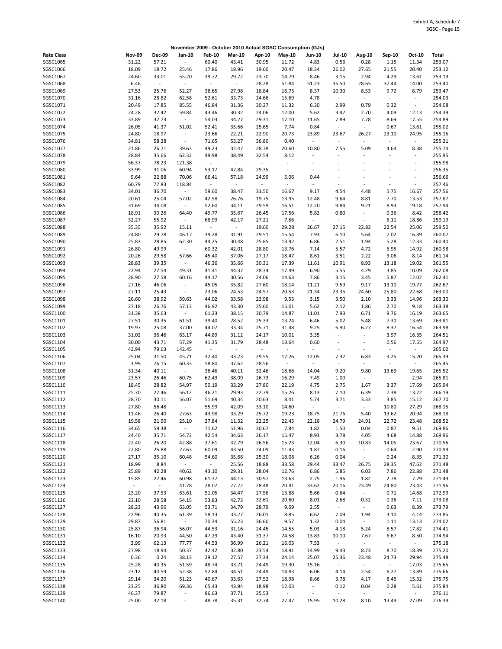|                   |                  |                             |                          |               |               |          | November 2009 - October 2010 Actual SGSC Consumption (GJs) |                          |                          |                     |                          |                          |        |
|-------------------|------------------|-----------------------------|--------------------------|---------------|---------------|----------|------------------------------------------------------------|--------------------------|--------------------------|---------------------|--------------------------|--------------------------|--------|
| <b>Rate Class</b> | Nov-09           | <b>Dec-09</b>               | Jan-10                   | <b>Feb-10</b> | <b>Mar-10</b> | Apr-10   | May-10                                                     | Jun-10                   | <b>Jul-10</b>            | <b>Aug-10</b>       | Sep-10                   | Oct-10                   | Total  |
| SGSC1065          | 31.22            | 57.21                       | $\blacksquare$           | 60.40         | 43.41         | 30.95    | 11.72                                                      | 4.83                     | 0.56                     | 0.28                | 1.15                     | 11.34                    | 253.07 |
| SGSC1066          | 18.09            | 18.72                       | 25.46                    | 17.86         | 18.96         | 19.60    | 20.47                                                      | 18.34                    | 26.02                    | 27.65               | 21.55                    | 20.40                    | 253.12 |
| SGSC1067          | 24.60            | 33.01                       | 55.20                    | 39.72         | 29.72         | 23.70    | 14.79                                                      | 8.46                     | 3.15                     | 2.94                | 4.29                     | 13.61                    | 253.19 |
| SGSC1068          | 6.46             | $\mathcal{L}_{\mathcal{C}}$ | $\sim$                   | $\omega$      | $\sim$        | 28.28    | 51.84                                                      | 51.23                    | 35.50                    | 28.65               | 37.44                    | 14.00                    | 253.40 |
| SGSC1069          | 27.53            | 25.76                       | 52.27                    | 38.65         | 27.98         | 18.84    | 16.73                                                      | 8.37                     | 10.30                    | 8.53                | 9.72                     | 8.79                     | 253.47 |
|                   |                  |                             |                          |               |               |          |                                                            |                          |                          |                     |                          |                          |        |
| SGSC1070          | 31.16            | 28.82                       | 62.58                    | 52.61         | 33.73         | 24.66    | 15.69                                                      | 4.78                     | $\omega$                 | $\omega$            | $\sim$                   | $\blacksquare$           | 254.03 |
| SGSC1071          | 20.49            | 17.85                       | 85.55                    | 46.84         | 31.36         | 30.27    | 11.32                                                      | 6.30                     | 2.99                     | 0.79                | 0.32                     | $\blacksquare$           | 254.08 |
| SGSC1072          | 24.28            | 32.42                       | 59.84                    | 43.46         | 30.32         | 24.06    | 12.00                                                      | 5.62                     | 3.47                     | 2.70                | 4.09                     | 12.13                    | 254.39 |
| SGSC1073          | 33.89            | 32.73                       | $\sim$                   | 54.03         | 34.27         | 29.31    | 17.10                                                      | 11.65                    | 7.89                     | 7.78                | 8.69                     | 17.55                    | 254.89 |
| SGSC1074          | 26.05            | 41.37                       | 51.02                    | 52.41         | 35.66         | 25.65    | 7.74                                                       | 0.84                     | $\Box$                   | $\omega$            | 0.67                     | 13.61                    | 255.02 |
| SGSC1075          | 24.80            | 18.97                       | $\overline{\phantom{a}}$ | 23.66         | 22.21         | 22.90    | 20.73                                                      | 23.89                    | 23.67                    | 26.27               | 23.10                    | 24.95                    | 255.15 |
| SGSC1076          | 34.81            | 58.28                       | $\sim$                   | 71.65         | 53.27         | 36.80    | 0.40                                                       | $\overline{\phantom{a}}$ | $\blacksquare$           | ÷                   | $\omega$                 | ÷.                       | 255.21 |
| SGSC1077          | 21.86            | 26.71                       | 39.63                    | 49.23         | 32.47         | 28.78    | 20.60                                                      | 10.80                    | 7.55                     | 5.09                | 4.64                     | 8.38                     | 255.74 |
| SGSC1078          | 28.84            | 35.66                       | 62.32                    | 49.98         | 38.49         | 32.54    | 8.12                                                       |                          | $\overline{\phantom{a}}$ | ÷                   |                          | $\blacksquare$           | 255.95 |
| SGSC1079          | 56.37            | 78.23                       | 121.38                   | $\omega$      | $\sim$        | $\omega$ | $\omega$                                                   |                          | L.                       | L.                  |                          | ÷,                       | 255.98 |
|                   |                  |                             |                          |               |               |          |                                                            |                          |                          |                     |                          |                          |        |
| SGSC1080          | 33.99            | 31.06                       | 60.94                    | 53.17         | 47.84         | 29.35    | $\blacksquare$                                             |                          |                          | ÷                   |                          | $\overline{\phantom{a}}$ | 256.35 |
| SGSC1081          | 9.64             | 22.88                       | 70.06                    | 66.41         | 57.18         | 24.99    | 5.06                                                       | 0.44                     | ÷,                       |                     |                          | $\overline{\phantom{a}}$ | 256.66 |
| SGSC1082          | 60.79            | 77.83                       | 118.84                   | $\sim$        | $\sim$        | $\sim$   | $\mathbb{Z}$                                               | $\sim$                   | $\overline{\phantom{a}}$ | ÷,                  |                          | $\overline{\phantom{a}}$ | 257.46 |
| SGSC1083          | 34.01            | 36.70                       | $\sim$                   | 59.60         | 38.47         | 31.50    | 16.67                                                      | 9.17                     | 4.54                     | 4.48                | 5.75                     | 16.67                    | 257.56 |
| SGSC1084          | 20.61            | 25.04                       | 57.02                    | 42.58         | 26.76         | 19.75    | 13.95                                                      | 12.48                    | 9.64                     | 8.81                | 7.70                     | 13.53                    | 257.87 |
| SGSC1085          | 31.69            | 34.08                       | $\blacksquare$           | 52.60         | 34.11         | 29.59    | 16.51                                                      | 12.20                    | 9.84                     | 9.21                | 8.93                     | 19.18                    | 257.94 |
| SGSC1086          | 18.91            | 30.26                       | 64.40                    | 49.77         | 35.67         | 26.45    | 17.56                                                      | 5.82                     | 0.80                     | $\omega$            | 0.36                     | 8.42                     | 258.42 |
| SGSC1087          | 32.27            | 55.92                       | $\sim$                   | 68.99         | 42.17         | 27.21    | 7.66                                                       | $\overline{\phantom{a}}$ | $\sim$                   | $\sim$              | 6.11                     | 18.86                    | 259.19 |
| SGSC1088          | 35.35            | 35.92                       | 15.11                    | $\omega$      | $\omega$      | 19.60    | 29.28                                                      | 26.67                    | 27.15                    | 22.82               | 22.54                    | 25.06                    | 259.50 |
| SGSC1089          | 24.80            | 29.78                       | 46.17                    | 39.28         | 31.91         | 29.51    | 15.54                                                      | 7.93                     | 6.10                     | 5.64                | 7.02                     | 16.39                    | 260.07 |
|                   |                  |                             |                          |               |               |          |                                                            |                          |                          |                     |                          |                          |        |
| SGSC1090          | 25.83            | 28.85                       | 62.30                    | 44.25         | 30.48         | 25.85    | 13.92                                                      | 6.86                     | 2.51                     | 1.94                | 5.28                     | 12.33                    | 260.40 |
| SGSC1091          | 26.80            | 49.99                       | $\sim$                   | 60.32         | 42.01         | 28.80    | 13.76                                                      | 7.14                     | 5.57                     | 4.72                | 6.95                     | 14.92                    | 260.98 |
| SGSC1092          | 20.26            | 29.58                       | 57.66                    | 45.40         | 37.06         | 27.17    | 18.47                                                      | 8.61                     | 3.51                     | 2.22                | 3.06                     | 8.14                     | 261.14 |
| SGSC1093          | 28.83            | 39.35                       | $\sim$                   | 46.36         | 35.66         | 30.31    | 17.39                                                      | 11.61                    | 10.91                    | 8.93                | 13.18                    | 19.02                    | 261.55 |
| SGSC1094          | 22.94            | 27.54                       | 49.31                    | 41.41         | 44.37         | 28.34    | 17.49                                                      | 6.90                     | 5.55                     | 4.29                | 3.85                     | 10.09                    | 262.08 |
| SGSC1095          | 28.90            | 27.58                       | 60.16                    | 44.17         | 30.56         | 24.06    | 14.63                                                      | 7.86                     | 3.15                     | 3.45                | 5.87                     | 12.02                    | 262.41 |
| SGSC1096          | 27.16            | 46.06                       | $\blacksquare$           | 45.05         | 35.82         | 27.60    | 18.14                                                      | 11.21                    | 9.59                     | 9.17                | 13.10                    | 19.77                    | 262.67 |
| SGSC1097          | 27.11            | 25.43                       | $\blacksquare$           | 23.06         | 24.53         | 24.57    | 20.53                                                      | 21.34                    | 23.35                    | 24.60               | 25.80                    | 22.68                    | 263.00 |
| SGSC1098          | 26.60            | 38.92                       | 59.63                    | 44.02         | 33.58         | 23.98    | 9.53                                                       | 3.15                     | 3.50                     | 2.10                | 3.33                     | 14.96                    | 263.30 |
| SGSC1099          | 27.18            | 26.76                       | 57.13                    | 46.92         | 43.30         | 25.60    | 15.01                                                      | 5.62                     | 2.12                     | 1.86                | 2.70                     | 9.18                     | 263.38 |
| SGSC1100          | 31.38            | 35.63                       | $\sim$                   | 61.23         | 38.15         | 30.79    | 14.87                                                      | 11.01                    | 7.93                     | 6.71                | 9.76                     | 16.19                    | 263.65 |
|                   |                  |                             |                          |               |               |          |                                                            |                          |                          |                     |                          |                          |        |
| SGSC1101          | 27.51            | 30.35                       | 61.51                    | 39.40         | 28.52         | 25.33    | 13.24                                                      | 6.46                     | 5.02                     | 5.48                | 7.30                     | 13.69                    | 263.81 |
| SGSC1102          | 19.97            | 25.08                       | 37.00                    | 44.07         | 33.34         | 25.71    | 31.48                                                      | 9.25                     | 6.90                     | 6.27                | 8.37                     | 16.54                    | 263.98 |
| SGSC1103          | 31.02            | 36.46                       | 63.17                    | 44.89         | 31.12         | 24.17    | 10.01                                                      | 3.35                     | $\blacksquare$           | $\omega$            | 3.97                     | 16.35                    | 264.51 |
| SGSC1104          | 30.00            | 43.71                       | 57.29                    | 41.35         | 31.79         | 28.48    | 13.64                                                      | 0.60                     | $\overline{\phantom{a}}$ | ÷,                  | 0.56                     | 17.55                    | 264.97 |
| SGSC1105          | 42.94            | 79.63                       | 142.45                   | $\omega$      | $\omega$      | $\omega$ | $\mathbb{Z}$                                               | $\omega$                 | $\overline{\phantom{a}}$ | ÷,                  | $\sim$                   | $\omega$                 | 265.02 |
| SGSC1106          | 25.04            | 31.50                       | 45.71                    | 32.40         | 33.23         | 29.55    | 17.26                                                      | 12.05                    | 7.37                     | 6.83                | 9.25                     | 15.20                    | 265.39 |
| SGSC1107          | 3.99             | 76.15                       | 60.33                    | 58.80         | 37.62         | 28.56    | $\mathbb{Z}$                                               | $\sim$                   | $\blacksquare$           | $\omega$            | $\overline{\phantom{a}}$ | $\sim$                   | 265.45 |
| SGSC1108          | 31.34            | 40.11                       | $\sim$                   | 36.46         | 40.11         | 32.46    | 18.66                                                      | 14.04                    | 9.20                     | 9.80                | 13.69                    | 19.65                    | 265.52 |
| SGSC1109          | 23.57            | 26.46                       | 60.75                    | 62.49         | 38.09         | 26.73    | 16.29                                                      | 7.49                     | 1.00                     | $\omega$            | $\sim$                   | 2.94                     | 265.81 |
| SGSC1110          | 18.45            | 28.82                       | 54.97                    | 50.19         | 33.29         | 27.80    | 22.19                                                      | 4.75                     | 2.75                     | 1.67                | 3.37                     | 17.69                    | 265.94 |
|                   |                  |                             |                          |               |               |          |                                                            |                          |                          |                     |                          |                          |        |
| SGSC1111          | 25.70            | 27.46                       | 56.12                    | 46.21         | 29.93         | 22.79    | 15.26                                                      | 8.13                     | 7.10                     | 6.39                | 7.38                     | 13.72                    | 266.19 |
| SGSC1112          | 28.70            | 30.11                       | 56.07                    | 51.69         | 40.34         | 20.63    | 8.41                                                       | 5.74                     | 3.71                     | 3.33                | 3.85                     | 15.12                    | 267.70 |
| SGSC1113          | 27.80            | 56.48                       | $\sim$                   | 55.99         | 42.09         | 33.10    | 14.60                                                      | $\sim$                   | $\blacksquare$           | $\omega$            | 10.80                    | 27.29                    | 268.15 |
| SGSC1114          | 11.46            | 26.40                       | 27.63                    | 43.98         | 33.29         | 25.72    | 19.23                                                      | 18.75                    | 21.76                    | 5.40                | 13.62                    | 20.94                    | 268.18 |
| SGSC1115          | 19.58            | 21.90                       | 25.10                    | 27.84         | 11.32         | 22.25    | 22.45                                                      | 22.18                    | 24.79                    | 24.91               | 22.72                    | 23.48                    | 268.52 |
| SGSC1116          | 34.65            | 59.38                       | $\sim$                   | 71.62         | 51.96         | 30.67    | 7.84                                                       | 1.82                     | 1.50                     | 0.04                | 0.87                     | 9.51                     | 269.86 |
| SGSC1117          | 24.40            | 35.71                       | 54.72                    | 42.54         | 34.63         | 26.17    | 15.47                                                      | 8.93                     | 3.78                     | 4.05                | 4.68                     | 14.88                    | 269.96 |
| SGSC1118          | 22.40            | 26.20                       | 42.88                    | 37.61         | 32.79         | 26.56    | 15.23                                                      | 12.04                    | 6.30                     | 10.83               | 14.05                    | 23.67                    | 270.56 |
| SGSC1119          | 22.80            | 25.88                       | 77.63                    | 60.09         | 43.50         | 24.09    | 11.43                                                      | 1.87                     | 0.16                     | $\omega$            | 0.64                     | 2.90                     | 270.99 |
| SGSC1120          | 27.17            | 35.10                       | 60.48                    | 54.60         | 35.68         | 25.30    | 18.08                                                      | 6.26                     | 0.04                     | $\omega$            | 0.24                     | 8.35                     | 271.30 |
| SGSC1121          | 18.99            | 8.84                        |                          | $\sim$        | 25.56         |          | 33.58                                                      |                          |                          | 26.75               | 28.35                    | 47.62                    | 271.48 |
|                   |                  |                             | $\sim$                   |               |               | 18.88    |                                                            | 29.44                    | 33.47                    |                     |                          |                          |        |
| SGSC1122          | 25.89            | 42.28                       | 40.62                    | 43.10         | 29.31         | 28.04    | 12.76                                                      | 6.86                     | 5.85                     | 6.03                | 7.86                     | 22.88                    | 271.48 |
| SGSC1123          | 15.85            | 27.46                       | 60.98                    | 61.37         | 44.13         | 30.97    | 13.63                                                      | 2.75                     | 1.96                     | 1.82                | 2.78                     | 7.79                     | 271.49 |
| SGSC1124          | $\omega_{\rm c}$ | $\sim$                      | 41.78                    | 28.07         | 27.72         | 28.48    | 20.41                                                      | 33.62                    | 20.16                    | 23.49               | 24.80                    | 23.43                    | 271.96 |
| SGSC1125          | 23.20            | 37.53                       | 63.61                    | 51.05         | 34.47         | 27.56    | 13.88                                                      | 5.66                     | 0.64                     | $\sim$              | 0.71                     | 14.68                    | 272.99 |
| SGSC1126          | 22.10            | 28.58                       | 54.15                    | 53.83         | 42.73         | 32.61    | 20.60                                                      | 8.01                     | 2.68                     | 0.32                | 0.36                     | 7.11                     | 273.08 |
| SGSC1127          | 28.23            | 43.96                       | 63.05                    | 53.71         | 34.79         | 28.79    | 9.69                                                       | 2.55                     | $\omega$                 | $\omega$            | 0.63                     | 8.39                     | 273.79 |
| SGSC1128          | 22.96            | 40.35                       | 61.39                    | 58.13         | 33.27         | 26.01    | 8.85                                                       | 6.62                     | 7.09                     | 1.94                | 3.10                     | 4.14                     | 273.85 |
| SGSC1129          | 29.87            | 56.81                       | $\sim$                   | 70.34         | 55.23         | 36.60    | 9.57                                                       | 1.32                     | 0.04                     | $\omega_{\rm c}$    | 1.11                     | 13.13                    | 274.02 |
| SGSC1130          | 25.87            | 36.94                       | 56.07                    | 44.53         | 31.16         | 24.45    | 14.55                                                      | 5.03                     | 4.18                     | 5.24                | 8.57                     | 17.82                    | 274.41 |
| SGSC1131          | 16.10            | 20.93                       | 44.50                    | 47.29         | 43.40         |          | 24.58                                                      |                          | 10.10                    | 7.67                | 6.67                     | 8.50                     |        |
|                   |                  |                             |                          |               |               | 31.37    |                                                            | 13.83                    |                          |                     |                          |                          | 274.94 |
| SGSC1132          | 3.99             | 62.13                       | 77.77                    | 44.53         | 36.99         | 26.21    | 16.03                                                      | 7.53                     | $\sim$                   | $\omega_{\rm{eff}}$ | $\sim$                   | $\sim$                   | 275.18 |
| SGSC1133          | 27.98            | 18.94                       | 50.37                    | 42.42         | 32.80         | 23.54    | 18.91                                                      | 14.99                    | 9.43                     | 8.73                | 8.70                     | 18.39                    | 275.20 |
| SGSC1134          | 0.36             | 0.24                        | 38.13                    | 29.12         | 27.57         | 27.34    | 24.14                                                      | 25.07                    | 25.36                    | 23.48               | 24.73                    | 29.94                    | 275.48 |
| SGSC1135          | 25.28            | 40.35                       | 51.59                    | 48.74         | 33.71         | 24.49    | 19.30                                                      | 15.16                    | $\sim$                   | $\omega_{\rm c}$    | $\sim$                   | 17.03                    | 275.65 |
| SGSC1136          | 23.12            | 40.59                       | 52.38                    | 52.84         | 34.51         | 24.49    | 14.83                                                      | 6.06                     | 4.14                     | 2.54                | 6.27                     | 13.89                    | 275.66 |
| SGSC1137          | 29.14            | 34.20                       | 51.23                    | 40.67         | 33.63         | 27.52    | 18.98                                                      | 8.66                     | 3.78                     | 4.17                | 8.45                     | 15.32                    | 275.75 |
| SGSC1138          | 23.25            | 36.80                       | 69.36                    | 65.43         | 43.94         | 18.98    | 12.03                                                      | $\blacksquare$           | 0.12                     | 0.04                | 0.28                     | 5.61                     | 275.84 |
| SGSC1139          | 46.37            | 79.87                       | $\overline{\phantom{a}}$ | 86.63         | 37.71         | 25.53    | $\sim$                                                     |                          | $\Box$                   | $\omega$            | $\blacksquare$           | $\omega$                 | 276.11 |
| SGSC1140          | 25.00            | 32.18                       | $\overline{\phantom{a}}$ | 48.78         | 35.31         | 32.74    | 27.47                                                      | 15.95                    | 10.28                    | 8.10                | 13.49                    | 27.09                    | 276.39 |
|                   |                  |                             |                          |               |               |          |                                                            |                          |                          |                     |                          |                          |        |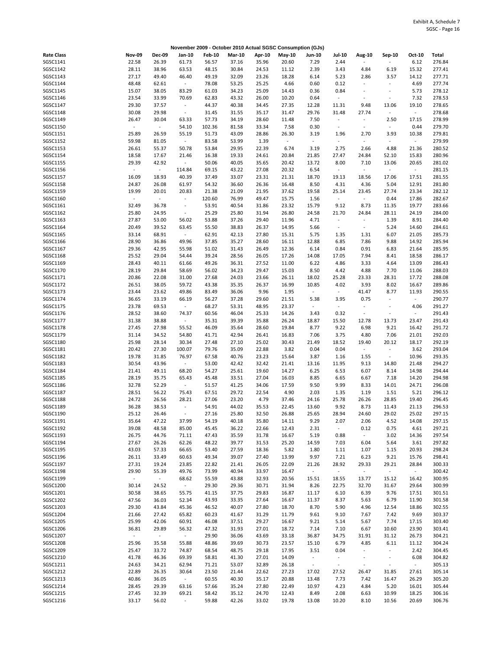|                   |                  |               |                          |               |               |        | November 2009 - October 2010 Actual SGSC Consumption (GJs) |                          |                          |                          |                              |                          |        |
|-------------------|------------------|---------------|--------------------------|---------------|---------------|--------|------------------------------------------------------------|--------------------------|--------------------------|--------------------------|------------------------------|--------------------------|--------|
| <b>Rate Class</b> | <b>Nov-09</b>    | <b>Dec-09</b> | Jan-10                   | <b>Feb-10</b> | <b>Mar-10</b> | Apr-10 | May-10                                                     | <b>Jun-10</b>            | <b>Jul-10</b>            | Aug-10                   | Sep-10                       | Oct-10                   | Total  |
| SGSC1141          | 22.58            | 26.39         | 61.73                    | 56.57         | 37.16         | 35.96  | 20.60                                                      | 7.29                     | 2.44                     | ÷,                       |                              | 6.12                     | 276.84 |
| SGSC1142          | 28.11            | 38.96         | 63.53                    | 48.15         | 30.84         | 24.53  | 11.12                                                      | 2.39                     | 3.43                     | 4.84                     | 6.19                         | 15.32                    | 277.41 |
| SGSC1143          | 27.17            | 49.40         | 46.40                    | 49.19         | 32.09         | 23.26  | 18.28                                                      | 6.14                     | 5.23                     | 2.86                     | 3.57                         | 14.12                    | 277.71 |
|                   |                  |               |                          |               |               |        |                                                            |                          |                          | $\omega$                 |                              |                          |        |
| SGSC1144          | 48.48            | 62.61         | $\sim$                   | 78.08         | 53.25         | 25.25  | 4.66                                                       | 0.60                     | 0.12                     |                          |                              | 4.69                     | 277.74 |
| SGSC1145          | 15.07            | 38.05         | 83.29                    | 61.03         | 34.23         | 25.09  | 14.43                                                      | 0.36                     | 0.84                     | ÷,                       |                              | 5.73                     | 278.12 |
| SGSC1146          | 23.54            | 33.99         | 70.69                    | 62.83         | 43.32         | 26.00  | 10.20                                                      | 0.64                     | $\omega$                 | ÷,                       | $\sim$                       | 7.32                     | 278.53 |
| SGSC1147          | 29.30            | 37.57         | $\overline{\phantom{a}}$ | 44.37         | 40.38         | 34.45  | 27.35                                                      | 12.28                    | 11.31                    | 9.48                     | 13.06                        | 19.10                    | 278.65 |
| SGSC1148          | 30.08            | 29.98         | $\overline{\phantom{a}}$ | 31.45         | 31.55         | 35.17  | 31.47                                                      | 29.76                    | 31.48                    | 27.74                    | $\blacksquare$               | $\omega$                 | 278.68 |
| SGSC1149          | 26.47            | 30.04         | 63.33                    | 57.73         | 34.19         | 28.60  | 11.48                                                      | 7.50                     | $\overline{\phantom{a}}$ | $\omega$                 | 2.50                         | 17.15                    | 278.99 |
|                   | $\omega$         |               |                          |               |               |        |                                                            |                          |                          |                          |                              |                          |        |
| SGSC1150          |                  | $\omega$      | 54.10                    | 102.36        | 81.58         | 33.34  | 7.58                                                       | 0.30                     | $\overline{\phantom{a}}$ | $\blacksquare$           | $\blacksquare$               | 0.44                     | 279.70 |
| SGSC1151          | 25.89            | 26.59         | 55.19                    | 51.73         | 43.09         | 28.86  | 26.30                                                      | 3.19                     | 1.96                     | 2.70                     | 3.93                         | 10.38                    | 279.81 |
| SGSC1152          | 59.98            | 81.05         | $\sim$                   | 83.58         | 53.99         | 1.39   | $\sim$                                                     | $\blacksquare$           | $\blacksquare$           | $\omega$                 | $\blacksquare$               | $\sim$                   | 279.99 |
| SGSC1153          | 26.61            | 55.37         | 50.78                    | 53.84         | 29.95         | 22.39  | 6.74                                                       | 3.19                     | 2.75                     | 2.66                     | 4.88                         | 21.36                    | 280.52 |
| SGSC1154          | 18.58            | 17.67         | 21.46                    | 16.38         | 19.33         | 24.61  | 20.84                                                      | 21.85                    | 27.47                    | 24.84                    | 52.10                        | 15.83                    | 280.96 |
| SGSC1155          | 29.39            | 42.92         | $\sim$                   | 50.06         | 40.05         | 35.65  | 20.42                                                      | 13.72                    | 8.00                     | 7.10                     | 13.06                        | 20.65                    | 281.02 |
|                   |                  |               |                          |               |               |        |                                                            |                          |                          |                          |                              |                          |        |
| SGSC1156          | $\omega$         | $\omega$      | 114.84                   | 69.15         | 43.22         | 27.08  | 20.32                                                      | 6.54                     | $\sim$                   | $\omega$                 | $\sim$                       | $\omega$                 | 281.15 |
| SGSC1157          | 16.09            | 18.93         | 40.39                    | 37.49         | 33.07         | 23.31  | 21.31                                                      | 18.70                    | 19.13                    | 18.56                    | 17.06                        | 17.51                    | 281.55 |
| SGSC1158          | 24.87            | 26.08         | 61.97                    | 54.32         | 36.60         | 26.36  | 16.48                                                      | 8.50                     | 4.31                     | 4.36                     | 5.04                         | 12.91                    | 281.80 |
| SGSC1159          | 19.99            | 20.01         | 20.83                    | 21.38         | 21.09         | 21.95  | 37.62                                                      | 19.58                    | 25.14                    | 23.45                    | 27.74                        | 23.34                    | 282.12 |
| SGSC1160          | $\omega$         | $\omega$      | $\overline{\phantom{a}}$ | 120.60        | 76.99         | 49.47  | 15.75                                                      | 1.56                     | $\blacksquare$           | $\omega$                 | 0.44                         | 17.86                    | 282.67 |
| SGSC1161          | 32.49            | 36.78         | $\overline{\phantom{a}}$ | 53.91         | 40.54         | 31.86  | 23.32                                                      | 15.79                    | 9.12                     | 8.73                     | 11.35                        | 19.77                    | 283.66 |
|                   |                  |               |                          |               |               |        |                                                            |                          |                          |                          |                              |                          |        |
| SGSC1162          | 25.80            | 24.95         | $\overline{\phantom{a}}$ | 25.29         | 25.80         | 31.94  | 26.80                                                      | 24.58                    | 21.70                    | 24.84                    | 28.11                        | 24.19                    | 284.00 |
| SGSC1163          | 27.87            | 53.00         | 56.02                    | 53.88         | 37.26         | 29.40  | 11.96                                                      | 4.71                     | $\blacksquare$           | $\omega$                 | 1.39                         | 8.91                     | 284.40 |
| SGSC1164          | 20.49            | 39.52         | 63.45                    | 55.50         | 38.83         | 26.37  | 14.95                                                      | 5.66                     | $\blacksquare$           | $\omega$                 | 5.24                         | 14.60                    | 284.61 |
| SGSC1165          | 33.14            | 68.91         | $\sim$                   | 62.91         | 42.13         | 27.80  | 15.31                                                      | 5.75                     | 1.35                     | 1.31                     | 6.07                         | 21.05                    | 285.73 |
| SGSC1166          | 28.90            | 36.86         | 49.96                    | 37.85         | 35.27         | 28.60  | 16.11                                                      | 12.88                    | 6.85                     | 7.86                     | 9.88                         | 14.92                    | 285.94 |
|                   |                  |               |                          |               |               |        |                                                            |                          |                          |                          |                              |                          | 285.95 |
| SGSC1167          | 29.36            | 42.95         | 55.98                    | 51.02         | 31.43         | 26.49  | 12.36                                                      | 6.14                     | 0.84                     | 0.91                     | 6.83                         | 21.64                    |        |
| SGSC1168          | 25.52            | 29.04         | 54.44                    | 39.24         | 28.56         | 26.05  | 17.26                                                      | 14.08                    | 17.05                    | 7.94                     | 8.41                         | 18.58                    | 286.17 |
| SGSC1169          | 28.43            | 40.11         | 61.66                    | 49.26         | 36.31         | 27.52  | 11.00                                                      | 6.22                     | 4.86                     | 3.33                     | 4.64                         | 13.09                    | 286.43 |
| SGSC1170          | 28.19            | 29.84         | 58.69                    | 56.02         | 34.23         | 29.47  | 15.03                                                      | 8.50                     | 4.42                     | 4.88                     | 7.70                         | 11.06                    | 288.03 |
| SGSC1171          | 20.86            | 22.08         | 31.00                    | 27.68         | 24.03         | 23.66  | 26.11                                                      | 18.02                    | 25.28                    | 23.33                    | 28.31                        | 17.72                    | 288.08 |
| SGSC1172          | 26.51            | 38.05         | 59.72                    | 43.38         | 35.35         | 26.37  | 16.99                                                      | 10.85                    | 4.02                     | 3.93                     | 8.02                         | 16.67                    | 289.86 |
|                   |                  |               |                          |               |               |        |                                                            |                          |                          |                          |                              |                          |        |
| SGSC1173          | 23.44            | 23.62         | 49.86                    | 83.49         | 36.06         | 9.96   | 1.95                                                       | $\overline{\phantom{a}}$ | $\sim$                   | 41.47                    | 8.77                         | 11.93                    | 290.55 |
| SGSC1174          | 36.65            | 33.19         | 66.19                    | 56.27         | 37.28         | 29.60  | 21.51                                                      | 5.38                     | 3.95                     | 0.75                     | $\sim$                       | $\overline{\phantom{a}}$ | 290.77 |
| SGSC1175          | 23.78            | 69.53         | $\sim$                   | 68.27         | 53.31         | 48.95  | 23.37                                                      | $\sim$                   | $\overline{\phantom{a}}$ | $\overline{\phantom{a}}$ | $\sim$                       | 4.06                     | 291.27 |
| SGSC1176          | 28.52            | 38.60         | 74.37                    | 60.56         | 46.04         | 25.33  | 14.26                                                      | 3.43                     | 0.32                     | $\blacksquare$           | $\overline{\phantom{a}}$     | ÷,                       | 291.43 |
| SGSC1177          | 31.38            | 38.88         | $\blacksquare$           | 35.31         | 39.39         | 35.88  | 26.24                                                      | 18.87                    | 15.50                    | 12.78                    | 13.73                        | 23.47                    | 291.43 |
| SGSC1178          | 27.45            | 27.98         | 55.52                    | 46.09         | 35.64         | 28.60  | 19.84                                                      | 8.77                     | 9.22                     | 6.98                     | 9.21                         | 16.42                    | 291.72 |
|                   |                  |               |                          |               |               |        |                                                            |                          |                          |                          |                              |                          |        |
| SGSC1179          | 31.14            | 34.52         | 54.80                    | 41.71         | 42.94         | 26.41  | 16.83                                                      | 7.06                     | 3.75                     | 4.80                     | 7.06                         | 21.01                    | 292.03 |
| SGSC1180          | 25.98            | 28.14         | 30.34                    | 27.48         | 27.10         | 25.02  | 30.43                                                      | 21.49                    | 18.52                    | 19.40                    | 20.12                        | 18.17                    | 292.19 |
| SGSC1181          | 20.42            | 27.30         | 100.07                   | 79.76         | 35.09         | 22.88  | 3.82                                                       | 0.04                     | 0.04                     | $\omega$                 | $\blacksquare$               | 3.62                     | 293.04 |
| SGSC1182          | 19.78            | 31.85         | 76.97                    | 67.58         | 40.76         | 23.23  | 15.64                                                      | 3.87                     | 1.16                     | 1.55                     | $\sim$                       | 10.96                    | 293.35 |
| SGSC1183          | 30.54            | 43.96         | $\omega_{\rm{eff}}$      | 53.00         | 42.42         | 32.42  | 21.41                                                      | 13.16                    | 11.95                    | 9.13                     | 14.80                        | 21.48                    | 294.27 |
| SGSC1184          | 21.41            | 49.11         | 68.20                    | 54.27         | 25.61         | 19.60  | 14.27                                                      | 6.25                     | 6.53                     | 6.07                     | 8.14                         | 14.98                    | 294.44 |
|                   |                  |               |                          |               |               |        |                                                            |                          |                          |                          |                              |                          |        |
| SGSC1185          | 28.19            | 35.75         | 65.43                    | 45.48         | 33.51         | 27.04  | 16.03                                                      | 8.85                     | 6.65                     | 6.67                     | 7.18                         | 14.20                    | 294.98 |
| SGSC1186          | 32.78            | 52.29         | $\sim$                   | 51.57         | 41.25         | 34.06  | 17.59                                                      | 9.50                     | 9.99                     | 8.33                     | 14.01                        | 24.71                    | 296.08 |
| SGSC1187          | 28.51            | 56.22         | 75.43                    | 67.51         | 29.72         | 22.54  | 4.90                                                       | 2.03                     | 1.35                     | 1.19                     | 1.51                         | 5.21                     | 296.12 |
| SGSC1188          | 24.72            | 26.56         | 28.21                    | 27.06         | 23.20         | 4.79   | 37.46                                                      | 24.16                    | 25.78                    | 26.26                    | 28.85                        | 19.40                    | 296.45 |
| SGSC1189          | 36.28            | 38.53         | $\overline{\phantom{a}}$ | 54.91         | 44.02         | 35.53  | 22.45                                                      | 13.60                    | 9.92                     | 8.73                     | 11.43                        | 21.13                    | 296.53 |
| SGSC1190          | 25.12            | 26.46         |                          | 27.16         | 25.80         | 32.50  | 26.88                                                      | 25.65                    | 28.94                    | 24.60                    | 29.02                        | 25.02                    | 297.15 |
|                   |                  |               |                          |               |               |        |                                                            |                          |                          |                          |                              |                          |        |
| SGSC1191          | 35.64            | 47.22         | 37.99                    | 54.19         | 40.18         | 35.80  | 14.11                                                      | 9.29                     | 2.07                     | 2.06                     | 4.52                         | 14.08                    | 297.15 |
| SGSC1192          | 39.08            | 48.58         | 85.00                    | 45.45         | 36.22         | 22.66  | 12.43                                                      | 2.31                     | $\omega$                 | 0.12                     | 0.75                         | 4.61                     | 297.21 |
| SGSC1193          | 26.75            | 44.76         | 71.11                    | 47.43         | 35.59         | 31.78  | 16.67                                                      | 5.19                     | 0.88                     | $\omega_{\rm c}$         | 3.02                         | 14.36                    | 297.54 |
| SGSC1194          | 27.67            | 26.26         | 62.26                    | 48.22         | 39.77         | 31.53  | 25.20                                                      | 14.59                    | 7.03                     | 6.04                     | 5.64                         | 3.61                     | 297.82 |
| SGSC1195          | 43.03            | 57.33         | 66.65                    | 53.40         | 27.59         | 18.36  | 5.82                                                       | 1.80                     | 1.11                     | 1.07                     | 1.15                         | 20.93                    | 298.24 |
| SGSC1196          | 26.11            | 33.49         | 60.63                    | 49.34         | 39.07         | 27.40  | 13.99                                                      | 9.97                     | 7.21                     | 6.23                     | 9.21                         | 15.76                    | 298.41 |
|                   |                  |               |                          |               |               |        |                                                            |                          |                          |                          |                              |                          |        |
| SGSC1197          | 27.31            | 19.24         | 23.85                    | 22.82         | 21.41         | 26.05  | 22.09                                                      | 21.26                    | 28.92                    | 29.33                    | 29.21                        | 28.84                    | 300.33 |
| SGSC1198          | 29.90            | 55.39         | 49.76                    | 73.99         | 40.94         | 33.97  | 16.47                                                      | $\sim$                   | $\omega$                 | $\omega$                 | $\sim$                       | $\omega$                 | 300.42 |
| SGSC1199          | $\omega_{\rm c}$ | $\sim$        | 68.62                    | 55.59         | 43.88         | 32.93  | 20.56                                                      | 15.51                    | 18.55                    | 13.77                    | 15.12                        | 16.42                    | 300.95 |
| SGSC1200          | 30.14            | 24.52         | $\sim$                   | 29.30         | 29.36         | 30.71  | 31.94                                                      | 8.26                     | 22.75                    | 32.70                    | 31.67                        | 29.64                    | 300.99 |
| SGSC1201          | 30.58            | 38.65         | 55.75                    | 41.15         | 37.75         | 29.83  | 16.87                                                      | 11.17                    | 6.10                     | 6.39                     | 9.76                         | 17.51                    | 301.51 |
| SGSC1202          | 47.56            | 36.03         | 52.34                    | 43.93         | 33.35         | 27.64  | 16.67                                                      | 11.37                    | 8.37                     | 5.63                     | 6.79                         | 11.90                    | 301.58 |
| SGSC1203          | 29.30            |               |                          | 46.52         | 40.07         |        |                                                            |                          | 5.90                     | 4.96                     |                              | 18.86                    | 302.55 |
|                   |                  | 43.84         | 45.36                    |               |               | 27.80  | 18.70                                                      | 8.70                     |                          |                          | 12.54                        |                          |        |
| SGSC1204          | 21.66            | 27.42         | 65.82                    | 60.23         | 41.67         | 31.29  | 11.79                                                      | 9.61                     | 9.10                     | 7.67                     | 7.42                         | 9.69                     | 303.37 |
| SGSC1205          | 25.99            | 42.06         | 60.91                    | 46.08         | 37.51         | 29.27  | 16.67                                                      | 9.21                     | 5.14                     | 5.67                     | 7.74                         | 17.15                    | 303.40 |
| SGSC1206          | 36.81            | 29.89         | 56.32                    | 47.32         | 31.93         | 27.01  | 18.72                                                      | 7.14                     | 7.10                     | 6.67                     | 10.60                        | 23.90                    | 303.41 |
| SGSC1207          | $\omega_{\rm c}$ | $\sim$        | $\sim$                   | 29.90         | 36.06         | 43.69  | 33.18                                                      | 36.87                    | 34.75                    | 31.91                    | 31.12                        | 26.73                    | 304.21 |
| SGSC1208          | 25.96            | 35.58         | 55.88                    | 48.86         | 39.69         | 30.73  | 23.57                                                      | 15.10                    | 6.79                     | 4.85                     | 6.11                         | 11.12                    | 304.24 |
| SGSC1209          | 25.47            | 33.72         | 74.87                    | 68.54         | 48.75         | 29.18  | 17.95                                                      | 3.51                     | 0.04                     | $\omega$                 | $\blacksquare$               | 2.42                     | 304.45 |
|                   |                  |               |                          |               |               |        |                                                            |                          |                          |                          |                              |                          |        |
| SGSC1210          | 41.78            | 46.36         | 69.39                    | 58.81         | 41.30         | 27.01  | 14.09                                                      | $\overline{\phantom{a}}$ | $\blacksquare$           | $\overline{\phantom{a}}$ | $\qquad \qquad \blacksquare$ | 6.08                     | 304.82 |
| SGSC1211          | 24.63            | 34.21         | 62.94                    | 71.21         | 53.07         | 32.89  | 26.18                                                      | $\sim$                   | $\overline{\phantom{a}}$ | $\overline{\phantom{a}}$ | $\blacksquare$               | $\omega$                 | 305.13 |
| SGSC1212          | 22.89            | 26.35         | 30.64                    | 23.50         | 21.44         | 22.62  | 27.23                                                      | 17.02                    | 27.52                    | 26.47                    | 31.85                        | 27.61                    | 305.14 |
| SGSC1213          | 40.86            | 36.05         | $\sim$                   | 60.55         | 40.30         | 35.17  | 20.88                                                      | 13.48                    | 7.73                     | 7.42                     | 16.47                        | 26.29                    | 305.20 |
| SGSC1214          | 28.45            | 29.39         | 63.16                    | 57.66         | 35.24         | 27.80  | 22.49                                                      | 10.97                    | 4.23                     | 4.84                     | 5.20                         | 16.01                    | 305.44 |
| SGSC1215          | 27.45            | 32.39         | 69.21                    | 58.42         | 35.12         | 24.70  | 12.43                                                      | 8.49                     | 2.08                     | 6.63                     | 10.99                        | 18.25                    | 306.16 |
|                   |                  |               |                          |               |               |        |                                                            |                          |                          |                          |                              |                          |        |
| SGSC1216          | 33.17            | 56.02         | $\sim$                   | 59.88         | 42.26         | 33.02  | 19.78                                                      | 13.08                    | 10.20                    | 8.10                     | 10.56                        | 20.69                    | 306.76 |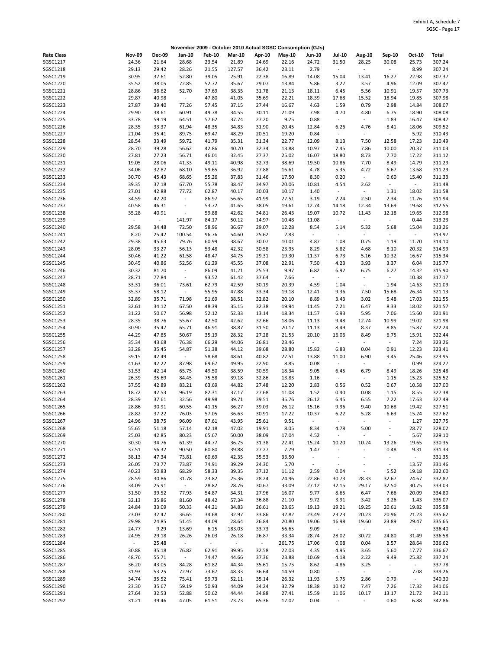|                   |                     |               |                          |               |               |                     | November 2009 - October 2010 Actual SGSC Consumption (GJs) |                          |                          |                          |                          |          |        |
|-------------------|---------------------|---------------|--------------------------|---------------|---------------|---------------------|------------------------------------------------------------|--------------------------|--------------------------|--------------------------|--------------------------|----------|--------|
| <b>Rate Class</b> | <b>Nov-09</b>       | <b>Dec-09</b> | Jan-10                   | <b>Feb-10</b> | <b>Mar-10</b> | Apr-10              | May-10                                                     | Jun-10                   | <b>Jul-10</b>            | Aug-10                   | Sep-10                   | Oct-10   | Total  |
| SGSC1217          | 24.36               | 21.64         | 28.68                    | 23.54         | 21.89         | 24.69               | 22.16                                                      | 24.72                    | 31.50                    | 28.25                    | 30.08                    | 25.73    | 307.24 |
| SGSC1218          | 29.13               | 29.42         | 28.26                    | 21.55         | 127.57        | 36.42               | 23.11                                                      | 2.79                     | $\sim$                   | $\omega$                 | $\sim$                   | 8.99     | 307.24 |
|                   |                     |               |                          |               |               |                     |                                                            |                          |                          |                          |                          |          |        |
| SGSC1219          | 30.95               | 37.61         | 52.80                    | 39.05         | 25.91         | 22.38               | 16.89                                                      | 14.08                    | 15.04                    | 13.41                    | 16.27                    | 22.98    | 307.37 |
| SGSC1220          | 35.52               | 38.05         | 72.85                    | 52.72         | 35.67         | 29.07               | 13.84                                                      | 5.86                     | 3.27                     | 3.57                     | 4.96                     | 12.09    | 307.47 |
| SGSC1221          | 28.86               | 36.62         | 52.70                    | 37.69         | 38.35         | 31.78               | 21.13                                                      | 18.11                    | 6.45                     | 5.56                     | 10.91                    | 19.57    | 307.73 |
| SGSC1222          | 29.87               | 40.98         | $\sim$                   | 47.80         | 41.05         | 35.69               | 22.21                                                      | 18.39                    | 17.68                    | 15.52                    | 18.94                    | 19.85    | 307.98 |
| SGSC1223          | 27.87               | 39.40         | 77.26                    | 57.45         | 37.15         | 27.44               | 16.67                                                      | 4.63                     | 1.59                     | 0.79                     | 2.98                     | 14.84    | 308.07 |
| SGSC1224          | 29.90               |               | 60.91                    | 49.78         | 34.55         | 30.11               | 21.09                                                      | 7.98                     | 4.70                     | 4.80                     | 6.75                     | 18.90    | 308.08 |
|                   |                     | 38.61         |                          |               |               |                     |                                                            |                          |                          |                          |                          |          |        |
| SGSC1225          | 33.78               | 59.19         | 64.51                    | 57.62         | 37.74         | 27.20               | 9.25                                                       | 0.88                     | $\sim$                   | $\omega_{\rm c}$         | 1.83                     | 16.47    | 308.47 |
| SGSC1226          | 28.35               | 33.37         | 61.94                    | 48.35         | 34.83         | 31.90               | 20.45                                                      | 12.84                    | 6.26                     | 4.76                     | 8.41                     | 18.06    | 309.52 |
| SGSC1227          | 21.04               | 35.41         | 89.75                    | 69.47         | 48.29         | 20.51               | 19.20                                                      | 0.84                     | $\blacksquare$           | $\sim$                   | $\sim$                   | 5.92     | 310.43 |
| SGSC1228          | 28.54               | 33.49         | 59.72                    | 41.79         | 35.31         | 31.34               | 22.77                                                      | 12.09                    | 8.13                     | 7.50                     | 12.58                    | 17.23    | 310.49 |
| SGSC1229          | 28.70               | 39.28         | 56.62                    | 42.86         | 40.70         | 32.34               | 13.88                                                      | 10.97                    | 7.45                     | 7.86                     | 10.00                    | 20.37    | 311.03 |
|                   |                     |               |                          |               |               |                     |                                                            |                          |                          |                          |                          |          |        |
| SGSC1230          | 27.81               | 27.23         | 56.71                    | 46.01         | 32.45         | 27.37               | 25.02                                                      | 16.07                    | 18.80                    | 8.73                     | 7.70                     | 17.22    | 311.12 |
| SGSC1231          | 19.05               | 28.06         | 41.33                    | 49.11         | 40.98         | 32.73               | 38.69                                                      | 19.50                    | 10.86                    | 7.70                     | 8.49                     | 14.79    | 311.29 |
| SGSC1232          | 34.06               | 32.87         | 68.10                    | 59.65         | 36.92         | 27.88               | 16.61                                                      | 4.78                     | 5.35                     | 4.72                     | 6.67                     | 13.68    | 311.29 |
| SGSC1233          | 30.70               | 45.43         | 68.65                    | 55.26         | 37.83         | 31.46               | 17.50                                                      | 8.30                     | 0.20                     | $\omega$                 | 0.60                     | 15.40    | 311.33 |
| SGSC1234          | 39.35               | 37.18         | 67.70                    | 55.78         | 38.47         | 34.97               | 20.06                                                      | 10.81                    | 4.54                     | 2.62                     | $\sim$                   | $\sim$   | 311.48 |
|                   |                     |               |                          |               |               |                     |                                                            |                          |                          |                          |                          |          |        |
| SGSC1235          | 27.01               | 42.88         | 77.72                    | 62.87         | 40.17         | 30.03               | 10.17                                                      | 1.40                     | $\sim$                   | $\omega$                 | 1.31                     | 18.02    | 311.58 |
| SGSC1236          | 34.59               | 42.20         | $\sim$                   | 86.97         | 56.65         | 41.99               | 27.51                                                      | 3.19                     | 2.24                     | 2.50                     | 2.34                     | 11.76    | 311.94 |
| SGSC1237          | 40.58               | 46.31         | $\blacksquare$           | 53.72         | 41.65         | 38.05               | 19.61                                                      | 12.74                    | 14.18                    | 12.34                    | 13.69                    | 19.68    | 312.55 |
| SGSC1238          | 35.28               | 40.91         | $\overline{\phantom{a}}$ | 59.88         | 42.62         | 34.81               | 26.43                                                      | 19.07                    | 10.72                    | 11.43                    | 12.18                    | 19.65    | 312.98 |
| SGSC1239          | $\sim$              | $\mathcal{L}$ | 141.97                   | 84.17         | 50.12         | 14.97               | 10.48                                                      | 11.08                    | $\sim$                   | $\omega$                 | $\sim$                   | 0.44     | 313.23 |
|                   |                     |               |                          |               |               |                     |                                                            |                          |                          |                          |                          |          |        |
| SGSC1240          | 29.58               | 34.48         | 72.50                    | 58.96         | 36.67         | 29.07               | 12.28                                                      | 8.54                     | 5.14                     | 5.32                     | 5.68                     | 15.04    | 313.26 |
| SGSC1241          | 8.20                | 25.42         | 100.54                   | 96.76         | 54.60         | 25.62               | 2.83                                                       | $\overline{\phantom{a}}$ | $\blacksquare$           | $\sim$                   | $\blacksquare$           | $\omega$ | 313.97 |
| SGSC1242          | 29.38               | 45.63         | 79.76                    | 60.99         | 38.67         | 30.07               | 10.01                                                      | 4.87                     | 1.08                     | 0.75                     | 1.19                     | 11.70    | 314.10 |
| SGSC1243          | 28.05               | 33.27         | 56.13                    | 53.48         | 42.32         | 30.58               | 23.95                                                      | 8.29                     | 5.82                     | 4.68                     | 8.10                     | 20.32    | 314.99 |
| SGSC1244          | 30.46               | 41.22         | 61.58                    | 48.47         | 34.75         | 29.31               | 19.30                                                      | 11.37                    | 6.73                     | 5.16                     | 10.32                    | 16.67    | 315.34 |
|                   |                     |               |                          |               |               |                     |                                                            |                          |                          |                          |                          |          |        |
| SGSC1245          | 30.45               | 40.86         | 52.56                    | 61.29         | 45.55         | 37.08               | 22.91                                                      | 7.50                     | 4.23                     | 3.93                     | 3.37                     | 6.04     | 315.77 |
| SGSC1246          | 30.32               | 81.70         | $\blacksquare$           | 86.09         | 41.21         | 25.53               | 9.97                                                       | 6.82                     | 6.92                     | 6.75                     | 6.27                     | 14.32    | 315.90 |
| SGSC1247          | 28.71               | 77.84         | $\overline{\phantom{a}}$ | 93.52         | 61.42         | 37.64               | 7.66                                                       | $\omega$                 | $\sim$                   | $\sim$                   | $\sim$                   | 10.38    | 317.17 |
| SGSC1248          | 33.31               | 36.01         | 73.61                    | 62.79         | 42.59         | 30.19               | 20.39                                                      | 4.59                     | 1.04                     | $\sim$                   | 1.94                     | 14.63    | 321.09 |
| SGSC1249          | 35.37               | 58.12         | $\sim$                   | 55.95         | 47.88         | 33.34               | 19.18                                                      | 12.41                    | 9.36                     | 7.50                     | 15.68                    | 26.34    | 321.13 |
|                   |                     |               |                          |               |               |                     |                                                            |                          |                          |                          |                          |          |        |
| SGSC1250          | 32.89               | 35.71         | 71.98                    | 51.69         | 38.51         | 32.82               | 20.10                                                      | 8.89                     | 3.43                     | 3.02                     | 5.48                     | 17.03    | 321.55 |
| SGSC1251          | 32.61               | 34.12         | 67.50                    | 48.39         | 35.15         | 32.38               | 19.94                                                      | 11.45                    | 7.21                     | 6.47                     | 8.33                     | 18.02    | 321.57 |
| SGSC1252          | 31.22               | 50.67         | 56.98                    | 52.12         | 52.33         | 13.14               | 18.34                                                      | 11.57                    | 6.93                     | 5.95                     | 7.06                     | 15.60    | 321.91 |
| SGSC1253          | 28.35               | 38.76         | 55.67                    | 42.50         | 42.62         | 32.66               | 18.06                                                      | 11.13                    | 9.48                     | 12.74                    | 10.99                    | 19.02    | 321.98 |
| SGSC1254          | 30.90               | 35.47         | 65.71                    | 46.91         | 38.87         | 31.50               | 20.17                                                      | 11.13                    | 8.49                     | 8.37                     | 8.85                     | 15.87    | 322.24 |
| SGSC1255          | 44.29               | 47.85         | 50.67                    | 35.19         | 28.32         | 27.28               | 21.53                                                      | 20.10                    |                          | 8.49                     | 6.75                     | 15.91    | 322.44 |
|                   |                     |               |                          |               |               |                     |                                                            |                          | 16.06                    |                          |                          |          |        |
| SGSC1256          | 35.34               | 43.68         | 76.38                    | 66.29         | 44.06         | 26.81               | 23.46                                                      | $\sim$                   | $\sim$                   | $\omega$                 | $\sim$                   | 7.24     | 323.26 |
| SGSC1257          | 33.28               | 35.45         | 54.87                    | 51.38         | 44.12         | 39.68               | 28.80                                                      | 15.82                    | 6.83                     | 0.04                     | 0.91                     | 12.23    | 323.41 |
| SGSC1258          | 39.15               | 42.49         | $\sim 10$                | 58.68         | 48.61         | 40.82               | 27.51                                                      | 13.88                    | 11.00                    | 6.90                     | 9.45                     | 25.46    | 323.95 |
| SGSC1259          | 41.63               | 42.22         | 87.98                    | 69.67         | 49.95         | 22.90               | 8.85                                                       | 0.08                     | $\omega$                 | $\omega$                 | $\sim$                   | 0.99     | 324.27 |
| SGSC1260          |                     | 42.14         | 65.75                    | 49.50         |               | 30.59               | 18.34                                                      | 9.05                     | 6.45                     | 6.79                     |                          | 18.26    | 325.48 |
|                   | 31.53               |               |                          |               | 38.59         |                     |                                                            |                          |                          |                          | 8.49                     |          |        |
| SGSC1261          | 26.39               | 35.69         | 84.45                    | 75.58         | 39.18         | 32.86               | 13.83                                                      | 1.16                     | $\blacksquare$           | $\omega$                 | 1.15                     | 15.23    | 325.52 |
| SGSC1262          | 37.55               | 42.89         | 83.21                    | 63.69         | 44.82         | 27.48               | 12.20                                                      | 2.83                     | 0.56                     | 0.52                     | 0.67                     | 10.58    | 327.00 |
| SGSC1263          | 18.72               | 42.53         | 96.19                    | 82.31         | 37.17         | 27.68               | 11.08                                                      | 1.52                     | 0.40                     | 0.08                     | 1.15                     | 8.55     | 327.38 |
| SGSC1264          | 28.39               | 37.61         | 32.56                    | 49.98         | 39.71         | 39.51               | 35.76                                                      | 26.12                    | 6.45                     | 6.55                     | 7.22                     | 17.63    | 327.49 |
|                   | 28.86               | 30.91         | 60.55                    | 41.15         | 36.27         | 39.03               | 26.12                                                      |                          | 9.96                     | 9.40                     | 10.68                    | 19.42    | 327.51 |
| SGSC1265          |                     |               |                          |               |               |                     |                                                            | 15.16                    |                          |                          |                          |          |        |
| SGSC1266          | 28.82               | 37.22         | 76.03                    | 57.05         | 36.63         | 30.91               | 17.22                                                      | 10.37                    | 6.22                     | 5.28                     | 6.63                     | 15.24    | 327.62 |
| SGSC1267          | 24.96               | 38.75         | 96.09                    | 87.61         | 43.95         | 25.61               | 9.51                                                       | $\blacksquare$           | $\blacksquare$           | $\blacksquare$           |                          | 1.27     | 327.75 |
| SGSC1268          | 55.65               | 51.18         | 57.14                    | 42.18         | 47.02         | 19.91               | 8.05                                                       | 8.34                     | 4.78                     | 5.00                     | $\overline{\phantom{a}}$ | 28.77    | 328.02 |
| SGSC1269          | 25.03               | 42.85         | 80.23                    | 65.67         | 50.00         | 38.09               | 17.04                                                      | 4.52                     | $\blacksquare$           | $\sim$                   |                          | 5.67     | 329.10 |
| SGSC1270          | 30.30               | 34.76         | 61.39                    | 44.77         | 36.75         | 31.38               | 22.41                                                      | 15.24                    | 10.20                    | 10.24                    | 13.26                    | 19.65    | 330.35 |
|                   |                     |               |                          |               |               |                     |                                                            |                          |                          |                          |                          |          |        |
| SGSC1271          | 37.51               | 56.32         | 90.50                    | 60.80         | 39.88         | 27.27               | 7.79                                                       | 1.47                     | $\blacksquare$           | $\bar{\phantom{a}}$      | 0.48                     | 9.31     | 331.33 |
| SGSC1272          | 38.13               | 47.34         | 73.81                    | 60.69         | 42.35         | 35.53               | 33.50                                                      | $\overline{\phantom{a}}$ | $\blacksquare$           | $\overline{\phantom{a}}$ | $\blacksquare$           | $\omega$ | 331.35 |
| SGSC1273          | 26.05               | 73.77         | 73.87                    | 74.91         | 39.29         | 24.30               | 5.70                                                       | $\overline{\phantom{a}}$ | $\overline{\phantom{a}}$ | $\overline{\phantom{a}}$ | $\sim$                   | 13.57    | 331.46 |
| SGSC1274          | 40.23               | 50.83         | 68.29                    | 58.33         | 39.35         | 37.12               | 11.12                                                      | 2.59                     | 0.04                     | $\sim$                   | 5.52                     | 19.18    | 332.60 |
| SGSC1275          | 28.59               | 30.86         | 31.78                    | 23.82         | 25.36         | 28.24               | 24.96                                                      | 22.86                    | 30.73                    | 28.33                    | 32.67                    | 24.67    | 332.87 |
|                   |                     |               |                          |               |               |                     |                                                            |                          |                          |                          |                          |          |        |
| SGSC1276          | 34.09               | 25.91         | $\sim$                   | 28.82         | 28.76         | 30.67               | 33.09                                                      | 27.12                    | 32.15                    | 29.17                    | 32.50                    | 30.75    | 333.03 |
| SGSC1277          | 31.50               | 39.52         | 77.93                    | 54.87         | 34.31         | 27.96               | 16.07                                                      | 9.77                     | 8.65                     | 6.47                     | 7.66                     | 20.09    | 334.80 |
| SGSC1278          | 32.13               | 35.86         | 81.60                    | 48.42         | 57.34         | 36.88               | 21.10                                                      | 9.72                     | 3.91                     | 3.42                     | 3.26                     | 1.43     | 335.07 |
| SGSC1279          | 24.84               | 33.09         | 50.33                    | 44.21         | 34.83         | 26.61               | 23.65                                                      | 19.13                    | 19.21                    | 19.25                    | 20.61                    | 19.82    | 335.58 |
| SGSC1280          | 23.03               | 32.47         | 36.65                    | 34.68         | 32.97         | 33.86               | 32.82                                                      | 23.49                    | 23.23                    | 20.23                    | 20.96                    | 21.23    | 335.62 |
|                   |                     |               |                          |               |               |                     |                                                            |                          |                          | 19.60                    |                          |          |        |
| SGSC1281          | 29.98               | 24.85         | 51.45                    | 44.09         | 28.64         | 26.84               | 20.80                                                      | 19.06                    | 16.98                    |                          | 23.89                    | 29.47    | 335.65 |
| SGSC1282          | 24.77               | 9.29          | 13.69                    | 6.15          | 183.03        | 33.73               | 56.65                                                      | 9.09                     | $\sim$                   | $\omega$                 | $\sim$                   | $\sim$   | 336.40 |
| SGSC1283          | 24.95               | 29.18         | 26.26                    | 26.03         | 26.18         | 26.87               | 33.34                                                      | 28.74                    | 28.02                    | 30.72                    | 24.80                    | 31.49    | 336.58 |
| SGSC1284          | $\omega_{\rm{eff}}$ | 25.48         | $\sim$                   | $\sim$        | $\sim$        | $\omega_{\rm{max}}$ | 261.75                                                     | 17.06                    | 0.08                     | 0.04                     | 3.57                     | 28.64    | 336.62 |
| SGSC1285          | 30.88               | 35.18         | 76.82                    | 62.91         | 39.95         | 32.58               | 22.03                                                      | 4.35                     | 4.95                     | 3.65                     | 5.60                     | 17.77    | 336.67 |
|                   |                     |               |                          |               |               |                     |                                                            |                          |                          |                          |                          | 25.82    | 337.24 |
| SGSC1286          | 48.76               | 55.71         | $\sim$                   | 74.47         | 44.66         | 37.36               | 23.88                                                      | 10.69                    | 4.18                     | 2.22                     | 9.49                     |          |        |
| SGSC1287          | 36.20               | 43.05         | 84.28                    | 61.82         | 44.34         | 35.61               | 15.75                                                      | 8.62                     | 4.86                     | 3.25                     | $\overline{\phantom{a}}$ | $\omega$ | 337.78 |
| SGSC1288          | 31.93               | 53.25         | 72.97                    | 73.67         | 48.33         | 36.64               | 14.59                                                      | 0.80                     | $\sim$                   | $\sim$                   | $\blacksquare$           | 7.08     | 339.26 |
| SGSC1289          | 34.74               | 35.52         | 75.41                    | 59.73         | 52.11         | 35.14               | 26.32                                                      | 11.93                    | 5.75                     | 2.86                     | 0.79                     | $\sim$   | 340.30 |
| SGSC1290          | 23.30               | 35.67         | 59.19                    | 50.93         | 44.09         | 34.24               | 32.79                                                      | 18.38                    | 10.42                    | 7.47                     | 7.26                     | 17.32    | 341.06 |
|                   |                     |               |                          |               |               |                     |                                                            |                          |                          |                          |                          |          |        |
| SGSC1291          | 27.64               | 32.53         | 52.88                    | 50.62         | 44.44         | 34.88               | 27.41                                                      | 15.59                    | 11.06                    | 10.17                    | 13.17                    | 21.72    | 342.11 |
| SGSC1292          | 31.21               | 39.46         | 47.05                    | 61.51         | 73.73         | 65.36               | 17.02                                                      | 0.04                     | $\overline{\phantom{a}}$ | $\omega_{\rm c}$         | 0.60                     | 6.88     | 342.86 |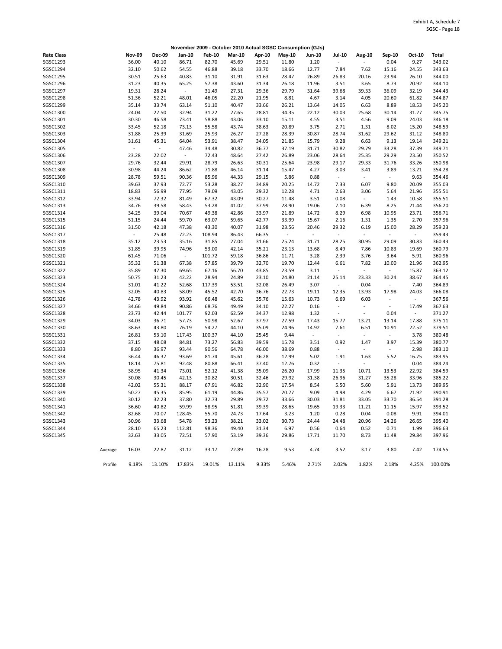|                   |         |               |                     |          |               |               |        | November 2009 - October 2010 Actual SGSC Consumption (GJs) |                          |                          |                          |                          |        |              |
|-------------------|---------|---------------|---------------------|----------|---------------|---------------|--------|------------------------------------------------------------|--------------------------|--------------------------|--------------------------|--------------------------|--------|--------------|
| <b>Rate Class</b> |         | <b>Nov-09</b> | <b>Dec-09</b>       | Jan-10   | <b>Feb-10</b> | <b>Mar-10</b> | Apr-10 | May-10                                                     | <b>Jun-10</b>            | <b>Jul-10</b>            | <b>Aug-10</b>            | Sep-10                   | Oct-10 | <b>Total</b> |
| SGSC1293          |         | 36.00         | 40.10               | 86.71    | 82.70         | 45.69         | 29.51  | 11.80                                                      | 1.20                     | $\overline{a}$           | $\sim$                   | 0.04                     | 9.27   | 343.02       |
| SGSC1294          |         | 32.10         | 50.62               | 54.55    | 46.88         | 39.18         | 33.70  | 18.66                                                      | 12.77                    | 7.84                     | 7.62                     | 15.16                    | 24.55  | 343.63       |
| SGSC1295          |         | 30.51         | 25.63               | 40.83    | 31.10         | 31.91         | 31.63  | 28.47                                                      | 26.89                    | 26.83                    | 20.16                    | 23.94                    | 26.10  | 344.00       |
| SGSC1296          |         | 31.23         | 40.35               | 65.25    | 57.38         | 43.60         | 31.34  | 26.18                                                      | 11.96                    | 3.51                     | 3.65                     | 8.73                     | 20.92  | 344.10       |
| SGSC1297          |         | 19.31         | 28.24               | ÷,       | 31.49         | 27.31         | 29.36  | 29.79                                                      | 31.64                    | 39.68                    | 39.33                    | 36.09                    | 32.19  | 344.43       |
| SGSC1298          |         | 51.36         | 52.21               | 48.01    | 46.05         | 22.20         | 21.95  | 8.81                                                       | 4.67                     | 3.14                     | 4.05                     | 20.60                    | 61.82  | 344.87       |
| SGSC1299          |         | 35.14         | 33.74               | 63.14    | 51.10         | 40.47         | 33.66  | 26.21                                                      | 13.64                    | 14.05                    | 6.63                     | 8.89                     | 18.53  | 345.20       |
| SGSC1300          |         | 24.04         | 27.50               | 32.94    | 31.22         | 27.65         | 28.81  | 34.35                                                      | 22.12                    | 30.03                    | 25.68                    | 30.14                    | 31.27  | 345.75       |
| SGSC1301          |         | 30.30         | 46.58               | 73.41    | 58.88         | 43.06         | 33.10  | 15.11                                                      | 4.55                     | 3.51                     | 4.56                     | 9.09                     | 24.03  | 346.18       |
| SGSC1302          |         | 33.45         | 52.18               | 73.13    | 55.58         | 43.74         | 38.63  | 20.89                                                      | 3.75                     | 2.71                     | 1.31                     | 8.02                     | 15.20  | 348.59       |
| SGSC1303          |         | 31.88         | 25.39               | 31.69    | 25.93         | 26.27         | 27.28  | 28.39                                                      | 30.87                    | 28.74                    | 31.62                    | 29.62                    | 31.12  | 348.80       |
| SGSC1304          |         | 31.61         | 45.31               | 64.04    | 53.91         | 38.47         | 34.05  | 21.85                                                      | 15.79                    | 9.28                     | 6.63                     | 9.13                     | 19.14  | 349.21       |
| SGSC1305          |         | $\omega$      | $\bar{\phantom{a}}$ | 47.46    | 34.48         | 30.82         | 36.77  | 37.19                                                      | 31.71                    | 30.82                    | 29.79                    | 33.28                    | 37.39  | 349.71       |
| SGSC1306          |         | 23.28         | 22.02               |          | 72.43         | 48.64         | 27.42  | 26.89                                                      | 23.06                    | 28.64                    | 25.35                    | 29.29                    | 23.50  | 350.52       |
| SGSC1307          |         | 29.76         | 32.44               | 29.91    | 28.79         | 26.63         | 30.31  | 25.64                                                      | 23.98                    | 29.17                    | 29.33                    | 31.76                    | 33.26  | 350.98       |
| SGSC1308          |         | 30.98         | 44.24               | 86.62    | 71.88         | 46.14         | 31.14  | 15.47                                                      | 4.27                     | 3.03                     | 3.41                     | 3.89                     | 13.21  | 354.28       |
| SGSC1309          |         | 28.78         | 59.51               | 90.36    | 85.96         | 44.33         | 29.15  | 5.86                                                       | 0.88                     | $\sim$                   | $\sim$                   | $\overline{\phantom{a}}$ | 9.63   | 354.46       |
| SGSC1310          |         | 39.63         | 37.93               | 72.77    | 53.28         | 38.27         | 34.89  | 20.25                                                      | 14.72                    | 7.33                     | 6.07                     | 9.80                     | 20.09  | 355.03       |
| SGSC1311          |         | 18.83         | 56.99               | 77.95    | 79.09         | 43.05         | 29.32  | 12.28                                                      | 4.71                     | 2.63                     | 3.06                     | 5.64                     | 21.96  | 355.51       |
| SGSC1312          |         | 33.94         | 72.32               | 81.49    | 67.32         | 43.09         | 30.27  | 11.48                                                      | 3.51                     | 0.08                     | $\omega$                 | 1.43                     | 10.58  | 355.51       |
| SGSC1313          |         | 34.76         | 39.58               | 58.43    | 53.28         | 41.02         | 37.99  | 28.90                                                      | 19.06                    | 7.10                     | 6.39                     | 8.25                     | 21.44  | 356.20       |
| SGSC1314          |         | 34.25         | 39.04               | 70.67    | 49.38         | 42.86         | 33.97  | 21.89                                                      | 14.72                    | 8.29                     | 6.98                     | 10.95                    | 23.71  | 356.71       |
| SGSC1315          |         | 51.15         | 24.44               | 59.70    | 63.07         | 59.65         | 42.77  | 33.99                                                      | 15.67                    | 2.16                     | 1.31                     | 1.35                     | 2.70   | 357.96       |
| SGSC1316          |         | 31.50         | 42.18               | 47.38    | 43.30         | 40.07         | 31.98  | 23.56                                                      | 20.46                    | 29.32                    | 6.19                     | 15.00                    | 28.29  | 359.23       |
| SGSC1317          |         | $\Box$        | 25.48               | 72.23    | 108.94        | 86.43         | 66.35  | $\Box$                                                     |                          |                          |                          |                          | L.     | 359.43       |
| SGSC1318          |         | 35.12         | 23.53               | 35.16    | 31.85         | 27.04         | 31.66  | 25.24                                                      | 31.71                    | 28.25                    | 30.95                    | 29.09                    | 30.83  | 360.43       |
| SGSC1319          |         | 31.85         | 39.95               | 74.96    | 53.00         | 42.14         | 35.21  | 23.13                                                      | 13.68                    | 8.49                     | 7.86                     | 10.83                    | 19.69  | 360.79       |
| SGSC1320          |         | 61.45         | 71.06               | $\omega$ | 101.72        | 59.18         | 36.86  | 11.71                                                      | 3.28                     | 2.39                     | 3.76                     | 3.64                     | 5.91   | 360.96       |
| SGSC1321          |         | 35.32         | 51.38               | 67.38    | 57.85         | 39.79         | 32.70  | 19.70                                                      | 12.44                    | 6.61                     | 7.82                     | 10.00                    | 21.96  | 362.95       |
| SGSC1322          |         | 35.89         | 47.30               | 69.65    | 67.16         | 56.70         | 43.85  | 23.59                                                      | 3.11                     | $\sim$                   | $\sim$                   | $\sim$                   | 15.87  | 363.12       |
| SGSC1323          |         | 50.75         | 31.23               | 42.22    | 28.94         | 24.89         | 23.10  | 24.80                                                      | 21.14                    | 25.14                    | 23.33                    | 30.24                    | 38.67  | 364.45       |
| SGSC1324          |         | 31.01         | 41.22               | 52.68    | 117.39        | 53.51         | 32.08  | 26.49                                                      | 3.07                     | ÷,                       | 0.04                     | $\overline{\phantom{a}}$ | 7.40   | 364.89       |
| SGSC1325          |         | 32.05         | 40.83               | 58.09    | 45.52         | 42.70         | 36.76  | 22.73                                                      | 19.11                    | 12.35                    | 13.93                    | 17.98                    | 24.03  | 366.08       |
| SGSC1326          |         | 42.78         | 43.92               | 93.92    | 66.48         | 45.62         | 35.76  | 15.63                                                      | 10.73                    | 6.69                     | 6.03                     |                          | ÷,     | 367.56       |
| SGSC1327          |         | 34.66         | 49.84               | 90.86    | 68.76         | 49.49         | 34.10  | 22.27                                                      | 0.16                     | $\Box$                   | $\Box$                   | $\omega$                 | 17.49  | 367.63       |
| SGSC1328          |         | 23.73         | 42.44               | 101.77   | 92.03         | 62.59         | 34.37  | 12.98                                                      | 1.32                     | L.                       | $\overline{\phantom{a}}$ | 0.04                     | $\Box$ | 371.27       |
| SGSC1329          |         | 34.03         | 36.71               | 57.73    | 50.98         | 52.67         | 37.97  | 27.59                                                      | 17.43                    | 15.77                    | 13.21                    | 13.14                    | 17.88  | 375.11       |
| SGSC1330          |         | 38.63         | 43.80               | 76.19    | 54.27         | 44.10         | 35.09  | 24.96                                                      | 14.92                    | 7.61                     | 6.51                     | 10.91                    | 22.52  | 379.51       |
| SGSC1331          |         | 26.81         | 53.10               | 117.43   | 100.37        | 44.10         | 25.45  | 9.44                                                       | $\overline{\phantom{a}}$ | $\overline{\phantom{a}}$ | $\ddot{\phantom{1}}$     | $\overline{\phantom{a}}$ | 3.78   | 380.48       |
| SGSC1332          |         | 37.15         | 48.08               | 84.81    | 73.27         | 56.83         | 39.59  | 15.78                                                      | 3.51                     | 0.92                     | 1.47                     | 3.97                     | 15.39  | 380.77       |
| SGSC1333          |         | 8.80          | 36.97               | 93.44    | 90.56         | 64.78         | 46.00  | 38.69                                                      | 0.88                     | $\blacksquare$           | $\blacksquare$           | $\overline{\phantom{a}}$ | 2.98   | 383.10       |
| SGSC1334          |         | 36.44         | 46.37               | 93.69    | 81.74         | 45.61         | 36.28  | 12.99                                                      | 5.02                     | 1.91                     | 1.63                     | 5.52                     | 16.75  | 383.95       |
| SGSC1335          |         | 18.14         | 75.81               | 92.48    | 80.88         | 66.41         | 37.40  | 12.76                                                      | 0.32                     | $\blacksquare$           | $\overline{\phantom{a}}$ | $\overline{\phantom{a}}$ | 0.04   | 384.24       |
| SGSC1336          |         | 38.95         | 41.34               | 73.01    | 52.12         | 41.38         | 35.09  | 26.20                                                      | 17.99                    | 11.35                    | 10.71                    | 13.53                    | 22.92  | 384.59       |
| SGSC1337          |         | 30.08         | 30.45               | 42.13    | 30.82         | 30.51         | 32.46  | 29.92                                                      | 31.38                    | 26.96                    | 31.27                    | 35.28                    | 33.96  | 385.22       |
| SGSC1338          |         | 42.02         | 55.31               | 88.17    | 67.91         | 46.82         | 32.90  | 17.54                                                      | 8.54                     | 5.50                     | 5.60                     | 5.91                     | 13.73  | 389.95       |
| SGSC1339          |         | 50.27         | 45.35               | 85.95    | 61.19         | 44.86         | 35.57  | 20.77                                                      | 9.09                     | 4.98                     | 4.29                     | 6.67                     | 21.92  | 390.91       |
| SGSC1340          |         | 30.12         | 32.23               | 37.80    | 32.73         | 29.89         | 29.72  | 33.66                                                      | 30.03                    | 31.81                    | 33.05                    | 33.70                    | 36.54  | 391.28       |
| SGSC1341          |         | 36.60         | 40.82               | 59.99    | 58.95         | 51.81         | 39.39  | 28.65                                                      | 19.65                    | 19.33                    | 11.21                    | 11.15                    | 15.97  | 393.52       |
| SGSC1342          |         | 82.68         | 70.07               | 128.45   | 55.70         | 24.73         | 17.64  | 3.23                                                       | 1.20                     | 0.28                     | 0.04                     | 0.08                     | 9.91   | 394.01       |
| SGSC1343          |         | 30.96         | 33.68               | 54.78    | 53.23         | 38.21         | 33.02  | 30.73                                                      | 24.44                    | 24.48                    | 20.96                    | 24.26                    | 26.65  | 395.40       |
| SGSC1344          |         | 28.10         | 65.23               | 112.81   | 98.36         | 49.40         | 31.34  | 6.97                                                       | 0.56                     | 0.64                     | 0.52                     | 0.71                     | 1.99   | 396.63       |
| SGSC1345          |         | 32.63         | 33.05               | 72.51    | 57.90         | 53.19         | 39.36  | 29.86                                                      | 17.71                    | 11.70                    | 8.73                     | 11.48                    | 29.84  | 397.96       |
|                   | Average | 16.03         | 22.87               | 31.12    | 33.17         | 22.89         | 16.28  | 9.53                                                       | 4.74                     | 3.52                     | 3.17                     | 3.80                     | 7.42   | 174.55       |
|                   | Profile | 9.18%         | 13.10%              | 17.83%   | 19.01%        |               | 9.33%  | 5.46%                                                      |                          | 2.02%                    | 1.82%                    | 2.18%                    | 4.25%  | 100.00%      |
|                   |         |               |                     |          |               | 13.11%        |        |                                                            | 2.71%                    |                          |                          |                          |        |              |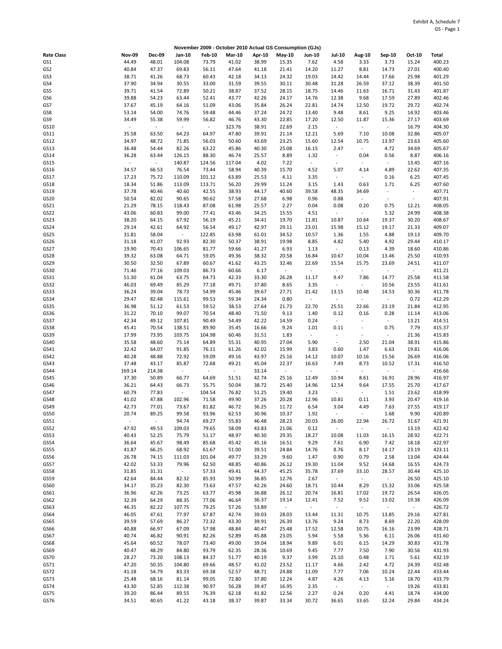|                   |                          |                          |                             |               | November 2009 - October 2010 Actual GS Consumption (GJs) |        |        |                          |                          |                |                             |                |        |
|-------------------|--------------------------|--------------------------|-----------------------------|---------------|----------------------------------------------------------|--------|--------|--------------------------|--------------------------|----------------|-----------------------------|----------------|--------|
| <b>Rate Class</b> | <b>Nov-09</b>            | <b>Dec-09</b>            | Jan-10                      | <b>Feb-10</b> | <b>Mar-10</b>                                            | Apr-10 | May-10 | <b>Jun-10</b>            | <b>Jul-10</b>            | Aug-10         | Sep-10                      | Oct-10         | Total  |
| GS1               | 44.49                    | 48.01                    | 104.08                      | 73.79         | 41.02                                                    | 38.99  | 15.35  | 7.62                     | 4.58                     | 3.33           | 3.73                        | 15.24          | 400.23 |
| GS2               | 40.84                    | 47.37                    | 69.83                       | 56.11         | 47.64                                                    | 41.18  | 21.41  | 14.20                    | 11.27                    | 8.81           | 14.73                       | 27.01          | 400.40 |
| GS3               | 38.71                    | 41.26                    | 68.73                       | 60.43         | 42.18                                                    | 34.13  | 24.32  | 19.03                    | 14.42                    | 14.44          | 17.66                       | 25.98          | 401.29 |
| GS4               | 37.90                    | 34.94                    | 30.55                       | 33.00         | 31.59                                                    | 39.55  | 30.11  | 30.48                    | 31.28                    | 26.59          | 37.12                       | 38.39          | 401.50 |
| GS5               |                          | 41.54                    | 72.89                       | 50.21         | 38.87                                                    | 37.52  | 28.15  | 18.75                    | 14.46                    |                | 16.71                       | 31.43          | 401.87 |
|                   | 39.71                    |                          |                             |               |                                                          |        |        |                          |                          | 11.63          |                             |                |        |
| GS6               | 39.88                    | 54.23                    | 63.44                       | 52.41         | 43.77                                                    | 42.26  | 24.17  | 14.76                    | 12.38                    | 9.68           | 17.59                       | 27.89          | 402.46 |
| GS7               | 37.67                    | 45.19                    | 64.16                       | 51.09         | 43.06                                                    | 35.84  | 26.24  | 22.81                    | 14.74                    | 12.50          | 19.72                       | 29.72          | 402.74 |
| GS8               | 53.14                    | 54.00                    | 74.76                       | 59.48         | 44.46                                                    | 37.24  | 24.72  | 13.40                    | 9.48                     | 8.61           | 9.25                        | 14.92          | 403.46 |
| GS9               | 34.49                    | 55.38                    | 59.99                       | 56.82         | 46.76                                                    | 43.30  | 22.85  | 17.20                    | 12.50                    | 11.87          | 15.36                       | 27.17          | 403.69 |
| GS10              | $\overline{\phantom{a}}$ | $\omega$                 | $\bar{\phantom{a}}$         | $\sim$        | 323.76                                                   | 38.91  | 22.69  | 2.15                     | $\blacksquare$           | $\sim$         | $\Box$                      | 16.79          | 404.30 |
| GS11              | 35.58                    | 63.50                    | 64.23                       | 64.97         | 47.80                                                    | 39.91  | 21.14  | 12.21                    | 5.69                     | 7.10           | 10.08                       | 32.86          | 405.07 |
| GS12              | 34.97                    | 48.72                    | 71.85                       | 56.03         | 50.60                                                    | 43.69  | 23.25  | 15.60                    | 12.54                    | 10.75          | 13.97                       | 23.63          | 405.60 |
| GS13              | 36.48                    | 54.44                    | 82.26                       | 63.22         | 45.86                                                    | 40.30  | 25.08  | 16.15                    | 2.47                     | $\omega$       | 4.72                        | 34.69          | 405.67 |
| GS14              | 36.28                    | 63.44                    | 126.15                      | 88.30         | 46.74                                                    | 25.57  | 8.89   | 1.32                     | $\overline{\phantom{a}}$ | 0.04           | 0.56                        | 8.87           | 406.16 |
| GS15              | ÷,                       | $\omega$                 | 140.87                      | 124.56        | 117.04                                                   | 4.02   | 7.22   | $\sim$                   | $\sim$                   | $\blacksquare$ | $\omega$                    | 13.45          | 407.16 |
| GS16              | 34.57                    | 66.53                    | 76.54                       | 73.44         | 58.94                                                    | 40.39  | 15.70  | 4.52                     | 5.07                     | 4.14           | 4.89                        | 22.62          | 407.35 |
|                   |                          |                          |                             |               |                                                          |        |        |                          |                          |                |                             |                |        |
| GS17              | 17.23                    | 75.72                    | 110.09                      | 101.12        | 63.89                                                    | 25.53  | 4.11   | 3.35                     | $\overline{\phantom{a}}$ | $\omega$       | 0.16                        | 6.25           | 407.45 |
| GS18              | 18.34                    | 51.86                    | 113.09                      | 113.71        | 56.20                                                    | 29.99  | 11.24  | 3.15                     | 1.43                     | 0.63           | 1.71                        | 6.25           | 407.60 |
| GS19              | 37.78                    | 40.46                    | 40.60                       | 42.55         | 38.93                                                    | 44.17  | 40.60  | 39.58                    | 48.35                    | 34.69          | $\overline{\phantom{a}}$    | $\blacksquare$ | 407.71 |
| GS20              | 50.54                    | 82.02                    | 90.65                       | 90.62         | 57.58                                                    | 27.68  | 6.98   | 0.96                     | 0.88                     | $\omega$       | $\sim$                      | $\blacksquare$ | 407.91 |
| GS21              | 21.29                    | 78.15                    | 118.43                      | 87.08         | 61.98                                                    | 25.57  | 2.27   | 0.04                     | 0.08                     | 0.20           | 0.75                        | 12.21          | 408.05 |
| GS22              | 43.06                    | 60.83                    | 99.00                       | 77.41         | 43.46                                                    | 34.25  | 15.55  | 4.51                     | $\blacksquare$           | $\omega$       | 5.32                        | 24.99          | 408.38 |
| GS23              | 38.20                    | 64.15                    | 67.92                       | 56.19         | 45.21                                                    | 34.41  | 19.70  | 11.81                    | 10.87                    | 10.64          | 19.37                       | 30.20          | 408.67 |
| GS24              | 29.14                    | 42.61                    | 64.92                       | 56.54         | 49.17                                                    | 42.97  | 29.11  | 23.01                    | 15.98                    | 15.12          | 19.17                       | 21.33          | 409.07 |
| GS25              | 31.81                    | 58.04                    | $\mathcal{L}_{\mathcal{A}}$ | 122.85        | 63.98                                                    | 61.01  | 34.52  | 10.57                    | 1.36                     | 1.55           | 4.88                        | 19.13          | 409.70 |
| GS26              | 31.18                    | 41.07                    | 92.93                       | 82.30         | 50.37                                                    | 38.91  | 19.98  | 8.85                     | 4.82                     | 5.40           | 4.92                        | 29.44          | 410.17 |
| GS27              | 19.90                    | 70.43                    | 106.65                      | 81.77         | 59.66                                                    | 41.27  | 6.93   | 1.13                     | ÷,                       | 0.13           | 4.39                        | 18.60          | 410.86 |
|                   |                          |                          |                             |               |                                                          |        |        |                          |                          |                |                             |                |        |
| GS28              | 39.32                    | 63.08                    | 64.71                       | 59.05         | 49.36                                                    | 38.32  | 20.58  | 16.84                    | 10.67                    | 10.04          | 13.46                       | 25.50          | 410.93 |
| GS29              | 30.50                    | 32.50                    | 67.89                       | 60.67         | 41.62                                                    | 43.25  | 32.46  | 22.69                    | 15.54                    | 15.75          | 23.69                       | 24.51          | 411.07 |
| GS30              | 71.46                    | 77.16                    | 109.03                      | 86.73         | 60.66                                                    | 6.17   | $\sim$ | $\Box$                   | $\overline{\phantom{a}}$ | $\omega$       | $\Box$                      | $\blacksquare$ | 411.21 |
| GS31              | 51.30                    | 61.04                    | 63.75                       | 64.73         | 42.33                                                    | 33.30  | 26.28  | 11.17                    | 9.47                     | 7.86           | 14.77                       | 25.58          | 411.58 |
| GS32              | 46.03                    | 69.49                    | 85.29                       | 77.18         | 49.71                                                    | 37.80  | 8.65   | 3.35                     | $\overline{\phantom{a}}$ | $\sim$         | 10.56                       | 23.55          | 411.61 |
| GS33              | 36.24                    | 39.04                    | 78.73                       | 54.99         | 45.46                                                    | 39.67  | 27.71  | 21.42                    | 13.15                    | 10.48          | 14.53                       | 30.36          | 411.78 |
| GS34              | 29.47                    | 82.48                    | 115.61                      | 99.53         | 59.34                                                    | 24.34  | 0.80   | $\overline{\phantom{a}}$ |                          | $\omega$       | $\Box$                      | 0.72           | 412.29 |
| GS35              | 36.98                    | 51.12                    | 61.53                       | 59.52         | 38.53                                                    | 27.64  | 21.73  | 22.70                    | 25.51                    | 22.66          | 23.19                       | 21.84          | 412.95 |
| GS36              | 31.22                    | 70.10                    | 99.07                       | 70.54         | 48.40                                                    | 71.50  | 9.13   | 1.40                     | 0.12                     | 0.16           | 0.28                        | 11.14          | 413.06 |
| GS37              | 42.34                    | 49.12                    | 107.81                      | 90.49         | 54.49                                                    | 42.22  | 14.59  | 0.24                     | $\blacksquare$           | $\blacksquare$ | $\Box$                      | 13.21          | 414.51 |
|                   |                          |                          | 138.51                      | 89.90         | 35.45                                                    |        | 9.24   | 1.01                     |                          |                | 0.75                        | 7.79           |        |
| GS38              | 45.41                    | 70.54                    |                             |               |                                                          | 16.66  |        |                          | 0.11                     | $\blacksquare$ |                             |                | 415.37 |
| GS39              | 17.99                    | 73.95                    | 103.75                      | 104.98        | 60.46                                                    | 31.51  | 1.83   | $\omega$                 | $\overline{\phantom{a}}$ | $\omega$       | $\overline{\phantom{a}}$    | 21.36          | 415.83 |
| GS40              | 35.58                    | 48.60                    | 75.14                       | 64.89         | 55.31                                                    | 40.95  | 27.04  | 5.90                     | $\overline{\phantom{a}}$ | 2.50           | 21.04                       | 38.91          | 415.86 |
| GS41              | 32.42                    | 64.07                    | 91.85                       | 76.11         | 61.26                                                    | 42.02  | 15.99  | 3.83                     | 0.60                     | 1.47           | 6.63                        | 19.81          | 416.06 |
| GS42              | 40.28                    | 48.88                    | 72.92                       | 59.09         | 49.16                                                    | 43.97  | 25.16  | 14.12                    | 10.07                    | 10.16          | 15.56                       | 26.69          | 416.06 |
| GS43              | 37.48                    | 43.17                    | 85.87                       | 72.68         | 49.21                                                    | 45.04  | 22.37  | 16.63                    | 7.49                     | 8.73           | 10.52                       | 17.31          | 416.50 |
| GS44              | 169.14                   | 214.38                   | $\omega$                    | $\sim$        | $\omega$                                                 | 33.14  | $\sim$ | $\overline{\phantom{a}}$ | $\overline{\phantom{a}}$ | $\sim$         | $\overline{\phantom{a}}$    | $\blacksquare$ | 416.66 |
| GS45              | 37.30                    | 50.89                    | 66.77                       | 64.69         | 51.51                                                    | 42.74  | 25.16  | 12.49                    | 10.94                    | 8.61           | 16.91                       | 28.96          | 416.97 |
| GS46              | 36.21                    | 64.43                    | 66.73                       | 55.75         | 50.04                                                    | 38.72  | 25.40  | 14.96                    | 12.54                    | 9.64           | 17.55                       | 25.70          | 417.67 |
| GS47              | 60.79                    | 77.83                    | $\blacksquare$              | 104.54        | 76.82                                                    | 51.25  | 19.40  | 3.23                     | $\blacksquare$           | $\omega$       | 1.51                        | 23.62          | 418.99 |
| GS48              | 41.02                    | 47.88                    | 102.96                      | 71.58         | 49.90                                                    | 37.26  | 20.28  | 12.96                    | 10.81                    | 0.11           | 3.93                        | 20.47          | 419.16 |
|                   |                          |                          |                             |               |                                                          |        |        |                          |                          |                |                             |                |        |
| GS49              | 42.73                    | 77.01                    | 73.67                       | 81.82         | 46.72                                                    | 36.25  | 11.72  | 6.54                     | 3.04                     | 4.49           | 7.63                        | 27.55          | 419.17 |
| GS50              | 20.74                    | 89.25                    | 99.58                       | 93.96         | 62.53                                                    | 30.96  | 10.37  | 1.92                     |                          |                | 1.68                        | 9.90           | 420.89 |
| GS51              | $\blacksquare$           | $\overline{\phantom{a}}$ | 94.74                       | 69.27         | 55.83                                                    | 46.48  | 28.23  | 20.03                    | 26.00                    | 22.94          | 26.72                       | 31.67          | 421.91 |
| GS52              | 47.92                    | 49.53                    | 109.03                      | 79.65         | 58.09                                                    | 43.83  | 21.06  | 0.12                     | $\Box$                   | $\omega$       | $\omega$                    | 13.19          | 422.42 |
| GS53              | 40.43                    | 52.25                    | 75.79                       | 51.17         | 48.97                                                    | 40.30  | 29.35  | 18.27                    | 10.08                    | 11.03          | 16.15                       | 28.92          | 422.71 |
| GS54              | 36.64                    | 45.67                    | 98.49                       | 85.68         | 45.42                                                    | 45.16  | 16.51  | 9.29                     | 7.61                     | 6.90           | 7.42                        | 18.18          | 422.97 |
| GS55              | 41.87                    | 66.25                    | 68.92                       | 61.67         | 51.00                                                    | 39.51  | 24.84  | 14.76                    | 8.76                     | 8.17           | 14.17                       | 23.19          | 423.11 |
| GS56              | 26.78                    | 74.15                    | 111.03                      | 101.04        | 49.77                                                    | 33.29  | 9.60   | 1.47                     | 0.90                     | 0.79           | 2.58                        | 13.04          | 424.44 |
| GS57              | 42.02                    | 53.33                    | 79.96                       | 62.50         | 48.85                                                    | 40.86  | 26.12  | 19.30                    | 11.04                    | 9.52           | 14.68                       | 16.55          | 424.73 |
| GS58              | 31.85                    | 31.31                    | $\mathcal{L}_{\mathcal{C}}$ | 57.33         | 49.41                                                    | 44.37  | 45.25  | 35.78                    | 37.69                    | 33.10          | 28.57                       | 30.44          | 425.10 |
| GS59              | 42.64                    | 84.44                    | 82.32                       | 85.93         | 50.99                                                    | 36.85  | 12.76  | 2.67                     | $\sim$                   | $\sim$         | $\sim$                      | 26.50          | 425.10 |
|                   |                          | 35.23                    |                             |               | 47.57                                                    |        |        | 18.71                    | 10.44                    |                |                             | 33.06          |        |
| GS60              | 34.17                    |                          | 82.30                       | 73.63         |                                                          | 42.26  | 24.60  |                          |                          | 8.29           | 15.32                       |                | 425.58 |
| GS61              | 36.96                    | 42.26                    | 73.25                       | 63.77         | 45.98                                                    | 36.88  | 26.12  | 20.74                    | 16.81                    | 17.02          | 19.72                       | 26.54          | 426.05 |
| GS62              | 32.39                    | 64.29                    | 88.35                       | 77.06         | 46.64                                                    | 36.37  | 19.14  | 12.41                    | 7.52                     | 9.52           | 13.02                       | 19.38          | 426.09 |
| GS63              | 46.35                    | 82.22                    | 107.75                      | 79.25         | 57.26                                                    | 53.89  | $\sim$ | $\omega$                 | $\omega$                 | $\sim$         | $\mathcal{L}_{\mathcal{A}}$ | $\omega$       | 426.72 |
| GS64              | 46.05                    | 47.61                    | 77.97                       | 67.87         | 42.74                                                    | 39.03  | 28.03  | 13.44                    | 11.31                    | 10.75          | 13.85                       | 29.16          | 427.81 |
| GS65              | 39.59                    | 57.69                    | 86.27                       | 72.32         | 43.30                                                    | 39.91  | 26.39  | 13.76                    | 9.24                     | 8.73           | 8.69                        | 22.20          | 428.09 |
| GS66              | 40.88                    | 66.97                    | 67.09                       | 57.98         | 48.84                                                    | 40.47  | 25.48  | 17.52                    | 12.58                    | 10.75          | 16.16                       | 23.99          | 428.71 |
| GS67              | 40.74                    | 46.82                    | 90.91                       | 82.26         | 52.89                                                    | 45.88  | 23.05  | 5.94                     | 5.58                     | 5.36           | 6.11                        | 26.06          | 431.60 |
| GS68              | 45.64                    | 60.52                    | 78.07                       | 73.40         | 49.00                                                    | 39.04  | 18.94  | 9.89                     | 6.01                     | 6.15           | 14.29                       | 30.83          | 431.78 |
| GS69              | 40.47                    | 48.29                    | 84.80                       | 93.79         | 62.35                                                    | 28.36  | 10.69  | 9.45                     | 7.77                     | 7.50           | 7.90                        | 30.56          | 431.93 |
| GS70              | 28.27                    | 73.20                    | 108.13                      | 84.37         | 51.77                                                    | 40.19  | 9.37   | 3.99                     | 25.10                    | 0.48           | 1.71                        | 5.61           | 432.19 |
|                   |                          |                          |                             |               |                                                          |        |        |                          |                          |                |                             |                |        |
| GS71              | 47.20                    | 50.35                    | 104.80                      | 69.66         | 48.57                                                    | 41.02  | 23.52  | 11.17                    | 4.66                     | 2.42           | 4.72                        | 24.39          | 432.48 |
| GS72              | 41.18                    | 54.79                    | 83.33                       | 69.38         | 52.57                                                    | 48.71  | 24.88  | 11.09                    | 7.77                     | 7.06           | 10.24                       | 22.44          | 433.44 |
| GS73              | 25.48                    | 68.16                    | 81.14                       | 99.05         | 72.80                                                    | 37.80  | 12.24  | 4.87                     | 4.26                     | 4.13           | 5.16                        | 18.70          | 433.79 |
| GS74              | 43.30                    | 52.85                    | 112.38                      | 90.97         | 56.28                                                    | 39.47  | 16.95  | 2.35                     | $\sim$                   | $\omega$       | $\overline{\phantom{a}}$    | 19.26          | 433.81 |
| GS75              | 39.20                    | 86.44                    | 89.55                       | 76.39         | 62.18                                                    | 41.82  | 12.56  | 2.27                     | 0.24                     | 0.20           | 4.41                        | 18.74          | 434.00 |
| GS76              | 34.51                    | 40.65                    | 41.22                       | 43.18         | 38.37                                                    | 39.87  | 33.34  | 30.72                    | 36.65                    | 33.65          | 32.24                       | 29.84          | 434.24 |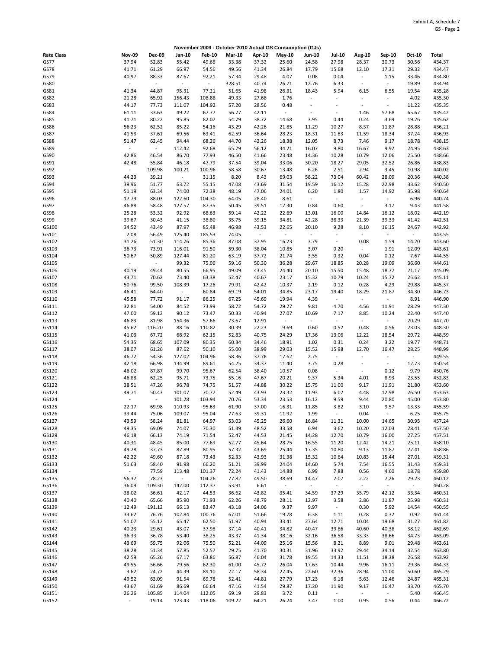|                   |                     |                 |                             |                          |                |                   | November 2009 - October 2010 Actual GS Consumption (GJs) |                                   |                                  |                                  |                              |                          |                  |
|-------------------|---------------------|-----------------|-----------------------------|--------------------------|----------------|-------------------|----------------------------------------------------------|-----------------------------------|----------------------------------|----------------------------------|------------------------------|--------------------------|------------------|
| <b>Rate Class</b> | <b>Nov-09</b>       | Dec-09          | Jan-10                      | <b>Feb-10</b>            | <b>Mar-10</b>  | Apr-10            | May-10                                                   | <b>Jun-10</b>                     | <b>Jul-10</b>                    | <b>Aug-10</b>                    | Sep-10                       | Oct-10                   | Total            |
| GS77              | 37.94               | 52.83           | 55.42                       | 49.66                    | 33.38          | 37.32             | 25.60                                                    | 24.58                             | 27.98                            | 28.37                            | 30.73                        | 30.56                    | 434.37           |
| GS78              | 41.71               | 61.29           | 66.97                       | 54.56                    | 49.56          | 41.34             | 26.84                                                    | 17.79                             | 15.68                            | 12.10                            | 17.31                        | 29.32                    | 434.47           |
| GS79              | 40.97               | 88.33           | 87.67                       | 92.21                    | 57.34          | 29.48             | 4.07                                                     | 0.08                              | 0.04                             | $\blacksquare$                   | 1.15                         | 33.46                    | 434.80           |
| GS80              | $\bar{\phantom{a}}$ | $\omega$        | $\blacksquare$              | $\overline{\phantom{a}}$ | 328.51         | 40.74             | 26.71                                                    | 12.76                             | 6.33                             | $\overline{\phantom{a}}$         | $\Box$                       | 19.89                    | 434.94           |
| GS81<br>GS82      | 41.34<br>21.28      | 44.87<br>65.92  | 95.31<br>156.43             | 77.21<br>108.88          | 51.65<br>49.33 | 41.98<br>27.68    | 26.31<br>1.76                                            | 18.43<br>$\overline{\phantom{a}}$ | 5.94<br>$\overline{\phantom{a}}$ | 6.15<br>$\overline{\phantom{a}}$ | 6.55<br>$\ddot{\phantom{a}}$ | 19.54<br>4.02            | 435.28<br>435.30 |
| GS83              | 44.17               | 77.73           | 111.07                      | 104.92                   | 57.20          | 28.56             | 0.48                                                     | ä,                                | $\overline{\phantom{a}}$         | $\overline{\phantom{a}}$         | $\blacksquare$               | 11.22                    | 435.35           |
| GS84              | 61.11               | 33.63           | 49.22                       | 67.77                    | 56.77          | 42.11             | $\omega$                                                 | ÷,                                | $\overline{\phantom{a}}$         | 1.46                             | 57.68                        | 65.67                    | 435.42           |
| GS85              | 41.71               | 80.22           | 95.85                       | 82.07                    | 54.79          | 38.72             | 14.68                                                    | 3.95                              | 0.44                             | 0.24                             | 3.69                         | 19.26                    | 435.62           |
| GS86              | 56.23               | 62.52           | 85.22                       | 54.16                    | 43.29          | 42.26             | 21.85                                                    | 11.29                             | 10.27                            | 8.37                             | 11.87                        | 28.88                    | 436.21           |
| GS87              | 41.58               | 37.61           | 69.56                       | 63.41                    | 62.59          | 36.64             | 28.23                                                    | 18.31                             | 11.83                            | 11.59                            | 18.34                        | 37.24                    | 436.93           |
| GS88              | 51.47               | 62.45           | 94.44                       | 68.26                    | 44.70          | 42.26             | 18.38                                                    | 12.05                             | 8.73                             | 7.46                             | 9.17                         | 18.78                    | 438.15           |
| GS89              | $\bar{\phantom{a}}$ | $\omega$        | 112.42                      | 92.68                    | 65.79          | 56.12             | 34.21                                                    | 16.07                             | 9.80                             | 16.67                            | 9.92                         | 24.95                    | 438.63           |
| GS90<br>GS91      | 42.86<br>42.48      | 46.54<br>55.84  | 86.70<br>46.18              | 77.93<br>47.79           | 46.50<br>37.54 | 41.66<br>39.04    | 23.48<br>33.06                                           | 14.36<br>30.20                    | 10.28                            | 10.79<br>29.05                   | 12.06<br>32.52               | 25.50<br>26.86           | 438.66<br>438.83 |
| GS92              | $\sim$              | 109.98          | 100.21                      | 100.96                   | 58.58          | 30.67             | 13.48                                                    | 6.26                              | 18.27<br>2.51                    | 2.94                             | 3.45                         | 10.98                    | 440.02           |
| GS93              | 44.23               | 39.21           | $\mathcal{L}_{\mathcal{C}}$ | 31.15                    | 8.20           | 8.43              | 69.03                                                    | 58.22                             | 73.04                            | 60.42                            | 28.09                        | 20.36                    | 440.38           |
| GS94              | 39.96               | 51.77           | 63.72                       | 55.15                    | 47.08          | 43.69             | 31.54                                                    | 19.59                             | 16.12                            | 15.28                            | 22.98                        | 33.62                    | 440.50           |
| GS95              | 51.19               | 63.34           | 74.00                       | 72.38                    | 48.19          | 47.06             | 24.01                                                    | 6.20                              | 1.80                             | 1.57                             | 14.92                        | 35.98                    | 440.64           |
| GS96              | 17.79               | 88.03           | 122.60                      | 104.30                   | 64.05          | 28.40             | 8.61                                                     | $\sim$                            | $\overline{\phantom{a}}$         | $\omega$                         | $\blacksquare$               | 6.96                     | 440.74           |
| GS97              | 46.88               | 58.48           | 127.57                      | 87.35                    | 50.45          | 39.51             | 17.30                                                    | 0.84                              | 0.60                             | $\sim$                           | 3.17                         | 9.43                     | 441.58           |
| GS98              | 25.28               | 53.32           | 92.92                       | 68.63                    | 59.14          | 42.22             | 22.69                                                    | 13.01                             | 16.00                            | 14.84                            | 16.12                        | 18.02                    | 442.19           |
| GS99              | 39.67               | 30.43           | 41.15                       | 38.80                    | 35.75          | 39.15             | 34.81                                                    | 42.28                             | 38.33                            | 21.39                            | 39.33                        | 41.42                    | 442.51           |
| GS100             | 34.52               | 43.49           | 87.97                       | 85.48                    | 46.98          | 43.53<br>$\omega$ | 22.65                                                    | 20.10                             | 9.28<br>$\bar{z}$                | 8.10<br>$\sim$                   | 16.15                        | 24.67                    | 442.92           |
| GS101<br>GS102    | 2.08<br>31.26       | 56.49<br>51.30  | 125.40<br>114.76            | 185.53<br>85.36          | 74.05<br>87.08 | 37.95             | $\sim$<br>16.23                                          | $\sim$<br>3.79                    | $\sim$                           | 0.08                             | $\sim$<br>1.59               | $\blacksquare$<br>14.20  | 443.55<br>443.60 |
| GS103             | 36.73               | 73.91           | 116.01                      | 91.50                    | 59.30          | 38.04             | 10.85                                                    | 3.07                              | 0.20                             | $\sim$                           | 1.91                         | 12.09                    | 443.61           |
| GS104             | 50.67               | 50.89           | 127.44                      | 81.20                    | 63.19          | 37.72             | 21.74                                                    | 3.55                              | 0.32                             | 0.04                             | 0.12                         | 7.67                     | 444.55           |
| GS105             | $\sim$              | $\sim$          | 99.32                       | 75.06                    | 59.16          | 50.30             | 36.28                                                    | 29.67                             | 18.85                            | 20.28                            | 19.09                        | 36.60                    | 444.61           |
| GS106             | 40.19               | 49.44           | 80.55                       | 66.95                    | 49.09          | 43.45             | 24.40                                                    | 20.10                             | 15.50                            | 15.48                            | 18.77                        | 21.17                    | 445.09           |
| GS107             | 43.71               | 70.62           | 73.40                       | 63.38                    | 52.47          | 40.67             | 23.17                                                    | 15.32                             | 10.79                            | 10.24                            | 15.72                        | 25.62                    | 445.11           |
| GS108             | 50.76               | 99.50           | 108.39                      | 17.26                    | 79.91          | 42.42             | 10.37                                                    | 2.19                              | 0.12                             | 0.28                             | 4.29                         | 29.88                    | 445.37           |
| GS109             | 46.41               | 64.40           | $\omega$                    | 60.84                    | 69.19          | 54.01             | 34.85                                                    | 23.17                             | 19.40                            | 18.29                            | 21.87                        | 34.30                    | 446.73           |
| GS110             | 45.58               | 77.72           | 91.17                       | 86.25                    | 67.25          | 45.69             | 19.94                                                    | 4.39                              | $\blacksquare$                   | $\sim$                           | $\Box$                       | 8.91                     | 446.90           |
| GS111<br>GS112    | 32.81<br>47.00      | 54.00<br>59.12  | 84.52<br>90.12              | 73.99<br>73.47           | 58.72<br>50.33 | 54.72<br>40.94    | 29.27<br>27.07                                           | 9.81<br>10.69                     | 4.70<br>7.17                     | 4.56<br>8.85                     | 11.91<br>10.24               | 28.29<br>22.40           | 447.30<br>447.40 |
| GS113             | 46.83               | 81.98           | 154.36                      | 57.66                    | 73.67          | 12.91             | $\sim$                                                   | $\omega$                          | $\blacksquare$                   | $\blacksquare$                   | $\sim$                       | 20.29                    | 447.70           |
| GS114             | 45.62               | 116.20          | 88.16                       | 110.82                   | 30.39          | 22.23             | 9.69                                                     | 0.60                              | 0.52                             | 0.48                             | 0.56                         | 23.03                    | 448.30           |
| GS115             | 41.03               | 67.72           | 68.92                       | 62.15                    | 52.83          | 40.75             | 24.29                                                    | 17.36                             | 13.06                            | 12.22                            | 18.54                        | 29.72                    | 448.59           |
| GS116             | 54.35               | 68.65           | 107.09                      | 80.35                    | 60.34          | 34.46             | 18.91                                                    | 1.02                              | 0.31                             | 0.24                             | 3.22                         | 19.77                    | 448.71           |
| GS117             | 38.07               | 61.26           | 87.62                       | 50.10                    | 55.00          | 38.99             | 29.03                                                    | 15.52                             | 15.98                            | 12.70                            | 16.47                        | 28.25                    | 448.99           |
| GS118             | 46.72               | 54.36           | 127.02                      | 104.96                   | 58.36          | 37.76             | 17.62                                                    | 2.75                              | $\overline{\phantom{a}}$         | $\overline{\phantom{a}}$         | ÷,                           | $\overline{\phantom{a}}$ | 449.55           |
| GS119             | 42.18               | 66.98           | 134.99                      | 89.61                    | 54.25          | 34.37             | 11.40                                                    | 3.75                              | 0.28<br>$\blacksquare$           | $\overline{\phantom{a}}$         | $\omega$                     | 12.73                    | 450.54<br>450.76 |
| GS120<br>GS121    | 46.02<br>46.88      | 87.87<br>62.25  | 99.70<br>95.71              | 95.67<br>73.75           | 62.54<br>55.16 | 38.40<br>47.67    | 10.57<br>20.21                                           | 0.08<br>9.37                      | 5.34                             | $\overline{\phantom{a}}$<br>4.01 | 0.12<br>8.93                 | 9.79<br>23.55            | 452.83           |
| GS122             | 38.51               | 47.26           | 96.78                       | 74.75                    | 51.57          | 44.88             | 30.22                                                    | 15.75                             | 11.00                            | 9.17                             | 11.91                        | 21.80                    | 453.60           |
| GS123             | 49.71               | 50.43           | 101.07                      | 70.77                    | 52.49          | 43.93             | 23.32                                                    | 11.93                             | 6.02                             | 4.48                             | 12.98                        | 26.50                    | 453.63           |
| GS124             | ÷,                  | $\blacksquare$  | 101.28                      | 103.94                   | 70.76          | 53.34             | 23.53                                                    | 16.12                             | 9.59                             | 9.44                             | 20.80                        | 45.00                    | 453.80           |
| GS125             | 22.17               | 69.98           | 110.93                      | 95.63                    | 61.90          | 37.00             | 16.31                                                    | 11.85                             | 3.82                             | 3.10                             | 9.57                         | 13.33                    | 455.59           |
| GS126             | 39.44               | 75.06           | 109.07                      | 95.04                    | 77.63          | 39.31             | 11.92                                                    | 1.99                              | $\omega$                         | 0.04                             | $\omega$                     | 6.25                     | 455.75           |
| GS127             | 43.59               | 58.24           | 81.81                       | 64.97                    | 53.03          | 45.25             | 26.60                                                    | 16.84                             | 11.31                            | 10.00                            | 14.65                        | 30.95                    | 457.24           |
| GS128<br>GS129    | 49.35               | 69.09<br>66.13  | 74.07                       | 70.30<br>71.54           | 51.39<br>52.47 | 48.52<br>44.53    | 33.58                                                    | 6.94                              | 3.62                             | 10.20                            | 12.03                        | 28.41<br>27.25           | 457.50<br>457.51 |
| GS130             | 46.18<br>40.31      | 48.45           | 74.19<br>85.00              | 77.69                    | 52.77          | 45.64             | 21.45<br>28.75                                           | 14.28<br>16.55                    | 12.70<br>11.20                   | 10.79<br>12.42                   | 16.00<br>14.21               | 25.11                    | 458.10           |
| GS131             | 49.28               | 37.73           | 87.89                       | 80.95                    | 57.32          | 43.69             | 25.44                                                    | 17.35                             | 10.80                            | 9.13                             | 11.87                        | 27.41                    | 458.86           |
| GS132             | 42.22               | 49.60           | 87.18                       | 73.43                    | 52.33          | 43.93             | 31.38                                                    | 15.32                             | 10.64                            | 10.83                            | 15.44                        | 27.01                    | 459.31           |
| GS133             | 51.63               | 58.40           | 91.98                       | 66.20                    | 51.21          | 39.99             | 24.04                                                    | 14.60                             | 5.74                             | 7.54                             | 16.55                        | 31.43                    | 459.31           |
| GS134             | $\sim$              | 77.59           | 113.48                      | 101.37                   | 72.24          | 41.43             | 14.88                                                    | 6.99                              | 7.88                             | 0.56                             | 4.60                         | 18.78                    | 459.80           |
| GS135             | 56.37               | 78.23           | $\mathcal{L}_{\mathcal{A}}$ | 104.26                   | 77.82          | 49.50             | 38.69                                                    | 14.47                             | 2.07                             | 2.22                             | 7.26                         | 29.23                    | 460.12           |
| GS136             | 36.09               | 109.30          | 142.00                      | 112.37                   | 53.91          | 6.61              | $\pm$                                                    | $\omega$                          | $\sim$                           | $\sim$                           | $\omega$                     | $\omega_{\rm c}$         | 460.28           |
| GS137             | 38.02               | 36.61           | 42.17                       | 44.53                    | 36.62          | 43.82             | 35.41                                                    | 34.59                             | 37.29                            | 35.79                            | 42.12                        | 33.34                    | 460.31           |
| GS138<br>GS139    | 40.40<br>12.49      | 65.66<br>191.12 | 85.90<br>66.13              | 71.93<br>83.47           | 62.26<br>43.18 | 48.79<br>24.06    | 28.11<br>9.37                                            | 12.97<br>9.97                     | 3.58<br>$\omega_{\rm c}$         | 2.86<br>0.30                     | 11.87<br>5.92                | 25.98<br>14.54           | 460.31<br>460.55 |
| GS140             | 33.62               | 76.76           | 102.84                      | 100.76                   | 67.01          | 51.66             | 19.78                                                    | 6.38                              | 1.11                             | 0.28                             | 0.32                         | 0.92                     | 461.44           |
| GS141             | 51.07               | 55.12           | 65.47                       | 62.50                    | 51.97          | 40.94             | 33.41                                                    | 27.64                             | 12.71                            | 10.04                            | 19.68                        | 31.27                    | 461.82           |
| GS142             | 40.23               | 29.61           | 43.07                       | 37.98                    | 37.14          | 40.41             | 34.82                                                    | 40.47                             | 39.86                            | 40.60                            | 40.38                        | 38.12                    | 462.69           |
| GS143             | 36.33               | 36.78           | 53.40                       | 38.25                    | 43.37          | 41.34             | 38.16                                                    | 32.16                             | 36.58                            | 33.33                            | 38.66                        | 34.73                    | 463.09           |
| GS144             | 43.69               | 59.75           | 92.06                       | 75.50                    | 52.21          | 44.09             | 25.16                                                    | 15.56                             | 8.21                             | 8.89                             | 9.01                         | 29.48                    | 463.61           |
| GS145             | 38.28               | 51.34           | 57.85                       | 52.57                    | 29.75          | 41.70             | 30.31                                                    | 31.96                             | 33.92                            | 29.44                            | 34.14                        | 32.54                    | 463.80           |
| GS146             | 42.59               | 65.26           | 67.17                       | 63.86                    | 56.87          | 46.04             | 31.78                                                    | 19.55                             | 14.33                            | 11.51                            | 18.38                        | 26.58                    | 463.92           |
| GS147<br>GS148    | 49.55<br>3.62       | 56.66<br>24.72  | 79.56<br>44.39              | 62.30<br>89.10           | 61.00<br>72.17 | 45.72<br>58.34    | 26.04                                                    | 17.63<br>22.60                    | 10.44<br>32.36                   | 9.96<br>28.94                    | 16.11                        | 29.36<br>50.60           | 464.33<br>465.29 |
| GS149             | 49.52               | 63.09           | 91.54                       | 69.78                    | 52.41          | 44.81             | 27.45<br>27.79                                           | 17.23                             | 6.18                             | 5.63                             | 11.00<br>12.46               | 24.87                    | 465.31           |
| GS150             | 43.67               | 61.69           | 86.69                       | 66.64                    | 47.16          | 41.54             | 29.87                                                    | 17.20                             | 11.90                            | 9.17                             | 16.47                        | 33.70                    | 465.70           |
| GS151             | 26.26               | 105.85          | 114.04                      | 112.05                   | 69.19          | 29.83             | 3.72                                                     | 0.11                              | $\sim$                           | $\sim$                           | $\sim$                       | 5.40                     | 466.45           |
| GS152             | $\omega$            | 19.14           | 123.43                      | 118.06                   | 109.22         | 64.21             | 26.24                                                    | 3.47                              | 1.00                             | 0.95                             | 0.56                         | 0.44                     | 466.72           |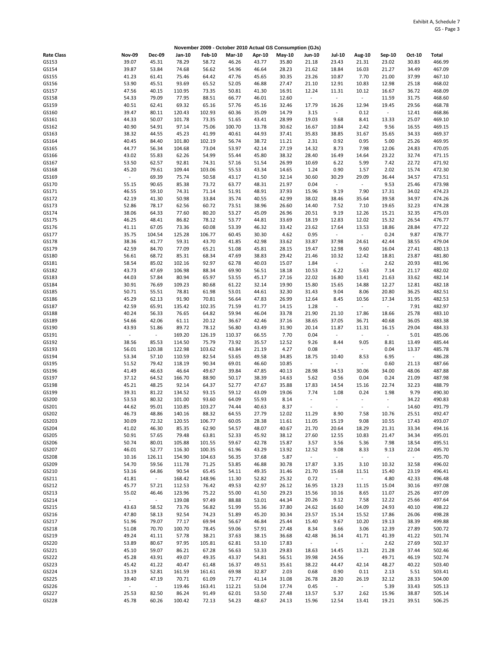|                   |                |                   |                  |                 |                |                | November 2009 - October 2010 Actual GS Consumption (GJs) |                                   |                          |                          |                          |                         |                  |
|-------------------|----------------|-------------------|------------------|-----------------|----------------|----------------|----------------------------------------------------------|-----------------------------------|--------------------------|--------------------------|--------------------------|-------------------------|------------------|
| <b>Rate Class</b> | <b>Nov-09</b>  | Dec-09            | Jan-10           | <b>Feb-10</b>   | <b>Mar-10</b>  | Apr-10         | May-10                                                   | <b>Jun-10</b>                     | <b>Jul-10</b>            | Aug-10                   | Sep-10                   | Oct-10                  | Total            |
| GS153             | 39.07          | 45.31             | 78.29            | 58.72           | 46.26          | 43.77          | 35.80                                                    | 21.18                             | 23.43                    | 21.31                    | 23.02                    | 30.83                   | 466.99           |
| GS154             | 39.87          | 53.84             | 74.68            | 56.62           | 54.96          | 46.64          | 28.23                                                    | 21.62                             | 18.84                    | 16.03                    | 21.27                    | 34.49                   | 467.09           |
| GS155             | 41.23          | 61.41             | 75.46            | 64.42           | 47.76          | 45.65          | 30.35                                                    | 23.26                             | 10.87                    | 7.70                     | 21.00                    | 37.99                   | 467.10           |
| GS156             | 53.90          | 45.51             | 93.69            | 65.52           | 52.05          | 46.88          | 27.47                                                    | 21.10                             | 12.91                    | 10.83                    | 12.98                    | 25.18                   | 468.02           |
| GS157<br>GS158    | 47.56<br>54.33 | 40.15<br>79.09    | 110.95<br>77.95  | 73.35<br>88.51  | 50.81<br>66.77 | 41.30<br>46.01 | 16.91<br>12.60                                           | 12.24<br>$\overline{\phantom{a}}$ | 11.31<br>$\blacksquare$  | 10.12<br>$\sim$          | 16.67<br>11.59           | 36.72<br>31.75          | 468.09<br>468.60 |
| GS159             | 40.51          | 62.41             | 69.32            | 65.16           | 57.76          | 45.16          | 32.46                                                    | 17.79                             | 16.26                    | 12.94                    | 19.45                    | 29.56                   | 468.78           |
| GS160             | 39.47          | 80.11             | 120.43           | 102.93          | 60.36          | 35.09          | 14.79                                                    | 3.15                              | $\sim$                   | 0.12                     | $\omega$                 | 12.41                   | 468.86           |
| GS161             | 44.33          | 50.07             | 101.78           | 73.35           | 51.65          | 43.41          | 28.99                                                    | 19.03                             | 9.68                     | 8.41                     | 13.33                    | 25.07                   | 469.10           |
| GS162             | 40.90          | 54.91             | 97.14            | 75.06           | 100.70         | 13.78          | 30.62                                                    | 16.67                             | 10.84                    | 2.42                     | 9.56                     | 16.55                   | 469.15           |
| GS163             | 38.32          | 44.55             | 45.23            | 41.99           | 40.61          | 44.93          | 37.41                                                    | 35.83                             | 38.85                    | 31.67                    | 35.65                    | 34.33                   | 469.37           |
| GS164             | 40.45          | 84.40             | 101.80           | 102.19          | 56.74          | 38.72          | 11.21                                                    | 2.31                              | 0.92                     | 0.95                     | 5.00                     | 25.26                   | 469.95           |
| GS165             | 44.77          | 56.34             | 104.68           | 73.04           | 53.97          | 42.14          | 27.19                                                    | 14.32                             | 8.73                     | 7.98                     | 12.06                    | 24.83                   | 470.05           |
| GS166<br>GS167    | 43.02<br>53.50 | 55.83<br>62.57    | 62.26<br>92.81   | 54.99<br>74.31  | 55.44<br>57.16 | 45.80<br>51.54 | 38.32<br>26.99                                           | 28.40<br>10.69                    | 16.49<br>6.22            | 14.64<br>5.99            | 23.22<br>7.42            | 32.74<br>22.72          | 471.15<br>471.92 |
| GS168             | 45.20          | 79.61             | 109.44           | 103.06          | 55.53          | 43.34          | 14.65                                                    | 1.24                              | 0.90                     | 1.57                     | 2.02                     | 15.74                   | 472.30           |
| GS169             | $\blacksquare$ | 69.39             | 75.74            | 50.58           | 43.17          | 41.50          | 32.14                                                    | 30.60                             | 30.29                    | 29.09                    | 36.44                    | 34.57                   | 473.51           |
| GS170             | 55.15          | 90.65             | 85.38            | 73.72           | 63.77          | 48.31          | 21.97                                                    | 0.04                              | $\overline{\phantom{a}}$ | $\sim$                   | 9.53                     | 25.46                   | 473.98           |
| GS171             | 46.55          | 59.10             | 74.31            | 71.14           | 51.91          | 48.91          | 37.93                                                    | 15.96                             | 9.19                     | 7.90                     | 17.31                    | 34.02                   | 474.23           |
| GS172             | 42.19          | 41.30             | 50.98            | 33.84           | 35.74          | 40.55          | 42.99                                                    | 38.02                             | 38.46                    | 35.64                    | 39.58                    | 34.97                   | 474.26           |
| GS173             | 52.86          | 78.17             | 62.56            | 60.72           | 73.51          | 38.96          | 26.60                                                    | 14.40                             | 7.52                     | 7.10                     | 19.65                    | 32.23                   | 474.28           |
| GS174             | 38.06          | 64.33             | 77.60            | 80.20           | 53.27          | 45.09          | 26.96                                                    | 20.51                             | 9.19                     | 12.26                    | 15.21                    | 32.35                   | 475.03           |
| GS175<br>GS176    | 46.25          | 48.41<br>67.05    | 86.82<br>73.36   | 78.12<br>60.08  | 53.77<br>53.39 | 44.81<br>46.32 | 33.69                                                    | 18.19<br>23.62                    | 12.83<br>17.64           | 12.02<br>13.53           | 15.32<br>18.86           | 26.54<br>28.84          | 476.77           |
| GS177             | 41.11<br>35.75 | 104.54            | 125.28           | 106.77          | 60.45          | 30.30          | 33.42<br>4.62                                            | 0.95                              | $\blacksquare$           | $\sim$                   | 0.24                     | 9.87                    | 477.22<br>478.77 |
| GS178             | 38.36          | 41.77             | 59.31            | 43.70           | 41.85          | 42.98          | 33.62                                                    | 33.87                             | 37.98                    | 24.61                    | 42.44                    | 38.55                   | 479.04           |
| GS179             | 42.59          | 84.70             | 77.09            | 65.21           | 51.08          | 45.81          | 28.15                                                    | 19.47                             | 12.98                    | 9.60                     | 16.04                    | 27.41                   | 480.13           |
| GS180             | 56.61          | 68.72             | 85.31            | 68.34           | 47.69          | 38.83          | 29.42                                                    | 21.46                             | 10.32                    | 12.42                    | 18.81                    | 23.87                   | 481.80           |
| GS181             | 58.54          | 85.02             | 102.16           | 92.97           | 62.78          | 40.03          | 15.07                                                    | 1.84                              | $\overline{\phantom{a}}$ | $\sim$                   | 2.62                     | 20.93                   | 481.96           |
| GS182             | 43.73          | 47.69             | 106.98           | 88.34           | 69.90          | 56.51          | 18.18                                                    | 10.53                             | 6.22                     | 5.63                     | 7.14                     | 21.17                   | 482.02           |
| GS183             | 44.03          | 57.84             | 80.94            | 65.97           | 53.55          | 45.17          | 27.16                                                    | 22.02                             | 16.80                    | 13.41                    | 21.63                    | 33.62                   | 482.14           |
| GS184             | 30.91          | 76.69             | 109.23           | 80.68           | 61.22          | 32.14          | 19.90                                                    | 15.80                             | 15.65                    | 14.88                    | 12.27                    | 12.81                   | 482.18           |
| GS185<br>GS186    | 50.71<br>45.29 | 55.51<br>62.13    | 78.81<br>91.90   | 61.98<br>70.81  | 53.01<br>56.64 | 44.61<br>47.83 | 32.30<br>26.99                                           | 31.43<br>12.64                    | 9.04<br>8.45             | 8.06<br>10.56            | 20.80<br>17.34           | 36.25<br>31.95          | 482.51<br>482.53 |
| GS187             | 42.59          | 65.91             | 135.42           | 102.35          | 71.59          | 41.77          | 14.15                                                    | 1.28                              | $\blacksquare$           | $\omega$                 | $\omega$                 | 7.91                    | 482.97           |
| GS188             | 40.24          | 56.33             | 76.65            | 64.82           | 59.94          | 46.04          | 33.78                                                    | 21.90                             | 21.10                    | 17.86                    | 18.66                    | 25.78                   | 483.10           |
| GS189             | 54.66          | 42.06             | 61.11            | 20.12           | 36.67          | 42.46          | 37.16                                                    | 38.65                             | 37.05                    | 36.71                    | 40.68                    | 36.05                   | 483.38           |
| GS190             | 43.93          | 51.86             | 89.72            | 78.12           | 56.80          | 43.49          | 31.90                                                    | 20.14                             | 11.87                    | 11.31                    | 16.15                    | 29.04                   | 484.33           |
| GS191             | $\sim$         | $\omega$          | 169.20           | 126.19          | 110.37         | 66.55          | 7.70                                                     | 0.04                              | $\sim$                   | $\omega$                 | $\omega$                 | 5.01                    | 485.06           |
| GS192             | 38.56          | 85.53             | 114.50           | 75.79           | 73.92          | 35.57          | 12.52                                                    | 9.26                              | 8.44                     | 9.05                     | 8.81                     | 13.49                   | 485.44           |
| GS193<br>GS194    | 56.01<br>53.34 | 120.38<br>57.10   | 122.98<br>110.59 | 103.62<br>82.54 | 43.84<br>53.65 | 21.19<br>49.58 | 4.27<br>34.85                                            | 0.08<br>18.75                     | ÷,<br>10.40              | $\blacksquare$<br>8.53   | 0.04<br>6.95             | 13.37<br>$\blacksquare$ | 485.78<br>486.28 |
| GS195             | 51.52          | 79.42             | 118.19           | 90.34           | 69.01          | 46.60          | 10.85                                                    | $\bar{\phantom{a}}$               | ÷,                       | $\sim$                   | 0.60                     | 21.13                   | 487.66           |
| GS196             | 41.49          | 46.63             | 46.64            | 49.67           | 39.84          | 47.85          | 40.13                                                    | 28.98                             | 34.53                    | 30.06                    | 34.00                    | 48.06                   | 487.88           |
| GS197             | 37.12          | 64.52             | 166.70           | 88.90           | 50.17          | 38.39          | 14.63                                                    | 5.62                              | 0.56                     | 0.04                     | 0.24                     | 21.09                   | 487.98           |
| GS198             | 45.21          | 48.25             | 92.14            | 64.37           | 52.77          | 47.67          | 35.88                                                    | 17.83                             | 14.54                    | 15.16                    | 22.74                    | 32.23                   | 488.79           |
| GS199             | 39.31          | 81.22             | 134.52           | 93.15           | 59.12          | 43.09          | 19.06                                                    | 7.74                              | 1.08                     | 0.24                     | 1.98                     | 9.79                    | 490.30           |
| GS200             | 53.53          | 80.32             | 101.00           | 93.60           | 64.09          | 55.93          | 8.14                                                     | $\blacksquare$                    | $\overline{\phantom{a}}$ | $\overline{\phantom{a}}$ | $\omega$                 | 34.22                   | 490.83           |
| GS201             | 44.62          | 95.01             | 110.85           | 103.27          | 74.44          | 40.63          | 8.37                                                     | $\overline{a}$                    |                          |                          | $\overline{\phantom{a}}$ | 14.60                   | 491.79<br>492.47 |
| GS202<br>GS203    | 46.73<br>30.09 | 48.86<br>72.32    | 140.16<br>120.55 | 88.32<br>106.77 | 64.55<br>60.05 | 27.79<br>28.38 | 12.02<br>11.61                                           | 11.29<br>11.05                    | 8.90<br>15.19            | 7.58<br>9.08             | 10.76<br>10.55           | 25.51<br>17.43          | 493.07           |
| GS204             | 41.02          | 46.30             | 85.35            | 62.90           | 54.57          | 48.07          | 40.67                                                    | 21.70                             | 20.64                    | 18.29                    | 21.31                    | 33.34                   | 494.16           |
| GS205             | 50.91          | 57.65             | 79.48            | 63.81           | 52.33          | 45.92          | 38.12                                                    | 27.60                             | 12.55                    | 10.83                    | 21.47                    | 34.34                   | 495.01           |
| GS206             | 50.74          | 80.01             | 105.88           | 101.55          | 59.67          | 42.78          | 15.87                                                    | 3.57                              | 3.56                     | 5.36                     | 7.98                     | 18.54                   | 495.51           |
| GS207             | 46.01          | 52.77             | 116.30           | 100.35          | 61.96          | 43.29          | 13.92                                                    | 12.52                             | 9.08                     | 8.33                     | 9.13                     | 22.04                   | 495.70           |
| GS208             | 10.16          | 126.11            | 154.90           | 104.63          | 56.35          | 37.68          | 5.87                                                     | $\omega$                          | $\omega_{\rm c}$         | $\omega$                 | $\omega$                 | $\omega_{\rm c}$        | 495.70           |
| GS209             | 54.70          | 59.56             | 111.78           | 71.25           | 53.85          | 46.88          | 30.78                                                    | 17.87                             | 3.35                     | 3.10                     | 10.32                    | 32.58                   | 496.02           |
| GS210<br>GS211    | 53.16<br>41.81 | 64.86<br>$\omega$ | 90.54<br>168.42  | 65.45<br>148.96 | 54.11<br>11.30 | 49.35<br>52.82 | 31.46<br>25.32                                           | 21.70<br>0.72                     | 15.68<br>$\blacksquare$  | 11.51<br>$\omega$        | 15.40<br>4.80            | 23.19<br>42.33          | 496.41<br>496.48 |
| GS212             | 45.77          | 57.21             | 112.53           | 76.42           | 49.53          | 42.97          | 26.12                                                    | 16.95                             | 13.23                    | 11.15                    | 15.04                    | 30.16                   | 497.08           |
| GS213             | 55.02          | 46.46             | 123.96           | 75.22           | 55.00          | 41.50          | 29.23                                                    | 15.56                             | 10.16                    | 8.65                     | 11.07                    | 25.26                   | 497.09           |
| GS214             | ÷,             | $\sim$            | 139.08           | 97.49           | 88.88          | 53.01          | 44.34                                                    | 20.26                             | 9.12                     | 7.58                     | 12.22                    | 25.66                   | 497.64           |
| GS215             | 43.63          | 58.52             | 73.76            | 56.82           | 51.99          | 55.36          | 37.80                                                    | 24.62                             | 16.60                    | 14.09                    | 24.93                    | 40.10                   | 498.22           |
| GS216             | 47.80          | 58.13             | 92.54            | 74.23           | 51.89          | 45.20          | 30.34                                                    | 23.57                             | 15.14                    | 15.52                    | 17.86                    | 26.06                   | 498.28           |
| GS217             | 51.96          | 79.07             | 77.17            | 69.94           | 56.67          | 46.84          | 25.44                                                    | 15.40                             | 9.67                     | 10.20                    | 19.13                    | 38.39                   | 499.88           |
| GS218             | 51.08          | 70.70             | 100.70           | 78.45           | 59.06          | 57.91          | 27.48                                                    | 8.34                              | 3.66                     | 3.06                     | 12.39                    | 27.89                   | 500.72           |
| GS219<br>GS220    | 49.24<br>53.89 | 41.11<br>80.67    | 57.78<br>97.95   | 38.21<br>105.81 | 37.63<br>62.81 | 38.15<br>53.10 | 36.68<br>17.83                                           | 42.48<br>$\blacksquare$           | 36.14<br>$\sim$          | 41.71<br>$\sim$          | 41.39<br>2.62            | 41.22<br>27.69          | 501.74<br>502.37 |
| GS221             | 45.10          | 59.07             | 86.21            | 67.28           | 56.63          | 53.33          | 29.83                                                    | 18.63                             | 14.45                    | 13.21                    | 21.28                    | 37.44                   | 502.46           |
| GS222             | 45.28          | 43.91             | 49.07            | 49.35           | 43.37          | 54.81          | 56.51                                                    | 39.98                             | 24.56                    | $\omega$                 | 49.71                    | 46.19                   | 502.74           |
| GS223             | 45.42          | 41.22             | 40.47            | 61.48           | 16.37          | 49.51          | 35.61                                                    | 38.22                             | 44.47                    | 42.14                    | 48.27                    | 40.22                   | 503.40           |
| GS224             | 13.19          | 52.81             | 161.59           | 161.61          | 69.98          | 32.87          | 2.03                                                     | 0.68                              | 0.90                     | 0.11                     | 2.13                     | 5.51                    | 503.41           |
| GS225             | 39.40          | 47.19             | 70.71            | 61.09           | 71.77          | 41.14          | 31.08                                                    | 26.78                             | 28.20                    | 26.19                    | 32.12                    | 28.33                   | 504.00           |
| GS226             | $\blacksquare$ | $\omega$          | 119.46           | 163.41          | 112.21         | 53.04          | 17.74                                                    | 0.45                              | $\overline{\phantom{a}}$ | $\omega$                 | 5.39                     | 33.43                   | 505.13           |
| GS227<br>GS228    | 25.53<br>45.78 | 82.50<br>60.26    | 86.24<br>100.42  | 91.49<br>72.13  | 62.01<br>54.23 | 53.50<br>48.67 | 27.48<br>24.13                                           | 13.57<br>15.96                    | 5.37<br>12.54            | 2.62<br>13.41            | 15.96<br>19.21           | 38.87<br>39.51          | 505.14<br>506.25 |
|                   |                |                   |                  |                 |                |                |                                                          |                                   |                          |                          |                          |                         |                  |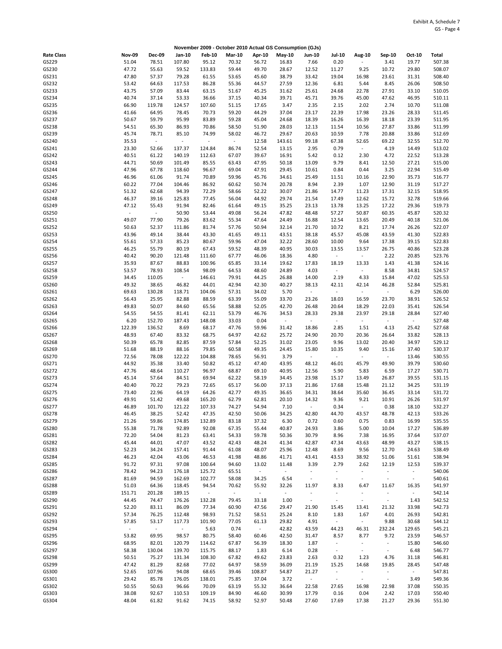|                   |                          |                 |                 |                 |                |                 | November 2009 - October 2010 Actual GS Consumption (GJs) |                                  |                                            |                          |                                   |                         |                  |
|-------------------|--------------------------|-----------------|-----------------|-----------------|----------------|-----------------|----------------------------------------------------------|----------------------------------|--------------------------------------------|--------------------------|-----------------------------------|-------------------------|------------------|
| <b>Rate Class</b> | <b>Nov-09</b>            | Dec-09          | Jan-10          | <b>Feb-10</b>   | <b>Mar-10</b>  | Apr-10          | $May-10$                                                 | <b>Jun-10</b>                    | <b>Jul-10</b>                              | <b>Aug-10</b>            | Sep-10                            | Oct-10                  | Total            |
| GS229             | 51.04                    | 78.51           | 107.80          | 95.12           | 70.32          | 56.72           | 16.83                                                    | 7.66                             | 0.20                                       | $\overline{\phantom{a}}$ | 3.41                              | 19.77                   | 507.38           |
| GS230             | 47.72                    | 55.63           | 59.52           | 133.83          | 59.44          | 49.70           | 28.67                                                    | 12.52                            | 11.27                                      | 9.25                     | 10.72                             | 29.80                   | 508.07           |
| GS231             | 47.80                    | 57.37           | 79.28           | 61.55           | 53.65          | 45.60           | 38.79                                                    | 33.42                            | 19.04                                      | 16.98                    | 23.61                             | 31.31                   | 508.40           |
| GS232             | 53.42                    | 64.63           | 117.53          | 86.28           | 55.36          | 44.57           | 27.59                                                    | 12.36                            | 6.81                                       | 5.44                     | 8.45                              | 26.06                   | 508.50           |
| GS233             | 43.75                    | 57.09           | 83.44           | 63.15           | 51.67          | 45.25           | 31.62                                                    | 25.61                            | 24.68                                      | 22.78                    | 27.91                             | 33.10                   | 510.05           |
| GS234<br>GS235    | 40.74<br>66.90           | 37.14<br>119.78 | 53.33<br>124.57 | 36.66<br>107.60 | 37.15<br>51.15 | 40.34<br>17.65  | 39.71<br>3.47                                            | 45.71<br>2.35                    | 39.76<br>2.15                              | 45.00<br>2.02            | 47.62<br>2.74                     | 46.95<br>10.70          | 510.11<br>511.08 |
| GS236             | 41.66                    | 64.95           | 78.45           | 70.73           | 59.20          | 44.29           | 37.04                                                    | 23.17                            | 22.39                                      | 17.98                    | 23.26                             | 28.33                   | 511.45           |
| GS237             | 50.67                    | 59.79           | 95.99           | 83.89           | 59.28          | 45.04           | 24.68                                                    | 18.39                            | 16.26                                      | 16.39                    | 18.18                             | 23.39                   | 511.95           |
| GS238             | 54.51                    | 65.30           | 86.93           | 70.86           | 58.50          | 51.90           | 28.03                                                    | 12.13                            | 11.54                                      | 10.56                    | 27.87                             | 33.86                   | 511.99           |
| GS239             | 45.74                    | 78.71           | 85.10           | 74.99           | 58.02          | 46.72           | 29.67                                                    | 20.63                            | 10.59                                      | 7.78                     | 20.88                             | 33.86                   | 512.69           |
| GS240             | 35.53                    | $\mathbb{Z}^2$  | $\omega$        | $\sim$          | $\sim$         | 12.58           | 143.61                                                   | 99.18                            | 67.38                                      | 52.65                    | 69.22                             | 32.55                   | 512.70           |
| GS241             | 23.30                    | 52.66           | 137.37          | 124.84          | 86.74          | 52.54           | 13.15                                                    | 2.95                             | 0.79                                       | $\omega_{\rm c}$         | 4.19                              | 14.49                   | 513.02           |
| GS242             | 40.51                    | 61.22           | 140.19          | 112.63          | 67.07          | 39.67           | 16.91                                                    | 5.42                             | 0.12                                       | 2.30                     | 4.72                              | 22.52                   | 513.28           |
| GS243             | 44.71                    | 50.69           | 101.49          | 85.55           | 63.43          | 47.95           | 50.18                                                    | 13.09                            | 9.79                                       | 8.41                     | 12.50                             | 27.21                   | 515.00           |
| GS244<br>GS245    | 47.96<br>46.96           | 67.78<br>61.06  | 118.60<br>91.74 | 96.67<br>70.89  | 69.04<br>59.96 | 47.91<br>45.76  | 29.45<br>34.61                                           | 10.61<br>25.49                   | 0.84<br>11.51                              | 0.44<br>10.16            | 3.25<br>22.90                     | 22.94<br>35.73          | 515.49<br>516.77 |
| GS246             | 60.22                    | 77.04           | 104.46          | 86.92           | 60.62          | 50.74           | 20.78                                                    | 8.94                             | 2.39                                       | 1.07                     | 12.90                             | 31.19                   | 517.27           |
| GS247             | 51.32                    | 62.68           | 94.39           | 72.29           | 58.66          | 52.22           | 30.07                                                    | 21.86                            | 14.77                                      | 11.23                    | 17.31                             | 32.15                   | 518.95           |
| GS248             | 46.37                    | 39.16           | 125.83          | 77.45           | 56.04          | 44.92           | 29.74                                                    | 21.54                            | 17.49                                      | 12.62                    | 15.72                             | 32.78                   | 519.66           |
| GS249             | 47.12                    | 55.43           | 91.94           | 82.46           | 61.64          | 49.15           | 35.25                                                    | 23.13                            | 13.78                                      | 13.25                    | 17.22                             | 29.36                   | 519.73           |
| GS250             | ÷                        | $\omega$        | 50.90           | 53.44           | 49.08          | 56.24           | 47.82                                                    | 48.48                            | 57.27                                      | 50.87                    | 60.35                             | 45.87                   | 520.32           |
| GS251             | 49.07                    | 77.90           | 79.26           | 83.62           | 55.34          | 47.64           | 24.49                                                    | 16.88                            | 12.54                                      | 13.65                    | 20.49                             | 40.18                   | 521.06           |
| GS252             | 50.63                    | 52.37           | 111.86          | 81.74           | 57.76          | 50.94           | 32.14                                                    | 21.70                            | 10.72                                      | 8.21                     | 17.74                             | 26.26                   | 522.07           |
| GS253<br>GS254    | 43.96<br>55.61           | 49.14<br>57.33  | 38.44<br>85.23  | 43.30<br>80.67  | 41.65<br>59.96 | 49.11<br>47.04  | 43.51<br>32.22                                           | 38.18<br>28.60                   | 45.57<br>10.00                             | 45.08<br>9.64            | 43.59<br>17.38                    | 41.30<br>39.15          | 522.83<br>522.83 |
| GS255             | 46.25                    | 55.79           | 80.19           | 67.43           | 59.52          | 48.39           | 40.95                                                    | 30.03                            | 13.55                                      | 13.57                    | 26.75                             | 40.86                   | 523.28           |
| GS256             | 40.42                    | 90.20           | 121.48          | 111.60          | 67.77          | 46.06           | 18.36                                                    | 4.80                             | $\blacksquare$                             | $\sim$                   | 2.22                              | 20.85                   | 523.76           |
| GS257             | 35.93                    | 87.67           | 88.83           | 100.96          | 65.85          | 33.14           | 19.62                                                    | 17.83                            | 18.19                                      | 13.33                    | 1.43                              | 41.38                   | 524.16           |
| GS258             | 53.57                    | 78.93           | 108.54          | 98.09           | 64.53          | 48.60           | 24.89                                                    | 4.03                             | $\overline{\phantom{a}}$                   | $\omega$                 | 8.58                              | 34.81                   | 524.57           |
| GS259             | 34.45                    | 110.05          | $\omega$        | 146.61          | 79.91          | 44.25           | 26.88                                                    | 14.00                            | 2.19                                       | 4.33                     | 15.84                             | 47.02                   | 525.53           |
| GS260             | 49.32                    | 38.65           | 46.82           | 44.01           | 42.94          | 42.30           | 40.27                                                    | 38.13                            | 42.11                                      | 42.14                    | 46.28                             | 52.84                   | 525.81           |
| GS261             | 69.63                    | 130.28          | 118.71          | 104.06          | 57.31          | 34.02           | 5.70                                                     | $\sim$                           | $\blacksquare$                             | $\sim$                   | $\overline{\phantom{a}}$          | 6.29                    | 526.00           |
| GS262             | 56.43                    | 25.95           | 82.88           | 88.59           | 63.39          | 55.09           | 33.70                                                    | 23.26                            | 18.03                                      | 16.59                    | 23.70                             | 38.91                   | 526.52           |
| GS263<br>GS264    | 49.83<br>54.55           | 50.07<br>54.55  | 84.60<br>81.41  | 65.56<br>62.11  | 58.88<br>53.79 | 52.05<br>46.76  | 42.70<br>34.53                                           | 26.48<br>28.33                   | 20.64<br>29.38                             | 18.29<br>23.97           | 22.03<br>29.18                    | 35.41<br>28.84          | 526.54<br>527.40 |
| GS265             | 6.20                     | 152.70          | 187.43          | 148.08          | 33.03          | 0.04            | $\sim$                                                   | $\omega$                         | $\Box$                                     | $\sim$                   | $\Box$                            | $\sim$                  | 527.48           |
| GS266             | 122.39                   | 136.52          | 8.69            | 68.17           | 47.76          | 59.96           | 31.42                                                    | 18.86                            | 2.85                                       | 1.51                     | 4.13                              | 25.42                   | 527.68           |
| GS267             | 48.93                    | 67.40           | 83.32           | 68.75           | 64.97          | 42.62           | 25.72                                                    | 24.90                            | 20.70                                      | 20.36                    | 26.64                             | 33.82                   | 528.13           |
| GS268             | 50.39                    | 65.78           | 82.85           | 87.59           | 57.84          | 52.25           | 31.02                                                    | 23.05                            | 9.96                                       | 13.02                    | 20.40                             | 34.97                   | 529.12           |
| GS269             | 51.68                    | 88.19           | 88.16           | 79.85           | 60.58          | 49.35           | 24.45                                                    | 15.80                            | 10.35                                      | 9.40                     | 15.16                             | 37.40                   | 530.37           |
| GS270             | 72.56                    | 78.08           | 122.22          | 104.88          | 78.65          | 56.91           | 3.79                                                     | $\sim$                           | $\overline{\phantom{a}}$                   | $\sim$                   | $\mathbf{r}$                      | 13.46                   | 530.55           |
| GS271             | 44.92                    | 35.38           | 33.40           | 50.82           | 45.12          | 47.40           | 43.95                                                    | 48.12                            | 46.01                                      | 45.79                    | 49.90                             | 39.79                   | 530.60           |
| GS272<br>GS273    | 47.76<br>45.14           | 48.64<br>57.64  | 110.27<br>84.51 | 96.97<br>69.94  | 68.87<br>62.22 | 69.10<br>58.19  | 40.95<br>34.45                                           | 12.56<br>23.98                   | 5.90<br>15.17                              | 5.83<br>13.49            | 6.59<br>26.87                     | 17.27<br>39.55          | 530.71<br>531.15 |
| GS274             | 40.40                    | 70.22           | 79.23           | 72.65           | 65.17          | 56.00           | 37.13                                                    | 21.86                            | 17.68                                      | 15.48                    | 21.12                             | 34.25                   | 531.19           |
| GS275             | 73.40                    | 22.96           | 64.19           | 64.26           | 42.77          | 49.35           | 36.65                                                    | 34.31                            | 38.64                                      | 35.60                    | 36.45                             | 33.14                   | 531.72           |
| GS276             | 49.91                    | 51.42           | 49.68           | 165.20          | 62.79          | 62.81           | 20.10                                                    | 14.32                            | 9.36                                       | 9.21                     | 10.91                             | 26.26                   | 531.97           |
| GS277             | 46.89                    | 101.70          | 121.22          | 107.33          | 74.27          | 54.94           | 7.10                                                     | $\sim$                           | 0.34                                       | $\omega$                 | 0.38                              | 18.10                   | 532.27           |
| GS278             | 46.45                    | 38.25           | 52.42           | 47.35           | 42.50          | 50.06           | 34.25                                                    | 42.80                            | 44.70                                      | 43.57                    | 48.78                             | 42.13                   | 533.26           |
| GS279             | 21.26                    | 59.86           | 174.85          | 132.89          | 83.18          | 37.32           | 6.30                                                     | 0.72                             | 0.60                                       | 0.75                     | 0.83                              | 16.99                   | 535.55           |
| GS280             | 55.38                    | 71.78<br>54.04  | 92.89           | 92.08           | 67.35          | 55.44           | 40.87                                                    | 24.93                            | 3.86                                       | 5.00                     | 10.04<br>16.95                    | 17.27                   | 536.89           |
| GS281<br>GS282    | 72.20<br>45.44           | 44.01           | 81.23<br>47.07  | 63.41<br>43.52  | 54.33<br>42.43 | 59.78<br>48.24  | 50.36<br>41.34                                           | 30.79<br>42.87                   | 8.96<br>47.34                              | 7.38<br>43.63            | 48.99                             | 37.64<br>43.27          | 537.07<br>538.15 |
| GS283             | 52.23                    | 34.24           | 157.41          | 91.44           | 61.08          | 48.07           | 25.96                                                    | 12.48                            | 8.69                                       | 9.56                     | 12.70                             | 24.63                   | 538.49           |
| GS284             | 46.23                    | 42.04           | 43.06           | 46.53           | 41.98          | 48.86           | 41.71                                                    | 43.41                            | 43.53                                      | 38.92                    | 51.06                             | 51.61                   | 538.94           |
| GS285             | 91.72                    | 97.31           | 97.08           | 100.64          | 94.60          | 13.02           | 11.48                                                    | 3.39                             | 2.79                                       | 2.62                     | 12.19                             | 12.53                   | 539.37           |
| GS286             | 78.42                    | 94.23           | 176.18          | 125.72          | 65.51          | $\Box$          | $\sim$                                                   | $\overline{\phantom{a}}$         | $\blacksquare$                             | $\sim$                   | $\overline{\phantom{a}}$          | $\sim$                  | 540.06           |
| GS287             | 81.69                    | 94.59           | 162.69          | 102.77          | 58.08          | 34.25           | 6.54                                                     | $\blacksquare$                   | $\overline{\phantom{a}}$                   | $\blacksquare$           | $\blacksquare$                    | $\blacksquare$          | 540.61           |
| GS288             | 51.03                    | 64.36           | 118.45          | 94.54           | 70.62          | 55.92           | 32.26                                                    | 11.97                            | 8.33                                       | 6.47                     | 11.67                             | 16.35                   | 541.97           |
| GS289             | 151.71                   | 201.28          | 189.15          | $\sim$          | $\omega$       | $\sim$          | $\sim$                                                   | $\blacksquare$<br>$\blacksquare$ | $\overline{\phantom{a}}$<br>$\blacksquare$ | $\blacksquare$<br>$\sim$ | $\blacksquare$<br>$\blacksquare$  | $\sim$                  | 542.14           |
| GS290<br>GS291    | 44.45<br>52.20           | 74.47<br>83.11  | 176.26<br>86.09 | 132.28<br>77.34 | 79.45<br>60.90 | 33.18<br>47.56  | 1.00<br>29.47                                            | 21.90                            | 15.45                                      | 13.41                    | 21.32                             | 1.43<br>33.98           | 542.52<br>542.73 |
| GS292             | 57.34                    | 76.25           | 112.48          | 98.93           | 71.52          | 58.51           | 25.24                                                    | 8.10                             | 1.83                                       | 1.67                     | 4.01                              | 26.93                   | 542.81           |
| GS293             | 57.85                    | 53.17           | 117.73          | 101.90          | 77.05          | 61.13           | 29.82                                                    | 4.91                             | $\overline{\phantom{a}}$                   | $\omega$                 | 9.88                              | 30.68                   | 544.12           |
| GS294             | $\overline{\phantom{a}}$ | $\omega$        | $\sim$          | 5.63            | 0.74           | $\sim$          | 42.82                                                    | 43.59                            | 44.23                                      | 46.31                    | 232.24                            | 129.65                  | 545.21           |
| GS295             | 53.82                    | 69.95           | 98.57           | 80.75           | 58.40          | 60.46           | 42.50                                                    | 31.47                            | 8.57                                       | 8.77                     | 9.72                              | 23.59                   | 546.57           |
| GS296             | 68.95                    | 82.01           | 120.79          | 114.62          | 67.87          | 56.39           | 18.30                                                    | 1.87                             | $\sim$                                     | $\blacksquare$           | $\overline{\phantom{a}}$          | 15.80                   | 546.60           |
| GS297             | 58.38                    | 130.04          | 139.70          | 115.75          | 88.17          | 1.83            | 6.14                                                     | 0.28                             | $\omega$                                   | $\sim$                   | $\blacksquare$                    | 6.48                    | 546.77           |
| GS298             | 50.51                    | 75.27           | 131.34          | 108.30          | 67.82          | 49.62           | 23.83                                                    | 2.63                             | 0.32                                       | 1.23                     | 4.76                              | 31.18                   | 546.81           |
| GS299<br>GS300    | 47.42<br>52.65           | 81.29<br>107.96 | 82.68<br>94.08  | 77.02<br>68.65  | 64.97<br>39.46 | 58.59<br>108.87 | 36.09<br>54.87                                           | 21.19<br>21.27                   | 15.25<br>$\overline{\phantom{a}}$          | 14.68<br>$\sim$          | 19.85<br>$\overline{\phantom{a}}$ | 28.45<br>$\blacksquare$ | 547.48<br>547.81 |
| GS301             | 29.42                    | 85.78           | 176.05          | 138.01          | 75.85          | 37.04           | 3.72                                                     | $\sim$                           | $\overline{\phantom{a}}$                   | $\sim$                   | $\blacksquare$                    | 3.49                    | 549.36           |
| GS302             | 50.55                    | 50.63           | 96.66           | 70.09           | 63.19          | 55.32           | 36.64                                                    | 22.58                            | 27.65                                      | 16.98                    | 22.98                             | 37.08                   | 550.35           |
| GS303             | 38.08                    | 92.67           | 110.53          | 109.19          | 84.90          | 46.60           | 30.99                                                    | 17.79                            | 0.16                                       | 0.04                     | 2.42                              | 17.03                   | 550.40           |
| GS304             | 48.04                    | 61.82           | 91.62           | 74.15           | 58.92          | 52.97           | 50.48                                                    | 27.60                            | 17.69                                      | 17.38                    | 21.27                             | 29.36                   | 551.30           |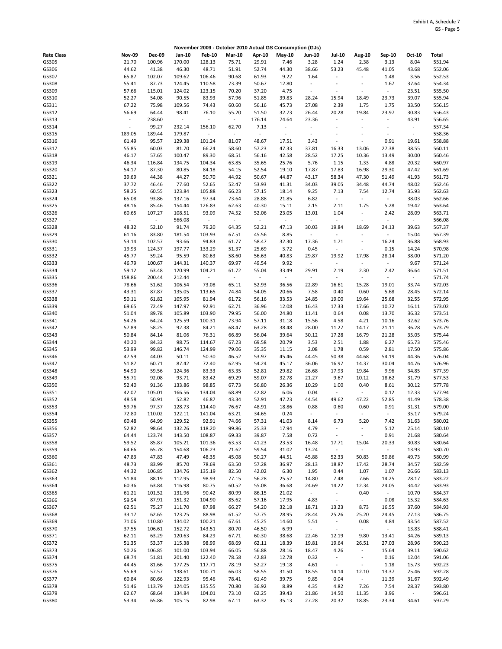|                   |                         |                    |                                   |                         |                                   |                          | November 2009 - October 2010 Actual GS Consumption (GJs) |                          |                                            |                                    |                                  |                          |                  |
|-------------------|-------------------------|--------------------|-----------------------------------|-------------------------|-----------------------------------|--------------------------|----------------------------------------------------------|--------------------------|--------------------------------------------|------------------------------------|----------------------------------|--------------------------|------------------|
| <b>Rate Class</b> | <b>Nov-09</b>           | <b>Dec-09</b>      | Jan-10                            | <b>Feb-10</b>           | <b>Mar-10</b>                     | Apr-10                   | May-10                                                   | <b>Jun-10</b>            | <b>Jul-10</b>                              | Aug-10                             | Sep-10                           | Oct-10                   | Total            |
| GS305             | 21.70                   | 100.96             | 170.00                            | 128.13                  | 75.71                             | 29.91                    | 7.46                                                     | 3.28                     | 1.24                                       | 2.38                               | 3.13                             | 8.04                     | 551.94           |
| GS306             | 44.62                   | 41.38              | 46.30                             | 48.71                   | 51.91                             | 52.74                    | 44.30                                                    | 38.66                    | 53.23                                      | 45.48                              | 41.05                            | 43.68                    | 552.06           |
| GS307             | 65.87                   | 102.07             | 109.62                            | 106.46                  | 90.68                             | 61.93                    | 9.22                                                     | 1.64                     | $\sim$                                     | $\omega$                           | 1.48                             | 3.56                     | 552.53           |
| GS308             | 55.41                   | 87.73              | 124.45                            | 110.58                  | 73.39                             | 50.67                    | 12.80                                                    | $\overline{\phantom{a}}$ | $\overline{\phantom{a}}$                   | $\overline{\phantom{a}}$           | 1.67                             | 37.64                    | 554.34           |
| GS309             | 57.66                   | 115.01             | 124.02                            | 123.15                  | 70.20                             | 37.20                    | 4.75                                                     | ÷,                       | $\sim$                                     | $\overline{\phantom{a}}$           | $\overline{\phantom{a}}$         | 23.51                    | 555.50           |
| GS310             | 52.27                   | 54.08              | 90.55                             | 83.93                   | 57.96                             | 51.85                    | 39.83                                                    | 28.24                    | 15.94                                      | 18.49                              | 23.73                            | 39.07                    | 555.94           |
| GS311             | 67.22                   | 75.98<br>64.44     | 109.56                            | 74.43                   | 60.60                             | 56.16                    | 45.73<br>32.73                                           | 27.08<br>26.44           | 2.39                                       | 1.75<br>19.84                      | 1.75                             | 33.50<br>30.83           | 556.15<br>556.43 |
| GS312<br>GS313    | 56.69<br>$\blacksquare$ | 238.60             | 98.41<br>$\overline{\phantom{a}}$ | 76.10<br>$\blacksquare$ | 55.20<br>$\overline{\phantom{a}}$ | 51.50<br>176.14          | 74.64                                                    | 23.36                    | 20.28<br>$\overline{\phantom{a}}$          | $\frac{1}{2}$                      | 23.97<br>$\overline{a}$          | 43.91                    | 556.65           |
| GS314             | $\bar{\phantom{a}}$     | 99.27              | 232.14                            | 156.10                  | 62.70                             | 7.13                     | $\sim$                                                   | ÷                        | $\ddot{\phantom{1}}$                       | $\overline{\phantom{a}}$           | $\overline{a}$                   | $\overline{\phantom{a}}$ | 557.34           |
| GS315             | 189.05                  | 189.44             | 179.87                            | $\sim$                  | $\blacksquare$                    | $\overline{\phantom{a}}$ | $\blacksquare$                                           | $\sim$                   |                                            | $\overline{\phantom{a}}$           | $\ddot{\phantom{a}}$             | $\bar{\phantom{a}}$      | 558.36           |
| GS316             | 61.49                   | 95.57              | 129.38                            | 101.24                  | 81.07                             | 48.67                    | 17.51                                                    | 3.43                     | ÷,                                         | ÷,                                 | 0.91                             | 19.61                    | 558.88           |
| GS317             | 55.85                   | 60.03              | 81.70                             | 66.24                   | 58.60                             | 57.23                    | 47.33                                                    | 37.81                    | 16.33                                      | 13.06                              | 27.38                            | 38.55                    | 560.11           |
| GS318             | 46.17                   | 57.65              | 100.47                            | 89.30                   | 68.51                             | 56.16                    | 42.58                                                    | 28.52                    | 17.25                                      | 10.36                              | 13.49                            | 30.00                    | 560.46           |
| GS319             | 46.34                   | 116.84             | 134.75                            | 104.34                  | 63.85                             | 35.65                    | 25.76                                                    | 5.76                     | 1.15                                       | 1.33                               | 4.88                             | 20.32                    | 560.97           |
| GS320             | 54.17                   | 87.30              | 80.85                             | 84.18                   | 54.15                             | 52.54                    | 19.10                                                    | 17.87                    | 17.83                                      | 16.98                              | 29.30                            | 47.42                    | 561.69           |
| GS321             | 39.69                   | 44.38              | 44.27                             | 50.70                   | 44.92                             | 50.67                    | 44.87                                                    | 43.17                    | 58.34                                      | 47.30                              | 51.49                            | 41.93                    | 561.73           |
| GS322             | 37.72                   | 46.46              | 77.60                             | 52.65                   | 52.47                             | 53.93                    | 41.31                                                    | 34.03                    | 39.05                                      | 34.48                              | 44.74                            | 48.02                    | 562.46           |
| GS323             | 58.25                   | 60.55              | 123.84                            | 105.88                  | 66.23                             | 57.15                    | 18.14                                                    | 9.25                     | 7.13                                       | 7.54                               | 12.74                            | 35.93                    | 562.63           |
| GS324             | 65.08                   | 93.86              | 137.16                            | 97.34                   | 73.64                             | 28.88                    | 21.85                                                    | 6.82                     | $\overline{\phantom{a}}$                   | $\omega$                           | $\omega$                         | 38.03                    | 562.66           |
| GS325             | 48.16                   | 85.46              | 154.44                            | 126.83                  | 62.63                             | 40.30                    | 15.11                                                    | 2.15                     | 2.11                                       | 1.75                               | 5.28                             | 19.42                    | 563.64           |
| GS326             | 60.65<br>$\blacksquare$ | 107.27<br>$\omega$ | 108.51                            | 93.09<br>$\sim$         | 74.52<br>$\bar{\phantom{a}}$      | 52.06<br>$\blacksquare$  | 23.05<br>$\omega$                                        | 13.01<br>$\sim$          | 1.04<br>$\blacksquare$                     | ÷,<br>$\overline{\phantom{a}}$     | 2.42<br>$\overline{\phantom{a}}$ | 28.09<br>$\blacksquare$  | 563.71           |
| GS327<br>GS328    | 48.32                   | 52.10              | 566.08<br>91.74                   | 79.20                   | 64.35                             | 52.21                    | 47.13                                                    | 30.03                    | 19.84                                      | 18.69                              | 24.13                            | 39.63                    | 566.08<br>567.37 |
| GS329             | 61.16                   | 83.80              | 181.54                            | 103.93                  | 67.51                             | 45.56                    | 8.85                                                     | $\sim$                   | $\overline{\phantom{a}}$                   | ä,                                 | $\blacksquare$                   | 15.04                    | 567.39           |
| GS330             | 53.14                   | 102.57             | 93.66                             | 94.83                   | 61.77                             | 58.47                    | 32.30                                                    | 17.36                    | 1.71                                       | $\blacksquare$                     | 16.24                            | 36.88                    | 568.93           |
| GS331             | 19.93                   | 124.37             | 197.77                            | 133.29                  | 51.37                             | 25.69                    | 3.72                                                     | 0.45                     | $\overline{\phantom{a}}$                   | $\overline{\phantom{a}}$           | 0.15                             | 14.24                    | 570.98           |
| GS332             | 45.77                   | 59.24              | 95.59                             | 80.63                   | 58.60                             | 56.63                    | 40.83                                                    | 29.87                    | 19.92                                      | 17.98                              | 28.14                            | 38.00                    | 571.20           |
| GS333             | 46.79                   | 100.67             | 144.31                            | 140.37                  | 69.97                             | 49.54                    | 9.92                                                     | $\sim$                   | $\sim$                                     | $\overline{\phantom{a}}$           | $\overline{\phantom{a}}$         | 9.67                     | 571.24           |
| GS334             | 59.12                   | 63.48              | 120.99                            | 104.21                  | 61.72                             | 55.04                    | 33.49                                                    | 29.91                    | 2.19                                       | 2.30                               | 2.42                             | 36.64                    | 571.51           |
| GS335             | 158.86                  | 200.44             | 212.44                            | $\blacksquare$          | $\omega$                          | $\omega$                 | $\sim$                                                   | $\sim$                   | $\omega$                                   | $\omega$                           | ÷,                               | $\sim$                   | 571.74           |
| GS336             | 78.66                   | 51.62              | 106.54                            | 73.08                   | 65.11                             | 52.93                    | 36.56                                                    | 22.89                    | 16.61                                      | 15.28                              | 19.01                            | 33.74                    | 572.03           |
| GS337             | 43.31                   | 87.87              | 135.05                            | 113.65                  | 74.84                             | 54.05                    | 20.66                                                    | 7.58                     | 0.40                                       | 0.60                               | 5.68                             | 28.45                    | 572.14           |
| GS338             | 50.11                   | 61.82              | 105.95                            | 81.94                   | 61.72                             | 56.16                    | 33.53                                                    | 24.85                    | 19.00                                      | 19.64                              | 25.68                            | 32.55                    | 572.95           |
| GS339             | 69.65                   | 72.49              | 147.97                            | 92.91                   | 62.71                             | 36.96                    | 12.08                                                    | 16.43                    | 17.33                                      | 17.66                              | 10.72                            | 16.11                    | 573.02           |
| GS340             | 51.04                   | 89.78              | 105.89                            | 103.90                  | 79.95                             | 56.00                    | 24.80                                                    | 11.41                    | 0.64                                       | 0.08                               | 13.70                            | 36.32                    | 573.51           |
| GS341<br>GS342    | 54.26                   | 64.24              | 125.59<br>92.38                   | 100.31<br>84.21         | 73.94                             | 57.11                    | 31.18<br>38.48                                           | 15.56<br>28.00           | 4.58                                       | 4.21<br>14.17                      | 10.16                            | 32.62                    | 573.76           |
| GS343             | 57.89<br>50.84          | 58.25<br>84.14     | 81.06                             | 76.31                   | 68.47<br>66.89                    | 63.28<br>56.04           | 39.64                                                    | 30.12                    | 11.27<br>17.28                             | 16.79                              | 21.11<br>21.28                   | 36.28<br>35.05           | 573.79<br>575.44 |
| GS344             | 40.20                   | 84.32              | 98.75                             | 114.67                  | 67.23                             | 69.58                    | 20.79                                                    | 3.53                     | 2.51                                       | 1.88                               | 6.27                             | 65.73                    | 575.46           |
| GS345             | 53.99                   | 99.82              | 146.74                            | 124.99                  | 79.06                             | 35.35                    | 11.15                                                    | 2.08                     | 1.78                                       | 0.59                               | 2.81                             | 17.50                    | 575.86           |
| GS346             | 47.59                   | 44.03              | 50.11                             | 50.30                   | 46.52                             | 53.97                    | 45.46                                                    | 44.45                    | 50.38                                      | 44.68                              | 54.19                            | 44.36                    | 576.04           |
| GS347             | 51.87                   | 60.71              | 87.42                             | 72.40                   | 62.95                             | 54.24                    | 45.17                                                    | 36.06                    | 16.97                                      | 14.37                              | 30.04                            | 44.76                    | 576.96           |
| GS348             | 54.90                   | 59.56              | 124.36                            | 83.33                   | 63.35                             | 52.81                    | 29.82                                                    | 26.68                    | 17.93                                      | 19.84                              | 9.96                             | 34.85                    | 577.39           |
| GS349             | 55.71                   | 92.08              | 93.71                             | 83.42                   | 69.29                             | 59.07                    | 32.78                                                    | 21.27                    | 9.67                                       | 10.12                              | 18.62                            | 31.79                    | 577.53           |
| GS350             | 52.40                   | 91.36              | 133.86                            | 98.85                   | 67.73                             | 56.80                    | 26.36                                                    | 10.29                    | 1.00                                       | 0.40                               | 8.61                             | 30.12                    | 577.78           |
| GS351             | 42.07                   | 105.01             | 166.56                            | 134.04                  | 68.89                             | 42.82                    | 6.06                                                     | 0.04                     | $\blacksquare$                             | $\sim$                             | 0.12                             | 12.33                    | 577.94           |
| GS352             | 48.58                   | 50.91              | 52.82                             | 46.87                   | 43.34                             | 52.91                    | 47.23                                                    | 44.54                    | 49.62                                      | 47.22                              | 52.85                            | 41.49                    | 578.38           |
| GS353             | 59.76                   | 97.37              | 128.73                            | 114.40                  | 76.67                             | 48.91                    | 18.86                                                    | 0.88                     | 0.60                                       | 0.60                               | 0.91                             | 31.31                    | 579.00           |
| GS354             | 72.80                   | 110.02             | 122.11                            | 141.04                  | 63.21                             | 34.65                    | 0.24                                                     | $\omega$                 | $\overline{\phantom{a}}$                   | $\blacksquare$                     | $\omega$                         | 35.17                    | 579.24           |
| GS355             | 60.48                   | 64.99              | 129.52                            | 92.91                   | 74.66                             | 57.31                    | 41.03                                                    | 8.14                     | 6.73                                       | 5.20                               | 7.42                             | 31.63                    | 580.02           |
| GS356<br>GS357    | 52.82<br>64.44          | 98.64<br>123.74    | 132.26<br>143.50                  | 118.20<br>108.87        | 99.86<br>69.33                    | 25.33<br>39.87           | 17.94<br>7.58                                            | 4.79<br>0.72             | $\blacksquare$<br>$\overline{\phantom{a}}$ | $\overline{\phantom{a}}$<br>$\sim$ | 5.12<br>0.91                     | 25.14<br>21.68           | 580.10<br>580.64 |
| GS358             | 59.52                   | 85.87              | 105.21                            | 101.36                  | 63.53                             | 41.23                    | 23.53                                                    | 16.48                    | 17.71                                      | 15.04                              | 20.33                            | 30.83                    | 580.64           |
| GS359             | 64.66                   | 65.78              | 154.68                            | 106.23                  | 71.62                             | 59.54                    | 31.02                                                    | 13.24                    | $\blacksquare$                             | $\sim$                             | $\sim$                           | 13.93                    | 580.70           |
| GS360             | 47.83                   | 47.83              | 47.49                             | 48.35                   | 45.08                             | 50.27                    | 44.51                                                    | 45.88                    | 52.33                                      | 50.83                              | 50.86                            | 49.73                    | 580.99           |
| GS361             | 48.73                   | 83.99              | 85.70                             | 78.69                   | 63.50                             | 57.28                    | 36.97                                                    | 28.13                    | 18.87                                      | 17.42                              | 28.74                            | 34.57                    | 582.59           |
| GS362             | 44.32                   | 106.85             | 134.76                            | 135.19                  | 82.50                             | 42.02                    | 6.30                                                     | 1.95                     | 0.44                                       | 1.07                               | 1.07                             | 26.66                    | 583.13           |
| GS363             | 51.84                   | 88.19              | 112.95                            | 98.93                   | 77.15                             | 56.28                    | 25.52                                                    | 14.80                    | 7.48                                       | 7.66                               | 14.25                            | 28.17                    | 583.22           |
| GS364             | 60.36                   | 63.84              | 116.98                            | 80.75                   | 60.52                             | 55.08                    | 36.68                                                    | 24.69                    | 14.22                                      | 12.34                              | 24.05                            | 34.42                    | 583.93           |
| GS365             | 61.21                   | 101.52             | 131.96                            | 90.42                   | 80.99                             | 86.15                    | 21.02                                                    | $\omega$                 | $\blacksquare$                             | 0.40                               | $\omega$                         | 10.70                    | 584.37           |
| GS366             | 59.54                   | 87.91              | 151.32                            | 104.90                  | 85.62                             | 57.16                    | 17.95                                                    | 4.83                     | $\blacksquare$                             | $\sim$                             | 0.08                             | 15.32                    | 584.63           |
| GS367             | 62.51                   | 75.27              | 111.70                            | 87.98                   | 66.27                             | 54.20                    | 32.18                                                    | 18.71                    | 13.23                                      | 8.73                               | 16.55                            | 37.60                    | 584.93           |
| GS368             | 33.17                   | 62.65              | 123.25                            | 88.98                   | 61.52                             | 57.75                    | 28.95                                                    | 28.44                    | 25.26                                      | 25.20                              | 24.45                            | 27.13                    | 586.75           |
| GS369             | 71.06                   | 110.80             | 134.02                            | 100.21                  | 67.61                             | 45.25                    | 14.60                                                    | 5.51                     | $\sim$                                     | 0.08                               | 4.84                             | 33.54                    | 587.52           |
| GS370             | 37.55                   | 106.61             | 152.72                            | 143.51                  | 80.70                             | 46.50                    | 6.99                                                     | $\sim$                   | $\overline{\phantom{a}}$                   | $\sim$                             | $\sim$                           | 13.83                    | 588.41           |
| GS371             | 62.11                   | 63.29              | 120.63                            | 84.29                   | 67.71                             | 60.30                    | 38.68                                                    | 22.46                    | 12.19                                      | 9.80                               | 13.41                            | 34.26                    | 589.13           |
| GS372<br>GS373    | 51.35<br>50.26          | 53.37<br>106.85    | 115.38<br>101.00                  | 98.99<br>103.94         | 68.69<br>66.05                    | 62.11<br>56.88           | 18.39<br>28.16                                           | 19.81<br>18.47           | 19.64<br>4.26                              | 26.51<br>$\sim$                    | 27.03<br>15.64                   | 28.96<br>39.11           | 590.23<br>590.62 |
| GS374             | 68.74                   | 51.81              | 201.40                            | 122.40                  | 78.58                             | 42.83                    | 12.78                                                    | 0.32                     | $\blacksquare$                             | $\overline{\phantom{a}}$           | 0.16                             | 12.04                    | 591.06           |
| GS375             | 44.45                   | 81.66              | 177.25                            | 117.71                  | 78.19                             | 52.27                    | 19.18                                                    | 4.61                     | $\sim$                                     | $\mathcal{L}_{\mathcal{C}}$        | 1.18                             | 15.73                    | 592.23           |
| GS376             | 55.69                   | 57.57              | 138.61                            | 100.71                  | 66.03                             | 58.55                    | 31.50                                                    | 18.55                    | 14.14                                      | 12.10                              | 13.37                            | 25.46                    | 592.28           |
| GS377             | 60.84                   | 80.66              | 122.93                            | 95.46                   | 78.41                             | 61.49                    | 39.75                                                    | 9.85                     | 0.04                                       | $\sim$                             | 11.39                            | 31.67                    | 592.49           |
| GS378             | 51.46                   | 113.79             | 124.05                            | 135.55                  | 70.80                             | 36.92                    | 8.89                                                     | 4.35                     | 4.82                                       | 7.26                               | 7.54                             | 28.37                    | 593.80           |
| GS379             | 62.67                   | 68.64              | 134.84                            | 104.01                  | 73.10                             | 62.25                    | 39.43                                                    | 21.86                    | 14.50                                      | 11.35                              | 3.96                             | $\sim$                   | 596.61           |
| GS380             | 53.34                   | 65.86              | 105.15                            | 82.98                   | 67.11                             | 63.32                    | 35.13                                                    | 27.28                    | 20.32                                      | 18.85                              | 23.34                            | 34.61                    | 597.29           |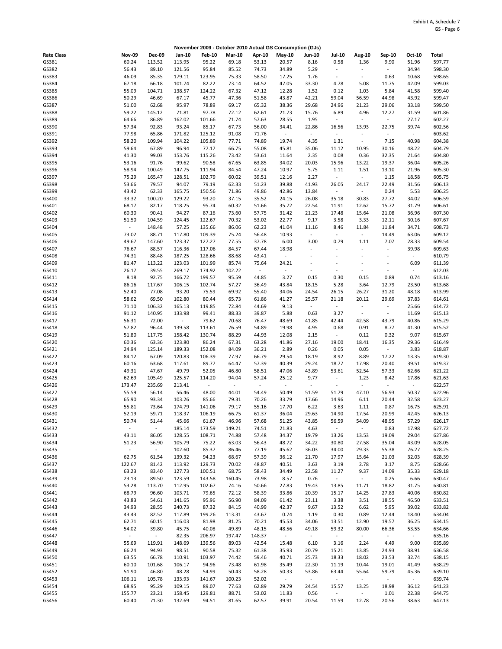|                   |                                   |                  |                  |                  |                 |                          | November 2009 - October 2010 Actual GS Consumption (GJs) |                          |                          |                          |                                   |                  |                  |
|-------------------|-----------------------------------|------------------|------------------|------------------|-----------------|--------------------------|----------------------------------------------------------|--------------------------|--------------------------|--------------------------|-----------------------------------|------------------|------------------|
| <b>Rate Class</b> | <b>Nov-09</b>                     | Dec-09           | Jan-10           | <b>Feb-10</b>    | <b>Mar-10</b>   | Apr-10                   | May-10                                                   | <b>Jun-10</b>            | <b>Jul-10</b>            | <b>Aug-10</b>            | Sep-10                            | Oct-10           | Total            |
| GS381             | 60.24                             | 113.52           | 113.95           | 95.22            | 69.18           | 53.13                    | 20.57                                                    | 8.16                     | 0.58                     | 1.36                     | 9.90                              | 51.96            | 597.77           |
| GS382             | 56.43                             | 89.10            | 121.56           | 95.84            | 85.52           | 74.73                    | 34.89                                                    | 5.29                     | $\blacksquare$           | $\omega$                 | $\overline{\phantom{a}}$          | 34.94            | 598.30           |
| GS383             | 46.09                             | 85.35            | 179.11           | 123.95           | 75.33           | 58.50                    | 17.25                                                    | 1.76                     | $\overline{\phantom{a}}$ | $\overline{\phantom{a}}$ | 0.63                              | 10.68            | 598.65           |
| GS384             | 67.18                             | 66.18            | 101.74           | 82.22            | 73.14           | 64.52                    | 47.05                                                    | 33.30                    | 4.78                     | 5.08                     | 11.75                             | 42.09            | 599.03           |
| GS385<br>GS386    | 55.09<br>50.29                    | 104.71<br>46.69  | 138.57<br>67.17  | 124.22<br>45.77  | 67.32<br>47.36  | 47.12<br>51.58           | 12.28<br>43.87                                           | 1.52<br>42.21            | 0.12<br>59.04            | 1.03<br>56.59            | 5.84<br>44.98                     | 41.58<br>43.92   | 599.40<br>599.47 |
| GS387             | 51.00                             | 62.68            | 95.97            | 78.89            | 69.17           | 65.32                    | 38.36                                                    | 29.68                    | 24.96                    | 21.23                    | 29.06                             | 33.18            | 599.50           |
| GS388             | 59.22                             | 145.12           | 71.81            | 97.78            | 72.12           | 62.61                    | 21.73                                                    | 15.76                    | 6.89                     | 4.96                     | 12.27                             | 31.59            | 601.86           |
| GS389             | 64.66                             | 86.89            | 162.02           | 101.66           | 71.74           | 57.63                    | 28.55                                                    | 1.95                     | $\overline{\phantom{a}}$ | $\sim$                   | $\overline{\phantom{a}}$          | 27.17            | 602.27           |
| GS390             | 57.34                             | 92.83            | 93.24            | 85.17            | 67.73           | 56.00                    | 34.41                                                    | 22.86                    | 16.56                    | 13.93                    | 22.75                             | 39.74            | 602.56           |
| GS391             | 77.98                             | 65.86            | 171.82           | 125.12           | 91.08           | 71.76                    | $\omega$                                                 | $\overline{\phantom{a}}$ | $\overline{\phantom{a}}$ | $\blacksquare$           | $\Box$                            | ÷                | 603.62           |
| GS392             | 58.20                             | 109.94           | 104.22           | 105.89           | 77.71           | 74.89                    | 19.74                                                    | 4.35                     | 1.31                     | $\omega$                 | 7.15                              | 40.98            | 604.38           |
| GS393             | 59.64                             | 67.89            | 96.94            | 77.17            | 66.75           | 55.08                    | 45.81                                                    | 35.06                    | 11.12                    | 10.95                    | 30.16                             | 48.22            | 604.79           |
| GS394<br>GS395    | 41.30<br>53.16                    | 99.03<br>91.76   | 153.76<br>99.62  | 115.26<br>90.58  | 73.42<br>67.65  | 53.61<br>63.85           | 11.64<br>34.02                                           | 2.35<br>20.03            | 0.08<br>15.96            | 0.36<br>13.22            | 32.35<br>19.37                    | 21.64<br>36.04   | 604.80<br>605.26 |
| GS396             | 58.94                             | 100.49           | 147.75           | 111.94           | 84.54           | 47.24                    | 10.97                                                    | 5.75                     | 1.11                     | 1.51                     | 13.10                             | 21.96            | 605.30           |
| GS397             | 75.29                             | 165.47           | 128.51           | 102.79           | 60.02           | 39.51                    | 12.16                                                    | 2.27                     | $\overline{\phantom{a}}$ | $\omega$                 | 1.15                              | 18.58            | 605.75           |
| GS398             | 53.66                             | 79.57            | 94.07            | 79.19            | 62.33           | 51.23                    | 39.88                                                    | 41.93                    | 26.05                    | 24.17                    | 22.49                             | 31.56            | 606.13           |
| GS399             | 43.42                             | 62.33            | 165.75           | 150.56           | 71.86           | 49.86                    | 42.86                                                    | 13.84                    | $\blacksquare$           | $\sim$                   | 0.24                              | 5.53             | 606.25           |
| GS400             | 33.32                             | 100.20           | 129.22           | 93.20            | 37.15           | 35.52                    | 24.15                                                    | 26.08                    | 35.18                    | 30.83                    | 27.72                             | 34.02            | 606.59           |
| GS401             | 68.17                             | 82.17            | 118.25           | 95.74            | 60.32           | 51.66                    | 35.72                                                    | 22.54                    | 11.91                    | 12.62                    | 15.72                             | 31.79            | 606.61           |
| GS402             | 60.30                             | 90.41            | 94.27            | 87.16            | 73.60           | 57.75                    | 31.42                                                    | 21.23                    | 17.48                    | 15.64                    | 21.08                             | 36.96            | 607.30           |
| GS403<br>GS404    | 51.50<br>$\overline{\phantom{a}}$ | 104.59<br>148.48 | 124.45<br>57.25  | 122.67<br>135.66 | 70.32<br>86.06  | 53.02<br>62.23           | 22.77<br>41.04                                           | 9.17<br>11.16            | 3.58<br>8.46             | 3.33<br>11.84            | 12.11<br>11.84                    | 30.16<br>34.71   | 607.67<br>608.73 |
| GS405             | 73.02                             | 88.71            | 117.80           | 109.39           | 75.24           | 56.48                    | 10.93                                                    | $\omega$                 | $\blacksquare$           | $\sim$                   | 14.49                             | 63.06            | 609.12           |
| GS406             | 49.67                             | 147.60           | 123.37           | 127.27           | 77.55           | 37.78                    | 6.00                                                     | 3.00                     | 0.79                     | 1.11                     | 7.07                              | 28.33            | 609.54           |
| GS407             | 76.67                             | 88.57            | 116.36           | 117.06           | 84.57           | 67.44                    | 18.98                                                    |                          |                          |                          | $\blacksquare$                    | 39.98            | 609.63           |
| GS408             | 74.31                             | 88.48            | 187.25           | 128.66           | 88.68           | 43.41                    | $\sim$                                                   | $\overline{a}$           | $\overline{\phantom{a}}$ | $\ddot{\phantom{0}}$     | $\overline{\phantom{a}}$          | ÷,               | 610.79           |
| GS409             | 81.47                             | 113.22           | 123.03           | 101.99           | 85.74           | 75.64                    | 24.21                                                    | ÷,                       |                          | $\sim$                   | $\tilde{\phantom{a}}$             | 6.09             | 611.39           |
| GS410             | 26.17                             | 39.55            | 269.17           | 174.92           | 102.22          | $\Box$                   | $\sim$                                                   | $\sim$                   | $\overline{\phantom{a}}$ | $\overline{\phantom{a}}$ | $\sim$                            | ÷,               | 612.03           |
| GS411             | 8.18                              | 92.75            | 166.72           | 199.57           | 95.59           | 44.85                    | 3.27                                                     | 0.15                     | 0.30                     | 0.15                     | 0.89                              | 0.74             | 613.16           |
| GS412<br>GS413    | 86.16<br>52.40                    | 117.67<br>77.08  | 106.15<br>93.20  | 102.74<br>75.59  | 57.27<br>69.92  | 36.49<br>55.40           | 43.84<br>34.06                                           | 18.15<br>24.54           | 5.28<br>26.15            | 3.64<br>26.27            | 12.79<br>31.20                    | 23.50<br>48.18   | 613.68<br>613.99 |
| GS414             | 58.62                             | 69.50            | 102.80           | 80.44            | 65.73           | 61.86                    | 41.27                                                    | 25.57                    | 21.18                    | 20.12                    | 29.69                             | 37.83            | 614.61           |
| GS415             | 71.10                             | 106.32           | 165.13           | 119.85           | 72.84           | 44.69                    | 9.13                                                     | $\sim$                   | $\blacksquare$           | $\sim$                   | $\overline{\phantom{a}}$          | 25.66            | 614.72           |
| GS416             | 91.12                             | 140.95           | 133.98           | 99.41            | 88.33           | 39.87                    | 5.88                                                     | 0.63                     | 3.27                     | $\omega$                 | $\blacksquare$                    | 11.69            | 615.13           |
| GS417             | 56.31                             | 72.00            | $\omega$         | 79.62            | 70.68           | 76.47                    | 48.69                                                    | 41.85                    | 42.44                    | 42.58                    | 43.79                             | 40.86            | 615.29           |
| GS418             | 57.82                             | 96.44            | 139.58           | 113.61           | 76.59           | 54.89                    | 19.98                                                    | 4.95                     | 0.68                     | 0.91                     | 8.77                              | 41.30            | 615.52           |
| GS419             | 51.80                             | 117.75           | 158.42           | 130.74           | 88.29           | 44.93                    | 12.08                                                    | 2.15                     | $\overline{\phantom{a}}$ | 0.12                     | 0.32                              | 9.07             | 615.67           |
| GS420             | 60.36                             | 63.36            | 123.80           | 86.24            | 67.31           | 63.28                    | 41.86                                                    | 27.16                    | 19.00                    | 18.41<br>0.05            | 16.35<br>$\overline{\phantom{a}}$ | 29.36            | 616.49           |
| GS421<br>GS422    | 24.94<br>84.12                    | 125.14<br>67.09  | 189.33<br>120.83 | 152.08<br>106.39 | 84.09<br>77.97  | 36.21<br>66.79           | 2.89<br>29.54                                            | 0.26<br>18.19            | 0.05<br>8.92             | 8.89                     | 17.22                             | 3.83<br>13.35    | 618.87<br>619.30 |
| GS423             | 60.16                             | 63.68            | 117.61           | 89.77            | 64.47           | 57.39                    | 40.39                                                    | 29.24                    | 18.77                    | 17.98                    | 20.40                             | 39.51            | 619.37           |
| GS424             | 49.31                             | 47.67            | 49.79            | 52.05            | 46.80           | 58.51                    | 47.06                                                    | 43.89                    | 53.61                    | 52.54                    | 57.33                             | 62.66            | 621.22           |
| GS425             | 62.69                             | 105.49           | 125.57           | 114.20           | 94.04           | 57.24                    | 25.12                                                    | 9.77                     | $\overline{\phantom{a}}$ | 1.23                     | 8.42                              | 17.86            | 621.63           |
| GS426             | 173.47                            | 235.69           | 213.41           | $\sim$           | $\blacksquare$  | $\overline{\phantom{a}}$ | $\omega$                                                 | $\bar{\phantom{a}}$      | $\overline{\phantom{a}}$ | $\omega$                 | $\ddot{\phantom{a}}$              | ÷,               | 622.57           |
| GS427             | 55.59                             | 56.14            | 56.46            | 48.00            | 44.01           | 54.49                    | 50.49                                                    | 51.59                    | 51.79                    | 47.10                    | 56.93                             | 50.37            | 622.96           |
| GS428             | 65.90                             | 93.34            | 103.26           | 85.66            | 79.31           | 70.26                    | 33.79                                                    | 17.66                    | 14.96                    | 6.11                     | 20.44                             | 32.58            | 623.27           |
| GS429<br>GS430    | 55.81<br>52.19                    | 73.64<br>59.71   | 174.79<br>118.37 | 141.06<br>106.19 | 79.17<br>66.75  | 55.16<br>61.37           | 17.70<br>36.04                                           | 6.22<br>29.63            | 3.63<br>14.90            | 1.11<br>17.54            | 0.87<br>20.99                     | 16.75<br>42.45   | 625.91<br>626.13 |
| GS431             | 50.74                             | 51.44            | 45.66            | 61.67            | 46.96           | 57.68                    | 51.25                                                    | 43.85                    | 56.59                    | 54.09                    | 48.95                             | 57.29            | 626.17           |
| GS432             | $\omega$                          | $\omega$         | 185.14           | 173.59           | 149.21          | 74.51                    | 21.83                                                    | 4.63                     | $\sim$                   | $\sim$                   | 0.83                              | 17.98            | 627.72           |
| GS433             | 43.11                             | 86.05            | 128.55           | 108.71           | 74.88           | 57.48                    | 34.37                                                    | 19.79                    | 13.26                    | 13.53                    | 19.09                             | 29.04            | 627.86           |
| GS434             | 51.23                             | 56.90            | 105.79           | 75.22            | 63.03           | 56.43                    | 48.72                                                    | 34.22                    | 30.80                    | 27.58                    | 35.04                             | 43.09            | 628.05           |
| GS435             | $\sim$                            | $\omega$         | 102.60           | 85.37            | 86.46           | 77.19                    | 45.62                                                    | 36.03                    | 34.00                    | 29.33                    | 55.38                             | 76.27            | 628.25           |
| GS436             | 62.75                             | 61.54            | 139.32           | 94.23            | 68.67<br>70.02  | 57.39                    | 36.12                                                    | 21.70                    | 17.97                    | 15.64                    | 21.03                             | 32.03            | 628.39           |
| GS437<br>GS438    | 122.67<br>63.23                   | 81.42<br>83.40   | 113.92<br>127.73 | 129.73<br>100.51 | 68.75           | 48.87<br>58.43           | 40.51<br>34.49                                           | 3.63<br>22.58            | 3.19<br>11.27            | 2.78<br>9.37             | 3.17<br>14.09                     | 8.75<br>35.33    | 628.66<br>629.18 |
| GS439             | 23.13                             | 89.50            | 123.59           | 143.58           | 160.45          | 73.98                    | 8.57                                                     | 0.76                     | $\blacksquare$           | $\sim$                   | 0.25                              | 6.66             | 630.47           |
| GS440             | 53.28                             | 113.70           | 112.95           | 102.67           | 74.16           | 50.66                    | 27.83                                                    | 19.43                    | 13.85                    | 11.71                    | 18.82                             | 31.75            | 630.81           |
| GS441             | 68.79                             | 96.60            | 103.71           | 79.65            | 72.12           | 58.39                    | 33.86                                                    | 20.39                    | 15.17                    | 14.25                    | 27.83                             | 40.06            | 630.82           |
| GS442             | 43.83                             | 54.61            | 141.65           | 95.96            | 56.90           | 84.09                    | 61.42                                                    | 23.11                    | 3.38                     | 3.51                     | 18.55                             | 46.50            | 633.51           |
| GS443             | 34.93                             | 28.55            | 240.73           | 87.32            | 84.15           | 40.99                    | 42.37                                                    | 9.67                     | 13.52                    | 6.62                     | 5.95                              | 39.02            | 633.82           |
| GS444             | 43.43                             | 82.52            | 117.89           | 199.26           | 113.31          | 43.67                    | 0.74                                                     | 1.19                     | 0.30                     | 0.89                     | 12.44                             | 18.40            | 634.04           |
| GS445<br>GS446    | 62.71<br>54.02                    | 60.15<br>39.80   | 116.03<br>45.75  | 81.98<br>40.08   | 81.25<br>49.89  | 70.21<br>48.15           | 45.53<br>48.56                                           | 34.06<br>49.18           | 13.51<br>59.32           | 12.90<br>80.00           | 19.57<br>66.36                    | 36.25<br>53.55   | 634.15<br>634.66 |
| GS447             | $\omega$                          | $\omega$         | 82.35            | 206.97           | 197.47          | 148.37                   | $\sim$                                                   | $\omega$                 | $\omega$                 | $\sim$                   | $\omega$                          | $\omega_{\rm c}$ | 635.16           |
| GS448             | 55.69                             | 119.91           | 148.69           | 139.56           | 89.03           | 42.54                    | 15.48                                                    | 6.10                     | 3.16                     | 2.24                     | 4.49                              | 9.00             | 635.89           |
| GS449             | 66.24                             | 94.93            | 98.51            | 90.58            | 75.32           | 61.38                    | 35.93                                                    | 20.79                    | 15.21                    | 13.85                    | 24.93                             | 38.91            | 636.58           |
| GS450             | 63.55                             | 66.78            | 110.91           | 103.97           | 74.42           | 59.46                    | 40.71                                                    | 25.73                    | 18.33                    | 18.02                    | 23.53                             | 32.74            | 638.15           |
| GS451             | 60.10                             | 101.68           | 106.17           | 94.96            | 73.48           | 61.98                    | 35.49                                                    | 22.30                    | 11.19                    | 10.44                    | 19.01                             | 41.49            | 638.29           |
| GS452             | 51.90                             | 46.80            | 48.28            | 54.99            | 50.43           | 58.28                    | 50.33                                                    | 53.86                    | 63.44                    | 55.64                    | 59.79                             | 45.36            | 639.10           |
| GS453<br>GS454    | 106.11<br>68.95                   | 105.78           | 133.93<br>109.15 | 141.67<br>89.07  | 100.23<br>77.63 | 52.02                    | $\sim$<br>29.79                                          | $\omega$<br>24.54        | $\blacksquare$           | $\sim$<br>13.25          | $\omega$<br>18.98                 | ÷<br>36.12       | 639.74           |
| GS455             | 155.77                            | 95.29<br>23.21   | 158.45           | 129.81           | 88.71           | 62.89<br>53.02           | 11.83                                                    | 0.56                     | 15.57<br>$\blacksquare$  | $\sim$                   | 1.01                              | 22.38            | 641.23<br>644.75 |
| GS456             | 60.40                             | 71.30            | 132.69           | 94.51            | 81.65           | 62.57                    | 39.91                                                    | 20.54                    | 11.59                    | 12.78                    | 20.56                             | 38.63            | 647.13           |
|                   |                                   |                  |                  |                  |                 |                          |                                                          |                          |                          |                          |                                   |                  |                  |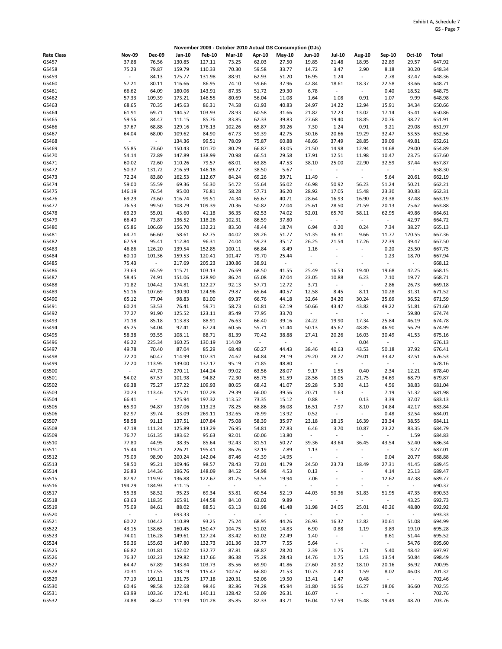|                   |                |                         |                  |                  |                 |                          | November 2009 - October 2010 Actual GS Consumption (GJs) |                                   |                                  |                             |                                   |                   |                  |
|-------------------|----------------|-------------------------|------------------|------------------|-----------------|--------------------------|----------------------------------------------------------|-----------------------------------|----------------------------------|-----------------------------|-----------------------------------|-------------------|------------------|
| <b>Rate Class</b> | <b>Nov-09</b>  | <b>Dec-09</b>           | Jan-10           | <b>Feb-10</b>    | <b>Mar-10</b>   | Apr-10                   | May-10                                                   | <b>Jun-10</b>                     | <b>Jul-10</b>                    | <b>Aug-10</b>               | Sep-10                            | Oct-10            | Total            |
| GS457             | 37.88          | 76.56                   | 130.85           | 127.11           | 73.25           | 62.03                    | 27.50                                                    | 19.85                             | 21.48                            | 18.95                       | 22.89                             | 29.57             | 647.92           |
| GS458             | 75.23          | 79.87                   | 159.79           | 110.33           | 70.30           | 59.58                    | 33.77                                                    | 14.72                             | 3.47                             | 2.90                        | 8.18                              | 30.20             | 648.34           |
| GS459             | $\sim$         | 84.13                   | 175.77           | 131.98           | 88.91           | 62.93                    | 51.20                                                    | 16.95                             | 1.24                             | $\sim$                      | 2.78                              | 32.47             | 648.36           |
| GS460             | 57.21          | 80.11                   | 116.66           | 86.95            | 74.10           | 59.66                    | 37.96                                                    | 42.84                             | 18.61                            | 18.37                       | 22.58                             | 33.66             | 648.71           |
| GS461<br>GS462    | 66.62<br>57.33 | 64.09<br>109.39         | 180.06<br>173.21 | 143.91<br>146.55 | 87.35<br>80.69  | 51.72<br>56.04           | 29.30<br>11.08                                           | 6.78<br>1.64                      | $\overline{\phantom{a}}$<br>1.08 | $\sim$<br>0.91              | 0.40<br>1.07                      | 18.52<br>9.99     | 648.75<br>648.98 |
| GS463             | 68.65          | 70.35                   | 145.63           | 86.31            | 74.58           | 61.93                    | 40.83                                                    | 24.97                             | 14.22                            | 12.94                       | 15.91                             | 34.34             | 650.66           |
| GS464             | 61.91          | 69.71                   | 144.52           | 103.93           | 78.93           | 60.58                    | 31.66                                                    | 21.82                             | 12.23                            | 13.02                       | 17.14                             | 35.41             | 650.86           |
| GS465             | 59.56          | 84.47                   | 111.15           | 85.76            | 83.85           | 62.33                    | 39.83                                                    | 27.68                             | 19.40                            | 18.85                       | 20.76                             | 38.27             | 651.91           |
| GS466             | 37.67          | 68.88                   | 129.16           | 176.13           | 102.26          | 65.87                    | 30.26                                                    | 7.30                              | 1.24                             | 0.91                        | 3.21                              | 29.08             | 651.97           |
| GS467             | 64.04          | 68.00                   | 109.62           | 84.90            | 67.73           | 59.39                    | 42.75                                                    | 30.16                             | 20.66                            | 19.29                       | 32.47                             | 53.55             | 652.56           |
| GS468             | $\omega$       | $\omega$                | 134.36           | 99.51            | 78.09           | 75.87                    | 60.88                                                    | 48.66                             | 37.49                            | 28.85                       | 39.09                             | 49.81             | 652.61           |
| GS469             | 55.85          | 73.60                   | 150.43           | 101.70           | 80.29           | 66.87                    | 33.05                                                    | 21.50                             | 14.98                            | 12.94                       | 14.68                             | 29.00             | 654.89           |
| GS470<br>GS471    | 54.14<br>60.02 | 72.89<br>72.60          | 147.89<br>110.26 | 138.99<br>79.57  | 70.98<br>68.01  | 66.51<br>63.85           | 29.58<br>47.53                                           | 17.91<br>38.10                    | 12.51<br>25.00                   | 11.98<br>22.90              | 10.47<br>32.59                    | 23.75<br>37.44    | 657.60<br>657.87 |
| GS472             | 50.37          | 131.72                  | 216.59           | 146.18           | 69.27           | 38.50                    | 5.67                                                     | $\sim$                            | $\overline{\phantom{a}}$         | $\overline{\phantom{a}}$    | $\overline{\phantom{a}}$          | $\blacksquare$    | 658.30           |
| GS473             | 72.24          | 83.80                   | 162.53           | 112.67           | 84.24           | 69.26                    | 39.71                                                    | 11.49                             | $\blacksquare$                   | $\mathcal{L}_{\mathcal{A}}$ | 5.64                              | 20.61             | 662.19           |
| GS474             | 59.00          | 55.59                   | 69.36            | 56.30            | 54.72           | 55.64                    | 56.02                                                    | 46.98                             | 50.92                            | 56.23                       | 51.24                             | 50.21             | 662.21           |
| GS475             | 146.19         | 76.54                   | 95.00            | 76.81            | 58.28           | 57.71                    | 36.20                                                    | 28.92                             | 17.05                            | 15.48                       | 23.30                             | 30.83             | 662.31           |
| GS476             | 69.29          | 73.60                   | 116.74           | 99.51            | 74.34           | 65.67                    | 40.71                                                    | 28.64                             | 16.93                            | 16.90                       | 23.38                             | 37.48             | 663.19           |
| GS477             | 76.53          | 99.50                   | 108.79           | 109.39           | 70.36           | 50.82                    | 27.04                                                    | 25.61                             | 28.50                            | 21.59                       | 20.13                             | 25.62             | 663.88           |
| GS478             | 63.29          | 55.01                   | 43.60            | 41.18            | 36.35           | 62.53                    | 74.02                                                    | 52.01                             | 65.70                            | 58.11                       | 62.95                             | 49.86             | 664.61           |
| GS479<br>GS480    | 66.40<br>65.86 | 73.87<br>106.69         | 136.52<br>156.70 | 118.26<br>132.21 | 102.31<br>83.50 | 86.59<br>48.44           | 37.80<br>18.74                                           | $\sim$<br>6.94                    | $\blacksquare$<br>0.20           | $\omega$<br>0.24            | $\blacksquare$<br>7.34            | 42.97<br>38.27    | 664.72<br>665.13 |
| GS481             | 64.71          | 66.60                   | 58.61            | 62.75            | 44.02           | 89.26                    | 51.77                                                    | 51.35                             | 36.31                            | 9.66                        | 11.77                             | 120.55            | 667.36           |
| GS482             | 67.59          | 95.41                   | 112.84           | 96.31            | 74.04           | 59.23                    | 35.17                                                    | 26.25                             | 21.54                            | 17.26                       | 22.39                             | 39.47             | 667.50           |
| GS483             | 46.86          | 126.20                  | 139.54           | 152.85           | 100.11          | 66.84                    | 8.49                                                     | 1.16                              |                                  | $\omega$                    | 0.20                              | 25.50             | 667.75           |
| GS484             | 60.10          | 101.36                  | 159.53           | 120.41           | 101.47          | 79.70                    | 25.44                                                    | $\overline{\phantom{a}}$          | $\overline{\phantom{a}}$         | $\overline{\phantom{a}}$    | 1.23                              | 18.70             | 667.94           |
| GS485             | 75.43          | $\sim$                  | 217.69           | 205.23           | 130.86          | 38.91                    | $\sim$                                                   | $\sim$                            | $\sim$                           | $\overline{\phantom{a}}$    | $\sim$                            | ÷                 | 668.12           |
| GS486             | 73.63          | 65.59                   | 115.71           | 103.13           | 76.69           | 68.50                    | 41.55                                                    | 25.49                             | 16.53                            | 19.40                       | 19.68                             | 42.25             | 668.15           |
| GS487             | 58.45          | 74.91                   | 151.06           | 128.90           | 86.24           | 65.08                    | 37.04                                                    | 23.05                             | 10.88                            | 6.23                        | 7.10                              | 19.77             | 668.71           |
| GS488<br>GS489    | 71.82<br>51.16 | 104.42<br>107.69        | 174.81<br>130.90 | 122.27<br>124.96 | 92.13<br>79.87  | 57.71<br>65.64           | 12.72<br>40.57                                           | 3.71<br>12.58                     | ÷,<br>8.45                       | $\sim$<br>8.11              | 2.86<br>10.28                     | 26.73<br>31.31    | 669.18<br>671.52 |
| GS490             | 65.12          | 77.04                   | 98.83            | 81.00            | 69.37           | 66.76                    | 44.18                                                    | 32.64                             | 34.20                            | 30.24                       | 35.69                             | 36.52             | 671.59           |
| GS491             | 60.24          | 53.53                   | 76.41            | 59.71            | 58.73           | 61.81                    | 62.19                                                    | 50.66                             | 43.47                            | 43.82                       | 49.22                             | 51.81             | 671.60           |
| GS492             | 77.27          | 91.90                   | 125.52           | 123.11           | 85.49           | 77.95                    | 33.70                                                    | $\sim$                            | $\blacksquare$                   | $\omega$                    | $\Box$                            | 59.80             | 674.74           |
| GS493             | 71.18          | 85.18                   | 113.83           | 88.91            | 76.63           | 66.40                    | 39.16                                                    | 24.22                             | 19.90                            | 17.34                       | 25.84                             | 46.19             | 674.78           |
| GS494             | 45.25          | 54.04                   | 92.41            | 67.24            | 60.56           | 55.71                    | 51.44                                                    | 50.13                             | 45.67                            | 48.85                       | 46.90                             | 56.79             | 674.99           |
| GS495             | 58.38          | 93.55                   | 108.11           | 88.71            | 81.39           | 70.42                    | 38.88                                                    | 27.41                             | 20.26                            | 16.03                       | 30.49                             | 41.53             | 675.16           |
| GS496<br>GS497    | 46.22<br>49.78 | 225.34<br>70.40         | 160.25<br>87.04  | 130.19<br>85.29  | 114.09<br>68.48 | $\overline{\phantom{a}}$ | $\sim$<br>44.43                                          | $\overline{\phantom{a}}$<br>38.46 | $\overline{\phantom{a}}$         | 0.04<br>43.53               | $\overline{\phantom{a}}$<br>50.18 | $\sim$<br>37.92   | 676.13           |
| GS498             | 72.20          | 60.47                   | 114.99           | 107.31           | 74.62           | 60.27<br>64.84           | 29.19                                                    | 29.20                             | 40.63<br>28.77                   | 29.01                       | 33.42                             | 32.51             | 676.41<br>676.53 |
| GS499             | 72.20          | 113.95                  | 139.00           | 137.17           | 95.19           | 71.85                    | 48.80                                                    | $\Box$                            | $\blacksquare$                   | $\sim$                      | $\Box$                            | $\sim$            | 678.16           |
| GS500             | $\sim$         | 47.73                   | 270.11           | 144.24           | 99.02           | 63.56                    | 28.07                                                    | 9.17                              | 1.55                             | 0.40                        | 2.34                              | 12.21             | 678.40           |
| GS501             | 54.02          | 67.57                   | 101.98           | 94.82            | 72.30           | 65.75                    | 51.59                                                    | 28.56                             | 18.05                            | 21.75                       | 34.69                             | 68.79             | 679.87           |
| GS502             | 66.38          | 75.27                   | 157.22           | 109.93           | 80.65           | 68.42                    | 41.07                                                    | 29.28                             | 5.30                             | 4.13                        | 4.56                              | 38.83             | 681.04           |
| GS503             | 70.23          | 113.46                  | 125.21           | 107.28           | 79.39           | 66.00                    | 39.56                                                    | 20.71                             | 1.63                             | $\sim$                      | 7.19                              | 51.32             | 681.98           |
| GS504<br>GS505    | 66.41<br>65.90 | $\blacksquare$<br>94.87 | 175.94<br>137.06 | 197.32<br>113.23 | 113.52<br>78.25 | 73.35<br>68.86           | 15.12<br>36.08                                           | 0.88<br>16.51                     | $\overline{\phantom{a}}$<br>7.97 | 0.13<br>8.10                | 3.39<br>14.84                     | 37.07<br>42.17    | 683.13<br>683.84 |
| GS506             | 82.97          | 39.74                   | 33.09            | 269.11           | 132.65          | 78.99                    | 13.92                                                    | 0.52                              | $\Box$                           | $\omega$                    | 0.48                              | 32.54             | 684.01           |
| GS507             | 58.58          | 91.13                   | 137.51           | 107.84           | 75.08           | 58.39                    | 35.97                                                    | 23.18                             | 18.15                            | 16.39                       | 23.34                             | 38.55             | 684.11           |
| GS508             | 47.18          | 111.24                  | 125.89           | 113.29           | 76.95           | 54.81                    | 27.83                                                    | 6.46                              | 3.70                             | 10.87                       | 23.22                             | 83.35             | 684.79           |
| GS509             | 76.77          | 161.35                  | 183.62           | 95.63            | 92.01           | 60.06                    | 13.80                                                    | $\sim$                            | $\overline{\phantom{a}}$         | $\sim$                      | $\omega$                          | 1.59              | 684.83           |
| GS510             | 77.80          | 44.95                   | 38.35            | 85.64            | 92.43           | 81.51                    | 50.27                                                    | 39.36                             | 43.64                            | 36.45                       | 43.54                             | 52.40             | 686.34           |
| GS511             | 15.44          | 119.21                  | 226.21           | 195.41           | 86.26           | 32.19                    | 7.89                                                     | 1.13                              | $\overline{\phantom{a}}$         | $\sim$                      | $\omega$                          | 3.27              | 687.01           |
| GS512<br>GS513    | 75.09<br>58.50 | 98.90<br>95.21          | 200.24<br>109.46 | 142.04<br>98.57  | 87.46<br>78.43  | 49.39<br>72.01           | 14.95<br>41.79                                           | $\omega$                          | $\blacksquare$<br>23.73          | $\sim$<br>18.49             | 0.04<br>27.31                     | 20.77             | 688.88<br>689.45 |
| GS514             | 26.83          | 144.36                  | 196.76           | 148.09           | 84.52           | 54.98                    | 4.53                                                     | 24.50<br>0.13                     | $\overline{\phantom{a}}$         | $\sim$                      | 4.14                              | 41.45<br>25.13    | 689.47           |
| GS515             | 87.97          | 119.97                  | 136.88           | 122.67           | 81.75           | 53.53                    | 19.94                                                    | 7.06                              | $\blacksquare$                   | $\sim$                      | 12.62                             | 47.38             | 689.77           |
| GS516             | 194.29         | 184.93                  | 311.15           | $\omega_{\rm c}$ | $\omega$        | $\Box$                   | $\sim$                                                   | $\omega$                          | $\overline{\phantom{a}}$         | $\sim$                      | $\Box$                            | $\omega$          | 690.37           |
| GS517             | 55.38          | 58.52                   | 95.23            | 69.34            | 53.81           | 60.54                    | 52.19                                                    | 44.03                             | 50.36                            | 51.83                       | 51.95                             | 47.35             | 690.53           |
| GS518             | 63.63          | 118.35                  | 165.91           | 144.58           | 84.10           | 63.02                    | 9.89                                                     | $\sim$                            | $\blacksquare$                   | $\sim$                      | $\sim$                            | 43.25             | 692.73           |
| GS519             | 75.09          | 84.61                   | 88.02            | 88.51            | 63.13           | 81.98                    | 41.48                                                    | 31.98                             | 24.05                            | 25.01                       | 40.26                             | 48.80             | 692.92           |
| GS520             | $\sim$         | $\sim$                  | 693.33           | $\sim$           | $\sim$          | $\blacksquare$           | $\sim$                                                   | $\omega$                          | $\overline{\phantom{a}}$         | $\sim$                      | $\blacksquare$                    | $\sim$            | 693.33           |
| GS521             | 60.22          | 104.42<br>138.65        | 110.89           | 93.25            | 75.24           | 68.95                    | 44.26                                                    | 26.93                             | 16.32                            | 12.82                       | 30.61                             | 51.08             | 694.99<br>695.28 |
| GS522<br>GS523    | 43.15<br>74.01 | 116.28                  | 160.45<br>149.61 | 150.47<br>127.24 | 104.75<br>83.42 | 51.02<br>61.02           | 14.83<br>22.49                                           | 6.90<br>1.40                      | 0.88<br>$\sim$                   | 1.19<br>$\sim$              | 3.89<br>8.61                      | 19.10<br>51.44    | 695.52           |
| GS524             | 56.36          | 155.63                  | 147.80           | 132.73           | 101.36          | 33.77                    | 7.55                                                     | 5.64                              | $\blacksquare$                   | $\omega$                    | $\blacksquare$                    | 54.76             | 695.60           |
| GS525             | 66.82          | 101.81                  | 152.02           | 132.77           | 87.81           | 68.87                    | 28.20                                                    | 2.39                              | 1.75                             | 1.71                        | 5.40                              | 48.42             | 697.97           |
| GS526             | 76.37          | 102.23                  | 129.82           | 117.66           | 86.38           | 75.28                    | 28.43                                                    | 14.76                             | 1.75                             | 1.43                        | 13.54                             | 50.84             | 698.49           |
| GS527             | 64.47          | 67.89                   | 143.84           | 103.73           | 85.56           | 69.90                    | 41.86                                                    | 27.60                             | 20.92                            | 18.10                       | 20.16                             | 36.92             | 700.95           |
| GS528             | 70.31          | 117.55                  | 138.19           | 115.47           | 102.67          | 66.80                    | 21.53                                                    | 10.73                             | 2.43                             | 1.59                        | 8.02                              | 46.03             | 701.32           |
| GS529             | 77.19          | 109.11                  | 131.75           | 177.18           | 120.31          | 52.06                    | 19.50                                                    | 13.41                             | 1.47                             | 0.48                        | $\overline{\phantom{a}}$          | $\sim$            | 702.46           |
| GS530<br>GS531    | 60.46<br>63.99 | 98.58<br>103.36         | 122.68<br>172.41 | 98.46<br>140.11  | 82.86<br>128.42 | 74.28<br>52.09           | 45.94<br>26.31                                           | 31.80<br>16.07                    | 16.56<br>$\blacksquare$          | 16.27<br>$\sim$             | 18.06<br>$\blacksquare$           | 36.60<br>$\omega$ | 702.55<br>702.76 |
| GS532             | 74.88          | 86.42                   | 111.99           | 101.28           | 85.85           | 82.33                    | 43.71                                                    | 16.04                             | 17.59                            | 15.48                       | 19.49                             | 48.70             | 703.76           |
|                   |                |                         |                  |                  |                 |                          |                                                          |                                   |                                  |                             |                                   |                   |                  |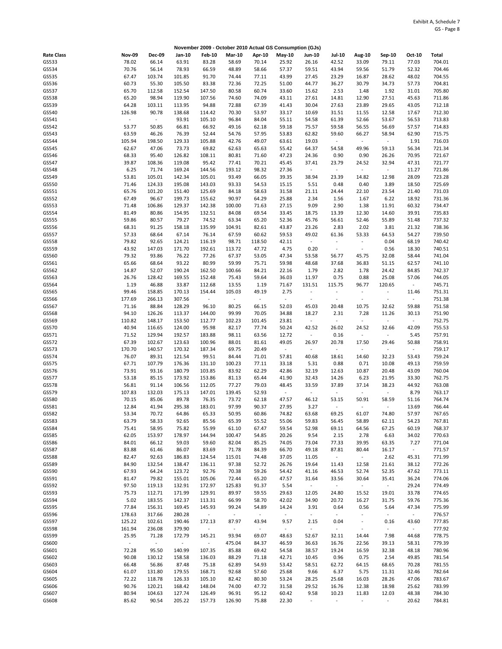|                   |                 |                  |                  |                          | November 2009 - October 2010 Actual GS Consumption (GJs) |                                   |                 |                                    |                                    |                                  |                          |                                   |                  |
|-------------------|-----------------|------------------|------------------|--------------------------|----------------------------------------------------------|-----------------------------------|-----------------|------------------------------------|------------------------------------|----------------------------------|--------------------------|-----------------------------------|------------------|
| <b>Rate Class</b> | <b>Nov-09</b>   | Dec-09           | Jan-10           | <b>Feb-10</b>            | <b>Mar-10</b>                                            | Apr-10                            | $May-10$        | Jun-10                             | <b>Jul-10</b>                      | <b>Aug-10</b>                    | Sep-10                   | Oct-10                            | Total            |
| GS533             | 78.02           | 66.14            | 63.91            | 83.28                    | 58.69                                                    | 70.14                             | 25.92           | 26.16                              | 42.52                              | 33.09                            | 79.11                    | 77.03                             | 704.01           |
| GS534             | 70.76           | 56.14            | 78.93            | 66.59                    | 48.89                                                    | 58.66                             | 57.37           | 59.51                              | 43.94                              | 59.56                            | 51.79                    | 52.32                             | 704.46           |
| GS535             | 67.47           | 103.74           | 101.85           | 91.70                    | 74.44                                                    | 77.11                             | 43.99           | 27.45                              | 23.29                              | 16.87                            | 28.62                    | 48.02                             | 704.55           |
| GS536             | 60.73           | 55.30            | 105.50           | 83.38                    | 72.36                                                    | 72.25                             | 51.00           | 44.77                              | 36.27                              | 30.79                            | 34.73                    | 57.73                             | 704.81           |
| GS537<br>GS538    | 65.70<br>65.20  | 112.58<br>98.94  | 152.54<br>119.90 | 147.50<br>107.56         | 80.58<br>74.60                                           | 60.74<br>74.09                    | 33.60<br>43.11  | 15.62<br>27.61                     | 2.53<br>14.81                      | 1.48<br>12.90                    | 1.92<br>27.51            | 31.01<br>45.63                    | 705.80<br>711.86 |
| GS539             | 64.28           | 103.11           | 113.95           | 94.88                    | 72.88                                                    | 67.39                             | 41.43           | 30.04                              | 27.63                              | 23.89                            | 29.65                    | 43.05                             | 712.18           |
| GS540             | 126.98          | 90.78            | 138.68           | 114.42                   | 70.30                                                    | 53.97                             | 33.17           | 10.69                              | 31.51                              | 11.55                            | 12.58                    | 17.67                             | 712.30           |
| GS541             | $\Box$          | $\Box$           | 93.91            | 105.10                   | 96.84                                                    | 84.04                             | 55.11           | 54.58                              | 61.39                              | 52.66                            | 53.67                    | 56.53                             | 713.83           |
| GS542             | 53.77           | 50.85            | 66.81            | 66.92                    | 49.16                                                    | 62.18                             | 59.18           | 75.57                              | 59.58                              | 56.55                            | 56.69                    | 57.57                             | 714.83           |
| GS543             | 63.59           | 46.26            | 76.39            | 52.44                    | 54.76                                                    | 57.95                             | 53.83           | 62.82                              | 59.60                              | 66.27                            | 58.94                    | 62.90                             | 715.75           |
| GS544             | 105.94          | 198.50           | 129.33           | 105.88                   | 42.76                                                    | 49.07                             | 63.61           | 19.03                              | $\blacksquare$                     | $\sim$                           | $\sim$                   | 1.91                              | 716.03           |
| GS545             | 62.67           | 47.06            | 73.73            | 69.82                    | 62.63                                                    | 65.63                             | 55.42           | 64.37                              | 54.58                              | 49.96                            | 59.13                    | 56.34                             | 721.34           |
| GS546<br>GS547    | 68.33<br>39.87  | 95.40<br>108.36  | 126.82<br>119.08 | 108.11<br>95.42          | 80.81<br>77.41                                           | 71.60<br>70.21                    | 47.23<br>45.45  | 24.36<br>37.41                     | 0.90<br>23.79                      | 0.90<br>24.52                    | 26.26<br>32.94           | 70.95<br>47.31                    | 721.67<br>721.77 |
| GS548             | 6.25            | 71.74            | 169.24           | 144.56                   | 193.12                                                   | 98.32                             | 27.36           | $\blacksquare$                     | $\sim$                             | $\sim$                           | $\overline{\phantom{a}}$ | 11.27                             | 721.86           |
| GS549             | 53.81           | 105.01           | 142.34           | 105.01                   | 93.49                                                    | 66.05                             | 39.35           | 38.94                              | 23.39                              | 14.82                            | 12.98                    | 28.09                             | 723.28           |
| GS550             | 71.46           | 124.33           | 195.08           | 143.03                   | 93.33                                                    | 54.53                             | 15.15           | 5.51                               | 0.48                               | 0.40                             | 3.89                     | 18.50                             | 725.69           |
| GS551             | 65.76           | 101.20           | 151.40           | 125.69                   | 84.18                                                    | 58.63                             | 31.58           | 21.11                              | 24.44                              | 22.10                            | 23.54                    | 21.40                             | 731.03           |
| GS552             | 67.49           | 96.67            | 199.73           | 155.62                   | 90.97                                                    | 64.29                             | 25.88           | 2.34                               | 1.56                               | 1.67                             | 6.22                     | 18.92                             | 731.36           |
| GS553             | 71.48           | 106.86           | 129.37           | 142.38                   | 100.00                                                   | 71.63                             | 27.15           | 9.09                               | 2.90                               | 1.38                             | 11.91                    | 60.32                             | 734.47           |
| GS554             | 81.49           | 80.86            | 154.95           | 132.51                   | 84.08                                                    | 69.54                             | 33.45           | 18.75                              | 13.39                              | 12.30                            | 14.60                    | 39.91                             | 735.83           |
| GS555<br>GS556    | 59.86<br>68.31  | 80.57<br>91.25   | 79.27<br>158.18  | 74.52<br>135.99          | 63.34<br>104.91                                          | 65.20<br>82.61                    | 52.36<br>43.87  | 45.76<br>23.26                     | 56.61<br>2.83                      | 52.46<br>2.02                    | 55.89<br>3.81            | 51.48<br>21.32                    | 737.32<br>738.36 |
| GS557             | 57.33           | 68.64            | 67.14            | 76.14                    | 67.59                                                    | 60.62                             | 59.53           | 49.02                              | 61.36                              | 53.33                            | 64.53                    | 54.27                             | 739.50           |
| GS558             | 79.82           | 92.65            | 124.21           | 116.19                   | 98.71                                                    | 118.50                            | 42.11           | $\omega$                           | $\overline{\phantom{a}}$           | $\sim$                           | 0.04                     | 68.19                             | 740.42           |
| GS559             | 43.92           | 147.03           | 171.70           | 192.61                   | 113.72                                                   | 47.72                             | 4.75            | 0.20                               | $\overline{\phantom{a}}$           | $\sim$                           | 0.56                     | 18.30                             | 740.51           |
| GS560             | 79.32           | 93.86            | 76.22            | 77.26                    | 67.37                                                    | 53.05                             | 47.34           | 53.58                              | 56.77                              | 45.75                            | 32.08                    | 58.44                             | 741.04           |
| GS561             | 65.66           | 68.64            | 93.22            | 80.99                    | 59.99                                                    | 75.71                             | 59.98           | 48.68                              | 37.68                              | 36.83                            | 51.15                    | 62.57                             | 741.10           |
| GS562             | 14.87           | 52.07            | 190.24           | 162.50                   | 100.66                                                   | 84.21                             | 22.16           | 1.79                               | 2.82                               | 1.78                             | 24.42                    | 84.85                             | 742.37           |
| GS563             | 26.76           | 128.42           | 169.55           | 152.48                   | 75.43                                                    | 59.64                             | 36.03           | 11.97                              | 0.75                               | 0.88                             | 25.08                    | 57.06                             | 744.05<br>745.71 |
| GS564<br>GS565    | 1.19<br>99.46   | 46.88<br>158.85  | 33.87<br>170.13  | 112.68<br>154.44         | 13.55<br>105.03                                          | 1.19<br>49.19                     | 71.67<br>2.75   | 131.51<br>$\overline{\phantom{a}}$ | 115.75<br>$\overline{\phantom{a}}$ | 96.77<br>$\blacksquare$          | 120.65<br>$\blacksquare$ | $\overline{\phantom{a}}$<br>11.46 | 751.31           |
| GS566             | 177.69          | 266.13           | 307.56           | $\pm$                    | $\Box$                                                   | $\overline{\phantom{a}}$          | $\sim$          | $\overline{\phantom{a}}$           | $\overline{\phantom{a}}$           | $\sim$                           | $\overline{\phantom{a}}$ | ÷                                 | 751.38           |
| GS567             | 71.16           | 88.84            | 128.29           | 96.10                    | 80.25                                                    | 66.15                             | 52.03           | 45.03                              | 20.48                              | 10.75                            | 32.62                    | 59.88                             | 751.58           |
| GS568             | 94.10           | 126.26           | 113.37           | 144.00                   | 99.99                                                    | 70.05                             | 34.88           | 18.27                              | 2.31                               | 7.28                             | 11.26                    | 30.13                             | 751.90           |
| GS569             | 110.82          | 148.17           | 153.50           | 112.77                   | 102.23                                                   | 101.45                            | 23.81           | $\sim$                             | $\overline{\phantom{a}}$           | $\sim$                           | $\Box$                   | $\sim$                            | 752.75           |
| GS570             | 40.94           | 116.65           | 124.00           | 95.98                    | 82.17                                                    | 77.74                             | 50.24           | 42.52                              | 26.02                              | 24.52                            | 32.66                    | 42.09                             | 755.53           |
| GS571             | 71.52           | 129.94           | 192.57           | 183.88                   | 98.11                                                    | 63.56                             | 12.72           | $\blacksquare$                     | 0.16                               | $\omega$                         | $\overline{\phantom{a}}$ | 5.45                              | 757.91           |
| GS572<br>GS573    | 67.39<br>170.70 | 102.67<br>140.57 | 123.63<br>170.32 | 100.96<br>187.34         | 88.01<br>69.75                                           | 81.61<br>20.49                    | 49.05<br>$\sim$ | 26.97<br>$\sim$                    | 20.78<br>$\overline{\phantom{a}}$  | 17.50<br>$\omega$                | 29.46<br>$\sim$          | 50.88<br>$\blacksquare$           | 758.91<br>759.17 |
| GS574             | 76.07           | 89.31            | 121.54           | 99.51                    | 84.44                                                    | 71.01                             | 57.81           | 40.68                              | 18.61                              | 14.60                            | 32.23                    | 53.43                             | 759.24           |
| GS575             | 67.71           | 107.79           | 176.36           | 131.10                   | 100.23                                                   | 77.11                             | 33.18           | 5.31                               | 0.88                               | 0.71                             | 10.08                    | 49.13                             | 759.59           |
| GS576             | 73.91           | 93.16            | 180.79           | 103.85                   | 83.92                                                    | 62.29                             | 42.86           | 32.19                              | 12.63                              | 10.87                            | 20.48                    | 43.09                             | 760.04           |
| GS577             | 53.18           | 85.15            | 173.92           | 153.86                   | 81.13                                                    | 65.44                             | 41.90           | 32.43                              | 14.26                              | 6.23                             | 21.95                    | 33.30                             | 762.75           |
| GS578             | 56.81           | 91.14            | 106.56           | 112.05                   | 77.27                                                    | 79.03                             | 48.45           | 33.59                              | 37.89                              | 37.14                            | 38.23                    | 44.92                             | 763.08           |
| GS579<br>GS580    | 107.83<br>70.15 | 132.03<br>85.06  | 175.13<br>89.78  | 147.01<br>76.35          | 139.45<br>73.72                                          | 52.93<br>62.18                    | $\sim$<br>47.57 | $\blacksquare$<br>46.12            | $\overline{\phantom{a}}$           | $\sim$<br>50.91                  | $\Box$<br>58.59          | 8.79<br>51.16                     | 763.17<br>764.74 |
| GS581             | 12.84           | 41.94            | 295.38           | 183.01                   | 97.99                                                    | 90.37                             | 27.95           | 3.27                               | 53.15                              | $\sim$                           | $\sim$                   | 13.69                             | 766.44           |
| GS582             | 53.34           | 70.72            | 64.86            | 65.33                    | 50.95                                                    | 60.86                             | 74.82           | 63.68                              | 69.25                              | 61.07                            | 74.80                    | 57.97                             | 767.65           |
| GS583             | 63.79           | 58.33            | 92.65            | 85.56                    | 65.39                                                    | 55.52                             | 55.06           | 59.83                              | 56.45                              | 58.89                            | 62.11                    | 54.23                             | 767.81           |
| GS584             | 75.41           | 58.95            | 75.82            | 55.99                    | 61.10                                                    | 67.47                             | 59.54           | 52.98                              | 69.11                              | 64.56                            | 67.25                    | 60.19                             | 768.37           |
| GS585             | 62.05           | 153.97           | 178.97           | 144.94                   | 100.47                                                   | 54.85                             | 20.26           | 9.54                               | 2.15                               | 2.78                             | 6.63                     | 34.02                             | 770.63           |
| GS586             | 84.01           | 66.12            | 59.03            | 59.60                    | 82.04                                                    | 85.25                             | 74.05           | 73.04                              | 77.33                              | 39.95                            | 63.35                    | 7.27                              | 771.04           |
| GS587<br>GS588    | 83.88<br>82.47  | 61.46<br>92.63   | 86.07<br>186.83  | 83.69<br>124.54          | 71.78<br>115.01                                          | 84.39<br>74.48                    | 66.70<br>37.05  | 49.18<br>11.05                     | 87.81<br>$\overline{\phantom{a}}$  | 80.44<br>$\sim$                  | 16.17<br>2.62            | $\overline{\phantom{a}}$<br>45.31 | 771.57<br>771.99 |
| GS589             | 84.90           | 132.54           | 138.47           | 136.11                   | 97.38                                                    | 52.72                             | 26.76           | 19.64                              | 11.43                              | 12.58                            | 21.61                    | 38.12                             | 772.26           |
| GS590             | 67.93           | 64.24            | 123.72           | 92.76                    | 70.38                                                    | 59.26                             | 54.42           | 41.16                              | 46.53                              | 52.74                            | 52.35                    | 47.62                             | 773.11           |
| GS591             | 81.47           | 79.82            | 155.01           | 105.06                   | 72.44                                                    | 65.20                             | 47.57           | 31.64                              | 33.56                              | 30.64                            | 35.41                    | 36.24                             | 774.06           |
| GS592             | 97.50           | 119.13           | 132.91           | 172.97                   | 125.83                                                   | 91.37                             | 5.54            | $\omega$                           | $\blacksquare$                     | $\sim$                           | $\Box$                   | 29.24                             | 774.49           |
| GS593             | 75.73           | 112.71           | 171.99           | 129.91                   | 89.97                                                    | 59.55                             | 29.63           | 12.05                              | 24.80                              | 15.52                            | 19.01                    | 33.78                             | 774.65           |
| GS594             | 5.02            | 183.55           | 142.37           | 113.31                   | 66.99                                                    | 58.70                             | 42.02           | 34.90                              | 20.72                              | 16.27                            | 31.75                    | 59.76                             | 775.36           |
| GS595<br>GS596    | 77.84<br>178.63 | 156.31<br>317.66 | 169.45<br>280.28 | 145.93<br>$\blacksquare$ | 99.24<br>$\blacksquare$                                  | 54.89<br>$\overline{\phantom{a}}$ | 14.24<br>$\sim$ | 3.91<br>$\sim$                     | 0.64<br>$\overline{\phantom{a}}$   | 0.56<br>$\overline{\phantom{a}}$ | 5.64<br>$\sim$           | 47.34<br>$\overline{\phantom{a}}$ | 775.99<br>776.57 |
| GS597             | 125.22          | 102.61           | 190.46           | 172.13                   | 87.97                                                    | 43.94                             | 9.57            | 2.15                               | 0.04                               | $\sim$                           | 0.16                     | 43.60                             | 777.85           |
| GS598             | 161.94          | 236.08           | 379.90           | $\blacksquare$           | $\overline{\phantom{a}}$                                 | $\overline{\phantom{a}}$          | $\sim$          | $\overline{\phantom{a}}$           | $\sim$                             | $\overline{\phantom{a}}$         | $\overline{\phantom{a}}$ | $\sim$                            | 777.92           |
| GS599             | 25.95           | 71.28            | 172.79           | 145.21                   | 93.94                                                    | 69.07                             | 48.63           | 52.67                              | 32.11                              | 14.44                            | 7.98                     | 44.68                             | 778.75           |
| GS600             | $\blacksquare$  | $\sim$           | $\blacksquare$   | $\blacksquare$           | 475.04                                                   | 84.37                             | 46.59           | 36.63                              | 16.76                              | 22.56                            | 39.13                    | 58.31                             | 779.39           |
| GS601             | 72.28           | 95.50            | 140.99           | 107.35                   | 85.88                                                    | 69.42                             | 54.58           | 38.57                              | 19.24                              | 16.59                            | 32.38                    | 48.18                             | 780.96           |
| GS602             | 90.08           | 130.12           | 158.58           | 136.03                   | 88.29                                                    | 71.18                             | 42.71           | 10.45                              | 0.96                               | 0.75                             | 2.54                     | 49.85                             | 781.54           |
| GS603             | 66.48           | 56.86            | 87.48            | 75.18                    | 62.89                                                    | 54.93                             | 53.42           | 58.51                              | 62.72                              | 64.15                            | 68.65                    | 70.28                             | 781.55           |
| GS604<br>GS605    | 61.07<br>72.22  | 131.80<br>118.78 | 179.55<br>126.33 | 168.71<br>105.10         | 92.68<br>82.42                                           | 57.60<br>80.30                    | 25.68<br>53.24  | 9.66<br>28.25                      | 6.37<br>25.68                      | 5.75<br>16.03                    | 11.31<br>28.26           | 32.46<br>47.06                    | 782.64<br>783.67 |
| GS606             | 90.76           | 120.21           | 168.42           | 148.04                   | 74.00                                                    | 47.72                             | 31.58           | 29.52                              | 16.76                              | 12.38                            | 18.98                    | 25.62                             | 783.99           |
| GS607             | 80.94           | 104.63           | 127.74           | 126.49                   | 96.91                                                    | 95.12                             | 60.42           | 9.58                               | 10.23                              | 11.83                            | 12.03                    | 48.38                             | 784.30           |
| GS608             | 85.62           | 90.54            | 205.22           | 157.73                   | 126.90                                                   | 75.88                             | 22.30           | $\blacksquare$                     | $\blacksquare$                     | $\omega$                         | $\overline{\phantom{a}}$ | 20.62                             | 784.81           |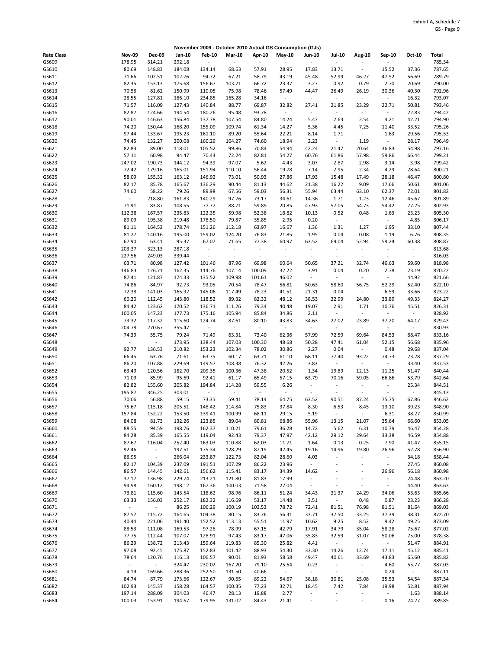|                   |                              |                             |                  |                       |                          |                          | November 2009 - October 2010 Actual GS Consumption (GJs) |                          |                                   |                          |                                   |                          |                  |
|-------------------|------------------------------|-----------------------------|------------------|-----------------------|--------------------------|--------------------------|----------------------------------------------------------|--------------------------|-----------------------------------|--------------------------|-----------------------------------|--------------------------|------------------|
| <b>Rate Class</b> | <b>Nov-09</b>                | <b>Dec-09</b>               | Jan-10           | <b>Feb-10</b>         | <b>Mar-10</b>            | Apr-10                   | May-10                                                   | Jun-10                   | <b>Jul-10</b>                     | Aug-10                   | Sep-10                            | Oct-10                   | Total            |
| GS609             | 178.95                       | 314.21                      | 292.18           | $\tilde{\phantom{a}}$ |                          | $\overline{\phantom{a}}$ | $\sim$                                                   | $\sim$                   | $\overline{\phantom{a}}$          |                          |                                   |                          | 785.34           |
| GS610             | 80.69                        | 148.83                      | 184.08           | 134.14                | 68.63                    | 57.91                    | 28.95                                                    | 17.83                    | 13.71                             | $\blacksquare$           | 15.52                             | 37.36                    | 787.65           |
| GS611             | 71.66                        | 102.51                      | 102.76           | 94.72                 | 67.21                    | 58.79                    | 43.19                                                    | 45.48                    | 52.99                             | 46.27                    | 47.52                             | 56.69                    | 789.79           |
| GS612             | 82.35                        | 153.13                      | 175.68           | 156.67                | 103.71                   | 66.72                    | 23.37                                                    | 3.27                     | 0.92                              | 0.79                     | 2.70                              | 20.69                    | 790.00           |
| GS613             | 70.56                        | 81.62                       | 150.99           | 110.05                | 75.98                    | 78.46                    | 57.49                                                    | 44.47                    | 26.49                             | 26.19                    | 30.36                             | 40.30                    | 792.96           |
| GS614             | 28.55                        | 127.81                      | 186.10           | 234.85                | 165.28                   | 34.16                    | $\omega$                                                 | $\overline{\phantom{a}}$ | $\overline{\phantom{a}}$          | $\omega$                 | $\Box$                            | 16.32                    | 793.07           |
| GS615             | 71.57                        | 116.09                      | 127.43           | 140.84                | 88.77                    | 69.87                    | 32.82                                                    | 27.41                    | 21.85                             | 23.29                    | 22.71                             | 50.81                    | 793.46           |
| GS616             | 82.87                        | 124.66                      | 194.54           | 180.26                | 95.48                    | 93.78                    | $\sim$                                                   | $\omega$                 | $\sim$                            | $\sim$                   | $\overline{\phantom{a}}$          | 22.83                    | 794.42           |
| GS617             | 90.01                        | 146.63                      | 156.84           | 137.78                | 107.54                   | 84.80                    | 14.24                                                    | 5.47                     | 2.63                              | 2.54                     | 4.21                              | 42.21                    | 794.90           |
| GS618<br>GS619    | 74.20<br>97.44               | 150.44<br>133.67            | 168.20<br>195.23 | 155.09<br>161.10      | 109.74<br>89.20          | 61.34<br>55.64           | 14.27<br>22.21                                           | 5.36<br>8.14             | 4.45<br>1.71                      | 7.25<br>$\sim$           | 11.40<br>1.63                     | 33.52<br>29.56           | 795.26<br>795.53 |
| GS620             | 74.45                        | 132.27                      | 200.08           | 160.29                | 104.27                   | 74.60                    | 18.94                                                    | 2.23                     | $\overline{\phantom{a}}$          | 1.19                     | $\overline{\phantom{a}}$          | 28.17                    | 796.49           |
| GS621             | 82.83                        | 89.00                       | 118.01           | 105.52                | 99.86                    | 70.84                    | 54.94                                                    | 42.24                    | 21.47                             | 20.64                    | 36.83                             | 54.98                    | 797.16           |
| GS622             | 57.11                        | 60.98                       | 94.47            | 70.43                 | 72.24                    | 82.81                    | 54.27                                                    | 60.76                    | 61.86                             | 57.98                    | 59.86                             | 66.44                    | 799.21           |
| GS623             | 247.02                       | 190.73                      | 144.12           | 94.39                 | 97.07                    | 5.62                     | 4.43                                                     | 3.07                     | 2.87                              | 2.98                     | 3.14                              | 3.98                     | 799.42           |
| GS624             | 72.42                        | 179.16                      | 165.01           | 151.94                | 110.10                   | 56.44                    | 19.78                                                    | 7.14                     | 2.95                              | 2.34                     | 4.29                              | 28.64                    | 800.21           |
| GS625             | 58.09                        | 155.32                      | 163.12           | 146.92                | 73.01                    | 50.93                    | 27.86                                                    | 17.93                    | 15.48                             | 17.49                    | 28.18                             | 46.47                    | 800.80           |
| GS626             | 82.17                        | 85.78                       | 165.67           | 136.29                | 90.44                    | 81.13                    | 44.62                                                    | 21.38                    | 16.22                             | 9.09                     | 17.66                             | 50.61                    | 801.06           |
| GS627             | 74.60                        | 58.22                       | 79.26            | 89.98                 | 67.56                    | 59.03                    | 56.31                                                    | 55.94                    | 63.44                             | 63.10                    | 62.37                             | 72.01                    | 801.82           |
| GS628             | $\Box$                       | 218.80                      | 161.83           | 140.29                | 97.76                    | 73.17                    | 34.61                                                    | 14.36                    | 1.71                              | 1.23                     | 12.46                             | 45.67                    | 801.89           |
| GS629             | 71.91                        | 83.87                       | 108.55           | 77.77                 | 88.71                    | 59.89                    | 20.85                                                    | 47.93                    | 57.05                             | 54.73                    | 54.42                             | 77.25                    | 802.93           |
| GS630             | 112.38<br>89.09              | 167.57<br>195.38            | 235.83<br>219.48 | 122.35                | 59.98<br>79.87           | 52.38                    | 18.82<br>2.95                                            | 10.13<br>0.20            | 0.52<br>$\overline{\phantom{a}}$  | 0.48<br>$\sim$           | 1.63<br>$\blacksquare$            | 23.23<br>4.85            | 805.30<br>806.17 |
| GS631<br>GS632    | 81.11                        | 164.52                      | 178.74           | 178.50<br>151.26      | 112.18                   | 35.85<br>63.97           | 16.67                                                    | 1.36                     | 1.31                              | 1.27                     | 1.95                              | 33.10                    | 807.44           |
| GS633             | 81.27                        | 140.16                      | 195.00           | 159.02                | 124.20                   | 76.83                    | 21.85                                                    | 1.95                     | 0.04                              | 0.08                     | 1.19                              | 6.76                     | 808.35           |
| GS634             | 67.90                        | 63.41                       | 95.37            | 67.07                 | 71.65                    | 77.38                    | 60.97                                                    | 63.52                    | 69.04                             | 52.94                    | 59.24                             | 60.38                    | 808.87           |
| GS635             | 203.37                       | 323.13                      | 287.18           | $\sim$                | $\tilde{\phantom{a}}$    | $\overline{\phantom{a}}$ | $\overline{\phantom{a}}$                                 | $\sim$                   | $\overline{\phantom{a}}$          | $\overline{\phantom{a}}$ | $\sim$                            | $\overline{\phantom{a}}$ | 813.68           |
| GS636             | 227.56                       | 249.03                      | 339.44           | $\sim$                | $\overline{\phantom{a}}$ | $\blacksquare$           | $\omega$                                                 | $\sim$                   | $\bar{z}$                         | $\omega$                 | $\bar{z}$                         | $\blacksquare$           | 816.03           |
| GS637             | 63.71                        | 80.98                       | 127.42           | 101.46                | 87.96                    | 69.98                    | 60.64                                                    | 50.65                    | 37.21                             | 32.74                    | 46.63                             | 59.60                    | 818.98           |
| GS638             | 146.83                       | 126.71                      | 162.35           | 114.76                | 107.14                   | 100.09                   | 32.22                                                    | 3.91                     | 0.04                              | 0.20                     | 2.78                              | 23.19                    | 820.22           |
| GS639             | 87.41                        | 121.87                      | 174.33           | 135.52                | 109.98                   | 101.61                   | 46.02                                                    | $\overline{\phantom{a}}$ | $\overline{\phantom{a}}$          | $\blacksquare$           | $\overline{\phantom{a}}$          | 44.92                    | 821.66           |
| GS640             | 74.86                        | 84.97                       | 92.73            | 93.05                 | 70.54                    | 78.47                    | 56.81                                                    | 50.63                    | 58.60                             | 56.75                    | 52.29                             | 52.40                    | 822.10           |
| GS641             | 72.38                        | 141.03                      | 165.92           | 145.06                | 117.49                   | 78.23                    | 41.51                                                    | 21.31                    | 0.04                              | $\sim$                   | 6.59                              | 33.66                    | 823.22           |
| GS642             | 60.20                        | 112.45                      | 143.80           | 118.52                | 89.32                    | 82.32                    | 48.12                                                    | 38.53                    | 22.99                             | 24.80                    | 33.89                             | 49.33                    | 824.27           |
| GS643             | 84.42                        | 123.62                      | 170.52           | 136.71                | 111.26                   | 79.34                    | 40.48                                                    | 19.07                    | 2.91<br>$\sim$                    | 1.71                     | 10.76<br>÷,                       | 45.51<br>÷.              | 826.31           |
| GS644<br>GS645    | 100.05<br>73.32              | 147.23<br>117.32            | 177.73<br>115.60 | 175.16<br>124.74      | 105.94<br>87.61          | 85.84<br>80.10           | 34.86<br>43.83                                           | 2.11<br>34.63            | 27.02                             | $\sim$<br>23.89          | 37.20                             | 64.17                    | 828.92<br>829.43 |
| GS646             | 204.79                       | 270.67                      | 355.47           | $\sim$                | $\overline{\phantom{a}}$ | $\overline{\phantom{a}}$ | $\sim$                                                   | $\blacksquare$           | $\sim$                            | $\sim$                   | $\sim$                            | $\blacksquare$           | 830.93           |
| GS647             | 74.39                        | 55.75                       | 79.24            | 71.49                 | 63.31                    | 73.40                    | 62.36                                                    | 57.99                    | 72.59                             | 69.64                    | 84.53                             | 68.47                    | 833.16           |
| GS648             | $\qquad \qquad \blacksquare$ | $\overline{\phantom{a}}$    | 173.95           | 138.44                | 107.03                   | 100.30                   | 48.68                                                    | 50.28                    | 47.41                             | 61.04                    | 52.15                             | 56.68                    | 835.96           |
| GS649             | 92.77                        | 136.53                      | 210.82           | 153.23                | 102.34                   | 78.02                    | 30.86                                                    | 2.27                     | 0.04                              | $\sim$                   | 0.48                              | 29.68                    | 837.04           |
| GS650             | 66.45                        | 63.76                       | 71.61            | 63.75                 | 60.17                    | 63.71                    | 61.10                                                    | 68.11                    | 77.40                             | 93.22                    | 74.73                             | 73.28                    | 837.29           |
| GS651             | 86.20                        | 107.88                      | 229.69           | 149.57                | 108.38                   | 76.32                    | 42.26                                                    | 3.83                     | $\blacksquare$                    | $\sim$                   | $\overline{\phantom{a}}$          | 33.40                    | 837.53           |
| GS652             | 63.49                        | 120.56                      | 182.70           | 209.35                | 100.36                   | 47.38                    | 20.52                                                    | 1.34                     | 19.89                             | 12.13                    | 11.25                             | 51.47                    | 840.44           |
| GS653             | 71.09                        | 85.99                       | 95.69            | 92.41                 | 61.17                    | 65.49                    | 57.15                                                    | 63.79                    | 70.16                             | 59.05                    | 66.86                             | 53.79                    | 842.64           |
| GS654             | 82.82                        | 155.60                      | 205.82           | 194.84                | 114.28                   | 59.55                    | 6.26                                                     | $\omega$                 | $\overline{\phantom{a}}$          | $\sim$                   | $\mathbb{Z}^2$                    | 25.34                    | 844.51           |
| GS655             | 195.87                       | 346.25                      | 303.01           | $\blacksquare$        | ÷,                       | $\overline{\phantom{a}}$ | $\sim$                                                   | $\sim$                   | $\overline{\phantom{a}}$          | $\blacksquare$           | ÷,                                | ÷                        | 845.13           |
| GS656<br>GS657    | 70.06<br>75.67               | 56.88<br>115.18             | 59.15<br>205.51  | 73.35<br>148.42       | 59.41<br>114.84          | 78.14<br>75.83           | 64.75<br>37.84                                           | 63.52<br>8.30            | 90.51<br>6.53                     | 87.24<br>8.45            | 75.75<br>13.10                    | 67.86<br>39.23           | 846.62<br>848.90 |
| GS658             | 157.84                       | 152.22                      | 153.50           | 139.41                | 100.99                   | 68.11                    | 29.15                                                    | 5.19                     | $\overline{\phantom{a}}$          | $\sim$                   | 6.31                              | 38.27                    | 850.99           |
| GS659             | 84.08                        | 81.73                       | 132.26           | 123.85                | 89.04                    | 80.81                    | 68.86                                                    | 55.96                    | 13.15                             | 21.07                    | 35.64                             | 66.60                    | 853.05           |
| GS660             | 88.55                        | 94.59                       | 198.76           | 162.37                | 110.21                   | 79.61                    | 36.28                                                    | 14.72                    | 5.62                              | 6.31                     | 10.79                             | 46.47                    | 854.28           |
| GS661             | 84.28                        | 85.39                       | 165.55           | 119.04                | 92.43                    | 79.37                    | 47.97                                                    | 42.12                    | 29.12                             | 29.64                    | 33.38                             | 46.59                    | 854.88           |
| GS662             | 87.67                        | 116.04                      | 252.40           | 163.03                | 110.88                   | 62.03                    | 11.71                                                    | 1.64                     | 0.13                              | 0.25                     | 7.90                              | 41.47                    | 855.15           |
| GS663             | 92.46                        | $\omega$                    | 197.51           | 175.34                | 128.29                   | 87.19                    | 42.45                                                    | 19.16                    | 14.96                             | 19.80                    | 26.96                             | 52.78                    | 856.90           |
| GS664             | 86.95                        | $\mathcal{L}_{\mathcal{C}}$ | 266.04           | 233.87                | 122.73                   | 82.04                    | 28.60                                                    | 4.03                     | $\blacksquare$                    | $\omega$                 | $\Box$                            | 34.18                    | 858.44           |
| GS665             | 82.17                        | 104.39                      | 237.09           | 191.51                | 107.29                   | 86.22                    | 23.96                                                    | $\omega$                 | $\tilde{\phantom{a}}$             | $\blacksquare$           | $\Box$                            | 27.45                    | 860.08           |
| GS666             | 86.57                        | 144.45                      | 142.61           | 156.62                | 115.41                   | 83.17                    | 34.39                                                    | 14.62                    | $\overline{\phantom{a}}$          | $\blacksquare$           | 26.96                             | 56.18                    | 860.98           |
| GS667             | 37.17                        | 136.98                      | 229.74           | 213.21                | 121.80                   | 81.83                    | 17.99                                                    | $\omega$                 | $\overline{\phantom{a}}$          | $\overline{\phantom{a}}$ | $\Box$                            | 24.48                    | 863.20           |
| GS668<br>GS669    | 94.98<br>73.81               | 160.12<br>115.60            | 198.12<br>143.54 | 167.36<br>118.62      | 100.03<br>98.96          | 71.58<br>86.11           | 27.04<br>51.24                                           | $\sim$<br>34.43          | $\overline{\phantom{a}}$<br>31.37 | $\blacksquare$<br>24.29  | $\overline{\phantom{a}}$<br>34.06 | 44.40<br>53.63           | 863.63<br>865.66 |
| GS670             | 63.33                        | 156.03                      | 252.17           | 182.32                | 116.69                   | 53.17                    | 14.48                                                    | 3.51                     | $\overline{\phantom{a}}$          | 0.48                     | 0.87                              | 23.23                    | 866.28           |
| GS671             | $\Box$                       | $\sim$                      | 86.25            | 106.29                | 100.19                   | 103.53                   | 78.72                                                    | 72.41                    | 81.51                             | 76.98                    | 81.51                             | 81.64                    | 869.03           |
| GS672             | 87.57                        | 115.72                      | 164.65           | 104.38                | 80.15                    | 83.76                    | 56.31                                                    | 33.71                    | 37.50                             | 33.25                    | 37.39                             | 38.31                    | 872.70           |
| GS673             | 40.44                        | 221.06                      | 191.40           | 152.52                | 113.13                   | 55.51                    | 11.97                                                    | 10.62                    | 9.25                              | 8.52                     | 9.42                              | 49.25                    | 873.09           |
| GS674             | 88.53                        | 111.08                      | 169.53           | 97.26                 | 78.99                    | 67.15                    | 42.79                                                    | 17.91                    | 34.79                             | 35.04                    | 58.28                             | 75.67                    | 877.02           |
| GS675             | 77.75                        | 112.44                      | 107.07           | 128.91                | 97.43                    | 83.17                    | 47.06                                                    | 35.83                    | 32.59                             | 31.07                    | 50.06                             | 75.00                    | 878.38           |
| GS676             | 86.29                        | 138.72                      | 213.43           | 159.64                | 119.83                   | 85.30                    | 25.82                                                    | 4.41                     | $\sim$                            | $\sim$                   | $\sim$                            | 51.47                    | 884.91           |
| GS677             | 97.08                        | 92.45                       | 175.87           | 152.83                | 101.42                   | 88.93                    | 54.30                                                    | 33.30                    | 14.26                             | 12.74                    | 17.11                             | 45.12                    | 885.41           |
| GS678             | 78.64                        | 120.76                      | 116.13           | 106.57                | 90.01                    | 81.93                    | 58.58                                                    | 49.47                    | 40.61                             | 33.69                    | 43.83                             | 65.60                    | 885.82           |
| GS679             | $\blacksquare$               | $\omega$                    | 324.47           | 230.02                | 167.20                   | 79.10                    | 25.64                                                    | 0.23                     | $\blacksquare$                    | $\sim$                   | 4.60                              | 55.77                    | 887.03           |
| GS680             | 4.19                         | 169.66                      | 288.36           | 252.50                | 131.50                   | 40.66                    | $\sim$                                                   | $\omega$                 | $\blacksquare$                    | $\sim$                   | 0.24                              | $\omega$                 | 887.11           |
| GS681<br>GS682    | 84.74<br>102.93              | 87.79<br>145.37             | 173.66<br>158.28 | 122.67<br>164.57      | 90.65<br>100.35          | 89.22<br>77.23           | 54.67<br>32.71                                           | 38.18<br>18.45           | 30.81<br>7.42                     | 25.08<br>7.84            | 35.53<br>19.98                    | 54.54<br>52.81           | 887.54<br>887.94 |
| GS683             | 197.14                       | 288.09                      | 304.03           | 46.47                 | 28.13                    | 19.88                    | 2.77                                                     | $\sim$                   | $\overline{\phantom{a}}$          | $\overline{\phantom{a}}$ | $\omega$                          | 1.63                     | 888.14           |
| GS684             | 100.03                       | 153.91                      | 194.67           | 179.95                | 131.02                   | 84.43                    | 21.41                                                    | $\bar{\phantom{a}}$      | $\blacksquare$                    | $\overline{\phantom{a}}$ | 0.16                              | 24.27                    | 889.85           |
|                   |                              |                             |                  |                       |                          |                          |                                                          |                          |                                   |                          |                                   |                          |                  |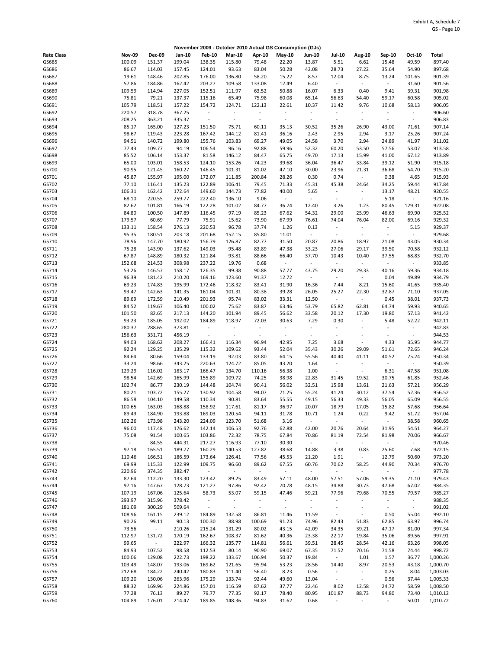|                   |               |                |        |                |                          |                          | November 2009 - October 2010 Actual GS Consumption (GJs) |                          |                          |                             |                          |                          |          |
|-------------------|---------------|----------------|--------|----------------|--------------------------|--------------------------|----------------------------------------------------------|--------------------------|--------------------------|-----------------------------|--------------------------|--------------------------|----------|
| <b>Rate Class</b> | <b>Nov-09</b> | <b>Dec-09</b>  | Jan-10 | <b>Feb-10</b>  | <b>Mar-10</b>            | Apr-10                   | $May-10$                                                 | <b>Jun-10</b>            | <b>Jul-10</b>            | Aug-10                      | Sep-10                   | Oct-10                   | Total    |
| GS685             | 100.09        | 151.37         | 199.04 | 138.35         | 115.80                   | 79.48                    | 22.20                                                    | 13.87                    | 5.51                     | 6.62                        | 15.48                    | 49.59                    | 897.40   |
| GS686             | 86.67         | 114.03         | 157.45 | 124.01         | 93.63                    | 83.04                    | 50.28                                                    | 42.08                    | 28.73                    | 27.22                       | 35.64                    | 54.90                    | 897.68   |
| GS687             | 19.61         | 148.46         | 202.85 | 176.00         | 136.80                   | 58.20                    | 15.22                                                    | 8.57                     | 12.04                    | 8.75                        | 13.24                    | 101.65                   | 901.39   |
| GS688             | 57.86         | 184.86         | 162.42 | 203.27         | 109.58                   | 133.08                   | 12.49                                                    | 6.40                     | $\blacksquare$           | $\sim$                      | $\blacksquare$           | 31.60                    | 901.56   |
| GS689             | 109.59        | 114.94         | 227.05 | 152.51         | 111.97                   | 63.52                    | 50.88                                                    | 16.07                    | 6.33                     | 0.40                        | 9.41                     | 39.31                    | 901.98   |
| GS690             | 75.81         | 79.21          | 137.37 | 115.16         | 65.49                    | 75.98                    | 60.08                                                    | 65.14                    | 56.63                    | 54.40                       | 59.17                    | 60.58                    | 905.02   |
| GS691             | 105.79        | 118.51         | 157.22 | 154.72         | 124.71                   | 122.13                   | 22.61                                                    | 10.37                    | 11.42                    | 9.76                        | 10.68                    | 58.13                    | 906.05   |
| GS692             | 220.57        | 318.78         | 367.25 | $\omega$       | $\ddot{\phantom{1}}$     | $\blacksquare$           | $\sim$                                                   | $\sim$                   | $\overline{\phantom{a}}$ | $\overline{\phantom{a}}$    | $\sim$                   | $\overline{\phantom{a}}$ | 906.60   |
| GS693             | 208.25        | 363.21         | 335.37 | $\sim$         | $\Box$                   | $\overline{\phantom{a}}$ | $\omega$                                                 | $\overline{\phantom{a}}$ | $\blacksquare$           | $\omega$                    | $\bar{z}$                | $\blacksquare$           | 906.83   |
| GS694             | 85.17         | 165.00         | 127.23 | 151.50         | 75.71                    | 60.11                    | 35.13                                                    | 30.52                    | 35.26                    | 26.90                       | 43.00                    | 71.61                    | 907.14   |
| GS695             | 98.67         | 119.43         | 223.28 | 167.42         | 144.12                   | 81.41                    | 36.16                                                    | 2.43                     | 2.95                     | 2.94                        | 3.17                     | 25.26                    | 907.24   |
| GS696             | 94.51         | 140.72         | 199.80 | 155.76         | 103.83                   | 69.27                    | 49.05                                                    | 24.58                    | 3.70                     | 2.94                        | 24.89                    | 41.97                    | 911.02   |
| GS697             | 77.43         | 109.77         | 94.19  | 106.54         | 96.16                    | 92.88                    | 59.96                                                    | 52.32                    | 60.20                    | 53.50                       | 57.56                    | 53.07                    | 913.58   |
| GS698             | 85.52         | 106.14         | 153.37 | 81.58          | 146.12                   | 84.47                    | 65.75                                                    | 49.70                    | 17.13                    | 15.99                       | 41.00                    | 67.12                    | 913.89   |
| GS699             | 65.00         | 103.01         | 158.53 | 124.10         | 153.26                   | 74.23                    | 39.68                                                    | 36.04                    | 36.47                    | 33.84                       | 39.12                    | 51.90                    | 915.18   |
| GS700             | 90.95         | 121.45         | 160.27 | 146.45         | 101.31                   | 81.02                    | 47.10                                                    | 30.00                    | 23.96                    | 21.31                       | 36.68                    | 54.70                    | 915.20   |
| GS701             | 45.87         | 155.97         | 195.00 | 172.07         | 111.85                   | 200.84                   | 28.26                                                    | 0.30                     | 0.74                     | $\sim$                      | 0.38                     | 4.65                     | 915.93   |
| GS702             | 77.10         | 116.41         | 135.23 | 122.89         | 106.41                   | 79.45                    | 71.33                                                    | 45.31                    | 45.38                    | 24.64                       | 34.25                    | 59.44                    | 917.84   |
| GS703             | 106.31        | 162.42         | 172.64 | 149.60         | 144.73                   | 77.82                    | 40.00                                                    | 5.65                     | $\sim$                   | $\overline{\phantom{a}}$    | 13.17                    | 48.21                    | 920.55   |
| GS704             | 68.10         | 220.55         | 259.77 | 222.40         | 136.10                   | 9.06                     | $\sim$                                                   | $\bar{\phantom{a}}$      | $\overline{\phantom{a}}$ | $\sim$                      | 5.18                     | ÷                        | 921.16   |
| GS705             | 82.62         | 101.81         | 166.19 | 122.28         | 101.02                   | 84.77                    | 36.74                                                    | 12.40                    | 3.26                     | 1.23                        | 80.45                    | 129.31                   | 922.08   |
| GS706             | 84.80         | 100.50         | 147.89 | 116.45         | 97.19                    | 85.23                    | 67.62                                                    | 54.32                    | 29.00                    | 25.99                       | 46.63                    | 69.90                    | 925.52   |
| GS707             | 179.57        | 60.69          | 77.79  | 75.91          | 15.62                    | 73.90                    | 67.99                                                    | 76.61                    | 74.04                    | 76.04                       | 82.00                    | 69.16                    | 929.32   |
| GS708             | 133.11        | 158.54         | 276.13 | 220.53         | 96.78                    | 37.74                    | 1.26                                                     | 0.13                     | $\blacksquare$           | $\sim$                      | $\Box$                   | 5.15                     | 929.37   |
| GS709             | 95.35         | 180.51         | 203.18 | 201.68         | 152.15                   | 85.80                    | 11.01                                                    | $\bar{\phantom{a}}$      | $\overline{\phantom{a}}$ | $\omega$                    | $\overline{\phantom{a}}$ | ÷                        | 929.68   |
| GS710             | 78.96         | 147.70         | 180.92 | 156.79         | 126.87                   | 82.77                    | 31.50                                                    | 20.87                    | 20.86                    | 18.97                       | 21.08                    | 43.05                    | 930.34   |
| GS711             | 75.28         | 143.90         | 137.62 | 149.03         | 95.48                    | 83.89                    | 47.38                                                    | 33.23                    | 27.06                    | 29.17                       | 39.50                    | 70.58                    | 932.12   |
| GS712             | 67.87         | 148.89         | 180.32 | 121.84         | 93.81                    | 88.66                    | 66.40                                                    | 37.70                    | 10.43                    | 10.40                       | 37.55                    | 68.83                    | 932.70   |
| GS713             | 152.68        | 214.53         | 308.98 | 237.22         | 19.76                    | 0.68                     | $\sim$                                                   | $\omega$                 | $\blacksquare$           | $\sim$                      | $\blacksquare$           | $\sim$                   | 933.85   |
| GS714             | 53.26         | 146.57         | 158.17 | 126.35         | 99.38                    | 90.88                    | 57.77                                                    | 43.75                    | 29.20                    | 29.33                       | 40.16                    | 59.36                    | 934.18   |
| GS715             | 96.39         | 181.42         | 210.20 | 169.16         | 123.60                   | 91.37                    | 12.72                                                    | $\overline{\phantom{a}}$ | $\sim$                   | $\sim$                      | 0.04                     | 49.89                    | 934.79   |
| GS716             | 69.23         | 174.83         | 195.99 | 172.46         | 118.32                   | 83.41                    | 31.90                                                    | 16.36                    | 7.44                     | 8.21                        | 15.60                    | 41.65                    | 935.40   |
| GS717             | 93.47         | 142.63         | 141.35 | 161.04         | 101.31                   | 80.38                    | 39.28                                                    | 26.05                    |                          | 22.30                       | 32.87                    |                          | 937.05   |
|                   |               |                |        |                |                          |                          |                                                          |                          | 25.27                    |                             |                          | 71.10                    |          |
| GS718             | 89.69         | 172.59         | 210.49 | 201.93         | 95.74                    | 83.02                    | 33.31                                                    | 12.50                    | $\blacksquare$           | $\sim$                      | 0.45                     | 38.01                    | 937.73   |
| GS719             | 84.52         | 119.67         | 106.40 | 100.02         | 75.62                    | 83.87                    | 63.46                                                    | 53.79                    | 65.82                    | 62.81                       | 64.74                    | 59.93                    | 940.65   |
| GS720             | 101.50        | 82.65          | 217.13 | 144.20         | 101.94                   | 89.45                    | 56.62                                                    | 33.58                    | 20.12                    | 17.30                       | 19.80                    | 57.13                    | 941.42   |
| GS721             | 93.23         | 185.05         | 192.02 | 184.89         | 118.97                   | 72.03                    | 30.63                                                    | 7.29                     | 0.30                     | $\overline{\phantom{a}}$    | 5.48                     | 52.22                    | 942.11   |
| GS722             | 280.37        | 288.65         | 373.81 | $\blacksquare$ | $\overline{\phantom{a}}$ | $\overline{\phantom{a}}$ | $\sim$                                                   | $\overline{\phantom{a}}$ | $\overline{\phantom{a}}$ | $\ddot{\phantom{0}}$        | $\overline{\phantom{a}}$ | $\blacksquare$           | 942.83   |
| GS723             | 156.63        | 331.71         | 456.19 | $\blacksquare$ | $\overline{\phantom{a}}$ | $\overline{\phantom{a}}$ | $\omega$                                                 | $\blacksquare$           | $\overline{\phantom{a}}$ | $\ddot{\phantom{0}}$        | $\overline{\phantom{a}}$ | $\blacksquare$           | 944.53   |
| GS724             | 94.03         | 168.62         | 208.27 | 166.41         | 116.34                   | 96.94                    | 42.95                                                    | 7.25                     | 3.68                     | $\Box$                      | 4.33                     | 35.95                    | 944.77   |
| GS725             | 92.24         | 129.25         | 135.29 | 115.32         | 109.62                   | 93.44                    | 52.04                                                    | 35.43                    | 30.26                    | 29.09                       | 51.61                    | 72.65                    | 946.24   |
| GS726             | 84.64         | 80.66          | 159.04 | 133.19         | 92.03                    | 83.80                    | 64.15                                                    | 55.56                    | 40.40                    | 41.11                       | 40.52                    | 75.24                    | 950.34   |
| GS727             | 33.24         | 98.66          | 343.25 | 220.63         | 124.72                   | 85.05                    | 43.20                                                    | 1.64                     | $\overline{\phantom{a}}$ | $\sim$                      | $\sim$                   | $\overline{\phantom{a}}$ | 950.39   |
| GS728             | 129.29        | 116.02         | 183.17 | 166.47         | 134.70                   | 110.16                   | 56.38                                                    | 1.00                     | $\overline{\phantom{a}}$ | $\omega$                    | 6.31                     | 47.58                    | 951.08   |
| GS729             | 98.54         | 142.69         | 165.99 | 155.89         | 109.72                   | 74.25                    | 38.98                                                    | 22.83                    | 31.45                    | 19.52                       | 30.75                    | 61.85                    | 952.46   |
| GS730             | 102.74        | 86.77          | 230.19 | 144.48         | 104.74                   | 90.41                    | 56.02                                                    | 32.51                    | 15.98                    | 13.61                       | 21.63                    | 57.21                    | 956.29   |
| GS731             | 80.21         | 103.72         | 155.27 | 130.92         | 104.58                   | 94.07                    | 71.25                                                    | 55.24                    | 41.24                    | 30.12                       | 37.54                    | 52.36                    | 956.52   |
| GS732             | 86.58         | 104.10         | 149.58 | 110.34         | 90.81                    | 83.64                    | 55.55                                                    | 49.15                    | 56.33                    | 49.33                       | 56.05                    | 65.09                    | 956.55   |
| GS733             | 100.65        | 163.03         | 168.88 | 158.92         | 117.61                   | 81.17                    | 36.97                                                    | 20.07                    | 18.79                    | 17.05                       | 15.82                    | 57.68                    | 956.64   |
| GS734             | 89.49         | 184.90         | 193.88 | 169.03         | 120.54                   | 94.11                    | 31.78                                                    | 10.71                    | 1.24                     | 0.22                        | 9.42                     | 51.72                    | 957.04   |
| GS735             | 102.26        | 173.98         | 243.20 | 224.09         | 123.70                   | 51.68                    | 3.16                                                     | $\sim$                   | ÷,                       | $\sim$                      | $\Box$                   | 38.58                    | 960.65   |
| GS736             | 96.00         | 117.48         | 176.62 | 142.14         | 106.53                   | 92.76                    | 62.88                                                    | 42.00                    | 20.76                    | 20.64                       | 31.95                    | 54.51                    | 964.27   |
| GS737             | 75.08         | 91.54          | 100.65 | 103.86         | 72.32                    | 78.75                    | 67.84                                                    | 70.86                    | 81.19                    | 72.54                       | 81.98                    | 70.06                    | 966.67   |
| GS738             | $\sim$        | 84.55          | 444.31 | 217.27         | 116.93                   | 77.10                    | 30.30                                                    | $\sim$                   | $\sim$                   | $\sim$                      | $\sim$                   | $\blacksquare$           | 970.46   |
| GS739             | 97.18         | 165.51         | 189.77 | 160.29         | 140.53                   | 127.82                   | 38.68                                                    | 14.88                    | 3.38                     | 0.83                        | 25.60                    | 7.68                     | 972.15   |
| GS740             | 110.46        | 166.51         | 186.59 | 173.64         | 126.41                   | 77.56                    | 45.53                                                    | 21.20                    | 1.91                     | $\sim$                      | 12.79                    | 50.60                    | 973.20   |
| GS741             | 69.99         | 115.33         | 122.99 | 109.75         | 96.60                    | 89.62                    | 67.55                                                    | 60.76                    | 70.62                    | 58.25                       | 44.90                    | 70.34                    | 976.70   |
| GS742             | 220.96        | 374.35         | 382.47 | $\sim$         | $\sim$                   | $\sim$                   | $\sim$                                                   | $\sim$                   | $\overline{\phantom{a}}$ | $\sim$                      | $\omega$                 | $\sim$                   | 977.78   |
| GS743             | 87.64         | 112.20         | 133.30 | 123.42         | 89.25                    | 83.49                    | 57.11                                                    | 48.00                    | 57.51                    | 57.06                       | 59.35                    | 71.10                    | 979.43   |
| GS744             | 97.16         | 147.67         | 128.73 | 121.27         | 97.86                    | 92.42                    | 70.78                                                    | 48.15                    | 34.88                    | 30.73                       | 47.68                    | 67.02                    | 984.35   |
| GS745             | 107.19        | 167.06         | 125.64 | 58.73          | 53.07                    | 59.15                    | 47.46                                                    | 59.21                    | 77.96                    | 79.68                       | 70.55                    | 79.57                    | 985.27   |
| GS746             | 293.97        | 315.96         | 378.42 | $\omega$       | $\sim$                   | $\overline{\phantom{a}}$ | $\sim$                                                   | $\omega$                 | $\overline{\phantom{a}}$ | $\sim$                      | $\blacksquare$           | $\sim$                   | 988.35   |
| GS747             | 181.09        | 300.29         | 509.64 | $\sim$         | $\overline{\phantom{a}}$ | $\blacksquare$           | $\sim$                                                   | $\sim$                   | $\overline{\phantom{a}}$ | $\sim$                      | $\blacksquare$           | $\blacksquare$           | 991.02   |
| GS748             | 108.96        | 161.15         | 239.12 | 184.89         | 132.58                   | 86.81                    | 11.46                                                    | 11.59                    | $\Box$                   | $\mathcal{L}_{\mathcal{C}}$ | 0.50                     | 55.04                    | 992.10   |
| GS749             | 90.26         | 99.11          | 90.13  | 100.30         | 88.98                    | 100.69                   | 91.23                                                    | 74.96                    | 82.43                    | 51.83                       | 62.85                    | 63.97                    | 996.74   |
| GS750             | 73.56         | $\sim$ $-$     | 210.26 | 215.24         | 131.29                   | 80.02                    | 43.15                                                    | 42.09                    | 34.35                    | 39.21                       | 47.17                    | 81.00                    | 997.34   |
| GS751             | 112.97        | 131.72         | 170.19 | 162.67         | 108.37                   | 81.62                    | 40.36                                                    | 23.38                    | 22.17                    | 19.84                       | 35.06                    | 89.56                    | 997.91   |
| GS752             | 99.65         | $\sim 10^{-1}$ | 222.97 | 166.32         | 135.77                   | 114.81                   | 56.61                                                    | 39.51                    | 28.45                    | 28.54                       | 42.16                    | 63.26                    | 998.05   |
| GS753             | 84.93         | 107.52         | 98.58  | 112.53         | 80.14                    | 90.90                    | 69.07                                                    | 67.35                    | 71.52                    | 70.16                       | 71.58                    | 74.44                    | 998.72   |
| GS754             | 100.06        | 129.08         | 222.73 | 198.22         | 133.67                   | 106.94                   | 50.37                                                    | 19.84                    | $\blacksquare$           | 1.01                        | 1.57                     | 36.77                    | 1,000.26 |
| GS755             | 103.49        | 148.07         | 193.06 | 169.62         | 121.65                   | 95.94                    | 53.23                                                    | 28.56                    | 14.40                    | 8.97                        | 20.53                    | 43.18                    | 1,000.70 |
| GS756             | 212.68        | 184.22         | 240.42 | 180.83         | 111.40                   | 56.40                    | 8.23                                                     | 0.56                     | ÷,                       | $\sim$                      | 0.25                     | 8.04                     | 1,003.03 |
| GS757             | 109.20        | 130.06         | 263.96 | 175.29         | 133.74                   | 92.44                    | 49.60                                                    | 13.04                    | $\blacksquare$           | $\sim$                      | 0.56                     | 37.44                    | 1,005.33 |
| GS758             | 88.32         | 169.96         | 224.86 | 157.01         | 116.59                   | 87.62                    | 37.77                                                    | 22.46                    | 8.02                     | 12.58                       | 24.72                    | 58.59                    | 1,008.50 |
| GS759             | 77.28         | 76.13          | 89.27  | 79.77          | 77.35                    | 92.17                    | 78.40                                                    | 80.95                    | 101.87                   | 88.73                       | 94.80                    | 73.40                    | 1,010.12 |
| GS760             | 104.89        | 176.01         | 214.47 | 189.85         | 148.36                   | 94.83                    | 31.62                                                    | 0.68                     | $\sim$                   | $\sim$                      | $\sim$                   | 50.01                    | 1,010.72 |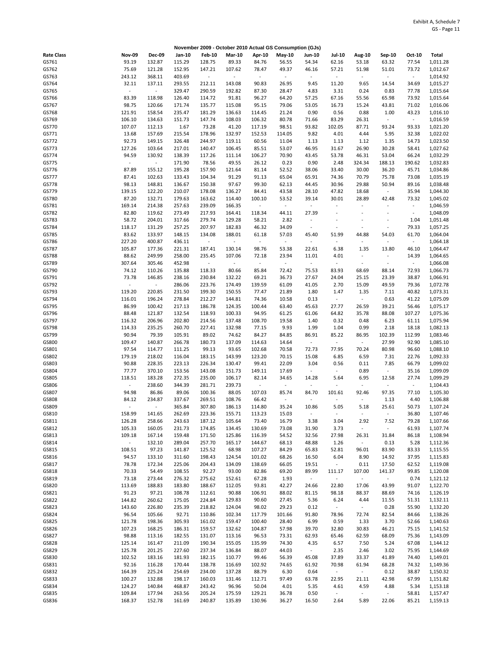|                   |                 |                          |                  |                  |                          |                          | November 2009 - October 2010 Actual GS Consumption (GJs) |                          |                          |                          |                          |                 |                      |
|-------------------|-----------------|--------------------------|------------------|------------------|--------------------------|--------------------------|----------------------------------------------------------|--------------------------|--------------------------|--------------------------|--------------------------|-----------------|----------------------|
| <b>Rate Class</b> | <b>Nov-09</b>   | <b>Dec-09</b>            | Jan-10           | <b>Feb-10</b>    | <b>Mar-10</b>            | Apr-10                   | $May-10$                                                 | Jun-10                   | <b>Jul-10</b>            | Aug-10                   | Sep-10                   | Oct-10          | <b>Total</b>         |
| GS761             | 93.19           | 132.87                   | 115.29           | 128.75           | 89.33                    | 84.76                    | 56.55                                                    | 54.34                    | 62.16                    | 53.18                    | 63.32                    | 77.54           | 1,011.28             |
| GS762             | 75.69           | 121.28                   | 152.95           | 147.21           | 107.62                   | 78.47                    | 49.37                                                    | 46.16                    | 57.21                    | 51.98                    | 51.01                    | 73.72           | 1,012.67             |
| GS763             | 243.12          | 368.11                   | 403.69           | $\blacksquare$   | $\sim$                   | $\overline{\phantom{a}}$ | $\sim$                                                   | $\blacksquare$           | $\overline{\phantom{a}}$ | $\sim$                   | $\overline{\phantom{a}}$ | $\sim$          | 1,014.92             |
| GS764             | 32.11           | 137.11                   | 293.55           | 212.11           | 143.08                   | 90.83                    | 26.95                                                    | 9.45                     | 11.20                    | 9.65                     | 14.54                    | 34.69           | 1,015.27             |
| GS765             |                 | $\blacksquare$           | 329.47           | 290.59           | 192.82                   | 87.30                    | 28.47                                                    | 4.83                     | 3.31                     | 0.24                     | 0.83                     | 77.78           | 1,015.64             |
| GS766             | 83.39           | 118.98                   | 126.40           | 114.72           | 91.81                    | 96.27                    | 64.20                                                    | 57.25                    | 67.16                    | 55.56                    | 65.98                    | 73.92           | 1,015.64             |
| GS767             | 98.75           | 120.66                   | 171.74           | 135.77           | 115.08                   | 95.15                    | 79.06                                                    | 53.05                    | 16.73                    | 15.24                    | 43.81                    | 71.02           | 1,016.06             |
| GS768             | 121.91          | 158.54                   | 235.47           | 181.29           | 136.63                   | 114.45                   | 21.24                                                    | 0.90                     | 0.56                     | 0.88                     | 1.00                     | 43.23           | 1,016.10             |
| GS769             | 106.10          | 134.63                   | 151.73           | 147.74           | 108.03                   | 106.32                   | 80.78                                                    | 71.66                    | 83.29                    | 26.31                    | $\blacksquare$           | $\sim$          | 1,016.59             |
| GS770             | 107.07          | 112.13                   | 1.67             | 73.28            | 41.20                    | 117.19                   | 98.51                                                    | 93.82                    | 102.05                   | 87.71                    | 93.24                    | 93.33           | 1,021.20             |
| GS771             | 13.68           | 157.69                   | 215.54           | 178.96           | 132.97                   | 152.53                   | 114.05                                                   | 9.82                     | 4.01                     | 4.44                     | 5.95                     | 32.38           | 1,022.02             |
| GS772             | 92.73           | 149.15                   | 326.48           | 244.97           | 119.11                   | 60.56                    | 11.04                                                    | 1.13                     | 1.13                     | 1.12                     | 1.35                     | 14.73           | 1,023.50             |
| GS773             | 127.26          | 103.64                   | 217.01           | 140.47           | 106.45                   | 85.51                    | 53.07                                                    | 46.95                    | 31.67                    | 26.90                    | 30.28                    | 58.41           | 1,027.62             |
| GS774             | 94.59           | 130.92                   | 138.39           | 117.26           | 111.14                   | 106.27                   | 70.90                                                    | 43.45                    | 53.78                    | 46.31                    | 53.04                    | 66.24           | 1,032.29             |
| GS775             | ÷               | $\sim$                   | 171.90           | 78.56            | 49.55                    | 26.12                    | 0.23                                                     | 0.90                     | 2.48                     | 324.34                   | 188.13                   | 190.62          | 1,032.83             |
| GS776<br>GS777    | 87.89<br>87.41  | 155.12<br>102.63         | 195.28<br>133.43 | 157.90<br>104.34 | 121.64<br>91.29          | 81.14<br>91.13           | 52.52<br>65.04                                           | 38.06<br>65.91           | 33.40<br>74.36           | 30.00<br>70.79           | 36.20<br>75.78           | 45.71<br>73.08  | 1,034.86<br>1,035.19 |
| GS778             | 98.13           | 148.81                   | 136.67           | 150.38           | 97.67                    | 99.30                    | 62.13                                                    | 44.45                    | 30.96                    | 29.88                    | 50.94                    | 89.16           | 1,038.48             |
| GS779             | 139.15          | 122.20                   | 210.07           | 178.08           | 136.27                   | 84.41                    | 43.58                                                    | 28.10                    | 47.82                    | 18.68                    | $\bar{\phantom{a}}$      | 35.94           | 1,044.30             |
| GS780             | 87.20           | 132.71                   | 179.63           | 163.62           | 114.40                   | 100.10                   | 53.52                                                    | 39.14                    | 30.01                    | 28.89                    | 42.48                    | 73.32           | 1,045.02             |
| GS781             | 169.14          | 214.38                   | 257.63           | 239.09           | 166.35                   | $\overline{\phantom{a}}$ | $\sim$                                                   | $\Box$                   | $\blacksquare$           | $\overline{\phantom{a}}$ |                          | $\blacksquare$  | 1,046.59             |
| GS782             | 82.80           | 119.62                   | 273.49           | 217.93           | 164.41                   | 118.34                   | 44.11                                                    | 27.39                    | $\ddot{\phantom{0}}$     | $\ddot{\phantom{0}}$     | $\overline{\phantom{a}}$ | ÷               | 1,048.09             |
| GS783             | 58.72           | 204.01                   | 317.66           | 279.74           | 129.28                   | 58.21                    | 2.82                                                     | $\blacksquare$           | $\ddot{\phantom{1}}$     | ÷,                       |                          | 1.04            | 1,051.48             |
| GS784             | 118.17          | 131.29                   | 257.25           | 207.97           | 182.83                   | 46.32                    | 34.09                                                    | $\blacksquare$           | $\ddot{\phantom{1}}$     | ÷,                       | $\sim$                   | 79.33           | 1,057.25             |
| GS785             | 83.62           | 133.97                   | 148.15           | 134.08           | 188.01                   | 61.18                    | 57.03                                                    | 45.40                    | 51.99                    | 44.88                    | 54.03                    | 61.70           | 1,064.04             |
| GS786             | 227.20          | 400.87                   | 436.11           | $\sim$           | $\overline{\phantom{a}}$ | $\omega$                 | $\sim$                                                   | $\blacksquare$           | $\overline{\phantom{a}}$ | $\blacksquare$           | $\blacksquare$           | $\omega$        | 1,064.18             |
| GS787             | 105.87          | 177.36                   | 221.31           | 187.41           | 130.14                   | 98.76                    | 53.38                                                    | 22.61                    | 6.38                     | 1.35                     | 13.80                    | 46.10           | 1,064.47             |
| GS788             | 88.62           | 249.99                   | 258.00           | 235.45           | 107.06                   | 72.18                    | 23.94                                                    | 11.01                    | 4.01                     | $\overline{\phantom{a}}$ | $\overline{\phantom{a}}$ | 14.39           | 1,064.65             |
| GS789             | 307.64          | 305.46                   | 452.98           | $\sim$           | $\overline{\phantom{a}}$ | $\overline{\phantom{a}}$ | $\sim$                                                   | $\overline{\phantom{a}}$ | $\overline{\phantom{a}}$ | $\blacksquare$           | $\overline{\phantom{a}}$ | $\sim$          | 1,066.08             |
| GS790             | 74.12           | 110.26                   | 135.88           | 118.33           | 80.66                    | 85.84                    | 72.42                                                    | 75.53                    | 83.93                    | 68.69                    | 88.14                    | 72.93           | 1,066.73             |
| GS791             | 73.78           | 146.85                   | 238.16           | 230.84           | 132.22                   | 69.21                    | 36.73                                                    | 27.67                    | 24.04                    | 25.15                    | 23.39                    | 38.87           | 1,066.91             |
| GS792             |                 | $\overline{\phantom{a}}$ | 286.06           | 223.76           | 174.49                   | 139.59                   | 61.09                                                    | 41.05                    | 2.70                     | 15.09                    | 49.59                    | 79.36           | 1,072.78             |
| GS793             | 119.20          | 220.85                   | 231.50           | 199.30           | 150.55                   | 77.47                    | 21.89                                                    | 1.80                     | 1.47                     | 1.35                     | 7.11                     | 40.82           | 1,073.31             |
| GS794             | 116.01          | 196.24                   | 278.84           | 212.27           | 144.81                   | 74.36                    | 10.58                                                    | 0.13                     | $\overline{\phantom{a}}$ | $\omega$                 | 0.63                     | 41.22           | 1,075.09             |
| GS795             | 86.99           | 100.42                   | 217.13           | 186.78           | 124.35                   | 100.44                   | 63.40                                                    | 45.63                    | 27.77                    | 26.59                    | 39.21                    | 56.46           | 1,075.17             |
| GS796             | 88.48           | 121.87                   | 132.54           | 118.93           | 100.33                   | 94.95                    | 61.25                                                    | 61.06                    | 64.82                    | 35.78                    | 88.08                    | 107.27          | 1,075.36             |
| GS797             | 116.32          | 206.96                   | 202.80           | 214.56           | 137.48                   | 108.70                   | 19.58                                                    | 1.40                     | 0.32                     | 0.48                     | 6.23                     | 61.11           | 1,075.94             |
| GS798             | 114.33          | 235.25                   | 260.70           | 227.41           | 132.98                   | 77.15                    | 9.93                                                     | 1.99                     | 1.04                     | 0.99                     | 2.18                     | 18.18           | 1,082.13             |
| GS799             | 90.94           | 79.39<br>140.87          | 105.91           | 89.02            | 74.62                    | 84.27                    | 84.85                                                    | 86.91<br>$\blacksquare$  | 85.22<br>$\sim$          | 86.95<br>$\sim$          | 102.39<br>27.99          | 112.99<br>92.90 | 1,083.46             |
| GS800<br>GS801    | 109.47<br>97.54 | 114.77                   | 266.78<br>111.25 | 180.73<br>99.13  | 137.09<br>93.65          | 114.63<br>102.68         | 14.64<br>70.58                                           | 72.73                    | 77.95                    | 70.24                    | 80.98                    | 96.60           | 1,085.10<br>1,088.10 |
| GS802             | 179.19          | 218.02                   | 116.04           | 183.15           | 143.99                   | 123.20                   | 70.15                                                    | 15.08                    | 6.85                     | 6.59                     | 7.31                     | 22.76           | 1,092.33             |
| GS803             | 90.88           | 228.35                   | 223.13           | 226.34           | 130.47                   | 99.41                    | 22.09                                                    | 3.04                     | 0.56                     | 0.11                     | 7.85                     | 66.79           | 1,099.02             |
| GS804             | 77.77           | 370.10                   | 153.56           | 143.08           | 151.73                   | 149.11                   | 17.69                                                    | $\bar{\phantom{a}}$      | $\overline{\phantom{a}}$ | 0.89                     | $\blacksquare$           | 35.16           | 1,099.09             |
| GS805             | 118.51          | 183.28                   | 272.35           | 235.00           | 106.17                   | 82.14                    | 34.65                                                    | 14.28                    | 5.64                     | 6.95                     | 12.58                    | 27.74           | 1,099.29             |
| GS806             | ÷,              | 238.60                   | 344.39           | 281.71           | 239.73                   | $\blacksquare$           | $\omega$                                                 | $\bar{\phantom{a}}$      |                          | $\sim$                   | $\blacksquare$           | $\omega$        | 1,104.43             |
| GS807             | 94.98           | 86.86                    | 89.06            | 100.36           | 88.05                    | 107.03                   | 85.74                                                    | 84.70                    | 101.61                   | 92.46                    | 97.35                    | 77.10           | 1,105.30             |
| GS808             | 84.12           | 234.87                   | 337.67           | 269.51           | 108.76                   | 66.42                    | $\blacksquare$                                           | $\sim$                   | $\overline{\phantom{a}}$ | $\blacksquare$           | 1.13                     | 4.40            | 1,106.88             |
| GS809             |                 | $\sim$                   | 365.84           | 307.80           | 186.13                   | 114.80                   | 35.24                                                    | 10.86                    | 5.05                     | 5.18                     | 25.61                    | 50.73           | 1,107.24             |
| GS810             | 158.99          | 141.65                   | 262.69           | 223.36           | 155.71                   | 113.23                   | 15.03                                                    | $\omega$                 | $\blacksquare$           | $\sim$                   | $\omega$                 | 36.80           | 1,107.46             |
| GS811             | 126.28          | 258.66                   | 243.63           | 187.12           | 105.64                   | 73.40                    | 16.79                                                    | 3.38                     | 3.04                     | 2.92                     | 7.52                     | 79.28           | 1,107.66             |
| GS812             | 105.33          | 160.05                   | 231.73           | 174.85           | 134.45                   | 130.69                   | 73.08                                                    | 31.90                    | 3.73                     | $\omega$                 | $\blacksquare$           | 61.93           | 1,107.74             |
| GS813             | 109.18          | 167.14                   | 159.48           | 171.50           | 125.86                   | 116.39                   | 54.52                                                    | 32.56                    | 27.98                    | 26.31                    | 31.84                    | 86.18           | 1,108.94             |
| GS814             | ÷               | 132.10                   | 289.04           | 257.70           | 165.17                   | 144.67                   | 68.13                                                    | 48.88                    | 1.26                     | $\sim$                   | 0.13                     | 5.28            | 1,112.36             |
| GS815             | 108.51          | 97.23                    | 141.87           | 125.52           | 68.98                    | 107.27                   | 84.29                                                    | 65.83                    | 52.81                    | 96.01                    | 83.90                    | 83.33           | 1,115.55             |
| GS816             | 94.57           | 133.10                   | 311.60           | 198.43           | 124.54                   | 101.02                   | 68.26                                                    | 16.50                    | 6.04                     | 8.90                     | 14.92                    | 37.95           | 1,115.83             |
| GS817             | 78.78           | 172.34                   | 225.06           | 204.43           | 134.09                   | 138.69                   | 66.05                                                    | 19.51                    | $\blacksquare$           | 0.11                     | 17.50                    | 62.52           | 1,119.08             |
| GS818<br>GS819    | 70.33<br>73.18  | 54.49<br>273.44          | 108.55<br>276.32 | 92.27<br>275.62  | 93.00<br>152.61          | 82.86<br>67.28           | 69.20<br>1.93                                            | 89.99<br>$\sim$          | 111.17<br>$\blacksquare$ | 107.00<br>$\omega$       | 141.37<br>$\omega$       | 99.85<br>0.74   | 1,120.08<br>1,121.12 |
| GS820             | 113.69          | 188.83                   | 183.80           | 188.67           | 112.05                   | 93.81                    | 42.27                                                    | 24.66                    | 22.80                    | 17.06                    | 43.99                    | 91.07           | 1,122.70             |
| GS821             | 91.23           | 97.21                    | 108.78           | 112.61           | 90.88                    | 106.91                   | 88.02                                                    | 81.15                    | 98.18                    | 88.37                    | 88.69                    | 74.16           | 1,126.19             |
| GS822             | 144.82          | 260.62                   | 175.05           | 224.84           | 129.83                   | 90.60                    | 27.45                                                    | 5.36                     | 6.24                     | 4.44                     | 11.55                    | 51.31           | 1,132.11             |
| GS823             | 143.60          | 226.80                   | 235.39           | 218.82           | 124.04                   | 98.02                    | 29.23                                                    | 0.12                     | $\overline{\phantom{a}}$ | $\omega_{\rm c}$         | 0.28                     | 55.90           | 1,132.20             |
| GS824             | 96.54           | 105.66                   | 92.71            | 110.86           | 102.34                   | 117.79                   | 101.66                                                   | 91.80                    | 78.96                    | 72.74                    | 82.54                    | 84.66           | 1,138.26             |
| GS825             | 121.78          | 198.36                   | 305.93           | 161.02           | 159.47                   | 100.40                   | 28.40                                                    | 6.99                     | 0.59                     | 1.33                     | 3.70                     | 52.66           | 1,140.63             |
| GS826             | 107.23          | 168.25                   | 186.31           | 159.57           | 132.62                   | 104.87                   | 57.98                                                    | 39.70                    | 32.80                    | 30.83                    | 46.21                    | 75.15           | 1,141.52             |
| GS827             | 98.88           | 113.16                   | 182.55           | 131.07           | 113.16                   | 96.53                    | 73.31                                                    | 62.93                    | 65.46                    | 62.59                    | 68.09                    | 75.36           | 1,143.09             |
| GS828             | 125.14          | 161.47                   | 211.09           | 190.34           | 155.05                   | 135.99                   | 74.30                                                    | 4.35                     | 6.57                     | 7.50                     | 5.24                     | 67.08           | 1,144.12             |
| GS829             | 125.78          | 201.25                   | 227.60           | 237.34           | 136.84                   | 88.07                    | 44.03                                                    | $\sim$                   | 2.35                     | 2.46                     | 3.02                     | 75.95           | 1,144.69             |
| GS830             | 102.52          | 183.16                   | 181.93           | 182.15           | 110.77                   | 99.46                    | 56.39                                                    | 45.08                    | 37.89                    | 33.37                    | 41.89                    | 74.40           | 1,149.01             |
| GS831             | 92.16           | 116.28                   | 170.44           | 138.78           | 116.69                   | 102.92                   | 74.65                                                    | 61.92                    | 70.98                    | 61.94                    | 68.28                    | 74.32           | 1,149.36             |
| GS832             | 164.39          | 225.24                   | 254.69           | 234.00           | 137.28                   | 88.79                    | 6.30                                                     | 0.64                     | $\overline{\phantom{a}}$ | $\omega_{\rm c}$         | 0.12                     | 38.87           | 1,150.32             |
| GS833             | 100.27          | 132.88                   | 198.17           | 160.03           | 131.46                   | 112.71                   | 97.49                                                    | 63.78                    | 22.95                    | 21.11                    | 42.98                    | 67.99           | 1,151.82             |
| GS834             | 124.27          | 140.84                   | 468.87           | 243.42           | 96.96                    | 50.04                    | 4.01                                                     | 5.35                     | 4.61                     | 4.59                     | 4.88                     | 5.34            | 1,153.18             |
| GS835             | 109.84          | 177.94                   | 263.56           | 205.24           | 175.59                   | 129.21                   | 36.78                                                    | 0.50                     | $\overline{\phantom{a}}$ | $\sim$                   | $\sim$                   | 58.81           | 1,157.47             |
| GS836             | 168.37          | 152.78                   | 161.69           | 240.87           | 135.89                   | 130.96                   | 36.27                                                    | 16.50                    | 2.64                     | 5.89                     | 22.06                    | 85.21           | 1,159.13             |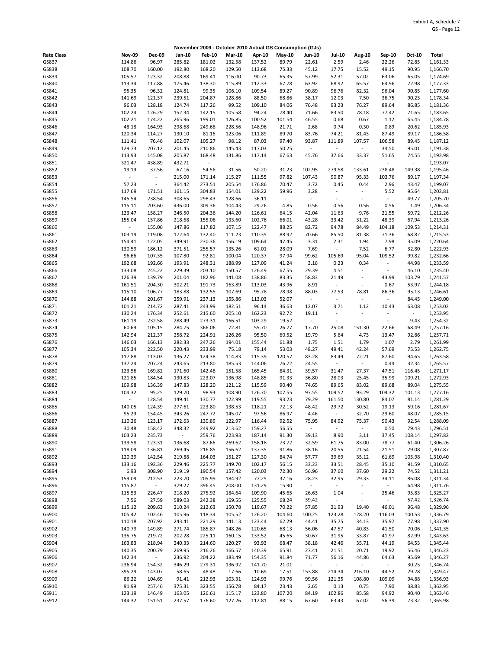|                   |                  |                  |                  |                          | November 2009 - October 2010 Actual GS Consumption (GJs) |                                    |                 |                                   |                                    |                                   |                                   |                   |                      |
|-------------------|------------------|------------------|------------------|--------------------------|----------------------------------------------------------|------------------------------------|-----------------|-----------------------------------|------------------------------------|-----------------------------------|-----------------------------------|-------------------|----------------------|
| <b>Rate Class</b> | <b>Nov-09</b>    | <b>Dec-09</b>    | Jan-10           | <b>Feb-10</b>            | <b>Mar-10</b>                                            | Apr-10                             | May-10          | Jun-10                            | <b>Jul-10</b>                      | <b>Aug-10</b>                     | Sep-10                            | Oct-10            | <b>Total</b>         |
| GS837             | 114.86           | 96.97            | 285.82           | 181.02                   | 132.58                                                   | 137.52                             | 89.79           | 22.61                             | 2.59                               | 2.46                              | 22.26                             | 72.85             | 1,161.33             |
| GS838             | 108.70           | 160.00           | 192.80           | 168.20                   | 129.50                                                   | 113.68                             | 75.33           | 45.12                             | 17.75                              | 15.52                             | 49.15                             | 90.95             | 1,166.70             |
| GS839             | 105.57           | 123.32           | 208.88           | 169.41                   | 116.00                                                   | 90.73                              | 65.35           | 57.99                             | 52.31                              | 57.02                             | 63.06                             | 65.05             | 1,174.69             |
| GS840             | 113.34           | 117.88           | 175.46           | 138.30                   | 115.89                                                   | 112.33                             | 67.78           | 63.92                             | 68.92                              | 65.57                             | 64.96                             | 72.98             | 1,177.33             |
| GS841<br>GS842    | 95.35<br>141.69  | 96.32<br>121.37  | 124.81<br>239.51 | 99.35<br>204.87          | 106.10<br>128.86                                         | 109.54<br>88.50                    | 89.27<br>68.86  | 90.89<br>38.17                    | 96.76<br>12.03                     | 82.32<br>7.50                     | 96.04<br>36.75                    | 90.85<br>90.23    | 1,177.60<br>1,178.34 |
| GS843             | 96.03            | 128.18           | 124.74           | 117.26                   | 99.52                                                    | 109.10                             | 84.06           | 76.48                             | 93.23                              | 76.27                             | 89.64                             | 86.85             | 1,181.36             |
| GS844             | 102.24           | 126.29           | 152.34           | 142.15                   | 105.58                                                   | 94.24                              | 78.40           | 71.66                             | 83.50                              | 78.18                             | 77.42                             | 71.65             | 1,183.65             |
| GS845             | 102.21           | 174.22           | 265.96           | 199.01                   | 126.85                                                   | 100.52                             | 101.54          | 46.55                             | 0.68                               | 0.67                              | 1.12                              | 65.45             | 1,184.78             |
| GS846             | 48.18            | 164.93           | 298.68           | 249.68                   | 228.56                                                   | 148.96                             | 21.71           | 2.68                              | 0.74                               | 0.30                              | 0.89                              | 20.62             | 1,185.93             |
| GS847             | 120.34           | 114.27           | 130.10           | 81.16                    | 123.06                                                   | 111.89                             | 89.70           | 83.76                             | 74.21                              | 81.43                             | 87.49                             | 89.17             | 1,186.58             |
| GS848             | 111.41           | 76.46            | 102.07           | 105.27                   | 98.12                                                    | 87.03                              | 97.40           | 93.87                             | 111.89                             | 107.57                            | 106.58                            | 89.45             | 1,187.12             |
| GS849             | 129.73           | 207.12           | 201.45           | 210.86                   | 145.43                                                   | 117.03                             | 50.25           | $\blacksquare$                    | $\blacksquare$                     | $\sim$                            | 34.50                             | 95.01             | 1,191.38             |
| GS850             | 113.93           | 145.08           | 205.87           | 168.48<br>$\blacksquare$ | 131.86<br>$\Box$                                         | 117.14<br>$\overline{\phantom{a}}$ | 67.63<br>$\sim$ | 45.76                             | 37.66                              | 33.37<br>$\overline{\phantom{a}}$ | 51.65<br>$\overline{\phantom{a}}$ | 74.55<br>$\omega$ | 1,192.98             |
| GS851<br>GS852    | 321.47<br>19.19  | 438.89<br>37.56  | 432.71<br>67.16  | 54.56                    | 31.56                                                    | 50.20                              | 31.23           | $\blacksquare$<br>102.95          | $\overline{\phantom{a}}$<br>279.58 | 133.61                            | 238.48                            | 149.38            | 1,193.07<br>1,195.46 |
| GS853             | ÷,               | $\Box$           | 215.00           | 171.14                   | 115.27                                                   | 111.55                             | 97.82           | 107.43                            | 90.87                              | 95.33                             | 103.76                            | 89.17             | 1,197.34             |
| GS854             | 57.23            | $\Box$           | 364.42           | 273.51                   | 205.54                                                   | 176.86                             | 70.47           | 3.72                              | 0.45                               | 0.44                              | 2.96                              | 43.47             | 1,199.07             |
| GS855             | 117.69           | 171.51           | 161.15           | 304.83                   | 154.01                                                   | 129.22                             | 59.96           | 3.28                              | $\overline{\phantom{a}}$           | $\sim$                            | 5.52                              | 95.64             | 1,202.81             |
| GS856             | 145.54           | 238.54           | 308.65           | 298.43                   | 128.66                                                   | 36.11                              | $\sim$          | $\blacksquare$                    | $\overline{a}$                     | $\overline{\phantom{a}}$          | $\blacksquare$                    | 49.77             | 1,205.70             |
| GS857             | 115.11           | 203.60           | 436.00           | 309.36                   | 104.43                                                   | 29.26                              | 4.85            | 0.56                              | 0.56                               | 0.56                              | 0.56                              | 1.49              | 1,206.34             |
| GS858             | 123.47           | 158.27           | 246.50           | 204.36                   | 144.20                                                   | 126.61                             | 64.15           | 42.04                             | 11.63                              | 9.76                              | 21.55                             | 59.72             | 1,212.26             |
| GS859             | 155.04           | 157.86           | 218.68           | 155.06                   | 133.60                                                   | 102.76                             | 66.01           | 43.28                             | 33.42                              | 31.22                             | 48.39                             | 67.94             | 1,213.26             |
| GS860             | $\omega$         | 155.06           | 147.86           | 117.82                   | 107.15<br>111.23                                         | 122.47                             | 88.25           | 82.72                             | 94.78                              | 84.49                             | 104.18                            | 109.53            | 1,214.31             |
| GS861<br>GS862    | 103.19<br>154.41 | 119.08<br>122.05 | 172.64<br>349.91 | 132.40<br>230.36         | 156.19                                                   | 110.35<br>109.64                   | 88.92<br>47.45  | 70.66<br>3.31                     | 85.50<br>2.31                      | 81.38<br>1.94                     | 71.36<br>7.98                     | 68.82<br>35.09    | 1,215.53<br>1,220.64 |
| GS863             | 130.59           | 186.12           | 371.51           | 255.57                   | 135.26                                                   | 61.01                              | 28.09           | 7.69                              | ä,                                 | 7.52                              | 6.77                              | 32.80             | 1,222.93             |
| GS864             | 96.66            | 107.35           | 107.80           | 92.81                    | 100.04                                                   | 120.37                             | 97.94           | 99.62                             | 105.69                             | 95.04                             | 109.52                            | 99.82             | 1,232.66             |
| GS865             | 192.68           | 192.66           | 193.91           | 248.31                   | 188.99                                                   | 127.09                             | 41.24           | 3.16                              | 0.23                               | 0.34                              | $\sim$                            | 44.98             | 1,233.59             |
| GS866             | 133.08           | 245.22           | 229.39           | 203.10                   | 150.57                                                   | 126.49                             | 67.55           | 29.39                             | 4.51                               | $\overline{\phantom{a}}$          | $\overline{\phantom{a}}$          | 46.10             | 1,235.40             |
| GS867             | 126.39           | 139.79           | 201.04           | 182.96                   | 141.08                                                   | 138.86                             | 83.35           | 58.83                             | 21.49                              | $\sim$                            | 43.99                             | 103.79            | 1,241.57             |
| GS868             | 161.51           | 204.30           | 302.21           | 191.73                   | 163.89                                                   | 113.03                             | 43.96           | 8.91                              | $\blacksquare$                     | $\sim$                            | 0.67                              | 53.97             | 1,244.18             |
| GS869             | 115.10           | 106.77           | 183.88           | 132.55                   | 107.69                                                   | 95.78                              | 78.98           | 88.03                             | 77.53                              | 78.81                             | 86.36                             | 95.13             | 1,246.61             |
| GS870<br>GS871    | 144.88<br>101.21 | 201.67<br>214.72 | 259.91<br>287.41 | 237.13<br>243.99         | 155.86<br>182.51                                         | 113.03<br>96.14                    | 52.07<br>36.63  | $\overline{\phantom{a}}$<br>12.07 | $\overline{\phantom{a}}$<br>3.71   | $\overline{\phantom{a}}$<br>1.12  | $\overline{\phantom{a}}$<br>10.43 | 84.45<br>63.08    | 1,249.00<br>1,253.02 |
| GS872             | 130.24           | 176.34           | 252.61           | 215.60                   | 205.10                                                   | 162.23                             | 92.72           | 19.11                             | $\overline{\phantom{a}}$           | ÷,                                |                                   | $\blacksquare$    | 1,253.95             |
| GS873             | 161.19           | 232.58           | 288.49           | 273.31                   | 166.51                                                   | 103.29                             | 19.52           | $\overline{\phantom{a}}$          | $\overline{\phantom{a}}$           | ÷,                                | $\blacksquare$                    | 9.43              | 1,254.32             |
| GS874             | 60.69            | 105.15           | 284.75           | 366.06                   | 72.81                                                    | 55.70                              | 26.77           | 17.70                             | 25.08                              | 151.30                            | 22.66                             | 68.49             | 1,257.16             |
| GS875             | 142.94           | 212.37           | 258.72           | 224.91                   | 126.26                                                   | 95.50                              | 60.52           | 19.79                             | 5.64                               | 4.73                              | 13.47                             | 92.86             | 1,257.71             |
| GS876             | 146.03           | 166.13           | 282.33           | 247.26                   | 194.01                                                   | 155.44                             | 61.88           | 1.75                              | 1.51                               | 1.79                              | 1.07                              | 2.79              | 1,261.99             |
| GS877             | 105.34           | 222.50           | 220.43           | 233.99                   | 75.18                                                    | 79.14                              | 53.03           | 48.27                             | 49.41                              | 42.24                             | 57.69                             | 75.53             | 1,262.75             |
| GS878             | 117.88           | 113.03           | 136.27           | 124.38                   | 114.83                                                   | 115.39                             | 120.57          | 83.28                             | 83.49                              | 72.21                             | 87.60                             | 94.65             | 1,263.58             |
| GS879<br>GS880    | 137.24<br>123.56 | 207.24<br>169.82 | 243.65<br>171.60 | 213.80<br>142.48         | 185.53<br>151.58                                         | 144.06<br>165.45                   | 76.72<br>84.31  | 24.55<br>39.57                    | ÷,<br>31.47                        | $\sim$<br>27.37                   | 0.44<br>47.51                     | 32.34<br>116.45   | 1,265.57<br>1,271.17 |
| GS881             | 121.85           | 184.54           | 130.83           | 223.07                   | 136.98                                                   | 148.85                             | 91.33           | 36.80                             | 28.03                              | 25.45                             | 35.99                             | 109.21            | 1,272.93             |
| GS882             | 109.98           | 136.39           | 147.83           | 128.20                   | 121.12                                                   | 115.59                             | 90.40           | 74.65                             | 89.65                              | 83.02                             | 89.68                             | 89.04             | 1,275.55             |
| GS883             | 104.32           | 95.25            | 129.70           | 98.93                    | 108.90                                                   | 126.70                             | 107.55          | 97.55                             | 109.52                             | 93.29                             | 104.32                            | 101.13            | 1,277.16             |
| GS884             | $\frac{1}{2}$    | 128.54           | 149.41           | 130.77                   | 122.99                                                   | 119.55                             | 93.23           | 79.29                             | 161.50                             | 130.80                            | 84.07                             | 81.14             | 1,281.29             |
| GS885             | 140.05           | 124.39           | 277.61           | 223.80                   | 138.53                                                   | 118.21                             | 72.13           | 48.42                             | 29.72                              | 30.52                             | 19.13                             | 59.16             | 1,281.67             |
| GS886             | 95.29            | 154.45           | 343.26           | 247.72                   | 145.07                                                   | 97.56                              | 86.97           | 4.46                              | $\omega$                           | 32.70                             | 29.60                             | 48.07             | 1,285.15             |
| GS887             | 110.26           | 123.17           | 172.63           | 130.89                   | 122.97                                                   | 116.44                             | 92.52           | 75.95<br>$\omega$                 | 84.92                              | 75.37                             | 90.43                             | 92.54             | 1,288.09             |
| GS888<br>GS889    | 30.48<br>103.23  | 158.42<br>235.73 | 348.32<br>$\sim$ | 249.92<br>259.76         | 213.62<br>223.93                                         | 159.27<br>187.14                   | 56.55<br>91.30  | 39.13                             | $\blacksquare$<br>8.90             | $\sim$<br>3.11                    | 0.50<br>37.45                     | 79.43<br>108.14   | 1,296.51<br>1,297.82 |
| GS890             | 139.58           | 123.31           | 136.68           | 87.66                    | 269.62                                                   | 158.18                             | 73.72           | 32.59                             | 61.75                              | 83.00                             | 78.77                             | 61.40             | 1,306.26             |
| GS891             | 118.09           | 136.81           | 269.45           | 216.85                   | 156.62                                                   | 137.35                             | 91.86           | 38.16                             | 20.55                              | 21.54                             | 21.51                             | 79.08             | 1,307.87             |
| GS892             | 120.39           | 142.54           | 219.88           | 164.03                   | 151.27                                                   | 127.30                             | 84.74           | 57.77                             | 39.69                              | 35.12                             | 61.69                             | 105.98            | 1,310.40             |
| GS893             | 133.16           | 192.36           | 229.46           | 225.77                   | 149.70                                                   | 102.17                             | 56.15           | 33.23                             | 33.51                              | 28.45                             | 35.10                             | 91.59             | 1,310.65             |
| GS894             | 6.93             | 308.90           | 219.19           | 190.54                   | 157.42                                                   | 120.03                             | 72.30           | 56.96                             | 37.60                              | 37.60                             | 29.22                             | 74.52             | 1,311.21             |
| GS895             | 159.09           | 212.53           | 223.70           | 205.99                   | 184.92                                                   | 77.25                              | 37.16           | 28.23                             | 32.95                              | 29.33                             | 34.11                             | 86.08             | 1,311.34             |
| GS896<br>GS897    | 115.87           | $\sim$<br>226.47 | 379.27<br>218.20 | 396.45                   | 208.00<br>184.64                                         | 131.29                             | 15.90           | $\omega$                          | $\omega$<br>1.04                   | $\sim$<br>$\omega$                | $\Box$<br>25.46                   | 64.98             | 1,311.76             |
| GS898             | 115.53<br>7.56   | 27.59            | 589.03           | 275.92<br>242.38         | 169.55                                                   | 109.90<br>125.55                   | 45.65<br>68.24  | 26.63<br>39.42                    | $\overline{\phantom{a}}$           | $\sim$                            | $\sim$                            | 95.83<br>57.42    | 1,325.27<br>1,326.74 |
| GS899             | 115.12           | 209.63           | 210.24           | 212.63                   | 150.78                                                   | 119.67                             | 70.22           | 57.85                             | 21.93                              | 19.40                             | 46.01                             | 96.48             | 1,329.96             |
| GS900             | 105.42           | 102.46           | 105.96           | 118.34                   | 105.52                                                   | 126.20                             | 104.60          | 100.25                            | 123.28                             | 128.20                            | 116.03                            | 100.53            | 1,336.79             |
| GS901             | 110.18           | 207.92           | 243.41           | 221.29                   | 141.13                                                   | 123.44                             | 62.29           | 44.41                             | 35.75                              | 34.13                             | 35.97                             | 77.98             | 1,337.90             |
| GS902             | 140.79           | 149.89           | 271.74           | 185.87                   | 148.26                                                   | 120.65                             | 68.13           | 56.06                             | 47.57                              | 40.83                             | 41.50                             | 70.06             | 1,341.35             |
| GS903             | 135.75           | 219.72           | 202.28           | 225.11                   | 160.15                                                   | 133.52                             | 45.65           | 30.67                             | 31.95                              | 33.87                             | 41.97                             | 82.99             | 1,343.63             |
| GS904             | 163.83           | 218.94           | 240.33           | 214.60                   | 120.27                                                   | 93.93                              | 68.47           | 38.18                             | 42.46                              | 35.71                             | 44.19                             | 64.53             | 1,345.44             |
| GS905             | 140.35           | 200.79           | 269.95           | 216.26                   | 166.57                                                   | 140.39                             | 65.91           | 27.41                             | 21.51                              | 20.71                             | 19.92                             | 56.46             | 1,346.23             |
| GS906<br>GS907    | 142.34<br>236.94 | $\sim$<br>154.32 | 236.92<br>346.29 | 204.22<br>279.31         | 183.49<br>136.92                                         | 154.35                             | 91.84<br>21.01  | 71.77<br>$\sim$                   | 56.16<br>÷,                        | 44.86<br>$\sim$                   | 64.63<br>$\Box$                   | 95.69<br>30.25    | 1,346.27<br>1,346.74 |
| GS908             | 395.29           | 143.07           | 58.65            | 48.48                    | 17.66                                                    | 141.70<br>10.69                    | 17.51           | 153.88                            | 214.34                             | 216.10                            | 44.52                             | 29.28             | 1,349.47             |
| GS909             | 86.22            | 104.69           | 91.41            | 212.93                   | 103.31                                                   | 124.93                             | 99.76           | 99.56                             | 121.35                             | 108.80                            | 109.09                            | 94.88             | 1,356.93             |
| GS910             | 91.99            | 257.46           | 375.31           | 323.55                   | 156.78                                                   | 84.17                              | 23.43           | 2.65                              | 0.13                               | 0.75                              | 7.90                              | 38.83             | 1,362.95             |
| GS911             | 123.19           | 146.49           | 163.05           | 126.61                   | 115.17                                                   | 123.80                             | 107.20          | 84.19                             | 102.86                             | 85.58                             | 94.92                             | 90.40             | 1,363.46             |
| GS912             | 144.32           | 151.51           | 237.57           | 176.60                   | 127.26                                                   | 112.81                             | 88.15           | 67.60                             | 63.43                              | 67.02                             | 56.39                             | 73.32             | 1,365.98             |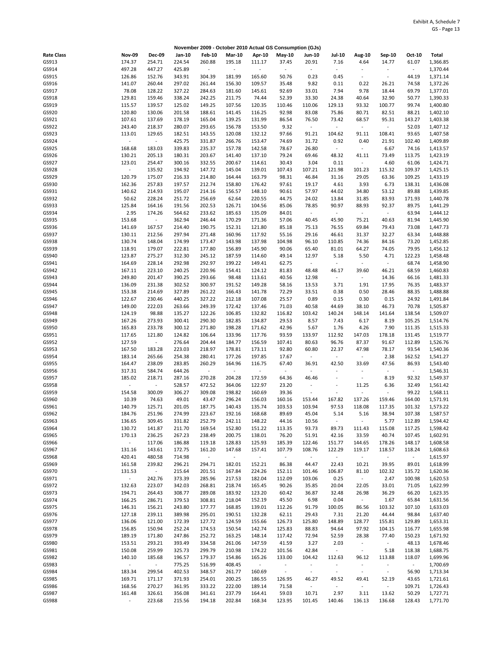|                   |                          |                          |                  |                  |                                    |                  | November 2009 - October 2010 Actual GS Consumption (GJs) |                              |                                   |                                   |                                   |                   |                      |
|-------------------|--------------------------|--------------------------|------------------|------------------|------------------------------------|------------------|----------------------------------------------------------|------------------------------|-----------------------------------|-----------------------------------|-----------------------------------|-------------------|----------------------|
| <b>Rate Class</b> | <b>Nov-09</b>            | <b>Dec-09</b>            | Jan-10           | <b>Feb-10</b>    | <b>Mar-10</b>                      | Apr-10           | <b>May-10</b>                                            | <b>Jun-10</b>                | <b>Jul-10</b>                     | <b>Aug-10</b>                     | Sep-10                            | Oct-10            | <b>Total</b>         |
| GS913             | 174.37                   | 254.71                   | 224.54           | 260.88           | 195.18                             | 111.17           | 37.45                                                    | 20.91                        | 7.16                              | 4.64                              | 14.77                             | 61.07             | 1,366.85             |
| GS914             | 497.28                   | 447.27                   | 425.89           | $\omega$         | $\overline{\phantom{a}}$           | $\blacksquare$   | $\blacksquare$                                           | ÷.                           | ÷,                                | $\bar{z}$                         | $\frac{1}{2}$                     | $\omega$          | 1,370.44             |
| GS915             | 126.86                   | 152.76                   | 343.91           | 304.39           | 181.99                             | 165.60           | 50.76                                                    | 0.23                         | 0.45                              | $\overline{\phantom{a}}$          | $\overline{\phantom{a}}$          | 44.19             | 1,371.14             |
| GS916             | 141.07                   | 260.44                   | 297.02           | 261.44           | 156.30                             | 109.57           | 35.48                                                    | 9.82                         | 0.11                              | 0.22                              | 26.21                             | 74.58             | 1,372.26             |
| GS917<br>GS918    | 78.08<br>129.81          | 128.22<br>159.46         | 327.22<br>338.24 | 284.63<br>242.25 | 181.60<br>211.75                   | 145.61<br>74.44  | 92.69<br>52.39                                           | 33.01<br>33.30               | 7.94<br>24.38                     | 9.78<br>40.64                     | 18.44<br>32.90                    | 69.79<br>50.77    | 1,377.01<br>1,390.33 |
| GS919             | 115.57                   | 139.57                   | 125.02           | 149.25           | 107.56                             | 120.35           | 110.46                                                   | 110.06                       | 129.13                            | 93.32                             | 100.77                            | 99.74             | 1,400.80             |
| GS920             | 120.80                   | 130.06                   | 201.58           | 188.61           | 141.45                             | 116.25           | 92.98                                                    | 83.08                        | 75.86                             | 80.71                             | 82.51                             | 88.21             | 1,402.10             |
| GS921             | 107.61                   | 137.69                   | 178.19           | 165.04           | 139.25                             | 131.99           | 86.54                                                    | 76.50                        | 73.42                             | 68.57                             | 95.31                             | 143.27            | 1,403.38             |
| GS922             | 243.40                   | 218.37                   | 280.07           | 293.65           | 156.78                             | 153.50           | 9.32                                                     | $\blacksquare$               | $\blacksquare$                    | $\sim$                            | $\overline{\phantom{a}}$          | 52.03             | 1,407.12             |
| GS923             | 113.01                   | 129.65                   | 182.51           | 143.55           | 120.08                             | 132.12           | 97.66                                                    | 91.21                        | 104.62                            | 91.11                             | 108.41                            | 93.65             | 1,407.58             |
| GS924             | $\blacksquare$           | $\omega$                 | 425.75           | 331.87           | 266.76                             | 153.47           | 74.69                                                    | 31.72                        | 0.92                              | 0.40                              | 21.91                             | 102.40            | 1,409.89             |
| GS925             | 168.68                   | 183.03                   | 339.83           | 235.37           | 157.78<br>141.40                   | 142.58           | 78.67                                                    | 26.80                        | $\bar{\phantom{a}}$               | $\blacksquare$                    | 6.67                              | 74.16             | 1,413.57             |
| GS926<br>GS927    | 130.21<br>123.01         | 205.13<br>254.47         | 180.31<br>300.16 | 203.67<br>332.55 | 200.67                             | 137.10<br>114.61 | 79.24<br>30.43                                           | 69.46<br>3.04                | 48.32<br>0.11                     | 41.11<br>$\overline{\phantom{a}}$ | 73.49<br>4.60                     | 113.75<br>61.06   | 1,423.19<br>1,424.71 |
| GS928             | $\overline{\phantom{a}}$ | 135.92                   | 194.92           | 147.72           | 145.04                             | 139.01           | 107.43                                                   | 107.21                       | 121.98                            | 101.23                            | 115.32                            | 109.37            | 1,425.15             |
| GS929             | 120.79                   | 175.07                   | 216.33           | 214.80           | 164.44                             | 163.79           | 98.31                                                    | 46.84                        | 31.16                             | 29.05                             | 63.36                             | 109.25            | 1,433.19             |
| GS930             | 162.36                   | 257.83                   | 197.57           | 212.74           | 158.80                             | 176.42           | 97.61                                                    | 19.17                        | 4.61                              | 3.93                              | 6.73                              | 138.31            | 1,436.08             |
| GS931             | 140.62                   | 214.93                   | 195.07           | 214.16           | 156.57                             | 148.10           | 90.61                                                    | 57.97                        | 44.02                             | 34.80                             | 53.12                             | 89.88             | 1,439.85             |
| GS932             | 50.62                    | 228.24                   | 251.72           | 256.69           | 62.64                              | 220.55           | 44.75                                                    | 24.02                        | 13.84                             | 31.85                             | 83.93                             | 171.93            | 1,440.78             |
| GS933<br>GS934    | 125.84<br>2.95           | 164.16<br>174.26         | 191.56<br>564.62 | 202.53<br>233.62 | 126.71<br>185.63                   | 104.56<br>135.09 | 85.06<br>84.01                                           | 78.85<br>÷                   | 90.97<br>$\blacksquare$           | 88.93<br>$\omega$                 | 92.37<br>$\overline{\phantom{a}}$ | 89.75<br>63.94    | 1,441.29<br>1,444.12 |
| GS935             | 153.68                   | $\omega$                 | 362.94           | 246.44           | 170.29                             | 171.36           | 57.06                                                    | 40.45                        | 45.90                             | 75.21                             | 40.63                             | 81.94             | 1,445.90             |
| GS936             | 141.69                   | 167.57                   | 214.40           | 190.75           | 152.31                             | 121.80           | 85.18                                                    | 75.13                        | 76.55                             | 69.84                             | 79.43                             | 73.08             | 1,447.73             |
| GS937             | 130.11                   | 212.56                   | 297.94           | 271.48           | 160.96                             | 117.92           | 55.16                                                    | 29.16                        | 46.61                             | 31.37                             | 32.27                             | 63.34             | 1,448.88             |
| GS938             | 130.74                   | 148.04                   | 174.99           | 173.47           | 143.98                             | 137.98           | 104.98                                                   | 96.10                        | 110.85                            | 74.36                             | 84.16                             | 73.20             | 1,452.85             |
| GS939             | 118.91                   | 179.07                   | 222.81           | 177.80           | 156.89                             | 145.90           | 90.06                                                    | 65.40                        | 81.01                             | 64.27                             | 74.05                             | 79.95             | 1,456.12             |
| GS940             | 123.87                   | 275.27                   | 312.30           | 245.12           | 187.59                             | 114.60           | 49.14                                                    | 12.97                        | 5.18                              | 5.50                              | 4.71                              | 122.23            | 1,458.48             |
| GS941<br>GS942    | 164.69<br>167.11         | 228.14<br>223.10         | 292.98<br>240.25 | 292.97<br>220.96 | 199.22<br>154.41                   | 149.41<br>124.12 | 62.75<br>81.83                                           | $\blacksquare$<br>48.48      | $\overline{\phantom{a}}$<br>46.17 | $\sim$<br>39.60                   | $\overline{\phantom{a}}$<br>46.21 | 68.74<br>68.59    | 1,458.90<br>1,460.83 |
| GS943             | 249.80                   | 201.47                   | 390.25           | 293.66           | 98.48                              | 113.61           | 40.56                                                    | 12.98                        | $\omega$                          | $\sim$                            | 14.36                             | 66.16             | 1,481.33             |
| GS944             | 136.09                   | 231.38                   | 302.52           | 300.97           | 191.52                             | 149.28           | 58.16                                                    | 13.53                        | 3.71                              | 1.91                              | 17.95                             | 76.35             | 1,483.37             |
| GS945             | 153.38                   | 214.69                   | 327.89           | 261.22           | 166.43                             | 141.78           | 72.29                                                    | 33.51                        | 0.38                              | 0.50                              | 28.46                             | 88.35             | 1,488.88             |
| GS946             | 122.67                   | 230.46                   | 440.25           | 327.22           | 212.18                             | 107.08           | 25.57                                                    | 0.89                         | 0.15                              | 0.30                              | 0.15                              | 24.92             | 1,491.84             |
| GS947             | 149.00                   | 222.03                   | 263.66           | 249.39           | 172.42                             | 137.46           | 71.03                                                    | 40.58                        | 44.69                             | 38.10                             | 46.73                             | 70.78             | 1,505.87             |
| GS948             | 124.19                   | 98.88                    | 135.27           | 122.26           | 106.85                             | 132.82           | 116.82                                                   | 103.42                       | 140.24                            | 148.14                            | 141.64                            | 138.54            | 1,509.07             |
| GS949<br>GS950    | 167.26<br>165.83         | 273.93<br>233.78         | 300.41<br>300.12 | 290.30<br>271.80 | 182.85<br>198.28                   | 134.87<br>171.62 | 29.53<br>42.96                                           | 8.57<br>5.67                 | 7.43<br>1.76                      | 6.17<br>4.26                      | 8.19<br>7.90                      | 105.25<br>111.35  | 1,514.76<br>1,515.33 |
| GS951             | 117.65                   | 121.80                   | 124.82           | 106.64           | 133.96                             | 117.76           | 93.59                                                    | 133.97                       | 112.92                            | 147.03                            | 178.18                            | 131.45            | 1,519.77             |
| GS952             | 127.59                   | $\overline{\phantom{a}}$ | 276.64           | 204.44           | 184.77                             | 156.59           | 107.41                                                   | 80.63                        | 96.76                             | 87.37                             | 91.67                             | 112.89            | 1,526.76             |
| GS953             | 167.50                   | 183.28                   | 223.03           | 218.97           | 178.81                             | 173.11           | 92.80                                                    | 60.80                        | 22.37                             | 47.98                             | 78.17                             | 93.54             | 1,540.36             |
| GS954             | 183.14                   | 265.66                   | 254.38           | 280.41           | 177.26                             | 197.85           | 17.67                                                    | $\overline{\phantom{a}}$     | $\sim$                            | $\overline{\phantom{a}}$          | 2.38                              | 162.52            | 1,541.27             |
| GS955             | 164.47                   | 238.09                   | 283.85           | 260.29<br>÷.     | 164.96                             | 116.75<br>÷,     | 67.40                                                    | 36.91<br>$\bar{\phantom{a}}$ | 42.50<br>L,                       | 33.69<br>$\overline{\phantom{a}}$ | 47.56<br>÷,                       | 86.93<br>$\omega$ | 1,543.40             |
| GS956<br>GS957    | 317.31<br>185.02         | 584.74<br>218.71         | 644.26<br>287.16 | 270.28           | $\overline{\phantom{a}}$<br>204.28 | 172.59           | $\sim$<br>64.36                                          | 46.46                        | $\overline{\phantom{a}}$          | $\blacksquare$                    | 8.19                              | 92.32             | 1,546.31<br>1,549.37 |
| GS958             | ÷,                       | $\Box$                   | 528.57           | 472.52           | 364.06                             | 122.97           | 23.20                                                    | ÷                            | ä,                                | 11.25                             | 6.36                              | 32.49             | 1,561.42             |
| GS959             | 154.58                   | 300.09                   | 306.27           | 309.08           | 198.82                             | 160.69           | 39.36                                                    | ÷                            | ÷,                                | $\overline{\phantom{a}}$          | $\Box$                            | 99.22             | 1,568.11             |
| GS960             | 10.39                    | 74.63                    | 49.01            | 43.47            | 296.24                             | 156.03           | 160.16                                                   | 153.44                       | 167.82                            | 137.26                            | 159.46                            | 164.00            | 1,571.91             |
| GS961             | 140.79                   | 125.71                   | 201.05           | 187.75           | 140.43                             | 135.74           | 103.53                                                   | 103.94                       | 97.53                             | 118.08                            | 117.35                            | 101.32            | 1,573.22             |
| GS962             | 184.76                   | 251.96                   | 274.99           | 223.67           | 192.16                             | 168.68           | 89.69                                                    | 45.04                        | 5.14                              | 5.16                              | 38.94                             | 107.38            | 1,587.57             |
| GS963             | 136.65                   | 309.45                   | 331.82           | 252.79           | 242.11                             | 148.22           | 44.16                                                    | 10.56                        | $\blacksquare$                    | $\blacksquare$                    | 5.77                              | 112.89            | 1,594.42             |
| GS964<br>GS965    | 130.72<br>170.13         | 141.87<br>236.25         | 211.70<br>267.23 | 169.54<br>238.49 | 152.80<br>200.75                   | 151.22<br>138.01 | 113.35<br>76.20                                          | 93.73<br>51.91               | 89.73<br>42.16                    | 111.43<br>33.59                   | 115.08<br>40.74                   | 117.25<br>107.45  | 1,598.42<br>1,602.91 |
| GS966             | $\bar{\gamma}$           | 117.06                   | 186.88           | 119.18           | 128.83                             | 125.93           | 185.39                                                   | 122.46                       | 151.77                            | 144.65                            | 178.26                            | 148.17            | 1,608.58             |
| GS967             | 131.16                   | 143.61                   | 172.75           | 161.20           | 147.68                             | 157.41           | 107.79                                                   | 108.76                       | 122.29                            | 119.17                            | 118.57                            | 118.24            | 1,608.63             |
| GS968             | 420.41                   | 480.58                   | 714.98           | $\sim$           | $\omega$                           | $\sim$           | $\sim$                                                   | $\overline{\phantom{a}}$     | $\sim$                            | $\sim$                            | $\overline{\phantom{a}}$          | $\sim$            | 1,615.97             |
| GS969             | 161.58                   | 239.82                   | 296.21           | 294.71           | 182.01                             | 152.21           | 86.38                                                    | 44.47                        | 22.43                             | 10.21                             | 39.95                             | 89.01             | 1,618.99             |
| GS970             | 131.53<br>$\omega$       | $\sim$<br>242.76         | 215.64<br>373.39 | 201.51           | 167.84                             | 224.26<br>182.04 | 152.11                                                   | 101.46                       | 106.87                            | 81.10<br>$\omega_{\rm c}$         | 102.32                            | 135.72<br>100.98  | 1,620.36             |
| GS971<br>GS972    | 132.63                   | 223.07                   | 342.03           | 285.96<br>268.81 | 217.53<br>218.74                   | 165.45           | 112.09<br>90.26                                          | 103.06<br>35.85              | 0.25<br>20.04                     | 22.05                             | 2.47<br>33.01                     | 71.05             | 1,620.53<br>1,622.99 |
| GS973             | 194.71                   | 264.43                   | 308.77           | 289.08           | 183.92                             | 123.20           | 60.42                                                    | 36.87                        | 32.48                             | 26.98                             | 36.29                             | 66.20             | 1,623.35             |
| GS974             | 166.25                   | 286.71                   | 379.53           | 308.81           | 218.04                             | 152.19           | 45.50                                                    | 6.98                         | 0.04                              | $\sim$                            | 1.67                              | 65.84             | 1,631.56             |
| GS975             | 146.31                   | 156.21                   | 243.80           | 177.77           | 168.85                             | 139.01           | 112.26                                                   | 91.79                        | 100.05                            | 86.56                             | 103.32                            | 107.10            | 1,633.03             |
| GS976             | 127.18                   | 239.11                   | 389.98           | 295.01           | 190.51                             | 132.28           | 62.11                                                    | 29.43                        | 7.31                              | 21.20                             | 44.44                             | 98.84             | 1,637.40             |
| GS977             | 136.06                   | 121.00                   | 172.39           | 127.72           | 124.59                             | 155.66           | 126.73                                                   | 125.80                       | 148.89                            | 128.77                            | 155.81                            | 129.89            | 1,653.31             |
| GS978<br>GS979    | 156.85<br>189.19         | 150.94<br>171.80         | 252.24<br>247.86 | 174.53<br>252.72 | 150.54<br>163.25                   | 142.74<br>148.14 | 125.83<br>117.42                                         | 88.83<br>72.94               | 94.64<br>52.59                    | 97.92<br>28.38                    | 104.15<br>77.40                   | 116.77<br>150.23  | 1,655.98<br>1,671.92 |
| GS980             | 153.51                   | 293.21                   | 393.49           | 334.58           | 261.06                             | 147.59           | 41.59                                                    | 3.27                         | 2.03                              | $\blacksquare$                    | $\sim$                            | 48.13             | 1,678.46             |
| GS981             | 150.08                   | 259.99                   | 325.73           | 299.79           | 210.98                             | 174.22           | 101.56                                                   | 42.84                        | $\sim$                            | $\omega$                          | 5.18                              | 118.38            | 1,688.75             |
| GS982             | 140.10                   | 185.68                   | 196.57           | 179.37           | 154.86                             | 165.26           | 133.00                                                   | 104.42                       | 112.63                            | 96.12                             | 113.88                            | 118.07            | 1,699.96             |
| GS983             | ÷.                       | $\omega_{\rm c}$         | 775.25           | 516.99           | 408.45                             | $\sim$           | $\sim$                                                   | ÷                            | $\overline{\phantom{a}}$          | $\overline{\phantom{a}}$          | $\overline{\phantom{a}}$          | $\omega$          | 1,700.69             |
| GS984             | 183.34                   | 299.54                   | 402.53           | 348.57           | 261.77                             | 160.69           | $\omega$                                                 | $\blacksquare$               | $\blacksquare$                    | $\blacksquare$                    | $\overline{\phantom{a}}$          | 56.90             | 1,713.34             |
| GS985             | 169.71                   | 171.17                   | 371.93           | 254.01           | 200.25                             | 186.55           | 126.95                                                   | 46.27                        | 49.52                             | 49.41                             | 52.19                             | 43.65             | 1,721.61             |
| GS986<br>GS987    | 168.56<br>161.48         | 270.27<br>326.61         | 361.95<br>356.08 | 333.22<br>341.61 | 222.00<br>237.79                   | 189.14<br>164.41 | 71.58<br>59.03                                           | $\blacksquare$<br>10.71      | $\blacksquare$<br>2.97            | $\sim$<br>3.11                    | $\overline{\phantom{a}}$<br>13.62 | 109.71<br>50.29   | 1,726.43<br>1,727.71 |
| GS988             | ÷                        | 223.68                   | 215.56           | 194.18           | 202.84                             | 168.34           | 123.95                                                   | 101.45                       | 140.46                            | 136.13                            | 136.68                            | 128.43            | 1,771.70             |
|                   |                          |                          |                  |                  |                                    |                  |                                                          |                              |                                   |                                   |                                   |                   |                      |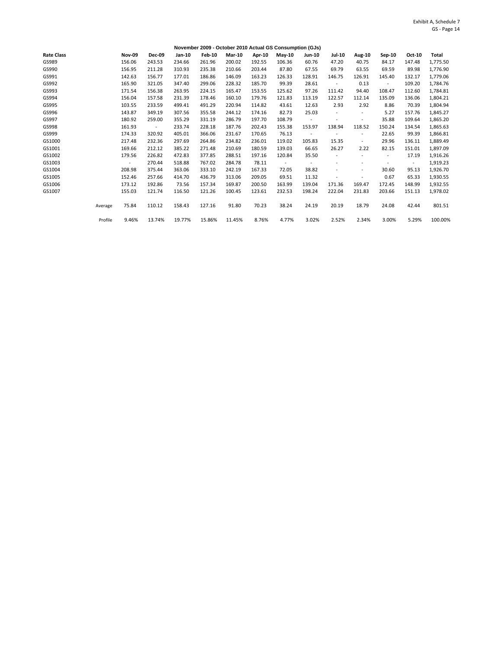|                   |         |               |               |        |               | November 2009 - October 2010 Actual GS Consumption (GJs) |        |                          |               |        |                          |                |        |              |
|-------------------|---------|---------------|---------------|--------|---------------|----------------------------------------------------------|--------|--------------------------|---------------|--------|--------------------------|----------------|--------|--------------|
| <b>Rate Class</b> |         | <b>Nov-09</b> | <b>Dec-09</b> | Jan-10 | <b>Feb-10</b> | <b>Mar-10</b>                                            | Apr-10 | May-10                   | <b>Jun-10</b> | Jul-10 | Aug-10                   | Sep-10         | Oct-10 | <b>Total</b> |
| GS989             |         | 156.06        | 243.53        | 234.66 | 261.96        | 200.02                                                   | 192.55 | 106.36                   | 60.76         | 47.20  | 40.75                    | 84.17          | 147.48 | 1,775.50     |
| GS990             |         | 156.95        | 211.28        | 310.93 | 235.38        | 210.66                                                   | 203.44 | 87.80                    | 67.55         | 69.79  | 63.55                    | 69.59          | 89.98  | 1,776.90     |
| GS991             |         | 142.63        | 156.77        | 177.01 | 186.86        | 146.09                                                   | 163.23 | 126.33                   | 128.91        | 146.75 | 126.91                   | 145.40         | 132.17 | 1,779.06     |
| GS992             |         | 165.90        | 321.05        | 347.40 | 299.06        | 228.32                                                   | 185.70 | 99.39                    | 28.61         |        | 0.13                     | $\blacksquare$ | 109.20 | 1,784.76     |
| GS993             |         | 171.54        | 156.38        | 263.95 | 224.15        | 165.47                                                   | 153.55 | 125.62                   | 97.26         | 111.42 | 94.40                    | 108.47         | 112.60 | 1,784.81     |
| GS994             |         | 156.04        | 157.58        | 231.39 | 178.46        | 160.10                                                   | 179.76 | 121.83                   | 113.19        | 122.57 | 112.14                   | 135.09         | 136.06 | 1,804.21     |
| GS995             |         | 103.55        | 233.59        | 499.41 | 491.29        | 220.94                                                   | 114.82 | 43.61                    | 12.63         | 2.93   | 2.92                     | 8.86           | 70.39  | 1,804.94     |
| GS996             |         | 143.87        | 349.19        | 307.56 | 355.58        | 244.12                                                   | 174.16 | 82.73                    | 25.03         |        |                          | 5.27           | 157.76 | 1,845.27     |
| GS997             |         | 180.92        | 259.00        | 355.29 | 331.19        | 286.79                                                   | 197.70 | 108.79                   |               |        | $\sim$                   | 35.88          | 109.64 | 1,865.20     |
| GS998             |         | 161.93        | $\sim$        | 233.74 | 228.18        | 187.76                                                   | 202.43 | 155.38                   | 153.97        | 138.94 | 118.52                   | 150.24         | 134.54 | 1,865.63     |
| GS999             |         | 174.33        | 320.92        | 405.01 | 366.06        | 231.67                                                   | 170.65 | 76.13                    |               |        | $\overline{\phantom{a}}$ | 22.65          | 99.39  | 1,866.81     |
| GS1000            |         | 217.48        | 232.36        | 297.69 | 264.86        | 234.82                                                   | 236.01 | 119.02                   | 105.83        | 15.35  | $\sim$                   | 29.96          | 136.11 | 1,889.49     |
| GS1001            |         | 169.66        | 212.12        | 385.22 | 271.48        | 210.69                                                   | 180.59 | 139.03                   | 66.65         | 26.27  | 2.22                     | 82.15          | 151.01 | 1,897.09     |
| GS1002            |         | 179.56        | 226.82        | 472.83 | 377.85        | 288.51                                                   | 197.16 | 120.84                   | 35.50         |        |                          |                | 17.19  | 1,916.26     |
| GS1003            |         | $\sim$        | 270.44        | 518.88 | 767.02        | 284.78                                                   | 78.11  | $\overline{\phantom{a}}$ |               | ٠      |                          |                | $\sim$ | 1,919.23     |
| GS1004            |         | 208.98        | 375.44        | 363.06 | 333.10        | 242.19                                                   | 167.33 | 72.05                    | 38.82         |        | $\overline{\phantom{m}}$ | 30.60          | 95.13  | 1,926.70     |
| GS1005            |         | 152.46        | 257.66        | 414.70 | 436.79        | 313.06                                                   | 209.05 | 69.51                    | 11.32         |        |                          | 0.67           | 65.33  | 1,930.55     |
| GS1006            |         | 173.12        | 192.86        | 73.56  | 157.34        | 169.87                                                   | 200.50 | 163.99                   | 139.04        | 171.36 | 169.47                   | 172.45         | 148.99 | 1,932.55     |
| GS1007            |         | 155.03        | 121.74        | 116.50 | 121.26        | 100.45                                                   | 123.61 | 232.53                   | 198.24        | 222.04 | 231.83                   | 203.66         | 151.13 | 1,978.02     |
|                   | Average | 75.84         | 110.12        | 158.43 | 127.16        | 91.80                                                    | 70.23  | 38.24                    | 24.19         | 20.19  | 18.79                    | 24.08          | 42.44  | 801.51       |
|                   | Profile | 9.46%         | 13.74%        | 19.77% | 15.86%        | 11.45%                                                   | 8.76%  | 4.77%                    | 3.02%         | 2.52%  | 2.34%                    | 3.00%          | 5.29%  | 100.00%      |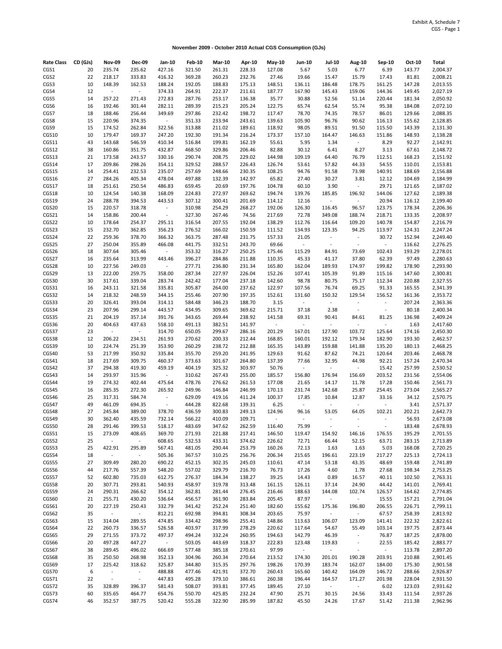**November 2009 - October 2010 Actual CGS Consumption (GJs)**

| <b>Rate Class</b> | CD (GJs) | <b>Nov-09</b>             | Dec-09           | Jan-10                                | <b>Feb-10</b>    | <b>Mar-10</b>    | Apr-10           | May-10           | <b>Jun-10</b>    | <b>Jul-10</b>            | Aug-10                   | <b>Sep-10</b>            | Oct-10 | Total    |
|-------------------|----------|---------------------------|------------------|---------------------------------------|------------------|------------------|------------------|------------------|------------------|--------------------------|--------------------------|--------------------------|--------|----------|
| CGS1              | 20       | 235.74                    | 235.62           | 427.16                                | 321.50           | 261.31           | 228.33           | 127.08           | 5.67             | 5.03                     | 6.77                     | 6.39                     | 143.77 | 2,004.37 |
| CGS2              | 22       | 218.17                    | 333.83           | 416.32                                | 369.28           | 260.23           | 232.76           | 27.46            | 19.66            | 15.47                    | 15.79                    | 17.43                    | 81.81  | 2,008.21 |
| CGS3              | 10       | 148.39                    | 162.53           | 188.24                                | 192.05           | 188.83           | 175.13           | 148.51           | 136.11           | 186.48                   | 178.75                   | 161.25                   | 147.28 | 2,013.55 |
| CGS4              | 12       | $\sim$                    | $\sim$           | 374.33                                | 264.91           | 222.37           | 211.61           | 187.77           | 167.90           | 145.43                   | 159.06                   | 144.36                   | 149.45 | 2,027.19 |
| CGS5              | 14       | 257.22                    | 271.43           | 272.83                                | 287.76           | 253.17           | 136.38           | 35.77            | 30.88            | 52.56                    | 51.14                    | 220.44                   | 181.34 | 2,050.92 |
| CGS6              | 16       | 192.46                    | 301.44           | 282.11                                | 289.39           | 215.23           | 205.24           | 122.75           | 65.74            | 62.54                    | 55.74                    | 95.38                    | 184.08 | 2,072.10 |
| CGS7              | 18       | 188.46                    | 256.44           | 349.69                                | 297.86           | 232.42           | 198.72           | 117.47           | 78.70            | 74.35                    | 78.57                    | 86.01                    | 129.66 | 2,088.35 |
| CGS8              | 15       | 220.96                    | 374.35           | $\omega_{\rm c}$                      | 351.33           | 233.94           | 243.61           | 139.63           | 105.90           | 96.76                    | 90.62                    | 116.13                   | 155.62 | 2,128.85 |
| CGS9              | 15       | 174.52                    | 262.84           | 322.56                                | 313.88           | 211.02           | 189.61           | 118.92           | 98.05            | 89.51                    | 91.50                    | 115.50                   | 143.39 | 2,131.30 |
| CGS10             | 10       | 179.47                    | 169.37           | 247.20                                | 192.30           | 191.34           | 216.24           | 173.37           | 157.10           | 164.47                   | 146.63                   | 151.86                   | 148.93 | 2,138.28 |
| CGS11             | 43       | 143.68                    | 546.59           | 410.34                                | 516.84           | 199.81           | 162.19           | 55.61            | 5.95             | 1.34                     | $\sim$                   | 8.29                     | 92.27  | 2,142.91 |
| CGS12             | 38       | 160.86                    | 351.75           | 432.87                                | 468.50           | 329.86           | 206.46           | 82.88            | 30.12            | 6.41                     | 8.27                     | 3.13                     | 67.61  | 2,148.72 |
| CGS13             | 21       | 173.58                    | 243.57           | 330.16                                | 290.74           | 208.75           | 229.02           | 144.98           | 109.19           | 64.40                    | 76.79                    | 112.51                   | 168.23 | 2,151.92 |
| CGS14             | 17       | 209.86                    | 298.26           | 354.11                                | 329.52           | 288.57           | 226.43           | 126.74           | 53.61            | 57.82                    | 44.33                    | 54.55                    | 110.01 | 2,153.81 |
| CGS15             | 14       | 254.41                    | 232.53           | 235.07                                | 257.69           | 248.66           | 230.35           | 108.25           | 94.76            | 91.58                    | 73.98                    | 140.91                   | 188.69 | 2,156.88 |
| CGS16             | 27       | 284.26                    | 405.34           | 478.04                                | 497.88           | 132.39           | 142.97           | 65.82            | 27.40            | 30.27                    | 3.81                     | 12.12                    | 104.69 | 2,184.99 |
| CGS17             | 18       | 251.61                    | 250.54           | 486.83                                | 659.45           | 20.69            | 197.76           | 104.78           | 60.10            | 3.90                     | $\blacksquare$           | 29.71                    | 121.65 | 2,187.02 |
| CGS18             | 10       | 124.54                    | 140.38           | 168.09                                | 224.83           | 272.97           | 269.62           | 194.74           | 139.76           | 185.85                   | 196.92                   | 144.06                   | 127.62 | 2,189.38 |
| CGS19             | 24       | 288.78                    | 394.53           | 443.53                                | 307.12           | 300.41           | 201.69           | 114.12           | 12.16            | $\sim$                   | $\overline{\phantom{a}}$ | 20.94                    | 116.12 | 2,199.40 |
| CGS20             | 15       | 220.57                    | 318.78           | $\sim$                                | 310.98           | 254.29           | 268.27           | 192.06           | 126.30           | 116.45                   | 96.57                    | 123.75                   | 178.34 | 2,206.36 |
| CGS21             | 14       | 158.86                    | 200.44           | $\sim$                                | 327.30           | 267.46           | 74.56            | 217.69           | 72.78            | 349.08                   | 188.74                   | 218.71                   | 133.35 | 2,208.97 |
| CGS22             | 10       | 178.64                    | 254.37           | 295.11                                | 316.54           | 207.55           | 192.04           | 138.29           | 112.76           | 116.64                   | 109.20                   | 140.78                   | 154.87 | 2,216.79 |
| CGS23             | 15       | 232.70                    | 362.85           | 356.23                                | 276.52           | 166.02           | 150.59           | 111.52           | 134.93           | 123.35                   | 94.25                    | 113.97                   | 124.31 | 2,247.24 |
| CGS24             | 22       | 259.36                    | 378.70           | 366.32                                | 363.75           | 287.48           | 231.75           | 157.33           | 21.05            | $\overline{\phantom{a}}$ | $\blacksquare$           | 30.72                    | 152.94 | 2,249.40 |
| CGS25             | 27       | 250.04                    | 355.89           | 466.08                                | 441.75           | 332.51           | 243.70           | 69.66            | $\sim$           | $\overline{\phantom{a}}$ | $\blacksquare$           | $\overline{\phantom{a}}$ | 116.62 | 2,276.25 |
|                   | 18       | 307.64                    | 305.46           | $\omega_{\rm c}$                      | 353.32           |                  | 250.25           | 175.46           | 115.29           | 84.91                    | 73.69                    | 102.43                   | 193.29 | 2,278.01 |
| CGS26             | 16       |                           |                  |                                       | 396.27           | 316.27           | 211.88           |                  | 45.33            |                          | 37.80                    | 62.39                    | 97.49  |          |
| CGS27             | 10       | 235.64<br>227.56          | 313.99<br>249.03 | 443.46<br>$\mathcal{L}_{\mathcal{A}}$ | 277.71           | 284.86<br>236.80 | 231.34           | 110.35<br>165.80 | 162.04           | 41.17<br>189.93          | 174.97                   | 199.82                   | 178.90 | 2,280.63 |
| CGS28             | 13       |                           |                  |                                       | 287.34           |                  | 226.04           | 152.26           |                  |                          |                          |                          |        | 2,293.90 |
| CGS29             |          | 222.00                    | 259.75           | 358.00                                |                  | 227.97           |                  |                  | 107.41           | 105.39                   | 91.89                    | 115.16                   | 147.60 | 2,300.81 |
| CGS30             | 30       | 317.61                    | 339.04           | 283.74                                | 242.42<br>305.87 | 177.04           | 237.18<br>237.62 | 142.60           | 98.78            | 80.75                    | 75.17                    | 112.34                   | 220.88 | 2,327.55 |
| CGS31             | 16       | 243.11                    | 321.58           | 335.81                                |                  | 264.00           |                  | 122.97           | 107.56           | 76.74                    | 69.25                    | 91.33                    | 165.55 | 2,341.39 |
| CGS32             | 14       | 218.32                    | 248.59           | 344.15                                | 255.46           | 207.90           | 197.35           | 152.61           | 131.60           | 150.32                   | 129.54                   | 156.52                   | 161.36 | 2,353.72 |
| CGS33             | 20       | 326.41                    | 393.04           | 314.11                                | 584.48           | 346.23           | 188.70           | 3.15             | $\Box$           | $\overline{\phantom{a}}$ | $\overline{a}$           | $\overline{\phantom{a}}$ | 207.24 | 2,363.36 |
| CGS34             | 23       | 207.96                    | 299.14           | 443.57                                | 434.95           | 309.65           | 369.62           | 215.71           | 37.18            | 2.38                     | $\blacksquare$           | $\blacksquare$           | 80.18  | 2,400.34 |
| CGS35             | 21       | 204.19                    | 357.14           | 391.76                                | 343.65           | 269.44           | 238.92           | 141.58           | 69.31            | 90.41                    | 84.61                    | 81.25                    | 136.98 | 2,409.24 |
| CGS36             | 20       | 404.63                    | 437.63           | 558.10                                | 491.13           | 382.51           | 141.97           | $\sim$           | $\omega_{\rm c}$ | $\sim$                   | $\blacksquare$           | $\sim$                   | 1.63   | 2,417.60 |
| CGS37             | 23       | $\sim$                    | $\sim$           | 314.70                                | 650.05           | 299.67           | 286.16           | 201.29           | 167.01           | 127.90                   | 103.72                   | 125.64                   | 174.16 | 2,450.30 |
| CGS38             | 12       | 206.22                    | 234.51           | 261.93                                | 270.62           | 200.33           | 212.44           | 168.85           | 160.01           | 192.12                   | 179.34                   | 182.90                   | 193.30 | 2,462.57 |
| CGS39             | 10       | 224.74                    | 251.39           | 353.90                                | 260.29           | 238.72           | 212.88           | 165.35           | 143.89           | 159.88                   | 141.88                   | 135.20                   | 180.13 | 2,468.25 |
| CGS40             | 53       | 217.99                    | 350.92           | 335.84                                | 355.70           | 259.20           | 241.95           | 129.63           | 91.62            | 87.62                    | 74.21                    | 120.64                   | 203.46 | 2,468.78 |
| CGS41             | 18       | 217.69                    | 309.75           | 460.37                                | 373.63           | 301.67           | 264.80           | 137.39           | 77.66            | 32.95                    | 44.98                    | 92.21                    | 157.24 | 2,470.34 |
| CGS42             | 37       | 294.38                    | 419.30           | 459.19                                | 404.19           | 325.32           | 303.97           | 50.76            | $\sim$           | $\blacksquare$           | $\overline{\phantom{a}}$ | 15.42                    | 257.99 | 2,530.52 |
| CGS43             | 14       | 293.97                    | 315.96           | $\sim$                                | 310.62           | 267.43           | 255.00           | 185.57           | 156.80           | 176.94                   | 156.69                   | 203.52                   | 231.56 | 2,554.06 |
| CGS44             | 19       | 274.32                    | 402.44           | 475.64                                | 478.76           | 276.62           | 261.53           | 177.08           | 21.65            | 14.17                    | 11.78                    | 17.28                    | 150.46 | 2,561.73 |
| CGS45             | 16       | 285.35                    | 272.30           | 265.92                                | 249.96           | 146.84           | 246.99           | 170.13           | 231.74           | 142.68                   | 25.87                    | 254.45                   | 273.04 | 2,565.27 |
| CGS46             | 25       | 317.31                    | 584.74           | $\sim$                                | 629.09           | 419.16           | 411.24           | 100.37           | 17.85            | 10.84                    | 12.87                    | 33.16                    | 34.12  | 2,570.75 |
| CGS47             | 49       | 461.09                    | 694.35           | $\sim$                                | 444.28           | 822.68           | 139.31           | 6.25             | $\omega$         | $\blacksquare$           | $\Box$                   | ÷,                       | 3.41   | 2,571.37 |
| CGS48             | 27       | 245.84                    | 389.00           | 378.70                                | 436.59           | 300.83           | 249.13           | 124.96           | 96.16            | 53.05                    | 64.05                    | 102.21                   | 202.21 | 2,642.73 |
| CGS49             | 30       | 362.40                    | 435.59           | 732.14                                | 566.22           | 410.09           | 109.71           | $\sim$           | ÷.               | $\sim$                   | $\mathbb{Z}^+$           | $\Box$                   | 56.93  | 2,673.08 |
| CGS50             | 28       | 291.46                    | 399.53           | 518.17                                | 483.69           | 347.62           | 262.59           | 116.40           | 75.99            |                          |                          |                          | 183.48 | 2,678.93 |
| CGS51             | 15       | 273.09                    | 408.65           | 369.70                                | 271.93           | 221.88           | 217.41           | 146.50           | 119.47           | 154.92                   | 146.16                   | 176.55                   | 195.29 | 2,701.55 |
| CGS52             | 25       | $\mathbb{Z}^{\mathbb{Z}}$ | $\sim$           | 608.65                                | 532.53           | 433.31           | 374.62           | 226.62           | 72.71            | 66.44                    | 52.15                    | 63.71                    | 283.15 | 2,713.89 |
| CGS53             | 25       | 422.91                    | 295.89           | 567.41                                | 481.05           | 290.44           | 253.79           | 160.26           | 72.13            | 1.63                     | 1.63                     | 5.03                     | 168.08 | 2,720.25 |
| CGS54             | 18       | $\omega$                  | $\omega_{\rm c}$ | 505.36                                | 367.57           | 310.25           | 256.76           | 206.34           | 215.65           | 196.61                   | 223.19                   | 217.27                   | 225.13 | 2,724.13 |
| CGS55             | 27       | 309.49                    | 280.20           | 690.22                                | 452.15           | 302.35           | 245.03           | 110.61           | 47.14            | 53.18                    | 43.35                    | 48.69                    | 159.48 | 2,741.89 |
| CGS56             | 44       | 217.76                    | 557.39           | 548.20                                | 557.02           | 329.79           | 216.70           | 76.73            | 17.26            | 4.60                     | 1.78                     | 27.68                    | 198.34 | 2,753.25 |
| CGS57             | 52       | 602.80                    | 735.03           | 612.75                                | 276.37           | 184.34           | 138.27           | 39.25            | 14.43            | 0.89                     | 16.57                    | 40.11                    | 102.50 | 2,763.31 |
| CGS58             | 20       | 307.71                    | 293.81           | 540.93                                | 458.97           | 319.78           | 313.48           | 161.15           | 126.11           | 37.14                    | 24.90                    | 44.42                    | 141.01 | 2,769.41 |
| CGS59             | 24       | 290.31                    | 266.62           | 354.12                                | 362.81           | 281.44           | 276.45           | 216.46           | 188.63           | 144.08                   | 102.74                   | 126.57                   | 164.62 | 2,774.85 |
| CGS60             | 21       | 255.71                    | 430.20           | 536.64                                | 456.57           | 361.90           | 283.84           | 205.45           | 87.97            | $\sim$                   | $\sim$                   | 15.55                    | 157.21 | 2,791.04 |
| CGS61             | 20       | 227.19                    | 250.43           | 332.79                                | 341.42           | 252.24           | 251.40           | 182.60           | 155.62           | 175.36                   | 196.80                   | 206.55                   | 226.71 | 2,799.11 |
| CGS62             | 35       | $\sim$                    | $\sim$           | 812.21                                | 692.98           | 394.81           | 308.34           | 203.65           | 75.97            | $\sim$                   | $\sim$                   | 67.57                    | 258.39 | 2,813.92 |
| CGS63             | 15       | 314.04                    | 289.55           | 474.85                                | 334.42           | 298.96           | 255.41           | 148.86           | 113.63           | 106.07                   | 123.09                   | 141.41                   | 222.32 | 2,822.61 |
| CGS64             | 22       | 260.73                    | 336.57           | 526.58                                | 403.97           | 317.99           | 278.29           | 220.62           | 117.64           | 54.67                    | 55.49                    | 103.14                   | 197.75 | 2,873.44 |
| CGS65             | 29       | 271.55                    | 373.72           | 497.37                                | 494.24           | 332.24           | 260.95           | 194.63           | 142.79           | 46.39                    | $\blacksquare$           | 76.87                    | 187.25 | 2,878.00 |
| CGS66             | 20       | 497.28                    | 447.27           | $\omega_{\rm{eff}}$                   | 503.05           | 443.69           | 318.37           | 222.83           | 123.48           | 119.83                   | $\sim$                   | 22.55                    | 185.42 | 2,883.77 |
| CGS67             | 38       | 289.45                    | 496.02           | 666.69                                | 577.48           | 385.18           | 270.61           | 97.99            | $\sim$           | $\omega_{\rm{eff}}$      | $\blacksquare$           | $\omega_{\rm{eff}}$      | 113.78 | 2,897.20 |
| CGS68             | 35       | 250.50                    | 268.98           | 352.13                                | 304.96           | 260.34           | 270.64           | 213.52           | 174.30           | 201.01                   | 190.28                   | 203.91                   | 210.88 | 2,901.45 |
| CGS69             | 17       | 225.42                    | 318.62           | 325.87                                | 344.80           | 315.35           | 297.76           | 198.26           | 170.39           | 183.74                   | 162.07                   | 184.00                   | 175.30 | 2,901.58 |
| CGS70             | 6        | $\sim$                    | $\omega_{\rm c}$ | 488.88                                | 477.46           | 421.91           | 372.70           | 260.43           | 165.60           | 140.42                   | 164.09                   | 146.72                   | 288.66 | 2,926.87 |
| CGS71             | 22       | $\sim$                    | $\sim$           | 447.83                                | 495.28           | 379.10           | 386.61           | 260.38           | 196.44           | 164.57                   | 171.27                   | 201.98                   | 228.04 | 2,931.50 |
| CGS72             | 35       | 328.89                    | 396.37           | 581.43                                | 508.07           | 393.81           | 377.45           | 189.45           | 27.10            | $\sim$                   | $\sim$                   | 6.02                     | 123.03 | 2,931.62 |
| CGS73             | 60       | 335.65                    | 464.77           | 654.76                                | 550.70           | 425.85           | 232.24           | 47.90            | 25.71            | 30.15                    | 24.56                    | 33.43                    | 111.54 | 2,937.26 |
| CGS74             | 46       | 352.57                    | 387.75           | 520.42                                | 555.28           | 322.90           | 285.99           | 187.82           | 45.50            | 24.26                    | 17.67                    | 51.42                    | 211.38 | 2,962.96 |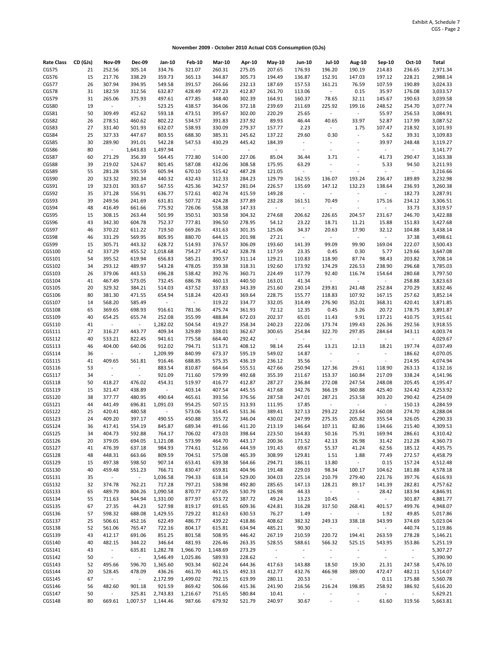**November 2009 - October 2010 Actual CGS Consumption (GJs)**

| <b>Rate Class</b> | CD (GJs) | <b>Nov-09</b>               | Dec-09         | Jan-10   | <b>Feb-10</b> | <b>Mar-10</b> | Apr-10 | May-10     | <b>Jun-10</b>            | <b>Jul-10</b>            | <b>Aug-10</b>               | <b>Sep-10</b>            | Oct-10         | Total    |
|-------------------|----------|-----------------------------|----------------|----------|---------------|---------------|--------|------------|--------------------------|--------------------------|-----------------------------|--------------------------|----------------|----------|
| CGS75             | 21       | 252.56                      | 305.14         | 334.76   | 321.07        | 260.31        | 275.05 | 207.65     | 176.93                   | 196.20                   | 190.19                      | 214.83                   | 236.65         | 2,971.34 |
| CGS76             | 15       | 217.76                      | 338.29         | 359.73   | 365.13        | 344.87        | 305.73 | 194.49     | 136.87                   | 152.91                   | 147.03                      | 197.12                   | 228.21         | 2,988.14 |
| CGS77             | 26       | 307.94                      | 394.95         | 549.58   | 391.57        | 266.66        | 232.13 | 187.69     | 157.53                   | 161.21                   | 76.59                       | 107.59                   | 190.89         | 3,024.33 |
| CGS78             | 31       | 182.59                      | 312.56         | 632.87   | 428.49        | 477.23        | 412.87 | 261.70     | 113.06                   | $\sim$                   | 0.15                        | 35.97                    | 176.08         | 3,033.57 |
| CGS79             | 31       | 265.06                      | 375.93         | 497.61   | 477.85        | 348.40        | 302.39 | 164.91     | 160.37                   | 78.65                    | 32.11                       | 145.67                   | 190.63         | 3,039.58 |
| CGS80             | 19       | $\sim$                      | $\sim$         | 523.25   | 438.57        | 364.06        | 372.18 | 239.69     | 211.69                   | 225.92                   | 199.16                      | 248.52                   | 254.70         | 3,077.74 |
| CGS81             | 50       | 309.49                      | 452.62         | 593.18   | 473.51        | 395.67        | 302.00 | 220.29     | 25.65                    | $\overline{\phantom{a}}$ | $\overline{\phantom{a}}$    | 55.97                    | 256.53         | 3,084.91 |
| CGS82             | 26       | 278.51                      | 460.62         | 802.22   | 534.57        | 391.83        | 237.92 | 89.93      | 46.44                    | 40.65                    | 33.97                       | 52.87                    | 117.99         | 3,087.52 |
| CGS83             | 27       | 331.40                      | 501.93         | 632.07   | 538.93        | 330.09        | 279.37 | 157.77     | 2.23                     | $\sim$                   | 1.75                        | 107.47                   | 218.92         | 3,101.93 |
| CGS84             | 25       | 327.33                      | 447.67         | 803.55   | 688.30        | 385.31        | 245.62 | 137.22     | 29.60                    | 0.30                     | $\overline{\phantom{a}}$    | 5.62                     | 39.31          | 3,109.83 |
| CGS85             | 30       | 289.90                      | 391.01         | 542.28   | 547.53        | 430.29        | 445.42 | 184.39     | $\overline{\phantom{a}}$ | $\overline{\phantom{a}}$ | $\overline{a}$              | 39.97                    | 248.48         | 3,119.27 |
| CGS86             | 80       | $\sim$                      | 1,643.83       | 1,497.94 | $\sim$        | $\sim$        | $\sim$ | $\sim$     | $\overline{\phantom{a}}$ | $\overline{a}$           | $\ddot{\phantom{0}}$        | $\overline{\phantom{a}}$ | $\mathbb{L}$   | 3,141.77 |
| CGS87             | 60       | 271.29                      | 356.39         | 564.45   | 772.80        | 514.00        | 227.06 | 85.04      | 36.44                    | 3.71                     |                             | 41.73                    | 290.47         | 3,163.38 |
| CGS88             | 39       | 219.02                      | 524.67         | 801.45   | 587.08        | 432.06        | 308.58 | 175.95     | 63.29                    | $\overline{a}$           | ÷                           | 5.33                     | 94.50          | 3,211.93 |
| CGS89             | 55       | 281.28                      | 535.59         | 605.94   | 670.10        | 515.42        | 487.28 | 121.05     | $\overline{\phantom{a}}$ | ÷,                       | ÷                           | $\blacksquare$           | $\blacksquare$ | 3,216.66 |
| CGS90             | 20       | 323.32                      | 392.34         | 440.32   | 432.43        | 312.33        | 284.23 | 129.79     | 162.55                   | 136.07                   | 193.24                      | 236.47                   | 189.89         | 3,232.98 |
| CGS91             | 19       | 323.01                      | 303.67         | 567.55   | 425.36        | 342.57        | 281.04 | 226.57     | 135.69                   | 147.12                   | 132.23                      | 138.64                   | 236.93         | 3,260.38 |
| CGS92             | 35       | 371.28                      | 556.91         | 636.77   | 572.61        | 402.74        | 415.59 | 149.28     | $\overline{\phantom{a}}$ | $\overline{\phantom{a}}$ | $\overline{\phantom{a}}$    | $\overline{a}$           | 182.73         | 3,287.91 |
| CGS93             | 39       | 249.56                      | 241.69         | 631.81   | 507.72        | 424.28        | 377.89 | 232.28     | 161.51                   | 70.49                    | $\sim$                      | 175.16                   | 234.12         | 3,306.51 |
| CGS94             | 48       | 416.49                      | 661.66         | 775.92   | 726.06        | 558.38        | 147.33 | $\sim$     | $\overline{\phantom{a}}$ | ÷                        | $\overline{\phantom{a}}$    | $\overline{a}$           | 33.73          | 3,319.57 |
| CGS95             | 15       | 308.15                      | 263.44         | 501.99   | 350.51        | 303.58        | 304.32 | 274.68     | 206.62                   | 226.65                   | 204.57                      | 231.67                   | 246.70         | 3,422.88 |
| CGS96             | 43       | 342.30                      | 604.78         | 752.37   | 777.81        | 396.50        | 278.95 | 54.12      | 23.22                    | 18.71                    | 11.21                       | 15.88                    | 151.83         | 3,427.68 |
| CGS97             | 46       | 370.22                      | 611.22         | 719.50   | 669.26        | 431.63        | 301.35 | 125.06     | 34.37                    | 20.63                    | 17.90                       | 32.12                    | 104.88         | 3,438.14 |
| CGS98             | 46       | 331.29                      | 569.95         | 805.95   | 880.70        | 644.15        | 201.98 | 27.21      | $\omega_{\rm c}$         | $\omega_{\rm{eff}}$      | $\blacksquare$              | ÷.                       | 37.38          | 3,498.61 |
| CGS99             | 15       | 305.71                      | 443.32         | 628.72   | 514.93        | 376.57        | 306.09 | 193.60     | 141.39                   | 99.09                    | 99.90                       | 169.04                   | 222.07         | 3,500.43 |
| CGS100            | 42       | 337.29                      | 455.52         | 1,018.68 | 754.27        | 475.42        | 328.78 | 117.59     | 23.35                    | 0.45                     | 0.30                        | 5.77                     | 129.66         | 3,647.08 |
| CGS101            | 54       | 395.52                      | 619.94         | 656.83   | 585.21        | 390.57        | 311.14 | 129.21     | 110.83                   | 118.90                   | 87.74                       | 98.43                    | 203.82         | 3,708.14 |
| CGS102            | 34       | 293.12                      | 489.97         | 543.28   | 478.05        | 359.38        | 318.31 | 192.60     | 173.92                   | 174.29                   | 226.53                      | 238.90                   | 296.68         | 3,785.03 |
| CGS103            | 26       | 379.06                      | 443.53         | 696.28   | 538.42        | 392.76        | 360.71 | 224.49     | 117.79                   | 92.40                    | 116.74                      | 154.64                   | 280.68         | 3,797.50 |
| CGS104            | 41       | 467.49                      | 573.05         | 732.45   | 686.78        | 460.13        | 440.50 | 163.01     | 41.34                    | $\blacksquare$           | $\overline{\phantom{a}}$    | ÷,                       | 258.88         | 3,823.63 |
| CGS105            | 20       | 329.32                      | 384.21         | 514.03   | 437.52        | 337.83        | 343.39 | 251.60     | 230.14                   | 239.81                   | 241.48                      | 252.84                   | 270.29         | 3,832.46 |
| CGS106            | 80       | 381.30                      | 471.55         | 654.94   | 518.24        | 420.43        | 369.64 | 228.75     | 155.77                   | 118.83                   | 107.92                      | 167.15                   | 257.62         | 3,852.14 |
| CGS107            | 14       | 568.20                      | 585.49         | $\sigma$ | $\sim$        | 319.22        | 334.77 | 332.05     | 314.49                   | 276.90                   | 352.01                      | 368.31                   | 420.41         | 3,871.85 |
| CGS108            | 65       | 369.65                      | 698.93         | 916.61   | 781.36        | 475.74        | 361.93 | 72.12      | 12.35                    | 0.45                     | 3.26                        | 20.72                    | 178.75         | 3,891.87 |
| CGS109            | 40       | 654.25                      | 655.74         | 252.08   | 355.99        | 488.84        | 672.03 | 202.37     | 65.01                    | 11.43                    | 9.91                        | 137.21                   | 410.75         | 3,915.61 |
| CGS110            | 41       | $\sim$                      | $\mathbb{R}^n$ | 1,282.02 | 504.54        | 419.27        | 358.34 | 240.23     | 222.06                   | 173.74                   | 199.43                      | 226.36                   | 292.56         | 3,918.55 |
| CGS111            | 27       | 316.27                      | 443.77         | 409.34   | 329.89        | 338.01        | 362.67 | 300.65     | 254.84                   | 322.70                   | 297.85                      | 284.64                   | 343.11         | 4,003.74 |
| CGS112            | 40       | 533.21                      | 822.45         | 941.61   | 775.58        | 664.40        | 292.42 | $\sim$     | $\sim$                   | ÷                        | $\overline{\phantom{a}}$    | $\overline{\phantom{a}}$ | $\blacksquare$ | 4,029.67 |
| CGS113            | 46       | 404.00                      | 640.06         | 912.02   | 794.71        | 513.71        | 408.12 | 98.14      | 25.44                    | 13.21                    | 12.13                       | 18.21                    | 197.74         | 4,037.49 |
| CGS114            | 36       | $\sim$                      | $\blacksquare$ | 1,209.99 | 840.99        | 673.37        | 595.19 | 549.02     | 14.87                    | $\overline{\phantom{a}}$ | $\overline{\phantom{a}}$    | $\overline{\phantom{a}}$ | 186.62         | 4,070.05 |
| CGS115            | 41       | 409.65                      | 561.81         | 916.46   | 688.85        | 575.35        | 436.19 | 236.12     | 35.56                    | $\overline{\phantom{a}}$ | $\blacksquare$              | $\blacksquare$           | 214.95         | 4,074.94 |
| CGS116            | 53       | $\mathcal{L}_{\mathcal{A}}$ | $\sim$         | 883.54   | 810.87        | 664.64        | 555.51 | 427.66     | 250.94                   | 127.36                   | 29.61                       | 118.90                   | 263.13         | 4,132.16 |
| CGS117            | 34       | $\blacksquare$              | $\blacksquare$ | 921.09   | 711.60        | 579.99        | 492.68 | 355.39     | 211.67                   | 153.37                   | 160.84                      | 217.09                   | 338.24         | 4,141.96 |
| CGS118            | 50       | 418.27                      | 476.02         | 454.31   | 519.97        | 416.77        | 412.87 | 287.27     | 236.84                   | 272.08                   | 247.54                      | 248.08                   | 205.45         | 4,195.47 |
| CGS119            | 15       | 321.47                      | 438.89         | $\sim$   | 403.14        | 407.54        | 445.55 | 417.68     | 342.76                   | 366.19                   | 360.88                      | 425.40                   | 324.42         | 4,253.92 |
| CGS120            | 38       | 377.77                      | 480.95         | 490.64   | 465.61        | 393.56        | 376.56 | 287.58     | 247.01                   | 287.21                   | 253.58                      | 303.20                   | 290.42         | 4,254.09 |
| CGS121            | 44       | 441.49                      | 696.81         | 1,091.03 | 954.25        | 507.15        | 313.93 | 111.95     | 17.85                    | $\sim$                   | $\blacksquare$              | $\sim$                   | 150.13         | 4,284.59 |
| CGS122            | 25       | 420.41                      | 480.58         | $\sim$   | 573.06        | 514.45        | 531.36 | 389.41     | 327.13                   | 293.22                   | 223.64                      | 260.08                   | 274.70         | 4,288.04 |
| CGS123            | 24       | 409.20                      | 397.17         | 490.55   | 450.88        | 355.72        | 346.04 | 430.02     | 247.99                   | 275.35                   | 205.82                      | 355.54                   | 326.05         | 4,290.33 |
| CGS124            | 36       | 417.41                      | 554.19         | 845.87   | 689.34        | 491.66        | 411.20 | 213.19     | 146.64                   | 107.11                   | 82.86                       | 134.66                   | 215.40         | 4,309.53 |
| CGS125            | 34       | 404.73                      | 592.88         | 764.17   | 706.02        | 473.03        | 398.64 | 223.50     | 164.83                   | 50.16                    | 75.91                       | 169.94                   | 286.61         | 4,310.42 |
| CGS126            | 20       | 379.05                      | 694.05         | 1,121.08 | 573.99        | 464.70        | 443.17 | 200.36     | 171.52                   | 42.13                    | 26.98                       | 31.42                    | 212.28         | 4,360.73 |
| CGS127            | 41       | 476.39                      | 637.18         | 984.93   | 774.61        | 512.66        | 444.59 | 191.43     | 69.67                    | 55.37                    | 41.24                       | 62.56                    | 185.12         | 4,435.75 |
| CGS128            | 48       | 448.31                      | 663.66         | 809.59   | 704.51        | 575.08        | 465.39 | 308.99     | 129.81                   | 1.51                     | 1.88                        | 77.49                    | 272.57         | 4,458.79 |
| CGS129            | 15       | 497.38                      | 598.50         | 907.14   | 653.41        | 639.38        | 564.66 | 294.71     | 186.11                   | 13.80                    | $\sim$                      | 0.15                     | 157.24         | 4,512.48 |
| CGS130            | 40       | 459.48                      | 551.23         | 766.71   | 830.47        | 659.81        | 404.96 | 191.48     | 229.03                   | 98.34                    | 100.17                      | 104.62                   | 181.88         | 4,578.18 |
| CGS131            | 35       | $\omega_{\rm{eff}}$         | $\sim$         | 1,036.58 | 794.33        | 618.14        | 529.00 | 304.03     | 225.14                   | 210.79                   | 279.40                      | 221.76                   | 397.76         | 4,616.93 |
| CGS132            | 32       | 374.78                      | 762.21         | 717.28   | 797.21        | 538.98        | 492.80 | 285.65     | 147.13                   | 128.21                   | 89.17                       | 141.39                   | 282.81         | 4,757.62 |
| CGS133            | 65       | 489.79                      | 804.26         | 1,090.58 | 870.77        | 677.05        | 530.79 | 126.98     | 44.33                    | $\sim$                   | $\sim$                      | 28.42                    | 183.94         | 4,846.91 |
| CGS134            | 55       | 711.63                      | 544.94         | 1,331.00 | 877.97        | 653.72        | 387.72 | 49.24      | 13.23                    | 10.45                    | $\sim$                      | $\sim$                   | 301.87         | 4,881.77 |
| CGS135            | 67       | 27.35                       | 44.23          | 527.98   | 819.17        | 691.65        | 609.36 | 424.81     | 316.28                   | 317.50                   | 268.41                      | 401.57                   | 499.76         | 4,948.07 |
| CGS136            | 57       | 598.32                      | 688.08         | 1,429.55 | 729.22        | 812.63        | 630.53 | 76.27      | 1.49                     | $\sim$                   | $\sim$                      | 1.92                     | 49.85          | 5,017.86 |
| CGS137            | 25       | 506.61                      | 452.16         | 622.49   | 486.77        | 439.22        | 418.86 | 408.62     | 382.32                   | 249.13                   | 338.18                      | 343.99                   | 374.69         | 5,023.04 |
| CGS138            | 52       | 561.06                      | 765.47         | 722.16   | 804.17        | 615.81        | 634.94 | 485.21     | 90.30                    | $\sim$                   | $\sim 100$                  | $\sim$                   | 440.74         | 5,119.86 |
| CGS139            | 43       | 412.17                      | 691.06         | 851.25   | 801.58        | 508.95        | 446.42 | 267.19     | 210.59                   | 220.72                   | 194.41                      | 263.59                   | 278.28         | 5,146.21 |
| CGS140            | 40       | 482.15                      | 344.22         | 346.64   | 481.93        | 226.46        | 263.35 | 528.55     | 588.61                   | 566.32                   | 525.15                      | 543.95                   | 353.86         | 5,251.19 |
| CGS141            | 43       | $\sim$                      | 635.81         | 1,282.78 | 1,966.70      | 1,148.69      | 273.29 | $\sim$     | $\sim$                   | $\sim$                   | $\blacksquare$              | $\blacksquare$           | $\sim$         | 5,307.27 |
| CGS142            | 50       | $\sim$                      | $\sim$         | 3,546.49 | 1,025.86      | 589.93        | 228.62 | $\sim 100$ | $\overline{\phantom{a}}$ | $\sim$                   | $\mathcal{L}_{\mathcal{A}}$ | $\overline{\phantom{a}}$ | $\sim$ $-$     | 5,390.90 |
| CGS143            | 52       | 495.66                      | 596.70         | 1,365.60 | 903.34        | 602.24        | 644.36 | 417.63     | 143.88                   | 18.50                    | 19.30                       | 21.31                    | 247.58         | 5,476.10 |
| CGS144            | 20       | 528.45                      | 478.09         | 436.26   | 461.70        | 461.15        | 492.33 | 412.77     | 432.76                   | 466.98                   | 389.00                      | 472.47                   | 482.11         | 5,514.07 |
| CGS145            | 67       | $\sim$                      | $\sim$         | 2,172.99 | 1,499.02      | 792.15        | 619.99 | 280.11     | 20.53                    | $\sim$                   | $\sim$                      | 0.11                     | 175.88         | 5,560.78 |
| CGS146            | 56       | 482.60                      | 901.18         | 921.59   | 869.42        | 506.66        | 415.36 | 241.90     | 216.56                   | 216.24                   | 198.85                      | 258.92                   | 386.92         | 5,616.20 |
| CGS147            | 50       | $\sim$                      | 325.81         | 2,743.83 | 1,216.67      | 751.65        | 580.84 | 10.41      | $\sim$                   | $\blacksquare$           | $\blacksquare$              | $\mathbb{L}^+$           | $\sim$         | 5,629.21 |
| CGS148            | 80       | 669.61                      | 1,007.57       | 1,144.46 | 987.66        | 679.92        | 521.79 | 240.97     | 30.67                    | $\overline{\phantom{a}}$ | $\blacksquare$              | 61.60                    | 319.56         | 5,663.81 |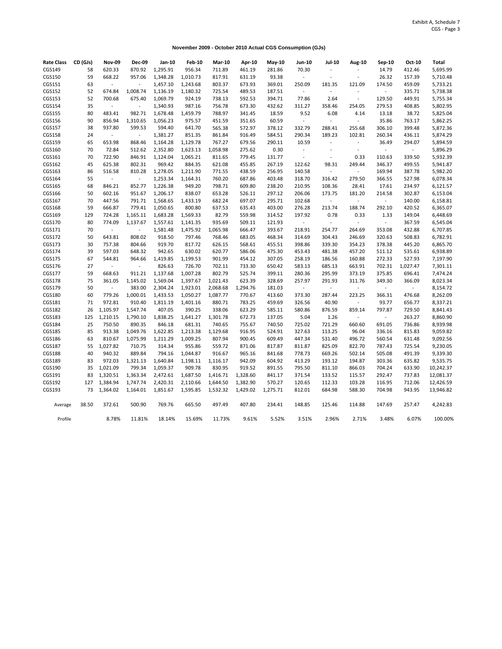**November 2009 - October 2010 Actual CGS Consumption (GJs)**

| <b>Rate Class</b> | CD (GJs) | <b>Nov-09</b>            | <b>Dec-09</b>            | Jan-10   | <b>Feb-10</b> | <b>Mar-10</b> | Apr-10   | <b>May-10</b> | Jun-10                   | Jul-10                   | Aug-10                   | Sep-10                   | Oct-10         | <b>Total</b> |
|-------------------|----------|--------------------------|--------------------------|----------|---------------|---------------|----------|---------------|--------------------------|--------------------------|--------------------------|--------------------------|----------------|--------------|
| CGS149            | 58       | 620.33                   | 870.92                   | 1,295.91 | 956.34        | 711.89        | 461.19   | 281.86        | 70.30                    |                          | ÷                        | 14.79                    | 412.46         | 5,695.99     |
| CGS150            | 59       | 668.22                   | 957.06                   | 1,348.28 | 1,010.73      | 817.91        | 631.19   | 93.38         | $\sim$                   |                          | $\ddot{\phantom{a}}$     | 26.32                    | 157.39         | 5,710.48     |
| CGS151            | 63       | $\overline{\phantom{a}}$ | $\overline{a}$           | 1,457.10 | 1,243.68      | 803.37        | 673.93   | 369.01        | 250.09                   | 181.35                   | 121.09                   | 174.50                   | 459.09         | 5,733.21     |
| CGS152            | 52       | 674.84                   | 1,008.74                 | 1,136.19 | 1,180.32      | 725.54        | 489.53   | 187.51        | $\overline{\phantom{a}}$ |                          | $\overline{\phantom{a}}$ | $\blacksquare$           | 335.71         | 5,738.38     |
| CGS153            | 52       | 700.68                   | 675.40                   | 1,069.79 | 924.19        | 738.13        | 592.53   | 394.71        | 77.86                    | 2.64                     | $\overline{\phantom{a}}$ | 129.50                   | 449.91         | 5,755.34     |
| CGS154            | 35       | $\blacksquare$           | $\overline{\phantom{a}}$ | 1,340.93 | 987.16        | 756.78        | 673.30   | 432.62        | 311.27                   | 358.46                   | 254.05                   | 279.53                   | 408.85         | 5,802.95     |
| CGS155            | 80       | 483.41                   | 982.71                   | 1,678.48 | 1,459.79      | 788.97        | 341.45   | 18.59         | 9.52                     | 6.08                     | 4.14                     | 13.18                    | 38.72          | 5,825.04     |
| CGS156            | 90       | 856.94                   | 1,310.65                 | 1,056.23 | 975.57        | 451.59        | 351.65   | 60.59         | $\overline{\phantom{a}}$ |                          | $\overline{\phantom{a}}$ | 35.86                    | 763.17         | 5,862.25     |
| CGS157            | 38       | 937.80                   | 599.53                   | 594.40   | 641.70        | 565.38        | 572.97   | 378.12        | 332.79                   | 288.41                   | 255.68                   | 306.10                   | 399.48         | 5,872.36     |
| CGS158            | 24       | $\sim$                   | $\overline{\phantom{a}}$ | 1,381.27 | 851.35        | 861.84        | 916.49   | 584.51        | 290.34                   | 189.23                   | 102.81                   | 260.34                   | 436.11         | 5,874.29     |
| CGS159            | 65       | 653.98                   | 868.46                   | 1,164.28 | 1,129.78      | 767.27        | 679.56   | 290.11        | 10.59                    | $\overline{a}$           | $\blacksquare$           | 36.49                    | 294.07         | 5,894.59     |
| CGS160            | 70       | 72.84                    | 512.62                   | 2,352.80 | 1,623.13      | 1,058.98      | 275.62   | 0.30          | $\sim$                   |                          | $\overline{\phantom{a}}$ | $\mathbb{Z}^2$           | $\blacksquare$ | 5,896.29     |
| CGS161            | 70       | 722.90                   | 846.91                   | 1,124.04 | 1,065.21      | 811.65        | 779.45   | 131.77        | $\overline{\phantom{a}}$ | $\overline{\phantom{a}}$ | 0.33                     | 110.63                   | 339.50         | 5,932.39     |
| CGS162            | 45       | 625.38                   | 802.31                   | 969.42   | 884.35        | 621.08        | 455.85   | 267.19        | 122.62                   | 98.31                    | 249.44                   | 346.37                   | 499.55         | 5,941.87     |
| CGS163            | 86       | 516.58                   | 810.28                   | 1,278.05 | 1,211.90      | 771.55        | 438.59   | 256.95        | 140.58                   |                          | $\overline{\phantom{a}}$ | 169.94                   | 387.78         | 5,982.20     |
| CGS164            | 55       | $\sim$                   | $\sim$                   | 1,253.34 | 1,164.31      | 760.20        | 687.86   | 403.48        | 318.70                   | 316.42                   | 279.50                   | 366.55                   | 527.98         | 6,078.34     |
| CGS165            | 68       | 846.21                   | 852.77                   | 1,226.38 | 949.20        | 798.71        | 609.80   | 238.20        | 210.95                   | 108.36                   | 28.41                    | 17.61                    | 234.97         | 6,121.57     |
| CGS166            | 50       | 602.16                   | 951.67                   | 1,206.17 | 838.07        | 653.28        | 526.11   | 297.12        | 206.06                   | 173.75                   | 181.20                   | 214.58                   | 302.87         | 6,153.04     |
| CGS167            | 70       | 447.56                   | 791.71                   | 1,568.65 | 1,433.19      | 682.24        | 697.07   | 295.71        | 102.68                   |                          | $\blacksquare$           | $\blacksquare$           | 140.00         | 6,158.81     |
| CGS168            | 59       | 666.87                   | 779.41                   | 1,050.65 | 800.80        | 637.53        | 635.43   | 403.00        | 276.28                   | 213.74                   | 188.74                   | 292.10                   | 420.52         | 6,365.07     |
| CGS169            | 129      | 724.28                   | 1,165.11                 | 1,683.28 | 1,569.33      | 82.79         | 559.98   | 314.52        | 197.92                   | 0.78                     | 0.33                     | 1.33                     | 149.04         | 6,448.69     |
| CGS170            | 80       | 774.09                   | 1,137.67                 | 1,557.61 | 1,141.35      | 935.69        | 509.11   | 121.93        | $\blacksquare$           | $\overline{\phantom{a}}$ | $\blacksquare$           | ÷                        | 367.59         | 6,545.04     |
| CGS171            | 70       | $\sim$                   | $\overline{\phantom{a}}$ | 1,581.48 | 1,475.92      | 1,065.98      | 666.47   | 393.67        | 218.91                   | 254.77                   | 264.69                   | 353.08                   | 432.88         | 6,707.85     |
| CGS172            | 50       | 643.81                   | 808.02                   | 918.50   | 797.46        | 768.46        | 683.05   | 468.34        | 314.69                   | 304.43                   | 246.69                   | 320.63                   | 508.83         | 6,782.91     |
| CGS173            | 30       | 757.38                   | 804.66                   | 919.70   | 817.72        | 626.15        | 568.61   | 455.51        | 398.86                   | 339.30                   | 354.23                   | 378.38                   | 445.20         | 6,865.70     |
| CGS174            | 39       | 597.03                   | 648.32                   | 942.65   | 630.02        | 620.77        | 586.06   | 475.30        | 453.43                   | 481.38                   | 457.20                   | 511.12                   | 535.61         | 6,938.89     |
| CGS175            | 67       | 544.81                   | 964.66                   | 1,419.85 | 1,199.53      | 901.99        | 454.12   | 307.05        | 258.19                   | 186.56                   | 160.88                   | 272.33                   | 527.93         | 7,197.90     |
| CGS176            | 27       | ÷                        | $\overline{a}$           | 826.63   | 726.70        | 702.11        | 733.30   | 650.42        | 583.13                   | 685.13                   | 663.91                   | 702.31                   | 1,027.47       | 7,301.11     |
| CGS177            | 59       | 668.63                   | 911.21                   | 1,137.68 | 1,007.28      | 802.79        | 525.74   | 399.11        | 280.36                   | 295.99                   | 373.19                   | 375.85                   | 696.41         | 7,474.24     |
| CGS178            | 75       | 361.05                   | 1,145.02                 | 1,569.04 | 1,397.67      | 1,021.43      | 623.39   | 328.69        | 257.97                   | 291.93                   | 311.76                   | 349.30                   | 366.09         | 8,023.34     |
| CGS179            | 50       |                          | 383.00                   | 2,304.24 | 1,923.01      | 2,068.68      | 1,294.76 | 181.03        | $\overline{\phantom{a}}$ |                          | $\blacksquare$           | $\overline{a}$           | $\blacksquare$ | 8,154.72     |
| CGS180            | 60       | 779.26                   | 1,000.01                 | 1,433.53 | 1,050.27      | 1,087.77      | 770.67   | 413.60        | 373.30                   | 287.44                   | 223.25                   | 366.31                   | 476.68         | 8,262.09     |
| CGS181            | 71       | 972.81                   | 910.40                   | 1,811.19 | 1,401.16      | 880.71        | 783.25   | 459.69        | 326.56                   | 40.90                    | $\blacksquare$           | 93.77                    | 656.77         | 8,337.21     |
| CGS182            | 26       | 1,105.97                 | 1,547.74                 | 407.05   | 390.25        | 338.06        | 623.29   | 585.11        | 580.86                   | 876.59                   | 859.14                   | 797.87                   | 729.50         | 8,841.43     |
| CGS183            | 125      | 1,210.15                 | 1,790.10                 | 1,838.25 | 1,641.27      | 1,301.78      | 672.73   | 137.05        | 5.04                     | 1.26                     | $\blacksquare$           | $\overline{\phantom{a}}$ | 263.27         | 8,860.90     |
| CGS184            | 25       | 750.50                   | 890.35                   | 846.18   | 681.31        | 740.65        | 755.67   | 740.50        | 725.02                   | 721.29                   | 660.60                   | 691.05                   | 736.86         | 8,939.98     |
| CGS185            | 85       | 913.38                   | 1,049.76                 | 1,622.85 | 1,213.38      | 1,129.68      | 916.95   | 524.91        | 327.63                   | 113.25                   | 96.04                    | 336.16                   | 815.83         | 9,059.82     |
| CGS186            | 63       | 810.67                   | 1,075.99                 | 1,211.29 | 1,009.25      | 807.94        | 900.45   | 609.49        | 447.34                   | 531.40                   | 496.72                   | 560.54                   | 631.48         | 9,092.56     |
| CGS187            | 55       | 1,027.82                 | 710.75                   | 314.34   | 955.86        | 559.72        | 871.06   | 817.87        | 811.87                   | 825.09                   | 822.70                   | 787.43                   | 725.54         | 9,230.05     |
| CGS188            | 40       | 940.32                   | 889.84                   | 794.16   | 1,044.87      | 916.67        | 965.16   | 841.68        | 778.73                   | 669.26                   | 502.14                   | 505.08                   | 491.39         | 9,339.30     |
| CGS189            | 83       | 972.03                   | 1,321.13                 | 1,640.84 | 1,198.11      | 1,116.17      | 942.09   | 604.92        | 413.29                   | 193.12                   | 194.87                   | 303.36                   | 635.82         | 9,535.75     |
| CGS190            | 35       | 1,021.09                 | 799.34                   | 1,059.37 | 909.78        | 830.95        | 919.52   | 891.55        | 795.50                   | 811.10                   | 866.03                   | 704.24                   | 633.90         | 10,242.37    |
| CGS191            | 83       | 1,320.51                 | 1,363.34                 | 2,472.61 | 1,687.50      | 1,416.71      | 1,328.60 | 841.17        | 371.54                   | 133.52                   | 115.57                   | 292.47                   | 737.83         | 12,081.37    |
| CGS192            | 127      | 1,384.94                 | 1,747.74                 | 2,420.31 | 2,110.66      | 1,644.50      | 1,382.90 | 570.27        | 120.65                   | 112.33                   | 103.28                   | 116.95                   | 712.06         | 12,426.59    |
| CGS193            | 73       | 1,364.02                 | 1,164.01                 | 1,851.67 | 1,595.85      | 1,532.32      | 1,429.02 | 1,275.71      | 812.01                   | 684.98                   | 588.30                   | 704.98                   | 943.95         | 13,946.82    |
|                   |          |                          |                          |          |               |               |          |               |                          |                          |                          |                          |                |              |
| Average           | 38.50    | 372.61                   | 500.90                   | 769.76   | 665.50        | 497.49        | 407.80   | 234.41        | 148.85                   | 125.46                   | 114.88                   | 147.69                   | 257.47         | 4,242.83     |
| Profile           |          | 8.78%                    | 11.81%                   | 18.14%   | 15.69%        | 11.73%        | 9.61%    | 5.52%         | 3.51%                    | 2.96%                    | 2.71%                    | 3.48%                    | 6.07%          | 100.00%      |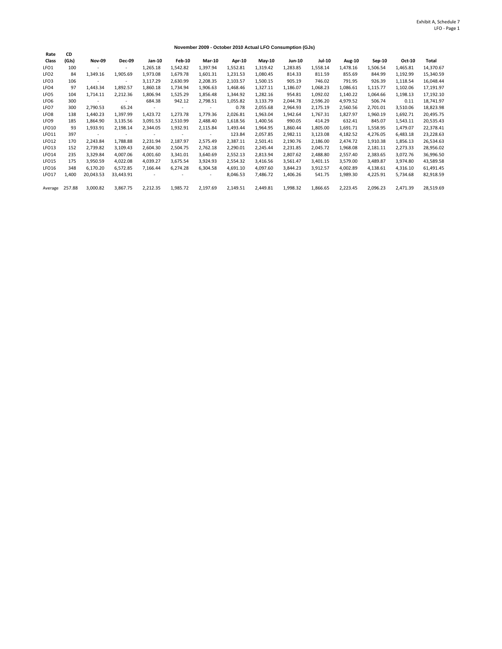## **November 2009 - October 2010 Actual LFO Consumption (GJs)**

| Rate              | CD     |                          |               |          |          |               |          |          |               |               |               |          |          |           |
|-------------------|--------|--------------------------|---------------|----------|----------|---------------|----------|----------|---------------|---------------|---------------|----------|----------|-----------|
| Class             | (GJs)  | <b>Nov-09</b>            | <b>Dec-09</b> | $Jan-10$ | Feb-10   | <b>Mar-10</b> | Apr-10   | $May-10$ | <b>Jun-10</b> | <b>Jul-10</b> | <b>Aug-10</b> | $Sep-10$ | Oct-10   | Total     |
| LFO <sub>1</sub>  | 100    | $\sim$                   |               | 1,265.18 | 1,542.82 | 1,397.94      | 1,552.81 | 1,319.42 | 1,283.85      | 1,558.14      | 1,478.16      | 1,506.54 | 1,465.81 | 14,370.67 |
| LFO <sub>2</sub>  | 84     | 1,349.16                 | 1,905.69      | 1,973.08 | 1,679.78 | 1,601.31      | 1,231.53 | 1,080.45 | 814.33        | 811.59        | 855.69        | 844.99   | 1,192.99 | 15,340.59 |
| LFO3              | 106    | $\overline{\phantom{a}}$ | ٠             | 3,117.29 | 2,630.99 | 2,208.35      | 2,103.57 | 1,500.15 | 905.19        | 746.02        | 791.95        | 926.39   | 1,118.54 | 16,048.44 |
| LFO4              | 97     | 1,443.34                 | 1,892.57      | 1,860.18 | 1,734.94 | 1,906.63      | 1,468.46 | 1,327.11 | 1,186.07      | 1,068.23      | 1,086.61      | 1,115.77 | 1,102.06 | 17,191.97 |
| LFO <sub>5</sub>  | 104    | 1.714.11                 | 2,212.36      | 1,806.94 | 1,525.29 | 1,856.48      | 1,344.92 | 1,282.16 | 954.81        | 1,092.02      | 1,140.22      | 1,064.66 | 1,198.13 | 17,192.10 |
| LFO <sub>6</sub>  | 300    | $\sim$                   | $\sim$        | 684.38   | 942.12   | 2,798.51      | 1,055.82 | 3,133.79 | 2,044.78      | 2,596.20      | 4,979.52      | 506.74   | 0.11     | 18,741.97 |
| LFO7              | 300    | 2,790.53                 | 65.24         | $\sim$   | $\sim$   | $\sim$        | 0.78     | 2,055.68 | 2,964.93      | 2,175.19      | 2,560.56      | 2,701.01 | 3,510.06 | 18,823.98 |
| LFO <sub>8</sub>  | 138    | 1,440.23                 | 1,397.99      | 1,423.72 | 1,273.78 | 1,779.36      | 2,026.81 | 1,963.04 | 1,942.64      | 1,767.31      | 1,827.97      | 1,960.19 | 1,692.71 | 20,495.75 |
| LFO <sub>9</sub>  | 185    | 1.864.90                 | 3,135.56      | 3,091.53 | 2.510.99 | 2,488.40      | 1,618.56 | 1,400.56 | 990.05        | 414.29        | 632.41        | 845.07   | 1,543.11 | 20,535.43 |
| <b>LFO10</b>      | 93     | 1,933.91                 | 2,198.14      | 2,344.05 | 1,932.91 | 2,115.84      | 1,493.44 | 1,964.95 | 1,860.44      | 1,805.00      | 1,691.71      | 1,558.95 | 1,479.07 | 22,378.41 |
| LFO11             | 397    | $\sim$                   |               | $\sim$   | $\sim$   | $\sim$        | 123.84   | 2,057.85 | 2,982.11      | 3,123.08      | 4,182.52      | 4,276.05 | 6,483.18 | 23,228.63 |
| LFO12             | 170    | 2,243.84                 | 1,788.88      | 2,231.94 | 2,187.97 | 2,575.49      | 2,387.11 | 2,501.41 | 2,190.76      | 2,186.00      | 2,474.72      | 1,910.38 | 1,856.13 | 26,534.63 |
| LFO <sub>13</sub> | 152    | 2.739.82                 | 3.109.43      | 2,604.30 | 2.504.75 | 2,762.18      | 2,290.01 | 2,245.44 | 2,231.85      | 2.045.72      | 1,968.08      | 2,181.11 | 2,273.33 | 28,956.02 |
| LFO <sub>14</sub> | 235    | 3,329.84                 | 4,007.06      | 4,001.60 | 3,341.01 | 3,640.69      | 2,552.13 | 2,813.94 | 2,807.62      | 2,488.80      | 2,557.40      | 2,383.65 | 3,072.76 | 36,996.50 |
| LFO15             | 175    | 3,950.59                 | 4,022.08      | 4,039.27 | 3,675.54 | 3,924.93      | 2,554.32 | 3,416.56 | 3,561.47      | 3,401.15      | 3,579.00      | 3,489.87 | 3,974.80 | 43,589.58 |
| <b>LFO16</b>      | 348    | 6,170.20                 | 6,572.85      | 7,166.44 | 6.274.28 | 6,304.58      | 4,691.10 | 4,097.60 | 3,844.23      | 3,912.57      | 4,002.89      | 4,138.61 | 4,316.10 | 61,491.45 |
| <b>LFO17</b>      | 1,400  | 20,043.53                | 33,443.91     | $\sim$   |          | $\sim$        | 8,046.53 | 7,486.72 | 1,406.26      | 541.75        | 1,989.30      | 4,225.91 | 5,734.68 | 82,918.59 |
| Average           | 257.88 | 3,000.82                 | 3,867.75      | 2,212.35 | 1,985.72 | 2,197.69      | 2,149.51 | 2,449.81 | 1,998.32      | 1,866.65      | 2,223.45      | 2,096.23 | 2,471.39 | 28,519.69 |
|                   |        |                          |               |          |          |               |          |          |               |               |               |          |          |           |